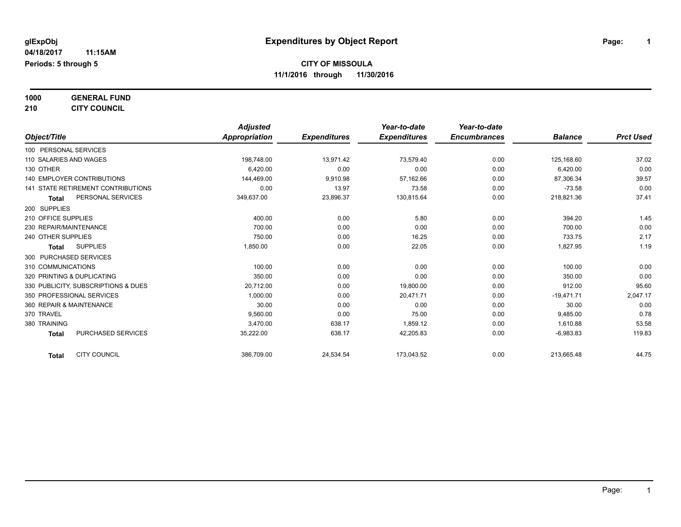## **1000 GENERAL FUND**

#### **210 CITY COUNCIL**

|                                           | <b>Adjusted</b> |                     | Year-to-date        | Year-to-date        |                |                  |
|-------------------------------------------|-----------------|---------------------|---------------------|---------------------|----------------|------------------|
| Object/Title                              | Appropriation   | <b>Expenditures</b> | <b>Expenditures</b> | <b>Encumbrances</b> | <b>Balance</b> | <b>Prct Used</b> |
| 100 PERSONAL SERVICES                     |                 |                     |                     |                     |                |                  |
| 110 SALARIES AND WAGES                    | 198,748.00      | 13,971.42           | 73,579.40           | 0.00                | 125,168.60     | 37.02            |
| 130 OTHER                                 | 6.420.00        | 0.00                | 0.00                | 0.00                | 6,420.00       | 0.00             |
| <b>140 EMPLOYER CONTRIBUTIONS</b>         | 144,469.00      | 9,910.98            | 57,162.66           | 0.00                | 87,306.34      | 39.57            |
| <b>141 STATE RETIREMENT CONTRIBUTIONS</b> | 0.00            | 13.97               | 73.58               | 0.00                | $-73.58$       | 0.00             |
| PERSONAL SERVICES<br><b>Total</b>         | 349,637.00      | 23,896.37           | 130,815.64          | 0.00                | 218,821.36     | 37.41            |
| 200 SUPPLIES                              |                 |                     |                     |                     |                |                  |
| 210 OFFICE SUPPLIES                       | 400.00          | 0.00                | 5.80                | 0.00                | 394.20         | 1.45             |
| 230 REPAIR/MAINTENANCE                    | 700.00          | 0.00                | 0.00                | 0.00                | 700.00         | 0.00             |
| 240 OTHER SUPPLIES                        | 750.00          | 0.00                | 16.25               | 0.00                | 733.75         | 2.17             |
| <b>SUPPLIES</b><br>Total                  | 1,850.00        | 0.00                | 22.05               | 0.00                | 1,827.95       | 1.19             |
| 300 PURCHASED SERVICES                    |                 |                     |                     |                     |                |                  |
| 310 COMMUNICATIONS                        | 100.00          | 0.00                | 0.00                | 0.00                | 100.00         | 0.00             |
| 320 PRINTING & DUPLICATING                | 350.00          | 0.00                | 0.00                | 0.00                | 350.00         | 0.00             |
| 330 PUBLICITY, SUBSCRIPTIONS & DUES       | 20,712.00       | 0.00                | 19,800.00           | 0.00                | 912.00         | 95.60            |
| 350 PROFESSIONAL SERVICES                 | 1.000.00        | 0.00                | 20.471.71           | 0.00                | $-19.471.71$   | 2,047.17         |
| 360 REPAIR & MAINTENANCE                  | 30.00           | 0.00                | 0.00                | 0.00                | 30.00          | 0.00             |
| 370 TRAVEL                                | 9,560.00        | 0.00                | 75.00               | 0.00                | 9,485.00       | 0.78             |
| 380 TRAINING                              | 3,470.00        | 638.17              | 1,859.12            | 0.00                | 1,610.88       | 53.58            |
| <b>PURCHASED SERVICES</b><br><b>Total</b> | 35,222.00       | 638.17              | 42,205.83           | 0.00                | $-6,983.83$    | 119.83           |
| <b>CITY COUNCIL</b><br><b>Total</b>       | 386,709.00      | 24,534.54           | 173,043.52          | 0.00                | 213,665.48     | 44.75            |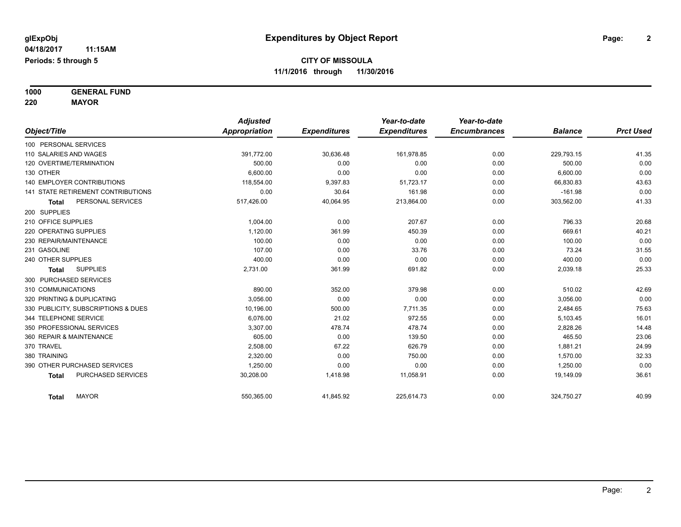**1000 GENERAL FUND 220 MAYOR**

*Object/Title Adjusted Appropriation Expenditures Year-to-date Expenditures Year-to-date Encumbrances Balance Prct Used* 100 PERSONAL SERVICES 110 SALARIES AND WAGES 391,772.00 30,636.48 161,978.85 0.00 229,793.15 41.35 120 OVERTIME/TERMINATION 500.00 0.00 0.00 0.00 500.00 0.00 130 OTHER 6,600.00 0.00 0.00 0.00 6,600.00 0.00 140 EMPLOYER CONTRIBUTIONS 118,554.00 9,397.83 51,723.17 0.00 66,830.83 43.63 141 STATE RETIREMENT CONTRIBUTIONS 0.00 30.64 161.98 0.00 -161.98 0.00 **Total** PERSONAL SERVICES 517,426.00 40,064.95 213,864.00 0.00 303,562.00 41.33 200 SUPPLIES 210 OFFICE SUPPLIES 1,004.00 0.00 207.67 0.00 20.68 220 OPERATING SUPPLIES 200 21 1,120.00 361.99 450.39 450.39 0.00 669.61 40.21 450.21  $230$  REPAIR/MAINTENANCE  $\hphantom{-}0.00$   $\hphantom{-}0.00$   $\hphantom{-}0.00$   $\hphantom{-}0.00$   $\hphantom{-}0.00$   $\hphantom{-}0.00$   $\hphantom{-}0.00$ 231 GASOLINE 107.00 0.00 33.76 0.00 73.24 31.55 240 OTHER SUPPLIES 400.00 0.00 0.00 0.00 400.00 0.00 **Total** SUPPLIES 2,731.00 361.99 691.82 0.00 2,039.18 25.33 300 PURCHASED SERVICES 310 COMMUNICATIONS 890.00 352.00 379.98 0.00 510.02 42.69 320 PRINTING & DUPLICATING 3,056.00 0.00 0.00 0.00 3,056.00 0.00 330 PUBLICITY, SUBSCRIPTIONS & DUES 10,196.00 500.00 7,711.35 0.00 2,484.65 75.63 344 TELEPHONE SERVICE 6,076.00 21.02 972.55 0.00 5,103.45 16.01 350 PROFESSIONAL SERVICES 3,307.00 478.74 478.74 0.00 2,828.26 14.48 360 REPAIR & MAINTENANCE 605.00 0.00 139.50 0.00 465.50 23.06 370 TRAVEL 2,508.00 67.22 626.79 0.00 1,881.21 24.99 380 TRAINING 2,320.00 0.00 750.00 0.00 1,570.00 32.33 390 OTHER PURCHASED SERVICES 1,250.00 0.00 0.00 0.00 1,250.00 0.00 **Total** PURCHASED SERVICES 30,208.00 1,418.98 11,058.91 0.00 19,149.09 36.61 **Total** MAYOR 550,365.00 41,845.92 225,614.73 0.00 324,750.27 40.99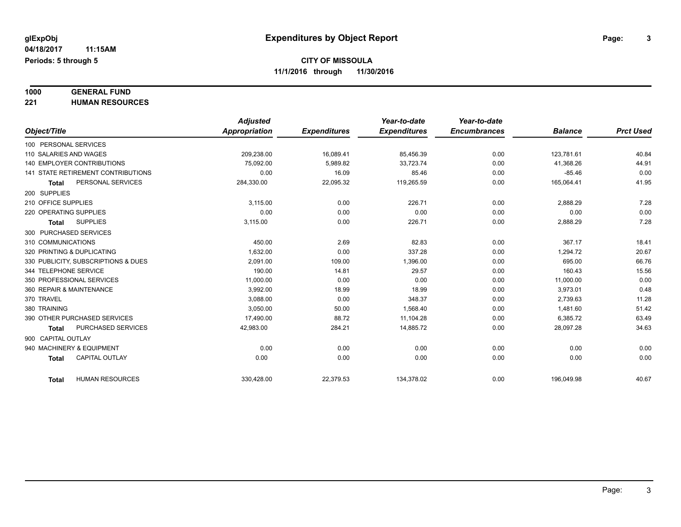# **1000 GENERAL FUND**

**221 HUMAN RESOURCES**

|                        |                                           | <b>Adjusted</b> |                     | Year-to-date        | Year-to-date        |                |                  |
|------------------------|-------------------------------------------|-----------------|---------------------|---------------------|---------------------|----------------|------------------|
| Object/Title           |                                           | Appropriation   | <b>Expenditures</b> | <b>Expenditures</b> | <b>Encumbrances</b> | <b>Balance</b> | <b>Prct Used</b> |
| 100 PERSONAL SERVICES  |                                           |                 |                     |                     |                     |                |                  |
| 110 SALARIES AND WAGES |                                           | 209,238.00      | 16,089.41           | 85,456.39           | 0.00                | 123,781.61     | 40.84            |
|                        | <b>140 EMPLOYER CONTRIBUTIONS</b>         | 75.092.00       | 5,989.82            | 33.723.74           | 0.00                | 41,368.26      | 44.91            |
|                        | <b>141 STATE RETIREMENT CONTRIBUTIONS</b> | 0.00            | 16.09               | 85.46               | 0.00                | $-85.46$       | 0.00             |
| <b>Total</b>           | PERSONAL SERVICES                         | 284,330.00      | 22,095.32           | 119,265.59          | 0.00                | 165,064.41     | 41.95            |
| 200 SUPPLIES           |                                           |                 |                     |                     |                     |                |                  |
| 210 OFFICE SUPPLIES    |                                           | 3,115.00        | 0.00                | 226.71              | 0.00                | 2,888.29       | 7.28             |
| 220 OPERATING SUPPLIES |                                           | 0.00            | 0.00                | 0.00                | 0.00                | 0.00           | 0.00             |
| <b>Total</b>           | <b>SUPPLIES</b>                           | 3,115.00        | 0.00                | 226.71              | 0.00                | 2,888.29       | 7.28             |
| 300 PURCHASED SERVICES |                                           |                 |                     |                     |                     |                |                  |
| 310 COMMUNICATIONS     |                                           | 450.00          | 2.69                | 82.83               | 0.00                | 367.17         | 18.41            |
|                        | 320 PRINTING & DUPLICATING                | 1.632.00        | 0.00                | 337.28              | 0.00                | 1.294.72       | 20.67            |
|                        | 330 PUBLICITY, SUBSCRIPTIONS & DUES       | 2,091.00        | 109.00              | 1,396.00            | 0.00                | 695.00         | 66.76            |
| 344 TELEPHONE SERVICE  |                                           | 190.00          | 14.81               | 29.57               | 0.00                | 160.43         | 15.56            |
|                        | 350 PROFESSIONAL SERVICES                 | 11,000.00       | 0.00                | 0.00                | 0.00                | 11,000.00      | 0.00             |
|                        | 360 REPAIR & MAINTENANCE                  | 3,992.00        | 18.99               | 18.99               | 0.00                | 3,973.01       | 0.48             |
| 370 TRAVEL             |                                           | 3,088.00        | 0.00                | 348.37              | 0.00                | 2,739.63       | 11.28            |
| 380 TRAINING           |                                           | 3,050.00        | 50.00               | 1,568.40            | 0.00                | 1,481.60       | 51.42            |
|                        | 390 OTHER PURCHASED SERVICES              | 17,490.00       | 88.72               | 11,104.28           | 0.00                | 6,385.72       | 63.49            |
| <b>Total</b>           | PURCHASED SERVICES                        | 42,983.00       | 284.21              | 14,885.72           | 0.00                | 28,097.28      | 34.63            |
| 900 CAPITAL OUTLAY     |                                           |                 |                     |                     |                     |                |                  |
|                        | 940 MACHINERY & EQUIPMENT                 | 0.00            | 0.00                | 0.00                | 0.00                | 0.00           | 0.00             |
| <b>Total</b>           | <b>CAPITAL OUTLAY</b>                     | 0.00            | 0.00                | 0.00                | 0.00                | 0.00           | 0.00             |
|                        |                                           |                 |                     |                     |                     |                |                  |
| <b>Total</b>           | <b>HUMAN RESOURCES</b>                    | 330,428.00      | 22,379.53           | 134,378.02          | 0.00                | 196,049.98     | 40.67            |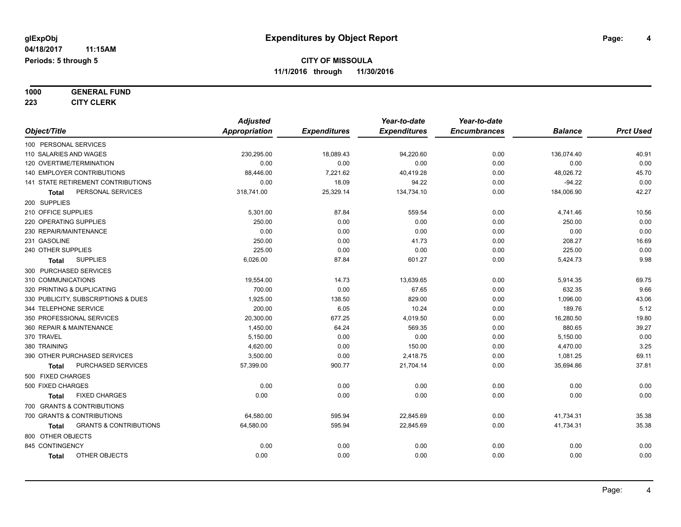**1000 GENERAL FUND**

**223 CITY CLERK**

|                                            | <b>Adjusted</b>      |                     | Year-to-date        | Year-to-date        |                |                  |
|--------------------------------------------|----------------------|---------------------|---------------------|---------------------|----------------|------------------|
| Object/Title                               | <b>Appropriation</b> | <b>Expenditures</b> | <b>Expenditures</b> | <b>Encumbrances</b> | <b>Balance</b> | <b>Prct Used</b> |
| 100 PERSONAL SERVICES                      |                      |                     |                     |                     |                |                  |
| 110 SALARIES AND WAGES                     | 230,295.00           | 18,089.43           | 94,220.60           | 0.00                | 136,074.40     | 40.91            |
| 120 OVERTIME/TERMINATION                   | 0.00                 | 0.00                | 0.00                | 0.00                | 0.00           | 0.00             |
| 140 EMPLOYER CONTRIBUTIONS                 | 88,446.00            | 7,221.62            | 40,419.28           | 0.00                | 48,026.72      | 45.70            |
| <b>141 STATE RETIREMENT CONTRIBUTIONS</b>  | 0.00                 | 18.09               | 94.22               | 0.00                | $-94.22$       | 0.00             |
| PERSONAL SERVICES<br>Total                 | 318,741.00           | 25,329.14           | 134,734.10          | 0.00                | 184,006.90     | 42.27            |
| 200 SUPPLIES                               |                      |                     |                     |                     |                |                  |
| 210 OFFICE SUPPLIES                        | 5,301.00             | 87.84               | 559.54              | 0.00                | 4,741.46       | 10.56            |
| 220 OPERATING SUPPLIES                     | 250.00               | 0.00                | 0.00                | 0.00                | 250.00         | 0.00             |
| 230 REPAIR/MAINTENANCE                     | 0.00                 | 0.00                | 0.00                | 0.00                | 0.00           | 0.00             |
| 231 GASOLINE                               | 250.00               | 0.00                | 41.73               | 0.00                | 208.27         | 16.69            |
| 240 OTHER SUPPLIES                         | 225.00               | 0.00                | 0.00                | 0.00                | 225.00         | 0.00             |
| <b>SUPPLIES</b><br><b>Total</b>            | 6,026.00             | 87.84               | 601.27              | 0.00                | 5,424.73       | 9.98             |
| 300 PURCHASED SERVICES                     |                      |                     |                     |                     |                |                  |
| 310 COMMUNICATIONS                         | 19,554.00            | 14.73               | 13,639.65           | 0.00                | 5,914.35       | 69.75            |
| 320 PRINTING & DUPLICATING                 | 700.00               | 0.00                | 67.65               | 0.00                | 632.35         | 9.66             |
| 330 PUBLICITY, SUBSCRIPTIONS & DUES        | 1,925.00             | 138.50              | 829.00              | 0.00                | 1,096.00       | 43.06            |
| 344 TELEPHONE SERVICE                      | 200.00               | 6.05                | 10.24               | 0.00                | 189.76         | 5.12             |
| 350 PROFESSIONAL SERVICES                  | 20,300.00            | 677.25              | 4,019.50            | 0.00                | 16,280.50      | 19.80            |
| 360 REPAIR & MAINTENANCE                   | 1,450.00             | 64.24               | 569.35              | 0.00                | 880.65         | 39.27            |
| 370 TRAVEL                                 | 5,150.00             | 0.00                | 0.00                | 0.00                | 5,150.00       | 0.00             |
| 380 TRAINING                               | 4,620.00             | 0.00                | 150.00              | 0.00                | 4,470.00       | 3.25             |
| 390 OTHER PURCHASED SERVICES               | 3,500.00             | 0.00                | 2,418.75            | 0.00                | 1,081.25       | 69.11            |
| PURCHASED SERVICES<br><b>Total</b>         | 57,399.00            | 900.77              | 21,704.14           | 0.00                | 35,694.86      | 37.81            |
| 500 FIXED CHARGES                          |                      |                     |                     |                     |                |                  |
| 500 FIXED CHARGES                          | 0.00                 | 0.00                | 0.00                | 0.00                | 0.00           | 0.00             |
| <b>FIXED CHARGES</b><br><b>Total</b>       | 0.00                 | 0.00                | 0.00                | 0.00                | 0.00           | 0.00             |
| 700 GRANTS & CONTRIBUTIONS                 |                      |                     |                     |                     |                |                  |
| 700 GRANTS & CONTRIBUTIONS                 | 64,580.00            | 595.94              | 22,845.69           | 0.00                | 41,734.31      | 35.38            |
| <b>GRANTS &amp; CONTRIBUTIONS</b><br>Total | 64,580.00            | 595.94              | 22,845.69           | 0.00                | 41,734.31      | 35.38            |
| 800 OTHER OBJECTS                          |                      |                     |                     |                     |                |                  |
| 845 CONTINGENCY                            | 0.00                 | 0.00                | 0.00                | 0.00                | 0.00           | 0.00             |
| OTHER OBJECTS<br><b>Total</b>              | 0.00                 | 0.00                | 0.00                | 0.00                | 0.00           | 0.00             |
|                                            |                      |                     |                     |                     |                |                  |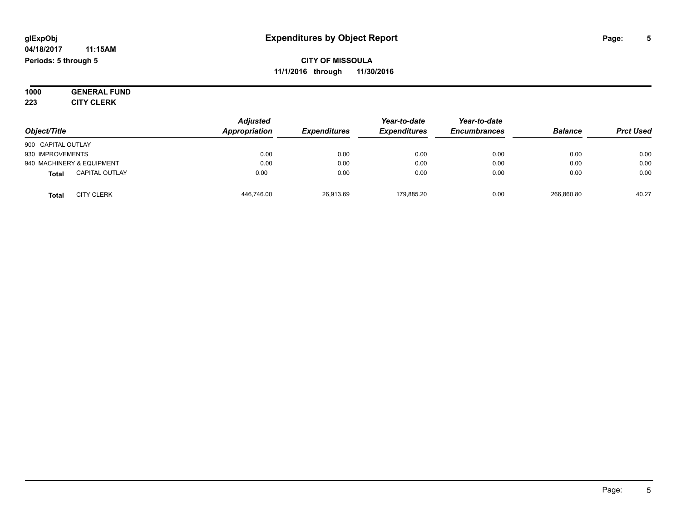#### **04/18/2017 11:15AM Periods: 5 through 5**

**CITY OF MISSOULA 11/1/2016 through 11/30/2016**

**1000 GENERAL FUND 223 CITY CLERK**

*Object/Title Adjusted Appropriation Expenditures Year-to-date Expenditures Year-to-date Encumbrances Balance Prct Used* 900 CAPITAL OUTLAY 930 IMPROVEMENTS 0.00 0.00 0.00 0.00 0.00 0.00 940 MACHINERY & EQUIPMENT 0.00 0.00 0.00 0.00 0.00 0.00 **Total** CAPITAL OUTLAY 0.00 0.00 0.00 0.00 0.00 0.00 **Total** CITY CLERK 446,746.00 26,913.69 179,885.20 0.00 266,860.80 40.27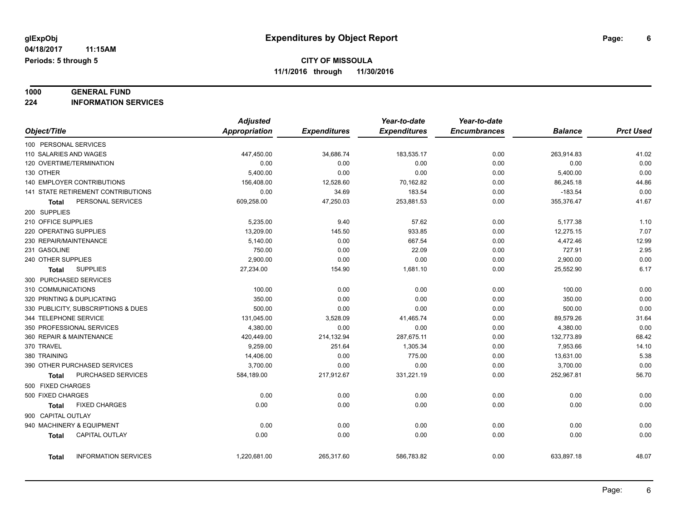# **1000 GENERAL FUND**

**224 INFORMATION SERVICES**

|                                      | <b>Adjusted</b>      |                     | Year-to-date        | Year-to-date        |                |                  |
|--------------------------------------|----------------------|---------------------|---------------------|---------------------|----------------|------------------|
| Object/Title                         | <b>Appropriation</b> | <b>Expenditures</b> | <b>Expenditures</b> | <b>Encumbrances</b> | <b>Balance</b> | <b>Prct Used</b> |
| 100 PERSONAL SERVICES                |                      |                     |                     |                     |                |                  |
| 110 SALARIES AND WAGES               | 447,450.00           | 34,686.74           | 183,535.17          | 0.00                | 263,914.83     | 41.02            |
| 120 OVERTIME/TERMINATION             | 0.00                 | 0.00                | 0.00                | 0.00                | 0.00           | 0.00             |
| 130 OTHER                            | 5,400.00             | 0.00                | 0.00                | 0.00                | 5,400.00       | 0.00             |
| <b>140 EMPLOYER CONTRIBUTIONS</b>    | 156,408.00           | 12,528.60           | 70,162.82           | 0.00                | 86,245.18      | 44.86            |
| 141 STATE RETIREMENT CONTRIBUTIONS   | 0.00                 | 34.69               | 183.54              | 0.00                | $-183.54$      | 0.00             |
| PERSONAL SERVICES<br>Total           | 609,258.00           | 47,250.03           | 253,881.53          | 0.00                | 355,376.47     | 41.67            |
| 200 SUPPLIES                         |                      |                     |                     |                     |                |                  |
| 210 OFFICE SUPPLIES                  | 5,235.00             | 9.40                | 57.62               | 0.00                | 5,177.38       | 1.10             |
| 220 OPERATING SUPPLIES               | 13,209.00            | 145.50              | 933.85              | 0.00                | 12,275.15      | 7.07             |
| 230 REPAIR/MAINTENANCE               | 5,140.00             | 0.00                | 667.54              | 0.00                | 4,472.46       | 12.99            |
| 231 GASOLINE                         | 750.00               | 0.00                | 22.09               | 0.00                | 727.91         | 2.95             |
| 240 OTHER SUPPLIES                   | 2,900.00             | 0.00                | 0.00                | 0.00                | 2,900.00       | 0.00             |
| <b>SUPPLIES</b><br><b>Total</b>      | 27,234.00            | 154.90              | 1,681.10            | 0.00                | 25,552.90      | 6.17             |
| 300 PURCHASED SERVICES               |                      |                     |                     |                     |                |                  |
| 310 COMMUNICATIONS                   | 100.00               | 0.00                | 0.00                | 0.00                | 100.00         | 0.00             |
| 320 PRINTING & DUPLICATING           | 350.00               | 0.00                | 0.00                | 0.00                | 350.00         | 0.00             |
| 330 PUBLICITY, SUBSCRIPTIONS & DUES  | 500.00               | 0.00                | 0.00                | 0.00                | 500.00         | 0.00             |
| 344 TELEPHONE SERVICE                | 131,045.00           | 3,528.09            | 41,465.74           | 0.00                | 89,579.26      | 31.64            |
| 350 PROFESSIONAL SERVICES            | 4,380.00             | 0.00                | 0.00                | 0.00                | 4,380.00       | 0.00             |
| 360 REPAIR & MAINTENANCE             | 420,449.00           | 214,132.94          | 287,675.11          | 0.00                | 132,773.89     | 68.42            |
| 370 TRAVEL                           | 9,259.00             | 251.64              | 1,305.34            | 0.00                | 7,953.66       | 14.10            |
| 380 TRAINING                         | 14,406.00            | 0.00                | 775.00              | 0.00                | 13,631.00      | 5.38             |
| 390 OTHER PURCHASED SERVICES         | 3,700.00             | 0.00                | 0.00                | 0.00                | 3,700.00       | 0.00             |
| PURCHASED SERVICES<br>Total          | 584,189.00           | 217,912.67          | 331,221.19          | 0.00                | 252,967.81     | 56.70            |
| 500 FIXED CHARGES                    |                      |                     |                     |                     |                |                  |
| 500 FIXED CHARGES                    | 0.00                 | 0.00                | 0.00                | 0.00                | 0.00           | 0.00             |
| <b>FIXED CHARGES</b><br><b>Total</b> | 0.00                 | 0.00                | 0.00                | 0.00                | 0.00           | 0.00             |
| 900 CAPITAL OUTLAY                   |                      |                     |                     |                     |                |                  |
| 940 MACHINERY & EQUIPMENT            | 0.00                 | 0.00                | 0.00                | 0.00                | 0.00           | 0.00             |
| CAPITAL OUTLAY<br><b>Total</b>       | 0.00                 | 0.00                | 0.00                | 0.00                | 0.00           | 0.00             |
|                                      |                      |                     |                     |                     |                |                  |
| <b>INFORMATION SERVICES</b><br>Total | 1,220,681.00         | 265,317.60          | 586,783.82          | 0.00                | 633,897.18     | 48.07            |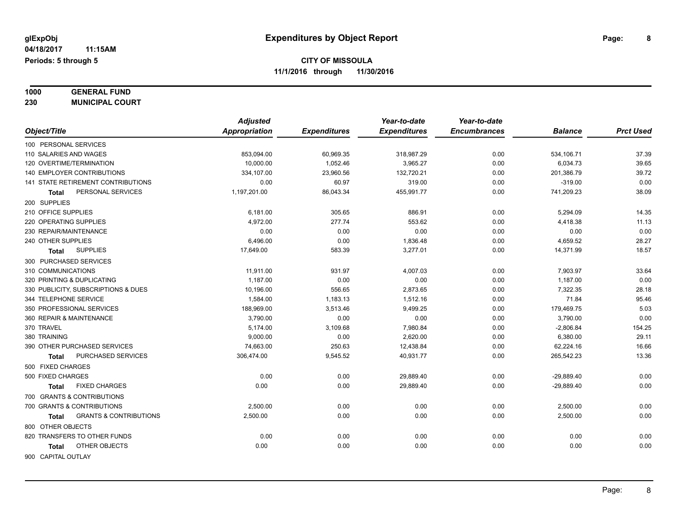**1000 GENERAL FUND 230 MUNICIPAL COURT**

| Object/Title                               | <b>Adjusted</b><br>Appropriation | <b>Expenditures</b> | Year-to-date<br><b>Expenditures</b> | Year-to-date<br><b>Encumbrances</b> | <b>Balance</b> | <b>Prct Used</b> |
|--------------------------------------------|----------------------------------|---------------------|-------------------------------------|-------------------------------------|----------------|------------------|
| 100 PERSONAL SERVICES                      |                                  |                     |                                     |                                     |                |                  |
| 110 SALARIES AND WAGES                     | 853,094.00                       | 60,969.35           | 318.987.29                          | 0.00                                | 534.106.71     | 37.39            |
| 120 OVERTIME/TERMINATION                   | 10.000.00                        | 1,052.46            | 3,965.27                            | 0.00                                | 6,034.73       | 39.65            |
| 140 EMPLOYER CONTRIBUTIONS                 | 334,107.00                       | 23,960.56           | 132,720.21                          | 0.00                                | 201,386.79     | 39.72            |
| <b>141 STATE RETIREMENT CONTRIBUTIONS</b>  | 0.00                             | 60.97               | 319.00                              | 0.00                                | $-319.00$      | 0.00             |
| PERSONAL SERVICES                          | 1,197,201.00                     | 86,043.34           | 455,991.77                          | 0.00                                | 741,209.23     | 38.09            |
| <b>Total</b>                               |                                  |                     |                                     |                                     |                |                  |
| 200 SUPPLIES                               |                                  |                     |                                     |                                     |                |                  |
| 210 OFFICE SUPPLIES                        | 6,181.00                         | 305.65              | 886.91                              | 0.00                                | 5,294.09       | 14.35            |
| 220 OPERATING SUPPLIES                     | 4,972.00                         | 277.74              | 553.62                              | 0.00                                | 4,418.38       | 11.13            |
| 230 REPAIR/MAINTENANCE                     | 0.00                             | 0.00                | 0.00                                | 0.00                                | 0.00           | 0.00             |
| 240 OTHER SUPPLIES                         | 6,496.00                         | 0.00                | 1,836.48                            | 0.00                                | 4,659.52       | 28.27            |
| <b>SUPPLIES</b><br>Total                   | 17,649.00                        | 583.39              | 3,277.01                            | 0.00                                | 14,371.99      | 18.57            |
| 300 PURCHASED SERVICES                     |                                  |                     |                                     |                                     |                |                  |
| 310 COMMUNICATIONS                         | 11,911.00                        | 931.97              | 4,007.03                            | 0.00                                | 7,903.97       | 33.64            |
| 320 PRINTING & DUPLICATING                 | 1,187.00                         | 0.00                | 0.00                                | 0.00                                | 1,187.00       | 0.00             |
| 330 PUBLICITY, SUBSCRIPTIONS & DUES        | 10,196.00                        | 556.65              | 2,873.65                            | 0.00                                | 7,322.35       | 28.18            |
| 344 TELEPHONE SERVICE                      | 1,584.00                         | 1,183.13            | 1,512.16                            | 0.00                                | 71.84          | 95.46            |
| 350 PROFESSIONAL SERVICES                  | 188,969.00                       | 3,513.46            | 9,499.25                            | 0.00                                | 179,469.75     | 5.03             |
| 360 REPAIR & MAINTENANCE                   | 3,790.00                         | 0.00                | 0.00                                | 0.00                                | 3,790.00       | 0.00             |
| 370 TRAVEL                                 | 5,174.00                         | 3,109.68            | 7,980.84                            | 0.00                                | $-2,806.84$    | 154.25           |
| 380 TRAINING                               | 9,000.00                         | 0.00                | 2,620.00                            | 0.00                                | 6,380.00       | 29.11            |
| 390 OTHER PURCHASED SERVICES               | 74,663.00                        | 250.63              | 12,438.84                           | 0.00                                | 62,224.16      | 16.66            |
| PURCHASED SERVICES<br><b>Total</b>         | 306,474.00                       | 9,545.52            | 40,931.77                           | 0.00                                | 265,542.23     | 13.36            |
| 500 FIXED CHARGES                          |                                  |                     |                                     |                                     |                |                  |
| 500 FIXED CHARGES                          | 0.00                             | 0.00                | 29.889.40                           | 0.00                                | $-29,889.40$   | 0.00             |
| <b>FIXED CHARGES</b><br><b>Total</b>       | 0.00                             | 0.00                | 29,889.40                           | 0.00                                | $-29,889.40$   | 0.00             |
| 700 GRANTS & CONTRIBUTIONS                 |                                  |                     |                                     |                                     |                |                  |
| 700 GRANTS & CONTRIBUTIONS                 | 2,500.00                         | 0.00                | 0.00                                | 0.00                                | 2,500.00       | 0.00             |
| <b>GRANTS &amp; CONTRIBUTIONS</b><br>Total | 2,500.00                         | 0.00                | 0.00                                | 0.00                                | 2,500.00       | 0.00             |
| 800 OTHER OBJECTS                          |                                  |                     |                                     |                                     |                |                  |
| 820 TRANSFERS TO OTHER FUNDS               | 0.00                             | 0.00                | 0.00                                | 0.00                                | 0.00           | 0.00             |
| OTHER OBJECTS                              | 0.00                             | 0.00                | 0.00                                | 0.00                                | 0.00           | 0.00             |
| Total                                      |                                  |                     |                                     |                                     |                |                  |
| 900 CAPITAL OUTLAY                         |                                  |                     |                                     |                                     |                |                  |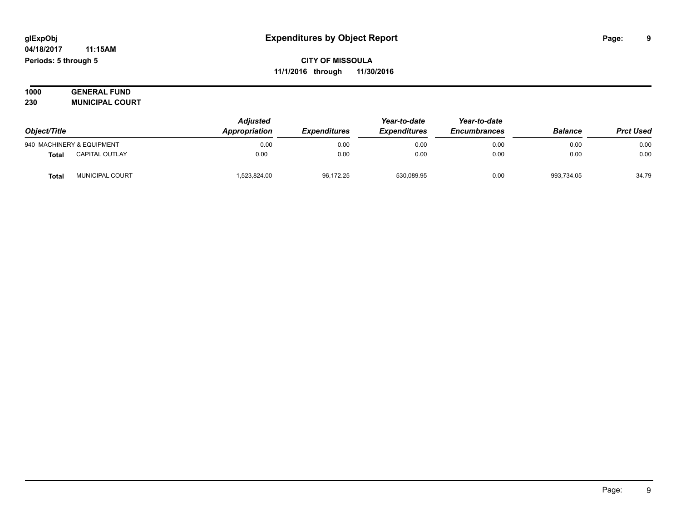| 1000 | <b>GENERAL FUND</b>    |  |
|------|------------------------|--|
| 230  | <b>MUNICIPAL COURT</b> |  |

| Object/Title |                           | <b>Adjusted</b><br>Appropriation | <b>Expenditures</b> | Year-to-date<br><b>Expenditures</b> | Year-to-date<br><b>Encumbrances</b> | <b>Balance</b> | <b>Prct Used</b> |
|--------------|---------------------------|----------------------------------|---------------------|-------------------------------------|-------------------------------------|----------------|------------------|
|              | 940 MACHINERY & EQUIPMENT | 0.00                             | 0.00                | 0.00                                | 0.00                                | 0.00           | 0.00             |
| Total        | <b>CAPITAL OUTLAY</b>     | 0.00                             | 0.00                | 0.00                                | 0.00                                | 0.00           | 0.00             |
| Tota.        | MUNICIPAL COURT           | 523,824.00                       | 96.172.25           | 530,089.95                          | 0.00                                | 993,734.05     | 34.79            |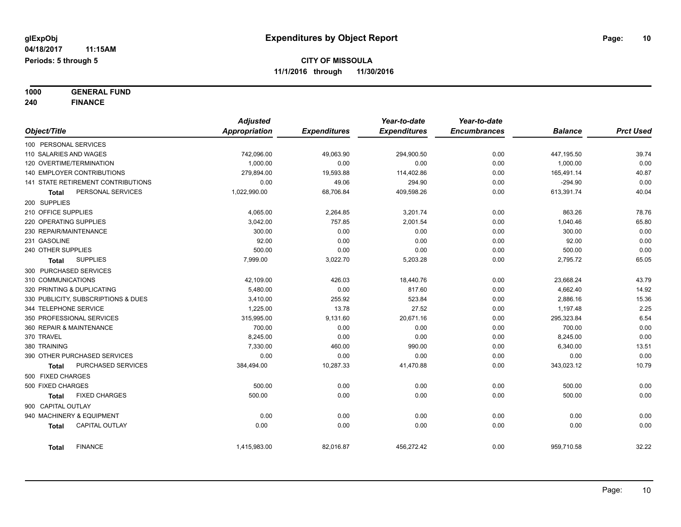**1000 GENERAL FUND 240 FINANCE**

*Object/Title Adjusted Appropriation Expenditures Year-to-date Expenditures Year-to-date Encumbrances Balance Prct Used* 100 PERSONAL SERVICES 110 SALARIES AND WAGES 742,096.00 49,063.90 294,900.50 0.00 447,195.50 39.74 120 OVERTIME/TERMINATION 1,000.00 0.00 0.00 0.00 1,000.00 0.00 140 EMPLOYER CONTRIBUTIONS 279,894.00 19,593.88 114,402.86 0.00 165,491.14 40.87 141 STATE RETIREMENT CONTRIBUTIONS 0.00 49.06 294.90 0.00 -294.90 0.00 **Total** PERSONAL SERVICES 1,022,990.00 68,706.84 409,598.26 0.00 613,391.74 40.04 200 SUPPLIES 210 OFFICE SUPPLIES 4,065.00 2,264.85 3,201.74 0.00 863.26 78.76 220 OPERATING SUPPLIES 3,042.00 757.85 2,001.54 0.00 1,040.46 65.80 230 REPAIR/MAINTENANCE 300.00 0.00 0.00 0.00 300.00 0.00 231 GASOLINE 92.00 0.00 0.00 0.00 92.00 0.00 240 OTHER SUPPLIES 500.00 0.00 0.00 0.00 500.00 0.00 **Total** SUPPLIES 7,999.00 3,022.70 5,203.28 0.00 2,795.72 65.05 300 PURCHASED SERVICES 310 COMMUNICATIONS 42,109.00 426.03 18,440.76 0.00 23,668.24 43.79 320 PRINTING & DUPLICATING 5,480.00 0.00 817.60 0.00 4,662.40 14.92 330 PUBLICITY, SUBSCRIPTIONS & DUES 3,410.00 255.92 523.84 0.00 2,886.16 15.36 344 TELEPHONE SERVICE 1,225.00 13.78 27.52 0.00 1,197.48 2.25 350 PROFESSIONAL SERVICES 315,995.00 9,131.60 20,671.16 0.00 295,323.84 6.54 360 REPAIR & MAINTENANCE 700.00 0.00 0.00 0.00 700.00 0.00 370 TRAVEL 8,245.00 0.00 0.00 0.00 8,245.00 0.00 380 TRAINING 7,330.00 460.00 990.00 6,340.00 13.51 390 OTHER PURCHASED SERVICES 0.00 0.00 0.00 0.00 0.00 0.00 **Total** PURCHASED SERVICES 384,494.00 10,287.33 41,470.88 0.00 343,023.12 10.79 500 FIXED CHARGES 500 FIXED CHARGES 500.00 0.00 0.00 0.00 500.00 0.00 **Total** FIXED CHARGES 500.00 0.00 0.00 0.00 500.00 0.00 900 CAPITAL OUTLAY 940 MACHINERY & EQUIPMENT 0.00 0.00 0.00 0.00 0.00 0.00 **Total** CAPITAL OUTLAY 0.00 0.00 0.00 0.00 0.00 0.00 **Total** FINANCE 1,415,983.00 82,016.87 456,272.42 0.00 959,710.58 32.22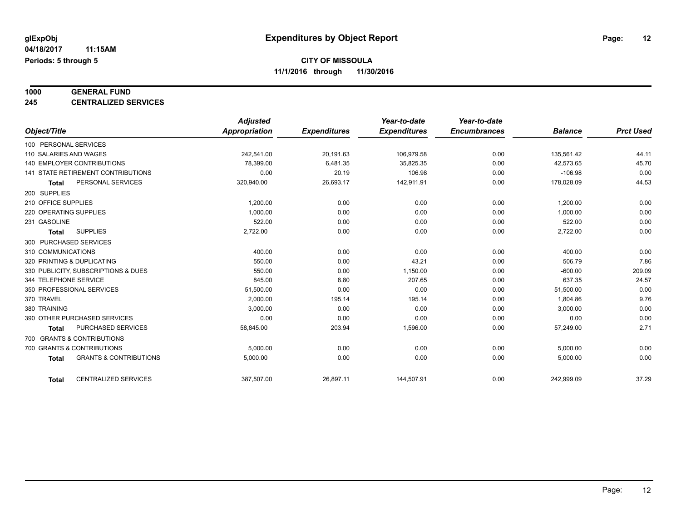# **1000 GENERAL FUND**

**245 CENTRALIZED SERVICES**

|                                                   | <b>Adjusted</b> |                     | Year-to-date        | Year-to-date        |                |                  |
|---------------------------------------------------|-----------------|---------------------|---------------------|---------------------|----------------|------------------|
| Object/Title                                      | Appropriation   | <b>Expenditures</b> | <b>Expenditures</b> | <b>Encumbrances</b> | <b>Balance</b> | <b>Prct Used</b> |
| 100 PERSONAL SERVICES                             |                 |                     |                     |                     |                |                  |
| 110 SALARIES AND WAGES                            | 242,541.00      | 20,191.63           | 106,979.58          | 0.00                | 135,561.42     | 44.11            |
| <b>140 EMPLOYER CONTRIBUTIONS</b>                 | 78,399.00       | 6,481.35            | 35,825.35           | 0.00                | 42,573.65      | 45.70            |
| <b>141 STATE RETIREMENT CONTRIBUTIONS</b>         | 0.00            | 20.19               | 106.98              | 0.00                | $-106.98$      | 0.00             |
| PERSONAL SERVICES<br><b>Total</b>                 | 320,940.00      | 26,693.17           | 142,911.91          | 0.00                | 178,028.09     | 44.53            |
| 200 SUPPLIES                                      |                 |                     |                     |                     |                |                  |
| 210 OFFICE SUPPLIES                               | 1,200.00        | 0.00                | 0.00                | 0.00                | 1,200.00       | 0.00             |
| 220 OPERATING SUPPLIES                            | 1.000.00        | 0.00                | 0.00                | 0.00                | 1,000.00       | 0.00             |
| 231 GASOLINE                                      | 522.00          | 0.00                | 0.00                | 0.00                | 522.00         | 0.00             |
| <b>SUPPLIES</b><br><b>Total</b>                   | 2,722.00        | 0.00                | 0.00                | 0.00                | 2,722.00       | 0.00             |
| 300 PURCHASED SERVICES                            |                 |                     |                     |                     |                |                  |
| 310 COMMUNICATIONS                                | 400.00          | 0.00                | 0.00                | 0.00                | 400.00         | 0.00             |
| 320 PRINTING & DUPLICATING                        | 550.00          | 0.00                | 43.21               | 0.00                | 506.79         | 7.86             |
| 330 PUBLICITY, SUBSCRIPTIONS & DUES               | 550.00          | 0.00                | 1,150.00            | 0.00                | $-600.00$      | 209.09           |
| 344 TELEPHONE SERVICE                             | 845.00          | 8.80                | 207.65              | 0.00                | 637.35         | 24.57            |
| 350 PROFESSIONAL SERVICES                         | 51,500.00       | 0.00                | 0.00                | 0.00                | 51,500.00      | 0.00             |
| 370 TRAVEL                                        | 2,000.00        | 195.14              | 195.14              | 0.00                | 1,804.86       | 9.76             |
| 380 TRAINING                                      | 3,000.00        | 0.00                | 0.00                | 0.00                | 3,000.00       | 0.00             |
| 390 OTHER PURCHASED SERVICES                      | 0.00            | 0.00                | 0.00                | 0.00                | 0.00           | 0.00             |
| PURCHASED SERVICES<br><b>Total</b>                | 58,845.00       | 203.94              | 1,596.00            | 0.00                | 57,249.00      | 2.71             |
| 700 GRANTS & CONTRIBUTIONS                        |                 |                     |                     |                     |                |                  |
| 700 GRANTS & CONTRIBUTIONS                        | 5,000.00        | 0.00                | 0.00                | 0.00                | 5,000.00       | 0.00             |
| <b>GRANTS &amp; CONTRIBUTIONS</b><br><b>Total</b> | 5,000.00        | 0.00                | 0.00                | 0.00                | 5,000.00       | 0.00             |
|                                                   |                 |                     |                     |                     |                |                  |
| <b>CENTRALIZED SERVICES</b><br><b>Total</b>       | 387,507.00      | 26,897.11           | 144,507.91          | 0.00                | 242,999.09     | 37.29            |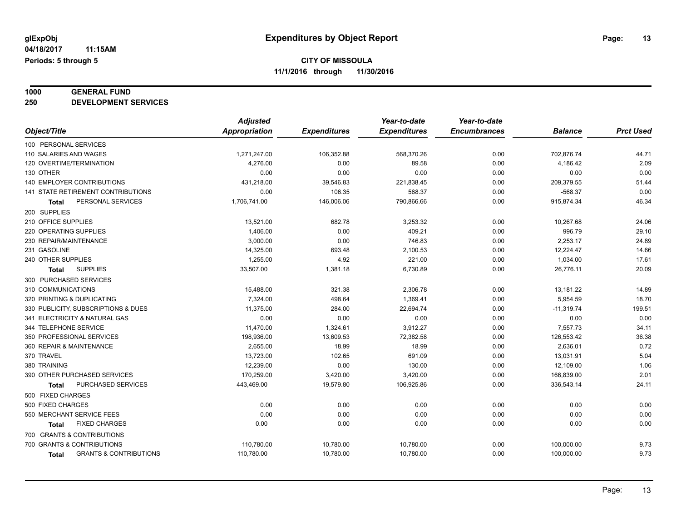# **1000 GENERAL FUND**

**250 DEVELOPMENT SERVICES**

|                                            | <b>Adjusted</b>      |                     | Year-to-date        | Year-to-date        |                |                  |
|--------------------------------------------|----------------------|---------------------|---------------------|---------------------|----------------|------------------|
| Object/Title                               | <b>Appropriation</b> | <b>Expenditures</b> | <b>Expenditures</b> | <b>Encumbrances</b> | <b>Balance</b> | <b>Prct Used</b> |
| 100 PERSONAL SERVICES                      |                      |                     |                     |                     |                |                  |
| 110 SALARIES AND WAGES                     | 1,271,247.00         | 106,352.88          | 568,370.26          | 0.00                | 702,876.74     | 44.71            |
| 120 OVERTIME/TERMINATION                   | 4,276.00             | 0.00                | 89.58               | 0.00                | 4,186.42       | 2.09             |
| 130 OTHER                                  | 0.00                 | 0.00                | 0.00                | 0.00                | 0.00           | 0.00             |
| <b>140 EMPLOYER CONTRIBUTIONS</b>          | 431,218.00           | 39,546.83           | 221,838.45          | 0.00                | 209,379.55     | 51.44            |
| <b>141 STATE RETIREMENT CONTRIBUTIONS</b>  | 0.00                 | 106.35              | 568.37              | 0.00                | $-568.37$      | 0.00             |
| PERSONAL SERVICES<br>Total                 | 1,706,741.00         | 146,006.06          | 790,866.66          | 0.00                | 915,874.34     | 46.34            |
| 200 SUPPLIES                               |                      |                     |                     |                     |                |                  |
| 210 OFFICE SUPPLIES                        | 13,521.00            | 682.78              | 3,253.32            | 0.00                | 10,267.68      | 24.06            |
| 220 OPERATING SUPPLIES                     | 1,406.00             | 0.00                | 409.21              | 0.00                | 996.79         | 29.10            |
| 230 REPAIR/MAINTENANCE                     | 3,000.00             | 0.00                | 746.83              | 0.00                | 2,253.17       | 24.89            |
| 231 GASOLINE                               | 14,325.00            | 693.48              | 2,100.53            | 0.00                | 12,224.47      | 14.66            |
| 240 OTHER SUPPLIES                         | 1,255.00             | 4.92                | 221.00              | 0.00                | 1,034.00       | 17.61            |
| <b>SUPPLIES</b><br><b>Total</b>            | 33,507.00            | 1,381.18            | 6,730.89            | 0.00                | 26,776.11      | 20.09            |
| 300 PURCHASED SERVICES                     |                      |                     |                     |                     |                |                  |
| 310 COMMUNICATIONS                         | 15,488.00            | 321.38              | 2,306.78            | 0.00                | 13,181.22      | 14.89            |
| 320 PRINTING & DUPLICATING                 | 7,324.00             | 498.64              | 1,369.41            | 0.00                | 5,954.59       | 18.70            |
| 330 PUBLICITY, SUBSCRIPTIONS & DUES        | 11.375.00            | 284.00              | 22,694.74           | 0.00                | $-11,319.74$   | 199.51           |
| 341 ELECTRICITY & NATURAL GAS              | 0.00                 | 0.00                | 0.00                | 0.00                | 0.00           | 0.00             |
| 344 TELEPHONE SERVICE                      | 11,470.00            | 1,324.61            | 3,912.27            | 0.00                | 7,557.73       | 34.11            |
| 350 PROFESSIONAL SERVICES                  | 198,936.00           | 13,609.53           | 72,382.58           | 0.00                | 126,553.42     | 36.38            |
| 360 REPAIR & MAINTENANCE                   | 2,655.00             | 18.99               | 18.99               | 0.00                | 2,636.01       | 0.72             |
| 370 TRAVEL                                 | 13,723.00            | 102.65              | 691.09              | 0.00                | 13,031.91      | 5.04             |
| 380 TRAINING                               | 12,239.00            | 0.00                | 130.00              | 0.00                | 12,109.00      | 1.06             |
| 390 OTHER PURCHASED SERVICES               | 170,259.00           | 3,420.00            | 3,420.00            | 0.00                | 166,839.00     | 2.01             |
| PURCHASED SERVICES<br><b>Total</b>         | 443,469.00           | 19,579.80           | 106,925.86          | 0.00                | 336,543.14     | 24.11            |
| 500 FIXED CHARGES                          |                      |                     |                     |                     |                |                  |
| 500 FIXED CHARGES                          | 0.00                 | 0.00                | 0.00                | 0.00                | 0.00           | 0.00             |
| 550 MERCHANT SERVICE FEES                  | 0.00                 | 0.00                | 0.00                | 0.00                | 0.00           | 0.00             |
| <b>FIXED CHARGES</b><br>Total              | 0.00                 | 0.00                | 0.00                | 0.00                | 0.00           | 0.00             |
| 700 GRANTS & CONTRIBUTIONS                 |                      |                     |                     |                     |                |                  |
| 700 GRANTS & CONTRIBUTIONS                 | 110,780.00           | 10,780.00           | 10,780.00           | 0.00                | 100,000.00     | 9.73             |
| <b>GRANTS &amp; CONTRIBUTIONS</b><br>Total | 110,780.00           | 10,780.00           | 10,780.00           | 0.00                | 100,000.00     | 9.73             |
|                                            |                      |                     |                     |                     |                |                  |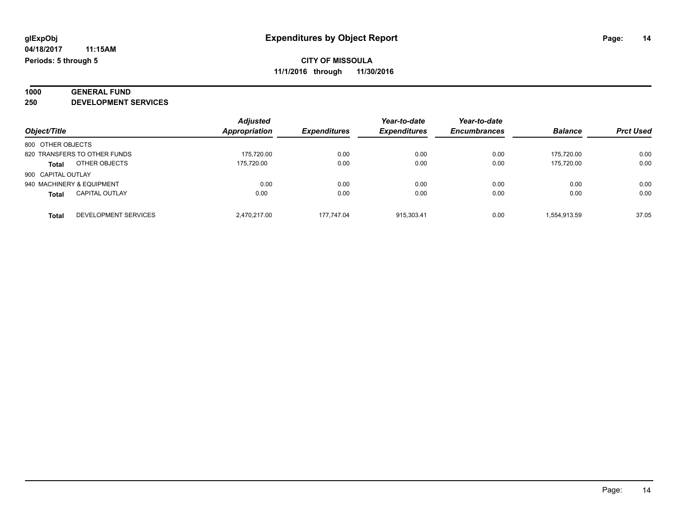#### **1000 GENERAL FUND 250 DEVELOPMENT SERVICES**

|                                      | <b>Adjusted</b> |                     | Year-to-date<br><b>Expenditures</b> | Year-to-date        |                | <b>Prct Used</b> |
|--------------------------------------|-----------------|---------------------|-------------------------------------|---------------------|----------------|------------------|
| Object/Title                         | Appropriation   | <b>Expenditures</b> |                                     | <b>Encumbrances</b> | <b>Balance</b> |                  |
| 800 OTHER OBJECTS                    |                 |                     |                                     |                     |                |                  |
| 820 TRANSFERS TO OTHER FUNDS         | 175.720.00      | 0.00                | 0.00                                | 0.00                | 175.720.00     | 0.00             |
| OTHER OBJECTS<br><b>Total</b>        | 175.720.00      | 0.00                | 0.00                                | 0.00                | 175.720.00     | 0.00             |
| 900 CAPITAL OUTLAY                   |                 |                     |                                     |                     |                |                  |
| 940 MACHINERY & EQUIPMENT            | 0.00            | 0.00                | 0.00                                | 0.00                | 0.00           | 0.00             |
| CAPITAL OUTLAY<br><b>Total</b>       | 0.00            | 0.00                | 0.00                                | 0.00                | 0.00           | 0.00             |
| DEVELOPMENT SERVICES<br><b>Total</b> | 2.470.217.00    | 177.747.04          | 915.303.41                          | 0.00                | 1.554.913.59   | 37.05            |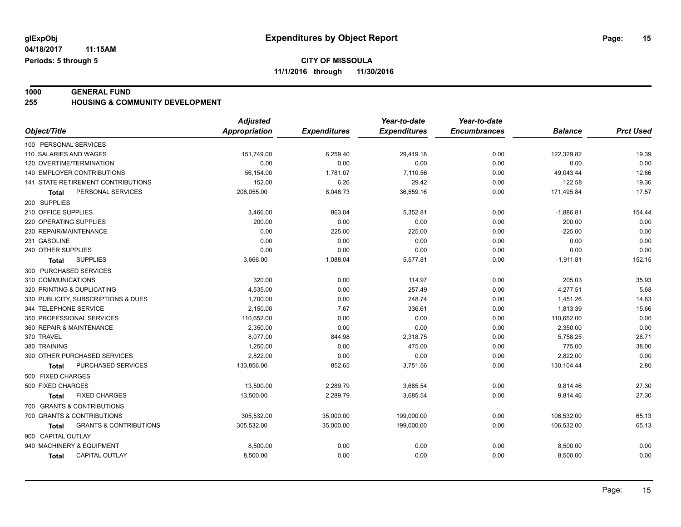**1000 GENERAL FUND 255 HOUSING & COMMUNITY DEVELOPMENT**

|                                            | <b>Adjusted</b>      |                     | Year-to-date        | Year-to-date        |                |                  |
|--------------------------------------------|----------------------|---------------------|---------------------|---------------------|----------------|------------------|
| Object/Title                               | <b>Appropriation</b> | <b>Expenditures</b> | <b>Expenditures</b> | <b>Encumbrances</b> | <b>Balance</b> | <b>Prct Used</b> |
| 100 PERSONAL SERVICES                      |                      |                     |                     |                     |                |                  |
| 110 SALARIES AND WAGES                     | 151,749.00           | 6,259.40            | 29,419.18           | 0.00                | 122,329.82     | 19.39            |
| 120 OVERTIME/TERMINATION                   | 0.00                 | 0.00                | 0.00                | 0.00                | 0.00           | 0.00             |
| 140 EMPLOYER CONTRIBUTIONS                 | 56,154.00            | 1,781.07            | 7,110.56            | 0.00                | 49,043.44      | 12.66            |
| 141 STATE RETIREMENT CONTRIBUTIONS         | 152.00               | 6.26                | 29.42               | 0.00                | 122.58         | 19.36            |
| PERSONAL SERVICES<br>Total                 | 208,055.00           | 8,046.73            | 36,559.16           | 0.00                | 171,495.84     | 17.57            |
| 200 SUPPLIES                               |                      |                     |                     |                     |                |                  |
| 210 OFFICE SUPPLIES                        | 3,466.00             | 863.04              | 5,352.81            | 0.00                | $-1,886.81$    | 154.44           |
| 220 OPERATING SUPPLIES                     | 200.00               | 0.00                | 0.00                | 0.00                | 200.00         | 0.00             |
| 230 REPAIR/MAINTENANCE                     | 0.00                 | 225.00              | 225.00              | 0.00                | $-225.00$      | 0.00             |
| 231 GASOLINE                               | 0.00                 | 0.00                | 0.00                | 0.00                | 0.00           | 0.00             |
| 240 OTHER SUPPLIES                         | 0.00                 | 0.00                | 0.00                | 0.00                | 0.00           | 0.00             |
| <b>SUPPLIES</b><br>Total                   | 3,666.00             | 1,088.04            | 5,577.81            | 0.00                | $-1,911.81$    | 152.15           |
| 300 PURCHASED SERVICES                     |                      |                     |                     |                     |                |                  |
| 310 COMMUNICATIONS                         | 320.00               | 0.00                | 114.97              | 0.00                | 205.03         | 35.93            |
| 320 PRINTING & DUPLICATING                 | 4,535.00             | 0.00                | 257.49              | 0.00                | 4,277.51       | 5.68             |
| 330 PUBLICITY, SUBSCRIPTIONS & DUES        | 1,700.00             | 0.00                | 248.74              | 0.00                | 1,451.26       | 14.63            |
| 344 TELEPHONE SERVICE                      | 2,150.00             | 7.67                | 336.61              | 0.00                | 1,813.39       | 15.66            |
| 350 PROFESSIONAL SERVICES                  | 110,652.00           | 0.00                | 0.00                | 0.00                | 110,652.00     | 0.00             |
| 360 REPAIR & MAINTENANCE                   | 2.350.00             | 0.00                | 0.00                | 0.00                | 2,350.00       | 0.00             |
| 370 TRAVEL                                 | 8,077.00             | 844.98              | 2,318.75            | 0.00                | 5,758.25       | 28.71            |
| 380 TRAINING                               | 1,250.00             | 0.00                | 475.00              | 0.00                | 775.00         | 38.00            |
| 390 OTHER PURCHASED SERVICES               | 2,822.00             | 0.00                | 0.00                | 0.00                | 2,822.00       | 0.00             |
| PURCHASED SERVICES<br>Total                | 133,856.00           | 852.65              | 3,751.56            | 0.00                | 130,104.44     | 2.80             |
| 500 FIXED CHARGES                          |                      |                     |                     |                     |                |                  |
| 500 FIXED CHARGES                          | 13,500.00            | 2,289.79            | 3,685.54            | 0.00                | 9,814.46       | 27.30            |
| <b>FIXED CHARGES</b><br><b>Total</b>       | 13,500.00            | 2,289.79            | 3,685.54            | 0.00                | 9,814.46       | 27.30            |
| 700 GRANTS & CONTRIBUTIONS                 |                      |                     |                     |                     |                |                  |
| 700 GRANTS & CONTRIBUTIONS                 | 305,532.00           | 35,000.00           | 199,000.00          | 0.00                | 106,532.00     | 65.13            |
| <b>GRANTS &amp; CONTRIBUTIONS</b><br>Total | 305,532.00           | 35,000.00           | 199,000.00          | 0.00                | 106,532.00     | 65.13            |
| 900 CAPITAL OUTLAY                         |                      |                     |                     |                     |                |                  |
| 940 MACHINERY & EQUIPMENT                  | 8,500.00             | 0.00                | 0.00                | 0.00                | 8,500.00       | 0.00             |
| <b>CAPITAL OUTLAY</b><br>Total             | 8,500.00             | 0.00                | 0.00                | 0.00                | 8,500.00       | 0.00             |
|                                            |                      |                     |                     |                     |                |                  |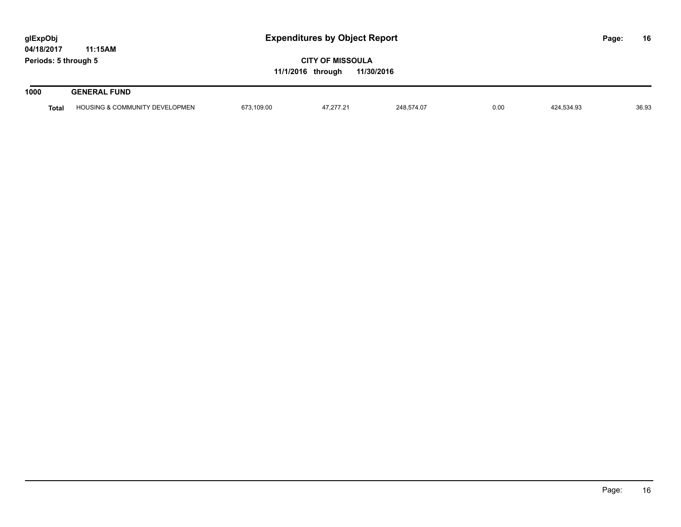| glExpObj<br>04/18/2017 | 11:15AM                        | <b>Expenditures by Object Report</b> |                                              |            |      |            | Page: | 16    |
|------------------------|--------------------------------|--------------------------------------|----------------------------------------------|------------|------|------------|-------|-------|
| Periods: 5 through 5   |                                |                                      | <b>CITY OF MISSOULA</b><br>11/1/2016 through | 11/30/2016 |      |            |       |       |
| 1000                   | <b>GENERAL FUND</b>            |                                      |                                              |            |      |            |       |       |
| <b>Total</b>           | HOUSING & COMMUNITY DEVELOPMEN | 673,109.00                           | 47.277.21                                    | 248.574.07 | 0.00 | 424.534.93 |       | 36.93 |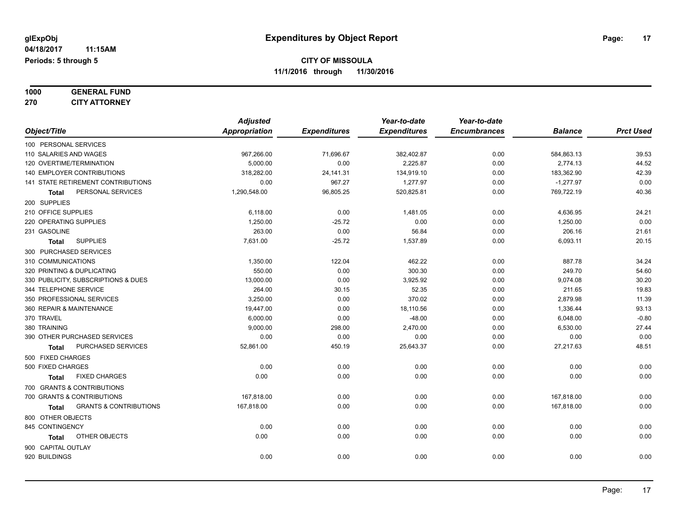| 1000 | <b>GENERAL FUND</b>  |
|------|----------------------|
| 270  | <b>CITY ATTORNEY</b> |

|                                            | <b>Adjusted</b>      |                     | Year-to-date        | Year-to-date        |                |                  |
|--------------------------------------------|----------------------|---------------------|---------------------|---------------------|----------------|------------------|
| Object/Title                               | <b>Appropriation</b> | <b>Expenditures</b> | <b>Expenditures</b> | <b>Encumbrances</b> | <b>Balance</b> | <b>Prct Used</b> |
| 100 PERSONAL SERVICES                      |                      |                     |                     |                     |                |                  |
| 110 SALARIES AND WAGES                     | 967,266.00           | 71,696.67           | 382,402.87          | 0.00                | 584,863.13     | 39.53            |
| 120 OVERTIME/TERMINATION                   | 5,000.00             | 0.00                | 2,225.87            | 0.00                | 2,774.13       | 44.52            |
| 140 EMPLOYER CONTRIBUTIONS                 | 318,282.00           | 24,141.31           | 134,919.10          | 0.00                | 183,362.90     | 42.39            |
| 141 STATE RETIREMENT CONTRIBUTIONS         | 0.00                 | 967.27              | 1,277.97            | 0.00                | $-1,277.97$    | 0.00             |
| PERSONAL SERVICES<br>Total                 | 1,290,548.00         | 96,805.25           | 520,825.81          | 0.00                | 769,722.19     | 40.36            |
| 200 SUPPLIES                               |                      |                     |                     |                     |                |                  |
| 210 OFFICE SUPPLIES                        | 6,118.00             | 0.00                | 1,481.05            | 0.00                | 4,636.95       | 24.21            |
| 220 OPERATING SUPPLIES                     | 1,250.00             | $-25.72$            | 0.00                | 0.00                | 1,250.00       | 0.00             |
| 231 GASOLINE                               | 263.00               | 0.00                | 56.84               | 0.00                | 206.16         | 21.61            |
| <b>SUPPLIES</b><br>Total                   | 7,631.00             | $-25.72$            | 1,537.89            | 0.00                | 6,093.11       | 20.15            |
| 300 PURCHASED SERVICES                     |                      |                     |                     |                     |                |                  |
| 310 COMMUNICATIONS                         | 1,350.00             | 122.04              | 462.22              | 0.00                | 887.78         | 34.24            |
| 320 PRINTING & DUPLICATING                 | 550.00               | 0.00                | 300.30              | 0.00                | 249.70         | 54.60            |
| 330 PUBLICITY, SUBSCRIPTIONS & DUES        | 13,000.00            | 0.00                | 3,925.92            | 0.00                | 9,074.08       | 30.20            |
| 344 TELEPHONE SERVICE                      | 264.00               | 30.15               | 52.35               | 0.00                | 211.65         | 19.83            |
| 350 PROFESSIONAL SERVICES                  | 3,250.00             | 0.00                | 370.02              | 0.00                | 2,879.98       | 11.39            |
| 360 REPAIR & MAINTENANCE                   | 19,447.00            | 0.00                | 18,110.56           | 0.00                | 1,336.44       | 93.13            |
| 370 TRAVEL                                 | 6,000.00             | 0.00                | $-48.00$            | 0.00                | 6,048.00       | $-0.80$          |
| 380 TRAINING                               | 9,000.00             | 298.00              | 2,470.00            | 0.00                | 6,530.00       | 27.44            |
| 390 OTHER PURCHASED SERVICES               | 0.00                 | 0.00                | 0.00                | 0.00                | 0.00           | 0.00             |
| PURCHASED SERVICES<br><b>Total</b>         | 52,861.00            | 450.19              | 25,643.37           | 0.00                | 27,217.63      | 48.51            |
| 500 FIXED CHARGES                          |                      |                     |                     |                     |                |                  |
| 500 FIXED CHARGES                          | 0.00                 | 0.00                | 0.00                | 0.00                | 0.00           | 0.00             |
| <b>FIXED CHARGES</b><br>Total              | 0.00                 | 0.00                | 0.00                | 0.00                | 0.00           | 0.00             |
| 700 GRANTS & CONTRIBUTIONS                 |                      |                     |                     |                     |                |                  |
| 700 GRANTS & CONTRIBUTIONS                 | 167,818.00           | 0.00                | 0.00                | 0.00                | 167,818.00     | 0.00             |
| <b>GRANTS &amp; CONTRIBUTIONS</b><br>Total | 167,818.00           | 0.00                | 0.00                | 0.00                | 167,818.00     | 0.00             |
| 800 OTHER OBJECTS                          |                      |                     |                     |                     |                |                  |
| 845 CONTINGENCY                            | 0.00                 | 0.00                | 0.00                | 0.00                | 0.00           | 0.00             |
| OTHER OBJECTS<br><b>Total</b>              | 0.00                 | 0.00                | 0.00                | 0.00                | 0.00           | 0.00             |
| 900 CAPITAL OUTLAY                         |                      |                     |                     |                     |                |                  |
| 920 BUILDINGS                              | 0.00                 | 0.00                | 0.00                | 0.00                | 0.00           | 0.00             |
|                                            |                      |                     |                     |                     |                |                  |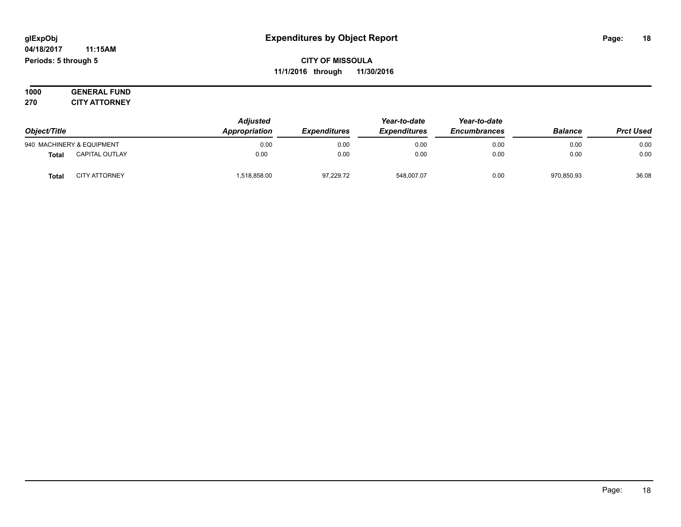#### **04/18/2017 11:15AM Periods: 5 through 5**

**CITY OF MISSOULA 11/1/2016 through 11/30/2016**

**1000 GENERAL FUND 270 CITY ATTORNEY**

| Object/Title |                           | <b>Adjusted</b> |                            | Year-to-date        | Year-to-date        |                |                  |
|--------------|---------------------------|-----------------|----------------------------|---------------------|---------------------|----------------|------------------|
|              |                           | Appropriation   | <i><b>Expenditures</b></i> | <b>Expenditures</b> | <b>Encumbrances</b> | <b>Balance</b> | <b>Prct Used</b> |
|              | 940 MACHINERY & EQUIPMENT | 0.00            | 0.00                       | 0.00                | 0.00                | 0.00           | 0.00             |
| <b>Total</b> | <b>CAPITAL OUTLAY</b>     | 0.00            | 0.00                       | 0.00                | 0.00                | 0.00           | 0.00             |
| Tota.        | <b>CITY ATTORNEY</b>      | 1,518,858.00    | 97,229.72                  | 548,007.07          | 0.00                | 970,850.93     | 36.08            |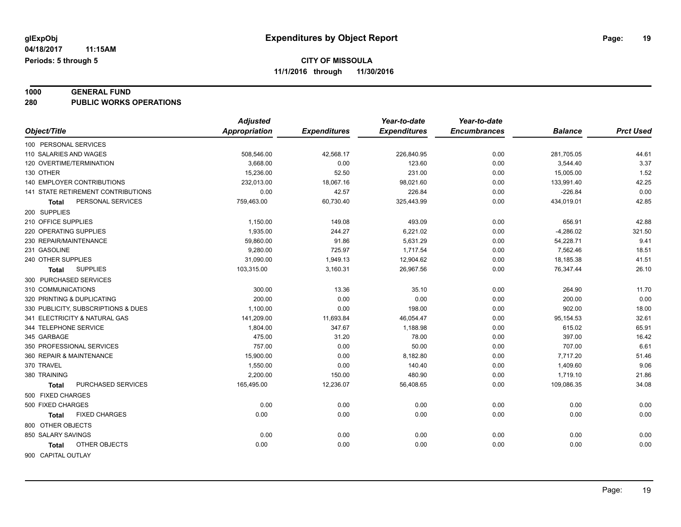# **1000 GENERAL FUND**

**280 PUBLIC WORKS OPERATIONS**

| <b>Expenditures</b><br>Object/Title<br>Appropriation<br><b>Expenditures</b><br><b>Encumbrances</b><br><b>Balance</b><br>100 PERSONAL SERVICES | <b>Prct Used</b> |
|-----------------------------------------------------------------------------------------------------------------------------------------------|------------------|
|                                                                                                                                               |                  |
|                                                                                                                                               |                  |
| 0.00<br>110 SALARIES AND WAGES<br>508,546.00<br>42,568.17<br>226,840.95<br>281,705.05                                                         | 44.61            |
| 120 OVERTIME/TERMINATION<br>3,668.00<br>0.00<br>123.60<br>0.00<br>3,544.40                                                                    | 3.37             |
| 52.50<br>130 OTHER<br>15,236.00<br>231.00<br>0.00<br>15,005.00                                                                                | 1.52             |
| <b>140 EMPLOYER CONTRIBUTIONS</b><br>232,013.00<br>18,067.16<br>98,021.60<br>0.00<br>133,991.40                                               | 42.25            |
| 141 STATE RETIREMENT CONTRIBUTIONS<br>0.00<br>42.57<br>226.84<br>0.00<br>$-226.84$                                                            | 0.00             |
| PERSONAL SERVICES<br>759,463.00<br>60,730.40<br>325,443.99<br>0.00<br>434,019.01<br><b>Total</b>                                              | 42.85            |
| 200 SUPPLIES                                                                                                                                  |                  |
| 210 OFFICE SUPPLIES<br>1,150.00<br>149.08<br>493.09<br>0.00<br>656.91                                                                         | 42.88            |
| 1,935.00<br>244.27<br>6,221.02<br>220 OPERATING SUPPLIES<br>0.00<br>$-4,286.02$                                                               | 321.50           |
| 230 REPAIR/MAINTENANCE<br>59,860.00<br>91.86<br>5,631.29<br>0.00<br>54,228.71                                                                 | 9.41             |
| 9,280.00<br>725.97<br>231 GASOLINE<br>1,717.54<br>0.00<br>7,562.46                                                                            | 18.51            |
| 31,090.00<br>1,949.13<br>240 OTHER SUPPLIES<br>12,904.62<br>0.00<br>18,185.38                                                                 | 41.51            |
| 103,315.00<br>3,160.31<br>26,967.56<br><b>SUPPLIES</b><br>0.00<br>76,347.44<br>Total                                                          | 26.10            |
| 300 PURCHASED SERVICES                                                                                                                        |                  |
| 310 COMMUNICATIONS<br>300.00<br>13.36<br>35.10<br>0.00<br>264.90                                                                              | 11.70            |
| 200.00<br>0.00<br>320 PRINTING & DUPLICATING<br>0.00<br>0.00<br>200.00                                                                        | 0.00             |
| 330 PUBLICITY, SUBSCRIPTIONS & DUES<br>1,100.00<br>0.00<br>198.00<br>902.00<br>0.00                                                           | 18.00            |
| 141,209.00<br>341 ELECTRICITY & NATURAL GAS<br>11,693.84<br>46,054.47<br>0.00<br>95,154.53                                                    | 32.61            |
| 347.67<br>344 TELEPHONE SERVICE<br>1,804.00<br>1,188.98<br>0.00<br>615.02                                                                     | 65.91            |
| 475.00<br>345 GARBAGE<br>31.20<br>78.00<br>397.00<br>0.00                                                                                     | 16.42            |
| 757.00<br>0.00<br>707.00<br>350 PROFESSIONAL SERVICES<br>50.00<br>0.00                                                                        | 6.61             |
| 360 REPAIR & MAINTENANCE<br>15,900.00<br>0.00<br>7,717.20<br>8,182.80<br>0.00                                                                 | 51.46            |
| 370 TRAVEL<br>1,550.00<br>0.00<br>140.40<br>0.00<br>1,409.60                                                                                  | 9.06             |
| 2,200.00<br>380 TRAINING<br>150.00<br>480.90<br>0.00<br>1,719.10                                                                              | 21.86            |
| PURCHASED SERVICES<br>165,495.00<br>12,236.07<br>56,408.65<br>0.00<br>109,086.35<br><b>Total</b>                                              | 34.08            |
| 500 FIXED CHARGES                                                                                                                             |                  |
| 0.00<br>0.00<br>0.00<br>500 FIXED CHARGES<br>0.00                                                                                             | 0.00<br>0.00     |
| 0.00<br>0.00<br><b>FIXED CHARGES</b><br>0.00<br>0.00<br><b>Total</b>                                                                          | 0.00<br>0.00     |
| 800 OTHER OBJECTS                                                                                                                             |                  |
| 850 SALARY SAVINGS<br>0.00<br>0.00<br>0.00<br>0.00                                                                                            | 0.00<br>0.00     |
| OTHER OBJECTS<br>0.00<br>0.00<br>0.00<br>0.00<br>Total                                                                                        | 0.00<br>0.00     |
| 900 CAPITAL OUTLAY                                                                                                                            |                  |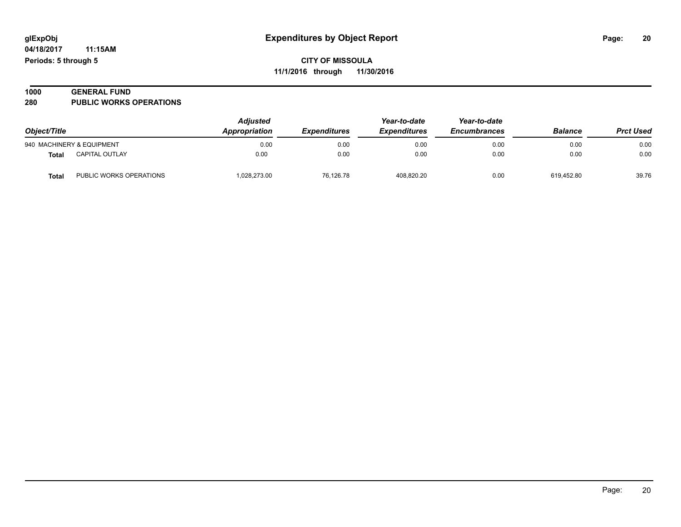#### **1000 GENERAL FUND 280 PUBLIC WORKS OPERATIONS**

| Object/Title |                           | <b>Adjusted</b><br>Appropriation | <i><b>Expenditures</b></i> | Year-to-date<br><b>Expenditures</b> | Year-to-date<br><b>Encumbrances</b> | <b>Balance</b> | <b>Prct Used</b> |
|--------------|---------------------------|----------------------------------|----------------------------|-------------------------------------|-------------------------------------|----------------|------------------|
|              | 940 MACHINERY & EQUIPMENT | 0.00                             | 0.00                       | 0.00                                | 0.00                                | 0.00           | 0.00             |
| Total        | <b>CAPITAL OUTLAY</b>     | 0.00                             | 0.00                       | 0.00                                | 0.00                                | 0.00           | 0.00             |
| <b>Total</b> | PUBLIC WORKS OPERATIONS   | 1,028,273.00                     | 76.126.78                  | 408.820.20                          | 0.00                                | 619.452.80     | 39.76            |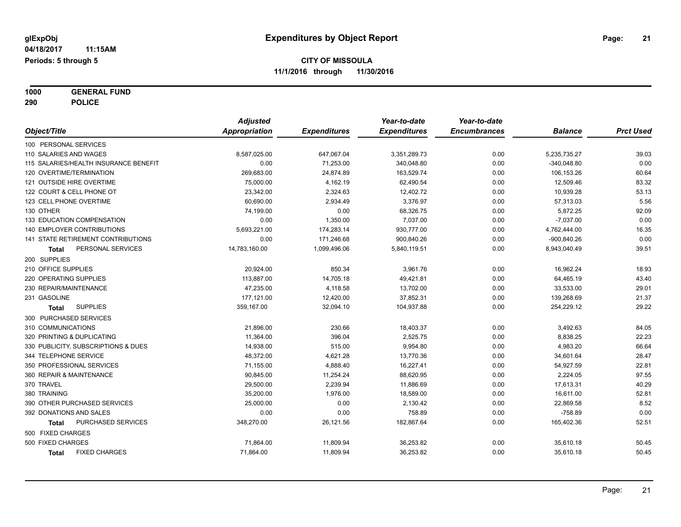**1000 GENERAL FUND 290 POLICE**

|                                       | <b>Adjusted</b>      |                     | Year-to-date        | Year-to-date        |                |                  |
|---------------------------------------|----------------------|---------------------|---------------------|---------------------|----------------|------------------|
| Object/Title                          | <b>Appropriation</b> | <b>Expenditures</b> | <b>Expenditures</b> | <b>Encumbrances</b> | <b>Balance</b> | <b>Prct Used</b> |
| 100 PERSONAL SERVICES                 |                      |                     |                     |                     |                |                  |
| 110 SALARIES AND WAGES                | 8,587,025.00         | 647,067.04          | 3,351,289.73        | 0.00                | 5,235,735.27   | 39.03            |
| 115 SALARIES/HEALTH INSURANCE BENEFIT | 0.00                 | 71,253.00           | 340,048.80          | 0.00                | $-340,048.80$  | 0.00             |
| 120 OVERTIME/TERMINATION              | 269,683.00           | 24,874.89           | 163,529.74          | 0.00                | 106,153.26     | 60.64            |
| 121 OUTSIDE HIRE OVERTIME             | 75,000.00            | 4,162.19            | 62,490.54           | 0.00                | 12,509.46      | 83.32            |
| 122 COURT & CELL PHONE OT             | 23,342.00            | 2,324.63            | 12,402.72           | 0.00                | 10,939.28      | 53.13            |
| 123 CELL PHONE OVERTIME               | 60.690.00            | 2,934.49            | 3,376.97            | 0.00                | 57,313.03      | 5.56             |
| 130 OTHER                             | 74,199.00            | 0.00                | 68,326.75           | 0.00                | 5,872.25       | 92.09            |
| 133 EDUCATION COMPENSATION            | 0.00                 | 1,350.00            | 7,037.00            | 0.00                | $-7,037.00$    | 0.00             |
| 140 EMPLOYER CONTRIBUTIONS            | 5,693,221.00         | 174,283.14          | 930,777.00          | 0.00                | 4,762,444.00   | 16.35            |
| 141 STATE RETIREMENT CONTRIBUTIONS    | 0.00                 | 171,246.68          | 900,840.26          | 0.00                | $-900,840.26$  | 0.00             |
| PERSONAL SERVICES<br>Total            | 14,783,160.00        | 1,099,496.06        | 5,840,119.51        | 0.00                | 8,943,040.49   | 39.51            |
| 200 SUPPLIES                          |                      |                     |                     |                     |                |                  |
| 210 OFFICE SUPPLIES                   | 20,924.00            | 850.34              | 3,961.76            | 0.00                | 16,962.24      | 18.93            |
| 220 OPERATING SUPPLIES                | 113,887.00           | 14,705.18           | 49,421.81           | 0.00                | 64,465.19      | 43.40            |
| 230 REPAIR/MAINTENANCE                | 47,235.00            | 4,118.58            | 13,702.00           | 0.00                | 33,533.00      | 29.01            |
| 231 GASOLINE                          | 177,121.00           | 12,420.00           | 37,852.31           | 0.00                | 139,268.69     | 21.37            |
| <b>SUPPLIES</b><br><b>Total</b>       | 359,167.00           | 32,094.10           | 104,937.88          | 0.00                | 254,229.12     | 29.22            |
| 300 PURCHASED SERVICES                |                      |                     |                     |                     |                |                  |
| 310 COMMUNICATIONS                    | 21,896.00            | 230.66              | 18,403.37           | 0.00                | 3,492.63       | 84.05            |
| 320 PRINTING & DUPLICATING            | 11,364.00            | 396.04              | 2,525.75            | 0.00                | 8,838.25       | 22.23            |
| 330 PUBLICITY, SUBSCRIPTIONS & DUES   | 14,938.00            | 515.00              | 9,954.80            | 0.00                | 4,983.20       | 66.64            |
| 344 TELEPHONE SERVICE                 | 48,372.00            | 4,621.28            | 13,770.36           | 0.00                | 34,601.64      | 28.47            |
| 350 PROFESSIONAL SERVICES             | 71,155.00            | 4,888.40            | 16,227.41           | 0.00                | 54,927.59      | 22.81            |
| 360 REPAIR & MAINTENANCE              | 90,845.00            | 11,254.24           | 88,620.95           | 0.00                | 2,224.05       | 97.55            |
| 370 TRAVEL                            | 29,500.00            | 2,239.94            | 11,886.69           | 0.00                | 17,613.31      | 40.29            |
| 380 TRAINING                          | 35,200.00            | 1,976.00            | 18,589.00           | 0.00                | 16,611.00      | 52.81            |
| 390 OTHER PURCHASED SERVICES          | 25,000.00            | 0.00                | 2,130.42            | 0.00                | 22,869.58      | 8.52             |
| 392 DONATIONS AND SALES               | 0.00                 | 0.00                | 758.89              | 0.00                | $-758.89$      | 0.00             |
| PURCHASED SERVICES<br>Total           | 348,270.00           | 26,121.56           | 182,867.64          | 0.00                | 165,402.36     | 52.51            |
| 500 FIXED CHARGES                     |                      |                     |                     |                     |                |                  |
| 500 FIXED CHARGES                     | 71,864.00            | 11,809.94           | 36,253.82           | 0.00                | 35,610.18      | 50.45            |
| <b>FIXED CHARGES</b><br><b>Total</b>  | 71,864.00            | 11,809.94           | 36,253.82           | 0.00                | 35,610.18      | 50.45            |
|                                       |                      |                     |                     |                     |                |                  |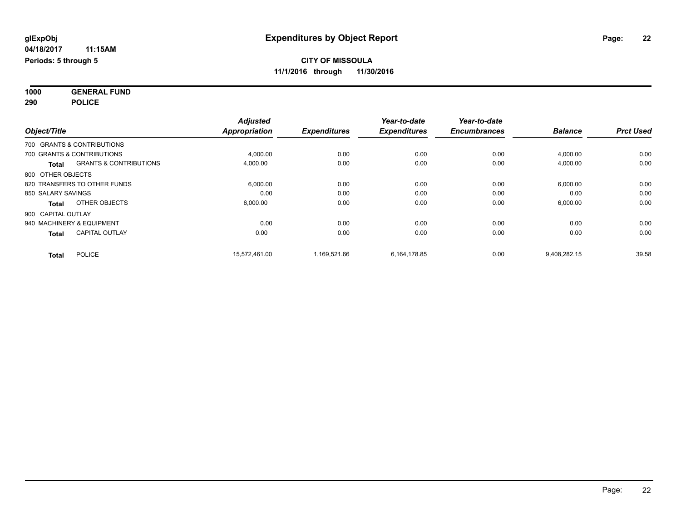**1000 GENERAL FUND 290 POLICE**

|                               |                                   | <b>Adjusted</b>      |                     | Year-to-date        | Year-to-date        |                |                  |
|-------------------------------|-----------------------------------|----------------------|---------------------|---------------------|---------------------|----------------|------------------|
| Object/Title                  |                                   | <b>Appropriation</b> | <b>Expenditures</b> | <b>Expenditures</b> | <b>Encumbrances</b> | <b>Balance</b> | <b>Prct Used</b> |
| 700 GRANTS & CONTRIBUTIONS    |                                   |                      |                     |                     |                     |                |                  |
| 700 GRANTS & CONTRIBUTIONS    |                                   | 4.000.00             | 0.00                | 0.00                | 0.00                | 4.000.00       | 0.00             |
| <b>Total</b>                  | <b>GRANTS &amp; CONTRIBUTIONS</b> | 4,000.00             | 0.00                | 0.00                | 0.00                | 4,000.00       | 0.00             |
| 800 OTHER OBJECTS             |                                   |                      |                     |                     |                     |                |                  |
| 820 TRANSFERS TO OTHER FUNDS  |                                   | 6.000.00             | 0.00                | 0.00                | 0.00                | 6,000.00       | 0.00             |
| 850 SALARY SAVINGS            |                                   | 0.00                 | 0.00                | 0.00                | 0.00                | 0.00           | 0.00             |
| <b>Total</b>                  | OTHER OBJECTS                     | 6.000.00             | 0.00                | 0.00                | 0.00                | 6,000.00       | 0.00             |
| 900 CAPITAL OUTLAY            |                                   |                      |                     |                     |                     |                |                  |
| 940 MACHINERY & EQUIPMENT     |                                   | 0.00                 | 0.00                | 0.00                | 0.00                | 0.00           | 0.00             |
| <b>Total</b>                  | <b>CAPITAL OUTLAY</b>             | 0.00                 | 0.00                | 0.00                | 0.00                | 0.00           | 0.00             |
| <b>POLICE</b><br><b>Total</b> |                                   | 15.572.461.00        | 1,169,521.66        | 6.164.178.85        | 0.00                | 9.408.282.15   | 39.58            |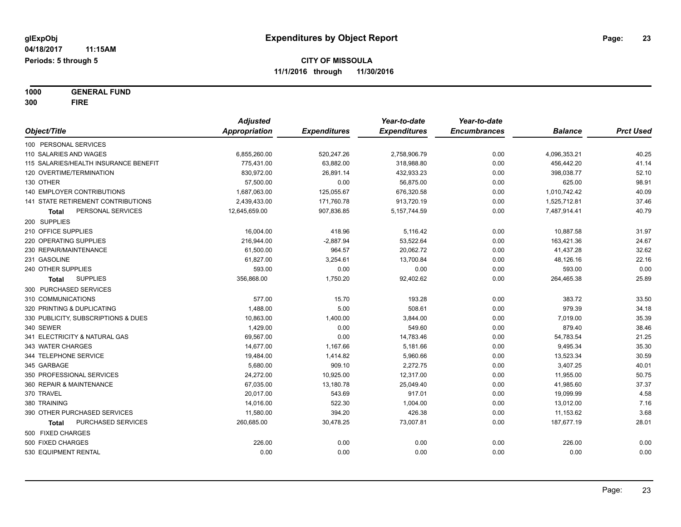**1000 GENERAL FUND 300 FIRE**

|                                       | <b>Adjusted</b>      |                     | Year-to-date        | Year-to-date        |                |                  |
|---------------------------------------|----------------------|---------------------|---------------------|---------------------|----------------|------------------|
| Object/Title                          | <b>Appropriation</b> | <b>Expenditures</b> | <b>Expenditures</b> | <b>Encumbrances</b> | <b>Balance</b> | <b>Prct Used</b> |
| 100 PERSONAL SERVICES                 |                      |                     |                     |                     |                |                  |
| 110 SALARIES AND WAGES                | 6,855,260.00         | 520,247.26          | 2,758,906.79        | 0.00                | 4,096,353.21   | 40.25            |
| 115 SALARIES/HEALTH INSURANCE BENEFIT | 775,431.00           | 63,882.00           | 318,988.80          | 0.00                | 456,442.20     | 41.14            |
| 120 OVERTIME/TERMINATION              | 830,972.00           | 26,891.14           | 432,933.23          | 0.00                | 398,038.77     | 52.10            |
| 130 OTHER                             | 57,500.00            | 0.00                | 56.875.00           | 0.00                | 625.00         | 98.91            |
| <b>140 EMPLOYER CONTRIBUTIONS</b>     | 1,687,063.00         | 125,055.67          | 676,320.58          | 0.00                | 1,010,742.42   | 40.09            |
| 141 STATE RETIREMENT CONTRIBUTIONS    | 2,439,433.00         | 171,760.78          | 913,720.19          | 0.00                | 1,525,712.81   | 37.46            |
| PERSONAL SERVICES<br><b>Total</b>     | 12,645,659.00        | 907,836.85          | 5, 157, 744.59      | 0.00                | 7,487,914.41   | 40.79            |
| 200 SUPPLIES                          |                      |                     |                     |                     |                |                  |
| 210 OFFICE SUPPLIES                   | 16,004.00            | 418.96              | 5,116.42            | 0.00                | 10,887.58      | 31.97            |
| 220 OPERATING SUPPLIES                | 216,944.00           | $-2,887.94$         | 53,522.64           | 0.00                | 163,421.36     | 24.67            |
| 230 REPAIR/MAINTENANCE                | 61,500.00            | 964.57              | 20,062.72           | 0.00                | 41,437.28      | 32.62            |
| 231 GASOLINE                          | 61,827.00            | 3,254.61            | 13,700.84           | 0.00                | 48,126.16      | 22.16            |
| 240 OTHER SUPPLIES                    | 593.00               | 0.00                | 0.00                | 0.00                | 593.00         | 0.00             |
| <b>SUPPLIES</b><br><b>Total</b>       | 356,868.00           | 1,750.20            | 92,402.62           | 0.00                | 264,465.38     | 25.89            |
| 300 PURCHASED SERVICES                |                      |                     |                     |                     |                |                  |
| 310 COMMUNICATIONS                    | 577.00               | 15.70               | 193.28              | 0.00                | 383.72         | 33.50            |
| 320 PRINTING & DUPLICATING            | 1.488.00             | 5.00                | 508.61              | 0.00                | 979.39         | 34.18            |
| 330 PUBLICITY, SUBSCRIPTIONS & DUES   | 10,863.00            | 1,400.00            | 3,844.00            | 0.00                | 7,019.00       | 35.39            |
| 340 SEWER                             | 1,429.00             | 0.00                | 549.60              | 0.00                | 879.40         | 38.46            |
| 341 ELECTRICITY & NATURAL GAS         | 69,567.00            | 0.00                | 14,783.46           | 0.00                | 54,783.54      | 21.25            |
| 343 WATER CHARGES                     | 14,677.00            | 1,167.66            | 5,181.66            | 0.00                | 9,495.34       | 35.30            |
| 344 TELEPHONE SERVICE                 | 19,484.00            | 1,414.82            | 5,960.66            | 0.00                | 13,523.34      | 30.59            |
| 345 GARBAGE                           | 5,680.00             | 909.10              | 2,272.75            | 0.00                | 3,407.25       | 40.01            |
| 350 PROFESSIONAL SERVICES             | 24,272.00            | 10,925.00           | 12,317.00           | 0.00                | 11,955.00      | 50.75            |
| 360 REPAIR & MAINTENANCE              | 67,035.00            | 13,180.78           | 25,049.40           | 0.00                | 41,985.60      | 37.37            |
| 370 TRAVEL                            | 20,017.00            | 543.69              | 917.01              | 0.00                | 19,099.99      | 4.58             |
| 380 TRAINING                          | 14,016.00            | 522.30              | 1,004.00            | 0.00                | 13,012.00      | 7.16             |
| 390 OTHER PURCHASED SERVICES          | 11,580.00            | 394.20              | 426.38              | 0.00                | 11,153.62      | 3.68             |
| PURCHASED SERVICES<br><b>Total</b>    | 260,685.00           | 30,478.25           | 73,007.81           | 0.00                | 187,677.19     | 28.01            |
| 500 FIXED CHARGES                     |                      |                     |                     |                     |                |                  |
| 500 FIXED CHARGES                     | 226.00               | 0.00                | 0.00                | 0.00                | 226.00         | 0.00             |
| 530 EQUIPMENT RENTAL                  | 0.00                 | 0.00                | 0.00                | 0.00                | 0.00           | 0.00             |
|                                       |                      |                     |                     |                     |                |                  |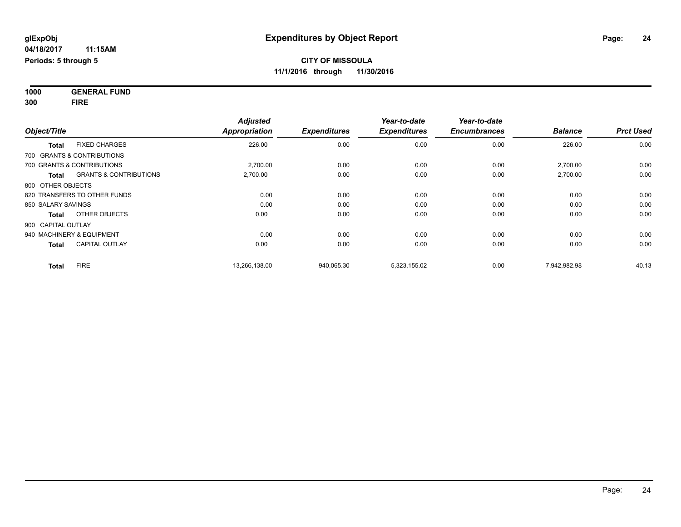**1000 GENERAL FUND 300 FIRE**

| Object/Title                                      | <b>Adjusted</b><br><b>Appropriation</b> | <b>Expenditures</b> | Year-to-date<br><b>Expenditures</b> | Year-to-date<br><b>Encumbrances</b> | <b>Balance</b> | <b>Prct Used</b> |
|---------------------------------------------------|-----------------------------------------|---------------------|-------------------------------------|-------------------------------------|----------------|------------------|
| <b>FIXED CHARGES</b><br><b>Total</b>              | 226.00                                  | 0.00                | 0.00                                | 0.00                                | 226.00         | 0.00             |
| 700 GRANTS & CONTRIBUTIONS                        |                                         |                     |                                     |                                     |                |                  |
| 700 GRANTS & CONTRIBUTIONS                        | 2.700.00                                | 0.00                | 0.00                                | 0.00                                | 2,700.00       | 0.00             |
| <b>GRANTS &amp; CONTRIBUTIONS</b><br><b>Total</b> | 2,700.00                                | 0.00                | 0.00                                | 0.00                                | 2,700.00       | 0.00             |
| 800 OTHER OBJECTS                                 |                                         |                     |                                     |                                     |                |                  |
| 820 TRANSFERS TO OTHER FUNDS                      | 0.00                                    | 0.00                | 0.00                                | 0.00                                | 0.00           | 0.00             |
| 850 SALARY SAVINGS                                | 0.00                                    | 0.00                | 0.00                                | 0.00                                | 0.00           | 0.00             |
| OTHER OBJECTS<br>Total                            | 0.00                                    | 0.00                | 0.00                                | 0.00                                | 0.00           | 0.00             |
| 900 CAPITAL OUTLAY                                |                                         |                     |                                     |                                     |                |                  |
| 940 MACHINERY & EQUIPMENT                         | 0.00                                    | 0.00                | 0.00                                | 0.00                                | 0.00           | 0.00             |
| <b>CAPITAL OUTLAY</b><br><b>Total</b>             | 0.00                                    | 0.00                | 0.00                                | 0.00                                | 0.00           | 0.00             |
| <b>FIRE</b><br><b>Total</b>                       | 13,266,138.00                           | 940,065.30          | 5,323,155.02                        | 0.00                                | 7,942,982.98   | 40.13            |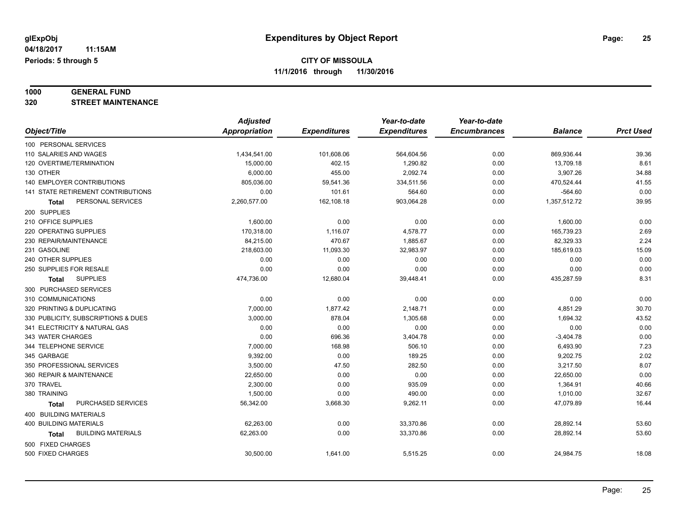# **1000 GENERAL FUND**

**320 STREET MAINTENANCE**

|                                     | <b>Adjusted</b>      |                     | Year-to-date        | Year-to-date        |                |                  |
|-------------------------------------|----------------------|---------------------|---------------------|---------------------|----------------|------------------|
| Object/Title                        | <b>Appropriation</b> | <b>Expenditures</b> | <b>Expenditures</b> | <b>Encumbrances</b> | <b>Balance</b> | <b>Prct Used</b> |
| 100 PERSONAL SERVICES               |                      |                     |                     |                     |                |                  |
| 110 SALARIES AND WAGES              | 1,434,541.00         | 101,608.06          | 564,604.56          | 0.00                | 869,936.44     | 39.36            |
| 120 OVERTIME/TERMINATION            | 15,000.00            | 402.15              | 1,290.82            | 0.00                | 13,709.18      | 8.61             |
| 130 OTHER                           | 6,000.00             | 455.00              | 2,092.74            | 0.00                | 3,907.26       | 34.88            |
| 140 EMPLOYER CONTRIBUTIONS          | 805,036.00           | 59,541.36           | 334,511.56          | 0.00                | 470,524.44     | 41.55            |
| 141 STATE RETIREMENT CONTRIBUTIONS  | 0.00                 | 101.61              | 564.60              | 0.00                | $-564.60$      | 0.00             |
| PERSONAL SERVICES<br>Total          | 2,260,577.00         | 162,108.18          | 903,064.28          | 0.00                | 1,357,512.72   | 39.95            |
| 200 SUPPLIES                        |                      |                     |                     |                     |                |                  |
| 210 OFFICE SUPPLIES                 | 1,600.00             | 0.00                | 0.00                | 0.00                | 1,600.00       | 0.00             |
| 220 OPERATING SUPPLIES              | 170,318.00           | 1,116.07            | 4,578.77            | 0.00                | 165,739.23     | 2.69             |
| 230 REPAIR/MAINTENANCE              | 84,215.00            | 470.67              | 1,885.67            | 0.00                | 82,329.33      | 2.24             |
| 231 GASOLINE                        | 218,603.00           | 11,093.30           | 32,983.97           | 0.00                | 185,619.03     | 15.09            |
| 240 OTHER SUPPLIES                  | 0.00                 | 0.00                | 0.00                | 0.00                | 0.00           | 0.00             |
| 250 SUPPLIES FOR RESALE             | 0.00                 | 0.00                | 0.00                | 0.00                | 0.00           | 0.00             |
| <b>SUPPLIES</b><br><b>Total</b>     | 474,736.00           | 12,680.04           | 39,448.41           | 0.00                | 435,287.59     | 8.31             |
| 300 PURCHASED SERVICES              |                      |                     |                     |                     |                |                  |
| 310 COMMUNICATIONS                  | 0.00                 | 0.00                | 0.00                | 0.00                | 0.00           | 0.00             |
| 320 PRINTING & DUPLICATING          | 7.000.00             | 1,877.42            | 2.148.71            | 0.00                | 4,851.29       | 30.70            |
| 330 PUBLICITY, SUBSCRIPTIONS & DUES | 3,000.00             | 878.04              | 1,305.68            | 0.00                | 1,694.32       | 43.52            |
| 341 ELECTRICITY & NATURAL GAS       | 0.00                 | 0.00                | 0.00                | 0.00                | 0.00           | 0.00             |
| 343 WATER CHARGES                   | 0.00                 | 696.36              | 3,404.78            | 0.00                | $-3,404.78$    | 0.00             |
| 344 TELEPHONE SERVICE               | 7,000.00             | 168.98              | 506.10              | 0.00                | 6,493.90       | 7.23             |
| 345 GARBAGE                         | 9,392.00             | 0.00                | 189.25              | 0.00                | 9,202.75       | 2.02             |
| 350 PROFESSIONAL SERVICES           | 3,500.00             | 47.50               | 282.50              | 0.00                | 3,217.50       | 8.07             |
| 360 REPAIR & MAINTENANCE            | 22,650.00            | 0.00                | 0.00                | 0.00                | 22,650.00      | 0.00             |
| 370 TRAVEL                          | 2,300.00             | 0.00                | 935.09              | 0.00                | 1,364.91       | 40.66            |
| 380 TRAINING                        | 1,500.00             | 0.00                | 490.00              | 0.00                | 1,010.00       | 32.67            |
| PURCHASED SERVICES<br><b>Total</b>  | 56,342.00            | 3,668.30            | 9,262.11            | 0.00                | 47,079.89      | 16.44            |
| 400 BUILDING MATERIALS              |                      |                     |                     |                     |                |                  |
| <b>400 BUILDING MATERIALS</b>       | 62,263.00            | 0.00                | 33,370.86           | 0.00                | 28,892.14      | 53.60            |
| <b>BUILDING MATERIALS</b><br>Total  | 62,263.00            | 0.00                | 33,370.86           | 0.00                | 28,892.14      | 53.60            |
| 500 FIXED CHARGES                   |                      |                     |                     |                     |                |                  |
| 500 FIXED CHARGES                   | 30,500.00            | 1,641.00            | 5,515.25            | 0.00                | 24,984.75      | 18.08            |
|                                     |                      |                     |                     |                     |                |                  |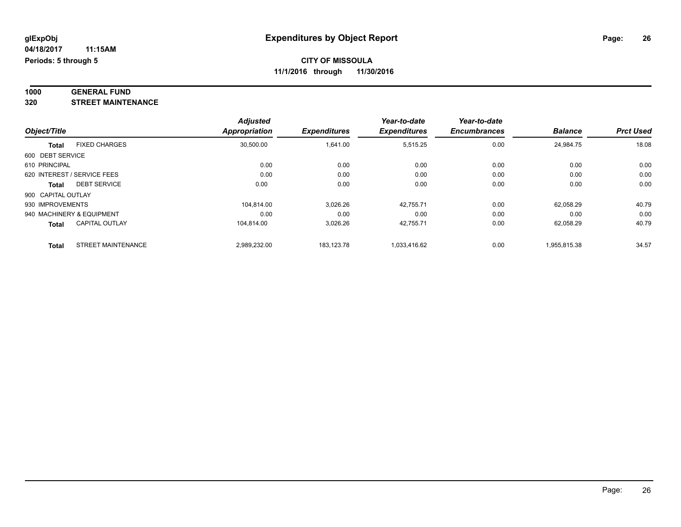#### **1000 GENERAL FUND 320 STREET MAINTENANCE**

| 320 | SIREEI MAINTENANCE |
|-----|--------------------|
|     |                    |

|                    |                             | <b>Adjusted</b>      |                     | Year-to-date        | Year-to-date        |                |                  |
|--------------------|-----------------------------|----------------------|---------------------|---------------------|---------------------|----------------|------------------|
| Object/Title       |                             | <b>Appropriation</b> | <b>Expenditures</b> | <b>Expenditures</b> | <b>Encumbrances</b> | <b>Balance</b> | <b>Prct Used</b> |
| Total              | <b>FIXED CHARGES</b>        | 30,500.00            | 1,641.00            | 5.515.25            | 0.00                | 24.984.75      | 18.08            |
| 600 DEBT SERVICE   |                             |                      |                     |                     |                     |                |                  |
| 610 PRINCIPAL      |                             | 0.00                 | 0.00                | 0.00                | 0.00                | 0.00           | 0.00             |
|                    | 620 INTEREST / SERVICE FEES | 0.00                 | 0.00                | 0.00                | 0.00                | 0.00           | 0.00             |
| Total              | <b>DEBT SERVICE</b>         | 0.00                 | 0.00                | 0.00                | 0.00                | 0.00           | 0.00             |
| 900 CAPITAL OUTLAY |                             |                      |                     |                     |                     |                |                  |
| 930 IMPROVEMENTS   |                             | 104.814.00           | 3,026.26            | 42,755.71           | 0.00                | 62.058.29      | 40.79            |
|                    | 940 MACHINERY & EQUIPMENT   | 0.00                 | 0.00                | 0.00                | 0.00                | 0.00           | 0.00             |
| <b>Total</b>       | <b>CAPITAL OUTLAY</b>       | 104.814.00           | 3,026.26            | 42,755.71           | 0.00                | 62,058.29      | 40.79            |
| <b>Total</b>       | <b>STREET MAINTENANCE</b>   | 2,989,232.00         | 183.123.78          | 1.033.416.62        | 0.00                | 1,955,815.38   | 34.57            |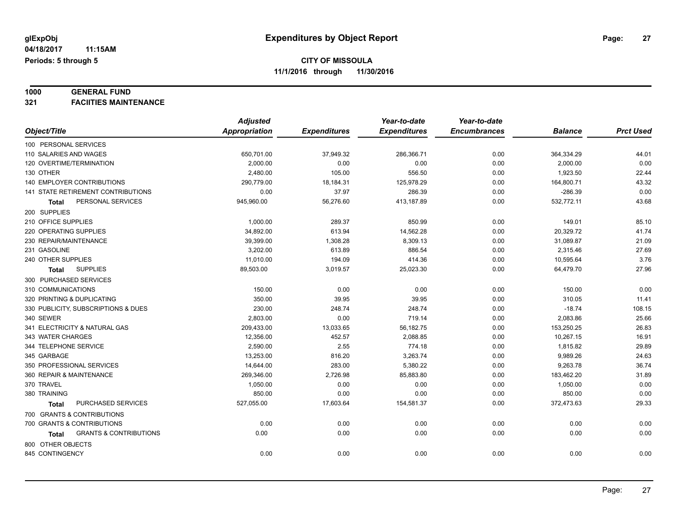# **1000 GENERAL FUND**

**321 FACIITIES MAINTENANCE**

|                                            | <b>Adjusted</b>      |                     | Year-to-date        | Year-to-date        |                |                  |
|--------------------------------------------|----------------------|---------------------|---------------------|---------------------|----------------|------------------|
| Object/Title                               | <b>Appropriation</b> | <b>Expenditures</b> | <b>Expenditures</b> | <b>Encumbrances</b> | <b>Balance</b> | <b>Prct Used</b> |
| 100 PERSONAL SERVICES                      |                      |                     |                     |                     |                |                  |
| 110 SALARIES AND WAGES                     | 650,701.00           | 37,949.32           | 286,366.71          | 0.00                | 364,334.29     | 44.01            |
| 120 OVERTIME/TERMINATION                   | 2,000.00             | 0.00                | 0.00                | 0.00                | 2,000.00       | 0.00             |
| 130 OTHER                                  | 2,480.00             | 105.00              | 556.50              | 0.00                | 1,923.50       | 22.44            |
| 140 EMPLOYER CONTRIBUTIONS                 | 290,779.00           | 18,184.31           | 125,978.29          | 0.00                | 164,800.71     | 43.32            |
| 141 STATE RETIREMENT CONTRIBUTIONS         | 0.00                 | 37.97               | 286.39              | 0.00                | $-286.39$      | 0.00             |
| PERSONAL SERVICES<br>Total                 | 945,960.00           | 56,276.60           | 413,187.89          | 0.00                | 532,772.11     | 43.68            |
| 200 SUPPLIES                               |                      |                     |                     |                     |                |                  |
| 210 OFFICE SUPPLIES                        | 1,000.00             | 289.37              | 850.99              | 0.00                | 149.01         | 85.10            |
| 220 OPERATING SUPPLIES                     | 34,892.00            | 613.94              | 14,562.28           | 0.00                | 20,329.72      | 41.74            |
| 230 REPAIR/MAINTENANCE                     | 39,399.00            | 1,308.28            | 8,309.13            | 0.00                | 31,089.87      | 21.09            |
| 231 GASOLINE                               | 3,202.00             | 613.89              | 886.54              | 0.00                | 2,315.46       | 27.69            |
| 240 OTHER SUPPLIES                         | 11,010.00            | 194.09              | 414.36              | 0.00                | 10,595.64      | 3.76             |
| <b>SUPPLIES</b><br><b>Total</b>            | 89,503.00            | 3,019.57            | 25,023.30           | 0.00                | 64,479.70      | 27.96            |
| 300 PURCHASED SERVICES                     |                      |                     |                     |                     |                |                  |
| 310 COMMUNICATIONS                         | 150.00               | 0.00                | 0.00                | 0.00                | 150.00         | 0.00             |
| 320 PRINTING & DUPLICATING                 | 350.00               | 39.95               | 39.95               | 0.00                | 310.05         | 11.41            |
| 330 PUBLICITY, SUBSCRIPTIONS & DUES        | 230.00               | 248.74              | 248.74              | 0.00                | $-18.74$       | 108.15           |
| 340 SEWER                                  | 2,803.00             | 0.00                | 719.14              | 0.00                | 2,083.86       | 25.66            |
| 341 ELECTRICITY & NATURAL GAS              | 209,433.00           | 13,033.65           | 56,182.75           | 0.00                | 153,250.25     | 26.83            |
| 343 WATER CHARGES                          | 12,356.00            | 452.57              | 2,088.85            | 0.00                | 10,267.15      | 16.91            |
| 344 TELEPHONE SERVICE                      | 2,590.00             | 2.55                | 774.18              | 0.00                | 1,815.82       | 29.89            |
| 345 GARBAGE                                | 13,253.00            | 816.20              | 3,263.74            | 0.00                | 9,989.26       | 24.63            |
| 350 PROFESSIONAL SERVICES                  | 14,644.00            | 283.00              | 5,380.22            | 0.00                | 9,263.78       | 36.74            |
| 360 REPAIR & MAINTENANCE                   | 269,346.00           | 2,726.98            | 85,883.80           | 0.00                | 183,462.20     | 31.89            |
| 370 TRAVEL                                 | 1,050.00             | 0.00                | 0.00                | 0.00                | 1,050.00       | 0.00             |
| 380 TRAINING                               | 850.00               | 0.00                | 0.00                | 0.00                | 850.00         | 0.00             |
| PURCHASED SERVICES<br>Total                | 527,055.00           | 17,603.64           | 154,581.37          | 0.00                | 372,473.63     | 29.33            |
| 700 GRANTS & CONTRIBUTIONS                 |                      |                     |                     |                     |                |                  |
| 700 GRANTS & CONTRIBUTIONS                 | 0.00                 | 0.00                | 0.00                | 0.00                | 0.00           | 0.00             |
| <b>GRANTS &amp; CONTRIBUTIONS</b><br>Total | 0.00                 | 0.00                | 0.00                | 0.00                | 0.00           | 0.00             |
| 800 OTHER OBJECTS                          |                      |                     |                     |                     |                |                  |
| 845 CONTINGENCY                            | 0.00                 | 0.00                | 0.00                | 0.00                | 0.00           | 0.00             |
|                                            |                      |                     |                     |                     |                |                  |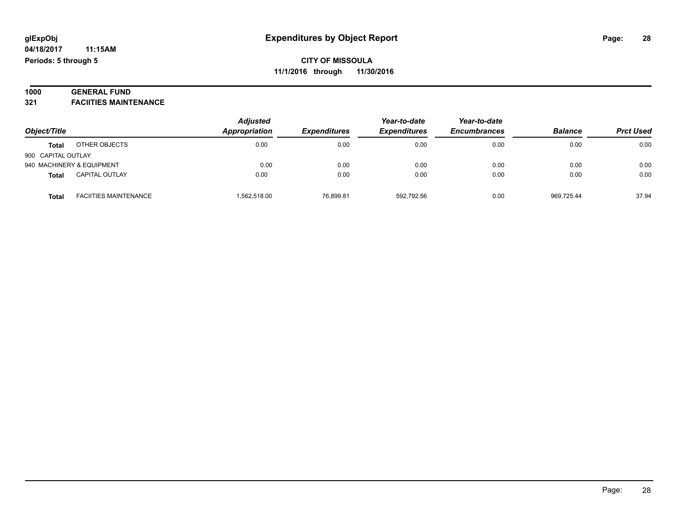#### **1000 GENERAL FUND 321 FACIITIES MAINTENANCE**

| -321 | <b>FACILILES MAIN LENANCE</b> |  |
|------|-------------------------------|--|
|      |                               |  |

| Object/Title              |                              | <b>Adjusted</b><br>Appropriation<br><b>Expenditures</b> | Year-to-date | Year-to-date        |                     |                |                  |
|---------------------------|------------------------------|---------------------------------------------------------|--------------|---------------------|---------------------|----------------|------------------|
|                           |                              |                                                         |              | <b>Expenditures</b> | <b>Encumbrances</b> | <b>Balance</b> | <b>Prct Used</b> |
| <b>Total</b>              | OTHER OBJECTS                | 0.00                                                    | 0.00         | 0.00                | 0.00                | 0.00           | 0.00             |
| 900 CAPITAL OUTLAY        |                              |                                                         |              |                     |                     |                |                  |
| 940 MACHINERY & EQUIPMENT |                              | 0.00                                                    | 0.00         | 0.00                | 0.00                | 0.00           | 0.00             |
| <b>Total</b>              | <b>CAPITAL OUTLAY</b>        | 0.00                                                    | 0.00         | 0.00                | 0.00                | 0.00           | 0.00             |
| Total                     | <b>FACIITIES MAINTENANCE</b> | .562,518.00                                             | 76,899.81    | 592,792.56          | 0.00                | 969.725.44     | 37.94            |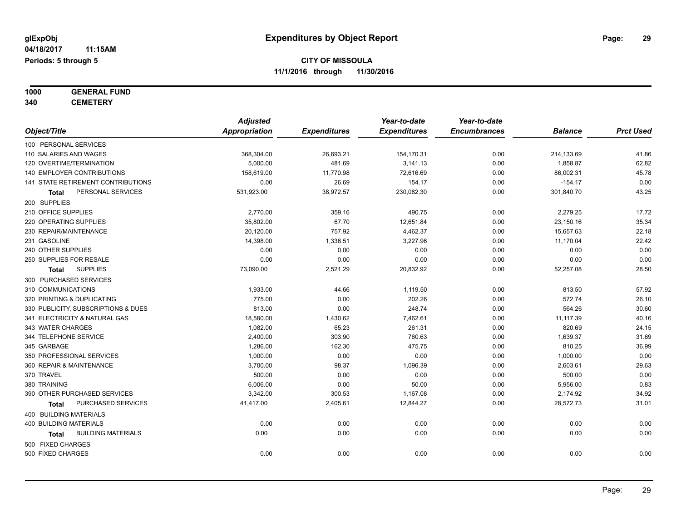#### **1000 GENERAL FUND 340 CEMETERY**

|                                           | <b>Adjusted</b>      |                     | Year-to-date        | Year-to-date        |                |                  |
|-------------------------------------------|----------------------|---------------------|---------------------|---------------------|----------------|------------------|
| Object/Title                              | <b>Appropriation</b> | <b>Expenditures</b> | <b>Expenditures</b> | <b>Encumbrances</b> | <b>Balance</b> | <b>Prct Used</b> |
| 100 PERSONAL SERVICES                     |                      |                     |                     |                     |                |                  |
| 110 SALARIES AND WAGES                    | 368,304.00           | 26,693.21           | 154,170.31          | 0.00                | 214,133.69     | 41.86            |
| 120 OVERTIME/TERMINATION                  | 5,000.00             | 481.69              | 3,141.13            | 0.00                | 1,858.87       | 62.82            |
| 140 EMPLOYER CONTRIBUTIONS                | 158,619.00           | 11,770.98           | 72,616.69           | 0.00                | 86,002.31      | 45.78            |
| 141 STATE RETIREMENT CONTRIBUTIONS        | 0.00                 | 26.69               | 154.17              | 0.00                | $-154.17$      | 0.00             |
| PERSONAL SERVICES<br><b>Total</b>         | 531,923.00           | 38,972.57           | 230,082.30          | 0.00                | 301,840.70     | 43.25            |
| 200 SUPPLIES                              |                      |                     |                     |                     |                |                  |
| 210 OFFICE SUPPLIES                       | 2,770.00             | 359.16              | 490.75              | 0.00                | 2,279.25       | 17.72            |
| 220 OPERATING SUPPLIES                    | 35,802.00            | 67.70               | 12,651.84           | 0.00                | 23,150.16      | 35.34            |
| 230 REPAIR/MAINTENANCE                    | 20,120.00            | 757.92              | 4,462.37            | 0.00                | 15,657.63      | 22.18            |
| 231 GASOLINE                              | 14,398.00            | 1,336.51            | 3,227.96            | 0.00                | 11,170.04      | 22.42            |
| 240 OTHER SUPPLIES                        | 0.00                 | 0.00                | 0.00                | 0.00                | 0.00           | 0.00             |
| 250 SUPPLIES FOR RESALE                   | 0.00                 | 0.00                | 0.00                | 0.00                | 0.00           | 0.00             |
| <b>SUPPLIES</b><br><b>Total</b>           | 73,090.00            | 2,521.29            | 20,832.92           | 0.00                | 52,257.08      | 28.50            |
| 300 PURCHASED SERVICES                    |                      |                     |                     |                     |                |                  |
| 310 COMMUNICATIONS                        | 1,933.00             | 44.66               | 1,119.50            | 0.00                | 813.50         | 57.92            |
| 320 PRINTING & DUPLICATING                | 775.00               | 0.00                | 202.26              | 0.00                | 572.74         | 26.10            |
| 330 PUBLICITY, SUBSCRIPTIONS & DUES       | 813.00               | 0.00                | 248.74              | 0.00                | 564.26         | 30.60            |
| 341 ELECTRICITY & NATURAL GAS             | 18,580.00            | 1,430.62            | 7,462.61            | 0.00                | 11,117.39      | 40.16            |
| 343 WATER CHARGES                         | 1,082.00             | 65.23               | 261.31              | 0.00                | 820.69         | 24.15            |
| 344 TELEPHONE SERVICE                     | 2.400.00             | 303.90              | 760.63              | 0.00                | 1,639.37       | 31.69            |
| 345 GARBAGE                               | 1,286.00             | 162.30              | 475.75              | 0.00                | 810.25         | 36.99            |
| 350 PROFESSIONAL SERVICES                 | 1,000.00             | 0.00                | 0.00                | 0.00                | 1,000.00       | 0.00             |
| 360 REPAIR & MAINTENANCE                  | 3,700.00             | 98.37               | 1,096.39            | 0.00                | 2,603.61       | 29.63            |
| 370 TRAVEL                                | 500.00               | 0.00                | 0.00                | 0.00                | 500.00         | 0.00             |
| 380 TRAINING                              | 6,006.00             | 0.00                | 50.00               | 0.00                | 5,956.00       | 0.83             |
| 390 OTHER PURCHASED SERVICES              | 3,342.00             | 300.53              | 1,167.08            | 0.00                | 2,174.92       | 34.92            |
| PURCHASED SERVICES<br>Total               | 41,417.00            | 2,405.61            | 12,844.27           | 0.00                | 28,572.73      | 31.01            |
| 400 BUILDING MATERIALS                    |                      |                     |                     |                     |                |                  |
| <b>400 BUILDING MATERIALS</b>             | 0.00                 | 0.00                | 0.00                | 0.00                | 0.00           | 0.00             |
| <b>BUILDING MATERIALS</b><br><b>Total</b> | 0.00                 | 0.00                | 0.00                | 0.00                | 0.00           | 0.00             |
| 500 FIXED CHARGES                         |                      |                     |                     |                     |                |                  |
| 500 FIXED CHARGES                         | 0.00                 | 0.00                | 0.00                | 0.00                | 0.00           | 0.00             |
|                                           |                      |                     |                     |                     |                |                  |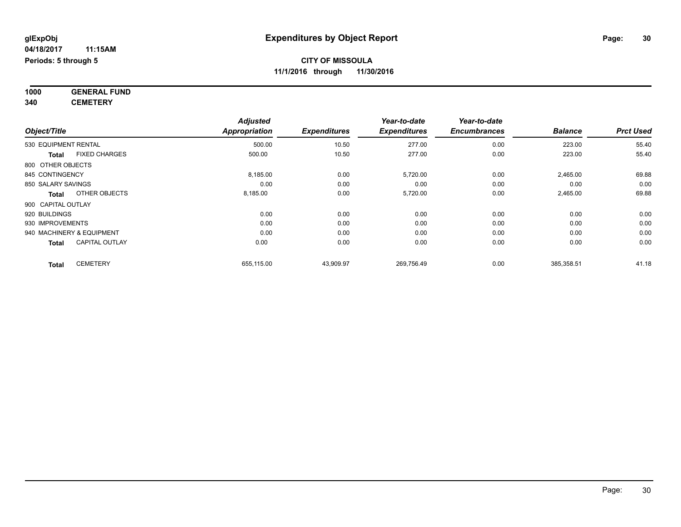**1000 GENERAL FUND 340 CEMETERY**

*Object/Title Adjusted Appropriation Expenditures Year-to-date Expenditures Year-to-date Encumbrances Balance Prct Used*  $500.00$  10.50 277.00 0.00 0.00 223.00 223.00 55.40 **Total** FIXED CHARGES 500.00 10.50 277.00 0.00 223.00 55.40 800 OTHER OBJECTS 845 CONTINGENCY 8,185.00 0.00 5,720.00 0.00 2,465.00 69.88 850 SALARY SAVINGS 0.00 0.00 0.00 0.00 0.00 0.00 **Total** OTHER OBJECTS 8,185.00 0.00 5,720.00 0.00 2,465.00 69.88 900 CAPITAL OUTLAY 920 BUILDINGS 0.00 0.00 0.00 0.00 0.00 0.00 930 IMPROVEMENTS 0.00 0.00 0.00 0.00 0.00 0.00 940 MACHINERY & EQUIPMENT 0.00 0.00 0.00 0.00 0.00 0.00 **Total** CAPITAL OUTLAY 0.00 0.00 0.00 0.00 0.00 0.00 **Total** CEMETERY 655,115.00 43,909.97 269,756.49 0.00 385,358.51 41.18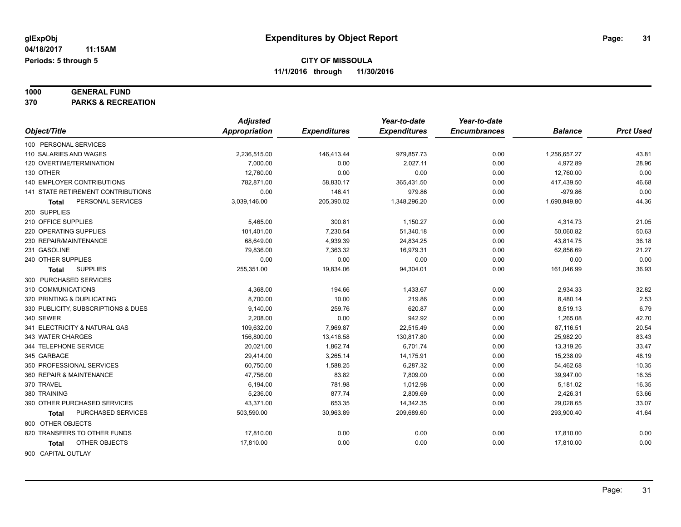# **1000 GENERAL FUND**

**370 PARKS & RECREATION**

|                                     | <b>Adjusted</b>      |                     | Year-to-date        | Year-to-date        |                |                  |
|-------------------------------------|----------------------|---------------------|---------------------|---------------------|----------------|------------------|
| Object/Title                        | <b>Appropriation</b> | <b>Expenditures</b> | <b>Expenditures</b> | <b>Encumbrances</b> | <b>Balance</b> | <b>Prct Used</b> |
| 100 PERSONAL SERVICES               |                      |                     |                     |                     |                |                  |
| 110 SALARIES AND WAGES              | 2,236,515.00         | 146,413.44          | 979,857.73          | 0.00                | 1,256,657.27   | 43.81            |
| 120 OVERTIME/TERMINATION            | 7,000.00             | 0.00                | 2,027.11            | 0.00                | 4,972.89       | 28.96            |
| 130 OTHER                           | 12,760.00            | 0.00                | 0.00                | 0.00                | 12,760.00      | 0.00             |
| 140 EMPLOYER CONTRIBUTIONS          | 782,871.00           | 58,830.17           | 365,431.50          | 0.00                | 417,439.50     | 46.68            |
| 141 STATE RETIREMENT CONTRIBUTIONS  | 0.00                 | 146.41              | 979.86              | 0.00                | $-979.86$      | 0.00             |
| PERSONAL SERVICES<br>Total          | 3,039,146.00         | 205,390.02          | 1,348,296.20        | 0.00                | 1,690,849.80   | 44.36            |
| 200 SUPPLIES                        |                      |                     |                     |                     |                |                  |
| 210 OFFICE SUPPLIES                 | 5,465.00             | 300.81              | 1,150.27            | 0.00                | 4,314.73       | 21.05            |
| 220 OPERATING SUPPLIES              | 101,401.00           | 7,230.54            | 51,340.18           | 0.00                | 50,060.82      | 50.63            |
| 230 REPAIR/MAINTENANCE              | 68,649.00            | 4,939.39            | 24,834.25           | 0.00                | 43,814.75      | 36.18            |
| 231 GASOLINE                        | 79,836.00            | 7,363.32            | 16,979.31           | 0.00                | 62,856.69      | 21.27            |
| 240 OTHER SUPPLIES                  | 0.00                 | 0.00                | 0.00                | 0.00                | 0.00           | 0.00             |
| <b>SUPPLIES</b><br>Total            | 255,351.00           | 19,834.06           | 94,304.01           | 0.00                | 161,046.99     | 36.93            |
| 300 PURCHASED SERVICES              |                      |                     |                     |                     |                |                  |
| 310 COMMUNICATIONS                  | 4,368.00             | 194.66              | 1,433.67            | 0.00                | 2,934.33       | 32.82            |
| 320 PRINTING & DUPLICATING          | 8,700.00             | 10.00               | 219.86              | 0.00                | 8,480.14       | 2.53             |
| 330 PUBLICITY, SUBSCRIPTIONS & DUES | 9,140.00             | 259.76              | 620.87              | 0.00                | 8,519.13       | 6.79             |
| 340 SEWER                           | 2,208.00             | 0.00                | 942.92              | 0.00                | 1,265.08       | 42.70            |
| 341 ELECTRICITY & NATURAL GAS       | 109,632.00           | 7,969.87            | 22,515.49           | 0.00                | 87,116.51      | 20.54            |
| 343 WATER CHARGES                   | 156,800.00           | 13,416.58           | 130,817.80          | 0.00                | 25,982.20      | 83.43            |
| 344 TELEPHONE SERVICE               | 20,021.00            | 1,862.74            | 6,701.74            | 0.00                | 13,319.26      | 33.47            |
| 345 GARBAGE                         | 29,414.00            | 3,265.14            | 14,175.91           | 0.00                | 15,238.09      | 48.19            |
| 350 PROFESSIONAL SERVICES           | 60,750.00            | 1,588.25            | 6,287.32            | 0.00                | 54,462.68      | 10.35            |
| 360 REPAIR & MAINTENANCE            | 47,756.00            | 83.82               | 7,809.00            | 0.00                | 39,947.00      | 16.35            |
| 370 TRAVEL                          | 6,194.00             | 781.98              | 1,012.98            | 0.00                | 5,181.02       | 16.35            |
| 380 TRAINING                        | 5,236.00             | 877.74              | 2,809.69            | 0.00                | 2,426.31       | 53.66            |
| 390 OTHER PURCHASED SERVICES        | 43,371.00            | 653.35              | 14,342.35           | 0.00                | 29,028.65      | 33.07            |
| PURCHASED SERVICES<br>Total         | 503,590.00           | 30,963.89           | 209,689.60          | 0.00                | 293,900.40     | 41.64            |
| 800 OTHER OBJECTS                   |                      |                     |                     |                     |                |                  |
| 820 TRANSFERS TO OTHER FUNDS        | 17,810.00            | 0.00                | 0.00                | 0.00                | 17,810.00      | 0.00             |
| OTHER OBJECTS<br><b>Total</b>       | 17,810.00            | 0.00                | 0.00                | 0.00                | 17,810.00      | 0.00             |
| 900 CAPITAL OUTLAY                  |                      |                     |                     |                     |                |                  |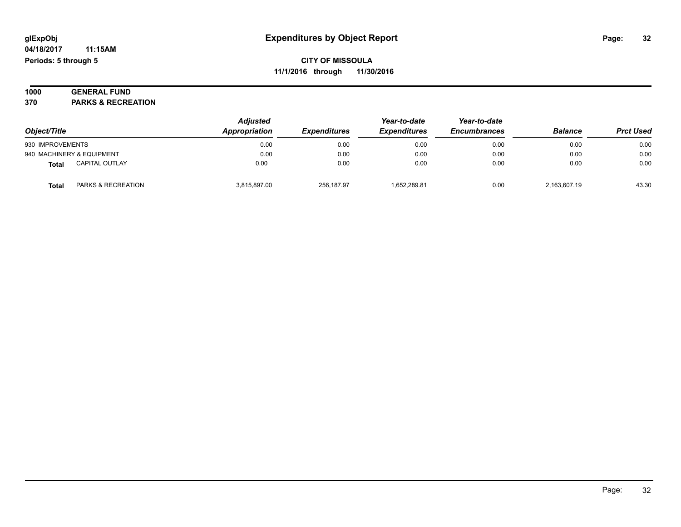#### **1000 GENERAL FUND 370 PARKS & RECREATION**

| Object/Title                           | <b>Adjusted</b><br><b>Appropriation</b> | <i><b>Expenditures</b></i> | Year-to-date<br><b>Expenditures</b> | Year-to-date<br><b>Encumbrances</b> | <b>Balance</b> | <b>Prct Used</b> |
|----------------------------------------|-----------------------------------------|----------------------------|-------------------------------------|-------------------------------------|----------------|------------------|
| 930 IMPROVEMENTS                       | 0.00                                    | 0.00                       | 0.00                                | 0.00                                | 0.00           | 0.00             |
| 940 MACHINERY & EQUIPMENT              | 0.00                                    | 0.00                       | 0.00                                | 0.00                                | 0.00           | 0.00             |
| <b>CAPITAL OUTLAY</b><br>Total         | 0.00                                    | 0.00                       | 0.00                                | 0.00                                | 0.00           | 0.00             |
| <b>PARKS &amp; RECREATION</b><br>Total | 3,815,897.00                            | 256.187.97                 | 1.652.289.81                        | 0.00                                | 2,163,607.19   | 43.30            |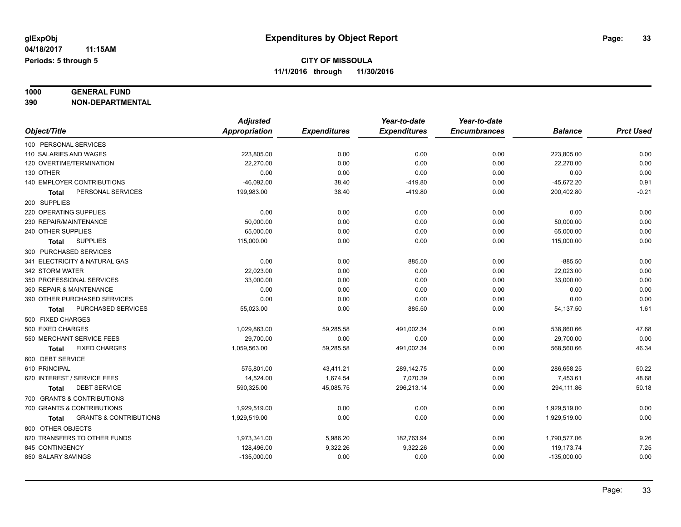# **1000 GENERAL FUND**

**390 NON-DEPARTMENTAL**

|                                                   | <b>Adjusted</b> |                     | Year-to-date        | Year-to-date        |                |                  |
|---------------------------------------------------|-----------------|---------------------|---------------------|---------------------|----------------|------------------|
| Object/Title                                      | Appropriation   | <b>Expenditures</b> | <b>Expenditures</b> | <b>Encumbrances</b> | <b>Balance</b> | <b>Prct Used</b> |
| 100 PERSONAL SERVICES                             |                 |                     |                     |                     |                |                  |
| 110 SALARIES AND WAGES                            | 223,805.00      | 0.00                | 0.00                | 0.00                | 223,805.00     | 0.00             |
| 120 OVERTIME/TERMINATION                          | 22,270.00       | 0.00                | 0.00                | 0.00                | 22,270.00      | 0.00             |
| 130 OTHER                                         | 0.00            | 0.00                | 0.00                | 0.00                | 0.00           | 0.00             |
| 140 EMPLOYER CONTRIBUTIONS                        | $-46,092.00$    | 38.40               | $-419.80$           | 0.00                | $-45,672.20$   | 0.91             |
| PERSONAL SERVICES<br>Total                        | 199,983.00      | 38.40               | $-419.80$           | 0.00                | 200,402.80     | $-0.21$          |
| 200 SUPPLIES                                      |                 |                     |                     |                     |                |                  |
| 220 OPERATING SUPPLIES                            | 0.00            | 0.00                | 0.00                | 0.00                | 0.00           | 0.00             |
| 230 REPAIR/MAINTENANCE                            | 50,000.00       | 0.00                | 0.00                | 0.00                | 50,000.00      | 0.00             |
| 240 OTHER SUPPLIES                                | 65,000.00       | 0.00                | 0.00                | 0.00                | 65,000.00      | 0.00             |
| <b>SUPPLIES</b><br>Total                          | 115,000.00      | 0.00                | 0.00                | 0.00                | 115,000.00     | 0.00             |
| 300 PURCHASED SERVICES                            |                 |                     |                     |                     |                |                  |
| 341 ELECTRICITY & NATURAL GAS                     | 0.00            | 0.00                | 885.50              | 0.00                | $-885.50$      | 0.00             |
| 342 STORM WATER                                   | 22,023.00       | 0.00                | 0.00                | 0.00                | 22,023.00      | 0.00             |
| 350 PROFESSIONAL SERVICES                         | 33,000.00       | 0.00                | 0.00                | 0.00                | 33,000.00      | 0.00             |
| 360 REPAIR & MAINTENANCE                          | 0.00            | 0.00                | 0.00                | 0.00                | 0.00           | 0.00             |
| 390 OTHER PURCHASED SERVICES                      | 0.00            | 0.00                | 0.00                | 0.00                | 0.00           | 0.00             |
| <b>PURCHASED SERVICES</b><br>Total                | 55,023.00       | 0.00                | 885.50              | 0.00                | 54,137.50      | 1.61             |
| 500 FIXED CHARGES                                 |                 |                     |                     |                     |                |                  |
| 500 FIXED CHARGES                                 | 1,029,863.00    | 59,285.58           | 491,002.34          | 0.00                | 538,860.66     | 47.68            |
| 550 MERCHANT SERVICE FEES                         | 29,700.00       | 0.00                | 0.00                | 0.00                | 29,700.00      | 0.00             |
| <b>FIXED CHARGES</b><br>Total                     | 1,059,563.00    | 59,285.58           | 491,002.34          | 0.00                | 568,560.66     | 46.34            |
| 600 DEBT SERVICE                                  |                 |                     |                     |                     |                |                  |
| 610 PRINCIPAL                                     | 575,801.00      | 43,411.21           | 289,142.75          | 0.00                | 286,658.25     | 50.22            |
| 620 INTEREST / SERVICE FEES                       | 14,524.00       | 1,674.54            | 7,070.39            | 0.00                | 7,453.61       | 48.68            |
| <b>DEBT SERVICE</b><br>Total                      | 590,325.00      | 45,085.75           | 296,213.14          | 0.00                | 294,111.86     | 50.18            |
| 700 GRANTS & CONTRIBUTIONS                        |                 |                     |                     |                     |                |                  |
| 700 GRANTS & CONTRIBUTIONS                        | 1,929,519.00    | 0.00                | 0.00                | 0.00                | 1,929,519.00   | 0.00             |
| <b>GRANTS &amp; CONTRIBUTIONS</b><br><b>Total</b> | 1,929,519.00    | 0.00                | 0.00                | 0.00                | 1,929,519.00   | 0.00             |
| 800 OTHER OBJECTS                                 |                 |                     |                     |                     |                |                  |
| 820 TRANSFERS TO OTHER FUNDS                      | 1,973,341.00    | 5,986.20            | 182,763.94          | 0.00                | 1,790,577.06   | 9.26             |
| 845 CONTINGENCY                                   | 128,496.00      | 9,322.26            | 9,322.26            | 0.00                | 119,173.74     | 7.25             |
| 850 SALARY SAVINGS                                | $-135,000.00$   | 0.00                | 0.00                | 0.00                | $-135,000.00$  | 0.00             |
|                                                   |                 |                     |                     |                     |                |                  |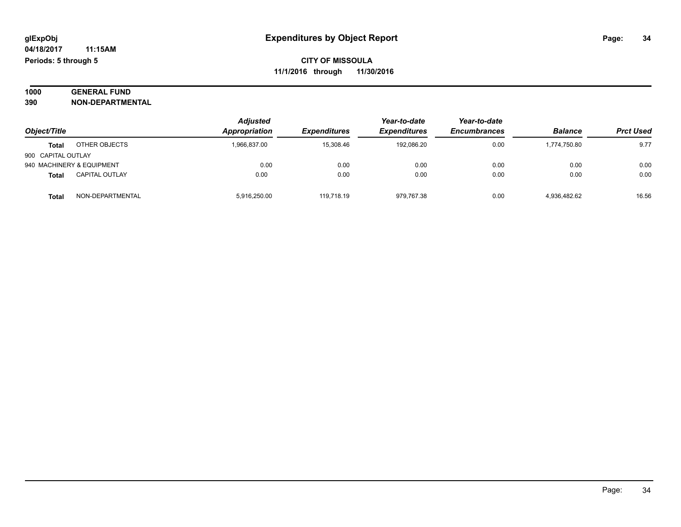| 1000 | <b>GENERAL FUND</b>     |
|------|-------------------------|
| 390  | <b>NON-DEPARTMENTAL</b> |

|                    |                           | <b>Adjusted</b> | Year-to-date        | Year-to-date        |                     |                |                  |
|--------------------|---------------------------|-----------------|---------------------|---------------------|---------------------|----------------|------------------|
| Object/Title       |                           | Appropriation   | <b>Expenditures</b> | <b>Expenditures</b> | <b>Encumbrances</b> | <b>Balance</b> | <b>Prct Used</b> |
| Total              | OTHER OBJECTS             | 1,966,837.00    | 15,308.46           | 192,086.20          | 0.00                | 1,774,750.80   | 9.77             |
| 900 CAPITAL OUTLAY |                           |                 |                     |                     |                     |                |                  |
|                    | 940 MACHINERY & EQUIPMENT | 0.00            | 0.00                | 0.00                | 0.00                | 0.00           | 0.00             |
| <b>Total</b>       | <b>CAPITAL OUTLAY</b>     | 0.00            | 0.00                | 0.00                | 0.00                | 0.00           | 0.00             |
| <b>Total</b>       | NON-DEPARTMENTAL          | 5,916,250.00    | 119.718.19          | 979,767.38          | 0.00                | 4,936,482.62   | 16.56            |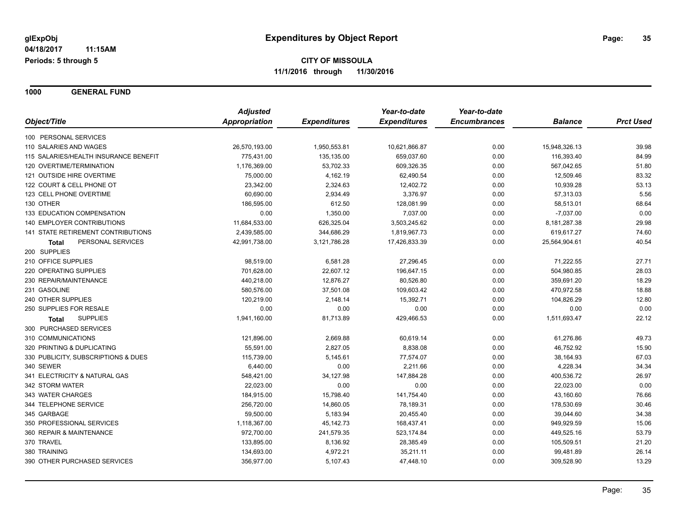**1000 GENERAL FUND**

|                                       | <b>Adjusted</b> |                     | Year-to-date        | Year-to-date        |                |                  |
|---------------------------------------|-----------------|---------------------|---------------------|---------------------|----------------|------------------|
| Object/Title                          | Appropriation   | <b>Expenditures</b> | <b>Expenditures</b> | <b>Encumbrances</b> | <b>Balance</b> | <b>Prct Used</b> |
| 100 PERSONAL SERVICES                 |                 |                     |                     |                     |                |                  |
| 110 SALARIES AND WAGES                | 26,570,193.00   | 1,950,553.81        | 10,621,866.87       | 0.00                | 15,948,326.13  | 39.98            |
| 115 SALARIES/HEALTH INSURANCE BENEFIT | 775,431.00      | 135,135.00          | 659,037.60          | 0.00                | 116,393.40     | 84.99            |
| 120 OVERTIME/TERMINATION              | 1,176,369.00    | 53,702.33           | 609,326.35          | 0.00                | 567,042.65     | 51.80            |
| 121 OUTSIDE HIRE OVERTIME             | 75,000.00       | 4,162.19            | 62,490.54           | 0.00                | 12,509.46      | 83.32            |
| 122 COURT & CELL PHONE OT             | 23,342.00       | 2,324.63            | 12,402.72           | 0.00                | 10,939.28      | 53.13            |
| 123 CELL PHONE OVERTIME               | 60,690.00       | 2,934.49            | 3,376.97            | 0.00                | 57,313.03      | 5.56             |
| 130 OTHER                             | 186,595.00      | 612.50              | 128,081.99          | 0.00                | 58,513.01      | 68.64            |
| 133 EDUCATION COMPENSATION            | 0.00            | 1,350.00            | 7,037.00            | 0.00                | $-7,037.00$    | 0.00             |
| 140 EMPLOYER CONTRIBUTIONS            | 11,684,533.00   | 626,325.04          | 3,503,245.62        | 0.00                | 8,181,287.38   | 29.98            |
| 141 STATE RETIREMENT CONTRIBUTIONS    | 2,439,585.00    | 344,686.29          | 1,819,967.73        | 0.00                | 619,617.27     | 74.60            |
| PERSONAL SERVICES<br><b>Total</b>     | 42,991,738.00   | 3,121,786.28        | 17,426,833.39       | 0.00                | 25,564,904.61  | 40.54            |
| 200 SUPPLIES                          |                 |                     |                     |                     |                |                  |
| 210 OFFICE SUPPLIES                   | 98,519.00       | 6,581.28            | 27,296.45           | 0.00                | 71,222.55      | 27.71            |
| 220 OPERATING SUPPLIES                | 701,628.00      | 22,607.12           | 196,647.15          | 0.00                | 504,980.85     | 28.03            |
| 230 REPAIR/MAINTENANCE                | 440,218.00      | 12,876.27           | 80,526.80           | 0.00                | 359,691.20     | 18.29            |
| 231 GASOLINE                          | 580,576.00      | 37,501.08           | 109,603.42          | 0.00                | 470,972.58     | 18.88            |
| 240 OTHER SUPPLIES                    | 120,219.00      | 2,148.14            | 15,392.71           | 0.00                | 104,826.29     | 12.80            |
| 250 SUPPLIES FOR RESALE               | 0.00            | 0.00                | 0.00                | 0.00                | 0.00           | 0.00             |
| <b>SUPPLIES</b><br>Total              | 1,941,160.00    | 81,713.89           | 429,466.53          | 0.00                | 1,511,693.47   | 22.12            |
| 300 PURCHASED SERVICES                |                 |                     |                     |                     |                |                  |
| 310 COMMUNICATIONS                    | 121,896.00      | 2,669.88            | 60,619.14           | 0.00                | 61,276.86      | 49.73            |
| 320 PRINTING & DUPLICATING            | 55,591.00       | 2,827.05            | 8,838.08            | 0.00                | 46,752.92      | 15.90            |
| 330 PUBLICITY, SUBSCRIPTIONS & DUES   | 115,739.00      | 5,145.61            | 77,574.07           | 0.00                | 38,164.93      | 67.03            |
| 340 SEWER                             | 6,440.00        | 0.00                | 2,211.66            | 0.00                | 4,228.34       | 34.34            |
| 341 ELECTRICITY & NATURAL GAS         | 548,421.00      | 34,127.98           | 147,884.28          | 0.00                | 400,536.72     | 26.97            |
| 342 STORM WATER                       | 22,023.00       | 0.00                | 0.00                | 0.00                | 22,023.00      | 0.00             |
| 343 WATER CHARGES                     | 184,915.00      | 15,798.40           | 141,754.40          | 0.00                | 43,160.60      | 76.66            |
| 344 TELEPHONE SERVICE                 | 256,720.00      | 14,860.05           | 78,189.31           | 0.00                | 178,530.69     | 30.46            |
| 345 GARBAGE                           | 59,500.00       | 5,183.94            | 20,455.40           | 0.00                | 39,044.60      | 34.38            |
| 350 PROFESSIONAL SERVICES             | 1,118,367.00    | 45,142.73           | 168,437.41          | 0.00                | 949,929.59     | 15.06            |
| 360 REPAIR & MAINTENANCE              | 972,700.00      | 241,579.35          | 523,174.84          | 0.00                | 449,525.16     | 53.79            |
| 370 TRAVEL                            | 133,895.00      | 8,136.92            | 28,385.49           | 0.00                | 105,509.51     | 21.20            |
| 380 TRAINING                          | 134,693.00      | 4,972.21            | 35,211.11           | 0.00                | 99,481.89      | 26.14            |
| 390 OTHER PURCHASED SERVICES          | 356,977.00      | 5,107.43            | 47,448.10           | 0.00                | 309,528.90     | 13.29            |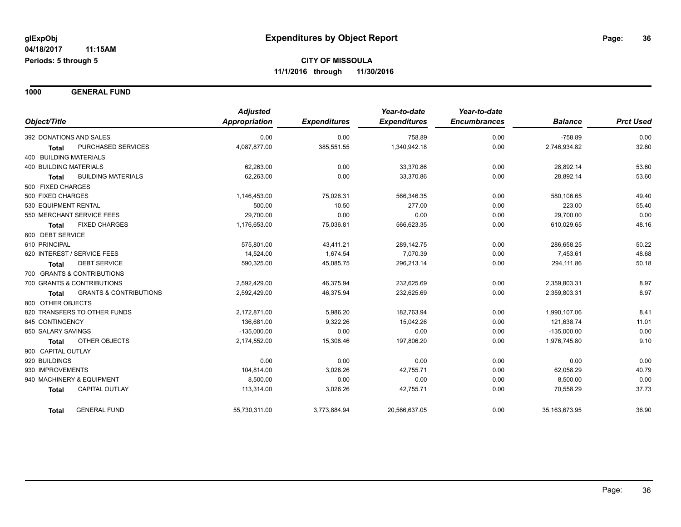**1000 GENERAL FUND**

|                                                   | <b>Adjusted</b> |                     | Year-to-date        | Year-to-date        |                  |                  |
|---------------------------------------------------|-----------------|---------------------|---------------------|---------------------|------------------|------------------|
| Object/Title                                      | Appropriation   | <b>Expenditures</b> | <b>Expenditures</b> | <b>Encumbrances</b> | <b>Balance</b>   | <b>Prct Used</b> |
| 392 DONATIONS AND SALES                           | 0.00            | 0.00                | 758.89              | 0.00                | $-758.89$        | 0.00             |
| PURCHASED SERVICES<br>Total                       | 4,087,877.00    | 385,551.55          | 1,340,942.18        | 0.00                | 2,746,934.82     | 32.80            |
| 400 BUILDING MATERIALS                            |                 |                     |                     |                     |                  |                  |
| <b>400 BUILDING MATERIALS</b>                     | 62,263.00       | 0.00                | 33.370.86           | 0.00                | 28.892.14        | 53.60            |
| <b>BUILDING MATERIALS</b><br><b>Total</b>         | 62,263.00       | 0.00                | 33,370.86           | 0.00                | 28,892.14        | 53.60            |
| 500 FIXED CHARGES                                 |                 |                     |                     |                     |                  |                  |
| 500 FIXED CHARGES                                 | 1,146,453.00    | 75,026.31           | 566,346.35          | 0.00                | 580.106.65       | 49.40            |
| 530 EQUIPMENT RENTAL                              | 500.00          | 10.50               | 277.00              | 0.00                | 223.00           | 55.40            |
| 550 MERCHANT SERVICE FEES                         | 29,700.00       | 0.00                | 0.00                | 0.00                | 29,700.00        | 0.00             |
| <b>FIXED CHARGES</b><br><b>Total</b>              | 1,176,653.00    | 75,036.81           | 566,623.35          | 0.00                | 610,029.65       | 48.16            |
| 600 DEBT SERVICE                                  |                 |                     |                     |                     |                  |                  |
| 610 PRINCIPAL                                     | 575,801.00      | 43,411.21           | 289,142.75          | 0.00                | 286,658.25       | 50.22            |
| 620 INTEREST / SERVICE FEES                       | 14,524.00       | 1,674.54            | 7,070.39            | 0.00                | 7,453.61         | 48.68            |
| <b>DEBT SERVICE</b><br><b>Total</b>               | 590,325.00      | 45,085.75           | 296,213.14          | 0.00                | 294,111.86       | 50.18            |
| 700 GRANTS & CONTRIBUTIONS                        |                 |                     |                     |                     |                  |                  |
| 700 GRANTS & CONTRIBUTIONS                        | 2,592,429.00    | 46,375.94           | 232,625.69          | 0.00                | 2,359,803.31     | 8.97             |
| <b>GRANTS &amp; CONTRIBUTIONS</b><br><b>Total</b> | 2,592,429.00    | 46,375.94           | 232,625.69          | 0.00                | 2,359,803.31     | 8.97             |
| 800 OTHER OBJECTS                                 |                 |                     |                     |                     |                  |                  |
| 820 TRANSFERS TO OTHER FUNDS                      | 2,172,871.00    | 5,986.20            | 182,763.94          | 0.00                | 1,990,107.06     | 8.41             |
| 845 CONTINGENCY                                   | 136,681.00      | 9,322.26            | 15,042.26           | 0.00                | 121,638.74       | 11.01            |
| 850 SALARY SAVINGS                                | $-135,000.00$   | 0.00                | 0.00                | 0.00                | $-135,000.00$    | 0.00             |
| <b>OTHER OBJECTS</b><br><b>Total</b>              | 2,174,552.00    | 15,308.46           | 197,806.20          | 0.00                | 1,976,745.80     | 9.10             |
| 900 CAPITAL OUTLAY                                |                 |                     |                     |                     |                  |                  |
| 920 BUILDINGS                                     | 0.00            | 0.00                | 0.00                | 0.00                | 0.00             | 0.00             |
| 930 IMPROVEMENTS                                  | 104,814.00      | 3,026.26            | 42,755.71           | 0.00                | 62,058.29        | 40.79            |
| 940 MACHINERY & EQUIPMENT                         | 8,500.00        | 0.00                | 0.00                | 0.00                | 8,500.00         | 0.00             |
| <b>CAPITAL OUTLAY</b><br><b>Total</b>             | 113,314.00      | 3,026.26            | 42,755.71           | 0.00                | 70,558.29        | 37.73            |
| <b>GENERAL FUND</b><br><b>Total</b>               | 55,730,311.00   | 3,773,884.94        | 20,566,637.05       | 0.00                | 35, 163, 673. 95 | 36.90            |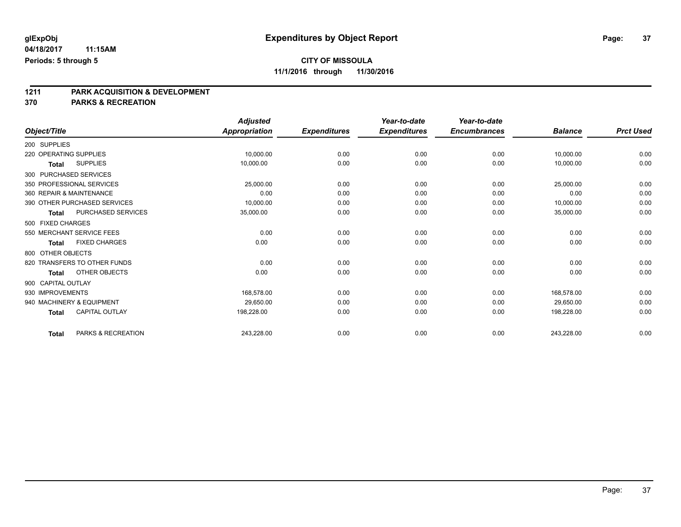# **1211 PARK ACQUISITION & DEVELOPMENT**

#### **370 PARKS & RECREATION**

|                          |                              | <b>Adjusted</b> |                     | Year-to-date        | Year-to-date        |                |                  |
|--------------------------|------------------------------|-----------------|---------------------|---------------------|---------------------|----------------|------------------|
| Object/Title             |                              | Appropriation   | <b>Expenditures</b> | <b>Expenditures</b> | <b>Encumbrances</b> | <b>Balance</b> | <b>Prct Used</b> |
| 200 SUPPLIES             |                              |                 |                     |                     |                     |                |                  |
| 220 OPERATING SUPPLIES   |                              | 10,000.00       | 0.00                | 0.00                | 0.00                | 10,000.00      | 0.00             |
| Total                    | <b>SUPPLIES</b>              | 10,000.00       | 0.00                | 0.00                | 0.00                | 10,000.00      | 0.00             |
| 300 PURCHASED SERVICES   |                              |                 |                     |                     |                     |                |                  |
|                          | 350 PROFESSIONAL SERVICES    | 25,000.00       | 0.00                | 0.00                | 0.00                | 25,000.00      | 0.00             |
| 360 REPAIR & MAINTENANCE |                              | 0.00            | 0.00                | 0.00                | 0.00                | 0.00           | 0.00             |
|                          | 390 OTHER PURCHASED SERVICES | 10,000.00       | 0.00                | 0.00                | 0.00                | 10,000.00      | 0.00             |
| Total                    | PURCHASED SERVICES           | 35,000.00       | 0.00                | 0.00                | 0.00                | 35,000.00      | 0.00             |
| 500 FIXED CHARGES        |                              |                 |                     |                     |                     |                |                  |
|                          | 550 MERCHANT SERVICE FEES    | 0.00            | 0.00                | 0.00                | 0.00                | 0.00           | 0.00             |
| <b>Total</b>             | <b>FIXED CHARGES</b>         | 0.00            | 0.00                | 0.00                | 0.00                | 0.00           | 0.00             |
| 800 OTHER OBJECTS        |                              |                 |                     |                     |                     |                |                  |
|                          | 820 TRANSFERS TO OTHER FUNDS | 0.00            | 0.00                | 0.00                | 0.00                | 0.00           | 0.00             |
| <b>Total</b>             | OTHER OBJECTS                | 0.00            | 0.00                | 0.00                | 0.00                | 0.00           | 0.00             |
| 900 CAPITAL OUTLAY       |                              |                 |                     |                     |                     |                |                  |
| 930 IMPROVEMENTS         |                              | 168,578.00      | 0.00                | 0.00                | 0.00                | 168,578.00     | 0.00             |
|                          | 940 MACHINERY & EQUIPMENT    | 29,650.00       | 0.00                | 0.00                | 0.00                | 29,650.00      | 0.00             |
| <b>Total</b>             | <b>CAPITAL OUTLAY</b>        | 198,228.00      | 0.00                | 0.00                | 0.00                | 198,228.00     | 0.00             |
| <b>Total</b>             | PARKS & RECREATION           | 243,228.00      | 0.00                | 0.00                | 0.00                | 243,228.00     | 0.00             |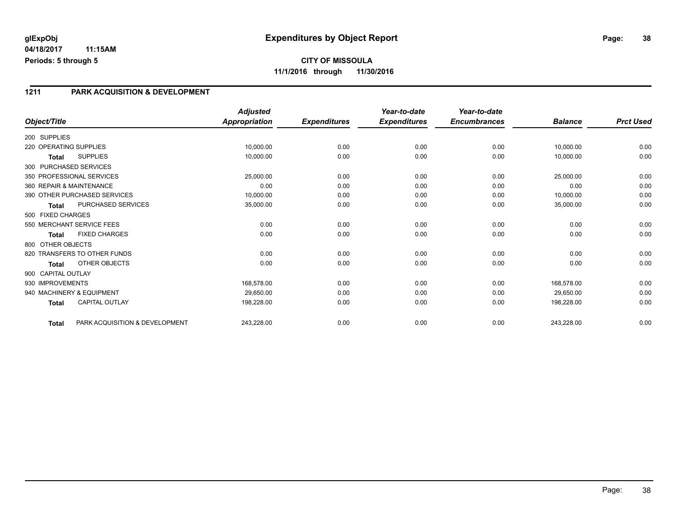## **CITY OF MISSOULA 11/1/2016 through 11/30/2016**

#### **1211 PARK ACQUISITION & DEVELOPMENT**

|                          |                                | <b>Adjusted</b>      |                     | Year-to-date        | Year-to-date        |                |                  |
|--------------------------|--------------------------------|----------------------|---------------------|---------------------|---------------------|----------------|------------------|
| Object/Title             |                                | <b>Appropriation</b> | <b>Expenditures</b> | <b>Expenditures</b> | <b>Encumbrances</b> | <b>Balance</b> | <b>Prct Used</b> |
| 200 SUPPLIES             |                                |                      |                     |                     |                     |                |                  |
| 220 OPERATING SUPPLIES   |                                | 10,000.00            | 0.00                | 0.00                | 0.00                | 10,000.00      | 0.00             |
| <b>Total</b>             | <b>SUPPLIES</b>                | 10,000.00            | 0.00                | 0.00                | 0.00                | 10,000.00      | 0.00             |
| 300 PURCHASED SERVICES   |                                |                      |                     |                     |                     |                |                  |
|                          | 350 PROFESSIONAL SERVICES      | 25,000.00            | 0.00                | 0.00                | 0.00                | 25,000.00      | 0.00             |
| 360 REPAIR & MAINTENANCE |                                | 0.00                 | 0.00                | 0.00                | 0.00                | 0.00           | 0.00             |
|                          | 390 OTHER PURCHASED SERVICES   | 10,000.00            | 0.00                | 0.00                | 0.00                | 10,000.00      | 0.00             |
| <b>Total</b>             | PURCHASED SERVICES             | 35,000.00            | 0.00                | 0.00                | 0.00                | 35,000.00      | 0.00             |
| 500 FIXED CHARGES        |                                |                      |                     |                     |                     |                |                  |
|                          | 550 MERCHANT SERVICE FEES      | 0.00                 | 0.00                | 0.00                | 0.00                | 0.00           | 0.00             |
| <b>Total</b>             | <b>FIXED CHARGES</b>           | 0.00                 | 0.00                | 0.00                | 0.00                | 0.00           | 0.00             |
| 800 OTHER OBJECTS        |                                |                      |                     |                     |                     |                |                  |
|                          | 820 TRANSFERS TO OTHER FUNDS   | 0.00                 | 0.00                | 0.00                | 0.00                | 0.00           | 0.00             |
| <b>Total</b>             | <b>OTHER OBJECTS</b>           | 0.00                 | 0.00                | 0.00                | 0.00                | 0.00           | 0.00             |
| 900 CAPITAL OUTLAY       |                                |                      |                     |                     |                     |                |                  |
| 930 IMPROVEMENTS         |                                | 168,578.00           | 0.00                | 0.00                | 0.00                | 168,578.00     | 0.00             |
|                          | 940 MACHINERY & EQUIPMENT      | 29,650.00            | 0.00                | 0.00                | 0.00                | 29,650.00      | 0.00             |
| <b>Total</b>             | <b>CAPITAL OUTLAY</b>          | 198,228.00           | 0.00                | 0.00                | 0.00                | 198,228.00     | 0.00             |
| <b>Total</b>             | PARK ACQUISITION & DEVELOPMENT | 243,228.00           | 0.00                | 0.00                | 0.00                | 243,228.00     | 0.00             |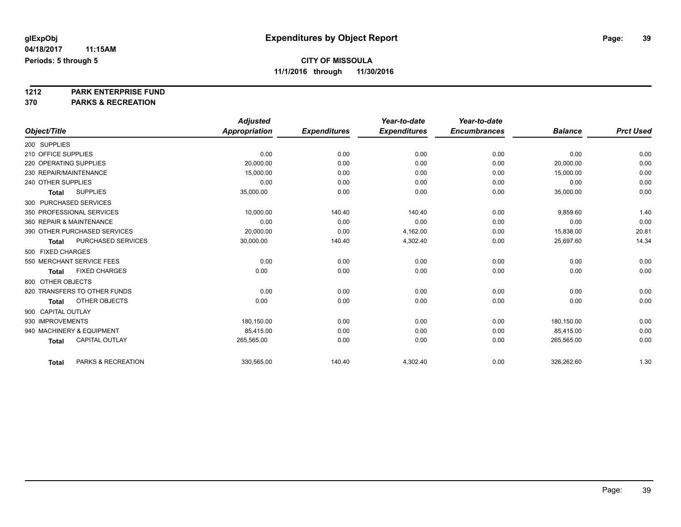# **1212 PARK ENTERPRISE FUND**

**370 PARKS & RECREATION**

|                        |                              | <b>Adjusted</b>      |                     | Year-to-date        | Year-to-date        |                |                  |
|------------------------|------------------------------|----------------------|---------------------|---------------------|---------------------|----------------|------------------|
| Object/Title           |                              | <b>Appropriation</b> | <b>Expenditures</b> | <b>Expenditures</b> | <b>Encumbrances</b> | <b>Balance</b> | <b>Prct Used</b> |
| 200 SUPPLIES           |                              |                      |                     |                     |                     |                |                  |
| 210 OFFICE SUPPLIES    |                              | 0.00                 | 0.00                | 0.00                | 0.00                | 0.00           | 0.00             |
| 220 OPERATING SUPPLIES |                              | 20,000.00            | 0.00                | 0.00                | 0.00                | 20,000.00      | 0.00             |
| 230 REPAIR/MAINTENANCE |                              | 15,000.00            | 0.00                | 0.00                | 0.00                | 15,000.00      | 0.00             |
| 240 OTHER SUPPLIES     |                              | 0.00                 | 0.00                | 0.00                | 0.00                | 0.00           | 0.00             |
| <b>Total</b>           | <b>SUPPLIES</b>              | 35,000.00            | 0.00                | 0.00                | 0.00                | 35,000.00      | 0.00             |
| 300 PURCHASED SERVICES |                              |                      |                     |                     |                     |                |                  |
|                        | 350 PROFESSIONAL SERVICES    | 10.000.00            | 140.40              | 140.40              | 0.00                | 9,859.60       | 1.40             |
|                        | 360 REPAIR & MAINTENANCE     | 0.00                 | 0.00                | 0.00                | 0.00                | 0.00           | 0.00             |
|                        | 390 OTHER PURCHASED SERVICES | 20,000.00            | 0.00                | 4,162.00            | 0.00                | 15,838.00      | 20.81            |
| <b>Total</b>           | <b>PURCHASED SERVICES</b>    | 30,000.00            | 140.40              | 4,302.40            | 0.00                | 25,697.60      | 14.34            |
| 500 FIXED CHARGES      |                              |                      |                     |                     |                     |                |                  |
|                        | 550 MERCHANT SERVICE FEES    | 0.00                 | 0.00                | 0.00                | 0.00                | 0.00           | 0.00             |
| <b>Total</b>           | <b>FIXED CHARGES</b>         | 0.00                 | 0.00                | 0.00                | 0.00                | 0.00           | 0.00             |
| 800 OTHER OBJECTS      |                              |                      |                     |                     |                     |                |                  |
|                        | 820 TRANSFERS TO OTHER FUNDS | 0.00                 | 0.00                | 0.00                | 0.00                | 0.00           | 0.00             |
| <b>Total</b>           | <b>OTHER OBJECTS</b>         | 0.00                 | 0.00                | 0.00                | 0.00                | 0.00           | 0.00             |
| 900 CAPITAL OUTLAY     |                              |                      |                     |                     |                     |                |                  |
| 930 IMPROVEMENTS       |                              | 180,150.00           | 0.00                | 0.00                | 0.00                | 180,150.00     | 0.00             |
|                        | 940 MACHINERY & EQUIPMENT    | 85.415.00            | 0.00                | 0.00                | 0.00                | 85.415.00      | 0.00             |
| <b>Total</b>           | <b>CAPITAL OUTLAY</b>        | 265,565.00           | 0.00                | 0.00                | 0.00                | 265,565.00     | 0.00             |
|                        |                              |                      |                     |                     |                     |                |                  |
| <b>Total</b>           | PARKS & RECREATION           | 330,565.00           | 140.40              | 4,302.40            | 0.00                | 326,262.60     | 1.30             |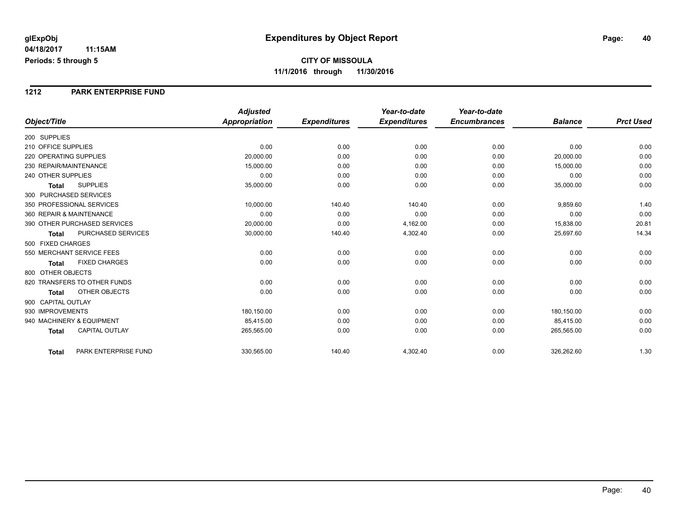#### **1212 PARK ENTERPRISE FUND**

|                                           | <b>Adjusted</b>      |                     | Year-to-date        | Year-to-date        |                |                  |
|-------------------------------------------|----------------------|---------------------|---------------------|---------------------|----------------|------------------|
| Object/Title                              | <b>Appropriation</b> | <b>Expenditures</b> | <b>Expenditures</b> | <b>Encumbrances</b> | <b>Balance</b> | <b>Prct Used</b> |
| 200 SUPPLIES                              |                      |                     |                     |                     |                |                  |
| 210 OFFICE SUPPLIES                       | 0.00                 | 0.00                | 0.00                | 0.00                | 0.00           | 0.00             |
| 220 OPERATING SUPPLIES                    | 20,000.00            | 0.00                | 0.00                | 0.00                | 20,000.00      | 0.00             |
| 230 REPAIR/MAINTENANCE                    | 15,000.00            | 0.00                | 0.00                | 0.00                | 15,000.00      | 0.00             |
| 240 OTHER SUPPLIES                        | 0.00                 | 0.00                | 0.00                | 0.00                | 0.00           | 0.00             |
| <b>SUPPLIES</b><br><b>Total</b>           | 35,000.00            | 0.00                | 0.00                | 0.00                | 35,000.00      | 0.00             |
| 300 PURCHASED SERVICES                    |                      |                     |                     |                     |                |                  |
| 350 PROFESSIONAL SERVICES                 | 10,000.00            | 140.40              | 140.40              | 0.00                | 9,859.60       | 1.40             |
| 360 REPAIR & MAINTENANCE                  | 0.00                 | 0.00                | 0.00                | 0.00                | 0.00           | 0.00             |
| 390 OTHER PURCHASED SERVICES              | 20,000.00            | 0.00                | 4,162.00            | 0.00                | 15,838.00      | 20.81            |
| <b>PURCHASED SERVICES</b><br><b>Total</b> | 30,000.00            | 140.40              | 4,302.40            | 0.00                | 25,697.60      | 14.34            |
| 500 FIXED CHARGES                         |                      |                     |                     |                     |                |                  |
| 550 MERCHANT SERVICE FEES                 | 0.00                 | 0.00                | 0.00                | 0.00                | 0.00           | 0.00             |
| <b>FIXED CHARGES</b><br><b>Total</b>      | 0.00                 | 0.00                | 0.00                | 0.00                | 0.00           | 0.00             |
| 800 OTHER OBJECTS                         |                      |                     |                     |                     |                |                  |
| 820 TRANSFERS TO OTHER FUNDS              | 0.00                 | 0.00                | 0.00                | 0.00                | 0.00           | 0.00             |
| OTHER OBJECTS<br><b>Total</b>             | 0.00                 | 0.00                | 0.00                | 0.00                | 0.00           | 0.00             |
| 900 CAPITAL OUTLAY                        |                      |                     |                     |                     |                |                  |
| 930 IMPROVEMENTS                          | 180,150.00           | 0.00                | 0.00                | 0.00                | 180,150.00     | 0.00             |
| 940 MACHINERY & EQUIPMENT                 | 85,415.00            | 0.00                | 0.00                | 0.00                | 85,415.00      | 0.00             |
| <b>CAPITAL OUTLAY</b><br><b>Total</b>     | 265,565.00           | 0.00                | 0.00                | 0.00                | 265,565.00     | 0.00             |
| PARK ENTERPRISE FUND<br><b>Total</b>      | 330,565.00           | 140.40              | 4,302.40            | 0.00                | 326,262.60     | 1.30             |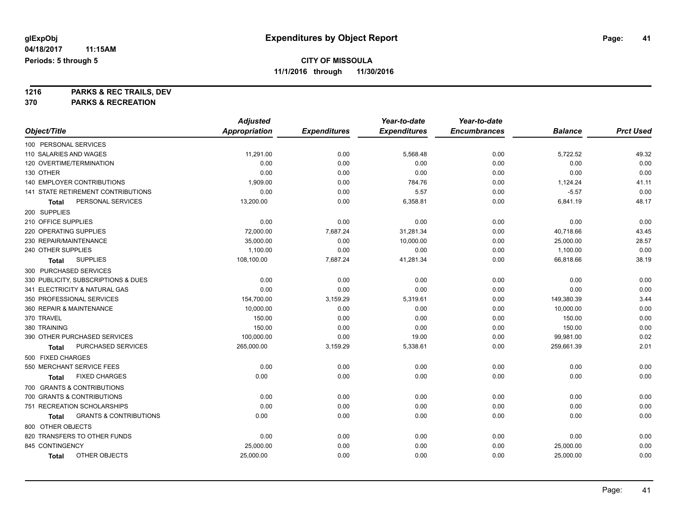**1216 PARKS & REC TRAILS, DEV 370 PARKS & RECREATION**

|                                            | <b>Adjusted</b>      |                     | Year-to-date        | Year-to-date        |                |                  |
|--------------------------------------------|----------------------|---------------------|---------------------|---------------------|----------------|------------------|
| Object/Title                               | <b>Appropriation</b> | <b>Expenditures</b> | <b>Expenditures</b> | <b>Encumbrances</b> | <b>Balance</b> | <b>Prct Used</b> |
| 100 PERSONAL SERVICES                      |                      |                     |                     |                     |                |                  |
| 110 SALARIES AND WAGES                     | 11,291.00            | 0.00                | 5,568.48            | 0.00                | 5,722.52       | 49.32            |
| 120 OVERTIME/TERMINATION                   | 0.00                 | 0.00                | 0.00                | 0.00                | 0.00           | 0.00             |
| 130 OTHER                                  | 0.00                 | 0.00                | 0.00                | 0.00                | 0.00           | 0.00             |
| <b>140 EMPLOYER CONTRIBUTIONS</b>          | 1,909.00             | 0.00                | 784.76              | 0.00                | 1,124.24       | 41.11            |
| 141 STATE RETIREMENT CONTRIBUTIONS         | 0.00                 | 0.00                | 5.57                | 0.00                | $-5.57$        | 0.00             |
| PERSONAL SERVICES<br>Total                 | 13,200.00            | 0.00                | 6,358.81            | 0.00                | 6,841.19       | 48.17            |
| 200 SUPPLIES                               |                      |                     |                     |                     |                |                  |
| 210 OFFICE SUPPLIES                        | 0.00                 | 0.00                | 0.00                | 0.00                | 0.00           | 0.00             |
| 220 OPERATING SUPPLIES                     | 72,000.00            | 7,687.24            | 31,281.34           | 0.00                | 40,718.66      | 43.45            |
| 230 REPAIR/MAINTENANCE                     | 35,000.00            | 0.00                | 10,000.00           | 0.00                | 25,000.00      | 28.57            |
| 240 OTHER SUPPLIES                         | 1,100.00             | 0.00                | 0.00                | 0.00                | 1,100.00       | 0.00             |
| <b>SUPPLIES</b><br><b>Total</b>            | 108,100.00           | 7,687.24            | 41,281.34           | 0.00                | 66,818.66      | 38.19            |
| 300 PURCHASED SERVICES                     |                      |                     |                     |                     |                |                  |
| 330 PUBLICITY, SUBSCRIPTIONS & DUES        | 0.00                 | 0.00                | 0.00                | 0.00                | 0.00           | 0.00             |
| 341 ELECTRICITY & NATURAL GAS              | 0.00                 | 0.00                | 0.00                | 0.00                | 0.00           | 0.00             |
| 350 PROFESSIONAL SERVICES                  | 154,700.00           | 3,159.29            | 5,319.61            | 0.00                | 149,380.39     | 3.44             |
| 360 REPAIR & MAINTENANCE                   | 10,000.00            | 0.00                | 0.00                | 0.00                | 10,000.00      | 0.00             |
| 370 TRAVEL                                 | 150.00               | 0.00                | 0.00                | 0.00                | 150.00         | 0.00             |
| 380 TRAINING                               | 150.00               | 0.00                | 0.00                | 0.00                | 150.00         | 0.00             |
| 390 OTHER PURCHASED SERVICES               | 100,000.00           | 0.00                | 19.00               | 0.00                | 99,981.00      | 0.02             |
| PURCHASED SERVICES<br><b>Total</b>         | 265,000.00           | 3,159.29            | 5,338.61            | 0.00                | 259,661.39     | 2.01             |
| 500 FIXED CHARGES                          |                      |                     |                     |                     |                |                  |
| 550 MERCHANT SERVICE FEES                  | 0.00                 | 0.00                | 0.00                | 0.00                | 0.00           | 0.00             |
| <b>FIXED CHARGES</b><br>Total              | 0.00                 | 0.00                | 0.00                | 0.00                | 0.00           | 0.00             |
| 700 GRANTS & CONTRIBUTIONS                 |                      |                     |                     |                     |                |                  |
| 700 GRANTS & CONTRIBUTIONS                 | 0.00                 | 0.00                | 0.00                | 0.00                | 0.00           | 0.00             |
| 751 RECREATION SCHOLARSHIPS                | 0.00                 | 0.00                | 0.00                | 0.00                | 0.00           | 0.00             |
| <b>GRANTS &amp; CONTRIBUTIONS</b><br>Total | 0.00                 | 0.00                | 0.00                | 0.00                | 0.00           | 0.00             |
| 800 OTHER OBJECTS                          |                      |                     |                     |                     |                |                  |
| 820 TRANSFERS TO OTHER FUNDS               | 0.00                 | 0.00                | 0.00                | 0.00                | 0.00           | 0.00             |
| 845 CONTINGENCY                            | 25,000.00            | 0.00                | 0.00                | 0.00                | 25,000.00      | 0.00             |
| OTHER OBJECTS<br><b>Total</b>              | 25,000.00            | 0.00                | 0.00                | 0.00                | 25,000.00      | 0.00             |
|                                            |                      |                     |                     |                     |                |                  |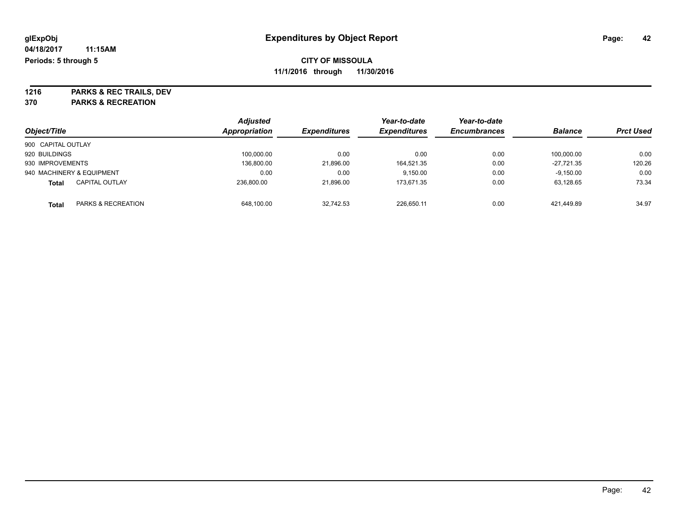**1216 PARKS & REC TRAILS, DEV 370 PARKS & RECREATION**

| Object/Title       |                               | <b>Adjusted</b><br><b>Appropriation</b> | <b>Expenditures</b> | Year-to-date<br><b>Expenditures</b> | Year-to-date<br><b>Encumbrances</b> | <b>Balance</b> | <b>Prct Used</b> |
|--------------------|-------------------------------|-----------------------------------------|---------------------|-------------------------------------|-------------------------------------|----------------|------------------|
| 900 CAPITAL OUTLAY |                               |                                         |                     |                                     |                                     |                |                  |
| 920 BUILDINGS      |                               | 100.000.00                              | 0.00                | 0.00                                | 0.00                                | 100.000.00     | 0.00             |
| 930 IMPROVEMENTS   |                               | 136,800.00                              | 21,896.00           | 164,521.35                          | 0.00                                | $-27.721.35$   | 120.26           |
|                    | 940 MACHINERY & EQUIPMENT     | 0.00                                    | 0.00                | 9.150.00                            | 0.00                                | $-9,150.00$    | 0.00             |
| <b>Total</b>       | <b>CAPITAL OUTLAY</b>         | 236.800.00                              | 21,896.00           | 173,671.35                          | 0.00                                | 63,128.65      | 73.34            |
| Total              | <b>PARKS &amp; RECREATION</b> | 648.100.00                              | 32.742.53           | 226.650.11                          | 0.00                                | 421.449.89     | 34.97            |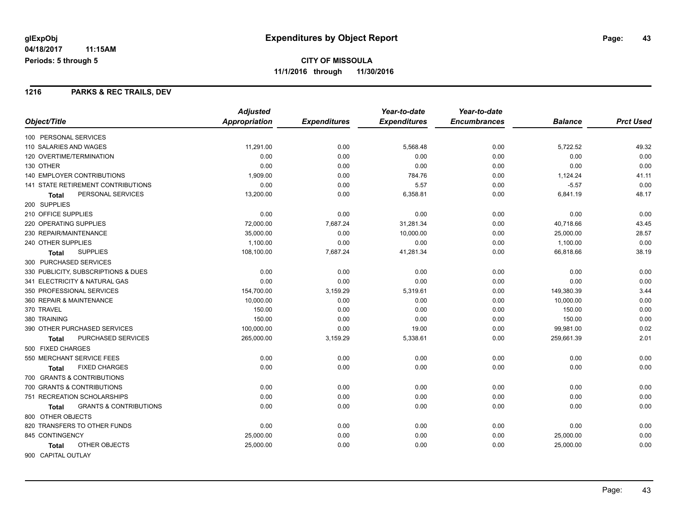#### **1216 PARKS & REC TRAILS, DEV**

|                                            | <b>Adjusted</b> |                     | Year-to-date        | Year-to-date        |                |                  |
|--------------------------------------------|-----------------|---------------------|---------------------|---------------------|----------------|------------------|
| Object/Title                               | Appropriation   | <b>Expenditures</b> | <b>Expenditures</b> | <b>Encumbrances</b> | <b>Balance</b> | <b>Prct Used</b> |
| 100 PERSONAL SERVICES                      |                 |                     |                     |                     |                |                  |
| 110 SALARIES AND WAGES                     | 11,291.00       | 0.00                | 5,568.48            | 0.00                | 5,722.52       | 49.32            |
| 120 OVERTIME/TERMINATION                   | 0.00            | 0.00                | 0.00                | 0.00                | 0.00           | 0.00             |
| 130 OTHER                                  | 0.00            | 0.00                | 0.00                | 0.00                | 0.00           | 0.00             |
| <b>140 EMPLOYER CONTRIBUTIONS</b>          | 1,909.00        | 0.00                | 784.76              | 0.00                | 1,124.24       | 41.11            |
| 141 STATE RETIREMENT CONTRIBUTIONS         | 0.00            | 0.00                | 5.57                | 0.00                | $-5.57$        | 0.00             |
| PERSONAL SERVICES<br><b>Total</b>          | 13,200.00       | 0.00                | 6,358.81            | 0.00                | 6,841.19       | 48.17            |
| 200 SUPPLIES                               |                 |                     |                     |                     |                |                  |
| 210 OFFICE SUPPLIES                        | 0.00            | 0.00                | 0.00                | 0.00                | 0.00           | 0.00             |
| 220 OPERATING SUPPLIES                     | 72,000.00       | 7,687.24            | 31,281.34           | 0.00                | 40,718.66      | 43.45            |
| 230 REPAIR/MAINTENANCE                     | 35,000.00       | 0.00                | 10,000.00           | 0.00                | 25,000.00      | 28.57            |
| 240 OTHER SUPPLIES                         | 1,100.00        | 0.00                | 0.00                | 0.00                | 1,100.00       | 0.00             |
| <b>SUPPLIES</b><br><b>Total</b>            | 108,100.00      | 7,687.24            | 41,281.34           | 0.00                | 66,818.66      | 38.19            |
| 300 PURCHASED SERVICES                     |                 |                     |                     |                     |                |                  |
| 330 PUBLICITY, SUBSCRIPTIONS & DUES        | 0.00            | 0.00                | 0.00                | 0.00                | 0.00           | 0.00             |
| 341 ELECTRICITY & NATURAL GAS              | 0.00            | 0.00                | 0.00                | 0.00                | 0.00           | 0.00             |
| 350 PROFESSIONAL SERVICES                  | 154,700.00      | 3,159.29            | 5,319.61            | 0.00                | 149,380.39     | 3.44             |
| 360 REPAIR & MAINTENANCE                   | 10,000.00       | 0.00                | 0.00                | 0.00                | 10,000.00      | 0.00             |
| 370 TRAVEL                                 | 150.00          | 0.00                | 0.00                | 0.00                | 150.00         | 0.00             |
| 380 TRAINING                               | 150.00          | 0.00                | 0.00                | 0.00                | 150.00         | 0.00             |
| 390 OTHER PURCHASED SERVICES               | 100,000.00      | 0.00                | 19.00               | 0.00                | 99,981.00      | 0.02             |
| PURCHASED SERVICES<br>Total                | 265,000.00      | 3,159.29            | 5,338.61            | 0.00                | 259,661.39     | 2.01             |
| 500 FIXED CHARGES                          |                 |                     |                     |                     |                |                  |
| 550 MERCHANT SERVICE FEES                  | 0.00            | 0.00                | 0.00                | 0.00                | 0.00           | 0.00             |
| <b>FIXED CHARGES</b><br>Total              | 0.00            | 0.00                | 0.00                | 0.00                | 0.00           | 0.00             |
| 700 GRANTS & CONTRIBUTIONS                 |                 |                     |                     |                     |                |                  |
| 700 GRANTS & CONTRIBUTIONS                 | 0.00            | 0.00                | 0.00                | 0.00                | 0.00           | 0.00             |
| 751 RECREATION SCHOLARSHIPS                | 0.00            | 0.00                | 0.00                | 0.00                | 0.00           | 0.00             |
| <b>GRANTS &amp; CONTRIBUTIONS</b><br>Total | 0.00            | 0.00                | 0.00                | 0.00                | 0.00           | 0.00             |
| 800 OTHER OBJECTS                          |                 |                     |                     |                     |                |                  |
| 820 TRANSFERS TO OTHER FUNDS               | 0.00            | 0.00                | 0.00                | 0.00                | 0.00           | 0.00             |
| 845 CONTINGENCY                            | 25,000.00       | 0.00                | 0.00                | 0.00                | 25,000.00      | 0.00             |
| OTHER OBJECTS<br><b>Total</b>              | 25,000.00       | 0.00                | 0.00                | 0.00                | 25,000.00      | 0.00             |
| 900 CAPITAL OUTLAY                         |                 |                     |                     |                     |                |                  |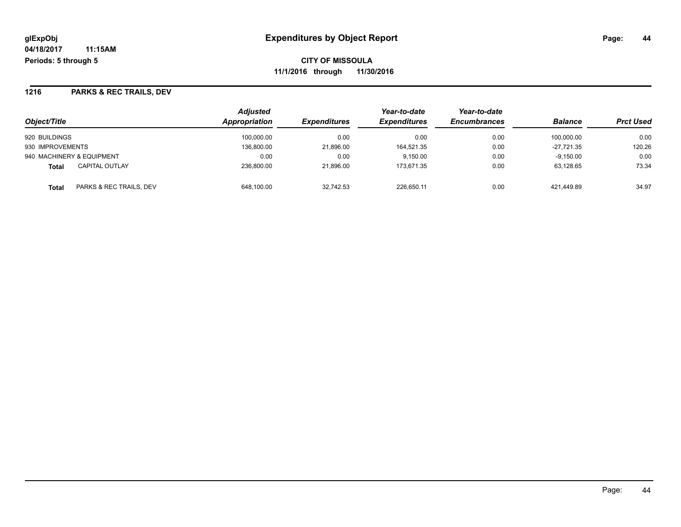## **1216 PARKS & REC TRAILS, DEV**

|                                  | <b>Adjusted</b><br>Appropriation |                     | Year-to-date<br><b>Expenditures</b> | Year-to-date<br><b>Encumbrances</b> | <b>Balance</b> |                  |
|----------------------------------|----------------------------------|---------------------|-------------------------------------|-------------------------------------|----------------|------------------|
| Object/Title                     |                                  | <b>Expenditures</b> |                                     |                                     |                | <b>Prct Used</b> |
| 920 BUILDINGS                    | 100.000.00                       | 0.00                | 0.00                                | 0.00                                | 100.000.00     | 0.00             |
| 930 IMPROVEMENTS                 | 136.800.00                       | 21,896.00           | 164.521.35                          | 0.00                                | $-27.721.35$   | 120.26           |
| 940 MACHINERY & EQUIPMENT        | 0.00                             | 0.00                | 9.150.00                            | 0.00                                | $-9.150.00$    | 0.00             |
| <b>CAPITAL OUTLAY</b><br>Total   | 236.800.00                       | 21,896.00           | 173.671.35                          | 0.00                                | 63.128.65      | 73.34            |
| PARKS & REC TRAILS, DEV<br>Total | 648,100.00                       | 32,742.53           | 226.650.11                          | 0.00                                | 421.449.89     | 34.97            |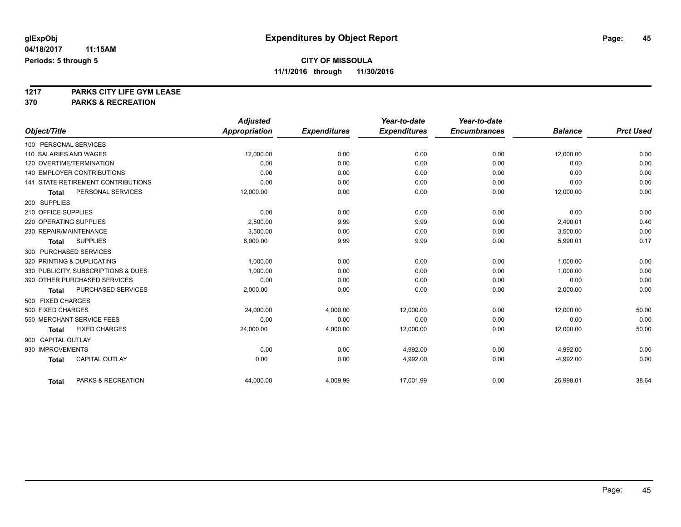**1217 PARKS CITY LIFE GYM LEASE**

**370 PARKS & RECREATION**

|                                       | <b>Adjusted</b>      |                     | Year-to-date        | Year-to-date        |                |                  |
|---------------------------------------|----------------------|---------------------|---------------------|---------------------|----------------|------------------|
| Object/Title                          | <b>Appropriation</b> | <b>Expenditures</b> | <b>Expenditures</b> | <b>Encumbrances</b> | <b>Balance</b> | <b>Prct Used</b> |
| 100 PERSONAL SERVICES                 |                      |                     |                     |                     |                |                  |
| 110 SALARIES AND WAGES                | 12,000.00            | 0.00                | 0.00                | 0.00                | 12,000.00      | 0.00             |
| 120 OVERTIME/TERMINATION              | 0.00                 | 0.00                | 0.00                | 0.00                | 0.00           | 0.00             |
| <b>140 EMPLOYER CONTRIBUTIONS</b>     | 0.00                 | 0.00                | 0.00                | 0.00                | 0.00           | 0.00             |
| 141 STATE RETIREMENT CONTRIBUTIONS    | 0.00                 | 0.00                | 0.00                | 0.00                | 0.00           | 0.00             |
| PERSONAL SERVICES<br>Total            | 12,000.00            | 0.00                | 0.00                | 0.00                | 12,000.00      | 0.00             |
| 200 SUPPLIES                          |                      |                     |                     |                     |                |                  |
| 210 OFFICE SUPPLIES                   | 0.00                 | 0.00                | 0.00                | 0.00                | 0.00           | 0.00             |
| 220 OPERATING SUPPLIES                | 2.500.00             | 9.99                | 9.99                | 0.00                | 2,490.01       | 0.40             |
| 230 REPAIR/MAINTENANCE                | 3,500.00             | 0.00                | 0.00                | 0.00                | 3,500.00       | 0.00             |
| <b>SUPPLIES</b><br>Total              | 6,000.00             | 9.99                | 9.99                | 0.00                | 5,990.01       | 0.17             |
| 300 PURCHASED SERVICES                |                      |                     |                     |                     |                |                  |
| 320 PRINTING & DUPLICATING            | 1,000.00             | 0.00                | 0.00                | 0.00                | 1,000.00       | 0.00             |
| 330 PUBLICITY, SUBSCRIPTIONS & DUES   | 1,000.00             | 0.00                | 0.00                | 0.00                | 1,000.00       | 0.00             |
| 390 OTHER PURCHASED SERVICES          | 0.00                 | 0.00                | 0.00                | 0.00                | 0.00           | 0.00             |
| PURCHASED SERVICES<br>Total           | 2,000.00             | 0.00                | 0.00                | 0.00                | 2,000.00       | 0.00             |
| 500 FIXED CHARGES                     |                      |                     |                     |                     |                |                  |
| 500 FIXED CHARGES                     | 24,000.00            | 4,000.00            | 12,000.00           | 0.00                | 12,000.00      | 50.00            |
| 550 MERCHANT SERVICE FEES             | 0.00                 | 0.00                | 0.00                | 0.00                | 0.00           | 0.00             |
| <b>FIXED CHARGES</b><br>Total         | 24,000.00            | 4,000.00            | 12,000.00           | 0.00                | 12,000.00      | 50.00            |
| 900 CAPITAL OUTLAY                    |                      |                     |                     |                     |                |                  |
| 930 IMPROVEMENTS                      | 0.00                 | 0.00                | 4,992.00            | 0.00                | $-4,992.00$    | 0.00             |
| <b>CAPITAL OUTLAY</b><br><b>Total</b> | 0.00                 | 0.00                | 4,992.00            | 0.00                | $-4,992.00$    | 0.00             |
|                                       |                      |                     |                     |                     |                |                  |
| PARKS & RECREATION<br><b>Total</b>    | 44,000.00            | 4,009.99            | 17,001.99           | 0.00                | 26,998.01      | 38.64            |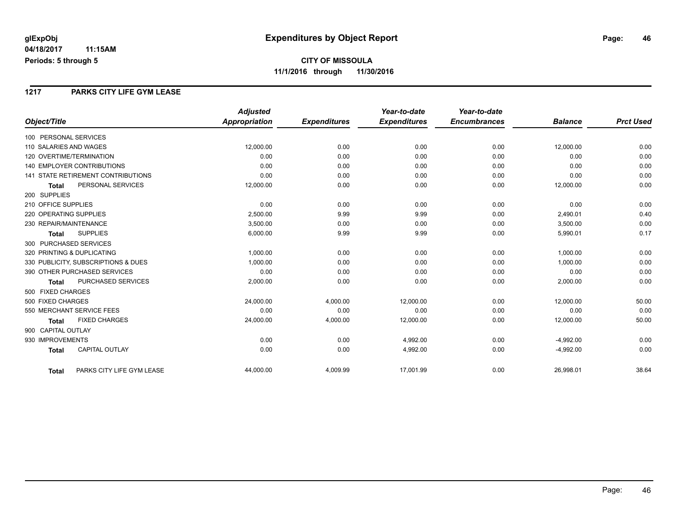#### **1217 PARKS CITY LIFE GYM LEASE**

|                                           | <b>Adjusted</b>      |                     | Year-to-date        | Year-to-date        |                |                  |
|-------------------------------------------|----------------------|---------------------|---------------------|---------------------|----------------|------------------|
| Object/Title                              | <b>Appropriation</b> | <b>Expenditures</b> | <b>Expenditures</b> | <b>Encumbrances</b> | <b>Balance</b> | <b>Prct Used</b> |
| 100 PERSONAL SERVICES                     |                      |                     |                     |                     |                |                  |
| 110 SALARIES AND WAGES                    | 12,000.00            | 0.00                | 0.00                | 0.00                | 12,000.00      | 0.00             |
| 120 OVERTIME/TERMINATION                  | 0.00                 | 0.00                | 0.00                | 0.00                | 0.00           | 0.00             |
| <b>140 EMPLOYER CONTRIBUTIONS</b>         | 0.00                 | 0.00                | 0.00                | 0.00                | 0.00           | 0.00             |
| <b>141 STATE RETIREMENT CONTRIBUTIONS</b> | 0.00                 | 0.00                | 0.00                | 0.00                | 0.00           | 0.00             |
| PERSONAL SERVICES<br><b>Total</b>         | 12,000.00            | 0.00                | 0.00                | 0.00                | 12,000.00      | 0.00             |
| 200 SUPPLIES                              |                      |                     |                     |                     |                |                  |
| 210 OFFICE SUPPLIES                       | 0.00                 | 0.00                | 0.00                | 0.00                | 0.00           | 0.00             |
| 220 OPERATING SUPPLIES                    | 2,500.00             | 9.99                | 9.99                | 0.00                | 2,490.01       | 0.40             |
| 230 REPAIR/MAINTENANCE                    | 3,500.00             | 0.00                | 0.00                | 0.00                | 3,500.00       | 0.00             |
| <b>SUPPLIES</b><br><b>Total</b>           | 6,000.00             | 9.99                | 9.99                | 0.00                | 5,990.01       | 0.17             |
| 300 PURCHASED SERVICES                    |                      |                     |                     |                     |                |                  |
| 320 PRINTING & DUPLICATING                | 1,000.00             | 0.00                | 0.00                | 0.00                | 1,000.00       | 0.00             |
| 330 PUBLICITY, SUBSCRIPTIONS & DUES       | 1,000.00             | 0.00                | 0.00                | 0.00                | 1,000.00       | 0.00             |
| 390 OTHER PURCHASED SERVICES              | 0.00                 | 0.00                | 0.00                | 0.00                | 0.00           | 0.00             |
| <b>PURCHASED SERVICES</b><br><b>Total</b> | 2,000.00             | 0.00                | 0.00                | 0.00                | 2,000.00       | 0.00             |
| 500 FIXED CHARGES                         |                      |                     |                     |                     |                |                  |
| 500 FIXED CHARGES                         | 24,000.00            | 4,000.00            | 12,000.00           | 0.00                | 12,000.00      | 50.00            |
| 550 MERCHANT SERVICE FEES                 | 0.00                 | 0.00                | 0.00                | 0.00                | 0.00           | 0.00             |
| <b>FIXED CHARGES</b><br><b>Total</b>      | 24,000.00            | 4,000.00            | 12,000.00           | 0.00                | 12,000.00      | 50.00            |
| 900 CAPITAL OUTLAY                        |                      |                     |                     |                     |                |                  |
| 930 IMPROVEMENTS                          | 0.00                 | 0.00                | 4,992.00            | 0.00                | $-4,992.00$    | 0.00             |
| CAPITAL OUTLAY<br><b>Total</b>            | 0.00                 | 0.00                | 4,992.00            | 0.00                | $-4,992.00$    | 0.00             |
| PARKS CITY LIFE GYM LEASE<br><b>Total</b> | 44,000.00            | 4,009.99            | 17,001.99           | 0.00                | 26,998.01      | 38.64            |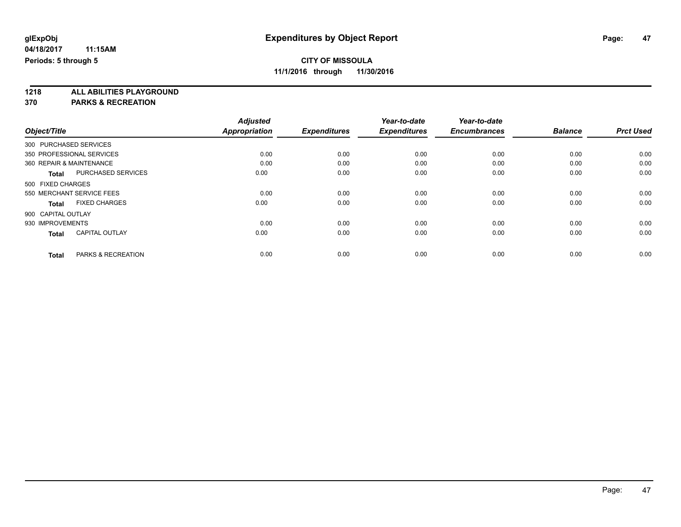**1218 ALL ABILITIES PLAYGROUND**

**370 PARKS & RECREATION**

|                          |                               | <b>Adjusted</b>      |                     | Year-to-date        | Year-to-date        |                |                  |
|--------------------------|-------------------------------|----------------------|---------------------|---------------------|---------------------|----------------|------------------|
| Object/Title             |                               | <b>Appropriation</b> | <b>Expenditures</b> | <b>Expenditures</b> | <b>Encumbrances</b> | <b>Balance</b> | <b>Prct Used</b> |
| 300 PURCHASED SERVICES   |                               |                      |                     |                     |                     |                |                  |
|                          | 350 PROFESSIONAL SERVICES     | 0.00                 | 0.00                | 0.00                | 0.00                | 0.00           | 0.00             |
| 360 REPAIR & MAINTENANCE |                               | 0.00                 | 0.00                | 0.00                | 0.00                | 0.00           | 0.00             |
| Total                    | PURCHASED SERVICES            | 0.00                 | 0.00                | 0.00                | 0.00                | 0.00           | 0.00             |
| 500 FIXED CHARGES        |                               |                      |                     |                     |                     |                |                  |
|                          | 550 MERCHANT SERVICE FEES     | 0.00                 | 0.00                | 0.00                | 0.00                | 0.00           | 0.00             |
| <b>Total</b>             | <b>FIXED CHARGES</b>          | 0.00                 | 0.00                | 0.00                | 0.00                | 0.00           | 0.00             |
| 900 CAPITAL OUTLAY       |                               |                      |                     |                     |                     |                |                  |
| 930 IMPROVEMENTS         |                               | 0.00                 | 0.00                | 0.00                | 0.00                | 0.00           | 0.00             |
| <b>Total</b>             | <b>CAPITAL OUTLAY</b>         | 0.00                 | 0.00                | 0.00                | 0.00                | 0.00           | 0.00             |
|                          |                               |                      |                     |                     |                     |                |                  |
| <b>Total</b>             | <b>PARKS &amp; RECREATION</b> | 0.00                 | 0.00                | 0.00                | 0.00                | 0.00           | 0.00             |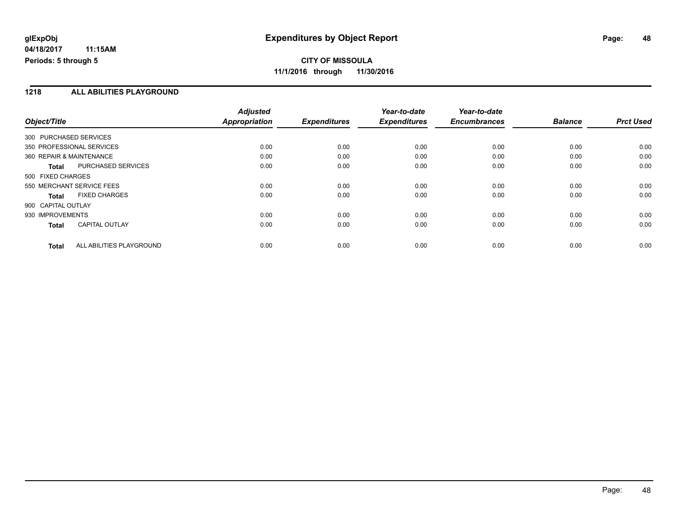## **CITY OF MISSOULA 11/1/2016 through 11/30/2016**

#### **1218 ALL ABILITIES PLAYGROUND**

|                                           | <b>Adjusted</b>      |                     | Year-to-date        | Year-to-date        |                |                  |
|-------------------------------------------|----------------------|---------------------|---------------------|---------------------|----------------|------------------|
| Object/Title                              | <b>Appropriation</b> | <b>Expenditures</b> | <b>Expenditures</b> | <b>Encumbrances</b> | <b>Balance</b> | <b>Prct Used</b> |
| 300 PURCHASED SERVICES                    |                      |                     |                     |                     |                |                  |
| 350 PROFESSIONAL SERVICES                 | 0.00                 | 0.00                | 0.00                | 0.00                | 0.00           | 0.00             |
| 360 REPAIR & MAINTENANCE                  | 0.00                 | 0.00                | 0.00                | 0.00                | 0.00           | 0.00             |
| <b>PURCHASED SERVICES</b><br><b>Total</b> | 0.00                 | 0.00                | 0.00                | 0.00                | 0.00           | 0.00             |
| 500 FIXED CHARGES                         |                      |                     |                     |                     |                |                  |
| 550 MERCHANT SERVICE FEES                 | 0.00                 | 0.00                | 0.00                | 0.00                | 0.00           | 0.00             |
| <b>FIXED CHARGES</b><br><b>Total</b>      | 0.00                 | 0.00                | 0.00                | 0.00                | 0.00           | 0.00             |
| 900 CAPITAL OUTLAY                        |                      |                     |                     |                     |                |                  |
| 930 IMPROVEMENTS                          | 0.00                 | 0.00                | 0.00                | 0.00                | 0.00           | 0.00             |
| <b>CAPITAL OUTLAY</b><br><b>Total</b>     | 0.00                 | 0.00                | 0.00                | 0.00                | 0.00           | 0.00             |
| ALL ABILITIES PLAYGROUND<br><b>Total</b>  | 0.00                 | 0.00                | 0.00                | 0.00                | 0.00           | 0.00             |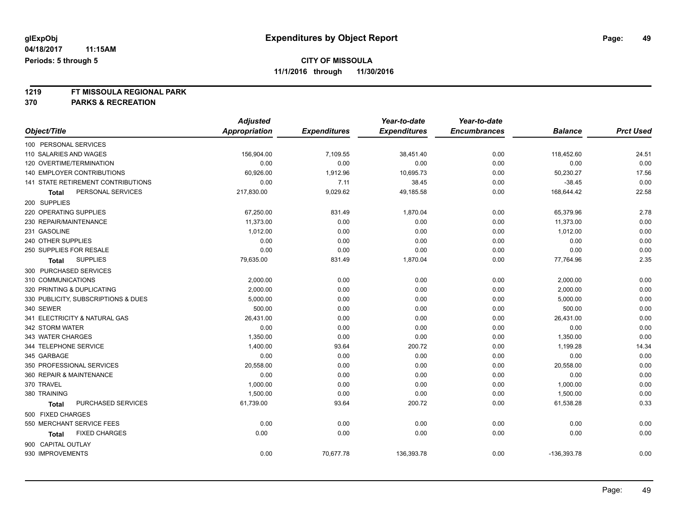# **1219 FT MISSOULA REGIONAL PARK**

## **370 PARKS & RECREATION**

|                                           | <b>Adjusted</b>      |                     | Year-to-date        | Year-to-date        |                |                  |
|-------------------------------------------|----------------------|---------------------|---------------------|---------------------|----------------|------------------|
| Object/Title                              | <b>Appropriation</b> | <b>Expenditures</b> | <b>Expenditures</b> | <b>Encumbrances</b> | <b>Balance</b> | <b>Prct Used</b> |
| 100 PERSONAL SERVICES                     |                      |                     |                     |                     |                |                  |
| 110 SALARIES AND WAGES                    | 156,904.00           | 7,109.55            | 38,451.40           | 0.00                | 118,452.60     | 24.51            |
| 120 OVERTIME/TERMINATION                  | 0.00                 | 0.00                | 0.00                | 0.00                | 0.00           | 0.00             |
| <b>140 EMPLOYER CONTRIBUTIONS</b>         | 60,926.00            | 1,912.96            | 10,695.73           | 0.00                | 50,230.27      | 17.56            |
| <b>141 STATE RETIREMENT CONTRIBUTIONS</b> | 0.00                 | 7.11                | 38.45               | 0.00                | $-38.45$       | 0.00             |
| PERSONAL SERVICES<br>Total                | 217,830.00           | 9,029.62            | 49,185.58           | 0.00                | 168,644.42     | 22.58            |
| 200 SUPPLIES                              |                      |                     |                     |                     |                |                  |
| 220 OPERATING SUPPLIES                    | 67,250.00            | 831.49              | 1,870.04            | 0.00                | 65,379.96      | 2.78             |
| 230 REPAIR/MAINTENANCE                    | 11,373.00            | 0.00                | 0.00                | 0.00                | 11,373.00      | 0.00             |
| 231 GASOLINE                              | 1,012.00             | 0.00                | 0.00                | 0.00                | 1,012.00       | 0.00             |
| 240 OTHER SUPPLIES                        | 0.00                 | 0.00                | 0.00                | 0.00                | 0.00           | 0.00             |
| 250 SUPPLIES FOR RESALE                   | 0.00                 | 0.00                | 0.00                | 0.00                | 0.00           | 0.00             |
| <b>SUPPLIES</b><br><b>Total</b>           | 79,635.00            | 831.49              | 1,870.04            | 0.00                | 77,764.96      | 2.35             |
| 300 PURCHASED SERVICES                    |                      |                     |                     |                     |                |                  |
| 310 COMMUNICATIONS                        | 2,000.00             | 0.00                | 0.00                | 0.00                | 2,000.00       | 0.00             |
| 320 PRINTING & DUPLICATING                | 2,000.00             | 0.00                | 0.00                | 0.00                | 2,000.00       | 0.00             |
| 330 PUBLICITY, SUBSCRIPTIONS & DUES       | 5,000.00             | 0.00                | 0.00                | 0.00                | 5,000.00       | 0.00             |
| 340 SEWER                                 | 500.00               | 0.00                | 0.00                | 0.00                | 500.00         | 0.00             |
| 341 ELECTRICITY & NATURAL GAS             | 26,431.00            | 0.00                | 0.00                | 0.00                | 26,431.00      | 0.00             |
| 342 STORM WATER                           | 0.00                 | 0.00                | 0.00                | 0.00                | 0.00           | 0.00             |
| 343 WATER CHARGES                         | 1,350.00             | 0.00                | 0.00                | 0.00                | 1,350.00       | 0.00             |
| 344 TELEPHONE SERVICE                     | 1,400.00             | 93.64               | 200.72              | 0.00                | 1,199.28       | 14.34            |
| 345 GARBAGE                               | 0.00                 | 0.00                | 0.00                | 0.00                | 0.00           | 0.00             |
| 350 PROFESSIONAL SERVICES                 | 20,558.00            | 0.00                | 0.00                | 0.00                | 20,558.00      | 0.00             |
| 360 REPAIR & MAINTENANCE                  | 0.00                 | 0.00                | 0.00                | 0.00                | 0.00           | 0.00             |
| 370 TRAVEL                                | 1,000.00             | 0.00                | 0.00                | 0.00                | 1,000.00       | 0.00             |
| 380 TRAINING                              | 1,500.00             | 0.00                | 0.00                | 0.00                | 1,500.00       | 0.00             |
| PURCHASED SERVICES<br><b>Total</b>        | 61,739.00            | 93.64               | 200.72              | 0.00                | 61,538.28      | 0.33             |
| 500 FIXED CHARGES                         |                      |                     |                     |                     |                |                  |
| 550 MERCHANT SERVICE FEES                 | 0.00                 | 0.00                | 0.00                | 0.00                | 0.00           | 0.00             |
| <b>FIXED CHARGES</b><br><b>Total</b>      | 0.00                 | 0.00                | 0.00                | 0.00                | 0.00           | 0.00             |
| 900 CAPITAL OUTLAY                        |                      |                     |                     |                     |                |                  |
| 930 IMPROVEMENTS                          | 0.00                 | 70,677.78           | 136,393.78          | 0.00                | -136,393.78    | 0.00             |
|                                           |                      |                     |                     |                     |                |                  |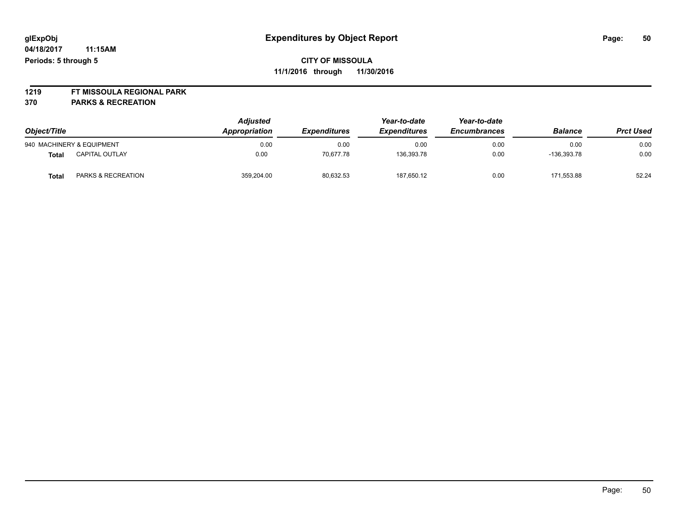# **1219 FT MISSOULA REGIONAL PARK**

**370 PARKS & RECREATION**

| Object/Title |                           | <b>Adjusted</b><br>Appropriation<br><i><b>Expenditures</b></i> | Year-to-date<br><b>Expenditures</b> | Year-to-date<br><b>Encumbrances</b> | <b>Balance</b> | <b>Prct Used</b> |       |
|--------------|---------------------------|----------------------------------------------------------------|-------------------------------------|-------------------------------------|----------------|------------------|-------|
|              | 940 MACHINERY & EQUIPMENT | 0.00                                                           | 0.00                                | 0.00                                | 0.00           | 0.00             | 0.00  |
| <b>Total</b> | <b>CAPITAL OUTLAY</b>     | 0.00                                                           | 70.677.78                           | 136,393.78                          | 0.00           | $-136.393.78$    | 0.00  |
| <b>Total</b> | PARKS & RECREATION        | 359,204.00                                                     | 80,632.53                           | 187,650.12                          | 0.00           | 171.553.88       | 52.24 |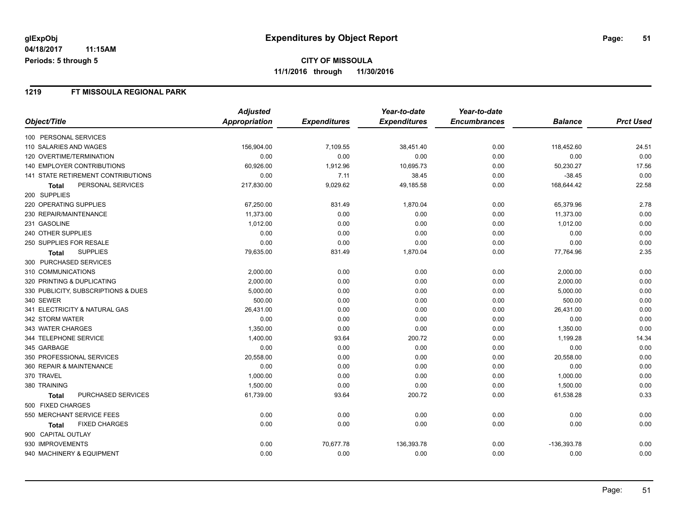#### **1219 FT MISSOULA REGIONAL PARK**

|                                           | <b>Adjusted</b> |                     | Year-to-date        | Year-to-date        |                |                  |
|-------------------------------------------|-----------------|---------------------|---------------------|---------------------|----------------|------------------|
| Object/Title                              | Appropriation   | <b>Expenditures</b> | <b>Expenditures</b> | <b>Encumbrances</b> | <b>Balance</b> | <b>Prct Used</b> |
| 100 PERSONAL SERVICES                     |                 |                     |                     |                     |                |                  |
| 110 SALARIES AND WAGES                    | 156,904.00      | 7,109.55            | 38,451.40           | 0.00                | 118,452.60     | 24.51            |
| 120 OVERTIME/TERMINATION                  | 0.00            | 0.00                | 0.00                | 0.00                | 0.00           | 0.00             |
| <b>140 EMPLOYER CONTRIBUTIONS</b>         | 60,926.00       | 1,912.96            | 10,695.73           | 0.00                | 50,230.27      | 17.56            |
| <b>141 STATE RETIREMENT CONTRIBUTIONS</b> | 0.00            | 7.11                | 38.45               | 0.00                | $-38.45$       | 0.00             |
| PERSONAL SERVICES<br><b>Total</b>         | 217,830.00      | 9,029.62            | 49,185.58           | 0.00                | 168,644.42     | 22.58            |
| 200 SUPPLIES                              |                 |                     |                     |                     |                |                  |
| 220 OPERATING SUPPLIES                    | 67,250.00       | 831.49              | 1,870.04            | 0.00                | 65,379.96      | 2.78             |
| 230 REPAIR/MAINTENANCE                    | 11,373.00       | 0.00                | 0.00                | 0.00                | 11,373.00      | 0.00             |
| 231 GASOLINE                              | 1,012.00        | 0.00                | 0.00                | 0.00                | 1,012.00       | 0.00             |
| 240 OTHER SUPPLIES                        | 0.00            | 0.00                | 0.00                | 0.00                | 0.00           | 0.00             |
| 250 SUPPLIES FOR RESALE                   | 0.00            | 0.00                | 0.00                | 0.00                | 0.00           | 0.00             |
| <b>SUPPLIES</b><br><b>Total</b>           | 79,635.00       | 831.49              | 1,870.04            | 0.00                | 77,764.96      | 2.35             |
| 300 PURCHASED SERVICES                    |                 |                     |                     |                     |                |                  |
| 310 COMMUNICATIONS                        | 2,000.00        | 0.00                | 0.00                | 0.00                | 2,000.00       | 0.00             |
| 320 PRINTING & DUPLICATING                | 2,000.00        | 0.00                | 0.00                | 0.00                | 2,000.00       | 0.00             |
| 330 PUBLICITY, SUBSCRIPTIONS & DUES       | 5,000.00        | 0.00                | 0.00                | 0.00                | 5,000.00       | 0.00             |
| 340 SEWER                                 | 500.00          | 0.00                | 0.00                | 0.00                | 500.00         | 0.00             |
| 341 ELECTRICITY & NATURAL GAS             | 26,431.00       | 0.00                | 0.00                | 0.00                | 26,431.00      | 0.00             |
| 342 STORM WATER                           | 0.00            | 0.00                | 0.00                | 0.00                | 0.00           | 0.00             |
| 343 WATER CHARGES                         | 1,350.00        | 0.00                | 0.00                | 0.00                | 1,350.00       | 0.00             |
| 344 TELEPHONE SERVICE                     | 1,400.00        | 93.64               | 200.72              | 0.00                | 1,199.28       | 14.34            |
| 345 GARBAGE                               | 0.00            | 0.00                | 0.00                | 0.00                | 0.00           | 0.00             |
| 350 PROFESSIONAL SERVICES                 | 20,558.00       | 0.00                | 0.00                | 0.00                | 20,558.00      | 0.00             |
| 360 REPAIR & MAINTENANCE                  | 0.00            | 0.00                | 0.00                | 0.00                | 0.00           | 0.00             |
| 370 TRAVEL                                | 1,000.00        | 0.00                | 0.00                | 0.00                | 1,000.00       | 0.00             |
| 380 TRAINING                              | 1,500.00        | 0.00                | 0.00                | 0.00                | 1,500.00       | 0.00             |
| PURCHASED SERVICES<br>Total               | 61,739.00       | 93.64               | 200.72              | 0.00                | 61,538.28      | 0.33             |
| 500 FIXED CHARGES                         |                 |                     |                     |                     |                |                  |
| 550 MERCHANT SERVICE FEES                 | 0.00            | 0.00                | 0.00                | 0.00                | 0.00           | 0.00             |
| <b>FIXED CHARGES</b><br>Total             | 0.00            | 0.00                | 0.00                | 0.00                | 0.00           | 0.00             |
| 900 CAPITAL OUTLAY                        |                 |                     |                     |                     |                |                  |
| 930 IMPROVEMENTS                          | 0.00            | 70,677.78           | 136,393.78          | 0.00                | -136,393.78    | 0.00             |
| 940 MACHINERY & EQUIPMENT                 | 0.00            | 0.00                | 0.00                | 0.00                | 0.00           | 0.00             |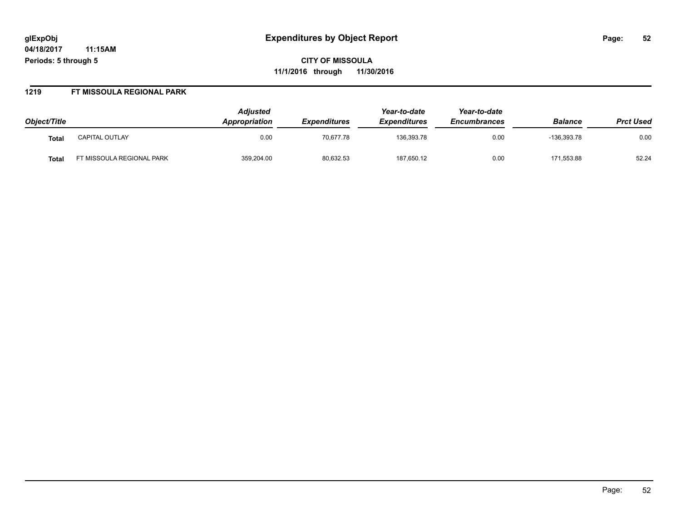**CITY OF MISSOULA 11/1/2016 through 11/30/2016**

#### **1219 FT MISSOULA REGIONAL PARK**

| Object/Title |                          | <b>Adjusted</b><br>Appropriation | <i><b>Expenditures</b></i> | Year-to-date<br><b>Expenditures</b> | Year-to-date<br><b>Encumbrances</b> | <b>Balance</b> | <b>Prct Used</b> |
|--------------|--------------------------|----------------------------------|----------------------------|-------------------------------------|-------------------------------------|----------------|------------------|
| <b>Total</b> | <b>CAPITAL OUTLAY</b>    | 0.00                             | 70.677.78                  | 136.393.78                          | 0.00                                | $-136.393.78$  | 0.00             |
| Tota.        | T MISSOULA REGIONAL PARK | 359,204.00                       | 80,632.53                  | 187,650.12                          | 0.00                                | 171,553.88     | 52.24            |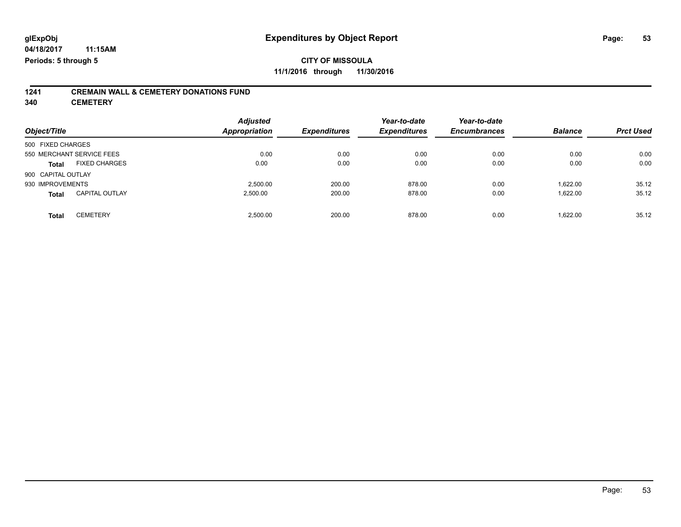# **1241 CREMAIN WALL & CEMETERY DONATIONS FUND**

**340 CEMETERY**

| Object/Title       |                           | <b>Adjusted</b><br><b>Appropriation</b> | <b>Expenditures</b> | Year-to-date<br><b>Expenditures</b> | Year-to-date<br><b>Encumbrances</b> | <b>Balance</b> | <b>Prct Used</b> |
|--------------------|---------------------------|-----------------------------------------|---------------------|-------------------------------------|-------------------------------------|----------------|------------------|
| 500 FIXED CHARGES  |                           |                                         |                     |                                     |                                     |                |                  |
|                    | 550 MERCHANT SERVICE FEES | 0.00                                    | 0.00                | 0.00                                | 0.00                                | 0.00           | 0.00             |
| <b>Total</b>       | <b>FIXED CHARGES</b>      | 0.00                                    | 0.00                | 0.00                                | 0.00                                | 0.00           | 0.00             |
| 900 CAPITAL OUTLAY |                           |                                         |                     |                                     |                                     |                |                  |
| 930 IMPROVEMENTS   |                           | 2.500.00                                | 200.00              | 878.00                              | 0.00                                | 1.622.00       | 35.12            |
| <b>Total</b>       | <b>CAPITAL OUTLAY</b>     | 2,500.00                                | 200.00              | 878.00                              | 0.00                                | 1,622.00       | 35.12            |
| <b>Total</b>       | <b>CEMETERY</b>           | 2,500.00                                | 200.00              | 878.00                              | 0.00                                | 1,622.00       | 35.12            |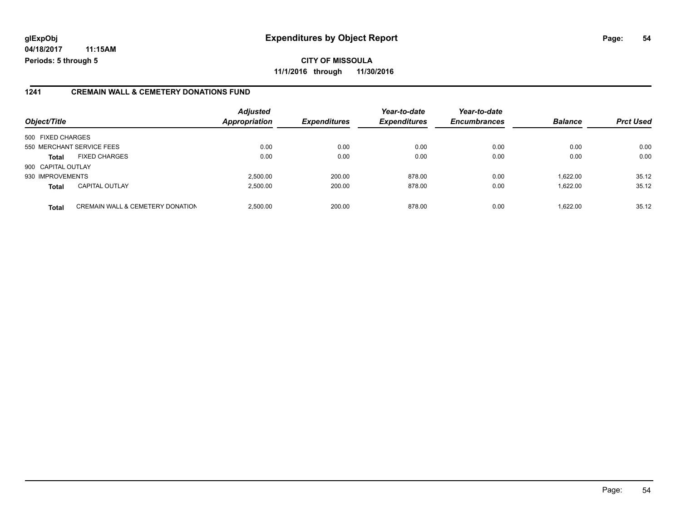**CITY OF MISSOULA 11/1/2016 through 11/30/2016**

#### **1241 CREMAIN WALL & CEMETERY DONATIONS FUND**

|                    |                                             | <b>Adjusted</b>      |                     | Year-to-date        | Year-to-date        |                |                  |
|--------------------|---------------------------------------------|----------------------|---------------------|---------------------|---------------------|----------------|------------------|
| Object/Title       |                                             | <b>Appropriation</b> | <b>Expenditures</b> | <b>Expenditures</b> | <b>Encumbrances</b> | <b>Balance</b> | <b>Prct Used</b> |
| 500 FIXED CHARGES  |                                             |                      |                     |                     |                     |                |                  |
|                    | 550 MERCHANT SERVICE FEES                   | 0.00                 | 0.00                | 0.00                | 0.00                | 0.00           | 0.00             |
| <b>Total</b>       | <b>FIXED CHARGES</b>                        | 0.00                 | 0.00                | 0.00                | 0.00                | 0.00           | 0.00             |
| 900 CAPITAL OUTLAY |                                             |                      |                     |                     |                     |                |                  |
| 930 IMPROVEMENTS   |                                             | 2.500.00             | 200.00              | 878.00              | 0.00                | 1.622.00       | 35.12            |
| <b>Total</b>       | <b>CAPITAL OUTLAY</b>                       | 2,500.00             | 200.00              | 878.00              | 0.00                | 1.622.00       | 35.12            |
| <b>Total</b>       | <b>CREMAIN WALL &amp; CEMETERY DONATION</b> | 2.500.00             | 200.00              | 878.00              | 0.00                | 1.622.00       | 35.12            |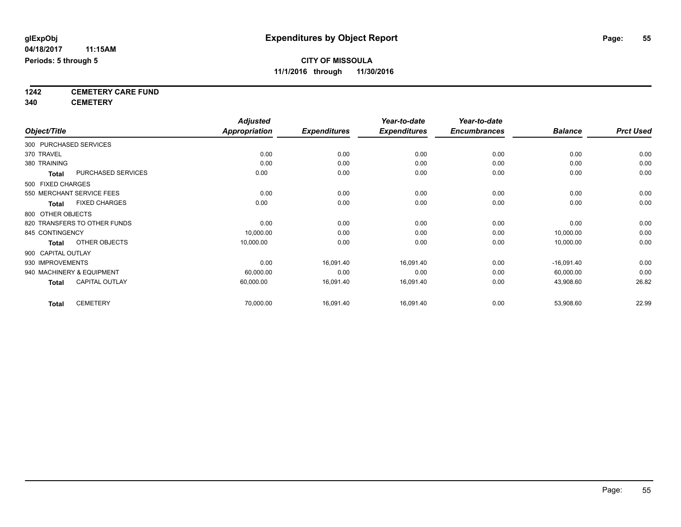**1242 CEMETERY CARE FUND**

**340 CEMETERY**

|                                       | <b>Adjusted</b>      |                     | Year-to-date        | Year-to-date        |                |                  |
|---------------------------------------|----------------------|---------------------|---------------------|---------------------|----------------|------------------|
| Object/Title                          | <b>Appropriation</b> | <b>Expenditures</b> | <b>Expenditures</b> | <b>Encumbrances</b> | <b>Balance</b> | <b>Prct Used</b> |
| 300 PURCHASED SERVICES                |                      |                     |                     |                     |                |                  |
| 370 TRAVEL                            | 0.00                 | 0.00                | 0.00                | 0.00                | 0.00           | 0.00             |
| 380 TRAINING                          | 0.00                 | 0.00                | 0.00                | 0.00                | 0.00           | 0.00             |
| PURCHASED SERVICES<br><b>Total</b>    | 0.00                 | 0.00                | 0.00                | 0.00                | 0.00           | 0.00             |
| 500 FIXED CHARGES                     |                      |                     |                     |                     |                |                  |
| 550 MERCHANT SERVICE FEES             | 0.00                 | 0.00                | 0.00                | 0.00                | 0.00           | 0.00             |
| <b>FIXED CHARGES</b><br><b>Total</b>  | 0.00                 | 0.00                | 0.00                | 0.00                | 0.00           | 0.00             |
| 800 OTHER OBJECTS                     |                      |                     |                     |                     |                |                  |
| 820 TRANSFERS TO OTHER FUNDS          | 0.00                 | 0.00                | 0.00                | 0.00                | 0.00           | 0.00             |
| 845 CONTINGENCY                       | 10,000.00            | 0.00                | 0.00                | 0.00                | 10,000.00      | 0.00             |
| OTHER OBJECTS<br><b>Total</b>         | 10,000.00            | 0.00                | 0.00                | 0.00                | 10,000.00      | 0.00             |
| 900 CAPITAL OUTLAY                    |                      |                     |                     |                     |                |                  |
| 930 IMPROVEMENTS                      | 0.00                 | 16,091.40           | 16,091.40           | 0.00                | $-16,091.40$   | 0.00             |
| 940 MACHINERY & EQUIPMENT             | 60,000.00            | 0.00                | 0.00                | 0.00                | 60,000.00      | 0.00             |
| <b>CAPITAL OUTLAY</b><br><b>Total</b> | 60,000.00            | 16,091.40           | 16,091.40           | 0.00                | 43,908.60      | 26.82            |
| <b>CEMETERY</b><br><b>Total</b>       | 70,000.00            | 16,091.40           | 16,091.40           | 0.00                | 53,908.60      | 22.99            |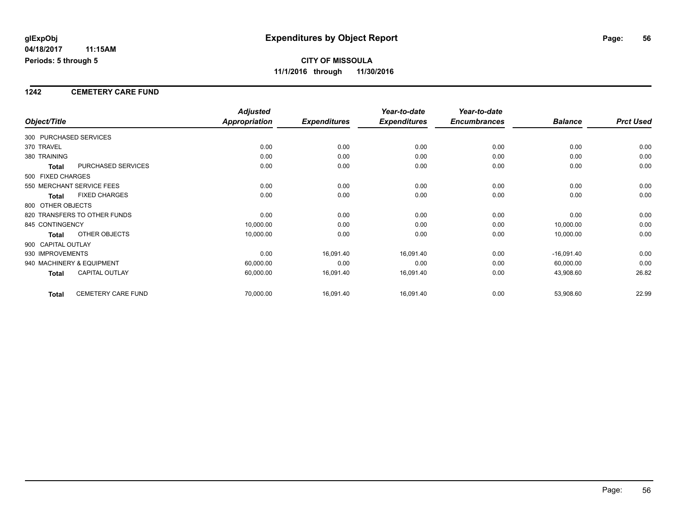#### **1242 CEMETERY CARE FUND**

|                        |                              | <b>Adjusted</b> |                     | Year-to-date        | Year-to-date        |                |                  |
|------------------------|------------------------------|-----------------|---------------------|---------------------|---------------------|----------------|------------------|
| Object/Title           |                              | Appropriation   | <b>Expenditures</b> | <b>Expenditures</b> | <b>Encumbrances</b> | <b>Balance</b> | <b>Prct Used</b> |
| 300 PURCHASED SERVICES |                              |                 |                     |                     |                     |                |                  |
| 370 TRAVEL             |                              | 0.00            | 0.00                | 0.00                | 0.00                | 0.00           | 0.00             |
| 380 TRAINING           |                              | 0.00            | 0.00                | 0.00                | 0.00                | 0.00           | 0.00             |
| <b>Total</b>           | PURCHASED SERVICES           | 0.00            | 0.00                | 0.00                | 0.00                | 0.00           | 0.00             |
| 500 FIXED CHARGES      |                              |                 |                     |                     |                     |                |                  |
|                        | 550 MERCHANT SERVICE FEES    | 0.00            | 0.00                | 0.00                | 0.00                | 0.00           | 0.00             |
| <b>Total</b>           | <b>FIXED CHARGES</b>         | 0.00            | 0.00                | 0.00                | 0.00                | 0.00           | 0.00             |
| 800 OTHER OBJECTS      |                              |                 |                     |                     |                     |                |                  |
|                        | 820 TRANSFERS TO OTHER FUNDS | 0.00            | 0.00                | 0.00                | 0.00                | 0.00           | 0.00             |
| 845 CONTINGENCY        |                              | 10,000.00       | 0.00                | 0.00                | 0.00                | 10,000.00      | 0.00             |
| Total                  | OTHER OBJECTS                | 10,000.00       | 0.00                | 0.00                | 0.00                | 10,000.00      | 0.00             |
| 900 CAPITAL OUTLAY     |                              |                 |                     |                     |                     |                |                  |
| 930 IMPROVEMENTS       |                              | 0.00            | 16,091.40           | 16,091.40           | 0.00                | $-16,091.40$   | 0.00             |
|                        | 940 MACHINERY & EQUIPMENT    | 60,000.00       | 0.00                | 0.00                | 0.00                | 60,000.00      | 0.00             |
| Total                  | <b>CAPITAL OUTLAY</b>        | 60,000.00       | 16,091.40           | 16,091.40           | 0.00                | 43,908.60      | 26.82            |
| <b>Total</b>           | <b>CEMETERY CARE FUND</b>    | 70,000.00       | 16,091.40           | 16,091.40           | 0.00                | 53,908.60      | 22.99            |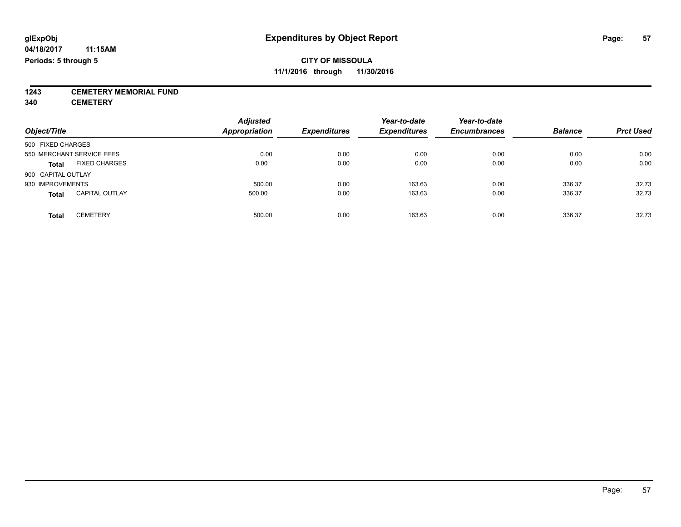**1243 CEMETERY MEMORIAL FUND**

**340 CEMETERY**

| Object/Title                          | <b>Adjusted</b><br><b>Appropriation</b> | <b>Expenditures</b> | Year-to-date<br><b>Expenditures</b> | Year-to-date<br><b>Encumbrances</b> | <b>Balance</b> | <b>Prct Used</b> |
|---------------------------------------|-----------------------------------------|---------------------|-------------------------------------|-------------------------------------|----------------|------------------|
| 500 FIXED CHARGES                     |                                         |                     |                                     |                                     |                |                  |
| 550 MERCHANT SERVICE FEES             | 0.00                                    | 0.00                | 0.00                                | 0.00                                | 0.00           | 0.00             |
| <b>FIXED CHARGES</b><br><b>Total</b>  | 0.00                                    | 0.00                | 0.00                                | 0.00                                | 0.00           | 0.00             |
| 900 CAPITAL OUTLAY                    |                                         |                     |                                     |                                     |                |                  |
| 930 IMPROVEMENTS                      | 500.00                                  | 0.00                | 163.63                              | 0.00                                | 336.37         | 32.73            |
| <b>CAPITAL OUTLAY</b><br><b>Total</b> | 500.00                                  | 0.00                | 163.63                              | 0.00                                | 336.37         | 32.73            |
| <b>CEMETERY</b><br>Total              | 500.00                                  | 0.00                | 163.63                              | 0.00                                | 336.37         | 32.73            |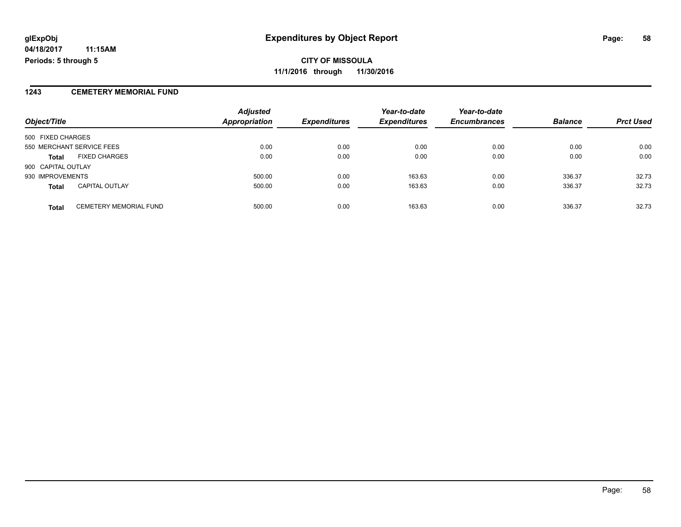**CITY OF MISSOULA 11/1/2016 through 11/30/2016**

#### **1243 CEMETERY MEMORIAL FUND**

|                    |                               | <b>Adjusted</b>      |                     | Year-to-date        | Year-to-date        |                |                  |
|--------------------|-------------------------------|----------------------|---------------------|---------------------|---------------------|----------------|------------------|
| Object/Title       |                               | <b>Appropriation</b> | <b>Expenditures</b> | <b>Expenditures</b> | <b>Encumbrances</b> | <b>Balance</b> | <b>Prct Used</b> |
| 500 FIXED CHARGES  |                               |                      |                     |                     |                     |                |                  |
|                    | 550 MERCHANT SERVICE FEES     | 0.00                 | 0.00                | 0.00                | 0.00                | 0.00           | 0.00             |
| Total              | <b>FIXED CHARGES</b>          | 0.00                 | 0.00                | 0.00                | 0.00                | 0.00           | 0.00             |
| 900 CAPITAL OUTLAY |                               |                      |                     |                     |                     |                |                  |
| 930 IMPROVEMENTS   |                               | 500.00               | 0.00                | 163.63              | 0.00                | 336.37         | 32.73            |
| <b>Total</b>       | <b>CAPITAL OUTLAY</b>         | 500.00               | 0.00                | 163.63              | 0.00                | 336.37         | 32.73            |
| <b>Total</b>       | <b>CEMETERY MEMORIAL FUND</b> | 500.00               | 0.00                | 163.63              | 0.00                | 336.37         | 32.73            |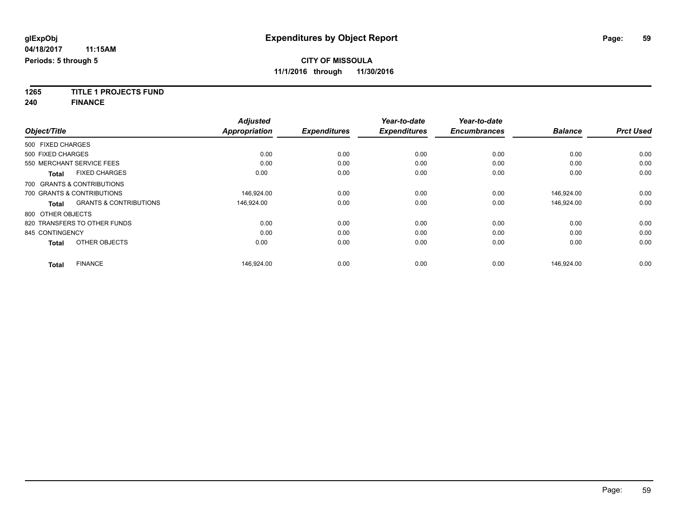**1265 TITLE 1 PROJECTS FUND**

**240 FINANCE**

|                   |                                   | <b>Adjusted</b>      |                     | Year-to-date        | Year-to-date        |                |                  |
|-------------------|-----------------------------------|----------------------|---------------------|---------------------|---------------------|----------------|------------------|
| Object/Title      |                                   | <b>Appropriation</b> | <b>Expenditures</b> | <b>Expenditures</b> | <b>Encumbrances</b> | <b>Balance</b> | <b>Prct Used</b> |
| 500 FIXED CHARGES |                                   |                      |                     |                     |                     |                |                  |
| 500 FIXED CHARGES |                                   | 0.00                 | 0.00                | 0.00                | 0.00                | 0.00           | 0.00             |
|                   | 550 MERCHANT SERVICE FEES         | 0.00                 | 0.00                | 0.00                | 0.00                | 0.00           | 0.00             |
| <b>Total</b>      | <b>FIXED CHARGES</b>              | 0.00                 | 0.00                | 0.00                | 0.00                | 0.00           | 0.00             |
|                   | 700 GRANTS & CONTRIBUTIONS        |                      |                     |                     |                     |                |                  |
|                   | 700 GRANTS & CONTRIBUTIONS        | 146,924.00           | 0.00                | 0.00                | 0.00                | 146,924.00     | 0.00             |
| <b>Total</b>      | <b>GRANTS &amp; CONTRIBUTIONS</b> | 146,924.00           | 0.00                | 0.00                | 0.00                | 146.924.00     | 0.00             |
| 800 OTHER OBJECTS |                                   |                      |                     |                     |                     |                |                  |
|                   | 820 TRANSFERS TO OTHER FUNDS      | 0.00                 | 0.00                | 0.00                | 0.00                | 0.00           | 0.00             |
| 845 CONTINGENCY   |                                   | 0.00                 | 0.00                | 0.00                | 0.00                | 0.00           | 0.00             |
| <b>Total</b>      | OTHER OBJECTS                     | 0.00                 | 0.00                | 0.00                | 0.00                | 0.00           | 0.00             |
| <b>Total</b>      | <b>FINANCE</b>                    | 146,924.00           | 0.00                | 0.00                | 0.00                | 146.924.00     | 0.00             |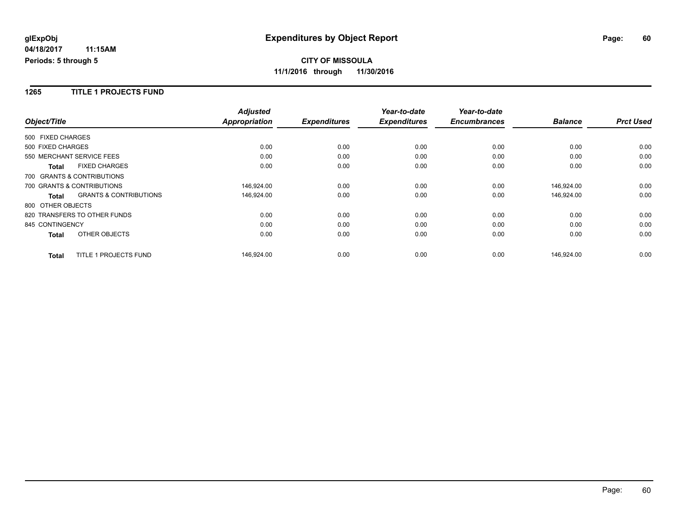#### **1265 TITLE 1 PROJECTS FUND**

|                              |                                   | <b>Adjusted</b>      |                     | Year-to-date        | Year-to-date        |                |                  |
|------------------------------|-----------------------------------|----------------------|---------------------|---------------------|---------------------|----------------|------------------|
| Object/Title                 |                                   | <b>Appropriation</b> | <b>Expenditures</b> | <b>Expenditures</b> | <b>Encumbrances</b> | <b>Balance</b> | <b>Prct Used</b> |
| 500 FIXED CHARGES            |                                   |                      |                     |                     |                     |                |                  |
| 500 FIXED CHARGES            |                                   | 0.00                 | 0.00                | 0.00                | 0.00                | 0.00           | 0.00             |
| 550 MERCHANT SERVICE FEES    |                                   | 0.00                 | 0.00                | 0.00                | 0.00                | 0.00           | 0.00             |
| <b>Total</b>                 | <b>FIXED CHARGES</b>              | 0.00                 | 0.00                | 0.00                | 0.00                | 0.00           | 0.00             |
| 700 GRANTS & CONTRIBUTIONS   |                                   |                      |                     |                     |                     |                |                  |
| 700 GRANTS & CONTRIBUTIONS   |                                   | 146,924.00           | 0.00                | 0.00                | 0.00                | 146,924.00     | 0.00             |
| <b>Total</b>                 | <b>GRANTS &amp; CONTRIBUTIONS</b> | 146,924.00           | 0.00                | 0.00                | 0.00                | 146,924.00     | 0.00             |
| 800 OTHER OBJECTS            |                                   |                      |                     |                     |                     |                |                  |
| 820 TRANSFERS TO OTHER FUNDS |                                   | 0.00                 | 0.00                | 0.00                | 0.00                | 0.00           | 0.00             |
| 845 CONTINGENCY              |                                   | 0.00                 | 0.00                | 0.00                | 0.00                | 0.00           | 0.00             |
| <b>Total</b>                 | OTHER OBJECTS                     | 0.00                 | 0.00                | 0.00                | 0.00                | 0.00           | 0.00             |
| <b>Total</b>                 | TITLE 1 PROJECTS FUND             | 146,924.00           | 0.00                | 0.00                | 0.00                | 146,924.00     | 0.00             |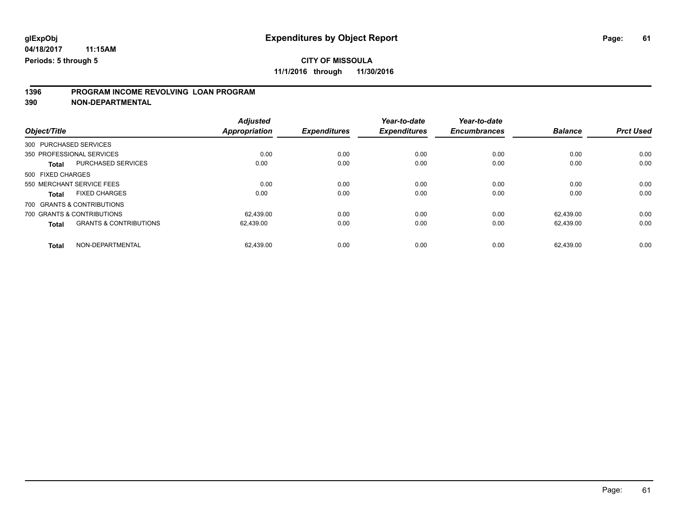## **CITY OF MISSOULA 11/1/2016 through 11/30/2016**

# **1396 PROGRAM INCOME REVOLVING LOAN PROGRAM**

**390 NON-DEPARTMENTAL**

| Object/Title           |                                   | <b>Adjusted</b><br>Appropriation | <b>Expenditures</b> | Year-to-date<br><b>Expenditures</b> | Year-to-date<br><b>Encumbrances</b> | <b>Balance</b> | <b>Prct Used</b> |
|------------------------|-----------------------------------|----------------------------------|---------------------|-------------------------------------|-------------------------------------|----------------|------------------|
| 300 PURCHASED SERVICES |                                   |                                  |                     |                                     |                                     |                |                  |
|                        | 350 PROFESSIONAL SERVICES         | 0.00                             | 0.00                | 0.00                                | 0.00                                | 0.00           | 0.00             |
| <b>Total</b>           | <b>PURCHASED SERVICES</b>         | 0.00                             | 0.00                | 0.00                                | 0.00                                | 0.00           | 0.00             |
| 500 FIXED CHARGES      |                                   |                                  |                     |                                     |                                     |                |                  |
|                        | 550 MERCHANT SERVICE FEES         | 0.00                             | 0.00                | 0.00                                | 0.00                                | 0.00           | 0.00             |
| <b>Total</b>           | <b>FIXED CHARGES</b>              | 0.00                             | 0.00                | 0.00                                | 0.00                                | 0.00           | 0.00             |
|                        | 700 GRANTS & CONTRIBUTIONS        |                                  |                     |                                     |                                     |                |                  |
|                        | 700 GRANTS & CONTRIBUTIONS        | 62.439.00                        | 0.00                | 0.00                                | 0.00                                | 62.439.00      | 0.00             |
| Total                  | <b>GRANTS &amp; CONTRIBUTIONS</b> | 62,439.00                        | 0.00                | 0.00                                | 0.00                                | 62.439.00      | 0.00             |
| <b>Total</b>           | NON-DEPARTMENTAL                  | 62.439.00                        | 0.00                | 0.00                                | 0.00                                | 62.439.00      | 0.00             |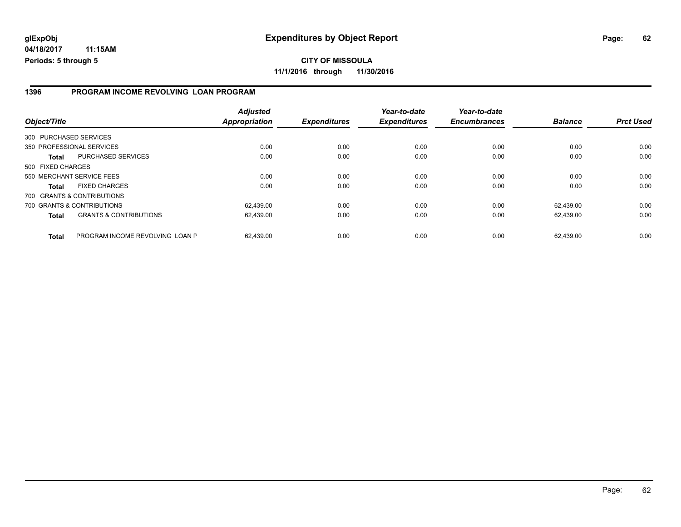#### **1396 PROGRAM INCOME REVOLVING LOAN PROGRAM**

| Object/Title           |                                   | <b>Adjusted</b><br>Appropriation | <b>Expenditures</b> | Year-to-date<br><b>Expenditures</b> | Year-to-date<br><b>Encumbrances</b> | <b>Balance</b> | <b>Prct Used</b> |
|------------------------|-----------------------------------|----------------------------------|---------------------|-------------------------------------|-------------------------------------|----------------|------------------|
| 300 PURCHASED SERVICES |                                   |                                  |                     |                                     |                                     |                |                  |
|                        | 350 PROFESSIONAL SERVICES         | 0.00                             | 0.00                | 0.00                                | 0.00                                | 0.00           | 0.00             |
| Total                  | PURCHASED SERVICES                | 0.00                             | 0.00                | 0.00                                | 0.00                                | 0.00           | 0.00             |
| 500 FIXED CHARGES      |                                   |                                  |                     |                                     |                                     |                |                  |
|                        | 550 MERCHANT SERVICE FEES         | 0.00                             | 0.00                | 0.00                                | 0.00                                | 0.00           | 0.00             |
| Total                  | <b>FIXED CHARGES</b>              | 0.00                             | 0.00                | 0.00                                | 0.00                                | 0.00           | 0.00             |
|                        | 700 GRANTS & CONTRIBUTIONS        |                                  |                     |                                     |                                     |                |                  |
|                        | 700 GRANTS & CONTRIBUTIONS        | 62.439.00                        | 0.00                | 0.00                                | 0.00                                | 62.439.00      | 0.00             |
| <b>Total</b>           | <b>GRANTS &amp; CONTRIBUTIONS</b> | 62,439.00                        | 0.00                | 0.00                                | 0.00                                | 62.439.00      | 0.00             |
| <b>Total</b>           | PROGRAM INCOME REVOLVING LOAN P   | 62.439.00                        | 0.00                | 0.00                                | 0.00                                | 62.439.00      | 0.00             |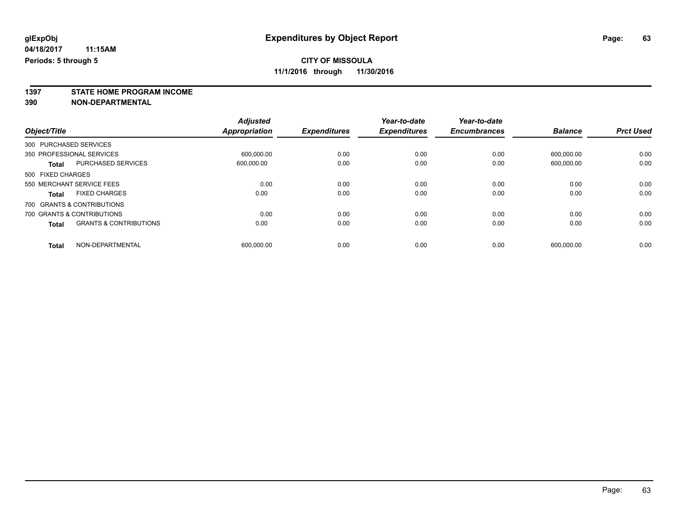**1397 STATE HOME PROGRAM INCOME**

**390 NON-DEPARTMENTAL**

| Object/Title      |                                   | <b>Adjusted</b><br><b>Appropriation</b> | <b>Expenditures</b> | Year-to-date<br><b>Expenditures</b> | Year-to-date<br><b>Encumbrances</b> | <b>Balance</b> | <b>Prct Used</b> |
|-------------------|-----------------------------------|-----------------------------------------|---------------------|-------------------------------------|-------------------------------------|----------------|------------------|
|                   |                                   |                                         |                     |                                     |                                     |                |                  |
|                   | 300 PURCHASED SERVICES            |                                         |                     |                                     |                                     |                |                  |
|                   | 350 PROFESSIONAL SERVICES         | 600.000.00                              | 0.00                | 0.00                                | 0.00                                | 600.000.00     | 0.00             |
| <b>Total</b>      | <b>PURCHASED SERVICES</b>         | 600.000.00                              | 0.00                | 0.00                                | 0.00                                | 600.000.00     | 0.00             |
| 500 FIXED CHARGES |                                   |                                         |                     |                                     |                                     |                |                  |
|                   | 550 MERCHANT SERVICE FEES         | 0.00                                    | 0.00                | 0.00                                | 0.00                                | 0.00           | 0.00             |
| <b>Total</b>      | <b>FIXED CHARGES</b>              | 0.00                                    | 0.00                | 0.00                                | 0.00                                | 0.00           | 0.00             |
|                   | 700 GRANTS & CONTRIBUTIONS        |                                         |                     |                                     |                                     |                |                  |
|                   | 700 GRANTS & CONTRIBUTIONS        | 0.00                                    | 0.00                | 0.00                                | 0.00                                | 0.00           | 0.00             |
| <b>Total</b>      | <b>GRANTS &amp; CONTRIBUTIONS</b> | 0.00                                    | 0.00                | 0.00                                | 0.00                                | 0.00           | 0.00             |
| <b>Total</b>      | NON-DEPARTMENTAL                  | 600.000.00                              | 0.00                | 0.00                                | 0.00                                | 600.000.00     | 0.00             |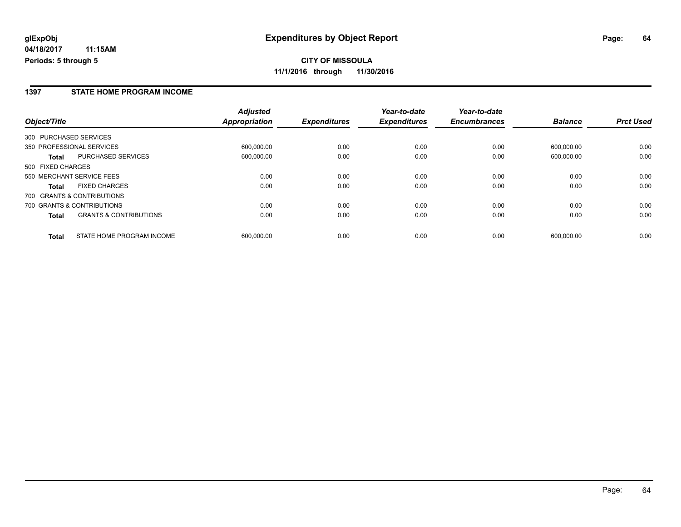**CITY OF MISSOULA 11/1/2016 through 11/30/2016**

#### **1397 STATE HOME PROGRAM INCOME**

|                   |                                   | <b>Adjusted</b>      |                     | Year-to-date        | Year-to-date        |                |                  |
|-------------------|-----------------------------------|----------------------|---------------------|---------------------|---------------------|----------------|------------------|
| Object/Title      |                                   | <b>Appropriation</b> | <b>Expenditures</b> | <b>Expenditures</b> | <b>Encumbrances</b> | <b>Balance</b> | <b>Prct Used</b> |
|                   | 300 PURCHASED SERVICES            |                      |                     |                     |                     |                |                  |
|                   | 350 PROFESSIONAL SERVICES         | 600.000.00           | 0.00                | 0.00                | 0.00                | 600.000.00     | 0.00             |
| Total             | <b>PURCHASED SERVICES</b>         | 600.000.00           | 0.00                | 0.00                | 0.00                | 600.000.00     | 0.00             |
| 500 FIXED CHARGES |                                   |                      |                     |                     |                     |                |                  |
|                   | 550 MERCHANT SERVICE FEES         | 0.00                 | 0.00                | 0.00                | 0.00                | 0.00           | 0.00             |
| <b>Total</b>      | <b>FIXED CHARGES</b>              | 0.00                 | 0.00                | 0.00                | 0.00                | 0.00           | 0.00             |
|                   | 700 GRANTS & CONTRIBUTIONS        |                      |                     |                     |                     |                |                  |
|                   | 700 GRANTS & CONTRIBUTIONS        | 0.00                 | 0.00                | 0.00                | 0.00                | 0.00           | 0.00             |
| <b>Total</b>      | <b>GRANTS &amp; CONTRIBUTIONS</b> | 0.00                 | 0.00                | 0.00                | 0.00                | 0.00           | 0.00             |
| <b>Total</b>      | STATE HOME PROGRAM INCOME         | 600.000.00           | 0.00                | 0.00                | 0.00                | 600.000.00     | 0.00             |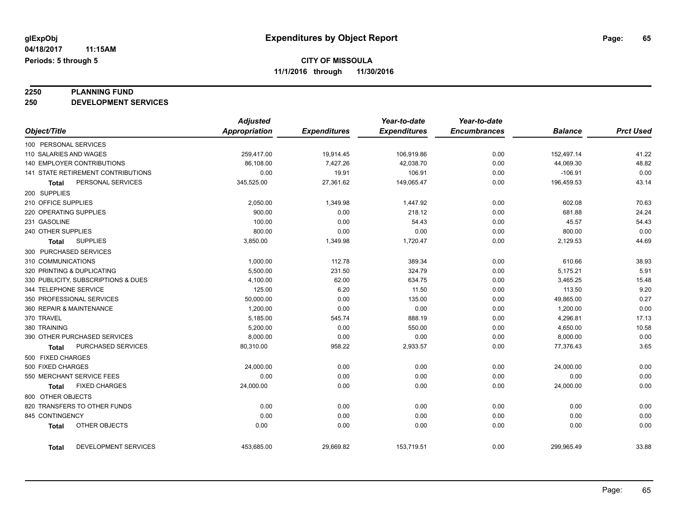# **2250 PLANNING FUND**

**250 DEVELOPMENT SERVICES**

|                            |                                     | <b>Adjusted</b>      |                     | Year-to-date        | Year-to-date        |                |                  |
|----------------------------|-------------------------------------|----------------------|---------------------|---------------------|---------------------|----------------|------------------|
| Object/Title               |                                     | <b>Appropriation</b> | <b>Expenditures</b> | <b>Expenditures</b> | <b>Encumbrances</b> | <b>Balance</b> | <b>Prct Used</b> |
| 100 PERSONAL SERVICES      |                                     |                      |                     |                     |                     |                |                  |
| 110 SALARIES AND WAGES     |                                     | 259,417.00           | 19,914.45           | 106,919.86          | 0.00                | 152,497.14     | 41.22            |
| 140 EMPLOYER CONTRIBUTIONS |                                     | 86,108.00            | 7,427.26            | 42,038.70           | 0.00                | 44,069.30      | 48.82            |
|                            | 141 STATE RETIREMENT CONTRIBUTIONS  | 0.00                 | 19.91               | 106.91              | 0.00                | $-106.91$      | 0.00             |
| Total                      | PERSONAL SERVICES                   | 345,525.00           | 27,361.62           | 149,065.47          | 0.00                | 196,459.53     | 43.14            |
| 200 SUPPLIES               |                                     |                      |                     |                     |                     |                |                  |
| 210 OFFICE SUPPLIES        |                                     | 2,050.00             | 1,349.98            | 1,447.92            | 0.00                | 602.08         | 70.63            |
| 220 OPERATING SUPPLIES     |                                     | 900.00               | 0.00                | 218.12              | 0.00                | 681.88         | 24.24            |
| 231 GASOLINE               |                                     | 100.00               | 0.00                | 54.43               | 0.00                | 45.57          | 54.43            |
| 240 OTHER SUPPLIES         |                                     | 800.00               | 0.00                | 0.00                | 0.00                | 800.00         | 0.00             |
| <b>Total</b>               | <b>SUPPLIES</b>                     | 3,850.00             | 1,349.98            | 1,720.47            | 0.00                | 2,129.53       | 44.69            |
| 300 PURCHASED SERVICES     |                                     |                      |                     |                     |                     |                |                  |
| 310 COMMUNICATIONS         |                                     | 1,000.00             | 112.78              | 389.34              | 0.00                | 610.66         | 38.93            |
| 320 PRINTING & DUPLICATING |                                     | 5,500.00             | 231.50              | 324.79              | 0.00                | 5,175.21       | 5.91             |
|                            | 330 PUBLICITY, SUBSCRIPTIONS & DUES | 4,100.00             | 62.00               | 634.75              | 0.00                | 3,465.25       | 15.48            |
| 344 TELEPHONE SERVICE      |                                     | 125.00               | 6.20                | 11.50               | 0.00                | 113.50         | 9.20             |
| 350 PROFESSIONAL SERVICES  |                                     | 50,000.00            | 0.00                | 135.00              | 0.00                | 49,865.00      | 0.27             |
| 360 REPAIR & MAINTENANCE   |                                     | 1,200.00             | 0.00                | 0.00                | 0.00                | 1,200.00       | 0.00             |
| 370 TRAVEL                 |                                     | 5,185.00             | 545.74              | 888.19              | 0.00                | 4,296.81       | 17.13            |
| 380 TRAINING               |                                     | 5,200.00             | 0.00                | 550.00              | 0.00                | 4,650.00       | 10.58            |
|                            | 390 OTHER PURCHASED SERVICES        | 8,000.00             | 0.00                | 0.00                | 0.00                | 8,000.00       | 0.00             |
| Total                      | PURCHASED SERVICES                  | 80,310.00            | 958.22              | 2,933.57            | 0.00                | 77,376.43      | 3.65             |
| 500 FIXED CHARGES          |                                     |                      |                     |                     |                     |                |                  |
| 500 FIXED CHARGES          |                                     | 24,000.00            | 0.00                | 0.00                | 0.00                | 24,000.00      | 0.00             |
| 550 MERCHANT SERVICE FEES  |                                     | 0.00                 | 0.00                | 0.00                | 0.00                | 0.00           | 0.00             |
| Total                      | <b>FIXED CHARGES</b>                | 24,000.00            | 0.00                | 0.00                | 0.00                | 24,000.00      | 0.00             |
| 800 OTHER OBJECTS          |                                     |                      |                     |                     |                     |                |                  |
|                            | 820 TRANSFERS TO OTHER FUNDS        | 0.00                 | 0.00                | 0.00                | 0.00                | 0.00           | 0.00             |
| 845 CONTINGENCY            |                                     | 0.00                 | 0.00                | 0.00                | 0.00                | 0.00           | 0.00             |
| Total                      | OTHER OBJECTS                       | 0.00                 | 0.00                | 0.00                | 0.00                | 0.00           | 0.00             |
| Total                      | DEVELOPMENT SERVICES                | 453,685.00           | 29,669.82           | 153,719.51          | 0.00                | 299,965.49     | 33.88            |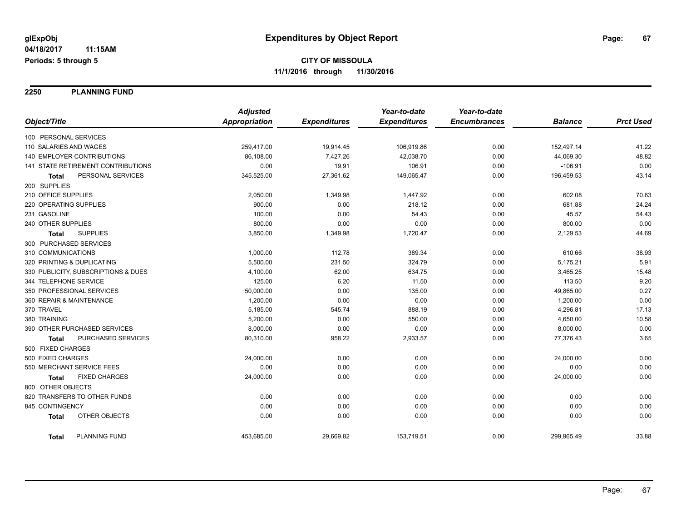**2250 PLANNING FUND**

|                                      | <b>Adjusted</b>      |                     | Year-to-date        | Year-to-date        |                |                  |
|--------------------------------------|----------------------|---------------------|---------------------|---------------------|----------------|------------------|
| Object/Title                         | <b>Appropriation</b> | <b>Expenditures</b> | <b>Expenditures</b> | <b>Encumbrances</b> | <b>Balance</b> | <b>Prct Used</b> |
| 100 PERSONAL SERVICES                |                      |                     |                     |                     |                |                  |
| 110 SALARIES AND WAGES               | 259,417.00           | 19,914.45           | 106,919.86          | 0.00                | 152,497.14     | 41.22            |
| 140 EMPLOYER CONTRIBUTIONS           | 86,108.00            | 7,427.26            | 42,038.70           | 0.00                | 44,069.30      | 48.82            |
| 141 STATE RETIREMENT CONTRIBUTIONS   | 0.00                 | 19.91               | 106.91              | 0.00                | $-106.91$      | 0.00             |
| PERSONAL SERVICES<br><b>Total</b>    | 345,525.00           | 27,361.62           | 149,065.47          | 0.00                | 196,459.53     | 43.14            |
| 200 SUPPLIES                         |                      |                     |                     |                     |                |                  |
| 210 OFFICE SUPPLIES                  | 2,050.00             | 1,349.98            | 1,447.92            | 0.00                | 602.08         | 70.63            |
| 220 OPERATING SUPPLIES               | 900.00               | 0.00                | 218.12              | 0.00                | 681.88         | 24.24            |
| 231 GASOLINE                         | 100.00               | 0.00                | 54.43               | 0.00                | 45.57          | 54.43            |
| 240 OTHER SUPPLIES                   | 800.00               | 0.00                | 0.00                | 0.00                | 800.00         | 0.00             |
| <b>SUPPLIES</b><br><b>Total</b>      | 3,850.00             | 1,349.98            | 1,720.47            | 0.00                | 2,129.53       | 44.69            |
| 300 PURCHASED SERVICES               |                      |                     |                     |                     |                |                  |
| 310 COMMUNICATIONS                   | 1,000.00             | 112.78              | 389.34              | 0.00                | 610.66         | 38.93            |
| 320 PRINTING & DUPLICATING           | 5,500.00             | 231.50              | 324.79              | 0.00                | 5,175.21       | 5.91             |
| 330 PUBLICITY, SUBSCRIPTIONS & DUES  | 4,100.00             | 62.00               | 634.75              | 0.00                | 3,465.25       | 15.48            |
| 344 TELEPHONE SERVICE                | 125.00               | 6.20                | 11.50               | 0.00                | 113.50         | 9.20             |
| 350 PROFESSIONAL SERVICES            | 50,000.00            | 0.00                | 135.00              | 0.00                | 49,865.00      | 0.27             |
| 360 REPAIR & MAINTENANCE             | 1,200.00             | 0.00                | 0.00                | 0.00                | 1,200.00       | 0.00             |
| 370 TRAVEL                           | 5,185.00             | 545.74              | 888.19              | 0.00                | 4,296.81       | 17.13            |
| 380 TRAINING                         | 5,200.00             | 0.00                | 550.00              | 0.00                | 4,650.00       | 10.58            |
| 390 OTHER PURCHASED SERVICES         | 8,000.00             | 0.00                | 0.00                | 0.00                | 8,000.00       | 0.00             |
| PURCHASED SERVICES<br>Total          | 80,310.00            | 958.22              | 2,933.57            | 0.00                | 77,376.43      | 3.65             |
| 500 FIXED CHARGES                    |                      |                     |                     |                     |                |                  |
| 500 FIXED CHARGES                    | 24,000.00            | 0.00                | 0.00                | 0.00                | 24,000.00      | 0.00             |
| 550 MERCHANT SERVICE FEES            | 0.00                 | 0.00                | 0.00                | 0.00                | 0.00           | 0.00             |
| <b>FIXED CHARGES</b><br><b>Total</b> | 24,000.00            | 0.00                | 0.00                | 0.00                | 24,000.00      | 0.00             |
| 800 OTHER OBJECTS                    |                      |                     |                     |                     |                |                  |
| 820 TRANSFERS TO OTHER FUNDS         | 0.00                 | 0.00                | 0.00                | 0.00                | 0.00           | 0.00             |
| 845 CONTINGENCY                      | 0.00                 | 0.00                | 0.00                | 0.00                | 0.00           | 0.00             |
| OTHER OBJECTS<br><b>Total</b>        | 0.00                 | 0.00                | 0.00                | 0.00                | 0.00           | 0.00             |
| <b>PLANNING FUND</b><br><b>Total</b> | 453,685.00           | 29,669.82           | 153,719.51          | 0.00                | 299,965.49     | 33.88            |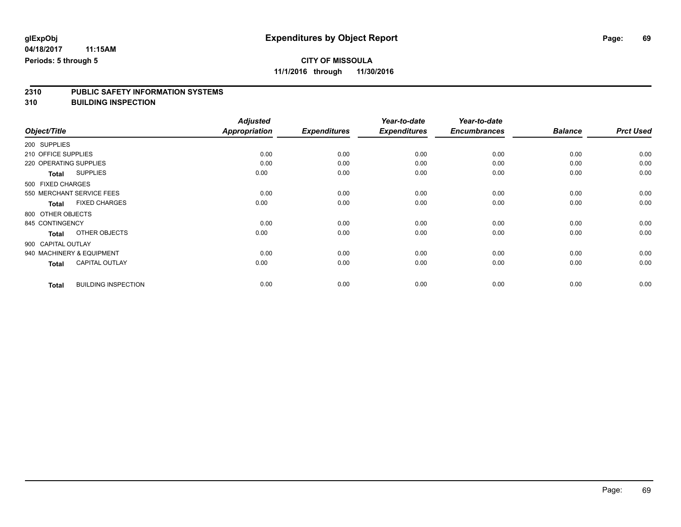# **2310 PUBLIC SAFETY INFORMATION SYSTEMS**

**310 BUILDING INSPECTION**

|                                            | <b>Adjusted</b> |                     | Year-to-date        | Year-to-date        |                |                  |
|--------------------------------------------|-----------------|---------------------|---------------------|---------------------|----------------|------------------|
| Object/Title                               | Appropriation   | <b>Expenditures</b> | <b>Expenditures</b> | <b>Encumbrances</b> | <b>Balance</b> | <b>Prct Used</b> |
| 200 SUPPLIES                               |                 |                     |                     |                     |                |                  |
| 210 OFFICE SUPPLIES                        | 0.00            | 0.00                | 0.00                | 0.00                | 0.00           | 0.00             |
| 220 OPERATING SUPPLIES                     | 0.00            | 0.00                | 0.00                | 0.00                | 0.00           | 0.00             |
| <b>SUPPLIES</b><br><b>Total</b>            | 0.00            | 0.00                | 0.00                | 0.00                | 0.00           | 0.00             |
| 500 FIXED CHARGES                          |                 |                     |                     |                     |                |                  |
| 550 MERCHANT SERVICE FEES                  | 0.00            | 0.00                | 0.00                | 0.00                | 0.00           | 0.00             |
| <b>FIXED CHARGES</b><br><b>Total</b>       | 0.00            | 0.00                | 0.00                | 0.00                | 0.00           | 0.00             |
| 800 OTHER OBJECTS                          |                 |                     |                     |                     |                |                  |
| 845 CONTINGENCY                            | 0.00            | 0.00                | 0.00                | 0.00                | 0.00           | 0.00             |
| OTHER OBJECTS<br><b>Total</b>              | 0.00            | 0.00                | 0.00                | 0.00                | 0.00           | 0.00             |
| 900 CAPITAL OUTLAY                         |                 |                     |                     |                     |                |                  |
| 940 MACHINERY & EQUIPMENT                  | 0.00            | 0.00                | 0.00                | 0.00                | 0.00           | 0.00             |
| <b>CAPITAL OUTLAY</b><br><b>Total</b>      | 0.00            | 0.00                | 0.00                | 0.00                | 0.00           | 0.00             |
| <b>BUILDING INSPECTION</b><br><b>Total</b> | 0.00            | 0.00                | 0.00                | 0.00                | 0.00           | 0.00             |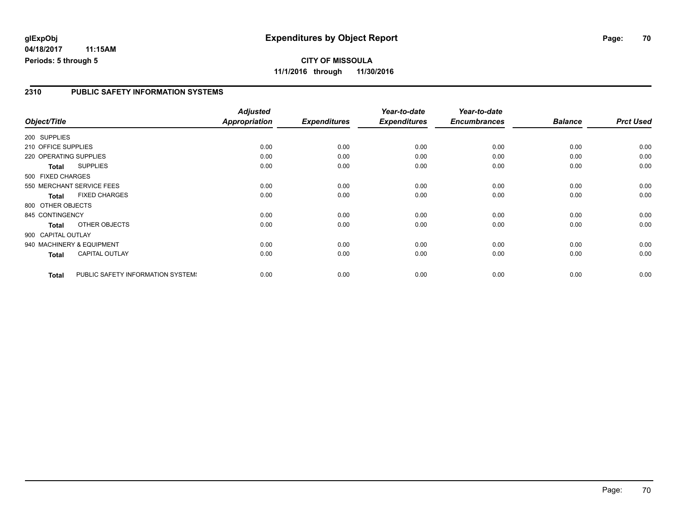**CITY OF MISSOULA 11/1/2016 through 11/30/2016**

#### **2310 PUBLIC SAFETY INFORMATION SYSTEMS**

|                        |                                   | <b>Adjusted</b> |                     | Year-to-date        | Year-to-date        |                |                  |
|------------------------|-----------------------------------|-----------------|---------------------|---------------------|---------------------|----------------|------------------|
| Object/Title           |                                   | Appropriation   | <b>Expenditures</b> | <b>Expenditures</b> | <b>Encumbrances</b> | <b>Balance</b> | <b>Prct Used</b> |
| 200 SUPPLIES           |                                   |                 |                     |                     |                     |                |                  |
| 210 OFFICE SUPPLIES    |                                   | 0.00            | 0.00                | 0.00                | 0.00                | 0.00           | 0.00             |
| 220 OPERATING SUPPLIES |                                   | 0.00            | 0.00                | 0.00                | 0.00                | 0.00           | 0.00             |
| Total                  | <b>SUPPLIES</b>                   | 0.00            | 0.00                | 0.00                | 0.00                | 0.00           | 0.00             |
| 500 FIXED CHARGES      |                                   |                 |                     |                     |                     |                |                  |
|                        | 550 MERCHANT SERVICE FEES         | 0.00            | 0.00                | 0.00                | 0.00                | 0.00           | 0.00             |
| <b>Total</b>           | <b>FIXED CHARGES</b>              | 0.00            | 0.00                | 0.00                | 0.00                | 0.00           | 0.00             |
| 800 OTHER OBJECTS      |                                   |                 |                     |                     |                     |                |                  |
| 845 CONTINGENCY        |                                   | 0.00            | 0.00                | 0.00                | 0.00                | 0.00           | 0.00             |
| <b>Total</b>           | OTHER OBJECTS                     | 0.00            | 0.00                | 0.00                | 0.00                | 0.00           | 0.00             |
| 900 CAPITAL OUTLAY     |                                   |                 |                     |                     |                     |                |                  |
|                        | 940 MACHINERY & EQUIPMENT         | 0.00            | 0.00                | 0.00                | 0.00                | 0.00           | 0.00             |
| <b>Total</b>           | <b>CAPITAL OUTLAY</b>             | 0.00            | 0.00                | 0.00                | 0.00                | 0.00           | 0.00             |
| <b>Total</b>           | PUBLIC SAFETY INFORMATION SYSTEM! | 0.00            | 0.00                | 0.00                | 0.00                | 0.00           | 0.00             |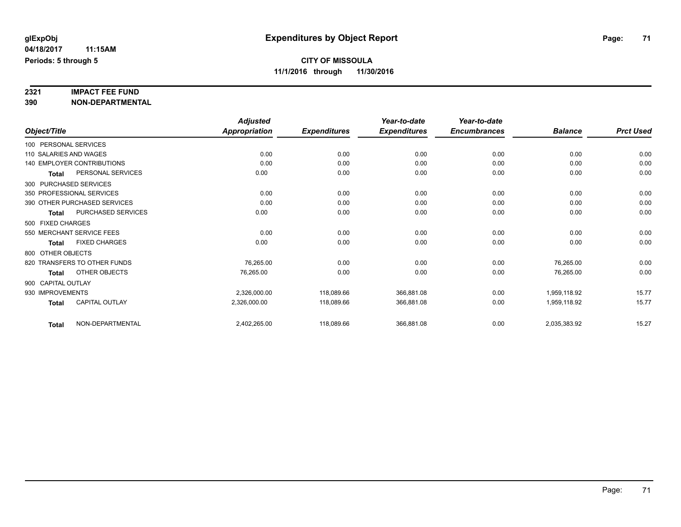# **2321 IMPACT FEE FUND**

**390 NON-DEPARTMENTAL**

|                                           | <b>Adjusted</b>      |                     | Year-to-date        | Year-to-date        |                |                  |
|-------------------------------------------|----------------------|---------------------|---------------------|---------------------|----------------|------------------|
| Object/Title                              | <b>Appropriation</b> | <b>Expenditures</b> | <b>Expenditures</b> | <b>Encumbrances</b> | <b>Balance</b> | <b>Prct Used</b> |
| 100 PERSONAL SERVICES                     |                      |                     |                     |                     |                |                  |
| 110 SALARIES AND WAGES                    | 0.00                 | 0.00                | 0.00                | 0.00                | 0.00           | 0.00             |
| <b>140 EMPLOYER CONTRIBUTIONS</b>         | 0.00                 | 0.00                | 0.00                | 0.00                | 0.00           | 0.00             |
| PERSONAL SERVICES<br><b>Total</b>         | 0.00                 | 0.00                | 0.00                | 0.00                | 0.00           | 0.00             |
| 300 PURCHASED SERVICES                    |                      |                     |                     |                     |                |                  |
| 350 PROFESSIONAL SERVICES                 | 0.00                 | 0.00                | 0.00                | 0.00                | 0.00           | 0.00             |
| 390 OTHER PURCHASED SERVICES              | 0.00                 | 0.00                | 0.00                | 0.00                | 0.00           | 0.00             |
| <b>PURCHASED SERVICES</b><br><b>Total</b> | 0.00                 | 0.00                | 0.00                | 0.00                | 0.00           | 0.00             |
| 500 FIXED CHARGES                         |                      |                     |                     |                     |                |                  |
| 550 MERCHANT SERVICE FEES                 | 0.00                 | 0.00                | 0.00                | 0.00                | 0.00           | 0.00             |
| <b>FIXED CHARGES</b><br><b>Total</b>      | 0.00                 | 0.00                | 0.00                | 0.00                | 0.00           | 0.00             |
| 800 OTHER OBJECTS                         |                      |                     |                     |                     |                |                  |
| 820 TRANSFERS TO OTHER FUNDS              | 76,265.00            | 0.00                | 0.00                | 0.00                | 76,265.00      | 0.00             |
| OTHER OBJECTS<br><b>Total</b>             | 76,265.00            | 0.00                | 0.00                | 0.00                | 76,265.00      | 0.00             |
| 900 CAPITAL OUTLAY                        |                      |                     |                     |                     |                |                  |
| 930 IMPROVEMENTS                          | 2,326,000.00         | 118,089.66          | 366,881.08          | 0.00                | 1,959,118.92   | 15.77            |
| <b>CAPITAL OUTLAY</b><br><b>Total</b>     | 2,326,000.00         | 118,089.66          | 366,881.08          | 0.00                | 1,959,118.92   | 15.77            |
| NON-DEPARTMENTAL<br><b>Total</b>          | 2,402,265.00         | 118,089.66          | 366,881.08          | 0.00                | 2,035,383.92   | 15.27            |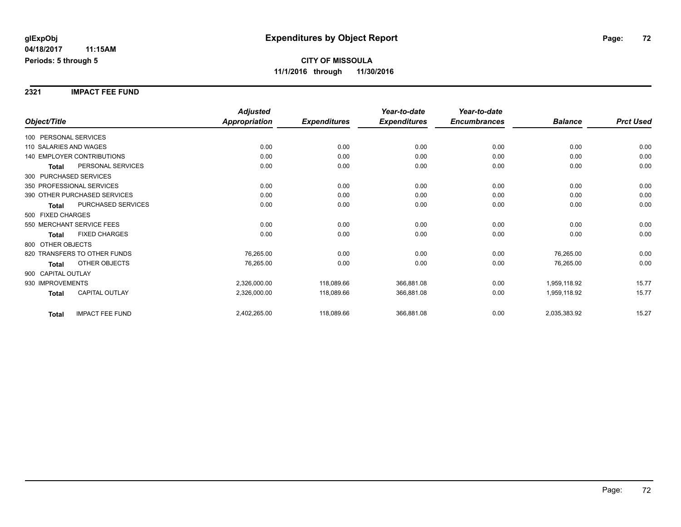#### **2321 IMPACT FEE FUND**

|                                        | <b>Adjusted</b>      |                     | Year-to-date        | Year-to-date        |                |                  |
|----------------------------------------|----------------------|---------------------|---------------------|---------------------|----------------|------------------|
| Object/Title                           | <b>Appropriation</b> | <b>Expenditures</b> | <b>Expenditures</b> | <b>Encumbrances</b> | <b>Balance</b> | <b>Prct Used</b> |
| 100 PERSONAL SERVICES                  |                      |                     |                     |                     |                |                  |
| 110 SALARIES AND WAGES                 | 0.00                 | 0.00                | 0.00                | 0.00                | 0.00           | 0.00             |
| <b>140 EMPLOYER CONTRIBUTIONS</b>      | 0.00                 | 0.00                | 0.00                | 0.00                | 0.00           | 0.00             |
| PERSONAL SERVICES<br><b>Total</b>      | 0.00                 | 0.00                | 0.00                | 0.00                | 0.00           | 0.00             |
| 300 PURCHASED SERVICES                 |                      |                     |                     |                     |                |                  |
| 350 PROFESSIONAL SERVICES              | 0.00                 | 0.00                | 0.00                | 0.00                | 0.00           | 0.00             |
| 390 OTHER PURCHASED SERVICES           | 0.00                 | 0.00                | 0.00                | 0.00                | 0.00           | 0.00             |
| PURCHASED SERVICES<br><b>Total</b>     | 0.00                 | 0.00                | 0.00                | 0.00                | 0.00           | 0.00             |
| 500 FIXED CHARGES                      |                      |                     |                     |                     |                |                  |
| 550 MERCHANT SERVICE FEES              | 0.00                 | 0.00                | 0.00                | 0.00                | 0.00           | 0.00             |
| <b>FIXED CHARGES</b><br><b>Total</b>   | 0.00                 | 0.00                | 0.00                | 0.00                | 0.00           | 0.00             |
| 800 OTHER OBJECTS                      |                      |                     |                     |                     |                |                  |
| 820 TRANSFERS TO OTHER FUNDS           | 76,265.00            | 0.00                | 0.00                | 0.00                | 76,265.00      | 0.00             |
| OTHER OBJECTS<br><b>Total</b>          | 76,265.00            | 0.00                | 0.00                | 0.00                | 76,265.00      | 0.00             |
| 900 CAPITAL OUTLAY                     |                      |                     |                     |                     |                |                  |
| 930 IMPROVEMENTS                       | 2,326,000.00         | 118,089.66          | 366,881.08          | 0.00                | 1,959,118.92   | 15.77            |
| <b>CAPITAL OUTLAY</b><br><b>Total</b>  | 2,326,000.00         | 118,089.66          | 366,881.08          | 0.00                | 1,959,118.92   | 15.77            |
| <b>IMPACT FEE FUND</b><br><b>Total</b> | 2,402,265.00         | 118,089.66          | 366,881.08          | 0.00                | 2,035,383.92   | 15.27            |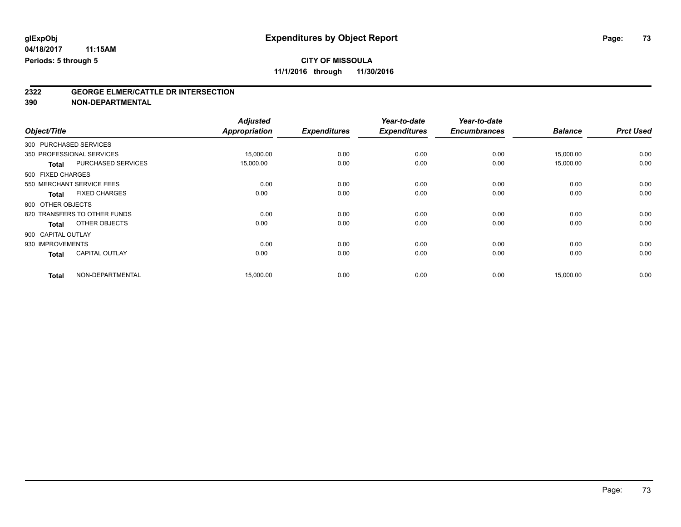# **CITY OF MISSOULA**

**11/1/2016 through 11/30/2016**

# **2322 GEORGE ELMER/CATTLE DR INTERSECTION**

**390 NON-DEPARTMENTAL**

| Object/Title |                                       | <b>Adjusted</b><br><b>Appropriation</b> | <b>Expenditures</b> | Year-to-date<br><b>Expenditures</b> | Year-to-date<br><b>Encumbrances</b> | <b>Balance</b> | <b>Prct Used</b> |
|--------------|---------------------------------------|-----------------------------------------|---------------------|-------------------------------------|-------------------------------------|----------------|------------------|
|              | 300 PURCHASED SERVICES                |                                         |                     |                                     |                                     |                |                  |
|              | 350 PROFESSIONAL SERVICES             | 15,000.00                               | 0.00                | 0.00                                | 0.00                                | 15,000.00      | 0.00             |
|              | PURCHASED SERVICES<br><b>Total</b>    | 15,000.00                               | 0.00                | 0.00                                | 0.00                                | 15,000.00      | 0.00             |
|              | 500 FIXED CHARGES                     |                                         |                     |                                     |                                     |                |                  |
|              | 550 MERCHANT SERVICE FEES             | 0.00                                    | 0.00                | 0.00                                | 0.00                                | 0.00           | 0.00             |
|              | <b>FIXED CHARGES</b><br><b>Total</b>  | 0.00                                    | 0.00                | 0.00                                | 0.00                                | 0.00           | 0.00             |
|              | 800 OTHER OBJECTS                     |                                         |                     |                                     |                                     |                |                  |
|              | 820 TRANSFERS TO OTHER FUNDS          | 0.00                                    | 0.00                | 0.00                                | 0.00                                | 0.00           | 0.00             |
|              | OTHER OBJECTS<br><b>Total</b>         | 0.00                                    | 0.00                | 0.00                                | 0.00                                | 0.00           | 0.00             |
|              | 900 CAPITAL OUTLAY                    |                                         |                     |                                     |                                     |                |                  |
|              | 930 IMPROVEMENTS                      | 0.00                                    | 0.00                | 0.00                                | 0.00                                | 0.00           | 0.00             |
|              | <b>CAPITAL OUTLAY</b><br><b>Total</b> | 0.00                                    | 0.00                | 0.00                                | 0.00                                | 0.00           | 0.00             |
|              | NON-DEPARTMENTAL<br><b>Total</b>      | 15,000.00                               | 0.00                | 0.00                                | 0.00                                | 15,000.00      | 0.00             |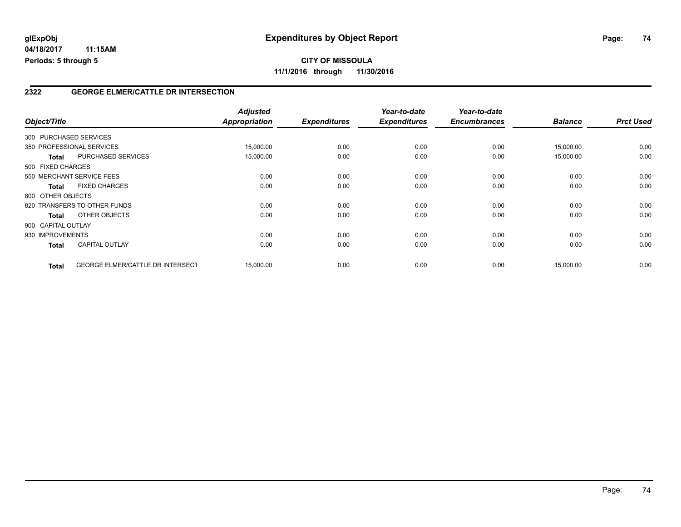### **2322 GEORGE ELMER/CATTLE DR INTERSECTION**

|                    |                                         | <b>Adjusted</b> |                     | Year-to-date        | Year-to-date        |                |                  |
|--------------------|-----------------------------------------|-----------------|---------------------|---------------------|---------------------|----------------|------------------|
| Object/Title       |                                         | Appropriation   | <b>Expenditures</b> | <b>Expenditures</b> | <b>Encumbrances</b> | <b>Balance</b> | <b>Prct Used</b> |
|                    | 300 PURCHASED SERVICES                  |                 |                     |                     |                     |                |                  |
|                    | 350 PROFESSIONAL SERVICES               | 15,000.00       | 0.00                | 0.00                | 0.00                | 15,000.00      | 0.00             |
| <b>Total</b>       | PURCHASED SERVICES                      | 15,000.00       | 0.00                | 0.00                | 0.00                | 15,000.00      | 0.00             |
| 500 FIXED CHARGES  |                                         |                 |                     |                     |                     |                |                  |
|                    | 550 MERCHANT SERVICE FEES               | 0.00            | 0.00                | 0.00                | 0.00                | 0.00           | 0.00             |
| <b>Total</b>       | <b>FIXED CHARGES</b>                    | 0.00            | 0.00                | 0.00                | 0.00                | 0.00           | 0.00             |
| 800 OTHER OBJECTS  |                                         |                 |                     |                     |                     |                |                  |
|                    | 820 TRANSFERS TO OTHER FUNDS            | 0.00            | 0.00                | 0.00                | 0.00                | 0.00           | 0.00             |
| Total              | OTHER OBJECTS                           | 0.00            | 0.00                | 0.00                | 0.00                | 0.00           | 0.00             |
| 900 CAPITAL OUTLAY |                                         |                 |                     |                     |                     |                |                  |
| 930 IMPROVEMENTS   |                                         | 0.00            | 0.00                | 0.00                | 0.00                | 0.00           | 0.00             |
| <b>Total</b>       | <b>CAPITAL OUTLAY</b>                   | 0.00            | 0.00                | 0.00                | 0.00                | 0.00           | 0.00             |
| <b>Total</b>       | <b>GEORGE ELMER/CATTLE DR INTERSECT</b> | 15,000.00       | 0.00                | 0.00                | 0.00                | 15,000.00      | 0.00             |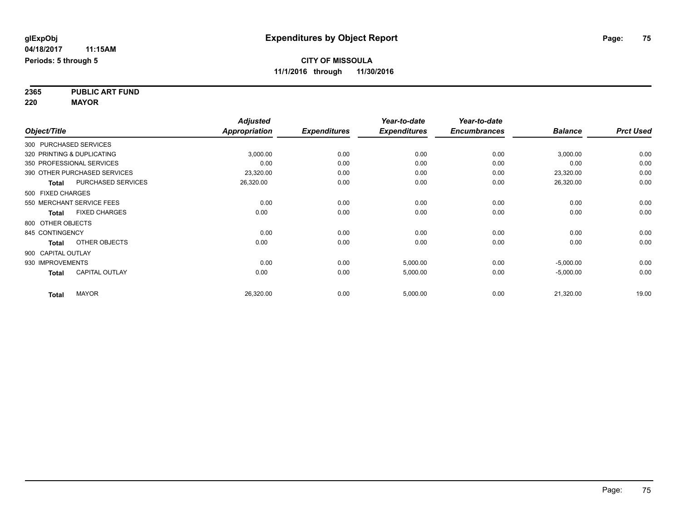**2365 PUBLIC ART FUND 220 MAYOR**

|                    |                              | <b>Adjusted</b>      |                     | Year-to-date        | Year-to-date        |                |                  |
|--------------------|------------------------------|----------------------|---------------------|---------------------|---------------------|----------------|------------------|
| Object/Title       |                              | <b>Appropriation</b> | <b>Expenditures</b> | <b>Expenditures</b> | <b>Encumbrances</b> | <b>Balance</b> | <b>Prct Used</b> |
|                    | 300 PURCHASED SERVICES       |                      |                     |                     |                     |                |                  |
|                    | 320 PRINTING & DUPLICATING   | 3,000.00             | 0.00                | 0.00                | 0.00                | 3,000.00       | 0.00             |
|                    | 350 PROFESSIONAL SERVICES    | 0.00                 | 0.00                | 0.00                | 0.00                | 0.00           | 0.00             |
|                    | 390 OTHER PURCHASED SERVICES | 23,320.00            | 0.00                | 0.00                | 0.00                | 23,320.00      | 0.00             |
| <b>Total</b>       | PURCHASED SERVICES           | 26,320.00            | 0.00                | 0.00                | 0.00                | 26,320.00      | 0.00             |
| 500 FIXED CHARGES  |                              |                      |                     |                     |                     |                |                  |
|                    | 550 MERCHANT SERVICE FEES    | 0.00                 | 0.00                | 0.00                | 0.00                | 0.00           | 0.00             |
| <b>Total</b>       | <b>FIXED CHARGES</b>         | 0.00                 | 0.00                | 0.00                | 0.00                | 0.00           | 0.00             |
| 800 OTHER OBJECTS  |                              |                      |                     |                     |                     |                |                  |
| 845 CONTINGENCY    |                              | 0.00                 | 0.00                | 0.00                | 0.00                | 0.00           | 0.00             |
| <b>Total</b>       | OTHER OBJECTS                | 0.00                 | 0.00                | 0.00                | 0.00                | 0.00           | 0.00             |
| 900 CAPITAL OUTLAY |                              |                      |                     |                     |                     |                |                  |
| 930 IMPROVEMENTS   |                              | 0.00                 | 0.00                | 5,000.00            | 0.00                | $-5,000.00$    | 0.00             |
| <b>Total</b>       | CAPITAL OUTLAY               | 0.00                 | 0.00                | 5,000.00            | 0.00                | $-5,000.00$    | 0.00             |
| <b>Total</b>       | <b>MAYOR</b>                 | 26,320.00            | 0.00                | 5,000.00            | 0.00                | 21,320.00      | 19.00            |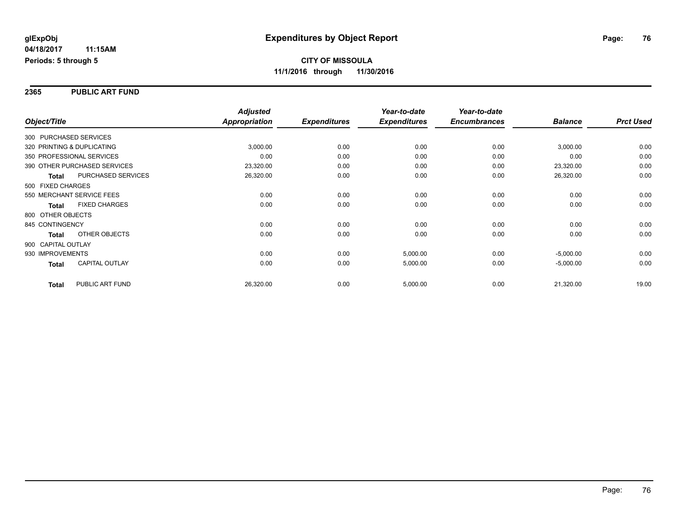### **2365 PUBLIC ART FUND**

|                    |                              | <b>Adjusted</b>      |                     | Year-to-date        | Year-to-date        |                |                  |
|--------------------|------------------------------|----------------------|---------------------|---------------------|---------------------|----------------|------------------|
| Object/Title       |                              | <b>Appropriation</b> | <b>Expenditures</b> | <b>Expenditures</b> | <b>Encumbrances</b> | <b>Balance</b> | <b>Prct Used</b> |
|                    | 300 PURCHASED SERVICES       |                      |                     |                     |                     |                |                  |
|                    | 320 PRINTING & DUPLICATING   | 3,000.00             | 0.00                | 0.00                | 0.00                | 3,000.00       | 0.00             |
|                    | 350 PROFESSIONAL SERVICES    | 0.00                 | 0.00                | 0.00                | 0.00                | 0.00           | 0.00             |
|                    | 390 OTHER PURCHASED SERVICES | 23,320.00            | 0.00                | 0.00                | 0.00                | 23,320.00      | 0.00             |
| <b>Total</b>       | PURCHASED SERVICES           | 26,320.00            | 0.00                | 0.00                | 0.00                | 26,320.00      | 0.00             |
| 500 FIXED CHARGES  |                              |                      |                     |                     |                     |                |                  |
|                    | 550 MERCHANT SERVICE FEES    | 0.00                 | 0.00                | 0.00                | 0.00                | 0.00           | 0.00             |
| <b>Total</b>       | <b>FIXED CHARGES</b>         | 0.00                 | 0.00                | 0.00                | 0.00                | 0.00           | 0.00             |
| 800 OTHER OBJECTS  |                              |                      |                     |                     |                     |                |                  |
| 845 CONTINGENCY    |                              | 0.00                 | 0.00                | 0.00                | 0.00                | 0.00           | 0.00             |
| <b>Total</b>       | OTHER OBJECTS                | 0.00                 | 0.00                | 0.00                | 0.00                | 0.00           | 0.00             |
| 900 CAPITAL OUTLAY |                              |                      |                     |                     |                     |                |                  |
| 930 IMPROVEMENTS   |                              | 0.00                 | 0.00                | 5,000.00            | 0.00                | $-5,000.00$    | 0.00             |
| <b>Total</b>       | <b>CAPITAL OUTLAY</b>        | 0.00                 | 0.00                | 5,000.00            | 0.00                | $-5,000.00$    | 0.00             |
| <b>Total</b>       | PUBLIC ART FUND              | 26,320.00            | 0.00                | 5,000.00            | 0.00                | 21,320.00      | 19.00            |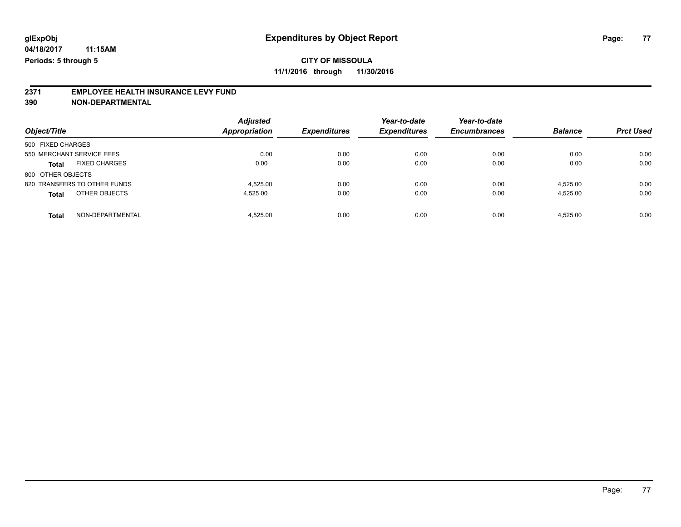### **CITY OF MISSOULA 11/1/2016 through 11/30/2016**

# **2371 EMPLOYEE HEALTH INSURANCE LEVY FUND**

**390 NON-DEPARTMENTAL**

| Object/Title                         | <b>Adjusted</b><br>Appropriation | <b>Expenditures</b> | Year-to-date<br><b>Expenditures</b> | Year-to-date<br><b>Encumbrances</b> | <b>Balance</b> | <b>Prct Used</b> |
|--------------------------------------|----------------------------------|---------------------|-------------------------------------|-------------------------------------|----------------|------------------|
| 500 FIXED CHARGES                    |                                  |                     |                                     |                                     |                |                  |
| 550 MERCHANT SERVICE FEES            | 0.00                             | 0.00                | 0.00                                | 0.00                                | 0.00           | 0.00             |
| <b>FIXED CHARGES</b><br><b>Total</b> | 0.00                             | 0.00                | 0.00                                | 0.00                                | 0.00           | 0.00             |
| 800 OTHER OBJECTS                    |                                  |                     |                                     |                                     |                |                  |
| 820 TRANSFERS TO OTHER FUNDS         | 4.525.00                         | 0.00                | 0.00                                | 0.00                                | 4.525.00       | 0.00             |
| OTHER OBJECTS<br><b>Total</b>        | 4.525.00                         | 0.00                | 0.00                                | 0.00                                | 4.525.00       | 0.00             |
| NON-DEPARTMENTAL<br><b>Total</b>     | 4.525.00                         | 0.00                | 0.00                                | 0.00                                | 4.525.00       | 0.00             |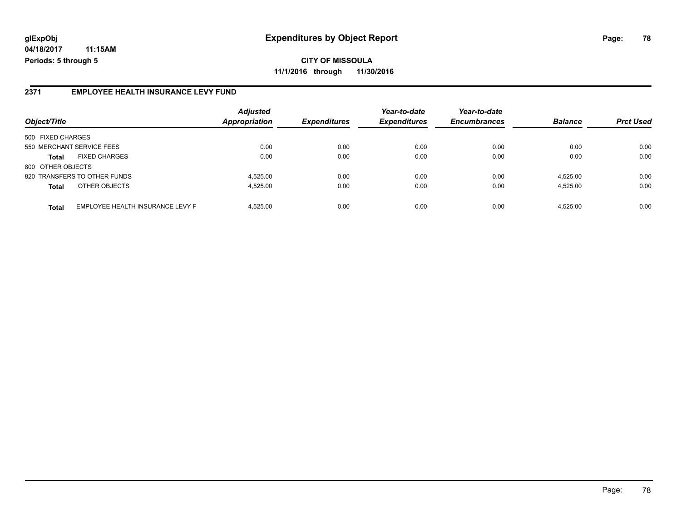**CITY OF MISSOULA 11/1/2016 through 11/30/2016**

### **2371 EMPLOYEE HEALTH INSURANCE LEVY FUND**

|                           |                                  | <b>Adjusted</b> |                     | Year-to-date        | Year-to-date        |                |                  |
|---------------------------|----------------------------------|-----------------|---------------------|---------------------|---------------------|----------------|------------------|
| Object/Title              |                                  | Appropriation   | <b>Expenditures</b> | <b>Expenditures</b> | <b>Encumbrances</b> | <b>Balance</b> | <b>Prct Used</b> |
| 500 FIXED CHARGES         |                                  |                 |                     |                     |                     |                |                  |
| 550 MERCHANT SERVICE FEES |                                  | 0.00            | 0.00                | 0.00                | 0.00                | 0.00           | 0.00             |
| <b>Total</b>              | <b>FIXED CHARGES</b>             | 0.00            | 0.00                | 0.00                | 0.00                | 0.00           | 0.00             |
| 800 OTHER OBJECTS         |                                  |                 |                     |                     |                     |                |                  |
|                           | 820 TRANSFERS TO OTHER FUNDS     | 4,525.00        | 0.00                | 0.00                | 0.00                | 4,525.00       | 0.00             |
| <b>Total</b>              | OTHER OBJECTS                    | 4.525.00        | 0.00                | 0.00                | 0.00                | 4,525.00       | 0.00             |
| <b>Total</b>              | EMPLOYEE HEALTH INSURANCE LEVY F | 4.525.00        | 0.00                | 0.00                | 0.00                | 4.525.00       | 0.00             |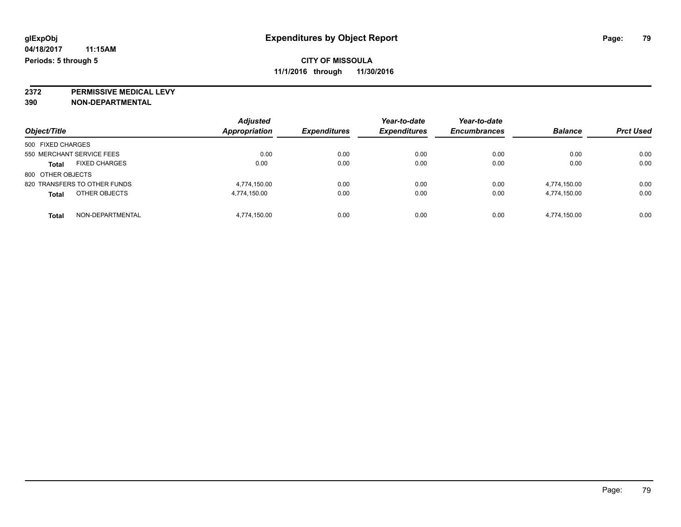**2372 PERMISSIVE MEDICAL LEVY**

**390 NON-DEPARTMENTAL**

| Object/Title                         | <b>Adjusted</b><br><b>Appropriation</b> | <b>Expenditures</b> | Year-to-date<br><b>Expenditures</b> | Year-to-date<br><b>Encumbrances</b> | <b>Balance</b> | <b>Prct Used</b> |
|--------------------------------------|-----------------------------------------|---------------------|-------------------------------------|-------------------------------------|----------------|------------------|
| 500 FIXED CHARGES                    |                                         |                     |                                     |                                     |                |                  |
| 550 MERCHANT SERVICE FEES            | 0.00                                    | 0.00                | 0.00                                | 0.00                                | 0.00           | 0.00             |
| <b>FIXED CHARGES</b><br><b>Total</b> | 0.00                                    | 0.00                | 0.00                                | 0.00                                | 0.00           | 0.00             |
| 800 OTHER OBJECTS                    |                                         |                     |                                     |                                     |                |                  |
| 820 TRANSFERS TO OTHER FUNDS         | 4.774.150.00                            | 0.00                | 0.00                                | 0.00                                | 4.774.150.00   | 0.00             |
| OTHER OBJECTS<br><b>Total</b>        | 4,774,150.00                            | 0.00                | 0.00                                | 0.00                                | 4,774,150.00   | 0.00             |
| NON-DEPARTMENTAL<br>Total            | 4.774.150.00                            | 0.00                | 0.00                                | 0.00                                | 4.774.150.00   | 0.00             |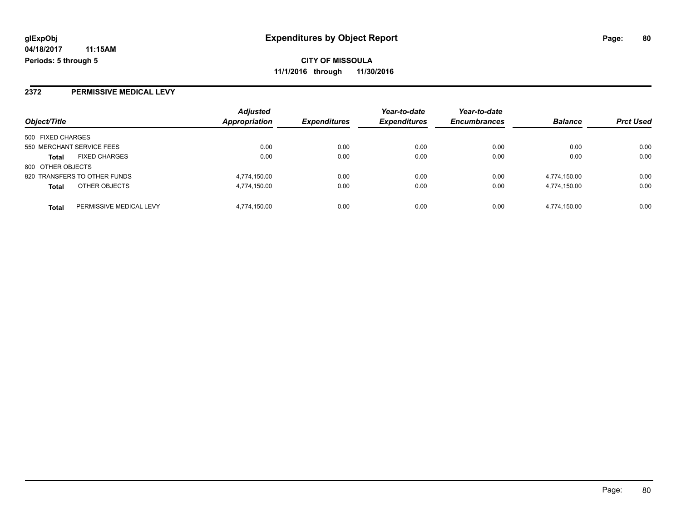### **2372 PERMISSIVE MEDICAL LEVY**

|                                         | <b>Adjusted</b>      |                     | Year-to-date        | Year-to-date        |                |                  |
|-----------------------------------------|----------------------|---------------------|---------------------|---------------------|----------------|------------------|
| Object/Title                            | <b>Appropriation</b> | <b>Expenditures</b> | <b>Expenditures</b> | <b>Encumbrances</b> | <b>Balance</b> | <b>Prct Used</b> |
| 500 FIXED CHARGES                       |                      |                     |                     |                     |                |                  |
| 550 MERCHANT SERVICE FEES               |                      | 0.00<br>0.00        | 0.00                | 0.00                | 0.00           | 0.00             |
| <b>FIXED CHARGES</b><br><b>Total</b>    |                      | 0.00<br>0.00        | 0.00                | 0.00                | 0.00           | 0.00             |
| 800 OTHER OBJECTS                       |                      |                     |                     |                     |                |                  |
| 820 TRANSFERS TO OTHER FUNDS            | 4,774,150.00         | 0.00                | 0.00                | 0.00                | 4.774.150.00   | 0.00             |
| OTHER OBJECTS<br><b>Total</b>           | 4,774,150.00         | 0.00                | 0.00                | 0.00                | 4,774,150.00   | 0.00             |
| PERMISSIVE MEDICAL LEVY<br><b>Total</b> | 4,774,150.00         | 0.00                | 0.00                | 0.00                | 4,774,150.00   | 0.00             |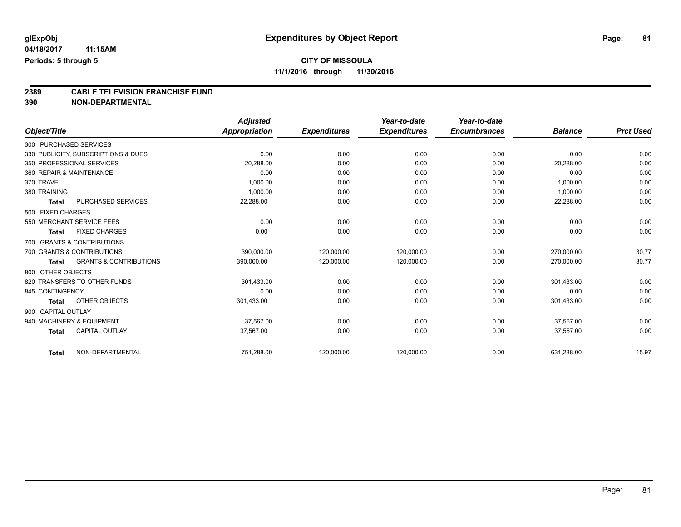# **2389 CABLE TELEVISION FRANCHISE FUND**

**390 NON-DEPARTMENTAL**

|                        |                                     | <b>Adjusted</b>      |                     | Year-to-date        | Year-to-date        |                |                  |
|------------------------|-------------------------------------|----------------------|---------------------|---------------------|---------------------|----------------|------------------|
| Object/Title           |                                     | <b>Appropriation</b> | <b>Expenditures</b> | <b>Expenditures</b> | <b>Encumbrances</b> | <b>Balance</b> | <b>Prct Used</b> |
| 300 PURCHASED SERVICES |                                     |                      |                     |                     |                     |                |                  |
|                        | 330 PUBLICITY, SUBSCRIPTIONS & DUES | 0.00                 | 0.00                | 0.00                | 0.00                | 0.00           | 0.00             |
|                        | 350 PROFESSIONAL SERVICES           | 20.288.00            | 0.00                | 0.00                | 0.00                | 20,288.00      | 0.00             |
|                        | 360 REPAIR & MAINTENANCE            | 0.00                 | 0.00                | 0.00                | 0.00                | 0.00           | 0.00             |
| 370 TRAVEL             |                                     | 1,000.00             | 0.00                | 0.00                | 0.00                | 1,000.00       | 0.00             |
| 380 TRAINING           |                                     | 1,000.00             | 0.00                | 0.00                | 0.00                | 1,000.00       | 0.00             |
| <b>Total</b>           | PURCHASED SERVICES                  | 22,288.00            | 0.00                | 0.00                | 0.00                | 22,288.00      | 0.00             |
| 500 FIXED CHARGES      |                                     |                      |                     |                     |                     |                |                  |
|                        | 550 MERCHANT SERVICE FEES           | 0.00                 | 0.00                | 0.00                | 0.00                | 0.00           | 0.00             |
| <b>Total</b>           | <b>FIXED CHARGES</b>                | 0.00                 | 0.00                | 0.00                | 0.00                | 0.00           | 0.00             |
|                        | 700 GRANTS & CONTRIBUTIONS          |                      |                     |                     |                     |                |                  |
|                        | 700 GRANTS & CONTRIBUTIONS          | 390,000.00           | 120,000.00          | 120,000.00          | 0.00                | 270.000.00     | 30.77            |
| <b>Total</b>           | <b>GRANTS &amp; CONTRIBUTIONS</b>   | 390,000.00           | 120,000.00          | 120,000.00          | 0.00                | 270,000.00     | 30.77            |
| 800 OTHER OBJECTS      |                                     |                      |                     |                     |                     |                |                  |
|                        | 820 TRANSFERS TO OTHER FUNDS        | 301,433.00           | 0.00                | 0.00                | 0.00                | 301,433.00     | 0.00             |
| 845 CONTINGENCY        |                                     | 0.00                 | 0.00                | 0.00                | 0.00                | 0.00           | 0.00             |
| <b>Total</b>           | OTHER OBJECTS                       | 301,433.00           | 0.00                | 0.00                | 0.00                | 301,433.00     | 0.00             |
| 900 CAPITAL OUTLAY     |                                     |                      |                     |                     |                     |                |                  |
|                        | 940 MACHINERY & EQUIPMENT           | 37.567.00            | 0.00                | 0.00                | 0.00                | 37,567.00      | 0.00             |
| <b>Total</b>           | <b>CAPITAL OUTLAY</b>               | 37,567.00            | 0.00                | 0.00                | 0.00                | 37,567.00      | 0.00             |
| <b>Total</b>           | NON-DEPARTMENTAL                    | 751,288.00           | 120,000.00          | 120,000.00          | 0.00                | 631,288.00     | 15.97            |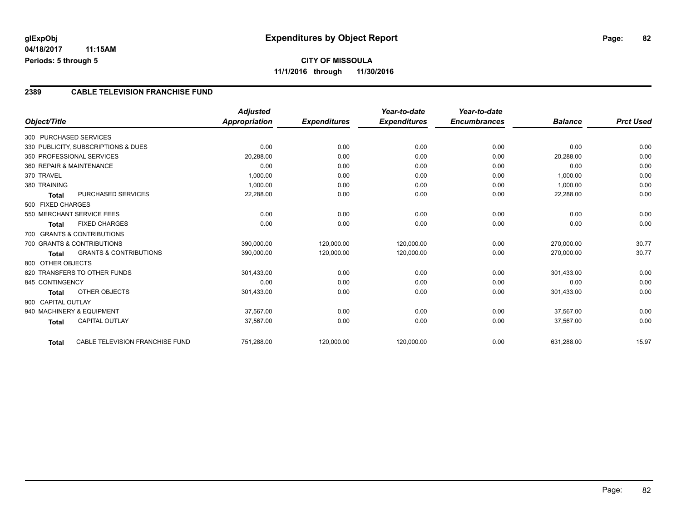### **2389 CABLE TELEVISION FRANCHISE FUND**

|                        |                                     | <b>Adjusted</b>      |                     | Year-to-date        | Year-to-date        |                |                  |
|------------------------|-------------------------------------|----------------------|---------------------|---------------------|---------------------|----------------|------------------|
| Object/Title           |                                     | <b>Appropriation</b> | <b>Expenditures</b> | <b>Expenditures</b> | <b>Encumbrances</b> | <b>Balance</b> | <b>Prct Used</b> |
| 300 PURCHASED SERVICES |                                     |                      |                     |                     |                     |                |                  |
|                        | 330 PUBLICITY, SUBSCRIPTIONS & DUES | 0.00                 | 0.00                | 0.00                | 0.00                | 0.00           | 0.00             |
|                        | 350 PROFESSIONAL SERVICES           | 20,288.00            | 0.00                | 0.00                | 0.00                | 20,288.00      | 0.00             |
|                        | 360 REPAIR & MAINTENANCE            | 0.00                 | 0.00                | 0.00                | 0.00                | 0.00           | 0.00             |
| 370 TRAVEL             |                                     | 1,000.00             | 0.00                | 0.00                | 0.00                | 1,000.00       | 0.00             |
| 380 TRAINING           |                                     | 1,000.00             | 0.00                | 0.00                | 0.00                | 1,000.00       | 0.00             |
| Total                  | <b>PURCHASED SERVICES</b>           | 22,288.00            | 0.00                | 0.00                | 0.00                | 22,288.00      | 0.00             |
| 500 FIXED CHARGES      |                                     |                      |                     |                     |                     |                |                  |
|                        | 550 MERCHANT SERVICE FEES           | 0.00                 | 0.00                | 0.00                | 0.00                | 0.00           | 0.00             |
| <b>Total</b>           | <b>FIXED CHARGES</b>                | 0.00                 | 0.00                | 0.00                | 0.00                | 0.00           | 0.00             |
|                        | 700 GRANTS & CONTRIBUTIONS          |                      |                     |                     |                     |                |                  |
|                        | 700 GRANTS & CONTRIBUTIONS          | 390,000.00           | 120,000.00          | 120,000.00          | 0.00                | 270.000.00     | 30.77            |
| <b>Total</b>           | <b>GRANTS &amp; CONTRIBUTIONS</b>   | 390,000.00           | 120,000.00          | 120,000.00          | 0.00                | 270,000.00     | 30.77            |
| 800 OTHER OBJECTS      |                                     |                      |                     |                     |                     |                |                  |
|                        | 820 TRANSFERS TO OTHER FUNDS        | 301,433.00           | 0.00                | 0.00                | 0.00                | 301,433.00     | 0.00             |
| 845 CONTINGENCY        |                                     | 0.00                 | 0.00                | 0.00                | 0.00                | 0.00           | 0.00             |
| <b>Total</b>           | OTHER OBJECTS                       | 301,433.00           | 0.00                | 0.00                | 0.00                | 301,433.00     | 0.00             |
| 900 CAPITAL OUTLAY     |                                     |                      |                     |                     |                     |                |                  |
|                        | 940 MACHINERY & EQUIPMENT           | 37,567.00            | 0.00                | 0.00                | 0.00                | 37,567.00      | 0.00             |
| <b>Total</b>           | <b>CAPITAL OUTLAY</b>               | 37,567.00            | 0.00                | 0.00                | 0.00                | 37,567.00      | 0.00             |
| <b>Total</b>           | CABLE TELEVISION FRANCHISE FUND     | 751,288.00           | 120,000.00          | 120,000.00          | 0.00                | 631,288.00     | 15.97            |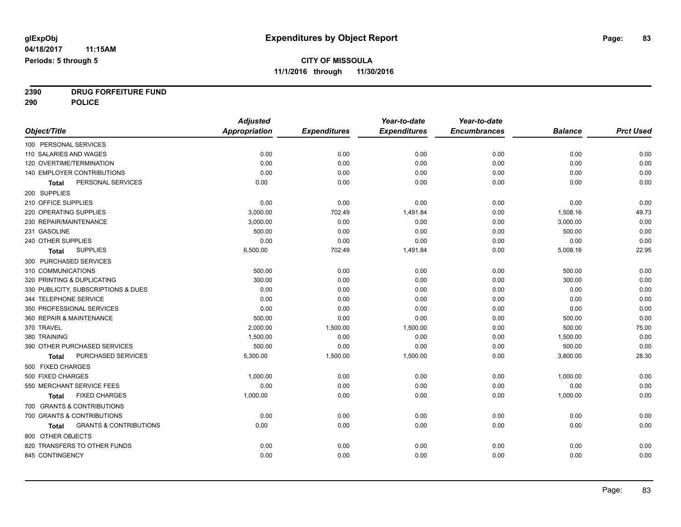**2390 DRUG FORFEITURE FUND**

**290 POLICE**

|                                                   | <b>Adjusted</b>      |                     | Year-to-date        | Year-to-date        |                |                  |
|---------------------------------------------------|----------------------|---------------------|---------------------|---------------------|----------------|------------------|
| Object/Title                                      | <b>Appropriation</b> | <b>Expenditures</b> | <b>Expenditures</b> | <b>Encumbrances</b> | <b>Balance</b> | <b>Prct Used</b> |
| 100 PERSONAL SERVICES                             |                      |                     |                     |                     |                |                  |
| 110 SALARIES AND WAGES                            | 0.00                 | 0.00                | 0.00                | 0.00                | 0.00           | 0.00             |
| 120 OVERTIME/TERMINATION                          | 0.00                 | 0.00                | 0.00                | 0.00                | 0.00           | 0.00             |
| 140 EMPLOYER CONTRIBUTIONS                        | 0.00                 | 0.00                | 0.00                | 0.00                | 0.00           | 0.00             |
| PERSONAL SERVICES<br>Total                        | 0.00                 | 0.00                | 0.00                | 0.00                | 0.00           | 0.00             |
| 200 SUPPLIES                                      |                      |                     |                     |                     |                |                  |
| 210 OFFICE SUPPLIES                               | 0.00                 | 0.00                | 0.00                | 0.00                | 0.00           | 0.00             |
| 220 OPERATING SUPPLIES                            | 3,000.00             | 702.49              | 1,491.84            | 0.00                | 1,508.16       | 49.73            |
| 230 REPAIR/MAINTENANCE                            | 3,000.00             | 0.00                | 0.00                | 0.00                | 3,000.00       | 0.00             |
| 231 GASOLINE                                      | 500.00               | 0.00                | 0.00                | 0.00                | 500.00         | 0.00             |
| 240 OTHER SUPPLIES                                | 0.00                 | 0.00                | 0.00                | 0.00                | 0.00           | 0.00             |
| <b>SUPPLIES</b><br>Total                          | 6,500.00             | 702.49              | 1,491.84            | 0.00                | 5,008.16       | 22.95            |
| 300 PURCHASED SERVICES                            |                      |                     |                     |                     |                |                  |
| 310 COMMUNICATIONS                                | 500.00               | 0.00                | 0.00                | 0.00                | 500.00         | 0.00             |
| 320 PRINTING & DUPLICATING                        | 300.00               | 0.00                | 0.00                | 0.00                | 300.00         | 0.00             |
| 330 PUBLICITY, SUBSCRIPTIONS & DUES               | 0.00                 | 0.00                | 0.00                | 0.00                | 0.00           | 0.00             |
| 344 TELEPHONE SERVICE                             | 0.00                 | 0.00                | 0.00                | 0.00                | 0.00           | 0.00             |
| 350 PROFESSIONAL SERVICES                         | 0.00                 | 0.00                | 0.00                | 0.00                | 0.00           | 0.00             |
| 360 REPAIR & MAINTENANCE                          | 500.00               | 0.00                | 0.00                | 0.00                | 500.00         | 0.00             |
| 370 TRAVEL                                        | 2,000.00             | 1,500.00            | 1,500.00            | 0.00                | 500.00         | 75.00            |
| 380 TRAINING                                      | 1,500.00             | 0.00                | 0.00                | 0.00                | 1,500.00       | 0.00             |
| 390 OTHER PURCHASED SERVICES                      | 500.00               | 0.00                | 0.00                | 0.00                | 500.00         | 0.00             |
| PURCHASED SERVICES<br><b>Total</b>                | 5,300.00             | 1,500.00            | 1,500.00            | 0.00                | 3,800.00       | 28.30            |
| 500 FIXED CHARGES                                 |                      |                     |                     |                     |                |                  |
| 500 FIXED CHARGES                                 | 1,000.00             | 0.00                | 0.00                | 0.00                | 1,000.00       | 0.00             |
| 550 MERCHANT SERVICE FEES                         | 0.00                 | 0.00                | 0.00                | 0.00                | 0.00           | 0.00             |
| <b>FIXED CHARGES</b><br>Total                     | 1,000.00             | 0.00                | 0.00                | 0.00                | 1,000.00       | 0.00             |
| 700 GRANTS & CONTRIBUTIONS                        |                      |                     |                     |                     |                |                  |
| 700 GRANTS & CONTRIBUTIONS                        | 0.00                 | 0.00                | 0.00                | 0.00                | 0.00           | 0.00             |
| <b>GRANTS &amp; CONTRIBUTIONS</b><br><b>Total</b> | 0.00                 | 0.00                | 0.00                | 0.00                | 0.00           | 0.00             |
| 800 OTHER OBJECTS                                 |                      |                     |                     |                     |                |                  |
| 820 TRANSFERS TO OTHER FUNDS                      | 0.00                 | 0.00                | 0.00                | 0.00                | 0.00           | 0.00             |
| 845 CONTINGENCY                                   | 0.00                 | 0.00                | 0.00                | 0.00                | 0.00           | 0.00             |
|                                                   |                      |                     |                     |                     |                |                  |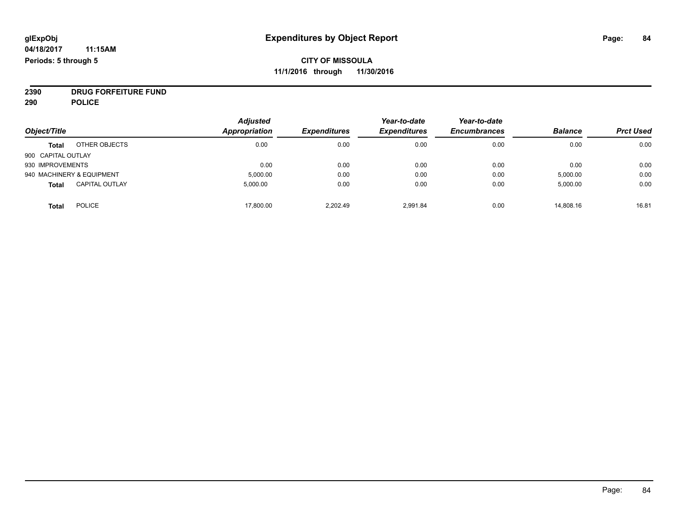# **CITY OF MISSOULA 11/1/2016 through 11/30/2016**

**2390 DRUG FORFEITURE FUND**

**290 POLICE**

|                    |                           | <b>Adjusted</b>      |                     | Year-to-date        | Year-to-date        |                |                  |
|--------------------|---------------------------|----------------------|---------------------|---------------------|---------------------|----------------|------------------|
| Object/Title       |                           | <b>Appropriation</b> | <b>Expenditures</b> | <b>Expenditures</b> | <b>Encumbrances</b> | <b>Balance</b> | <b>Prct Used</b> |
| <b>Total</b>       | OTHER OBJECTS             | 0.00                 | 0.00                | 0.00                | 0.00                | 0.00           | 0.00             |
| 900 CAPITAL OUTLAY |                           |                      |                     |                     |                     |                |                  |
| 930 IMPROVEMENTS   |                           | 0.00                 | 0.00                | 0.00                | 0.00                | 0.00           | 0.00             |
|                    | 940 MACHINERY & EQUIPMENT | 5,000.00             | 0.00                | 0.00                | 0.00                | 5,000.00       | 0.00             |
| <b>Total</b>       | <b>CAPITAL OUTLAY</b>     | 5,000.00             | 0.00                | 0.00                | 0.00                | 5,000.00       | 0.00             |
| <b>Total</b>       | <b>POLICE</b>             | 17,800.00            | 2.202.49            | 2.991.84            | 0.00                | 14,808.16      | 16.81            |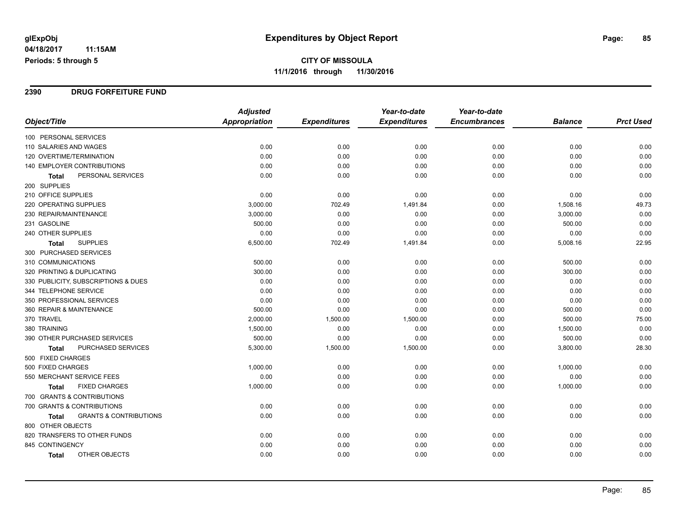### **2390 DRUG FORFEITURE FUND**

|                                                   | <b>Adjusted</b>      |                     | Year-to-date        | Year-to-date        |                |                  |
|---------------------------------------------------|----------------------|---------------------|---------------------|---------------------|----------------|------------------|
| Object/Title                                      | <b>Appropriation</b> | <b>Expenditures</b> | <b>Expenditures</b> | <b>Encumbrances</b> | <b>Balance</b> | <b>Prct Used</b> |
| 100 PERSONAL SERVICES                             |                      |                     |                     |                     |                |                  |
| 110 SALARIES AND WAGES                            | 0.00                 | 0.00                | 0.00                | 0.00                | 0.00           | 0.00             |
| 120 OVERTIME/TERMINATION                          | 0.00                 | 0.00                | 0.00                | 0.00                | 0.00           | 0.00             |
| 140 EMPLOYER CONTRIBUTIONS                        | 0.00                 | 0.00                | 0.00                | 0.00                | 0.00           | 0.00             |
| PERSONAL SERVICES<br><b>Total</b>                 | 0.00                 | 0.00                | 0.00                | 0.00                | 0.00           | 0.00             |
| 200 SUPPLIES                                      |                      |                     |                     |                     |                |                  |
| 210 OFFICE SUPPLIES                               | 0.00                 | 0.00                | 0.00                | 0.00                | 0.00           | 0.00             |
| 220 OPERATING SUPPLIES                            | 3,000.00             | 702.49              | 1,491.84            | 0.00                | 1,508.16       | 49.73            |
| 230 REPAIR/MAINTENANCE                            | 3,000.00             | 0.00                | 0.00                | 0.00                | 3,000.00       | 0.00             |
| 231 GASOLINE                                      | 500.00               | 0.00                | 0.00                | 0.00                | 500.00         | 0.00             |
| 240 OTHER SUPPLIES                                | 0.00                 | 0.00                | 0.00                | 0.00                | 0.00           | 0.00             |
| <b>SUPPLIES</b><br><b>Total</b>                   | 6,500.00             | 702.49              | 1,491.84            | 0.00                | 5,008.16       | 22.95            |
| 300 PURCHASED SERVICES                            |                      |                     |                     |                     |                |                  |
| 310 COMMUNICATIONS                                | 500.00               | 0.00                | 0.00                | 0.00                | 500.00         | 0.00             |
| 320 PRINTING & DUPLICATING                        | 300.00               | 0.00                | 0.00                | 0.00                | 300.00         | 0.00             |
| 330 PUBLICITY, SUBSCRIPTIONS & DUES               | 0.00                 | 0.00                | 0.00                | 0.00                | 0.00           | 0.00             |
| 344 TELEPHONE SERVICE                             | 0.00                 | 0.00                | 0.00                | 0.00                | 0.00           | 0.00             |
| 350 PROFESSIONAL SERVICES                         | 0.00                 | 0.00                | 0.00                | 0.00                | 0.00           | 0.00             |
| 360 REPAIR & MAINTENANCE                          | 500.00               | 0.00                | 0.00                | 0.00                | 500.00         | 0.00             |
| 370 TRAVEL                                        | 2,000.00             | 1,500.00            | 1,500.00            | 0.00                | 500.00         | 75.00            |
| 380 TRAINING                                      | 1,500.00             | 0.00                | 0.00                | 0.00                | 1,500.00       | 0.00             |
| 390 OTHER PURCHASED SERVICES                      | 500.00               | 0.00                | 0.00                | 0.00                | 500.00         | 0.00             |
| PURCHASED SERVICES<br>Total                       | 5,300.00             | 1,500.00            | 1,500.00            | 0.00                | 3,800.00       | 28.30            |
| 500 FIXED CHARGES                                 |                      |                     |                     |                     |                |                  |
| 500 FIXED CHARGES                                 | 1,000.00             | 0.00                | 0.00                | 0.00                | 1,000.00       | 0.00             |
| 550 MERCHANT SERVICE FEES                         | 0.00                 | 0.00                | 0.00                | 0.00                | 0.00           | 0.00             |
| <b>FIXED CHARGES</b><br><b>Total</b>              | 1,000.00             | 0.00                | 0.00                | 0.00                | 1,000.00       | 0.00             |
| 700 GRANTS & CONTRIBUTIONS                        |                      |                     |                     |                     |                |                  |
| 700 GRANTS & CONTRIBUTIONS                        | 0.00                 | 0.00                | 0.00                | 0.00                | 0.00           | 0.00             |
| <b>GRANTS &amp; CONTRIBUTIONS</b><br><b>Total</b> | 0.00                 | 0.00                | 0.00                | 0.00                | 0.00           | 0.00             |
| 800 OTHER OBJECTS                                 |                      |                     |                     |                     |                |                  |
| 820 TRANSFERS TO OTHER FUNDS                      | 0.00                 | 0.00                | 0.00                | 0.00                | 0.00           | 0.00             |
| 845 CONTINGENCY                                   | 0.00                 | 0.00                | 0.00                | 0.00                | 0.00           | 0.00             |
| OTHER OBJECTS<br><b>Total</b>                     | 0.00                 | 0.00                | 0.00                | 0.00                | 0.00           | 0.00             |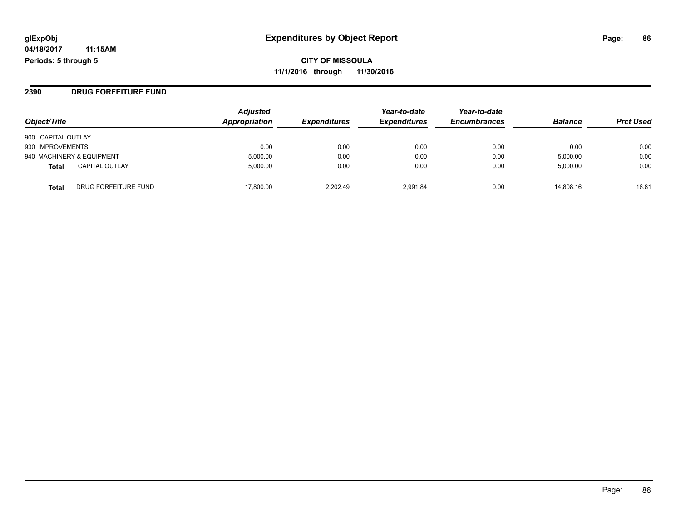**2390 DRUG FORFEITURE FUND**

| Object/Title              |                       | <b>Adjusted</b><br>Appropriation | <b>Expenditures</b> | Year-to-date<br><b>Expenditures</b> | Year-to-date<br><b>Encumbrances</b> | <b>Balance</b> | <b>Prct Used</b> |
|---------------------------|-----------------------|----------------------------------|---------------------|-------------------------------------|-------------------------------------|----------------|------------------|
| 900 CAPITAL OUTLAY        |                       |                                  |                     |                                     |                                     |                |                  |
| 930 IMPROVEMENTS          |                       | 0.00                             | 0.00                | 0.00                                | 0.00                                | 0.00           | 0.00             |
| 940 MACHINERY & EQUIPMENT |                       | 5,000.00                         | 0.00                | 0.00                                | 0.00                                | 5,000.00       | 0.00             |
| <b>Total</b>              | <b>CAPITAL OUTLAY</b> | 5.000.00                         | 0.00                | 0.00                                | 0.00                                | 5.000.00       | 0.00             |
| <b>Total</b>              | DRUG FORFEITURE FUND  | 17,800.00                        | 2.202.49            | 2.991.84                            | 0.00                                | 14.808.16      | 16.81            |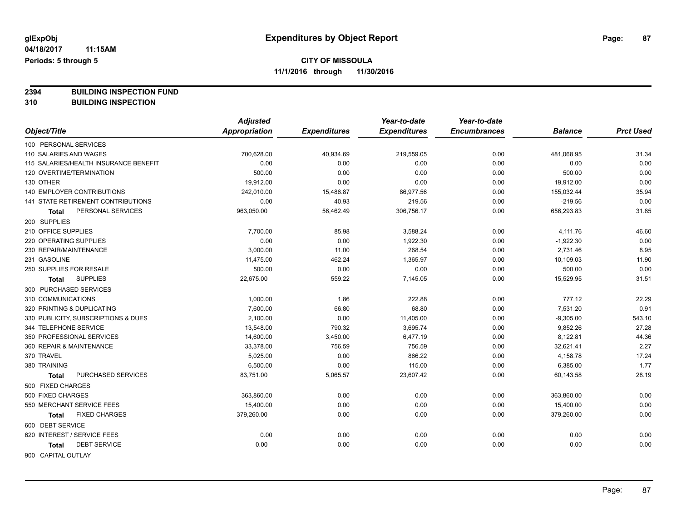**2394 BUILDING INSPECTION FUND**

**310 BUILDING INSPECTION**

|                                       | <b>Adjusted</b>      |                     | Year-to-date        | Year-to-date        |                |                  |
|---------------------------------------|----------------------|---------------------|---------------------|---------------------|----------------|------------------|
| Object/Title                          | <b>Appropriation</b> | <b>Expenditures</b> | <b>Expenditures</b> | <b>Encumbrances</b> | <b>Balance</b> | <b>Prct Used</b> |
| 100 PERSONAL SERVICES                 |                      |                     |                     |                     |                |                  |
| 110 SALARIES AND WAGES                | 700,628.00           | 40,934.69           | 219,559.05          | 0.00                | 481,068.95     | 31.34            |
| 115 SALARIES/HEALTH INSURANCE BENEFIT | 0.00                 | 0.00                | 0.00                | 0.00                | 0.00           | 0.00             |
| 120 OVERTIME/TERMINATION              | 500.00               | 0.00                | 0.00                | 0.00                | 500.00         | 0.00             |
| 130 OTHER                             | 19,912.00            | 0.00                | 0.00                | 0.00                | 19,912.00      | 0.00             |
| <b>140 EMPLOYER CONTRIBUTIONS</b>     | 242,010.00           | 15,486.87           | 86,977.56           | 0.00                | 155,032.44     | 35.94            |
| 141 STATE RETIREMENT CONTRIBUTIONS    | 0.00                 | 40.93               | 219.56              | 0.00                | $-219.56$      | 0.00             |
| PERSONAL SERVICES<br>Total            | 963,050.00           | 56,462.49           | 306,756.17          | 0.00                | 656,293.83     | 31.85            |
| 200 SUPPLIES                          |                      |                     |                     |                     |                |                  |
| 210 OFFICE SUPPLIES                   | 7,700.00             | 85.98               | 3,588.24            | 0.00                | 4,111.76       | 46.60            |
| 220 OPERATING SUPPLIES                | 0.00                 | 0.00                | 1,922.30            | 0.00                | $-1,922.30$    | 0.00             |
| 230 REPAIR/MAINTENANCE                | 3,000.00             | 11.00               | 268.54              | 0.00                | 2,731.46       | 8.95             |
| 231 GASOLINE                          | 11,475.00            | 462.24              | 1,365.97            | 0.00                | 10,109.03      | 11.90            |
| 250 SUPPLIES FOR RESALE               | 500.00               | 0.00                | 0.00                | 0.00                | 500.00         | 0.00             |
| <b>SUPPLIES</b><br><b>Total</b>       | 22,675.00            | 559.22              | 7,145.05            | 0.00                | 15,529.95      | 31.51            |
| 300 PURCHASED SERVICES                |                      |                     |                     |                     |                |                  |
| 310 COMMUNICATIONS                    | 1,000.00             | 1.86                | 222.88              | 0.00                | 777.12         | 22.29            |
| 320 PRINTING & DUPLICATING            | 7,600.00             | 66.80               | 68.80               | 0.00                | 7,531.20       | 0.91             |
| 330 PUBLICITY, SUBSCRIPTIONS & DUES   | 2,100.00             | 0.00                | 11,405.00           | 0.00                | $-9,305.00$    | 543.10           |
| 344 TELEPHONE SERVICE                 | 13,548.00            | 790.32              | 3,695.74            | 0.00                | 9,852.26       | 27.28            |
| 350 PROFESSIONAL SERVICES             | 14,600.00            | 3,450.00            | 6,477.19            | 0.00                | 8,122.81       | 44.36            |
| 360 REPAIR & MAINTENANCE              | 33,378.00            | 756.59              | 756.59              | 0.00                | 32,621.41      | 2.27             |
| 370 TRAVEL                            | 5,025.00             | 0.00                | 866.22              | 0.00                | 4,158.78       | 17.24            |
| 380 TRAINING                          | 6,500.00             | 0.00                | 115.00              | 0.00                | 6,385.00       | 1.77             |
| PURCHASED SERVICES<br>Total           | 83,751.00            | 5,065.57            | 23,607.42           | 0.00                | 60,143.58      | 28.19            |
| 500 FIXED CHARGES                     |                      |                     |                     |                     |                |                  |
| 500 FIXED CHARGES                     | 363,860.00           | 0.00                | 0.00                | 0.00                | 363,860.00     | 0.00             |
| 550 MERCHANT SERVICE FEES             | 15,400.00            | 0.00                | 0.00                | 0.00                | 15,400.00      | 0.00             |
| <b>FIXED CHARGES</b><br><b>Total</b>  | 379,260.00           | 0.00                | 0.00                | 0.00                | 379,260.00     | 0.00             |
| 600 DEBT SERVICE                      |                      |                     |                     |                     |                |                  |
| 620 INTEREST / SERVICE FEES           | 0.00                 | 0.00                | 0.00                | 0.00                | 0.00           | 0.00             |
| <b>DEBT SERVICE</b><br>Total          | 0.00                 | 0.00                | 0.00                | 0.00                | 0.00           | 0.00             |
| 900 CAPITAL OUTLAY                    |                      |                     |                     |                     |                |                  |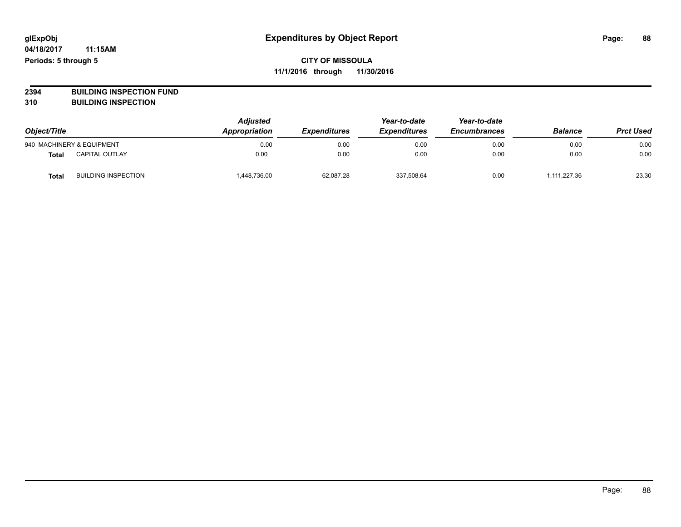**2394 BUILDING INSPECTION FUND**

**310 BUILDING INSPECTION**

| Object/Title |                            | <b>Adjusted</b><br>Appropriation | <b>Expenditures</b> | Year-to-date<br><b>Expenditures</b> | Year-to-date<br><b>Encumbrances</b> | <b>Balance</b> | <b>Prct Used</b> |
|--------------|----------------------------|----------------------------------|---------------------|-------------------------------------|-------------------------------------|----------------|------------------|
|              | 940 MACHINERY & EQUIPMENT  | 0.00                             | 0.00                | 0.00                                | 0.00                                | 0.00           | 0.00             |
| Total        | <b>CAPITAL OUTLAY</b>      | 0.00                             | 0.00                | 0.00                                | 0.00                                | 0.00           | 0.00             |
| <b>Total</b> | <b>BUILDING INSPECTION</b> | 448,736.00                       | 62,087.28           | 337,508.64                          | 0.00                                | 1.111.227.36   | 23.30            |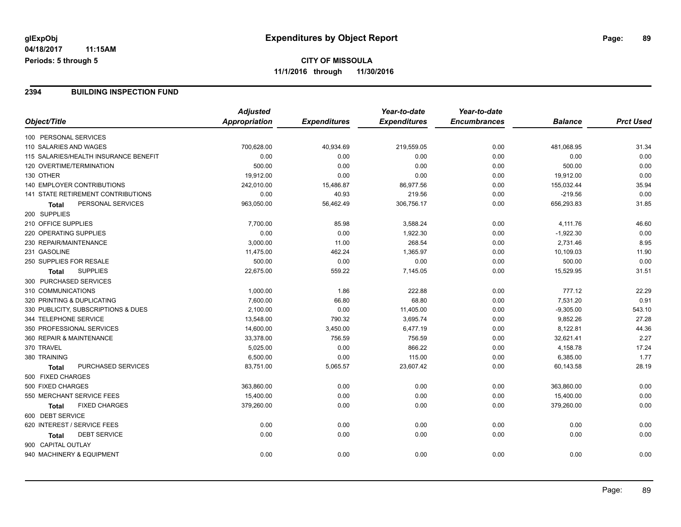### **2394 BUILDING INSPECTION FUND**

|                                       | <b>Adjusted</b> |                     | Year-to-date        | Year-to-date        |                |                  |
|---------------------------------------|-----------------|---------------------|---------------------|---------------------|----------------|------------------|
| Object/Title                          | Appropriation   | <b>Expenditures</b> | <b>Expenditures</b> | <b>Encumbrances</b> | <b>Balance</b> | <b>Prct Used</b> |
| 100 PERSONAL SERVICES                 |                 |                     |                     |                     |                |                  |
| 110 SALARIES AND WAGES                | 700,628.00      | 40,934.69           | 219,559.05          | 0.00                | 481,068.95     | 31.34            |
| 115 SALARIES/HEALTH INSURANCE BENEFIT | 0.00            | 0.00                | 0.00                | 0.00                | 0.00           | 0.00             |
| 120 OVERTIME/TERMINATION              | 500.00          | 0.00                | 0.00                | 0.00                | 500.00         | 0.00             |
| 130 OTHER                             | 19,912.00       | 0.00                | 0.00                | 0.00                | 19,912.00      | 0.00             |
| 140 EMPLOYER CONTRIBUTIONS            | 242,010.00      | 15,486.87           | 86,977.56           | 0.00                | 155,032.44     | 35.94            |
| 141 STATE RETIREMENT CONTRIBUTIONS    | 0.00            | 40.93               | 219.56              | 0.00                | $-219.56$      | 0.00             |
| PERSONAL SERVICES<br>Total            | 963,050.00      | 56,462.49           | 306,756.17          | 0.00                | 656,293.83     | 31.85            |
| 200 SUPPLIES                          |                 |                     |                     |                     |                |                  |
| 210 OFFICE SUPPLIES                   | 7,700.00        | 85.98               | 3,588.24            | 0.00                | 4,111.76       | 46.60            |
| 220 OPERATING SUPPLIES                | 0.00            | 0.00                | 1,922.30            | 0.00                | $-1,922.30$    | 0.00             |
| 230 REPAIR/MAINTENANCE                | 3,000.00        | 11.00               | 268.54              | 0.00                | 2,731.46       | 8.95             |
| 231 GASOLINE                          | 11,475.00       | 462.24              | 1,365.97            | 0.00                | 10,109.03      | 11.90            |
| 250 SUPPLIES FOR RESALE               | 500.00          | 0.00                | 0.00                | 0.00                | 500.00         | 0.00             |
| <b>SUPPLIES</b><br><b>Total</b>       | 22,675.00       | 559.22              | 7,145.05            | 0.00                | 15,529.95      | 31.51            |
| 300 PURCHASED SERVICES                |                 |                     |                     |                     |                |                  |
| 310 COMMUNICATIONS                    | 1,000.00        | 1.86                | 222.88              | 0.00                | 777.12         | 22.29            |
| 320 PRINTING & DUPLICATING            | 7,600.00        | 66.80               | 68.80               | 0.00                | 7,531.20       | 0.91             |
| 330 PUBLICITY, SUBSCRIPTIONS & DUES   | 2,100.00        | 0.00                | 11,405.00           | 0.00                | $-9,305.00$    | 543.10           |
| 344 TELEPHONE SERVICE                 | 13,548.00       | 790.32              | 3,695.74            | 0.00                | 9,852.26       | 27.28            |
| 350 PROFESSIONAL SERVICES             | 14,600.00       | 3,450.00            | 6,477.19            | 0.00                | 8,122.81       | 44.36            |
| 360 REPAIR & MAINTENANCE              | 33,378.00       | 756.59              | 756.59              | 0.00                | 32,621.41      | 2.27             |
| 370 TRAVEL                            | 5,025.00        | 0.00                | 866.22              | 0.00                | 4,158.78       | 17.24            |
| 380 TRAINING                          | 6,500.00        | 0.00                | 115.00              | 0.00                | 6,385.00       | 1.77             |
| PURCHASED SERVICES<br><b>Total</b>    | 83,751.00       | 5,065.57            | 23,607.42           | 0.00                | 60,143.58      | 28.19            |
| 500 FIXED CHARGES                     |                 |                     |                     |                     |                |                  |
| 500 FIXED CHARGES                     | 363,860.00      | 0.00                | 0.00                | 0.00                | 363,860.00     | 0.00             |
| 550 MERCHANT SERVICE FEES             | 15,400.00       | 0.00                | 0.00                | 0.00                | 15,400.00      | 0.00             |
| <b>FIXED CHARGES</b><br><b>Total</b>  | 379,260.00      | 0.00                | 0.00                | 0.00                | 379,260.00     | 0.00             |
| 600 DEBT SERVICE                      |                 |                     |                     |                     |                |                  |
| 620 INTEREST / SERVICE FEES           | 0.00            | 0.00                | 0.00                | 0.00                | 0.00           | 0.00             |
| <b>DEBT SERVICE</b><br>Total          | 0.00            | 0.00                | 0.00                | 0.00                | 0.00           | 0.00             |
| 900 CAPITAL OUTLAY                    |                 |                     |                     |                     |                |                  |
| 940 MACHINERY & EQUIPMENT             | 0.00            | 0.00                | 0.00                | 0.00                | 0.00           | 0.00             |
|                                       |                 |                     |                     |                     |                |                  |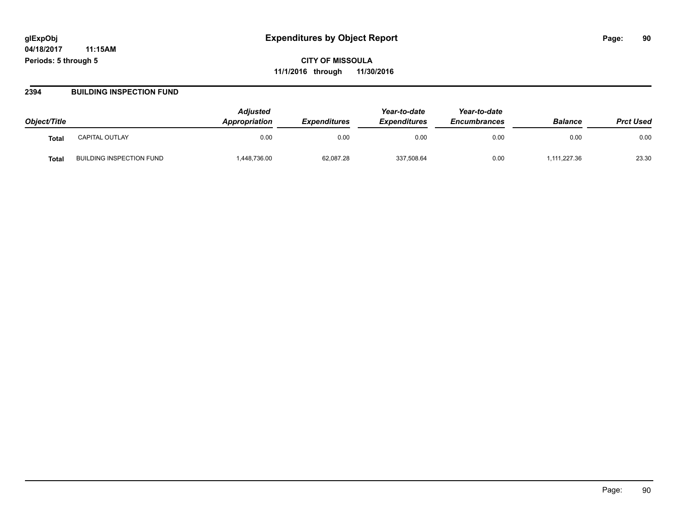**CITY OF MISSOULA 11/1/2016 through 11/30/2016**

### **2394 BUILDING INSPECTION FUND**

| Object/Title      |                                 | <b>Adjusted</b><br><b>Appropriation</b> | <b>Expenditures</b> | Year-to-date<br><b>Expenditures</b> | Year-to-date<br><b>Encumbrances</b> | <b>Balance</b> | <b>Prct Used</b> |
|-------------------|---------------------------------|-----------------------------------------|---------------------|-------------------------------------|-------------------------------------|----------------|------------------|
| Tota <sub>l</sub> | <b>CAPITAL OUTLAY</b>           | 0.00                                    | 0.00                | 0.00                                | 0.00                                | 0.00           | 0.00             |
| Tota.             | <b>BUILDING INSPECTION FUND</b> | 448,736.00                              | 62,087.28           | 337,508.64                          | 0.00                                | ,111,227.36    | 23.30            |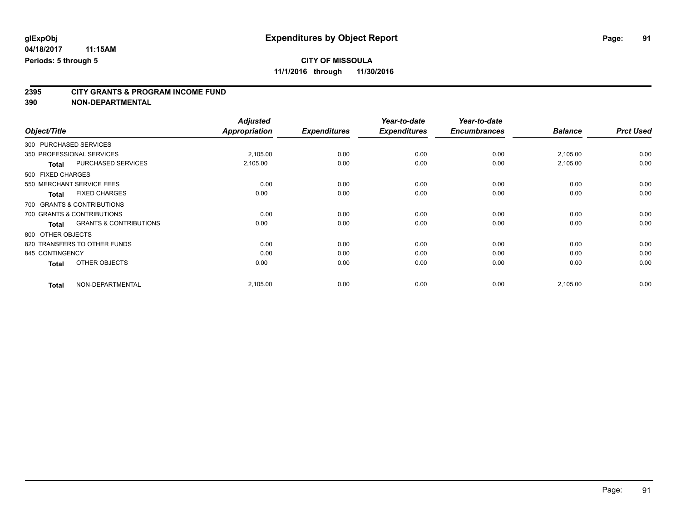# **CITY OF MISSOULA**

**11/1/2016 through 11/30/2016**

# **2395 CITY GRANTS & PROGRAM INCOME FUND**

**390 NON-DEPARTMENTAL**

|                                            | <b>Adjusted</b>      |                     | Year-to-date        | Year-to-date        |                |                  |
|--------------------------------------------|----------------------|---------------------|---------------------|---------------------|----------------|------------------|
| Object/Title                               | <b>Appropriation</b> | <b>Expenditures</b> | <b>Expenditures</b> | <b>Encumbrances</b> | <b>Balance</b> | <b>Prct Used</b> |
| 300 PURCHASED SERVICES                     |                      |                     |                     |                     |                |                  |
| 350 PROFESSIONAL SERVICES                  | 2,105.00             | 0.00                | 0.00                | 0.00                | 2,105.00       | 0.00             |
| PURCHASED SERVICES<br><b>Total</b>         | 2,105.00             | 0.00                | 0.00                | 0.00                | 2,105.00       | 0.00             |
| 500 FIXED CHARGES                          |                      |                     |                     |                     |                |                  |
| 550 MERCHANT SERVICE FEES                  | 0.00                 | 0.00                | 0.00                | 0.00                | 0.00           | 0.00             |
| <b>FIXED CHARGES</b><br><b>Total</b>       | 0.00                 | 0.00                | 0.00                | 0.00                | 0.00           | 0.00             |
| 700 GRANTS & CONTRIBUTIONS                 |                      |                     |                     |                     |                |                  |
| 700 GRANTS & CONTRIBUTIONS                 | 0.00                 | 0.00                | 0.00                | 0.00                | 0.00           | 0.00             |
| <b>GRANTS &amp; CONTRIBUTIONS</b><br>Total | 0.00                 | 0.00                | 0.00                | 0.00                | 0.00           | 0.00             |
| 800 OTHER OBJECTS                          |                      |                     |                     |                     |                |                  |
| 820 TRANSFERS TO OTHER FUNDS               | 0.00                 | 0.00                | 0.00                | 0.00                | 0.00           | 0.00             |
| 845 CONTINGENCY                            | 0.00                 | 0.00                | 0.00                | 0.00                | 0.00           | 0.00             |
| OTHER OBJECTS<br><b>Total</b>              | 0.00                 | 0.00                | 0.00                | 0.00                | 0.00           | 0.00             |
| NON-DEPARTMENTAL<br><b>Total</b>           | 2,105.00             | 0.00                | 0.00                | 0.00                | 2,105.00       | 0.00             |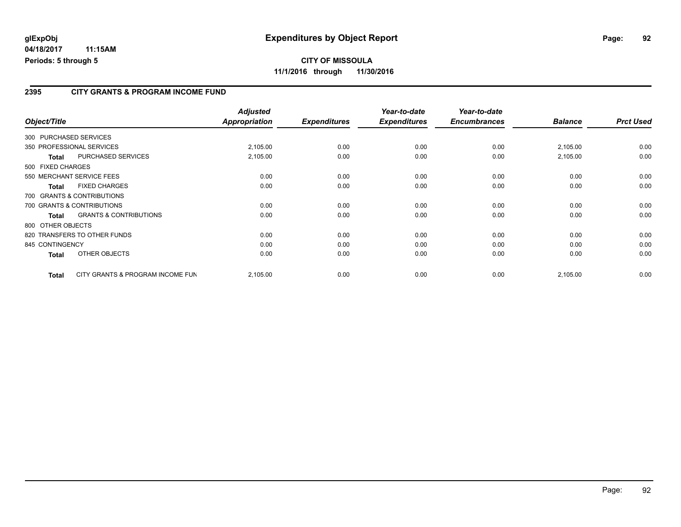**CITY OF MISSOULA 11/1/2016 through 11/30/2016**

### **2395 CITY GRANTS & PROGRAM INCOME FUND**

|                                                   | <b>Adjusted</b> |                     | Year-to-date        | Year-to-date        |                |                  |
|---------------------------------------------------|-----------------|---------------------|---------------------|---------------------|----------------|------------------|
| Object/Title                                      | Appropriation   | <b>Expenditures</b> | <b>Expenditures</b> | <b>Encumbrances</b> | <b>Balance</b> | <b>Prct Used</b> |
| 300 PURCHASED SERVICES                            |                 |                     |                     |                     |                |                  |
| 350 PROFESSIONAL SERVICES                         | 2,105.00        | 0.00                | 0.00                | 0.00                | 2,105.00       | 0.00             |
| <b>PURCHASED SERVICES</b><br><b>Total</b>         | 2,105.00        | 0.00                | 0.00                | 0.00                | 2,105.00       | 0.00             |
| 500 FIXED CHARGES                                 |                 |                     |                     |                     |                |                  |
| 550 MERCHANT SERVICE FEES                         | 0.00            | 0.00                | 0.00                | 0.00                | 0.00           | 0.00             |
| <b>FIXED CHARGES</b><br><b>Total</b>              | 0.00            | 0.00                | 0.00                | 0.00                | 0.00           | 0.00             |
| 700 GRANTS & CONTRIBUTIONS                        |                 |                     |                     |                     |                |                  |
| 700 GRANTS & CONTRIBUTIONS                        | 0.00            | 0.00                | 0.00                | 0.00                | 0.00           | 0.00             |
| <b>GRANTS &amp; CONTRIBUTIONS</b><br><b>Total</b> | 0.00            | 0.00                | 0.00                | 0.00                | 0.00           | 0.00             |
| 800 OTHER OBJECTS                                 |                 |                     |                     |                     |                |                  |
| 820 TRANSFERS TO OTHER FUNDS                      | 0.00            | 0.00                | 0.00                | 0.00                | 0.00           | 0.00             |
| 845 CONTINGENCY                                   | 0.00            | 0.00                | 0.00                | 0.00                | 0.00           | 0.00             |
| OTHER OBJECTS<br><b>Total</b>                     | 0.00            | 0.00                | 0.00                | 0.00                | 0.00           | 0.00             |
|                                                   |                 |                     |                     |                     |                |                  |
| CITY GRANTS & PROGRAM INCOME FUN<br><b>Total</b>  | 2,105.00        | 0.00                | 0.00                | 0.00                | 2,105.00       | 0.00             |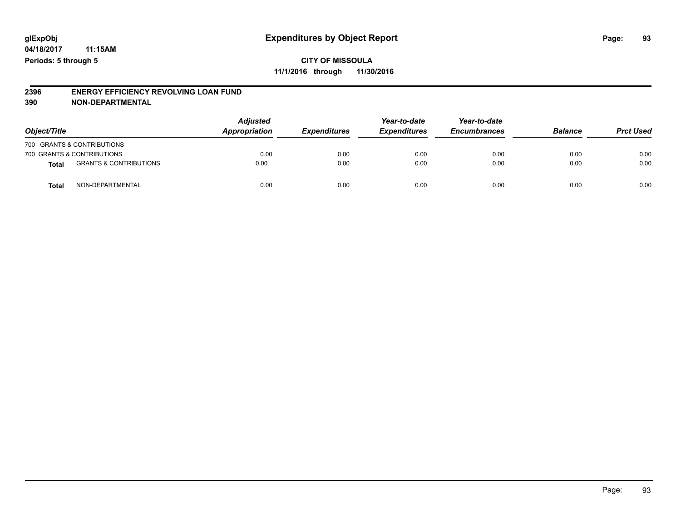#### **2396 ENERGY EFFICIENCY REVOLVING LOAN FUND 390 NON-DEPARTMENTAL**

|                            |                                   | <b>Adjusted</b> | Year-to-date        | Year-to-date        |                     |                |                  |
|----------------------------|-----------------------------------|-----------------|---------------------|---------------------|---------------------|----------------|------------------|
| Object/Title               |                                   | Appropriation   | <b>Expenditures</b> | <b>Expenditures</b> | <b>Encumbrances</b> | <b>Balance</b> | <b>Prct Used</b> |
| 700 GRANTS & CONTRIBUTIONS |                                   |                 |                     |                     |                     |                |                  |
| 700 GRANTS & CONTRIBUTIONS |                                   | 0.00            | 0.00                | 0.00                | 0.00                | 0.00           | 0.00             |
| <b>Total</b>               | <b>GRANTS &amp; CONTRIBUTIONS</b> | 0.00            | 0.00                | 0.00                | 0.00                | 0.00           | 0.00             |
| Total                      | NON-DEPARTMENTAL                  | 0.00            | 0.00                | 0.00                | 0.00                | 0.00           | 0.00             |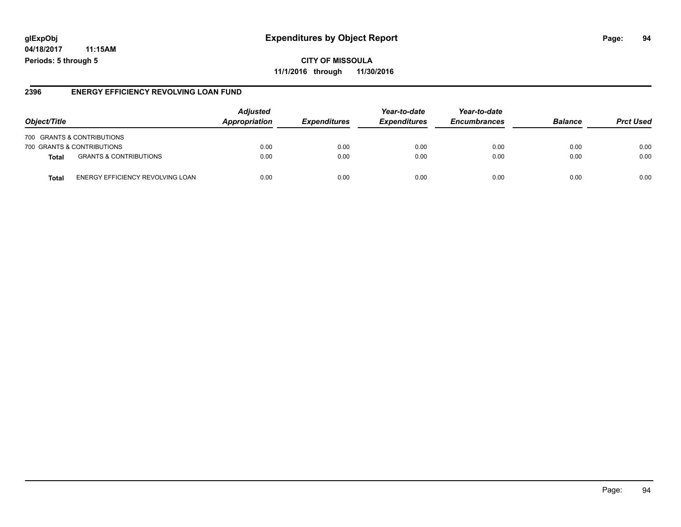# **glExpObj Expenditures by Object Report Page: 94**

**04/18/2017 11:15AM Periods: 5 through 5**

**CITY OF MISSOULA 11/1/2016 through 11/30/2016**

### **2396 ENERGY EFFICIENCY REVOLVING LOAN FUND**

|                                            | <b>Adjusted</b> |                            | Year-to-date        | Year-to-date        |                |                  |
|--------------------------------------------|-----------------|----------------------------|---------------------|---------------------|----------------|------------------|
| Object/Title                               | Appropriation   | <i><b>Expenditures</b></i> | <b>Expenditures</b> | <b>Encumbrances</b> | <b>Balance</b> | <b>Prct Used</b> |
| 700 GRANTS & CONTRIBUTIONS                 |                 |                            |                     |                     |                |                  |
| 700 GRANTS & CONTRIBUTIONS                 | 0.00            | 0.00                       | 0.00                | 0.00                | 0.00           | 0.00             |
| <b>GRANTS &amp; CONTRIBUTIONS</b><br>Total | 0.00            | 0.00                       | 0.00                | 0.00                | 0.00           | 0.00             |
| ENERGY EFFICIENCY REVOLVING LOAN<br>Total  | 0.00            | 0.00                       | 0.00                | 0.00                | 0.00           | 0.00             |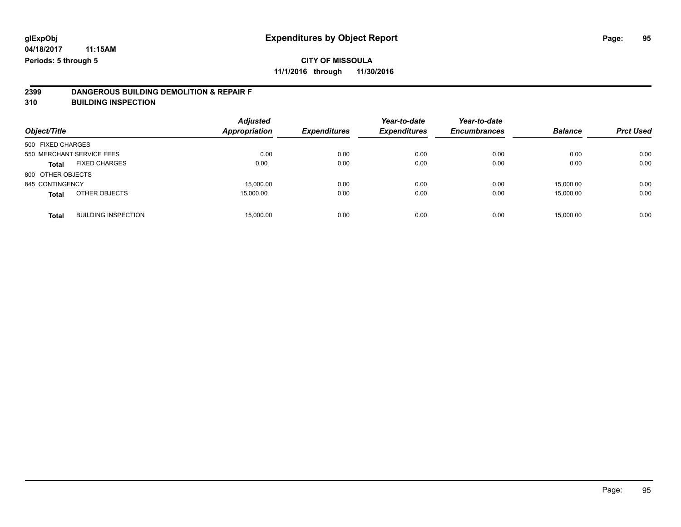# **CITY OF MISSOULA**

**11/1/2016 through 11/30/2016**

# **2399 DANGEROUS BUILDING DEMOLITION & REPAIR F**

**310 BUILDING INSPECTION**

| Object/Title      |                            | <b>Adjusted</b><br>Appropriation | <b>Expenditures</b> | Year-to-date<br><b>Expenditures</b> | Year-to-date<br><b>Encumbrances</b> | <b>Balance</b> | <b>Prct Used</b> |
|-------------------|----------------------------|----------------------------------|---------------------|-------------------------------------|-------------------------------------|----------------|------------------|
| 500 FIXED CHARGES |                            |                                  |                     |                                     |                                     |                |                  |
|                   | 550 MERCHANT SERVICE FEES  | 0.00                             | 0.00                | 0.00                                | 0.00                                | 0.00           | 0.00             |
| Total             | <b>FIXED CHARGES</b>       | 0.00                             | 0.00                | 0.00                                | 0.00                                | 0.00           | 0.00             |
| 800 OTHER OBJECTS |                            |                                  |                     |                                     |                                     |                |                  |
| 845 CONTINGENCY   |                            | 15,000.00                        | 0.00                | 0.00                                | 0.00                                | 15,000.00      | 0.00             |
| <b>Total</b>      | OTHER OBJECTS              | 15,000.00                        | 0.00                | 0.00                                | 0.00                                | 15,000.00      | 0.00             |
| <b>Total</b>      | <b>BUILDING INSPECTION</b> | 15.000.00                        | 0.00                | 0.00                                | 0.00                                | 15.000.00      | 0.00             |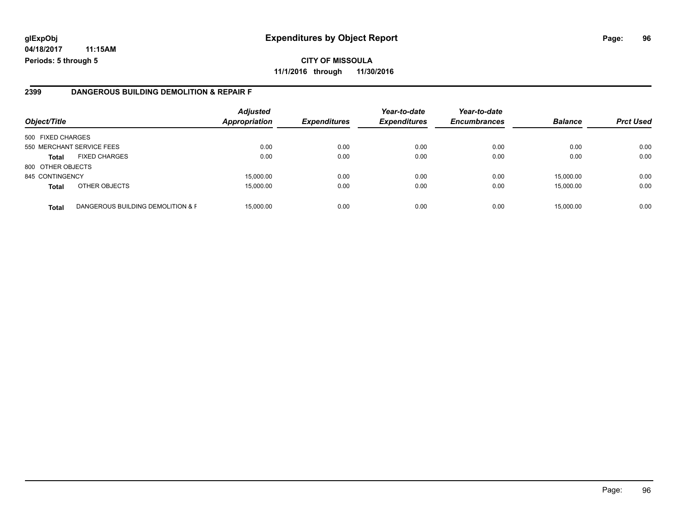**11/1/2016 through 11/30/2016**

### **2399 DANGEROUS BUILDING DEMOLITION & REPAIR F**

| Object/Title      |                                   | <b>Adjusted</b><br><b>Appropriation</b> | <b>Expenditures</b> | Year-to-date<br><b>Expenditures</b> | Year-to-date<br><b>Encumbrances</b> | <b>Balance</b> | <b>Prct Used</b> |
|-------------------|-----------------------------------|-----------------------------------------|---------------------|-------------------------------------|-------------------------------------|----------------|------------------|
| 500 FIXED CHARGES |                                   |                                         |                     |                                     |                                     |                |                  |
|                   | 550 MERCHANT SERVICE FEES         | 0.00                                    | 0.00                | 0.00                                | 0.00                                | 0.00           | 0.00             |
| Total             | <b>FIXED CHARGES</b>              | 0.00                                    | 0.00                | 0.00                                | 0.00                                | 0.00           | 0.00             |
| 800 OTHER OBJECTS |                                   |                                         |                     |                                     |                                     |                |                  |
| 845 CONTINGENCY   |                                   | 15.000.00                               | 0.00                | 0.00                                | 0.00                                | 15.000.00      | 0.00             |
| <b>Total</b>      | OTHER OBJECTS                     | 15.000.00                               | 0.00                | 0.00                                | 0.00                                | 15,000.00      | 0.00             |
| <b>Total</b>      | DANGEROUS BUILDING DEMOLITION & F | 15,000.00                               | 0.00                | 0.00                                | 0.00                                | 15,000.00      | 0.00             |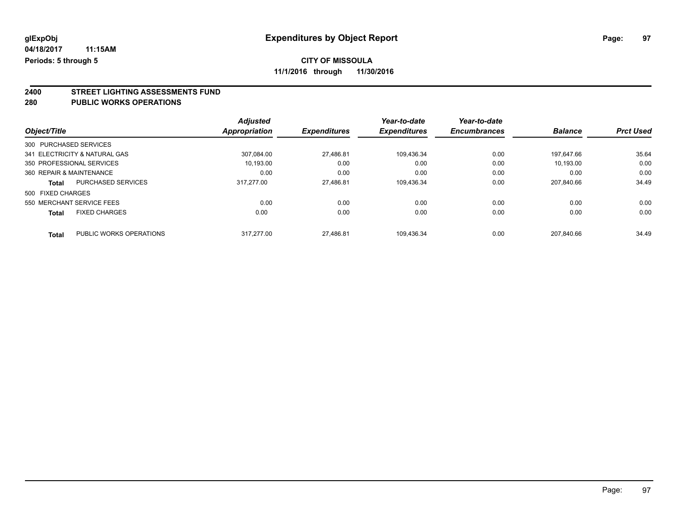# **CITY OF MISSOULA**

**11/1/2016 through 11/30/2016**

# **2400 STREET LIGHTING ASSESSMENTS FUND**

### **280 PUBLIC WORKS OPERATIONS**

| Object/Title             |                               | <b>Adjusted</b><br>Appropriation | <b>Expenditures</b> | Year-to-date<br><b>Expenditures</b> | Year-to-date<br><b>Encumbrances</b> | <b>Balance</b> | <b>Prct Used</b> |
|--------------------------|-------------------------------|----------------------------------|---------------------|-------------------------------------|-------------------------------------|----------------|------------------|
|                          |                               |                                  |                     |                                     |                                     |                |                  |
| 300 PURCHASED SERVICES   |                               |                                  |                     |                                     |                                     |                |                  |
|                          | 341 ELECTRICITY & NATURAL GAS | 307.084.00                       | 27.486.81           | 109.436.34                          | 0.00                                | 197.647.66     | 35.64            |
|                          | 350 PROFESSIONAL SERVICES     | 10,193.00                        | 0.00                | 0.00                                | 0.00                                | 10.193.00      | 0.00             |
| 360 REPAIR & MAINTENANCE |                               | 0.00                             | 0.00                | 0.00                                | 0.00                                | 0.00           | 0.00             |
| <b>Total</b>             | <b>PURCHASED SERVICES</b>     | 317.277.00                       | 27.486.81           | 109.436.34                          | 0.00                                | 207.840.66     | 34.49            |
| 500 FIXED CHARGES        |                               |                                  |                     |                                     |                                     |                |                  |
|                          | 550 MERCHANT SERVICE FEES     | 0.00                             | 0.00                | 0.00                                | 0.00                                | 0.00           | 0.00             |
| <b>Total</b>             | <b>FIXED CHARGES</b>          | 0.00                             | 0.00                | 0.00                                | 0.00                                | 0.00           | 0.00             |
| <b>Total</b>             | PUBLIC WORKS OPERATIONS       | 317.277.00                       | 27.486.81           | 109.436.34                          | 0.00                                | 207.840.66     | 34.49            |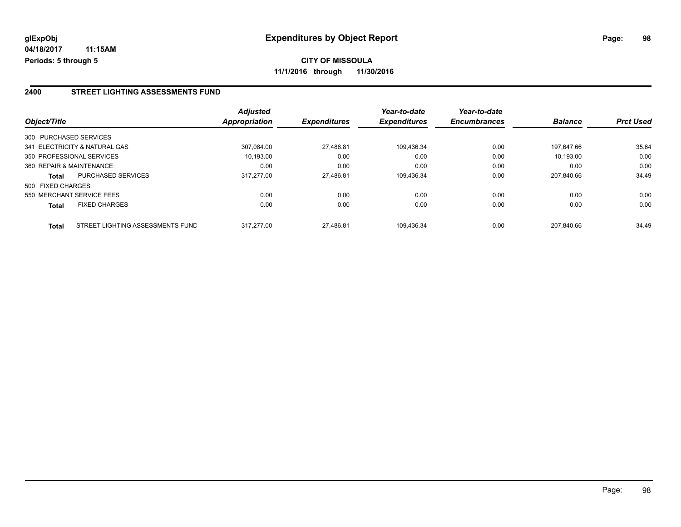**CITY OF MISSOULA 11/1/2016 through 11/30/2016**

### **2400 STREET LIGHTING ASSESSMENTS FUND**

|                          |                                  | <b>Adjusted</b> |                     | Year-to-date        | Year-to-date        |                |                  |
|--------------------------|----------------------------------|-----------------|---------------------|---------------------|---------------------|----------------|------------------|
| Object/Title             |                                  | Appropriation   | <b>Expenditures</b> | <b>Expenditures</b> | <b>Encumbrances</b> | <b>Balance</b> | <b>Prct Used</b> |
| 300 PURCHASED SERVICES   |                                  |                 |                     |                     |                     |                |                  |
|                          | 341 ELECTRICITY & NATURAL GAS    | 307.084.00      | 27.486.81           | 109.436.34          | 0.00                | 197.647.66     | 35.64            |
|                          | 350 PROFESSIONAL SERVICES        | 10,193.00       | 0.00                | 0.00                | 0.00                | 10,193.00      | 0.00             |
| 360 REPAIR & MAINTENANCE |                                  | 0.00            | 0.00                | 0.00                | 0.00                | 0.00           | 0.00             |
| Total                    | <b>PURCHASED SERVICES</b>        | 317.277.00      | 27.486.81           | 109.436.34          | 0.00                | 207.840.66     | 34.49            |
| 500 FIXED CHARGES        |                                  |                 |                     |                     |                     |                |                  |
|                          | 550 MERCHANT SERVICE FEES        | 0.00            | 0.00                | 0.00                | 0.00                | 0.00           | 0.00             |
| <b>Total</b>             | <b>FIXED CHARGES</b>             | 0.00            | 0.00                | 0.00                | 0.00                | 0.00           | 0.00             |
| <b>Total</b>             | STREET LIGHTING ASSESSMENTS FUND | 317.277.00      | 27.486.81           | 109.436.34          | 0.00                | 207.840.66     | 34.49            |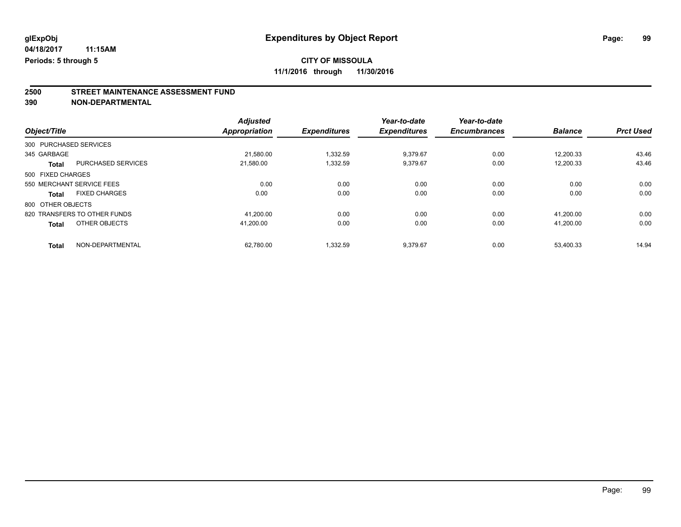# **CITY OF MISSOULA**

**11/1/2016 through 11/30/2016**

# **2500 STREET MAINTENANCE ASSESSMENT FUND**

**390 NON-DEPARTMENTAL**

|                        |                              | <b>Adjusted</b>      |                     | Year-to-date        | Year-to-date        |                |                  |
|------------------------|------------------------------|----------------------|---------------------|---------------------|---------------------|----------------|------------------|
| Object/Title           |                              | <b>Appropriation</b> | <b>Expenditures</b> | <b>Expenditures</b> | <b>Encumbrances</b> | <b>Balance</b> | <b>Prct Used</b> |
| 300 PURCHASED SERVICES |                              |                      |                     |                     |                     |                |                  |
| 345 GARBAGE            |                              | 21,580.00            | 1,332.59            | 9,379.67            | 0.00                | 12.200.33      | 43.46            |
| <b>Total</b>           | <b>PURCHASED SERVICES</b>    | 21,580.00            | 1,332.59            | 9,379.67            | 0.00                | 12.200.33      | 43.46            |
| 500 FIXED CHARGES      |                              |                      |                     |                     |                     |                |                  |
|                        | 550 MERCHANT SERVICE FEES    | 0.00                 | 0.00                | 0.00                | 0.00                | 0.00           | 0.00             |
| <b>Total</b>           | <b>FIXED CHARGES</b>         | 0.00                 | 0.00                | 0.00                | 0.00                | 0.00           | 0.00             |
| 800 OTHER OBJECTS      |                              |                      |                     |                     |                     |                |                  |
|                        | 820 TRANSFERS TO OTHER FUNDS | 41.200.00            | 0.00                | 0.00                | 0.00                | 41.200.00      | 0.00             |
| <b>Total</b>           | OTHER OBJECTS                | 41.200.00            | 0.00                | 0.00                | 0.00                | 41.200.00      | 0.00             |
| <b>Total</b>           | NON-DEPARTMENTAL             | 62.780.00            | 1.332.59            | 9.379.67            | 0.00                | 53.400.33      | 14.94            |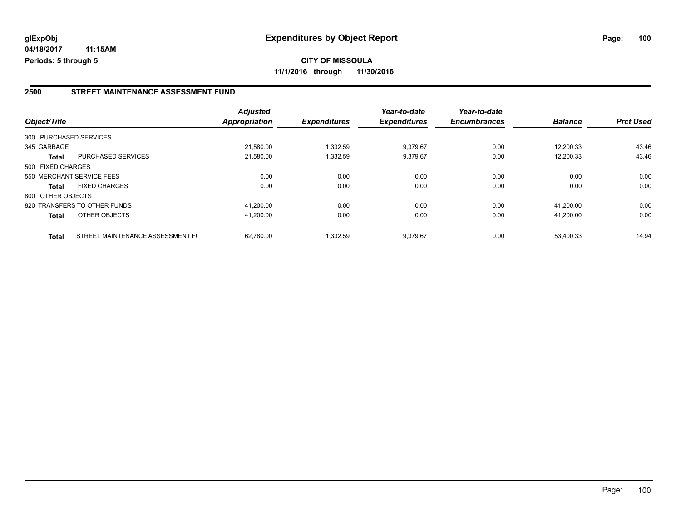#### **2500 STREET MAINTENANCE ASSESSMENT FUND**

|                   |                                  | <b>Adjusted</b> |                     | Year-to-date        | Year-to-date        |                |                  |
|-------------------|----------------------------------|-----------------|---------------------|---------------------|---------------------|----------------|------------------|
| Object/Title      |                                  | Appropriation   | <b>Expenditures</b> | <b>Expenditures</b> | <b>Encumbrances</b> | <b>Balance</b> | <b>Prct Used</b> |
|                   | 300 PURCHASED SERVICES           |                 |                     |                     |                     |                |                  |
| 345 GARBAGE       |                                  | 21.580.00       | 1,332.59            | 9,379.67            | 0.00                | 12.200.33      | 43.46            |
| Total             | <b>PURCHASED SERVICES</b>        | 21,580.00       | 1,332.59            | 9,379.67            | 0.00                | 12,200.33      | 43.46            |
| 500 FIXED CHARGES |                                  |                 |                     |                     |                     |                |                  |
|                   | 550 MERCHANT SERVICE FEES        | 0.00            | 0.00                | 0.00                | 0.00                | 0.00           | 0.00             |
| <b>Total</b>      | <b>FIXED CHARGES</b>             | 0.00            | 0.00                | 0.00                | 0.00                | 0.00           | 0.00             |
| 800 OTHER OBJECTS |                                  |                 |                     |                     |                     |                |                  |
|                   | 820 TRANSFERS TO OTHER FUNDS     | 41.200.00       | 0.00                | 0.00                | 0.00                | 41.200.00      | 0.00             |
| <b>Total</b>      | OTHER OBJECTS                    | 41,200.00       | 0.00                | 0.00                | 0.00                | 41,200.00      | 0.00             |
| <b>Total</b>      | STREET MAINTENANCE ASSESSMENT FI | 62.780.00       | 1,332.59            | 9,379.67            | 0.00                | 53.400.33      | 14.94            |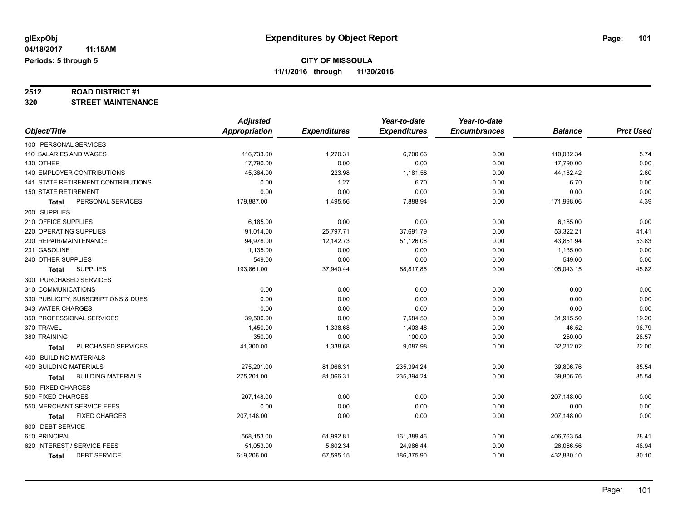# **2512 ROAD DISTRICT #1**

**320 STREET MAINTENANCE**

|                                           | <b>Adjusted</b>      |                     | Year-to-date        | Year-to-date        |                |                  |
|-------------------------------------------|----------------------|---------------------|---------------------|---------------------|----------------|------------------|
| Object/Title                              | <b>Appropriation</b> | <b>Expenditures</b> | <b>Expenditures</b> | <b>Encumbrances</b> | <b>Balance</b> | <b>Prct Used</b> |
| 100 PERSONAL SERVICES                     |                      |                     |                     |                     |                |                  |
| 110 SALARIES AND WAGES                    | 116,733.00           | 1,270.31            | 6,700.66            | 0.00                | 110,032.34     | 5.74             |
| 130 OTHER                                 | 17,790.00            | 0.00                | 0.00                | 0.00                | 17,790.00      | 0.00             |
| <b>140 EMPLOYER CONTRIBUTIONS</b>         | 45,364.00            | 223.98              | 1,181.58            | 0.00                | 44,182.42      | 2.60             |
| 141 STATE RETIREMENT CONTRIBUTIONS        | 0.00                 | 1.27                | 6.70                | 0.00                | $-6.70$        | 0.00             |
| <b>150 STATE RETIREMENT</b>               | 0.00                 | 0.00                | 0.00                | 0.00                | 0.00           | 0.00             |
| PERSONAL SERVICES<br>Total                | 179,887.00           | 1,495.56            | 7,888.94            | 0.00                | 171,998.06     | 4.39             |
| 200 SUPPLIES                              |                      |                     |                     |                     |                |                  |
| 210 OFFICE SUPPLIES                       | 6,185.00             | 0.00                | 0.00                | 0.00                | 6,185.00       | 0.00             |
| 220 OPERATING SUPPLIES                    | 91,014.00            | 25,797.71           | 37,691.79           | 0.00                | 53,322.21      | 41.41            |
| 230 REPAIR/MAINTENANCE                    | 94,978.00            | 12,142.73           | 51,126.06           | 0.00                | 43,851.94      | 53.83            |
| 231 GASOLINE                              | 1,135.00             | 0.00                | 0.00                | 0.00                | 1,135.00       | 0.00             |
| 240 OTHER SUPPLIES                        | 549.00               | 0.00                | 0.00                | 0.00                | 549.00         | 0.00             |
| <b>SUPPLIES</b><br><b>Total</b>           | 193,861.00           | 37,940.44           | 88,817.85           | 0.00                | 105,043.15     | 45.82            |
| 300 PURCHASED SERVICES                    |                      |                     |                     |                     |                |                  |
| 310 COMMUNICATIONS                        | 0.00                 | 0.00                | 0.00                | 0.00                | 0.00           | 0.00             |
| 330 PUBLICITY, SUBSCRIPTIONS & DUES       | 0.00                 | 0.00                | 0.00                | 0.00                | 0.00           | 0.00             |
| 343 WATER CHARGES                         | 0.00                 | 0.00                | 0.00                | 0.00                | 0.00           | 0.00             |
| 350 PROFESSIONAL SERVICES                 | 39,500.00            | 0.00                | 7,584.50            | 0.00                | 31,915.50      | 19.20            |
| 370 TRAVEL                                | 1,450.00             | 1,338.68            | 1,403.48            | 0.00                | 46.52          | 96.79            |
| 380 TRAINING                              | 350.00               | 0.00                | 100.00              | 0.00                | 250.00         | 28.57            |
| PURCHASED SERVICES<br><b>Total</b>        | 41,300.00            | 1,338.68            | 9,087.98            | 0.00                | 32,212.02      | 22.00            |
| 400 BUILDING MATERIALS                    |                      |                     |                     |                     |                |                  |
| <b>400 BUILDING MATERIALS</b>             | 275,201.00           | 81,066.31           | 235,394.24          | 0.00                | 39,806.76      | 85.54            |
| <b>BUILDING MATERIALS</b><br><b>Total</b> | 275,201.00           | 81,066.31           | 235,394.24          | 0.00                | 39,806.76      | 85.54            |
| 500 FIXED CHARGES                         |                      |                     |                     |                     |                |                  |
| 500 FIXED CHARGES                         | 207,148.00           | 0.00                | 0.00                | 0.00                | 207,148.00     | 0.00             |
| 550 MERCHANT SERVICE FEES                 | 0.00                 | 0.00                | 0.00                | 0.00                | 0.00           | 0.00             |
| <b>FIXED CHARGES</b><br>Total             | 207,148.00           | 0.00                | 0.00                | 0.00                | 207,148.00     | 0.00             |
| 600 DEBT SERVICE                          |                      |                     |                     |                     |                |                  |
| 610 PRINCIPAL                             | 568,153.00           | 61,992.81           | 161,389.46          | 0.00                | 406,763.54     | 28.41            |
| 620 INTEREST / SERVICE FEES               | 51,053.00            | 5,602.34            | 24,986.44           | 0.00                | 26,066.56      | 48.94            |
| <b>DEBT SERVICE</b><br><b>Total</b>       | 619,206.00           | 67,595.15           | 186,375.90          | 0.00                | 432,830.10     | 30.10            |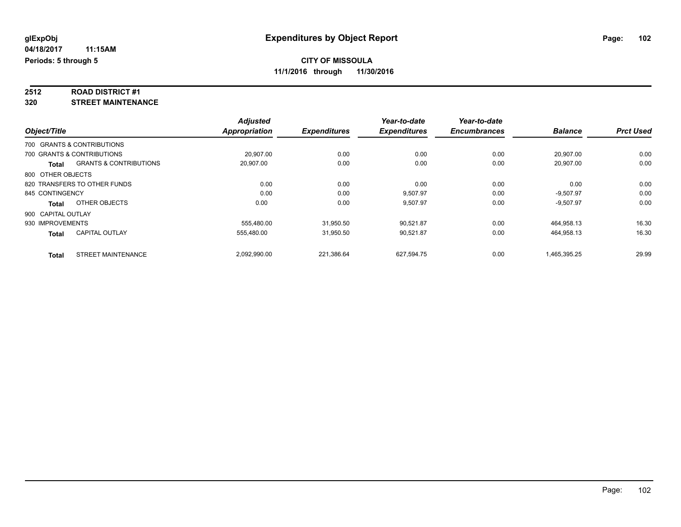# **2512 ROAD DISTRICT #1**

**320 STREET MAINTENANCE**

|                    |                                   | <b>Adjusted</b> |                     | Year-to-date        | Year-to-date        |                |                  |
|--------------------|-----------------------------------|-----------------|---------------------|---------------------|---------------------|----------------|------------------|
| Object/Title       |                                   | Appropriation   | <b>Expenditures</b> | <b>Expenditures</b> | <b>Encumbrances</b> | <b>Balance</b> | <b>Prct Used</b> |
|                    | 700 GRANTS & CONTRIBUTIONS        |                 |                     |                     |                     |                |                  |
|                    | 700 GRANTS & CONTRIBUTIONS        | 20.907.00       | 0.00                | 0.00                | 0.00                | 20.907.00      | 0.00             |
| <b>Total</b>       | <b>GRANTS &amp; CONTRIBUTIONS</b> | 20,907.00       | 0.00                | 0.00                | 0.00                | 20.907.00      | 0.00             |
| 800 OTHER OBJECTS  |                                   |                 |                     |                     |                     |                |                  |
|                    | 820 TRANSFERS TO OTHER FUNDS      | 0.00            | 0.00                | 0.00                | 0.00                | 0.00           | 0.00             |
| 845 CONTINGENCY    |                                   | 0.00            | 0.00                | 9.507.97            | 0.00                | $-9.507.97$    | 0.00             |
| <b>Total</b>       | OTHER OBJECTS                     | 0.00            | 0.00                | 9.507.97            | 0.00                | $-9.507.97$    | 0.00             |
| 900 CAPITAL OUTLAY |                                   |                 |                     |                     |                     |                |                  |
| 930 IMPROVEMENTS   |                                   | 555,480.00      | 31,950.50           | 90,521.87           | 0.00                | 464,958.13     | 16.30            |
| <b>Total</b>       | <b>CAPITAL OUTLAY</b>             | 555.480.00      | 31,950.50           | 90,521.87           | 0.00                | 464,958.13     | 16.30            |
| <b>Total</b>       | <b>STREET MAINTENANCE</b>         | 2,092,990.00    | 221.386.64          | 627,594.75          | 0.00                | 1,465,395.25   | 29.99            |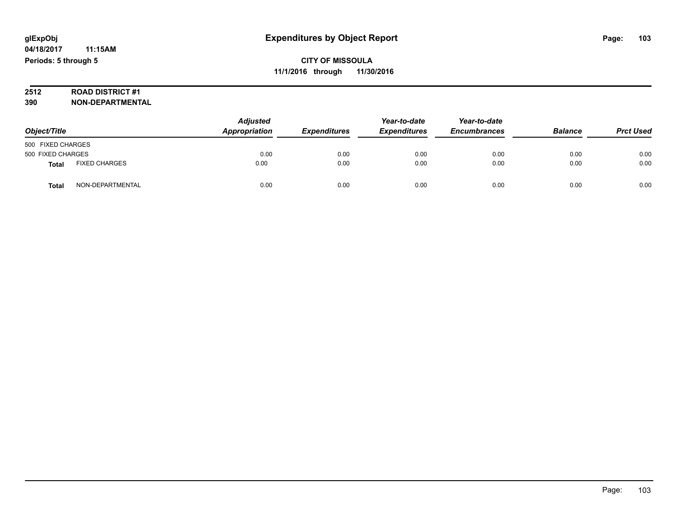# **2512 ROAD DISTRICT #1**

**390 NON-DEPARTMENTAL**

| Object/Title      |                      | <b>Adjusted</b><br>Appropriation | <b>Expenditures</b> | Year-to-date<br><b>Expenditures</b> | Year-to-date<br><b>Encumbrances</b> | <b>Balance</b> | <b>Prct Used</b> |
|-------------------|----------------------|----------------------------------|---------------------|-------------------------------------|-------------------------------------|----------------|------------------|
| 500 FIXED CHARGES |                      |                                  |                     |                                     |                                     |                |                  |
| 500 FIXED CHARGES |                      | 0.00                             | 0.00                | 0.00                                | 0.00                                | 0.00           | 0.00             |
| Total             | <b>FIXED CHARGES</b> | 0.00                             | 0.00                | 0.00                                | 0.00                                | 0.00           | 0.00             |
| Total             | NON-DEPARTMENTAL     | 0.00                             | 0.00                | 0.00                                | 0.00                                | 0.00           | 0.00             |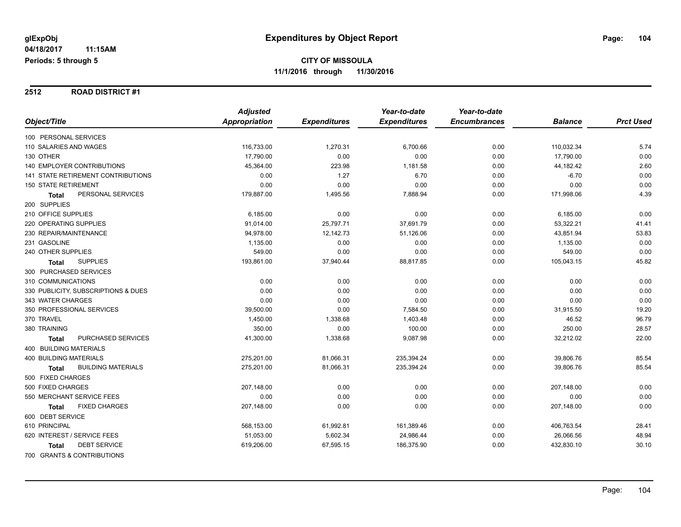#### **2512 ROAD DISTRICT #1**

|                                           | <b>Adjusted</b> |                     | Year-to-date        | Year-to-date        |                |                  |
|-------------------------------------------|-----------------|---------------------|---------------------|---------------------|----------------|------------------|
| Object/Title                              | Appropriation   | <b>Expenditures</b> | <b>Expenditures</b> | <b>Encumbrances</b> | <b>Balance</b> | <b>Prct Used</b> |
| 100 PERSONAL SERVICES                     |                 |                     |                     |                     |                |                  |
| 110 SALARIES AND WAGES                    | 116,733.00      | 1,270.31            | 6,700.66            | 0.00                | 110,032.34     | 5.74             |
| 130 OTHER                                 | 17,790.00       | 0.00                | 0.00                | 0.00                | 17,790.00      | 0.00             |
| <b>140 EMPLOYER CONTRIBUTIONS</b>         | 45,364.00       | 223.98              | 1,181.58            | 0.00                | 44,182.42      | 2.60             |
| 141 STATE RETIREMENT CONTRIBUTIONS        | 0.00            | 1.27                | 6.70                | 0.00                | $-6.70$        | 0.00             |
| <b>150 STATE RETIREMENT</b>               | 0.00            | 0.00                | 0.00                | 0.00                | 0.00           | 0.00             |
| PERSONAL SERVICES<br><b>Total</b>         | 179,887.00      | 1,495.56            | 7,888.94            | 0.00                | 171,998.06     | 4.39             |
| 200 SUPPLIES                              |                 |                     |                     |                     |                |                  |
| 210 OFFICE SUPPLIES                       | 6,185.00        | 0.00                | 0.00                | 0.00                | 6,185.00       | 0.00             |
| 220 OPERATING SUPPLIES                    | 91,014.00       | 25,797.71           | 37,691.79           | 0.00                | 53,322.21      | 41.41            |
| 230 REPAIR/MAINTENANCE                    | 94,978.00       | 12,142.73           | 51,126.06           | 0.00                | 43,851.94      | 53.83            |
| 231 GASOLINE                              | 1,135.00        | 0.00                | 0.00                | 0.00                | 1,135.00       | 0.00             |
| 240 OTHER SUPPLIES                        | 549.00          | 0.00                | 0.00                | 0.00                | 549.00         | 0.00             |
| <b>SUPPLIES</b><br><b>Total</b>           | 193,861.00      | 37,940.44           | 88,817.85           | 0.00                | 105,043.15     | 45.82            |
| 300 PURCHASED SERVICES                    |                 |                     |                     |                     |                |                  |
| 310 COMMUNICATIONS                        | 0.00            | 0.00                | 0.00                | 0.00                | 0.00           | 0.00             |
| 330 PUBLICITY, SUBSCRIPTIONS & DUES       | 0.00            | 0.00                | 0.00                | 0.00                | 0.00           | 0.00             |
| 343 WATER CHARGES                         | 0.00            | 0.00                | 0.00                | 0.00                | 0.00           | 0.00             |
| 350 PROFESSIONAL SERVICES                 | 39,500.00       | 0.00                | 7,584.50            | 0.00                | 31,915.50      | 19.20            |
| 370 TRAVEL                                | 1,450.00        | 1,338.68            | 1,403.48            | 0.00                | 46.52          | 96.79            |
| 380 TRAINING                              | 350.00          | 0.00                | 100.00              | 0.00                | 250.00         | 28.57            |
| PURCHASED SERVICES<br>Total               | 41,300.00       | 1,338.68            | 9,087.98            | 0.00                | 32,212.02      | 22.00            |
| 400 BUILDING MATERIALS                    |                 |                     |                     |                     |                |                  |
| <b>400 BUILDING MATERIALS</b>             | 275,201.00      | 81,066.31           | 235,394.24          | 0.00                | 39,806.76      | 85.54            |
| <b>BUILDING MATERIALS</b><br><b>Total</b> | 275,201.00      | 81,066.31           | 235,394.24          | 0.00                | 39,806.76      | 85.54            |
| 500 FIXED CHARGES                         |                 |                     |                     |                     |                |                  |
| 500 FIXED CHARGES                         | 207,148.00      | 0.00                | 0.00                | 0.00                | 207,148.00     | 0.00             |
| 550 MERCHANT SERVICE FEES                 | 0.00            | 0.00                | 0.00                | 0.00                | 0.00           | 0.00             |
| <b>FIXED CHARGES</b><br>Total             | 207,148.00      | 0.00                | 0.00                | 0.00                | 207,148.00     | 0.00             |
| 600 DEBT SERVICE                          |                 |                     |                     |                     |                |                  |
| 610 PRINCIPAL                             | 568,153.00      | 61,992.81           | 161,389.46          | 0.00                | 406,763.54     | 28.41            |
| 620 INTEREST / SERVICE FEES               | 51,053.00       | 5,602.34            | 24,986.44           | 0.00                | 26,066.56      | 48.94            |
| <b>DEBT SERVICE</b><br><b>Total</b>       | 619,206.00      | 67,595.15           | 186,375.90          | 0.00                | 432,830.10     | 30.10            |
| 700 GRANTS & CONTRIBUTIONS                |                 |                     |                     |                     |                |                  |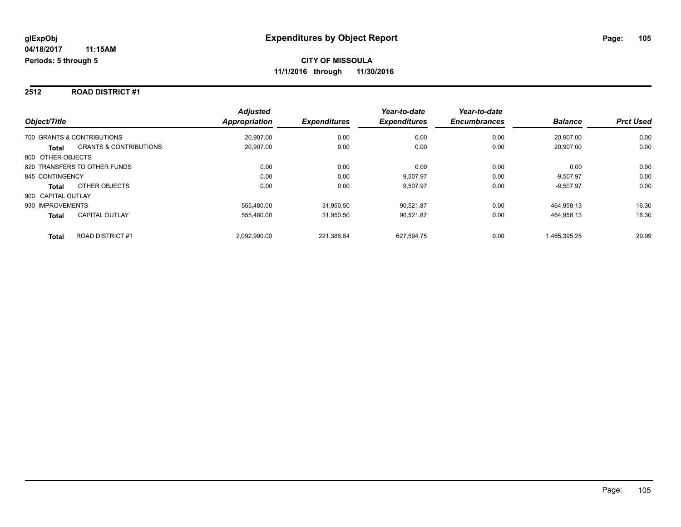### **2512 ROAD DISTRICT #1**

|                    |                                   | <b>Adjusted</b>      |                     | Year-to-date        | Year-to-date        |                |                  |
|--------------------|-----------------------------------|----------------------|---------------------|---------------------|---------------------|----------------|------------------|
| Object/Title       |                                   | <b>Appropriation</b> | <b>Expenditures</b> | <b>Expenditures</b> | <b>Encumbrances</b> | <b>Balance</b> | <b>Prct Used</b> |
|                    | 700 GRANTS & CONTRIBUTIONS        | 20.907.00            | 0.00                | 0.00                | 0.00                | 20.907.00      | 0.00             |
| <b>Total</b>       | <b>GRANTS &amp; CONTRIBUTIONS</b> | 20.907.00            | 0.00                | 0.00                | 0.00                | 20.907.00      | 0.00             |
| 800 OTHER OBJECTS  |                                   |                      |                     |                     |                     |                |                  |
|                    | 820 TRANSFERS TO OTHER FUNDS      | 0.00                 | 0.00                | 0.00                | 0.00                | 0.00           | 0.00             |
| 845 CONTINGENCY    |                                   | 0.00                 | 0.00                | 9,507.97            | 0.00                | $-9.507.97$    | 0.00             |
| <b>Total</b>       | OTHER OBJECTS                     | 0.00                 | 0.00                | 9,507.97            | 0.00                | $-9,507.97$    | 0.00             |
| 900 CAPITAL OUTLAY |                                   |                      |                     |                     |                     |                |                  |
| 930 IMPROVEMENTS   |                                   | 555.480.00           | 31,950.50           | 90,521.87           | 0.00                | 464.958.13     | 16.30            |
| <b>Total</b>       | <b>CAPITAL OUTLAY</b>             | 555.480.00           | 31,950.50           | 90,521.87           | 0.00                | 464,958.13     | 16.30            |
| <b>Total</b>       | <b>ROAD DISTRICT#1</b>            | 2,092,990.00         | 221.386.64          | 627,594.75          | 0.00                | 1,465,395.25   | 29.99            |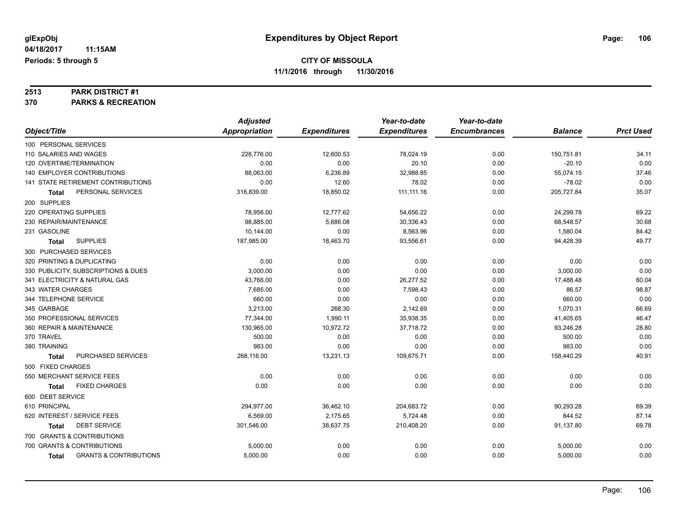# **2513 PARK DISTRICT #1**

**370 PARKS & RECREATION**

|                                            | <b>Adjusted</b> |                     | Year-to-date        | Year-to-date        |                |                  |
|--------------------------------------------|-----------------|---------------------|---------------------|---------------------|----------------|------------------|
| Object/Title                               | Appropriation   | <b>Expenditures</b> | <b>Expenditures</b> | <b>Encumbrances</b> | <b>Balance</b> | <b>Prct Used</b> |
| 100 PERSONAL SERVICES                      |                 |                     |                     |                     |                |                  |
| 110 SALARIES AND WAGES                     | 228,776.00      | 12,600.53           | 78,024.19           | 0.00                | 150,751.81     | 34.11            |
| 120 OVERTIME/TERMINATION                   | 0.00            | 0.00                | 20.10               | 0.00                | $-20.10$       | 0.00             |
| <b>140 EMPLOYER CONTRIBUTIONS</b>          | 88,063.00       | 6,236.89            | 32,988.85           | 0.00                | 55,074.15      | 37.46            |
| 141 STATE RETIREMENT CONTRIBUTIONS         | 0.00            | 12.60               | 78.02               | 0.00                | $-78.02$       | 0.00             |
| PERSONAL SERVICES<br>Total                 | 316,839.00      | 18,850.02           | 111, 111. 16        | 0.00                | 205,727.84     | 35.07            |
| 200 SUPPLIES                               |                 |                     |                     |                     |                |                  |
| 220 OPERATING SUPPLIES                     | 78,956.00       | 12,777.62           | 54,656.22           | 0.00                | 24,299.78      | 69.22            |
| 230 REPAIR/MAINTENANCE                     | 98.885.00       | 5,686.08            | 30,336.43           | 0.00                | 68,548.57      | 30.68            |
| 231 GASOLINE                               | 10,144.00       | 0.00                | 8,563.96            | 0.00                | 1,580.04       | 84.42            |
| <b>SUPPLIES</b><br><b>Total</b>            | 187,985.00      | 18,463.70           | 93,556.61           | 0.00                | 94,428.39      | 49.77            |
| 300 PURCHASED SERVICES                     |                 |                     |                     |                     |                |                  |
| 320 PRINTING & DUPLICATING                 | 0.00            | 0.00                | 0.00                | 0.00                | 0.00           | 0.00             |
| 330 PUBLICITY, SUBSCRIPTIONS & DUES        | 3,000.00        | 0.00                | 0.00                | 0.00                | 3,000.00       | 0.00             |
| 341 ELECTRICITY & NATURAL GAS              | 43,766.00       | 0.00                | 26,277.52           | 0.00                | 17,488.48      | 60.04            |
| 343 WATER CHARGES                          | 7,685.00        | 0.00                | 7,598.43            | 0.00                | 86.57          | 98.87            |
| 344 TELEPHONE SERVICE                      | 660.00          | 0.00                | 0.00                | 0.00                | 660.00         | 0.00             |
| 345 GARBAGE                                | 3,213.00        | 268.30              | 2,142.69            | 0.00                | 1,070.31       | 66.69            |
| 350 PROFESSIONAL SERVICES                  | 77,344.00       | 1,990.11            | 35,938.35           | 0.00                | 41,405.65      | 46.47            |
| 360 REPAIR & MAINTENANCE                   | 130,965.00      | 10,972.72           | 37,718.72           | 0.00                | 93,246.28      | 28.80            |
| 370 TRAVEL                                 | 500.00          | 0.00                | 0.00                | 0.00                | 500.00         | 0.00             |
| 380 TRAINING                               | 983.00          | 0.00                | 0.00                | 0.00                | 983.00         | 0.00             |
| PURCHASED SERVICES<br><b>Total</b>         | 268,116.00      | 13,231.13           | 109,675.71          | 0.00                | 158,440.29     | 40.91            |
| 500 FIXED CHARGES                          |                 |                     |                     |                     |                |                  |
| 550 MERCHANT SERVICE FEES                  | 0.00            | 0.00                | 0.00                | 0.00                | 0.00           | 0.00             |
| <b>FIXED CHARGES</b><br><b>Total</b>       | 0.00            | 0.00                | 0.00                | 0.00                | 0.00           | 0.00             |
| 600 DEBT SERVICE                           |                 |                     |                     |                     |                |                  |
| 610 PRINCIPAL                              | 294,977.00      | 36,462.10           | 204,683.72          | 0.00                | 90,293.28      | 69.39            |
| 620 INTEREST / SERVICE FEES                | 6,569.00        | 2,175.65            | 5,724.48            | 0.00                | 844.52         | 87.14            |
| <b>DEBT SERVICE</b><br>Total               | 301,546.00      | 38,637.75           | 210,408.20          | 0.00                | 91,137.80      | 69.78            |
| 700 GRANTS & CONTRIBUTIONS                 |                 |                     |                     |                     |                |                  |
| 700 GRANTS & CONTRIBUTIONS                 | 5,000.00        | 0.00                | 0.00                | 0.00                | 5,000.00       | 0.00             |
| <b>GRANTS &amp; CONTRIBUTIONS</b><br>Total | 5,000.00        | 0.00                | 0.00                | 0.00                | 5,000.00       | 0.00             |
|                                            |                 |                     |                     |                     |                |                  |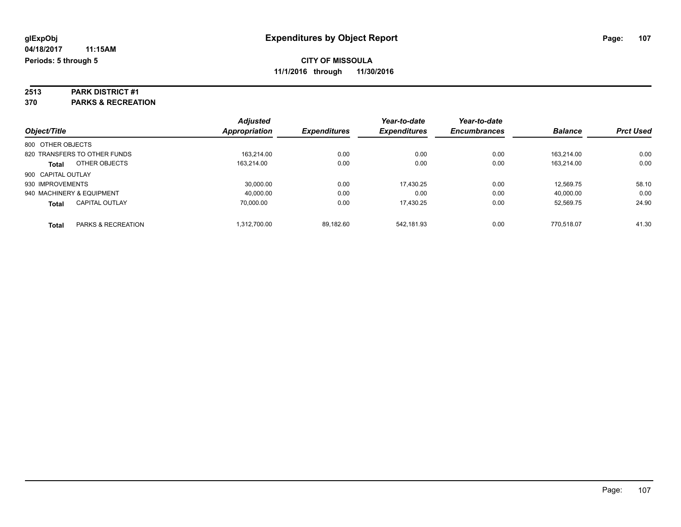# **2513 PARK DISTRICT #1**

**370 PARKS & RECREATION**

|                           |                               | <b>Adjusted</b> |                     | Year-to-date        | Year-to-date        |                |                  |
|---------------------------|-------------------------------|-----------------|---------------------|---------------------|---------------------|----------------|------------------|
| Object/Title              |                               | Appropriation   | <b>Expenditures</b> | <b>Expenditures</b> | <b>Encumbrances</b> | <b>Balance</b> | <b>Prct Used</b> |
| 800 OTHER OBJECTS         |                               |                 |                     |                     |                     |                |                  |
|                           | 820 TRANSFERS TO OTHER FUNDS  | 163.214.00      | 0.00                | 0.00                | 0.00                | 163.214.00     | 0.00             |
| <b>Total</b>              | OTHER OBJECTS                 | 163.214.00      | 0.00                | 0.00                | 0.00                | 163.214.00     | 0.00             |
| 900 CAPITAL OUTLAY        |                               |                 |                     |                     |                     |                |                  |
| 930 IMPROVEMENTS          |                               | 30.000.00       | 0.00                | 17.430.25           | 0.00                | 12.569.75      | 58.10            |
| 940 MACHINERY & EQUIPMENT |                               | 40,000.00       | 0.00                | 0.00                | 0.00                | 40,000.00      | 0.00             |
| <b>Total</b>              | <b>CAPITAL OUTLAY</b>         | 70.000.00       | 0.00                | 17.430.25           | 0.00                | 52.569.75      | 24.90            |
| <b>Total</b>              | <b>PARKS &amp; RECREATION</b> | 1,312,700.00    | 89.182.60           | 542.181.93          | 0.00                | 770.518.07     | 41.30            |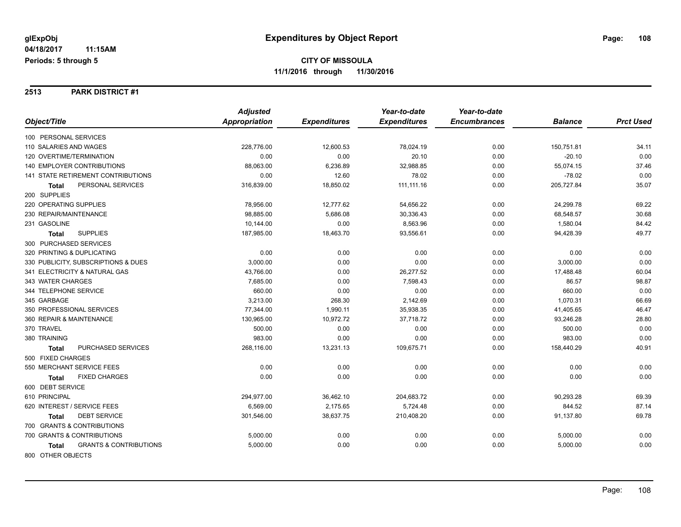#### **2513 PARK DISTRICT #1**

|                                                   | <b>Adjusted</b>      |                     | Year-to-date        | Year-to-date        |                |                  |
|---------------------------------------------------|----------------------|---------------------|---------------------|---------------------|----------------|------------------|
| Object/Title                                      | <b>Appropriation</b> | <b>Expenditures</b> | <b>Expenditures</b> | <b>Encumbrances</b> | <b>Balance</b> | <b>Prct Used</b> |
| 100 PERSONAL SERVICES                             |                      |                     |                     |                     |                |                  |
| 110 SALARIES AND WAGES                            | 228,776.00           | 12,600.53           | 78,024.19           | 0.00                | 150,751.81     | 34.11            |
| 120 OVERTIME/TERMINATION                          | 0.00                 | 0.00                | 20.10               | 0.00                | $-20.10$       | 0.00             |
| <b>140 EMPLOYER CONTRIBUTIONS</b>                 | 88,063.00            | 6,236.89            | 32,988.85           | 0.00                | 55,074.15      | 37.46            |
| <b>141 STATE RETIREMENT CONTRIBUTIONS</b>         | 0.00                 | 12.60               | 78.02               | 0.00                | $-78.02$       | 0.00             |
| PERSONAL SERVICES<br><b>Total</b>                 | 316,839.00           | 18,850.02           | 111, 111. 16        | 0.00                | 205,727.84     | 35.07            |
| 200 SUPPLIES                                      |                      |                     |                     |                     |                |                  |
| 220 OPERATING SUPPLIES                            | 78,956.00            | 12,777.62           | 54,656.22           | 0.00                | 24,299.78      | 69.22            |
| 230 REPAIR/MAINTENANCE                            | 98,885.00            | 5,686.08            | 30,336.43           | 0.00                | 68,548.57      | 30.68            |
| 231 GASOLINE                                      | 10,144.00            | 0.00                | 8,563.96            | 0.00                | 1,580.04       | 84.42            |
| <b>SUPPLIES</b><br>Total                          | 187,985.00           | 18,463.70           | 93,556.61           | 0.00                | 94,428.39      | 49.77            |
| 300 PURCHASED SERVICES                            |                      |                     |                     |                     |                |                  |
| 320 PRINTING & DUPLICATING                        | 0.00                 | 0.00                | 0.00                | 0.00                | 0.00           | 0.00             |
| 330 PUBLICITY, SUBSCRIPTIONS & DUES               | 3,000.00             | 0.00                | 0.00                | 0.00                | 3,000.00       | 0.00             |
| 341 ELECTRICITY & NATURAL GAS                     | 43,766.00            | 0.00                | 26,277.52           | 0.00                | 17,488.48      | 60.04            |
| 343 WATER CHARGES                                 | 7,685.00             | 0.00                | 7,598.43            | 0.00                | 86.57          | 98.87            |
| 344 TELEPHONE SERVICE                             | 660.00               | 0.00                | 0.00                | 0.00                | 660.00         | 0.00             |
| 345 GARBAGE                                       | 3,213.00             | 268.30              | 2,142.69            | 0.00                | 1,070.31       | 66.69            |
| 350 PROFESSIONAL SERVICES                         | 77,344.00            | 1,990.11            | 35,938.35           | 0.00                | 41,405.65      | 46.47            |
| 360 REPAIR & MAINTENANCE                          | 130,965.00           | 10,972.72           | 37,718.72           | 0.00                | 93,246.28      | 28.80            |
| 370 TRAVEL                                        | 500.00               | 0.00                | 0.00                | 0.00                | 500.00         | 0.00             |
| 380 TRAINING                                      | 983.00               | 0.00                | 0.00                | 0.00                | 983.00         | 0.00             |
| PURCHASED SERVICES<br><b>Total</b>                | 268,116.00           | 13,231.13           | 109,675.71          | 0.00                | 158,440.29     | 40.91            |
| 500 FIXED CHARGES                                 |                      |                     |                     |                     |                |                  |
| 550 MERCHANT SERVICE FEES                         | 0.00                 | 0.00                | 0.00                | 0.00                | 0.00           | 0.00             |
| <b>FIXED CHARGES</b><br><b>Total</b>              | 0.00                 | 0.00                | 0.00                | 0.00                | 0.00           | 0.00             |
| 600 DEBT SERVICE                                  |                      |                     |                     |                     |                |                  |
| 610 PRINCIPAL                                     | 294,977.00           | 36,462.10           | 204,683.72          | 0.00                | 90,293.28      | 69.39            |
| 620 INTEREST / SERVICE FEES                       | 6,569.00             | 2,175.65            | 5,724.48            | 0.00                | 844.52         | 87.14            |
| <b>DEBT SERVICE</b><br><b>Total</b>               | 301,546.00           | 38,637.75           | 210,408.20          | 0.00                | 91,137.80      | 69.78            |
| 700 GRANTS & CONTRIBUTIONS                        |                      |                     |                     |                     |                |                  |
| 700 GRANTS & CONTRIBUTIONS                        | 5,000.00             | 0.00                | 0.00                | 0.00                | 5,000.00       | 0.00             |
| <b>GRANTS &amp; CONTRIBUTIONS</b><br><b>Total</b> | 5,000.00             | 0.00                | 0.00                | 0.00                | 5,000.00       | 0.00             |
| 800 OTHER OBJECTS                                 |                      |                     |                     |                     |                |                  |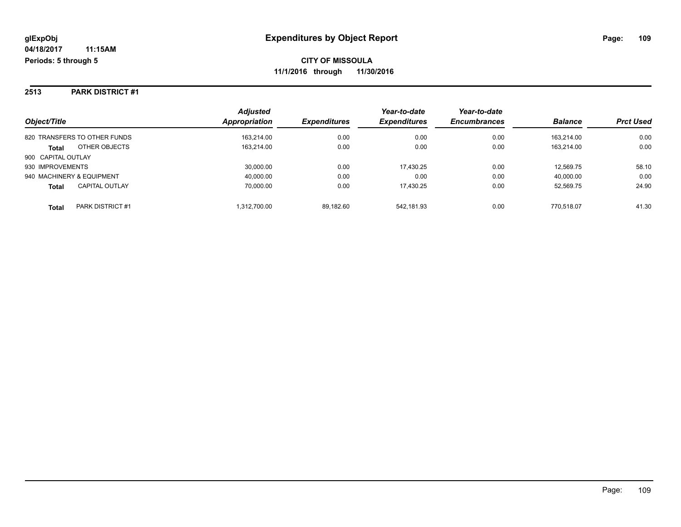#### **2513 PARK DISTRICT #1**

|                                       | <b>Adjusted</b><br><b>Appropriation</b> |                     | Year-to-date<br><b>Expenditures</b> | Year-to-date<br><b>Encumbrances</b> | <b>Balance</b> |                  |
|---------------------------------------|-----------------------------------------|---------------------|-------------------------------------|-------------------------------------|----------------|------------------|
| Object/Title                          |                                         | <b>Expenditures</b> |                                     |                                     |                | <b>Prct Used</b> |
| 820 TRANSFERS TO OTHER FUNDS          | 163.214.00                              | 0.00                | 0.00                                | 0.00                                | 163.214.00     | 0.00             |
| OTHER OBJECTS<br><b>Total</b>         | 163,214.00                              | 0.00                | 0.00                                | 0.00                                | 163.214.00     | 0.00             |
| 900 CAPITAL OUTLAY                    |                                         |                     |                                     |                                     |                |                  |
| 930 IMPROVEMENTS                      | 30,000.00                               | 0.00                | 17,430.25                           | 0.00                                | 12.569.75      | 58.10            |
| 940 MACHINERY & EQUIPMENT             | 40,000.00                               | 0.00                | 0.00                                | 0.00                                | 40,000.00      | 0.00             |
| <b>CAPITAL OUTLAY</b><br><b>Total</b> | 70,000.00                               | 0.00                | 17.430.25                           | 0.00                                | 52,569.75      | 24.90            |
| PARK DISTRICT #1<br><b>Total</b>      | 1,312,700.00                            | 89,182.60           | 542.181.93                          | 0.00                                | 770.518.07     | 41.30            |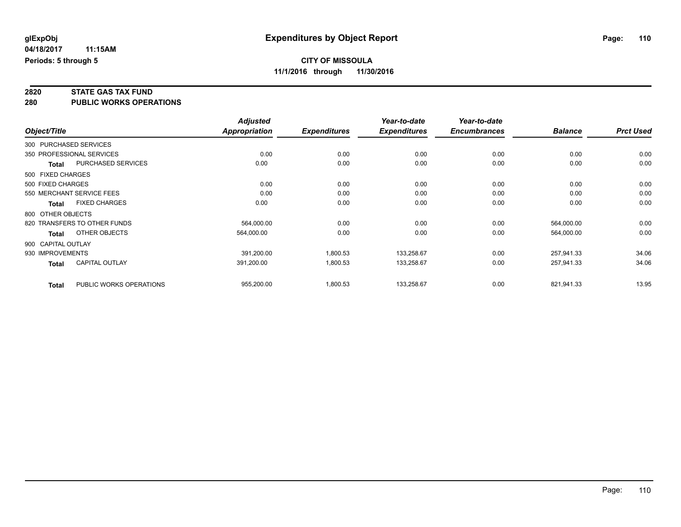# **2820 STATE GAS TAX FUND**

**280 PUBLIC WORKS OPERATIONS**

|                    |                              | <b>Adjusted</b>      |                     | Year-to-date        | Year-to-date        |                |                  |
|--------------------|------------------------------|----------------------|---------------------|---------------------|---------------------|----------------|------------------|
| Object/Title       |                              | <b>Appropriation</b> | <b>Expenditures</b> | <b>Expenditures</b> | <b>Encumbrances</b> | <b>Balance</b> | <b>Prct Used</b> |
|                    | 300 PURCHASED SERVICES       |                      |                     |                     |                     |                |                  |
|                    | 350 PROFESSIONAL SERVICES    | 0.00                 | 0.00                | 0.00                | 0.00                | 0.00           | 0.00             |
| <b>Total</b>       | <b>PURCHASED SERVICES</b>    | 0.00                 | 0.00                | 0.00                | 0.00                | 0.00           | 0.00             |
| 500 FIXED CHARGES  |                              |                      |                     |                     |                     |                |                  |
| 500 FIXED CHARGES  |                              | 0.00                 | 0.00                | 0.00                | 0.00                | 0.00           | 0.00             |
|                    | 550 MERCHANT SERVICE FEES    | 0.00                 | 0.00                | 0.00                | 0.00                | 0.00           | 0.00             |
| <b>Total</b>       | <b>FIXED CHARGES</b>         | 0.00                 | 0.00                | 0.00                | 0.00                | 0.00           | 0.00             |
| 800 OTHER OBJECTS  |                              |                      |                     |                     |                     |                |                  |
|                    | 820 TRANSFERS TO OTHER FUNDS | 564,000.00           | 0.00                | 0.00                | 0.00                | 564,000.00     | 0.00             |
| <b>Total</b>       | OTHER OBJECTS                | 564,000.00           | 0.00                | 0.00                | 0.00                | 564,000.00     | 0.00             |
| 900 CAPITAL OUTLAY |                              |                      |                     |                     |                     |                |                  |
| 930 IMPROVEMENTS   |                              | 391,200.00           | 1,800.53            | 133,258.67          | 0.00                | 257,941.33     | 34.06            |
| <b>Total</b>       | CAPITAL OUTLAY               | 391,200.00           | 1,800.53            | 133,258.67          | 0.00                | 257,941.33     | 34.06            |
| <b>Total</b>       | PUBLIC WORKS OPERATIONS      | 955,200.00           | 1,800.53            | 133,258.67          | 0.00                | 821,941.33     | 13.95            |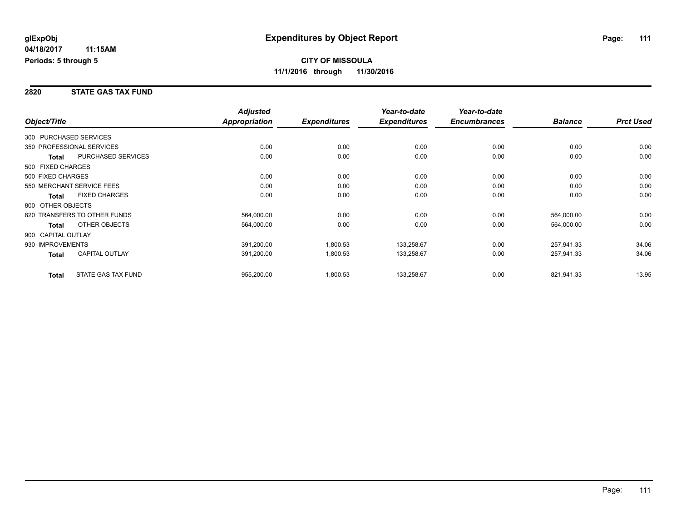#### **2820 STATE GAS TAX FUND**

|                        |                              | <b>Adjusted</b> |                     | Year-to-date        | Year-to-date        |                |                  |
|------------------------|------------------------------|-----------------|---------------------|---------------------|---------------------|----------------|------------------|
| Object/Title           |                              | Appropriation   | <b>Expenditures</b> | <b>Expenditures</b> | <b>Encumbrances</b> | <b>Balance</b> | <b>Prct Used</b> |
| 300 PURCHASED SERVICES |                              |                 |                     |                     |                     |                |                  |
|                        | 350 PROFESSIONAL SERVICES    | 0.00            | 0.00                | 0.00                | 0.00                | 0.00           | 0.00             |
| <b>Total</b>           | <b>PURCHASED SERVICES</b>    | 0.00            | 0.00                | 0.00                | 0.00                | 0.00           | 0.00             |
| 500 FIXED CHARGES      |                              |                 |                     |                     |                     |                |                  |
| 500 FIXED CHARGES      |                              | 0.00            | 0.00                | 0.00                | 0.00                | 0.00           | 0.00             |
|                        | 550 MERCHANT SERVICE FEES    | 0.00            | 0.00                | 0.00                | 0.00                | 0.00           | 0.00             |
| <b>Total</b>           | <b>FIXED CHARGES</b>         | 0.00            | 0.00                | 0.00                | 0.00                | 0.00           | 0.00             |
| 800 OTHER OBJECTS      |                              |                 |                     |                     |                     |                |                  |
|                        | 820 TRANSFERS TO OTHER FUNDS | 564,000.00      | 0.00                | 0.00                | 0.00                | 564,000.00     | 0.00             |
| <b>Total</b>           | OTHER OBJECTS                | 564,000.00      | 0.00                | 0.00                | 0.00                | 564,000.00     | 0.00             |
| 900 CAPITAL OUTLAY     |                              |                 |                     |                     |                     |                |                  |
| 930 IMPROVEMENTS       |                              | 391,200.00      | 1,800.53            | 133,258.67          | 0.00                | 257,941.33     | 34.06            |
| Total                  | <b>CAPITAL OUTLAY</b>        | 391,200.00      | 1,800.53            | 133,258.67          | 0.00                | 257,941.33     | 34.06            |
| <b>Total</b>           | STATE GAS TAX FUND           | 955,200.00      | 1,800.53            | 133,258.67          | 0.00                | 821,941.33     | 13.95            |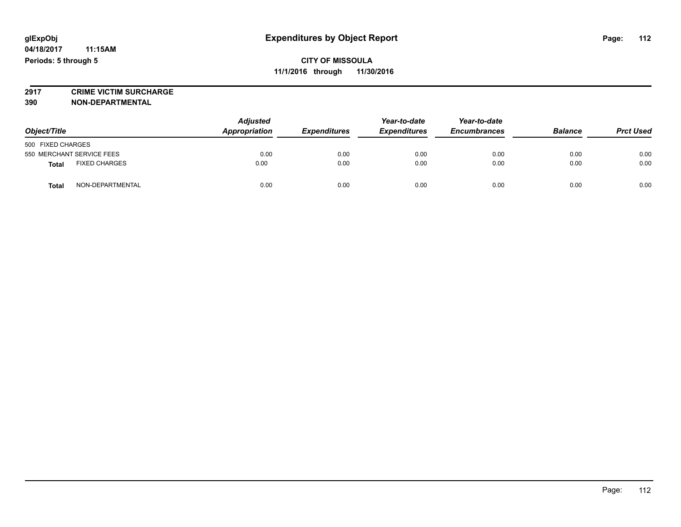**2917 CRIME VICTIM SURCHARGE**

**390 NON-DEPARTMENTAL**

| Object/Title                         | <b>Adjusted</b><br>Appropriation | <b>Expenditures</b> | Year-to-date<br><b>Expenditures</b> | Year-to-date<br><b>Encumbrances</b> | <b>Balance</b> | <b>Prct Used</b> |
|--------------------------------------|----------------------------------|---------------------|-------------------------------------|-------------------------------------|----------------|------------------|
| 500 FIXED CHARGES                    |                                  |                     |                                     |                                     |                |                  |
| 550 MERCHANT SERVICE FEES            | 0.00                             | 0.00                | 0.00                                | 0.00                                | 0.00           | 0.00             |
| <b>FIXED CHARGES</b><br><b>Total</b> | 0.00                             | 0.00                | 0.00                                | 0.00                                | 0.00           | 0.00             |
| NON-DEPARTMENTAL<br>Total            | 0.00                             | 0.00                | 0.00                                | 0.00                                | 0.00           | 0.00             |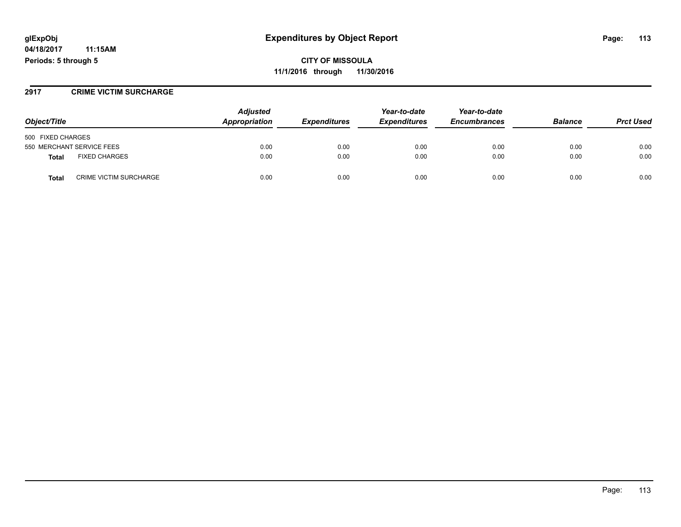**04/18/2017 11:15AM Periods: 5 through 5**

**CITY OF MISSOULA 11/1/2016 through 11/30/2016**

#### **2917 CRIME VICTIM SURCHARGE**

|                                               | <b>Adjusted</b><br>Appropriation |                     | Year-to-date        | Year-to-date        | <b>Balance</b> | <b>Prct Used</b> |
|-----------------------------------------------|----------------------------------|---------------------|---------------------|---------------------|----------------|------------------|
| Object/Title                                  |                                  | <b>Expenditures</b> | <b>Expenditures</b> | <b>Encumbrances</b> |                |                  |
| 500 FIXED CHARGES                             |                                  |                     |                     |                     |                |                  |
| 550 MERCHANT SERVICE FEES                     | 0.00                             | 0.00                | 0.00                | 0.00                | 0.00           | 0.00             |
| <b>FIXED CHARGES</b><br>Total                 | 0.00                             | 0.00                | 0.00                | 0.00                | 0.00           | 0.00             |
| <b>CRIME VICTIM SURCHARGE</b><br><b>Total</b> | 0.00                             | 0.00                | 0.00                | 0.00                | 0.00           | 0.00             |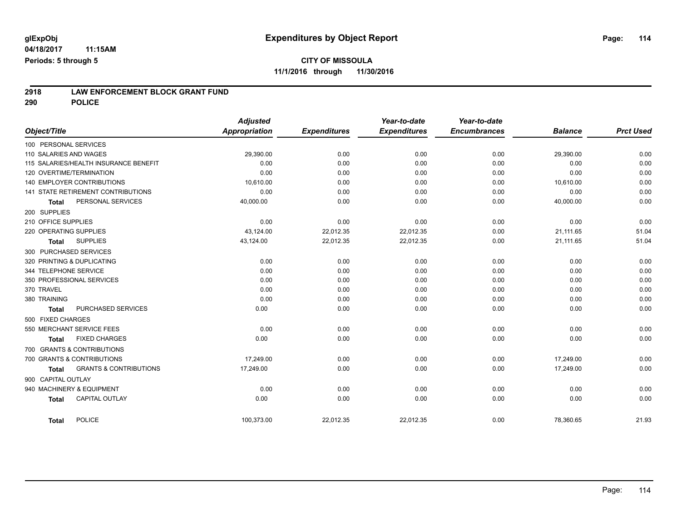# **2918 LAW ENFORCEMENT BLOCK GRANT FUND**

**290 POLICE**

| Object/Title               |                                       | <b>Adjusted</b><br><b>Appropriation</b> | <b>Expenditures</b> | Year-to-date<br><b>Expenditures</b> | Year-to-date<br><b>Encumbrances</b> | <b>Balance</b> | <b>Prct Used</b> |
|----------------------------|---------------------------------------|-----------------------------------------|---------------------|-------------------------------------|-------------------------------------|----------------|------------------|
| 100 PERSONAL SERVICES      |                                       |                                         |                     |                                     |                                     |                |                  |
| 110 SALARIES AND WAGES     |                                       | 29,390.00                               | 0.00                | 0.00                                | 0.00                                | 29,390.00      | 0.00             |
|                            | 115 SALARIES/HEALTH INSURANCE BENEFIT | 0.00                                    | 0.00                | 0.00                                | 0.00                                | 0.00           | 0.00             |
| 120 OVERTIME/TERMINATION   |                                       | 0.00                                    | 0.00                | 0.00                                | 0.00                                | 0.00           | 0.00             |
|                            | 140 EMPLOYER CONTRIBUTIONS            | 10,610.00                               | 0.00                | 0.00                                | 0.00                                | 10,610.00      | 0.00             |
|                            | 141 STATE RETIREMENT CONTRIBUTIONS    | 0.00                                    | 0.00                | 0.00                                | 0.00                                | 0.00           | 0.00             |
| <b>Total</b>               | PERSONAL SERVICES                     | 40,000.00                               | 0.00                | 0.00                                | 0.00                                | 40,000.00      | 0.00             |
| 200 SUPPLIES               |                                       |                                         |                     |                                     |                                     |                |                  |
| 210 OFFICE SUPPLIES        |                                       | 0.00                                    | 0.00                | 0.00                                | 0.00                                | 0.00           | 0.00             |
| 220 OPERATING SUPPLIES     |                                       | 43,124.00                               | 22,012.35           | 22,012.35                           | 0.00                                | 21,111.65      | 51.04            |
| <b>Total</b>               | <b>SUPPLIES</b>                       | 43,124.00                               | 22,012.35           | 22,012.35                           | 0.00                                | 21,111.65      | 51.04            |
| 300 PURCHASED SERVICES     |                                       |                                         |                     |                                     |                                     |                |                  |
| 320 PRINTING & DUPLICATING |                                       | 0.00                                    | 0.00                | 0.00                                | 0.00                                | 0.00           | 0.00             |
| 344 TELEPHONE SERVICE      |                                       | 0.00                                    | 0.00                | 0.00                                | 0.00                                | 0.00           | 0.00             |
| 350 PROFESSIONAL SERVICES  |                                       | 0.00                                    | 0.00                | 0.00                                | 0.00                                | 0.00           | 0.00             |
| 370 TRAVEL                 |                                       | 0.00                                    | 0.00                | 0.00                                | 0.00                                | 0.00           | 0.00             |
| 380 TRAINING               |                                       | 0.00                                    | 0.00                | 0.00                                | 0.00                                | 0.00           | 0.00             |
| <b>Total</b>               | <b>PURCHASED SERVICES</b>             | 0.00                                    | 0.00                | 0.00                                | 0.00                                | 0.00           | 0.00             |
| 500 FIXED CHARGES          |                                       |                                         |                     |                                     |                                     |                |                  |
| 550 MERCHANT SERVICE FEES  |                                       | 0.00                                    | 0.00                | 0.00                                | 0.00                                | 0.00           | 0.00             |
| <b>Total</b>               | <b>FIXED CHARGES</b>                  | 0.00                                    | 0.00                | 0.00                                | 0.00                                | 0.00           | 0.00             |
| 700 GRANTS & CONTRIBUTIONS |                                       |                                         |                     |                                     |                                     |                |                  |
| 700 GRANTS & CONTRIBUTIONS |                                       | 17.249.00                               | 0.00                | 0.00                                | 0.00                                | 17.249.00      | 0.00             |
| <b>Total</b>               | <b>GRANTS &amp; CONTRIBUTIONS</b>     | 17,249.00                               | 0.00                | 0.00                                | 0.00                                | 17,249.00      | 0.00             |
| 900 CAPITAL OUTLAY         |                                       |                                         |                     |                                     |                                     |                |                  |
| 940 MACHINERY & EQUIPMENT  |                                       | 0.00                                    | 0.00                | 0.00                                | 0.00                                | 0.00           | 0.00             |
| <b>Total</b>               | <b>CAPITAL OUTLAY</b>                 | 0.00                                    | 0.00                | 0.00                                | 0.00                                | 0.00           | 0.00             |
| <b>Total</b>               | <b>POLICE</b>                         | 100,373.00                              | 22,012.35           | 22,012.35                           | 0.00                                | 78,360.65      | 21.93            |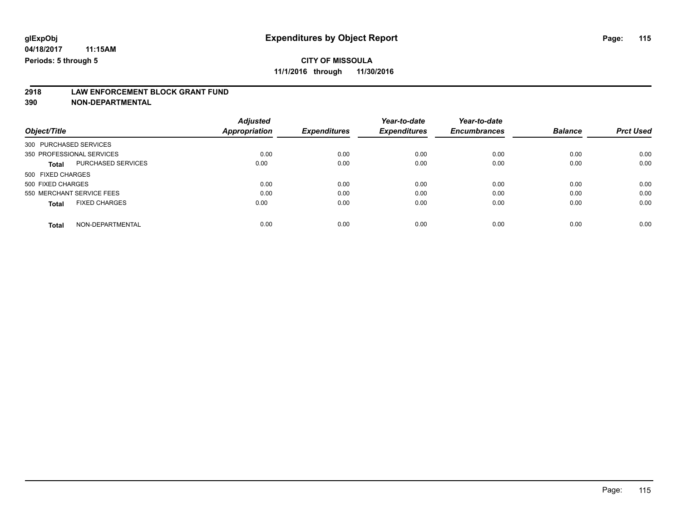# **2918 LAW ENFORCEMENT BLOCK GRANT FUND**

**390 NON-DEPARTMENTAL**

|                                           | <b>Adjusted</b>      |                     | Year-to-date        | Year-to-date        |                |                  |
|-------------------------------------------|----------------------|---------------------|---------------------|---------------------|----------------|------------------|
| Object/Title                              | <b>Appropriation</b> | <b>Expenditures</b> | <b>Expenditures</b> | <b>Encumbrances</b> | <b>Balance</b> | <b>Prct Used</b> |
| 300 PURCHASED SERVICES                    |                      |                     |                     |                     |                |                  |
| 350 PROFESSIONAL SERVICES                 | 0.00                 | 0.00                | 0.00                | 0.00                | 0.00           | 0.00             |
| <b>PURCHASED SERVICES</b><br><b>Total</b> | 0.00                 | 0.00                | 0.00                | 0.00                | 0.00           | 0.00             |
| 500 FIXED CHARGES                         |                      |                     |                     |                     |                |                  |
| 500 FIXED CHARGES                         | 0.00                 | 0.00                | 0.00                | 0.00                | 0.00           | 0.00             |
| 550 MERCHANT SERVICE FEES                 | 0.00                 | 0.00                | 0.00                | 0.00                | 0.00           | 0.00             |
| <b>FIXED CHARGES</b><br><b>Total</b>      | 0.00                 | 0.00                | 0.00                | 0.00                | 0.00           | 0.00             |
| NON-DEPARTMENTAL<br><b>Total</b>          | 0.00                 | 0.00                | 0.00                | 0.00                | 0.00           | 0.00             |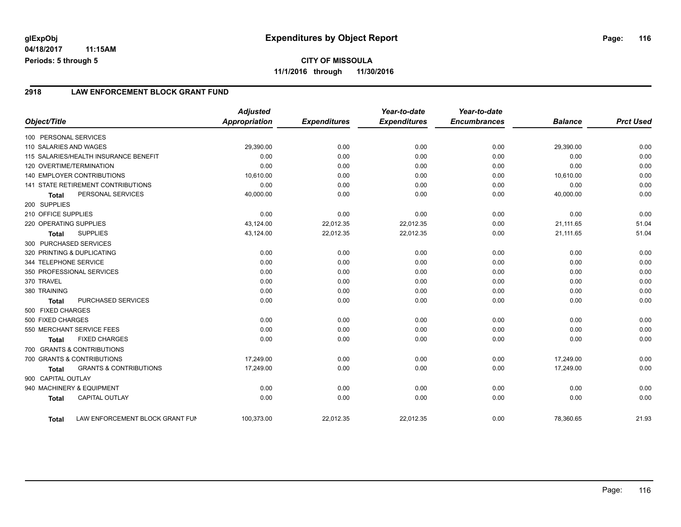#### **04/18/2017 11:15AM Periods: 5 through 5**

### **2918 LAW ENFORCEMENT BLOCK GRANT FUND**

|                        |                                           | <b>Adjusted</b>      |                     | Year-to-date        | Year-to-date        |                |                  |
|------------------------|-------------------------------------------|----------------------|---------------------|---------------------|---------------------|----------------|------------------|
| Object/Title           |                                           | <b>Appropriation</b> | <b>Expenditures</b> | <b>Expenditures</b> | <b>Encumbrances</b> | <b>Balance</b> | <b>Prct Used</b> |
| 100 PERSONAL SERVICES  |                                           |                      |                     |                     |                     |                |                  |
| 110 SALARIES AND WAGES |                                           | 29,390.00            | 0.00                | 0.00                | 0.00                | 29,390.00      | 0.00             |
|                        | 115 SALARIES/HEALTH INSURANCE BENEFIT     | 0.00                 | 0.00                | 0.00                | 0.00                | 0.00           | 0.00             |
|                        | 120 OVERTIME/TERMINATION                  | 0.00                 | 0.00                | 0.00                | 0.00                | 0.00           | 0.00             |
|                        | 140 EMPLOYER CONTRIBUTIONS                | 10,610.00            | 0.00                | 0.00                | 0.00                | 10,610.00      | 0.00             |
|                        | <b>141 STATE RETIREMENT CONTRIBUTIONS</b> | 0.00                 | 0.00                | 0.00                | 0.00                | 0.00           | 0.00             |
| <b>Total</b>           | PERSONAL SERVICES                         | 40,000.00            | 0.00                | 0.00                | 0.00                | 40,000.00      | 0.00             |
| 200 SUPPLIES           |                                           |                      |                     |                     |                     |                |                  |
| 210 OFFICE SUPPLIES    |                                           | 0.00                 | 0.00                | 0.00                | 0.00                | 0.00           | 0.00             |
| 220 OPERATING SUPPLIES |                                           | 43,124.00            | 22,012.35           | 22,012.35           | 0.00                | 21,111.65      | 51.04            |
| <b>Total</b>           | <b>SUPPLIES</b>                           | 43,124.00            | 22,012.35           | 22,012.35           | 0.00                | 21,111.65      | 51.04            |
| 300 PURCHASED SERVICES |                                           |                      |                     |                     |                     |                |                  |
|                        | 320 PRINTING & DUPLICATING                | 0.00                 | 0.00                | 0.00                | 0.00                | 0.00           | 0.00             |
| 344 TELEPHONE SERVICE  |                                           | 0.00                 | 0.00                | 0.00                | 0.00                | 0.00           | 0.00             |
|                        | 350 PROFESSIONAL SERVICES                 | 0.00                 | 0.00                | 0.00                | 0.00                | 0.00           | 0.00             |
| 370 TRAVEL             |                                           | 0.00                 | 0.00                | 0.00                | 0.00                | 0.00           | 0.00             |
| 380 TRAINING           |                                           | 0.00                 | 0.00                | 0.00                | 0.00                | 0.00           | 0.00             |
| <b>Total</b>           | <b>PURCHASED SERVICES</b>                 | 0.00                 | 0.00                | 0.00                | 0.00                | 0.00           | 0.00             |
| 500 FIXED CHARGES      |                                           |                      |                     |                     |                     |                |                  |
| 500 FIXED CHARGES      |                                           | 0.00                 | 0.00                | 0.00                | 0.00                | 0.00           | 0.00             |
|                        | 550 MERCHANT SERVICE FEES                 | 0.00                 | 0.00                | 0.00                | 0.00                | 0.00           | 0.00             |
| Total                  | <b>FIXED CHARGES</b>                      | 0.00                 | 0.00                | 0.00                | 0.00                | 0.00           | 0.00             |
|                        | 700 GRANTS & CONTRIBUTIONS                |                      |                     |                     |                     |                |                  |
|                        | 700 GRANTS & CONTRIBUTIONS                | 17.249.00            | 0.00                | 0.00                | 0.00                | 17,249.00      | 0.00             |
| <b>Total</b>           | <b>GRANTS &amp; CONTRIBUTIONS</b>         | 17,249.00            | 0.00                | 0.00                | 0.00                | 17,249.00      | 0.00             |
| 900 CAPITAL OUTLAY     |                                           |                      |                     |                     |                     |                |                  |
|                        | 940 MACHINERY & EQUIPMENT                 | 0.00                 | 0.00                | 0.00                | 0.00                | 0.00           | 0.00             |
| <b>Total</b>           | <b>CAPITAL OUTLAY</b>                     | 0.00                 | 0.00                | 0.00                | 0.00                | 0.00           | 0.00             |
| <b>Total</b>           | LAW ENFORCEMENT BLOCK GRANT FUN           | 100,373.00           | 22,012.35           | 22,012.35           | 0.00                | 78,360.65      | 21.93            |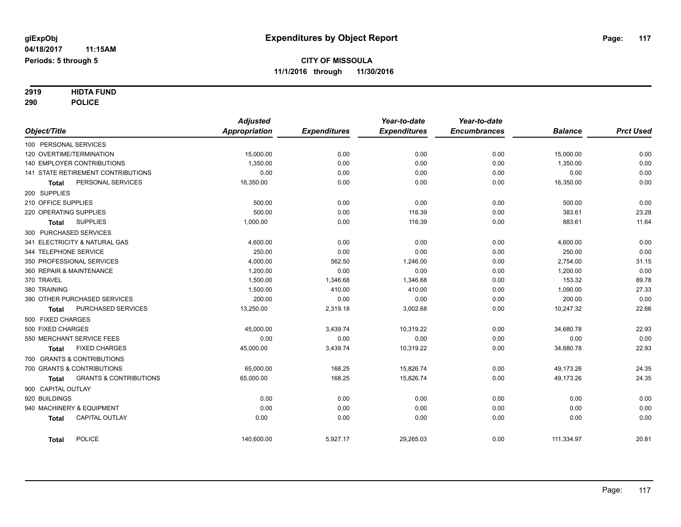# **2919 HIDTA FUND**

**290 POLICE**

|                                            | <b>Adjusted</b> |                     | Year-to-date        | Year-to-date        |                |                  |
|--------------------------------------------|-----------------|---------------------|---------------------|---------------------|----------------|------------------|
| Object/Title                               | Appropriation   | <b>Expenditures</b> | <b>Expenditures</b> | <b>Encumbrances</b> | <b>Balance</b> | <b>Prct Used</b> |
| 100 PERSONAL SERVICES                      |                 |                     |                     |                     |                |                  |
| 120 OVERTIME/TERMINATION                   | 15,000.00       | 0.00                | 0.00                | 0.00                | 15,000.00      | 0.00             |
| <b>140 EMPLOYER CONTRIBUTIONS</b>          | 1,350.00        | 0.00                | 0.00                | 0.00                | 1,350.00       | 0.00             |
| 141 STATE RETIREMENT CONTRIBUTIONS         | 0.00            | 0.00                | 0.00                | 0.00                | 0.00           | 0.00             |
| PERSONAL SERVICES<br><b>Total</b>          | 16,350.00       | 0.00                | 0.00                | 0.00                | 16,350.00      | 0.00             |
| 200 SUPPLIES                               |                 |                     |                     |                     |                |                  |
| 210 OFFICE SUPPLIES                        | 500.00          | 0.00                | 0.00                | 0.00                | 500.00         | 0.00             |
| 220 OPERATING SUPPLIES                     | 500.00          | 0.00                | 116.39              | 0.00                | 383.61         | 23.28            |
| <b>SUPPLIES</b><br><b>Total</b>            | 1,000.00        | 0.00                | 116.39              | 0.00                | 883.61         | 11.64            |
| 300 PURCHASED SERVICES                     |                 |                     |                     |                     |                |                  |
| 341 ELECTRICITY & NATURAL GAS              | 4,600.00        | 0.00                | 0.00                | 0.00                | 4,600.00       | 0.00             |
| 344 TELEPHONE SERVICE                      | 250.00          | 0.00                | 0.00                | 0.00                | 250.00         | 0.00             |
| 350 PROFESSIONAL SERVICES                  | 4,000.00        | 562.50              | 1,246.00            | 0.00                | 2,754.00       | 31.15            |
| 360 REPAIR & MAINTENANCE                   | 1,200.00        | 0.00                | 0.00                | 0.00                | 1,200.00       | 0.00             |
| 370 TRAVEL                                 | 1,500.00        | 1,346.68            | 1,346.68            | 0.00                | 153.32         | 89.78            |
| 380 TRAINING                               | 1,500.00        | 410.00              | 410.00              | 0.00                | 1,090.00       | 27.33            |
| 390 OTHER PURCHASED SERVICES               | 200.00          | 0.00                | 0.00                | 0.00                | 200.00         | 0.00             |
| PURCHASED SERVICES<br>Total                | 13,250.00       | 2,319.18            | 3,002.68            | 0.00                | 10,247.32      | 22.66            |
| 500 FIXED CHARGES                          |                 |                     |                     |                     |                |                  |
| 500 FIXED CHARGES                          | 45,000.00       | 3,439.74            | 10,319.22           | 0.00                | 34,680.78      | 22.93            |
| 550 MERCHANT SERVICE FEES                  | 0.00            | 0.00                | 0.00                | 0.00                | 0.00           | 0.00             |
| <b>FIXED CHARGES</b><br>Total              | 45,000.00       | 3,439.74            | 10,319.22           | 0.00                | 34,680.78      | 22.93            |
| 700 GRANTS & CONTRIBUTIONS                 |                 |                     |                     |                     |                |                  |
| 700 GRANTS & CONTRIBUTIONS                 | 65,000.00       | 168.25              | 15,826.74           | 0.00                | 49,173.26      | 24.35            |
| <b>GRANTS &amp; CONTRIBUTIONS</b><br>Total | 65,000.00       | 168.25              | 15,826.74           | 0.00                | 49,173.26      | 24.35            |
| 900 CAPITAL OUTLAY                         |                 |                     |                     |                     |                |                  |
| 920 BUILDINGS                              | 0.00            | 0.00                | 0.00                | 0.00                | 0.00           | 0.00             |
| 940 MACHINERY & EQUIPMENT                  | 0.00            | 0.00                | 0.00                | 0.00                | 0.00           | 0.00             |
| <b>CAPITAL OUTLAY</b><br><b>Total</b>      | 0.00            | 0.00                | 0.00                | 0.00                | 0.00           | 0.00             |
| <b>POLICE</b><br><b>Total</b>              | 140,600.00      | 5,927.17            | 29,265.03           | 0.00                | 111,334.97     | 20.81            |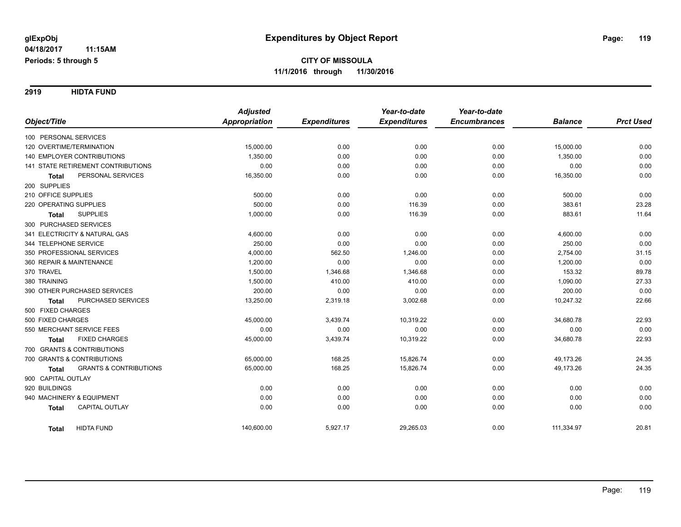**2919 HIDTA FUND**

|                                                   | <b>Adjusted</b> |                     | Year-to-date        | Year-to-date        |                |                  |
|---------------------------------------------------|-----------------|---------------------|---------------------|---------------------|----------------|------------------|
| Object/Title                                      | Appropriation   | <b>Expenditures</b> | <b>Expenditures</b> | <b>Encumbrances</b> | <b>Balance</b> | <b>Prct Used</b> |
| 100 PERSONAL SERVICES                             |                 |                     |                     |                     |                |                  |
| 120 OVERTIME/TERMINATION                          | 15,000.00       | 0.00                | 0.00                | 0.00                | 15,000.00      | 0.00             |
| 140 EMPLOYER CONTRIBUTIONS                        | 1,350.00        | 0.00                | 0.00                | 0.00                | 1,350.00       | 0.00             |
| <b>141 STATE RETIREMENT CONTRIBUTIONS</b>         | 0.00            | 0.00                | 0.00                | 0.00                | 0.00           | 0.00             |
| PERSONAL SERVICES<br><b>Total</b>                 | 16,350.00       | 0.00                | 0.00                | 0.00                | 16,350.00      | 0.00             |
| 200 SUPPLIES                                      |                 |                     |                     |                     |                |                  |
| 210 OFFICE SUPPLIES                               | 500.00          | 0.00                | 0.00                | 0.00                | 500.00         | 0.00             |
| 220 OPERATING SUPPLIES                            | 500.00          | 0.00                | 116.39              | 0.00                | 383.61         | 23.28            |
| <b>SUPPLIES</b><br><b>Total</b>                   | 1,000.00        | 0.00                | 116.39              | 0.00                | 883.61         | 11.64            |
| 300 PURCHASED SERVICES                            |                 |                     |                     |                     |                |                  |
| 341 ELECTRICITY & NATURAL GAS                     | 4,600.00        | 0.00                | 0.00                | 0.00                | 4,600.00       | 0.00             |
| 344 TELEPHONE SERVICE                             | 250.00          | 0.00                | 0.00                | 0.00                | 250.00         | 0.00             |
| 350 PROFESSIONAL SERVICES                         | 4,000.00        | 562.50              | 1,246.00            | 0.00                | 2,754.00       | 31.15            |
| 360 REPAIR & MAINTENANCE                          | 1,200.00        | 0.00                | 0.00                | 0.00                | 1,200.00       | 0.00             |
| 370 TRAVEL                                        | 1,500.00        | 1,346.68            | 1,346.68            | 0.00                | 153.32         | 89.78            |
| 380 TRAINING                                      | 1,500.00        | 410.00              | 410.00              | 0.00                | 1,090.00       | 27.33            |
| 390 OTHER PURCHASED SERVICES                      | 200.00          | 0.00                | 0.00                | 0.00                | 200.00         | 0.00             |
| PURCHASED SERVICES<br><b>Total</b>                | 13,250.00       | 2,319.18            | 3,002.68            | 0.00                | 10,247.32      | 22.66            |
| 500 FIXED CHARGES                                 |                 |                     |                     |                     |                |                  |
| 500 FIXED CHARGES                                 | 45,000.00       | 3,439.74            | 10,319.22           | 0.00                | 34,680.78      | 22.93            |
| 550 MERCHANT SERVICE FEES                         | 0.00            | 0.00                | 0.00                | 0.00                | 0.00           | 0.00             |
| <b>FIXED CHARGES</b><br>Total                     | 45,000.00       | 3,439.74            | 10,319.22           | 0.00                | 34,680.78      | 22.93            |
| 700 GRANTS & CONTRIBUTIONS                        |                 |                     |                     |                     |                |                  |
| 700 GRANTS & CONTRIBUTIONS                        | 65,000.00       | 168.25              | 15,826.74           | 0.00                | 49,173.26      | 24.35            |
| <b>GRANTS &amp; CONTRIBUTIONS</b><br><b>Total</b> | 65,000.00       | 168.25              | 15,826.74           | 0.00                | 49,173.26      | 24.35            |
| 900 CAPITAL OUTLAY                                |                 |                     |                     |                     |                |                  |
| 920 BUILDINGS                                     | 0.00            | 0.00                | 0.00                | 0.00                | 0.00           | 0.00             |
| 940 MACHINERY & EQUIPMENT                         | 0.00            | 0.00                | 0.00                | 0.00                | 0.00           | 0.00             |
| <b>CAPITAL OUTLAY</b><br><b>Total</b>             | 0.00            | 0.00                | 0.00                | 0.00                | 0.00           | 0.00             |
| <b>HIDTA FUND</b><br>Total                        | 140,600.00      | 5,927.17            | 29,265.03           | 0.00                | 111,334.97     | 20.81            |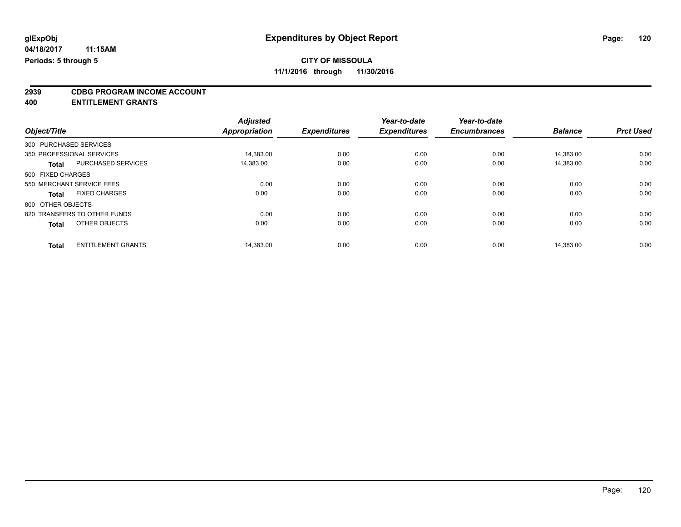**2939 CDBG PROGRAM INCOME ACCOUNT**

**400 ENTITLEMENT GRANTS**

| Object/Title           |                              | <b>Adjusted</b>      | <b>Expenditures</b> | Year-to-date<br><b>Expenditures</b> | Year-to-date<br><b>Encumbrances</b> | <b>Balance</b> | <b>Prct Used</b> |
|------------------------|------------------------------|----------------------|---------------------|-------------------------------------|-------------------------------------|----------------|------------------|
|                        |                              | <b>Appropriation</b> |                     |                                     |                                     |                |                  |
| 300 PURCHASED SERVICES |                              |                      |                     |                                     |                                     |                |                  |
|                        | 350 PROFESSIONAL SERVICES    | 14,383.00            | 0.00                | 0.00                                | 0.00                                | 14.383.00      | 0.00             |
| <b>Total</b>           | <b>PURCHASED SERVICES</b>    | 14,383.00            | 0.00                | 0.00                                | 0.00                                | 14,383.00      | 0.00             |
| 500 FIXED CHARGES      |                              |                      |                     |                                     |                                     |                |                  |
|                        | 550 MERCHANT SERVICE FEES    | 0.00                 | 0.00                | 0.00                                | 0.00                                | 0.00           | 0.00             |
| Total                  | <b>FIXED CHARGES</b>         | 0.00                 | 0.00                | 0.00                                | 0.00                                | 0.00           | 0.00             |
| 800 OTHER OBJECTS      |                              |                      |                     |                                     |                                     |                |                  |
|                        | 820 TRANSFERS TO OTHER FUNDS | 0.00                 | 0.00                | 0.00                                | 0.00                                | 0.00           | 0.00             |
| <b>Total</b>           | OTHER OBJECTS                | 0.00                 | 0.00                | 0.00                                | 0.00                                | 0.00           | 0.00             |
| <b>Total</b>           | <b>ENTITLEMENT GRANTS</b>    | 14.383.00            | 0.00                | 0.00                                | 0.00                                | 14.383.00      | 0.00             |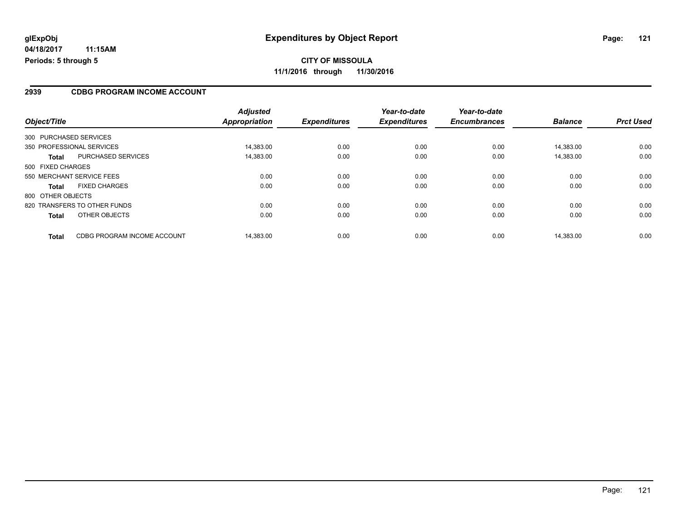#### **04/18/2017 11:15AM Periods: 5 through 5**

**11/1/2016 through 11/30/2016**

#### **2939 CDBG PROGRAM INCOME ACCOUNT**

| Object/Title                                | <b>Adjusted</b><br>Appropriation | <b>Expenditures</b> | Year-to-date<br><b>Expenditures</b> | Year-to-date<br><b>Encumbrances</b> | <b>Balance</b> | <b>Prct Used</b> |
|---------------------------------------------|----------------------------------|---------------------|-------------------------------------|-------------------------------------|----------------|------------------|
|                                             |                                  |                     |                                     |                                     |                |                  |
| 300 PURCHASED SERVICES                      |                                  |                     |                                     |                                     |                |                  |
| 350 PROFESSIONAL SERVICES                   | 14.383.00                        | 0.00                | 0.00                                | 0.00                                | 14.383.00      | 0.00             |
| <b>PURCHASED SERVICES</b><br><b>Total</b>   | 14,383.00                        | 0.00                | 0.00                                | 0.00                                | 14,383.00      | 0.00             |
| 500 FIXED CHARGES                           |                                  |                     |                                     |                                     |                |                  |
| 550 MERCHANT SERVICE FEES                   | 0.00                             | 0.00                | 0.00                                | 0.00                                | 0.00           | 0.00             |
| <b>FIXED CHARGES</b><br><b>Total</b>        | 0.00                             | 0.00                | 0.00                                | 0.00                                | 0.00           | 0.00             |
| 800 OTHER OBJECTS                           |                                  |                     |                                     |                                     |                |                  |
| 820 TRANSFERS TO OTHER FUNDS                | 0.00                             | 0.00                | 0.00                                | 0.00                                | 0.00           | 0.00             |
| <b>OTHER OBJECTS</b><br><b>Total</b>        | 0.00                             | 0.00                | 0.00                                | 0.00                                | 0.00           | 0.00             |
| CDBG PROGRAM INCOME ACCOUNT<br><b>Total</b> | 14.383.00                        | 0.00                | 0.00                                | 0.00                                | 14.383.00      | 0.00             |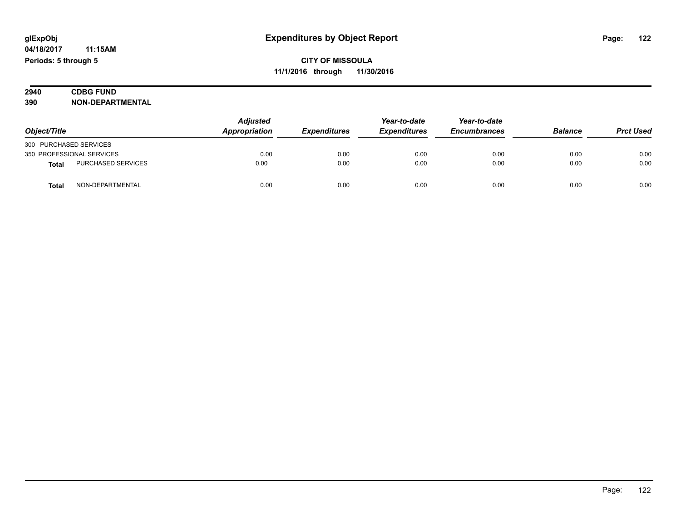# **2940 CDBG FUND 390 NON-DEPARTMENTAL**

|                        |                           | <b>Adjusted</b>                      |                     | Year-to-date        | Year-to-date   |                  |      |
|------------------------|---------------------------|--------------------------------------|---------------------|---------------------|----------------|------------------|------|
| Object/Title           |                           | Appropriation<br><b>Expenditures</b> | <b>Expenditures</b> | <b>Encumbrances</b> | <b>Balance</b> | <b>Prct Used</b> |      |
| 300 PURCHASED SERVICES |                           |                                      |                     |                     |                |                  |      |
|                        | 350 PROFESSIONAL SERVICES | 0.00                                 | 0.00                | 0.00                | 0.00           | 0.00             | 0.00 |
| <b>Total</b>           | <b>PURCHASED SERVICES</b> | 0.00                                 | 0.00                | 0.00                | 0.00           | 0.00             | 0.00 |
| <b>Total</b>           | NON-DEPARTMENTAL          | 0.00                                 | 0.00                | 0.00                | 0.00           | 0.00             | 0.00 |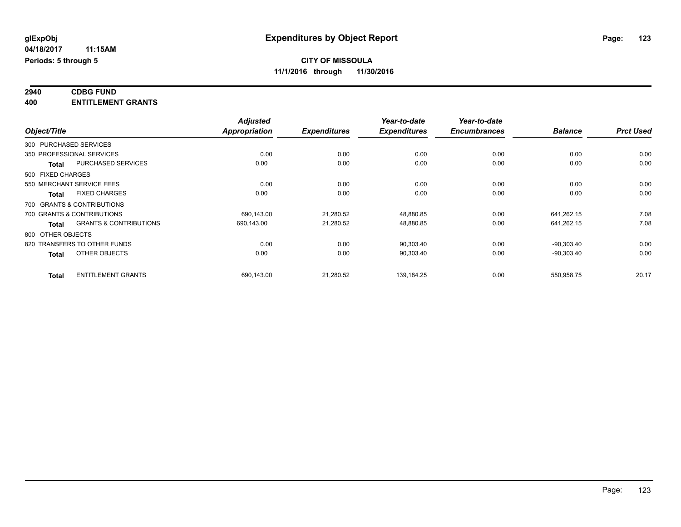# **2940 CDBG FUND**

| 400 | <b>ENTITLEMENT GRANTS</b> |  |
|-----|---------------------------|--|
|     |                           |  |

|                   |                                   | <b>Adjusted</b> |                     | Year-to-date        | Year-to-date        |                |                  |
|-------------------|-----------------------------------|-----------------|---------------------|---------------------|---------------------|----------------|------------------|
| Object/Title      |                                   | Appropriation   | <b>Expenditures</b> | <b>Expenditures</b> | <b>Encumbrances</b> | <b>Balance</b> | <b>Prct Used</b> |
|                   | 300 PURCHASED SERVICES            |                 |                     |                     |                     |                |                  |
|                   | 350 PROFESSIONAL SERVICES         | 0.00            | 0.00                | 0.00                | 0.00                | 0.00           | 0.00             |
| <b>Total</b>      | <b>PURCHASED SERVICES</b>         | 0.00            | 0.00                | 0.00                | 0.00                | 0.00           | 0.00             |
| 500 FIXED CHARGES |                                   |                 |                     |                     |                     |                |                  |
|                   | 550 MERCHANT SERVICE FEES         | 0.00            | 0.00                | 0.00                | 0.00                | 0.00           | 0.00             |
| <b>Total</b>      | <b>FIXED CHARGES</b>              | 0.00            | 0.00                | 0.00                | 0.00                | 0.00           | 0.00             |
|                   | 700 GRANTS & CONTRIBUTIONS        |                 |                     |                     |                     |                |                  |
|                   | 700 GRANTS & CONTRIBUTIONS        | 690,143.00      | 21,280.52           | 48,880.85           | 0.00                | 641.262.15     | 7.08             |
| <b>Total</b>      | <b>GRANTS &amp; CONTRIBUTIONS</b> | 690,143.00      | 21,280.52           | 48,880.85           | 0.00                | 641,262.15     | 7.08             |
| 800 OTHER OBJECTS |                                   |                 |                     |                     |                     |                |                  |
|                   | 820 TRANSFERS TO OTHER FUNDS      | 0.00            | 0.00                | 90,303.40           | 0.00                | $-90,303.40$   | 0.00             |
| <b>Total</b>      | OTHER OBJECTS                     | 0.00            | 0.00                | 90,303.40           | 0.00                | $-90,303.40$   | 0.00             |
| <b>Total</b>      | <b>ENTITLEMENT GRANTS</b>         | 690,143.00      | 21,280.52           | 139,184.25          | 0.00                | 550,958.75     | 20.17            |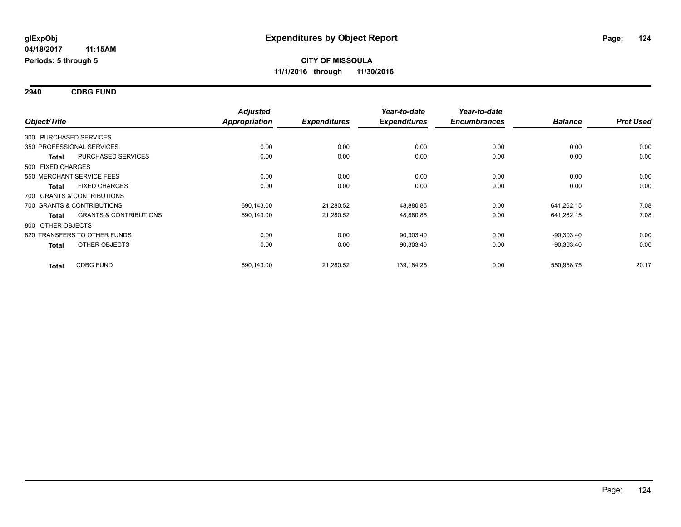**2940 CDBG FUND**

|                        |                                   | <b>Adjusted</b>      |                     | Year-to-date        | Year-to-date        |                |                  |
|------------------------|-----------------------------------|----------------------|---------------------|---------------------|---------------------|----------------|------------------|
| Object/Title           |                                   | <b>Appropriation</b> | <b>Expenditures</b> | <b>Expenditures</b> | <b>Encumbrances</b> | <b>Balance</b> | <b>Prct Used</b> |
| 300 PURCHASED SERVICES |                                   |                      |                     |                     |                     |                |                  |
|                        | 350 PROFESSIONAL SERVICES         | 0.00                 | 0.00                | 0.00                | 0.00                | 0.00           | 0.00             |
| <b>Total</b>           | PURCHASED SERVICES                | 0.00                 | 0.00                | 0.00                | 0.00                | 0.00           | 0.00             |
| 500 FIXED CHARGES      |                                   |                      |                     |                     |                     |                |                  |
|                        | 550 MERCHANT SERVICE FEES         | 0.00                 | 0.00                | 0.00                | 0.00                | 0.00           | 0.00             |
| Total                  | <b>FIXED CHARGES</b>              | 0.00                 | 0.00                | 0.00                | 0.00                | 0.00           | 0.00             |
|                        | 700 GRANTS & CONTRIBUTIONS        |                      |                     |                     |                     |                |                  |
|                        | 700 GRANTS & CONTRIBUTIONS        | 690,143.00           | 21,280.52           | 48,880.85           | 0.00                | 641,262.15     | 7.08             |
| Total                  | <b>GRANTS &amp; CONTRIBUTIONS</b> | 690,143.00           | 21,280.52           | 48,880.85           | 0.00                | 641,262.15     | 7.08             |
| 800 OTHER OBJECTS      |                                   |                      |                     |                     |                     |                |                  |
|                        | 820 TRANSFERS TO OTHER FUNDS      | 0.00                 | 0.00                | 90,303.40           | 0.00                | $-90.303.40$   | 0.00             |
| <b>Total</b>           | OTHER OBJECTS                     | 0.00                 | 0.00                | 90,303.40           | 0.00                | $-90,303.40$   | 0.00             |
| <b>Total</b>           | <b>CDBG FUND</b>                  | 690,143.00           | 21,280.52           | 139, 184. 25        | 0.00                | 550,958.75     | 20.17            |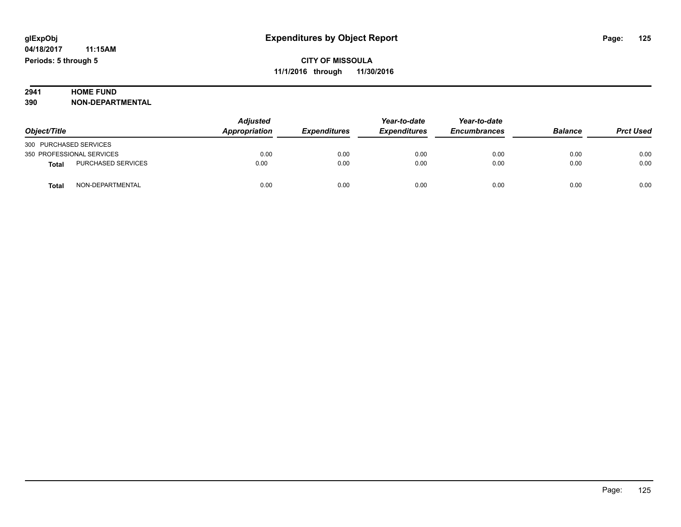# **2941 HOME FUND**

|  | 390 | <b>NON-DEPARTMENTAL</b> |
|--|-----|-------------------------|
|--|-----|-------------------------|

|                                           | <b>Adjusted</b> |                                      | Year-to-date        | Year-to-date        |                |                  |
|-------------------------------------------|-----------------|--------------------------------------|---------------------|---------------------|----------------|------------------|
| Object/Title                              |                 | Appropriation<br><b>Expenditures</b> | <b>Expenditures</b> | <b>Encumbrances</b> | <b>Balance</b> | <b>Prct Used</b> |
| 300 PURCHASED SERVICES                    |                 |                                      |                     |                     |                |                  |
| 350 PROFESSIONAL SERVICES                 | 0.00            | 0.00                                 | 0.00                | 0.00                | 0.00           | 0.00             |
| <b>PURCHASED SERVICES</b><br><b>Total</b> | 0.00            | 0.00                                 | 0.00                | 0.00                | 0.00           | 0.00             |
| NON-DEPARTMENTAL<br><b>Total</b>          | 0.00            | 0.00                                 | 0.00                | 0.00                | 0.00           | 0.00             |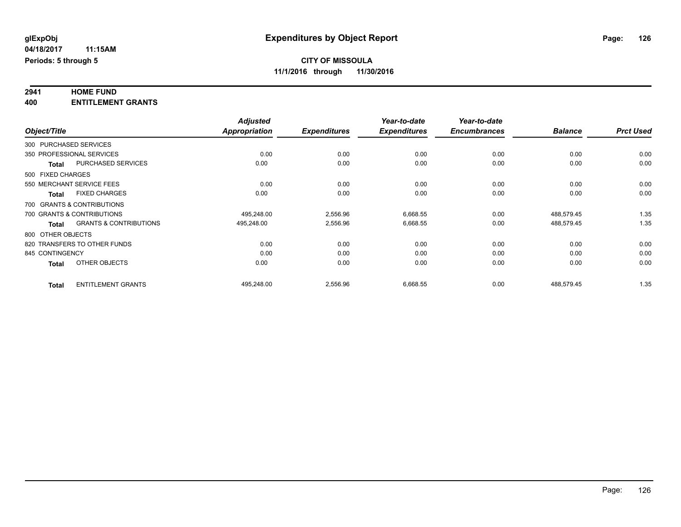# **2941 HOME FUND**

**400 ENTITLEMENT GRANTS**

|                   |                                   | <b>Adjusted</b>      |                     | Year-to-date        | Year-to-date        |                |                  |
|-------------------|-----------------------------------|----------------------|---------------------|---------------------|---------------------|----------------|------------------|
| Object/Title      |                                   | <b>Appropriation</b> | <b>Expenditures</b> | <b>Expenditures</b> | <b>Encumbrances</b> | <b>Balance</b> | <b>Prct Used</b> |
|                   | 300 PURCHASED SERVICES            |                      |                     |                     |                     |                |                  |
|                   | 350 PROFESSIONAL SERVICES         | 0.00                 | 0.00                | 0.00                | 0.00                | 0.00           | 0.00             |
| <b>Total</b>      | <b>PURCHASED SERVICES</b>         | 0.00                 | 0.00                | 0.00                | 0.00                | 0.00           | 0.00             |
| 500 FIXED CHARGES |                                   |                      |                     |                     |                     |                |                  |
|                   | 550 MERCHANT SERVICE FEES         | 0.00                 | 0.00                | 0.00                | 0.00                | 0.00           | 0.00             |
| <b>Total</b>      | <b>FIXED CHARGES</b>              | 0.00                 | 0.00                | 0.00                | 0.00                | 0.00           | 0.00             |
|                   | 700 GRANTS & CONTRIBUTIONS        |                      |                     |                     |                     |                |                  |
|                   | 700 GRANTS & CONTRIBUTIONS        | 495,248.00           | 2,556.96            | 6,668.55            | 0.00                | 488,579.45     | 1.35             |
| <b>Total</b>      | <b>GRANTS &amp; CONTRIBUTIONS</b> | 495,248.00           | 2,556.96            | 6,668.55            | 0.00                | 488,579.45     | 1.35             |
| 800 OTHER OBJECTS |                                   |                      |                     |                     |                     |                |                  |
|                   | 820 TRANSFERS TO OTHER FUNDS      | 0.00                 | 0.00                | 0.00                | 0.00                | 0.00           | 0.00             |
| 845 CONTINGENCY   |                                   | 0.00                 | 0.00                | 0.00                | 0.00                | 0.00           | 0.00             |
| <b>Total</b>      | OTHER OBJECTS                     | 0.00                 | 0.00                | 0.00                | 0.00                | 0.00           | 0.00             |
| <b>Total</b>      | <b>ENTITLEMENT GRANTS</b>         | 495.248.00           | 2,556.96            | 6,668.55            | 0.00                | 488,579.45     | 1.35             |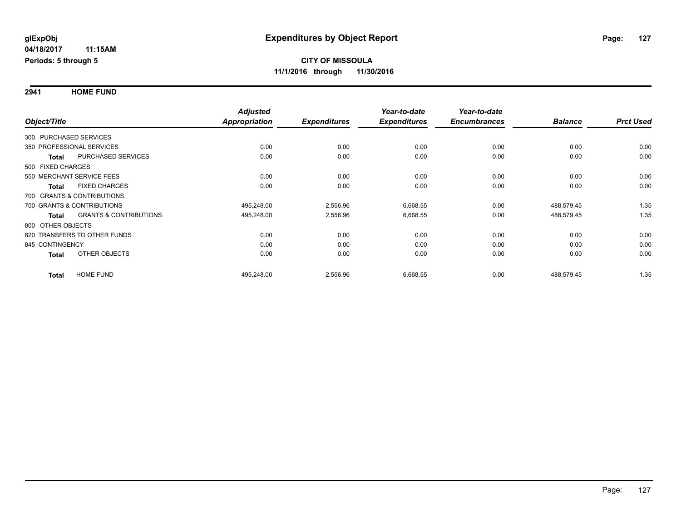**2941 HOME FUND**

|                                                   | <b>Adjusted</b>      |                     | Year-to-date        | Year-to-date        |                |                  |
|---------------------------------------------------|----------------------|---------------------|---------------------|---------------------|----------------|------------------|
| Object/Title                                      | <b>Appropriation</b> | <b>Expenditures</b> | <b>Expenditures</b> | <b>Encumbrances</b> | <b>Balance</b> | <b>Prct Used</b> |
| 300 PURCHASED SERVICES                            |                      |                     |                     |                     |                |                  |
| 350 PROFESSIONAL SERVICES                         | 0.00                 | 0.00                | 0.00                | 0.00                | 0.00           | 0.00             |
| PURCHASED SERVICES<br>Total                       | 0.00                 | 0.00                | 0.00                | 0.00                | 0.00           | 0.00             |
| 500 FIXED CHARGES                                 |                      |                     |                     |                     |                |                  |
| 550 MERCHANT SERVICE FEES                         | 0.00                 | 0.00                | 0.00                | 0.00                | 0.00           | 0.00             |
| <b>FIXED CHARGES</b><br><b>Total</b>              | 0.00                 | 0.00                | 0.00                | 0.00                | 0.00           | 0.00             |
| 700 GRANTS & CONTRIBUTIONS                        |                      |                     |                     |                     |                |                  |
| 700 GRANTS & CONTRIBUTIONS                        | 495,248.00           | 2,556.96            | 6,668.55            | 0.00                | 488,579.45     | 1.35             |
| <b>GRANTS &amp; CONTRIBUTIONS</b><br><b>Total</b> | 495,248.00           | 2,556.96            | 6,668.55            | 0.00                | 488,579.45     | 1.35             |
| 800 OTHER OBJECTS                                 |                      |                     |                     |                     |                |                  |
| 820 TRANSFERS TO OTHER FUNDS                      | 0.00                 | 0.00                | 0.00                | 0.00                | 0.00           | 0.00             |
| 845 CONTINGENCY                                   | 0.00                 | 0.00                | 0.00                | 0.00                | 0.00           | 0.00             |
| <b>OTHER OBJECTS</b><br><b>Total</b>              | 0.00                 | 0.00                | 0.00                | 0.00                | 0.00           | 0.00             |
| <b>HOME FUND</b><br><b>Total</b>                  | 495,248.00           | 2,556.96            | 6,668.55            | 0.00                | 488,579.45     | 1.35             |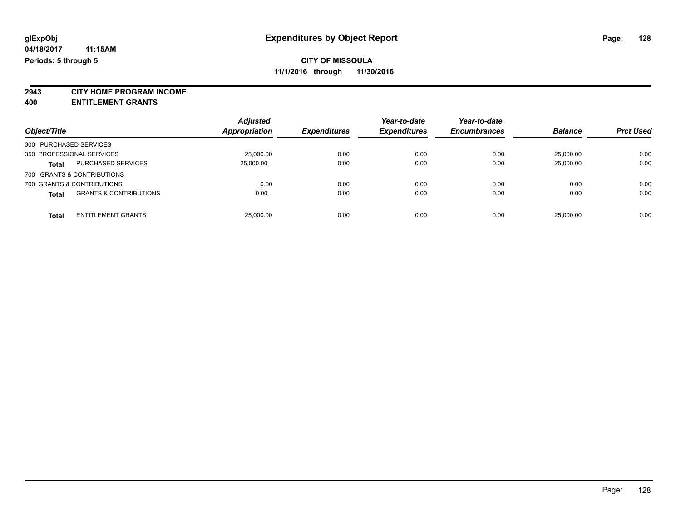**2943 CITY HOME PROGRAM INCOME**

**400 ENTITLEMENT GRANTS**

| Object/Title                                      | <b>Adjusted</b><br>Appropriation | <b>Expenditures</b> | Year-to-date<br><b>Expenditures</b> | Year-to-date<br><b>Encumbrances</b> | <b>Balance</b> | <b>Prct Used</b> |
|---------------------------------------------------|----------------------------------|---------------------|-------------------------------------|-------------------------------------|----------------|------------------|
|                                                   |                                  |                     |                                     |                                     |                |                  |
| 300 PURCHASED SERVICES                            |                                  |                     |                                     |                                     |                |                  |
| 350 PROFESSIONAL SERVICES                         | 25,000.00                        | 0.00                | 0.00                                | 0.00                                | 25.000.00      | 0.00             |
| <b>PURCHASED SERVICES</b><br><b>Total</b>         | 25,000.00                        | 0.00                | 0.00                                | 0.00                                | 25,000.00      | 0.00             |
| 700 GRANTS & CONTRIBUTIONS                        |                                  |                     |                                     |                                     |                |                  |
| 700 GRANTS & CONTRIBUTIONS                        | 0.00                             | 0.00                | 0.00                                | 0.00                                | 0.00           | 0.00             |
| <b>GRANTS &amp; CONTRIBUTIONS</b><br><b>Total</b> | 0.00                             | 0.00                | 0.00                                | 0.00                                | 0.00           | 0.00             |
| <b>ENTITLEMENT GRANTS</b><br><b>Total</b>         | 25,000.00                        | 0.00                | 0.00                                | 0.00                                | 25.000.00      | 0.00             |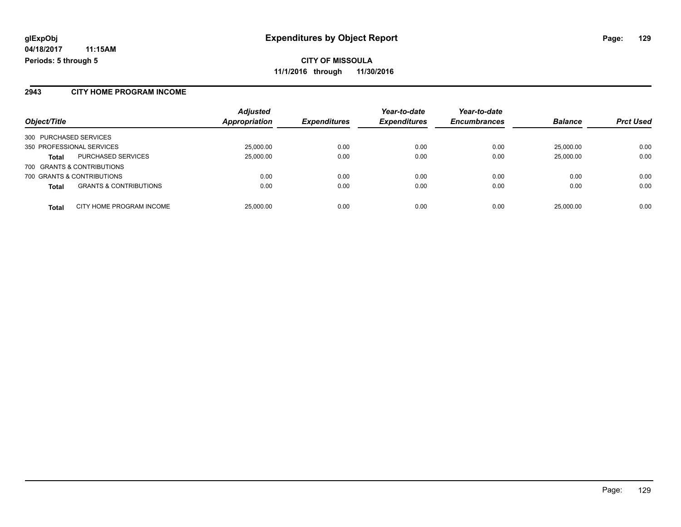#### **2943 CITY HOME PROGRAM INCOME**

|                                                   | <b>Adjusted</b>      |                     | Year-to-date        | Year-to-date        |                |                  |
|---------------------------------------------------|----------------------|---------------------|---------------------|---------------------|----------------|------------------|
| Object/Title                                      | <b>Appropriation</b> | <b>Expenditures</b> | <b>Expenditures</b> | <b>Encumbrances</b> | <b>Balance</b> | <b>Prct Used</b> |
| 300 PURCHASED SERVICES                            |                      |                     |                     |                     |                |                  |
| 350 PROFESSIONAL SERVICES                         | 25,000.00            | 0.00                | 0.00                | 0.00                | 25,000.00      | 0.00             |
| PURCHASED SERVICES<br><b>Total</b>                | 25,000.00            | 0.00                | 0.00                | 0.00                | 25,000.00      | 0.00             |
| 700 GRANTS & CONTRIBUTIONS                        |                      |                     |                     |                     |                |                  |
| 700 GRANTS & CONTRIBUTIONS                        | 0.00                 | 0.00                | 0.00                | 0.00                | 0.00           | 0.00             |
| <b>GRANTS &amp; CONTRIBUTIONS</b><br><b>Total</b> | 0.00                 | 0.00                | 0.00                | 0.00                | 0.00           | 0.00             |
| CITY HOME PROGRAM INCOME<br><b>Total</b>          | 25,000.00            | 0.00                | 0.00                | 0.00                | 25,000.00      | 0.00             |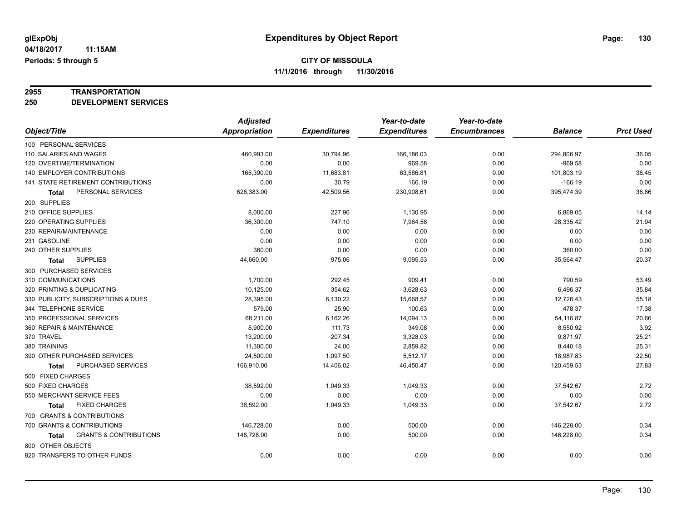# **2955 TRANSPORTATION**

**250 DEVELOPMENT SERVICES**

|                                                   | <b>Adjusted</b> |                     | Year-to-date        | Year-to-date        |                |                  |
|---------------------------------------------------|-----------------|---------------------|---------------------|---------------------|----------------|------------------|
| Object/Title                                      | Appropriation   | <b>Expenditures</b> | <b>Expenditures</b> | <b>Encumbrances</b> | <b>Balance</b> | <b>Prct Used</b> |
| 100 PERSONAL SERVICES                             |                 |                     |                     |                     |                |                  |
| 110 SALARIES AND WAGES                            | 460,993.00      | 30,794.96           | 166,186.03          | 0.00                | 294,806.97     | 36.05            |
| 120 OVERTIME/TERMINATION                          | 0.00            | 0.00                | 969.58              | 0.00                | $-969.58$      | 0.00             |
| 140 EMPLOYER CONTRIBUTIONS                        | 165,390.00      | 11,683.81           | 63,586.81           | 0.00                | 101,803.19     | 38.45            |
| 141 STATE RETIREMENT CONTRIBUTIONS                | 0.00            | 30.79               | 166.19              | 0.00                | $-166.19$      | 0.00             |
| PERSONAL SERVICES<br>Total                        | 626,383.00      | 42,509.56           | 230,908.61          | 0.00                | 395,474.39     | 36.86            |
| 200 SUPPLIES                                      |                 |                     |                     |                     |                |                  |
| 210 OFFICE SUPPLIES                               | 8,000.00        | 227.96              | 1,130.95            | 0.00                | 6,869.05       | 14.14            |
| 220 OPERATING SUPPLIES                            | 36,300.00       | 747.10              | 7,964.58            | 0.00                | 28,335.42      | 21.94            |
| 230 REPAIR/MAINTENANCE                            | 0.00            | 0.00                | 0.00                | 0.00                | 0.00           | 0.00             |
| 231 GASOLINE                                      | 0.00            | 0.00                | 0.00                | 0.00                | 0.00           | 0.00             |
| 240 OTHER SUPPLIES                                | 360.00          | 0.00                | 0.00                | 0.00                | 360.00         | 0.00             |
| <b>SUPPLIES</b><br>Total                          | 44,660.00       | 975.06              | 9,095.53            | 0.00                | 35,564.47      | 20.37            |
| 300 PURCHASED SERVICES                            |                 |                     |                     |                     |                |                  |
| 310 COMMUNICATIONS                                | 1,700.00        | 292.45              | 909.41              | 0.00                | 790.59         | 53.49            |
| 320 PRINTING & DUPLICATING                        | 10,125.00       | 354.62              | 3,628.63            | 0.00                | 6,496.37       | 35.84            |
| 330 PUBLICITY, SUBSCRIPTIONS & DUES               | 28,395.00       | 6,130.22            | 15,668.57           | 0.00                | 12,726.43      | 55.18            |
| 344 TELEPHONE SERVICE                             | 579.00          | 25.90               | 100.63              | 0.00                | 478.37         | 17.38            |
| 350 PROFESSIONAL SERVICES                         | 68,211.00       | 6,162.26            | 14,094.13           | 0.00                | 54,116.87      | 20.66            |
| 360 REPAIR & MAINTENANCE                          | 8,900.00        | 111.73              | 349.08              | 0.00                | 8,550.92       | 3.92             |
| 370 TRAVEL                                        | 13,200.00       | 207.34              | 3,328.03            | 0.00                | 9,871.97       | 25.21            |
| 380 TRAINING                                      | 11,300.00       | 24.00               | 2,859.82            | 0.00                | 8,440.18       | 25.31            |
| 390 OTHER PURCHASED SERVICES                      | 24,500.00       | 1,097.50            | 5,512.17            | 0.00                | 18,987.83      | 22.50            |
| PURCHASED SERVICES<br>Total                       | 166,910.00      | 14,406.02           | 46,450.47           | 0.00                | 120,459.53     | 27.83            |
| 500 FIXED CHARGES                                 |                 |                     |                     |                     |                |                  |
| 500 FIXED CHARGES                                 | 38,592.00       | 1,049.33            | 1,049.33            | 0.00                | 37,542.67      | 2.72             |
| 550 MERCHANT SERVICE FEES                         | 0.00            | 0.00                | 0.00                | 0.00                | 0.00           | 0.00             |
| <b>FIXED CHARGES</b><br>Total                     | 38,592.00       | 1,049.33            | 1,049.33            | 0.00                | 37,542.67      | 2.72             |
| 700 GRANTS & CONTRIBUTIONS                        |                 |                     |                     |                     |                |                  |
| 700 GRANTS & CONTRIBUTIONS                        | 146,728.00      | 0.00                | 500.00              | 0.00                | 146,228.00     | 0.34             |
| <b>GRANTS &amp; CONTRIBUTIONS</b><br><b>Total</b> | 146,728.00      | 0.00                | 500.00              | 0.00                | 146,228.00     | 0.34             |
| 800 OTHER OBJECTS                                 |                 |                     |                     |                     |                |                  |
| 820 TRANSFERS TO OTHER FUNDS                      | 0.00            | 0.00                | 0.00                | 0.00                | 0.00           | 0.00             |
|                                                   |                 |                     |                     |                     |                |                  |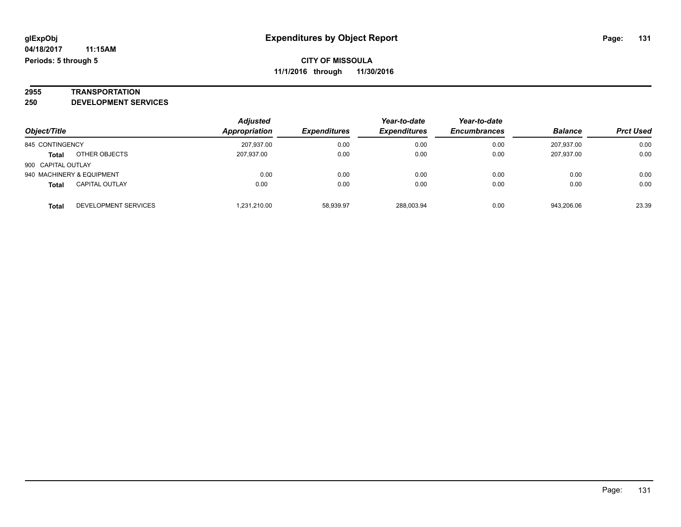# **2955 TRANSPORTATION**

**250 DEVELOPMENT SERVICES**

|                    |                           | <b>Adjusted</b> |                     | Year-to-date        | Year-to-date        |                |                  |
|--------------------|---------------------------|-----------------|---------------------|---------------------|---------------------|----------------|------------------|
| Object/Title       |                           | Appropriation   | <b>Expenditures</b> | <b>Expenditures</b> | <b>Encumbrances</b> | <b>Balance</b> | <b>Prct Used</b> |
| 845 CONTINGENCY    |                           | 207.937.00      | 0.00                | 0.00                | 0.00                | 207.937.00     | 0.00             |
| <b>Total</b>       | OTHER OBJECTS             | 207,937.00      | 0.00                | 0.00                | 0.00                | 207.937.00     | 0.00             |
| 900 CAPITAL OUTLAY |                           |                 |                     |                     |                     |                |                  |
|                    | 940 MACHINERY & EQUIPMENT | 0.00            | 0.00                | 0.00                | 0.00                | 0.00           | 0.00             |
| <b>Total</b>       | <b>CAPITAL OUTLAY</b>     | 0.00            | 0.00                | 0.00                | 0.00                | 0.00           | 0.00             |
| <b>Total</b>       | DEVELOPMENT SERVICES      | 1.231.210.00    | 58.939.97           | 288.003.94          | 0.00                | 943.206.06     | 23.39            |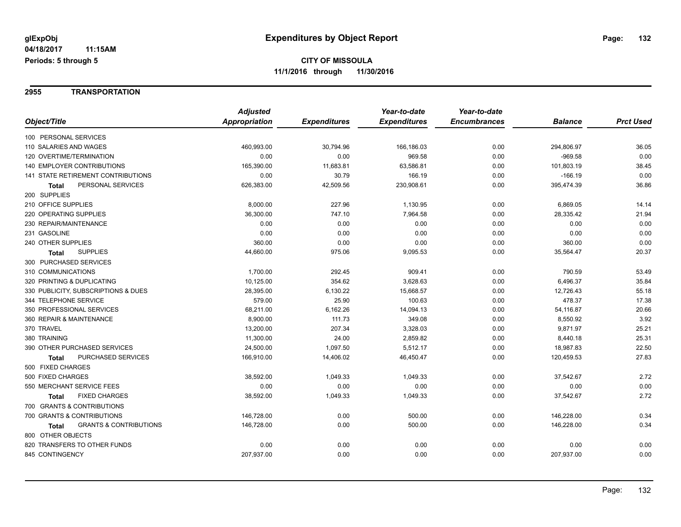#### **2955 TRANSPORTATION**

|                                                   | <b>Adjusted</b>      |                     | Year-to-date        | Year-to-date        |                |                  |
|---------------------------------------------------|----------------------|---------------------|---------------------|---------------------|----------------|------------------|
| Object/Title                                      | <b>Appropriation</b> | <b>Expenditures</b> | <b>Expenditures</b> | <b>Encumbrances</b> | <b>Balance</b> | <b>Prct Used</b> |
| 100 PERSONAL SERVICES                             |                      |                     |                     |                     |                |                  |
| 110 SALARIES AND WAGES                            | 460,993.00           | 30,794.96           | 166,186.03          | 0.00                | 294,806.97     | 36.05            |
| 120 OVERTIME/TERMINATION                          | 0.00                 | 0.00                | 969.58              | 0.00                | $-969.58$      | 0.00             |
| <b>140 EMPLOYER CONTRIBUTIONS</b>                 | 165,390.00           | 11,683.81           | 63,586.81           | 0.00                | 101,803.19     | 38.45            |
| <b>141 STATE RETIREMENT CONTRIBUTIONS</b>         | 0.00                 | 30.79               | 166.19              | 0.00                | $-166.19$      | 0.00             |
| PERSONAL SERVICES<br>Total                        | 626,383.00           | 42,509.56           | 230,908.61          | 0.00                | 395,474.39     | 36.86            |
| 200 SUPPLIES                                      |                      |                     |                     |                     |                |                  |
| 210 OFFICE SUPPLIES                               | 8,000.00             | 227.96              | 1,130.95            | 0.00                | 6,869.05       | 14.14            |
| 220 OPERATING SUPPLIES                            | 36,300.00            | 747.10              | 7,964.58            | 0.00                | 28,335.42      | 21.94            |
| 230 REPAIR/MAINTENANCE                            | 0.00                 | 0.00                | 0.00                | 0.00                | 0.00           | 0.00             |
| 231 GASOLINE                                      | 0.00                 | 0.00                | 0.00                | 0.00                | 0.00           | 0.00             |
| 240 OTHER SUPPLIES                                | 360.00               | 0.00                | 0.00                | 0.00                | 360.00         | 0.00             |
| <b>SUPPLIES</b><br><b>Total</b>                   | 44,660.00            | 975.06              | 9,095.53            | 0.00                | 35,564.47      | 20.37            |
| 300 PURCHASED SERVICES                            |                      |                     |                     |                     |                |                  |
| 310 COMMUNICATIONS                                | 1,700.00             | 292.45              | 909.41              | 0.00                | 790.59         | 53.49            |
| 320 PRINTING & DUPLICATING                        | 10,125.00            | 354.62              | 3,628.63            | 0.00                | 6,496.37       | 35.84            |
| 330 PUBLICITY, SUBSCRIPTIONS & DUES               | 28,395.00            | 6,130.22            | 15,668.57           | 0.00                | 12,726.43      | 55.18            |
| 344 TELEPHONE SERVICE                             | 579.00               | 25.90               | 100.63              | 0.00                | 478.37         | 17.38            |
| 350 PROFESSIONAL SERVICES                         | 68,211.00            | 6,162.26            | 14,094.13           | 0.00                | 54,116.87      | 20.66            |
| 360 REPAIR & MAINTENANCE                          | 8,900.00             | 111.73              | 349.08              | 0.00                | 8,550.92       | 3.92             |
| 370 TRAVEL                                        | 13,200.00            | 207.34              | 3,328.03            | 0.00                | 9,871.97       | 25.21            |
| 380 TRAINING                                      | 11,300.00            | 24.00               | 2,859.82            | 0.00                | 8,440.18       | 25.31            |
| 390 OTHER PURCHASED SERVICES                      | 24,500.00            | 1,097.50            | 5,512.17            | 0.00                | 18,987.83      | 22.50            |
| PURCHASED SERVICES<br><b>Total</b>                | 166,910.00           | 14,406.02           | 46,450.47           | 0.00                | 120,459.53     | 27.83            |
| 500 FIXED CHARGES                                 |                      |                     |                     |                     |                |                  |
| 500 FIXED CHARGES                                 | 38,592.00            | 1,049.33            | 1,049.33            | 0.00                | 37,542.67      | 2.72             |
| 550 MERCHANT SERVICE FEES                         | 0.00                 | 0.00                | 0.00                | 0.00                | 0.00           | 0.00             |
| <b>FIXED CHARGES</b><br>Total                     | 38,592.00            | 1,049.33            | 1,049.33            | 0.00                | 37,542.67      | 2.72             |
| 700 GRANTS & CONTRIBUTIONS                        |                      |                     |                     |                     |                |                  |
| 700 GRANTS & CONTRIBUTIONS                        | 146,728.00           | 0.00                | 500.00              | 0.00                | 146,228.00     | 0.34             |
| <b>GRANTS &amp; CONTRIBUTIONS</b><br><b>Total</b> | 146,728.00           | 0.00                | 500.00              | 0.00                | 146,228.00     | 0.34             |
| 800 OTHER OBJECTS                                 |                      |                     |                     |                     |                |                  |
| 820 TRANSFERS TO OTHER FUNDS                      | 0.00                 | 0.00                | 0.00                | 0.00                | 0.00           | 0.00             |
| 845 CONTINGENCY                                   | 207,937.00           | 0.00                | 0.00                | 0.00                | 207,937.00     | 0.00             |
|                                                   |                      |                     |                     |                     |                |                  |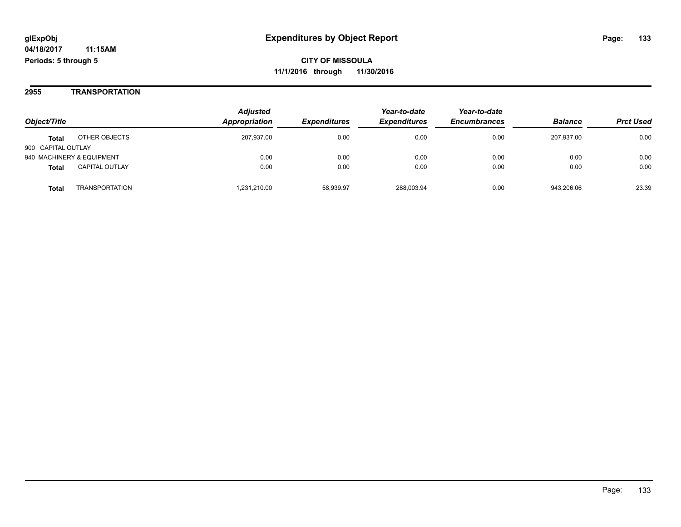#### **2955 TRANSPORTATION**

|                    |                           | <b>Adjusted</b> |                     | Year-to-date        | Year-to-date        |                |                  |
|--------------------|---------------------------|-----------------|---------------------|---------------------|---------------------|----------------|------------------|
| Object/Title       |                           | Appropriation   | <b>Expenditures</b> | <b>Expenditures</b> | <b>Encumbrances</b> | <b>Balance</b> | <b>Prct Used</b> |
| <b>Total</b>       | OTHER OBJECTS             | 207.937.00      | 0.00                | 0.00                | 0.00                | 207.937.00     | 0.00             |
| 900 CAPITAL OUTLAY |                           |                 |                     |                     |                     |                |                  |
|                    | 940 MACHINERY & EQUIPMENT | 0.00            | 0.00                | 0.00                | 0.00                | 0.00           | 0.00             |
| <b>Total</b>       | <b>CAPITAL OUTLAY</b>     | 0.00            | 0.00                | 0.00                | 0.00                | 0.00           | 0.00             |
| <b>Total</b>       | <b>TRANSPORTATION</b>     | 1.231.210.00    | 58,939.97           | 288.003.94          | 0.00                | 943.206.06     | 23.39            |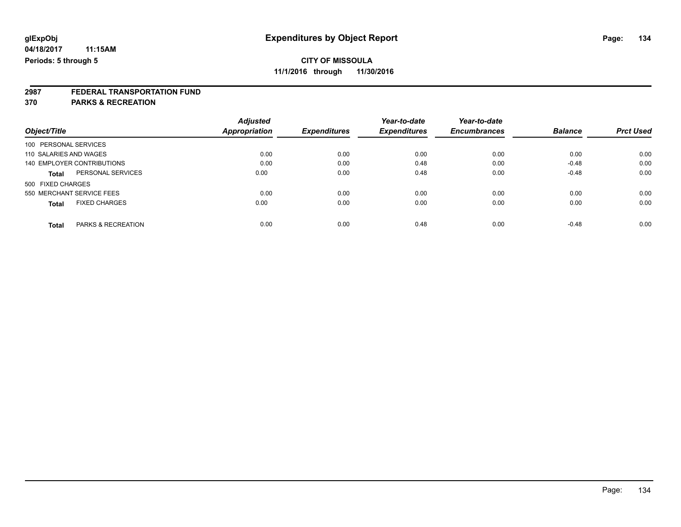# **2987 FEDERAL TRANSPORTATION FUND**

**370 PARKS & RECREATION**

|                                               | <b>Adjusted</b> |                     | Year-to-date        | Year-to-date        |                |                  |
|-----------------------------------------------|-----------------|---------------------|---------------------|---------------------|----------------|------------------|
| Object/Title                                  | Appropriation   | <b>Expenditures</b> | <b>Expenditures</b> | <b>Encumbrances</b> | <b>Balance</b> | <b>Prct Used</b> |
| 100 PERSONAL SERVICES                         |                 |                     |                     |                     |                |                  |
| 110 SALARIES AND WAGES                        | 0.00            | 0.00                | 0.00                | 0.00                | 0.00           | 0.00             |
| 140 EMPLOYER CONTRIBUTIONS                    | 0.00            | 0.00                | 0.48                | 0.00                | $-0.48$        | 0.00             |
| PERSONAL SERVICES<br><b>Total</b>             | 0.00            | 0.00                | 0.48                | 0.00                | $-0.48$        | 0.00             |
| 500 FIXED CHARGES                             |                 |                     |                     |                     |                |                  |
| 550 MERCHANT SERVICE FEES                     | 0.00            | 0.00                | 0.00                | 0.00                | 0.00           | 0.00             |
| <b>FIXED CHARGES</b><br><b>Total</b>          | 0.00            | 0.00                | 0.00                | 0.00                | 0.00           | 0.00             |
| <b>PARKS &amp; RECREATION</b><br><b>Total</b> | 0.00            | 0.00                | 0.48                | 0.00                | $-0.48$        | 0.00             |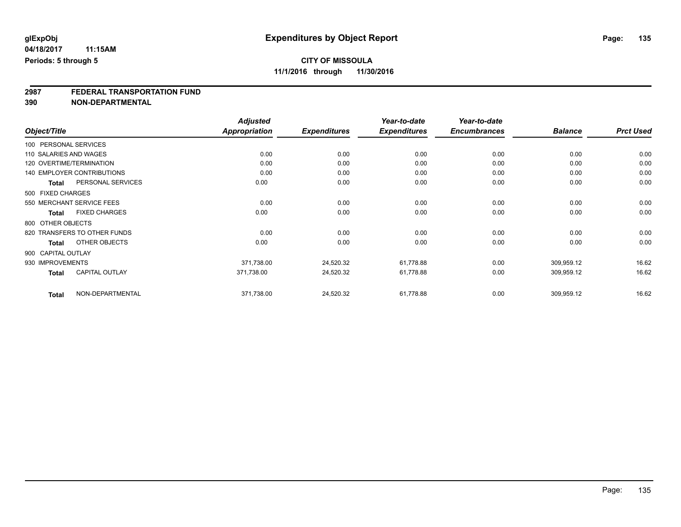# **2987 FEDERAL TRANSPORTATION FUND**

**390 NON-DEPARTMENTAL**

|                        |                                   | <b>Adjusted</b>      |                     | Year-to-date        | Year-to-date        |                |                  |
|------------------------|-----------------------------------|----------------------|---------------------|---------------------|---------------------|----------------|------------------|
| Object/Title           |                                   | <b>Appropriation</b> | <b>Expenditures</b> | <b>Expenditures</b> | <b>Encumbrances</b> | <b>Balance</b> | <b>Prct Used</b> |
| 100 PERSONAL SERVICES  |                                   |                      |                     |                     |                     |                |                  |
| 110 SALARIES AND WAGES |                                   | 0.00                 | 0.00                | 0.00                | 0.00                | 0.00           | 0.00             |
|                        | 120 OVERTIME/TERMINATION          | 0.00                 | 0.00                | 0.00                | 0.00                | 0.00           | 0.00             |
|                        | <b>140 EMPLOYER CONTRIBUTIONS</b> | 0.00                 | 0.00                | 0.00                | 0.00                | 0.00           | 0.00             |
| Total                  | PERSONAL SERVICES                 | 0.00                 | 0.00                | 0.00                | 0.00                | 0.00           | 0.00             |
| 500 FIXED CHARGES      |                                   |                      |                     |                     |                     |                |                  |
|                        | 550 MERCHANT SERVICE FEES         | 0.00                 | 0.00                | 0.00                | 0.00                | 0.00           | 0.00             |
| <b>Total</b>           | <b>FIXED CHARGES</b>              | 0.00                 | 0.00                | 0.00                | 0.00                | 0.00           | 0.00             |
| 800 OTHER OBJECTS      |                                   |                      |                     |                     |                     |                |                  |
|                        | 820 TRANSFERS TO OTHER FUNDS      | 0.00                 | 0.00                | 0.00                | 0.00                | 0.00           | 0.00             |
| <b>Total</b>           | OTHER OBJECTS                     | 0.00                 | 0.00                | 0.00                | 0.00                | 0.00           | 0.00             |
| 900 CAPITAL OUTLAY     |                                   |                      |                     |                     |                     |                |                  |
| 930 IMPROVEMENTS       |                                   | 371,738.00           | 24,520.32           | 61,778.88           | 0.00                | 309,959.12     | 16.62            |
| <b>Total</b>           | <b>CAPITAL OUTLAY</b>             | 371,738.00           | 24,520.32           | 61,778.88           | 0.00                | 309,959.12     | 16.62            |
| <b>Total</b>           | NON-DEPARTMENTAL                  | 371,738.00           | 24,520.32           | 61,778.88           | 0.00                | 309,959.12     | 16.62            |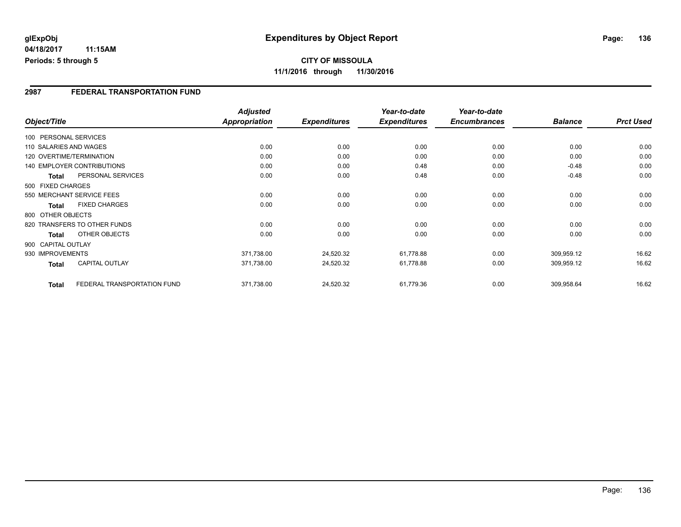#### **04/18/2017 11:15AM Periods: 5 through 5**

# **CITY OF MISSOULA 11/1/2016 through 11/30/2016**

### **2987 FEDERAL TRANSPORTATION FUND**

|                    |                                   | <b>Adjusted</b> |                     | Year-to-date        | Year-to-date        |                |                  |
|--------------------|-----------------------------------|-----------------|---------------------|---------------------|---------------------|----------------|------------------|
| Object/Title       |                                   | Appropriation   | <b>Expenditures</b> | <b>Expenditures</b> | <b>Encumbrances</b> | <b>Balance</b> | <b>Prct Used</b> |
|                    | 100 PERSONAL SERVICES             |                 |                     |                     |                     |                |                  |
|                    | 110 SALARIES AND WAGES            | 0.00            | 0.00                | 0.00                | 0.00                | 0.00           | 0.00             |
|                    | 120 OVERTIME/TERMINATION          | 0.00            | 0.00                | 0.00                | 0.00                | 0.00           | 0.00             |
|                    | <b>140 EMPLOYER CONTRIBUTIONS</b> | 0.00            | 0.00                | 0.48                | 0.00                | $-0.48$        | 0.00             |
| <b>Total</b>       | PERSONAL SERVICES                 | 0.00            | 0.00                | 0.48                | 0.00                | $-0.48$        | 0.00             |
| 500 FIXED CHARGES  |                                   |                 |                     |                     |                     |                |                  |
|                    | 550 MERCHANT SERVICE FEES         | 0.00            | 0.00                | 0.00                | 0.00                | 0.00           | 0.00             |
| <b>Total</b>       | <b>FIXED CHARGES</b>              | 0.00            | 0.00                | 0.00                | 0.00                | 0.00           | 0.00             |
| 800 OTHER OBJECTS  |                                   |                 |                     |                     |                     |                |                  |
|                    | 820 TRANSFERS TO OTHER FUNDS      | 0.00            | 0.00                | 0.00                | 0.00                | 0.00           | 0.00             |
| Total              | OTHER OBJECTS                     | 0.00            | 0.00                | 0.00                | 0.00                | 0.00           | 0.00             |
| 900 CAPITAL OUTLAY |                                   |                 |                     |                     |                     |                |                  |
| 930 IMPROVEMENTS   |                                   | 371,738.00      | 24,520.32           | 61,778.88           | 0.00                | 309,959.12     | 16.62            |
| Total              | <b>CAPITAL OUTLAY</b>             | 371,738.00      | 24,520.32           | 61,778.88           | 0.00                | 309,959.12     | 16.62            |
| <b>Total</b>       | FEDERAL TRANSPORTATION FUND       | 371,738.00      | 24,520.32           | 61,779.36           | 0.00                | 309,958.64     | 16.62            |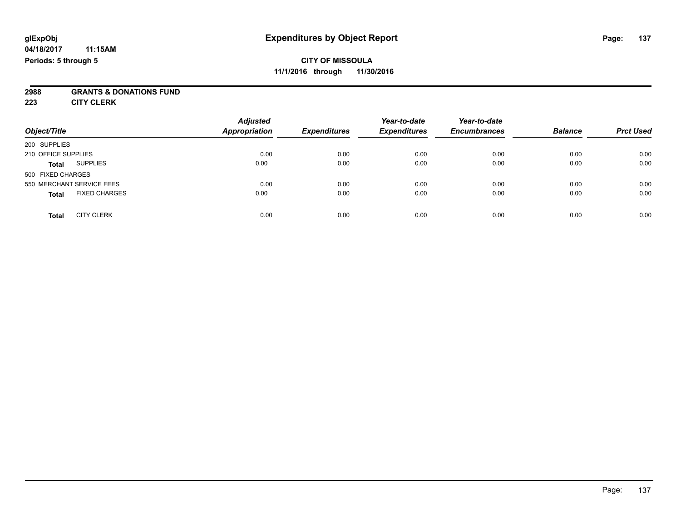# **2988 GRANTS & DONATIONS FUND**

**223 CITY CLERK**

| Object/Title                         | <b>Adjusted</b><br><b>Appropriation</b> | <b>Expenditures</b> | Year-to-date<br><b>Expenditures</b> | Year-to-date<br><b>Encumbrances</b> | <b>Balance</b> | <b>Prct Used</b> |
|--------------------------------------|-----------------------------------------|---------------------|-------------------------------------|-------------------------------------|----------------|------------------|
| 200 SUPPLIES                         |                                         |                     |                                     |                                     |                |                  |
| 210 OFFICE SUPPLIES                  | 0.00                                    | 0.00                | 0.00                                | 0.00                                | 0.00           | 0.00             |
| <b>SUPPLIES</b><br><b>Total</b>      | 0.00                                    | 0.00                | 0.00                                | 0.00                                | 0.00           | 0.00             |
| 500 FIXED CHARGES                    |                                         |                     |                                     |                                     |                |                  |
| 550 MERCHANT SERVICE FEES            | 0.00                                    | 0.00                | 0.00                                | 0.00                                | 0.00           | 0.00             |
| <b>FIXED CHARGES</b><br><b>Total</b> | 0.00                                    | 0.00                | 0.00                                | 0.00                                | 0.00           | 0.00             |
| <b>CITY CLERK</b><br>Total           | 0.00                                    | 0.00                | 0.00                                | 0.00                                | 0.00           | 0.00             |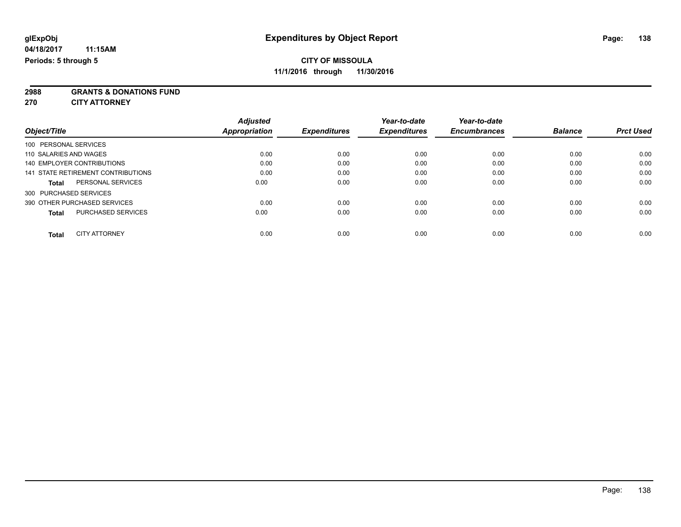**2988 GRANTS & DONATIONS FUND**

**270 CITY ATTORNEY**

|                                           | <b>Adjusted</b> |                     | Year-to-date        | Year-to-date        |                |                  |
|-------------------------------------------|-----------------|---------------------|---------------------|---------------------|----------------|------------------|
| Object/Title                              | Appropriation   | <b>Expenditures</b> | <b>Expenditures</b> | <b>Encumbrances</b> | <b>Balance</b> | <b>Prct Used</b> |
| 100 PERSONAL SERVICES                     |                 |                     |                     |                     |                |                  |
| 110 SALARIES AND WAGES                    | 0.00            | 0.00                | 0.00                | 0.00                | 0.00           | 0.00             |
| 140 EMPLOYER CONTRIBUTIONS                | 0.00            | 0.00                | 0.00                | 0.00                | 0.00           | 0.00             |
| 141 STATE RETIREMENT CONTRIBUTIONS        | 0.00            | 0.00                | 0.00                | 0.00                | 0.00           | 0.00             |
| PERSONAL SERVICES<br><b>Total</b>         | 0.00            | 0.00                | 0.00                | 0.00                | 0.00           | 0.00             |
| 300 PURCHASED SERVICES                    |                 |                     |                     |                     |                |                  |
| 390 OTHER PURCHASED SERVICES              | 0.00            | 0.00                | 0.00                | 0.00                | 0.00           | 0.00             |
| <b>PURCHASED SERVICES</b><br><b>Total</b> | 0.00            | 0.00                | 0.00                | 0.00                | 0.00           | 0.00             |
| <b>CITY ATTORNEY</b><br><b>Total</b>      | 0.00            | 0.00                | 0.00                | 0.00                | 0.00           | 0.00             |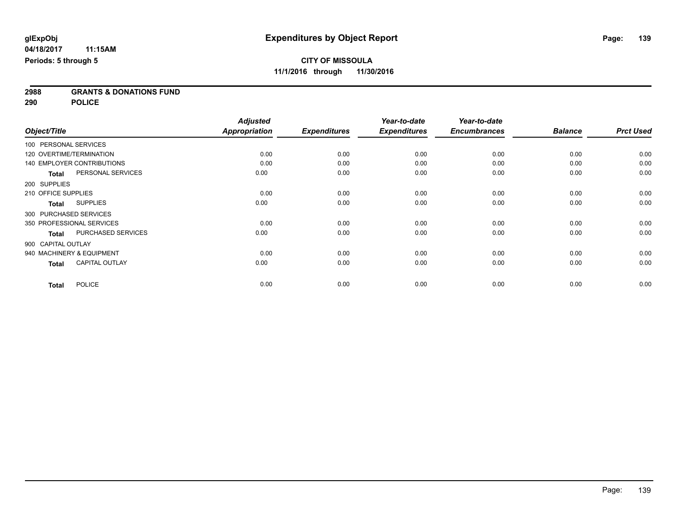**2988 GRANTS & DONATIONS FUND**

**290 POLICE**

|                          |                                   | <b>Adjusted</b>      |                     | Year-to-date        | Year-to-date        |                |                  |
|--------------------------|-----------------------------------|----------------------|---------------------|---------------------|---------------------|----------------|------------------|
| Object/Title             |                                   | <b>Appropriation</b> | <b>Expenditures</b> | <b>Expenditures</b> | <b>Encumbrances</b> | <b>Balance</b> | <b>Prct Used</b> |
| 100 PERSONAL SERVICES    |                                   |                      |                     |                     |                     |                |                  |
| 120 OVERTIME/TERMINATION |                                   | 0.00                 | 0.00                | 0.00                | 0.00                | 0.00           | 0.00             |
|                          | <b>140 EMPLOYER CONTRIBUTIONS</b> | 0.00                 | 0.00                | 0.00                | 0.00                | 0.00           | 0.00             |
| <b>Total</b>             | PERSONAL SERVICES                 | 0.00                 | 0.00                | 0.00                | 0.00                | 0.00           | 0.00             |
| 200 SUPPLIES             |                                   |                      |                     |                     |                     |                |                  |
| 210 OFFICE SUPPLIES      |                                   | 0.00                 | 0.00                | 0.00                | 0.00                | 0.00           | 0.00             |
| Total                    | <b>SUPPLIES</b>                   | 0.00                 | 0.00                | 0.00                | 0.00                | 0.00           | 0.00             |
| 300 PURCHASED SERVICES   |                                   |                      |                     |                     |                     |                |                  |
|                          | 350 PROFESSIONAL SERVICES         | 0.00                 | 0.00                | 0.00                | 0.00                | 0.00           | 0.00             |
| <b>Total</b>             | PURCHASED SERVICES                | 0.00                 | 0.00                | 0.00                | 0.00                | 0.00           | 0.00             |
| 900 CAPITAL OUTLAY       |                                   |                      |                     |                     |                     |                |                  |
|                          | 940 MACHINERY & EQUIPMENT         | 0.00                 | 0.00                | 0.00                | 0.00                | 0.00           | 0.00             |
| <b>Total</b>             | <b>CAPITAL OUTLAY</b>             | 0.00                 | 0.00                | 0.00                | 0.00                | 0.00           | 0.00             |
| <b>Total</b>             | <b>POLICE</b>                     | 0.00                 | 0.00                | 0.00                | 0.00                | 0.00           | 0.00             |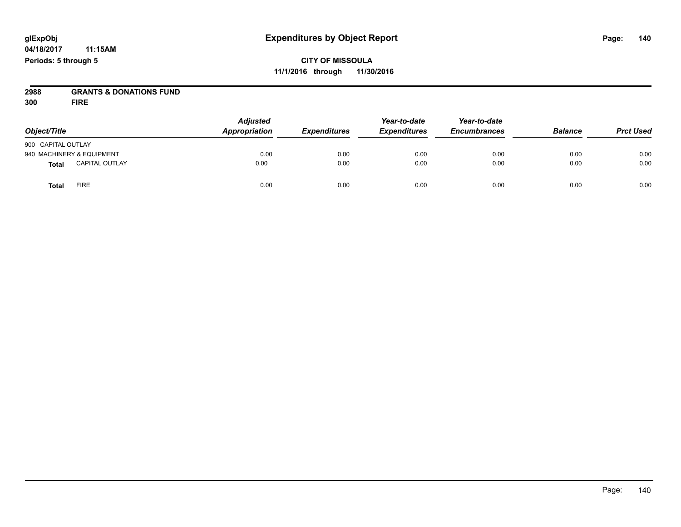# **2988 GRANTS & DONATIONS FUND**

**300 FIRE**

|                                | <b>Adjusted</b><br>Appropriation<br><b>Expenditures</b> | Year-to-date | Year-to-date        |                     |                |                  |
|--------------------------------|---------------------------------------------------------|--------------|---------------------|---------------------|----------------|------------------|
| Object/Title                   |                                                         |              | <b>Expenditures</b> | <b>Encumbrances</b> | <b>Balance</b> | <b>Prct Used</b> |
| 900 CAPITAL OUTLAY             |                                                         |              |                     |                     |                |                  |
| 940 MACHINERY & EQUIPMENT      | 0.00                                                    | 0.00         | 0.00                | 0.00                | 0.00           | 0.00             |
| <b>CAPITAL OUTLAY</b><br>Total | 0.00                                                    | 0.00         | 0.00                | 0.00                | 0.00           | 0.00             |
| <b>FIRE</b><br>Total           | 0.00                                                    | 0.00         | 0.00                | 0.00                | 0.00           | 0.00             |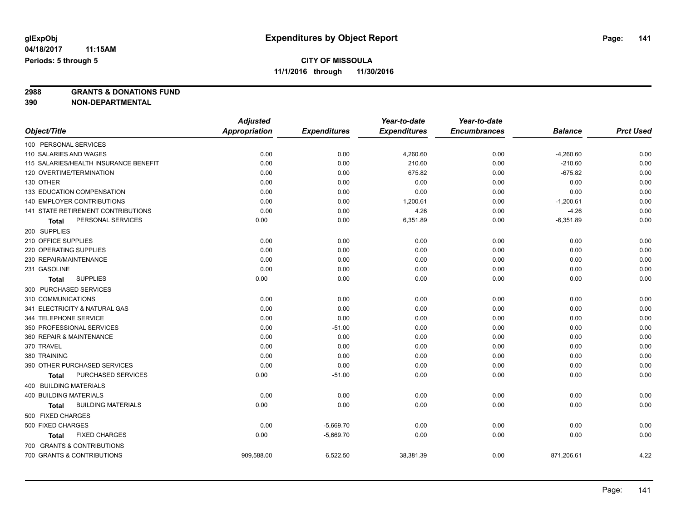**2988 GRANTS & DONATIONS FUND**

**390 NON-DEPARTMENTAL**

|                                           | <b>Adjusted</b>      |                     | Year-to-date        | Year-to-date        |                |                  |
|-------------------------------------------|----------------------|---------------------|---------------------|---------------------|----------------|------------------|
| Object/Title                              | <b>Appropriation</b> | <b>Expenditures</b> | <b>Expenditures</b> | <b>Encumbrances</b> | <b>Balance</b> | <b>Prct Used</b> |
| 100 PERSONAL SERVICES                     |                      |                     |                     |                     |                |                  |
| 110 SALARIES AND WAGES                    | 0.00                 | 0.00                | 4,260.60            | 0.00                | $-4,260.60$    | 0.00             |
| 115 SALARIES/HEALTH INSURANCE BENEFIT     | 0.00                 | 0.00                | 210.60              | 0.00                | $-210.60$      | 0.00             |
| 120 OVERTIME/TERMINATION                  | 0.00                 | 0.00                | 675.82              | 0.00                | $-675.82$      | 0.00             |
| 130 OTHER                                 | 0.00                 | 0.00                | 0.00                | 0.00                | 0.00           | 0.00             |
| 133 EDUCATION COMPENSATION                | 0.00                 | 0.00                | 0.00                | 0.00                | 0.00           | 0.00             |
| 140 EMPLOYER CONTRIBUTIONS                | 0.00                 | 0.00                | 1,200.61            | 0.00                | $-1,200.61$    | 0.00             |
| <b>141 STATE RETIREMENT CONTRIBUTIONS</b> | 0.00                 | 0.00                | 4.26                | 0.00                | $-4.26$        | 0.00             |
| PERSONAL SERVICES<br><b>Total</b>         | 0.00                 | 0.00                | 6,351.89            | 0.00                | $-6,351.89$    | 0.00             |
| 200 SUPPLIES                              |                      |                     |                     |                     |                |                  |
| 210 OFFICE SUPPLIES                       | 0.00                 | 0.00                | 0.00                | 0.00                | 0.00           | 0.00             |
| 220 OPERATING SUPPLIES                    | 0.00                 | 0.00                | 0.00                | 0.00                | 0.00           | 0.00             |
| 230 REPAIR/MAINTENANCE                    | 0.00                 | 0.00                | 0.00                | 0.00                | 0.00           | 0.00             |
| 231 GASOLINE                              | 0.00                 | 0.00                | 0.00                | 0.00                | 0.00           | 0.00             |
| <b>SUPPLIES</b><br><b>Total</b>           | 0.00                 | 0.00                | 0.00                | 0.00                | 0.00           | 0.00             |
| 300 PURCHASED SERVICES                    |                      |                     |                     |                     |                |                  |
| 310 COMMUNICATIONS                        | 0.00                 | 0.00                | 0.00                | 0.00                | 0.00           | 0.00             |
| 341 ELECTRICITY & NATURAL GAS             | 0.00                 | 0.00                | 0.00                | 0.00                | 0.00           | 0.00             |
| 344 TELEPHONE SERVICE                     | 0.00                 | 0.00                | 0.00                | 0.00                | 0.00           | 0.00             |
| 350 PROFESSIONAL SERVICES                 | 0.00                 | $-51.00$            | 0.00                | 0.00                | 0.00           | 0.00             |
| 360 REPAIR & MAINTENANCE                  | 0.00                 | 0.00                | 0.00                | 0.00                | 0.00           | 0.00             |
| 370 TRAVEL                                | 0.00                 | 0.00                | 0.00                | 0.00                | 0.00           | 0.00             |
| 380 TRAINING                              | 0.00                 | 0.00                | 0.00                | 0.00                | 0.00           | 0.00             |
| 390 OTHER PURCHASED SERVICES              | 0.00                 | 0.00                | 0.00                | 0.00                | 0.00           | 0.00             |
| PURCHASED SERVICES<br>Total               | 0.00                 | $-51.00$            | 0.00                | 0.00                | 0.00           | 0.00             |
| 400 BUILDING MATERIALS                    |                      |                     |                     |                     |                |                  |
| <b>400 BUILDING MATERIALS</b>             | 0.00                 | 0.00                | 0.00                | 0.00                | 0.00           | 0.00             |
| <b>BUILDING MATERIALS</b><br>Total        | 0.00                 | 0.00                | 0.00                | 0.00                | 0.00           | 0.00             |
| 500 FIXED CHARGES                         |                      |                     |                     |                     |                |                  |
| 500 FIXED CHARGES                         | 0.00                 | $-5,669.70$         | 0.00                | 0.00                | 0.00           | 0.00             |
| <b>FIXED CHARGES</b><br>Total             | 0.00                 | $-5,669.70$         | 0.00                | 0.00                | 0.00           | 0.00             |
| 700 GRANTS & CONTRIBUTIONS                |                      |                     |                     |                     |                |                  |
| 700 GRANTS & CONTRIBUTIONS                | 909,588.00           | 6,522.50            | 38,381.39           | 0.00                | 871,206.61     | 4.22             |
|                                           |                      |                     |                     |                     |                |                  |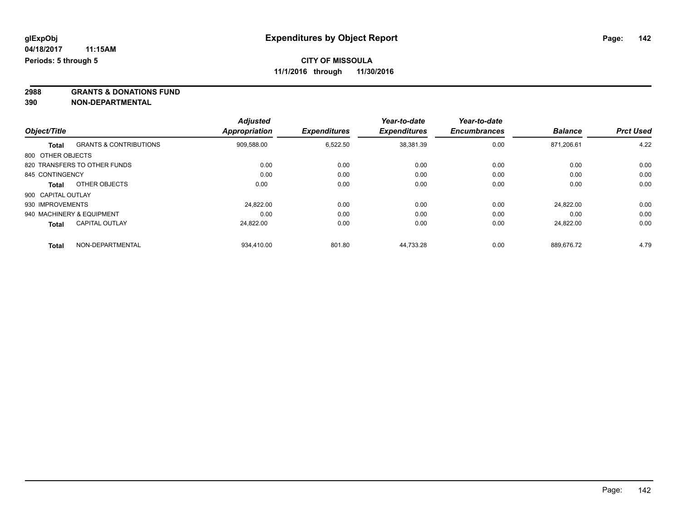**2988 GRANTS & DONATIONS FUND**

**390 NON-DEPARTMENTAL**

|                    |                                   | <b>Adjusted</b>      |                     | Year-to-date        | Year-to-date        |                |                  |
|--------------------|-----------------------------------|----------------------|---------------------|---------------------|---------------------|----------------|------------------|
| Object/Title       |                                   | <b>Appropriation</b> | <b>Expenditures</b> | <b>Expenditures</b> | <b>Encumbrances</b> | <b>Balance</b> | <b>Prct Used</b> |
| Total              | <b>GRANTS &amp; CONTRIBUTIONS</b> | 909,588.00           | 6,522.50            | 38,381.39           | 0.00                | 871.206.61     | 4.22             |
| 800 OTHER OBJECTS  |                                   |                      |                     |                     |                     |                |                  |
|                    | 820 TRANSFERS TO OTHER FUNDS      | 0.00                 | 0.00                | 0.00                | 0.00                | 0.00           | 0.00             |
| 845 CONTINGENCY    |                                   | 0.00                 | 0.00                | 0.00                | 0.00                | 0.00           | 0.00             |
| Total              | OTHER OBJECTS                     | 0.00                 | 0.00                | 0.00                | 0.00                | 0.00           | 0.00             |
| 900 CAPITAL OUTLAY |                                   |                      |                     |                     |                     |                |                  |
| 930 IMPROVEMENTS   |                                   | 24.822.00            | 0.00                | 0.00                | 0.00                | 24.822.00      | 0.00             |
|                    | 940 MACHINERY & EQUIPMENT         | 0.00                 | 0.00                | 0.00                | 0.00                | 0.00           | 0.00             |
| <b>Total</b>       | <b>CAPITAL OUTLAY</b>             | 24.822.00            | 0.00                | 0.00                | 0.00                | 24.822.00      | 0.00             |
| <b>Total</b>       | NON-DEPARTMENTAL                  | 934.410.00           | 801.80              | 44.733.28           | 0.00                | 889.676.72     | 4.79             |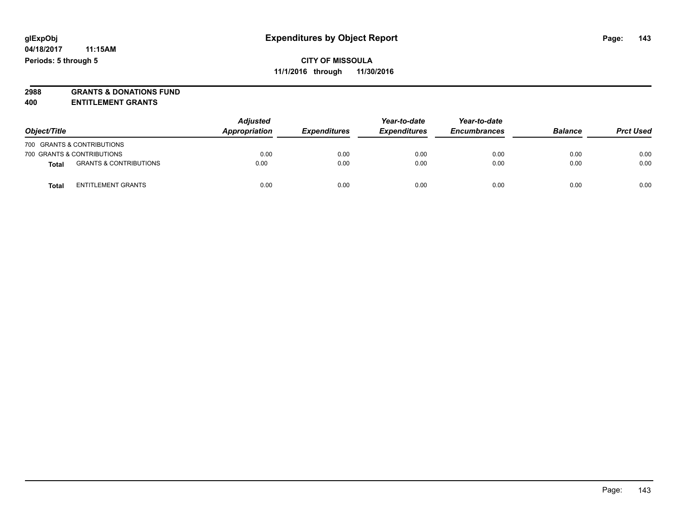**2988 GRANTS & DONATIONS FUND**

**400 ENTITLEMENT GRANTS**

| Object/Title |                                   | <b>Adjusted</b><br>Appropriation | <b>Expenditures</b> | Year-to-date<br><b>Expenditures</b> | Year-to-date<br><b>Encumbrances</b> | <b>Balance</b> | <b>Prct Used</b> |
|--------------|-----------------------------------|----------------------------------|---------------------|-------------------------------------|-------------------------------------|----------------|------------------|
|              | 700 GRANTS & CONTRIBUTIONS        |                                  |                     |                                     |                                     |                |                  |
|              | 700 GRANTS & CONTRIBUTIONS        | 0.00                             | 0.00                | 0.00                                | 0.00                                | 0.00           | 0.00             |
| Total        | <b>GRANTS &amp; CONTRIBUTIONS</b> | 0.00                             | 0.00                | 0.00                                | 0.00                                | 0.00           | 0.00             |
| Total        | <b>ENTITLEMENT GRANTS</b>         | 0.00                             | 0.00                | 0.00                                | 0.00                                | 0.00           | 0.00             |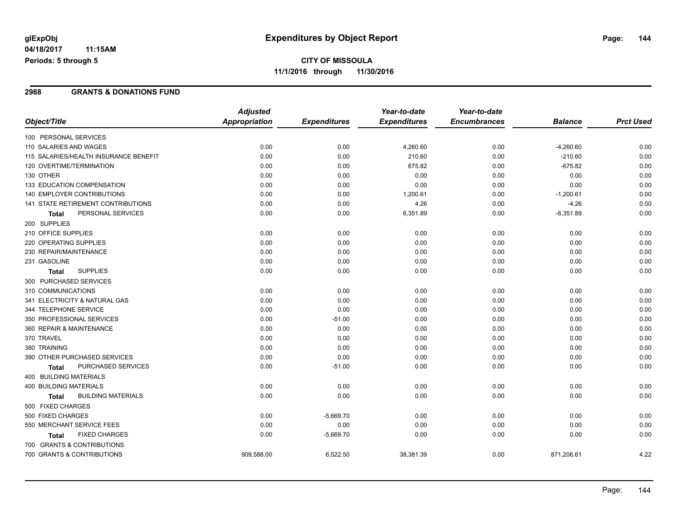#### **04/18/2017 11:15AM Periods: 5 through 5**

# **CITY OF MISSOULA 11/1/2016 through 11/30/2016**

#### **2988 GRANTS & DONATIONS FUND**

| Object/Title                              | <b>Adjusted</b>      |                     | Year-to-date        | Year-to-date        |                |                  |
|-------------------------------------------|----------------------|---------------------|---------------------|---------------------|----------------|------------------|
|                                           | <b>Appropriation</b> | <b>Expenditures</b> | <b>Expenditures</b> | <b>Encumbrances</b> | <b>Balance</b> | <b>Prct Used</b> |
| 100 PERSONAL SERVICES                     |                      |                     |                     |                     |                |                  |
| 110 SALARIES AND WAGES                    | 0.00                 | 0.00                | 4,260.60            | 0.00                | $-4,260.60$    | 0.00             |
| 115 SALARIES/HEALTH INSURANCE BENEFIT     | 0.00                 | 0.00                | 210.60              | 0.00                | $-210.60$      | 0.00             |
| 120 OVERTIME/TERMINATION                  | 0.00                 | 0.00                | 675.82              | 0.00                | $-675.82$      | 0.00             |
| 130 OTHER                                 | 0.00                 | 0.00                | 0.00                | 0.00                | 0.00           | 0.00             |
| 133 EDUCATION COMPENSATION                | 0.00                 | 0.00                | 0.00                | 0.00                | 0.00           | 0.00             |
| 140 EMPLOYER CONTRIBUTIONS                | 0.00                 | 0.00                | 1,200.61            | 0.00                | $-1,200.61$    | 0.00             |
| <b>141 STATE RETIREMENT CONTRIBUTIONS</b> | 0.00                 | 0.00                | 4.26                | 0.00                | $-4.26$        | 0.00             |
| PERSONAL SERVICES<br>Total                | 0.00                 | 0.00                | 6,351.89            | 0.00                | $-6,351.89$    | 0.00             |
| 200 SUPPLIES                              |                      |                     |                     |                     |                |                  |
| 210 OFFICE SUPPLIES                       | 0.00                 | 0.00                | 0.00                | 0.00                | 0.00           | 0.00             |
| 220 OPERATING SUPPLIES                    | 0.00                 | 0.00                | 0.00                | 0.00                | 0.00           | 0.00             |
| 230 REPAIR/MAINTENANCE                    | 0.00                 | 0.00                | 0.00                | 0.00                | 0.00           | 0.00             |
| 231 GASOLINE                              | 0.00                 | 0.00                | 0.00                | 0.00                | 0.00           | 0.00             |
| <b>SUPPLIES</b><br><b>Total</b>           | 0.00                 | 0.00                | 0.00                | 0.00                | 0.00           | 0.00             |
| 300 PURCHASED SERVICES                    |                      |                     |                     |                     |                |                  |
| 310 COMMUNICATIONS                        | 0.00                 | 0.00                | 0.00                | 0.00                | 0.00           | 0.00             |
| 341 ELECTRICITY & NATURAL GAS             | 0.00                 | 0.00                | 0.00                | 0.00                | 0.00           | 0.00             |
| 344 TELEPHONE SERVICE                     | 0.00                 | 0.00                | 0.00                | 0.00                | 0.00           | 0.00             |
| 350 PROFESSIONAL SERVICES                 | 0.00                 | $-51.00$            | 0.00                | 0.00                | 0.00           | 0.00             |
| 360 REPAIR & MAINTENANCE                  | 0.00                 | 0.00                | 0.00                | 0.00                | 0.00           | 0.00             |
| 370 TRAVEL                                | 0.00                 | 0.00                | 0.00                | 0.00                | 0.00           | 0.00             |
| 380 TRAINING                              | 0.00                 | 0.00                | 0.00                | 0.00                | 0.00           | 0.00             |
| 390 OTHER PURCHASED SERVICES              | 0.00                 | 0.00                | 0.00                | 0.00                | 0.00           | 0.00             |
| PURCHASED SERVICES<br><b>Total</b>        | 0.00                 | $-51.00$            | 0.00                | 0.00                | 0.00           | 0.00             |
| 400 BUILDING MATERIALS                    |                      |                     |                     |                     |                |                  |
| <b>400 BUILDING MATERIALS</b>             | 0.00                 | 0.00                | 0.00                | 0.00                | 0.00           | 0.00             |
| <b>BUILDING MATERIALS</b><br><b>Total</b> | 0.00                 | 0.00                | 0.00                | 0.00                | 0.00           | 0.00             |
| 500 FIXED CHARGES                         |                      |                     |                     |                     |                |                  |
| 500 FIXED CHARGES                         | 0.00                 | $-5,669.70$         | 0.00                | 0.00                | 0.00           | 0.00             |
| 550 MERCHANT SERVICE FEES                 | 0.00                 | 0.00                | 0.00                | 0.00                | 0.00           | 0.00             |
| <b>FIXED CHARGES</b><br>Total             | 0.00                 | $-5,669.70$         | 0.00                | 0.00                | 0.00           | 0.00             |
| 700 GRANTS & CONTRIBUTIONS                |                      |                     |                     |                     |                |                  |
| 700 GRANTS & CONTRIBUTIONS                | 909,588.00           | 6,522.50            | 38,381.39           | 0.00                | 871,206.61     | 4.22             |
|                                           |                      |                     |                     |                     |                |                  |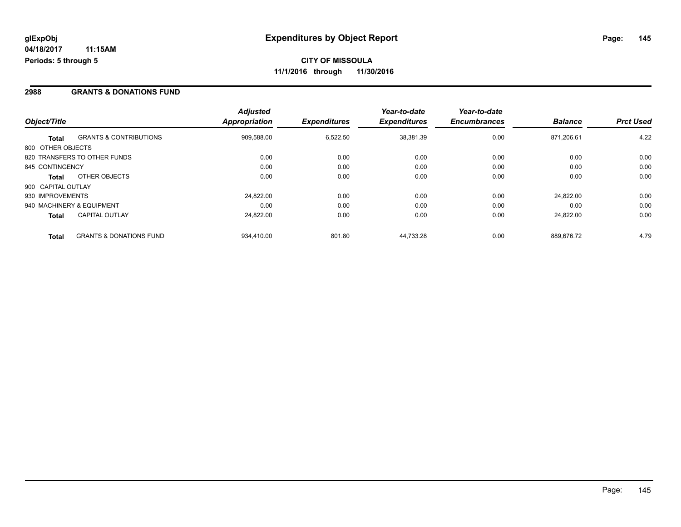### **2988 GRANTS & DONATIONS FUND**

|                    |                                    | <b>Adjusted</b> |                     | Year-to-date        | Year-to-date        |                |                  |
|--------------------|------------------------------------|-----------------|---------------------|---------------------|---------------------|----------------|------------------|
| Object/Title       |                                    | Appropriation   | <b>Expenditures</b> | <b>Expenditures</b> | <b>Encumbrances</b> | <b>Balance</b> | <b>Prct Used</b> |
| <b>Total</b>       | <b>GRANTS &amp; CONTRIBUTIONS</b>  | 909,588.00      | 6.522.50            | 38,381.39           | 0.00                | 871.206.61     | 4.22             |
| 800 OTHER OBJECTS  |                                    |                 |                     |                     |                     |                |                  |
|                    | 820 TRANSFERS TO OTHER FUNDS       | 0.00            | 0.00                | 0.00                | 0.00                | 0.00           | 0.00             |
| 845 CONTINGENCY    |                                    | 0.00            | 0.00                | 0.00                | 0.00                | 0.00           | 0.00             |
| <b>Total</b>       | OTHER OBJECTS                      | 0.00            | 0.00                | 0.00                | 0.00                | 0.00           | 0.00             |
| 900 CAPITAL OUTLAY |                                    |                 |                     |                     |                     |                |                  |
| 930 IMPROVEMENTS   |                                    | 24.822.00       | 0.00                | 0.00                | 0.00                | 24.822.00      | 0.00             |
|                    | 940 MACHINERY & EQUIPMENT          | 0.00            | 0.00                | 0.00                | 0.00                | 0.00           | 0.00             |
| <b>Total</b>       | <b>CAPITAL OUTLAY</b>              | 24,822.00       | 0.00                | 0.00                | 0.00                | 24,822.00      | 0.00             |
| <b>Total</b>       | <b>GRANTS &amp; DONATIONS FUND</b> | 934.410.00      | 801.80              | 44.733.28           | 0.00                | 889.676.72     | 4.79             |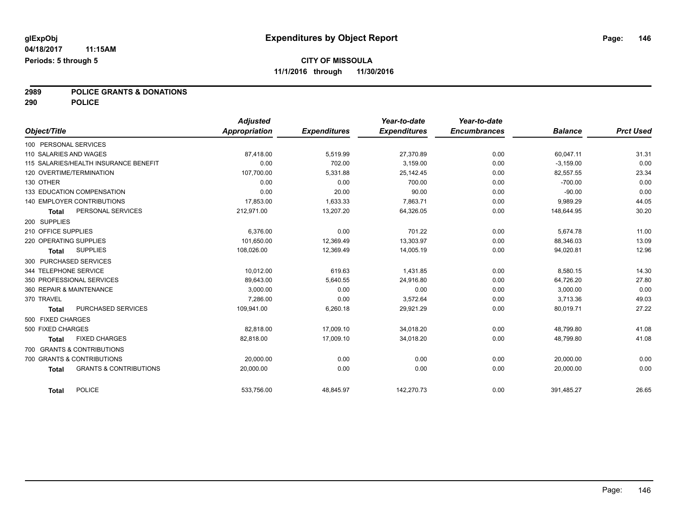**2989 POLICE GRANTS & DONATIONS**

**290 POLICE**

|                          |                                       | <b>Adjusted</b> |                     | Year-to-date        | Year-to-date        |                |                  |
|--------------------------|---------------------------------------|-----------------|---------------------|---------------------|---------------------|----------------|------------------|
| Object/Title             |                                       | Appropriation   | <b>Expenditures</b> | <b>Expenditures</b> | <b>Encumbrances</b> | <b>Balance</b> | <b>Prct Used</b> |
| 100 PERSONAL SERVICES    |                                       |                 |                     |                     |                     |                |                  |
| 110 SALARIES AND WAGES   |                                       | 87,418.00       | 5,519.99            | 27,370.89           | 0.00                | 60,047.11      | 31.31            |
|                          | 115 SALARIES/HEALTH INSURANCE BENEFIT | 0.00            | 702.00              | 3,159.00            | 0.00                | $-3,159.00$    | 0.00             |
|                          | 120 OVERTIME/TERMINATION              | 107,700.00      | 5,331.88            | 25,142.45           | 0.00                | 82,557.55      | 23.34            |
| 130 OTHER                |                                       | 0.00            | 0.00                | 700.00              | 0.00                | $-700.00$      | 0.00             |
|                          | 133 EDUCATION COMPENSATION            | 0.00            | 20.00               | 90.00               | 0.00                | $-90.00$       | 0.00             |
|                          | <b>140 EMPLOYER CONTRIBUTIONS</b>     | 17,853.00       | 1,633.33            | 7,863.71            | 0.00                | 9,989.29       | 44.05            |
| <b>Total</b>             | PERSONAL SERVICES                     | 212,971.00      | 13,207.20           | 64,326.05           | 0.00                | 148,644.95     | 30.20            |
| 200 SUPPLIES             |                                       |                 |                     |                     |                     |                |                  |
| 210 OFFICE SUPPLIES      |                                       | 6.376.00        | 0.00                | 701.22              | 0.00                | 5,674.78       | 11.00            |
| 220 OPERATING SUPPLIES   |                                       | 101,650.00      | 12,369.49           | 13,303.97           | 0.00                | 88,346.03      | 13.09            |
| <b>Total</b>             | <b>SUPPLIES</b>                       | 108,026.00      | 12,369.49           | 14,005.19           | 0.00                | 94,020.81      | 12.96            |
| 300 PURCHASED SERVICES   |                                       |                 |                     |                     |                     |                |                  |
| 344 TELEPHONE SERVICE    |                                       | 10.012.00       | 619.63              | 1,431.85            | 0.00                | 8,580.15       | 14.30            |
|                          | 350 PROFESSIONAL SERVICES             | 89,643.00       | 5,640.55            | 24,916.80           | 0.00                | 64,726.20      | 27.80            |
| 360 REPAIR & MAINTENANCE |                                       | 3,000.00        | 0.00                | 0.00                | 0.00                | 3,000.00       | 0.00             |
| 370 TRAVEL               |                                       | 7.286.00        | 0.00                | 3,572.64            | 0.00                | 3,713.36       | 49.03            |
| Total                    | PURCHASED SERVICES                    | 109,941.00      | 6,260.18            | 29,921.29           | 0.00                | 80,019.71      | 27.22            |
| 500 FIXED CHARGES        |                                       |                 |                     |                     |                     |                |                  |
| 500 FIXED CHARGES        |                                       | 82.818.00       | 17,009.10           | 34,018.20           | 0.00                | 48,799.80      | 41.08            |
| Total                    | <b>FIXED CHARGES</b>                  | 82,818.00       | 17,009.10           | 34,018.20           | 0.00                | 48,799.80      | 41.08            |
|                          | 700 GRANTS & CONTRIBUTIONS            |                 |                     |                     |                     |                |                  |
|                          | 700 GRANTS & CONTRIBUTIONS            | 20,000.00       | 0.00                | 0.00                | 0.00                | 20,000.00      | 0.00             |
| <b>Total</b>             | <b>GRANTS &amp; CONTRIBUTIONS</b>     | 20,000.00       | 0.00                | 0.00                | 0.00                | 20,000.00      | 0.00             |
| <b>Total</b>             | POLICE                                | 533,756.00      | 48,845.97           | 142,270.73          | 0.00                | 391,485.27     | 26.65            |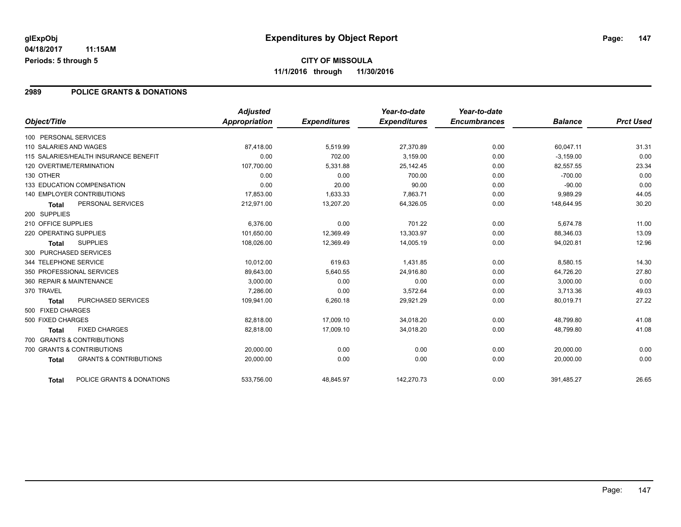### **2989 POLICE GRANTS & DONATIONS**

|                        |                                       | <b>Adjusted</b>      |                     | Year-to-date        | Year-to-date        |                |                  |
|------------------------|---------------------------------------|----------------------|---------------------|---------------------|---------------------|----------------|------------------|
| Object/Title           |                                       | <b>Appropriation</b> | <b>Expenditures</b> | <b>Expenditures</b> | <b>Encumbrances</b> | <b>Balance</b> | <b>Prct Used</b> |
| 100 PERSONAL SERVICES  |                                       |                      |                     |                     |                     |                |                  |
| 110 SALARIES AND WAGES |                                       | 87.418.00            | 5,519.99            | 27,370.89           | 0.00                | 60,047.11      | 31.31            |
|                        | 115 SALARIES/HEALTH INSURANCE BENEFIT | 0.00                 | 702.00              | 3,159.00            | 0.00                | $-3,159.00$    | 0.00             |
|                        | 120 OVERTIME/TERMINATION              | 107,700.00           | 5,331.88            | 25,142.45           | 0.00                | 82,557.55      | 23.34            |
| 130 OTHER              |                                       | 0.00                 | 0.00                | 700.00              | 0.00                | $-700.00$      | 0.00             |
|                        | 133 EDUCATION COMPENSATION            | 0.00                 | 20.00               | 90.00               | 0.00                | $-90.00$       | 0.00             |
|                        | <b>140 EMPLOYER CONTRIBUTIONS</b>     | 17,853.00            | 1,633.33            | 7,863.71            | 0.00                | 9,989.29       | 44.05            |
| <b>Total</b>           | PERSONAL SERVICES                     | 212,971.00           | 13,207.20           | 64,326.05           | 0.00                | 148,644.95     | 30.20            |
| 200 SUPPLIES           |                                       |                      |                     |                     |                     |                |                  |
| 210 OFFICE SUPPLIES    |                                       | 6,376.00             | 0.00                | 701.22              | 0.00                | 5,674.78       | 11.00            |
| 220 OPERATING SUPPLIES |                                       | 101,650.00           | 12,369.49           | 13,303.97           | 0.00                | 88.346.03      | 13.09            |
| <b>Total</b>           | <b>SUPPLIES</b>                       | 108,026.00           | 12,369.49           | 14,005.19           | 0.00                | 94,020.81      | 12.96            |
|                        | 300 PURCHASED SERVICES                |                      |                     |                     |                     |                |                  |
| 344 TELEPHONE SERVICE  |                                       | 10,012.00            | 619.63              | 1,431.85            | 0.00                | 8,580.15       | 14.30            |
|                        | 350 PROFESSIONAL SERVICES             | 89,643.00            | 5,640.55            | 24,916.80           | 0.00                | 64,726.20      | 27.80            |
|                        | 360 REPAIR & MAINTENANCE              | 3,000.00             | 0.00                | 0.00                | 0.00                | 3,000.00       | 0.00             |
| 370 TRAVEL             |                                       | 7,286.00             | 0.00                | 3,572.64            | 0.00                | 3,713.36       | 49.03            |
| <b>Total</b>           | <b>PURCHASED SERVICES</b>             | 109,941.00           | 6,260.18            | 29,921.29           | 0.00                | 80,019.71      | 27.22            |
| 500 FIXED CHARGES      |                                       |                      |                     |                     |                     |                |                  |
| 500 FIXED CHARGES      |                                       | 82,818.00            | 17,009.10           | 34,018.20           | 0.00                | 48,799.80      | 41.08            |
| <b>Total</b>           | <b>FIXED CHARGES</b>                  | 82,818.00            | 17,009.10           | 34,018.20           | 0.00                | 48,799.80      | 41.08            |
|                        | 700 GRANTS & CONTRIBUTIONS            |                      |                     |                     |                     |                |                  |
|                        | 700 GRANTS & CONTRIBUTIONS            | 20,000.00            | 0.00                | 0.00                | 0.00                | 20,000.00      | 0.00             |
| <b>Total</b>           | <b>GRANTS &amp; CONTRIBUTIONS</b>     | 20,000.00            | 0.00                | 0.00                | 0.00                | 20,000.00      | 0.00             |
| <b>Total</b>           | POLICE GRANTS & DONATIONS             | 533,756.00           | 48,845.97           | 142,270.73          | 0.00                | 391,485.27     | 26.65            |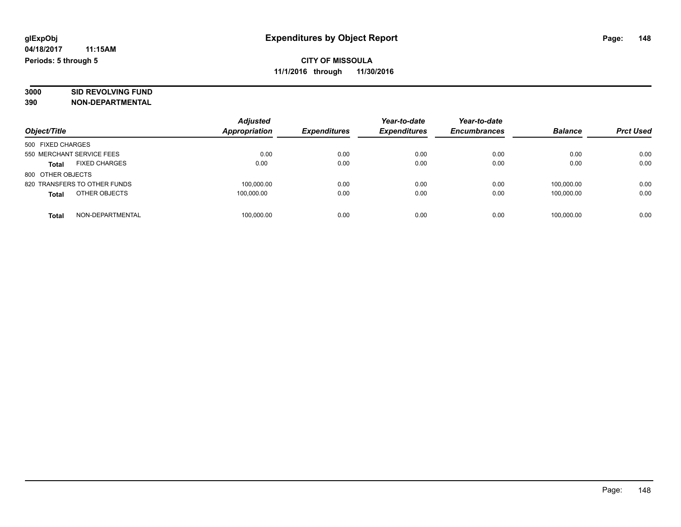# **3000 SID REVOLVING FUND**

|                                      | <b>Adjusted</b>      |                     | Year-to-date        | Year-to-date        |                |                  |
|--------------------------------------|----------------------|---------------------|---------------------|---------------------|----------------|------------------|
| Object/Title                         | <b>Appropriation</b> | <b>Expenditures</b> | <b>Expenditures</b> | <b>Encumbrances</b> | <b>Balance</b> | <b>Prct Used</b> |
| 500 FIXED CHARGES                    |                      |                     |                     |                     |                |                  |
| 550 MERCHANT SERVICE FEES            | 0.00                 | 0.00                | 0.00                | 0.00                | 0.00           | 0.00             |
| <b>FIXED CHARGES</b><br><b>Total</b> | 0.00                 | 0.00                | 0.00                | 0.00                | 0.00           | 0.00             |
| 800 OTHER OBJECTS                    |                      |                     |                     |                     |                |                  |
| 820 TRANSFERS TO OTHER FUNDS         | 100,000.00           | 0.00                | 0.00                | 0.00                | 100.000.00     | 0.00             |
| OTHER OBJECTS<br><b>Total</b>        | 100.000.00           | 0.00                | 0.00                | 0.00                | 100.000.00     | 0.00             |
| NON-DEPARTMENTAL<br>Total            | 100,000.00           | 0.00                | 0.00                | 0.00                | 100.000.00     | 0.00             |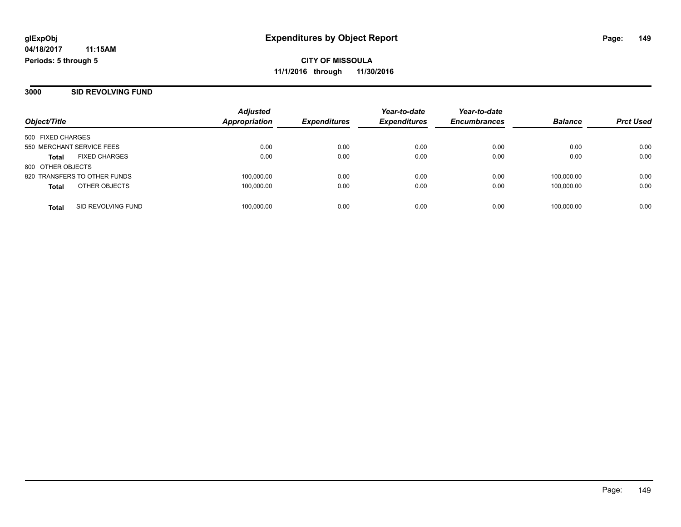**3000 SID REVOLVING FUND**

|                                      |                    | <b>Adjusted</b> |                     | Year-to-date        | Year-to-date        |                |                  |
|--------------------------------------|--------------------|-----------------|---------------------|---------------------|---------------------|----------------|------------------|
| Object/Title                         |                    | Appropriation   | <b>Expenditures</b> | <b>Expenditures</b> | <b>Encumbrances</b> | <b>Balance</b> | <b>Prct Used</b> |
| 500 FIXED CHARGES                    |                    |                 |                     |                     |                     |                |                  |
| 550 MERCHANT SERVICE FEES            |                    | 0.00            | 0.00                | 0.00                | 0.00                | 0.00           | 0.00             |
| <b>FIXED CHARGES</b><br><b>Total</b> |                    | 0.00            | 0.00                | 0.00                | 0.00                | 0.00           | 0.00             |
| 800 OTHER OBJECTS                    |                    |                 |                     |                     |                     |                |                  |
| 820 TRANSFERS TO OTHER FUNDS         |                    | 100,000.00      | 0.00                | 0.00                | 0.00                | 100.000.00     | 0.00             |
| OTHER OBJECTS<br><b>Total</b>        |                    | 100,000.00      | 0.00                | 0.00                | 0.00                | 100.000.00     | 0.00             |
| <b>Total</b>                         | SID REVOLVING FUND | 100,000.00      | 0.00                | 0.00                | 0.00                | 100,000.00     | 0.00             |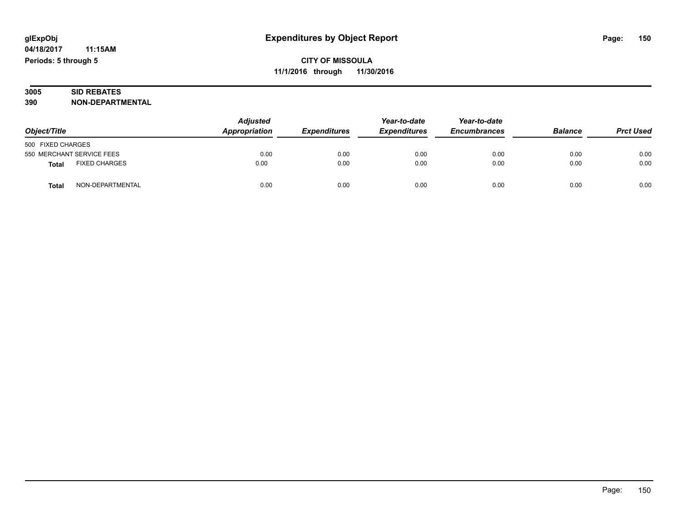## **3005 SID REBATES 390 NON-DEPARTMENTAL**

| Object/Title                         |                  | <b>Adjusted</b><br>Appropriation | <i><b>Expenditures</b></i> | Year-to-date<br><b>Expenditures</b> | Year-to-date<br><b>Encumbrances</b> | <b>Balance</b> | <b>Prct Used</b> |
|--------------------------------------|------------------|----------------------------------|----------------------------|-------------------------------------|-------------------------------------|----------------|------------------|
|                                      |                  |                                  |                            |                                     |                                     |                |                  |
| 500 FIXED CHARGES                    |                  |                                  |                            |                                     |                                     |                |                  |
| 550 MERCHANT SERVICE FEES            |                  | 0.00                             | 0.00                       | 0.00                                | 0.00                                | 0.00           | 0.00             |
| <b>FIXED CHARGES</b><br><b>Total</b> |                  | 0.00                             | 0.00                       | 0.00                                | 0.00                                | 0.00           | 0.00             |
| Total                                | NON-DEPARTMENTAL | 0.00                             | 0.00                       | 0.00                                | 0.00                                | 0.00           | 0.00             |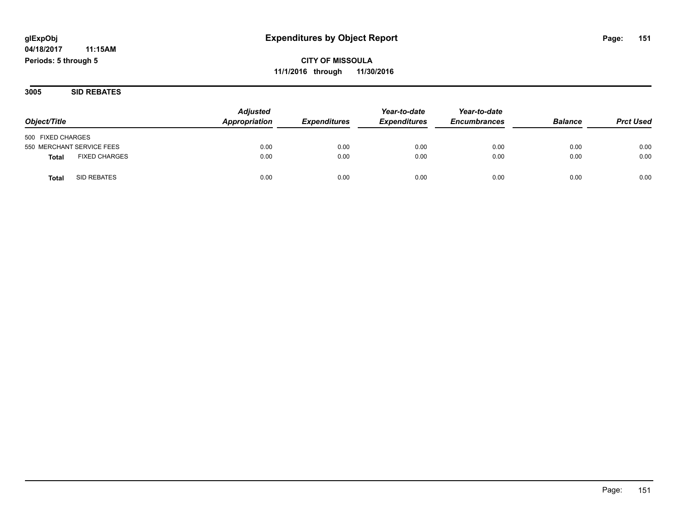**3005 SID REBATES**

| Object/Title                         | <b>Adjusted</b><br>Appropriation | <b>Expenditures</b> | Year-to-date<br><b>Expenditures</b> | Year-to-date<br><b>Encumbrances</b> | <b>Balance</b> | <b>Prct Used</b> |
|--------------------------------------|----------------------------------|---------------------|-------------------------------------|-------------------------------------|----------------|------------------|
|                                      |                                  |                     |                                     |                                     |                |                  |
| 500 FIXED CHARGES                    |                                  |                     |                                     |                                     |                |                  |
| 550 MERCHANT SERVICE FEES            | 0.00                             | 0.00                | 0.00                                | 0.00                                | 0.00           | 0.00             |
| <b>FIXED CHARGES</b><br><b>Total</b> | 0.00                             | 0.00                | 0.00                                | 0.00                                | 0.00           | 0.00             |
| SID REBATES<br>Tota                  | 0.00                             | 0.00                | 0.00                                | 0.00                                | 0.00           | 0.00             |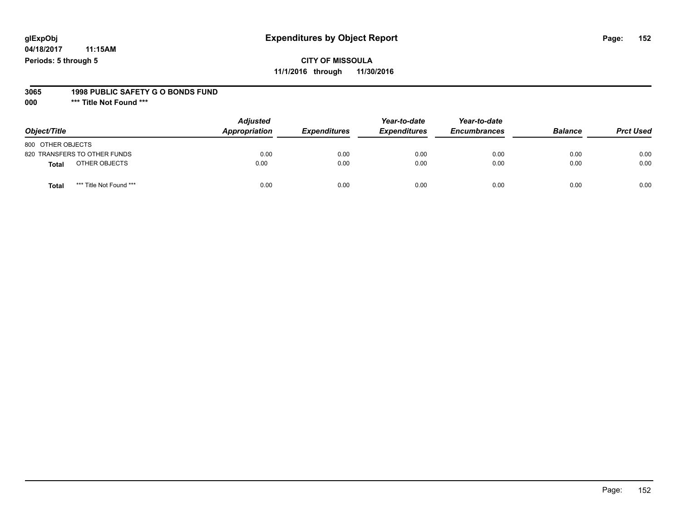## **glExpObj Expenditures by Object Report Page: 152**

**04/18/2017 11:15AM Periods: 5 through 5**

#### **3065 1998 PUBLIC SAFETY G O BONDS FUND**

**000 \*\*\* Title Not Found \*\*\***

| Object/Title                     | <b>Adjusted</b><br>Appropriation | <b>Expenditures</b> | Year-to-date<br><b>Expenditures</b> | Year-to-date<br><b>Encumbrances</b> | <b>Balance</b> | <b>Prct Used</b> |
|----------------------------------|----------------------------------|---------------------|-------------------------------------|-------------------------------------|----------------|------------------|
| 800 OTHER OBJECTS                |                                  |                     |                                     |                                     |                |                  |
| 820 TRANSFERS TO OTHER FUNDS     | 0.00                             | 0.00                | 0.00                                | 0.00                                | 0.00           | 0.00             |
| OTHER OBJECTS<br><b>Total</b>    | 0.00                             | 0.00                | 0.00                                | 0.00                                | 0.00           | 0.00             |
| *** Title Not Found ***<br>Total | 0.00                             | 0.00                | 0.00                                | 0.00                                | 0.00           | 0.00             |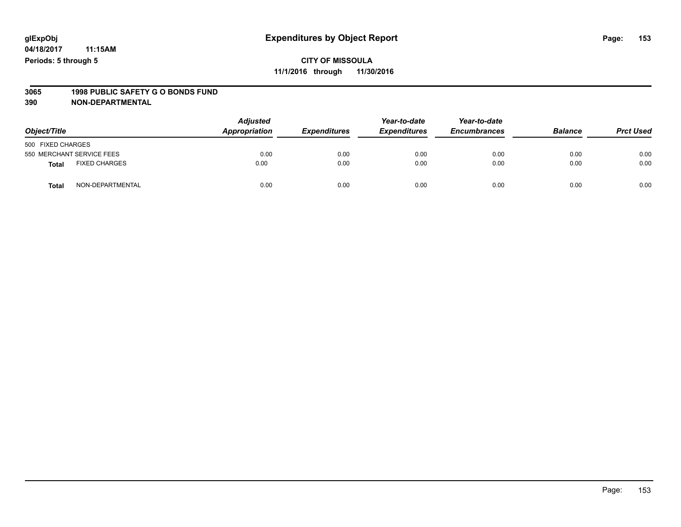# **3065 1998 PUBLIC SAFETY G O BONDS FUND**

| Object/Title                         | <b>Adjusted</b><br>Appropriation | <b>Expenditures</b> | Year-to-date<br><b>Expenditures</b> | Year-to-date<br><b>Encumbrances</b> | <b>Balance</b> | <b>Prct Used</b> |
|--------------------------------------|----------------------------------|---------------------|-------------------------------------|-------------------------------------|----------------|------------------|
| 500 FIXED CHARGES                    |                                  |                     |                                     |                                     |                |                  |
| 550 MERCHANT SERVICE FEES            | 0.00                             | 0.00                | 0.00                                | 0.00                                | 0.00           | 0.00             |
| <b>FIXED CHARGES</b><br><b>Total</b> | 0.00                             | 0.00                | 0.00                                | 0.00                                | 0.00           | 0.00             |
| NON-DEPARTMENTAL<br>Tota             | 0.00                             | 0.00                | 0.00                                | 0.00                                | 0.00           | 0.00             |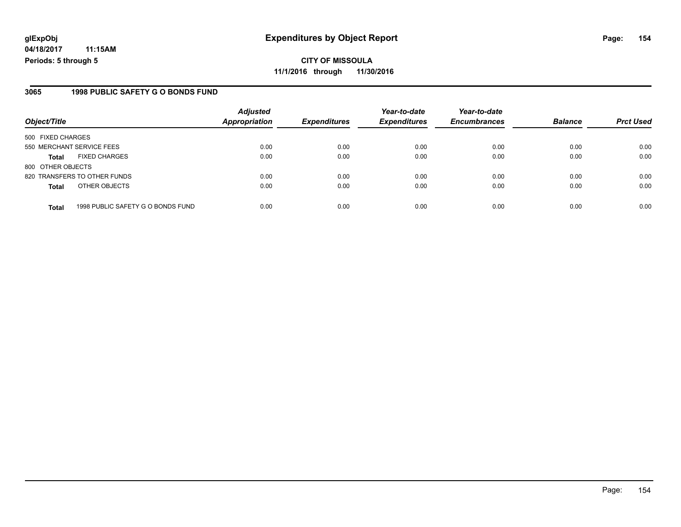**CITY OF MISSOULA 11/1/2016 through 11/30/2016**

### **3065 1998 PUBLIC SAFETY G O BONDS FUND**

|                           |                                   | <b>Adjusted</b>      |                     | Year-to-date        | Year-to-date        |                |                  |
|---------------------------|-----------------------------------|----------------------|---------------------|---------------------|---------------------|----------------|------------------|
| Object/Title              |                                   | <b>Appropriation</b> | <b>Expenditures</b> | <b>Expenditures</b> | <b>Encumbrances</b> | <b>Balance</b> | <b>Prct Used</b> |
| 500 FIXED CHARGES         |                                   |                      |                     |                     |                     |                |                  |
| 550 MERCHANT SERVICE FEES |                                   | 0.00                 | 0.00                | 0.00                | 0.00                | 0.00           | 0.00             |
| <b>Total</b>              | <b>FIXED CHARGES</b>              | 0.00                 | 0.00                | 0.00                | 0.00                | 0.00           | 0.00             |
| 800 OTHER OBJECTS         |                                   |                      |                     |                     |                     |                |                  |
|                           | 820 TRANSFERS TO OTHER FUNDS      | 0.00                 | 0.00                | 0.00                | 0.00                | 0.00           | 0.00             |
| <b>Total</b>              | OTHER OBJECTS                     | 0.00                 | 0.00                | 0.00                | 0.00                | 0.00           | 0.00             |
| <b>Total</b>              | 1998 PUBLIC SAFETY G O BONDS FUND | 0.00                 | 0.00                | 0.00                | 0.00                | 0.00           | 0.00             |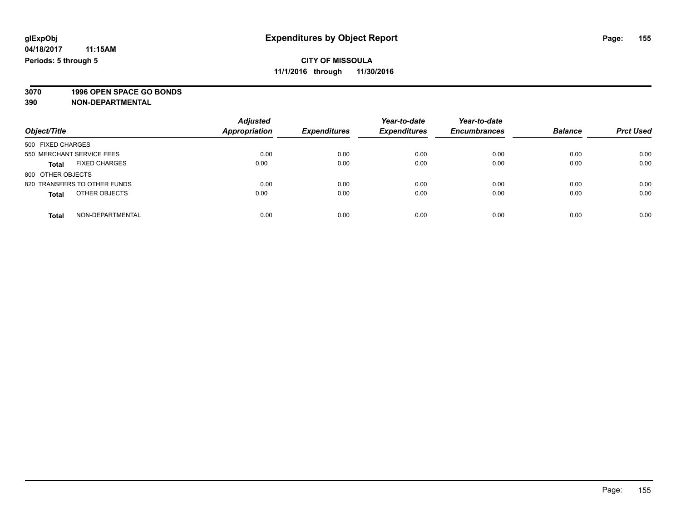**3070 1996 OPEN SPACE GO BONDS**

|                                      | <b>Adjusted</b>      |                     | Year-to-date        | Year-to-date        | <b>Balance</b> |                  |
|--------------------------------------|----------------------|---------------------|---------------------|---------------------|----------------|------------------|
| Object/Title                         | <b>Appropriation</b> | <b>Expenditures</b> | <b>Expenditures</b> | <b>Encumbrances</b> |                | <b>Prct Used</b> |
| 500 FIXED CHARGES                    |                      |                     |                     |                     |                |                  |
| 550 MERCHANT SERVICE FEES            | 0.00                 | 0.00                | 0.00                | 0.00                | 0.00           | 0.00             |
| <b>FIXED CHARGES</b><br><b>Total</b> | 0.00                 | 0.00                | 0.00                | 0.00                | 0.00           | 0.00             |
| 800 OTHER OBJECTS                    |                      |                     |                     |                     |                |                  |
| 820 TRANSFERS TO OTHER FUNDS         | 0.00                 | 0.00                | 0.00                | 0.00                | 0.00           | 0.00             |
| OTHER OBJECTS<br><b>Total</b>        | 0.00                 | 0.00                | 0.00                | 0.00                | 0.00           | 0.00             |
| NON-DEPARTMENTAL<br><b>Total</b>     | 0.00                 | 0.00                | 0.00                | 0.00                | 0.00           | 0.00             |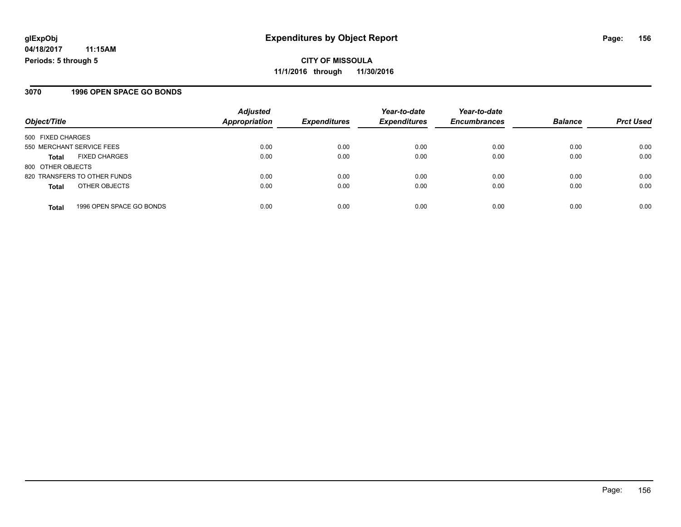### **3070 1996 OPEN SPACE GO BONDS**

|                                          | <b>Adjusted</b><br><b>Appropriation</b> |                     | Year-to-date        | Year-to-date        | <b>Balance</b> |                  |
|------------------------------------------|-----------------------------------------|---------------------|---------------------|---------------------|----------------|------------------|
| Object/Title                             |                                         | <b>Expenditures</b> | <b>Expenditures</b> | <b>Encumbrances</b> |                | <b>Prct Used</b> |
| 500 FIXED CHARGES                        |                                         |                     |                     |                     |                |                  |
| 550 MERCHANT SERVICE FEES                | 0.00                                    | 0.00                | 0.00                | 0.00                | 0.00           | 0.00             |
| <b>FIXED CHARGES</b><br><b>Total</b>     | 0.00                                    | 0.00                | 0.00                | 0.00                | 0.00           | 0.00             |
| 800 OTHER OBJECTS                        |                                         |                     |                     |                     |                |                  |
| 820 TRANSFERS TO OTHER FUNDS             | 0.00                                    | 0.00                | 0.00                | 0.00                | 0.00           | 0.00             |
| OTHER OBJECTS<br><b>Total</b>            | 0.00                                    | 0.00                | 0.00                | 0.00                | 0.00           | 0.00             |
| 1996 OPEN SPACE GO BONDS<br><b>Total</b> | 0.00                                    | 0.00                | 0.00                | 0.00                | 0.00           | 0.00             |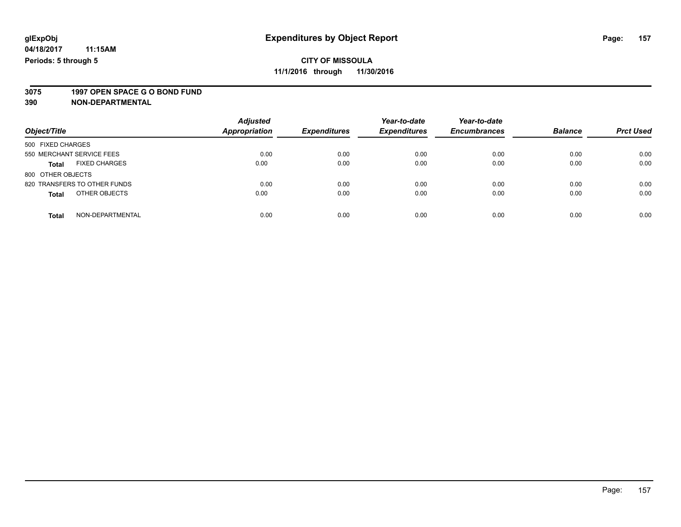# **3075 1997 OPEN SPACE G O BOND FUND**

| Object/Title                         | <b>Adjusted</b><br><b>Appropriation</b> | <b>Expenditures</b> | Year-to-date<br><b>Expenditures</b> | Year-to-date<br><b>Encumbrances</b> | <b>Balance</b> | <b>Prct Used</b> |
|--------------------------------------|-----------------------------------------|---------------------|-------------------------------------|-------------------------------------|----------------|------------------|
| 500 FIXED CHARGES                    |                                         |                     |                                     |                                     |                |                  |
| 550 MERCHANT SERVICE FEES            | 0.00                                    | 0.00                | 0.00                                | 0.00                                | 0.00           | 0.00             |
| <b>FIXED CHARGES</b><br><b>Total</b> | 0.00                                    | 0.00                | 0.00                                | 0.00                                | 0.00           | 0.00             |
| 800 OTHER OBJECTS                    |                                         |                     |                                     |                                     |                |                  |
| 820 TRANSFERS TO OTHER FUNDS         | 0.00                                    | 0.00                | 0.00                                | 0.00                                | 0.00           | 0.00             |
| OTHER OBJECTS<br><b>Total</b>        | 0.00                                    | 0.00                | 0.00                                | 0.00                                | 0.00           | 0.00             |
| NON-DEPARTMENTAL<br><b>Total</b>     | 0.00                                    | 0.00                | 0.00                                | 0.00                                | 0.00           | 0.00             |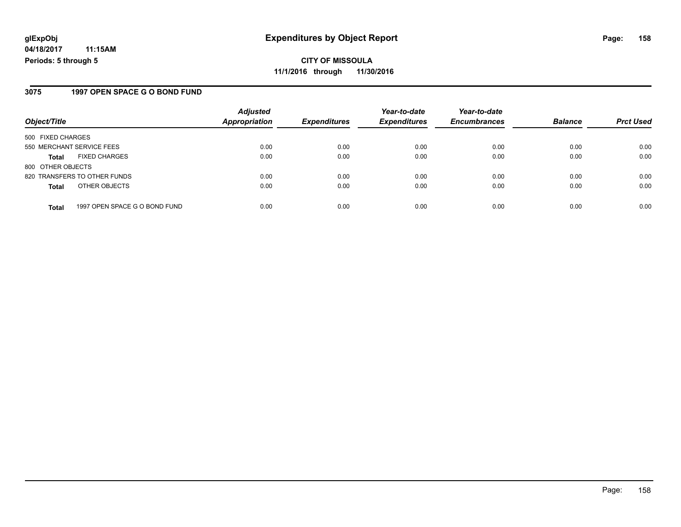### **3075 1997 OPEN SPACE G O BOND FUND**

|                                               | <b>Adjusted</b> |                     | Year-to-date        | Year-to-date        |                |                  |
|-----------------------------------------------|-----------------|---------------------|---------------------|---------------------|----------------|------------------|
| Object/Title                                  | Appropriation   | <b>Expenditures</b> | <b>Expenditures</b> | <b>Encumbrances</b> | <b>Balance</b> | <b>Prct Used</b> |
| 500 FIXED CHARGES                             |                 |                     |                     |                     |                |                  |
| 550 MERCHANT SERVICE FEES                     | 0.00            | 0.00                | 0.00                | 0.00                | 0.00           | 0.00             |
| <b>FIXED CHARGES</b><br><b>Total</b>          | 0.00            | 0.00                | 0.00                | 0.00                | 0.00           | 0.00             |
| 800 OTHER OBJECTS                             |                 |                     |                     |                     |                |                  |
| 820 TRANSFERS TO OTHER FUNDS                  | 0.00            | 0.00                | 0.00                | 0.00                | 0.00           | 0.00             |
| OTHER OBJECTS<br><b>Total</b>                 | 0.00            | 0.00                | 0.00                | 0.00                | 0.00           | 0.00             |
| 1997 OPEN SPACE G O BOND FUND<br><b>Total</b> | 0.00            | 0.00                | 0.00                | 0.00                | 0.00           | 0.00             |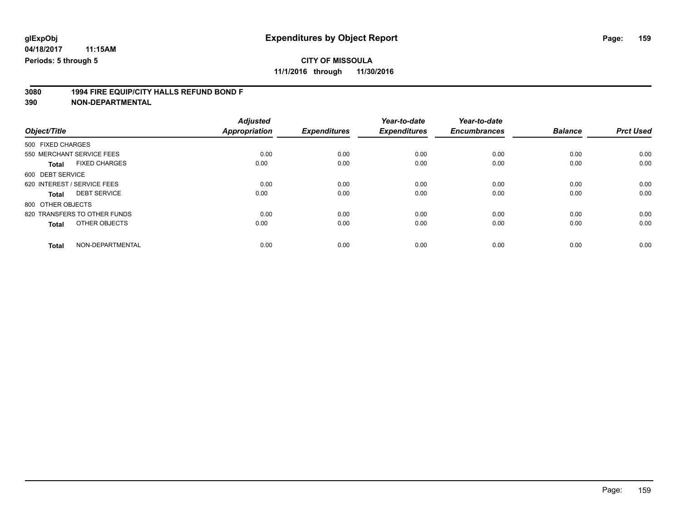**11/1/2016 through 11/30/2016**

# **3080 1994 FIRE EQUIP/CITY HALLS REFUND BOND F**

|                                      | <b>Adjusted</b>      |                     | Year-to-date        | Year-to-date        |                |                  |
|--------------------------------------|----------------------|---------------------|---------------------|---------------------|----------------|------------------|
| Object/Title                         | <b>Appropriation</b> | <b>Expenditures</b> | <b>Expenditures</b> | <b>Encumbrances</b> | <b>Balance</b> | <b>Prct Used</b> |
| 500 FIXED CHARGES                    |                      |                     |                     |                     |                |                  |
| 550 MERCHANT SERVICE FEES            | 0.00                 | 0.00                | 0.00                | 0.00                | 0.00           | 0.00             |
| <b>FIXED CHARGES</b><br><b>Total</b> | 0.00                 | 0.00                | 0.00                | 0.00                | 0.00           | 0.00             |
| 600 DEBT SERVICE                     |                      |                     |                     |                     |                |                  |
| 620 INTEREST / SERVICE FEES          | 0.00                 | 0.00                | 0.00                | 0.00                | 0.00           | 0.00             |
| <b>DEBT SERVICE</b><br>Total         | 0.00                 | 0.00                | 0.00                | 0.00                | 0.00           | 0.00             |
| 800 OTHER OBJECTS                    |                      |                     |                     |                     |                |                  |
| 820 TRANSFERS TO OTHER FUNDS         | 0.00                 | 0.00                | 0.00                | 0.00                | 0.00           | 0.00             |
| OTHER OBJECTS<br><b>Total</b>        | 0.00                 | 0.00                | 0.00                | 0.00                | 0.00           | 0.00             |
| NON-DEPARTMENTAL<br><b>Total</b>     | 0.00                 | 0.00                | 0.00                | 0.00                | 0.00           | 0.00             |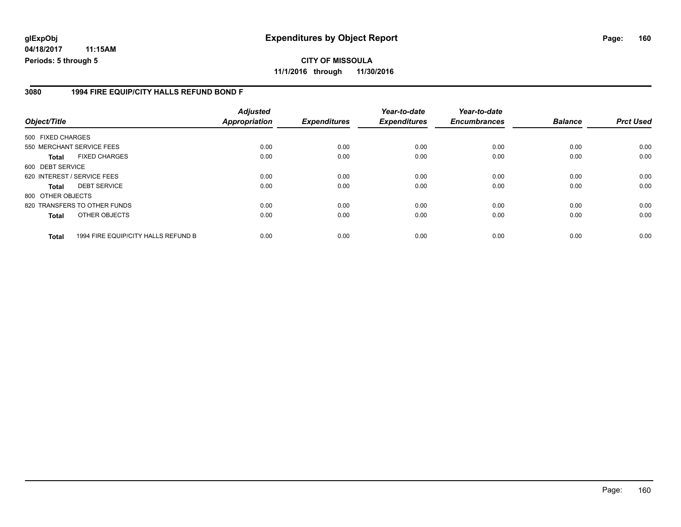**CITY OF MISSOULA 11/1/2016 through 11/30/2016**

### **3080 1994 FIRE EQUIP/CITY HALLS REFUND BOND F**

| Object/Title      |                                     | <b>Adjusted</b><br><b>Appropriation</b> | <b>Expenditures</b> | Year-to-date<br><b>Expenditures</b> | Year-to-date<br><b>Encumbrances</b> | <b>Balance</b> | <b>Prct Used</b> |
|-------------------|-------------------------------------|-----------------------------------------|---------------------|-------------------------------------|-------------------------------------|----------------|------------------|
|                   |                                     |                                         |                     |                                     |                                     |                |                  |
| 500 FIXED CHARGES |                                     |                                         |                     |                                     |                                     |                |                  |
|                   | 550 MERCHANT SERVICE FEES           | 0.00                                    | 0.00                | 0.00                                | 0.00                                | 0.00           | 0.00             |
| Total             | <b>FIXED CHARGES</b>                | 0.00                                    | 0.00                | 0.00                                | 0.00                                | 0.00           | 0.00             |
| 600 DEBT SERVICE  |                                     |                                         |                     |                                     |                                     |                |                  |
|                   | 620 INTEREST / SERVICE FEES         | 0.00                                    | 0.00                | 0.00                                | 0.00                                | 0.00           | 0.00             |
| <b>Total</b>      | <b>DEBT SERVICE</b>                 | 0.00                                    | 0.00                | 0.00                                | 0.00                                | 0.00           | 0.00             |
| 800 OTHER OBJECTS |                                     |                                         |                     |                                     |                                     |                |                  |
|                   | 820 TRANSFERS TO OTHER FUNDS        | 0.00                                    | 0.00                | 0.00                                | 0.00                                | 0.00           | 0.00             |
| <b>Total</b>      | OTHER OBJECTS                       | 0.00                                    | 0.00                | 0.00                                | 0.00                                | 0.00           | 0.00             |
| <b>Total</b>      | 1994 FIRE EQUIP/CITY HALLS REFUND B | 0.00                                    | 0.00                | 0.00                                | 0.00                                | 0.00           | 0.00             |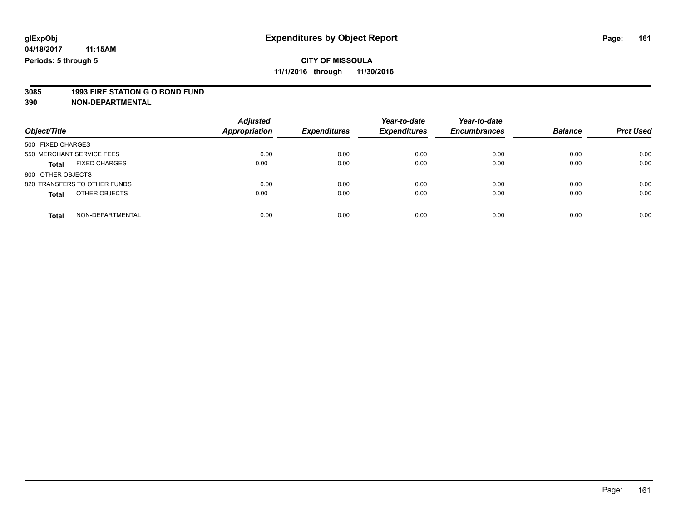# **3085 1993 FIRE STATION G O BOND FUND**

| Object/Title                         | <b>Adjusted</b><br>Appropriation | <b>Expenditures</b> | Year-to-date<br><b>Expenditures</b> | Year-to-date<br><b>Encumbrances</b> | <b>Balance</b> | <b>Prct Used</b> |
|--------------------------------------|----------------------------------|---------------------|-------------------------------------|-------------------------------------|----------------|------------------|
| 500 FIXED CHARGES                    |                                  |                     |                                     |                                     |                |                  |
| 550 MERCHANT SERVICE FEES            | 0.00                             | 0.00                | 0.00                                | 0.00                                | 0.00           | 0.00             |
| <b>FIXED CHARGES</b><br><b>Total</b> | 0.00                             | 0.00                | 0.00                                | 0.00                                | 0.00           | 0.00             |
| 800 OTHER OBJECTS                    |                                  |                     |                                     |                                     |                |                  |
| 820 TRANSFERS TO OTHER FUNDS         | 0.00                             | 0.00                | 0.00                                | 0.00                                | 0.00           | 0.00             |
| OTHER OBJECTS<br><b>Total</b>        | 0.00                             | 0.00                | 0.00                                | 0.00                                | 0.00           | 0.00             |
| NON-DEPARTMENTAL<br>Total            | 0.00                             | 0.00                | 0.00                                | 0.00                                | 0.00           | 0.00             |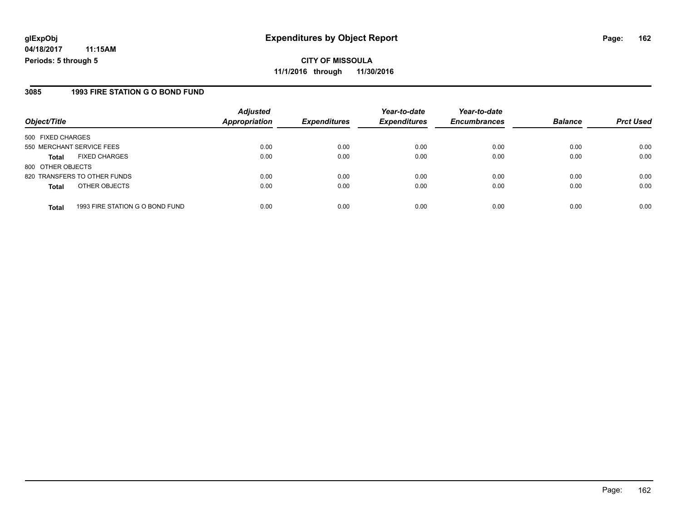**CITY OF MISSOULA 11/1/2016 through 11/30/2016**

### **3085 1993 FIRE STATION G O BOND FUND**

|                                                 | <b>Adjusted</b> | <b>Expenditures</b> | Year-to-date<br><b>Expenditures</b> | Year-to-date<br><b>Encumbrances</b> | <b>Balance</b> | <b>Prct Used</b> |
|-------------------------------------------------|-----------------|---------------------|-------------------------------------|-------------------------------------|----------------|------------------|
| Object/Title                                    | Appropriation   |                     |                                     |                                     |                |                  |
| 500 FIXED CHARGES                               |                 |                     |                                     |                                     |                |                  |
| 550 MERCHANT SERVICE FEES                       | 0.00            | 0.00                | 0.00                                | 0.00                                | 0.00           | 0.00             |
| <b>FIXED CHARGES</b><br><b>Total</b>            | 0.00            | 0.00                | 0.00                                | 0.00                                | 0.00           | 0.00             |
| 800 OTHER OBJECTS                               |                 |                     |                                     |                                     |                |                  |
| 820 TRANSFERS TO OTHER FUNDS                    | 0.00            | 0.00                | 0.00                                | 0.00                                | 0.00           | 0.00             |
| OTHER OBJECTS<br><b>Total</b>                   | 0.00            | 0.00                | 0.00                                | 0.00                                | 0.00           | 0.00             |
| 1993 FIRE STATION G O BOND FUND<br><b>Total</b> | 0.00            | 0.00                | 0.00                                | 0.00                                | 0.00           | 0.00             |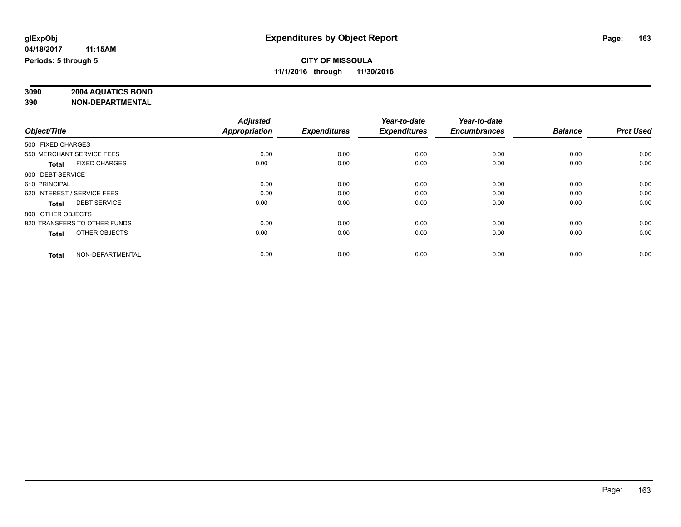# **3090 2004 AQUATICS BOND**

|                   |                              | <b>Adjusted</b> |                     | Year-to-date        | Year-to-date        |                |                  |
|-------------------|------------------------------|-----------------|---------------------|---------------------|---------------------|----------------|------------------|
| Object/Title      |                              | Appropriation   | <b>Expenditures</b> | <b>Expenditures</b> | <b>Encumbrances</b> | <b>Balance</b> | <b>Prct Used</b> |
| 500 FIXED CHARGES |                              |                 |                     |                     |                     |                |                  |
|                   | 550 MERCHANT SERVICE FEES    | 0.00            | 0.00                | 0.00                | 0.00                | 0.00           | 0.00             |
| <b>Total</b>      | <b>FIXED CHARGES</b>         | 0.00            | 0.00                | 0.00                | 0.00                | 0.00           | 0.00             |
| 600 DEBT SERVICE  |                              |                 |                     |                     |                     |                |                  |
| 610 PRINCIPAL     |                              | 0.00            | 0.00                | 0.00                | 0.00                | 0.00           | 0.00             |
|                   | 620 INTEREST / SERVICE FEES  | 0.00            | 0.00                | 0.00                | 0.00                | 0.00           | 0.00             |
| <b>Total</b>      | <b>DEBT SERVICE</b>          | 0.00            | 0.00                | 0.00                | 0.00                | 0.00           | 0.00             |
| 800 OTHER OBJECTS |                              |                 |                     |                     |                     |                |                  |
|                   | 820 TRANSFERS TO OTHER FUNDS | 0.00            | 0.00                | 0.00                | 0.00                | 0.00           | 0.00             |
| <b>Total</b>      | OTHER OBJECTS                | 0.00            | 0.00                | 0.00                | 0.00                | 0.00           | 0.00             |
|                   |                              |                 |                     |                     |                     |                |                  |
| <b>Total</b>      | NON-DEPARTMENTAL             | 0.00            | 0.00                | 0.00                | 0.00                | 0.00           | 0.00             |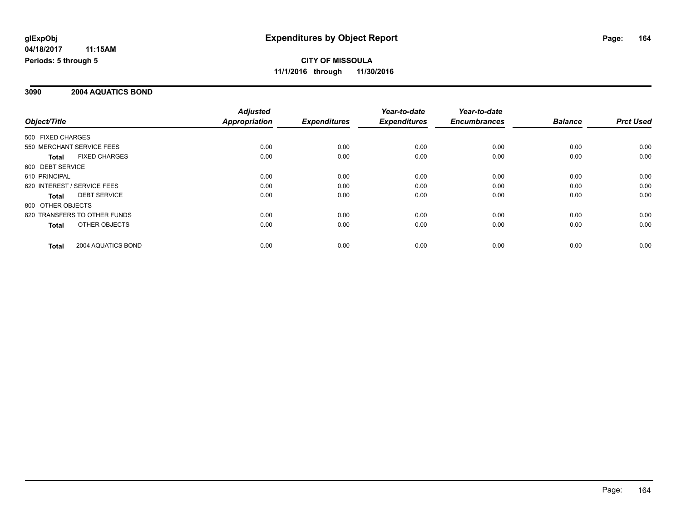### **3090 2004 AQUATICS BOND**

|                                      | <b>Adjusted</b>      |                     | Year-to-date        | Year-to-date        |                |                  |
|--------------------------------------|----------------------|---------------------|---------------------|---------------------|----------------|------------------|
| Object/Title                         | <b>Appropriation</b> | <b>Expenditures</b> | <b>Expenditures</b> | <b>Encumbrances</b> | <b>Balance</b> | <b>Prct Used</b> |
| 500 FIXED CHARGES                    |                      |                     |                     |                     |                |                  |
| 550 MERCHANT SERVICE FEES            | 0.00                 | 0.00                | 0.00                | 0.00                | 0.00           | 0.00             |
| <b>FIXED CHARGES</b><br><b>Total</b> | 0.00                 | 0.00                | 0.00                | 0.00                | 0.00           | 0.00             |
| 600 DEBT SERVICE                     |                      |                     |                     |                     |                |                  |
| 610 PRINCIPAL                        | 0.00                 | 0.00                | 0.00                | 0.00                | 0.00           | 0.00             |
| 620 INTEREST / SERVICE FEES          | 0.00                 | 0.00                | 0.00                | 0.00                | 0.00           | 0.00             |
| <b>DEBT SERVICE</b><br>Total         | 0.00                 | 0.00                | 0.00                | 0.00                | 0.00           | 0.00             |
| 800 OTHER OBJECTS                    |                      |                     |                     |                     |                |                  |
| 820 TRANSFERS TO OTHER FUNDS         | 0.00                 | 0.00                | 0.00                | 0.00                | 0.00           | 0.00             |
| OTHER OBJECTS<br>Total               | 0.00                 | 0.00                | 0.00                | 0.00                | 0.00           | 0.00             |
| 2004 AQUATICS BOND<br><b>Total</b>   | 0.00                 | 0.00                | 0.00                | 0.00                | 0.00           | 0.00             |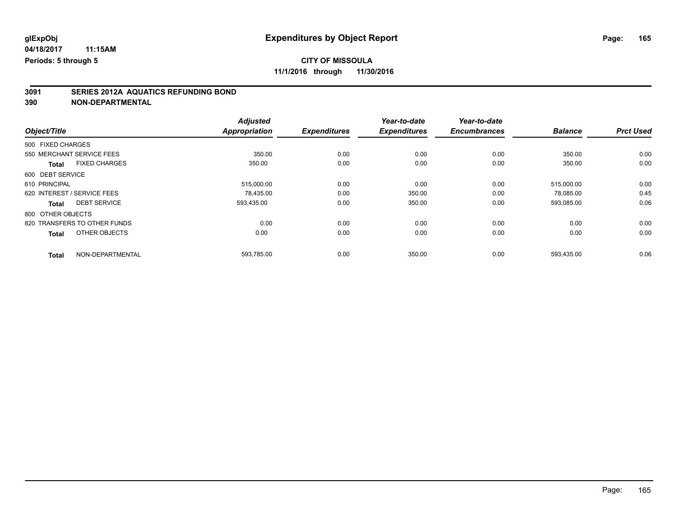# **CITY OF MISSOULA**

**11/1/2016 through 11/30/2016**

# **3091 SERIES 2012A AQUATICS REFUNDING BOND**

|                                      | <b>Adjusted</b>      |                     | Year-to-date        | Year-to-date        |                |                  |
|--------------------------------------|----------------------|---------------------|---------------------|---------------------|----------------|------------------|
| Object/Title                         | <b>Appropriation</b> | <b>Expenditures</b> | <b>Expenditures</b> | <b>Encumbrances</b> | <b>Balance</b> | <b>Prct Used</b> |
| 500 FIXED CHARGES                    |                      |                     |                     |                     |                |                  |
| 550 MERCHANT SERVICE FEES            | 350.00               | 0.00                | 0.00                | 0.00                | 350.00         | 0.00             |
| <b>FIXED CHARGES</b><br><b>Total</b> | 350.00               | 0.00                | 0.00                | 0.00                | 350.00         | 0.00             |
| 600 DEBT SERVICE                     |                      |                     |                     |                     |                |                  |
| 610 PRINCIPAL                        | 515,000.00           | 0.00                | 0.00                | 0.00                | 515,000.00     | 0.00             |
| 620 INTEREST / SERVICE FEES          | 78,435.00            | 0.00                | 350.00              | 0.00                | 78,085.00      | 0.45             |
| <b>DEBT SERVICE</b><br><b>Total</b>  | 593,435.00           | 0.00                | 350.00              | 0.00                | 593,085.00     | 0.06             |
| 800 OTHER OBJECTS                    |                      |                     |                     |                     |                |                  |
| 820 TRANSFERS TO OTHER FUNDS         | 0.00                 | 0.00                | 0.00                | 0.00                | 0.00           | 0.00             |
| OTHER OBJECTS<br><b>Total</b>        | 0.00                 | 0.00                | 0.00                | 0.00                | 0.00           | 0.00             |
| NON-DEPARTMENTAL<br><b>Total</b>     | 593,785.00           | 0.00                | 350.00              | 0.00                | 593,435.00     | 0.06             |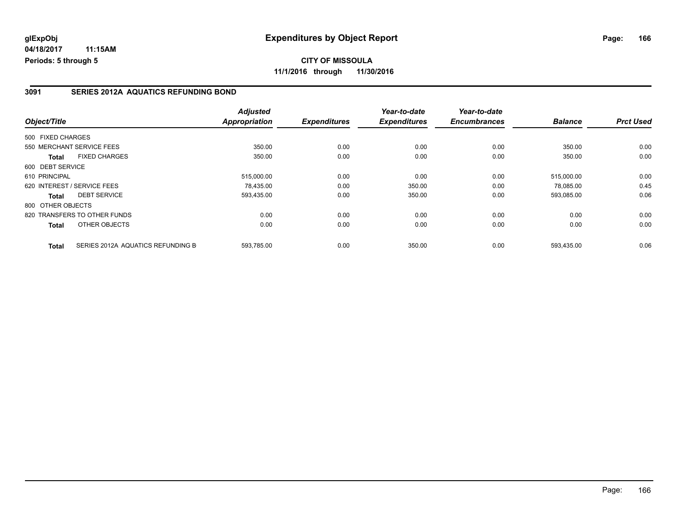### **3091 SERIES 2012A AQUATICS REFUNDING BOND**

|                             |                                   | <b>Adjusted</b>      |                     | Year-to-date        | Year-to-date        |                |                  |
|-----------------------------|-----------------------------------|----------------------|---------------------|---------------------|---------------------|----------------|------------------|
| Object/Title                |                                   | <b>Appropriation</b> | <b>Expenditures</b> | <b>Expenditures</b> | <b>Encumbrances</b> | <b>Balance</b> | <b>Prct Used</b> |
| 500 FIXED CHARGES           |                                   |                      |                     |                     |                     |                |                  |
| 550 MERCHANT SERVICE FEES   |                                   | 350.00               | 0.00                | 0.00                | 0.00                | 350.00         | 0.00             |
| <b>Total</b>                | <b>FIXED CHARGES</b>              | 350.00               | 0.00                | 0.00                | 0.00                | 350.00         | 0.00             |
| 600 DEBT SERVICE            |                                   |                      |                     |                     |                     |                |                  |
| 610 PRINCIPAL               |                                   | 515,000.00           | 0.00                | 0.00                | 0.00                | 515.000.00     | 0.00             |
| 620 INTEREST / SERVICE FEES |                                   | 78,435.00            | 0.00                | 350.00              | 0.00                | 78,085.00      | 0.45             |
| Total                       | <b>DEBT SERVICE</b>               | 593,435.00           | 0.00                | 350.00              | 0.00                | 593.085.00     | 0.06             |
| 800 OTHER OBJECTS           |                                   |                      |                     |                     |                     |                |                  |
|                             | 820 TRANSFERS TO OTHER FUNDS      | 0.00                 | 0.00                | 0.00                | 0.00                | 0.00           | 0.00             |
| Total                       | OTHER OBJECTS                     | 0.00                 | 0.00                | 0.00                | 0.00                | 0.00           | 0.00             |
| <b>Total</b>                | SERIES 2012A AQUATICS REFUNDING B | 593.785.00           | 0.00                | 350.00              | 0.00                | 593.435.00     | 0.06             |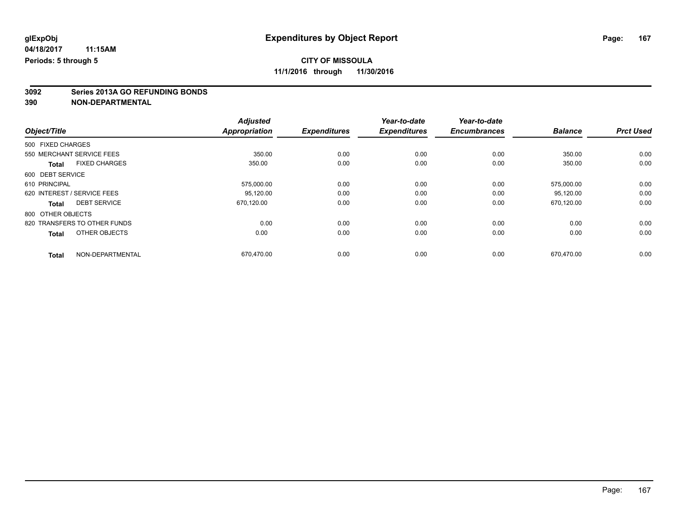# **3092 Series 2013A GO REFUNDING BONDS**

|                   |                              | <b>Adjusted</b>      |                     | Year-to-date        | Year-to-date        |                |                  |
|-------------------|------------------------------|----------------------|---------------------|---------------------|---------------------|----------------|------------------|
| Object/Title      |                              | <b>Appropriation</b> | <b>Expenditures</b> | <b>Expenditures</b> | <b>Encumbrances</b> | <b>Balance</b> | <b>Prct Used</b> |
| 500 FIXED CHARGES |                              |                      |                     |                     |                     |                |                  |
|                   | 550 MERCHANT SERVICE FEES    | 350.00               | 0.00                | 0.00                | 0.00                | 350.00         | 0.00             |
| <b>Total</b>      | <b>FIXED CHARGES</b>         | 350.00               | 0.00                | 0.00                | 0.00                | 350.00         | 0.00             |
| 600 DEBT SERVICE  |                              |                      |                     |                     |                     |                |                  |
| 610 PRINCIPAL     |                              | 575,000.00           | 0.00                | 0.00                | 0.00                | 575,000.00     | 0.00             |
|                   | 620 INTEREST / SERVICE FEES  | 95,120.00            | 0.00                | 0.00                | 0.00                | 95,120.00      | 0.00             |
| <b>Total</b>      | <b>DEBT SERVICE</b>          | 670,120.00           | 0.00                | 0.00                | 0.00                | 670,120.00     | 0.00             |
| 800 OTHER OBJECTS |                              |                      |                     |                     |                     |                |                  |
|                   | 820 TRANSFERS TO OTHER FUNDS | 0.00                 | 0.00                | 0.00                | 0.00                | 0.00           | 0.00             |
| <b>Total</b>      | OTHER OBJECTS                | 0.00                 | 0.00                | 0.00                | 0.00                | 0.00           | 0.00             |
| <b>Total</b>      | NON-DEPARTMENTAL             | 670,470.00           | 0.00                | 0.00                | 0.00                | 670,470.00     | 0.00             |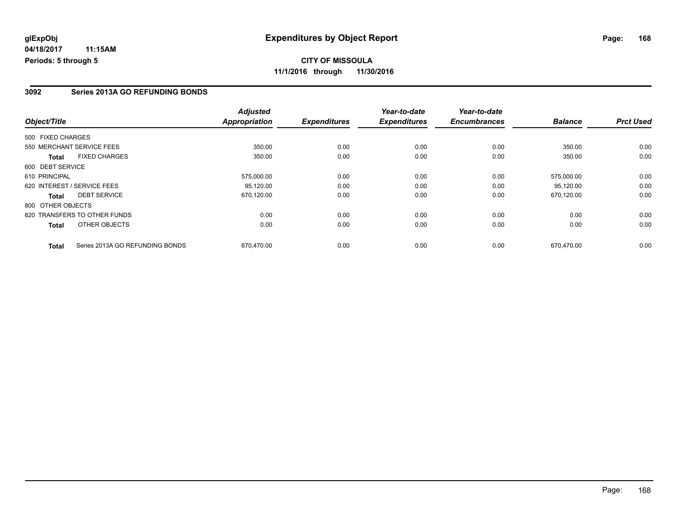# **CITY OF MISSOULA 11/1/2016 through 11/30/2016**

### **3092 Series 2013A GO REFUNDING BONDS**

| Object/Title      |                                 | <b>Adjusted</b><br>Appropriation | <b>Expenditures</b> | Year-to-date<br><b>Expenditures</b> | Year-to-date<br><b>Encumbrances</b> | <b>Balance</b> | <b>Prct Used</b> |
|-------------------|---------------------------------|----------------------------------|---------------------|-------------------------------------|-------------------------------------|----------------|------------------|
|                   |                                 |                                  |                     |                                     |                                     |                |                  |
| 500 FIXED CHARGES |                                 |                                  |                     |                                     |                                     |                |                  |
|                   | 550 MERCHANT SERVICE FEES       | 350.00                           | 0.00                | 0.00                                | 0.00                                | 350.00         | 0.00             |
| <b>Total</b>      | <b>FIXED CHARGES</b>            | 350.00                           | 0.00                | 0.00                                | 0.00                                | 350.00         | 0.00             |
| 600 DEBT SERVICE  |                                 |                                  |                     |                                     |                                     |                |                  |
| 610 PRINCIPAL     |                                 | 575,000.00                       | 0.00                | 0.00                                | 0.00                                | 575,000.00     | 0.00             |
|                   | 620 INTEREST / SERVICE FEES     | 95.120.00                        | 0.00                | 0.00                                | 0.00                                | 95.120.00      | 0.00             |
| <b>Total</b>      | <b>DEBT SERVICE</b>             | 670,120.00                       | 0.00                | 0.00                                | 0.00                                | 670.120.00     | 0.00             |
| 800 OTHER OBJECTS |                                 |                                  |                     |                                     |                                     |                |                  |
|                   | 820 TRANSFERS TO OTHER FUNDS    | 0.00                             | 0.00                | 0.00                                | 0.00                                | 0.00           | 0.00             |
| Total             | OTHER OBJECTS                   | 0.00                             | 0.00                | 0.00                                | 0.00                                | 0.00           | 0.00             |
| <b>Total</b>      | Series 2013A GO REFUNDING BONDS | 670.470.00                       | 0.00                | 0.00                                | 0.00                                | 670.470.00     | 0.00             |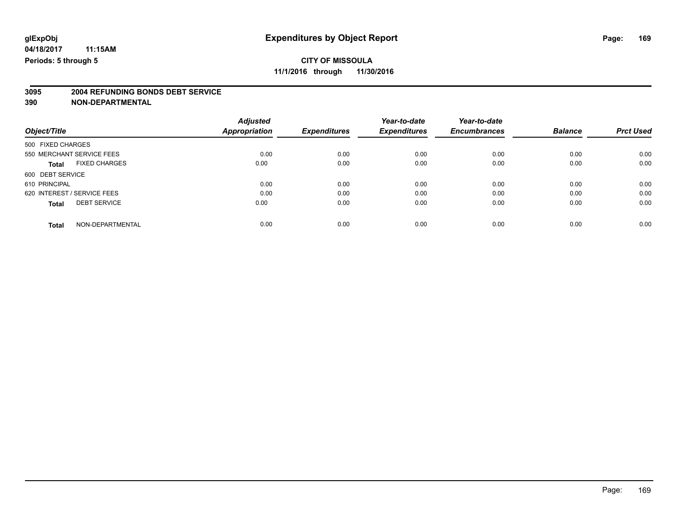# **3095 2004 REFUNDING BONDS DEBT SERVICE**

|                                      | <b>Adjusted</b>      |                     | Year-to-date        | Year-to-date        |                |                  |
|--------------------------------------|----------------------|---------------------|---------------------|---------------------|----------------|------------------|
| Object/Title                         | <b>Appropriation</b> | <b>Expenditures</b> | <b>Expenditures</b> | <b>Encumbrances</b> | <b>Balance</b> | <b>Prct Used</b> |
| 500 FIXED CHARGES                    |                      |                     |                     |                     |                |                  |
| 550 MERCHANT SERVICE FEES            | 0.00                 | 0.00                | 0.00                | 0.00                | 0.00           | 0.00             |
| <b>FIXED CHARGES</b><br><b>Total</b> | 0.00                 | 0.00                | 0.00                | 0.00                | 0.00           | 0.00             |
| 600 DEBT SERVICE                     |                      |                     |                     |                     |                |                  |
| 610 PRINCIPAL                        | 0.00                 | 0.00                | 0.00                | 0.00                | 0.00           | 0.00             |
| 620 INTEREST / SERVICE FEES          | 0.00                 | 0.00                | 0.00                | 0.00                | 0.00           | 0.00             |
| <b>DEBT SERVICE</b><br><b>Total</b>  | 0.00                 | 0.00                | 0.00                | 0.00                | 0.00           | 0.00             |
| NON-DEPARTMENTAL<br>Total            | 0.00                 | 0.00                | 0.00                | 0.00                | 0.00           | 0.00             |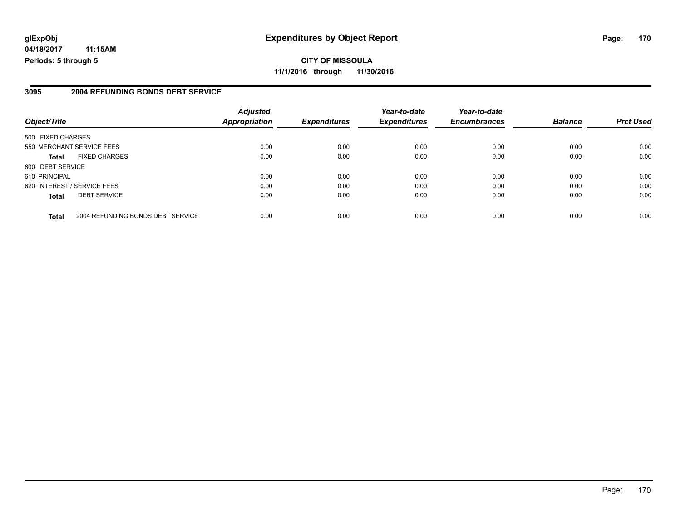**CITY OF MISSOULA 11/1/2016 through 11/30/2016**

### **3095 2004 REFUNDING BONDS DEBT SERVICE**

| Object/Title      |                                   | <b>Adjusted</b><br>Appropriation | <b>Expenditures</b> | Year-to-date<br><b>Expenditures</b> | Year-to-date<br><b>Encumbrances</b> | <b>Balance</b> | <b>Prct Used</b> |
|-------------------|-----------------------------------|----------------------------------|---------------------|-------------------------------------|-------------------------------------|----------------|------------------|
|                   |                                   |                                  |                     |                                     |                                     |                |                  |
| 500 FIXED CHARGES |                                   |                                  |                     |                                     |                                     |                |                  |
|                   | 550 MERCHANT SERVICE FEES         | 0.00                             | 0.00                | 0.00                                | 0.00                                | 0.00           | 0.00             |
| <b>Total</b>      | <b>FIXED CHARGES</b>              | 0.00                             | 0.00                | 0.00                                | 0.00                                | 0.00           | 0.00             |
| 600 DEBT SERVICE  |                                   |                                  |                     |                                     |                                     |                |                  |
| 610 PRINCIPAL     |                                   | 0.00                             | 0.00                | 0.00                                | 0.00                                | 0.00           | 0.00             |
|                   | 620 INTEREST / SERVICE FEES       | 0.00                             | 0.00                | 0.00                                | 0.00                                | 0.00           | 0.00             |
| <b>Total</b>      | <b>DEBT SERVICE</b>               | 0.00                             | 0.00                | 0.00                                | 0.00                                | 0.00           | 0.00             |
| <b>Total</b>      | 2004 REFUNDING BONDS DEBT SERVICE | 0.00                             | 0.00                | 0.00                                | 0.00                                | 0.00           | 0.00             |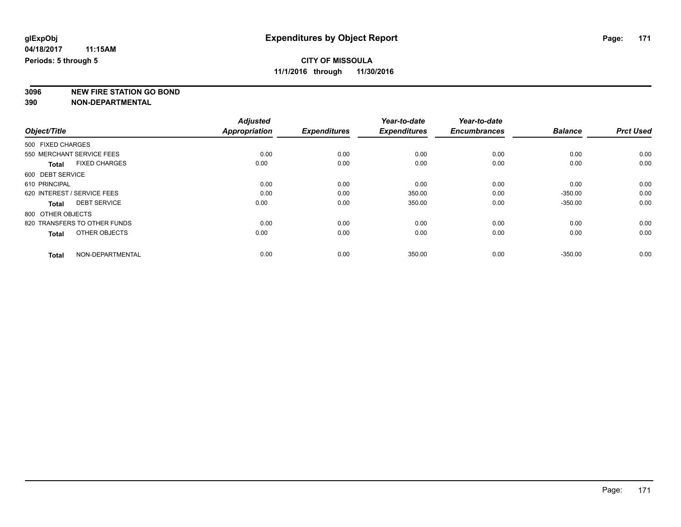**3096 NEW FIRE STATION GO BOND**

|                                      | <b>Adjusted</b>      |                     | Year-to-date        | Year-to-date        |                |                  |
|--------------------------------------|----------------------|---------------------|---------------------|---------------------|----------------|------------------|
| Object/Title                         | <b>Appropriation</b> | <b>Expenditures</b> | <b>Expenditures</b> | <b>Encumbrances</b> | <b>Balance</b> | <b>Prct Used</b> |
| 500 FIXED CHARGES                    |                      |                     |                     |                     |                |                  |
| 550 MERCHANT SERVICE FEES            | 0.00                 | 0.00                | 0.00                | 0.00                | 0.00           | 0.00             |
| <b>FIXED CHARGES</b><br><b>Total</b> | 0.00                 | 0.00                | 0.00                | 0.00                | 0.00           | 0.00             |
| 600 DEBT SERVICE                     |                      |                     |                     |                     |                |                  |
| 610 PRINCIPAL                        | 0.00                 | 0.00                | 0.00                | 0.00                | 0.00           | 0.00             |
| 620 INTEREST / SERVICE FEES          | 0.00                 | 0.00                | 350.00              | 0.00                | $-350.00$      | 0.00             |
| <b>DEBT SERVICE</b><br><b>Total</b>  | 0.00                 | 0.00                | 350.00              | 0.00                | $-350.00$      | 0.00             |
| 800 OTHER OBJECTS                    |                      |                     |                     |                     |                |                  |
| 820 TRANSFERS TO OTHER FUNDS         | 0.00                 | 0.00                | 0.00                | 0.00                | 0.00           | 0.00             |
| OTHER OBJECTS<br><b>Total</b>        | 0.00                 | 0.00                | 0.00                | 0.00                | 0.00           | 0.00             |
| NON-DEPARTMENTAL<br><b>Total</b>     | 0.00                 | 0.00                | 350.00              | 0.00                | $-350.00$      | 0.00             |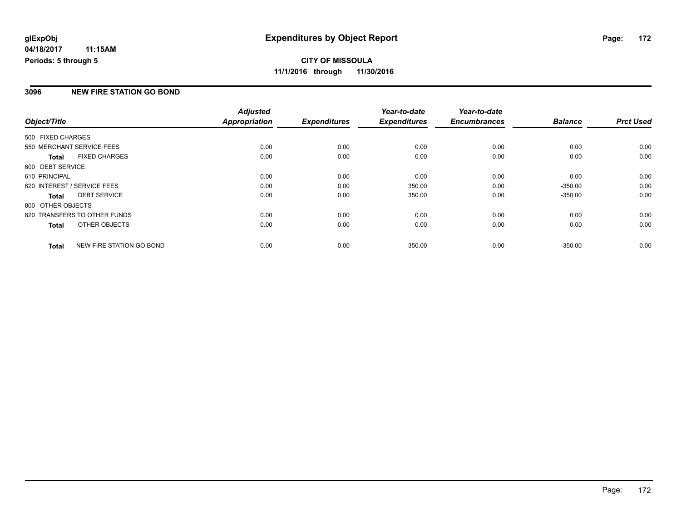### **3096 NEW FIRE STATION GO BOND**

|                   |                              | <b>Adjusted</b> |                     | Year-to-date        | Year-to-date        |                |                  |
|-------------------|------------------------------|-----------------|---------------------|---------------------|---------------------|----------------|------------------|
| Object/Title      |                              | Appropriation   | <b>Expenditures</b> | <b>Expenditures</b> | <b>Encumbrances</b> | <b>Balance</b> | <b>Prct Used</b> |
| 500 FIXED CHARGES |                              |                 |                     |                     |                     |                |                  |
|                   | 550 MERCHANT SERVICE FEES    | 0.00            | 0.00                | 0.00                | 0.00                | 0.00           | 0.00             |
| <b>Total</b>      | <b>FIXED CHARGES</b>         | 0.00            | 0.00                | 0.00                | 0.00                | 0.00           | 0.00             |
| 600 DEBT SERVICE  |                              |                 |                     |                     |                     |                |                  |
| 610 PRINCIPAL     |                              | 0.00            | 0.00                | 0.00                | 0.00                | 0.00           | 0.00             |
|                   | 620 INTEREST / SERVICE FEES  | 0.00            | 0.00                | 350.00              | 0.00                | $-350.00$      | 0.00             |
| Total             | <b>DEBT SERVICE</b>          | 0.00            | 0.00                | 350.00              | 0.00                | $-350.00$      | 0.00             |
| 800 OTHER OBJECTS |                              |                 |                     |                     |                     |                |                  |
|                   | 820 TRANSFERS TO OTHER FUNDS | 0.00            | 0.00                | 0.00                | 0.00                | 0.00           | 0.00             |
| <b>Total</b>      | OTHER OBJECTS                | 0.00            | 0.00                | 0.00                | 0.00                | 0.00           | 0.00             |
| <b>Total</b>      | NEW FIRE STATION GO BOND     | 0.00            | 0.00                | 350.00              | 0.00                | $-350.00$      | 0.00             |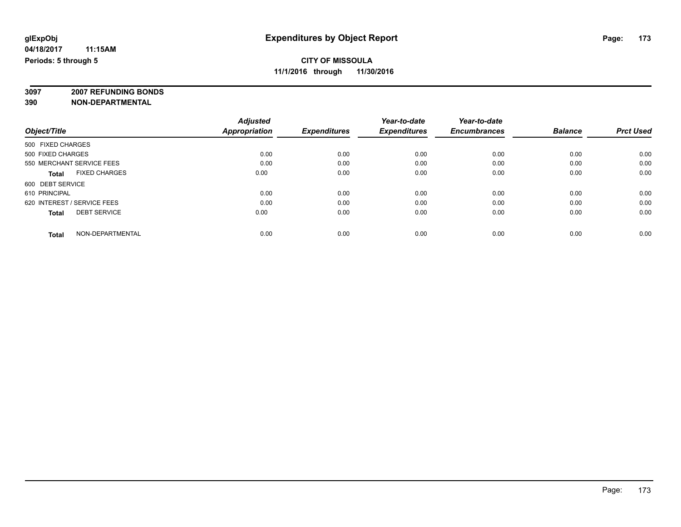**3097 2007 REFUNDING BONDS**

| Object/Title                         | <b>Adjusted</b><br><b>Appropriation</b> | <b>Expenditures</b> | Year-to-date<br><b>Expenditures</b> | Year-to-date<br><b>Encumbrances</b> | <b>Balance</b> | <b>Prct Used</b> |
|--------------------------------------|-----------------------------------------|---------------------|-------------------------------------|-------------------------------------|----------------|------------------|
|                                      |                                         |                     |                                     |                                     |                |                  |
| 500 FIXED CHARGES                    |                                         |                     |                                     |                                     |                |                  |
| 500 FIXED CHARGES                    | 0.00                                    | 0.00                | 0.00                                | 0.00                                | 0.00           | 0.00             |
| 550 MERCHANT SERVICE FEES            | 0.00                                    | 0.00                | 0.00                                | 0.00                                | 0.00           | 0.00             |
| <b>FIXED CHARGES</b><br><b>Total</b> | 0.00                                    | 0.00                | 0.00                                | 0.00                                | 0.00           | 0.00             |
| 600 DEBT SERVICE                     |                                         |                     |                                     |                                     |                |                  |
| 610 PRINCIPAL                        | 0.00                                    | 0.00                | 0.00                                | 0.00                                | 0.00           | 0.00             |
| 620 INTEREST / SERVICE FEES          | 0.00                                    | 0.00                | 0.00                                | 0.00                                | 0.00           | 0.00             |
| <b>DEBT SERVICE</b><br><b>Total</b>  | 0.00                                    | 0.00                | 0.00                                | 0.00                                | 0.00           | 0.00             |
| NON-DEPARTMENTAL<br><b>Total</b>     | 0.00                                    | 0.00                | 0.00                                | 0.00                                | 0.00           | 0.00             |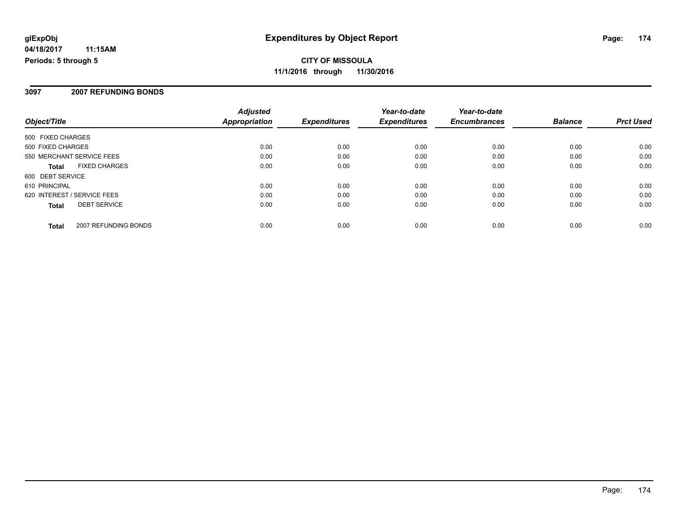### **3097 2007 REFUNDING BONDS**

| Object/Title                |                      | <b>Adjusted</b><br><b>Appropriation</b> | <b>Expenditures</b> | Year-to-date<br><b>Expenditures</b> | Year-to-date<br><b>Encumbrances</b> | <b>Balance</b> | <b>Prct Used</b> |
|-----------------------------|----------------------|-----------------------------------------|---------------------|-------------------------------------|-------------------------------------|----------------|------------------|
| 500 FIXED CHARGES           |                      |                                         |                     |                                     |                                     |                |                  |
| 500 FIXED CHARGES           |                      | 0.00                                    | 0.00                | 0.00                                | 0.00                                | 0.00           | 0.00             |
| 550 MERCHANT SERVICE FEES   |                      | 0.00                                    | 0.00                | 0.00                                | 0.00                                | 0.00           | 0.00             |
| <b>Total</b>                | <b>FIXED CHARGES</b> | 0.00                                    | 0.00                | 0.00                                | 0.00                                | 0.00           | 0.00             |
| 600 DEBT SERVICE            |                      |                                         |                     |                                     |                                     |                |                  |
| 610 PRINCIPAL               |                      | 0.00                                    | 0.00                | 0.00                                | 0.00                                | 0.00           | 0.00             |
| 620 INTEREST / SERVICE FEES |                      | 0.00                                    | 0.00                | 0.00                                | 0.00                                | 0.00           | 0.00             |
| <b>Total</b>                | <b>DEBT SERVICE</b>  | 0.00                                    | 0.00                | 0.00                                | 0.00                                | 0.00           | 0.00             |
| <b>Total</b>                | 2007 REFUNDING BONDS | 0.00                                    | 0.00                | 0.00                                | 0.00                                | 0.00           | 0.00             |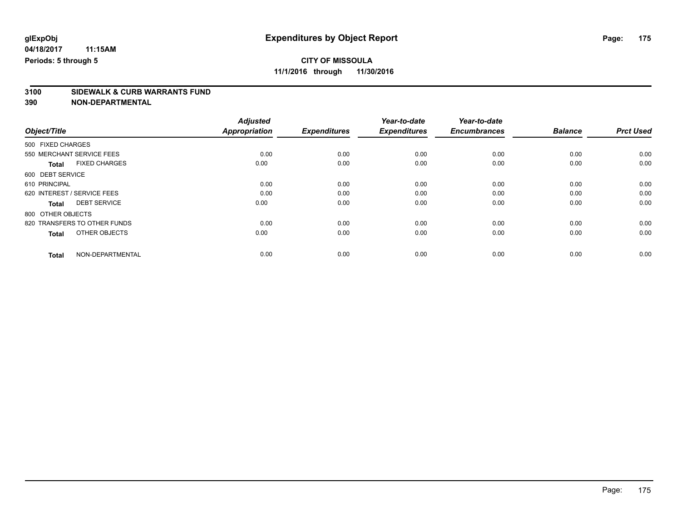# **3100 SIDEWALK & CURB WARRANTS FUND**

|                                      | <b>Adjusted</b>      |                     | Year-to-date        | Year-to-date        |                |                  |
|--------------------------------------|----------------------|---------------------|---------------------|---------------------|----------------|------------------|
| Object/Title                         | <b>Appropriation</b> | <b>Expenditures</b> | <b>Expenditures</b> | <b>Encumbrances</b> | <b>Balance</b> | <b>Prct Used</b> |
| 500 FIXED CHARGES                    |                      |                     |                     |                     |                |                  |
| 550 MERCHANT SERVICE FEES            | 0.00                 | 0.00                | 0.00                | 0.00                | 0.00           | 0.00             |
| <b>FIXED CHARGES</b><br><b>Total</b> | 0.00                 | 0.00                | 0.00                | 0.00                | 0.00           | 0.00             |
| 600 DEBT SERVICE                     |                      |                     |                     |                     |                |                  |
| 610 PRINCIPAL                        | 0.00                 | 0.00                | 0.00                | 0.00                | 0.00           | 0.00             |
| 620 INTEREST / SERVICE FEES          | 0.00                 | 0.00                | 0.00                | 0.00                | 0.00           | 0.00             |
| <b>DEBT SERVICE</b><br><b>Total</b>  | 0.00                 | 0.00                | 0.00                | 0.00                | 0.00           | 0.00             |
| 800 OTHER OBJECTS                    |                      |                     |                     |                     |                |                  |
| 820 TRANSFERS TO OTHER FUNDS         | 0.00                 | 0.00                | 0.00                | 0.00                | 0.00           | 0.00             |
| OTHER OBJECTS<br><b>Total</b>        | 0.00                 | 0.00                | 0.00                | 0.00                | 0.00           | 0.00             |
|                                      |                      |                     |                     |                     |                |                  |
| NON-DEPARTMENTAL<br><b>Total</b>     | 0.00                 | 0.00                | 0.00                | 0.00                | 0.00           | 0.00             |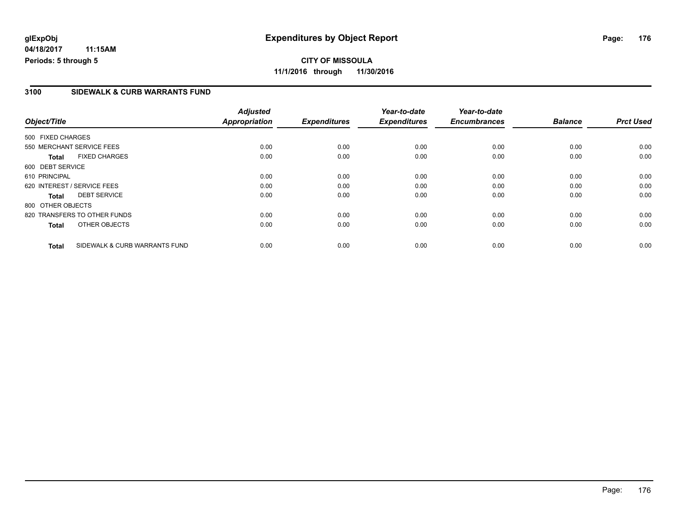**CITY OF MISSOULA 11/1/2016 through 11/30/2016**

### **3100 SIDEWALK & CURB WARRANTS FUND**

|                   |                               | <b>Adjusted</b> |                     | Year-to-date        | Year-to-date        |                |                  |
|-------------------|-------------------------------|-----------------|---------------------|---------------------|---------------------|----------------|------------------|
| Object/Title      |                               | Appropriation   | <b>Expenditures</b> | <b>Expenditures</b> | <b>Encumbrances</b> | <b>Balance</b> | <b>Prct Used</b> |
| 500 FIXED CHARGES |                               |                 |                     |                     |                     |                |                  |
|                   | 550 MERCHANT SERVICE FEES     | 0.00            | 0.00                | 0.00                | 0.00                | 0.00           | 0.00             |
| <b>Total</b>      | <b>FIXED CHARGES</b>          | 0.00            | 0.00                | 0.00                | 0.00                | 0.00           | 0.00             |
| 600 DEBT SERVICE  |                               |                 |                     |                     |                     |                |                  |
| 610 PRINCIPAL     |                               | 0.00            | 0.00                | 0.00                | 0.00                | 0.00           | 0.00             |
|                   | 620 INTEREST / SERVICE FEES   | 0.00            | 0.00                | 0.00                | 0.00                | 0.00           | 0.00             |
| <b>Total</b>      | <b>DEBT SERVICE</b>           | 0.00            | 0.00                | 0.00                | 0.00                | 0.00           | 0.00             |
| 800 OTHER OBJECTS |                               |                 |                     |                     |                     |                |                  |
|                   | 820 TRANSFERS TO OTHER FUNDS  | 0.00            | 0.00                | 0.00                | 0.00                | 0.00           | 0.00             |
| <b>Total</b>      | OTHER OBJECTS                 | 0.00            | 0.00                | 0.00                | 0.00                | 0.00           | 0.00             |
| <b>Total</b>      | SIDEWALK & CURB WARRANTS FUND | 0.00            | 0.00                | 0.00                | 0.00                | 0.00           | 0.00             |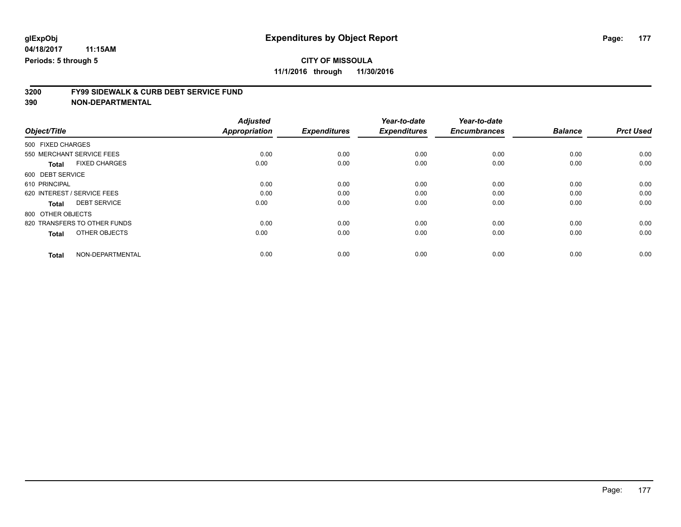# **3200 FY99 SIDEWALK & CURB DEBT SERVICE FUND**

|                              |                      | <b>Adjusted</b>      |                     | Year-to-date        | Year-to-date        |                |                  |
|------------------------------|----------------------|----------------------|---------------------|---------------------|---------------------|----------------|------------------|
| Object/Title                 |                      | <b>Appropriation</b> | <b>Expenditures</b> | <b>Expenditures</b> | <b>Encumbrances</b> | <b>Balance</b> | <b>Prct Used</b> |
| 500 FIXED CHARGES            |                      |                      |                     |                     |                     |                |                  |
| 550 MERCHANT SERVICE FEES    |                      | 0.00                 | 0.00                | 0.00                | 0.00                | 0.00           | 0.00             |
| <b>Total</b>                 | <b>FIXED CHARGES</b> | 0.00                 | 0.00                | 0.00                | 0.00                | 0.00           | 0.00             |
| 600 DEBT SERVICE             |                      |                      |                     |                     |                     |                |                  |
| 610 PRINCIPAL                |                      | 0.00                 | 0.00                | 0.00                | 0.00                | 0.00           | 0.00             |
| 620 INTEREST / SERVICE FEES  |                      | 0.00                 | 0.00                | 0.00                | 0.00                | 0.00           | 0.00             |
| <b>Total</b>                 | <b>DEBT SERVICE</b>  | 0.00                 | 0.00                | 0.00                | 0.00                | 0.00           | 0.00             |
| 800 OTHER OBJECTS            |                      |                      |                     |                     |                     |                |                  |
| 820 TRANSFERS TO OTHER FUNDS |                      | 0.00                 | 0.00                | 0.00                | 0.00                | 0.00           | 0.00             |
| <b>Total</b>                 | OTHER OBJECTS        | 0.00                 | 0.00                | 0.00                | 0.00                | 0.00           | 0.00             |
| <b>Total</b>                 | NON-DEPARTMENTAL     | 0.00                 | 0.00                | 0.00                | 0.00                | 0.00           | 0.00             |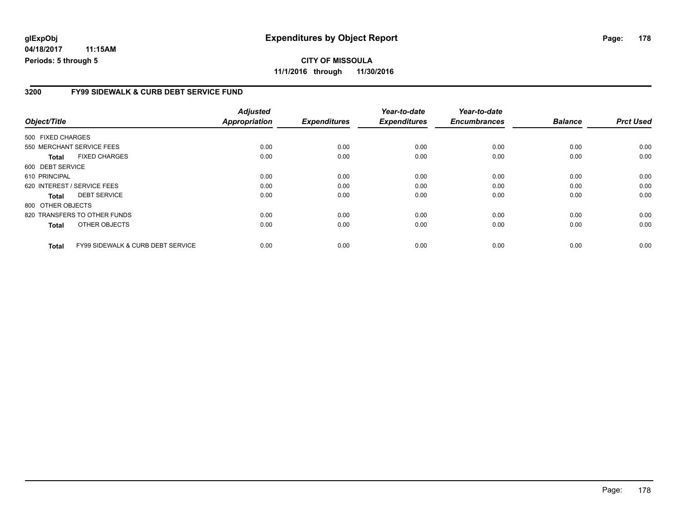# **CITY OF MISSOULA 11/1/2016 through 11/30/2016**

### **3200 FY99 SIDEWALK & CURB DEBT SERVICE FUND**

|                   |                                              | <b>Adjusted</b> |                     | Year-to-date        | Year-to-date        |                |                  |
|-------------------|----------------------------------------------|-----------------|---------------------|---------------------|---------------------|----------------|------------------|
| Object/Title      |                                              | Appropriation   | <b>Expenditures</b> | <b>Expenditures</b> | <b>Encumbrances</b> | <b>Balance</b> | <b>Prct Used</b> |
| 500 FIXED CHARGES |                                              |                 |                     |                     |                     |                |                  |
|                   | 550 MERCHANT SERVICE FEES                    | 0.00            | 0.00                | 0.00                | 0.00                | 0.00           | 0.00             |
| <b>Total</b>      | <b>FIXED CHARGES</b>                         | 0.00            | 0.00                | 0.00                | 0.00                | 0.00           | 0.00             |
| 600 DEBT SERVICE  |                                              |                 |                     |                     |                     |                |                  |
| 610 PRINCIPAL     |                                              | 0.00            | 0.00                | 0.00                | 0.00                | 0.00           | 0.00             |
|                   | 620 INTEREST / SERVICE FEES                  | 0.00            | 0.00                | 0.00                | 0.00                | 0.00           | 0.00             |
| <b>Total</b>      | <b>DEBT SERVICE</b>                          | 0.00            | 0.00                | 0.00                | 0.00                | 0.00           | 0.00             |
| 800 OTHER OBJECTS |                                              |                 |                     |                     |                     |                |                  |
|                   | 820 TRANSFERS TO OTHER FUNDS                 | 0.00            | 0.00                | 0.00                | 0.00                | 0.00           | 0.00             |
| <b>Total</b>      | OTHER OBJECTS                                | 0.00            | 0.00                | 0.00                | 0.00                | 0.00           | 0.00             |
| <b>Total</b>      | <b>FY99 SIDEWALK &amp; CURB DEBT SERVICE</b> | 0.00            | 0.00                | 0.00                | 0.00                | 0.00           | 0.00             |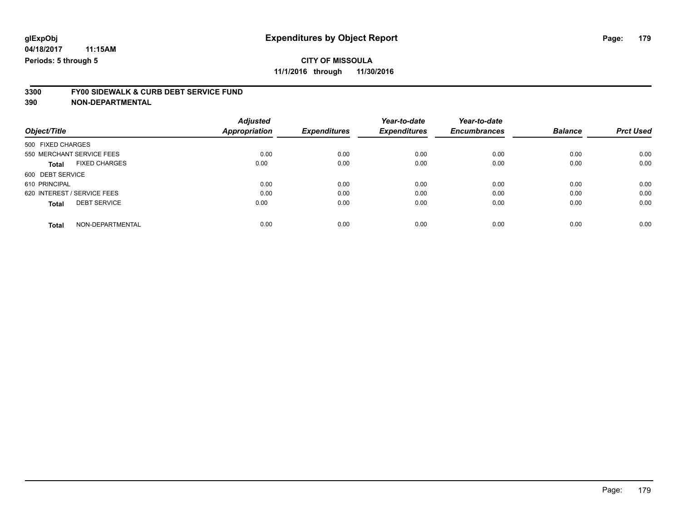# **CITY OF MISSOULA 11/1/2016 through 11/30/2016**

# **3300 FY00 SIDEWALK & CURB DEBT SERVICE FUND**

|                                      | <b>Adjusted</b>      |                     | Year-to-date        | Year-to-date        |                |                  |
|--------------------------------------|----------------------|---------------------|---------------------|---------------------|----------------|------------------|
| Object/Title                         | <b>Appropriation</b> | <b>Expenditures</b> | <b>Expenditures</b> | <b>Encumbrances</b> | <b>Balance</b> | <b>Prct Used</b> |
| 500 FIXED CHARGES                    |                      |                     |                     |                     |                |                  |
| 550 MERCHANT SERVICE FEES            | 0.00                 | 0.00                | 0.00                | 0.00                | 0.00           | 0.00             |
| <b>FIXED CHARGES</b><br><b>Total</b> | 0.00                 | 0.00                | 0.00                | 0.00                | 0.00           | 0.00             |
| 600 DEBT SERVICE                     |                      |                     |                     |                     |                |                  |
| 610 PRINCIPAL                        | 0.00                 | 0.00                | 0.00                | 0.00                | 0.00           | 0.00             |
| 620 INTEREST / SERVICE FEES          | 0.00                 | 0.00                | 0.00                | 0.00                | 0.00           | 0.00             |
| <b>DEBT SERVICE</b><br><b>Total</b>  | 0.00                 | 0.00                | 0.00                | 0.00                | 0.00           | 0.00             |
| NON-DEPARTMENTAL<br>Total            | 0.00                 | 0.00                | 0.00                | 0.00                | 0.00           | 0.00             |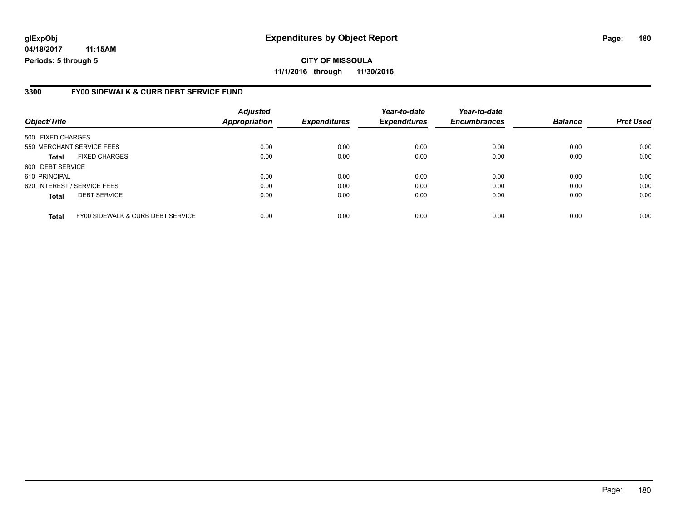### **3300 FY00 SIDEWALK & CURB DEBT SERVICE FUND**

| Object/Title                |                                   | <b>Adjusted</b><br><b>Appropriation</b> | <b>Expenditures</b> | Year-to-date<br><b>Expenditures</b> | Year-to-date<br><b>Encumbrances</b> | <b>Balance</b> | <b>Prct Used</b> |
|-----------------------------|-----------------------------------|-----------------------------------------|---------------------|-------------------------------------|-------------------------------------|----------------|------------------|
| 500 FIXED CHARGES           |                                   |                                         |                     |                                     |                                     |                |                  |
|                             | 550 MERCHANT SERVICE FEES         | 0.00                                    | 0.00                | 0.00                                | 0.00                                | 0.00           | 0.00             |
| Total                       | <b>FIXED CHARGES</b>              | 0.00                                    | 0.00                | 0.00                                | 0.00                                | 0.00           | 0.00             |
| 600 DEBT SERVICE            |                                   |                                         |                     |                                     |                                     |                |                  |
| 610 PRINCIPAL               |                                   | 0.00                                    | 0.00                | 0.00                                | 0.00                                | 0.00           | 0.00             |
| 620 INTEREST / SERVICE FEES |                                   | 0.00                                    | 0.00                | 0.00                                | 0.00                                | 0.00           | 0.00             |
| <b>Total</b>                | <b>DEBT SERVICE</b>               | 0.00                                    | 0.00                | 0.00                                | 0.00                                | 0.00           | 0.00             |
| <b>Total</b>                | FY00 SIDEWALK & CURB DEBT SERVICE | 0.00                                    | 0.00                | 0.00                                | 0.00                                | 0.00           | 0.00             |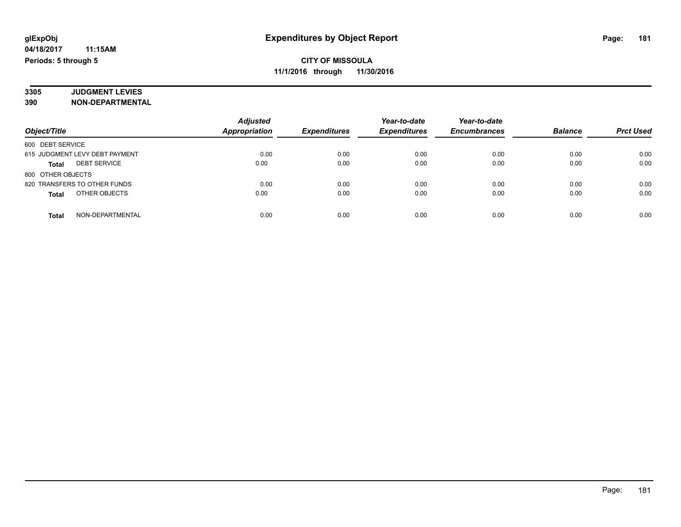#### **3305 JUDGMENT LEVIES 390 NON-DEPARTMENTAL**

|                                     | <b>Adjusted</b>      |                     | Year-to-date        | Year-to-date        |                |                  |
|-------------------------------------|----------------------|---------------------|---------------------|---------------------|----------------|------------------|
| Object/Title                        | <b>Appropriation</b> | <b>Expenditures</b> | <b>Expenditures</b> | <b>Encumbrances</b> | <b>Balance</b> | <b>Prct Used</b> |
| 600 DEBT SERVICE                    |                      |                     |                     |                     |                |                  |
| 615 JUDGMENT LEVY DEBT PAYMENT      | 0.00                 | 0.00                | 0.00                | 0.00                | 0.00           | 0.00             |
| <b>DEBT SERVICE</b><br><b>Total</b> | 0.00                 | 0.00                | 0.00                | 0.00                | 0.00           | 0.00             |
| 800 OTHER OBJECTS                   |                      |                     |                     |                     |                |                  |
| 820 TRANSFERS TO OTHER FUNDS        | 0.00                 | 0.00                | 0.00                | 0.00                | 0.00           | 0.00             |
| OTHER OBJECTS<br><b>Total</b>       | 0.00                 | 0.00                | 0.00                | 0.00                | 0.00           | 0.00             |
| NON-DEPARTMENTAL<br>Total           | 0.00                 | 0.00                | 0.00                | 0.00                | 0.00           | 0.00             |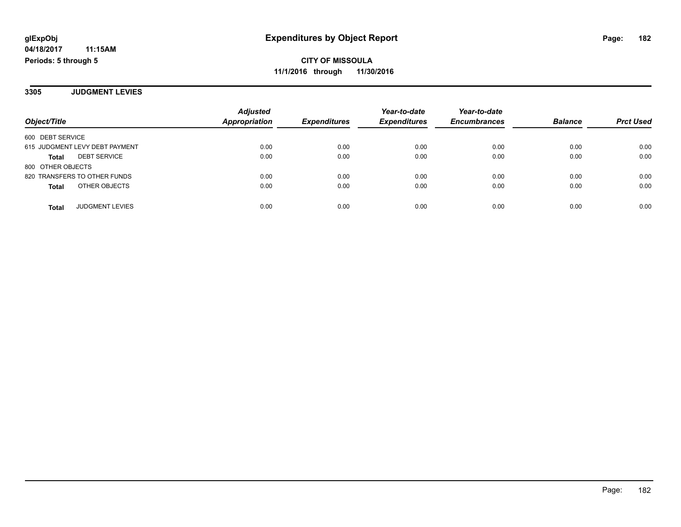**3305 JUDGMENT LEVIES**

|                                     | <b>Adjusted</b>      |                     | Year-to-date        | Year-to-date        |                |                  |
|-------------------------------------|----------------------|---------------------|---------------------|---------------------|----------------|------------------|
| Object/Title                        | <b>Appropriation</b> | <b>Expenditures</b> | <b>Expenditures</b> | <b>Encumbrances</b> | <b>Balance</b> | <b>Prct Used</b> |
| 600 DEBT SERVICE                    |                      |                     |                     |                     |                |                  |
| 615 JUDGMENT LEVY DEBT PAYMENT      | 0.00                 | 0.00                | 0.00                | 0.00                | 0.00           | 0.00             |
| <b>DEBT SERVICE</b><br><b>Total</b> | 0.00                 | 0.00                | 0.00                | 0.00                | 0.00           | 0.00             |
| 800 OTHER OBJECTS                   |                      |                     |                     |                     |                |                  |
| 820 TRANSFERS TO OTHER FUNDS        | 0.00                 | 0.00                | 0.00                | 0.00                | 0.00           | 0.00             |
| OTHER OBJECTS<br><b>Total</b>       | 0.00                 | 0.00                | 0.00                | 0.00                | 0.00           | 0.00             |
| <b>JUDGMENT LEVIES</b><br>Total     | 0.00                 | 0.00                | 0.00                | 0.00                | 0.00           | 0.00             |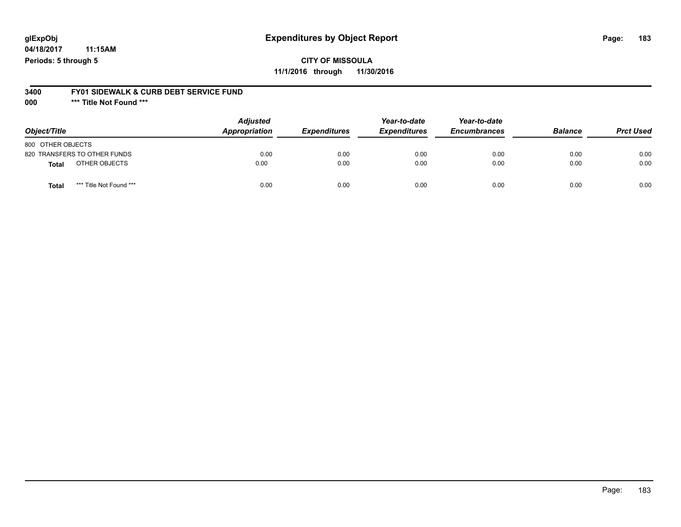## **glExpObj Expenditures by Object Report Page: 183**

**04/18/2017 11:15AM Periods: 5 through 5**

## **CITY OF MISSOULA 11/1/2016 through 11/30/2016**

#### **3400 FY01 SIDEWALK & CURB DEBT SERVICE FUND**

**000 \*\*\* Title Not Found \*\*\***

| Object/Title                     | <b>Adjusted</b><br>Appropriation | <b>Expenditures</b> | Year-to-date<br><b>Expenditures</b> | Year-to-date<br><b>Encumbrances</b> | <b>Balance</b> | <b>Prct Used</b> |
|----------------------------------|----------------------------------|---------------------|-------------------------------------|-------------------------------------|----------------|------------------|
| 800 OTHER OBJECTS                |                                  |                     |                                     |                                     |                |                  |
| 820 TRANSFERS TO OTHER FUNDS     | 0.00                             | 0.00                | 0.00                                | 0.00                                | 0.00           | 0.00             |
| OTHER OBJECTS<br><b>Total</b>    | 0.00                             | 0.00                | 0.00                                | 0.00                                | 0.00           | 0.00             |
| *** Title Not Found ***<br>Total | 0.00                             | 0.00                | 0.00                                | 0.00                                | 0.00           | 0.00             |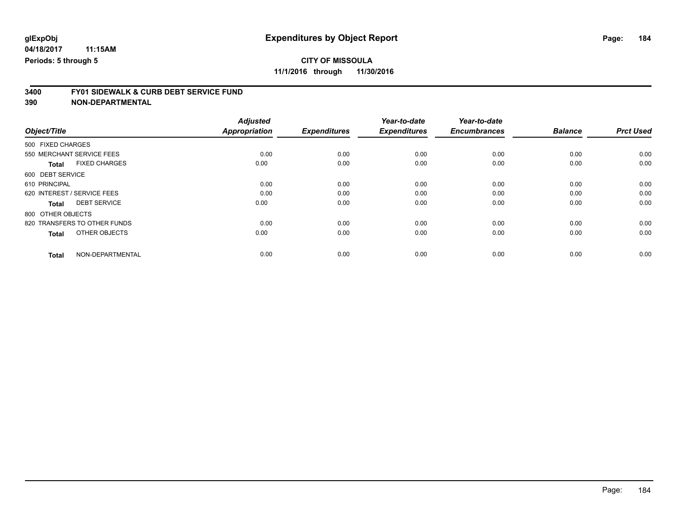# **3400 FY01 SIDEWALK & CURB DEBT SERVICE FUND**

|                                      | <b>Adjusted</b>      | <b>Expenditures</b> | Year-to-date<br><b>Expenditures</b> | Year-to-date<br><b>Encumbrances</b> | <b>Balance</b> | <b>Prct Used</b> |
|--------------------------------------|----------------------|---------------------|-------------------------------------|-------------------------------------|----------------|------------------|
| Object/Title                         | <b>Appropriation</b> |                     |                                     |                                     |                |                  |
| 500 FIXED CHARGES                    |                      |                     |                                     |                                     |                |                  |
| 550 MERCHANT SERVICE FEES            | 0.00                 | 0.00                | 0.00                                | 0.00                                | 0.00           | 0.00             |
| <b>FIXED CHARGES</b><br><b>Total</b> | 0.00                 | 0.00                | 0.00                                | 0.00                                | 0.00           | 0.00             |
| 600 DEBT SERVICE                     |                      |                     |                                     |                                     |                |                  |
| 610 PRINCIPAL                        | 0.00                 | 0.00                | 0.00                                | 0.00                                | 0.00           | 0.00             |
| 620 INTEREST / SERVICE FEES          | 0.00                 | 0.00                | 0.00                                | 0.00                                | 0.00           | 0.00             |
| <b>DEBT SERVICE</b><br><b>Total</b>  | 0.00                 | 0.00                | 0.00                                | 0.00                                | 0.00           | 0.00             |
| 800 OTHER OBJECTS                    |                      |                     |                                     |                                     |                |                  |
| 820 TRANSFERS TO OTHER FUNDS         | 0.00                 | 0.00                | 0.00                                | 0.00                                | 0.00           | 0.00             |
| OTHER OBJECTS<br><b>Total</b>        | 0.00                 | 0.00                | 0.00                                | 0.00                                | 0.00           | 0.00             |
| NON-DEPARTMENTAL<br><b>Total</b>     | 0.00                 | 0.00                | 0.00                                | 0.00                                | 0.00           | 0.00             |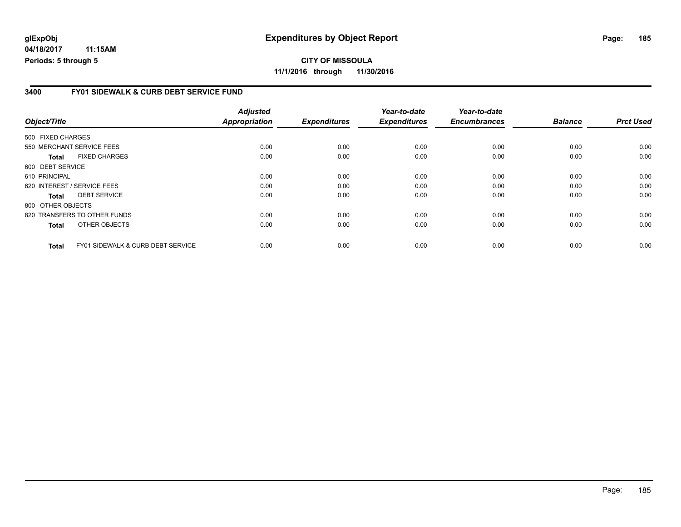## **CITY OF MISSOULA 11/1/2016 through 11/30/2016**

#### **3400 FY01 SIDEWALK & CURB DEBT SERVICE FUND**

|                   |                                              | <b>Adjusted</b>      |                     | Year-to-date        | Year-to-date        |                |                  |
|-------------------|----------------------------------------------|----------------------|---------------------|---------------------|---------------------|----------------|------------------|
| Object/Title      |                                              | <b>Appropriation</b> | <b>Expenditures</b> | <b>Expenditures</b> | <b>Encumbrances</b> | <b>Balance</b> | <b>Prct Used</b> |
| 500 FIXED CHARGES |                                              |                      |                     |                     |                     |                |                  |
|                   | 550 MERCHANT SERVICE FEES                    | 0.00                 | 0.00                | 0.00                | 0.00                | 0.00           | 0.00             |
| <b>Total</b>      | <b>FIXED CHARGES</b>                         | 0.00                 | 0.00                | 0.00                | 0.00                | 0.00           | 0.00             |
| 600 DEBT SERVICE  |                                              |                      |                     |                     |                     |                |                  |
| 610 PRINCIPAL     |                                              | 0.00                 | 0.00                | 0.00                | 0.00                | 0.00           | 0.00             |
|                   | 620 INTEREST / SERVICE FEES                  | 0.00                 | 0.00                | 0.00                | 0.00                | 0.00           | 0.00             |
| <b>Total</b>      | <b>DEBT SERVICE</b>                          | 0.00                 | 0.00                | 0.00                | 0.00                | 0.00           | 0.00             |
| 800 OTHER OBJECTS |                                              |                      |                     |                     |                     |                |                  |
|                   | 820 TRANSFERS TO OTHER FUNDS                 | 0.00                 | 0.00                | 0.00                | 0.00                | 0.00           | 0.00             |
| <b>Total</b>      | OTHER OBJECTS                                | 0.00                 | 0.00                | 0.00                | 0.00                | 0.00           | 0.00             |
| <b>Total</b>      | <b>FY01 SIDEWALK &amp; CURB DEBT SERVICE</b> | 0.00                 | 0.00                | 0.00                | 0.00                | 0.00           | 0.00             |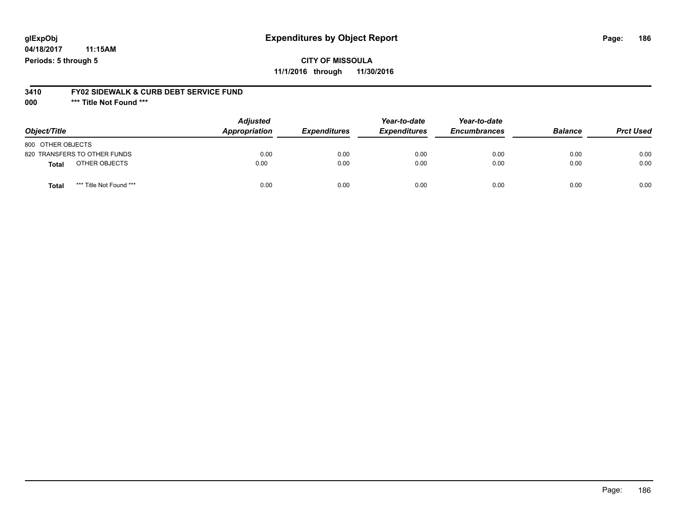## **glExpObj Expenditures by Object Report Page: 186**

**04/18/2017 11:15AM Periods: 5 through 5**

**CITY OF MISSOULA 11/1/2016 through 11/30/2016**

#### **3410 FY02 SIDEWALK & CURB DEBT SERVICE FUND**

**000 \*\*\* Title Not Found \*\*\***

| Object/Title                            | <b>Adjusted</b><br>Appropriation | <b>Expenditures</b> | Year-to-date<br><b>Expenditures</b> | Year-to-date<br><b>Encumbrances</b> | <b>Balance</b> | <b>Prct Used</b> |
|-----------------------------------------|----------------------------------|---------------------|-------------------------------------|-------------------------------------|----------------|------------------|
| 800 OTHER OBJECTS                       |                                  |                     |                                     |                                     |                |                  |
| 820 TRANSFERS TO OTHER FUNDS            | 0.00                             | 0.00                | 0.00                                | 0.00                                | 0.00           | 0.00             |
| OTHER OBJECTS<br><b>Total</b>           | 0.00                             | 0.00                | 0.00                                | 0.00                                | 0.00           | 0.00             |
| *** Title Not Found ***<br><b>Total</b> | 0.00                             | 0.00                | 0.00                                | 0.00                                | 0.00           | 0.00             |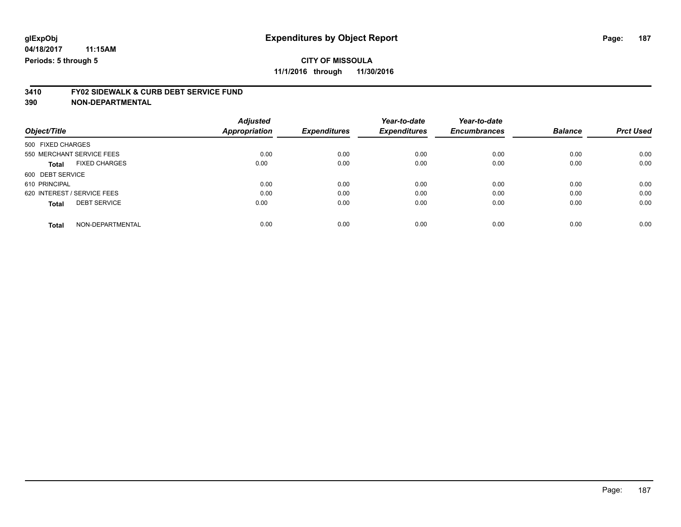## **CITY OF MISSOULA 11/1/2016 through 11/30/2016**

# **3410 FY02 SIDEWALK & CURB DEBT SERVICE FUND**

|                                      | <b>Adjusted</b> |                     | Year-to-date        | Year-to-date        |                |                  |
|--------------------------------------|-----------------|---------------------|---------------------|---------------------|----------------|------------------|
| Object/Title                         | Appropriation   | <b>Expenditures</b> | <b>Expenditures</b> | <b>Encumbrances</b> | <b>Balance</b> | <b>Prct Used</b> |
| 500 FIXED CHARGES                    |                 |                     |                     |                     |                |                  |
| 550 MERCHANT SERVICE FEES            | 0.00            | 0.00                | 0.00                | 0.00                | 0.00           | 0.00             |
| <b>FIXED CHARGES</b><br><b>Total</b> | 0.00            | 0.00                | 0.00                | 0.00                | 0.00           | 0.00             |
| 600 DEBT SERVICE                     |                 |                     |                     |                     |                |                  |
| 610 PRINCIPAL                        | 0.00            | 0.00                | 0.00                | 0.00                | 0.00           | 0.00             |
| 620 INTEREST / SERVICE FEES          | 0.00            | 0.00                | 0.00                | 0.00                | 0.00           | 0.00             |
| <b>DEBT SERVICE</b><br><b>Total</b>  | 0.00            | 0.00                | 0.00                | 0.00                | 0.00           | 0.00             |
| NON-DEPARTMENTAL<br><b>Total</b>     | 0.00            | 0.00                | 0.00                | 0.00                | 0.00           | 0.00             |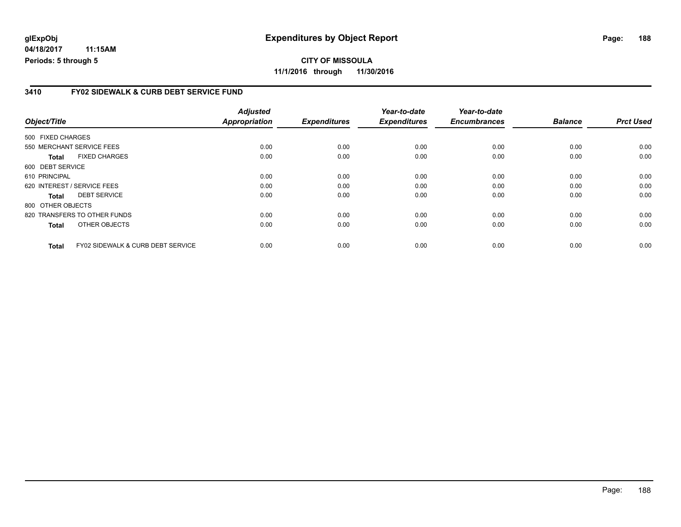## **CITY OF MISSOULA 11/1/2016 through 11/30/2016**

#### **3410 FY02 SIDEWALK & CURB DEBT SERVICE FUND**

|                   |                                              | <b>Adjusted</b>      |                     | Year-to-date        | Year-to-date        |                |                  |
|-------------------|----------------------------------------------|----------------------|---------------------|---------------------|---------------------|----------------|------------------|
| Object/Title      |                                              | <b>Appropriation</b> | <b>Expenditures</b> | <b>Expenditures</b> | <b>Encumbrances</b> | <b>Balance</b> | <b>Prct Used</b> |
| 500 FIXED CHARGES |                                              |                      |                     |                     |                     |                |                  |
|                   | 550 MERCHANT SERVICE FEES                    | 0.00                 | 0.00                | 0.00                | 0.00                | 0.00           | 0.00             |
| <b>Total</b>      | <b>FIXED CHARGES</b>                         | 0.00                 | 0.00                | 0.00                | 0.00                | 0.00           | 0.00             |
| 600 DEBT SERVICE  |                                              |                      |                     |                     |                     |                |                  |
| 610 PRINCIPAL     |                                              | 0.00                 | 0.00                | 0.00                | 0.00                | 0.00           | 0.00             |
|                   | 620 INTEREST / SERVICE FEES                  | 0.00                 | 0.00                | 0.00                | 0.00                | 0.00           | 0.00             |
| <b>Total</b>      | <b>DEBT SERVICE</b>                          | 0.00                 | 0.00                | 0.00                | 0.00                | 0.00           | 0.00             |
| 800 OTHER OBJECTS |                                              |                      |                     |                     |                     |                |                  |
|                   | 820 TRANSFERS TO OTHER FUNDS                 | 0.00                 | 0.00                | 0.00                | 0.00                | 0.00           | 0.00             |
| <b>Total</b>      | OTHER OBJECTS                                | 0.00                 | 0.00                | 0.00                | 0.00                | 0.00           | 0.00             |
| <b>Total</b>      | <b>FY02 SIDEWALK &amp; CURB DEBT SERVICE</b> | 0.00                 | 0.00                | 0.00                | 0.00                | 0.00           | 0.00             |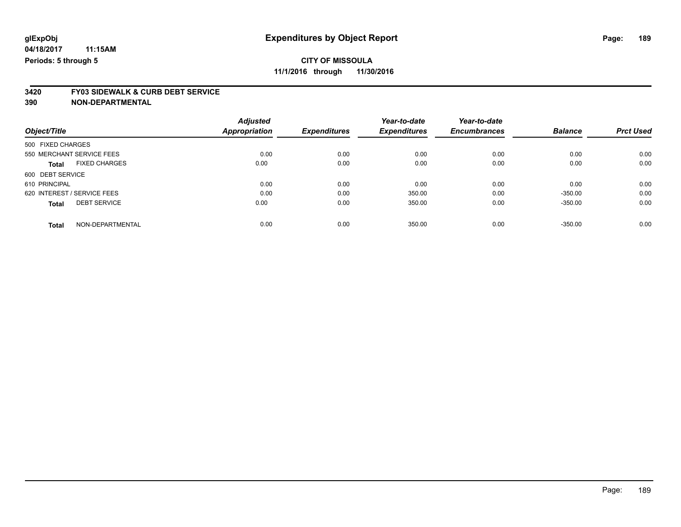# **3420 FY03 SIDEWALK & CURB DEBT SERVICE**

|                             |                      | <b>Adjusted</b>     |                     | Year-to-date        | Year-to-date   |                  |      |
|-----------------------------|----------------------|---------------------|---------------------|---------------------|----------------|------------------|------|
| Object/Title                | <b>Appropriation</b> | <b>Expenditures</b> | <b>Expenditures</b> | <b>Encumbrances</b> | <b>Balance</b> | <b>Prct Used</b> |      |
| 500 FIXED CHARGES           |                      |                     |                     |                     |                |                  |      |
| 550 MERCHANT SERVICE FEES   |                      | 0.00                | 0.00                | 0.00                | 0.00           | 0.00             | 0.00 |
| <b>Total</b>                | <b>FIXED CHARGES</b> | 0.00                | 0.00                | 0.00                | 0.00           | 0.00             | 0.00 |
| 600 DEBT SERVICE            |                      |                     |                     |                     |                |                  |      |
| 610 PRINCIPAL               |                      | 0.00                | 0.00                | 0.00                | 0.00           | 0.00             | 0.00 |
| 620 INTEREST / SERVICE FEES |                      | 0.00                | 0.00                | 350.00              | 0.00           | $-350.00$        | 0.00 |
| <b>Total</b>                | <b>DEBT SERVICE</b>  | 0.00                | 0.00                | 350.00              | 0.00           | $-350.00$        | 0.00 |
| <b>Total</b>                | NON-DEPARTMENTAL     | 0.00                | 0.00                | 350.00              | 0.00           | $-350.00$        | 0.00 |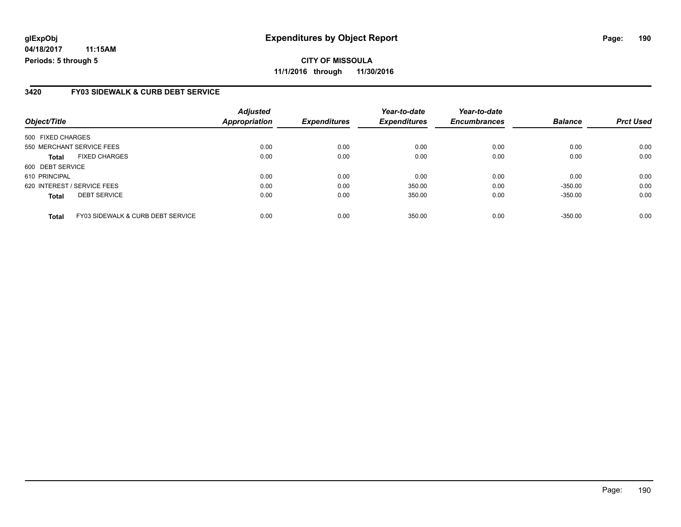#### **3420 FY03 SIDEWALK & CURB DEBT SERVICE**

| Object/Title                                      | <b>Adjusted</b><br><b>Appropriation</b> | <b>Expenditures</b> | Year-to-date<br><b>Expenditures</b> | Year-to-date<br><b>Encumbrances</b> | <b>Balance</b> | <b>Prct Used</b> |
|---------------------------------------------------|-----------------------------------------|---------------------|-------------------------------------|-------------------------------------|----------------|------------------|
|                                                   |                                         |                     |                                     |                                     |                |                  |
| 500 FIXED CHARGES                                 |                                         |                     |                                     |                                     |                |                  |
| 550 MERCHANT SERVICE FEES                         | 0.00                                    | 0.00                | 0.00                                | 0.00                                | 0.00           | 0.00             |
| <b>FIXED CHARGES</b><br><b>Total</b>              | 0.00                                    | 0.00                | 0.00                                | 0.00                                | 0.00           | 0.00             |
| 600 DEBT SERVICE                                  |                                         |                     |                                     |                                     |                |                  |
| 610 PRINCIPAL                                     | 0.00                                    | 0.00                | 0.00                                | 0.00                                | 0.00           | 0.00             |
| 620 INTEREST / SERVICE FEES                       | 0.00                                    | 0.00                | 350.00                              | 0.00                                | $-350.00$      | 0.00             |
| <b>DEBT SERVICE</b><br><b>Total</b>               | 0.00                                    | 0.00                | 350.00                              | 0.00                                | $-350.00$      | 0.00             |
|                                                   |                                         |                     |                                     |                                     |                |                  |
| FY03 SIDEWALK & CURB DEBT SERVICE<br><b>Total</b> | 0.00                                    | 0.00                | 350.00                              | 0.00                                | $-350.00$      | 0.00             |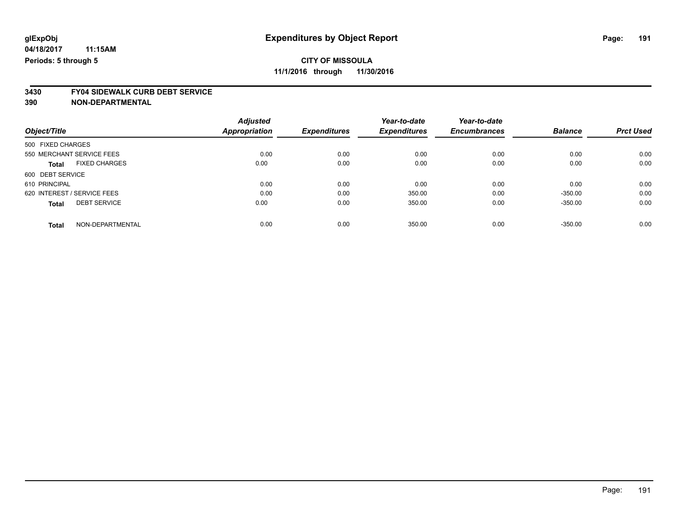# **3430 FY04 SIDEWALK CURB DEBT SERVICE**

|                                      | <b>Adjusted</b>      |                     | Year-to-date        | Year-to-date        |                |                  |
|--------------------------------------|----------------------|---------------------|---------------------|---------------------|----------------|------------------|
| Object/Title                         | <b>Appropriation</b> | <b>Expenditures</b> | <b>Expenditures</b> | <b>Encumbrances</b> | <b>Balance</b> | <b>Prct Used</b> |
| 500 FIXED CHARGES                    |                      |                     |                     |                     |                |                  |
| 550 MERCHANT SERVICE FEES            | 0.00                 | 0.00                | 0.00                | 0.00                | 0.00           | 0.00             |
| <b>FIXED CHARGES</b><br><b>Total</b> | 0.00                 | 0.00                | 0.00                | 0.00                | 0.00           | 0.00             |
| 600 DEBT SERVICE                     |                      |                     |                     |                     |                |                  |
| 610 PRINCIPAL                        | 0.00                 | 0.00                | 0.00                | 0.00                | 0.00           | 0.00             |
| 620 INTEREST / SERVICE FEES          | 0.00                 | 0.00                | 350.00              | 0.00                | $-350.00$      | 0.00             |
| <b>DEBT SERVICE</b><br><b>Total</b>  | 0.00                 | 0.00                | 350.00              | 0.00                | $-350.00$      | 0.00             |
| NON-DEPARTMENTAL<br><b>Total</b>     | 0.00                 | 0.00                | 350.00              | 0.00                | $-350.00$      | 0.00             |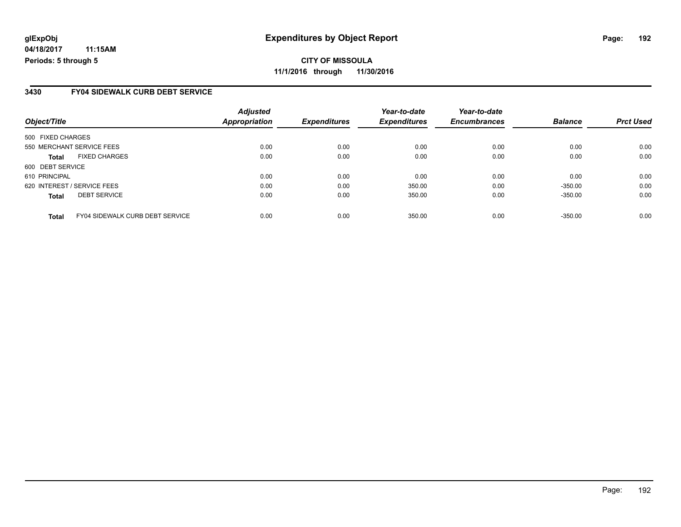**CITY OF MISSOULA 11/1/2016 through 11/30/2016**

### **3430 FY04 SIDEWALK CURB DEBT SERVICE**

| Object/Title                                           | <b>Adjusted</b><br><b>Appropriation</b> | <b>Expenditures</b> | Year-to-date<br><b>Expenditures</b> | Year-to-date<br><b>Encumbrances</b> | <b>Balance</b> | <b>Prct Used</b> |
|--------------------------------------------------------|-----------------------------------------|---------------------|-------------------------------------|-------------------------------------|----------------|------------------|
|                                                        |                                         |                     |                                     |                                     |                |                  |
| 500 FIXED CHARGES                                      |                                         |                     |                                     |                                     |                |                  |
| 550 MERCHANT SERVICE FEES                              | 0.00                                    | 0.00                | 0.00                                | 0.00                                | 0.00           | 0.00             |
| <b>FIXED CHARGES</b><br><b>Total</b>                   | 0.00                                    | 0.00                | 0.00                                | 0.00                                | 0.00           | 0.00             |
| 600 DEBT SERVICE                                       |                                         |                     |                                     |                                     |                |                  |
| 610 PRINCIPAL                                          | 0.00                                    | 0.00                | 0.00                                | 0.00                                | 0.00           | 0.00             |
| 620 INTEREST / SERVICE FEES                            | 0.00                                    | 0.00                | 350.00                              | 0.00                                | $-350.00$      | 0.00             |
| <b>DEBT SERVICE</b><br><b>Total</b>                    | 0.00                                    | 0.00                | 350.00                              | 0.00                                | $-350.00$      | 0.00             |
| <b>FY04 SIDEWALK CURB DEBT SERVICE</b><br><b>Total</b> | 0.00                                    | 0.00                | 350.00                              | 0.00                                | $-350.00$      | 0.00             |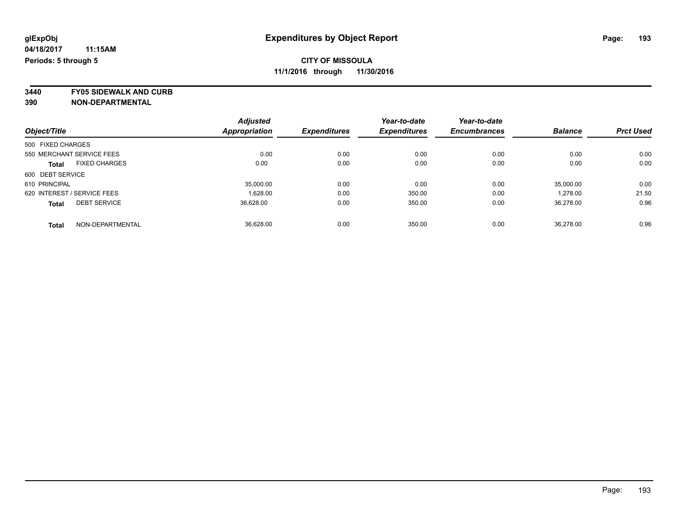**3440 FY05 SIDEWALK AND CURB**

|                                      | <b>Adjusted</b>      |                     | Year-to-date        | Year-to-date        | <b>Balance</b> |                  |
|--------------------------------------|----------------------|---------------------|---------------------|---------------------|----------------|------------------|
| Object/Title                         | <b>Appropriation</b> | <b>Expenditures</b> | <b>Expenditures</b> | <b>Encumbrances</b> |                | <b>Prct Used</b> |
| 500 FIXED CHARGES                    |                      |                     |                     |                     |                |                  |
| 550 MERCHANT SERVICE FEES            | 0.00                 | 0.00                | 0.00                | 0.00                | 0.00           | 0.00             |
| <b>FIXED CHARGES</b><br><b>Total</b> | 0.00                 | 0.00                | 0.00                | 0.00                | 0.00           | 0.00             |
| 600 DEBT SERVICE                     |                      |                     |                     |                     |                |                  |
| 610 PRINCIPAL                        | 35,000.00            | 0.00                | 0.00                | 0.00                | 35,000.00      | 0.00             |
| 620 INTEREST / SERVICE FEES          | 1,628.00             | 0.00                | 350.00              | 0.00                | 1,278.00       | 21.50            |
| <b>DEBT SERVICE</b><br><b>Total</b>  | 36.628.00            | 0.00                | 350.00              | 0.00                | 36.278.00      | 0.96             |
| NON-DEPARTMENTAL<br><b>Total</b>     | 36.628.00            | 0.00                | 350.00              | 0.00                | 36.278.00      | 0.96             |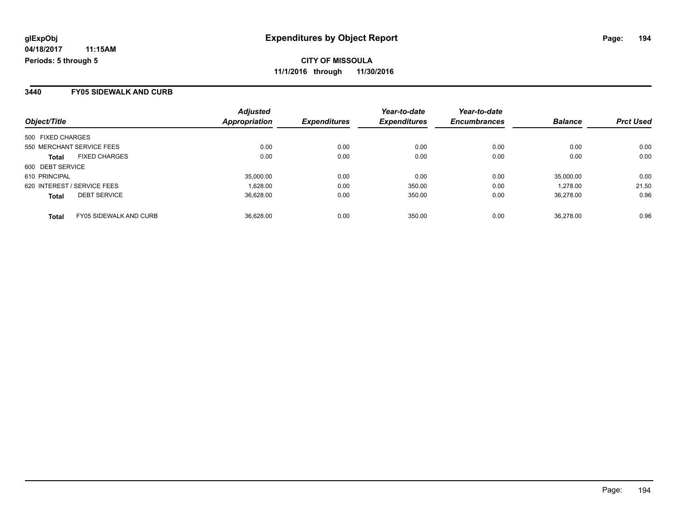#### **3440 FY05 SIDEWALK AND CURB**

| Object/Title                                  | <b>Adjusted</b><br>Appropriation | <b>Expenditures</b> | Year-to-date<br><b>Expenditures</b> | Year-to-date<br><b>Encumbrances</b> | <b>Balance</b> | <b>Prct Used</b> |
|-----------------------------------------------|----------------------------------|---------------------|-------------------------------------|-------------------------------------|----------------|------------------|
| 500 FIXED CHARGES                             |                                  |                     |                                     |                                     |                |                  |
| 550 MERCHANT SERVICE FEES                     | 0.00                             | 0.00                | 0.00                                | 0.00                                | 0.00           | 0.00             |
| <b>FIXED CHARGES</b><br><b>Total</b>          | 0.00                             | 0.00                | 0.00                                | 0.00                                | 0.00           | 0.00             |
| 600 DEBT SERVICE                              |                                  |                     |                                     |                                     |                |                  |
| 610 PRINCIPAL                                 | 35,000.00                        | 0.00                | 0.00                                | 0.00                                | 35,000.00      | 0.00             |
| 620 INTEREST / SERVICE FEES                   | 1.628.00                         | 0.00                | 350.00                              | 0.00                                | 1.278.00       | 21.50            |
| <b>DEBT SERVICE</b><br><b>Total</b>           | 36.628.00                        | 0.00                | 350.00                              | 0.00                                | 36.278.00      | 0.96             |
| <b>FY05 SIDEWALK AND CURB</b><br><b>Total</b> | 36.628.00                        | 0.00                | 350.00                              | 0.00                                | 36.278.00      | 0.96             |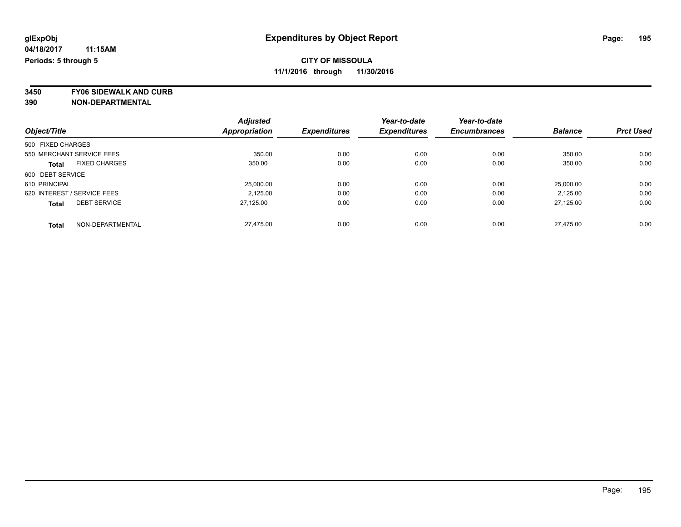**3450 FY06 SIDEWALK AND CURB**

|                                      | <b>Adjusted</b>      | <b>Expenditures</b> | Year-to-date<br><b>Expenditures</b> | Year-to-date        | <b>Balance</b> |                  |
|--------------------------------------|----------------------|---------------------|-------------------------------------|---------------------|----------------|------------------|
| Object/Title                         | <b>Appropriation</b> |                     |                                     | <b>Encumbrances</b> |                | <b>Prct Used</b> |
| 500 FIXED CHARGES                    |                      |                     |                                     |                     |                |                  |
| 550 MERCHANT SERVICE FEES            | 350.00               | 0.00                | 0.00                                | 0.00                | 350.00         | 0.00             |
| <b>FIXED CHARGES</b><br><b>Total</b> | 350.00               | 0.00                | 0.00                                | 0.00                | 350.00         | 0.00             |
| 600 DEBT SERVICE                     |                      |                     |                                     |                     |                |                  |
| 610 PRINCIPAL                        | 25,000.00            | 0.00                | 0.00                                | 0.00                | 25,000.00      | 0.00             |
| 620 INTEREST / SERVICE FEES          | 2.125.00             | 0.00                | 0.00                                | 0.00                | 2.125.00       | 0.00             |
| <b>DEBT SERVICE</b><br><b>Total</b>  | 27.125.00            | 0.00                | 0.00                                | 0.00                | 27,125.00      | 0.00             |
| NON-DEPARTMENTAL<br><b>Total</b>     | 27.475.00            | 0.00                | 0.00                                | 0.00                | 27.475.00      | 0.00             |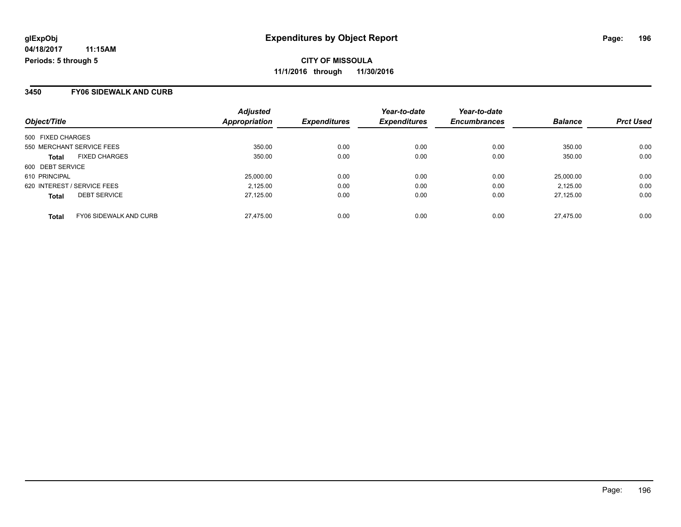#### **3450 FY06 SIDEWALK AND CURB**

| Object/Title                                  | <b>Adjusted</b><br><b>Appropriation</b> | <b>Expenditures</b> | Year-to-date<br><b>Expenditures</b> | Year-to-date<br><b>Encumbrances</b> | <b>Balance</b> | <b>Prct Used</b> |
|-----------------------------------------------|-----------------------------------------|---------------------|-------------------------------------|-------------------------------------|----------------|------------------|
| 500 FIXED CHARGES                             |                                         |                     |                                     |                                     |                |                  |
| 550 MERCHANT SERVICE FEES                     | 350.00                                  | 0.00                | 0.00                                | 0.00                                | 350.00         | 0.00             |
| <b>FIXED CHARGES</b><br><b>Total</b>          | 350.00                                  | 0.00                | 0.00                                | 0.00                                | 350.00         | 0.00             |
| 600 DEBT SERVICE                              |                                         |                     |                                     |                                     |                |                  |
| 610 PRINCIPAL                                 | 25,000.00                               | 0.00                | 0.00                                | 0.00                                | 25,000.00      | 0.00             |
| 620 INTEREST / SERVICE FEES                   | 2.125.00                                | 0.00                | 0.00                                | 0.00                                | 2.125.00       | 0.00             |
| <b>DEBT SERVICE</b><br><b>Total</b>           | 27.125.00                               | 0.00                | 0.00                                | 0.00                                | 27.125.00      | 0.00             |
| <b>FY06 SIDEWALK AND CURB</b><br><b>Total</b> | 27.475.00                               | 0.00                | 0.00                                | 0.00                                | 27.475.00      | 0.00             |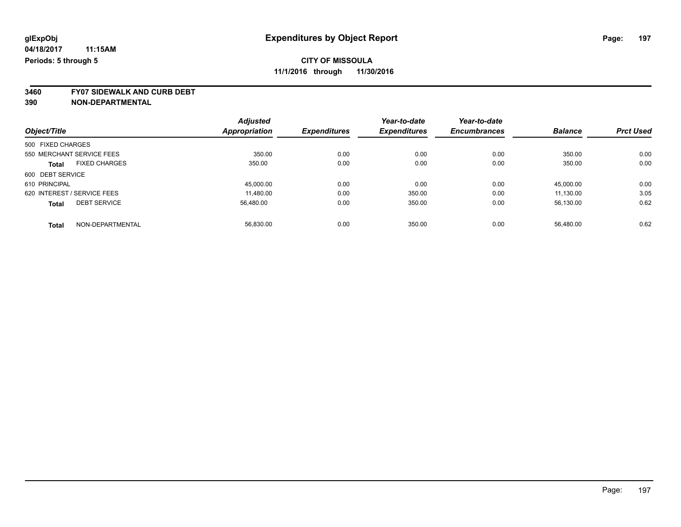**3460 FY07 SIDEWALK AND CURB DEBT**

|                                      | <b>Adjusted</b>      |                     | Year-to-date        | Year-to-date        |                |                  |
|--------------------------------------|----------------------|---------------------|---------------------|---------------------|----------------|------------------|
| Object/Title                         | <b>Appropriation</b> | <b>Expenditures</b> | <b>Expenditures</b> | <b>Encumbrances</b> | <b>Balance</b> | <b>Prct Used</b> |
| 500 FIXED CHARGES                    |                      |                     |                     |                     |                |                  |
| 550 MERCHANT SERVICE FEES            | 350.00               | 0.00                | 0.00                | 0.00                | 350.00         | 0.00             |
| <b>FIXED CHARGES</b><br><b>Total</b> | 350.00               | 0.00                | 0.00                | 0.00                | 350.00         | 0.00             |
| 600 DEBT SERVICE                     |                      |                     |                     |                     |                |                  |
| 610 PRINCIPAL                        | 45.000.00            | 0.00                | 0.00                | 0.00                | 45.000.00      | 0.00             |
| 620 INTEREST / SERVICE FEES          | 11.480.00            | 0.00                | 350.00              | 0.00                | 11,130.00      | 3.05             |
| <b>DEBT SERVICE</b><br><b>Total</b>  | 56,480.00            | 0.00                | 350.00              | 0.00                | 56,130.00      | 0.62             |
| NON-DEPARTMENTAL<br><b>Total</b>     | 56.830.00            | 0.00                | 350.00              | 0.00                | 56.480.00      | 0.62             |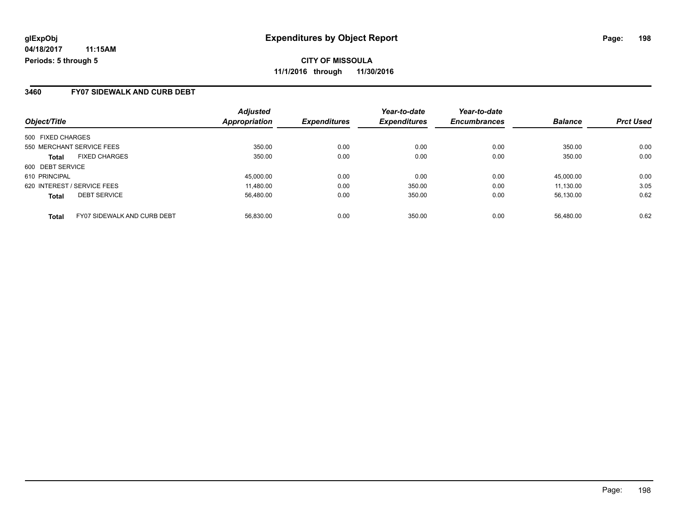## **CITY OF MISSOULA 11/1/2016 through 11/30/2016**

#### **3460 FY07 SIDEWALK AND CURB DEBT**

| Object/Title      |                                    | <b>Adjusted</b><br>Appropriation | <b>Expenditures</b> | Year-to-date<br><b>Expenditures</b> | Year-to-date<br><b>Encumbrances</b> | <b>Balance</b> | <b>Prct Used</b> |
|-------------------|------------------------------------|----------------------------------|---------------------|-------------------------------------|-------------------------------------|----------------|------------------|
| 500 FIXED CHARGES |                                    |                                  |                     |                                     |                                     |                |                  |
|                   | 550 MERCHANT SERVICE FEES          | 350.00                           | 0.00                | 0.00                                | 0.00                                | 350.00         | 0.00             |
| <b>Total</b>      | <b>FIXED CHARGES</b>               | 350.00                           | 0.00                | 0.00                                | 0.00                                | 350.00         | 0.00             |
| 600 DEBT SERVICE  |                                    |                                  |                     |                                     |                                     |                |                  |
| 610 PRINCIPAL     |                                    | 45,000.00                        | 0.00                | 0.00                                | 0.00                                | 45,000.00      | 0.00             |
|                   | 620 INTEREST / SERVICE FEES        | 11,480.00                        | 0.00                | 350.00                              | 0.00                                | 11,130.00      | 3.05             |
| <b>Total</b>      | <b>DEBT SERVICE</b>                | 56.480.00                        | 0.00                | 350.00                              | 0.00                                | 56.130.00      | 0.62             |
| <b>Total</b>      | <b>FY07 SIDEWALK AND CURB DEBT</b> | 56.830.00                        | 0.00                | 350.00                              | 0.00                                | 56.480.00      | 0.62             |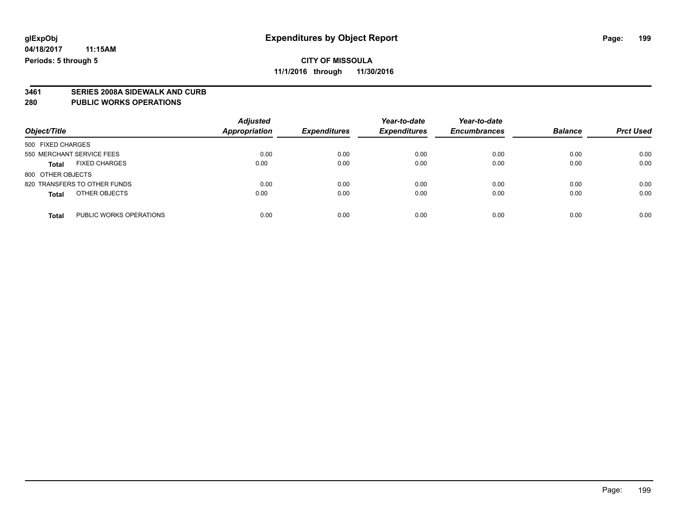## **CITY OF MISSOULA 11/1/2016 through 11/30/2016**

# **3461 SERIES 2008A SIDEWALK AND CURB**

#### **280 PUBLIC WORKS OPERATIONS**

| Object/Title                            | <b>Adjusted</b><br>Appropriation | <b>Expenditures</b> | Year-to-date<br><b>Expenditures</b> | Year-to-date<br><b>Encumbrances</b> | <b>Balance</b> | <b>Prct Used</b> |
|-----------------------------------------|----------------------------------|---------------------|-------------------------------------|-------------------------------------|----------------|------------------|
| 500 FIXED CHARGES                       |                                  |                     |                                     |                                     |                |                  |
| 550 MERCHANT SERVICE FEES               | 0.00                             | 0.00                | 0.00                                | 0.00                                | 0.00           | 0.00             |
| <b>FIXED CHARGES</b><br><b>Total</b>    | 0.00                             | 0.00                | 0.00                                | 0.00                                | 0.00           | 0.00             |
| 800 OTHER OBJECTS                       |                                  |                     |                                     |                                     |                |                  |
| 820 TRANSFERS TO OTHER FUNDS            | 0.00                             | 0.00                | 0.00                                | 0.00                                | 0.00           | 0.00             |
| OTHER OBJECTS<br><b>Total</b>           | 0.00                             | 0.00                | 0.00                                | 0.00                                | 0.00           | 0.00             |
| PUBLIC WORKS OPERATIONS<br><b>Total</b> | 0.00                             | 0.00                | 0.00                                | 0.00                                | 0.00           | 0.00             |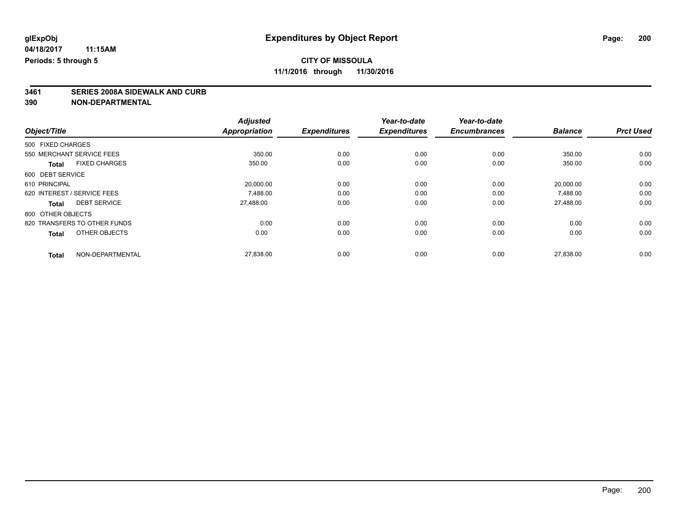# **3461 SERIES 2008A SIDEWALK AND CURB**

|                   |                              | <b>Adjusted</b>      |                     | Year-to-date        | Year-to-date        |                |                  |
|-------------------|------------------------------|----------------------|---------------------|---------------------|---------------------|----------------|------------------|
| Object/Title      |                              | <b>Appropriation</b> | <b>Expenditures</b> | <b>Expenditures</b> | <b>Encumbrances</b> | <b>Balance</b> | <b>Prct Used</b> |
| 500 FIXED CHARGES |                              |                      |                     |                     |                     |                |                  |
|                   | 550 MERCHANT SERVICE FEES    | 350.00               | 0.00                | 0.00                | 0.00                | 350.00         | 0.00             |
| <b>Total</b>      | <b>FIXED CHARGES</b>         | 350.00               | 0.00                | 0.00                | 0.00                | 350.00         | 0.00             |
| 600 DEBT SERVICE  |                              |                      |                     |                     |                     |                |                  |
| 610 PRINCIPAL     |                              | 20,000.00            | 0.00                | 0.00                | 0.00                | 20,000.00      | 0.00             |
|                   | 620 INTEREST / SERVICE FEES  | 7,488.00             | 0.00                | 0.00                | 0.00                | 7,488.00       | 0.00             |
| <b>Total</b>      | <b>DEBT SERVICE</b>          | 27,488.00            | 0.00                | 0.00                | 0.00                | 27,488.00      | 0.00             |
| 800 OTHER OBJECTS |                              |                      |                     |                     |                     |                |                  |
|                   | 820 TRANSFERS TO OTHER FUNDS | 0.00                 | 0.00                | 0.00                | 0.00                | 0.00           | 0.00             |
| <b>Total</b>      | OTHER OBJECTS                | 0.00                 | 0.00                | 0.00                | 0.00                | 0.00           | 0.00             |
| <b>Total</b>      | NON-DEPARTMENTAL             | 27,838.00            | 0.00                | 0.00                | 0.00                | 27,838.00      | 0.00             |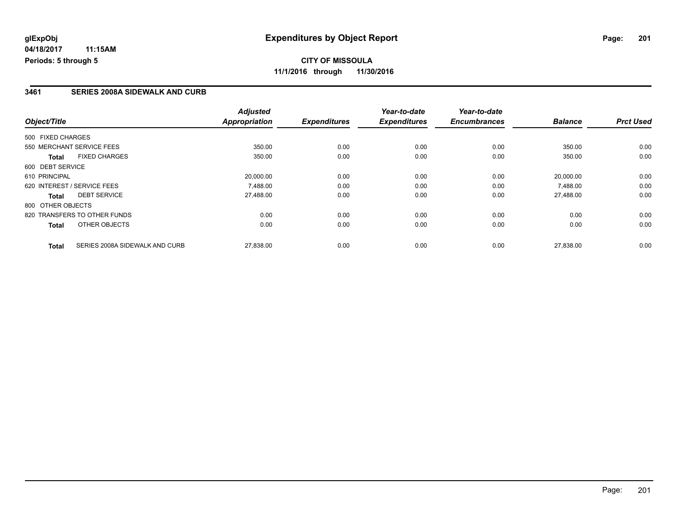### **3461 SERIES 2008A SIDEWALK AND CURB**

|                   |                                | <b>Adjusted</b> |                     | Year-to-date        | Year-to-date        |                |                  |
|-------------------|--------------------------------|-----------------|---------------------|---------------------|---------------------|----------------|------------------|
| Object/Title      |                                | Appropriation   | <b>Expenditures</b> | <b>Expenditures</b> | <b>Encumbrances</b> | <b>Balance</b> | <b>Prct Used</b> |
| 500 FIXED CHARGES |                                |                 |                     |                     |                     |                |                  |
|                   | 550 MERCHANT SERVICE FEES      | 350.00          | 0.00                | 0.00                | 0.00                | 350.00         | 0.00             |
| <b>Total</b>      | <b>FIXED CHARGES</b>           | 350.00          | 0.00                | 0.00                | 0.00                | 350.00         | 0.00             |
| 600 DEBT SERVICE  |                                |                 |                     |                     |                     |                |                  |
| 610 PRINCIPAL     |                                | 20,000.00       | 0.00                | 0.00                | 0.00                | 20.000.00      | 0.00             |
|                   | 620 INTEREST / SERVICE FEES    | 7.488.00        | 0.00                | 0.00                | 0.00                | 7,488.00       | 0.00             |
| Total             | <b>DEBT SERVICE</b>            | 27,488.00       | 0.00                | 0.00                | 0.00                | 27.488.00      | 0.00             |
| 800 OTHER OBJECTS |                                |                 |                     |                     |                     |                |                  |
|                   | 820 TRANSFERS TO OTHER FUNDS   | 0.00            | 0.00                | 0.00                | 0.00                | 0.00           | 0.00             |
| Total             | OTHER OBJECTS                  | 0.00            | 0.00                | 0.00                | 0.00                | 0.00           | 0.00             |
| <b>Total</b>      | SERIES 2008A SIDEWALK AND CURB | 27.838.00       | 0.00                | 0.00                | 0.00                | 27.838.00      | 0.00             |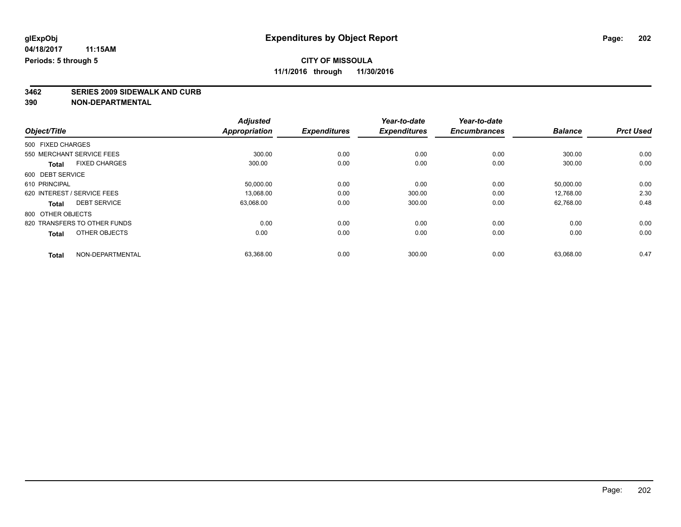# **3462 SERIES 2009 SIDEWALK AND CURB**

|                   |                              | <b>Adjusted</b>      |                     | Year-to-date        | Year-to-date        |                |                  |
|-------------------|------------------------------|----------------------|---------------------|---------------------|---------------------|----------------|------------------|
| Object/Title      |                              | <b>Appropriation</b> | <b>Expenditures</b> | <b>Expenditures</b> | <b>Encumbrances</b> | <b>Balance</b> | <b>Prct Used</b> |
| 500 FIXED CHARGES |                              |                      |                     |                     |                     |                |                  |
|                   | 550 MERCHANT SERVICE FEES    | 300.00               | 0.00                | 0.00                | 0.00                | 300.00         | 0.00             |
| <b>Total</b>      | <b>FIXED CHARGES</b>         | 300.00               | 0.00                | 0.00                | 0.00                | 300.00         | 0.00             |
| 600 DEBT SERVICE  |                              |                      |                     |                     |                     |                |                  |
| 610 PRINCIPAL     |                              | 50,000.00            | 0.00                | 0.00                | 0.00                | 50,000.00      | 0.00             |
|                   | 620 INTEREST / SERVICE FEES  | 13,068.00            | 0.00                | 300.00              | 0.00                | 12.768.00      | 2.30             |
| <b>Total</b>      | <b>DEBT SERVICE</b>          | 63,068.00            | 0.00                | 300.00              | 0.00                | 62,768.00      | 0.48             |
| 800 OTHER OBJECTS |                              |                      |                     |                     |                     |                |                  |
|                   | 820 TRANSFERS TO OTHER FUNDS | 0.00                 | 0.00                | 0.00                | 0.00                | 0.00           | 0.00             |
| <b>Total</b>      | OTHER OBJECTS                | 0.00                 | 0.00                | 0.00                | 0.00                | 0.00           | 0.00             |
| <b>Total</b>      | NON-DEPARTMENTAL             | 63,368.00            | 0.00                | 300.00              | 0.00                | 63,068.00      | 0.47             |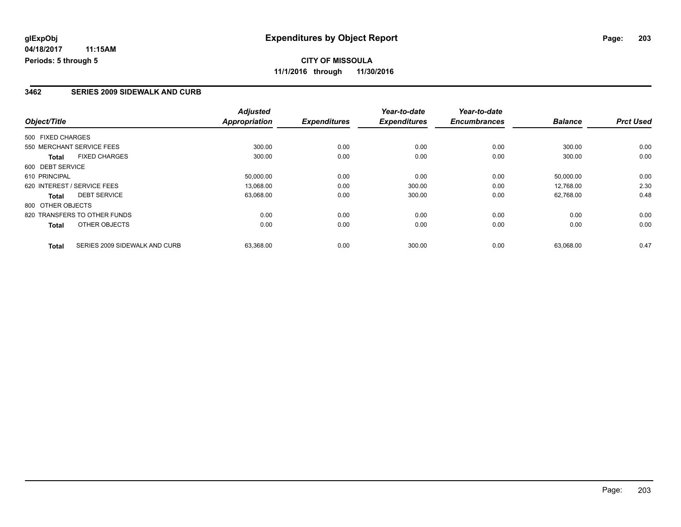**CITY OF MISSOULA 11/1/2016 through 11/30/2016**

### **3462 SERIES 2009 SIDEWALK AND CURB**

|                                               | <b>Adjusted</b>      |                     | Year-to-date        | Year-to-date        |                |                  |
|-----------------------------------------------|----------------------|---------------------|---------------------|---------------------|----------------|------------------|
| Object/Title                                  | <b>Appropriation</b> | <b>Expenditures</b> | <b>Expenditures</b> | <b>Encumbrances</b> | <b>Balance</b> | <b>Prct Used</b> |
| 500 FIXED CHARGES                             |                      |                     |                     |                     |                |                  |
| 550 MERCHANT SERVICE FEES                     | 300.00               | 0.00                | 0.00                | 0.00                | 300.00         | 0.00             |
| <b>FIXED CHARGES</b><br><b>Total</b>          | 300.00               | 0.00                | 0.00                | 0.00                | 300.00         | 0.00             |
| 600 DEBT SERVICE                              |                      |                     |                     |                     |                |                  |
| 610 PRINCIPAL                                 | 50,000.00            | 0.00                | 0.00                | 0.00                | 50,000.00      | 0.00             |
| 620 INTEREST / SERVICE FEES                   | 13,068.00            | 0.00                | 300.00              | 0.00                | 12,768.00      | 2.30             |
| <b>DEBT SERVICE</b><br><b>Total</b>           | 63,068.00            | 0.00                | 300.00              | 0.00                | 62,768.00      | 0.48             |
| 800 OTHER OBJECTS                             |                      |                     |                     |                     |                |                  |
| 820 TRANSFERS TO OTHER FUNDS                  | 0.00                 | 0.00                | 0.00                | 0.00                | 0.00           | 0.00             |
| OTHER OBJECTS<br><b>Total</b>                 | 0.00                 | 0.00                | 0.00                | 0.00                | 0.00           | 0.00             |
| SERIES 2009 SIDEWALK AND CURB<br><b>Total</b> | 63,368.00            | 0.00                | 300.00              | 0.00                | 63.068.00      | 0.47             |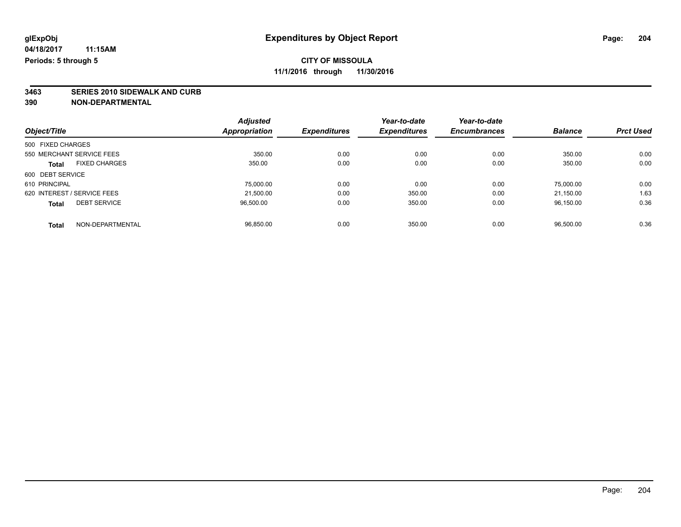# **3463 SERIES 2010 SIDEWALK AND CURB**

|                                      | <b>Adjusted</b>      |                     | Year-to-date<br><b>Expenditures</b> | Year-to-date        | <b>Balance</b> |                  |
|--------------------------------------|----------------------|---------------------|-------------------------------------|---------------------|----------------|------------------|
| Object/Title                         | <b>Appropriation</b> | <b>Expenditures</b> |                                     | <b>Encumbrances</b> |                | <b>Prct Used</b> |
| 500 FIXED CHARGES                    |                      |                     |                                     |                     |                |                  |
| 550 MERCHANT SERVICE FEES            | 350.00               | 0.00                | 0.00                                | 0.00                | 350.00         | 0.00             |
| <b>FIXED CHARGES</b><br><b>Total</b> | 350.00               | 0.00                | 0.00                                | 0.00                | 350.00         | 0.00             |
| 600 DEBT SERVICE                     |                      |                     |                                     |                     |                |                  |
| 610 PRINCIPAL                        | 75,000.00            | 0.00                | 0.00                                | 0.00                | 75.000.00      | 0.00             |
| 620 INTEREST / SERVICE FEES          | 21,500.00            | 0.00                | 350.00                              | 0.00                | 21.150.00      | 1.63             |
| <b>DEBT SERVICE</b><br><b>Total</b>  | 96.500.00            | 0.00                | 350.00                              | 0.00                | 96.150.00      | 0.36             |
| NON-DEPARTMENTAL<br><b>Total</b>     | 96.850.00            | 0.00                | 350.00                              | 0.00                | 96.500.00      | 0.36             |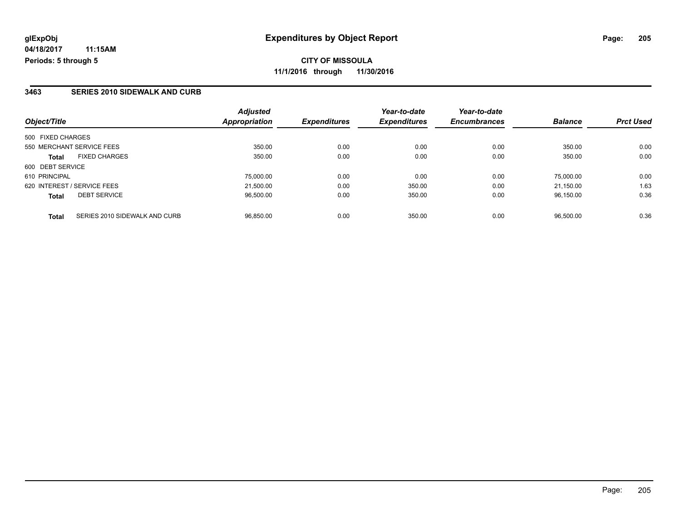**CITY OF MISSOULA 11/1/2016 through 11/30/2016**

#### **3463 SERIES 2010 SIDEWALK AND CURB**

| Object/Title                | <b>Adjusted</b><br><b>Appropriation</b> | <b>Expenditures</b> | Year-to-date<br><b>Expenditures</b> | Year-to-date<br><b>Encumbrances</b> | <b>Balance</b> | <b>Prct Used</b> |
|-----------------------------|-----------------------------------------|---------------------|-------------------------------------|-------------------------------------|----------------|------------------|
| 500 FIXED CHARGES           |                                         |                     |                                     |                                     |                |                  |
| 550 MERCHANT SERVICE FEES   | 350.00                                  | 0.00                | 0.00                                | 0.00                                | 350.00         | 0.00             |
| <b>FIXED CHARGES</b>        | 350.00                                  | 0.00                | 0.00                                | 0.00                                | 350.00         | 0.00             |
| 600 DEBT SERVICE            |                                         |                     |                                     |                                     |                |                  |
| 610 PRINCIPAL               | 75.000.00                               | 0.00                | 0.00                                | 0.00                                | 75.000.00      | 0.00             |
| 620 INTEREST / SERVICE FEES | 21,500.00                               | 0.00                | 350.00                              | 0.00                                | 21,150.00      | 1.63             |
| <b>DEBT SERVICE</b>         | 96,500.00                               | 0.00                | 350.00                              | 0.00                                | 96.150.00      | 0.36             |
|                             |                                         |                     |                                     |                                     |                | 0.36             |
|                             | SERIES 2010 SIDEWALK AND CURB           | 96.850.00           | 0.00                                | 350.00                              | 0.00           | 96,500.00        |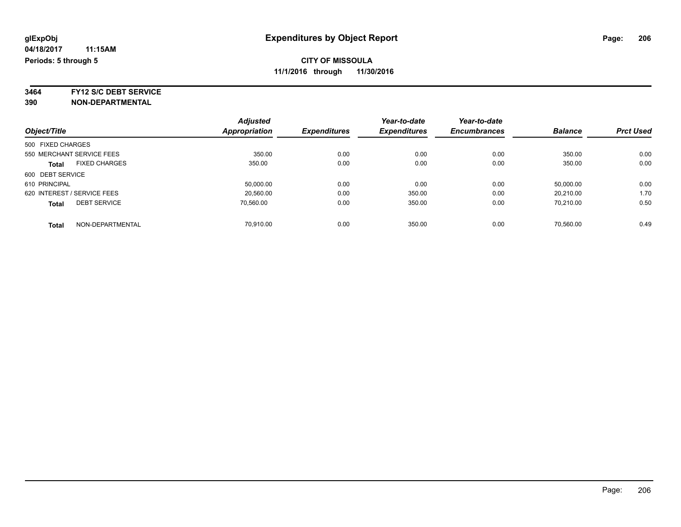**3464 FY12 S/C DEBT SERVICE**

| Object/Title                         |  | <b>Adjusted</b> |                     | Year-to-date        | Year-to-date        |                |                  |
|--------------------------------------|--|-----------------|---------------------|---------------------|---------------------|----------------|------------------|
|                                      |  | Appropriation   | <b>Expenditures</b> | <b>Expenditures</b> | <b>Encumbrances</b> | <b>Balance</b> | <b>Prct Used</b> |
| 500 FIXED CHARGES                    |  |                 |                     |                     |                     |                |                  |
| 550 MERCHANT SERVICE FEES            |  | 350.00          | 0.00                | 0.00                | 0.00                | 350.00         | 0.00             |
| <b>FIXED CHARGES</b><br><b>Total</b> |  | 350.00          | 0.00                | 0.00                | 0.00                | 350.00         | 0.00             |
| 600 DEBT SERVICE                     |  |                 |                     |                     |                     |                |                  |
| 610 PRINCIPAL                        |  | 50,000.00       | 0.00                | 0.00                | 0.00                | 50,000.00      | 0.00             |
| 620 INTEREST / SERVICE FEES          |  | 20.560.00       | 0.00                | 350.00              | 0.00                | 20.210.00      | 1.70             |
| <b>DEBT SERVICE</b><br><b>Total</b>  |  | 70.560.00       | 0.00                | 350.00              | 0.00                | 70.210.00      | 0.50             |
| NON-DEPARTMENTAL<br><b>Total</b>     |  | 70.910.00       | 0.00                | 350.00              | 0.00                | 70.560.00      | 0.49             |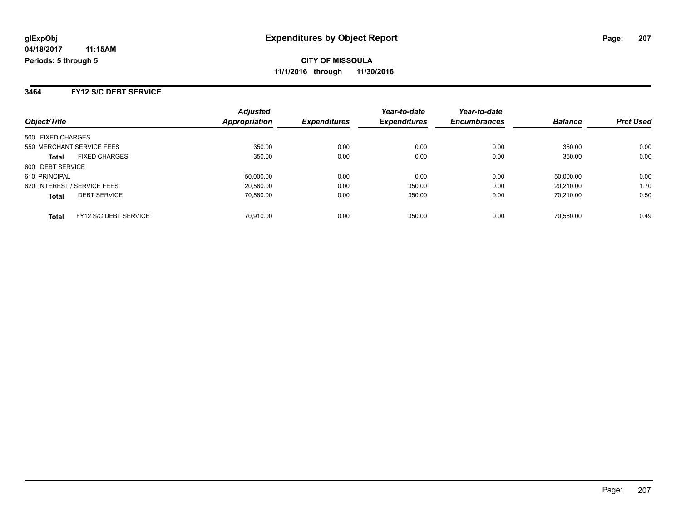**3464 FY12 S/C DEBT SERVICE**

| Object/Title                |                       | <b>Adjusted</b><br>Appropriation | <b>Expenditures</b> | Year-to-date<br><b>Expenditures</b> | Year-to-date<br><b>Encumbrances</b> | <b>Balance</b> | <b>Prct Used</b> |
|-----------------------------|-----------------------|----------------------------------|---------------------|-------------------------------------|-------------------------------------|----------------|------------------|
| 500 FIXED CHARGES           |                       |                                  |                     |                                     |                                     |                |                  |
| 550 MERCHANT SERVICE FEES   |                       | 350.00                           | 0.00                | 0.00                                | 0.00                                | 350.00         | 0.00             |
| <b>Total</b>                | <b>FIXED CHARGES</b>  | 350.00                           | 0.00                | 0.00                                | 0.00                                | 350.00         | 0.00             |
| 600 DEBT SERVICE            |                       |                                  |                     |                                     |                                     |                |                  |
| 610 PRINCIPAL               |                       | 50,000.00                        | 0.00                | 0.00                                | 0.00                                | 50,000.00      | 0.00             |
| 620 INTEREST / SERVICE FEES |                       | 20,560.00                        | 0.00                | 350.00                              | 0.00                                | 20.210.00      | 1.70             |
| <b>Total</b>                | <b>DEBT SERVICE</b>   | 70.560.00                        | 0.00                | 350.00                              | 0.00                                | 70.210.00      | 0.50             |
| <b>Total</b>                | FY12 S/C DEBT SERVICE | 70.910.00                        | 0.00                | 350.00                              | 0.00                                | 70.560.00      | 0.49             |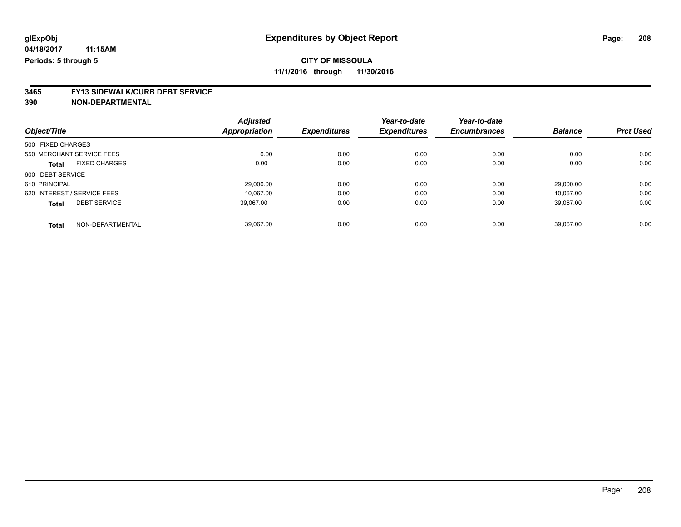# **3465 FY13 SIDEWALK/CURB DEBT SERVICE**

|                                      | <b>Adjusted</b>      |                     | Year-to-date        | Year-to-date        |                |                  |
|--------------------------------------|----------------------|---------------------|---------------------|---------------------|----------------|------------------|
| Object/Title                         | <b>Appropriation</b> | <b>Expenditures</b> | <b>Expenditures</b> | <b>Encumbrances</b> | <b>Balance</b> | <b>Prct Used</b> |
| 500 FIXED CHARGES                    |                      |                     |                     |                     |                |                  |
| 550 MERCHANT SERVICE FEES            | 0.00                 | 0.00                | 0.00                | 0.00                | 0.00           | 0.00             |
| <b>FIXED CHARGES</b><br><b>Total</b> | 0.00                 | 0.00                | 0.00                | 0.00                | 0.00           | 0.00             |
| 600 DEBT SERVICE                     |                      |                     |                     |                     |                |                  |
| 610 PRINCIPAL                        | 29.000.00            | 0.00                | 0.00                | 0.00                | 29.000.00      | 0.00             |
| 620 INTEREST / SERVICE FEES          | 10.067.00            | 0.00                | 0.00                | 0.00                | 10.067.00      | 0.00             |
| <b>DEBT SERVICE</b><br><b>Total</b>  | 39,067.00            | 0.00                | 0.00                | 0.00                | 39,067.00      | 0.00             |
| NON-DEPARTMENTAL<br><b>Total</b>     | 39.067.00            | 0.00                | 0.00                | 0.00                | 39.067.00      | 0.00             |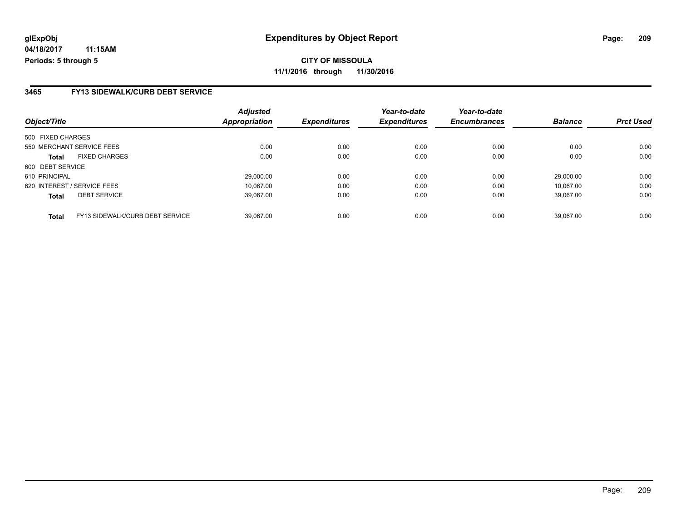**CITY OF MISSOULA 11/1/2016 through 11/30/2016**

#### **3465 FY13 SIDEWALK/CURB DEBT SERVICE**

| Object/Title                                    | <b>Adjusted</b><br><b>Appropriation</b> | <b>Expenditures</b> | Year-to-date<br><b>Expenditures</b> | Year-to-date<br><b>Encumbrances</b> | <b>Balance</b> | <b>Prct Used</b> |
|-------------------------------------------------|-----------------------------------------|---------------------|-------------------------------------|-------------------------------------|----------------|------------------|
| 500 FIXED CHARGES                               |                                         |                     |                                     |                                     |                |                  |
| 550 MERCHANT SERVICE FEES                       | 0.00                                    | 0.00                | 0.00                                | 0.00                                | 0.00           | 0.00             |
| <b>FIXED CHARGES</b><br><b>Total</b>            | 0.00                                    | 0.00                | 0.00                                | 0.00                                | 0.00           | 0.00             |
| 600 DEBT SERVICE                                |                                         |                     |                                     |                                     |                |                  |
| 610 PRINCIPAL                                   | 29,000.00                               | 0.00                | 0.00                                | 0.00                                | 29.000.00      | 0.00             |
| 620 INTEREST / SERVICE FEES                     | 10.067.00                               | 0.00                | 0.00                                | 0.00                                | 10.067.00      | 0.00             |
| <b>DEBT SERVICE</b><br><b>Total</b>             | 39.067.00                               | 0.00                | 0.00                                | 0.00                                | 39.067.00      | 0.00             |
| FY13 SIDEWALK/CURB DEBT SERVICE<br><b>Total</b> | 39.067.00                               | 0.00                | 0.00                                | 0.00                                | 39.067.00      | 0.00             |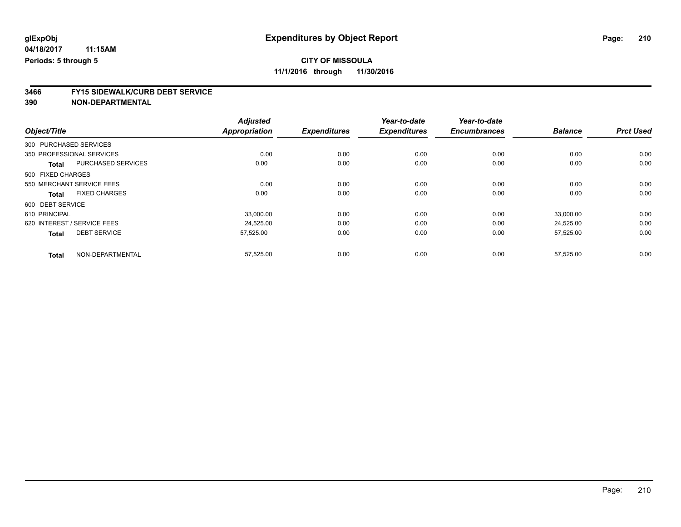# **3466 FY15 SIDEWALK/CURB DEBT SERVICE**

|                                           | <b>Adjusted</b>      |                     | Year-to-date        | Year-to-date        |                |                  |
|-------------------------------------------|----------------------|---------------------|---------------------|---------------------|----------------|------------------|
| Object/Title                              | <b>Appropriation</b> | <b>Expenditures</b> | <b>Expenditures</b> | <b>Encumbrances</b> | <b>Balance</b> | <b>Prct Used</b> |
| 300 PURCHASED SERVICES                    |                      |                     |                     |                     |                |                  |
| 350 PROFESSIONAL SERVICES                 | 0.00                 | 0.00                | 0.00                | 0.00                | 0.00           | 0.00             |
| <b>PURCHASED SERVICES</b><br><b>Total</b> | 0.00                 | 0.00                | 0.00                | 0.00                | 0.00           | 0.00             |
| 500 FIXED CHARGES                         |                      |                     |                     |                     |                |                  |
| 550 MERCHANT SERVICE FEES                 | 0.00                 | 0.00                | 0.00                | 0.00                | 0.00           | 0.00             |
| <b>FIXED CHARGES</b><br><b>Total</b>      | 0.00                 | 0.00                | 0.00                | 0.00                | 0.00           | 0.00             |
| 600 DEBT SERVICE                          |                      |                     |                     |                     |                |                  |
| 610 PRINCIPAL                             | 33,000.00            | 0.00                | 0.00                | 0.00                | 33,000.00      | 0.00             |
| 620 INTEREST / SERVICE FEES               | 24,525.00            | 0.00                | 0.00                | 0.00                | 24.525.00      | 0.00             |
| <b>DEBT SERVICE</b><br><b>Total</b>       | 57,525.00            | 0.00                | 0.00                | 0.00                | 57.525.00      | 0.00             |
| NON-DEPARTMENTAL<br><b>Total</b>          | 57,525.00            | 0.00                | 0.00                | 0.00                | 57,525.00      | 0.00             |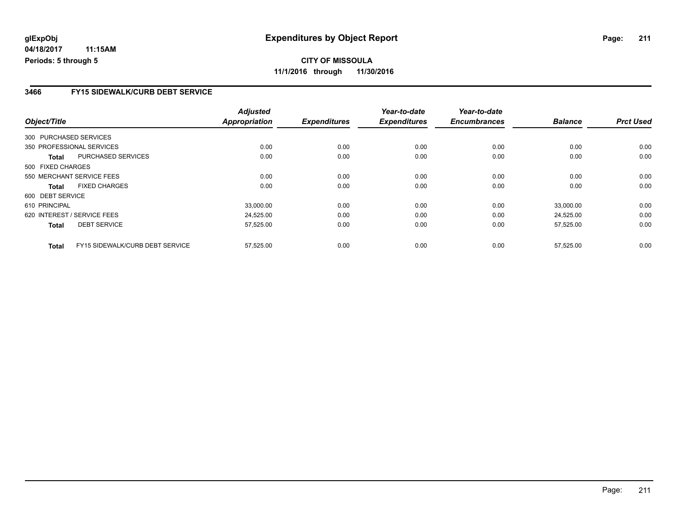### **3466 FY15 SIDEWALK/CURB DEBT SERVICE**

|                        |                                 | <b>Adjusted</b>      |                     | Year-to-date        | Year-to-date        |                |                  |
|------------------------|---------------------------------|----------------------|---------------------|---------------------|---------------------|----------------|------------------|
| Object/Title           |                                 | <b>Appropriation</b> | <b>Expenditures</b> | <b>Expenditures</b> | <b>Encumbrances</b> | <b>Balance</b> | <b>Prct Used</b> |
| 300 PURCHASED SERVICES |                                 |                      |                     |                     |                     |                |                  |
|                        | 350 PROFESSIONAL SERVICES       | 0.00                 | 0.00                | 0.00                | 0.00                | 0.00           | 0.00             |
| Total                  | PURCHASED SERVICES              | 0.00                 | 0.00                | 0.00                | 0.00                | 0.00           | 0.00             |
| 500 FIXED CHARGES      |                                 |                      |                     |                     |                     |                |                  |
|                        | 550 MERCHANT SERVICE FEES       | 0.00                 | 0.00                | 0.00                | 0.00                | 0.00           | 0.00             |
| Total                  | <b>FIXED CHARGES</b>            | 0.00                 | 0.00                | 0.00                | 0.00                | 0.00           | 0.00             |
| 600 DEBT SERVICE       |                                 |                      |                     |                     |                     |                |                  |
| 610 PRINCIPAL          |                                 | 33,000.00            | 0.00                | 0.00                | 0.00                | 33,000.00      | 0.00             |
|                        | 620 INTEREST / SERVICE FEES     | 24,525.00            | 0.00                | 0.00                | 0.00                | 24.525.00      | 0.00             |
| <b>Total</b>           | <b>DEBT SERVICE</b>             | 57,525.00            | 0.00                | 0.00                | 0.00                | 57,525.00      | 0.00             |
| <b>Total</b>           | FY15 SIDEWALK/CURB DEBT SERVICE | 57,525.00            | 0.00                | 0.00                | 0.00                | 57.525.00      | 0.00             |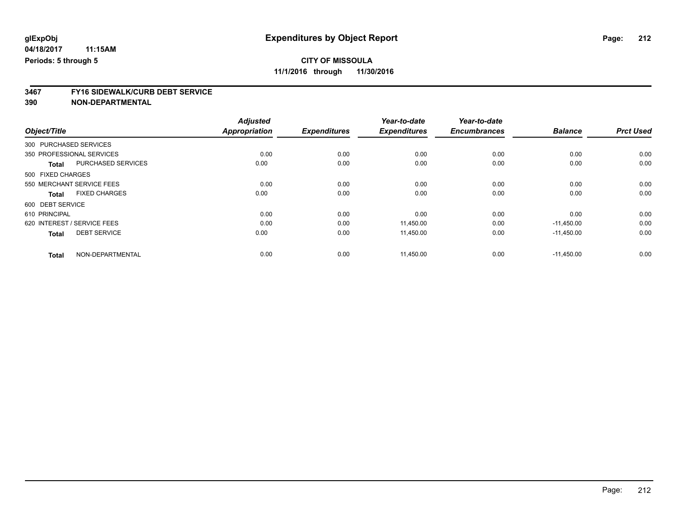# **3467 FY16 SIDEWALK/CURB DEBT SERVICE**

|               |                                           | <b>Adjusted</b>      |                     | Year-to-date        | Year-to-date        |                |                  |
|---------------|-------------------------------------------|----------------------|---------------------|---------------------|---------------------|----------------|------------------|
| Object/Title  |                                           | <b>Appropriation</b> | <b>Expenditures</b> | <b>Expenditures</b> | <b>Encumbrances</b> | <b>Balance</b> | <b>Prct Used</b> |
|               | 300 PURCHASED SERVICES                    |                      |                     |                     |                     |                |                  |
|               | 350 PROFESSIONAL SERVICES                 | 0.00                 | 0.00                | 0.00                | 0.00                | 0.00           | 0.00             |
|               | <b>PURCHASED SERVICES</b><br><b>Total</b> | 0.00                 | 0.00                | 0.00                | 0.00                | 0.00           | 0.00             |
|               | 500 FIXED CHARGES                         |                      |                     |                     |                     |                |                  |
|               | 550 MERCHANT SERVICE FEES                 | 0.00                 | 0.00                | 0.00                | 0.00                | 0.00           | 0.00             |
|               | <b>FIXED CHARGES</b><br><b>Total</b>      | 0.00                 | 0.00                | 0.00                | 0.00                | 0.00           | 0.00             |
|               | 600 DEBT SERVICE                          |                      |                     |                     |                     |                |                  |
| 610 PRINCIPAL |                                           | 0.00                 | 0.00                | 0.00                | 0.00                | 0.00           | 0.00             |
|               | 620 INTEREST / SERVICE FEES               | 0.00                 | 0.00                | 11,450.00           | 0.00                | $-11,450.00$   | 0.00             |
|               | <b>DEBT SERVICE</b><br><b>Total</b>       | 0.00                 | 0.00                | 11,450.00           | 0.00                | $-11.450.00$   | 0.00             |
|               | NON-DEPARTMENTAL<br><b>Total</b>          | 0.00                 | 0.00                | 11,450.00           | 0.00                | $-11,450.00$   | 0.00             |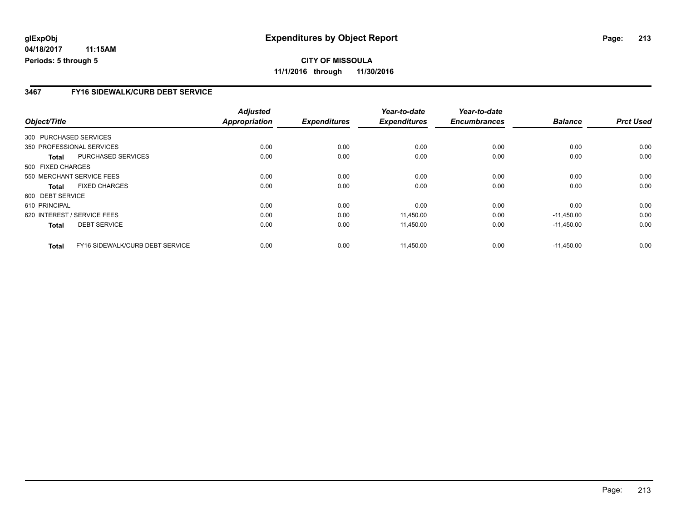**11/1/2016 through 11/30/2016**

### **3467 FY16 SIDEWALK/CURB DEBT SERVICE**

|                        |                                 | <b>Adjusted</b>      |                     | Year-to-date        | Year-to-date        |                |                  |
|------------------------|---------------------------------|----------------------|---------------------|---------------------|---------------------|----------------|------------------|
| Object/Title           |                                 | <b>Appropriation</b> | <b>Expenditures</b> | <b>Expenditures</b> | <b>Encumbrances</b> | <b>Balance</b> | <b>Prct Used</b> |
| 300 PURCHASED SERVICES |                                 |                      |                     |                     |                     |                |                  |
|                        | 350 PROFESSIONAL SERVICES       | 0.00                 | 0.00                | 0.00                | 0.00                | 0.00           | 0.00             |
| Total                  | PURCHASED SERVICES              | 0.00                 | 0.00                | 0.00                | 0.00                | 0.00           | 0.00             |
| 500 FIXED CHARGES      |                                 |                      |                     |                     |                     |                |                  |
|                        | 550 MERCHANT SERVICE FEES       | 0.00                 | 0.00                | 0.00                | 0.00                | 0.00           | 0.00             |
| Total                  | <b>FIXED CHARGES</b>            | 0.00                 | 0.00                | 0.00                | 0.00                | 0.00           | 0.00             |
| 600 DEBT SERVICE       |                                 |                      |                     |                     |                     |                |                  |
| 610 PRINCIPAL          |                                 | 0.00                 | 0.00                | 0.00                | 0.00                | 0.00           | 0.00             |
|                        | 620 INTEREST / SERVICE FEES     | 0.00                 | 0.00                | 11,450.00           | 0.00                | $-11,450.00$   | 0.00             |
| <b>Total</b>           | <b>DEBT SERVICE</b>             | 0.00                 | 0.00                | 11,450.00           | 0.00                | $-11,450.00$   | 0.00             |
| <b>Total</b>           | FY16 SIDEWALK/CURB DEBT SERVICE | 0.00                 | 0.00                | 11,450.00           | 0.00                | $-11,450.00$   | 0.00             |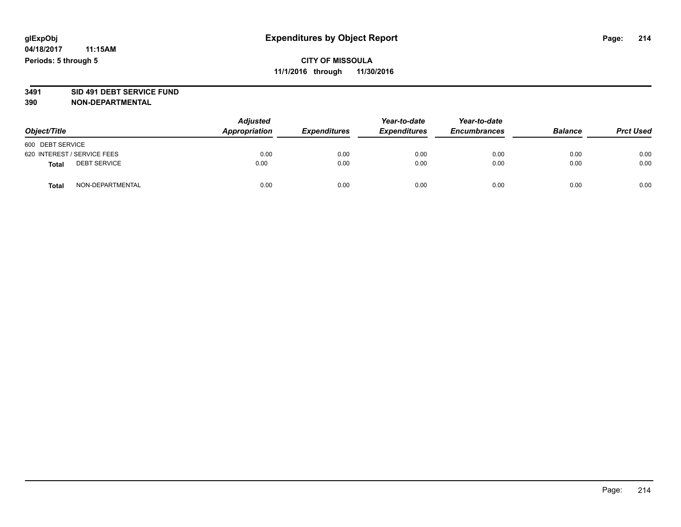# **3491 SID 491 DEBT SERVICE FUND**

| Object/Title                 | <b>Adjusted</b><br>Appropriation | <b>Expenditures</b> | Year-to-date<br><b>Expenditures</b> | Year-to-date<br><b>Encumbrances</b> | <b>Balance</b> | <b>Prct Used</b> |
|------------------------------|----------------------------------|---------------------|-------------------------------------|-------------------------------------|----------------|------------------|
| 600 DEBT SERVICE             |                                  |                     |                                     |                                     |                |                  |
| 620 INTEREST / SERVICE FEES  | 0.00                             | 0.00                | 0.00                                | 0.00                                | 0.00           | 0.00             |
| <b>DEBT SERVICE</b><br>Total | 0.00                             | 0.00                | 0.00                                | 0.00                                | 0.00           | 0.00             |
| NON-DEPARTMENTAL<br>Total    | 0.00                             | 0.00                | 0.00                                | 0.00                                | 0.00           | 0.00             |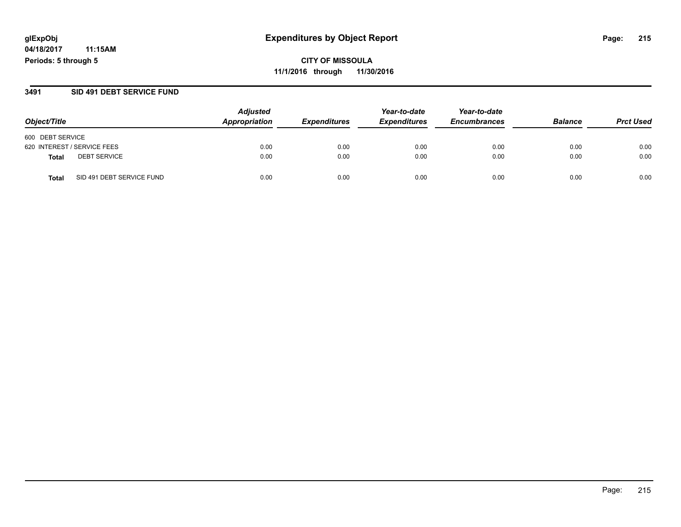#### **3491 SID 491 DEBT SERVICE FUND**

| Object/Title                              | <b>Adjusted</b><br>Appropriation | <b>Expenditures</b> | Year-to-date<br><b>Expenditures</b> | Year-to-date<br><b>Encumbrances</b> | <b>Balance</b> | <b>Prct Used</b> |
|-------------------------------------------|----------------------------------|---------------------|-------------------------------------|-------------------------------------|----------------|------------------|
| 600 DEBT SERVICE                          |                                  |                     |                                     |                                     |                |                  |
| 620 INTEREST / SERVICE FEES               | 0.00                             | 0.00                | 0.00                                | 0.00                                | 0.00           | 0.00             |
| <b>DEBT SERVICE</b><br><b>Total</b>       | 0.00                             | 0.00                | 0.00                                | 0.00                                | 0.00           | 0.00             |
| SID 491 DEBT SERVICE FUND<br><b>Total</b> | 0.00                             | 0.00                | 0.00                                | 0.00                                | 0.00           | 0.00             |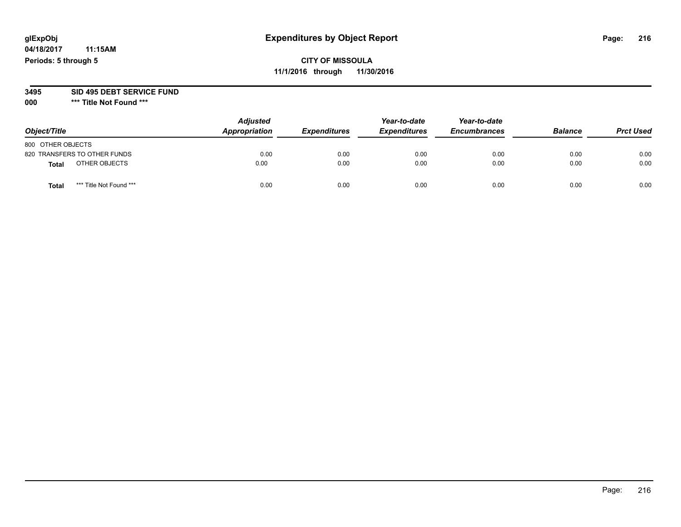## **glExpObj Expenditures by Object Report Page: 216**

## **CITY OF MISSOULA 11/1/2016 through 11/30/2016**

#### **3495 SID 495 DEBT SERVICE FUND**

**000 \*\*\* Title Not Found \*\*\***

| Object/Title                    | <b>Adjusted</b><br><b>Appropriation</b> | <b>Expenditures</b> | Year-to-date<br><b>Expenditures</b> | Year-to-date<br><b>Encumbrances</b> | <b>Balance</b> | <b>Prct Used</b> |
|---------------------------------|-----------------------------------------|---------------------|-------------------------------------|-------------------------------------|----------------|------------------|
| 800 OTHER OBJECTS               |                                         |                     |                                     |                                     |                |                  |
| 820 TRANSFERS TO OTHER FUNDS    | 0.00                                    | 0.00                | 0.00                                | 0.00                                | 0.00           | 0.00             |
| OTHER OBJECTS<br>Total          | 0.00                                    | 0.00                | 0.00                                | 0.00                                | 0.00           | 0.00             |
| *** Title Not Found ***<br>Tota | 0.00                                    | 0.00                | 0.00                                | 0.00                                | 0.00           | 0.00             |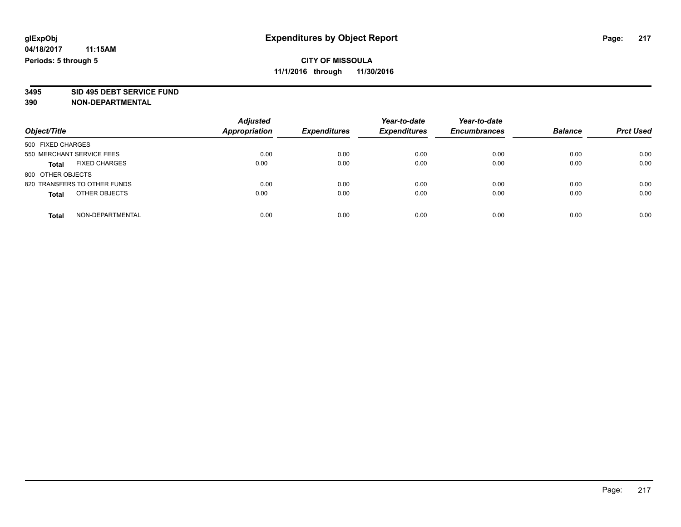**3495 SID 495 DEBT SERVICE FUND**

|                                      | <b>Adjusted</b><br><b>Appropriation</b> |                     | Year-to-date        | Year-to-date        |                |                  |
|--------------------------------------|-----------------------------------------|---------------------|---------------------|---------------------|----------------|------------------|
| Object/Title                         |                                         | <b>Expenditures</b> | <b>Expenditures</b> | <b>Encumbrances</b> | <b>Balance</b> | <b>Prct Used</b> |
| 500 FIXED CHARGES                    |                                         |                     |                     |                     |                |                  |
| 550 MERCHANT SERVICE FEES            | 0.00                                    | 0.00                | 0.00                | 0.00                | 0.00           | 0.00             |
| <b>FIXED CHARGES</b><br><b>Total</b> | 0.00                                    | 0.00                | 0.00                | 0.00                | 0.00           | 0.00             |
| 800 OTHER OBJECTS                    |                                         |                     |                     |                     |                |                  |
| 820 TRANSFERS TO OTHER FUNDS         | 0.00                                    | 0.00                | 0.00                | 0.00                | 0.00           | 0.00             |
| OTHER OBJECTS<br><b>Total</b>        | 0.00                                    | 0.00                | 0.00                | 0.00                | 0.00           | 0.00             |
| NON-DEPARTMENTAL<br><b>Total</b>     | 0.00                                    | 0.00                | 0.00                | 0.00                | 0.00           | 0.00             |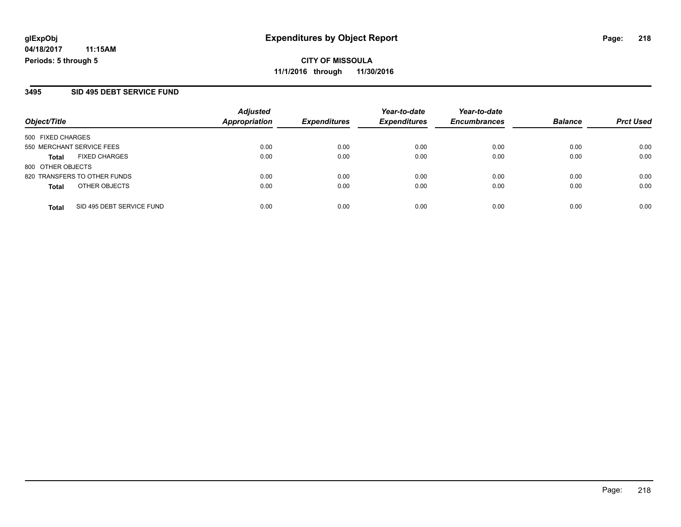**CITY OF MISSOULA 11/1/2016 through 11/30/2016**

#### **3495 SID 495 DEBT SERVICE FUND**

|                           |                              | <b>Adjusted</b> |                     | Year-to-date        | Year-to-date        |                |                  |
|---------------------------|------------------------------|-----------------|---------------------|---------------------|---------------------|----------------|------------------|
| Object/Title              |                              | Appropriation   | <b>Expenditures</b> | <b>Expenditures</b> | <b>Encumbrances</b> | <b>Balance</b> | <b>Prct Used</b> |
| 500 FIXED CHARGES         |                              |                 |                     |                     |                     |                |                  |
| 550 MERCHANT SERVICE FEES |                              | 0.00            | 0.00                | 0.00                | 0.00                | 0.00           | 0.00             |
| <b>Total</b>              | <b>FIXED CHARGES</b>         | 0.00            | 0.00                | 0.00                | 0.00                | 0.00           | 0.00             |
| 800 OTHER OBJECTS         |                              |                 |                     |                     |                     |                |                  |
|                           | 820 TRANSFERS TO OTHER FUNDS | 0.00            | 0.00                | 0.00                | 0.00                | 0.00           | 0.00             |
| <b>Total</b>              | OTHER OBJECTS                | 0.00            | 0.00                | 0.00                | 0.00                | 0.00           | 0.00             |
| <b>Total</b>              | SID 495 DEBT SERVICE FUND    | 0.00            | 0.00                | 0.00                | 0.00                | 0.00           | 0.00             |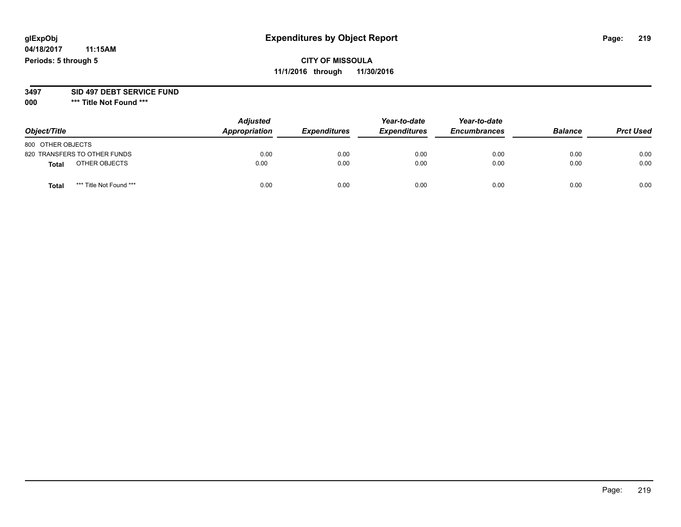## **CITY OF MISSOULA 11/1/2016 through 11/30/2016**

#### **3497 SID 497 DEBT SERVICE FUND**

| Object/Title                    | <b>Adjusted</b><br>Appropriation | <b>Expenditures</b> | Year-to-date<br><b>Expenditures</b> | Year-to-date<br><b>Encumbrances</b> | <b>Balance</b> | <b>Prct Used</b> |
|---------------------------------|----------------------------------|---------------------|-------------------------------------|-------------------------------------|----------------|------------------|
| 800 OTHER OBJECTS               |                                  |                     |                                     |                                     |                |                  |
| 820 TRANSFERS TO OTHER FUNDS    | 0.00                             | 0.00                | 0.00                                | 0.00                                | 0.00           | 0.00             |
| OTHER OBJECTS<br>Total          | 0.00                             | 0.00                | 0.00                                | 0.00                                | 0.00           | 0.00             |
| *** Title Not Found ***<br>Tota | 0.00                             | 0.00                | 0.00                                | 0.00                                | 0.00           | 0.00             |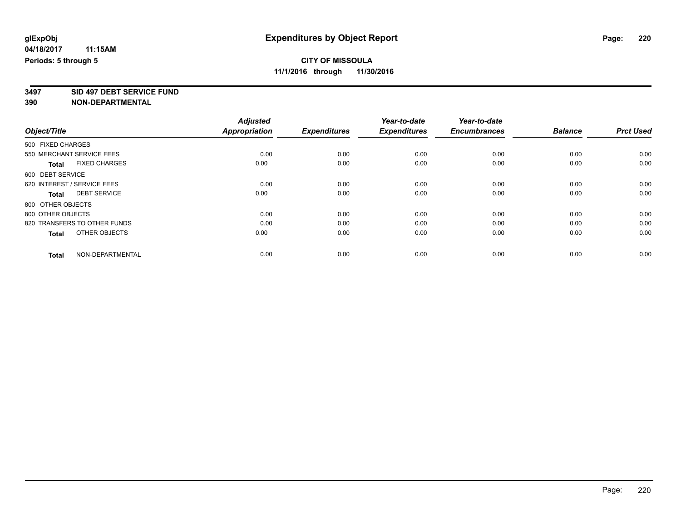**3497 SID 497 DEBT SERVICE FUND**

|                                      | <b>Adjusted</b>      |                     | Year-to-date        | Year-to-date        |                |                  |
|--------------------------------------|----------------------|---------------------|---------------------|---------------------|----------------|------------------|
| Object/Title                         | <b>Appropriation</b> | <b>Expenditures</b> | <b>Expenditures</b> | <b>Encumbrances</b> | <b>Balance</b> | <b>Prct Used</b> |
| 500 FIXED CHARGES                    |                      |                     |                     |                     |                |                  |
| 550 MERCHANT SERVICE FEES            | 0.00                 | 0.00                | 0.00                | 0.00                | 0.00           | 0.00             |
| <b>FIXED CHARGES</b><br><b>Total</b> | 0.00                 | 0.00                | 0.00                | 0.00                | 0.00           | 0.00             |
| 600 DEBT SERVICE                     |                      |                     |                     |                     |                |                  |
| 620 INTEREST / SERVICE FEES          | 0.00                 | 0.00                | 0.00                | 0.00                | 0.00           | 0.00             |
| <b>DEBT SERVICE</b><br><b>Total</b>  | 0.00                 | 0.00                | 0.00                | 0.00                | 0.00           | 0.00             |
| 800 OTHER OBJECTS                    |                      |                     |                     |                     |                |                  |
| 800 OTHER OBJECTS                    | 0.00                 | 0.00                | 0.00                | 0.00                | 0.00           | 0.00             |
| 820 TRANSFERS TO OTHER FUNDS         | 0.00                 | 0.00                | 0.00                | 0.00                | 0.00           | 0.00             |
| OTHER OBJECTS<br><b>Total</b>        | 0.00                 | 0.00                | 0.00                | 0.00                | 0.00           | 0.00             |
|                                      |                      |                     |                     |                     |                |                  |
| NON-DEPARTMENTAL<br><b>Total</b>     | 0.00                 | 0.00                | 0.00                | 0.00                | 0.00           | 0.00             |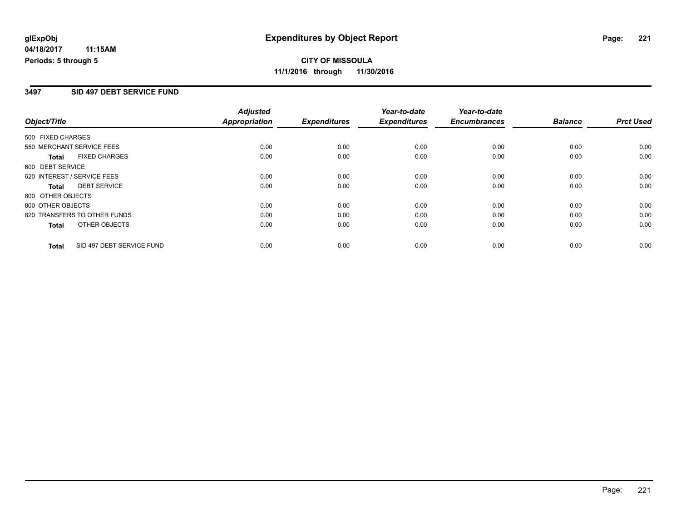## **CITY OF MISSOULA 11/1/2016 through 11/30/2016**

### **3497 SID 497 DEBT SERVICE FUND**

|                                           | <b>Adjusted</b>      |                     | Year-to-date        | Year-to-date        |                |                  |
|-------------------------------------------|----------------------|---------------------|---------------------|---------------------|----------------|------------------|
| Object/Title                              | <b>Appropriation</b> | <b>Expenditures</b> | <b>Expenditures</b> | <b>Encumbrances</b> | <b>Balance</b> | <b>Prct Used</b> |
| 500 FIXED CHARGES                         |                      |                     |                     |                     |                |                  |
| 550 MERCHANT SERVICE FEES                 | 0.00                 | 0.00                | 0.00                | 0.00                | 0.00           | 0.00             |
| <b>FIXED CHARGES</b><br><b>Total</b>      | 0.00                 | 0.00                | 0.00                | 0.00                | 0.00           | 0.00             |
| 600 DEBT SERVICE                          |                      |                     |                     |                     |                |                  |
| 620 INTEREST / SERVICE FEES               | 0.00                 | 0.00                | 0.00                | 0.00                | 0.00           | 0.00             |
| <b>DEBT SERVICE</b><br><b>Total</b>       | 0.00                 | 0.00                | 0.00                | 0.00                | 0.00           | 0.00             |
| 800 OTHER OBJECTS                         |                      |                     |                     |                     |                |                  |
| 800 OTHER OBJECTS                         | 0.00                 | 0.00                | 0.00                | 0.00                | 0.00           | 0.00             |
| 820 TRANSFERS TO OTHER FUNDS              | 0.00                 | 0.00                | 0.00                | 0.00                | 0.00           | 0.00             |
| OTHER OBJECTS<br><b>Total</b>             | 0.00                 | 0.00                | 0.00                | 0.00                | 0.00           | 0.00             |
| SID 497 DEBT SERVICE FUND<br><b>Total</b> | 0.00                 | 0.00                | 0.00                | 0.00                | 0.00           | 0.00             |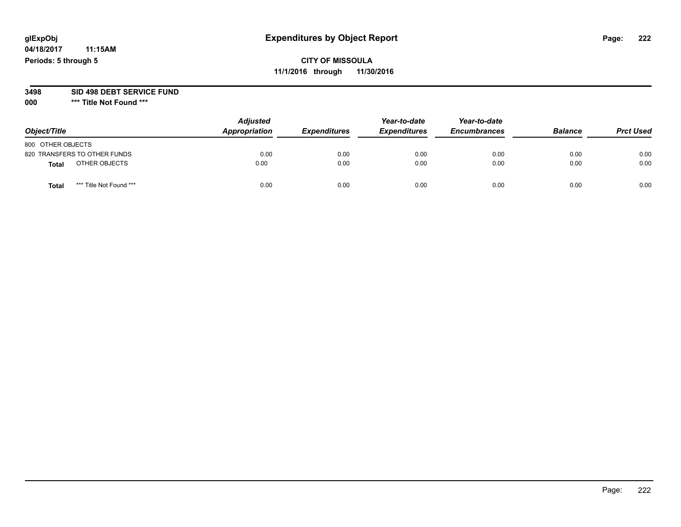## **CITY OF MISSOULA 11/1/2016 through 11/30/2016**

#### **3498 SID 498 DEBT SERVICE FUND**

| Object/Title                    | <b>Adjusted</b><br><b>Appropriation</b> | <b>Expenditures</b> | Year-to-date<br><b>Expenditures</b> | Year-to-date<br><b>Encumbrances</b> | <b>Balance</b> | <b>Prct Used</b> |
|---------------------------------|-----------------------------------------|---------------------|-------------------------------------|-------------------------------------|----------------|------------------|
| 800 OTHER OBJECTS               |                                         |                     |                                     |                                     |                |                  |
| 820 TRANSFERS TO OTHER FUNDS    | 0.00                                    | 0.00                | 0.00                                | 0.00                                | 0.00           | 0.00             |
| OTHER OBJECTS<br>Total          | 0.00                                    | 0.00                | 0.00                                | 0.00                                | 0.00           | 0.00             |
| *** Title Not Found ***<br>Tota | 0.00                                    | 0.00                | 0.00                                | 0.00                                | 0.00           | 0.00             |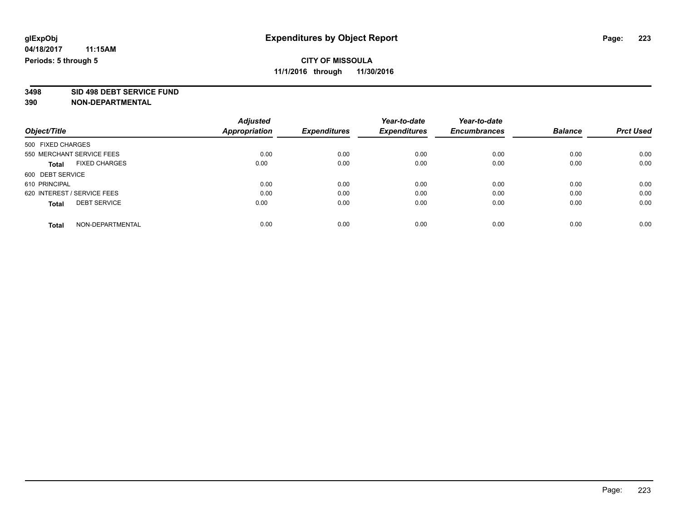**3498 SID 498 DEBT SERVICE FUND**

|                             |                           | <b>Adjusted</b> |                     | Year-to-date        | Year-to-date        |                |                  |
|-----------------------------|---------------------------|-----------------|---------------------|---------------------|---------------------|----------------|------------------|
| Object/Title                |                           | Appropriation   | <b>Expenditures</b> | <b>Expenditures</b> | <b>Encumbrances</b> | <b>Balance</b> | <b>Prct Used</b> |
| 500 FIXED CHARGES           |                           |                 |                     |                     |                     |                |                  |
|                             | 550 MERCHANT SERVICE FEES | 0.00            | 0.00                | 0.00                | 0.00                | 0.00           | 0.00             |
| <b>Total</b>                | <b>FIXED CHARGES</b>      | 0.00            | 0.00                | 0.00                | 0.00                | 0.00           | 0.00             |
| 600 DEBT SERVICE            |                           |                 |                     |                     |                     |                |                  |
| 610 PRINCIPAL               |                           | 0.00            | 0.00                | 0.00                | 0.00                | 0.00           | 0.00             |
| 620 INTEREST / SERVICE FEES |                           | 0.00            | 0.00                | 0.00                | 0.00                | 0.00           | 0.00             |
| <b>Total</b>                | <b>DEBT SERVICE</b>       | 0.00            | 0.00                | 0.00                | 0.00                | 0.00           | 0.00             |
| <b>Total</b>                | NON-DEPARTMENTAL          | 0.00            | 0.00                | 0.00                | 0.00                | 0.00           | 0.00             |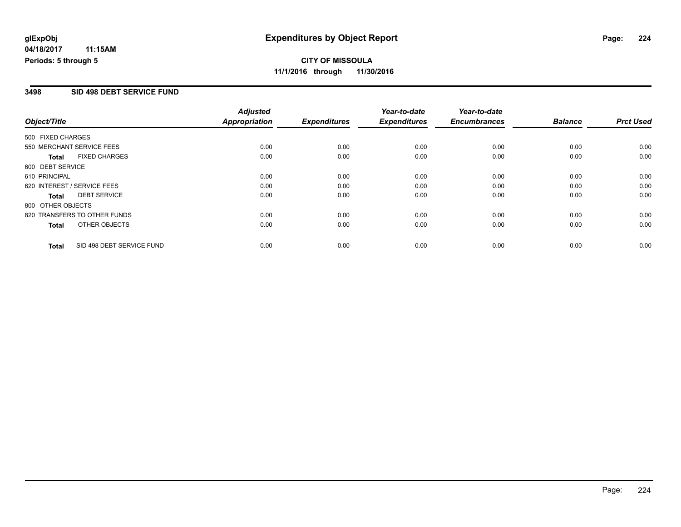## **CITY OF MISSOULA 11/1/2016 through 11/30/2016**

#### **3498 SID 498 DEBT SERVICE FUND**

|                   |                              | <b>Adjusted</b>      |                     | Year-to-date        | Year-to-date        |                |                  |
|-------------------|------------------------------|----------------------|---------------------|---------------------|---------------------|----------------|------------------|
| Object/Title      |                              | <b>Appropriation</b> | <b>Expenditures</b> | <b>Expenditures</b> | <b>Encumbrances</b> | <b>Balance</b> | <b>Prct Used</b> |
| 500 FIXED CHARGES |                              |                      |                     |                     |                     |                |                  |
|                   | 550 MERCHANT SERVICE FEES    | 0.00                 | 0.00                | 0.00                | 0.00                | 0.00           | 0.00             |
| <b>Total</b>      | <b>FIXED CHARGES</b>         | 0.00                 | 0.00                | 0.00                | 0.00                | 0.00           | 0.00             |
| 600 DEBT SERVICE  |                              |                      |                     |                     |                     |                |                  |
| 610 PRINCIPAL     |                              | 0.00                 | 0.00                | 0.00                | 0.00                | 0.00           | 0.00             |
|                   | 620 INTEREST / SERVICE FEES  | 0.00                 | 0.00                | 0.00                | 0.00                | 0.00           | 0.00             |
| Total             | <b>DEBT SERVICE</b>          | 0.00                 | 0.00                | 0.00                | 0.00                | 0.00           | 0.00             |
| 800 OTHER OBJECTS |                              |                      |                     |                     |                     |                |                  |
|                   | 820 TRANSFERS TO OTHER FUNDS | 0.00                 | 0.00                | 0.00                | 0.00                | 0.00           | 0.00             |
| <b>Total</b>      | OTHER OBJECTS                | 0.00                 | 0.00                | 0.00                | 0.00                | 0.00           | 0.00             |
| <b>Total</b>      | SID 498 DEBT SERVICE FUND    | 0.00                 | 0.00                | 0.00                | 0.00                | 0.00           | 0.00             |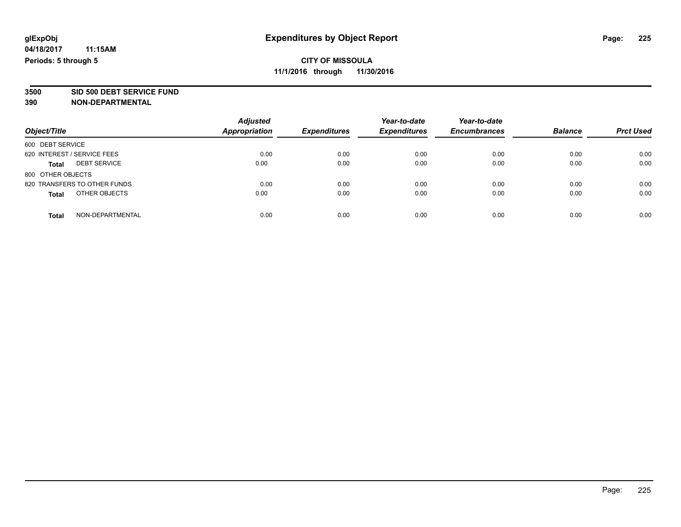**3500 SID 500 DEBT SERVICE FUND**

| Object/Title                        | <b>Adjusted</b><br><b>Appropriation</b> | <b>Expenditures</b> | Year-to-date<br><b>Expenditures</b> | Year-to-date<br><b>Encumbrances</b> | <b>Balance</b> | <b>Prct Used</b> |
|-------------------------------------|-----------------------------------------|---------------------|-------------------------------------|-------------------------------------|----------------|------------------|
| 600 DEBT SERVICE                    |                                         |                     |                                     |                                     |                |                  |
| 620 INTEREST / SERVICE FEES         | 0.00                                    | 0.00                | 0.00                                | 0.00                                | 0.00           | 0.00             |
| <b>DEBT SERVICE</b><br><b>Total</b> | 0.00                                    | 0.00                | 0.00                                | 0.00                                | 0.00           | 0.00             |
| 800 OTHER OBJECTS                   |                                         |                     |                                     |                                     |                |                  |
| 820 TRANSFERS TO OTHER FUNDS        | 0.00                                    | 0.00                | 0.00                                | 0.00                                | 0.00           | 0.00             |
| OTHER OBJECTS<br><b>Total</b>       | 0.00                                    | 0.00                | 0.00                                | 0.00                                | 0.00           | 0.00             |
| NON-DEPARTMENTAL<br><b>Total</b>    | 0.00                                    | 0.00                | 0.00                                | 0.00                                | 0.00           | 0.00             |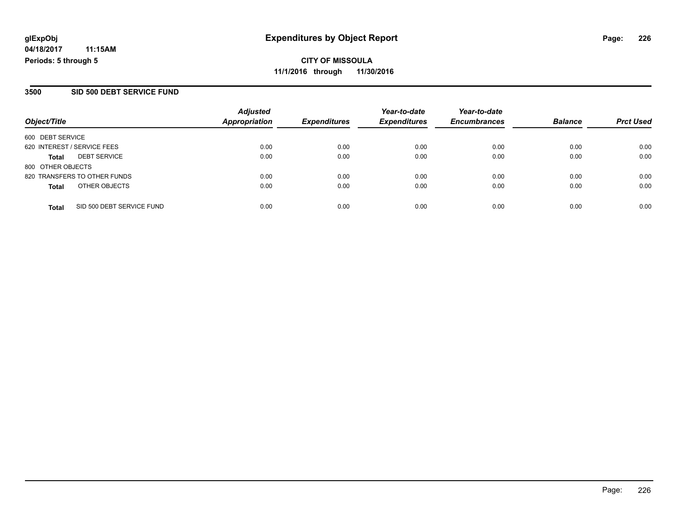**CITY OF MISSOULA 11/1/2016 through 11/30/2016**

#### **3500 SID 500 DEBT SERVICE FUND**

| Object/Title                |                              | <b>Adjusted</b><br>Appropriation | <b>Expenditures</b> | Year-to-date<br><b>Expenditures</b> | Year-to-date<br><b>Encumbrances</b> | <b>Balance</b> | <b>Prct Used</b> |
|-----------------------------|------------------------------|----------------------------------|---------------------|-------------------------------------|-------------------------------------|----------------|------------------|
| 600 DEBT SERVICE            |                              |                                  |                     |                                     |                                     |                |                  |
| 620 INTEREST / SERVICE FEES |                              | 0.00                             | 0.00                | 0.00                                | 0.00                                | 0.00           | 0.00             |
| <b>Total</b>                | <b>DEBT SERVICE</b>          | 0.00                             | 0.00                | 0.00                                | 0.00                                | 0.00           | 0.00             |
| 800 OTHER OBJECTS           |                              |                                  |                     |                                     |                                     |                |                  |
|                             | 820 TRANSFERS TO OTHER FUNDS | 0.00                             | 0.00                | 0.00                                | 0.00                                | 0.00           | 0.00             |
| <b>Total</b>                | OTHER OBJECTS                | 0.00                             | 0.00                | 0.00                                | 0.00                                | 0.00           | 0.00             |
| <b>Total</b>                | SID 500 DEBT SERVICE FUND    | 0.00                             | 0.00                | 0.00                                | 0.00                                | 0.00           | 0.00             |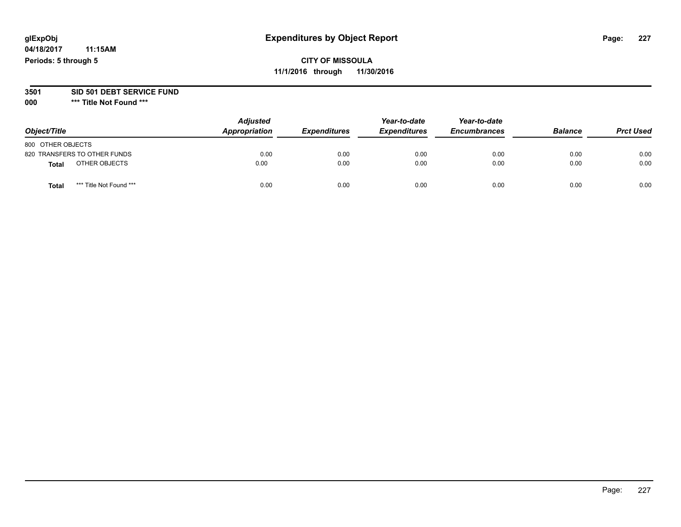#### **3501 SID 501 DEBT SERVICE FUND**

| Object/Title                     | <b>Adjusted</b><br>Appropriation | <b>Expenditures</b> | Year-to-date<br><b>Expenditures</b> | Year-to-date<br><b>Encumbrances</b> | <b>Balance</b> | <b>Prct Used</b> |
|----------------------------------|----------------------------------|---------------------|-------------------------------------|-------------------------------------|----------------|------------------|
| 800 OTHER OBJECTS                |                                  |                     |                                     |                                     |                |                  |
| 820 TRANSFERS TO OTHER FUNDS     | 0.00                             | 0.00                | 0.00                                | 0.00                                | 0.00           | 0.00             |
| OTHER OBJECTS<br><b>Total</b>    | 0.00                             | 0.00                | 0.00                                | 0.00                                | 0.00           | 0.00             |
| *** Title Not Found ***<br>Total | 0.00                             | 0.00                | 0.00                                | 0.00                                | 0.00           | 0.00             |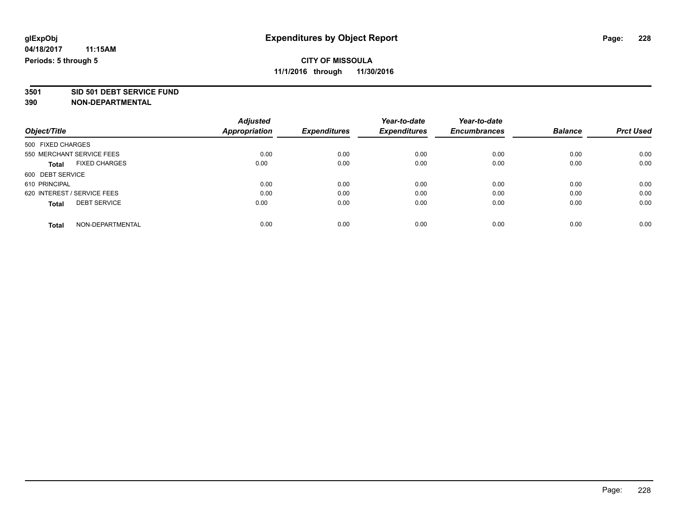# **3501 SID 501 DEBT SERVICE FUND**

|                                      | <b>Adjusted</b>      |                     | Year-to-date        | Year-to-date        |                |                  |
|--------------------------------------|----------------------|---------------------|---------------------|---------------------|----------------|------------------|
| Object/Title                         | <b>Appropriation</b> | <b>Expenditures</b> | <b>Expenditures</b> | <b>Encumbrances</b> | <b>Balance</b> | <b>Prct Used</b> |
| 500 FIXED CHARGES                    |                      |                     |                     |                     |                |                  |
| 550 MERCHANT SERVICE FEES            | 0.00                 | 0.00                | 0.00                | 0.00                | 0.00           | 0.00             |
| <b>FIXED CHARGES</b><br><b>Total</b> | 0.00                 | 0.00                | 0.00                | 0.00                | 0.00           | 0.00             |
| 600 DEBT SERVICE                     |                      |                     |                     |                     |                |                  |
| 610 PRINCIPAL                        | 0.00                 | 0.00                | 0.00                | 0.00                | 0.00           | 0.00             |
| 620 INTEREST / SERVICE FEES          | 0.00                 | 0.00                | 0.00                | 0.00                | 0.00           | 0.00             |
| <b>DEBT SERVICE</b><br><b>Total</b>  | 0.00                 | 0.00                | 0.00                | 0.00                | 0.00           | 0.00             |
| NON-DEPARTMENTAL<br><b>Total</b>     | 0.00                 | 0.00                | 0.00                | 0.00                | 0.00           | 0.00             |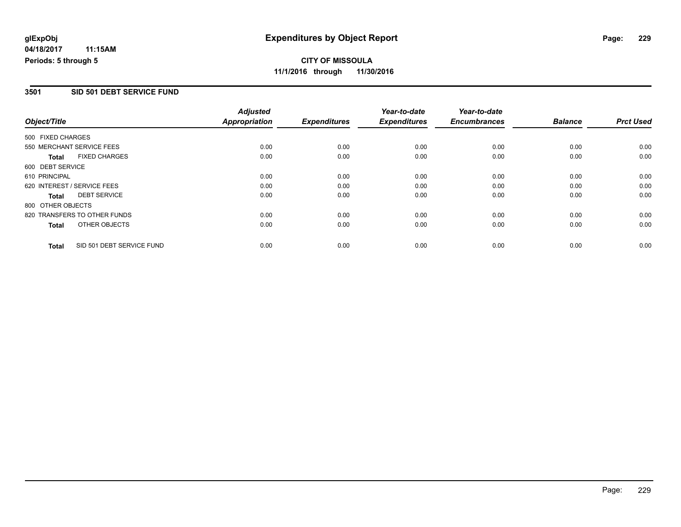#### **3501 SID 501 DEBT SERVICE FUND**

|                              |                           | <b>Adjusted</b>      |                     | Year-to-date        | Year-to-date        |                |                  |
|------------------------------|---------------------------|----------------------|---------------------|---------------------|---------------------|----------------|------------------|
| Object/Title                 |                           | <b>Appropriation</b> | <b>Expenditures</b> | <b>Expenditures</b> | <b>Encumbrances</b> | <b>Balance</b> | <b>Prct Used</b> |
| 500 FIXED CHARGES            |                           |                      |                     |                     |                     |                |                  |
| 550 MERCHANT SERVICE FEES    |                           | 0.00                 | 0.00                | 0.00                | 0.00                | 0.00           | 0.00             |
| <b>Total</b>                 | <b>FIXED CHARGES</b>      | 0.00                 | 0.00                | 0.00                | 0.00                | 0.00           | 0.00             |
| 600 DEBT SERVICE             |                           |                      |                     |                     |                     |                |                  |
| 610 PRINCIPAL                |                           | 0.00                 | 0.00                | 0.00                | 0.00                | 0.00           | 0.00             |
| 620 INTEREST / SERVICE FEES  |                           | 0.00                 | 0.00                | 0.00                | 0.00                | 0.00           | 0.00             |
| Total                        | <b>DEBT SERVICE</b>       | 0.00                 | 0.00                | 0.00                | 0.00                | 0.00           | 0.00             |
| 800 OTHER OBJECTS            |                           |                      |                     |                     |                     |                |                  |
| 820 TRANSFERS TO OTHER FUNDS |                           | 0.00                 | 0.00                | 0.00                | 0.00                | 0.00           | 0.00             |
| <b>Total</b>                 | OTHER OBJECTS             | 0.00                 | 0.00                | 0.00                | 0.00                | 0.00           | 0.00             |
| <b>Total</b>                 | SID 501 DEBT SERVICE FUND | 0.00                 | 0.00                | 0.00                | 0.00                | 0.00           | 0.00             |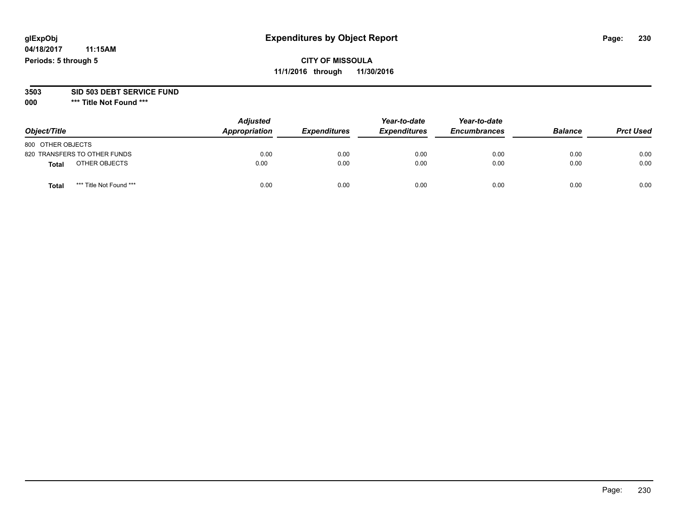## **CITY OF MISSOULA 11/1/2016 through 11/30/2016**

#### **3503 SID 503 DEBT SERVICE FUND**

| Object/Title                     | <b>Adjusted</b><br>Appropriation | <b>Expenditures</b> | Year-to-date<br><b>Expenditures</b> | Year-to-date<br><b>Encumbrances</b> | <b>Balance</b> | <b>Prct Used</b> |
|----------------------------------|----------------------------------|---------------------|-------------------------------------|-------------------------------------|----------------|------------------|
| 800 OTHER OBJECTS                |                                  |                     |                                     |                                     |                |                  |
| 820 TRANSFERS TO OTHER FUNDS     | 0.00                             | 0.00                | 0.00                                | 0.00                                | 0.00           | 0.00             |
| OTHER OBJECTS<br><b>Total</b>    | 0.00                             | 0.00                | 0.00                                | 0.00                                | 0.00           | 0.00             |
| *** Title Not Found ***<br>Total | 0.00                             | 0.00                | 0.00                                | 0.00                                | 0.00           | 0.00             |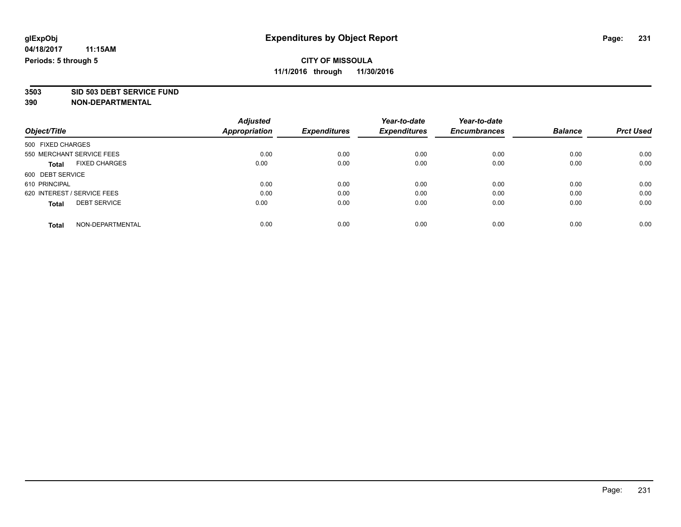**3503 SID 503 DEBT SERVICE FUND**

|                                      | <b>Adjusted</b>      |                     | Year-to-date        | Year-to-date        |                |                  |
|--------------------------------------|----------------------|---------------------|---------------------|---------------------|----------------|------------------|
| Object/Title                         | <b>Appropriation</b> | <b>Expenditures</b> | <b>Expenditures</b> | <b>Encumbrances</b> | <b>Balance</b> | <b>Prct Used</b> |
| 500 FIXED CHARGES                    |                      |                     |                     |                     |                |                  |
| 550 MERCHANT SERVICE FEES            | 0.00                 | 0.00                | 0.00                | 0.00                | 0.00           | 0.00             |
| <b>FIXED CHARGES</b><br><b>Total</b> | 0.00                 | 0.00                | 0.00                | 0.00                | 0.00           | 0.00             |
| 600 DEBT SERVICE                     |                      |                     |                     |                     |                |                  |
| 610 PRINCIPAL                        | 0.00                 | 0.00                | 0.00                | 0.00                | 0.00           | 0.00             |
| 620 INTEREST / SERVICE FEES          | 0.00                 | 0.00                | 0.00                | 0.00                | 0.00           | 0.00             |
| <b>DEBT SERVICE</b><br><b>Total</b>  | 0.00                 | 0.00                | 0.00                | 0.00                | 0.00           | 0.00             |
| NON-DEPARTMENTAL<br><b>Total</b>     | 0.00                 | 0.00                | 0.00                | 0.00                | 0.00           | 0.00             |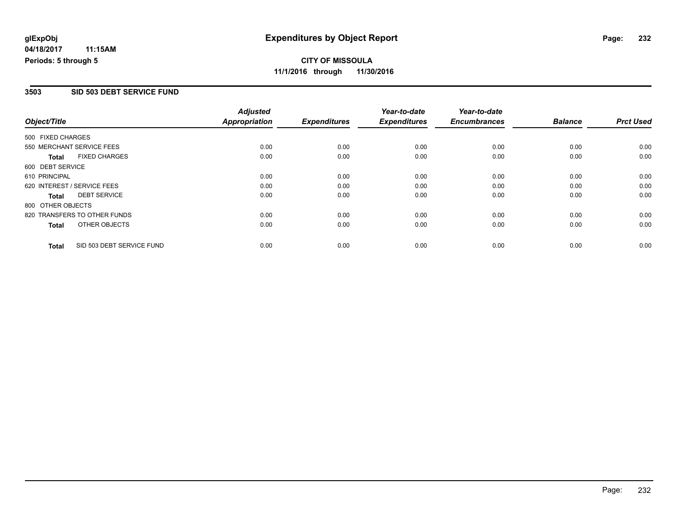#### **3503 SID 503 DEBT SERVICE FUND**

|                   |                              | <b>Adjusted</b>      |                     | Year-to-date        | Year-to-date        |                |                  |
|-------------------|------------------------------|----------------------|---------------------|---------------------|---------------------|----------------|------------------|
| Object/Title      |                              | <b>Appropriation</b> | <b>Expenditures</b> | <b>Expenditures</b> | <b>Encumbrances</b> | <b>Balance</b> | <b>Prct Used</b> |
| 500 FIXED CHARGES |                              |                      |                     |                     |                     |                |                  |
|                   | 550 MERCHANT SERVICE FEES    | 0.00                 | 0.00                | 0.00                | 0.00                | 0.00           | 0.00             |
| <b>Total</b>      | <b>FIXED CHARGES</b>         | 0.00                 | 0.00                | 0.00                | 0.00                | 0.00           | 0.00             |
| 600 DEBT SERVICE  |                              |                      |                     |                     |                     |                |                  |
| 610 PRINCIPAL     |                              | 0.00                 | 0.00                | 0.00                | 0.00                | 0.00           | 0.00             |
|                   | 620 INTEREST / SERVICE FEES  | 0.00                 | 0.00                | 0.00                | 0.00                | 0.00           | 0.00             |
| Total             | <b>DEBT SERVICE</b>          | 0.00                 | 0.00                | 0.00                | 0.00                | 0.00           | 0.00             |
| 800 OTHER OBJECTS |                              |                      |                     |                     |                     |                |                  |
|                   | 820 TRANSFERS TO OTHER FUNDS | 0.00                 | 0.00                | 0.00                | 0.00                | 0.00           | 0.00             |
| <b>Total</b>      | OTHER OBJECTS                | 0.00                 | 0.00                | 0.00                | 0.00                | 0.00           | 0.00             |
| <b>Total</b>      | SID 503 DEBT SERVICE FUND    | 0.00                 | 0.00                | 0.00                | 0.00                | 0.00           | 0.00             |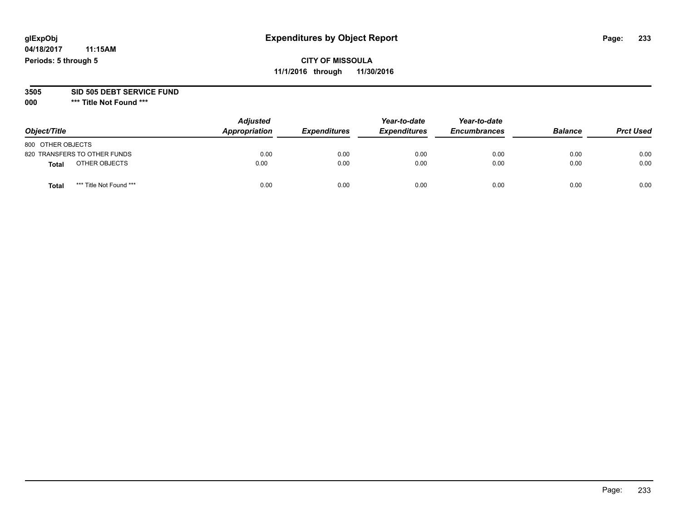## **CITY OF MISSOULA 11/1/2016 through 11/30/2016**

#### **3505 SID 505 DEBT SERVICE FUND**

| Object/Title                    | <b>Adjusted</b><br>Appropriation | <b>Expenditures</b> | Year-to-date<br><b>Expenditures</b> | Year-to-date<br><b>Encumbrances</b> | <b>Balance</b> | <b>Prct Used</b> |
|---------------------------------|----------------------------------|---------------------|-------------------------------------|-------------------------------------|----------------|------------------|
| 800 OTHER OBJECTS               |                                  |                     |                                     |                                     |                |                  |
| 820 TRANSFERS TO OTHER FUNDS    | 0.00                             | 0.00                | 0.00                                | 0.00                                | 0.00           | 0.00             |
| OTHER OBJECTS<br><b>Total</b>   | 0.00                             | 0.00                | 0.00                                | 0.00                                | 0.00           | 0.00             |
| *** Title Not Found ***<br>Tota | 0.00                             | 0.00                | 0.00                                | 0.00                                | 0.00           | 0.00             |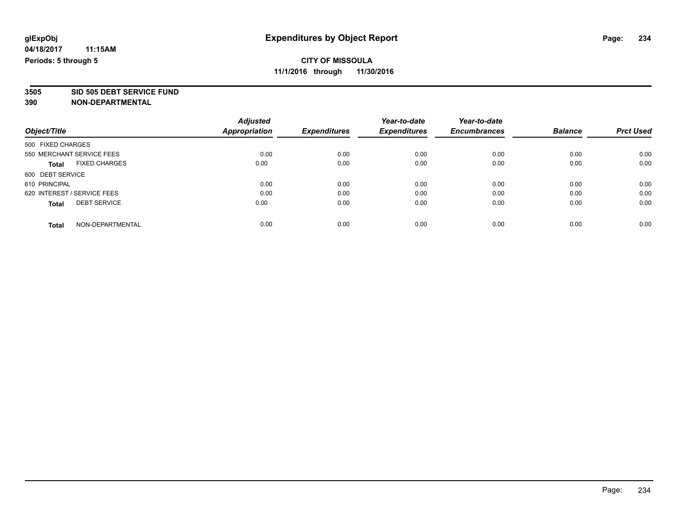**3505 SID 505 DEBT SERVICE FUND**

|                             |                           | <b>Adjusted</b>      |                     | Year-to-date        | Year-to-date        |                |                  |
|-----------------------------|---------------------------|----------------------|---------------------|---------------------|---------------------|----------------|------------------|
| Object/Title                |                           | <b>Appropriation</b> | <b>Expenditures</b> | <b>Expenditures</b> | <b>Encumbrances</b> | <b>Balance</b> | <b>Prct Used</b> |
| 500 FIXED CHARGES           |                           |                      |                     |                     |                     |                |                  |
|                             | 550 MERCHANT SERVICE FEES | 0.00                 | 0.00                | 0.00                | 0.00                | 0.00           | 0.00             |
| <b>Total</b>                | <b>FIXED CHARGES</b>      | 0.00                 | 0.00                | 0.00                | 0.00                | 0.00           | 0.00             |
| 600 DEBT SERVICE            |                           |                      |                     |                     |                     |                |                  |
| 610 PRINCIPAL               |                           | 0.00                 | 0.00                | 0.00                | 0.00                | 0.00           | 0.00             |
| 620 INTEREST / SERVICE FEES |                           | 0.00                 | 0.00                | 0.00                | 0.00                | 0.00           | 0.00             |
| <b>Total</b>                | <b>DEBT SERVICE</b>       | 0.00                 | 0.00                | 0.00                | 0.00                | 0.00           | 0.00             |
| <b>Total</b>                | NON-DEPARTMENTAL          | 0.00                 | 0.00                | 0.00                | 0.00                | 0.00           | 0.00             |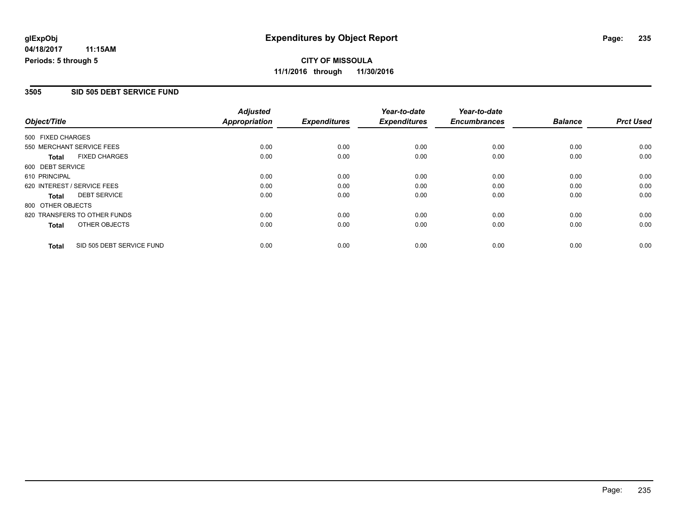## **CITY OF MISSOULA 11/1/2016 through 11/30/2016**

#### **3505 SID 505 DEBT SERVICE FUND**

|                              |                           | <b>Adjusted</b>      |                     | Year-to-date        | Year-to-date        |                |                  |
|------------------------------|---------------------------|----------------------|---------------------|---------------------|---------------------|----------------|------------------|
| Object/Title                 |                           | <b>Appropriation</b> | <b>Expenditures</b> | <b>Expenditures</b> | <b>Encumbrances</b> | <b>Balance</b> | <b>Prct Used</b> |
| 500 FIXED CHARGES            |                           |                      |                     |                     |                     |                |                  |
| 550 MERCHANT SERVICE FEES    |                           | 0.00                 | 0.00                | 0.00                | 0.00                | 0.00           | 0.00             |
| <b>Total</b>                 | <b>FIXED CHARGES</b>      | 0.00                 | 0.00                | 0.00                | 0.00                | 0.00           | 0.00             |
| 600 DEBT SERVICE             |                           |                      |                     |                     |                     |                |                  |
| 610 PRINCIPAL                |                           | 0.00                 | 0.00                | 0.00                | 0.00                | 0.00           | 0.00             |
| 620 INTEREST / SERVICE FEES  |                           | 0.00                 | 0.00                | 0.00                | 0.00                | 0.00           | 0.00             |
| <b>Total</b>                 | <b>DEBT SERVICE</b>       | 0.00                 | 0.00                | 0.00                | 0.00                | 0.00           | 0.00             |
| 800 OTHER OBJECTS            |                           |                      |                     |                     |                     |                |                  |
| 820 TRANSFERS TO OTHER FUNDS |                           | 0.00                 | 0.00                | 0.00                | 0.00                | 0.00           | 0.00             |
| <b>Total</b>                 | OTHER OBJECTS             | 0.00                 | 0.00                | 0.00                | 0.00                | 0.00           | 0.00             |
| <b>Total</b>                 | SID 505 DEBT SERVICE FUND | 0.00                 | 0.00                | 0.00                | 0.00                | 0.00           | 0.00             |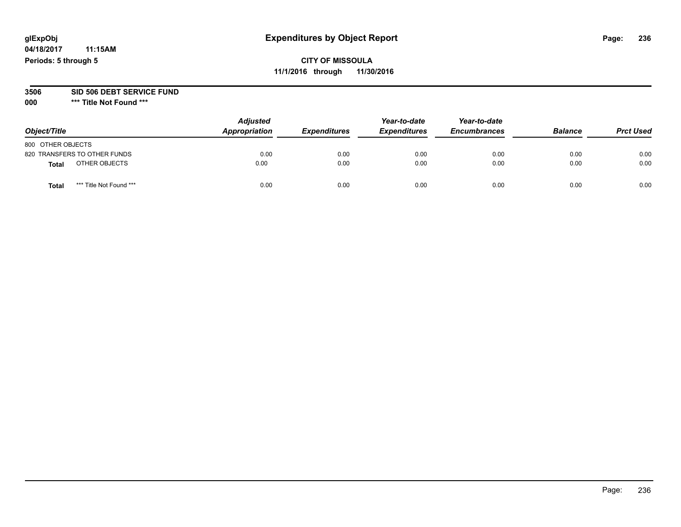## **CITY OF MISSOULA 11/1/2016 through 11/30/2016**

#### **3506 SID 506 DEBT SERVICE FUND**

| Object/Title                     | <b>Adjusted</b><br>Appropriation | <b>Expenditures</b> | Year-to-date<br><b>Expenditures</b> | Year-to-date<br><b>Encumbrances</b> | <b>Balance</b> | <b>Prct Used</b> |
|----------------------------------|----------------------------------|---------------------|-------------------------------------|-------------------------------------|----------------|------------------|
| 800 OTHER OBJECTS                |                                  |                     |                                     |                                     |                |                  |
| 820 TRANSFERS TO OTHER FUNDS     | 0.00                             | 0.00                | 0.00                                | 0.00                                | 0.00           | 0.00             |
| OTHER OBJECTS<br><b>Total</b>    | 0.00                             | 0.00                | 0.00                                | 0.00                                | 0.00           | 0.00             |
| *** Title Not Found ***<br>Total | 0.00                             | 0.00                | 0.00                                | 0.00                                | 0.00           | 0.00             |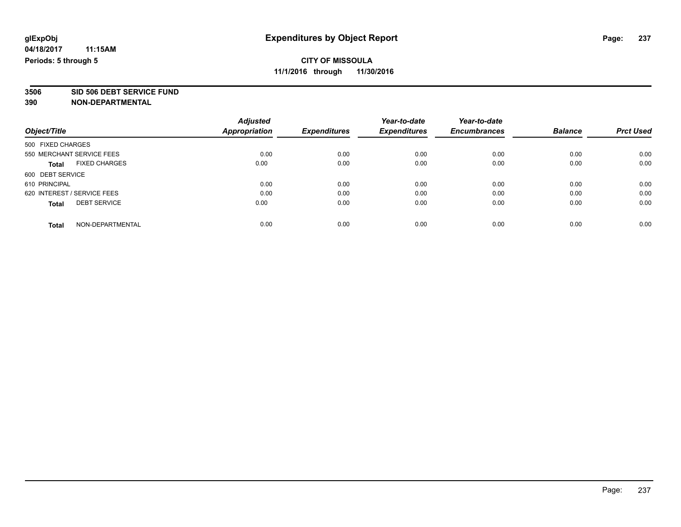**3506 SID 506 DEBT SERVICE FUND**

|                             |                           | <b>Adjusted</b>      |                     | Year-to-date        | Year-to-date        |                |                  |
|-----------------------------|---------------------------|----------------------|---------------------|---------------------|---------------------|----------------|------------------|
| Object/Title                |                           | <b>Appropriation</b> | <b>Expenditures</b> | <b>Expenditures</b> | <b>Encumbrances</b> | <b>Balance</b> | <b>Prct Used</b> |
| 500 FIXED CHARGES           |                           |                      |                     |                     |                     |                |                  |
|                             | 550 MERCHANT SERVICE FEES | 0.00                 | 0.00                | 0.00                | 0.00                | 0.00           | 0.00             |
| <b>Total</b>                | <b>FIXED CHARGES</b>      | 0.00                 | 0.00                | 0.00                | 0.00                | 0.00           | 0.00             |
| 600 DEBT SERVICE            |                           |                      |                     |                     |                     |                |                  |
| 610 PRINCIPAL               |                           | 0.00                 | 0.00                | 0.00                | 0.00                | 0.00           | 0.00             |
| 620 INTEREST / SERVICE FEES |                           | 0.00                 | 0.00                | 0.00                | 0.00                | 0.00           | 0.00             |
| <b>Total</b>                | <b>DEBT SERVICE</b>       | 0.00                 | 0.00                | 0.00                | 0.00                | 0.00           | 0.00             |
| <b>Total</b>                | NON-DEPARTMENTAL          | 0.00                 | 0.00                | 0.00                | 0.00                | 0.00           | 0.00             |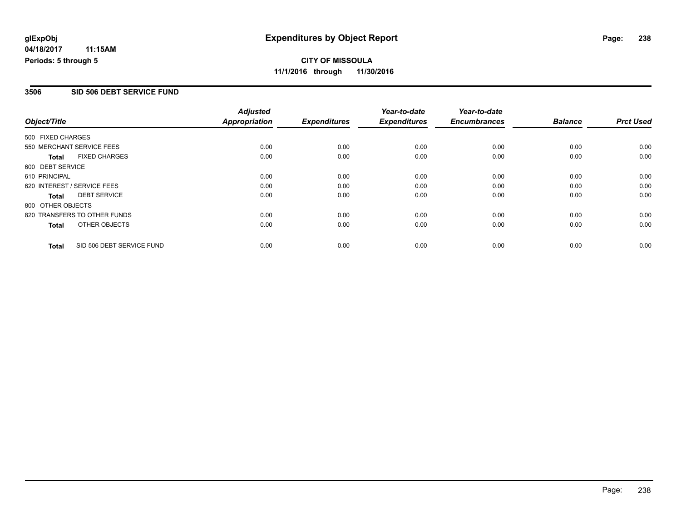## **CITY OF MISSOULA 11/1/2016 through 11/30/2016**

#### **3506 SID 506 DEBT SERVICE FUND**

|                   |                              | <b>Adjusted</b> |                     | Year-to-date        | Year-to-date        |                |                  |
|-------------------|------------------------------|-----------------|---------------------|---------------------|---------------------|----------------|------------------|
| Object/Title      |                              | Appropriation   | <b>Expenditures</b> | <b>Expenditures</b> | <b>Encumbrances</b> | <b>Balance</b> | <b>Prct Used</b> |
| 500 FIXED CHARGES |                              |                 |                     |                     |                     |                |                  |
|                   | 550 MERCHANT SERVICE FEES    | 0.00            | 0.00                | 0.00                | 0.00                | 0.00           | 0.00             |
| <b>Total</b>      | <b>FIXED CHARGES</b>         | 0.00            | 0.00                | 0.00                | 0.00                | 0.00           | 0.00             |
| 600 DEBT SERVICE  |                              |                 |                     |                     |                     |                |                  |
| 610 PRINCIPAL     |                              | 0.00            | 0.00                | 0.00                | 0.00                | 0.00           | 0.00             |
|                   | 620 INTEREST / SERVICE FEES  | 0.00            | 0.00                | 0.00                | 0.00                | 0.00           | 0.00             |
| <b>Total</b>      | <b>DEBT SERVICE</b>          | 0.00            | 0.00                | 0.00                | 0.00                | 0.00           | 0.00             |
| 800 OTHER OBJECTS |                              |                 |                     |                     |                     |                |                  |
|                   | 820 TRANSFERS TO OTHER FUNDS | 0.00            | 0.00                | 0.00                | 0.00                | 0.00           | 0.00             |
| <b>Total</b>      | OTHER OBJECTS                | 0.00            | 0.00                | 0.00                | 0.00                | 0.00           | 0.00             |
| <b>Total</b>      | SID 506 DEBT SERVICE FUND    | 0.00            | 0.00                | 0.00                | 0.00                | 0.00           | 0.00             |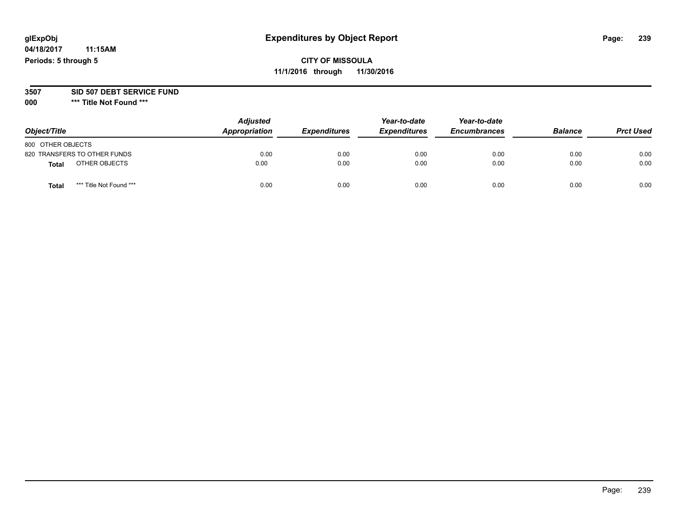## **CITY OF MISSOULA 11/1/2016 through 11/30/2016**

#### **3507 SID 507 DEBT SERVICE FUND**

| Object/Title                     | <b>Adjusted</b><br>Appropriation | <b>Expenditures</b> | Year-to-date<br><b>Expenditures</b> | Year-to-date<br><b>Encumbrances</b> | <b>Balance</b> | <b>Prct Used</b> |
|----------------------------------|----------------------------------|---------------------|-------------------------------------|-------------------------------------|----------------|------------------|
| 800 OTHER OBJECTS                |                                  |                     |                                     |                                     |                |                  |
| 820 TRANSFERS TO OTHER FUNDS     | 0.00                             | 0.00                | 0.00                                | 0.00                                | 0.00           | 0.00             |
| OTHER OBJECTS<br><b>Total</b>    | 0.00                             | 0.00                | 0.00                                | 0.00                                | 0.00           | 0.00             |
| *** Title Not Found ***<br>Total | 0.00                             | 0.00                | 0.00                                | 0.00                                | 0.00           | 0.00             |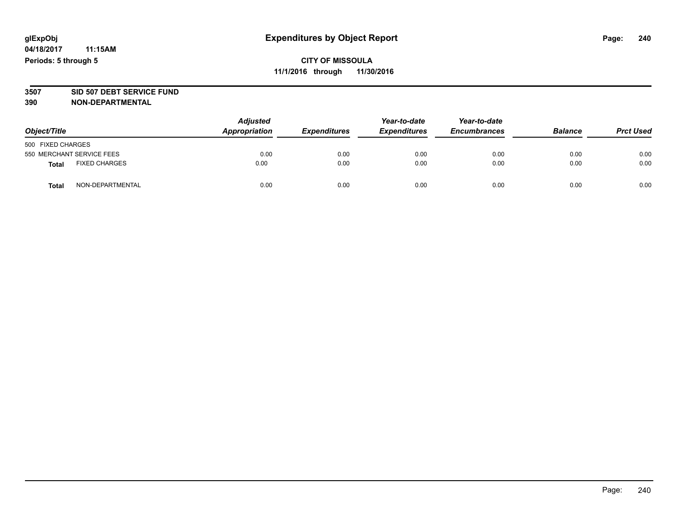# **3507 SID 507 DEBT SERVICE FUND**

| Object/Title                         |                  | <b>Adjusted</b><br>Appropriation | <b>Expenditures</b> | Year-to-date<br><b>Expenditures</b> | Year-to-date<br><b>Encumbrances</b> | <b>Balance</b> | <b>Prct Used</b> |
|--------------------------------------|------------------|----------------------------------|---------------------|-------------------------------------|-------------------------------------|----------------|------------------|
| 500 FIXED CHARGES                    |                  |                                  |                     |                                     |                                     |                |                  |
| 550 MERCHANT SERVICE FEES            |                  | 0.00                             | 0.00                | 0.00                                | 0.00                                | 0.00           | 0.00             |
| <b>FIXED CHARGES</b><br><b>Total</b> |                  | 0.00                             | 0.00                | 0.00                                | 0.00                                | 0.00           | 0.00             |
| <b>Total</b>                         | NON-DEPARTMENTAL | 0.00                             | 0.00                | 0.00                                | 0.00                                | 0.00           | 0.00             |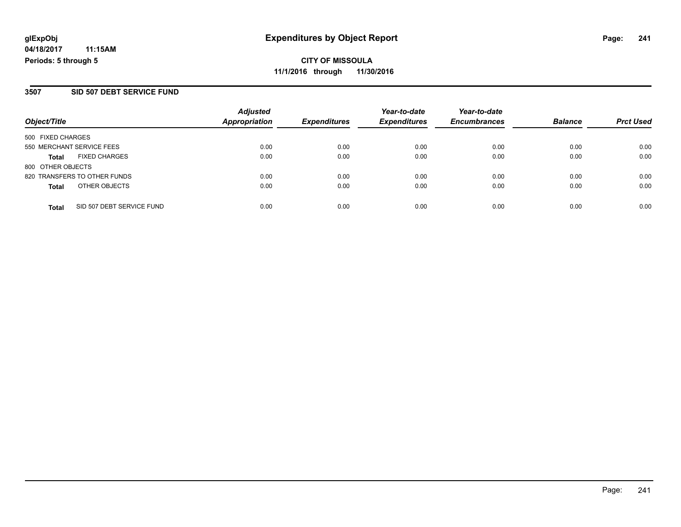**CITY OF MISSOULA 11/1/2016 through 11/30/2016**

#### **3507 SID 507 DEBT SERVICE FUND**

|                           |                              | <b>Adjusted</b>      |                     | Year-to-date        | Year-to-date        |                |                  |
|---------------------------|------------------------------|----------------------|---------------------|---------------------|---------------------|----------------|------------------|
| Object/Title              |                              | <b>Appropriation</b> | <b>Expenditures</b> | <b>Expenditures</b> | <b>Encumbrances</b> | <b>Balance</b> | <b>Prct Used</b> |
| 500 FIXED CHARGES         |                              |                      |                     |                     |                     |                |                  |
| 550 MERCHANT SERVICE FEES |                              | 0.00                 | 0.00                | 0.00                | 0.00                | 0.00           | 0.00             |
| <b>Total</b>              | <b>FIXED CHARGES</b>         | 0.00                 | 0.00                | 0.00                | 0.00                | 0.00           | 0.00             |
| 800 OTHER OBJECTS         |                              |                      |                     |                     |                     |                |                  |
|                           | 820 TRANSFERS TO OTHER FUNDS | 0.00                 | 0.00                | 0.00                | 0.00                | 0.00           | 0.00             |
| <b>Total</b>              | OTHER OBJECTS                | 0.00                 | 0.00                | 0.00                | 0.00                | 0.00           | 0.00             |
| <b>Total</b>              | SID 507 DEBT SERVICE FUND    | 0.00                 | 0.00                | 0.00                | 0.00                | 0.00           | 0.00             |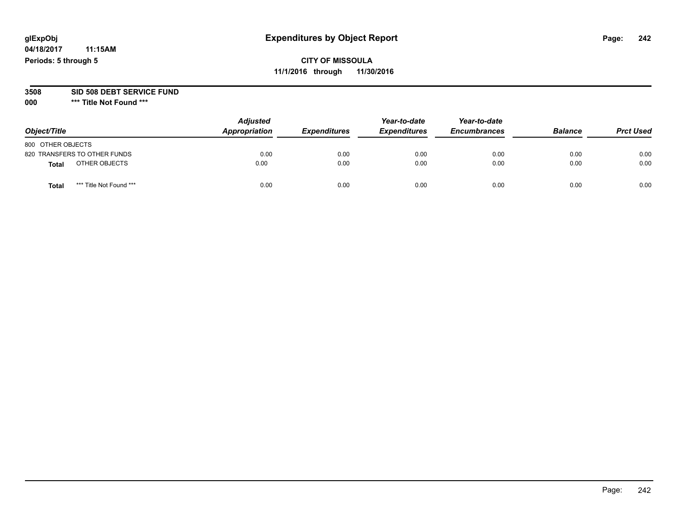## **CITY OF MISSOULA 11/1/2016 through 11/30/2016**

#### **3508 SID 508 DEBT SERVICE FUND**

| Object/Title                    | <b>Adjusted</b><br>Appropriation | <b>Expenditures</b> | Year-to-date<br><b>Expenditures</b> | Year-to-date<br><b>Encumbrances</b> | <b>Balance</b> | <b>Prct Used</b> |
|---------------------------------|----------------------------------|---------------------|-------------------------------------|-------------------------------------|----------------|------------------|
| 800 OTHER OBJECTS               |                                  |                     |                                     |                                     |                |                  |
| 820 TRANSFERS TO OTHER FUNDS    | 0.00                             | 0.00                | 0.00                                | 0.00                                | 0.00           | 0.00             |
| OTHER OBJECTS<br><b>Total</b>   | 0.00                             | 0.00                | 0.00                                | 0.00                                | 0.00           | 0.00             |
| *** Title Not Found ***<br>Tota | 0.00                             | 0.00                | 0.00                                | 0.00                                | 0.00           | 0.00             |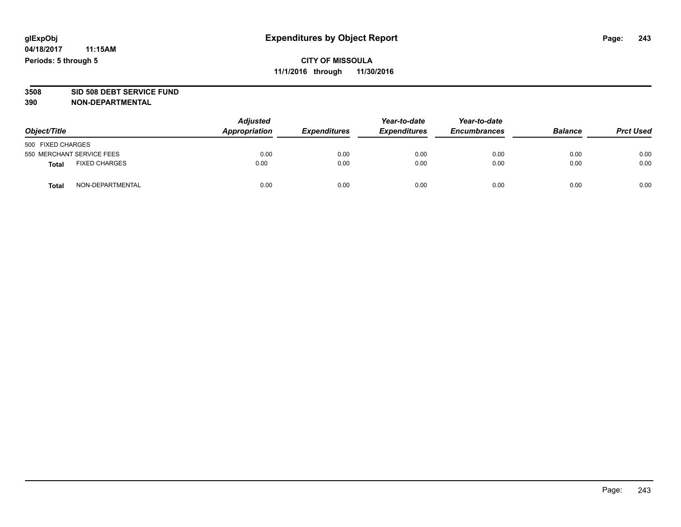# **3508 SID 508 DEBT SERVICE FUND**

| Object/Title                         |                  | <b>Adjusted</b><br>Appropriation | <b>Expenditures</b> | Year-to-date<br><b>Expenditures</b> | Year-to-date<br><b>Encumbrances</b> | <b>Balance</b> | <b>Prct Used</b> |
|--------------------------------------|------------------|----------------------------------|---------------------|-------------------------------------|-------------------------------------|----------------|------------------|
| 500 FIXED CHARGES                    |                  |                                  |                     |                                     |                                     |                |                  |
| 550 MERCHANT SERVICE FEES            |                  | 0.00                             | 0.00                | 0.00                                | 0.00                                | 0.00           | 0.00             |
| <b>FIXED CHARGES</b><br><b>Total</b> |                  | 0.00                             | 0.00                | 0.00                                | 0.00                                | 0.00           | 0.00             |
| <b>Total</b>                         | NON-DEPARTMENTAL | 0.00                             | 0.00                | 0.00                                | 0.00                                | 0.00           | 0.00             |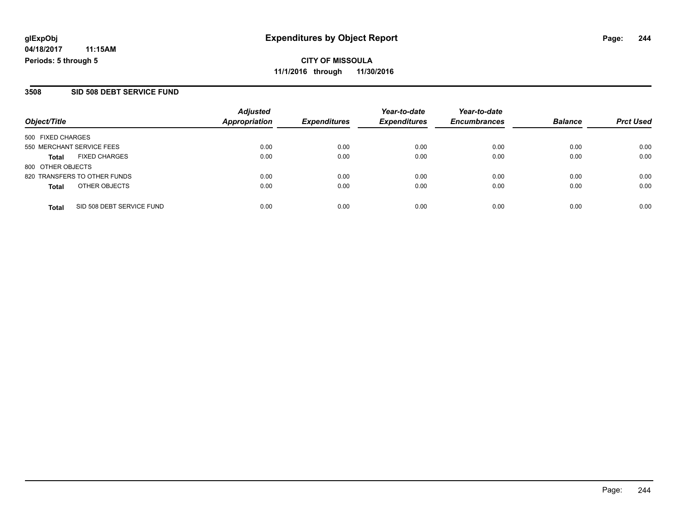**CITY OF MISSOULA 11/1/2016 through 11/30/2016**

#### **3508 SID 508 DEBT SERVICE FUND**

| Object/Title              |                              | <b>Adjusted</b>      | <b>Expenditures</b> | Year-to-date<br><b>Expenditures</b> | Year-to-date<br><b>Encumbrances</b> | <b>Balance</b> |                  |
|---------------------------|------------------------------|----------------------|---------------------|-------------------------------------|-------------------------------------|----------------|------------------|
|                           |                              | <b>Appropriation</b> |                     |                                     |                                     |                | <b>Prct Used</b> |
| 500 FIXED CHARGES         |                              |                      |                     |                                     |                                     |                |                  |
| 550 MERCHANT SERVICE FEES |                              | 0.00                 | 0.00                | 0.00                                | 0.00                                | 0.00           | 0.00             |
| Total                     | <b>FIXED CHARGES</b>         | 0.00                 | 0.00                | 0.00                                | 0.00                                | 0.00           | 0.00             |
| 800 OTHER OBJECTS         |                              |                      |                     |                                     |                                     |                |                  |
|                           | 820 TRANSFERS TO OTHER FUNDS | 0.00                 | 0.00                | 0.00                                | 0.00                                | 0.00           | 0.00             |
| <b>Total</b>              | OTHER OBJECTS                | 0.00                 | 0.00                | 0.00                                | 0.00                                | 0.00           | 0.00             |
| <b>Total</b>              | SID 508 DEBT SERVICE FUND    | 0.00                 | 0.00                | 0.00                                | 0.00                                | 0.00           | 0.00             |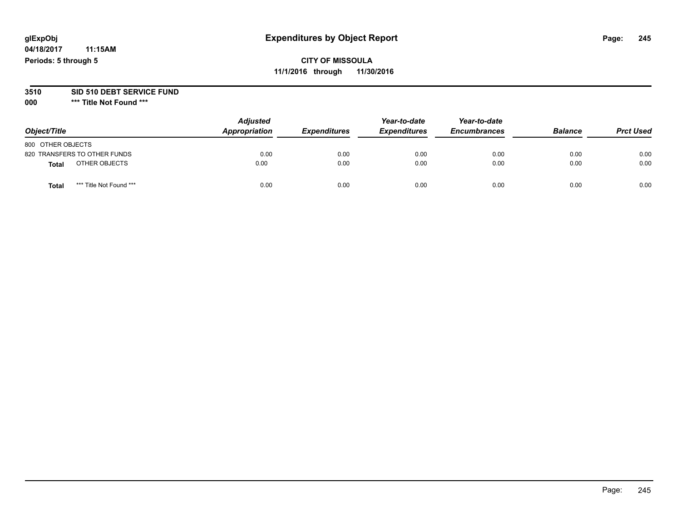## **CITY OF MISSOULA 11/1/2016 through 11/30/2016**

# **3510 SID 510 DEBT SERVICE FUND**

| Object/Title                     | <b>Adjusted</b><br>Appropriation | <b>Expenditures</b> | Year-to-date<br><b>Expenditures</b> | Year-to-date<br><b>Encumbrances</b> | <b>Balance</b> | <b>Prct Used</b> |
|----------------------------------|----------------------------------|---------------------|-------------------------------------|-------------------------------------|----------------|------------------|
| 800 OTHER OBJECTS                |                                  |                     |                                     |                                     |                |                  |
| 820 TRANSFERS TO OTHER FUNDS     | 0.00                             | 0.00                | 0.00                                | 0.00                                | 0.00           | 0.00             |
| OTHER OBJECTS<br><b>Total</b>    | 0.00                             | 0.00                | 0.00                                | 0.00                                | 0.00           | 0.00             |
| *** Title Not Found ***<br>Total | 0.00                             | 0.00                | 0.00                                | 0.00                                | 0.00           | 0.00             |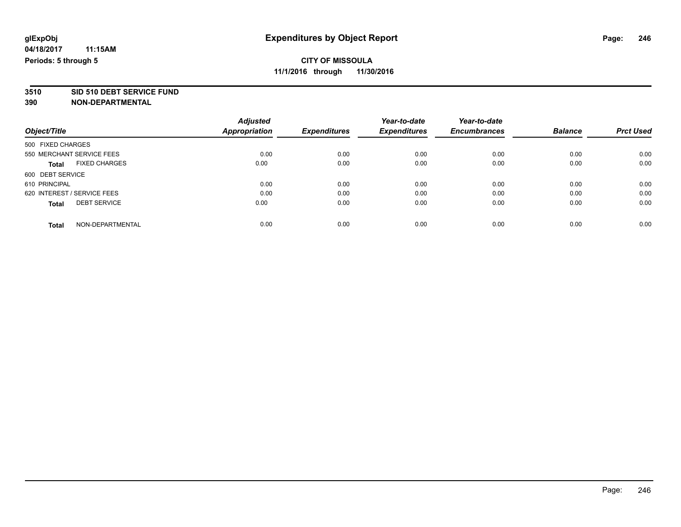# **3510 SID 510 DEBT SERVICE FUND**

|                                      | <b>Adjusted</b>      | <b>Expenditures</b> | Year-to-date<br><b>Expenditures</b> | Year-to-date<br><b>Encumbrances</b> | <b>Balance</b> | <b>Prct Used</b> |
|--------------------------------------|----------------------|---------------------|-------------------------------------|-------------------------------------|----------------|------------------|
| Object/Title                         | <b>Appropriation</b> |                     |                                     |                                     |                |                  |
| 500 FIXED CHARGES                    |                      |                     |                                     |                                     |                |                  |
| 550 MERCHANT SERVICE FEES            | 0.00                 | 0.00                | 0.00                                | 0.00                                | 0.00           | 0.00             |
| <b>FIXED CHARGES</b><br><b>Total</b> | 0.00                 | 0.00                | 0.00                                | 0.00                                | 0.00           | 0.00             |
| 600 DEBT SERVICE                     |                      |                     |                                     |                                     |                |                  |
| 610 PRINCIPAL                        | 0.00                 | 0.00                | 0.00                                | 0.00                                | 0.00           | 0.00             |
| 620 INTEREST / SERVICE FEES          | 0.00                 | 0.00                | 0.00                                | 0.00                                | 0.00           | 0.00             |
| <b>DEBT SERVICE</b><br><b>Total</b>  | 0.00                 | 0.00                | 0.00                                | 0.00                                | 0.00           | 0.00             |
| NON-DEPARTMENTAL<br><b>Total</b>     | 0.00                 | 0.00                | 0.00                                | 0.00                                | 0.00           | 0.00             |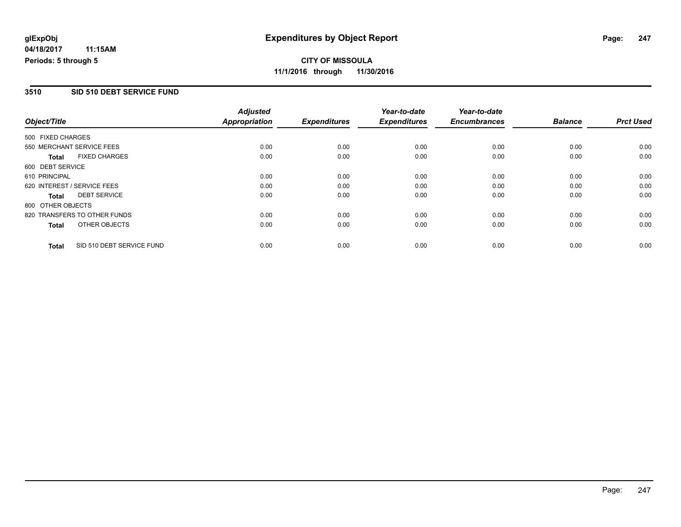#### **3510 SID 510 DEBT SERVICE FUND**

|                   |                              | <b>Adjusted</b>      |                     | Year-to-date        | Year-to-date        |                |                  |
|-------------------|------------------------------|----------------------|---------------------|---------------------|---------------------|----------------|------------------|
| Object/Title      |                              | <b>Appropriation</b> | <b>Expenditures</b> | <b>Expenditures</b> | <b>Encumbrances</b> | <b>Balance</b> | <b>Prct Used</b> |
| 500 FIXED CHARGES |                              |                      |                     |                     |                     |                |                  |
|                   | 550 MERCHANT SERVICE FEES    | 0.00                 | 0.00                | 0.00                | 0.00                | 0.00           | 0.00             |
| <b>Total</b>      | <b>FIXED CHARGES</b>         | 0.00                 | 0.00                | 0.00                | 0.00                | 0.00           | 0.00             |
| 600 DEBT SERVICE  |                              |                      |                     |                     |                     |                |                  |
| 610 PRINCIPAL     |                              | 0.00                 | 0.00                | 0.00                | 0.00                | 0.00           | 0.00             |
|                   | 620 INTEREST / SERVICE FEES  | 0.00                 | 0.00                | 0.00                | 0.00                | 0.00           | 0.00             |
| Total             | <b>DEBT SERVICE</b>          | 0.00                 | 0.00                | 0.00                | 0.00                | 0.00           | 0.00             |
| 800 OTHER OBJECTS |                              |                      |                     |                     |                     |                |                  |
|                   | 820 TRANSFERS TO OTHER FUNDS | 0.00                 | 0.00                | 0.00                | 0.00                | 0.00           | 0.00             |
| <b>Total</b>      | OTHER OBJECTS                | 0.00                 | 0.00                | 0.00                | 0.00                | 0.00           | 0.00             |
| <b>Total</b>      | SID 510 DEBT SERVICE FUND    | 0.00                 | 0.00                | 0.00                | 0.00                | 0.00           | 0.00             |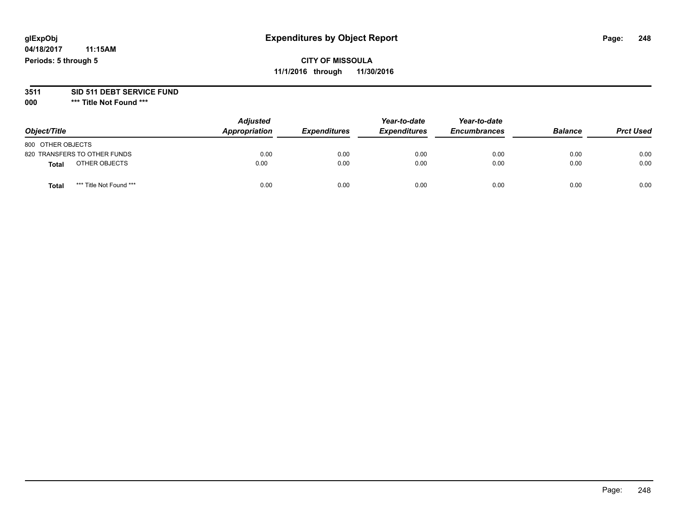#### **3511 SID 511 DEBT SERVICE FUND**

| Object/Title                     | <b>Adjusted</b><br>Appropriation | <b>Expenditures</b> | Year-to-date<br><b>Expenditures</b> | Year-to-date<br><b>Encumbrances</b> | <b>Balance</b> | <b>Prct Used</b> |
|----------------------------------|----------------------------------|---------------------|-------------------------------------|-------------------------------------|----------------|------------------|
| 800 OTHER OBJECTS                |                                  |                     |                                     |                                     |                |                  |
| 820 TRANSFERS TO OTHER FUNDS     | 0.00                             | 0.00                | 0.00                                | 0.00                                | 0.00           | 0.00             |
| OTHER OBJECTS<br><b>Total</b>    | 0.00                             | 0.00                | 0.00                                | 0.00                                | 0.00           | 0.00             |
| *** Title Not Found ***<br>Total | 0.00                             | 0.00                | 0.00                                | 0.00                                | 0.00           | 0.00             |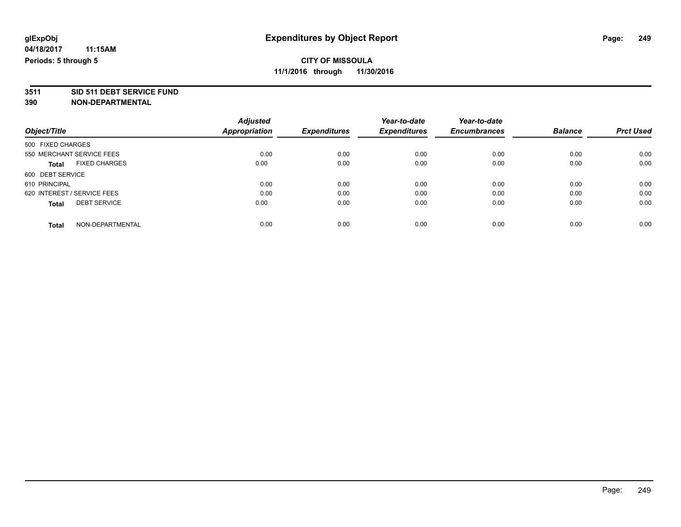# **3511 SID 511 DEBT SERVICE FUND**

| Object/Title                |                      | <b>Adjusted</b> |                     | Year-to-date        | Year-to-date<br><b>Encumbrances</b> | <b>Balance</b> | <b>Prct Used</b> |
|-----------------------------|----------------------|-----------------|---------------------|---------------------|-------------------------------------|----------------|------------------|
|                             |                      | Appropriation   | <b>Expenditures</b> | <b>Expenditures</b> |                                     |                |                  |
| 500 FIXED CHARGES           |                      |                 |                     |                     |                                     |                |                  |
| 550 MERCHANT SERVICE FEES   |                      | 0.00            | 0.00                | 0.00                | 0.00                                | 0.00           | 0.00             |
| <b>Total</b>                | <b>FIXED CHARGES</b> | 0.00            | 0.00                | 0.00                | 0.00                                | 0.00           | 0.00             |
| 600 DEBT SERVICE            |                      |                 |                     |                     |                                     |                |                  |
| 610 PRINCIPAL               |                      | 0.00            | 0.00                | 0.00                | 0.00                                | 0.00           | 0.00             |
| 620 INTEREST / SERVICE FEES |                      | 0.00            | 0.00                | 0.00                | 0.00                                | 0.00           | 0.00             |
| <b>Total</b>                | <b>DEBT SERVICE</b>  | 0.00            | 0.00                | 0.00                | 0.00                                | 0.00           | 0.00             |
| <b>Total</b>                | NON-DEPARTMENTAL     | 0.00            | 0.00                | 0.00                | 0.00                                | 0.00           | 0.00             |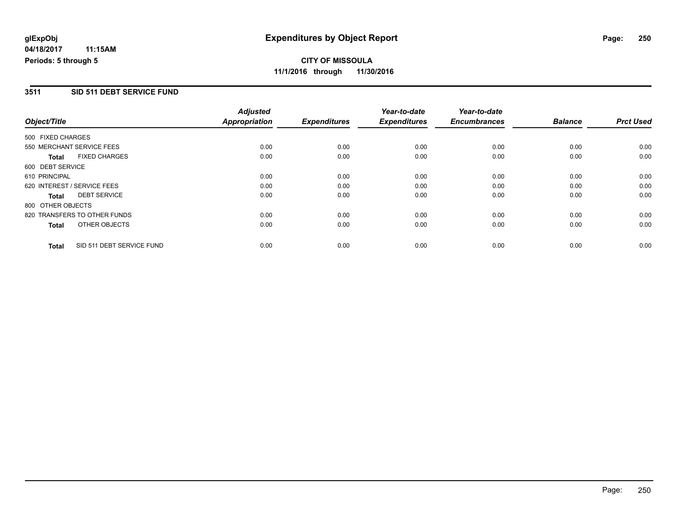**11/1/2016 through 11/30/2016**

**CITY OF MISSOULA**

#### **3511 SID 511 DEBT SERVICE FUND**

|                              |                           | <b>Adjusted</b>      |                     | Year-to-date        | Year-to-date        |                |                  |
|------------------------------|---------------------------|----------------------|---------------------|---------------------|---------------------|----------------|------------------|
| Object/Title                 |                           | <b>Appropriation</b> | <b>Expenditures</b> | <b>Expenditures</b> | <b>Encumbrances</b> | <b>Balance</b> | <b>Prct Used</b> |
| 500 FIXED CHARGES            |                           |                      |                     |                     |                     |                |                  |
| 550 MERCHANT SERVICE FEES    |                           | 0.00                 | 0.00                | 0.00                | 0.00                | 0.00           | 0.00             |
| Total                        | <b>FIXED CHARGES</b>      | 0.00                 | 0.00                | 0.00                | 0.00                | 0.00           | 0.00             |
| 600 DEBT SERVICE             |                           |                      |                     |                     |                     |                |                  |
| 610 PRINCIPAL                |                           | 0.00                 | 0.00                | 0.00                | 0.00                | 0.00           | 0.00             |
| 620 INTEREST / SERVICE FEES  |                           | 0.00                 | 0.00                | 0.00                | 0.00                | 0.00           | 0.00             |
| <b>Total</b>                 | <b>DEBT SERVICE</b>       | 0.00                 | 0.00                | 0.00                | 0.00                | 0.00           | 0.00             |
| 800 OTHER OBJECTS            |                           |                      |                     |                     |                     |                |                  |
| 820 TRANSFERS TO OTHER FUNDS |                           | 0.00                 | 0.00                | 0.00                | 0.00                | 0.00           | 0.00             |
| Total                        | OTHER OBJECTS             | 0.00                 | 0.00                | 0.00                | 0.00                | 0.00           | 0.00             |
| <b>Total</b>                 | SID 511 DEBT SERVICE FUND | 0.00                 | 0.00                | 0.00                | 0.00                | 0.00           | 0.00             |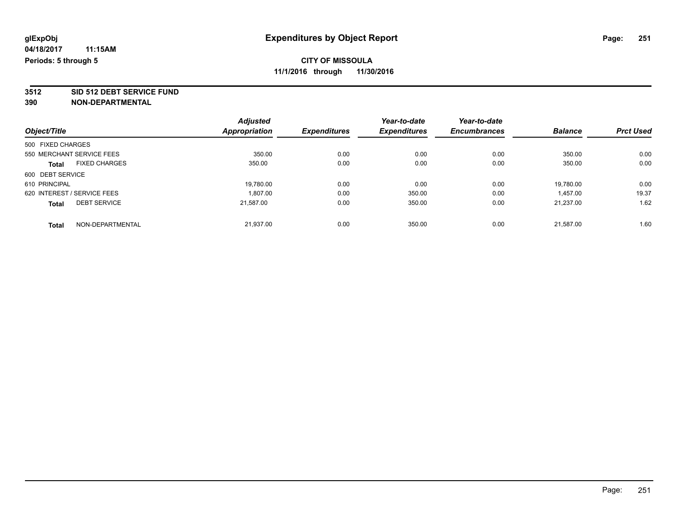**3512 SID 512 DEBT SERVICE FUND**

|                                      | <b>Adjusted</b> |                     | Year-to-date        | Year-to-date        |                |                  |
|--------------------------------------|-----------------|---------------------|---------------------|---------------------|----------------|------------------|
| Object/Title                         | Appropriation   | <b>Expenditures</b> | <b>Expenditures</b> | <b>Encumbrances</b> | <b>Balance</b> | <b>Prct Used</b> |
| 500 FIXED CHARGES                    |                 |                     |                     |                     |                |                  |
| 550 MERCHANT SERVICE FEES            | 350.00          | 0.00                | 0.00                | 0.00                | 350.00         | 0.00             |
| <b>FIXED CHARGES</b><br><b>Total</b> | 350.00          | 0.00                | 0.00                | 0.00                | 350.00         | 0.00             |
| 600 DEBT SERVICE                     |                 |                     |                     |                     |                |                  |
| 610 PRINCIPAL                        | 19,780.00       | 0.00                | 0.00                | 0.00                | 19.780.00      | 0.00             |
| 620 INTEREST / SERVICE FEES          | 1.807.00        | 0.00                | 350.00              | 0.00                | 1.457.00       | 19.37            |
| <b>DEBT SERVICE</b><br><b>Total</b>  | 21.587.00       | 0.00                | 350.00              | 0.00                | 21,237.00      | 1.62             |
| NON-DEPARTMENTAL<br><b>Total</b>     | 21.937.00       | 0.00                | 350.00              | 0.00                | 21.587.00      | 1.60             |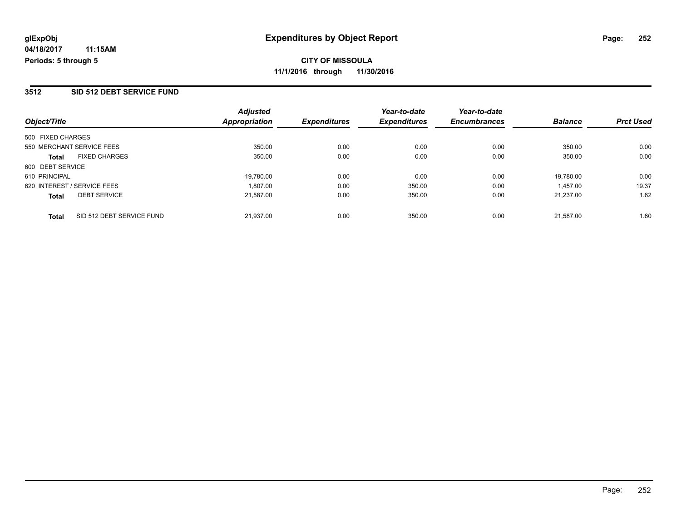#### **3512 SID 512 DEBT SERVICE FUND**

|                                           | <b>Adjusted</b>      | <b>Expenditures</b> | Year-to-date<br><b>Expenditures</b> | Year-to-date<br><b>Encumbrances</b> | <b>Balance</b> | <b>Prct Used</b> |
|-------------------------------------------|----------------------|---------------------|-------------------------------------|-------------------------------------|----------------|------------------|
| Object/Title                              | <b>Appropriation</b> |                     |                                     |                                     |                |                  |
| 500 FIXED CHARGES                         |                      |                     |                                     |                                     |                |                  |
| 550 MERCHANT SERVICE FEES                 | 350.00               | 0.00                | 0.00                                | 0.00                                | 350.00         | 0.00             |
| <b>FIXED CHARGES</b><br><b>Total</b>      | 350.00               | 0.00                | 0.00                                | 0.00                                | 350.00         | 0.00             |
| 600 DEBT SERVICE                          |                      |                     |                                     |                                     |                |                  |
| 610 PRINCIPAL                             | 19,780.00            | 0.00                | 0.00                                | 0.00                                | 19,780.00      | 0.00             |
| 620 INTEREST / SERVICE FEES               | 1.807.00             | 0.00                | 350.00                              | 0.00                                | 1.457.00       | 19.37            |
| <b>DEBT SERVICE</b><br><b>Total</b>       | 21.587.00            | 0.00                | 350.00                              | 0.00                                | 21.237.00      | 1.62             |
| SID 512 DEBT SERVICE FUND<br><b>Total</b> | 21.937.00            | 0.00                | 350.00                              | 0.00                                | 21.587.00      | 1.60             |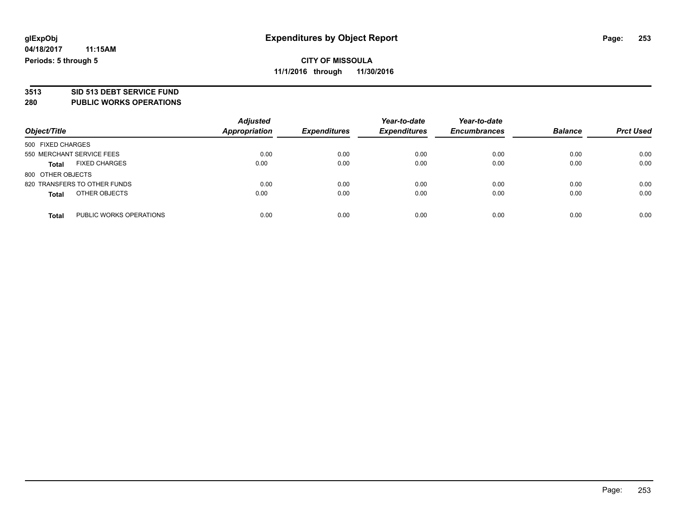# **3513 SID 513 DEBT SERVICE FUND**

### **280 PUBLIC WORKS OPERATIONS**

| Object/Title                            | <b>Adjusted</b><br><b>Appropriation</b> | <b>Expenditures</b> | Year-to-date<br><b>Expenditures</b> | Year-to-date<br><b>Encumbrances</b> | <b>Balance</b> | <b>Prct Used</b> |
|-----------------------------------------|-----------------------------------------|---------------------|-------------------------------------|-------------------------------------|----------------|------------------|
| 500 FIXED CHARGES                       |                                         |                     |                                     |                                     |                |                  |
| 550 MERCHANT SERVICE FEES               | 0.00                                    | 0.00                | 0.00                                | 0.00                                | 0.00           | 0.00             |
| <b>FIXED CHARGES</b><br><b>Total</b>    | 0.00                                    | 0.00                | 0.00                                | 0.00                                | 0.00           | 0.00             |
| 800 OTHER OBJECTS                       |                                         |                     |                                     |                                     |                |                  |
| 820 TRANSFERS TO OTHER FUNDS            | 0.00                                    | 0.00                | 0.00                                | 0.00                                | 0.00           | 0.00             |
| OTHER OBJECTS<br><b>Total</b>           | 0.00                                    | 0.00                | 0.00                                | 0.00                                | 0.00           | 0.00             |
| PUBLIC WORKS OPERATIONS<br><b>Total</b> | 0.00                                    | 0.00                | 0.00                                | 0.00                                | 0.00           | 0.00             |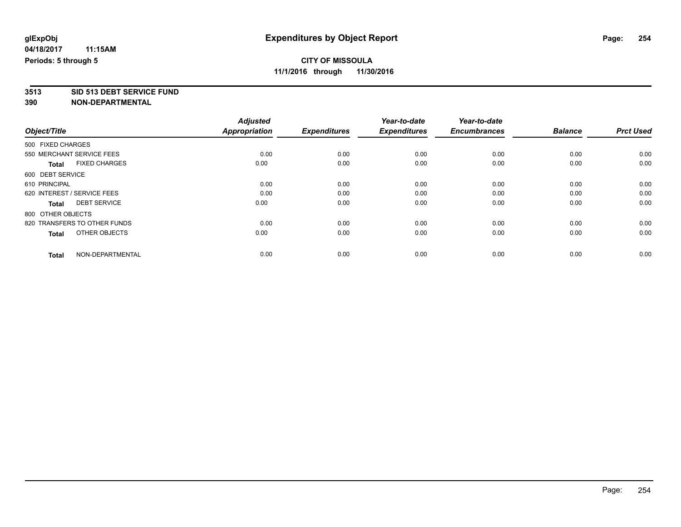**3513 SID 513 DEBT SERVICE FUND**

|                                      | <b>Adjusted</b>      |                     | Year-to-date        | Year-to-date        |                |                  |
|--------------------------------------|----------------------|---------------------|---------------------|---------------------|----------------|------------------|
| Object/Title                         | <b>Appropriation</b> | <b>Expenditures</b> | <b>Expenditures</b> | <b>Encumbrances</b> | <b>Balance</b> | <b>Prct Used</b> |
| 500 FIXED CHARGES                    |                      |                     |                     |                     |                |                  |
| 550 MERCHANT SERVICE FEES            | 0.00                 | 0.00                | 0.00                | 0.00                | 0.00           | 0.00             |
| <b>FIXED CHARGES</b><br><b>Total</b> | 0.00                 | 0.00                | 0.00                | 0.00                | 0.00           | 0.00             |
| 600 DEBT SERVICE                     |                      |                     |                     |                     |                |                  |
| 610 PRINCIPAL                        | 0.00                 | 0.00                | 0.00                | 0.00                | 0.00           | 0.00             |
| 620 INTEREST / SERVICE FEES          | 0.00                 | 0.00                | 0.00                | 0.00                | 0.00           | 0.00             |
| <b>DEBT SERVICE</b><br><b>Total</b>  | 0.00                 | 0.00                | 0.00                | 0.00                | 0.00           | 0.00             |
| 800 OTHER OBJECTS                    |                      |                     |                     |                     |                |                  |
| 820 TRANSFERS TO OTHER FUNDS         | 0.00                 | 0.00                | 0.00                | 0.00                | 0.00           | 0.00             |
| OTHER OBJECTS<br><b>Total</b>        | 0.00                 | 0.00                | 0.00                | 0.00                | 0.00           | 0.00             |
|                                      |                      |                     |                     |                     |                |                  |
| NON-DEPARTMENTAL<br><b>Total</b>     | 0.00                 | 0.00                | 0.00                | 0.00                | 0.00           | 0.00             |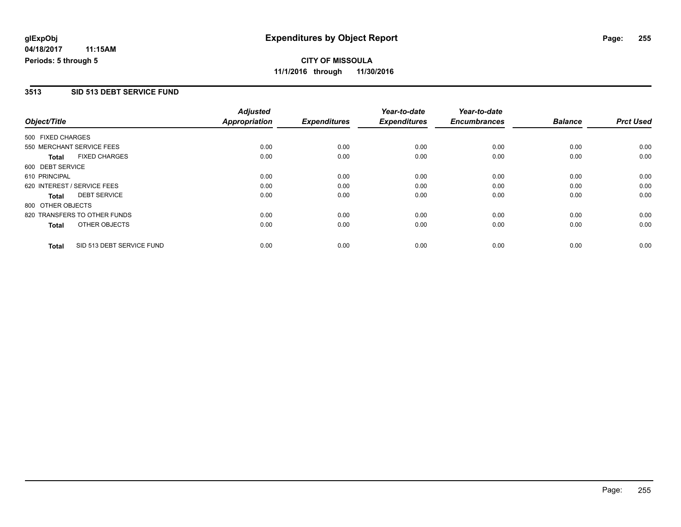# **CITY OF MISSOULA 11/1/2016 through 11/30/2016**

### **3513 SID 513 DEBT SERVICE FUND**

|                   |                              | <b>Adjusted</b> |                     | Year-to-date        | Year-to-date        |                |                  |
|-------------------|------------------------------|-----------------|---------------------|---------------------|---------------------|----------------|------------------|
| Object/Title      |                              | Appropriation   | <b>Expenditures</b> | <b>Expenditures</b> | <b>Encumbrances</b> | <b>Balance</b> | <b>Prct Used</b> |
| 500 FIXED CHARGES |                              |                 |                     |                     |                     |                |                  |
|                   | 550 MERCHANT SERVICE FEES    | 0.00            | 0.00                | 0.00                | 0.00                | 0.00           | 0.00             |
| <b>Total</b>      | <b>FIXED CHARGES</b>         | 0.00            | 0.00                | 0.00                | 0.00                | 0.00           | 0.00             |
| 600 DEBT SERVICE  |                              |                 |                     |                     |                     |                |                  |
| 610 PRINCIPAL     |                              | 0.00            | 0.00                | 0.00                | 0.00                | 0.00           | 0.00             |
|                   | 620 INTEREST / SERVICE FEES  | 0.00            | 0.00                | 0.00                | 0.00                | 0.00           | 0.00             |
| Total             | <b>DEBT SERVICE</b>          | 0.00            | 0.00                | 0.00                | 0.00                | 0.00           | 0.00             |
| 800 OTHER OBJECTS |                              |                 |                     |                     |                     |                |                  |
|                   | 820 TRANSFERS TO OTHER FUNDS | 0.00            | 0.00                | 0.00                | 0.00                | 0.00           | 0.00             |
| <b>Total</b>      | OTHER OBJECTS                | 0.00            | 0.00                | 0.00                | 0.00                | 0.00           | 0.00             |
| <b>Total</b>      | SID 513 DEBT SERVICE FUND    | 0.00            | 0.00                | 0.00                | 0.00                | 0.00           | 0.00             |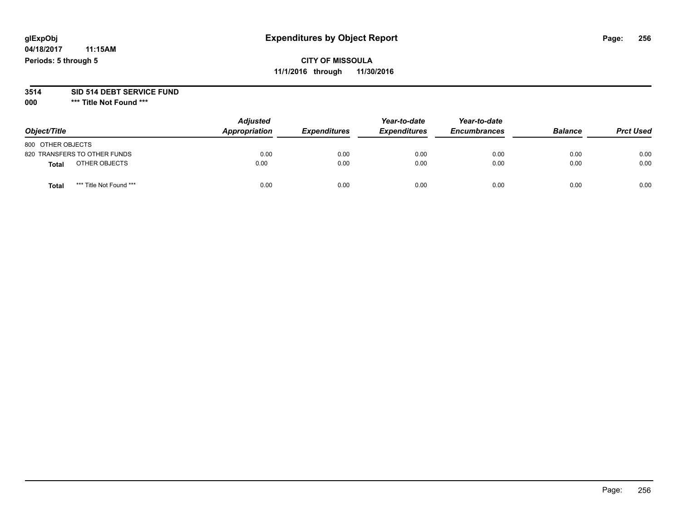#### **3514 SID 514 DEBT SERVICE FUND**

**000 \*\*\* Title Not Found \*\*\***

| Object/Title                     | <b>Adjusted</b><br>Appropriation | <b>Expenditures</b> | Year-to-date<br><b>Expenditures</b> | Year-to-date<br><b>Encumbrances</b> | <b>Balance</b> | <b>Prct Used</b> |
|----------------------------------|----------------------------------|---------------------|-------------------------------------|-------------------------------------|----------------|------------------|
| 800 OTHER OBJECTS                |                                  |                     |                                     |                                     |                |                  |
| 820 TRANSFERS TO OTHER FUNDS     | 0.00                             | 0.00                | 0.00                                | 0.00                                | 0.00           | 0.00             |
| OTHER OBJECTS<br><b>Total</b>    | 0.00                             | 0.00                | 0.00                                | 0.00                                | 0.00           | 0.00             |
| *** Title Not Found ***<br>Total | 0.00                             | 0.00                | 0.00                                | 0.00                                | 0.00           | 0.00             |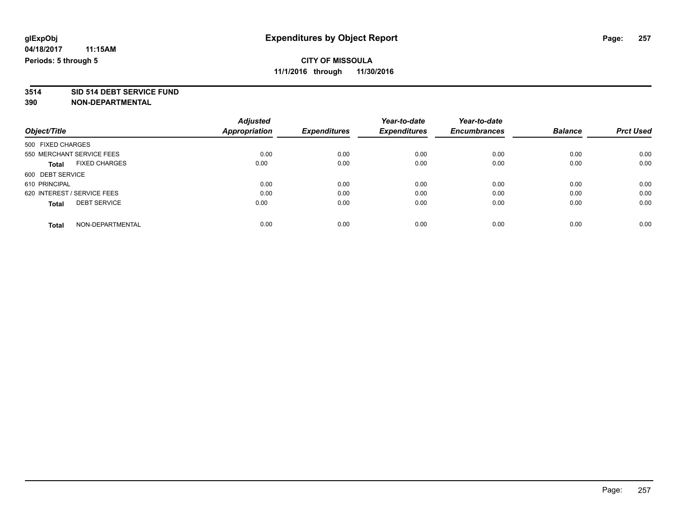# **3514 SID 514 DEBT SERVICE FUND**

|                                      | <b>Adjusted</b> | <b>Expenditures</b> | Year-to-date<br><b>Expenditures</b> | Year-to-date        | <b>Balance</b> | <b>Prct Used</b> |
|--------------------------------------|-----------------|---------------------|-------------------------------------|---------------------|----------------|------------------|
| Object/Title                         | Appropriation   |                     |                                     | <b>Encumbrances</b> |                |                  |
| 500 FIXED CHARGES                    |                 |                     |                                     |                     |                |                  |
| 550 MERCHANT SERVICE FEES            | 0.00            | 0.00                | 0.00                                | 0.00                | 0.00           | 0.00             |
| <b>FIXED CHARGES</b><br><b>Total</b> | 0.00            | 0.00                | 0.00                                | 0.00                | 0.00           | 0.00             |
| 600 DEBT SERVICE                     |                 |                     |                                     |                     |                |                  |
| 610 PRINCIPAL                        | 0.00            | 0.00                | 0.00                                | 0.00                | 0.00           | 0.00             |
| 620 INTEREST / SERVICE FEES          | 0.00            | 0.00                | 0.00                                | 0.00                | 0.00           | 0.00             |
| <b>DEBT SERVICE</b><br><b>Total</b>  | 0.00            | 0.00                | 0.00                                | 0.00                | 0.00           | 0.00             |
| NON-DEPARTMENTAL<br><b>Total</b>     | 0.00            | 0.00                | 0.00                                | 0.00                | 0.00           | 0.00             |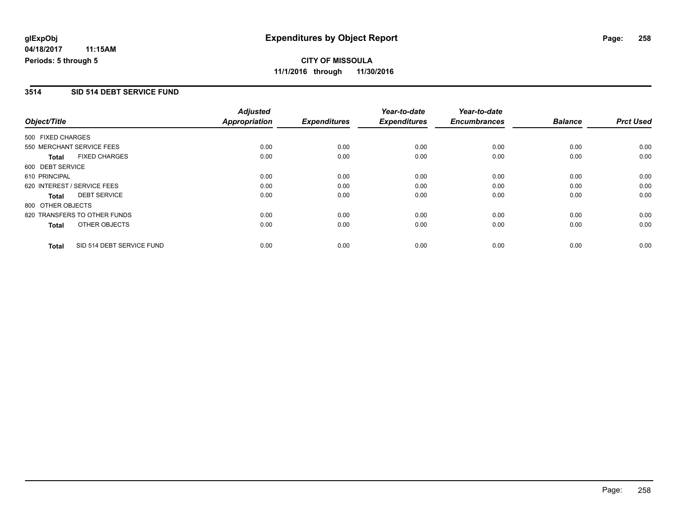# **CITY OF MISSOULA 11/1/2016 through 11/30/2016**

### **3514 SID 514 DEBT SERVICE FUND**

|                   |                              | <b>Adjusted</b> |                     | Year-to-date        | Year-to-date        |                |                  |
|-------------------|------------------------------|-----------------|---------------------|---------------------|---------------------|----------------|------------------|
| Object/Title      |                              | Appropriation   | <b>Expenditures</b> | <b>Expenditures</b> | <b>Encumbrances</b> | <b>Balance</b> | <b>Prct Used</b> |
| 500 FIXED CHARGES |                              |                 |                     |                     |                     |                |                  |
|                   | 550 MERCHANT SERVICE FEES    | 0.00            | 0.00                | 0.00                | 0.00                | 0.00           | 0.00             |
| <b>Total</b>      | <b>FIXED CHARGES</b>         | 0.00            | 0.00                | 0.00                | 0.00                | 0.00           | 0.00             |
| 600 DEBT SERVICE  |                              |                 |                     |                     |                     |                |                  |
| 610 PRINCIPAL     |                              | 0.00            | 0.00                | 0.00                | 0.00                | 0.00           | 0.00             |
|                   | 620 INTEREST / SERVICE FEES  | 0.00            | 0.00                | 0.00                | 0.00                | 0.00           | 0.00             |
| <b>Total</b>      | <b>DEBT SERVICE</b>          | 0.00            | 0.00                | 0.00                | 0.00                | 0.00           | 0.00             |
| 800 OTHER OBJECTS |                              |                 |                     |                     |                     |                |                  |
|                   | 820 TRANSFERS TO OTHER FUNDS | 0.00            | 0.00                | 0.00                | 0.00                | 0.00           | 0.00             |
| <b>Total</b>      | OTHER OBJECTS                | 0.00            | 0.00                | 0.00                | 0.00                | 0.00           | 0.00             |
| <b>Total</b>      | SID 514 DEBT SERVICE FUND    | 0.00            | 0.00                | 0.00                | 0.00                | 0.00           | 0.00             |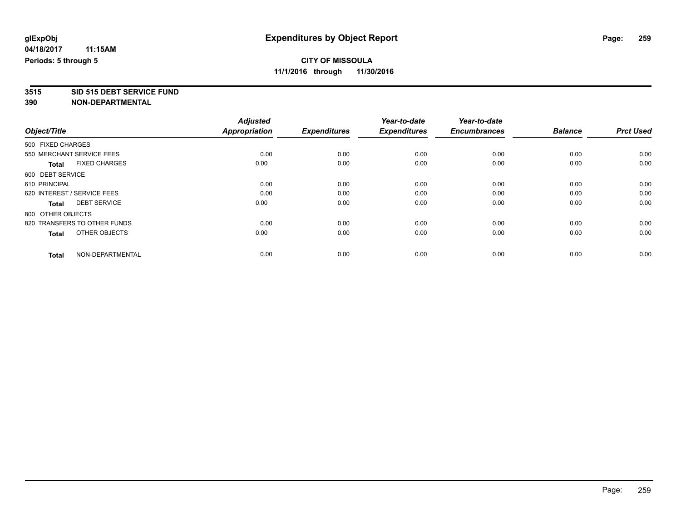**3515 SID 515 DEBT SERVICE FUND**

|                                      | <b>Adjusted</b>      |                     | Year-to-date        | Year-to-date        |                |                  |
|--------------------------------------|----------------------|---------------------|---------------------|---------------------|----------------|------------------|
| Object/Title                         | <b>Appropriation</b> | <b>Expenditures</b> | <b>Expenditures</b> | <b>Encumbrances</b> | <b>Balance</b> | <b>Prct Used</b> |
| 500 FIXED CHARGES                    |                      |                     |                     |                     |                |                  |
| 550 MERCHANT SERVICE FEES            | 0.00                 | 0.00                | 0.00                | 0.00                | 0.00           | 0.00             |
| <b>FIXED CHARGES</b><br><b>Total</b> | 0.00                 | 0.00                | 0.00                | 0.00                | 0.00           | 0.00             |
| 600 DEBT SERVICE                     |                      |                     |                     |                     |                |                  |
| 610 PRINCIPAL                        | 0.00                 | 0.00                | 0.00                | 0.00                | 0.00           | 0.00             |
| 620 INTEREST / SERVICE FEES          | 0.00                 | 0.00                | 0.00                | 0.00                | 0.00           | 0.00             |
| <b>DEBT SERVICE</b><br><b>Total</b>  | 0.00                 | 0.00                | 0.00                | 0.00                | 0.00           | 0.00             |
| 800 OTHER OBJECTS                    |                      |                     |                     |                     |                |                  |
| 820 TRANSFERS TO OTHER FUNDS         | 0.00                 | 0.00                | 0.00                | 0.00                | 0.00           | 0.00             |
| OTHER OBJECTS<br><b>Total</b>        | 0.00                 | 0.00                | 0.00                | 0.00                | 0.00           | 0.00             |
|                                      |                      |                     |                     |                     |                |                  |
| NON-DEPARTMENTAL<br><b>Total</b>     | 0.00                 | 0.00                | 0.00                | 0.00                | 0.00           | 0.00             |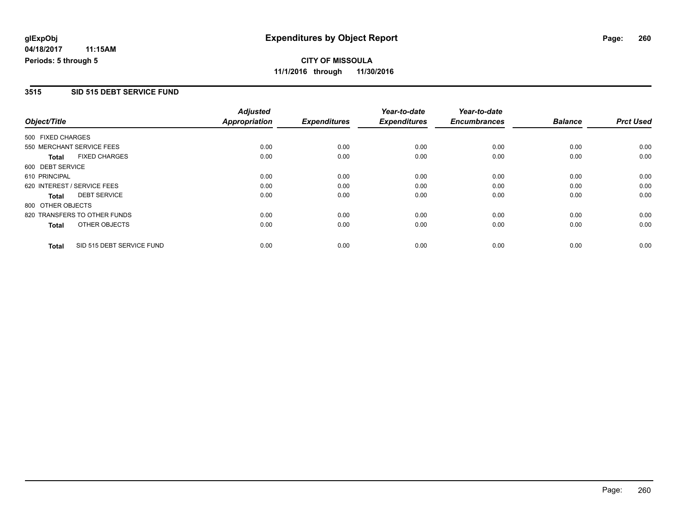### **3515 SID 515 DEBT SERVICE FUND**

|                             |                              | <b>Adjusted</b>      |                     | Year-to-date        | Year-to-date        |                |                  |
|-----------------------------|------------------------------|----------------------|---------------------|---------------------|---------------------|----------------|------------------|
| Object/Title                |                              | <b>Appropriation</b> | <b>Expenditures</b> | <b>Expenditures</b> | <b>Encumbrances</b> | <b>Balance</b> | <b>Prct Used</b> |
| 500 FIXED CHARGES           |                              |                      |                     |                     |                     |                |                  |
|                             | 550 MERCHANT SERVICE FEES    | 0.00                 | 0.00                | 0.00                | 0.00                | 0.00           | 0.00             |
| Total                       | <b>FIXED CHARGES</b>         | 0.00                 | 0.00                | 0.00                | 0.00                | 0.00           | 0.00             |
| 600 DEBT SERVICE            |                              |                      |                     |                     |                     |                |                  |
| 610 PRINCIPAL               |                              | 0.00                 | 0.00                | 0.00                | 0.00                | 0.00           | 0.00             |
| 620 INTEREST / SERVICE FEES |                              | 0.00                 | 0.00                | 0.00                | 0.00                | 0.00           | 0.00             |
| Total                       | <b>DEBT SERVICE</b>          | 0.00                 | 0.00                | 0.00                | 0.00                | 0.00           | 0.00             |
| 800 OTHER OBJECTS           |                              |                      |                     |                     |                     |                |                  |
|                             | 820 TRANSFERS TO OTHER FUNDS | 0.00                 | 0.00                | 0.00                | 0.00                | 0.00           | 0.00             |
| <b>Total</b>                | OTHER OBJECTS                | 0.00                 | 0.00                | 0.00                | 0.00                | 0.00           | 0.00             |
| <b>Total</b>                | SID 515 DEBT SERVICE FUND    | 0.00                 | 0.00                | 0.00                | 0.00                | 0.00           | 0.00             |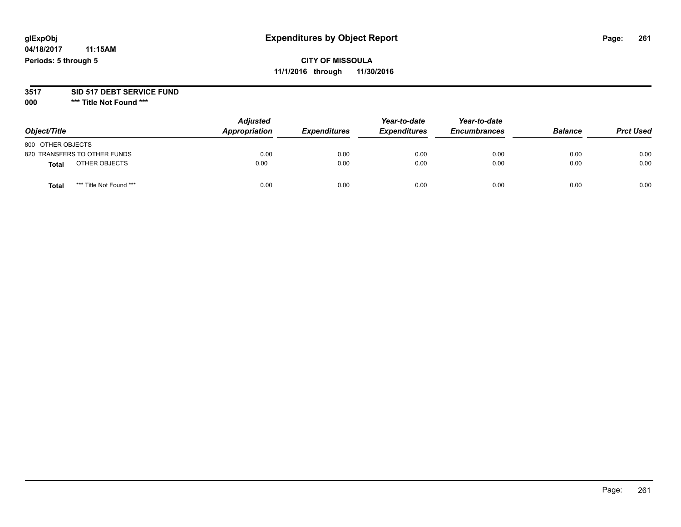#### **3517 SID 517 DEBT SERVICE FUND**

**000 \*\*\* Title Not Found \*\*\***

| Object/Title                            | <b>Adjusted</b><br>Appropriation | <b>Expenditures</b> | Year-to-date<br><b>Expenditures</b> | Year-to-date<br><b>Encumbrances</b> | <b>Balance</b> | <b>Prct Used</b> |
|-----------------------------------------|----------------------------------|---------------------|-------------------------------------|-------------------------------------|----------------|------------------|
| 800 OTHER OBJECTS                       |                                  |                     |                                     |                                     |                |                  |
| 820 TRANSFERS TO OTHER FUNDS            | 0.00                             | 0.00                | 0.00                                | 0.00                                | 0.00           | 0.00             |
| OTHER OBJECTS<br>Total                  | 0.00                             | 0.00                | 0.00                                | 0.00                                | 0.00           | 0.00             |
| *** Title Not Found ***<br><b>Total</b> | 0.00                             | 0.00                | 0.00                                | 0.00                                | 0.00           | 0.00             |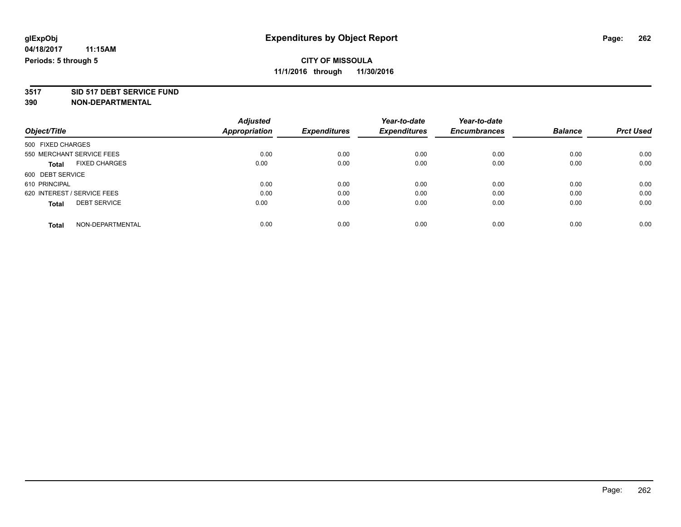# **3517 SID 517 DEBT SERVICE FUND**

|                                      | <b>Adjusted</b>      |                     | Year-to-date<br><b>Expenditures</b> | Year-to-date        | <b>Balance</b> | <b>Prct Used</b> |
|--------------------------------------|----------------------|---------------------|-------------------------------------|---------------------|----------------|------------------|
| Object/Title                         | <b>Appropriation</b> | <b>Expenditures</b> |                                     | <b>Encumbrances</b> |                |                  |
| 500 FIXED CHARGES                    |                      |                     |                                     |                     |                |                  |
| 550 MERCHANT SERVICE FEES            | 0.00                 | 0.00                | 0.00                                | 0.00                | 0.00           | 0.00             |
| <b>FIXED CHARGES</b><br><b>Total</b> | 0.00                 | 0.00                | 0.00                                | 0.00                | 0.00           | 0.00             |
| 600 DEBT SERVICE                     |                      |                     |                                     |                     |                |                  |
| 610 PRINCIPAL                        | 0.00                 | 0.00                | 0.00                                | 0.00                | 0.00           | 0.00             |
| 620 INTEREST / SERVICE FEES          | 0.00                 | 0.00                | 0.00                                | 0.00                | 0.00           | 0.00             |
| <b>DEBT SERVICE</b><br><b>Total</b>  | 0.00                 | 0.00                | 0.00                                | 0.00                | 0.00           | 0.00             |
| NON-DEPARTMENTAL<br><b>Total</b>     | 0.00                 | 0.00                | 0.00                                | 0.00                | 0.00           | 0.00             |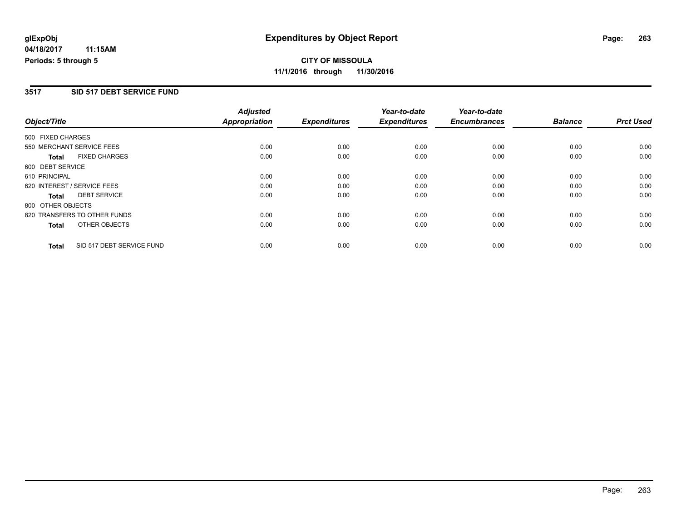### **3517 SID 517 DEBT SERVICE FUND**

|                   |                              | <b>Adjusted</b>      |                     | Year-to-date        | Year-to-date        |                |                  |
|-------------------|------------------------------|----------------------|---------------------|---------------------|---------------------|----------------|------------------|
| Object/Title      |                              | <b>Appropriation</b> | <b>Expenditures</b> | <b>Expenditures</b> | <b>Encumbrances</b> | <b>Balance</b> | <b>Prct Used</b> |
| 500 FIXED CHARGES |                              |                      |                     |                     |                     |                |                  |
|                   | 550 MERCHANT SERVICE FEES    | 0.00                 | 0.00                | 0.00                | 0.00                | 0.00           | 0.00             |
| Total             | <b>FIXED CHARGES</b>         | 0.00                 | 0.00                | 0.00                | 0.00                | 0.00           | 0.00             |
| 600 DEBT SERVICE  |                              |                      |                     |                     |                     |                |                  |
| 610 PRINCIPAL     |                              | 0.00                 | 0.00                | 0.00                | 0.00                | 0.00           | 0.00             |
|                   | 620 INTEREST / SERVICE FEES  | 0.00                 | 0.00                | 0.00                | 0.00                | 0.00           | 0.00             |
| Total             | <b>DEBT SERVICE</b>          | 0.00                 | 0.00                | 0.00                | 0.00                | 0.00           | 0.00             |
| 800 OTHER OBJECTS |                              |                      |                     |                     |                     |                |                  |
|                   | 820 TRANSFERS TO OTHER FUNDS | 0.00                 | 0.00                | 0.00                | 0.00                | 0.00           | 0.00             |
| <b>Total</b>      | OTHER OBJECTS                | 0.00                 | 0.00                | 0.00                | 0.00                | 0.00           | 0.00             |
| <b>Total</b>      | SID 517 DEBT SERVICE FUND    | 0.00                 | 0.00                | 0.00                | 0.00                | 0.00           | 0.00             |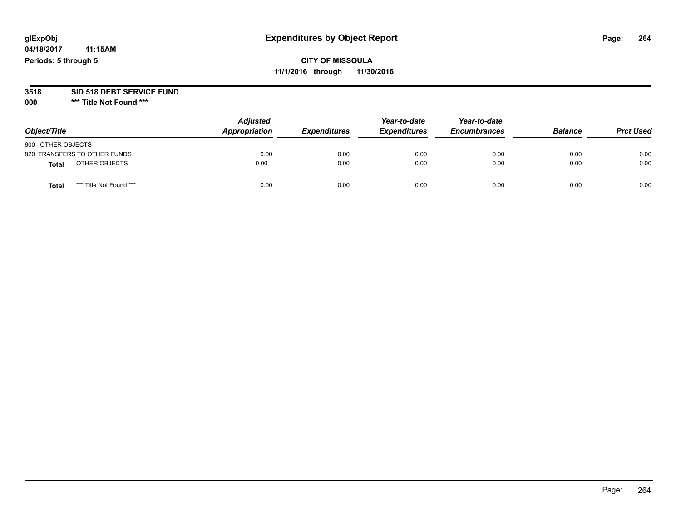# **3518 SID 518 DEBT SERVICE FUND**

**000 \*\*\* Title Not Found \*\*\***

| Object/Title                            | <b>Adjusted</b><br>Appropriation | <b>Expenditures</b> | Year-to-date<br><b>Expenditures</b> | Year-to-date<br><b>Encumbrances</b> | <b>Balance</b> | <b>Prct Used</b> |
|-----------------------------------------|----------------------------------|---------------------|-------------------------------------|-------------------------------------|----------------|------------------|
| 800 OTHER OBJECTS                       |                                  |                     |                                     |                                     |                |                  |
| 820 TRANSFERS TO OTHER FUNDS            | 0.00                             | 0.00                | 0.00                                | 0.00                                | 0.00           | 0.00             |
| OTHER OBJECTS<br><b>Total</b>           | 0.00                             | 0.00                | 0.00                                | 0.00                                | 0.00           | 0.00             |
| *** Title Not Found ***<br><b>Total</b> | 0.00                             | 0.00                | 0.00                                | 0.00                                | 0.00           | 0.00             |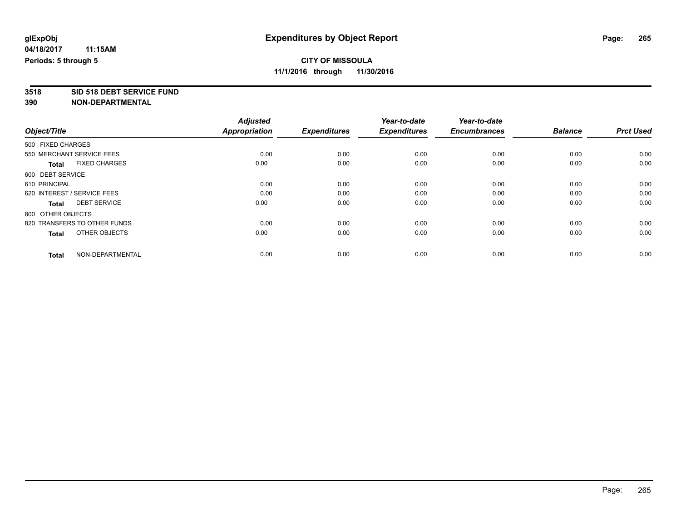**3518 SID 518 DEBT SERVICE FUND**

|                                      | <b>Adjusted</b><br><b>Appropriation</b> | <b>Expenditures</b> | Year-to-date<br><b>Expenditures</b> | Year-to-date<br><b>Encumbrances</b> | <b>Balance</b> | <b>Prct Used</b> |
|--------------------------------------|-----------------------------------------|---------------------|-------------------------------------|-------------------------------------|----------------|------------------|
| Object/Title                         |                                         |                     |                                     |                                     |                |                  |
| 500 FIXED CHARGES                    |                                         |                     |                                     |                                     |                |                  |
| 550 MERCHANT SERVICE FEES            | 0.00                                    | 0.00                | 0.00                                | 0.00                                | 0.00           | 0.00             |
| <b>FIXED CHARGES</b><br><b>Total</b> | 0.00                                    | 0.00                | 0.00                                | 0.00                                | 0.00           | 0.00             |
| 600 DEBT SERVICE                     |                                         |                     |                                     |                                     |                |                  |
| 610 PRINCIPAL                        | 0.00                                    | 0.00                | 0.00                                | 0.00                                | 0.00           | 0.00             |
| 620 INTEREST / SERVICE FEES          | 0.00                                    | 0.00                | 0.00                                | 0.00                                | 0.00           | 0.00             |
| <b>DEBT SERVICE</b><br>Total         | 0.00                                    | 0.00                | 0.00                                | 0.00                                | 0.00           | 0.00             |
| 800 OTHER OBJECTS                    |                                         |                     |                                     |                                     |                |                  |
| 820 TRANSFERS TO OTHER FUNDS         | 0.00                                    | 0.00                | 0.00                                | 0.00                                | 0.00           | 0.00             |
| OTHER OBJECTS<br><b>Total</b>        | 0.00                                    | 0.00                | 0.00                                | 0.00                                | 0.00           | 0.00             |
|                                      |                                         |                     |                                     |                                     |                |                  |
| NON-DEPARTMENTAL<br><b>Total</b>     | 0.00                                    | 0.00                | 0.00                                | 0.00                                | 0.00           | 0.00             |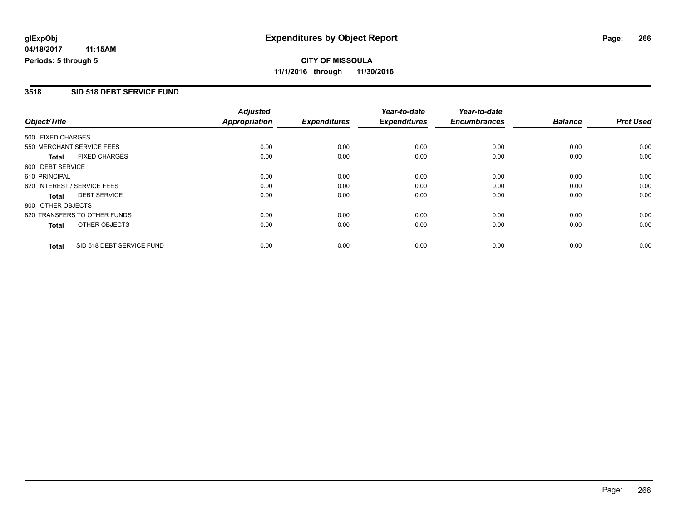### **3518 SID 518 DEBT SERVICE FUND**

|                   |                              | <b>Adjusted</b>      |                     | Year-to-date        | Year-to-date        |                |                  |
|-------------------|------------------------------|----------------------|---------------------|---------------------|---------------------|----------------|------------------|
| Object/Title      |                              | <b>Appropriation</b> | <b>Expenditures</b> | <b>Expenditures</b> | <b>Encumbrances</b> | <b>Balance</b> | <b>Prct Used</b> |
| 500 FIXED CHARGES |                              |                      |                     |                     |                     |                |                  |
|                   | 550 MERCHANT SERVICE FEES    | 0.00                 | 0.00                | 0.00                | 0.00                | 0.00           | 0.00             |
| Total             | <b>FIXED CHARGES</b>         | 0.00                 | 0.00                | 0.00                | 0.00                | 0.00           | 0.00             |
| 600 DEBT SERVICE  |                              |                      |                     |                     |                     |                |                  |
| 610 PRINCIPAL     |                              | 0.00                 | 0.00                | 0.00                | 0.00                | 0.00           | 0.00             |
|                   | 620 INTEREST / SERVICE FEES  | 0.00                 | 0.00                | 0.00                | 0.00                | 0.00           | 0.00             |
| Total             | <b>DEBT SERVICE</b>          | 0.00                 | 0.00                | 0.00                | 0.00                | 0.00           | 0.00             |
| 800 OTHER OBJECTS |                              |                      |                     |                     |                     |                |                  |
|                   | 820 TRANSFERS TO OTHER FUNDS | 0.00                 | 0.00                | 0.00                | 0.00                | 0.00           | 0.00             |
| <b>Total</b>      | OTHER OBJECTS                | 0.00                 | 0.00                | 0.00                | 0.00                | 0.00           | 0.00             |
| <b>Total</b>      | SID 518 DEBT SERVICE FUND    | 0.00                 | 0.00                | 0.00                | 0.00                | 0.00           | 0.00             |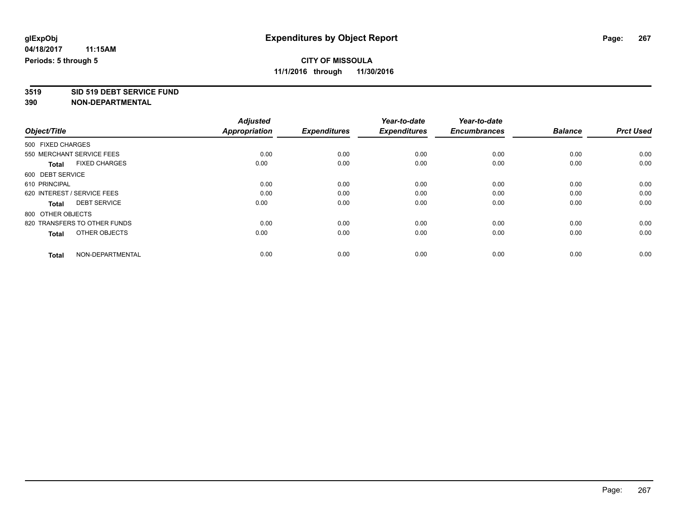**3519 SID 519 DEBT SERVICE FUND**

|                                      | <b>Adjusted</b>      |                     | Year-to-date        | Year-to-date        |                |                  |
|--------------------------------------|----------------------|---------------------|---------------------|---------------------|----------------|------------------|
| Object/Title                         | <b>Appropriation</b> | <b>Expenditures</b> | <b>Expenditures</b> | <b>Encumbrances</b> | <b>Balance</b> | <b>Prct Used</b> |
| 500 FIXED CHARGES                    |                      |                     |                     |                     |                |                  |
| 550 MERCHANT SERVICE FEES            | 0.00                 | 0.00                | 0.00                | 0.00                | 0.00           | 0.00             |
| <b>FIXED CHARGES</b><br><b>Total</b> | 0.00                 | 0.00                | 0.00                | 0.00                | 0.00           | 0.00             |
| 600 DEBT SERVICE                     |                      |                     |                     |                     |                |                  |
| 610 PRINCIPAL                        | 0.00                 | 0.00                | 0.00                | 0.00                | 0.00           | 0.00             |
| 620 INTEREST / SERVICE FEES          | 0.00                 | 0.00                | 0.00                | 0.00                | 0.00           | 0.00             |
| <b>DEBT SERVICE</b><br><b>Total</b>  | 0.00                 | 0.00                | 0.00                | 0.00                | 0.00           | 0.00             |
| 800 OTHER OBJECTS                    |                      |                     |                     |                     |                |                  |
| 820 TRANSFERS TO OTHER FUNDS         | 0.00                 | 0.00                | 0.00                | 0.00                | 0.00           | 0.00             |
| OTHER OBJECTS<br><b>Total</b>        | 0.00                 | 0.00                | 0.00                | 0.00                | 0.00           | 0.00             |
|                                      |                      |                     |                     |                     |                |                  |
| NON-DEPARTMENTAL<br><b>Total</b>     | 0.00                 | 0.00                | 0.00                | 0.00                | 0.00           | 0.00             |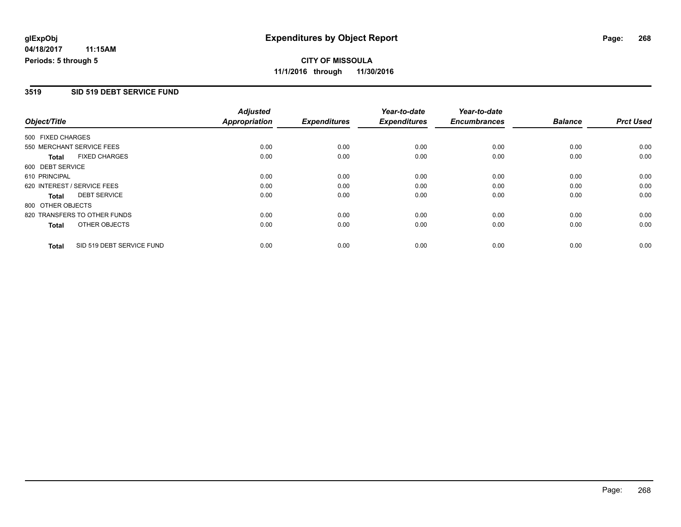**CITY OF MISSOULA 11/1/2016 through 11/30/2016**

### **3519 SID 519 DEBT SERVICE FUND**

|                   |                              | <b>Adjusted</b> |                     | Year-to-date        | Year-to-date        |                |                  |
|-------------------|------------------------------|-----------------|---------------------|---------------------|---------------------|----------------|------------------|
| Object/Title      |                              | Appropriation   | <b>Expenditures</b> | <b>Expenditures</b> | <b>Encumbrances</b> | <b>Balance</b> | <b>Prct Used</b> |
| 500 FIXED CHARGES |                              |                 |                     |                     |                     |                |                  |
|                   | 550 MERCHANT SERVICE FEES    | 0.00            | 0.00                | 0.00                | 0.00                | 0.00           | 0.00             |
| Total             | <b>FIXED CHARGES</b>         | 0.00            | 0.00                | 0.00                | 0.00                | 0.00           | 0.00             |
| 600 DEBT SERVICE  |                              |                 |                     |                     |                     |                |                  |
| 610 PRINCIPAL     |                              | 0.00            | 0.00                | 0.00                | 0.00                | 0.00           | 0.00             |
|                   | 620 INTEREST / SERVICE FEES  | 0.00            | 0.00                | 0.00                | 0.00                | 0.00           | 0.00             |
| Total             | <b>DEBT SERVICE</b>          | 0.00            | 0.00                | 0.00                | 0.00                | 0.00           | 0.00             |
| 800 OTHER OBJECTS |                              |                 |                     |                     |                     |                |                  |
|                   | 820 TRANSFERS TO OTHER FUNDS | 0.00            | 0.00                | 0.00                | 0.00                | 0.00           | 0.00             |
| Total             | OTHER OBJECTS                | 0.00            | 0.00                | 0.00                | 0.00                | 0.00           | 0.00             |
| <b>Total</b>      | SID 519 DEBT SERVICE FUND    | 0.00            | 0.00                | 0.00                | 0.00                | 0.00           | 0.00             |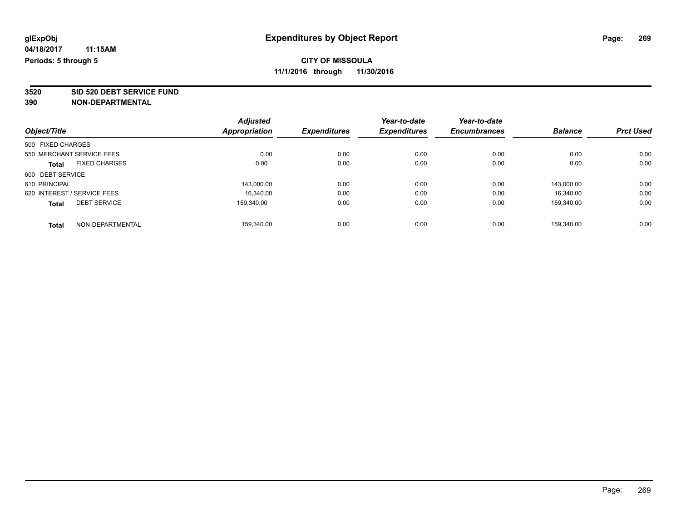**3520 SID 520 DEBT SERVICE FUND**

|                                      | <b>Adjusted</b>      |                     | Year-to-date | Year-to-date        |                |                  |
|--------------------------------------|----------------------|---------------------|--------------|---------------------|----------------|------------------|
| Object/Title                         | <b>Appropriation</b> | <b>Expenditures</b> | Expenditures | <b>Encumbrances</b> | <b>Balance</b> | <b>Prct Used</b> |
| 500 FIXED CHARGES                    |                      |                     |              |                     |                |                  |
| 550 MERCHANT SERVICE FEES            | 0.00                 | 0.00                | 0.00         | 0.00                | 0.00           | 0.00             |
| <b>FIXED CHARGES</b><br><b>Total</b> | 0.00                 | 0.00                | 0.00         | 0.00                | 0.00           | 0.00             |
| 600 DEBT SERVICE                     |                      |                     |              |                     |                |                  |
| 610 PRINCIPAL                        | 143,000.00           | 0.00                | 0.00         | 0.00                | 143.000.00     | 0.00             |
| 620 INTEREST / SERVICE FEES          | 16.340.00            | 0.00                | 0.00         | 0.00                | 16.340.00      | 0.00             |
| <b>DEBT SERVICE</b><br><b>Total</b>  | 159.340.00           | 0.00                | 0.00         | 0.00                | 159.340.00     | 0.00             |
| NON-DEPARTMENTAL<br><b>Total</b>     | 159.340.00           | 0.00                | 0.00         | 0.00                | 159.340.00     | 0.00             |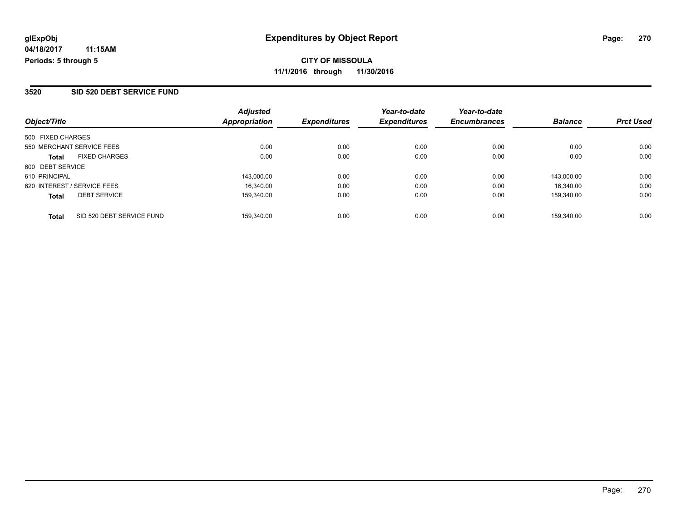#### **3520 SID 520 DEBT SERVICE FUND**

| Object/Title                              | <b>Adjusted</b><br><b>Appropriation</b> | <b>Expenditures</b> | Year-to-date<br><b>Expenditures</b> | Year-to-date<br><b>Encumbrances</b> | <b>Balance</b> | <b>Prct Used</b> |
|-------------------------------------------|-----------------------------------------|---------------------|-------------------------------------|-------------------------------------|----------------|------------------|
|                                           |                                         |                     |                                     |                                     |                |                  |
| 500 FIXED CHARGES                         |                                         |                     |                                     |                                     |                |                  |
| 550 MERCHANT SERVICE FEES                 | 0.00                                    | 0.00                | 0.00                                | 0.00                                | 0.00           | 0.00             |
| <b>FIXED CHARGES</b><br><b>Total</b>      | 0.00                                    | 0.00                | 0.00                                | 0.00                                | 0.00           | 0.00             |
| 600 DEBT SERVICE                          |                                         |                     |                                     |                                     |                |                  |
| 610 PRINCIPAL                             | 143,000.00                              | 0.00                | 0.00                                | 0.00                                | 143.000.00     | 0.00             |
| 620 INTEREST / SERVICE FEES               | 16.340.00                               | 0.00                | 0.00                                | 0.00                                | 16.340.00      | 0.00             |
| <b>DEBT SERVICE</b><br><b>Total</b>       | 159.340.00                              | 0.00                | 0.00                                | 0.00                                | 159.340.00     | 0.00             |
| SID 520 DEBT SERVICE FUND<br><b>Total</b> | 159.340.00                              | 0.00                | 0.00                                | 0.00                                | 159.340.00     | 0.00             |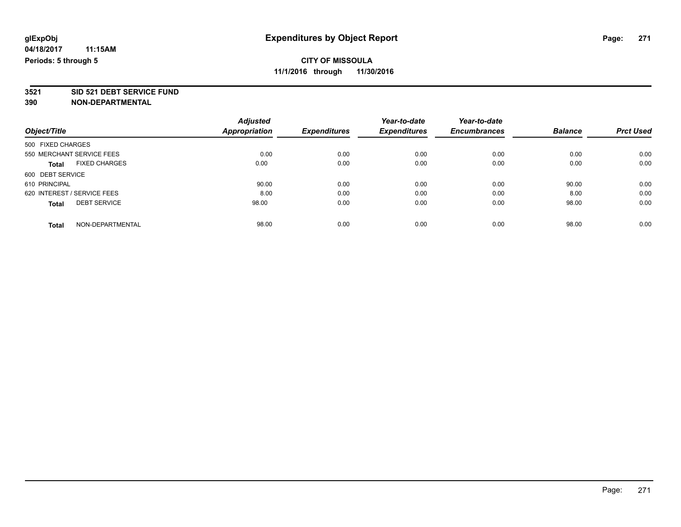# **3521 SID 521 DEBT SERVICE FUND**

| Object/Title                |                      | <b>Adjusted</b><br><b>Appropriation</b> |                     | Year-to-date        | Year-to-date<br><b>Encumbrances</b> | <b>Balance</b> | <b>Prct Used</b> |
|-----------------------------|----------------------|-----------------------------------------|---------------------|---------------------|-------------------------------------|----------------|------------------|
|                             |                      |                                         | <b>Expenditures</b> | <b>Expenditures</b> |                                     |                |                  |
| 500 FIXED CHARGES           |                      |                                         |                     |                     |                                     |                |                  |
| 550 MERCHANT SERVICE FEES   |                      | 0.00                                    | 0.00                | 0.00                | 0.00                                | 0.00           | 0.00             |
| <b>Total</b>                | <b>FIXED CHARGES</b> | 0.00                                    | 0.00                | 0.00                | 0.00                                | 0.00           | 0.00             |
| 600 DEBT SERVICE            |                      |                                         |                     |                     |                                     |                |                  |
| 610 PRINCIPAL               |                      | 90.00                                   | 0.00                | 0.00                | 0.00                                | 90.00          | 0.00             |
| 620 INTEREST / SERVICE FEES |                      | 8.00                                    | 0.00                | 0.00                | 0.00                                | 8.00           | 0.00             |
| <b>Total</b>                | <b>DEBT SERVICE</b>  | 98.00                                   | 0.00                | 0.00                | 0.00                                | 98.00          | 0.00             |
| <b>Total</b>                | NON-DEPARTMENTAL     | 98.00                                   | 0.00                | 0.00                | 0.00                                | 98.00          | 0.00             |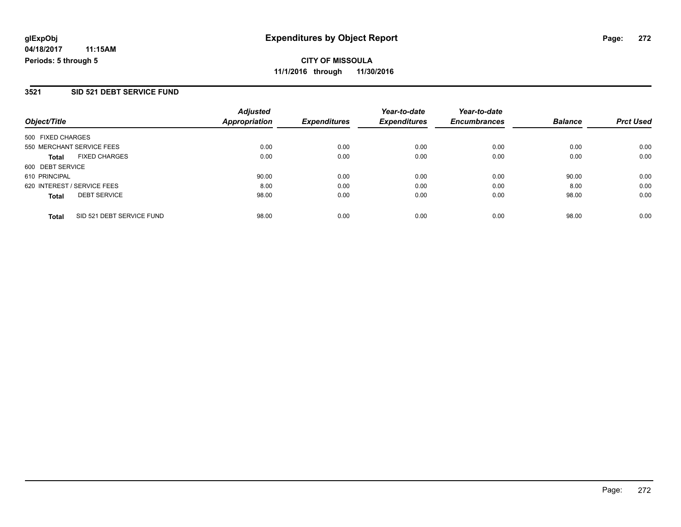**CITY OF MISSOULA 11/1/2016 through 11/30/2016**

#### **3521 SID 521 DEBT SERVICE FUND**

| Object/Title                              | <b>Adjusted</b><br><b>Appropriation</b> | <b>Expenditures</b> | Year-to-date<br><b>Expenditures</b> | Year-to-date<br><b>Encumbrances</b> | <b>Balance</b> | <b>Prct Used</b> |
|-------------------------------------------|-----------------------------------------|---------------------|-------------------------------------|-------------------------------------|----------------|------------------|
| 500 FIXED CHARGES                         |                                         |                     |                                     |                                     |                |                  |
| 550 MERCHANT SERVICE FEES                 | 0.00                                    | 0.00                | 0.00                                | 0.00                                | 0.00           | 0.00             |
| <b>FIXED CHARGES</b><br><b>Total</b>      | 0.00                                    | 0.00                | 0.00                                | 0.00                                | 0.00           | 0.00             |
| 600 DEBT SERVICE                          |                                         |                     |                                     |                                     |                |                  |
| 610 PRINCIPAL                             | 90.00                                   | 0.00                | 0.00                                | 0.00                                | 90.00          | 0.00             |
| 620 INTEREST / SERVICE FEES               | 8.00                                    | 0.00                | 0.00                                | 0.00                                | 8.00           | 0.00             |
| <b>DEBT SERVICE</b><br><b>Total</b>       | 98.00                                   | 0.00                | 0.00                                | 0.00                                | 98.00          | 0.00             |
| SID 521 DEBT SERVICE FUND<br><b>Total</b> | 98.00                                   | 0.00                | 0.00                                | 0.00                                | 98.00          | 0.00             |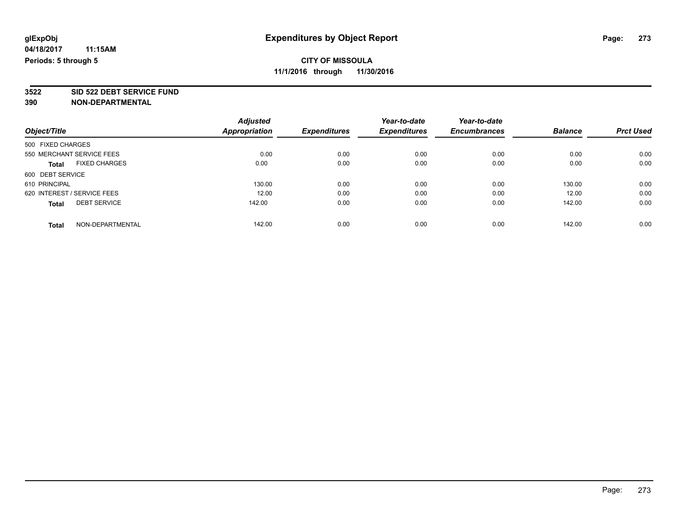**3522 SID 522 DEBT SERVICE FUND**

|                                      | <b>Adjusted</b> | <b>Expenditures</b> | Year-to-date        | Year-to-date        | <b>Balance</b> | <b>Prct Used</b> |
|--------------------------------------|-----------------|---------------------|---------------------|---------------------|----------------|------------------|
| Object/Title                         | Appropriation   |                     | <b>Expenditures</b> | <b>Encumbrances</b> |                |                  |
| 500 FIXED CHARGES                    |                 |                     |                     |                     |                |                  |
| 550 MERCHANT SERVICE FEES            | 0.00            | 0.00                | 0.00                | 0.00                | 0.00           | 0.00             |
| <b>FIXED CHARGES</b><br><b>Total</b> | 0.00            | 0.00                | 0.00                | 0.00                | 0.00           | 0.00             |
| 600 DEBT SERVICE                     |                 |                     |                     |                     |                |                  |
| 610 PRINCIPAL                        | 130.00          | 0.00                | 0.00                | 0.00                | 130.00         | 0.00             |
| 620 INTEREST / SERVICE FEES          | 12.00           | 0.00                | 0.00                | 0.00                | 12.00          | 0.00             |
| <b>DEBT SERVICE</b><br><b>Total</b>  | 142.00          | 0.00                | 0.00                | 0.00                | 142.00         | 0.00             |
| NON-DEPARTMENTAL<br><b>Total</b>     | 142.00          | 0.00                | 0.00                | 0.00                | 142.00         | 0.00             |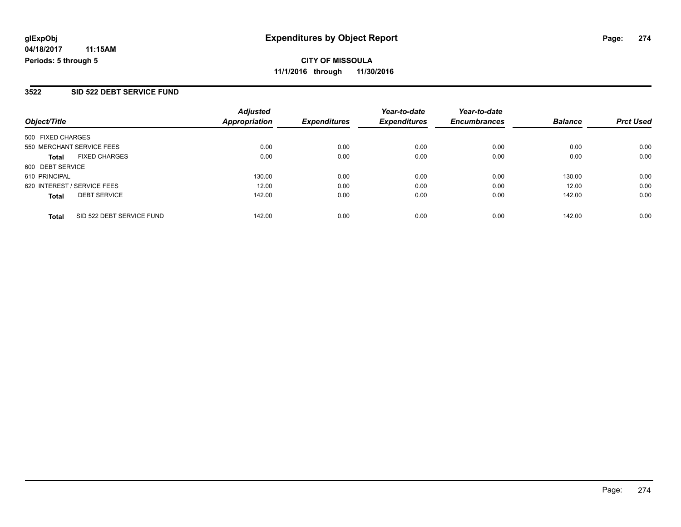**CITY OF MISSOULA 11/1/2016 through 11/30/2016**

## **3522 SID 522 DEBT SERVICE FUND**

| Object/Title                              | <b>Adjusted</b><br><b>Appropriation</b> | <b>Expenditures</b> | Year-to-date<br><b>Expenditures</b> | Year-to-date<br><b>Encumbrances</b> | <b>Balance</b> | <b>Prct Used</b> |
|-------------------------------------------|-----------------------------------------|---------------------|-------------------------------------|-------------------------------------|----------------|------------------|
| 500 FIXED CHARGES                         |                                         |                     |                                     |                                     |                |                  |
| 550 MERCHANT SERVICE FEES                 | 0.00                                    | 0.00                | 0.00                                | 0.00                                | 0.00           | 0.00             |
| <b>FIXED CHARGES</b><br><b>Total</b>      | 0.00                                    | 0.00                | 0.00                                | 0.00                                | 0.00           | 0.00             |
| 600 DEBT SERVICE                          |                                         |                     |                                     |                                     |                |                  |
| 610 PRINCIPAL                             | 130.00                                  | 0.00                | 0.00                                | 0.00                                | 130.00         | 0.00             |
| 620 INTEREST / SERVICE FEES               | 12.00                                   | 0.00                | 0.00                                | 0.00                                | 12.00          | 0.00             |
| <b>DEBT SERVICE</b><br><b>Total</b>       | 142.00                                  | 0.00                | 0.00                                | 0.00                                | 142.00         | 0.00             |
| SID 522 DEBT SERVICE FUND<br><b>Total</b> | 142.00                                  | 0.00                | 0.00                                | 0.00                                | 142.00         | 0.00             |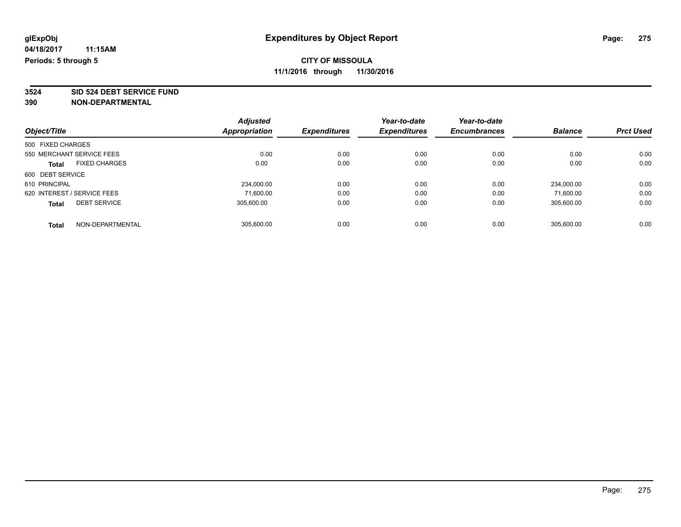**3524 SID 524 DEBT SERVICE FUND**

|                                      | <b>Adjusted</b>      |                     | Year-to-date        | Year-to-date        |                |                  |
|--------------------------------------|----------------------|---------------------|---------------------|---------------------|----------------|------------------|
| Object/Title                         | <b>Appropriation</b> | <b>Expenditures</b> | <b>Expenditures</b> | <b>Encumbrances</b> | <b>Balance</b> | <b>Prct Used</b> |
| 500 FIXED CHARGES                    |                      |                     |                     |                     |                |                  |
| 550 MERCHANT SERVICE FEES            | 0.00                 | 0.00                | 0.00                | 0.00                | 0.00           | 0.00             |
| <b>FIXED CHARGES</b><br><b>Total</b> | 0.00                 | 0.00                | 0.00                | 0.00                | 0.00           | 0.00             |
| 600 DEBT SERVICE                     |                      |                     |                     |                     |                |                  |
| 610 PRINCIPAL                        | 234,000.00           | 0.00                | 0.00                | 0.00                | 234.000.00     | 0.00             |
| 620 INTEREST / SERVICE FEES          | 71.600.00            | 0.00                | 0.00                | 0.00                | 71.600.00      | 0.00             |
| <b>DEBT SERVICE</b><br><b>Total</b>  | 305.600.00           | 0.00                | 0.00                | 0.00                | 305.600.00     | 0.00             |
| NON-DEPARTMENTAL<br><b>Total</b>     | 305.600.00           | 0.00                | 0.00                | 0.00                | 305.600.00     | 0.00             |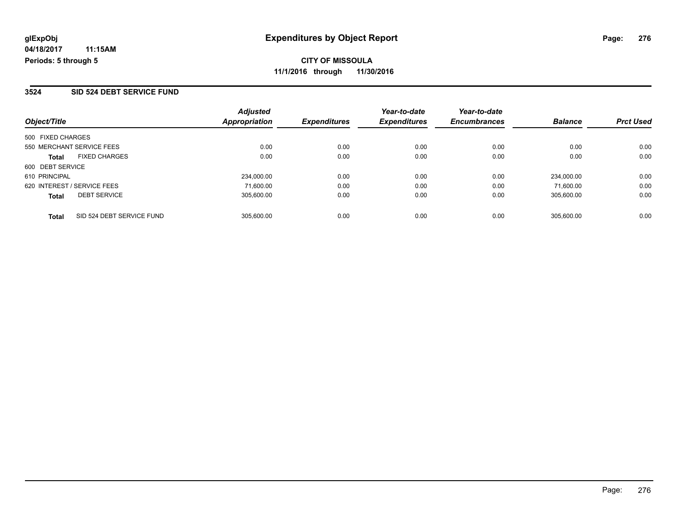#### **3524 SID 524 DEBT SERVICE FUND**

| Object/Title                |                           | <b>Adjusted</b><br><b>Appropriation</b> | <b>Expenditures</b> | Year-to-date<br><b>Expenditures</b> | Year-to-date<br><b>Encumbrances</b> | <b>Balance</b> | <b>Prct Used</b> |
|-----------------------------|---------------------------|-----------------------------------------|---------------------|-------------------------------------|-------------------------------------|----------------|------------------|
|                             |                           |                                         |                     |                                     |                                     |                |                  |
| 500 FIXED CHARGES           |                           |                                         |                     |                                     |                                     |                |                  |
|                             | 550 MERCHANT SERVICE FEES | 0.00                                    | 0.00                | 0.00                                | 0.00                                | 0.00           | 0.00             |
| Total                       | <b>FIXED CHARGES</b>      | 0.00                                    | 0.00                | 0.00                                | 0.00                                | 0.00           | 0.00             |
| 600 DEBT SERVICE            |                           |                                         |                     |                                     |                                     |                |                  |
| 610 PRINCIPAL               |                           | 234,000.00                              | 0.00                | 0.00                                | 0.00                                | 234.000.00     | 0.00             |
| 620 INTEREST / SERVICE FEES |                           | 71.600.00                               | 0.00                | 0.00                                | 0.00                                | 71.600.00      | 0.00             |
| <b>Total</b>                | <b>DEBT SERVICE</b>       | 305.600.00                              | 0.00                | 0.00                                | 0.00                                | 305.600.00     | 0.00             |
| <b>Total</b>                | SID 524 DEBT SERVICE FUND | 305.600.00                              | 0.00                | 0.00                                | 0.00                                | 305.600.00     | 0.00             |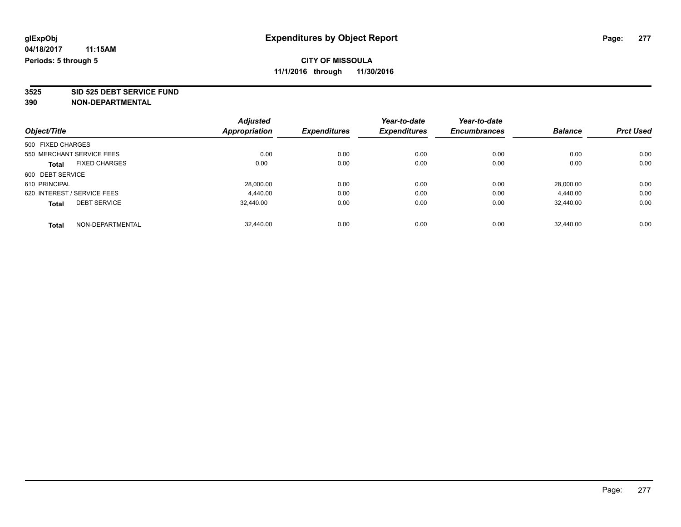**3525 SID 525 DEBT SERVICE FUND**

|                                      | <b>Adjusted</b><br>Appropriation | <b>Expenditures</b> | Year-to-date        | Year-to-date        | <b>Balance</b> | <b>Prct Used</b> |
|--------------------------------------|----------------------------------|---------------------|---------------------|---------------------|----------------|------------------|
| Object/Title                         |                                  |                     | <b>Expenditures</b> | <b>Encumbrances</b> |                |                  |
| 500 FIXED CHARGES                    |                                  |                     |                     |                     |                |                  |
| 550 MERCHANT SERVICE FEES            | 0.00                             | 0.00                | 0.00                | 0.00                | 0.00           | 0.00             |
| <b>FIXED CHARGES</b><br><b>Total</b> | 0.00                             | 0.00                | 0.00                | 0.00                | 0.00           | 0.00             |
| 600 DEBT SERVICE                     |                                  |                     |                     |                     |                |                  |
| 610 PRINCIPAL                        | 28,000.00                        | 0.00                | 0.00                | 0.00                | 28,000.00      | 0.00             |
| 620 INTEREST / SERVICE FEES          | 4.440.00                         | 0.00                | 0.00                | 0.00                | 4,440.00       | 0.00             |
| <b>DEBT SERVICE</b><br><b>Total</b>  | 32.440.00                        | 0.00                | 0.00                | 0.00                | 32.440.00      | 0.00             |
| NON-DEPARTMENTAL<br><b>Total</b>     | 32.440.00                        | 0.00                | 0.00                | 0.00                | 32.440.00      | 0.00             |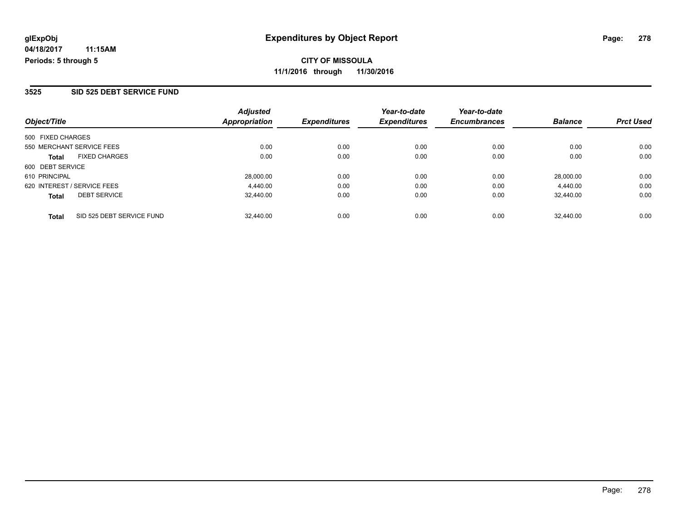#### **3525 SID 525 DEBT SERVICE FUND**

**04/18/2017**

| Object/Title                              | <b>Adjusted</b><br>Appropriation | <b>Expenditures</b> | Year-to-date<br><b>Expenditures</b> | Year-to-date<br><b>Encumbrances</b> | <b>Balance</b> | <b>Prct Used</b> |
|-------------------------------------------|----------------------------------|---------------------|-------------------------------------|-------------------------------------|----------------|------------------|
| 500 FIXED CHARGES                         |                                  |                     |                                     |                                     |                |                  |
| 550 MERCHANT SERVICE FEES                 | 0.00                             | 0.00                | 0.00                                | 0.00                                | 0.00           | 0.00             |
| <b>FIXED CHARGES</b><br>Total             | 0.00                             | 0.00                | 0.00                                | 0.00                                | 0.00           | 0.00             |
| 600 DEBT SERVICE                          |                                  |                     |                                     |                                     |                |                  |
| 610 PRINCIPAL                             | 28,000.00                        | 0.00                | 0.00                                | 0.00                                | 28.000.00      | 0.00             |
| 620 INTEREST / SERVICE FEES               | 4.440.00                         | 0.00                | 0.00                                | 0.00                                | 4.440.00       | 0.00             |
| <b>DEBT SERVICE</b><br><b>Total</b>       | 32,440.00                        | 0.00                | 0.00                                | 0.00                                | 32,440.00      | 0.00             |
| SID 525 DEBT SERVICE FUND<br><b>Total</b> | 32,440.00                        | 0.00                | 0.00                                | 0.00                                | 32.440.00      | 0.00             |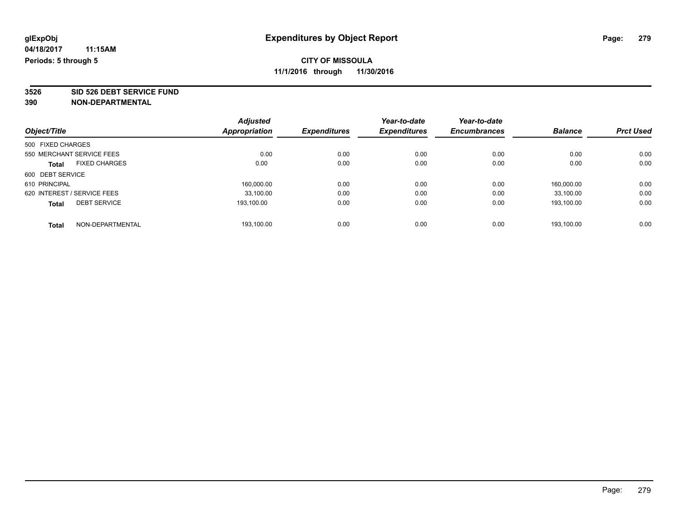**3526 SID 526 DEBT SERVICE FUND**

|                                      | <b>Adjusted</b> | <b>Expenditures</b> | Year-to-date        | Year-to-date        | <b>Balance</b> | <b>Prct Used</b> |
|--------------------------------------|-----------------|---------------------|---------------------|---------------------|----------------|------------------|
| Object/Title                         | Appropriation   |                     | <b>Expenditures</b> | <b>Encumbrances</b> |                |                  |
| 500 FIXED CHARGES                    |                 |                     |                     |                     |                |                  |
| 550 MERCHANT SERVICE FEES            | 0.00            | 0.00                | 0.00                | 0.00                | 0.00           | 0.00             |
| <b>FIXED CHARGES</b><br><b>Total</b> | 0.00            | 0.00                | 0.00                | 0.00                | 0.00           | 0.00             |
| 600 DEBT SERVICE                     |                 |                     |                     |                     |                |                  |
| 610 PRINCIPAL                        | 160,000.00      | 0.00                | 0.00                | 0.00                | 160.000.00     | 0.00             |
| 620 INTEREST / SERVICE FEES          | 33.100.00       | 0.00                | 0.00                | 0.00                | 33.100.00      | 0.00             |
| <b>DEBT SERVICE</b><br><b>Total</b>  | 193.100.00      | 0.00                | 0.00                | 0.00                | 193.100.00     | 0.00             |
| NON-DEPARTMENTAL<br><b>Total</b>     | 193.100.00      | 0.00                | 0.00                | 0.00                | 193.100.00     | 0.00             |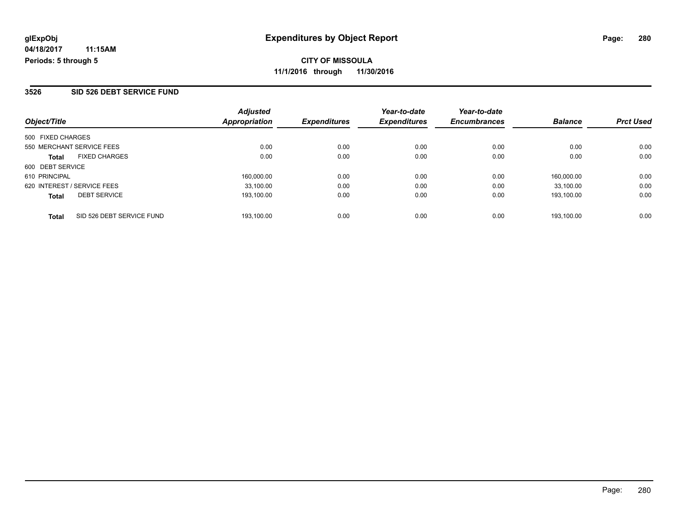#### **3526 SID 526 DEBT SERVICE FUND**

| Object/Title                              | <b>Adjusted</b><br>Appropriation | <b>Expenditures</b> | Year-to-date<br><b>Expenditures</b> | Year-to-date<br><b>Encumbrances</b> | <b>Balance</b> | <b>Prct Used</b> |
|-------------------------------------------|----------------------------------|---------------------|-------------------------------------|-------------------------------------|----------------|------------------|
| 500 FIXED CHARGES                         |                                  |                     |                                     |                                     |                |                  |
| 550 MERCHANT SERVICE FEES                 | 0.00                             | 0.00                | 0.00                                | 0.00                                | 0.00           | 0.00             |
| <b>FIXED CHARGES</b><br>Total             | 0.00                             | 0.00                | 0.00                                | 0.00                                | 0.00           | 0.00             |
| 600 DEBT SERVICE                          |                                  |                     |                                     |                                     |                |                  |
| 610 PRINCIPAL                             | 160.000.00                       | 0.00                | 0.00                                | 0.00                                | 160.000.00     | 0.00             |
| 620 INTEREST / SERVICE FEES               | 33.100.00                        | 0.00                | 0.00                                | 0.00                                | 33,100.00      | 0.00             |
| <b>DEBT SERVICE</b><br><b>Total</b>       | 193,100.00                       | 0.00                | 0.00                                | 0.00                                | 193,100.00     | 0.00             |
| SID 526 DEBT SERVICE FUND<br><b>Total</b> | 193.100.00                       | 0.00                | 0.00                                | 0.00                                | 193.100.00     | 0.00             |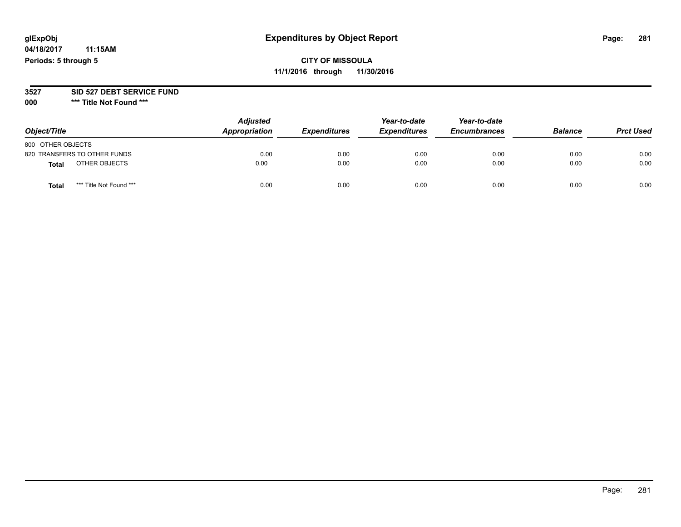# **glExpObj Expenditures by Object Report Page: 281**

## **CITY OF MISSOULA 11/1/2016 through 11/30/2016**

#### **3527 SID 527 DEBT SERVICE FUND**

**000 \*\*\* Title Not Found \*\*\***

| Object/Title                     | <b>Adjusted</b><br>Appropriation | <b>Expenditures</b> | Year-to-date<br><b>Expenditures</b> | Year-to-date<br><b>Encumbrances</b> | <b>Balance</b> | <b>Prct Used</b> |
|----------------------------------|----------------------------------|---------------------|-------------------------------------|-------------------------------------|----------------|------------------|
| 800 OTHER OBJECTS                |                                  |                     |                                     |                                     |                |                  |
| 820 TRANSFERS TO OTHER FUNDS     | 0.00                             | 0.00                | 0.00                                | 0.00                                | 0.00           | 0.00             |
| OTHER OBJECTS<br><b>Total</b>    | 0.00                             | 0.00                | 0.00                                | 0.00                                | 0.00           | 0.00             |
| *** Title Not Found ***<br>Total | 0.00                             | 0.00                | 0.00                                | 0.00                                | 0.00           | 0.00             |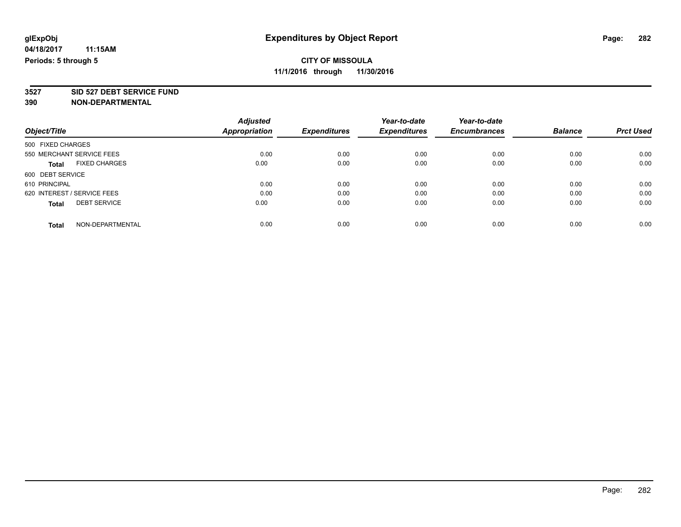**3527 SID 527 DEBT SERVICE FUND**

| Object/Title                |                           | <b>Adjusted</b><br><b>Appropriation</b> |                     | Year-to-date        | Year-to-date        |                |                  |
|-----------------------------|---------------------------|-----------------------------------------|---------------------|---------------------|---------------------|----------------|------------------|
|                             |                           |                                         | <b>Expenditures</b> | <b>Expenditures</b> | <b>Encumbrances</b> | <b>Balance</b> | <b>Prct Used</b> |
| 500 FIXED CHARGES           |                           |                                         |                     |                     |                     |                |                  |
|                             | 550 MERCHANT SERVICE FEES | 0.00                                    | 0.00                | 0.00                | 0.00                | 0.00           | 0.00             |
| <b>Total</b>                | <b>FIXED CHARGES</b>      | 0.00                                    | 0.00                | 0.00                | 0.00                | 0.00           | 0.00             |
| 600 DEBT SERVICE            |                           |                                         |                     |                     |                     |                |                  |
| 610 PRINCIPAL               |                           | 0.00                                    | 0.00                | 0.00                | 0.00                | 0.00           | 0.00             |
| 620 INTEREST / SERVICE FEES |                           | 0.00                                    | 0.00                | 0.00                | 0.00                | 0.00           | 0.00             |
| <b>Total</b>                | <b>DEBT SERVICE</b>       | 0.00                                    | 0.00                | 0.00                | 0.00                | 0.00           | 0.00             |
| <b>Total</b>                | NON-DEPARTMENTAL          | 0.00                                    | 0.00                | 0.00                | 0.00                | 0.00           | 0.00             |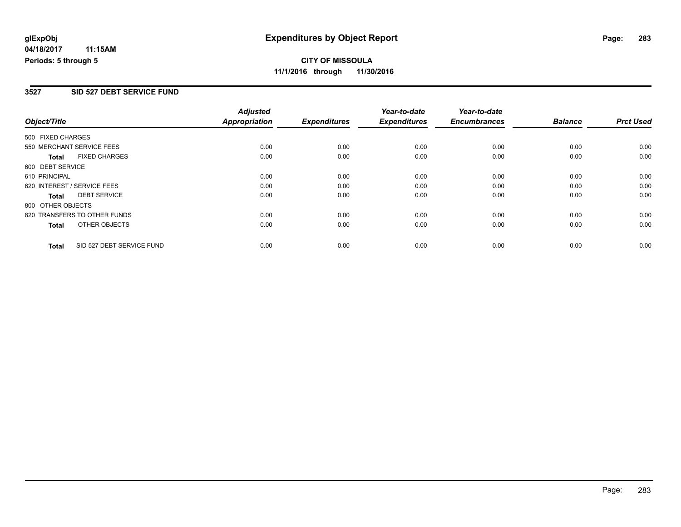**CITY OF MISSOULA 11/1/2016 through 11/30/2016**

### **3527 SID 527 DEBT SERVICE FUND**

|                   |                              | <b>Adjusted</b>      |                     | Year-to-date        | Year-to-date        |                |                  |
|-------------------|------------------------------|----------------------|---------------------|---------------------|---------------------|----------------|------------------|
| Object/Title      |                              | <b>Appropriation</b> | <b>Expenditures</b> | <b>Expenditures</b> | <b>Encumbrances</b> | <b>Balance</b> | <b>Prct Used</b> |
| 500 FIXED CHARGES |                              |                      |                     |                     |                     |                |                  |
|                   | 550 MERCHANT SERVICE FEES    | 0.00                 | 0.00                | 0.00                | 0.00                | 0.00           | 0.00             |
| <b>Total</b>      | <b>FIXED CHARGES</b>         | 0.00                 | 0.00                | 0.00                | 0.00                | 0.00           | 0.00             |
| 600 DEBT SERVICE  |                              |                      |                     |                     |                     |                |                  |
| 610 PRINCIPAL     |                              | 0.00                 | 0.00                | 0.00                | 0.00                | 0.00           | 0.00             |
|                   | 620 INTEREST / SERVICE FEES  | 0.00                 | 0.00                | 0.00                | 0.00                | 0.00           | 0.00             |
| Total             | <b>DEBT SERVICE</b>          | 0.00                 | 0.00                | 0.00                | 0.00                | 0.00           | 0.00             |
| 800 OTHER OBJECTS |                              |                      |                     |                     |                     |                |                  |
|                   | 820 TRANSFERS TO OTHER FUNDS | 0.00                 | 0.00                | 0.00                | 0.00                | 0.00           | 0.00             |
| Total             | OTHER OBJECTS                | 0.00                 | 0.00                | 0.00                | 0.00                | 0.00           | 0.00             |
| <b>Total</b>      | SID 527 DEBT SERVICE FUND    | 0.00                 | 0.00                | 0.00                | 0.00                | 0.00           | 0.00             |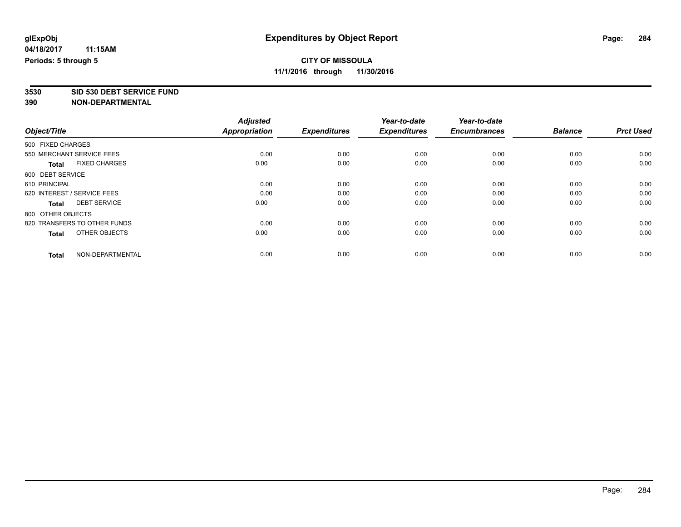**3530 SID 530 DEBT SERVICE FUND**

|                              | <b>Adjusted</b>      |                     | Year-to-date        | Year-to-date        |                |                  |
|------------------------------|----------------------|---------------------|---------------------|---------------------|----------------|------------------|
|                              | <b>Appropriation</b> | <b>Expenditures</b> | <b>Expenditures</b> | <b>Encumbrances</b> | <b>Balance</b> | <b>Prct Used</b> |
| 500 FIXED CHARGES            |                      |                     |                     |                     |                |                  |
| 550 MERCHANT SERVICE FEES    | 0.00                 | 0.00                | 0.00                | 0.00                | 0.00           | 0.00             |
| <b>FIXED CHARGES</b>         | 0.00                 | 0.00                | 0.00                | 0.00                | 0.00           | 0.00             |
| 600 DEBT SERVICE             |                      |                     |                     |                     |                |                  |
|                              | 0.00                 | 0.00                | 0.00                | 0.00                | 0.00           | 0.00             |
| 620 INTEREST / SERVICE FEES  | 0.00                 | 0.00                | 0.00                | 0.00                | 0.00           | 0.00             |
| <b>DEBT SERVICE</b>          | 0.00                 | 0.00                | 0.00                | 0.00                | 0.00           | 0.00             |
| 800 OTHER OBJECTS            |                      |                     |                     |                     |                |                  |
| 820 TRANSFERS TO OTHER FUNDS | 0.00                 | 0.00                | 0.00                | 0.00                | 0.00           | 0.00             |
| OTHER OBJECTS                | 0.00                 | 0.00                | 0.00                | 0.00                | 0.00           | 0.00             |
| NON-DEPARTMENTAL             | 0.00                 | 0.00                | 0.00                | 0.00                | 0.00           | 0.00             |
|                              |                      |                     |                     |                     |                |                  |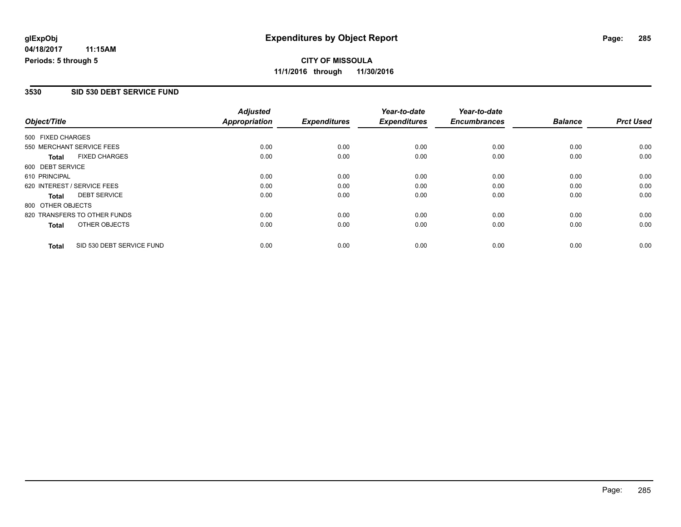#### **3530 SID 530 DEBT SERVICE FUND**

|                              |                           | <b>Adjusted</b>      |                     | Year-to-date        | Year-to-date        |                |                  |
|------------------------------|---------------------------|----------------------|---------------------|---------------------|---------------------|----------------|------------------|
| Object/Title                 |                           | <b>Appropriation</b> | <b>Expenditures</b> | <b>Expenditures</b> | <b>Encumbrances</b> | <b>Balance</b> | <b>Prct Used</b> |
| 500 FIXED CHARGES            |                           |                      |                     |                     |                     |                |                  |
| 550 MERCHANT SERVICE FEES    |                           | 0.00                 | 0.00                | 0.00                | 0.00                | 0.00           | 0.00             |
| <b>Total</b>                 | <b>FIXED CHARGES</b>      | 0.00                 | 0.00                | 0.00                | 0.00                | 0.00           | 0.00             |
| 600 DEBT SERVICE             |                           |                      |                     |                     |                     |                |                  |
| 610 PRINCIPAL                |                           | 0.00                 | 0.00                | 0.00                | 0.00                | 0.00           | 0.00             |
| 620 INTEREST / SERVICE FEES  |                           | 0.00                 | 0.00                | 0.00                | 0.00                | 0.00           | 0.00             |
| Total                        | <b>DEBT SERVICE</b>       | 0.00                 | 0.00                | 0.00                | 0.00                | 0.00           | 0.00             |
| 800 OTHER OBJECTS            |                           |                      |                     |                     |                     |                |                  |
| 820 TRANSFERS TO OTHER FUNDS |                           | 0.00                 | 0.00                | 0.00                | 0.00                | 0.00           | 0.00             |
| <b>Total</b>                 | OTHER OBJECTS             | 0.00                 | 0.00                | 0.00                | 0.00                | 0.00           | 0.00             |
| <b>Total</b>                 | SID 530 DEBT SERVICE FUND | 0.00                 | 0.00                | 0.00                | 0.00                | 0.00           | 0.00             |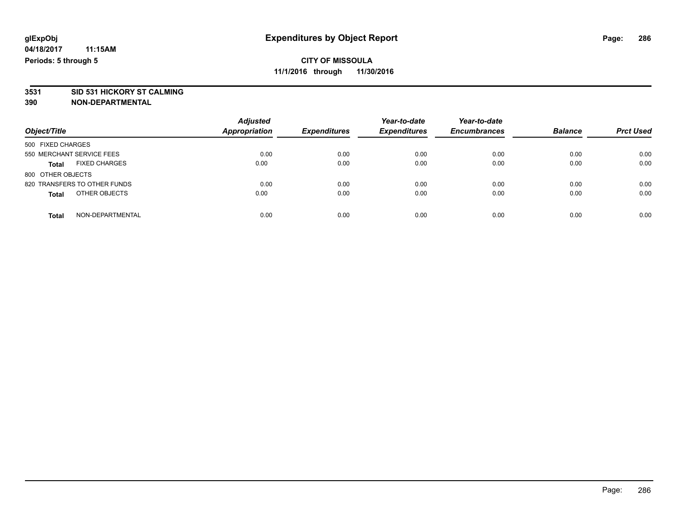# **3531 SID 531 HICKORY ST CALMING**

|                                      | <b>Adjusted</b><br><b>Appropriation</b> | <b>Expenditures</b> | Year-to-date        | Year-to-date<br><b>Encumbrances</b> | <b>Balance</b> |                  |
|--------------------------------------|-----------------------------------------|---------------------|---------------------|-------------------------------------|----------------|------------------|
| Object/Title                         |                                         |                     | <b>Expenditures</b> |                                     |                | <b>Prct Used</b> |
| 500 FIXED CHARGES                    |                                         |                     |                     |                                     |                |                  |
| 550 MERCHANT SERVICE FEES            | 0.00                                    | 0.00                | 0.00                | 0.00                                | 0.00           | 0.00             |
| <b>FIXED CHARGES</b><br><b>Total</b> | 0.00                                    | 0.00                | 0.00                | 0.00                                | 0.00           | 0.00             |
| 800 OTHER OBJECTS                    |                                         |                     |                     |                                     |                |                  |
| 820 TRANSFERS TO OTHER FUNDS         | 0.00                                    | 0.00                | 0.00                | 0.00                                | 0.00           | 0.00             |
| OTHER OBJECTS<br><b>Total</b>        | 0.00                                    | 0.00                | 0.00                | 0.00                                | 0.00           | 0.00             |
| NON-DEPARTMENTAL<br><b>Total</b>     | 0.00                                    | 0.00                | 0.00                | 0.00                                | 0.00           | 0.00             |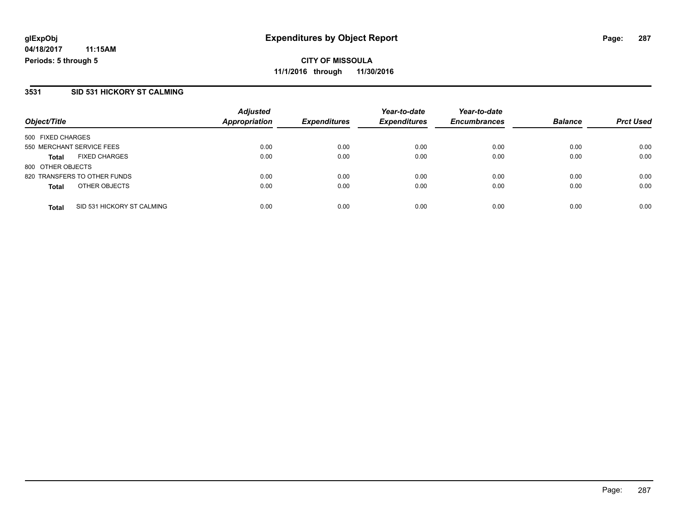#### **3531 SID 531 HICKORY ST CALMING**

|                                            | <b>Adjusted</b><br>Appropriation | <b>Expenditures</b> | Year-to-date<br><b>Expenditures</b> | Year-to-date<br><b>Encumbrances</b> | <b>Balance</b> |                  |
|--------------------------------------------|----------------------------------|---------------------|-------------------------------------|-------------------------------------|----------------|------------------|
| Object/Title                               |                                  |                     |                                     |                                     |                | <b>Prct Used</b> |
| 500 FIXED CHARGES                          |                                  |                     |                                     |                                     |                |                  |
| 550 MERCHANT SERVICE FEES                  | 0.00                             | 0.00                | 0.00                                | 0.00                                | 0.00           | 0.00             |
| <b>FIXED CHARGES</b><br><b>Total</b>       | 0.00                             | 0.00                | 0.00                                | 0.00                                | 0.00           | 0.00             |
| 800 OTHER OBJECTS                          |                                  |                     |                                     |                                     |                |                  |
| 820 TRANSFERS TO OTHER FUNDS               | 0.00                             | 0.00                | 0.00                                | 0.00                                | 0.00           | 0.00             |
| OTHER OBJECTS<br><b>Total</b>              | 0.00                             | 0.00                | 0.00                                | 0.00                                | 0.00           | 0.00             |
| SID 531 HICKORY ST CALMING<br><b>Total</b> | 0.00                             | 0.00                | 0.00                                | 0.00                                | 0.00           | 0.00             |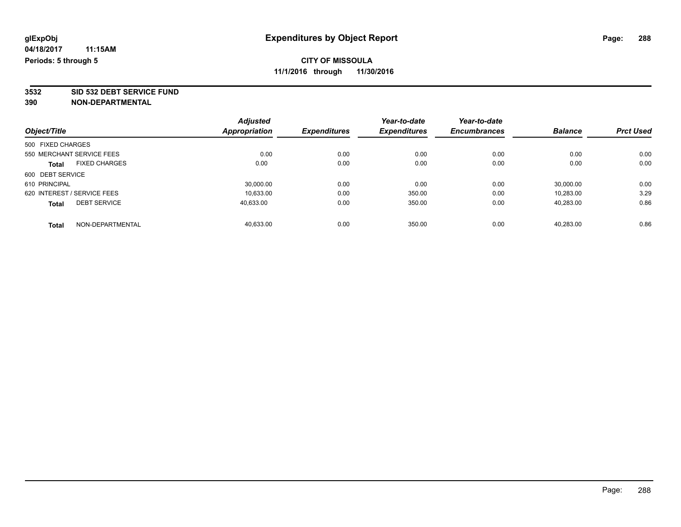**3532 SID 532 DEBT SERVICE FUND**

|                                     |                      | <b>Adjusted</b>      |                     | Year-to-date        | Year-to-date        |                |                  |
|-------------------------------------|----------------------|----------------------|---------------------|---------------------|---------------------|----------------|------------------|
| Object/Title                        |                      | <b>Appropriation</b> | <b>Expenditures</b> | <b>Expenditures</b> | <b>Encumbrances</b> | <b>Balance</b> | <b>Prct Used</b> |
| 500 FIXED CHARGES                   |                      |                      |                     |                     |                     |                |                  |
| 550 MERCHANT SERVICE FEES           |                      | 0.00                 | 0.00                | 0.00                | 0.00                | 0.00           | 0.00             |
| <b>Total</b>                        | <b>FIXED CHARGES</b> | 0.00                 | 0.00                | 0.00                | 0.00                | 0.00           | 0.00             |
| 600 DEBT SERVICE                    |                      |                      |                     |                     |                     |                |                  |
| 610 PRINCIPAL                       |                      | 30.000.00            | 0.00                | 0.00                | 0.00                | 30.000.00      | 0.00             |
| 620 INTEREST / SERVICE FEES         |                      | 10,633.00            | 0.00                | 350.00              | 0.00                | 10.283.00      | 3.29             |
| <b>DEBT SERVICE</b><br><b>Total</b> |                      | 40.633.00            | 0.00                | 350.00              | 0.00                | 40,283.00      | 0.86             |
| <b>Total</b>                        | NON-DEPARTMENTAL     | 40.633.00            | 0.00                | 350.00              | 0.00                | 40.283.00      | 0.86             |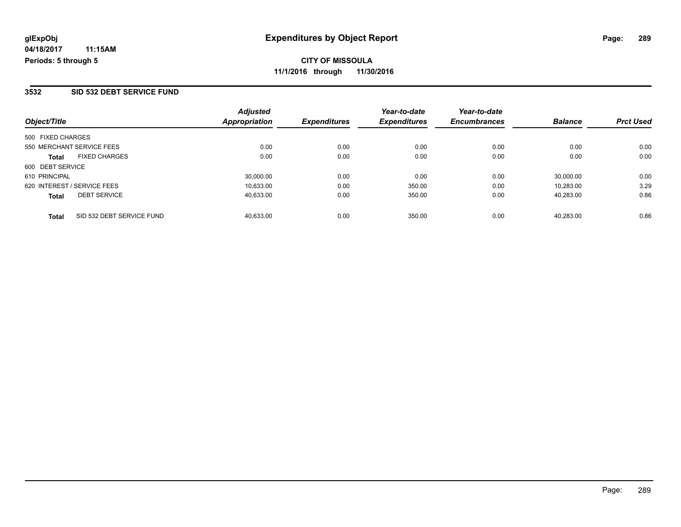### **3532 SID 532 DEBT SERVICE FUND**

| Object/Title                              | <b>Adjusted</b><br>Appropriation | <b>Expenditures</b> | Year-to-date<br><b>Expenditures</b> | Year-to-date<br><b>Encumbrances</b> | <b>Balance</b> | <b>Prct Used</b> |
|-------------------------------------------|----------------------------------|---------------------|-------------------------------------|-------------------------------------|----------------|------------------|
| 500 FIXED CHARGES                         |                                  |                     |                                     |                                     |                |                  |
| 550 MERCHANT SERVICE FEES                 | 0.00                             | 0.00                | 0.00                                | 0.00                                | 0.00           | 0.00             |
| <b>FIXED CHARGES</b><br><b>Total</b>      | 0.00                             | 0.00                | 0.00                                | 0.00                                | 0.00           | 0.00             |
| 600 DEBT SERVICE                          |                                  |                     |                                     |                                     |                |                  |
| 610 PRINCIPAL                             | 30.000.00                        | 0.00                | 0.00                                | 0.00                                | 30,000.00      | 0.00             |
| 620 INTEREST / SERVICE FEES               | 10,633.00                        | 0.00                | 350.00                              | 0.00                                | 10.283.00      | 3.29             |
| <b>DEBT SERVICE</b><br><b>Total</b>       | 40,633.00                        | 0.00                | 350.00                              | 0.00                                | 40.283.00      | 0.86             |
| SID 532 DEBT SERVICE FUND<br><b>Total</b> | 40.633.00                        | 0.00                | 350.00                              | 0.00                                | 40.283.00      | 0.86             |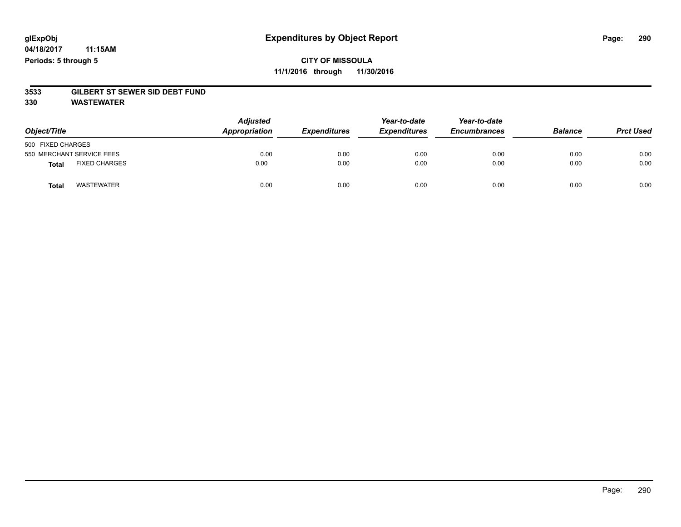# **3533 GILBERT ST SEWER SID DEBT FUND**

**330 WASTEWATER**

| Object/Title                         | <b>Adjusted</b><br>Appropriation | <b>Expenditures</b> | Year-to-date<br><b>Expenditures</b> | Year-to-date<br><b>Encumbrances</b> | <b>Balance</b> | <b>Prct Used</b> |
|--------------------------------------|----------------------------------|---------------------|-------------------------------------|-------------------------------------|----------------|------------------|
| 500 FIXED CHARGES                    |                                  |                     |                                     |                                     |                |                  |
| 550 MERCHANT SERVICE FEES            | 0.00                             | 0.00                | 0.00                                | 0.00                                | 0.00           | 0.00             |
| <b>FIXED CHARGES</b><br><b>Total</b> | 0.00                             | 0.00                | 0.00                                | 0.00                                | 0.00           | 0.00             |
| <b>WASTEWATER</b><br>Total           | 0.00                             | 0.00                | 0.00                                | 0.00                                | 0.00           | 0.00             |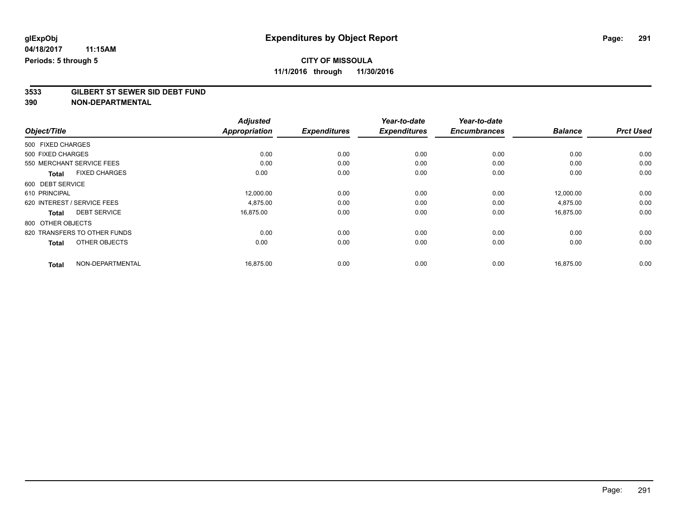# **3533 GILBERT ST SEWER SID DEBT FUND**

|                                      | <b>Adjusted</b>      |                     | Year-to-date        | Year-to-date        |                |                  |
|--------------------------------------|----------------------|---------------------|---------------------|---------------------|----------------|------------------|
| Object/Title                         | <b>Appropriation</b> | <b>Expenditures</b> | <b>Expenditures</b> | <b>Encumbrances</b> | <b>Balance</b> | <b>Prct Used</b> |
| 500 FIXED CHARGES                    |                      |                     |                     |                     |                |                  |
| 500 FIXED CHARGES                    | 0.00                 | 0.00                | 0.00                | 0.00                | 0.00           | 0.00             |
| 550 MERCHANT SERVICE FEES            | 0.00                 | 0.00                | 0.00                | 0.00                | 0.00           | 0.00             |
| <b>FIXED CHARGES</b><br><b>Total</b> | 0.00                 | 0.00                | 0.00                | 0.00                | 0.00           | 0.00             |
| 600 DEBT SERVICE                     |                      |                     |                     |                     |                |                  |
| 610 PRINCIPAL                        | 12,000.00            | 0.00                | 0.00                | 0.00                | 12,000.00      | 0.00             |
| 620 INTEREST / SERVICE FEES          | 4,875.00             | 0.00                | 0.00                | 0.00                | 4,875.00       | 0.00             |
| <b>DEBT SERVICE</b><br><b>Total</b>  | 16,875.00            | 0.00                | 0.00                | 0.00                | 16,875.00      | 0.00             |
| 800 OTHER OBJECTS                    |                      |                     |                     |                     |                |                  |
| 820 TRANSFERS TO OTHER FUNDS         | 0.00                 | 0.00                | 0.00                | 0.00                | 0.00           | 0.00             |
| OTHER OBJECTS<br><b>Total</b>        | 0.00                 | 0.00                | 0.00                | 0.00                | 0.00           | 0.00             |
| NON-DEPARTMENTAL<br><b>Total</b>     | 16,875.00            | 0.00                | 0.00                | 0.00                | 16,875.00      | 0.00             |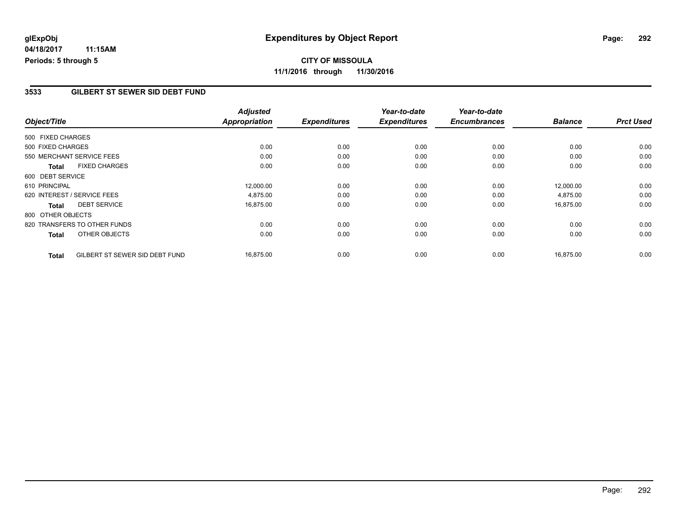## **3533 GILBERT ST SEWER SID DEBT FUND**

|                   |                                | <b>Adjusted</b>      |                     | Year-to-date        | Year-to-date        |                |                  |
|-------------------|--------------------------------|----------------------|---------------------|---------------------|---------------------|----------------|------------------|
| Object/Title      |                                | <b>Appropriation</b> | <b>Expenditures</b> | <b>Expenditures</b> | <b>Encumbrances</b> | <b>Balance</b> | <b>Prct Used</b> |
| 500 FIXED CHARGES |                                |                      |                     |                     |                     |                |                  |
| 500 FIXED CHARGES |                                | 0.00                 | 0.00                | 0.00                | 0.00                | 0.00           | 0.00             |
|                   | 550 MERCHANT SERVICE FEES      | 0.00                 | 0.00                | 0.00                | 0.00                | 0.00           | 0.00             |
| <b>Total</b>      | <b>FIXED CHARGES</b>           | 0.00                 | 0.00                | 0.00                | 0.00                | 0.00           | 0.00             |
| 600 DEBT SERVICE  |                                |                      |                     |                     |                     |                |                  |
| 610 PRINCIPAL     |                                | 12,000.00            | 0.00                | 0.00                | 0.00                | 12,000.00      | 0.00             |
|                   | 620 INTEREST / SERVICE FEES    | 4,875.00             | 0.00                | 0.00                | 0.00                | 4,875.00       | 0.00             |
| <b>Total</b>      | <b>DEBT SERVICE</b>            | 16,875.00            | 0.00                | 0.00                | 0.00                | 16,875.00      | 0.00             |
| 800 OTHER OBJECTS |                                |                      |                     |                     |                     |                |                  |
|                   | 820 TRANSFERS TO OTHER FUNDS   | 0.00                 | 0.00                | 0.00                | 0.00                | 0.00           | 0.00             |
| <b>Total</b>      | OTHER OBJECTS                  | 0.00                 | 0.00                | 0.00                | 0.00                | 0.00           | 0.00             |
| <b>Total</b>      | GILBERT ST SEWER SID DEBT FUND | 16,875.00            | 0.00                | 0.00                | 0.00                | 16,875.00      | 0.00             |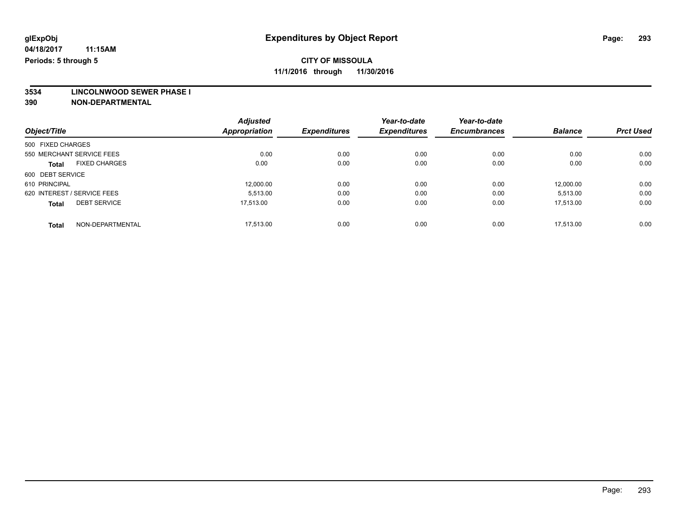**3534 LINCOLNWOOD SEWER PHASE I**

|                             |                           | <b>Adjusted</b> |                     | Year-to-date        | Year-to-date        |                |                  |
|-----------------------------|---------------------------|-----------------|---------------------|---------------------|---------------------|----------------|------------------|
| Object/Title                |                           | Appropriation   | <b>Expenditures</b> | <b>Expenditures</b> | <b>Encumbrances</b> | <b>Balance</b> | <b>Prct Used</b> |
| 500 FIXED CHARGES           |                           |                 |                     |                     |                     |                |                  |
|                             | 550 MERCHANT SERVICE FEES | 0.00            | 0.00                | 0.00                | 0.00                | 0.00           | 0.00             |
| <b>Total</b>                | <b>FIXED CHARGES</b>      | 0.00            | 0.00                | 0.00                | 0.00                | 0.00           | 0.00             |
| 600 DEBT SERVICE            |                           |                 |                     |                     |                     |                |                  |
| 610 PRINCIPAL               |                           | 12.000.00       | 0.00                | 0.00                | 0.00                | 12.000.00      | 0.00             |
| 620 INTEREST / SERVICE FEES |                           | 5.513.00        | 0.00                | 0.00                | 0.00                | 5,513.00       | 0.00             |
| <b>Total</b>                | <b>DEBT SERVICE</b>       | 17.513.00       | 0.00                | 0.00                | 0.00                | 17.513.00      | 0.00             |
| <b>Total</b>                | NON-DEPARTMENTAL          | 17.513.00       | 0.00                | 0.00                | 0.00                | 17.513.00      | 0.00             |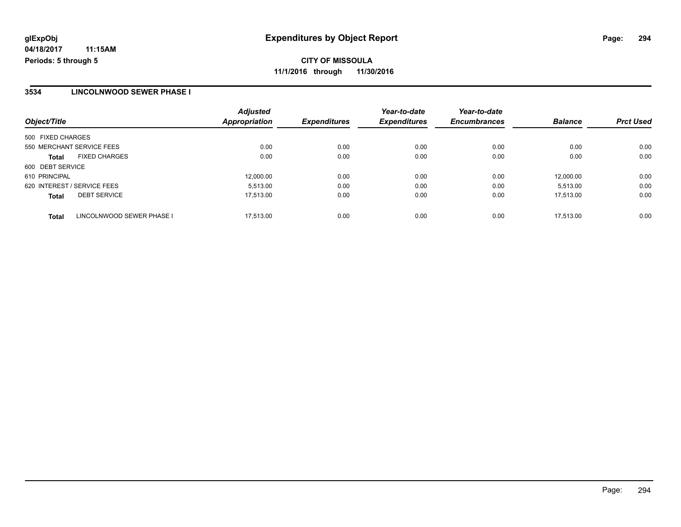# **CITY OF MISSOULA 11/1/2016 through 11/30/2016**

### **3534 LINCOLNWOOD SEWER PHASE I**

| Object/Title                              | <b>Adjusted</b><br><b>Appropriation</b> | <b>Expenditures</b> | Year-to-date<br><b>Expenditures</b> | Year-to-date<br><b>Encumbrances</b> | <b>Balance</b> | <b>Prct Used</b> |
|-------------------------------------------|-----------------------------------------|---------------------|-------------------------------------|-------------------------------------|----------------|------------------|
| 500 FIXED CHARGES                         |                                         |                     |                                     |                                     |                |                  |
| 550 MERCHANT SERVICE FEES                 | 0.00                                    | 0.00                | 0.00                                | 0.00                                | 0.00           | 0.00             |
| <b>FIXED CHARGES</b><br><b>Total</b>      | 0.00                                    | 0.00                | 0.00                                | 0.00                                | 0.00           | 0.00             |
| 600 DEBT SERVICE                          |                                         |                     |                                     |                                     |                |                  |
| 610 PRINCIPAL                             | 12,000.00                               | 0.00                | 0.00                                | 0.00                                | 12.000.00      | 0.00             |
| 620 INTEREST / SERVICE FEES               | 5.513.00                                | 0.00                | 0.00                                | 0.00                                | 5.513.00       | 0.00             |
| <b>DEBT SERVICE</b><br><b>Total</b>       | 17.513.00                               | 0.00                | 0.00                                | 0.00                                | 17.513.00      | 0.00             |
| LINCOLNWOOD SEWER PHASE I<br><b>Total</b> | 17.513.00                               | 0.00                | 0.00                                | 0.00                                | 17.513.00      | 0.00             |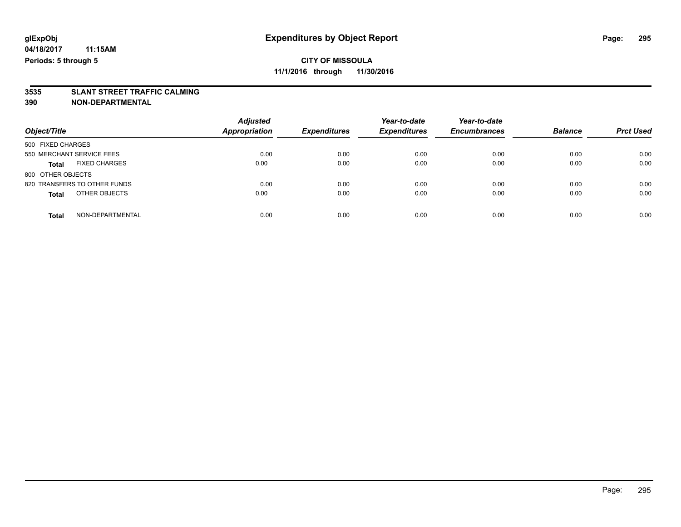# **3535 SLANT STREET TRAFFIC CALMING**

| Object/Title                         | <b>Adjusted</b><br><b>Appropriation</b> | <b>Expenditures</b> | Year-to-date<br><b>Expenditures</b> | Year-to-date<br><b>Encumbrances</b> | <b>Balance</b> | <b>Prct Used</b> |
|--------------------------------------|-----------------------------------------|---------------------|-------------------------------------|-------------------------------------|----------------|------------------|
| 500 FIXED CHARGES                    |                                         |                     |                                     |                                     |                |                  |
| 550 MERCHANT SERVICE FEES            | 0.00                                    | 0.00                | 0.00                                | 0.00                                | 0.00           | 0.00             |
| <b>FIXED CHARGES</b><br><b>Total</b> | 0.00                                    | 0.00                | 0.00                                | 0.00                                | 0.00           | 0.00             |
| 800 OTHER OBJECTS                    |                                         |                     |                                     |                                     |                |                  |
| 820 TRANSFERS TO OTHER FUNDS         | 0.00                                    | 0.00                | 0.00                                | 0.00                                | 0.00           | 0.00             |
| OTHER OBJECTS<br><b>Total</b>        | 0.00                                    | 0.00                | 0.00                                | 0.00                                | 0.00           | 0.00             |
| NON-DEPARTMENTAL<br>Total            | 0.00                                    | 0.00                | 0.00                                | 0.00                                | 0.00           | 0.00             |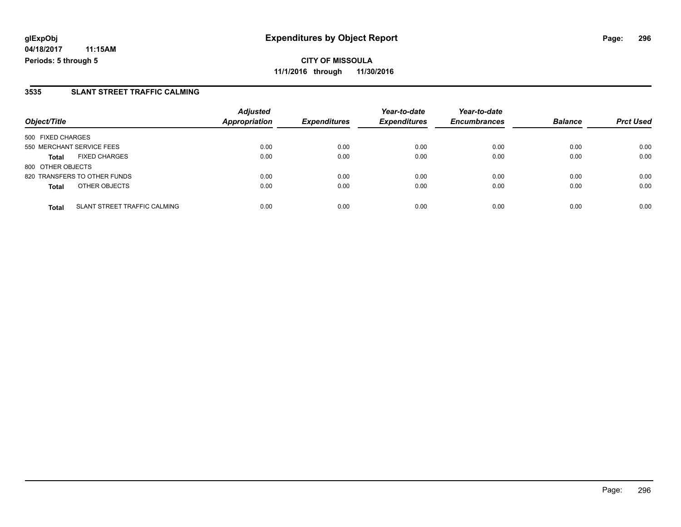### **3535 SLANT STREET TRAFFIC CALMING**

|                              |                                     | <b>Adjusted</b> |                     | Year-to-date        | Year-to-date        |                |                  |
|------------------------------|-------------------------------------|-----------------|---------------------|---------------------|---------------------|----------------|------------------|
| Object/Title                 |                                     | Appropriation   | <b>Expenditures</b> | <b>Expenditures</b> | <b>Encumbrances</b> | <b>Balance</b> | <b>Prct Used</b> |
| 500 FIXED CHARGES            |                                     |                 |                     |                     |                     |                |                  |
| 550 MERCHANT SERVICE FEES    |                                     | 0.00            | 0.00                | 0.00                | 0.00                | 0.00           | 0.00             |
| <b>Total</b>                 | <b>FIXED CHARGES</b>                | 0.00            | 0.00                | 0.00                | 0.00                | 0.00           | 0.00             |
| 800 OTHER OBJECTS            |                                     |                 |                     |                     |                     |                |                  |
| 820 TRANSFERS TO OTHER FUNDS |                                     | 0.00            | 0.00                | 0.00                | 0.00                | 0.00           | 0.00             |
| <b>Total</b>                 | OTHER OBJECTS                       | 0.00            | 0.00                | 0.00                | 0.00                | 0.00           | 0.00             |
| <b>Total</b>                 | <b>SLANT STREET TRAFFIC CALMING</b> | 0.00            | 0.00                | 0.00                | 0.00                | 0.00           | 0.00             |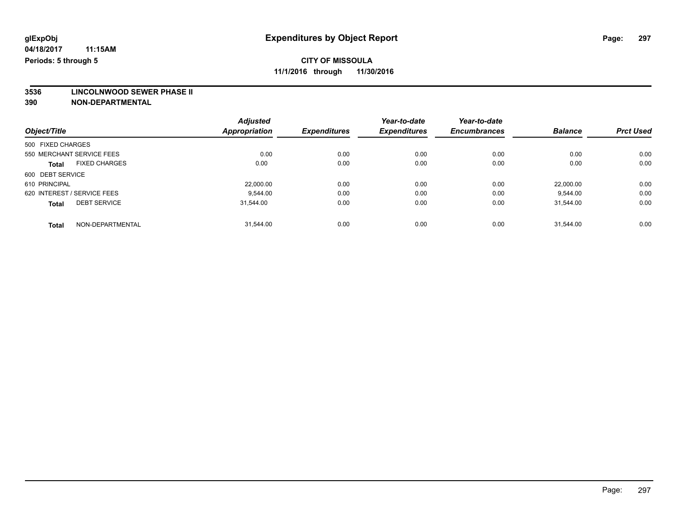**3536 LINCOLNWOOD SEWER PHASE II**

|                                      | <b>Adjusted</b>      |                     | Year-to-date        | Year-to-date        |                |                  |
|--------------------------------------|----------------------|---------------------|---------------------|---------------------|----------------|------------------|
| Object/Title                         | <b>Appropriation</b> | <b>Expenditures</b> | <b>Expenditures</b> | <b>Encumbrances</b> | <b>Balance</b> | <b>Prct Used</b> |
| 500 FIXED CHARGES                    |                      |                     |                     |                     |                |                  |
| 550 MERCHANT SERVICE FEES            | 0.00                 | 0.00                | 0.00                | 0.00                | 0.00           | 0.00             |
| <b>FIXED CHARGES</b><br><b>Total</b> | 0.00                 | 0.00                | 0.00                | 0.00                | 0.00           | 0.00             |
| 600 DEBT SERVICE                     |                      |                     |                     |                     |                |                  |
| 610 PRINCIPAL                        | 22,000.00            | 0.00                | 0.00                | 0.00                | 22.000.00      | 0.00             |
| 620 INTEREST / SERVICE FEES          | 9.544.00             | 0.00                | 0.00                | 0.00                | 9.544.00       | 0.00             |
| <b>DEBT SERVICE</b><br><b>Total</b>  | 31.544.00            | 0.00                | 0.00                | 0.00                | 31.544.00      | 0.00             |
| NON-DEPARTMENTAL<br><b>Total</b>     | 31.544.00            | 0.00                | 0.00                | 0.00                | 31.544.00      | 0.00             |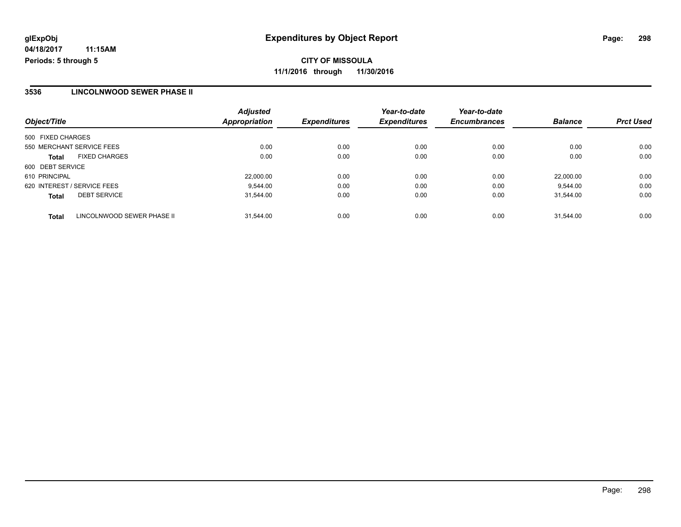# **CITY OF MISSOULA 11/1/2016 through 11/30/2016**

### **3536 LINCOLNWOOD SEWER PHASE II**

| Object/Title                               | <b>Adjusted</b><br>Appropriation | <b>Expenditures</b> | Year-to-date<br><b>Expenditures</b> | Year-to-date<br><b>Encumbrances</b> | <b>Balance</b> | <b>Prct Used</b> |
|--------------------------------------------|----------------------------------|---------------------|-------------------------------------|-------------------------------------|----------------|------------------|
| 500 FIXED CHARGES                          |                                  |                     |                                     |                                     |                |                  |
| 550 MERCHANT SERVICE FEES                  | 0.00                             | 0.00                | 0.00                                | 0.00                                | 0.00           | 0.00             |
| <b>FIXED CHARGES</b><br><b>Total</b>       | 0.00                             | 0.00                | 0.00                                | 0.00                                | 0.00           | 0.00             |
| 600 DEBT SERVICE                           |                                  |                     |                                     |                                     |                |                  |
| 610 PRINCIPAL                              | 22,000.00                        | 0.00                | 0.00                                | 0.00                                | 22,000.00      | 0.00             |
| 620 INTEREST / SERVICE FEES                | 9.544.00                         | 0.00                | 0.00                                | 0.00                                | 9.544.00       | 0.00             |
| <b>DEBT SERVICE</b><br><b>Total</b>        | 31.544.00                        | 0.00                | 0.00                                | 0.00                                | 31.544.00      | 0.00             |
| LINCOLNWOOD SEWER PHASE II<br><b>Total</b> | 31.544.00                        | 0.00                | 0.00                                | 0.00                                | 31.544.00      | 0.00             |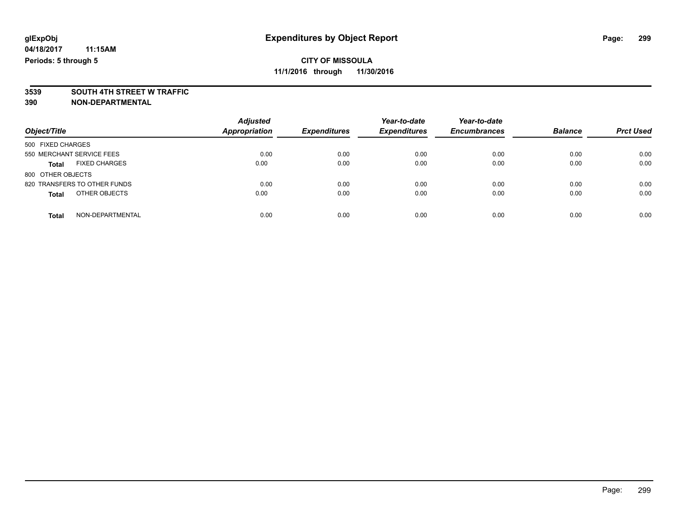# **3539 SOUTH 4TH STREET W TRAFFIC**

| Object/Title                         | <b>Adjusted</b><br><b>Appropriation</b> | <b>Expenditures</b> | Year-to-date<br><b>Expenditures</b> | Year-to-date<br><b>Encumbrances</b> | <b>Balance</b> | <b>Prct Used</b> |
|--------------------------------------|-----------------------------------------|---------------------|-------------------------------------|-------------------------------------|----------------|------------------|
| 500 FIXED CHARGES                    |                                         |                     |                                     |                                     |                |                  |
| 550 MERCHANT SERVICE FEES            | 0.00                                    | 0.00                | 0.00                                | 0.00                                | 0.00           | 0.00             |
| <b>FIXED CHARGES</b><br><b>Total</b> | 0.00                                    | 0.00                | 0.00                                | 0.00                                | 0.00           | 0.00             |
| 800 OTHER OBJECTS                    |                                         |                     |                                     |                                     |                |                  |
| 820 TRANSFERS TO OTHER FUNDS         | 0.00                                    | 0.00                | 0.00                                | 0.00                                | 0.00           | 0.00             |
| OTHER OBJECTS<br><b>Total</b>        | 0.00                                    | 0.00                | 0.00                                | 0.00                                | 0.00           | 0.00             |
|                                      |                                         |                     |                                     |                                     |                |                  |
| NON-DEPARTMENTAL<br>Total            | 0.00                                    | 0.00                | 0.00                                | 0.00                                | 0.00           | 0.00             |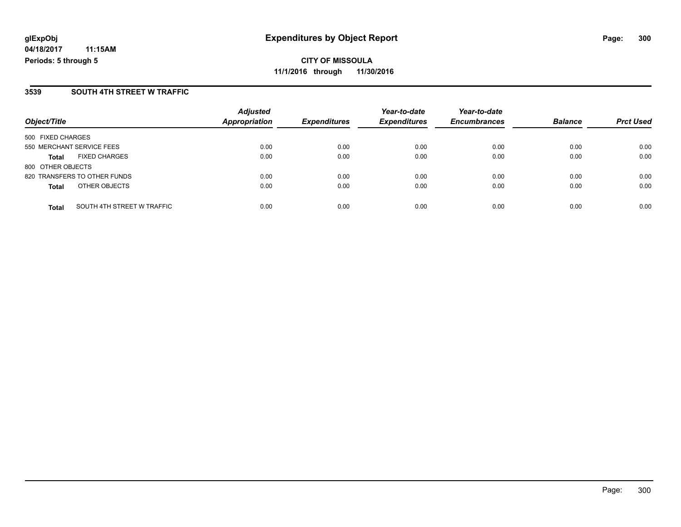### **3539 SOUTH 4TH STREET W TRAFFIC**

| Object/Title                 |                            | <b>Adjusted</b><br><b>Appropriation</b> | <b>Expenditures</b> | Year-to-date<br><b>Expenditures</b> | Year-to-date<br><b>Encumbrances</b> | <b>Balance</b> | <b>Prct Used</b> |
|------------------------------|----------------------------|-----------------------------------------|---------------------|-------------------------------------|-------------------------------------|----------------|------------------|
|                              |                            |                                         |                     |                                     |                                     |                |                  |
| 500 FIXED CHARGES            |                            |                                         |                     |                                     |                                     |                |                  |
| 550 MERCHANT SERVICE FEES    |                            | 0.00                                    | 0.00                | 0.00                                | 0.00                                | 0.00           | 0.00             |
| <b>Total</b>                 | <b>FIXED CHARGES</b>       | 0.00                                    | 0.00                | 0.00                                | 0.00                                | 0.00           | 0.00             |
| 800 OTHER OBJECTS            |                            |                                         |                     |                                     |                                     |                |                  |
| 820 TRANSFERS TO OTHER FUNDS |                            | 0.00                                    | 0.00                | 0.00                                | 0.00                                | 0.00           | 0.00             |
| <b>Total</b>                 | OTHER OBJECTS              | 0.00                                    | 0.00                | 0.00                                | 0.00                                | 0.00           | 0.00             |
| <b>Total</b>                 | SOUTH 4TH STREET W TRAFFIC | 0.00                                    | 0.00                | 0.00                                | 0.00                                | 0.00           | 0.00             |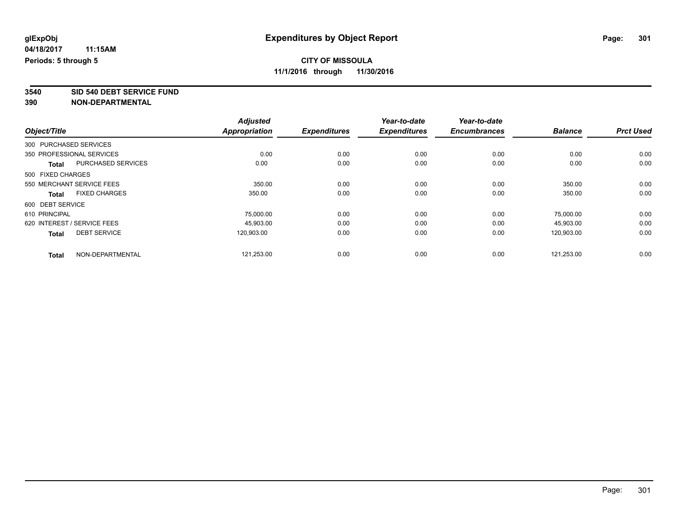**3540 SID 540 DEBT SERVICE FUND**

|                                      | <b>Adjusted</b><br><b>Appropriation</b> | <b>Expenditures</b> | Year-to-date<br><b>Expenditures</b> | Year-to-date<br><b>Encumbrances</b> | <b>Balance</b> | <b>Prct Used</b> |
|--------------------------------------|-----------------------------------------|---------------------|-------------------------------------|-------------------------------------|----------------|------------------|
| Object/Title                         |                                         |                     |                                     |                                     |                |                  |
| 300 PURCHASED SERVICES               |                                         |                     |                                     |                                     |                |                  |
| 350 PROFESSIONAL SERVICES            | 0.00                                    | 0.00                | 0.00                                | 0.00                                | 0.00           | 0.00             |
| PURCHASED SERVICES<br><b>Total</b>   | 0.00                                    | 0.00                | 0.00                                | 0.00                                | 0.00           | 0.00             |
| 500 FIXED CHARGES                    |                                         |                     |                                     |                                     |                |                  |
| 550 MERCHANT SERVICE FEES            | 350.00                                  | 0.00                | 0.00                                | 0.00                                | 350.00         | 0.00             |
| <b>FIXED CHARGES</b><br><b>Total</b> | 350.00                                  | 0.00                | 0.00                                | 0.00                                | 350.00         | 0.00             |
| 600 DEBT SERVICE                     |                                         |                     |                                     |                                     |                |                  |
| 610 PRINCIPAL                        | 75,000.00                               | 0.00                | 0.00                                | 0.00                                | 75.000.00      | 0.00             |
| 620 INTEREST / SERVICE FEES          | 45,903.00                               | 0.00                | 0.00                                | 0.00                                | 45,903.00      | 0.00             |
| <b>DEBT SERVICE</b><br><b>Total</b>  | 120.903.00                              | 0.00                | 0.00                                | 0.00                                | 120,903.00     | 0.00             |
|                                      |                                         |                     |                                     |                                     |                |                  |
| NON-DEPARTMENTAL<br><b>Total</b>     | 121,253.00                              | 0.00                | 0.00                                | 0.00                                | 121.253.00     | 0.00             |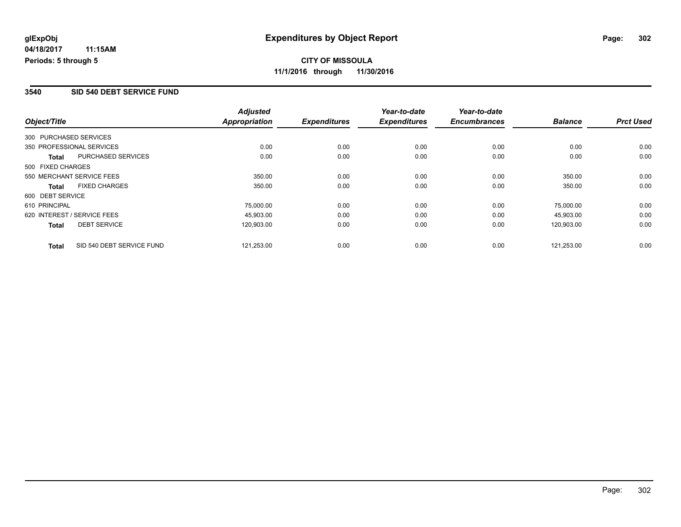#### **3540 SID 540 DEBT SERVICE FUND**

|                                     |                           | <b>Adjusted</b>      |                     | Year-to-date        | Year-to-date        |                |                  |
|-------------------------------------|---------------------------|----------------------|---------------------|---------------------|---------------------|----------------|------------------|
| Object/Title                        |                           | <b>Appropriation</b> | <b>Expenditures</b> | <b>Expenditures</b> | <b>Encumbrances</b> | <b>Balance</b> | <b>Prct Used</b> |
| 300 PURCHASED SERVICES              |                           |                      |                     |                     |                     |                |                  |
| 350 PROFESSIONAL SERVICES           |                           | 0.00                 | 0.00                | 0.00                | 0.00                | 0.00           | 0.00             |
| Total                               | <b>PURCHASED SERVICES</b> | 0.00                 | 0.00                | 0.00                | 0.00                | 0.00           | 0.00             |
| 500 FIXED CHARGES                   |                           |                      |                     |                     |                     |                |                  |
| 550 MERCHANT SERVICE FEES           |                           | 350.00               | 0.00                | 0.00                | 0.00                | 350.00         | 0.00             |
| Total                               | <b>FIXED CHARGES</b>      | 350.00               | 0.00                | 0.00                | 0.00                | 350.00         | 0.00             |
| 600 DEBT SERVICE                    |                           |                      |                     |                     |                     |                |                  |
| 610 PRINCIPAL                       |                           | 75,000.00            | 0.00                | 0.00                | 0.00                | 75.000.00      | 0.00             |
| 620 INTEREST / SERVICE FEES         |                           | 45.903.00            | 0.00                | 0.00                | 0.00                | 45.903.00      | 0.00             |
| <b>DEBT SERVICE</b><br><b>Total</b> |                           | 120,903.00           | 0.00                | 0.00                | 0.00                | 120,903.00     | 0.00             |
| <b>Total</b>                        | SID 540 DEBT SERVICE FUND | 121,253.00           | 0.00                | 0.00                | 0.00                | 121.253.00     | 0.00             |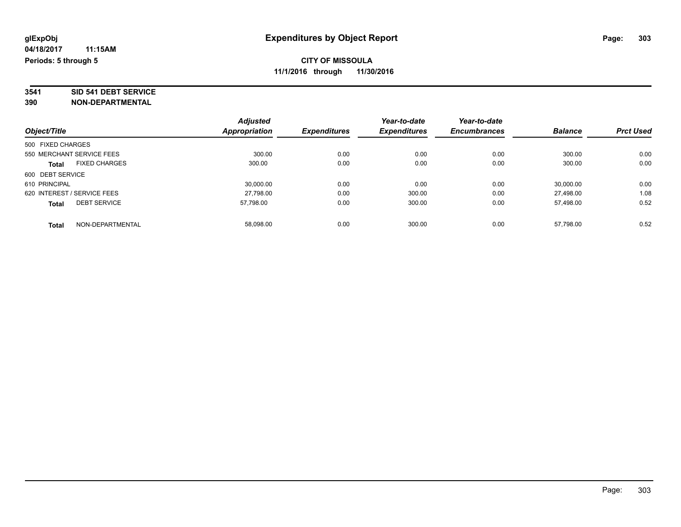# **3541 SID 541 DEBT SERVICE**

| Object/Title                |                      | <b>Adjusted</b> | <b>Expenditures</b> | Year-to-date<br><b>Expenditures</b> | Year-to-date        | <b>Balance</b> | <b>Prct Used</b> |
|-----------------------------|----------------------|-----------------|---------------------|-------------------------------------|---------------------|----------------|------------------|
|                             |                      | Appropriation   |                     |                                     | <b>Encumbrances</b> |                |                  |
| 500 FIXED CHARGES           |                      |                 |                     |                                     |                     |                |                  |
| 550 MERCHANT SERVICE FEES   |                      | 300.00          | 0.00                | 0.00                                | 0.00                | 300.00         | 0.00             |
| <b>Total</b>                | <b>FIXED CHARGES</b> | 300.00          | 0.00                | 0.00                                | 0.00                | 300.00         | 0.00             |
| 600 DEBT SERVICE            |                      |                 |                     |                                     |                     |                |                  |
| 610 PRINCIPAL               |                      | 30.000.00       | 0.00                | 0.00                                | 0.00                | 30,000.00      | 0.00             |
| 620 INTEREST / SERVICE FEES |                      | 27,798.00       | 0.00                | 300.00                              | 0.00                | 27.498.00      | 1.08             |
| <b>Total</b>                | <b>DEBT SERVICE</b>  | 57.798.00       | 0.00                | 300.00                              | 0.00                | 57,498.00      | 0.52             |
| <b>Total</b>                | NON-DEPARTMENTAL     | 58.098.00       | 0.00                | 300.00                              | 0.00                | 57.798.00      | 0.52             |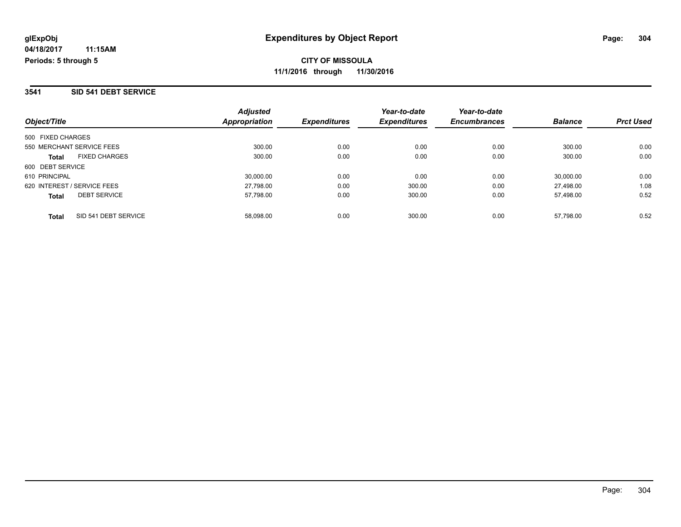#### **3541 SID 541 DEBT SERVICE**

| Object/Title                         | <b>Adjusted</b><br><b>Appropriation</b> | <b>Expenditures</b> | Year-to-date<br><b>Expenditures</b> | Year-to-date<br><b>Encumbrances</b> | <b>Balance</b> | <b>Prct Used</b> |
|--------------------------------------|-----------------------------------------|---------------------|-------------------------------------|-------------------------------------|----------------|------------------|
|                                      |                                         |                     |                                     |                                     |                |                  |
| 500 FIXED CHARGES                    |                                         |                     |                                     |                                     |                |                  |
| 550 MERCHANT SERVICE FEES            | 300.00                                  | 0.00                | 0.00                                | 0.00                                | 300.00         | 0.00             |
| <b>FIXED CHARGES</b><br><b>Total</b> | 300.00                                  | 0.00                | 0.00                                | 0.00                                | 300.00         | 0.00             |
| 600 DEBT SERVICE                     |                                         |                     |                                     |                                     |                |                  |
| 610 PRINCIPAL                        | 30,000.00                               | 0.00                | 0.00                                | 0.00                                | 30.000.00      | 0.00             |
| 620 INTEREST / SERVICE FEES          | 27,798.00                               | 0.00                | 300.00                              | 0.00                                | 27.498.00      | 1.08             |
| <b>DEBT SERVICE</b><br><b>Total</b>  | 57,798.00                               | 0.00                | 300.00                              | 0.00                                | 57.498.00      | 0.52             |
| SID 541 DEBT SERVICE<br><b>Total</b> | 58.098.00                               | 0.00                | 300.00                              | 0.00                                | 57.798.00      | 0.52             |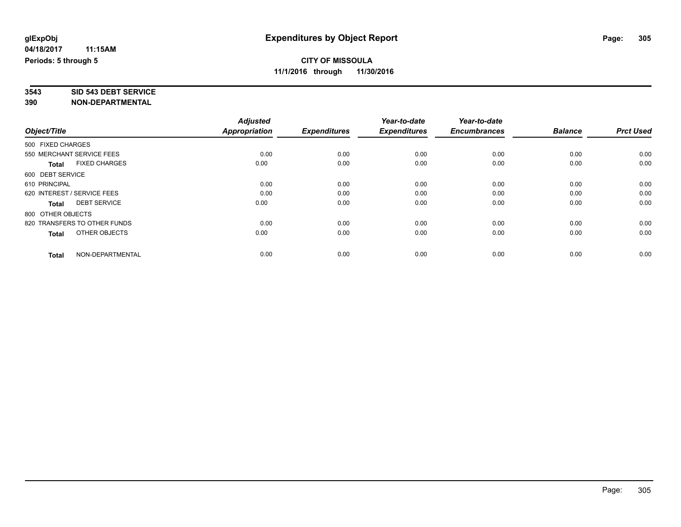# **3543 SID 543 DEBT SERVICE**

|                                      | <b>Adjusted</b> |                     | Year-to-date<br><b>Expenditures</b> | Year-to-date<br><b>Encumbrances</b> | <b>Balance</b> | <b>Prct Used</b> |
|--------------------------------------|-----------------|---------------------|-------------------------------------|-------------------------------------|----------------|------------------|
| Object/Title                         | Appropriation   | <b>Expenditures</b> |                                     |                                     |                |                  |
| 500 FIXED CHARGES                    |                 |                     |                                     |                                     |                |                  |
| 550 MERCHANT SERVICE FEES            | 0.00            | 0.00                | 0.00                                | 0.00                                | 0.00           | 0.00             |
| <b>FIXED CHARGES</b><br><b>Total</b> | 0.00            | 0.00                | 0.00                                | 0.00                                | 0.00           | 0.00             |
| 600 DEBT SERVICE                     |                 |                     |                                     |                                     |                |                  |
| 610 PRINCIPAL                        | 0.00            | 0.00                | 0.00                                | 0.00                                | 0.00           | 0.00             |
| 620 INTEREST / SERVICE FEES          | 0.00            | 0.00                | 0.00                                | 0.00                                | 0.00           | 0.00             |
| <b>DEBT SERVICE</b><br><b>Total</b>  | 0.00            | 0.00                | 0.00                                | 0.00                                | 0.00           | 0.00             |
| 800 OTHER OBJECTS                    |                 |                     |                                     |                                     |                |                  |
| 820 TRANSFERS TO OTHER FUNDS         | 0.00            | 0.00                | 0.00                                | 0.00                                | 0.00           | 0.00             |
| OTHER OBJECTS<br><b>Total</b>        | 0.00            | 0.00                | 0.00                                | 0.00                                | 0.00           | 0.00             |
|                                      |                 |                     |                                     |                                     |                |                  |
| NON-DEPARTMENTAL<br><b>Total</b>     | 0.00            | 0.00                | 0.00                                | 0.00                                | 0.00           | 0.00             |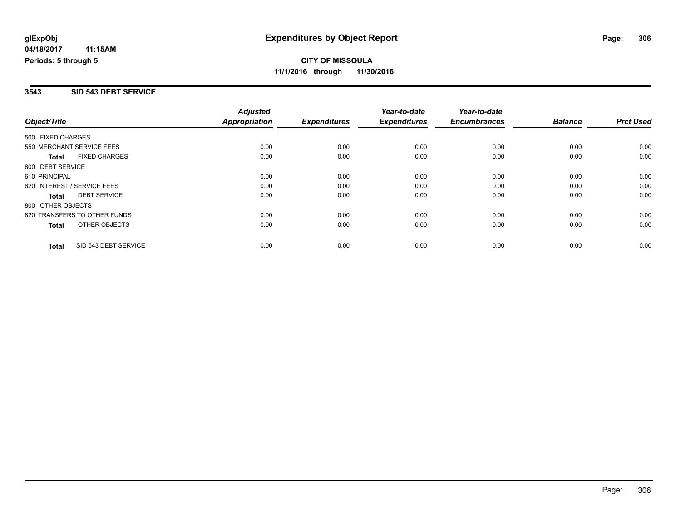### **3543 SID 543 DEBT SERVICE**

| Object/Title                 |                      | <b>Adjusted</b>      |                     | Year-to-date        | Year-to-date<br><b>Encumbrances</b> | <b>Balance</b> | <b>Prct Used</b> |
|------------------------------|----------------------|----------------------|---------------------|---------------------|-------------------------------------|----------------|------------------|
|                              |                      | <b>Appropriation</b> | <b>Expenditures</b> | <b>Expenditures</b> |                                     |                |                  |
| 500 FIXED CHARGES            |                      |                      |                     |                     |                                     |                |                  |
| 550 MERCHANT SERVICE FEES    |                      | 0.00                 | 0.00                | 0.00                | 0.00                                | 0.00           | 0.00             |
| <b>Total</b>                 | <b>FIXED CHARGES</b> | 0.00                 | 0.00                | 0.00                | 0.00                                | 0.00           | 0.00             |
| 600 DEBT SERVICE             |                      |                      |                     |                     |                                     |                |                  |
| 610 PRINCIPAL                |                      | 0.00                 | 0.00                | 0.00                | 0.00                                | 0.00           | 0.00             |
| 620 INTEREST / SERVICE FEES  |                      | 0.00                 | 0.00                | 0.00                | 0.00                                | 0.00           | 0.00             |
| Total                        | <b>DEBT SERVICE</b>  | 0.00                 | 0.00                | 0.00                | 0.00                                | 0.00           | 0.00             |
| 800 OTHER OBJECTS            |                      |                      |                     |                     |                                     |                |                  |
| 820 TRANSFERS TO OTHER FUNDS |                      | 0.00                 | 0.00                | 0.00                | 0.00                                | 0.00           | 0.00             |
| Total                        | OTHER OBJECTS        | 0.00                 | 0.00                | 0.00                | 0.00                                | 0.00           | 0.00             |
| <b>Total</b>                 | SID 543 DEBT SERVICE | 0.00                 | 0.00                | 0.00                | 0.00                                | 0.00           | 0.00             |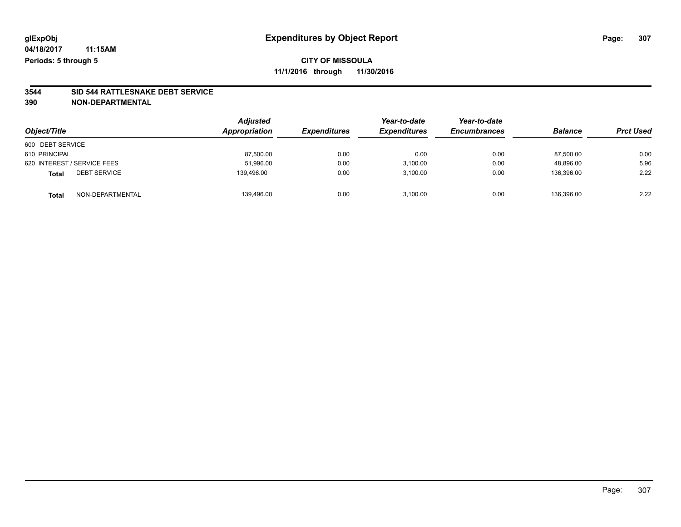## **CITY OF MISSOULA 11/1/2016 through 11/30/2016**

# **3544 SID 544 RATTLESNAKE DEBT SERVICE**

|                              | <b>Adjusted</b><br>Appropriation | <b>Expenditures</b> | Year-to-date        | Year-to-date        | <b>Balance</b> |                  |
|------------------------------|----------------------------------|---------------------|---------------------|---------------------|----------------|------------------|
| Object/Title                 |                                  |                     | <b>Expenditures</b> | <b>Encumbrances</b> |                | <b>Prct Used</b> |
| 600 DEBT SERVICE             |                                  |                     |                     |                     |                |                  |
| 610 PRINCIPAL                | 87,500.00                        | 0.00                | 0.00                | 0.00                | 87,500.00      | 0.00             |
| 620 INTEREST / SERVICE FEES  | 51,996.00                        | 0.00                | 3,100.00            | 0.00                | 48.896.00      | 5.96             |
| <b>DEBT SERVICE</b><br>Total | 139.496.00                       | 0.00                | 3.100.00            | 0.00                | 136.396.00     | 2.22             |
| NON-DEPARTMENTAL<br>Total    | 139,496.00                       | 0.00                | 3,100.00            | 0.00                | 136,396.00     | 2.22             |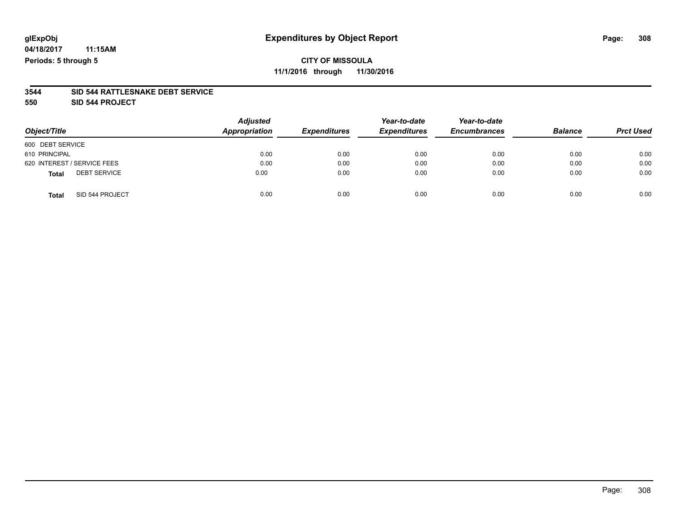#### **3544 SID 544 RATTLESNAKE DEBT SERVICE**

**550 SID 544 PROJECT**

| Object/Title                        | <b>Adjusted</b><br>Appropriation | <b>Expenditures</b> | Year-to-date<br><b>Expenditures</b> | Year-to-date<br><b>Encumbrances</b> | <b>Balance</b> | <b>Prct Used</b> |
|-------------------------------------|----------------------------------|---------------------|-------------------------------------|-------------------------------------|----------------|------------------|
| 600 DEBT SERVICE                    |                                  |                     |                                     |                                     |                |                  |
| 610 PRINCIPAL                       | 0.00                             | 0.00                | 0.00                                | 0.00                                | 0.00           | 0.00             |
| 620 INTEREST / SERVICE FEES         | 0.00                             | 0.00                | 0.00                                | 0.00                                | 0.00           | 0.00             |
| <b>DEBT SERVICE</b><br><b>Total</b> | 0.00                             | 0.00                | 0.00                                | 0.00                                | 0.00           | 0.00             |
| SID 544 PROJECT<br><b>Total</b>     | 0.00                             | 0.00                | 0.00                                | 0.00                                | 0.00           | 0.00             |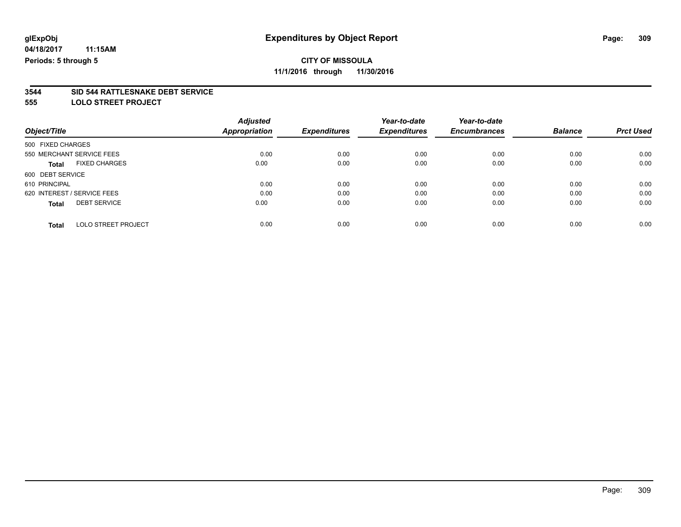### **3544 SID 544 RATTLESNAKE DEBT SERVICE**

**555 LOLO STREET PROJECT**

|                             |                            | <b>Adjusted</b> |                     | Year-to-date        | Year-to-date        |                |                  |
|-----------------------------|----------------------------|-----------------|---------------------|---------------------|---------------------|----------------|------------------|
| Object/Title                |                            | Appropriation   | <b>Expenditures</b> | <b>Expenditures</b> | <b>Encumbrances</b> | <b>Balance</b> | <b>Prct Used</b> |
| 500 FIXED CHARGES           |                            |                 |                     |                     |                     |                |                  |
| 550 MERCHANT SERVICE FEES   |                            | 0.00            | 0.00                | 0.00                | 0.00                | 0.00           | 0.00             |
| <b>Total</b>                | <b>FIXED CHARGES</b>       | 0.00            | 0.00                | 0.00                | 0.00                | 0.00           | 0.00             |
| 600 DEBT SERVICE            |                            |                 |                     |                     |                     |                |                  |
| 610 PRINCIPAL               |                            | 0.00            | 0.00                | 0.00                | 0.00                | 0.00           | 0.00             |
| 620 INTEREST / SERVICE FEES |                            | 0.00            | 0.00                | 0.00                | 0.00                | 0.00           | 0.00             |
| <b>Total</b>                | <b>DEBT SERVICE</b>        | 0.00            | 0.00                | 0.00                | 0.00                | 0.00           | 0.00             |
| <b>Total</b>                | <b>LOLO STREET PROJECT</b> | 0.00            | 0.00                | 0.00                | 0.00                | 0.00           | 0.00             |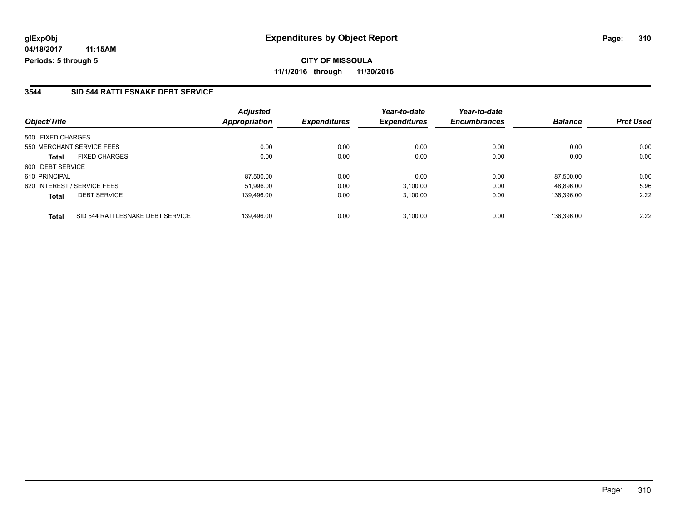**CITY OF MISSOULA 11/1/2016 through 11/30/2016**

### **3544 SID 544 RATTLESNAKE DEBT SERVICE**

| Object/Title                                     | <b>Adjusted</b><br>Appropriation | <b>Expenditures</b> | Year-to-date<br><b>Expenditures</b> | Year-to-date<br><b>Encumbrances</b> | <b>Balance</b> | <b>Prct Used</b> |
|--------------------------------------------------|----------------------------------|---------------------|-------------------------------------|-------------------------------------|----------------|------------------|
| 500 FIXED CHARGES                                |                                  |                     |                                     |                                     |                |                  |
| 550 MERCHANT SERVICE FEES                        | 0.00                             | 0.00                | 0.00                                | 0.00                                | 0.00           | 0.00             |
| <b>FIXED CHARGES</b><br><b>Total</b>             | 0.00                             | 0.00                | 0.00                                | 0.00                                | 0.00           | 0.00             |
| 600 DEBT SERVICE                                 |                                  |                     |                                     |                                     |                |                  |
| 610 PRINCIPAL                                    | 87,500.00                        | 0.00                | 0.00                                | 0.00                                | 87.500.00      | 0.00             |
| 620 INTEREST / SERVICE FEES                      | 51.996.00                        | 0.00                | 3.100.00                            | 0.00                                | 48.896.00      | 5.96             |
| <b>DEBT SERVICE</b><br><b>Total</b>              | 139,496.00                       | 0.00                | 3,100.00                            | 0.00                                | 136,396.00     | 2.22             |
| SID 544 RATTLESNAKE DEBT SERVICE<br><b>Total</b> | 139.496.00                       | 0.00                | 3,100.00                            | 0.00                                | 136.396.00     | 2.22             |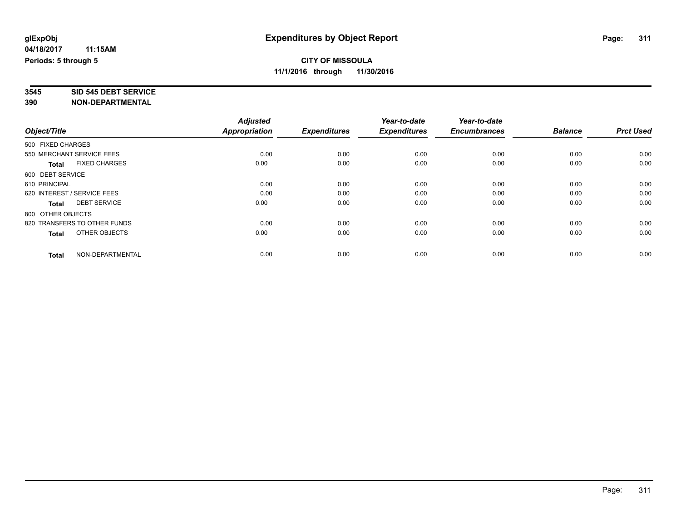# **3545 SID 545 DEBT SERVICE**

|                                      | <b>Adjusted</b> | <b>Expenditures</b> | Year-to-date<br><b>Expenditures</b> | Year-to-date<br><b>Encumbrances</b> | <b>Balance</b> | <b>Prct Used</b> |
|--------------------------------------|-----------------|---------------------|-------------------------------------|-------------------------------------|----------------|------------------|
| Object/Title                         | Appropriation   |                     |                                     |                                     |                |                  |
| 500 FIXED CHARGES                    |                 |                     |                                     |                                     |                |                  |
| 550 MERCHANT SERVICE FEES            | 0.00            | 0.00                | 0.00                                | 0.00                                | 0.00           | 0.00             |
| <b>FIXED CHARGES</b><br><b>Total</b> | 0.00            | 0.00                | 0.00                                | 0.00                                | 0.00           | 0.00             |
| 600 DEBT SERVICE                     |                 |                     |                                     |                                     |                |                  |
| 610 PRINCIPAL                        | 0.00            | 0.00                | 0.00                                | 0.00                                | 0.00           | 0.00             |
| 620 INTEREST / SERVICE FEES          | 0.00            | 0.00                | 0.00                                | 0.00                                | 0.00           | 0.00             |
| <b>DEBT SERVICE</b><br><b>Total</b>  | 0.00            | 0.00                | 0.00                                | 0.00                                | 0.00           | 0.00             |
| 800 OTHER OBJECTS                    |                 |                     |                                     |                                     |                |                  |
| 820 TRANSFERS TO OTHER FUNDS         | 0.00            | 0.00                | 0.00                                | 0.00                                | 0.00           | 0.00             |
| OTHER OBJECTS<br><b>Total</b>        | 0.00            | 0.00                | 0.00                                | 0.00                                | 0.00           | 0.00             |
|                                      |                 |                     |                                     |                                     |                |                  |
| NON-DEPARTMENTAL<br><b>Total</b>     | 0.00            | 0.00                | 0.00                                | 0.00                                | 0.00           | 0.00             |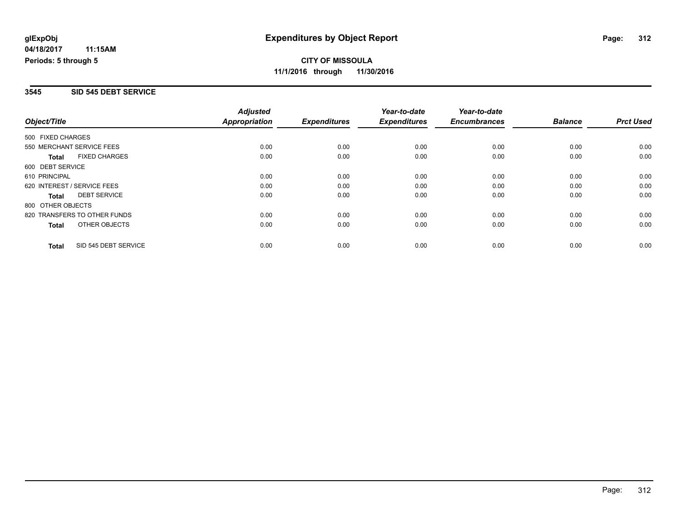### **3545 SID 545 DEBT SERVICE**

| Object/Title                 |                      | <b>Adjusted</b>      |                     | Year-to-date<br><b>Expenditures</b> | Year-to-date<br><b>Encumbrances</b> | <b>Balance</b> | <b>Prct Used</b> |
|------------------------------|----------------------|----------------------|---------------------|-------------------------------------|-------------------------------------|----------------|------------------|
|                              |                      | <b>Appropriation</b> | <b>Expenditures</b> |                                     |                                     |                |                  |
| 500 FIXED CHARGES            |                      |                      |                     |                                     |                                     |                |                  |
| 550 MERCHANT SERVICE FEES    |                      | 0.00                 | 0.00                | 0.00                                | 0.00                                | 0.00           | 0.00             |
| <b>Total</b>                 | <b>FIXED CHARGES</b> | 0.00                 | 0.00                | 0.00                                | 0.00                                | 0.00           | 0.00             |
| 600 DEBT SERVICE             |                      |                      |                     |                                     |                                     |                |                  |
| 610 PRINCIPAL                |                      | 0.00                 | 0.00                | 0.00                                | 0.00                                | 0.00           | 0.00             |
| 620 INTEREST / SERVICE FEES  |                      | 0.00                 | 0.00                | 0.00                                | 0.00                                | 0.00           | 0.00             |
| Total                        | <b>DEBT SERVICE</b>  | 0.00                 | 0.00                | 0.00                                | 0.00                                | 0.00           | 0.00             |
| 800 OTHER OBJECTS            |                      |                      |                     |                                     |                                     |                |                  |
| 820 TRANSFERS TO OTHER FUNDS |                      | 0.00                 | 0.00                | 0.00                                | 0.00                                | 0.00           | 0.00             |
| Total                        | OTHER OBJECTS        | 0.00                 | 0.00                | 0.00                                | 0.00                                | 0.00           | 0.00             |
| <b>Total</b>                 | SID 545 DEBT SERVICE | 0.00                 | 0.00                | 0.00                                | 0.00                                | 0.00           | 0.00             |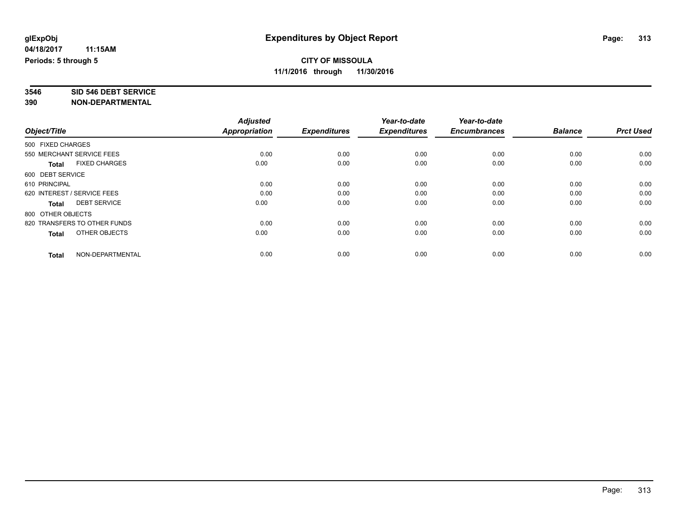# **3546 SID 546 DEBT SERVICE**

|                                      | <b>Adjusted</b> |                     | Year-to-date        | Year-to-date        |                |                  |
|--------------------------------------|-----------------|---------------------|---------------------|---------------------|----------------|------------------|
| Object/Title                         | Appropriation   | <b>Expenditures</b> | <b>Expenditures</b> | <b>Encumbrances</b> | <b>Balance</b> | <b>Prct Used</b> |
| 500 FIXED CHARGES                    |                 |                     |                     |                     |                |                  |
| 550 MERCHANT SERVICE FEES            | 0.00            | 0.00                | 0.00                | 0.00                | 0.00           | 0.00             |
| <b>FIXED CHARGES</b><br><b>Total</b> | 0.00            | 0.00                | 0.00                | 0.00                | 0.00           | 0.00             |
| 600 DEBT SERVICE                     |                 |                     |                     |                     |                |                  |
| 610 PRINCIPAL                        | 0.00            | 0.00                | 0.00                | 0.00                | 0.00           | 0.00             |
| 620 INTEREST / SERVICE FEES          | 0.00            | 0.00                | 0.00                | 0.00                | 0.00           | 0.00             |
| <b>DEBT SERVICE</b><br><b>Total</b>  | 0.00            | 0.00                | 0.00                | 0.00                | 0.00           | 0.00             |
| 800 OTHER OBJECTS                    |                 |                     |                     |                     |                |                  |
| 820 TRANSFERS TO OTHER FUNDS         | 0.00            | 0.00                | 0.00                | 0.00                | 0.00           | 0.00             |
| OTHER OBJECTS<br><b>Total</b>        | 0.00            | 0.00                | 0.00                | 0.00                | 0.00           | 0.00             |
|                                      |                 |                     |                     |                     |                |                  |
| NON-DEPARTMENTAL<br><b>Total</b>     | 0.00            | 0.00                | 0.00                | 0.00                | 0.00           | 0.00             |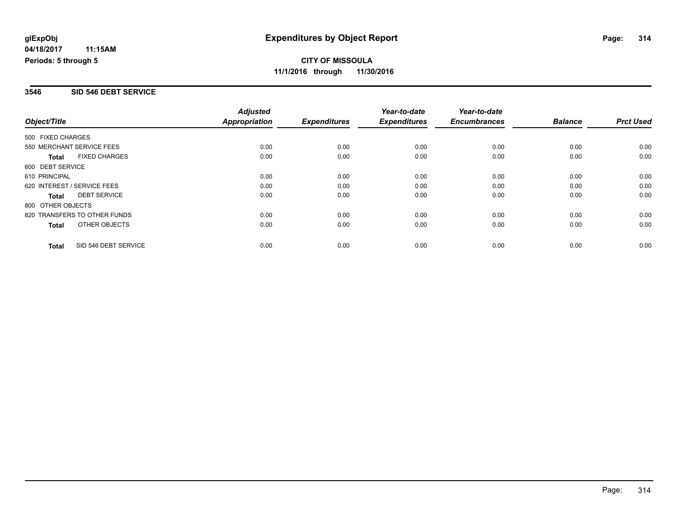### **3546 SID 546 DEBT SERVICE**

|                              |                      | <b>Adjusted</b>      |                     | Year-to-date        | Year-to-date        |                |                  |
|------------------------------|----------------------|----------------------|---------------------|---------------------|---------------------|----------------|------------------|
| Object/Title                 |                      | <b>Appropriation</b> | <b>Expenditures</b> | <b>Expenditures</b> | <b>Encumbrances</b> | <b>Balance</b> | <b>Prct Used</b> |
| 500 FIXED CHARGES            |                      |                      |                     |                     |                     |                |                  |
| 550 MERCHANT SERVICE FEES    |                      | 0.00                 | 0.00                | 0.00                | 0.00                | 0.00           | 0.00             |
| <b>Total</b>                 | <b>FIXED CHARGES</b> | 0.00                 | 0.00                | 0.00                | 0.00                | 0.00           | 0.00             |
| 600 DEBT SERVICE             |                      |                      |                     |                     |                     |                |                  |
| 610 PRINCIPAL                |                      | 0.00                 | 0.00                | 0.00                | 0.00                | 0.00           | 0.00             |
| 620 INTEREST / SERVICE FEES  |                      | 0.00                 | 0.00                | 0.00                | 0.00                | 0.00           | 0.00             |
| Total                        | <b>DEBT SERVICE</b>  | 0.00                 | 0.00                | 0.00                | 0.00                | 0.00           | 0.00             |
| 800 OTHER OBJECTS            |                      |                      |                     |                     |                     |                |                  |
| 820 TRANSFERS TO OTHER FUNDS |                      | 0.00                 | 0.00                | 0.00                | 0.00                | 0.00           | 0.00             |
| Total                        | OTHER OBJECTS        | 0.00                 | 0.00                | 0.00                | 0.00                | 0.00           | 0.00             |
| <b>Total</b>                 | SID 546 DEBT SERVICE | 0.00                 | 0.00                | 0.00                | 0.00                | 0.00           | 0.00             |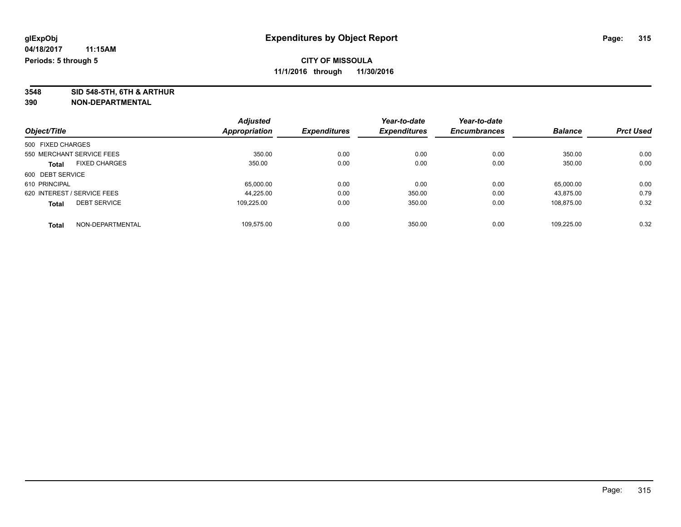**3548 SID 548-5TH, 6TH & ARTHUR**

|                                      | <b>Adjusted</b> |                     | Year-to-date        | Year-to-date        |                |                  |
|--------------------------------------|-----------------|---------------------|---------------------|---------------------|----------------|------------------|
| Object/Title                         | Appropriation   | <b>Expenditures</b> | <b>Expenditures</b> | <b>Encumbrances</b> | <b>Balance</b> | <b>Prct Used</b> |
| 500 FIXED CHARGES                    |                 |                     |                     |                     |                |                  |
| 550 MERCHANT SERVICE FEES            | 350.00          | 0.00                | 0.00                | 0.00                | 350.00         | 0.00             |
| <b>FIXED CHARGES</b><br><b>Total</b> | 350.00          | 0.00                | 0.00                | 0.00                | 350.00         | 0.00             |
| 600 DEBT SERVICE                     |                 |                     |                     |                     |                |                  |
| 610 PRINCIPAL                        | 65,000.00       | 0.00                | 0.00                | 0.00                | 65,000.00      | 0.00             |
| 620 INTEREST / SERVICE FEES          | 44.225.00       | 0.00                | 350.00              | 0.00                | 43.875.00      | 0.79             |
| <b>DEBT SERVICE</b><br><b>Total</b>  | 109.225.00      | 0.00                | 350.00              | 0.00                | 108,875.00     | 0.32             |
| NON-DEPARTMENTAL<br><b>Total</b>     | 109.575.00      | 0.00                | 350.00              | 0.00                | 109.225.00     | 0.32             |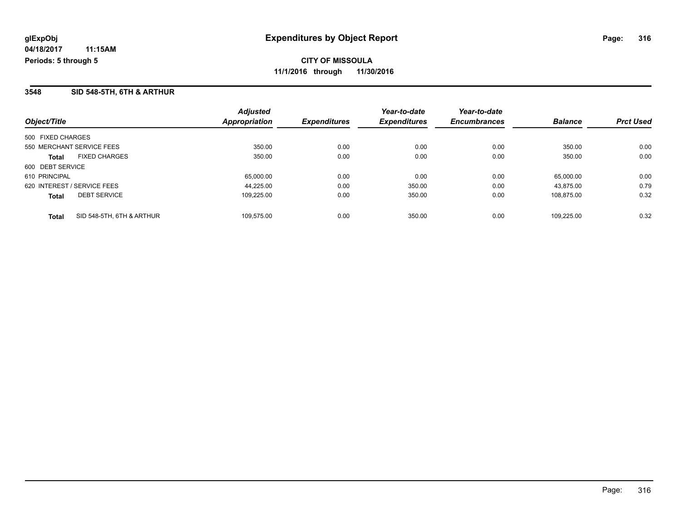#### **3548 SID 548-5TH, 6TH & ARTHUR**

| Object/Title                |                           | <b>Adjusted</b><br><b>Appropriation</b> | <b>Expenditures</b> | Year-to-date<br><b>Expenditures</b> | Year-to-date<br><b>Encumbrances</b> | <b>Balance</b> | <b>Prct Used</b> |
|-----------------------------|---------------------------|-----------------------------------------|---------------------|-------------------------------------|-------------------------------------|----------------|------------------|
| 500 FIXED CHARGES           |                           |                                         |                     |                                     |                                     |                |                  |
| 550 MERCHANT SERVICE FEES   |                           | 350.00                                  | 0.00                | 0.00                                | 0.00                                | 350.00         | 0.00             |
| <b>Total</b>                | <b>FIXED CHARGES</b>      | 350.00                                  | 0.00                | 0.00                                | 0.00                                | 350.00         | 0.00             |
| 600 DEBT SERVICE            |                           |                                         |                     |                                     |                                     |                |                  |
| 610 PRINCIPAL               |                           | 65,000.00                               | 0.00                | 0.00                                | 0.00                                | 65.000.00      | 0.00             |
| 620 INTEREST / SERVICE FEES |                           | 44.225.00                               | 0.00                | 350.00                              | 0.00                                | 43.875.00      | 0.79             |
| <b>Total</b>                | <b>DEBT SERVICE</b>       | 109.225.00                              | 0.00                | 350.00                              | 0.00                                | 108.875.00     | 0.32             |
| <b>Total</b>                | SID 548-5TH, 6TH & ARTHUR | 109.575.00                              | 0.00                | 350.00                              | 0.00                                | 109.225.00     | 0.32             |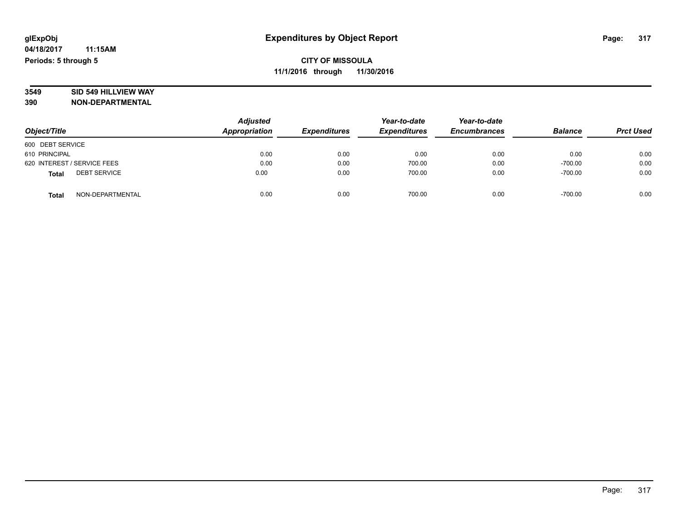# **3549 SID 549 HILLVIEW WAY**

|                                     | <b>Adjusted</b><br>Appropriation |                     | Year-to-date        | Year-to-date        | <b>Balance</b> |                  |
|-------------------------------------|----------------------------------|---------------------|---------------------|---------------------|----------------|------------------|
| Object/Title                        |                                  | <b>Expenditures</b> | <b>Expenditures</b> | <b>Encumbrances</b> |                | <b>Prct Used</b> |
| 600 DEBT SERVICE                    |                                  |                     |                     |                     |                |                  |
| 610 PRINCIPAL                       | 0.00                             | 0.00                | 0.00                | 0.00                | 0.00           | 0.00             |
| 620 INTEREST / SERVICE FEES         | 0.00                             | 0.00                | 700.00              | 0.00                | $-700.00$      | 0.00             |
| <b>DEBT SERVICE</b><br><b>Total</b> | 0.00                             | 0.00                | 700.00              | 0.00                | $-700.00$      | 0.00             |
| NON-DEPARTMENTAL<br><b>Total</b>    | 0.00                             | 0.00                | 700.00              | 0.00                | $-700.00$      | 0.00             |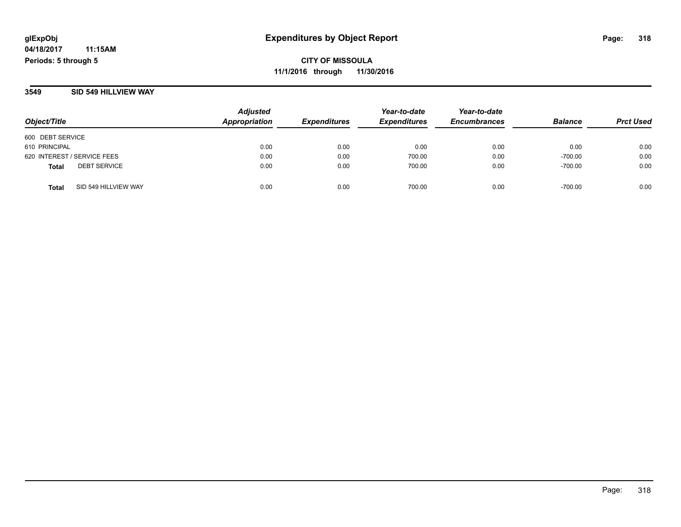### **3549 SID 549 HILLVIEW WAY**

| Object/Title                |                      | <b>Adjusted</b><br>Appropriation | <b>Expenditures</b> | Year-to-date<br><b>Expenditures</b> | Year-to-date<br><b>Encumbrances</b> | <b>Balance</b> | <b>Prct Used</b> |
|-----------------------------|----------------------|----------------------------------|---------------------|-------------------------------------|-------------------------------------|----------------|------------------|
| 600 DEBT SERVICE            |                      |                                  |                     |                                     |                                     |                |                  |
| 610 PRINCIPAL               |                      | 0.00                             | 0.00                | 0.00                                | 0.00                                | 0.00           | 0.00             |
| 620 INTEREST / SERVICE FEES |                      | 0.00                             | 0.00                | 700.00                              | 0.00                                | $-700.00$      | 0.00             |
| <b>Total</b>                | <b>DEBT SERVICE</b>  | 0.00                             | 0.00                | 700.00                              | 0.00                                | $-700.00$      | 0.00             |
| <b>Total</b>                | SID 549 HILLVIEW WAY | 0.00                             | 0.00                | 700.00                              | 0.00                                | $-700.00$      | 0.00             |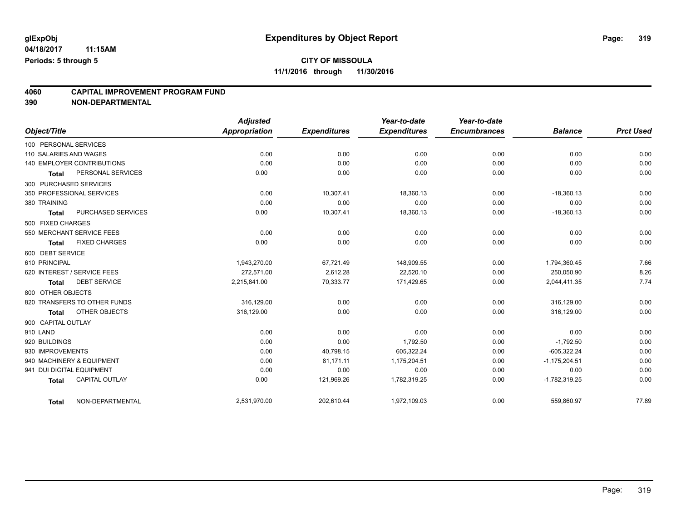**4060 CAPITAL IMPROVEMENT PROGRAM FUND**

|                           |                              | <b>Adjusted</b><br>Appropriation |                     | Year-to-date        | Year-to-date<br><b>Encumbrances</b> | <b>Balance</b>  | <b>Prct Used</b> |
|---------------------------|------------------------------|----------------------------------|---------------------|---------------------|-------------------------------------|-----------------|------------------|
| Object/Title              |                              |                                  | <b>Expenditures</b> | <b>Expenditures</b> |                                     |                 |                  |
| 100 PERSONAL SERVICES     |                              |                                  |                     |                     |                                     |                 |                  |
| 110 SALARIES AND WAGES    |                              | 0.00                             | 0.00                | 0.00                | 0.00                                | 0.00            | 0.00             |
|                           | 140 EMPLOYER CONTRIBUTIONS   | 0.00                             | 0.00                | 0.00                | 0.00                                | 0.00            | 0.00             |
| Total                     | PERSONAL SERVICES            | 0.00                             | 0.00                | 0.00                | 0.00                                | 0.00            | 0.00             |
| 300 PURCHASED SERVICES    |                              |                                  |                     |                     |                                     |                 |                  |
|                           | 350 PROFESSIONAL SERVICES    | 0.00                             | 10,307.41           | 18,360.13           | 0.00                                | $-18,360.13$    | 0.00             |
| 380 TRAINING              |                              | 0.00                             | 0.00                | 0.00                | 0.00                                | 0.00            | 0.00             |
| <b>Total</b>              | PURCHASED SERVICES           | 0.00                             | 10,307.41           | 18,360.13           | 0.00                                | $-18,360.13$    | 0.00             |
| 500 FIXED CHARGES         |                              |                                  |                     |                     |                                     |                 |                  |
|                           | 550 MERCHANT SERVICE FEES    | 0.00                             | 0.00                | 0.00                | 0.00                                | 0.00            | 0.00             |
| Total                     | <b>FIXED CHARGES</b>         | 0.00                             | 0.00                | 0.00                | 0.00                                | 0.00            | 0.00             |
| 600 DEBT SERVICE          |                              |                                  |                     |                     |                                     |                 |                  |
| 610 PRINCIPAL             |                              | 1,943,270.00                     | 67,721.49           | 148,909.55          | 0.00                                | 1,794,360.45    | 7.66             |
|                           | 620 INTEREST / SERVICE FEES  | 272.571.00                       | 2,612.28            | 22,520.10           | 0.00                                | 250,050.90      | 8.26             |
| <b>Total</b>              | <b>DEBT SERVICE</b>          | 2,215,841.00                     | 70,333.77           | 171,429.65          | 0.00                                | 2,044,411.35    | 7.74             |
| 800 OTHER OBJECTS         |                              |                                  |                     |                     |                                     |                 |                  |
|                           | 820 TRANSFERS TO OTHER FUNDS | 316,129.00                       | 0.00                | 0.00                | 0.00                                | 316,129.00      | 0.00             |
| Total                     | OTHER OBJECTS                | 316,129.00                       | 0.00                | 0.00                | 0.00                                | 316,129.00      | 0.00             |
| 900 CAPITAL OUTLAY        |                              |                                  |                     |                     |                                     |                 |                  |
| 910 LAND                  |                              | 0.00                             | 0.00                | 0.00                | 0.00                                | 0.00            | 0.00             |
| 920 BUILDINGS             |                              | 0.00                             | 0.00                | 1,792.50            | 0.00                                | $-1,792.50$     | 0.00             |
| 930 IMPROVEMENTS          |                              | 0.00                             | 40,798.15           | 605,322.24          | 0.00                                | $-605,322.24$   | 0.00             |
|                           | 940 MACHINERY & EQUIPMENT    | 0.00                             | 81,171.11           | 1,175,204.51        | 0.00                                | $-1,175,204.51$ | 0.00             |
| 941 DUI DIGITAL EQUIPMENT |                              | 0.00                             | 0.00                | 0.00                | 0.00                                | 0.00            | 0.00             |
| <b>Total</b>              | <b>CAPITAL OUTLAY</b>        | 0.00                             | 121,969.26          | 1,782,319.25        | 0.00                                | $-1,782,319.25$ | 0.00             |
| <b>Total</b>              | NON-DEPARTMENTAL             | 2,531,970.00                     | 202,610.44          | 1,972,109.03        | 0.00                                | 559,860.97      | 77.89            |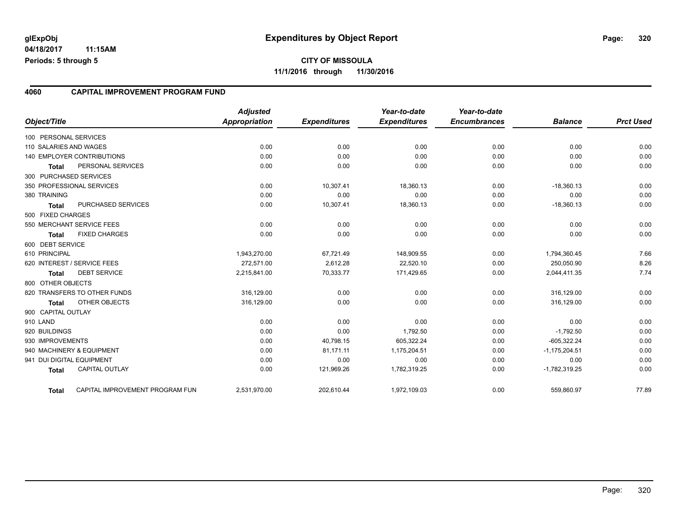#### **4060 CAPITAL IMPROVEMENT PROGRAM FUND**

| Object/Title              |                                 | <b>Adjusted</b><br>Appropriation | <b>Expenditures</b> | Year-to-date<br><b>Expenditures</b> | Year-to-date<br><b>Encumbrances</b> | <b>Balance</b>  | <b>Prct Used</b> |
|---------------------------|---------------------------------|----------------------------------|---------------------|-------------------------------------|-------------------------------------|-----------------|------------------|
| 100 PERSONAL SERVICES     |                                 |                                  |                     |                                     |                                     |                 |                  |
| 110 SALARIES AND WAGES    |                                 | 0.00                             | 0.00                | 0.00                                | 0.00                                | 0.00            | 0.00             |
|                           | 140 EMPLOYER CONTRIBUTIONS      | 0.00                             | 0.00                | 0.00                                | 0.00                                | 0.00            | 0.00             |
| Total                     | PERSONAL SERVICES               | 0.00                             | 0.00                | 0.00                                | 0.00                                | 0.00            | 0.00             |
| 300 PURCHASED SERVICES    |                                 |                                  |                     |                                     |                                     |                 |                  |
|                           | 350 PROFESSIONAL SERVICES       | 0.00                             | 10,307.41           | 18,360.13                           | 0.00                                | $-18,360.13$    | 0.00             |
| 380 TRAINING              |                                 | 0.00                             | 0.00                | 0.00                                | 0.00                                | 0.00            | 0.00             |
| <b>Total</b>              | PURCHASED SERVICES              | 0.00                             | 10,307.41           | 18,360.13                           | 0.00                                | $-18,360.13$    | 0.00             |
| 500 FIXED CHARGES         |                                 |                                  |                     |                                     |                                     |                 |                  |
|                           | 550 MERCHANT SERVICE FEES       | 0.00                             | 0.00                | 0.00                                | 0.00                                | 0.00            | 0.00             |
| <b>Total</b>              | <b>FIXED CHARGES</b>            | 0.00                             | 0.00                | 0.00                                | 0.00                                | 0.00            | 0.00             |
| 600 DEBT SERVICE          |                                 |                                  |                     |                                     |                                     |                 |                  |
| 610 PRINCIPAL             |                                 | 1,943,270.00                     | 67,721.49           | 148,909.55                          | 0.00                                | 1,794,360.45    | 7.66             |
|                           | 620 INTEREST / SERVICE FEES     | 272,571.00                       | 2,612.28            | 22,520.10                           | 0.00                                | 250,050.90      | 8.26             |
| <b>Total</b>              | <b>DEBT SERVICE</b>             | 2,215,841.00                     | 70,333.77           | 171,429.65                          | 0.00                                | 2,044,411.35    | 7.74             |
| 800 OTHER OBJECTS         |                                 |                                  |                     |                                     |                                     |                 |                  |
|                           | 820 TRANSFERS TO OTHER FUNDS    | 316,129.00                       | 0.00                | 0.00                                | 0.00                                | 316,129.00      | 0.00             |
| <b>Total</b>              | OTHER OBJECTS                   | 316,129.00                       | 0.00                | 0.00                                | 0.00                                | 316,129.00      | 0.00             |
| 900 CAPITAL OUTLAY        |                                 |                                  |                     |                                     |                                     |                 |                  |
| 910 LAND                  |                                 | 0.00                             | 0.00                | 0.00                                | 0.00                                | 0.00            | 0.00             |
| 920 BUILDINGS             |                                 | 0.00                             | 0.00                | 1,792.50                            | 0.00                                | $-1,792.50$     | 0.00             |
| 930 IMPROVEMENTS          |                                 | 0.00                             | 40,798.15           | 605,322.24                          | 0.00                                | $-605,322.24$   | 0.00             |
|                           | 940 MACHINERY & EQUIPMENT       | 0.00                             | 81,171.11           | 1,175,204.51                        | 0.00                                | $-1,175,204.51$ | 0.00             |
| 941 DUI DIGITAL EQUIPMENT |                                 | 0.00                             | 0.00                | 0.00                                | 0.00                                | 0.00            | 0.00             |
| <b>Total</b>              | <b>CAPITAL OUTLAY</b>           | 0.00                             | 121,969.26          | 1,782,319.25                        | 0.00                                | $-1,782,319.25$ | 0.00             |
| <b>Total</b>              | CAPITAL IMPROVEMENT PROGRAM FUN | 2,531,970.00                     | 202,610.44          | 1,972,109.03                        | 0.00                                | 559,860.97      | 77.89            |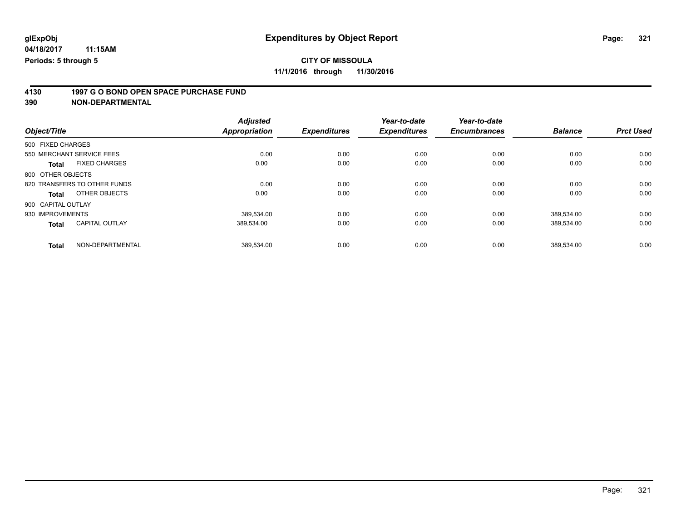# **4130 1997 G O BOND OPEN SPACE PURCHASE FUND**

|                    |                              | <b>Adjusted</b> |                     | Year-to-date        | Year-to-date        |                |                  |
|--------------------|------------------------------|-----------------|---------------------|---------------------|---------------------|----------------|------------------|
| Object/Title       |                              | Appropriation   | <b>Expenditures</b> | <b>Expenditures</b> | <b>Encumbrances</b> | <b>Balance</b> | <b>Prct Used</b> |
| 500 FIXED CHARGES  |                              |                 |                     |                     |                     |                |                  |
|                    | 550 MERCHANT SERVICE FEES    | 0.00            | 0.00                | 0.00                | 0.00                | 0.00           | 0.00             |
| <b>Total</b>       | <b>FIXED CHARGES</b>         | 0.00            | 0.00                | 0.00                | 0.00                | 0.00           | 0.00             |
| 800 OTHER OBJECTS  |                              |                 |                     |                     |                     |                |                  |
|                    | 820 TRANSFERS TO OTHER FUNDS | 0.00            | 0.00                | 0.00                | 0.00                | 0.00           | 0.00             |
| Total              | OTHER OBJECTS                | 0.00            | 0.00                | 0.00                | 0.00                | 0.00           | 0.00             |
| 900 CAPITAL OUTLAY |                              |                 |                     |                     |                     |                |                  |
| 930 IMPROVEMENTS   |                              | 389,534.00      | 0.00                | 0.00                | 0.00                | 389,534.00     | 0.00             |
| <b>Total</b>       | <b>CAPITAL OUTLAY</b>        | 389.534.00      | 0.00                | 0.00                | 0.00                | 389,534.00     | 0.00             |
| <b>Total</b>       | NON-DEPARTMENTAL             | 389,534.00      | 0.00                | 0.00                | 0.00                | 389,534.00     | 0.00             |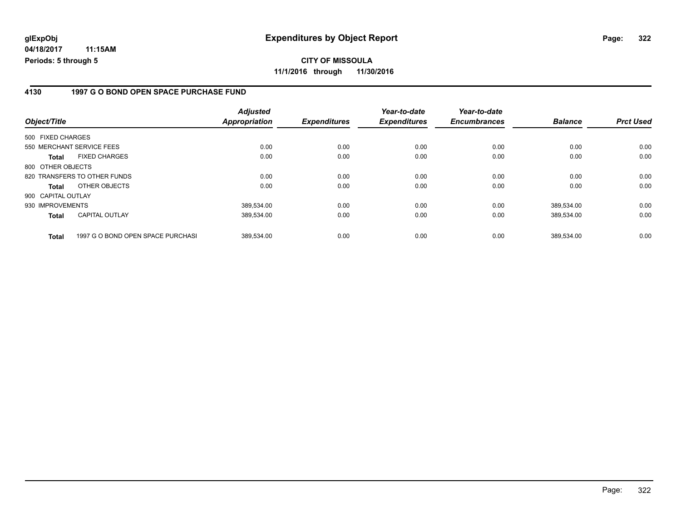### **4130 1997 G O BOND OPEN SPACE PURCHASE FUND**

| Object/Title       |                                   | <b>Adjusted</b><br>Appropriation | <b>Expenditures</b> | Year-to-date<br><b>Expenditures</b> | Year-to-date<br><b>Encumbrances</b> | <b>Balance</b> | <b>Prct Used</b> |
|--------------------|-----------------------------------|----------------------------------|---------------------|-------------------------------------|-------------------------------------|----------------|------------------|
| 500 FIXED CHARGES  |                                   |                                  |                     |                                     |                                     |                |                  |
|                    | 550 MERCHANT SERVICE FEES         | 0.00                             | 0.00                | 0.00                                | 0.00                                | 0.00           | 0.00             |
| <b>Total</b>       | <b>FIXED CHARGES</b>              | 0.00                             | 0.00                | 0.00                                | 0.00                                | 0.00           | 0.00             |
| 800 OTHER OBJECTS  |                                   |                                  |                     |                                     |                                     |                |                  |
|                    | 820 TRANSFERS TO OTHER FUNDS      | 0.00                             | 0.00                | 0.00                                | 0.00                                | 0.00           | 0.00             |
| <b>Total</b>       | OTHER OBJECTS                     | 0.00                             | 0.00                | 0.00                                | 0.00                                | 0.00           | 0.00             |
| 900 CAPITAL OUTLAY |                                   |                                  |                     |                                     |                                     |                |                  |
| 930 IMPROVEMENTS   |                                   | 389,534.00                       | 0.00                | 0.00                                | 0.00                                | 389.534.00     | 0.00             |
| <b>Total</b>       | <b>CAPITAL OUTLAY</b>             | 389,534.00                       | 0.00                | 0.00                                | 0.00                                | 389,534.00     | 0.00             |
| <b>Total</b>       | 1997 G O BOND OPEN SPACE PURCHASI | 389.534.00                       | 0.00                | 0.00                                | 0.00                                | 389,534.00     | 0.00             |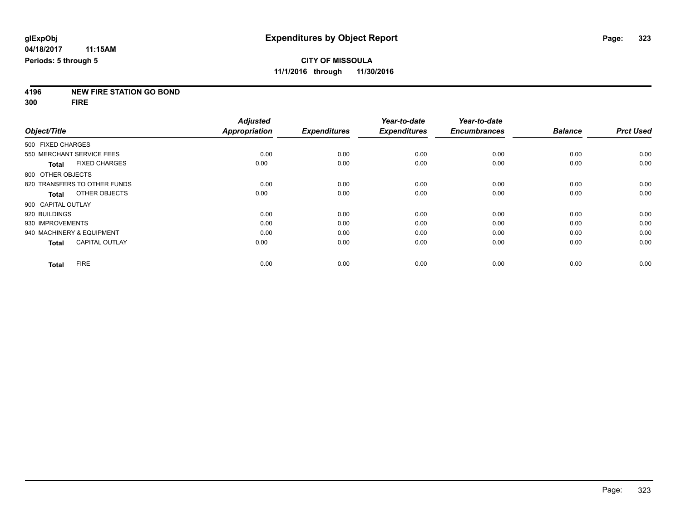**4196 NEW FIRE STATION GO BOND**

**300 FIRE**

|                    |                              | <b>Adjusted</b> |                     | Year-to-date        | Year-to-date        |                |                  |
|--------------------|------------------------------|-----------------|---------------------|---------------------|---------------------|----------------|------------------|
| Object/Title       |                              | Appropriation   | <b>Expenditures</b> | <b>Expenditures</b> | <b>Encumbrances</b> | <b>Balance</b> | <b>Prct Used</b> |
| 500 FIXED CHARGES  |                              |                 |                     |                     |                     |                |                  |
|                    | 550 MERCHANT SERVICE FEES    | 0.00            | 0.00                | 0.00                | 0.00                | 0.00           | 0.00             |
| <b>Total</b>       | <b>FIXED CHARGES</b>         | 0.00            | 0.00                | 0.00                | 0.00                | 0.00           | 0.00             |
| 800 OTHER OBJECTS  |                              |                 |                     |                     |                     |                |                  |
|                    | 820 TRANSFERS TO OTHER FUNDS | 0.00            | 0.00                | 0.00                | 0.00                | 0.00           | 0.00             |
| Total              | OTHER OBJECTS                | 0.00            | 0.00                | 0.00                | 0.00                | 0.00           | 0.00             |
| 900 CAPITAL OUTLAY |                              |                 |                     |                     |                     |                |                  |
| 920 BUILDINGS      |                              | 0.00            | 0.00                | 0.00                | 0.00                | 0.00           | 0.00             |
| 930 IMPROVEMENTS   |                              | 0.00            | 0.00                | 0.00                | 0.00                | 0.00           | 0.00             |
|                    | 940 MACHINERY & EQUIPMENT    | 0.00            | 0.00                | 0.00                | 0.00                | 0.00           | 0.00             |
| <b>Total</b>       | <b>CAPITAL OUTLAY</b>        | 0.00            | 0.00                | 0.00                | 0.00                | 0.00           | 0.00             |
| <b>Total</b>       | <b>FIRE</b>                  | 0.00            | 0.00                | 0.00                | 0.00                | 0.00           | 0.00             |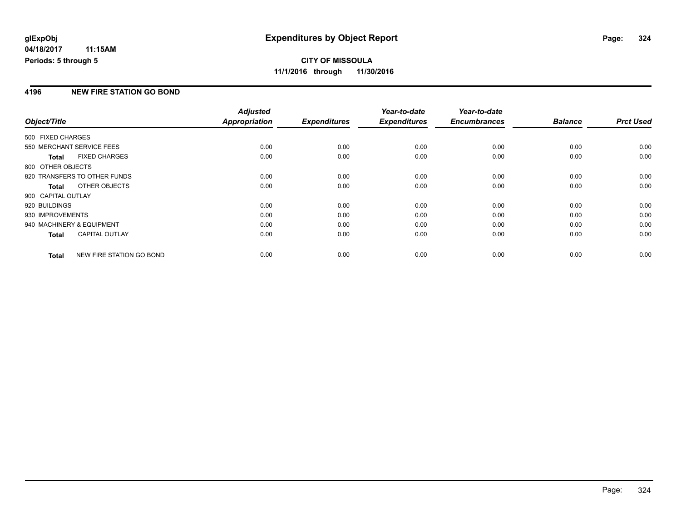# **CITY OF MISSOULA 11/1/2016 through 11/30/2016**

### **4196 NEW FIRE STATION GO BOND**

|                           |                              | <b>Adjusted</b>      |                     | Year-to-date        | Year-to-date        |                |                  |
|---------------------------|------------------------------|----------------------|---------------------|---------------------|---------------------|----------------|------------------|
| Object/Title              |                              | <b>Appropriation</b> | <b>Expenditures</b> | <b>Expenditures</b> | <b>Encumbrances</b> | <b>Balance</b> | <b>Prct Used</b> |
| 500 FIXED CHARGES         |                              |                      |                     |                     |                     |                |                  |
|                           | 550 MERCHANT SERVICE FEES    | 0.00                 | 0.00                | 0.00                | 0.00                | 0.00           | 0.00             |
| <b>Total</b>              | <b>FIXED CHARGES</b>         | 0.00                 | 0.00                | 0.00                | 0.00                | 0.00           | 0.00             |
| 800 OTHER OBJECTS         |                              |                      |                     |                     |                     |                |                  |
|                           | 820 TRANSFERS TO OTHER FUNDS | 0.00                 | 0.00                | 0.00                | 0.00                | 0.00           | 0.00             |
| <b>Total</b>              | OTHER OBJECTS                | 0.00                 | 0.00                | 0.00                | 0.00                | 0.00           | 0.00             |
| 900 CAPITAL OUTLAY        |                              |                      |                     |                     |                     |                |                  |
| 920 BUILDINGS             |                              | 0.00                 | 0.00                | 0.00                | 0.00                | 0.00           | 0.00             |
| 930 IMPROVEMENTS          |                              | 0.00                 | 0.00                | 0.00                | 0.00                | 0.00           | 0.00             |
| 940 MACHINERY & EQUIPMENT |                              | 0.00                 | 0.00                | 0.00                | 0.00                | 0.00           | 0.00             |
| <b>Total</b>              | <b>CAPITAL OUTLAY</b>        | 0.00                 | 0.00                | 0.00                | 0.00                | 0.00           | 0.00             |
| <b>Total</b>              | NEW FIRE STATION GO BOND     | 0.00                 | 0.00                | 0.00                | 0.00                | 0.00           | 0.00             |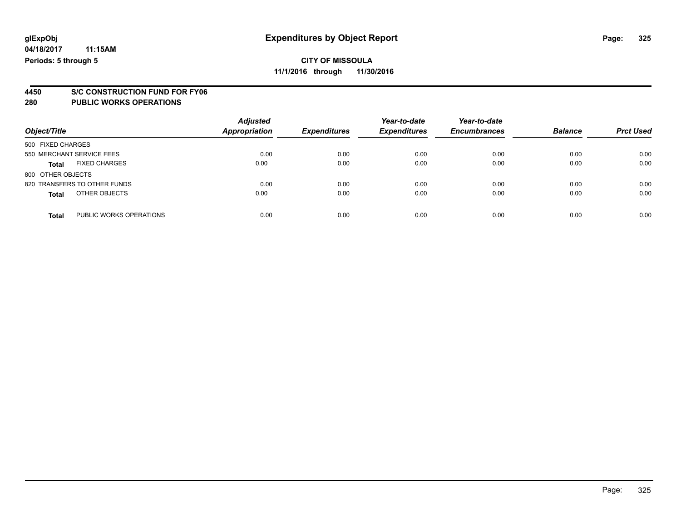# **4450 S/C CONSTRUCTION FUND FOR FY06**

| Object/Title                            | <b>Adjusted</b><br><b>Appropriation</b> | <b>Expenditures</b> | Year-to-date<br><b>Expenditures</b> | Year-to-date<br><b>Encumbrances</b> | <b>Balance</b> | <b>Prct Used</b> |
|-----------------------------------------|-----------------------------------------|---------------------|-------------------------------------|-------------------------------------|----------------|------------------|
| 500 FIXED CHARGES                       |                                         |                     |                                     |                                     |                |                  |
| 550 MERCHANT SERVICE FEES               | 0.00                                    | 0.00                | 0.00                                | 0.00                                | 0.00           | 0.00             |
| <b>FIXED CHARGES</b><br><b>Total</b>    | 0.00                                    | 0.00                | 0.00                                | 0.00                                | 0.00           | 0.00             |
| 800 OTHER OBJECTS                       |                                         |                     |                                     |                                     |                |                  |
| 820 TRANSFERS TO OTHER FUNDS            | 0.00                                    | 0.00                | 0.00                                | 0.00                                | 0.00           | 0.00             |
| OTHER OBJECTS<br><b>Total</b>           | 0.00                                    | 0.00                | 0.00                                | 0.00                                | 0.00           | 0.00             |
| PUBLIC WORKS OPERATIONS<br><b>Total</b> | 0.00                                    | 0.00                | 0.00                                | 0.00                                | 0.00           | 0.00             |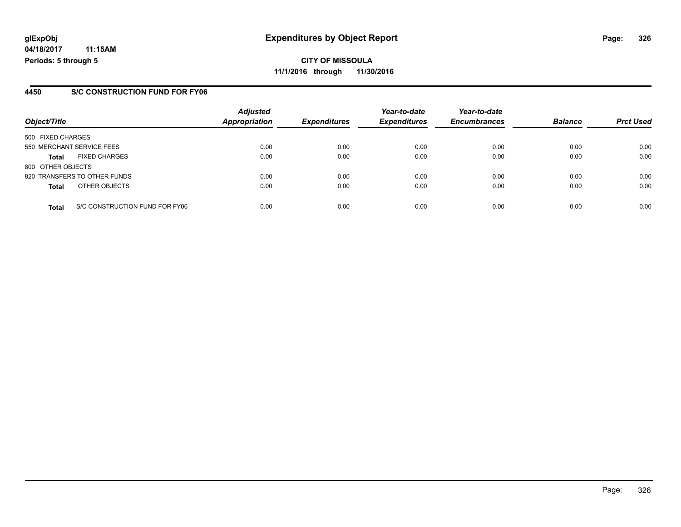**CITY OF MISSOULA 11/1/2016 through 11/30/2016**

#### **4450 S/C CONSTRUCTION FUND FOR FY06**

|                                                | <b>Adjusted</b> |                     | Year-to-date        | Year-to-date        |                |                  |
|------------------------------------------------|-----------------|---------------------|---------------------|---------------------|----------------|------------------|
| Object/Title                                   | Appropriation   | <b>Expenditures</b> | <b>Expenditures</b> | <b>Encumbrances</b> | <b>Balance</b> | <b>Prct Used</b> |
| 500 FIXED CHARGES                              |                 |                     |                     |                     |                |                  |
| 550 MERCHANT SERVICE FEES                      | 0.00            | 0.00                | 0.00                | 0.00                | 0.00           | 0.00             |
| <b>FIXED CHARGES</b><br><b>Total</b>           | 0.00            | 0.00                | 0.00                | 0.00                | 0.00           | 0.00             |
| 800 OTHER OBJECTS                              |                 |                     |                     |                     |                |                  |
| 820 TRANSFERS TO OTHER FUNDS                   | 0.00            | 0.00                | 0.00                | 0.00                | 0.00           | 0.00             |
| OTHER OBJECTS<br><b>Total</b>                  | 0.00            | 0.00                | 0.00                | 0.00                | 0.00           | 0.00             |
| S/C CONSTRUCTION FUND FOR FY06<br><b>Total</b> | 0.00            | 0.00                | 0.00                | 0.00                | 0.00           | 0.00             |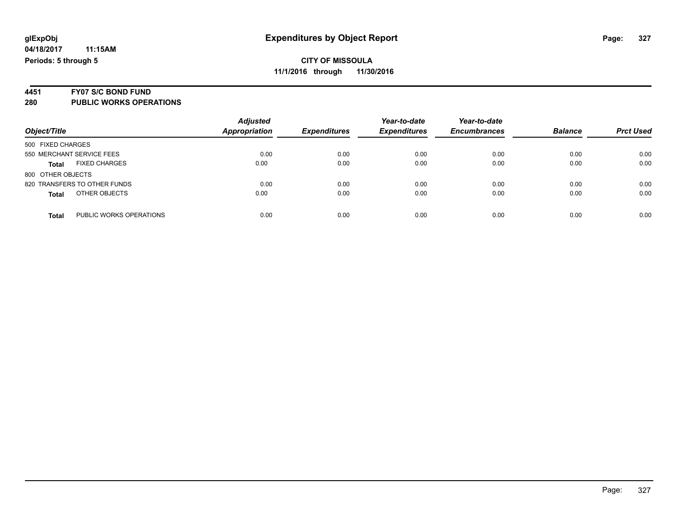# **4451 FY07 S/C BOND FUND**

| Object/Title                         | <b>Adjusted</b><br><b>Appropriation</b> | <b>Expenditures</b> | Year-to-date<br><b>Expenditures</b> | Year-to-date<br><b>Encumbrances</b> | <b>Balance</b> | <b>Prct Used</b> |
|--------------------------------------|-----------------------------------------|---------------------|-------------------------------------|-------------------------------------|----------------|------------------|
| 500 FIXED CHARGES                    |                                         |                     |                                     |                                     |                |                  |
|                                      |                                         |                     |                                     |                                     |                |                  |
| 550 MERCHANT SERVICE FEES            | 0.00                                    | 0.00                | 0.00                                | 0.00                                | 0.00           | 0.00             |
| <b>FIXED CHARGES</b><br><b>Total</b> | 0.00                                    | 0.00                | 0.00                                | 0.00                                | 0.00           | 0.00             |
| 800 OTHER OBJECTS                    |                                         |                     |                                     |                                     |                |                  |
| 820 TRANSFERS TO OTHER FUNDS         | 0.00                                    | 0.00                | 0.00                                | 0.00                                | 0.00           | 0.00             |
| OTHER OBJECTS<br><b>Total</b>        | 0.00                                    | 0.00                | 0.00                                | 0.00                                | 0.00           | 0.00             |
|                                      |                                         |                     |                                     |                                     |                |                  |
| PUBLIC WORKS OPERATIONS<br>Total     | 0.00                                    | 0.00                | 0.00                                | 0.00                                | 0.00           | 0.00             |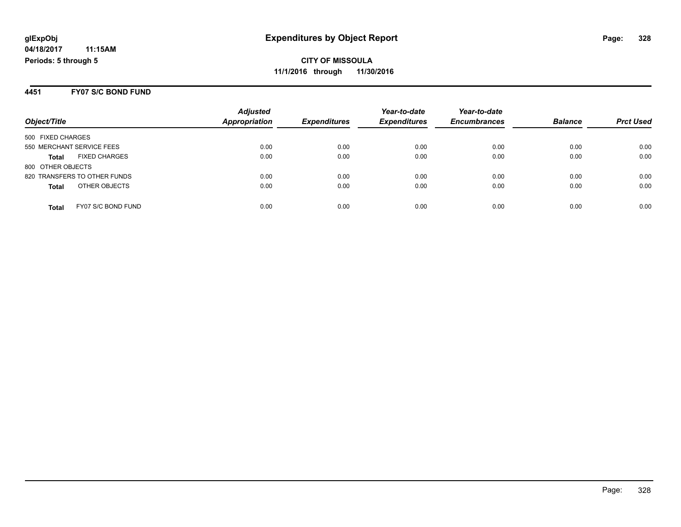#### **4451 FY07 S/C BOND FUND**

|                                      | <b>Adjusted</b>      |                     | Year-to-date        | Year-to-date        |                |                  |
|--------------------------------------|----------------------|---------------------|---------------------|---------------------|----------------|------------------|
| Object/Title                         | <b>Appropriation</b> | <b>Expenditures</b> | <b>Expenditures</b> | <b>Encumbrances</b> | <b>Balance</b> | <b>Prct Used</b> |
| 500 FIXED CHARGES                    |                      |                     |                     |                     |                |                  |
| 550 MERCHANT SERVICE FEES            | 0.00                 | 0.00                | 0.00                | 0.00                | 0.00           | 0.00             |
| <b>FIXED CHARGES</b><br><b>Total</b> | 0.00                 | 0.00                | 0.00                | 0.00                | 0.00           | 0.00             |
| 800 OTHER OBJECTS                    |                      |                     |                     |                     |                |                  |
| 820 TRANSFERS TO OTHER FUNDS         | 0.00                 | 0.00                | 0.00                | 0.00                | 0.00           | 0.00             |
| OTHER OBJECTS<br><b>Total</b>        | 0.00                 | 0.00                | 0.00                | 0.00                | 0.00           | 0.00             |
| FY07 S/C BOND FUND<br><b>Total</b>   | 0.00                 | 0.00                | 0.00                | 0.00                | 0.00           | 0.00             |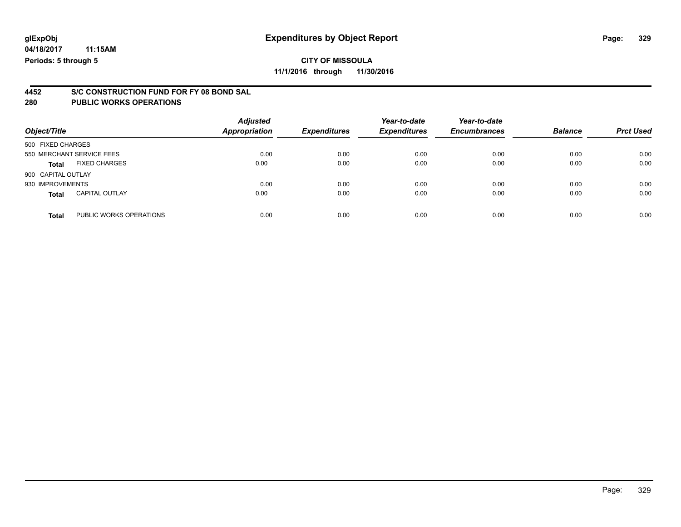## **CITY OF MISSOULA**

**11/1/2016 through 11/30/2016**

# **4452 S/C CONSTRUCTION FUND FOR FY 08 BOND SAL**

| Object/Title              |                         | <b>Adjusted</b><br><b>Appropriation</b> | <b>Expenditures</b> | Year-to-date<br><b>Expenditures</b> | Year-to-date<br><b>Encumbrances</b> | <b>Balance</b> | <b>Prct Used</b> |
|---------------------------|-------------------------|-----------------------------------------|---------------------|-------------------------------------|-------------------------------------|----------------|------------------|
|                           |                         |                                         |                     |                                     |                                     |                |                  |
| 500 FIXED CHARGES         |                         |                                         |                     |                                     |                                     |                |                  |
| 550 MERCHANT SERVICE FEES |                         | 0.00                                    | 0.00                | 0.00                                | 0.00                                | 0.00           | 0.00             |
| <b>Total</b>              | <b>FIXED CHARGES</b>    | 0.00                                    | 0.00                | 0.00                                | 0.00                                | 0.00           | 0.00             |
| 900 CAPITAL OUTLAY        |                         |                                         |                     |                                     |                                     |                |                  |
| 930 IMPROVEMENTS          |                         | 0.00                                    | 0.00                | 0.00                                | 0.00                                | 0.00           | 0.00             |
| <b>Total</b>              | <b>CAPITAL OUTLAY</b>   | 0.00                                    | 0.00                | 0.00                                | 0.00                                | 0.00           | 0.00             |
| <b>Total</b>              | PUBLIC WORKS OPERATIONS | 0.00                                    | 0.00                | 0.00                                | 0.00                                | 0.00           | 0.00             |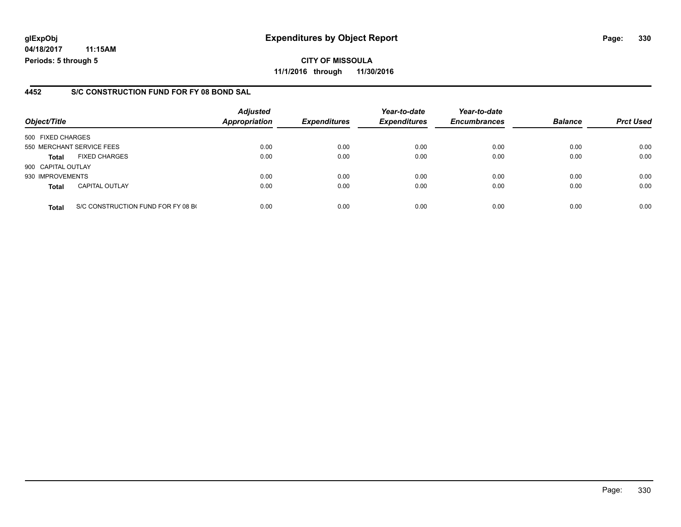#### **4452 S/C CONSTRUCTION FUND FOR FY 08 BOND SAL**

| Object/Title       |                                    | <b>Adjusted</b><br><b>Appropriation</b> | <b>Expenditures</b> | Year-to-date<br><b>Expenditures</b> | Year-to-date<br><b>Encumbrances</b> | <b>Balance</b> | <b>Prct Used</b> |
|--------------------|------------------------------------|-----------------------------------------|---------------------|-------------------------------------|-------------------------------------|----------------|------------------|
| 500 FIXED CHARGES  |                                    |                                         |                     |                                     |                                     |                |                  |
|                    | 550 MERCHANT SERVICE FEES          | 0.00                                    | 0.00                | 0.00                                | 0.00                                | 0.00           | 0.00             |
| <b>Total</b>       | <b>FIXED CHARGES</b>               | 0.00                                    | 0.00                | 0.00                                | 0.00                                | 0.00           | 0.00             |
| 900 CAPITAL OUTLAY |                                    |                                         |                     |                                     |                                     |                |                  |
| 930 IMPROVEMENTS   |                                    | 0.00                                    | 0.00                | 0.00                                | 0.00                                | 0.00           | 0.00             |
| <b>Total</b>       | <b>CAPITAL OUTLAY</b>              | 0.00                                    | 0.00                | 0.00                                | 0.00                                | 0.00           | 0.00             |
| <b>Total</b>       | S/C CONSTRUCTION FUND FOR FY 08 BO | 0.00                                    | 0.00                | 0.00                                | 0.00                                | 0.00           | 0.00             |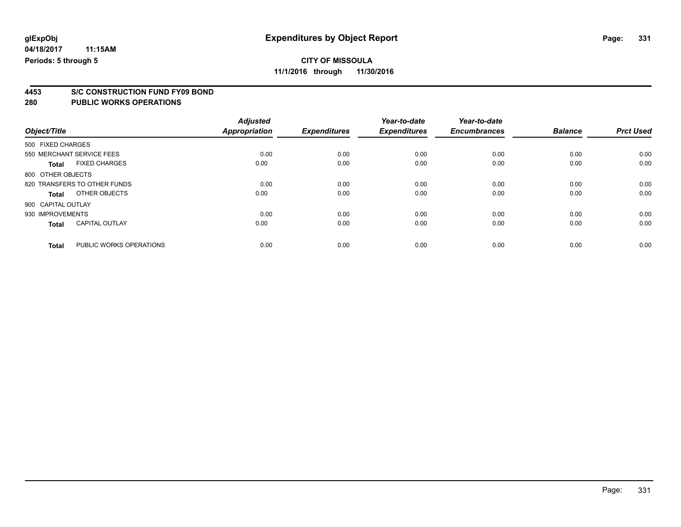**4453 S/C CONSTRUCTION FUND FY09 BOND**

|                    |                              | <b>Adjusted</b> |                     | Year-to-date        | Year-to-date        |                |                  |
|--------------------|------------------------------|-----------------|---------------------|---------------------|---------------------|----------------|------------------|
| Object/Title       |                              | Appropriation   | <b>Expenditures</b> | <b>Expenditures</b> | <b>Encumbrances</b> | <b>Balance</b> | <b>Prct Used</b> |
| 500 FIXED CHARGES  |                              |                 |                     |                     |                     |                |                  |
|                    | 550 MERCHANT SERVICE FEES    | 0.00            | 0.00                | 0.00                | 0.00                | 0.00           | 0.00             |
| <b>Total</b>       | <b>FIXED CHARGES</b>         | 0.00            | 0.00                | 0.00                | 0.00                | 0.00           | 0.00             |
| 800 OTHER OBJECTS  |                              |                 |                     |                     |                     |                |                  |
|                    | 820 TRANSFERS TO OTHER FUNDS | 0.00            | 0.00                | 0.00                | 0.00                | 0.00           | 0.00             |
| <b>Total</b>       | OTHER OBJECTS                | 0.00            | 0.00                | 0.00                | 0.00                | 0.00           | 0.00             |
| 900 CAPITAL OUTLAY |                              |                 |                     |                     |                     |                |                  |
| 930 IMPROVEMENTS   |                              | 0.00            | 0.00                | 0.00                | 0.00                | 0.00           | 0.00             |
| <b>Total</b>       | <b>CAPITAL OUTLAY</b>        | 0.00            | 0.00                | 0.00                | 0.00                | 0.00           | 0.00             |
| <b>Total</b>       | PUBLIC WORKS OPERATIONS      | 0.00            | 0.00                | 0.00                | 0.00                | 0.00           | 0.00             |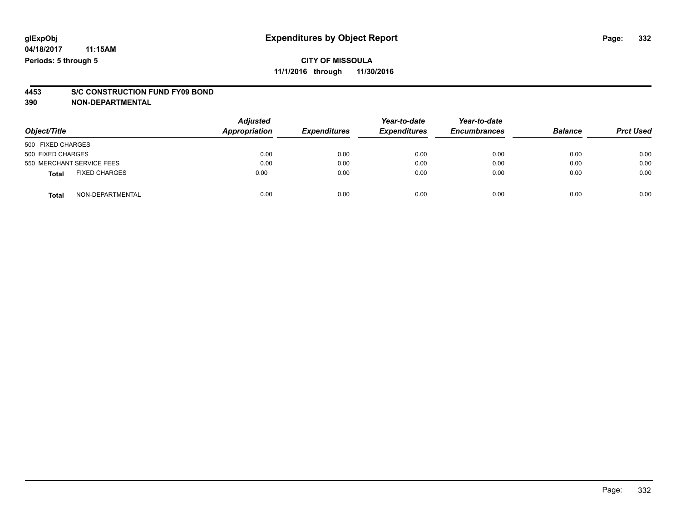# **4453 S/C CONSTRUCTION FUND FY09 BOND**

**390 NON-DEPARTMENTAL**

| Object/Title      |                           | <b>Adjusted</b><br><b>Appropriation</b> | <b>Expenditures</b> | Year-to-date<br><b>Expenditures</b> | Year-to-date<br><b>Encumbrances</b> | <b>Balance</b> | <b>Prct Used</b> |
|-------------------|---------------------------|-----------------------------------------|---------------------|-------------------------------------|-------------------------------------|----------------|------------------|
| 500 FIXED CHARGES |                           |                                         |                     |                                     |                                     |                |                  |
| 500 FIXED CHARGES |                           | 0.00                                    | 0.00                | 0.00                                | 0.00                                | 0.00           | 0.00             |
|                   | 550 MERCHANT SERVICE FEES | 0.00                                    | 0.00                | 0.00                                | 0.00                                | 0.00           | 0.00             |
| <b>Total</b>      | <b>FIXED CHARGES</b>      | 0.00                                    | 0.00                | 0.00                                | 0.00                                | 0.00           | 0.00             |
| <b>Total</b>      | NON-DEPARTMENTAL          | 0.00                                    | 0.00                | 0.00                                | 0.00                                | 0.00           | 0.00             |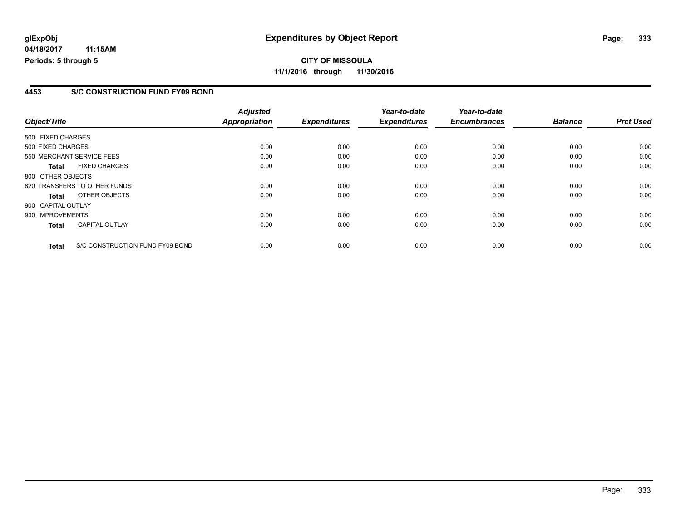**CITY OF MISSOULA 11/1/2016 through 11/30/2016**

#### **4453 S/C CONSTRUCTION FUND FY09 BOND**

|                    |                                 | <b>Adjusted</b>      |                     | Year-to-date        | Year-to-date        |                |                  |
|--------------------|---------------------------------|----------------------|---------------------|---------------------|---------------------|----------------|------------------|
| Object/Title       |                                 | <b>Appropriation</b> | <b>Expenditures</b> | <b>Expenditures</b> | <b>Encumbrances</b> | <b>Balance</b> | <b>Prct Used</b> |
| 500 FIXED CHARGES  |                                 |                      |                     |                     |                     |                |                  |
| 500 FIXED CHARGES  |                                 | 0.00                 | 0.00                | 0.00                | 0.00                | 0.00           | 0.00             |
|                    | 550 MERCHANT SERVICE FEES       | 0.00                 | 0.00                | 0.00                | 0.00                | 0.00           | 0.00             |
| <b>Total</b>       | <b>FIXED CHARGES</b>            | 0.00                 | 0.00                | 0.00                | 0.00                | 0.00           | 0.00             |
| 800 OTHER OBJECTS  |                                 |                      |                     |                     |                     |                |                  |
|                    | 820 TRANSFERS TO OTHER FUNDS    | 0.00                 | 0.00                | 0.00                | 0.00                | 0.00           | 0.00             |
| Total              | OTHER OBJECTS                   | 0.00                 | 0.00                | 0.00                | 0.00                | 0.00           | 0.00             |
| 900 CAPITAL OUTLAY |                                 |                      |                     |                     |                     |                |                  |
| 930 IMPROVEMENTS   |                                 | 0.00                 | 0.00                | 0.00                | 0.00                | 0.00           | 0.00             |
| <b>Total</b>       | <b>CAPITAL OUTLAY</b>           | 0.00                 | 0.00                | 0.00                | 0.00                | 0.00           | 0.00             |
| <b>Total</b>       | S/C CONSTRUCTION FUND FY09 BOND | 0.00                 | 0.00                | 0.00                | 0.00                | 0.00           | 0.00             |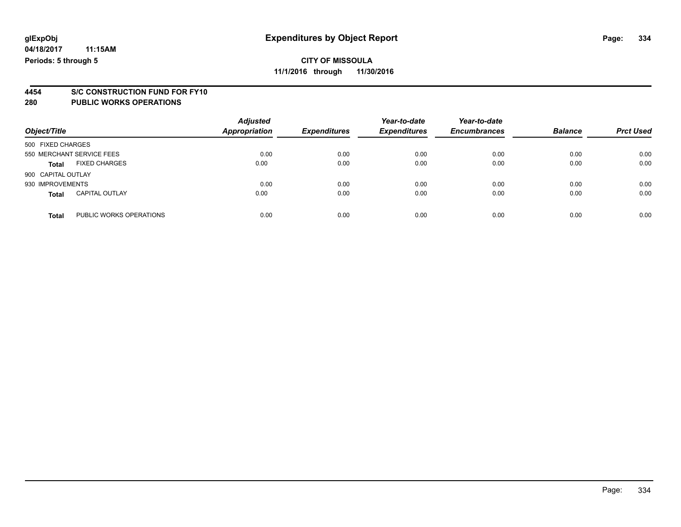# **4454 S/C CONSTRUCTION FUND FOR FY10**

| Object/Title              |                         | <b>Adjusted</b><br>Appropriation | <b>Expenditures</b> | Year-to-date<br><b>Expenditures</b> | Year-to-date<br><b>Encumbrances</b> | <b>Balance</b> | <b>Prct Used</b> |
|---------------------------|-------------------------|----------------------------------|---------------------|-------------------------------------|-------------------------------------|----------------|------------------|
| 500 FIXED CHARGES         |                         |                                  |                     |                                     |                                     |                |                  |
| 550 MERCHANT SERVICE FEES |                         | 0.00                             | 0.00                | 0.00                                | 0.00                                | 0.00           | 0.00             |
| <b>Total</b>              | <b>FIXED CHARGES</b>    | 0.00                             | 0.00                | 0.00                                | 0.00                                | 0.00           | 0.00             |
| 900 CAPITAL OUTLAY        |                         |                                  |                     |                                     |                                     |                |                  |
| 930 IMPROVEMENTS          |                         | 0.00                             | 0.00                | 0.00                                | 0.00                                | 0.00           | 0.00             |
| <b>Total</b>              | <b>CAPITAL OUTLAY</b>   | 0.00                             | 0.00                | 0.00                                | 0.00                                | 0.00           | 0.00             |
| <b>Total</b>              | PUBLIC WORKS OPERATIONS | 0.00                             | 0.00                | 0.00                                | 0.00                                | 0.00           | 0.00             |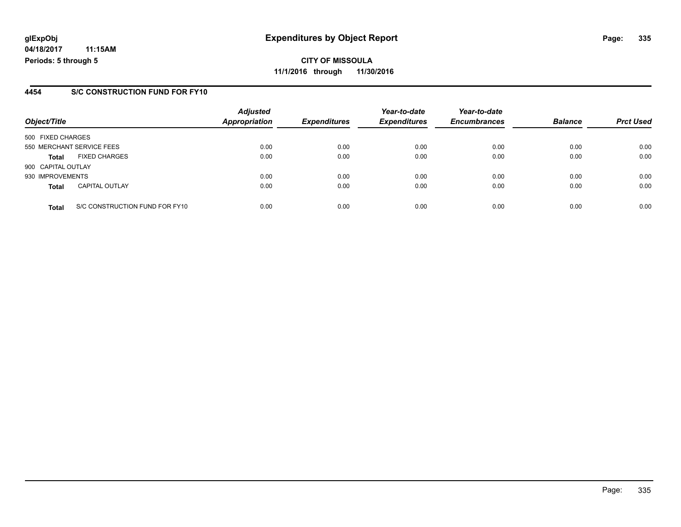#### **4454 S/C CONSTRUCTION FUND FOR FY10**

| Object/Title       |                                | <b>Adjusted</b><br><b>Appropriation</b> | <b>Expenditures</b> | Year-to-date<br><b>Expenditures</b> | Year-to-date<br><b>Encumbrances</b> | <b>Balance</b> | <b>Prct Used</b> |
|--------------------|--------------------------------|-----------------------------------------|---------------------|-------------------------------------|-------------------------------------|----------------|------------------|
| 500 FIXED CHARGES  |                                |                                         |                     |                                     |                                     |                |                  |
|                    | 550 MERCHANT SERVICE FEES      | 0.00                                    | 0.00                | 0.00                                | 0.00                                | 0.00           | 0.00             |
| <b>Total</b>       | <b>FIXED CHARGES</b>           | 0.00                                    | 0.00                | 0.00                                | 0.00                                | 0.00           | 0.00             |
| 900 CAPITAL OUTLAY |                                |                                         |                     |                                     |                                     |                |                  |
| 930 IMPROVEMENTS   |                                | 0.00                                    | 0.00                | 0.00                                | 0.00                                | 0.00           | 0.00             |
| <b>Total</b>       | <b>CAPITAL OUTLAY</b>          | 0.00                                    | 0.00                | 0.00                                | 0.00                                | 0.00           | 0.00             |
| <b>Total</b>       | S/C CONSTRUCTION FUND FOR FY10 | 0.00                                    | 0.00                | 0.00                                | 0.00                                | 0.00           | 0.00             |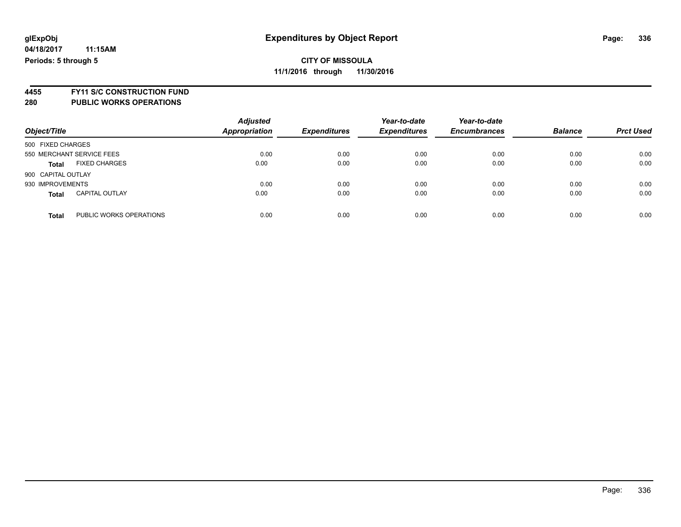**4455 FY11 S/C CONSTRUCTION FUND**

| Object/Title                            | <b>Adjusted</b><br><b>Appropriation</b> | <b>Expenditures</b> | Year-to-date<br><b>Expenditures</b> | Year-to-date<br><b>Encumbrances</b> | <b>Balance</b> | <b>Prct Used</b> |
|-----------------------------------------|-----------------------------------------|---------------------|-------------------------------------|-------------------------------------|----------------|------------------|
| 500 FIXED CHARGES                       |                                         |                     |                                     |                                     |                |                  |
| 550 MERCHANT SERVICE FEES               | 0.00                                    | 0.00                | 0.00                                | 0.00                                | 0.00           | 0.00             |
| <b>FIXED CHARGES</b><br><b>Total</b>    | 0.00                                    | 0.00                | 0.00                                | 0.00                                | 0.00           | 0.00             |
| 900 CAPITAL OUTLAY                      |                                         |                     |                                     |                                     |                |                  |
| 930 IMPROVEMENTS                        | 0.00                                    | 0.00                | 0.00                                | 0.00                                | 0.00           | 0.00             |
| <b>CAPITAL OUTLAY</b><br><b>Total</b>   | 0.00                                    | 0.00                | 0.00                                | 0.00                                | 0.00           | 0.00             |
| PUBLIC WORKS OPERATIONS<br><b>Total</b> | 0.00                                    | 0.00                | 0.00                                | 0.00                                | 0.00           | 0.00             |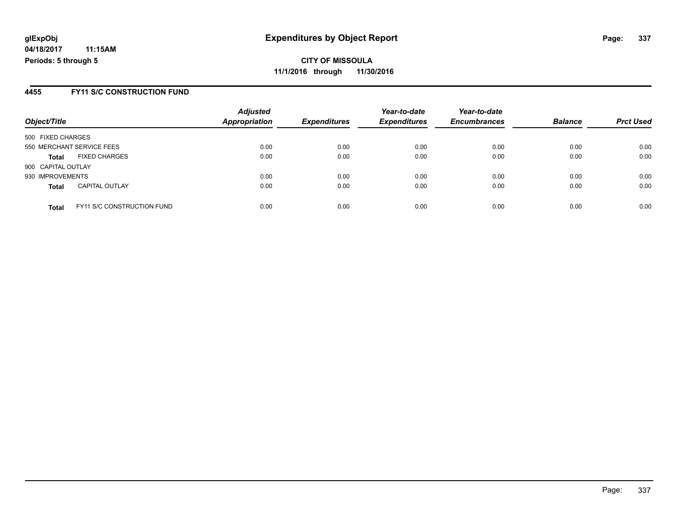**CITY OF MISSOULA 11/1/2016 through 11/30/2016**

#### **4455 FY11 S/C CONSTRUCTION FUND**

|                    |                            | <b>Adjusted</b>      |                     | Year-to-date        | Year-to-date        |                |                  |
|--------------------|----------------------------|----------------------|---------------------|---------------------|---------------------|----------------|------------------|
| Object/Title       |                            | <b>Appropriation</b> | <b>Expenditures</b> | <b>Expenditures</b> | <b>Encumbrances</b> | <b>Balance</b> | <b>Prct Used</b> |
| 500 FIXED CHARGES  |                            |                      |                     |                     |                     |                |                  |
|                    | 550 MERCHANT SERVICE FEES  | 0.00                 | 0.00                | 0.00                | 0.00                | 0.00           | 0.00             |
| <b>Total</b>       | <b>FIXED CHARGES</b>       | 0.00                 | 0.00                | 0.00                | 0.00                | 0.00           | 0.00             |
| 900 CAPITAL OUTLAY |                            |                      |                     |                     |                     |                |                  |
| 930 IMPROVEMENTS   |                            | 0.00                 | 0.00                | 0.00                | 0.00                | 0.00           | 0.00             |
| <b>Total</b>       | <b>CAPITAL OUTLAY</b>      | 0.00                 | 0.00                | 0.00                | 0.00                | 0.00           | 0.00             |
| <b>Total</b>       | FY11 S/C CONSTRUCTION FUND | 0.00                 | 0.00                | 0.00                | 0.00                | 0.00           | 0.00             |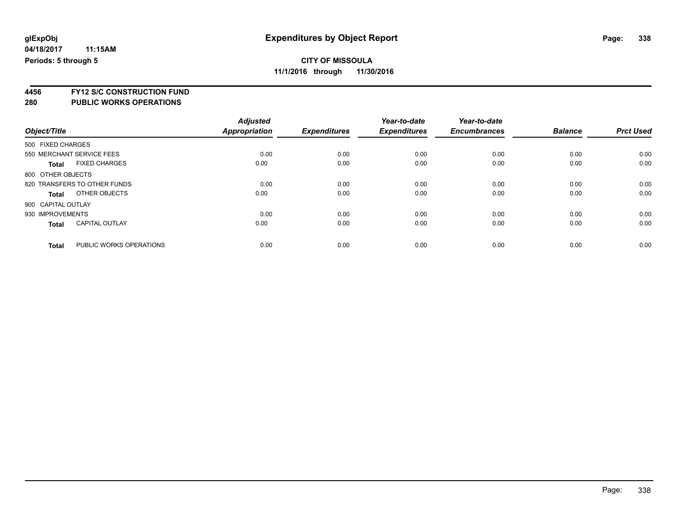**4456 FY12 S/C CONSTRUCTION FUND**

|                    |                              | <b>Adjusted</b>      |                     | Year-to-date        | Year-to-date        |                |                  |
|--------------------|------------------------------|----------------------|---------------------|---------------------|---------------------|----------------|------------------|
| Object/Title       |                              | <b>Appropriation</b> | <b>Expenditures</b> | <b>Expenditures</b> | <b>Encumbrances</b> | <b>Balance</b> | <b>Prct Used</b> |
| 500 FIXED CHARGES  |                              |                      |                     |                     |                     |                |                  |
|                    | 550 MERCHANT SERVICE FEES    | 0.00                 | 0.00                | 0.00                | 0.00                | 0.00           | 0.00             |
| <b>Total</b>       | <b>FIXED CHARGES</b>         | 0.00                 | 0.00                | 0.00                | 0.00                | 0.00           | 0.00             |
| 800 OTHER OBJECTS  |                              |                      |                     |                     |                     |                |                  |
|                    | 820 TRANSFERS TO OTHER FUNDS | 0.00                 | 0.00                | 0.00                | 0.00                | 0.00           | 0.00             |
| <b>Total</b>       | OTHER OBJECTS                | 0.00                 | 0.00                | 0.00                | 0.00                | 0.00           | 0.00             |
| 900 CAPITAL OUTLAY |                              |                      |                     |                     |                     |                |                  |
| 930 IMPROVEMENTS   |                              | 0.00                 | 0.00                | 0.00                | 0.00                | 0.00           | 0.00             |
| <b>Total</b>       | <b>CAPITAL OUTLAY</b>        | 0.00                 | 0.00                | 0.00                | 0.00                | 0.00           | 0.00             |
| <b>Total</b>       | PUBLIC WORKS OPERATIONS      | 0.00                 | 0.00                | 0.00                | 0.00                | 0.00           | 0.00             |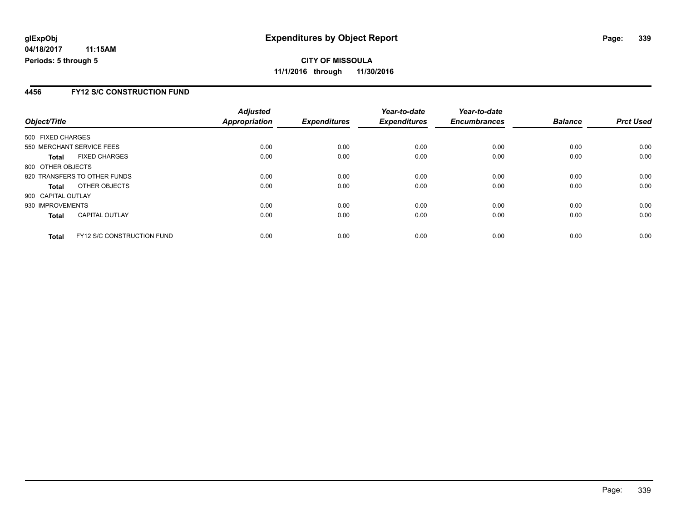**CITY OF MISSOULA 11/1/2016 through 11/30/2016**

#### **4456 FY12 S/C CONSTRUCTION FUND**

|                    |                                   | <b>Adjusted</b>      |                     | Year-to-date        | Year-to-date        |                |                  |
|--------------------|-----------------------------------|----------------------|---------------------|---------------------|---------------------|----------------|------------------|
| Object/Title       |                                   | <b>Appropriation</b> | <b>Expenditures</b> | <b>Expenditures</b> | <b>Encumbrances</b> | <b>Balance</b> | <b>Prct Used</b> |
| 500 FIXED CHARGES  |                                   |                      |                     |                     |                     |                |                  |
|                    | 550 MERCHANT SERVICE FEES         | 0.00                 | 0.00                | 0.00                | 0.00                | 0.00           | 0.00             |
| Total              | <b>FIXED CHARGES</b>              | 0.00                 | 0.00                | 0.00                | 0.00                | 0.00           | 0.00             |
| 800 OTHER OBJECTS  |                                   |                      |                     |                     |                     |                |                  |
|                    | 820 TRANSFERS TO OTHER FUNDS      | 0.00                 | 0.00                | 0.00                | 0.00                | 0.00           | 0.00             |
| <b>Total</b>       | OTHER OBJECTS                     | 0.00                 | 0.00                | 0.00                | 0.00                | 0.00           | 0.00             |
| 900 CAPITAL OUTLAY |                                   |                      |                     |                     |                     |                |                  |
| 930 IMPROVEMENTS   |                                   | 0.00                 | 0.00                | 0.00                | 0.00                | 0.00           | 0.00             |
| <b>Total</b>       | <b>CAPITAL OUTLAY</b>             | 0.00                 | 0.00                | 0.00                | 0.00                | 0.00           | 0.00             |
| <b>Total</b>       | <b>FY12 S/C CONSTRUCTION FUND</b> | 0.00                 | 0.00                | 0.00                | 0.00                | 0.00           | 0.00             |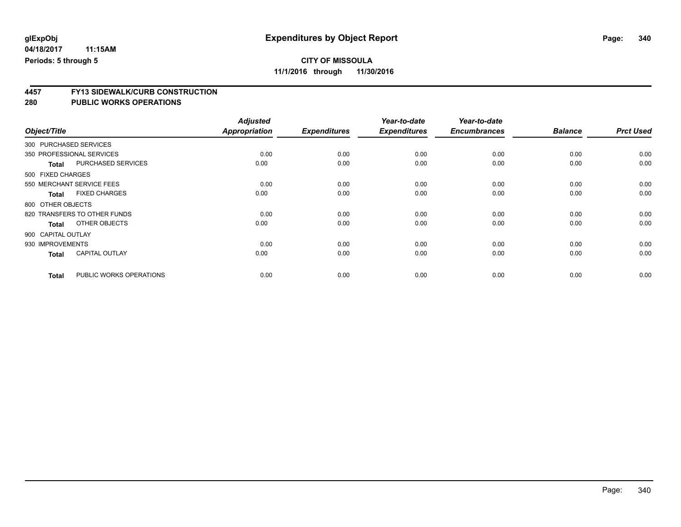# **CITY OF MISSOULA**

**11/1/2016 through 11/30/2016**

# **4457 FY13 SIDEWALK/CURB CONSTRUCTION**

|                        |                              | <b>Adjusted</b>      |                     | Year-to-date        | Year-to-date        |                |                  |
|------------------------|------------------------------|----------------------|---------------------|---------------------|---------------------|----------------|------------------|
| Object/Title           |                              | <b>Appropriation</b> | <b>Expenditures</b> | <b>Expenditures</b> | <b>Encumbrances</b> | <b>Balance</b> | <b>Prct Used</b> |
| 300 PURCHASED SERVICES |                              |                      |                     |                     |                     |                |                  |
|                        | 350 PROFESSIONAL SERVICES    | 0.00                 | 0.00                | 0.00                | 0.00                | 0.00           | 0.00             |
| <b>Total</b>           | PURCHASED SERVICES           | 0.00                 | 0.00                | 0.00                | 0.00                | 0.00           | 0.00             |
| 500 FIXED CHARGES      |                              |                      |                     |                     |                     |                |                  |
|                        | 550 MERCHANT SERVICE FEES    | 0.00                 | 0.00                | 0.00                | 0.00                | 0.00           | 0.00             |
| <b>Total</b>           | <b>FIXED CHARGES</b>         | 0.00                 | 0.00                | 0.00                | 0.00                | 0.00           | 0.00             |
| 800 OTHER OBJECTS      |                              |                      |                     |                     |                     |                |                  |
|                        | 820 TRANSFERS TO OTHER FUNDS | 0.00                 | 0.00                | 0.00                | 0.00                | 0.00           | 0.00             |
| <b>Total</b>           | OTHER OBJECTS                | 0.00                 | 0.00                | 0.00                | 0.00                | 0.00           | 0.00             |
| 900 CAPITAL OUTLAY     |                              |                      |                     |                     |                     |                |                  |
| 930 IMPROVEMENTS       |                              | 0.00                 | 0.00                | 0.00                | 0.00                | 0.00           | 0.00             |
| <b>Total</b>           | <b>CAPITAL OUTLAY</b>        | 0.00                 | 0.00                | 0.00                | 0.00                | 0.00           | 0.00             |
| <b>Total</b>           | PUBLIC WORKS OPERATIONS      | 0.00                 | 0.00                | 0.00                | 0.00                | 0.00           | 0.00             |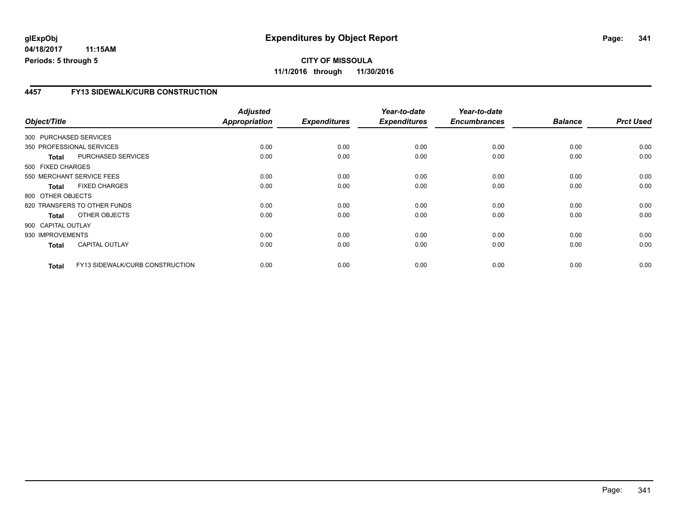## **CITY OF MISSOULA 11/1/2016 through 11/30/2016**

#### **4457 FY13 SIDEWALK/CURB CONSTRUCTION**

|                    |                                 | <b>Adjusted</b>      |                     | Year-to-date        | Year-to-date        |                |                  |
|--------------------|---------------------------------|----------------------|---------------------|---------------------|---------------------|----------------|------------------|
| Object/Title       |                                 | <b>Appropriation</b> | <b>Expenditures</b> | <b>Expenditures</b> | <b>Encumbrances</b> | <b>Balance</b> | <b>Prct Used</b> |
|                    | 300 PURCHASED SERVICES          |                      |                     |                     |                     |                |                  |
|                    | 350 PROFESSIONAL SERVICES       | 0.00                 | 0.00                | 0.00                | 0.00                | 0.00           | 0.00             |
| <b>Total</b>       | <b>PURCHASED SERVICES</b>       | 0.00                 | 0.00                | 0.00                | 0.00                | 0.00           | 0.00             |
| 500 FIXED CHARGES  |                                 |                      |                     |                     |                     |                |                  |
|                    | 550 MERCHANT SERVICE FEES       | 0.00                 | 0.00                | 0.00                | 0.00                | 0.00           | 0.00             |
| <b>Total</b>       | <b>FIXED CHARGES</b>            | 0.00                 | 0.00                | 0.00                | 0.00                | 0.00           | 0.00             |
| 800 OTHER OBJECTS  |                                 |                      |                     |                     |                     |                |                  |
|                    | 820 TRANSFERS TO OTHER FUNDS    | 0.00                 | 0.00                | 0.00                | 0.00                | 0.00           | 0.00             |
| <b>Total</b>       | OTHER OBJECTS                   | 0.00                 | 0.00                | 0.00                | 0.00                | 0.00           | 0.00             |
| 900 CAPITAL OUTLAY |                                 |                      |                     |                     |                     |                |                  |
| 930 IMPROVEMENTS   |                                 | 0.00                 | 0.00                | 0.00                | 0.00                | 0.00           | 0.00             |
| <b>Total</b>       | <b>CAPITAL OUTLAY</b>           | 0.00                 | 0.00                | 0.00                | 0.00                | 0.00           | 0.00             |
| <b>Total</b>       | FY13 SIDEWALK/CURB CONSTRUCTION | 0.00                 | 0.00                | 0.00                | 0.00                | 0.00           | 0.00             |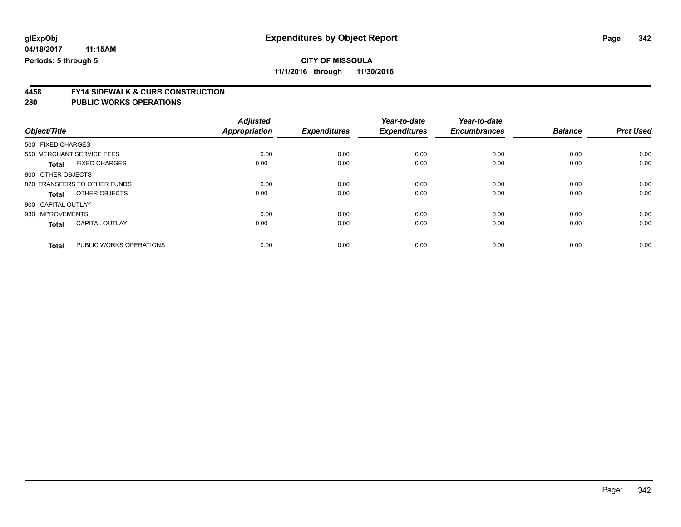# **CITY OF MISSOULA**

**11/1/2016 through 11/30/2016**

# **4458 FY14 SIDEWALK & CURB CONSTRUCTION**

| Object/Title       |                              | <b>Adjusted</b><br>Appropriation | <b>Expenditures</b> | Year-to-date<br><b>Expenditures</b> | Year-to-date<br><b>Encumbrances</b> | <b>Balance</b> | <b>Prct Used</b> |
|--------------------|------------------------------|----------------------------------|---------------------|-------------------------------------|-------------------------------------|----------------|------------------|
| 500 FIXED CHARGES  |                              |                                  |                     |                                     |                                     |                |                  |
|                    | 550 MERCHANT SERVICE FEES    | 0.00                             | 0.00                | 0.00                                | 0.00                                | 0.00           | 0.00             |
| Total              | <b>FIXED CHARGES</b>         | 0.00                             | 0.00                | 0.00                                | 0.00                                | 0.00           | 0.00             |
| 800 OTHER OBJECTS  |                              |                                  |                     |                                     |                                     |                |                  |
|                    | 820 TRANSFERS TO OTHER FUNDS | 0.00                             | 0.00                | 0.00                                | 0.00                                | 0.00           | 0.00             |
| Total              | OTHER OBJECTS                | 0.00                             | 0.00                | 0.00                                | 0.00                                | 0.00           | 0.00             |
| 900 CAPITAL OUTLAY |                              |                                  |                     |                                     |                                     |                |                  |
| 930 IMPROVEMENTS   |                              | 0.00                             | 0.00                | 0.00                                | 0.00                                | 0.00           | 0.00             |
| <b>Total</b>       | <b>CAPITAL OUTLAY</b>        | 0.00                             | 0.00                | 0.00                                | 0.00                                | 0.00           | 0.00             |
| <b>Total</b>       | PUBLIC WORKS OPERATIONS      | 0.00                             | 0.00                | 0.00                                | 0.00                                | 0.00           | 0.00             |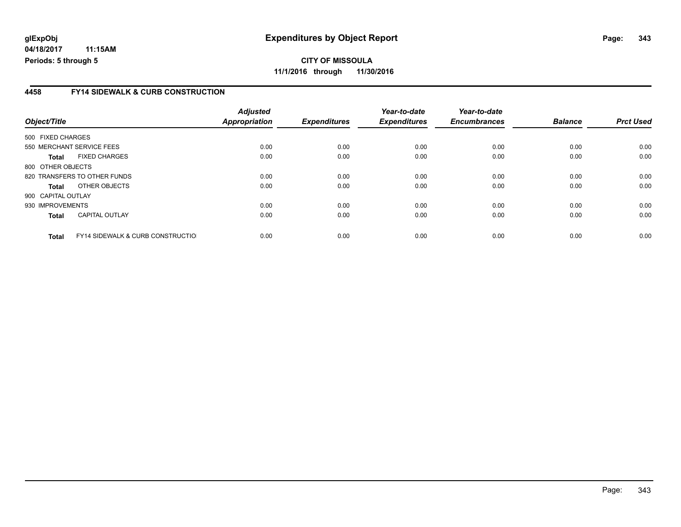#### **4458 FY14 SIDEWALK & CURB CONSTRUCTION**

|                    |                                              | <b>Adjusted</b> |                     | Year-to-date        | Year-to-date        |                |                  |
|--------------------|----------------------------------------------|-----------------|---------------------|---------------------|---------------------|----------------|------------------|
| Object/Title       |                                              | Appropriation   | <b>Expenditures</b> | <b>Expenditures</b> | <b>Encumbrances</b> | <b>Balance</b> | <b>Prct Used</b> |
| 500 FIXED CHARGES  |                                              |                 |                     |                     |                     |                |                  |
|                    | 550 MERCHANT SERVICE FEES                    | 0.00            | 0.00                | 0.00                | 0.00                | 0.00           | 0.00             |
| <b>Total</b>       | <b>FIXED CHARGES</b>                         | 0.00            | 0.00                | 0.00                | 0.00                | 0.00           | 0.00             |
| 800 OTHER OBJECTS  |                                              |                 |                     |                     |                     |                |                  |
|                    | 820 TRANSFERS TO OTHER FUNDS                 | 0.00            | 0.00                | 0.00                | 0.00                | 0.00           | 0.00             |
| <b>Total</b>       | OTHER OBJECTS                                | 0.00            | 0.00                | 0.00                | 0.00                | 0.00           | 0.00             |
| 900 CAPITAL OUTLAY |                                              |                 |                     |                     |                     |                |                  |
| 930 IMPROVEMENTS   |                                              | 0.00            | 0.00                | 0.00                | 0.00                | 0.00           | 0.00             |
| <b>Total</b>       | <b>CAPITAL OUTLAY</b>                        | 0.00            | 0.00                | 0.00                | 0.00                | 0.00           | 0.00             |
| <b>Total</b>       | <b>FY14 SIDEWALK &amp; CURB CONSTRUCTIOL</b> | 0.00            | 0.00                | 0.00                | 0.00                | 0.00           | 0.00             |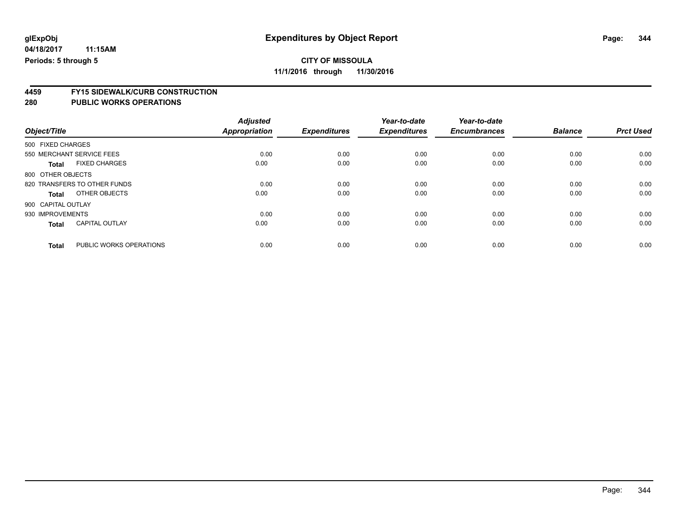# **CITY OF MISSOULA**

**11/1/2016 through 11/30/2016**

# **4459 FY15 SIDEWALK/CURB CONSTRUCTION**

|                    |                              | <b>Adjusted</b>      |                     | Year-to-date        | Year-to-date        |                |                  |
|--------------------|------------------------------|----------------------|---------------------|---------------------|---------------------|----------------|------------------|
| Object/Title       |                              | <b>Appropriation</b> | <b>Expenditures</b> | <b>Expenditures</b> | <b>Encumbrances</b> | <b>Balance</b> | <b>Prct Used</b> |
| 500 FIXED CHARGES  |                              |                      |                     |                     |                     |                |                  |
|                    | 550 MERCHANT SERVICE FEES    | 0.00                 | 0.00                | 0.00                | 0.00                | 0.00           | 0.00             |
| <b>Total</b>       | <b>FIXED CHARGES</b>         | 0.00                 | 0.00                | 0.00                | 0.00                | 0.00           | 0.00             |
| 800 OTHER OBJECTS  |                              |                      |                     |                     |                     |                |                  |
|                    | 820 TRANSFERS TO OTHER FUNDS | 0.00                 | 0.00                | 0.00                | 0.00                | 0.00           | 0.00             |
| Total              | OTHER OBJECTS                | 0.00                 | 0.00                | 0.00                | 0.00                | 0.00           | 0.00             |
| 900 CAPITAL OUTLAY |                              |                      |                     |                     |                     |                |                  |
| 930 IMPROVEMENTS   |                              | 0.00                 | 0.00                | 0.00                | 0.00                | 0.00           | 0.00             |
| <b>Total</b>       | <b>CAPITAL OUTLAY</b>        | 0.00                 | 0.00                | 0.00                | 0.00                | 0.00           | 0.00             |
| <b>Total</b>       | PUBLIC WORKS OPERATIONS      | 0.00                 | 0.00                | 0.00                | 0.00                | 0.00           | 0.00             |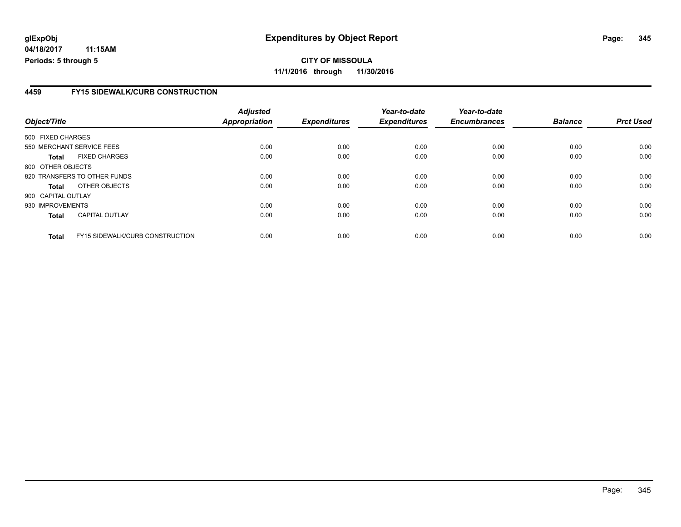**CITY OF MISSOULA 11/1/2016 through 11/30/2016**

#### **4459 FY15 SIDEWALK/CURB CONSTRUCTION**

| Object/Title       |                                        | <b>Adjusted</b><br>Appropriation | <b>Expenditures</b> | Year-to-date<br><b>Expenditures</b> | Year-to-date<br><b>Encumbrances</b> | <b>Balance</b> | <b>Prct Used</b> |
|--------------------|----------------------------------------|----------------------------------|---------------------|-------------------------------------|-------------------------------------|----------------|------------------|
|                    |                                        |                                  |                     |                                     |                                     |                |                  |
| 500 FIXED CHARGES  |                                        |                                  |                     |                                     |                                     |                |                  |
|                    | 550 MERCHANT SERVICE FEES              | 0.00                             | 0.00                | 0.00                                | 0.00                                | 0.00           | 0.00             |
| Total              | <b>FIXED CHARGES</b>                   | 0.00                             | 0.00                | 0.00                                | 0.00                                | 0.00           | 0.00             |
| 800 OTHER OBJECTS  |                                        |                                  |                     |                                     |                                     |                |                  |
|                    | 820 TRANSFERS TO OTHER FUNDS           | 0.00                             | 0.00                | 0.00                                | 0.00                                | 0.00           | 0.00             |
| <b>Total</b>       | OTHER OBJECTS                          | 0.00                             | 0.00                | 0.00                                | 0.00                                | 0.00           | 0.00             |
| 900 CAPITAL OUTLAY |                                        |                                  |                     |                                     |                                     |                |                  |
| 930 IMPROVEMENTS   |                                        | 0.00                             | 0.00                | 0.00                                | 0.00                                | 0.00           | 0.00             |
| <b>Total</b>       | <b>CAPITAL OUTLAY</b>                  | 0.00                             | 0.00                | 0.00                                | 0.00                                | 0.00           | 0.00             |
| <b>Total</b>       | <b>FY15 SIDEWALK/CURB CONSTRUCTION</b> | 0.00                             | 0.00                | 0.00                                | 0.00                                | 0.00           | 0.00             |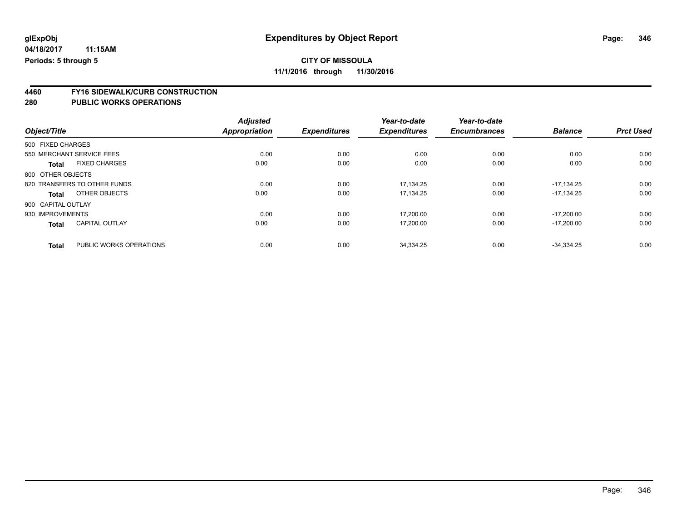# **CITY OF MISSOULA**

**11/1/2016 through 11/30/2016**

# **4460 FY16 SIDEWALK/CURB CONSTRUCTION**

|                    |                              | <b>Adjusted</b>      |                     | Year-to-date<br><b>Expenditures</b> | Year-to-date<br><b>Encumbrances</b> | <b>Balance</b> | <b>Prct Used</b> |
|--------------------|------------------------------|----------------------|---------------------|-------------------------------------|-------------------------------------|----------------|------------------|
| Object/Title       |                              | <b>Appropriation</b> | <b>Expenditures</b> |                                     |                                     |                |                  |
| 500 FIXED CHARGES  |                              |                      |                     |                                     |                                     |                |                  |
|                    | 550 MERCHANT SERVICE FEES    | 0.00                 | 0.00                | 0.00                                | 0.00                                | 0.00           | 0.00             |
| <b>Total</b>       | <b>FIXED CHARGES</b>         | 0.00                 | 0.00                | 0.00                                | 0.00                                | 0.00           | 0.00             |
| 800 OTHER OBJECTS  |                              |                      |                     |                                     |                                     |                |                  |
|                    | 820 TRANSFERS TO OTHER FUNDS | 0.00                 | 0.00                | 17.134.25                           | 0.00                                | $-17.134.25$   | 0.00             |
| Total              | OTHER OBJECTS                | 0.00                 | 0.00                | 17,134.25                           | 0.00                                | $-17.134.25$   | 0.00             |
| 900 CAPITAL OUTLAY |                              |                      |                     |                                     |                                     |                |                  |
| 930 IMPROVEMENTS   |                              | 0.00                 | 0.00                | 17,200.00                           | 0.00                                | $-17.200.00$   | 0.00             |
| <b>Total</b>       | <b>CAPITAL OUTLAY</b>        | 0.00                 | 0.00                | 17.200.00                           | 0.00                                | $-17.200.00$   | 0.00             |
| <b>Total</b>       | PUBLIC WORKS OPERATIONS      | 0.00                 | 0.00                | 34,334.25                           | 0.00                                | $-34.334.25$   | 0.00             |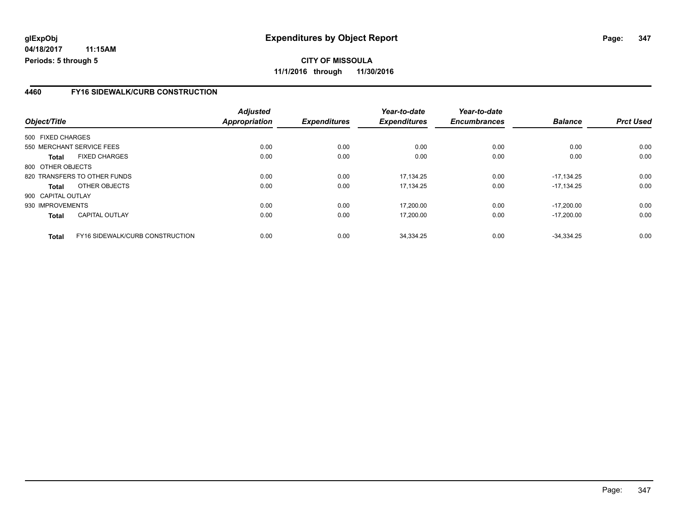**CITY OF MISSOULA 11/1/2016 through 11/30/2016**

#### **4460 FY16 SIDEWALK/CURB CONSTRUCTION**

|                    |                                 | <b>Adjusted</b> |                     | Year-to-date        | Year-to-date        |                |                  |
|--------------------|---------------------------------|-----------------|---------------------|---------------------|---------------------|----------------|------------------|
| Object/Title       |                                 | Appropriation   | <b>Expenditures</b> | <b>Expenditures</b> | <b>Encumbrances</b> | <b>Balance</b> | <b>Prct Used</b> |
| 500 FIXED CHARGES  |                                 |                 |                     |                     |                     |                |                  |
|                    | 550 MERCHANT SERVICE FEES       | 0.00            | 0.00                | 0.00                | 0.00                | 0.00           | 0.00             |
| <b>Total</b>       | <b>FIXED CHARGES</b>            | 0.00            | 0.00                | 0.00                | 0.00                | 0.00           | 0.00             |
| 800 OTHER OBJECTS  |                                 |                 |                     |                     |                     |                |                  |
|                    | 820 TRANSFERS TO OTHER FUNDS    | 0.00            | 0.00                | 17.134.25           | 0.00                | $-17.134.25$   | 0.00             |
| <b>Total</b>       | OTHER OBJECTS                   | 0.00            | 0.00                | 17.134.25           | 0.00                | $-17.134.25$   | 0.00             |
| 900 CAPITAL OUTLAY |                                 |                 |                     |                     |                     |                |                  |
| 930 IMPROVEMENTS   |                                 | 0.00            | 0.00                | 17.200.00           | 0.00                | $-17.200.00$   | 0.00             |
| <b>Total</b>       | <b>CAPITAL OUTLAY</b>           | 0.00            | 0.00                | 17.200.00           | 0.00                | $-17.200.00$   | 0.00             |
| <b>Total</b>       | FY16 SIDEWALK/CURB CONSTRUCTION | 0.00            | 0.00                | 34.334.25           | 0.00                | $-34.334.25$   | 0.00             |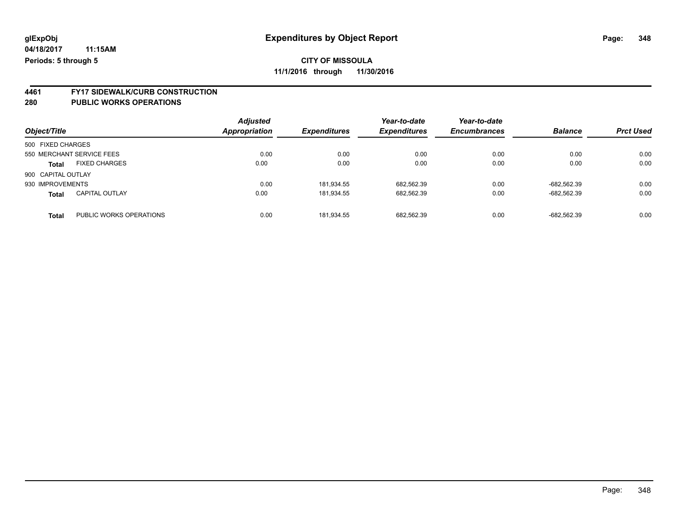### **CITY OF MISSOULA 11/1/2016 through 11/30/2016**

# **4461 FY17 SIDEWALK/CURB CONSTRUCTION**

| Object/Title       |                           | <b>Adjusted</b><br>Appropriation | <b>Expenditures</b> | Year-to-date<br><b>Expenditures</b> | Year-to-date<br><b>Encumbrances</b> | <b>Balance</b> | <b>Prct Used</b> |
|--------------------|---------------------------|----------------------------------|---------------------|-------------------------------------|-------------------------------------|----------------|------------------|
| 500 FIXED CHARGES  |                           |                                  |                     |                                     |                                     |                |                  |
|                    | 550 MERCHANT SERVICE FEES | 0.00                             | 0.00                | 0.00                                | 0.00                                | 0.00           | 0.00             |
| <b>Total</b>       | <b>FIXED CHARGES</b>      | 0.00                             | 0.00                | 0.00                                | 0.00                                | 0.00           | 0.00             |
| 900 CAPITAL OUTLAY |                           |                                  |                     |                                     |                                     |                |                  |
| 930 IMPROVEMENTS   |                           | 0.00                             | 181.934.55          | 682,562.39                          | 0.00                                | -682.562.39    | 0.00             |
| <b>Total</b>       | <b>CAPITAL OUTLAY</b>     | 0.00                             | 181.934.55          | 682,562.39                          | 0.00                                | -682.562.39    | 0.00             |
| <b>Total</b>       | PUBLIC WORKS OPERATIONS   | 0.00                             | 181.934.55          | 682,562.39                          | 0.00                                | -682.562.39    | 0.00             |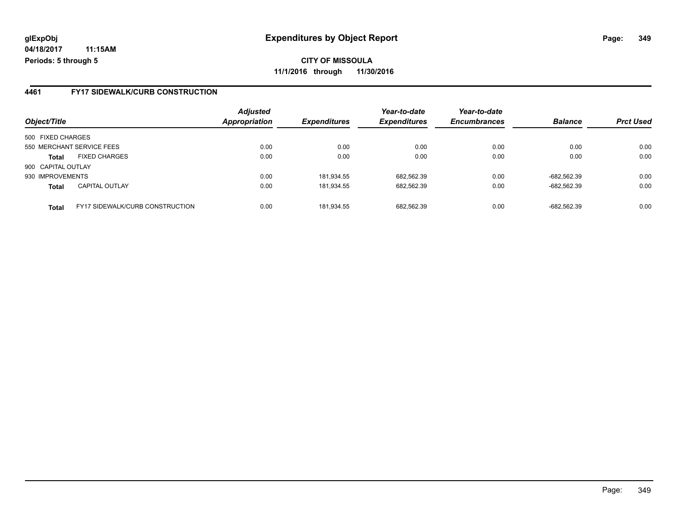#### **4461 FY17 SIDEWALK/CURB CONSTRUCTION**

|                    |                                        | <b>Adjusted</b><br><b>Appropriation</b> | <b>Expenditures</b> | Year-to-date<br><b>Expenditures</b> | Year-to-date<br><b>Encumbrances</b> | <b>Balance</b> | <b>Prct Used</b> |
|--------------------|----------------------------------------|-----------------------------------------|---------------------|-------------------------------------|-------------------------------------|----------------|------------------|
| Object/Title       |                                        |                                         |                     |                                     |                                     |                |                  |
| 500 FIXED CHARGES  |                                        |                                         |                     |                                     |                                     |                |                  |
|                    | 550 MERCHANT SERVICE FEES              | 0.00                                    | 0.00                | 0.00                                | 0.00                                | 0.00           | 0.00             |
| <b>Total</b>       | <b>FIXED CHARGES</b>                   | 0.00                                    | 0.00                | 0.00                                | 0.00                                | 0.00           | 0.00             |
| 900 CAPITAL OUTLAY |                                        |                                         |                     |                                     |                                     |                |                  |
| 930 IMPROVEMENTS   |                                        | 0.00                                    | 181,934.55          | 682,562.39                          | 0.00                                | -682.562.39    | 0.00             |
| <b>Total</b>       | <b>CAPITAL OUTLAY</b>                  | 0.00                                    | 181,934.55          | 682,562.39                          | 0.00                                | -682,562.39    | 0.00             |
| <b>Total</b>       | <b>FY17 SIDEWALK/CURB CONSTRUCTION</b> | 0.00                                    | 181.934.55          | 682.562.39                          | 0.00                                | -682.562.39    | 0.00             |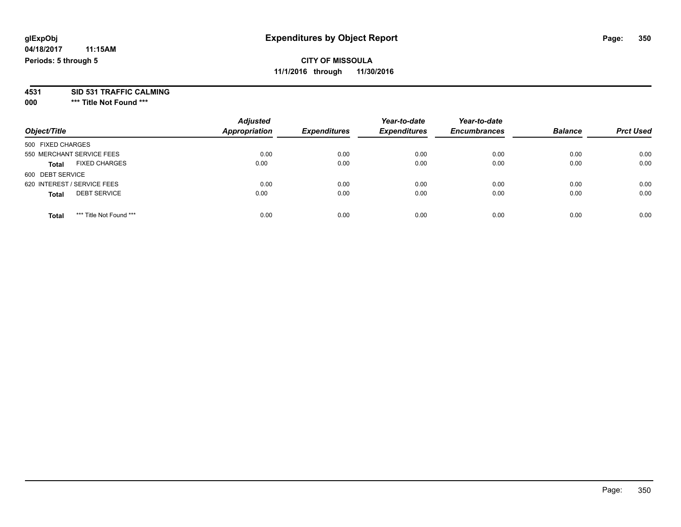# **4531 SID 531 TRAFFIC CALMING**

**000 \*\*\* Title Not Found \*\*\***

| Object/Title                            | <b>Adjusted</b><br><b>Appropriation</b> | <b>Expenditures</b> | Year-to-date<br><b>Expenditures</b> | Year-to-date<br><b>Encumbrances</b> | <b>Balance</b> | <b>Prct Used</b> |
|-----------------------------------------|-----------------------------------------|---------------------|-------------------------------------|-------------------------------------|----------------|------------------|
| 500 FIXED CHARGES                       |                                         |                     |                                     |                                     |                |                  |
| 550 MERCHANT SERVICE FEES               | 0.00                                    | 0.00                | 0.00                                | 0.00                                | 0.00           | 0.00             |
| <b>FIXED CHARGES</b><br><b>Total</b>    | 0.00                                    | 0.00                | 0.00                                | 0.00                                | 0.00           | 0.00             |
| 600 DEBT SERVICE                        |                                         |                     |                                     |                                     |                |                  |
| 620 INTEREST / SERVICE FEES             | 0.00                                    | 0.00                | 0.00                                | 0.00                                | 0.00           | 0.00             |
| <b>DEBT SERVICE</b><br><b>Total</b>     | 0.00                                    | 0.00                | 0.00                                | 0.00                                | 0.00           | 0.00             |
| *** Title Not Found ***<br><b>Total</b> | 0.00                                    | 0.00                | 0.00                                | 0.00                                | 0.00           | 0.00             |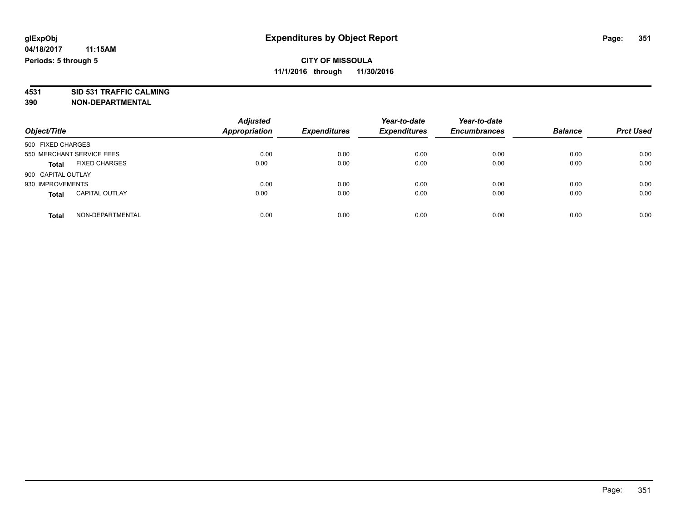**4531 SID 531 TRAFFIC CALMING 390 NON-DEPARTMENTAL**

| Object/Title                          | <b>Adjusted</b><br><b>Appropriation</b> | <b>Expenditures</b> | Year-to-date<br><b>Expenditures</b> | Year-to-date<br><b>Encumbrances</b> | <b>Balance</b> | <b>Prct Used</b> |
|---------------------------------------|-----------------------------------------|---------------------|-------------------------------------|-------------------------------------|----------------|------------------|
| 500 FIXED CHARGES                     |                                         |                     |                                     |                                     |                |                  |
| 550 MERCHANT SERVICE FEES             | 0.00                                    | 0.00                | 0.00                                | 0.00                                | 0.00           | 0.00             |
| <b>FIXED CHARGES</b><br><b>Total</b>  | 0.00                                    | 0.00                | 0.00                                | 0.00                                | 0.00           | 0.00             |
| 900 CAPITAL OUTLAY                    |                                         |                     |                                     |                                     |                |                  |
| 930 IMPROVEMENTS                      | 0.00                                    | 0.00                | 0.00                                | 0.00                                | 0.00           | 0.00             |
| <b>CAPITAL OUTLAY</b><br><b>Total</b> | 0.00                                    | 0.00                | 0.00                                | 0.00                                | 0.00           | 0.00             |
| NON-DEPARTMENTAL<br>Total             | 0.00                                    | 0.00                | 0.00                                | 0.00                                | 0.00           | 0.00             |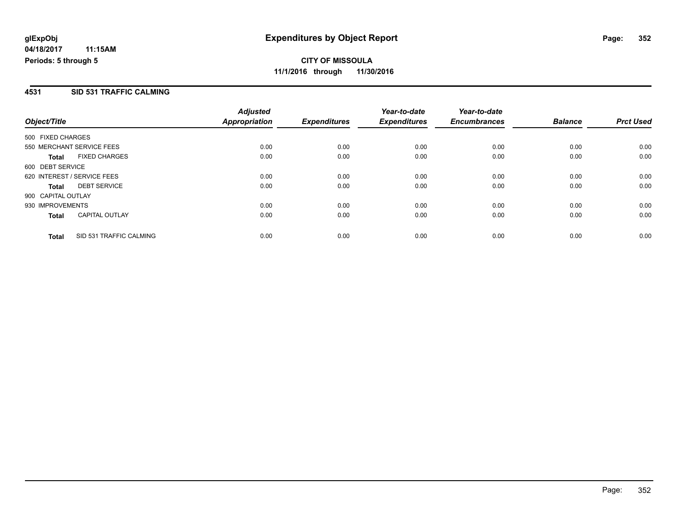#### **4531 SID 531 TRAFFIC CALMING**

|                             |                         | <b>Adjusted</b> |                     | Year-to-date        | Year-to-date        |                |                  |
|-----------------------------|-------------------------|-----------------|---------------------|---------------------|---------------------|----------------|------------------|
| Object/Title                |                         | Appropriation   | <b>Expenditures</b> | <b>Expenditures</b> | <b>Encumbrances</b> | <b>Balance</b> | <b>Prct Used</b> |
| 500 FIXED CHARGES           |                         |                 |                     |                     |                     |                |                  |
| 550 MERCHANT SERVICE FEES   |                         | 0.00            | 0.00                | 0.00                | 0.00                | 0.00           | 0.00             |
| <b>Total</b>                | <b>FIXED CHARGES</b>    | 0.00            | 0.00                | 0.00                | 0.00                | 0.00           | 0.00             |
| 600 DEBT SERVICE            |                         |                 |                     |                     |                     |                |                  |
| 620 INTEREST / SERVICE FEES |                         | 0.00            | 0.00                | 0.00                | 0.00                | 0.00           | 0.00             |
| <b>Total</b>                | <b>DEBT SERVICE</b>     | 0.00            | 0.00                | 0.00                | 0.00                | 0.00           | 0.00             |
| 900 CAPITAL OUTLAY          |                         |                 |                     |                     |                     |                |                  |
| 930 IMPROVEMENTS            |                         | 0.00            | 0.00                | 0.00                | 0.00                | 0.00           | 0.00             |
| <b>Total</b>                | <b>CAPITAL OUTLAY</b>   | 0.00            | 0.00                | 0.00                | 0.00                | 0.00           | 0.00             |
| <b>Total</b>                | SID 531 TRAFFIC CALMING | 0.00            | 0.00                | 0.00                | 0.00                | 0.00           | 0.00             |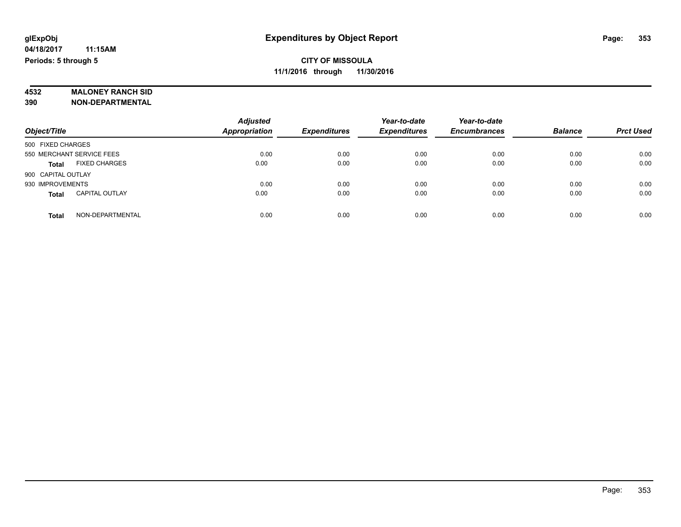# **4532 MALONEY RANCH SID**

**390 NON-DEPARTMENTAL**

|                                       | <b>Adjusted</b>      |                     | Year-to-date        | Year-to-date        |                |                  |
|---------------------------------------|----------------------|---------------------|---------------------|---------------------|----------------|------------------|
| Object/Title                          | <b>Appropriation</b> | <b>Expenditures</b> | <b>Expenditures</b> | <b>Encumbrances</b> | <b>Balance</b> | <b>Prct Used</b> |
| 500 FIXED CHARGES                     |                      |                     |                     |                     |                |                  |
| 550 MERCHANT SERVICE FEES             | 0.00                 | 0.00                | 0.00                | 0.00                | 0.00           | 0.00             |
| <b>FIXED CHARGES</b><br><b>Total</b>  | 0.00                 | 0.00                | 0.00                | 0.00                | 0.00           | 0.00             |
| 900 CAPITAL OUTLAY                    |                      |                     |                     |                     |                |                  |
| 930 IMPROVEMENTS                      | 0.00                 | 0.00                | 0.00                | 0.00                | 0.00           | 0.00             |
| <b>CAPITAL OUTLAY</b><br><b>Total</b> | 0.00                 | 0.00                | 0.00                | 0.00                | 0.00           | 0.00             |
| NON-DEPARTMENTAL<br>Total             | 0.00                 | 0.00                | 0.00                | 0.00                | 0.00           | 0.00             |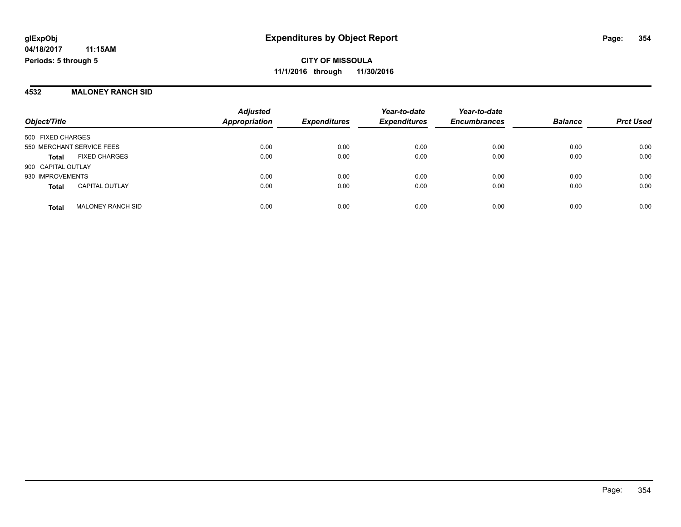**4532 MALONEY RANCH SID**

|                           |                          | <b>Adjusted</b>      |                     | Year-to-date        | Year-to-date        |                |                  |
|---------------------------|--------------------------|----------------------|---------------------|---------------------|---------------------|----------------|------------------|
| Object/Title              |                          | <b>Appropriation</b> | <b>Expenditures</b> | <b>Expenditures</b> | <b>Encumbrances</b> | <b>Balance</b> | <b>Prct Used</b> |
| 500 FIXED CHARGES         |                          |                      |                     |                     |                     |                |                  |
| 550 MERCHANT SERVICE FEES |                          | 0.00                 | 0.00                | 0.00                | 0.00                | 0.00           | 0.00             |
| <b>Total</b>              | <b>FIXED CHARGES</b>     | 0.00                 | 0.00                | 0.00                | 0.00                | 0.00           | 0.00             |
| 900 CAPITAL OUTLAY        |                          |                      |                     |                     |                     |                |                  |
| 930 IMPROVEMENTS          |                          | 0.00                 | 0.00                | 0.00                | 0.00                | 0.00           | 0.00             |
| <b>Total</b>              | <b>CAPITAL OUTLAY</b>    | 0.00                 | 0.00                | 0.00                | 0.00                | 0.00           | 0.00             |
| <b>Total</b>              | <b>MALONEY RANCH SID</b> | 0.00                 | 0.00                | 0.00                | 0.00                | 0.00           | 0.00             |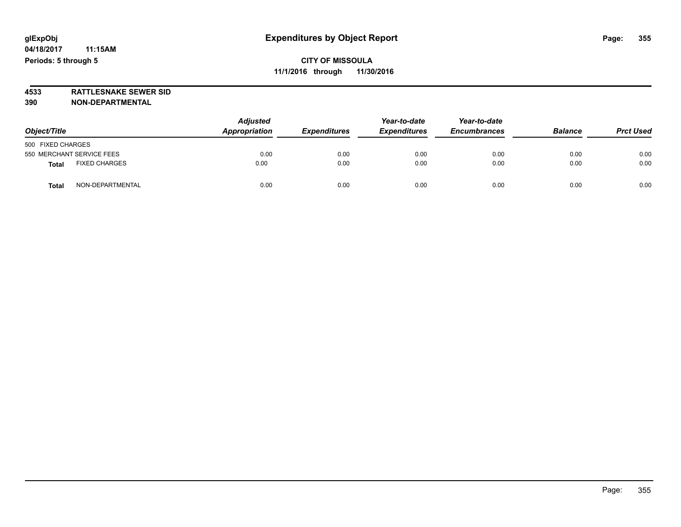**4533 RATTLESNAKE SEWER SID 390 NON-DEPARTMENTAL**

| Object/Title                         | <b>Adjusted</b><br>Appropriation<br><b>Expenditures</b> | Year-to-date<br><b>Expenditures</b> | Year-to-date<br><b>Encumbrances</b> | <b>Balance</b> | <b>Prct Used</b> |      |
|--------------------------------------|---------------------------------------------------------|-------------------------------------|-------------------------------------|----------------|------------------|------|
| 500 FIXED CHARGES                    |                                                         |                                     |                                     |                |                  |      |
| 550 MERCHANT SERVICE FEES            | 0.00                                                    | 0.00                                | 0.00                                | 0.00           | 0.00             | 0.00 |
| <b>FIXED CHARGES</b><br><b>Total</b> | 0.00                                                    | 0.00                                | 0.00                                | 0.00           | 0.00             | 0.00 |
| NON-DEPARTMENTAL<br><b>Total</b>     | 0.00                                                    | 0.00                                | 0.00                                | 0.00           | 0.00             | 0.00 |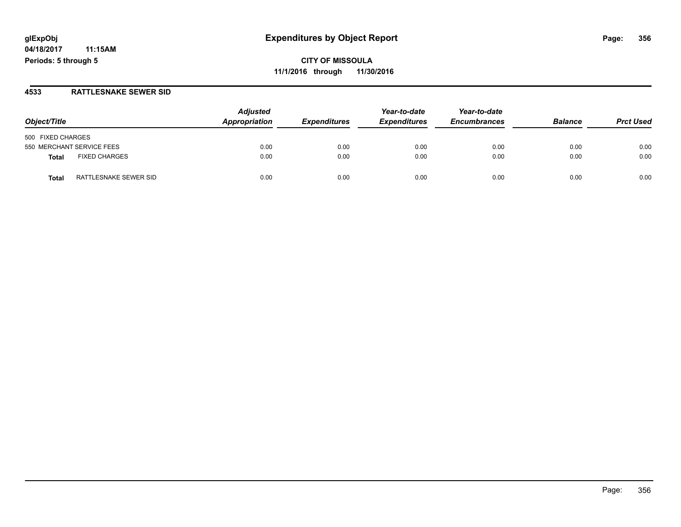**CITY OF MISSOULA 11/1/2016 through 11/30/2016**

#### **4533 RATTLESNAKE SEWER SID**

| Object/Title                         | <b>Adjusted</b><br>Appropriation | <b>Expenditures</b> | Year-to-date<br><b>Expenditures</b> | Year-to-date<br><b>Encumbrances</b> | <b>Balance</b> | <b>Prct Used</b> |
|--------------------------------------|----------------------------------|---------------------|-------------------------------------|-------------------------------------|----------------|------------------|
| 500 FIXED CHARGES                    |                                  |                     |                                     |                                     |                |                  |
| 550 MERCHANT SERVICE FEES            | 0.00                             | 0.00                | 0.00                                | 0.00                                | 0.00           | 0.00             |
| <b>FIXED CHARGES</b><br><b>Total</b> | 0.00                             | 0.00                | 0.00                                | 0.00                                | 0.00           | 0.00             |
| RATTLESNAKE SEWER SID<br>Total       | 0.00                             | 0.00                | 0.00                                | 0.00                                | 0.00           | 0.00             |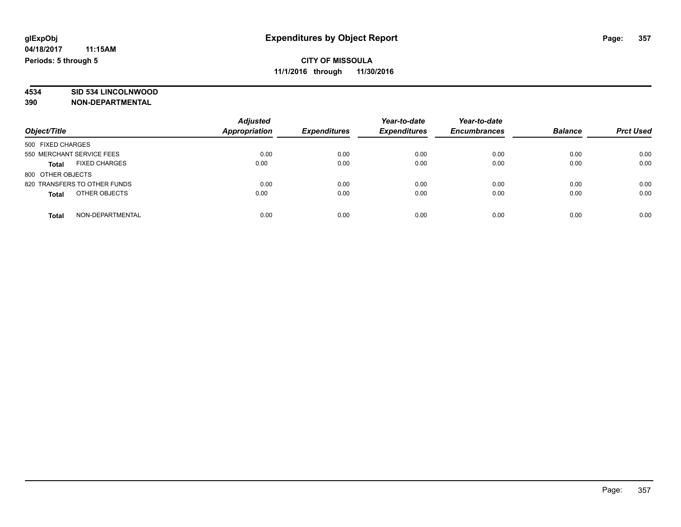# **4534 SID 534 LINCOLNWOOD**

**390 NON-DEPARTMENTAL**

|                                      | <b>Adjusted</b>      |                     | Year-to-date        | Year-to-date        |                |                  |
|--------------------------------------|----------------------|---------------------|---------------------|---------------------|----------------|------------------|
| Object/Title                         | <b>Appropriation</b> | <b>Expenditures</b> | <b>Expenditures</b> | <b>Encumbrances</b> | <b>Balance</b> | <b>Prct Used</b> |
| 500 FIXED CHARGES                    |                      |                     |                     |                     |                |                  |
| 550 MERCHANT SERVICE FEES            | 0.00                 | 0.00                | 0.00                | 0.00                | 0.00           | 0.00             |
| <b>FIXED CHARGES</b><br><b>Total</b> | 0.00                 | 0.00                | 0.00                | 0.00                | 0.00           | 0.00             |
| 800 OTHER OBJECTS                    |                      |                     |                     |                     |                |                  |
| 820 TRANSFERS TO OTHER FUNDS         | 0.00                 | 0.00                | 0.00                | 0.00                | 0.00           | 0.00             |
| OTHER OBJECTS<br><b>Total</b>        | 0.00                 | 0.00                | 0.00                | 0.00                | 0.00           | 0.00             |
| NON-DEPARTMENTAL<br>Total            | 0.00                 | 0.00                | 0.00                | 0.00                | 0.00           | 0.00             |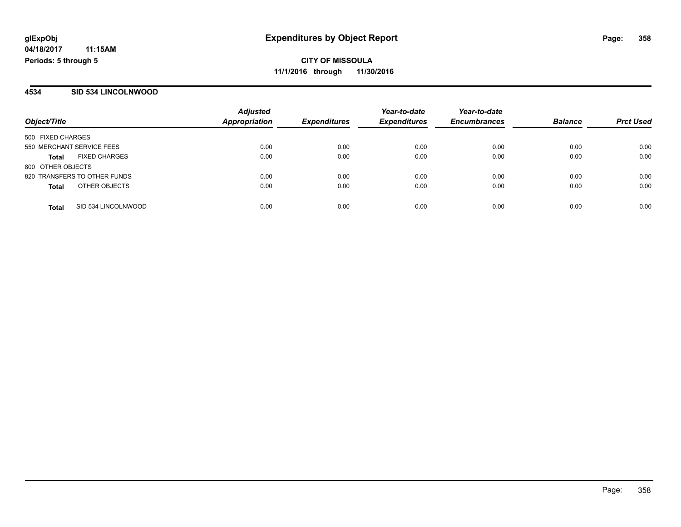#### **4534 SID 534 LINCOLNWOOD**

| Object/Title                 |                      | <b>Adjusted</b>      |                     | Year-to-date        | Year-to-date        |                |                  |
|------------------------------|----------------------|----------------------|---------------------|---------------------|---------------------|----------------|------------------|
|                              |                      | <b>Appropriation</b> | <b>Expenditures</b> | <b>Expenditures</b> | <b>Encumbrances</b> | <b>Balance</b> | <b>Prct Used</b> |
| 500 FIXED CHARGES            |                      |                      |                     |                     |                     |                |                  |
| 550 MERCHANT SERVICE FEES    |                      | 0.00                 | 0.00                | 0.00                | 0.00                | 0.00           | 0.00             |
| Total                        | <b>FIXED CHARGES</b> | 0.00                 | 0.00                | 0.00                | 0.00                | 0.00           | 0.00             |
| 800 OTHER OBJECTS            |                      |                      |                     |                     |                     |                |                  |
| 820 TRANSFERS TO OTHER FUNDS |                      | 0.00                 | 0.00                | 0.00                | 0.00                | 0.00           | 0.00             |
| <b>Total</b>                 | OTHER OBJECTS        | 0.00                 | 0.00                | 0.00                | 0.00                | 0.00           | 0.00             |
| <b>Total</b>                 | SID 534 LINCOLNWOOD  | 0.00                 | 0.00                | 0.00                | 0.00                | 0.00           | 0.00             |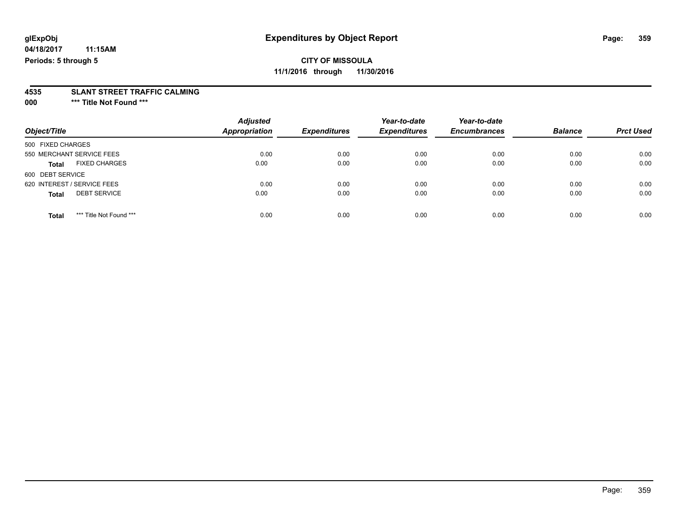# **4535 SLANT STREET TRAFFIC CALMING**

**000 \*\*\* Title Not Found \*\*\***

| Object/Title                            | <b>Adjusted</b><br>Appropriation | <b>Expenditures</b> | Year-to-date<br><b>Expenditures</b> | Year-to-date<br><b>Encumbrances</b> | <b>Balance</b> | <b>Prct Used</b> |
|-----------------------------------------|----------------------------------|---------------------|-------------------------------------|-------------------------------------|----------------|------------------|
| 500 FIXED CHARGES                       |                                  |                     |                                     |                                     |                |                  |
| 550 MERCHANT SERVICE FEES               | 0.00                             | 0.00                | 0.00                                | 0.00                                | 0.00           | 0.00             |
| <b>FIXED CHARGES</b><br><b>Total</b>    | 0.00                             | 0.00                | 0.00                                | 0.00                                | 0.00           | 0.00             |
| 600 DEBT SERVICE                        |                                  |                     |                                     |                                     |                |                  |
| 620 INTEREST / SERVICE FEES             | 0.00                             | 0.00                | 0.00                                | 0.00                                | 0.00           | 0.00             |
| <b>DEBT SERVICE</b><br><b>Total</b>     | 0.00                             | 0.00                | 0.00                                | 0.00                                | 0.00           | 0.00             |
| *** Title Not Found ***<br><b>Total</b> | 0.00                             | 0.00                | 0.00                                | 0.00                                | 0.00           | 0.00             |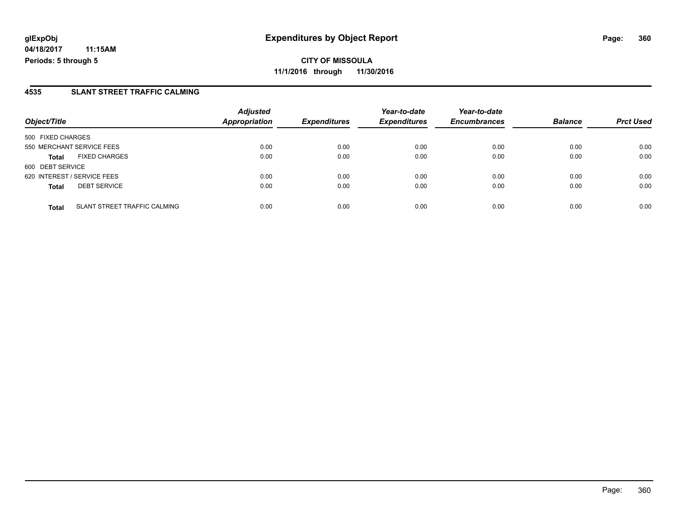**CITY OF MISSOULA 11/1/2016 through 11/30/2016**

#### **4535 SLANT STREET TRAFFIC CALMING**

| Object/Title                |                                     | <b>Adjusted</b><br><b>Appropriation</b> | <b>Expenditures</b> | Year-to-date<br><b>Expenditures</b> | Year-to-date<br><b>Encumbrances</b> | <b>Balance</b> |                  |
|-----------------------------|-------------------------------------|-----------------------------------------|---------------------|-------------------------------------|-------------------------------------|----------------|------------------|
|                             |                                     |                                         |                     |                                     |                                     |                | <b>Prct Used</b> |
| 500 FIXED CHARGES           |                                     |                                         |                     |                                     |                                     |                |                  |
|                             | 550 MERCHANT SERVICE FEES           | 0.00                                    | 0.00                | 0.00                                | 0.00                                | 0.00           | 0.00             |
| <b>Total</b>                | <b>FIXED CHARGES</b>                | 0.00                                    | 0.00                | 0.00                                | 0.00                                | 0.00           | 0.00             |
| 600 DEBT SERVICE            |                                     |                                         |                     |                                     |                                     |                |                  |
| 620 INTEREST / SERVICE FEES |                                     | 0.00                                    | 0.00                | 0.00                                | 0.00                                | 0.00           | 0.00             |
| <b>Total</b>                | <b>DEBT SERVICE</b>                 | 0.00                                    | 0.00                | 0.00                                | 0.00                                | 0.00           | 0.00             |
| <b>Total</b>                | <b>SLANT STREET TRAFFIC CALMING</b> | 0.00                                    | 0.00                | 0.00                                | 0.00                                | 0.00           | 0.00             |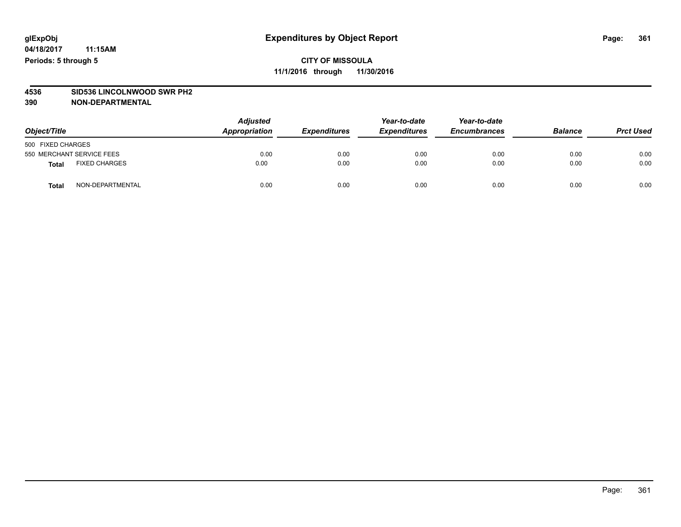# **4536 SID536 LINCOLNWOOD SWR PH2**

| Object/Title                  | <b>Adjusted</b><br>Appropriation | <b>Expenditures</b> | Year-to-date<br><b>Expenditures</b> | Year-to-date<br><b>Encumbrances</b> | <b>Balance</b> | <b>Prct Used</b> |
|-------------------------------|----------------------------------|---------------------|-------------------------------------|-------------------------------------|----------------|------------------|
| 500 FIXED CHARGES             |                                  |                     |                                     |                                     |                |                  |
| 550 MERCHANT SERVICE FEES     | 0.00                             | 0.00                | 0.00                                | 0.00                                | 0.00           | 0.00             |
| <b>FIXED CHARGES</b><br>Total | 0.00                             | 0.00                | 0.00                                | 0.00                                | 0.00           | 0.00             |
| NON-DEPARTMENTAL<br>Total     | 0.00                             | 0.00                | 0.00                                | 0.00                                | 0.00           | 0.00             |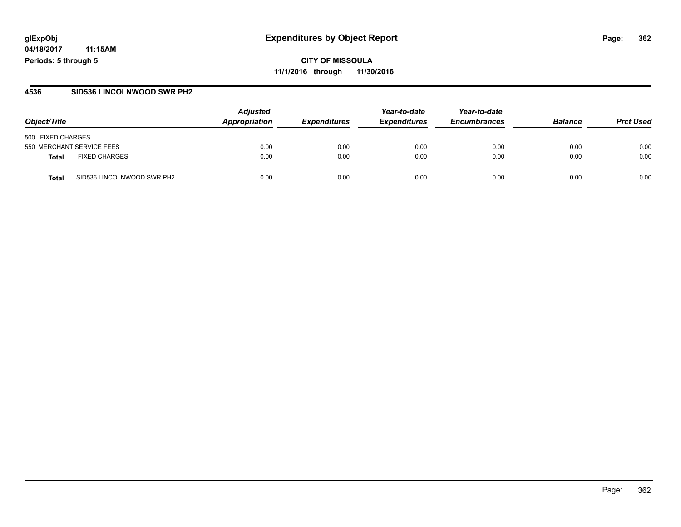**CITY OF MISSOULA 11/1/2016 through 11/30/2016**

#### **4536 SID536 LINCOLNWOOD SWR PH2**

|                                            | <b>Adjusted</b> |                     | Year-to-date        | Year-to-date        |                |                  |
|--------------------------------------------|-----------------|---------------------|---------------------|---------------------|----------------|------------------|
| Object/Title                               | Appropriation   | <b>Expenditures</b> | <b>Expenditures</b> | <b>Encumbrances</b> | <b>Balance</b> | <b>Prct Used</b> |
| 500 FIXED CHARGES                          |                 |                     |                     |                     |                |                  |
| 550 MERCHANT SERVICE FEES                  | 0.00            | 0.00                | 0.00                | 0.00                | 0.00           | 0.00             |
| <b>FIXED CHARGES</b><br>Total              | 0.00            | 0.00                | 0.00                | 0.00                | 0.00           | 0.00             |
| SID536 LINCOLNWOOD SWR PH2<br><b>Total</b> | 0.00            | 0.00                | 0.00                | 0.00                | 0.00           | 0.00             |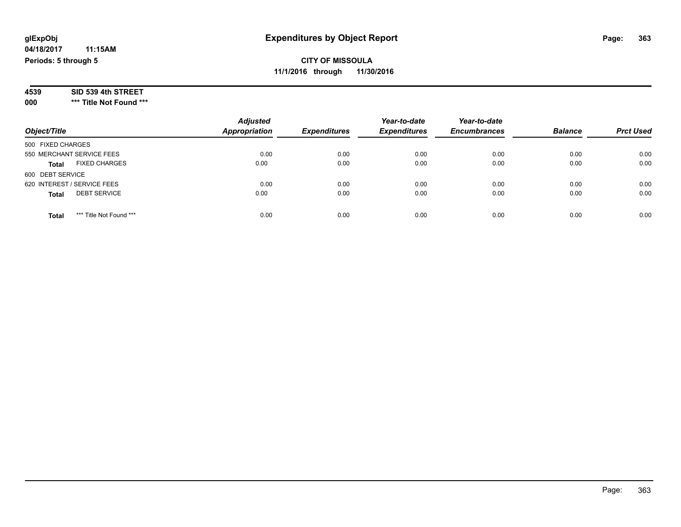**000 \*\*\* Title Not Found \*\*\***

| Object/Title                            | <b>Adjusted</b><br><b>Appropriation</b> | <b>Expenditures</b> | Year-to-date<br><b>Expenditures</b> | Year-to-date<br><b>Encumbrances</b> | <b>Balance</b> | <b>Prct Used</b> |
|-----------------------------------------|-----------------------------------------|---------------------|-------------------------------------|-------------------------------------|----------------|------------------|
| 500 FIXED CHARGES                       |                                         |                     |                                     |                                     |                |                  |
| 550 MERCHANT SERVICE FEES               | 0.00                                    | 0.00                | 0.00                                | 0.00                                | 0.00           | 0.00             |
| <b>FIXED CHARGES</b><br><b>Total</b>    | 0.00                                    | 0.00                | 0.00                                | 0.00                                | 0.00           | 0.00             |
| 600 DEBT SERVICE                        |                                         |                     |                                     |                                     |                |                  |
| 620 INTEREST / SERVICE FEES             | 0.00                                    | 0.00                | 0.00                                | 0.00                                | 0.00           | 0.00             |
| <b>DEBT SERVICE</b><br><b>Total</b>     | 0.00                                    | 0.00                | 0.00                                | 0.00                                | 0.00           | 0.00             |
| *** Title Not Found ***<br><b>Total</b> | 0.00                                    | 0.00                | 0.00                                | 0.00                                | 0.00           | 0.00             |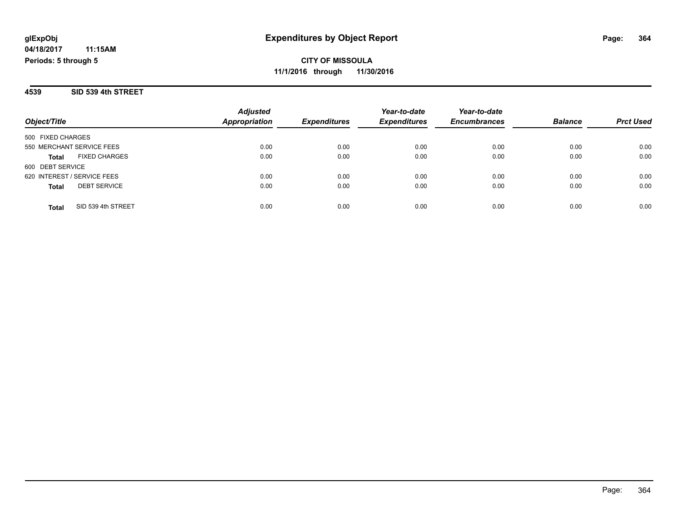**4539 SID 539 4th STREET**

|                                      | <b>Adjusted</b>                             |                     | Year-to-date        | Year-to-date   |                  |      |
|--------------------------------------|---------------------------------------------|---------------------|---------------------|----------------|------------------|------|
| Object/Title                         | <b>Appropriation</b><br><b>Expenditures</b> | <b>Expenditures</b> | <b>Encumbrances</b> | <b>Balance</b> | <b>Prct Used</b> |      |
| 500 FIXED CHARGES                    |                                             |                     |                     |                |                  |      |
| 550 MERCHANT SERVICE FEES            | 0.00                                        | 0.00                | 0.00                | 0.00           | 0.00             | 0.00 |
| <b>FIXED CHARGES</b><br><b>Total</b> | 0.00                                        | 0.00                | 0.00                | 0.00           | 0.00             | 0.00 |
| 600 DEBT SERVICE                     |                                             |                     |                     |                |                  |      |
| 620 INTEREST / SERVICE FEES          | 0.00                                        | 0.00                | 0.00                | 0.00           | 0.00             | 0.00 |
| <b>DEBT SERVICE</b><br><b>Total</b>  | 0.00                                        | 0.00                | 0.00                | 0.00           | 0.00             | 0.00 |
| SID 539 4th STREET<br>Total          | 0.00                                        | 0.00                | 0.00                | 0.00           | 0.00             | 0.00 |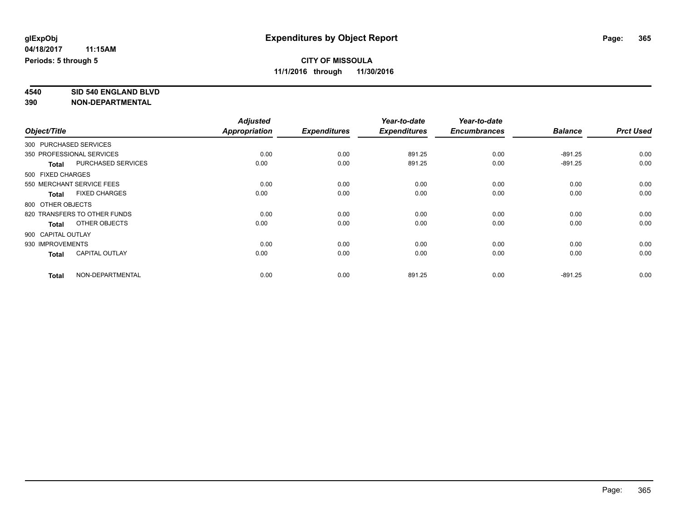# **4540 SID 540 ENGLAND BLVD**

|                        |                              | <b>Adjusted</b> |                     | Year-to-date        | Year-to-date        |                |                  |
|------------------------|------------------------------|-----------------|---------------------|---------------------|---------------------|----------------|------------------|
| Object/Title           |                              | Appropriation   | <b>Expenditures</b> | <b>Expenditures</b> | <b>Encumbrances</b> | <b>Balance</b> | <b>Prct Used</b> |
| 300 PURCHASED SERVICES |                              |                 |                     |                     |                     |                |                  |
|                        | 350 PROFESSIONAL SERVICES    | 0.00            | 0.00                | 891.25              | 0.00                | $-891.25$      | 0.00             |
| <b>Total</b>           | <b>PURCHASED SERVICES</b>    | 0.00            | 0.00                | 891.25              | 0.00                | $-891.25$      | 0.00             |
| 500 FIXED CHARGES      |                              |                 |                     |                     |                     |                |                  |
|                        | 550 MERCHANT SERVICE FEES    | 0.00            | 0.00                | 0.00                | 0.00                | 0.00           | 0.00             |
| <b>Total</b>           | <b>FIXED CHARGES</b>         | 0.00            | 0.00                | 0.00                | 0.00                | 0.00           | 0.00             |
| 800 OTHER OBJECTS      |                              |                 |                     |                     |                     |                |                  |
|                        | 820 TRANSFERS TO OTHER FUNDS | 0.00            | 0.00                | 0.00                | 0.00                | 0.00           | 0.00             |
| <b>Total</b>           | OTHER OBJECTS                | 0.00            | 0.00                | 0.00                | 0.00                | 0.00           | 0.00             |
| 900 CAPITAL OUTLAY     |                              |                 |                     |                     |                     |                |                  |
| 930 IMPROVEMENTS       |                              | 0.00            | 0.00                | 0.00                | 0.00                | 0.00           | 0.00             |
| <b>Total</b>           | <b>CAPITAL OUTLAY</b>        | 0.00            | 0.00                | 0.00                | 0.00                | 0.00           | 0.00             |
| <b>Total</b>           | NON-DEPARTMENTAL             | 0.00            | 0.00                | 891.25              | 0.00                | $-891.25$      | 0.00             |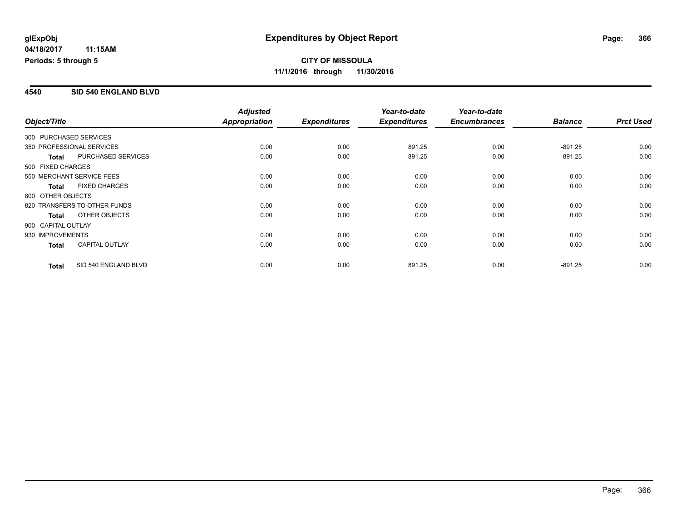#### **4540 SID 540 ENGLAND BLVD**

|                           |                              | <b>Adjusted</b> |                     | Year-to-date        | Year-to-date        |                |                  |
|---------------------------|------------------------------|-----------------|---------------------|---------------------|---------------------|----------------|------------------|
| Object/Title              |                              | Appropriation   | <b>Expenditures</b> | <b>Expenditures</b> | <b>Encumbrances</b> | <b>Balance</b> | <b>Prct Used</b> |
| 300 PURCHASED SERVICES    |                              |                 |                     |                     |                     |                |                  |
| 350 PROFESSIONAL SERVICES |                              | 0.00            | 0.00                | 891.25              | 0.00                | $-891.25$      | 0.00             |
| <b>Total</b>              | <b>PURCHASED SERVICES</b>    | 0.00            | 0.00                | 891.25              | 0.00                | $-891.25$      | 0.00             |
| 500 FIXED CHARGES         |                              |                 |                     |                     |                     |                |                  |
| 550 MERCHANT SERVICE FEES |                              | 0.00            | 0.00                | 0.00                | 0.00                | 0.00           | 0.00             |
| <b>Total</b>              | <b>FIXED CHARGES</b>         | 0.00            | 0.00                | 0.00                | 0.00                | 0.00           | 0.00             |
| 800 OTHER OBJECTS         |                              |                 |                     |                     |                     |                |                  |
|                           | 820 TRANSFERS TO OTHER FUNDS | 0.00            | 0.00                | 0.00                | 0.00                | 0.00           | 0.00             |
| <b>Total</b>              | OTHER OBJECTS                | 0.00            | 0.00                | 0.00                | 0.00                | 0.00           | 0.00             |
| 900 CAPITAL OUTLAY        |                              |                 |                     |                     |                     |                |                  |
| 930 IMPROVEMENTS          |                              | 0.00            | 0.00                | 0.00                | 0.00                | 0.00           | 0.00             |
| <b>Total</b>              | <b>CAPITAL OUTLAY</b>        | 0.00            | 0.00                | 0.00                | 0.00                | 0.00           | 0.00             |
| <b>Total</b>              | SID 540 ENGLAND BLVD         | 0.00            | 0.00                | 891.25              | 0.00                | $-891.25$      | 0.00             |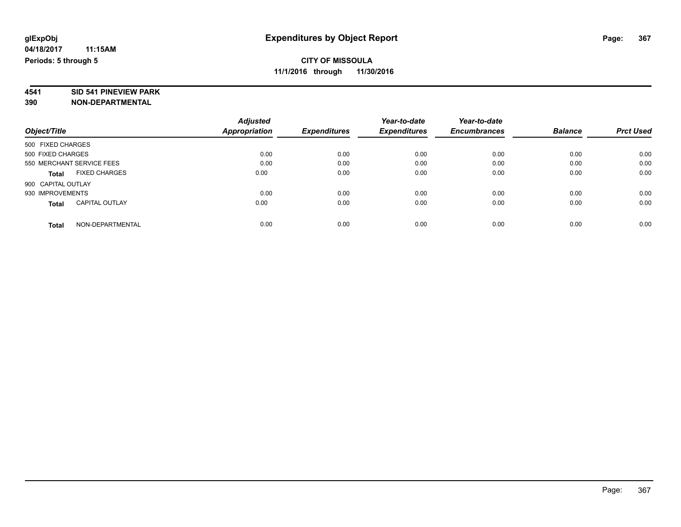# **4541 SID 541 PINEVIEW PARK**

|                                       | <b>Adjusted</b> |                     | Year-to-date        | Year-to-date        |                |                  |
|---------------------------------------|-----------------|---------------------|---------------------|---------------------|----------------|------------------|
| Object/Title                          | Appropriation   | <b>Expenditures</b> | <b>Expenditures</b> | <b>Encumbrances</b> | <b>Balance</b> | <b>Prct Used</b> |
| 500 FIXED CHARGES                     |                 |                     |                     |                     |                |                  |
| 500 FIXED CHARGES                     | 0.00            | 0.00                | 0.00                | 0.00                | 0.00           | 0.00             |
| 550 MERCHANT SERVICE FEES             | 0.00            | 0.00                | 0.00                | 0.00                | 0.00           | 0.00             |
| <b>FIXED CHARGES</b><br><b>Total</b>  | 0.00            | 0.00                | 0.00                | 0.00                | 0.00           | 0.00             |
| 900 CAPITAL OUTLAY                    |                 |                     |                     |                     |                |                  |
| 930 IMPROVEMENTS                      | 0.00            | 0.00                | 0.00                | 0.00                | 0.00           | 0.00             |
| <b>CAPITAL OUTLAY</b><br><b>Total</b> | 0.00            | 0.00                | 0.00                | 0.00                | 0.00           | 0.00             |
| NON-DEPARTMENTAL<br><b>Total</b>      | 0.00            | 0.00                | 0.00                | 0.00                | 0.00           | 0.00             |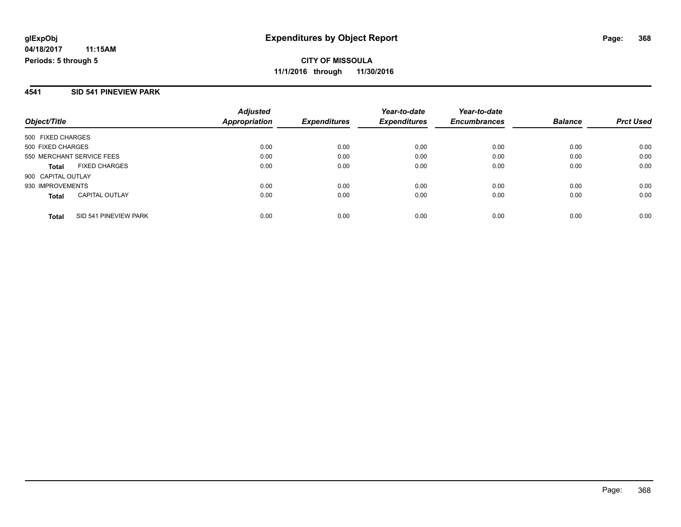#### **4541 SID 541 PINEVIEW PARK**

| Object/Title                          | <b>Adjusted</b><br><b>Appropriation</b> | <b>Expenditures</b> | Year-to-date<br><b>Expenditures</b> | Year-to-date<br><b>Encumbrances</b> | <b>Balance</b> | <b>Prct Used</b> |
|---------------------------------------|-----------------------------------------|---------------------|-------------------------------------|-------------------------------------|----------------|------------------|
| 500 FIXED CHARGES                     |                                         |                     |                                     |                                     |                |                  |
| 500 FIXED CHARGES                     | 0.00                                    | 0.00                | 0.00                                | 0.00                                | 0.00           | 0.00             |
| 550 MERCHANT SERVICE FEES             | 0.00                                    | 0.00                | 0.00                                | 0.00                                | 0.00           | 0.00             |
| <b>FIXED CHARGES</b><br><b>Total</b>  | 0.00                                    | 0.00                | 0.00                                | 0.00                                | 0.00           | 0.00             |
| 900 CAPITAL OUTLAY                    |                                         |                     |                                     |                                     |                |                  |
| 930 IMPROVEMENTS                      | 0.00                                    | 0.00                | 0.00                                | 0.00                                | 0.00           | 0.00             |
| <b>CAPITAL OUTLAY</b><br><b>Total</b> | 0.00                                    | 0.00                | 0.00                                | 0.00                                | 0.00           | 0.00             |
| SID 541 PINEVIEW PARK<br><b>Total</b> | 0.00                                    | 0.00                | 0.00                                | 0.00                                | 0.00           | 0.00             |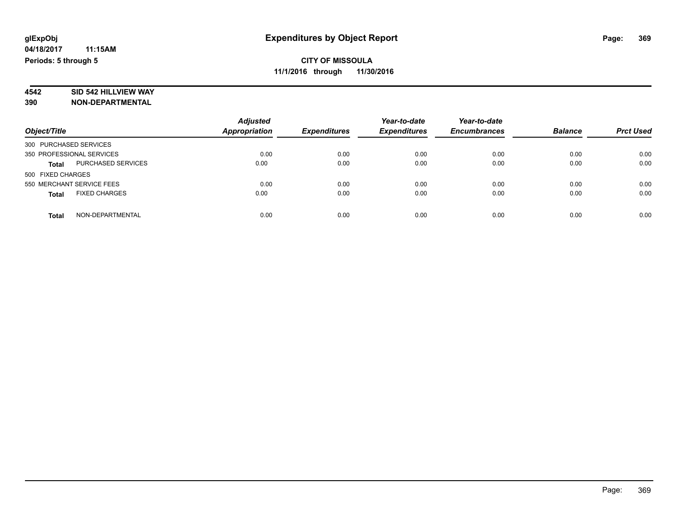# **4542 SID 542 HILLVIEW WAY**

| Object/Title                              | <b>Adjusted</b><br>Appropriation | <b>Expenditures</b> | Year-to-date<br><b>Expenditures</b> | Year-to-date<br><b>Encumbrances</b> | <b>Balance</b> | <b>Prct Used</b> |
|-------------------------------------------|----------------------------------|---------------------|-------------------------------------|-------------------------------------|----------------|------------------|
| 300 PURCHASED SERVICES                    |                                  |                     |                                     |                                     |                |                  |
| 350 PROFESSIONAL SERVICES                 | 0.00                             | 0.00                | 0.00                                | 0.00                                | 0.00           | 0.00             |
| <b>PURCHASED SERVICES</b><br><b>Total</b> | 0.00                             | 0.00                | 0.00                                | 0.00                                | 0.00           | 0.00             |
| 500 FIXED CHARGES                         |                                  |                     |                                     |                                     |                |                  |
| 550 MERCHANT SERVICE FEES                 | 0.00                             | 0.00                | 0.00                                | 0.00                                | 0.00           | 0.00             |
| <b>FIXED CHARGES</b><br><b>Total</b>      | 0.00                             | 0.00                | 0.00                                | 0.00                                | 0.00           | 0.00             |
| NON-DEPARTMENTAL<br><b>Total</b>          | 0.00                             | 0.00                | 0.00                                | 0.00                                | 0.00           | 0.00             |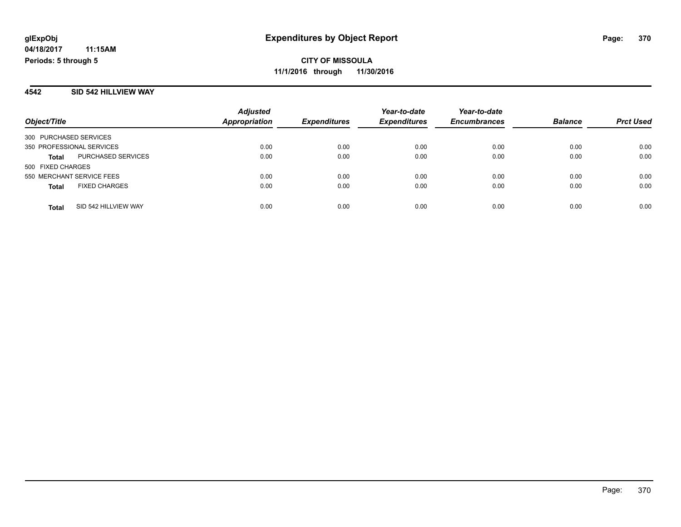#### **4542 SID 542 HILLVIEW WAY**

|                           |                           | <b>Adjusted</b>      |                     | Year-to-date        | Year-to-date        |                |                  |
|---------------------------|---------------------------|----------------------|---------------------|---------------------|---------------------|----------------|------------------|
| Object/Title              |                           | <b>Appropriation</b> | <b>Expenditures</b> | <b>Expenditures</b> | <b>Encumbrances</b> | <b>Balance</b> | <b>Prct Used</b> |
| 300 PURCHASED SERVICES    |                           |                      |                     |                     |                     |                |                  |
| 350 PROFESSIONAL SERVICES |                           | 0.00                 | 0.00                | 0.00                | 0.00                | 0.00           | 0.00             |
| <b>Total</b>              | <b>PURCHASED SERVICES</b> | 0.00                 | 0.00                | 0.00                | 0.00                | 0.00           | 0.00             |
| 500 FIXED CHARGES         |                           |                      |                     |                     |                     |                |                  |
| 550 MERCHANT SERVICE FEES |                           | 0.00                 | 0.00                | 0.00                | 0.00                | 0.00           | 0.00             |
| <b>Total</b>              | <b>FIXED CHARGES</b>      | 0.00                 | 0.00                | 0.00                | 0.00                | 0.00           | 0.00             |
| <b>Total</b>              | SID 542 HILLVIEW WAY      | 0.00                 | 0.00                | 0.00                | 0.00                | 0.00           | 0.00             |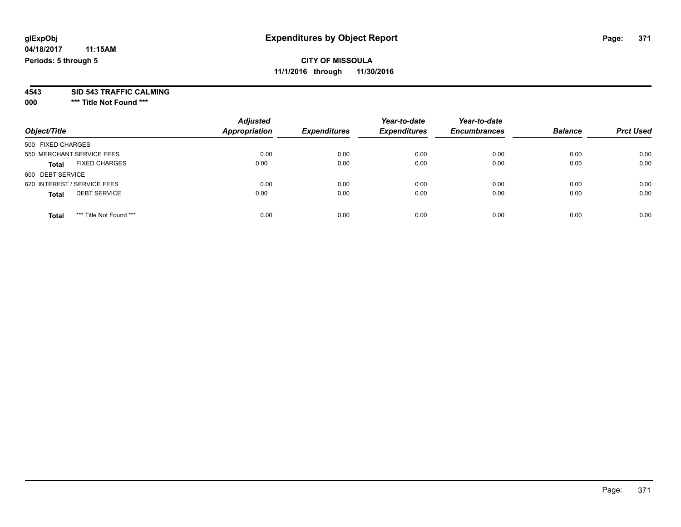#### **4543 SID 543 TRAFFIC CALMING**

**000 \*\*\* Title Not Found \*\*\***

| Object/Title                            | <b>Adjusted</b><br><b>Appropriation</b> | <b>Expenditures</b> | Year-to-date<br><b>Expenditures</b> | Year-to-date<br><b>Encumbrances</b> | <b>Balance</b> | <b>Prct Used</b> |
|-----------------------------------------|-----------------------------------------|---------------------|-------------------------------------|-------------------------------------|----------------|------------------|
| 500 FIXED CHARGES                       |                                         |                     |                                     |                                     |                |                  |
| 550 MERCHANT SERVICE FEES               | 0.00                                    | 0.00                | 0.00                                | 0.00                                | 0.00           | 0.00             |
| <b>FIXED CHARGES</b><br><b>Total</b>    | 0.00                                    | 0.00                | 0.00                                | 0.00                                | 0.00           | 0.00             |
| 600 DEBT SERVICE                        |                                         |                     |                                     |                                     |                |                  |
| 620 INTEREST / SERVICE FEES             | 0.00                                    | 0.00                | 0.00                                | 0.00                                | 0.00           | 0.00             |
| <b>DEBT SERVICE</b><br><b>Total</b>     | 0.00                                    | 0.00                | 0.00                                | 0.00                                | 0.00           | 0.00             |
|                                         |                                         |                     |                                     |                                     |                |                  |
| *** Title Not Found ***<br><b>Total</b> | 0.00                                    | 0.00                | 0.00                                | 0.00                                | 0.00           | 0.00             |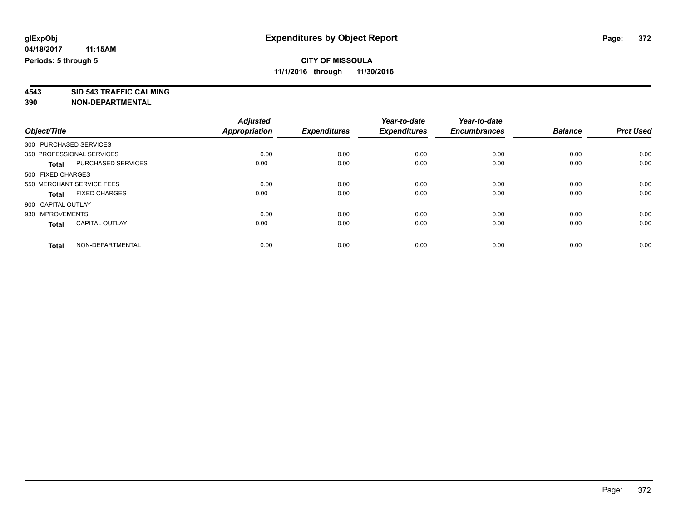**4543 SID 543 TRAFFIC CALMING**

|                                       | <b>Adjusted</b>      |                     | Year-to-date        | Year-to-date        |                |                  |
|---------------------------------------|----------------------|---------------------|---------------------|---------------------|----------------|------------------|
| Object/Title                          | <b>Appropriation</b> | <b>Expenditures</b> | <b>Expenditures</b> | <b>Encumbrances</b> | <b>Balance</b> | <b>Prct Used</b> |
| 300 PURCHASED SERVICES                |                      |                     |                     |                     |                |                  |
| 350 PROFESSIONAL SERVICES             | 0.00                 | 0.00                | 0.00                | 0.00                | 0.00           | 0.00             |
| PURCHASED SERVICES<br>Total           | 0.00                 | 0.00                | 0.00                | 0.00                | 0.00           | 0.00             |
| 500 FIXED CHARGES                     |                      |                     |                     |                     |                |                  |
| 550 MERCHANT SERVICE FEES             | 0.00                 | 0.00                | 0.00                | 0.00                | 0.00           | 0.00             |
| <b>FIXED CHARGES</b><br><b>Total</b>  | 0.00                 | 0.00                | 0.00                | 0.00                | 0.00           | 0.00             |
| 900 CAPITAL OUTLAY                    |                      |                     |                     |                     |                |                  |
| 930 IMPROVEMENTS                      | 0.00                 | 0.00                | 0.00                | 0.00                | 0.00           | 0.00             |
| <b>CAPITAL OUTLAY</b><br><b>Total</b> | 0.00                 | 0.00                | 0.00                | 0.00                | 0.00           | 0.00             |
| NON-DEPARTMENTAL<br><b>Total</b>      | 0.00                 | 0.00                | 0.00                | 0.00                | 0.00           | 0.00             |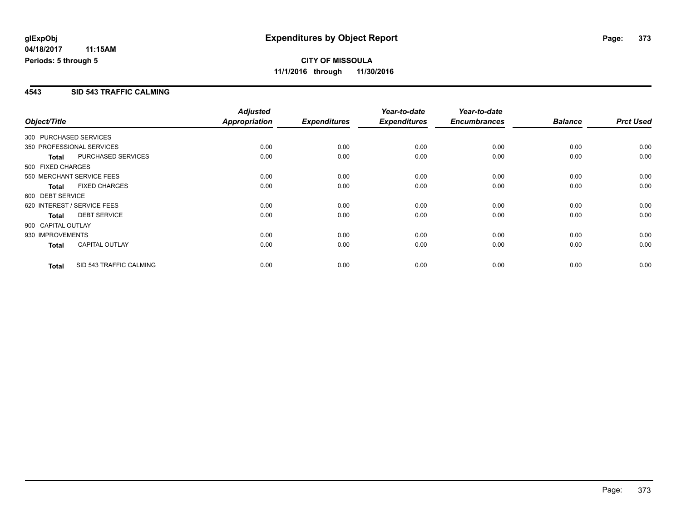#### **4543 SID 543 TRAFFIC CALMING**

|                    |                             | <b>Adjusted</b>      |                     | Year-to-date        | Year-to-date        |                |                  |
|--------------------|-----------------------------|----------------------|---------------------|---------------------|---------------------|----------------|------------------|
| Object/Title       |                             | <b>Appropriation</b> | <b>Expenditures</b> | <b>Expenditures</b> | <b>Encumbrances</b> | <b>Balance</b> | <b>Prct Used</b> |
|                    | 300 PURCHASED SERVICES      |                      |                     |                     |                     |                |                  |
|                    | 350 PROFESSIONAL SERVICES   | 0.00                 | 0.00                | 0.00                | 0.00                | 0.00           | 0.00             |
| <b>Total</b>       | <b>PURCHASED SERVICES</b>   | 0.00                 | 0.00                | 0.00                | 0.00                | 0.00           | 0.00             |
| 500 FIXED CHARGES  |                             |                      |                     |                     |                     |                |                  |
|                    | 550 MERCHANT SERVICE FEES   | 0.00                 | 0.00                | 0.00                | 0.00                | 0.00           | 0.00             |
| <b>Total</b>       | <b>FIXED CHARGES</b>        | 0.00                 | 0.00                | 0.00                | 0.00                | 0.00           | 0.00             |
| 600 DEBT SERVICE   |                             |                      |                     |                     |                     |                |                  |
|                    | 620 INTEREST / SERVICE FEES | 0.00                 | 0.00                | 0.00                | 0.00                | 0.00           | 0.00             |
| Total              | <b>DEBT SERVICE</b>         | 0.00                 | 0.00                | 0.00                | 0.00                | 0.00           | 0.00             |
| 900 CAPITAL OUTLAY |                             |                      |                     |                     |                     |                |                  |
| 930 IMPROVEMENTS   |                             | 0.00                 | 0.00                | 0.00                | 0.00                | 0.00           | 0.00             |
| <b>Total</b>       | <b>CAPITAL OUTLAY</b>       | 0.00                 | 0.00                | 0.00                | 0.00                | 0.00           | 0.00             |
| <b>Total</b>       | SID 543 TRAFFIC CALMING     | 0.00                 | 0.00                | 0.00                | 0.00                | 0.00           | 0.00             |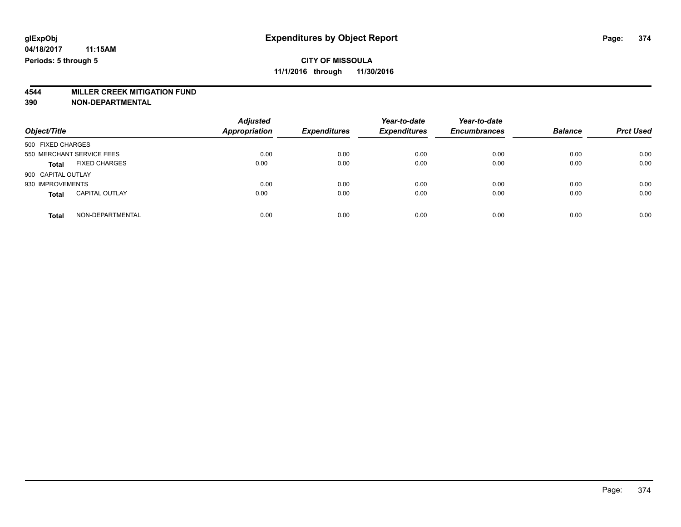# **4544 MILLER CREEK MITIGATION FUND**

| Object/Title                          | <b>Adjusted</b><br>Appropriation | <b>Expenditures</b> | Year-to-date<br><b>Expenditures</b> | Year-to-date<br><b>Encumbrances</b> | <b>Balance</b> | <b>Prct Used</b> |
|---------------------------------------|----------------------------------|---------------------|-------------------------------------|-------------------------------------|----------------|------------------|
| 500 FIXED CHARGES                     |                                  |                     |                                     |                                     |                |                  |
| 550 MERCHANT SERVICE FEES             | 0.00                             | 0.00                | 0.00                                | 0.00                                | 0.00           | 0.00             |
| <b>FIXED CHARGES</b><br><b>Total</b>  | 0.00                             | 0.00                | 0.00                                | 0.00                                | 0.00           | 0.00             |
| 900 CAPITAL OUTLAY                    |                                  |                     |                                     |                                     |                |                  |
| 930 IMPROVEMENTS                      | 0.00                             | 0.00                | 0.00                                | 0.00                                | 0.00           | 0.00             |
| <b>CAPITAL OUTLAY</b><br><b>Total</b> | 0.00                             | 0.00                | 0.00                                | 0.00                                | 0.00           | 0.00             |
| NON-DEPARTMENTAL<br>Total             | 0.00                             | 0.00                | 0.00                                | 0.00                                | 0.00           | 0.00             |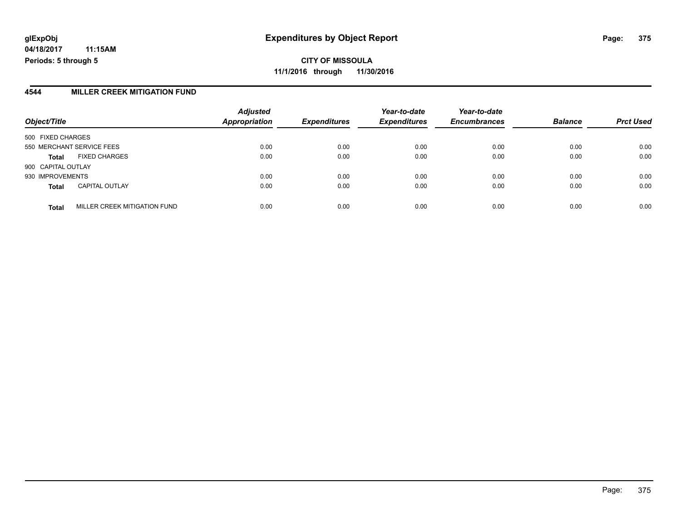**CITY OF MISSOULA 11/1/2016 through 11/30/2016**

#### **4544 MILLER CREEK MITIGATION FUND**

|                    |                              | <b>Adjusted</b>      |                     | Year-to-date        | Year-to-date        |                |                  |
|--------------------|------------------------------|----------------------|---------------------|---------------------|---------------------|----------------|------------------|
| Object/Title       |                              | <b>Appropriation</b> | <b>Expenditures</b> | <b>Expenditures</b> | <b>Encumbrances</b> | <b>Balance</b> | <b>Prct Used</b> |
| 500 FIXED CHARGES  |                              |                      |                     |                     |                     |                |                  |
|                    | 550 MERCHANT SERVICE FEES    | 0.00                 | 0.00                | 0.00                | 0.00                | 0.00           | 0.00             |
| <b>Total</b>       | <b>FIXED CHARGES</b>         | 0.00                 | 0.00                | 0.00                | 0.00                | 0.00           | 0.00             |
| 900 CAPITAL OUTLAY |                              |                      |                     |                     |                     |                |                  |
| 930 IMPROVEMENTS   |                              | 0.00                 | 0.00                | 0.00                | 0.00                | 0.00           | 0.00             |
| <b>Total</b>       | <b>CAPITAL OUTLAY</b>        | 0.00                 | 0.00                | 0.00                | 0.00                | 0.00           | 0.00             |
| <b>Total</b>       | MILLER CREEK MITIGATION FUND | 0.00                 | 0.00                | 0.00                | 0.00                | 0.00           | 0.00             |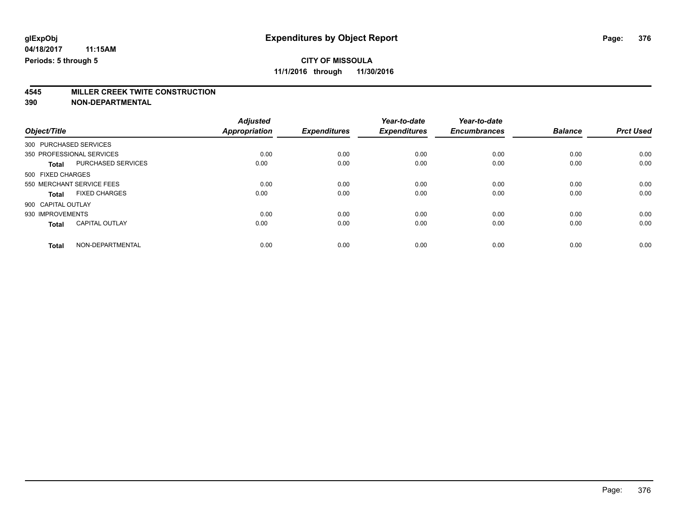# **4545 MILLER CREEK TWITE CONSTRUCTION**

|                        |                           | <b>Adjusted</b>      |                     | Year-to-date        | Year-to-date        |                |                  |
|------------------------|---------------------------|----------------------|---------------------|---------------------|---------------------|----------------|------------------|
| Object/Title           |                           | <b>Appropriation</b> | <b>Expenditures</b> | <b>Expenditures</b> | <b>Encumbrances</b> | <b>Balance</b> | <b>Prct Used</b> |
| 300 PURCHASED SERVICES |                           |                      |                     |                     |                     |                |                  |
|                        | 350 PROFESSIONAL SERVICES | 0.00                 | 0.00                | 0.00                | 0.00                | 0.00           | 0.00             |
| <b>Total</b>           | PURCHASED SERVICES        | 0.00                 | 0.00                | 0.00                | 0.00                | 0.00           | 0.00             |
| 500 FIXED CHARGES      |                           |                      |                     |                     |                     |                |                  |
|                        | 550 MERCHANT SERVICE FEES | 0.00                 | 0.00                | 0.00                | 0.00                | 0.00           | 0.00             |
| <b>Total</b>           | <b>FIXED CHARGES</b>      | 0.00                 | 0.00                | 0.00                | 0.00                | 0.00           | 0.00             |
| 900 CAPITAL OUTLAY     |                           |                      |                     |                     |                     |                |                  |
| 930 IMPROVEMENTS       |                           | 0.00                 | 0.00                | 0.00                | 0.00                | 0.00           | 0.00             |
| <b>Total</b>           | <b>CAPITAL OUTLAY</b>     | 0.00                 | 0.00                | 0.00                | 0.00                | 0.00           | 0.00             |
| <b>Total</b>           | NON-DEPARTMENTAL          | 0.00                 | 0.00                | 0.00                | 0.00                | 0.00           | 0.00             |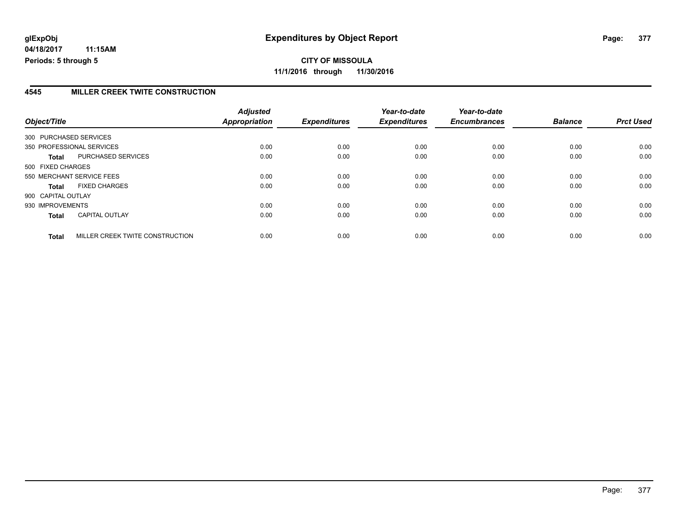**CITY OF MISSOULA 11/1/2016 through 11/30/2016**

#### **4545 MILLER CREEK TWITE CONSTRUCTION**

| Object/Title     |                                 | <b>Adjusted</b><br>Appropriation | <b>Expenditures</b> | Year-to-date<br><b>Expenditures</b> | Year-to-date<br><b>Encumbrances</b> | <b>Balance</b> | <b>Prct Used</b> |
|------------------|---------------------------------|----------------------------------|---------------------|-------------------------------------|-------------------------------------|----------------|------------------|
|                  |                                 |                                  |                     |                                     |                                     |                |                  |
|                  | 300 PURCHASED SERVICES          |                                  |                     |                                     |                                     |                |                  |
|                  | 350 PROFESSIONAL SERVICES       | 0.00                             | 0.00                | 0.00                                | 0.00                                | 0.00           | 0.00             |
| <b>Total</b>     | PURCHASED SERVICES              | 0.00                             | 0.00                | 0.00                                | 0.00                                | 0.00           | 0.00             |
|                  | 500 FIXED CHARGES               |                                  |                     |                                     |                                     |                |                  |
|                  | 550 MERCHANT SERVICE FEES       | 0.00                             | 0.00                | 0.00                                | 0.00                                | 0.00           | 0.00             |
|                  | <b>FIXED CHARGES</b><br>Total   | 0.00                             | 0.00                | 0.00                                | 0.00                                | 0.00           | 0.00             |
|                  | 900 CAPITAL OUTLAY              |                                  |                     |                                     |                                     |                |                  |
| 930 IMPROVEMENTS |                                 | 0.00                             | 0.00                | 0.00                                | 0.00                                | 0.00           | 0.00             |
| <b>Total</b>     | <b>CAPITAL OUTLAY</b>           | 0.00                             | 0.00                | 0.00                                | 0.00                                | 0.00           | 0.00             |
| <b>Total</b>     | MILLER CREEK TWITE CONSTRUCTION | 0.00                             | 0.00                | 0.00                                | 0.00                                | 0.00           | 0.00             |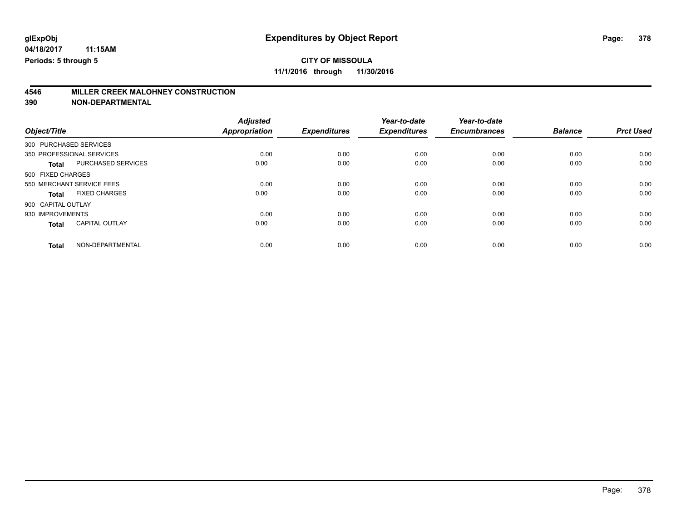**11/1/2016 through 11/30/2016**

# **4546 MILLER CREEK MALOHNEY CONSTRUCTION**

|                        |                           | <b>Adjusted</b> |                     | Year-to-date        | Year-to-date        |                |                  |
|------------------------|---------------------------|-----------------|---------------------|---------------------|---------------------|----------------|------------------|
| Object/Title           |                           | Appropriation   | <b>Expenditures</b> | <b>Expenditures</b> | <b>Encumbrances</b> | <b>Balance</b> | <b>Prct Used</b> |
| 300 PURCHASED SERVICES |                           |                 |                     |                     |                     |                |                  |
|                        | 350 PROFESSIONAL SERVICES | 0.00            | 0.00                | 0.00                | 0.00                | 0.00           | 0.00             |
| <b>Total</b>           | PURCHASED SERVICES        | 0.00            | 0.00                | 0.00                | 0.00                | 0.00           | 0.00             |
| 500 FIXED CHARGES      |                           |                 |                     |                     |                     |                |                  |
|                        | 550 MERCHANT SERVICE FEES | 0.00            | 0.00                | 0.00                | 0.00                | 0.00           | 0.00             |
| <b>Total</b>           | <b>FIXED CHARGES</b>      | 0.00            | 0.00                | 0.00                | 0.00                | 0.00           | 0.00             |
| 900 CAPITAL OUTLAY     |                           |                 |                     |                     |                     |                |                  |
| 930 IMPROVEMENTS       |                           | 0.00            | 0.00                | 0.00                | 0.00                | 0.00           | 0.00             |
| <b>Total</b>           | <b>CAPITAL OUTLAY</b>     | 0.00            | 0.00                | 0.00                | 0.00                | 0.00           | 0.00             |
| <b>Total</b>           | NON-DEPARTMENTAL          | 0.00            | 0.00                | 0.00                | 0.00                | 0.00           | 0.00             |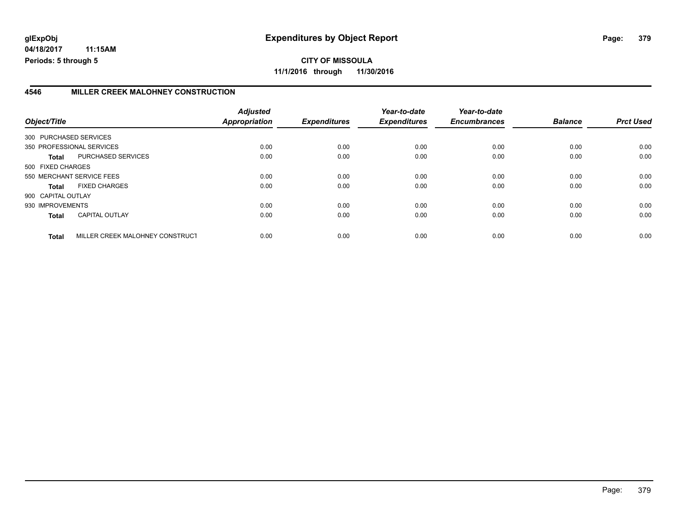### **4546 MILLER CREEK MALOHNEY CONSTRUCTION**

| Object/Title       |                                 | <b>Adjusted</b><br>Appropriation | <b>Expenditures</b> | Year-to-date<br><b>Expenditures</b> | Year-to-date<br><b>Encumbrances</b> | <b>Balance</b> | <b>Prct Used</b> |
|--------------------|---------------------------------|----------------------------------|---------------------|-------------------------------------|-------------------------------------|----------------|------------------|
|                    |                                 |                                  |                     |                                     |                                     |                |                  |
|                    | 300 PURCHASED SERVICES          |                                  |                     |                                     |                                     |                |                  |
|                    | 350 PROFESSIONAL SERVICES       | 0.00                             | 0.00                | 0.00                                | 0.00                                | 0.00           | 0.00             |
| Total              | PURCHASED SERVICES              | 0.00                             | 0.00                | 0.00                                | 0.00                                | 0.00           | 0.00             |
| 500 FIXED CHARGES  |                                 |                                  |                     |                                     |                                     |                |                  |
|                    | 550 MERCHANT SERVICE FEES       | 0.00                             | 0.00                | 0.00                                | 0.00                                | 0.00           | 0.00             |
| <b>Total</b>       | <b>FIXED CHARGES</b>            | 0.00                             | 0.00                | 0.00                                | 0.00                                | 0.00           | 0.00             |
| 900 CAPITAL OUTLAY |                                 |                                  |                     |                                     |                                     |                |                  |
| 930 IMPROVEMENTS   |                                 | 0.00                             | 0.00                | 0.00                                | 0.00                                | 0.00           | 0.00             |
| <b>Total</b>       | <b>CAPITAL OUTLAY</b>           | 0.00                             | 0.00                | 0.00                                | 0.00                                | 0.00           | 0.00             |
| <b>Total</b>       | MILLER CREEK MALOHNEY CONSTRUCT | 0.00                             | 0.00                | 0.00                                | 0.00                                | 0.00           | 0.00             |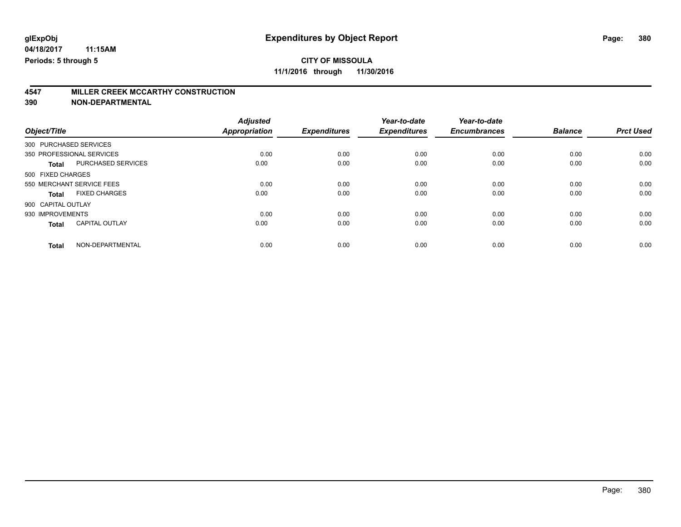**11/1/2016 through 11/30/2016**

# **4547 MILLER CREEK MCCARTHY CONSTRUCTION**

| Object/Title           |                           | <b>Adjusted</b><br><b>Appropriation</b> | <b>Expenditures</b> | Year-to-date<br><b>Expenditures</b> | Year-to-date<br><b>Encumbrances</b> | <b>Balance</b> | <b>Prct Used</b> |
|------------------------|---------------------------|-----------------------------------------|---------------------|-------------------------------------|-------------------------------------|----------------|------------------|
| 300 PURCHASED SERVICES |                           |                                         |                     |                                     |                                     |                |                  |
|                        | 350 PROFESSIONAL SERVICES | 0.00                                    | 0.00                | 0.00                                | 0.00                                | 0.00           | 0.00             |
| <b>Total</b>           | PURCHASED SERVICES        | 0.00                                    | 0.00                | 0.00                                | 0.00                                | 0.00           | 0.00             |
| 500 FIXED CHARGES      |                           |                                         |                     |                                     |                                     |                |                  |
|                        | 550 MERCHANT SERVICE FEES | 0.00                                    | 0.00                | 0.00                                | 0.00                                | 0.00           | 0.00             |
| <b>Total</b>           | <b>FIXED CHARGES</b>      | 0.00                                    | 0.00                | 0.00                                | 0.00                                | 0.00           | 0.00             |
| 900 CAPITAL OUTLAY     |                           |                                         |                     |                                     |                                     |                |                  |
| 930 IMPROVEMENTS       |                           | 0.00                                    | 0.00                | 0.00                                | 0.00                                | 0.00           | 0.00             |
| <b>Total</b>           | <b>CAPITAL OUTLAY</b>     | 0.00                                    | 0.00                | 0.00                                | 0.00                                | 0.00           | 0.00             |
|                        |                           |                                         |                     |                                     |                                     |                |                  |
| <b>Total</b>           | NON-DEPARTMENTAL          | 0.00                                    | 0.00                | 0.00                                | 0.00                                | 0.00           | 0.00             |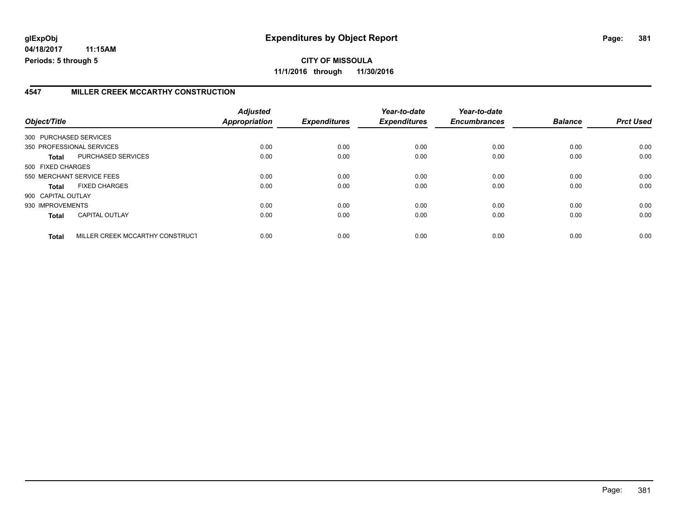### **4547 MILLER CREEK MCCARTHY CONSTRUCTION**

| Object/Title           |                                 | <b>Adjusted</b><br><b>Appropriation</b> | <b>Expenditures</b> | Year-to-date<br><b>Expenditures</b> | Year-to-date<br><b>Encumbrances</b> | <b>Balance</b> | <b>Prct Used</b> |
|------------------------|---------------------------------|-----------------------------------------|---------------------|-------------------------------------|-------------------------------------|----------------|------------------|
| 300 PURCHASED SERVICES |                                 |                                         |                     |                                     |                                     |                |                  |
|                        | 350 PROFESSIONAL SERVICES       | 0.00                                    | 0.00                | 0.00                                | 0.00                                | 0.00           | 0.00             |
|                        |                                 |                                         |                     |                                     |                                     |                |                  |
| Total                  | PURCHASED SERVICES              | 0.00                                    | 0.00                | 0.00                                | 0.00                                | 0.00           | 0.00             |
| 500 FIXED CHARGES      |                                 |                                         |                     |                                     |                                     |                |                  |
|                        | 550 MERCHANT SERVICE FEES       | 0.00                                    | 0.00                | 0.00                                | 0.00                                | 0.00           | 0.00             |
| <b>Total</b>           | <b>FIXED CHARGES</b>            | 0.00                                    | 0.00                | 0.00                                | 0.00                                | 0.00           | 0.00             |
| 900 CAPITAL OUTLAY     |                                 |                                         |                     |                                     |                                     |                |                  |
| 930 IMPROVEMENTS       |                                 | 0.00                                    | 0.00                | 0.00                                | 0.00                                | 0.00           | 0.00             |
| <b>Total</b>           | <b>CAPITAL OUTLAY</b>           | 0.00                                    | 0.00                | 0.00                                | 0.00                                | 0.00           | 0.00             |
| <b>Total</b>           | MILLER CREEK MCCARTHY CONSTRUCT | 0.00                                    | 0.00                | 0.00                                | 0.00                                | 0.00           | 0.00             |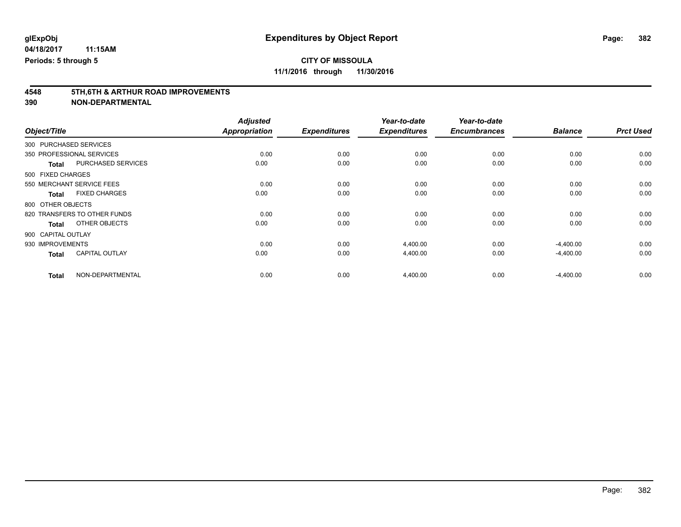# **4548 5TH,6TH & ARTHUR ROAD IMPROVEMENTS**

| Object/Title                              | <b>Adjusted</b><br><b>Appropriation</b> | <b>Expenditures</b> | Year-to-date<br><b>Expenditures</b> | Year-to-date<br><b>Encumbrances</b> | <b>Balance</b> | <b>Prct Used</b> |
|-------------------------------------------|-----------------------------------------|---------------------|-------------------------------------|-------------------------------------|----------------|------------------|
| 300 PURCHASED SERVICES                    |                                         |                     |                                     |                                     |                |                  |
| 350 PROFESSIONAL SERVICES                 | 0.00                                    | 0.00                | 0.00                                | 0.00                                | 0.00           | 0.00             |
| <b>PURCHASED SERVICES</b><br><b>Total</b> | 0.00                                    | 0.00                | 0.00                                | 0.00                                | 0.00           | 0.00             |
| 500 FIXED CHARGES                         |                                         |                     |                                     |                                     |                |                  |
| 550 MERCHANT SERVICE FEES                 | 0.00                                    | 0.00                | 0.00                                | 0.00                                | 0.00           | 0.00             |
| <b>FIXED CHARGES</b><br><b>Total</b>      | 0.00                                    | 0.00                | 0.00                                | 0.00                                | 0.00           | 0.00             |
| 800 OTHER OBJECTS                         |                                         |                     |                                     |                                     |                |                  |
| 820 TRANSFERS TO OTHER FUNDS              | 0.00                                    | 0.00                | 0.00                                | 0.00                                | 0.00           | 0.00             |
| OTHER OBJECTS<br><b>Total</b>             | 0.00                                    | 0.00                | 0.00                                | 0.00                                | 0.00           | 0.00             |
| 900 CAPITAL OUTLAY                        |                                         |                     |                                     |                                     |                |                  |
| 930 IMPROVEMENTS                          | 0.00                                    | 0.00                | 4,400.00                            | 0.00                                | $-4,400.00$    | 0.00             |
| <b>CAPITAL OUTLAY</b><br><b>Total</b>     | 0.00                                    | 0.00                | 4,400.00                            | 0.00                                | $-4,400.00$    | 0.00             |
| NON-DEPARTMENTAL<br><b>Total</b>          | 0.00                                    | 0.00                | 4,400.00                            | 0.00                                | $-4,400.00$    | 0.00             |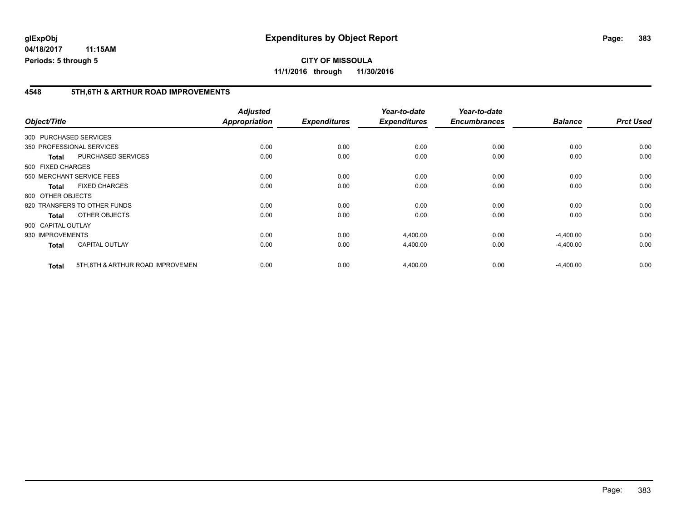### **4548 5TH,6TH & ARTHUR ROAD IMPROVEMENTS**

| Object/Title       |                                   | <b>Adjusted</b><br><b>Appropriation</b> | <b>Expenditures</b> | Year-to-date<br><b>Expenditures</b> | Year-to-date<br><b>Encumbrances</b> | <b>Balance</b> | <b>Prct Used</b> |
|--------------------|-----------------------------------|-----------------------------------------|---------------------|-------------------------------------|-------------------------------------|----------------|------------------|
|                    |                                   |                                         |                     |                                     |                                     |                |                  |
|                    | 300 PURCHASED SERVICES            |                                         |                     |                                     |                                     |                |                  |
|                    | 350 PROFESSIONAL SERVICES         | 0.00                                    | 0.00                | 0.00                                | 0.00                                | 0.00           | 0.00             |
| <b>Total</b>       | PURCHASED SERVICES                | 0.00                                    | 0.00                | 0.00                                | 0.00                                | 0.00           | 0.00             |
| 500 FIXED CHARGES  |                                   |                                         |                     |                                     |                                     |                |                  |
|                    | 550 MERCHANT SERVICE FEES         | 0.00                                    | 0.00                | 0.00                                | 0.00                                | 0.00           | 0.00             |
| <b>Total</b>       | <b>FIXED CHARGES</b>              | 0.00                                    | 0.00                | 0.00                                | 0.00                                | 0.00           | 0.00             |
| 800 OTHER OBJECTS  |                                   |                                         |                     |                                     |                                     |                |                  |
|                    | 820 TRANSFERS TO OTHER FUNDS      | 0.00                                    | 0.00                | 0.00                                | 0.00                                | 0.00           | 0.00             |
| <b>Total</b>       | OTHER OBJECTS                     | 0.00                                    | 0.00                | 0.00                                | 0.00                                | 0.00           | 0.00             |
| 900 CAPITAL OUTLAY |                                   |                                         |                     |                                     |                                     |                |                  |
| 930 IMPROVEMENTS   |                                   | 0.00                                    | 0.00                | 4,400.00                            | 0.00                                | $-4,400.00$    | 0.00             |
| <b>Total</b>       | <b>CAPITAL OUTLAY</b>             | 0.00                                    | 0.00                | 4,400.00                            | 0.00                                | $-4,400.00$    | 0.00             |
| <b>Total</b>       | 5TH, 6TH & ARTHUR ROAD IMPROVEMEN | 0.00                                    | 0.00                | 4,400.00                            | 0.00                                | $-4,400.00$    | 0.00             |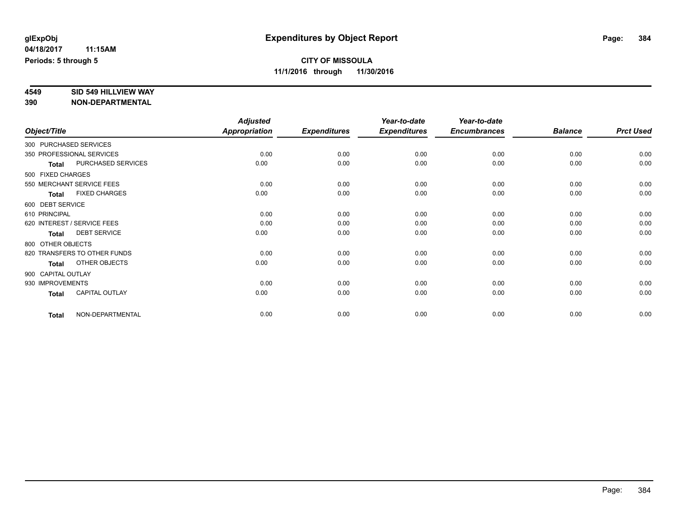# **4549 SID 549 HILLVIEW WAY**

|                    |                              | <b>Adjusted</b>      |                     | Year-to-date        | Year-to-date        |                |                  |
|--------------------|------------------------------|----------------------|---------------------|---------------------|---------------------|----------------|------------------|
| Object/Title       |                              | <b>Appropriation</b> | <b>Expenditures</b> | <b>Expenditures</b> | <b>Encumbrances</b> | <b>Balance</b> | <b>Prct Used</b> |
|                    | 300 PURCHASED SERVICES       |                      |                     |                     |                     |                |                  |
|                    | 350 PROFESSIONAL SERVICES    | 0.00                 | 0.00                | 0.00                | 0.00                | 0.00           | 0.00             |
| <b>Total</b>       | PURCHASED SERVICES           | 0.00                 | 0.00                | 0.00                | 0.00                | 0.00           | 0.00             |
| 500 FIXED CHARGES  |                              |                      |                     |                     |                     |                |                  |
|                    | 550 MERCHANT SERVICE FEES    | 0.00                 | 0.00                | 0.00                | 0.00                | 0.00           | 0.00             |
| <b>Total</b>       | <b>FIXED CHARGES</b>         | 0.00                 | 0.00                | 0.00                | 0.00                | 0.00           | 0.00             |
| 600 DEBT SERVICE   |                              |                      |                     |                     |                     |                |                  |
| 610 PRINCIPAL      |                              | 0.00                 | 0.00                | 0.00                | 0.00                | 0.00           | 0.00             |
|                    | 620 INTEREST / SERVICE FEES  | 0.00                 | 0.00                | 0.00                | 0.00                | 0.00           | 0.00             |
| <b>Total</b>       | <b>DEBT SERVICE</b>          | 0.00                 | 0.00                | 0.00                | 0.00                | 0.00           | 0.00             |
| 800 OTHER OBJECTS  |                              |                      |                     |                     |                     |                |                  |
|                    | 820 TRANSFERS TO OTHER FUNDS | 0.00                 | 0.00                | 0.00                | 0.00                | 0.00           | 0.00             |
| <b>Total</b>       | OTHER OBJECTS                | 0.00                 | 0.00                | 0.00                | 0.00                | 0.00           | 0.00             |
| 900 CAPITAL OUTLAY |                              |                      |                     |                     |                     |                |                  |
| 930 IMPROVEMENTS   |                              | 0.00                 | 0.00                | 0.00                | 0.00                | 0.00           | 0.00             |
| <b>Total</b>       | <b>CAPITAL OUTLAY</b>        | 0.00                 | 0.00                | 0.00                | 0.00                | 0.00           | 0.00             |
| <b>Total</b>       | NON-DEPARTMENTAL             | 0.00                 | 0.00                | 0.00                | 0.00                | 0.00           | 0.00             |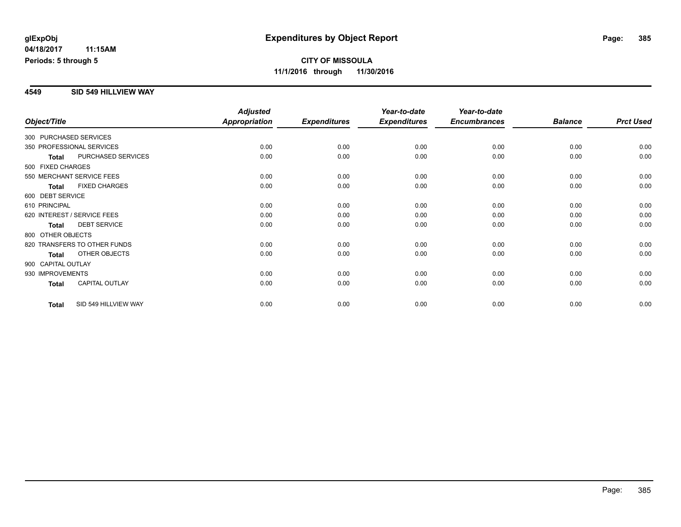#### **4549 SID 549 HILLVIEW WAY**

|                        |                              | <b>Adjusted</b>      |                     | Year-to-date        | Year-to-date        |                |                  |
|------------------------|------------------------------|----------------------|---------------------|---------------------|---------------------|----------------|------------------|
| Object/Title           |                              | <b>Appropriation</b> | <b>Expenditures</b> | <b>Expenditures</b> | <b>Encumbrances</b> | <b>Balance</b> | <b>Prct Used</b> |
| 300 PURCHASED SERVICES |                              |                      |                     |                     |                     |                |                  |
|                        | 350 PROFESSIONAL SERVICES    | 0.00                 | 0.00                | 0.00                | 0.00                | 0.00           | 0.00             |
| <b>Total</b>           | PURCHASED SERVICES           | 0.00                 | 0.00                | 0.00                | 0.00                | 0.00           | 0.00             |
| 500 FIXED CHARGES      |                              |                      |                     |                     |                     |                |                  |
|                        | 550 MERCHANT SERVICE FEES    | 0.00                 | 0.00                | 0.00                | 0.00                | 0.00           | 0.00             |
| <b>Total</b>           | <b>FIXED CHARGES</b>         | 0.00                 | 0.00                | 0.00                | 0.00                | 0.00           | 0.00             |
| 600 DEBT SERVICE       |                              |                      |                     |                     |                     |                |                  |
| 610 PRINCIPAL          |                              | 0.00                 | 0.00                | 0.00                | 0.00                | 0.00           | 0.00             |
|                        | 620 INTEREST / SERVICE FEES  | 0.00                 | 0.00                | 0.00                | 0.00                | 0.00           | 0.00             |
| <b>Total</b>           | <b>DEBT SERVICE</b>          | 0.00                 | 0.00                | 0.00                | 0.00                | 0.00           | 0.00             |
| 800 OTHER OBJECTS      |                              |                      |                     |                     |                     |                |                  |
|                        | 820 TRANSFERS TO OTHER FUNDS | 0.00                 | 0.00                | 0.00                | 0.00                | 0.00           | 0.00             |
| <b>Total</b>           | OTHER OBJECTS                | 0.00                 | 0.00                | 0.00                | 0.00                | 0.00           | 0.00             |
| 900 CAPITAL OUTLAY     |                              |                      |                     |                     |                     |                |                  |
| 930 IMPROVEMENTS       |                              | 0.00                 | 0.00                | 0.00                | 0.00                | 0.00           | 0.00             |
| <b>Total</b>           | <b>CAPITAL OUTLAY</b>        | 0.00                 | 0.00                | 0.00                | 0.00                | 0.00           | 0.00             |
| <b>Total</b>           | SID 549 HILLVIEW WAY         | 0.00                 | 0.00                | 0.00                | 0.00                | 0.00           | 0.00             |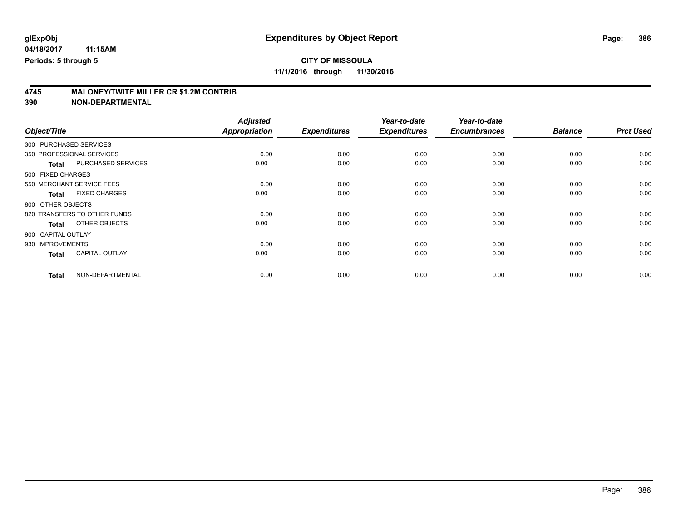**11/1/2016 through 11/30/2016**

# **4745 MALONEY/TWITE MILLER CR \$1.2M CONTRIB**

|                        |                              | <b>Adjusted</b>      |                     | Year-to-date        | Year-to-date        |                |                  |
|------------------------|------------------------------|----------------------|---------------------|---------------------|---------------------|----------------|------------------|
| Object/Title           |                              | <b>Appropriation</b> | <b>Expenditures</b> | <b>Expenditures</b> | <b>Encumbrances</b> | <b>Balance</b> | <b>Prct Used</b> |
| 300 PURCHASED SERVICES |                              |                      |                     |                     |                     |                |                  |
|                        | 350 PROFESSIONAL SERVICES    | 0.00                 | 0.00                | 0.00                | 0.00                | 0.00           | 0.00             |
| <b>Total</b>           | PURCHASED SERVICES           | 0.00                 | 0.00                | 0.00                | 0.00                | 0.00           | 0.00             |
| 500 FIXED CHARGES      |                              |                      |                     |                     |                     |                |                  |
|                        | 550 MERCHANT SERVICE FEES    | 0.00                 | 0.00                | 0.00                | 0.00                | 0.00           | 0.00             |
| <b>Total</b>           | <b>FIXED CHARGES</b>         | 0.00                 | 0.00                | 0.00                | 0.00                | 0.00           | 0.00             |
| 800 OTHER OBJECTS      |                              |                      |                     |                     |                     |                |                  |
|                        | 820 TRANSFERS TO OTHER FUNDS | 0.00                 | 0.00                | 0.00                | 0.00                | 0.00           | 0.00             |
| <b>Total</b>           | OTHER OBJECTS                | 0.00                 | 0.00                | 0.00                | 0.00                | 0.00           | 0.00             |
| 900 CAPITAL OUTLAY     |                              |                      |                     |                     |                     |                |                  |
| 930 IMPROVEMENTS       |                              | 0.00                 | 0.00                | 0.00                | 0.00                | 0.00           | 0.00             |
| <b>Total</b>           | <b>CAPITAL OUTLAY</b>        | 0.00                 | 0.00                | 0.00                | 0.00                | 0.00           | 0.00             |
| <b>Total</b>           | NON-DEPARTMENTAL             | 0.00                 | 0.00                | 0.00                | 0.00                | 0.00           | 0.00             |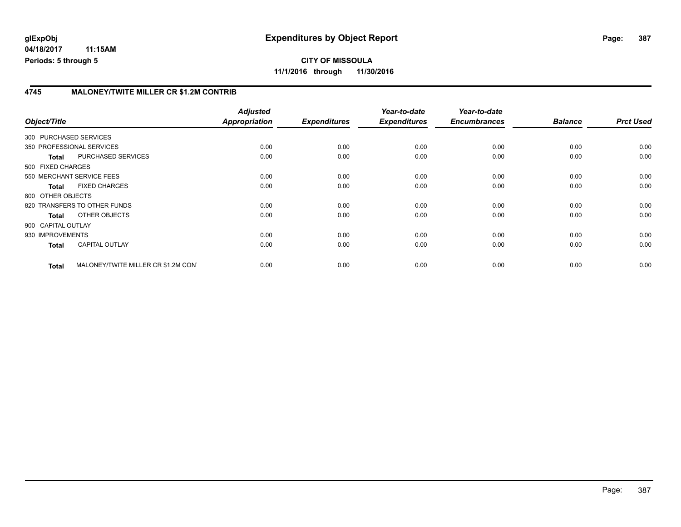### **4745 MALONEY/TWITE MILLER CR \$1.2M CONTRIB**

| Object/Title           |                                     | <b>Adjusted</b><br>Appropriation | <b>Expenditures</b> | Year-to-date<br><b>Expenditures</b> | Year-to-date<br><b>Encumbrances</b> | <b>Balance</b> | <b>Prct Used</b> |
|------------------------|-------------------------------------|----------------------------------|---------------------|-------------------------------------|-------------------------------------|----------------|------------------|
| 300 PURCHASED SERVICES |                                     |                                  |                     |                                     |                                     |                |                  |
|                        | 350 PROFESSIONAL SERVICES           | 0.00                             | 0.00                | 0.00                                | 0.00                                | 0.00           | 0.00             |
| <b>Total</b>           | PURCHASED SERVICES                  | 0.00                             | 0.00                | 0.00                                | 0.00                                | 0.00           | 0.00             |
| 500 FIXED CHARGES      |                                     |                                  |                     |                                     |                                     |                |                  |
|                        | 550 MERCHANT SERVICE FEES           | 0.00                             | 0.00                | 0.00                                | 0.00                                | 0.00           | 0.00             |
| <b>Total</b>           | <b>FIXED CHARGES</b>                | 0.00                             | 0.00                | 0.00                                | 0.00                                | 0.00           | 0.00             |
| 800 OTHER OBJECTS      |                                     |                                  |                     |                                     |                                     |                |                  |
|                        | 820 TRANSFERS TO OTHER FUNDS        | 0.00                             | 0.00                | 0.00                                | 0.00                                | 0.00           | 0.00             |
| Total                  | OTHER OBJECTS                       | 0.00                             | 0.00                | 0.00                                | 0.00                                | 0.00           | 0.00             |
| 900 CAPITAL OUTLAY     |                                     |                                  |                     |                                     |                                     |                |                  |
| 930 IMPROVEMENTS       |                                     | 0.00                             | 0.00                | 0.00                                | 0.00                                | 0.00           | 0.00             |
| <b>Total</b>           | <b>CAPITAL OUTLAY</b>               | 0.00                             | 0.00                | 0.00                                | 0.00                                | 0.00           | 0.00             |
| <b>Total</b>           | MALONEY/TWITE MILLER CR \$1.2M CONT | 0.00                             | 0.00                | 0.00                                | 0.00                                | 0.00           | 0.00             |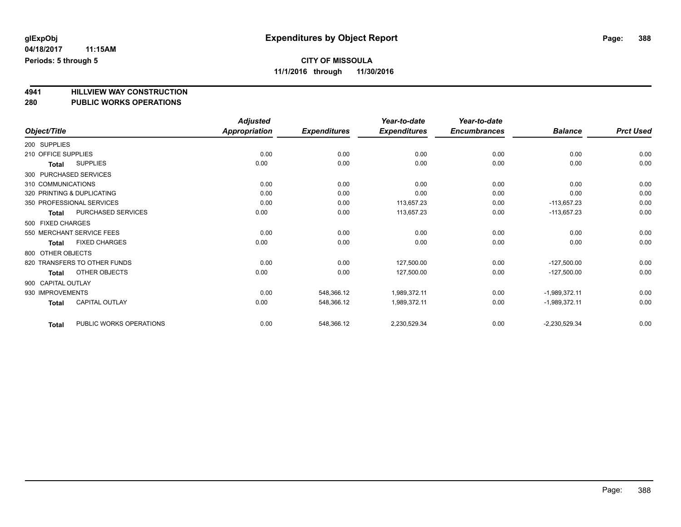**4941 HILLVIEW WAY CONSTRUCTION 280 PUBLIC WORKS OPERATIONS**

| Object/Title                            | <b>Adjusted</b><br><b>Appropriation</b> | <b>Expenditures</b> | Year-to-date<br><b>Expenditures</b> | Year-to-date<br><b>Encumbrances</b> | <b>Balance</b>  | <b>Prct Used</b> |
|-----------------------------------------|-----------------------------------------|---------------------|-------------------------------------|-------------------------------------|-----------------|------------------|
|                                         |                                         |                     |                                     |                                     |                 |                  |
| 200 SUPPLIES                            |                                         |                     |                                     |                                     |                 |                  |
| 210 OFFICE SUPPLIES                     | 0.00                                    | 0.00                | 0.00                                | 0.00                                | 0.00            | 0.00             |
| <b>SUPPLIES</b><br><b>Total</b>         | 0.00                                    | 0.00                | 0.00                                | 0.00                                | 0.00            | 0.00             |
| 300 PURCHASED SERVICES                  |                                         |                     |                                     |                                     |                 |                  |
| 310 COMMUNICATIONS                      | 0.00                                    | 0.00                | 0.00                                | 0.00                                | 0.00            | 0.00             |
| 320 PRINTING & DUPLICATING              | 0.00                                    | 0.00                | 0.00                                | 0.00                                | 0.00            | 0.00             |
| 350 PROFESSIONAL SERVICES               | 0.00                                    | 0.00                | 113,657.23                          | 0.00                                | $-113,657.23$   | 0.00             |
| PURCHASED SERVICES<br><b>Total</b>      | 0.00                                    | 0.00                | 113,657.23                          | 0.00                                | $-113,657.23$   | 0.00             |
| 500 FIXED CHARGES                       |                                         |                     |                                     |                                     |                 |                  |
| 550 MERCHANT SERVICE FEES               | 0.00                                    | 0.00                | 0.00                                | 0.00                                | 0.00            | 0.00             |
| <b>FIXED CHARGES</b><br><b>Total</b>    | 0.00                                    | 0.00                | 0.00                                | 0.00                                | 0.00            | 0.00             |
| 800 OTHER OBJECTS                       |                                         |                     |                                     |                                     |                 |                  |
| 820 TRANSFERS TO OTHER FUNDS            | 0.00                                    | 0.00                | 127,500.00                          | 0.00                                | $-127,500.00$   | 0.00             |
| OTHER OBJECTS<br>Total                  | 0.00                                    | 0.00                | 127,500.00                          | 0.00                                | $-127,500.00$   | 0.00             |
| 900 CAPITAL OUTLAY                      |                                         |                     |                                     |                                     |                 |                  |
| 930 IMPROVEMENTS                        | 0.00                                    | 548,366.12          | 1,989,372.11                        | 0.00                                | $-1,989,372.11$ | 0.00             |
| CAPITAL OUTLAY<br><b>Total</b>          | 0.00                                    | 548,366.12          | 1,989,372.11                        | 0.00                                | $-1,989,372.11$ | 0.00             |
| PUBLIC WORKS OPERATIONS<br><b>Total</b> | 0.00                                    | 548,366.12          | 2,230,529.34                        | 0.00                                | $-2,230,529.34$ | 0.00             |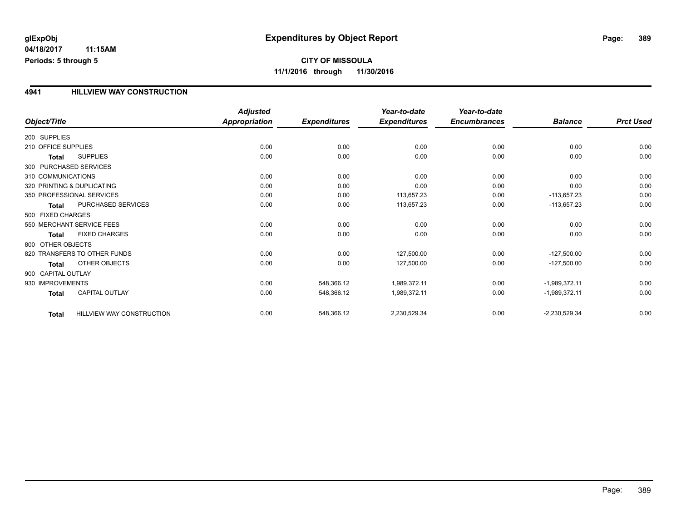### **4941 HILLVIEW WAY CONSTRUCTION**

|                     |                              | <b>Adjusted</b>      |                     | Year-to-date        | Year-to-date        |                 |                  |
|---------------------|------------------------------|----------------------|---------------------|---------------------|---------------------|-----------------|------------------|
| Object/Title        |                              | <b>Appropriation</b> | <b>Expenditures</b> | <b>Expenditures</b> | <b>Encumbrances</b> | <b>Balance</b>  | <b>Prct Used</b> |
| 200 SUPPLIES        |                              |                      |                     |                     |                     |                 |                  |
| 210 OFFICE SUPPLIES |                              | 0.00                 | 0.00                | 0.00                | 0.00                | 0.00            | 0.00             |
| <b>Total</b>        | <b>SUPPLIES</b>              | 0.00                 | 0.00                | 0.00                | 0.00                | 0.00            | 0.00             |
|                     | 300 PURCHASED SERVICES       |                      |                     |                     |                     |                 |                  |
| 310 COMMUNICATIONS  |                              | 0.00                 | 0.00                | 0.00                | 0.00                | 0.00            | 0.00             |
|                     | 320 PRINTING & DUPLICATING   | 0.00                 | 0.00                | 0.00                | 0.00                | 0.00            | 0.00             |
|                     | 350 PROFESSIONAL SERVICES    | 0.00                 | 0.00                | 113,657.23          | 0.00                | $-113,657.23$   | 0.00             |
| <b>Total</b>        | PURCHASED SERVICES           | 0.00                 | 0.00                | 113,657.23          | 0.00                | $-113,657.23$   | 0.00             |
| 500 FIXED CHARGES   |                              |                      |                     |                     |                     |                 |                  |
|                     | 550 MERCHANT SERVICE FEES    | 0.00                 | 0.00                | 0.00                | 0.00                | 0.00            | 0.00             |
| <b>Total</b>        | <b>FIXED CHARGES</b>         | 0.00                 | 0.00                | 0.00                | 0.00                | 0.00            | 0.00             |
| 800 OTHER OBJECTS   |                              |                      |                     |                     |                     |                 |                  |
|                     | 820 TRANSFERS TO OTHER FUNDS | 0.00                 | 0.00                | 127,500.00          | 0.00                | $-127,500.00$   | 0.00             |
| <b>Total</b>        | OTHER OBJECTS                | 0.00                 | 0.00                | 127,500.00          | 0.00                | $-127,500.00$   | 0.00             |
| 900 CAPITAL OUTLAY  |                              |                      |                     |                     |                     |                 |                  |
| 930 IMPROVEMENTS    |                              | 0.00                 | 548,366.12          | 1,989,372.11        | 0.00                | $-1,989,372.11$ | 0.00             |
| <b>Total</b>        | CAPITAL OUTLAY               | 0.00                 | 548,366.12          | 1,989,372.11        | 0.00                | $-1,989,372.11$ | 0.00             |
| <b>Total</b>        | HILLVIEW WAY CONSTRUCTION    | 0.00                 | 548,366.12          | 2,230,529.34        | 0.00                | $-2,230,529.34$ | 0.00             |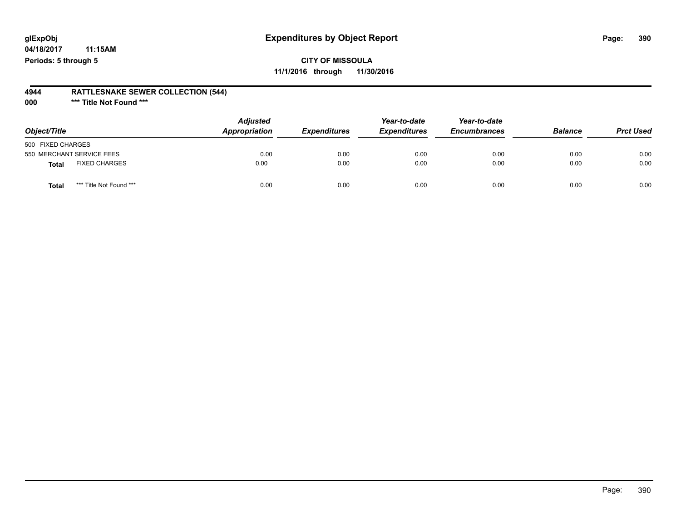### **CITY OF MISSOULA 11/1/2016 through 11/30/2016**

#### **4944 RATTLESNAKE SEWER COLLECTION (544)**

**000 \*\*\* Title Not Found \*\*\***

| Object/Title                            | <b>Adjusted</b><br>Appropriation<br><b>Expenditures</b> | Year-to-date<br><b>Expenditures</b> | Year-to-date<br><b>Encumbrances</b> | <b>Balance</b> | <b>Prct Used</b> |      |
|-----------------------------------------|---------------------------------------------------------|-------------------------------------|-------------------------------------|----------------|------------------|------|
| 500 FIXED CHARGES                       |                                                         |                                     |                                     |                |                  |      |
| 550 MERCHANT SERVICE FEES               | 0.00                                                    | 0.00                                | 0.00                                | 0.00           | 0.00             | 0.00 |
| <b>FIXED CHARGES</b><br>Total           | 0.00                                                    | 0.00                                | 0.00                                | 0.00           | 0.00             | 0.00 |
| *** Title Not Found ***<br><b>Total</b> | 0.00                                                    | 0.00                                | 0.00                                | 0.00           | 0.00             | 0.00 |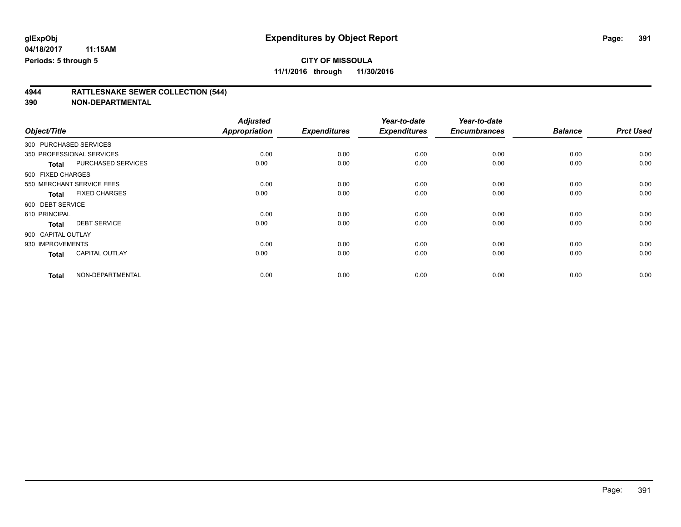**11/1/2016 through 11/30/2016**

# **4944 RATTLESNAKE SEWER COLLECTION (544)**

| Object/Title           |                           | <b>Adjusted</b><br><b>Appropriation</b> | <b>Expenditures</b> | Year-to-date<br><b>Expenditures</b> | Year-to-date<br><b>Encumbrances</b> | <b>Balance</b> | <b>Prct Used</b> |
|------------------------|---------------------------|-----------------------------------------|---------------------|-------------------------------------|-------------------------------------|----------------|------------------|
| 300 PURCHASED SERVICES |                           |                                         |                     |                                     |                                     |                |                  |
|                        |                           |                                         |                     |                                     |                                     |                |                  |
|                        | 350 PROFESSIONAL SERVICES | 0.00                                    | 0.00                | 0.00                                | 0.00                                | 0.00           | 0.00             |
| <b>Total</b>           | PURCHASED SERVICES        | 0.00                                    | 0.00                | 0.00                                | 0.00                                | 0.00           | 0.00             |
| 500 FIXED CHARGES      |                           |                                         |                     |                                     |                                     |                |                  |
|                        | 550 MERCHANT SERVICE FEES | 0.00                                    | 0.00                | 0.00                                | 0.00                                | 0.00           | 0.00             |
| <b>Total</b>           | <b>FIXED CHARGES</b>      | 0.00                                    | 0.00                | 0.00                                | 0.00                                | 0.00           | 0.00             |
| 600 DEBT SERVICE       |                           |                                         |                     |                                     |                                     |                |                  |
| 610 PRINCIPAL          |                           | 0.00                                    | 0.00                | 0.00                                | 0.00                                | 0.00           | 0.00             |
| <b>Total</b>           | <b>DEBT SERVICE</b>       | 0.00                                    | 0.00                | 0.00                                | 0.00                                | 0.00           | 0.00             |
| 900 CAPITAL OUTLAY     |                           |                                         |                     |                                     |                                     |                |                  |
| 930 IMPROVEMENTS       |                           | 0.00                                    | 0.00                | 0.00                                | 0.00                                | 0.00           | 0.00             |
| <b>Total</b>           | <b>CAPITAL OUTLAY</b>     | 0.00                                    | 0.00                | 0.00                                | 0.00                                | 0.00           | 0.00             |
| <b>Total</b>           | NON-DEPARTMENTAL          | 0.00                                    | 0.00                | 0.00                                | 0.00                                | 0.00           | 0.00             |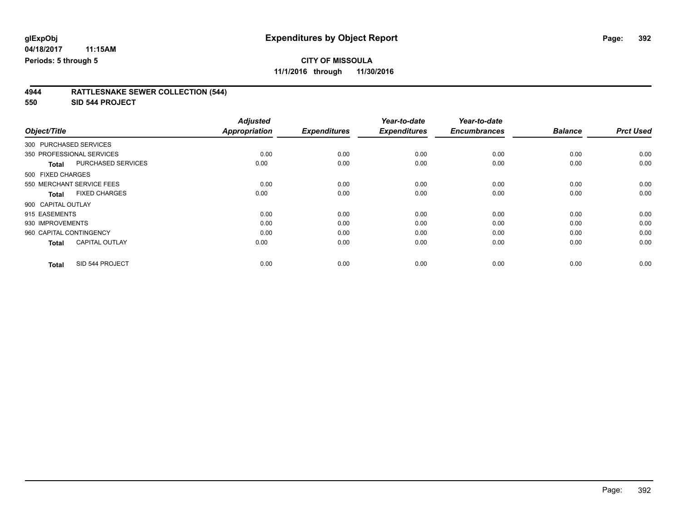**11/1/2016 through 11/30/2016**

| 4944 | <b>RATTLESNAKE SEWER COLLECTION (544)</b> |  |
|------|-------------------------------------------|--|
|      |                                           |  |

**550 SID 544 PROJECT**

|                         |                           | <b>Adjusted</b>      |                     | Year-to-date        | Year-to-date        |                |                  |
|-------------------------|---------------------------|----------------------|---------------------|---------------------|---------------------|----------------|------------------|
| Object/Title            |                           | <b>Appropriation</b> | <b>Expenditures</b> | <b>Expenditures</b> | <b>Encumbrances</b> | <b>Balance</b> | <b>Prct Used</b> |
| 300 PURCHASED SERVICES  |                           |                      |                     |                     |                     |                |                  |
|                         | 350 PROFESSIONAL SERVICES | 0.00                 | 0.00                | 0.00                | 0.00                | 0.00           | 0.00             |
| <b>Total</b>            | <b>PURCHASED SERVICES</b> | 0.00                 | 0.00                | 0.00                | 0.00                | 0.00           | 0.00             |
| 500 FIXED CHARGES       |                           |                      |                     |                     |                     |                |                  |
|                         | 550 MERCHANT SERVICE FEES | 0.00                 | 0.00                | 0.00                | 0.00                | 0.00           | 0.00             |
| <b>Total</b>            | <b>FIXED CHARGES</b>      | 0.00                 | 0.00                | 0.00                | 0.00                | 0.00           | 0.00             |
| 900 CAPITAL OUTLAY      |                           |                      |                     |                     |                     |                |                  |
| 915 EASEMENTS           |                           | 0.00                 | 0.00                | 0.00                | 0.00                | 0.00           | 0.00             |
| 930 IMPROVEMENTS        |                           | 0.00                 | 0.00                | 0.00                | 0.00                | 0.00           | 0.00             |
| 960 CAPITAL CONTINGENCY |                           | 0.00                 | 0.00                | 0.00                | 0.00                | 0.00           | 0.00             |
| <b>Total</b>            | <b>CAPITAL OUTLAY</b>     | 0.00                 | 0.00                | 0.00                | 0.00                | 0.00           | 0.00             |
| <b>Total</b>            | SID 544 PROJECT           | 0.00                 | 0.00                | 0.00                | 0.00                | 0.00           | 0.00             |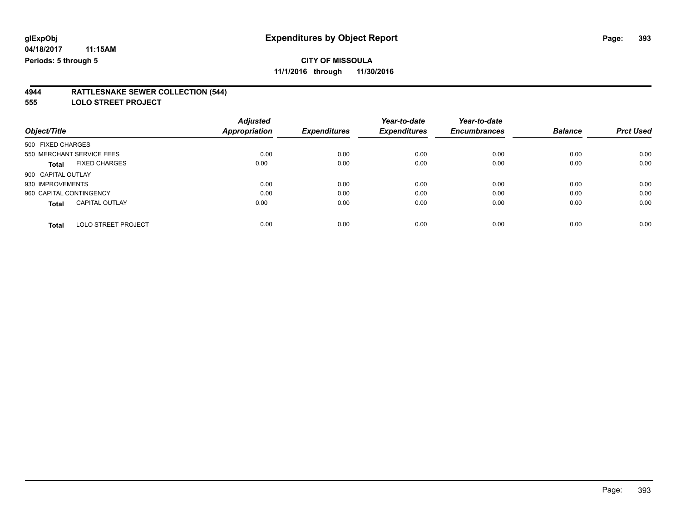**11/1/2016 through 11/30/2016**

#### **4944 RATTLESNAKE SEWER COLLECTION (544)**

**555 LOLO STREET PROJECT**

|                                            | <b>Adjusted</b>      |                     | Year-to-date        | Year-to-date        |                |                  |
|--------------------------------------------|----------------------|---------------------|---------------------|---------------------|----------------|------------------|
| Object/Title                               | <b>Appropriation</b> | <b>Expenditures</b> | <b>Expenditures</b> | <b>Encumbrances</b> | <b>Balance</b> | <b>Prct Used</b> |
| 500 FIXED CHARGES                          |                      |                     |                     |                     |                |                  |
| 550 MERCHANT SERVICE FEES                  | 0.00                 | 0.00                | 0.00                | 0.00                | 0.00           | 0.00             |
| <b>FIXED CHARGES</b><br><b>Total</b>       | 0.00                 | 0.00                | 0.00                | 0.00                | 0.00           | 0.00             |
| 900 CAPITAL OUTLAY                         |                      |                     |                     |                     |                |                  |
| 930 IMPROVEMENTS                           | 0.00                 | 0.00                | 0.00                | 0.00                | 0.00           | 0.00             |
| 960 CAPITAL CONTINGENCY                    | 0.00                 | 0.00                | 0.00                | 0.00                | 0.00           | 0.00             |
| <b>CAPITAL OUTLAY</b><br><b>Total</b>      | 0.00                 | 0.00                | 0.00                | 0.00                | 0.00           | 0.00             |
| <b>LOLO STREET PROJECT</b><br><b>Total</b> | 0.00                 | 0.00                | 0.00                | 0.00                | 0.00           | 0.00             |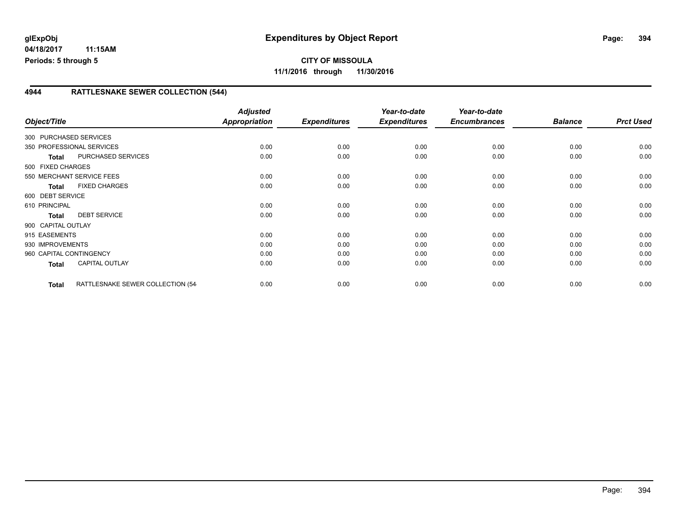**CITY OF MISSOULA 11/1/2016 through 11/30/2016**

### **4944 RATTLESNAKE SEWER COLLECTION (544)**

|               |                                   | <b>Adjusted</b>                                                                                                                                                                                                 |                     | Year-to-date        | Year-to-date        |                |                  |
|---------------|-----------------------------------|-----------------------------------------------------------------------------------------------------------------------------------------------------------------------------------------------------------------|---------------------|---------------------|---------------------|----------------|------------------|
| Object/Title  |                                   | <b>Appropriation</b>                                                                                                                                                                                            | <b>Expenditures</b> | <b>Expenditures</b> | <b>Encumbrances</b> | <b>Balance</b> | <b>Prct Used</b> |
|               |                                   |                                                                                                                                                                                                                 |                     |                     |                     |                |                  |
|               |                                   | 0.00                                                                                                                                                                                                            | 0.00                | 0.00                | 0.00                | 0.00           | 0.00             |
| Total         | PURCHASED SERVICES                | 0.00                                                                                                                                                                                                            | 0.00                | 0.00                | 0.00                | 0.00           | 0.00             |
|               |                                   |                                                                                                                                                                                                                 |                     |                     |                     |                |                  |
|               |                                   | 0.00                                                                                                                                                                                                            | 0.00                | 0.00                | 0.00                | 0.00           | 0.00             |
| <b>Total</b>  | <b>FIXED CHARGES</b>              | 0.00                                                                                                                                                                                                            | 0.00                | 0.00                | 0.00                | 0.00           | 0.00             |
|               |                                   |                                                                                                                                                                                                                 |                     |                     |                     |                |                  |
| 610 PRINCIPAL |                                   | 0.00                                                                                                                                                                                                            | 0.00                | 0.00                | 0.00                | 0.00           | 0.00             |
| Total         | <b>DEBT SERVICE</b>               | 0.00                                                                                                                                                                                                            | 0.00                | 0.00                | 0.00                | 0.00           | 0.00             |
|               |                                   |                                                                                                                                                                                                                 |                     |                     |                     |                |                  |
|               |                                   | 0.00                                                                                                                                                                                                            | 0.00                | 0.00                | 0.00                | 0.00           | 0.00             |
|               |                                   | 0.00                                                                                                                                                                                                            | 0.00                | 0.00                | 0.00                | 0.00           | 0.00             |
|               |                                   | 0.00                                                                                                                                                                                                            | 0.00                | 0.00                | 0.00                | 0.00           | 0.00             |
| Total         | <b>CAPITAL OUTLAY</b>             | 0.00                                                                                                                                                                                                            | 0.00                | 0.00                | 0.00                | 0.00           | 0.00             |
| <b>Total</b>  | RATTLESNAKE SEWER COLLECTION (54- | 0.00                                                                                                                                                                                                            | 0.00                | 0.00                | 0.00                | 0.00           | 0.00             |
|               |                                   | 300 PURCHASED SERVICES<br>350 PROFESSIONAL SERVICES<br>500 FIXED CHARGES<br>550 MERCHANT SERVICE FEES<br>600 DEBT SERVICE<br>900 CAPITAL OUTLAY<br>915 EASEMENTS<br>930 IMPROVEMENTS<br>960 CAPITAL CONTINGENCY |                     |                     |                     |                |                  |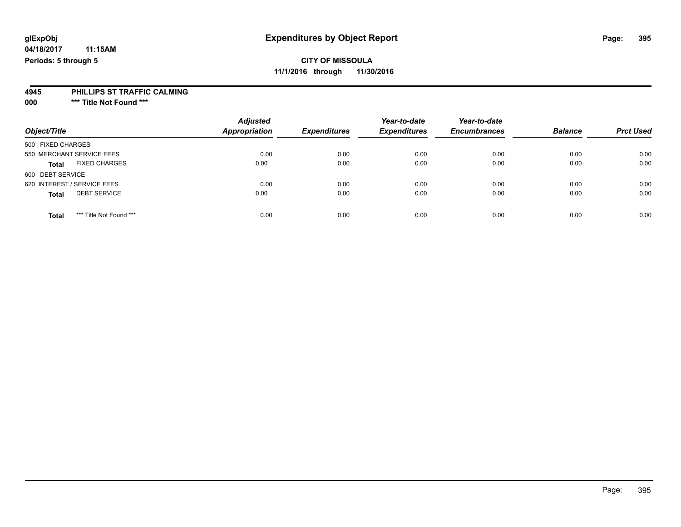### **CITY OF MISSOULA 11/1/2016 through 11/30/2016**

#### **4945 PHILLIPS ST TRAFFIC CALMING**

**000 \*\*\* Title Not Found \*\*\***

| Object/Title                            | <b>Adjusted</b><br>Appropriation | <b>Expenditures</b> | Year-to-date<br><b>Expenditures</b> | Year-to-date<br><b>Encumbrances</b> | <b>Balance</b> | <b>Prct Used</b> |
|-----------------------------------------|----------------------------------|---------------------|-------------------------------------|-------------------------------------|----------------|------------------|
| 500 FIXED CHARGES                       |                                  |                     |                                     |                                     |                |                  |
| 550 MERCHANT SERVICE FEES               | 0.00                             | 0.00                | 0.00                                | 0.00                                | 0.00           | 0.00             |
| <b>FIXED CHARGES</b><br><b>Total</b>    | 0.00                             | 0.00                | 0.00                                | 0.00                                | 0.00           | 0.00             |
| 600 DEBT SERVICE                        |                                  |                     |                                     |                                     |                |                  |
| 620 INTEREST / SERVICE FEES             | 0.00                             | 0.00                | 0.00                                | 0.00                                | 0.00           | 0.00             |
| <b>DEBT SERVICE</b><br><b>Total</b>     | 0.00                             | 0.00                | 0.00                                | 0.00                                | 0.00           | 0.00             |
| *** Title Not Found ***<br><b>Total</b> | 0.00                             | 0.00                | 0.00                                | 0.00                                | 0.00           | 0.00             |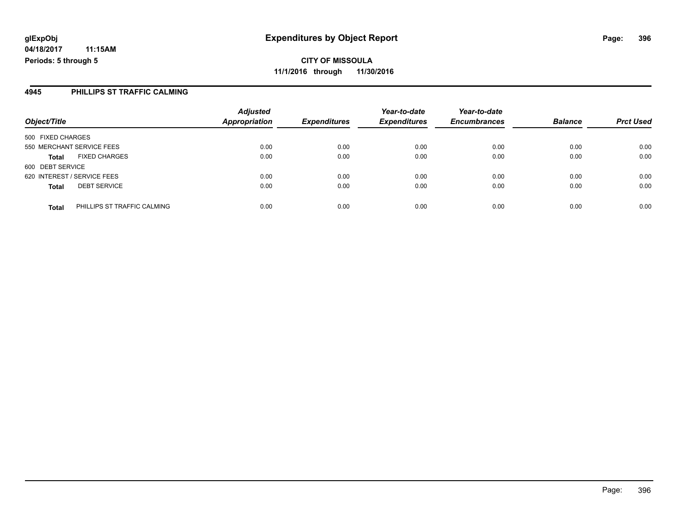#### **4945 PHILLIPS ST TRAFFIC CALMING**

|                             |                             | <b>Adjusted</b>      |                     | Year-to-date        | Year-to-date        |                |                  |
|-----------------------------|-----------------------------|----------------------|---------------------|---------------------|---------------------|----------------|------------------|
| Object/Title                |                             | <b>Appropriation</b> | <b>Expenditures</b> | <b>Expenditures</b> | <b>Encumbrances</b> | <b>Balance</b> | <b>Prct Used</b> |
| 500 FIXED CHARGES           |                             |                      |                     |                     |                     |                |                  |
| 550 MERCHANT SERVICE FEES   |                             | 0.00                 | 0.00                | 0.00                | 0.00                | 0.00           | 0.00             |
| <b>Total</b>                | <b>FIXED CHARGES</b>        | 0.00                 | 0.00                | 0.00                | 0.00                | 0.00           | 0.00             |
| 600 DEBT SERVICE            |                             |                      |                     |                     |                     |                |                  |
| 620 INTEREST / SERVICE FEES |                             | 0.00                 | 0.00                | 0.00                | 0.00                | 0.00           | 0.00             |
| <b>Total</b>                | <b>DEBT SERVICE</b>         | 0.00                 | 0.00                | 0.00                | 0.00                | 0.00           | 0.00             |
| <b>Total</b>                | PHILLIPS ST TRAFFIC CALMING | 0.00                 | 0.00                | 0.00                | 0.00                | 0.00           | 0.00             |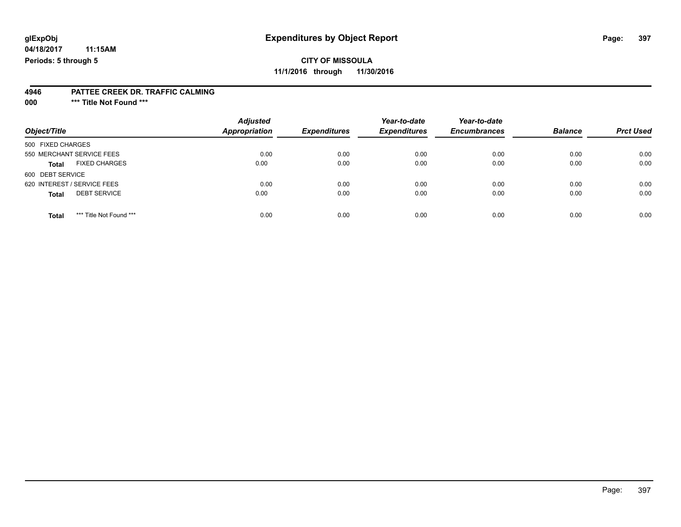# **CITY OF MISSOULA**

**11/1/2016 through 11/30/2016**

#### **4946 PATTEE CREEK DR. TRAFFIC CALMING**

**000 \*\*\* Title Not Found \*\*\***

| Object/Title                            | <b>Adjusted</b><br>Appropriation | <b>Expenditures</b> | Year-to-date<br><b>Expenditures</b> | Year-to-date<br><b>Encumbrances</b> | <b>Balance</b> | <b>Prct Used</b> |
|-----------------------------------------|----------------------------------|---------------------|-------------------------------------|-------------------------------------|----------------|------------------|
| 500 FIXED CHARGES                       |                                  |                     |                                     |                                     |                |                  |
| 550 MERCHANT SERVICE FEES               | 0.00                             | 0.00                | 0.00                                | 0.00                                | 0.00           | 0.00             |
| <b>FIXED CHARGES</b><br><b>Total</b>    | 0.00                             | 0.00                | 0.00                                | 0.00                                | 0.00           | 0.00             |
| 600 DEBT SERVICE                        |                                  |                     |                                     |                                     |                |                  |
| 620 INTEREST / SERVICE FEES             | 0.00                             | 0.00                | 0.00                                | 0.00                                | 0.00           | 0.00             |
| <b>DEBT SERVICE</b><br><b>Total</b>     | 0.00                             | 0.00                | 0.00                                | 0.00                                | 0.00           | 0.00             |
| *** Title Not Found ***<br><b>Total</b> | 0.00                             | 0.00                | 0.00                                | 0.00                                | 0.00           | 0.00             |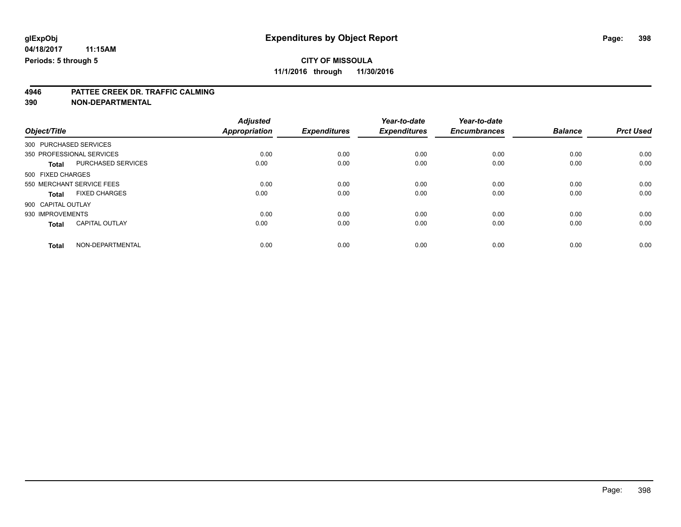# **4946 PATTEE CREEK DR. TRAFFIC CALMING**

**390 NON-DEPARTMENTAL**

|                           |                       | <b>Adjusted</b>      |                     | Year-to-date        | Year-to-date        |                |                  |
|---------------------------|-----------------------|----------------------|---------------------|---------------------|---------------------|----------------|------------------|
| Object/Title              |                       | <b>Appropriation</b> | <b>Expenditures</b> | <b>Expenditures</b> | <b>Encumbrances</b> | <b>Balance</b> | <b>Prct Used</b> |
| 300 PURCHASED SERVICES    |                       |                      |                     |                     |                     |                |                  |
| 350 PROFESSIONAL SERVICES |                       | 0.00                 | 0.00                | 0.00                | 0.00                | 0.00           | 0.00             |
| <b>Total</b>              | PURCHASED SERVICES    | 0.00                 | 0.00                | 0.00                | 0.00                | 0.00           | 0.00             |
| 500 FIXED CHARGES         |                       |                      |                     |                     |                     |                |                  |
| 550 MERCHANT SERVICE FEES |                       | 0.00                 | 0.00                | 0.00                | 0.00                | 0.00           | 0.00             |
| Total                     | <b>FIXED CHARGES</b>  | 0.00                 | 0.00                | 0.00                | 0.00                | 0.00           | 0.00             |
| 900 CAPITAL OUTLAY        |                       |                      |                     |                     |                     |                |                  |
| 930 IMPROVEMENTS          |                       | 0.00                 | 0.00                | 0.00                | 0.00                | 0.00           | 0.00             |
| <b>Total</b>              | <b>CAPITAL OUTLAY</b> | 0.00                 | 0.00                | 0.00                | 0.00                | 0.00           | 0.00             |
| <b>Total</b>              | NON-DEPARTMENTAL      | 0.00                 | 0.00                | 0.00                | 0.00                | 0.00           | 0.00             |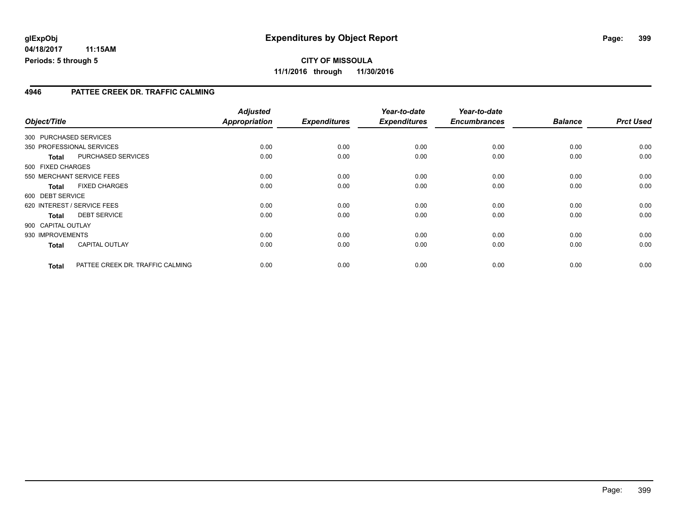#### **04/18/2017 11:15AM Periods: 5 through 5**

**CITY OF MISSOULA 11/1/2016 through 11/30/2016**

#### **4946 PATTEE CREEK DR. TRAFFIC CALMING**

|                    |                                  | <b>Adjusted</b>      |                     | Year-to-date        | Year-to-date        |                |                  |
|--------------------|----------------------------------|----------------------|---------------------|---------------------|---------------------|----------------|------------------|
| Object/Title       |                                  | <b>Appropriation</b> | <b>Expenditures</b> | <b>Expenditures</b> | <b>Encumbrances</b> | <b>Balance</b> | <b>Prct Used</b> |
|                    | 300 PURCHASED SERVICES           |                      |                     |                     |                     |                |                  |
|                    | 350 PROFESSIONAL SERVICES        | 0.00                 | 0.00                | 0.00                | 0.00                | 0.00           | 0.00             |
| <b>Total</b>       | <b>PURCHASED SERVICES</b>        | 0.00                 | 0.00                | 0.00                | 0.00                | 0.00           | 0.00             |
| 500 FIXED CHARGES  |                                  |                      |                     |                     |                     |                |                  |
|                    | 550 MERCHANT SERVICE FEES        | 0.00                 | 0.00                | 0.00                | 0.00                | 0.00           | 0.00             |
| <b>Total</b>       | <b>FIXED CHARGES</b>             | 0.00                 | 0.00                | 0.00                | 0.00                | 0.00           | 0.00             |
| 600 DEBT SERVICE   |                                  |                      |                     |                     |                     |                |                  |
|                    | 620 INTEREST / SERVICE FEES      | 0.00                 | 0.00                | 0.00                | 0.00                | 0.00           | 0.00             |
| <b>Total</b>       | <b>DEBT SERVICE</b>              | 0.00                 | 0.00                | 0.00                | 0.00                | 0.00           | 0.00             |
| 900 CAPITAL OUTLAY |                                  |                      |                     |                     |                     |                |                  |
| 930 IMPROVEMENTS   |                                  | 0.00                 | 0.00                | 0.00                | 0.00                | 0.00           | 0.00             |
| <b>Total</b>       | <b>CAPITAL OUTLAY</b>            | 0.00                 | 0.00                | 0.00                | 0.00                | 0.00           | 0.00             |
| <b>Total</b>       | PATTEE CREEK DR. TRAFFIC CALMING | 0.00                 | 0.00                | 0.00                | 0.00                | 0.00           | 0.00             |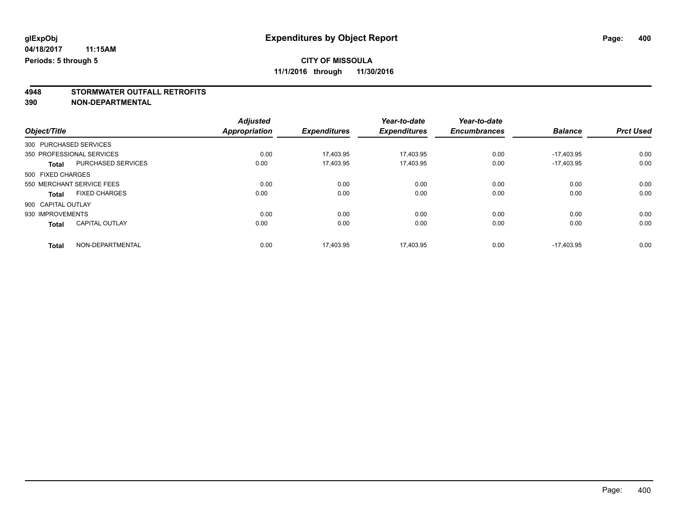# **4948 STORMWATER OUTFALL RETROFITS**

**390 NON-DEPARTMENTAL**

|                                       | <b>Adjusted</b>      |                     | Year-to-date        | Year-to-date        |                |                  |
|---------------------------------------|----------------------|---------------------|---------------------|---------------------|----------------|------------------|
| Object/Title                          | <b>Appropriation</b> | <b>Expenditures</b> | <b>Expenditures</b> | <b>Encumbrances</b> | <b>Balance</b> | <b>Prct Used</b> |
| 300 PURCHASED SERVICES                |                      |                     |                     |                     |                |                  |
| 350 PROFESSIONAL SERVICES             | 0.00                 | 17.403.95           | 17.403.95           | 0.00                | $-17.403.95$   | 0.00             |
| PURCHASED SERVICES<br><b>Total</b>    | 0.00                 | 17,403.95           | 17,403.95           | 0.00                | $-17.403.95$   | 0.00             |
| 500 FIXED CHARGES                     |                      |                     |                     |                     |                |                  |
| 550 MERCHANT SERVICE FEES             | 0.00                 | 0.00                | 0.00                | 0.00                | 0.00           | 0.00             |
| <b>FIXED CHARGES</b><br><b>Total</b>  | 0.00                 | 0.00                | 0.00                | 0.00                | 0.00           | 0.00             |
| 900 CAPITAL OUTLAY                    |                      |                     |                     |                     |                |                  |
| 930 IMPROVEMENTS                      | 0.00                 | 0.00                | 0.00                | 0.00                | 0.00           | 0.00             |
| <b>CAPITAL OUTLAY</b><br><b>Total</b> | 0.00                 | 0.00                | 0.00                | 0.00                | 0.00           | 0.00             |
| NON-DEPARTMENTAL<br><b>Total</b>      | 0.00                 | 17.403.95           | 17.403.95           | 0.00                | $-17.403.95$   | 0.00             |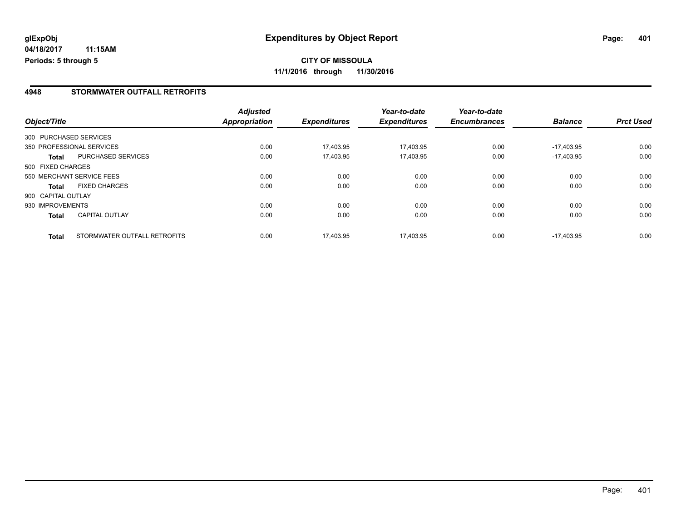#### **04/18/2017 11:15AM Periods: 5 through 5**

**CITY OF MISSOULA 11/1/2016 through 11/30/2016**

#### **4948 STORMWATER OUTFALL RETROFITS**

|                    |                              | <b>Adjusted</b>      |                     | Year-to-date        | Year-to-date        |                |                  |
|--------------------|------------------------------|----------------------|---------------------|---------------------|---------------------|----------------|------------------|
| Object/Title       |                              | <b>Appropriation</b> | <b>Expenditures</b> | <b>Expenditures</b> | <b>Encumbrances</b> | <b>Balance</b> | <b>Prct Used</b> |
|                    | 300 PURCHASED SERVICES       |                      |                     |                     |                     |                |                  |
|                    | 350 PROFESSIONAL SERVICES    | 0.00                 | 17.403.95           | 17.403.95           | 0.00                | $-17.403.95$   | 0.00             |
| Total              | PURCHASED SERVICES           | 0.00                 | 17.403.95           | 17.403.95           | 0.00                | $-17.403.95$   | 0.00             |
| 500 FIXED CHARGES  |                              |                      |                     |                     |                     |                |                  |
|                    | 550 MERCHANT SERVICE FEES    | 0.00                 | 0.00                | 0.00                | 0.00                | 0.00           | 0.00             |
| <b>Total</b>       | <b>FIXED CHARGES</b>         | 0.00                 | 0.00                | 0.00                | 0.00                | 0.00           | 0.00             |
| 900 CAPITAL OUTLAY |                              |                      |                     |                     |                     |                |                  |
| 930 IMPROVEMENTS   |                              | 0.00                 | 0.00                | 0.00                | 0.00                | 0.00           | 0.00             |
| <b>Total</b>       | <b>CAPITAL OUTLAY</b>        | 0.00                 | 0.00                | 0.00                | 0.00                | 0.00           | 0.00             |
| <b>Total</b>       | STORMWATER OUTFALL RETROFITS | 0.00                 | 17.403.95           | 17.403.95           | 0.00                | $-17.403.95$   | 0.00             |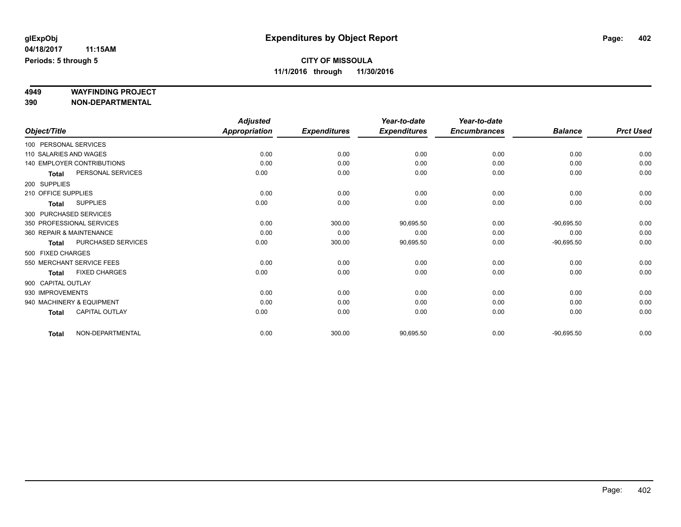# **4949 WAYFINDING PROJECT**

**390 NON-DEPARTMENTAL**

|                     |                            | <b>Adjusted</b> |                     | Year-to-date        | Year-to-date        |                |                  |
|---------------------|----------------------------|-----------------|---------------------|---------------------|---------------------|----------------|------------------|
| Object/Title        |                            | Appropriation   | <b>Expenditures</b> | <b>Expenditures</b> | <b>Encumbrances</b> | <b>Balance</b> | <b>Prct Used</b> |
|                     | 100 PERSONAL SERVICES      |                 |                     |                     |                     |                |                  |
|                     | 110 SALARIES AND WAGES     | 0.00            | 0.00                | 0.00                | 0.00                | 0.00           | 0.00             |
|                     | 140 EMPLOYER CONTRIBUTIONS | 0.00            | 0.00                | 0.00                | 0.00                | 0.00           | 0.00             |
| <b>Total</b>        | PERSONAL SERVICES          | 0.00            | 0.00                | 0.00                | 0.00                | 0.00           | 0.00             |
| 200 SUPPLIES        |                            |                 |                     |                     |                     |                |                  |
| 210 OFFICE SUPPLIES |                            | 0.00            | 0.00                | 0.00                | 0.00                | 0.00           | 0.00             |
| <b>Total</b>        | <b>SUPPLIES</b>            | 0.00            | 0.00                | 0.00                | 0.00                | 0.00           | 0.00             |
|                     | 300 PURCHASED SERVICES     |                 |                     |                     |                     |                |                  |
|                     | 350 PROFESSIONAL SERVICES  | 0.00            | 300.00              | 90,695.50           | 0.00                | $-90,695.50$   | 0.00             |
|                     | 360 REPAIR & MAINTENANCE   | 0.00            | 0.00                | 0.00                | 0.00                | 0.00           | 0.00             |
| <b>Total</b>        | PURCHASED SERVICES         | 0.00            | 300.00              | 90,695.50           | 0.00                | $-90,695.50$   | 0.00             |
| 500 FIXED CHARGES   |                            |                 |                     |                     |                     |                |                  |
|                     | 550 MERCHANT SERVICE FEES  | 0.00            | 0.00                | 0.00                | 0.00                | 0.00           | 0.00             |
| <b>Total</b>        | <b>FIXED CHARGES</b>       | 0.00            | 0.00                | 0.00                | 0.00                | 0.00           | 0.00             |
| 900 CAPITAL OUTLAY  |                            |                 |                     |                     |                     |                |                  |
| 930 IMPROVEMENTS    |                            | 0.00            | 0.00                | 0.00                | 0.00                | 0.00           | 0.00             |
|                     | 940 MACHINERY & EQUIPMENT  | 0.00            | 0.00                | 0.00                | 0.00                | 0.00           | 0.00             |
| <b>Total</b>        | <b>CAPITAL OUTLAY</b>      | 0.00            | 0.00                | 0.00                | 0.00                | 0.00           | 0.00             |
| <b>Total</b>        | NON-DEPARTMENTAL           | 0.00            | 300.00              | 90,695.50           | 0.00                | $-90,695.50$   | 0.00             |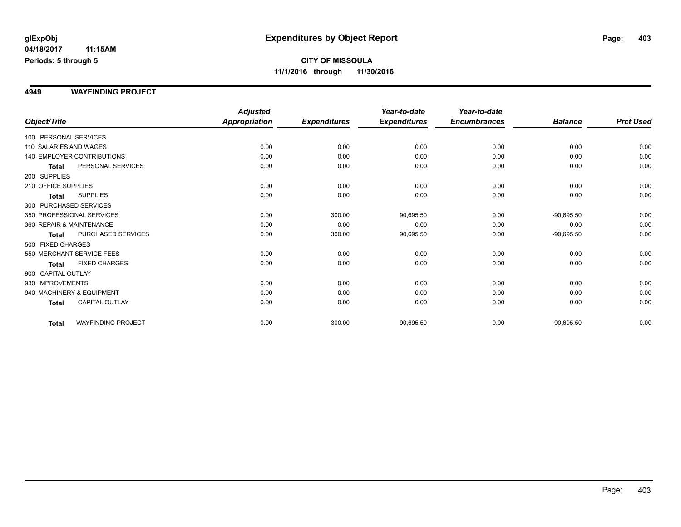#### **4949 WAYFINDING PROJECT**

|                                           | <b>Adjusted</b>      |                     | Year-to-date        | Year-to-date        |                |                  |
|-------------------------------------------|----------------------|---------------------|---------------------|---------------------|----------------|------------------|
| Object/Title                              | <b>Appropriation</b> | <b>Expenditures</b> | <b>Expenditures</b> | <b>Encumbrances</b> | <b>Balance</b> | <b>Prct Used</b> |
| 100 PERSONAL SERVICES                     |                      |                     |                     |                     |                |                  |
| 110 SALARIES AND WAGES                    | 0.00                 | 0.00                | 0.00                | 0.00                | 0.00           | 0.00             |
| <b>140 EMPLOYER CONTRIBUTIONS</b>         | 0.00                 | 0.00                | 0.00                | 0.00                | 0.00           | 0.00             |
| PERSONAL SERVICES<br><b>Total</b>         | 0.00                 | 0.00                | 0.00                | 0.00                | 0.00           | 0.00             |
| 200 SUPPLIES                              |                      |                     |                     |                     |                |                  |
| 210 OFFICE SUPPLIES                       | 0.00                 | 0.00                | 0.00                | 0.00                | 0.00           | 0.00             |
| <b>SUPPLIES</b><br>Total                  | 0.00                 | 0.00                | 0.00                | 0.00                | 0.00           | 0.00             |
| 300 PURCHASED SERVICES                    |                      |                     |                     |                     |                |                  |
| 350 PROFESSIONAL SERVICES                 | 0.00                 | 300.00              | 90,695.50           | 0.00                | $-90,695.50$   | 0.00             |
| 360 REPAIR & MAINTENANCE                  | 0.00                 | 0.00                | 0.00                | 0.00                | 0.00           | 0.00             |
| PURCHASED SERVICES<br><b>Total</b>        | 0.00                 | 300.00              | 90,695.50           | 0.00                | $-90,695.50$   | 0.00             |
| 500 FIXED CHARGES                         |                      |                     |                     |                     |                |                  |
| 550 MERCHANT SERVICE FEES                 | 0.00                 | 0.00                | 0.00                | 0.00                | 0.00           | 0.00             |
| <b>FIXED CHARGES</b><br>Total             | 0.00                 | 0.00                | 0.00                | 0.00                | 0.00           | 0.00             |
| 900 CAPITAL OUTLAY                        |                      |                     |                     |                     |                |                  |
| 930 IMPROVEMENTS                          | 0.00                 | 0.00                | 0.00                | 0.00                | 0.00           | 0.00             |
| 940 MACHINERY & EQUIPMENT                 | 0.00                 | 0.00                | 0.00                | 0.00                | 0.00           | 0.00             |
| <b>CAPITAL OUTLAY</b><br><b>Total</b>     | 0.00                 | 0.00                | 0.00                | 0.00                | 0.00           | 0.00             |
| <b>WAYFINDING PROJECT</b><br><b>Total</b> | 0.00                 | 300.00              | 90,695.50           | 0.00                | $-90,695.50$   | 0.00             |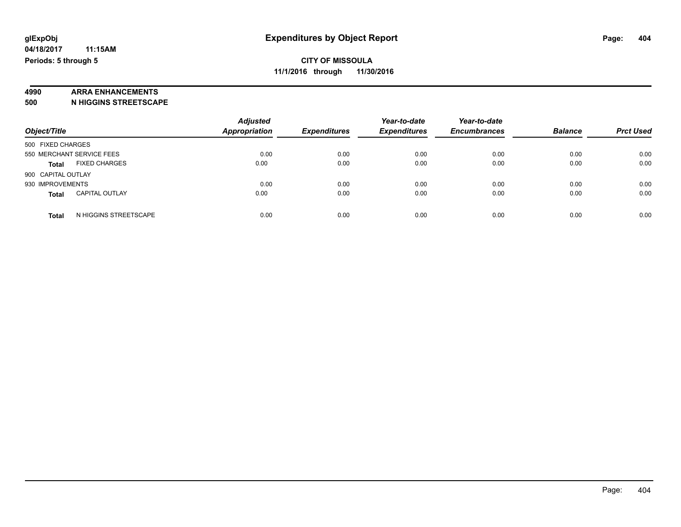# **4990 ARRA ENHANCEMENTS**

**500 N HIGGINS STREETSCAPE**

| Object/Title                          | <b>Adjusted</b><br>Appropriation | <b>Expenditures</b> | Year-to-date<br><b>Expenditures</b> | Year-to-date<br><b>Encumbrances</b> | <b>Balance</b> | <b>Prct Used</b> |
|---------------------------------------|----------------------------------|---------------------|-------------------------------------|-------------------------------------|----------------|------------------|
| 500 FIXED CHARGES                     |                                  |                     |                                     |                                     |                |                  |
| 550 MERCHANT SERVICE FEES             | 0.00                             | 0.00                | 0.00                                | 0.00                                | 0.00           | 0.00             |
| <b>FIXED CHARGES</b><br><b>Total</b>  | 0.00                             | 0.00                | 0.00                                | 0.00                                | 0.00           | 0.00             |
| 900 CAPITAL OUTLAY                    |                                  |                     |                                     |                                     |                |                  |
| 930 IMPROVEMENTS                      | 0.00                             | 0.00                | 0.00                                | 0.00                                | 0.00           | 0.00             |
| <b>CAPITAL OUTLAY</b><br><b>Total</b> | 0.00                             | 0.00                | 0.00                                | 0.00                                | 0.00           | 0.00             |
| N HIGGINS STREETSCAPE<br><b>Total</b> | 0.00                             | 0.00                | 0.00                                | 0.00                                | 0.00           | 0.00             |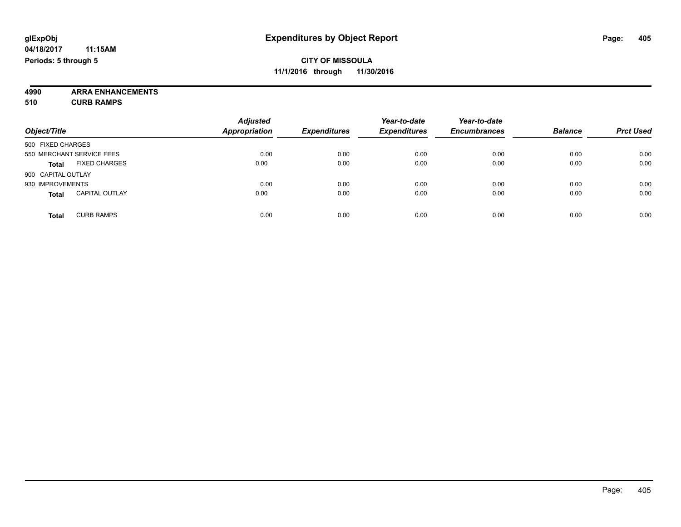**4990 ARRA ENHANCEMENTS 510 CURB RAMPS**

| Object/Title                          | <b>Adjusted</b><br><b>Appropriation</b> | <b>Expenditures</b> | Year-to-date<br><b>Expenditures</b> | Year-to-date<br><b>Encumbrances</b> | <b>Balance</b> | <b>Prct Used</b> |
|---------------------------------------|-----------------------------------------|---------------------|-------------------------------------|-------------------------------------|----------------|------------------|
| 500 FIXED CHARGES                     |                                         |                     |                                     |                                     |                |                  |
| 550 MERCHANT SERVICE FEES             | 0.00                                    | 0.00                | 0.00                                | 0.00                                | 0.00           | 0.00             |
| <b>FIXED CHARGES</b><br><b>Total</b>  | 0.00                                    | 0.00                | 0.00                                | 0.00                                | 0.00           | 0.00             |
| 900 CAPITAL OUTLAY                    |                                         |                     |                                     |                                     |                |                  |
| 930 IMPROVEMENTS                      | 0.00                                    | 0.00                | 0.00                                | 0.00                                | 0.00           | 0.00             |
| <b>CAPITAL OUTLAY</b><br><b>Total</b> | 0.00                                    | 0.00                | 0.00                                | 0.00                                | 0.00           | 0.00             |
| <b>CURB RAMPS</b><br><b>Total</b>     | 0.00                                    | 0.00                | 0.00                                | 0.00                                | 0.00           | 0.00             |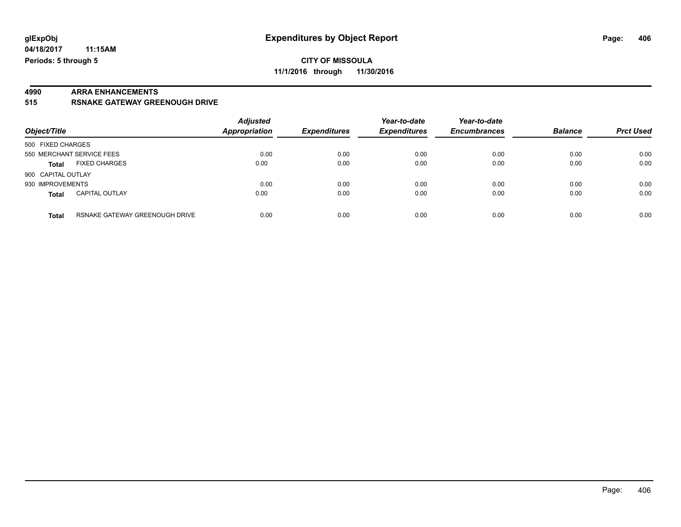**04/18/2017 11:15AM Periods: 5 through 5**

# **4990 ARRA ENHANCEMENTS**

**515 RSNAKE GATEWAY GREENOUGH DRIVE**

| Object/Title       |                                | <b>Adjusted</b><br>Appropriation | <b>Expenditures</b> | Year-to-date<br><b>Expenditures</b> | Year-to-date<br><b>Encumbrances</b> | <b>Balance</b> | <b>Prct Used</b> |
|--------------------|--------------------------------|----------------------------------|---------------------|-------------------------------------|-------------------------------------|----------------|------------------|
| 500 FIXED CHARGES  |                                |                                  |                     |                                     |                                     |                |                  |
|                    | 550 MERCHANT SERVICE FEES      | 0.00                             | 0.00                | 0.00                                | 0.00                                | 0.00           | 0.00             |
| <b>Total</b>       | <b>FIXED CHARGES</b>           | 0.00                             | 0.00                | 0.00                                | 0.00                                | 0.00           | 0.00             |
| 900 CAPITAL OUTLAY |                                |                                  |                     |                                     |                                     |                |                  |
| 930 IMPROVEMENTS   |                                | 0.00                             | 0.00                | 0.00                                | 0.00                                | 0.00           | 0.00             |
| <b>Total</b>       | <b>CAPITAL OUTLAY</b>          | 0.00                             | 0.00                | 0.00                                | 0.00                                | 0.00           | 0.00             |
| <b>Total</b>       | RSNAKE GATEWAY GREENOUGH DRIVE | 0.00                             | 0.00                | 0.00                                | 0.00                                | 0.00           | 0.00             |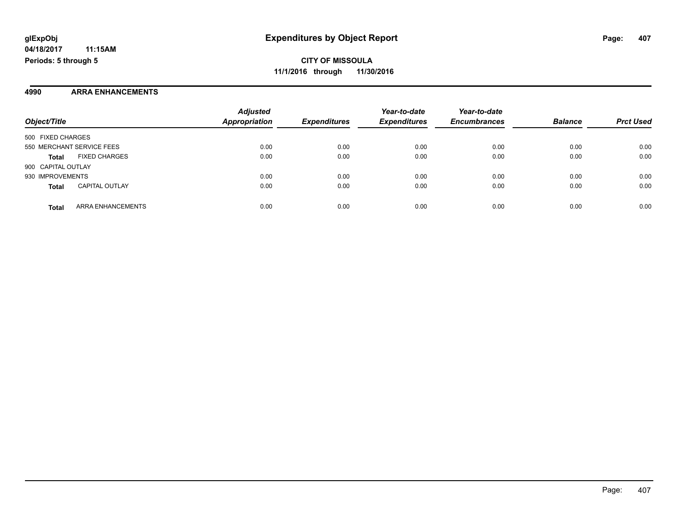#### **4990 ARRA ENHANCEMENTS**

| Object/Title       |                           | <b>Adjusted</b><br><b>Appropriation</b> | <b>Expenditures</b> | Year-to-date<br><b>Expenditures</b> | Year-to-date<br><b>Encumbrances</b> | <b>Balance</b> | <b>Prct Used</b> |
|--------------------|---------------------------|-----------------------------------------|---------------------|-------------------------------------|-------------------------------------|----------------|------------------|
| 500 FIXED CHARGES  |                           |                                         |                     |                                     |                                     |                |                  |
|                    | 550 MERCHANT SERVICE FEES | 0.00                                    | 0.00                | 0.00                                | 0.00                                | 0.00           | 0.00             |
| <b>Total</b>       | <b>FIXED CHARGES</b>      | 0.00                                    | 0.00                | 0.00                                | 0.00                                | 0.00           | 0.00             |
| 900 CAPITAL OUTLAY |                           |                                         |                     |                                     |                                     |                |                  |
| 930 IMPROVEMENTS   |                           | 0.00                                    | 0.00                | 0.00                                | 0.00                                | 0.00           | 0.00             |
| <b>Total</b>       | <b>CAPITAL OUTLAY</b>     | 0.00                                    | 0.00                | 0.00                                | 0.00                                | 0.00           | 0.00             |
| <b>Total</b>       | ARRA ENHANCEMENTS         | 0.00                                    | 0.00                | 0.00                                | 0.00                                | 0.00           | 0.00             |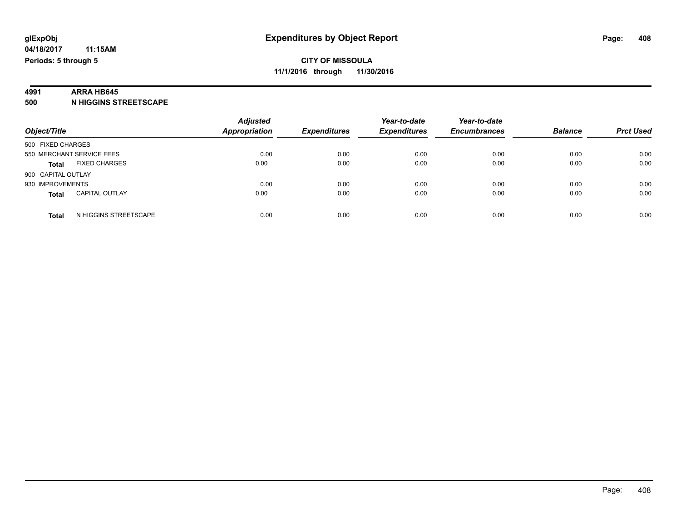# **4991 ARRA HB645**

**500 N HIGGINS STREETSCAPE**

| Object/Title                          | <b>Adjusted</b><br>Appropriation | <b>Expenditures</b> | Year-to-date<br><b>Expenditures</b> | Year-to-date<br><b>Encumbrances</b> | <b>Balance</b> | <b>Prct Used</b> |
|---------------------------------------|----------------------------------|---------------------|-------------------------------------|-------------------------------------|----------------|------------------|
| 500 FIXED CHARGES                     |                                  |                     |                                     |                                     |                |                  |
| 550 MERCHANT SERVICE FEES             | 0.00                             | 0.00                | 0.00                                | 0.00                                | 0.00           | 0.00             |
| <b>FIXED CHARGES</b><br><b>Total</b>  | 0.00                             | 0.00                | 0.00                                | 0.00                                | 0.00           | 0.00             |
| 900 CAPITAL OUTLAY                    |                                  |                     |                                     |                                     |                |                  |
| 930 IMPROVEMENTS                      | 0.00                             | 0.00                | 0.00                                | 0.00                                | 0.00           | 0.00             |
| <b>CAPITAL OUTLAY</b><br><b>Total</b> | 0.00                             | 0.00                | 0.00                                | 0.00                                | 0.00           | 0.00             |
| N HIGGINS STREETSCAPE<br><b>Total</b> | 0.00                             | 0.00                | 0.00                                | 0.00                                | 0.00           | 0.00             |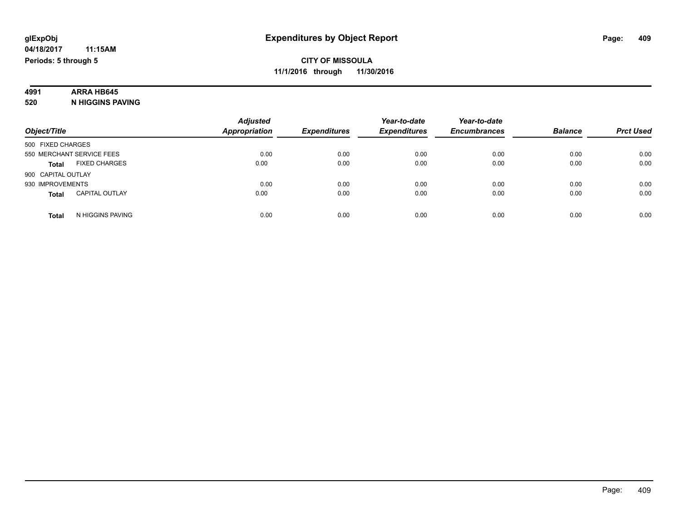# **4991 ARRA HB645**

**520 N HIGGINS PAVING**

|                                       | <b>Adjusted</b>      |                     | Year-to-date        | Year-to-date        |                |                  |
|---------------------------------------|----------------------|---------------------|---------------------|---------------------|----------------|------------------|
| Object/Title                          | <b>Appropriation</b> | <b>Expenditures</b> | <b>Expenditures</b> | <b>Encumbrances</b> | <b>Balance</b> | <b>Prct Used</b> |
| 500 FIXED CHARGES                     |                      |                     |                     |                     |                |                  |
| 550 MERCHANT SERVICE FEES             | 0.00                 | 0.00                | 0.00                | 0.00                | 0.00           | 0.00             |
| <b>FIXED CHARGES</b><br><b>Total</b>  | 0.00                 | 0.00                | 0.00                | 0.00                | 0.00           | 0.00             |
| 900 CAPITAL OUTLAY                    |                      |                     |                     |                     |                |                  |
| 930 IMPROVEMENTS                      | 0.00                 | 0.00                | 0.00                | 0.00                | 0.00           | 0.00             |
| <b>CAPITAL OUTLAY</b><br><b>Total</b> | 0.00                 | 0.00                | 0.00                | 0.00                | 0.00           | 0.00             |
| N HIGGINS PAVING<br><b>Total</b>      | 0.00                 | 0.00                | 0.00                | 0.00                | 0.00           | 0.00             |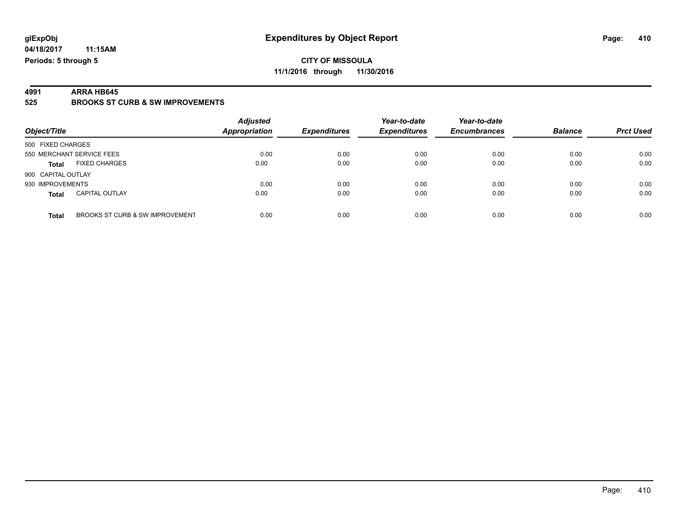**04/18/2017 11:15AM Periods: 5 through 5**

#### **CITY OF MISSOULA 11/1/2016 through 11/30/2016**

**4991 ARRA HB645 525 BROOKS ST CURB & SW IMPROVEMENTS**

| Object/Title                             | <b>Adjusted</b><br><b>Appropriation</b> | <b>Expenditures</b> | Year-to-date<br><b>Expenditures</b> | Year-to-date<br><b>Encumbrances</b> | <b>Balance</b> | <b>Prct Used</b> |
|------------------------------------------|-----------------------------------------|---------------------|-------------------------------------|-------------------------------------|----------------|------------------|
| 500 FIXED CHARGES                        |                                         |                     |                                     |                                     |                |                  |
| 550 MERCHANT SERVICE FEES                | 0.00                                    | 0.00                | 0.00                                | 0.00                                | 0.00           | 0.00             |
| <b>FIXED CHARGES</b><br>Total            | 0.00                                    | 0.00                | 0.00                                | 0.00                                | 0.00           | 0.00             |
| 900 CAPITAL OUTLAY                       |                                         |                     |                                     |                                     |                |                  |
| 930 IMPROVEMENTS                         | 0.00                                    | 0.00                | 0.00                                | 0.00                                | 0.00           | 0.00             |
| <b>CAPITAL OUTLAY</b><br><b>Total</b>    | 0.00                                    | 0.00                | 0.00                                | 0.00                                | 0.00           | 0.00             |
| BROOKS ST CURB & SW IMPROVEMENT<br>Total | 0.00                                    | 0.00                | 0.00                                | 0.00                                | 0.00           | 0.00             |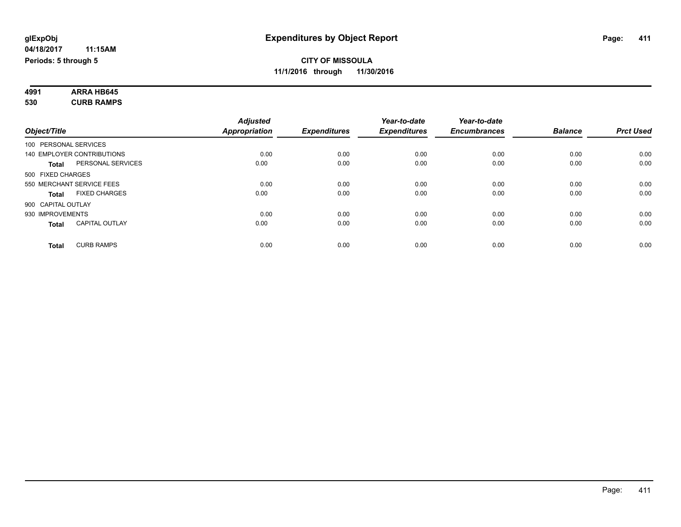| 4991 | <b>ARRA HB645</b> |  |
|------|-------------------|--|
| 530  | <b>CURB RAMPS</b> |  |

|                       |                            | <b>Adjusted</b>      |                     | Year-to-date        | Year-to-date        |                |                  |
|-----------------------|----------------------------|----------------------|---------------------|---------------------|---------------------|----------------|------------------|
| Object/Title          |                            | <b>Appropriation</b> | <b>Expenditures</b> | <b>Expenditures</b> | <b>Encumbrances</b> | <b>Balance</b> | <b>Prct Used</b> |
| 100 PERSONAL SERVICES |                            |                      |                     |                     |                     |                |                  |
|                       | 140 EMPLOYER CONTRIBUTIONS | 0.00                 | 0.00                | 0.00                | 0.00                | 0.00           | 0.00             |
| Total                 | PERSONAL SERVICES          | 0.00                 | 0.00                | 0.00                | 0.00                | 0.00           | 0.00             |
| 500 FIXED CHARGES     |                            |                      |                     |                     |                     |                |                  |
|                       | 550 MERCHANT SERVICE FEES  | 0.00                 | 0.00                | 0.00                | 0.00                | 0.00           | 0.00             |
| Total                 | <b>FIXED CHARGES</b>       | 0.00                 | 0.00                | 0.00                | 0.00                | 0.00           | 0.00             |
| 900 CAPITAL OUTLAY    |                            |                      |                     |                     |                     |                |                  |
| 930 IMPROVEMENTS      |                            | 0.00                 | 0.00                | 0.00                | 0.00                | 0.00           | 0.00             |
| <b>Total</b>          | <b>CAPITAL OUTLAY</b>      | 0.00                 | 0.00                | 0.00                | 0.00                | 0.00           | 0.00             |
|                       |                            |                      |                     |                     |                     |                |                  |
| <b>Total</b>          | <b>CURB RAMPS</b>          | 0.00                 | 0.00                | 0.00                | 0.00                | 0.00           | 0.00             |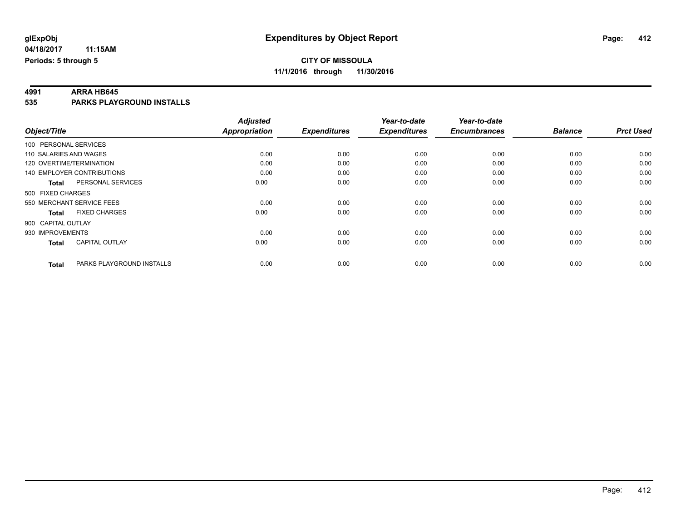# **4991 ARRA HB645**

**535 PARKS PLAYGROUND INSTALLS**

|                        |                                   | <b>Adjusted</b>      |                     | Year-to-date        | Year-to-date        |                |                  |
|------------------------|-----------------------------------|----------------------|---------------------|---------------------|---------------------|----------------|------------------|
| Object/Title           |                                   | <b>Appropriation</b> | <b>Expenditures</b> | <b>Expenditures</b> | <b>Encumbrances</b> | <b>Balance</b> | <b>Prct Used</b> |
| 100 PERSONAL SERVICES  |                                   |                      |                     |                     |                     |                |                  |
| 110 SALARIES AND WAGES |                                   | 0.00                 | 0.00                | 0.00                | 0.00                | 0.00           | 0.00             |
|                        | 120 OVERTIME/TERMINATION          | 0.00                 | 0.00                | 0.00                | 0.00                | 0.00           | 0.00             |
|                        | <b>140 EMPLOYER CONTRIBUTIONS</b> | 0.00                 | 0.00                | 0.00                | 0.00                | 0.00           | 0.00             |
| <b>Total</b>           | PERSONAL SERVICES                 | 0.00                 | 0.00                | 0.00                | 0.00                | 0.00           | 0.00             |
| 500 FIXED CHARGES      |                                   |                      |                     |                     |                     |                |                  |
|                        | 550 MERCHANT SERVICE FEES         | 0.00                 | 0.00                | 0.00                | 0.00                | 0.00           | 0.00             |
| <b>Total</b>           | <b>FIXED CHARGES</b>              | 0.00                 | 0.00                | 0.00                | 0.00                | 0.00           | 0.00             |
| 900 CAPITAL OUTLAY     |                                   |                      |                     |                     |                     |                |                  |
| 930 IMPROVEMENTS       |                                   | 0.00                 | 0.00                | 0.00                | 0.00                | 0.00           | 0.00             |
| <b>Total</b>           | <b>CAPITAL OUTLAY</b>             | 0.00                 | 0.00                | 0.00                | 0.00                | 0.00           | 0.00             |
| <b>Total</b>           | PARKS PLAYGROUND INSTALLS         | 0.00                 | 0.00                | 0.00                | 0.00                | 0.00           | 0.00             |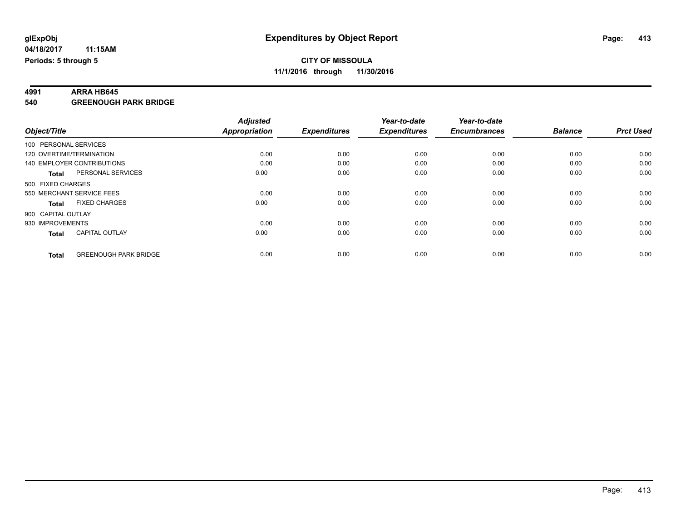# **4991 ARRA HB645**

**540 GREENOUGH PARK BRIDGE**

|                       |                              | <b>Adjusted</b>      |                     | Year-to-date        | Year-to-date        |                |                  |
|-----------------------|------------------------------|----------------------|---------------------|---------------------|---------------------|----------------|------------------|
| Object/Title          |                              | <b>Appropriation</b> | <b>Expenditures</b> | <b>Expenditures</b> | <b>Encumbrances</b> | <b>Balance</b> | <b>Prct Used</b> |
| 100 PERSONAL SERVICES |                              |                      |                     |                     |                     |                |                  |
|                       | 120 OVERTIME/TERMINATION     | 0.00                 | 0.00                | 0.00                | 0.00                | 0.00           | 0.00             |
|                       | 140 EMPLOYER CONTRIBUTIONS   | 0.00                 | 0.00                | 0.00                | 0.00                | 0.00           | 0.00             |
| <b>Total</b>          | PERSONAL SERVICES            | 0.00                 | 0.00                | 0.00                | 0.00                | 0.00           | 0.00             |
| 500 FIXED CHARGES     |                              |                      |                     |                     |                     |                |                  |
|                       | 550 MERCHANT SERVICE FEES    | 0.00                 | 0.00                | 0.00                | 0.00                | 0.00           | 0.00             |
| <b>Total</b>          | <b>FIXED CHARGES</b>         | 0.00                 | 0.00                | 0.00                | 0.00                | 0.00           | 0.00             |
| 900 CAPITAL OUTLAY    |                              |                      |                     |                     |                     |                |                  |
| 930 IMPROVEMENTS      |                              | 0.00                 | 0.00                | 0.00                | 0.00                | 0.00           | 0.00             |
| <b>Total</b>          | <b>CAPITAL OUTLAY</b>        | 0.00                 | 0.00                | 0.00                | 0.00                | 0.00           | 0.00             |
|                       |                              |                      |                     |                     |                     |                |                  |
| <b>Total</b>          | <b>GREENOUGH PARK BRIDGE</b> | 0.00                 | 0.00                | 0.00                | 0.00                | 0.00           | 0.00             |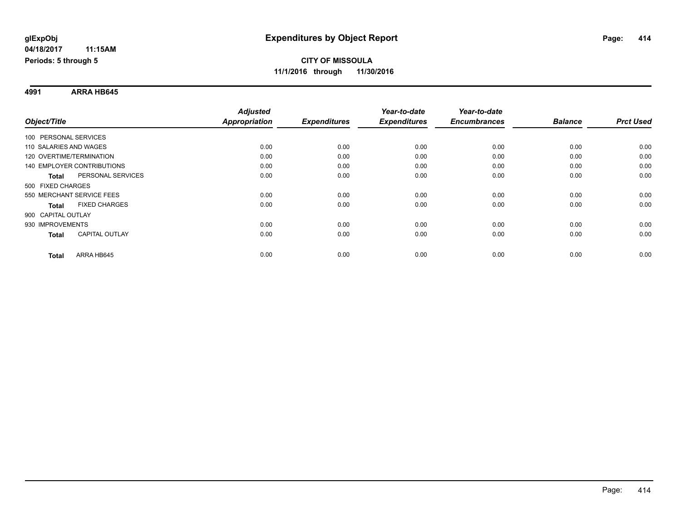**4991 ARRA HB645**

|                                       | <b>Adjusted</b>      |                     | Year-to-date        | Year-to-date        |                |                  |
|---------------------------------------|----------------------|---------------------|---------------------|---------------------|----------------|------------------|
| Object/Title                          | <b>Appropriation</b> | <b>Expenditures</b> | <b>Expenditures</b> | <b>Encumbrances</b> | <b>Balance</b> | <b>Prct Used</b> |
| 100 PERSONAL SERVICES                 |                      |                     |                     |                     |                |                  |
| 110 SALARIES AND WAGES                | 0.00                 | 0.00                | 0.00                | 0.00                | 0.00           | 0.00             |
| 120 OVERTIME/TERMINATION              | 0.00                 | 0.00                | 0.00                | 0.00                | 0.00           | 0.00             |
| <b>140 EMPLOYER CONTRIBUTIONS</b>     | 0.00                 | 0.00                | 0.00                | 0.00                | 0.00           | 0.00             |
| PERSONAL SERVICES<br><b>Total</b>     | 0.00                 | 0.00                | 0.00                | 0.00                | 0.00           | 0.00             |
| 500 FIXED CHARGES                     |                      |                     |                     |                     |                |                  |
| 550 MERCHANT SERVICE FEES             | 0.00                 | 0.00                | 0.00                | 0.00                | 0.00           | 0.00             |
| <b>FIXED CHARGES</b><br><b>Total</b>  | 0.00                 | 0.00                | 0.00                | 0.00                | 0.00           | 0.00             |
| 900 CAPITAL OUTLAY                    |                      |                     |                     |                     |                |                  |
| 930 IMPROVEMENTS                      | 0.00                 | 0.00                | 0.00                | 0.00                | 0.00           | 0.00             |
| <b>CAPITAL OUTLAY</b><br><b>Total</b> | 0.00                 | 0.00                | 0.00                | 0.00                | 0.00           | 0.00             |
| ARRA HB645<br><b>Total</b>            | 0.00                 | 0.00                | 0.00                | 0.00                | 0.00           | 0.00             |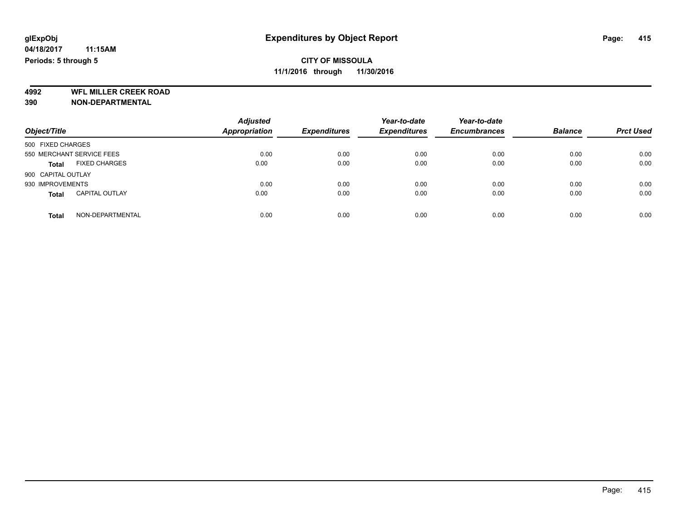**4992 WFL MILLER CREEK ROAD 390 NON-DEPARTMENTAL**

| Object/Title       |                           | <b>Adjusted</b><br>Appropriation | <b>Expenditures</b> | Year-to-date<br><b>Expenditures</b> | Year-to-date<br><b>Encumbrances</b> | <b>Balance</b> | <b>Prct Used</b> |
|--------------------|---------------------------|----------------------------------|---------------------|-------------------------------------|-------------------------------------|----------------|------------------|
| 500 FIXED CHARGES  |                           |                                  |                     |                                     |                                     |                |                  |
|                    | 550 MERCHANT SERVICE FEES | 0.00                             | 0.00                | 0.00                                | 0.00                                | 0.00           | 0.00             |
| Total              | <b>FIXED CHARGES</b>      | 0.00                             | 0.00                | 0.00                                | 0.00                                | 0.00           | 0.00             |
| 900 CAPITAL OUTLAY |                           |                                  |                     |                                     |                                     |                |                  |
| 930 IMPROVEMENTS   |                           | 0.00                             | 0.00                | 0.00                                | 0.00                                | 0.00           | 0.00             |
| Total              | <b>CAPITAL OUTLAY</b>     | 0.00                             | 0.00                | 0.00                                | 0.00                                | 0.00           | 0.00             |
| <b>Total</b>       | NON-DEPARTMENTAL          | 0.00                             | 0.00                | 0.00                                | 0.00                                | 0.00           | 0.00             |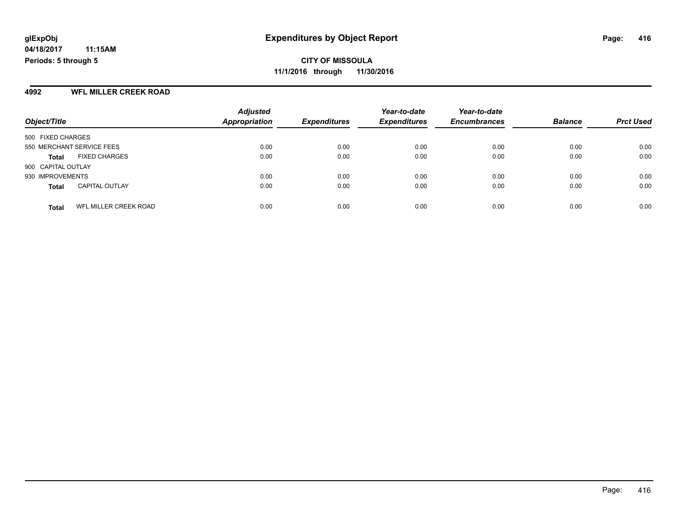#### **4992 WFL MILLER CREEK ROAD**

|                           |                       | <b>Adjusted</b>      |                     | Year-to-date        | Year-to-date        |                |                  |
|---------------------------|-----------------------|----------------------|---------------------|---------------------|---------------------|----------------|------------------|
| Object/Title              |                       | <b>Appropriation</b> | <b>Expenditures</b> | <b>Expenditures</b> | <b>Encumbrances</b> | <b>Balance</b> | <b>Prct Used</b> |
| 500 FIXED CHARGES         |                       |                      |                     |                     |                     |                |                  |
| 550 MERCHANT SERVICE FEES |                       | 0.00                 | 0.00                | 0.00                | 0.00                | 0.00           | 0.00             |
| <b>Total</b>              | <b>FIXED CHARGES</b>  | 0.00                 | 0.00                | 0.00                | 0.00                | 0.00           | 0.00             |
| 900 CAPITAL OUTLAY        |                       |                      |                     |                     |                     |                |                  |
| 930 IMPROVEMENTS          |                       | 0.00                 | 0.00                | 0.00                | 0.00                | 0.00           | 0.00             |
| <b>Total</b>              | <b>CAPITAL OUTLAY</b> | 0.00                 | 0.00                | 0.00                | 0.00                | 0.00           | 0.00             |
| <b>Total</b>              | WFL MILLER CREEK ROAD | 0.00                 | 0.00                | 0.00                | 0.00                | 0.00           | 0.00             |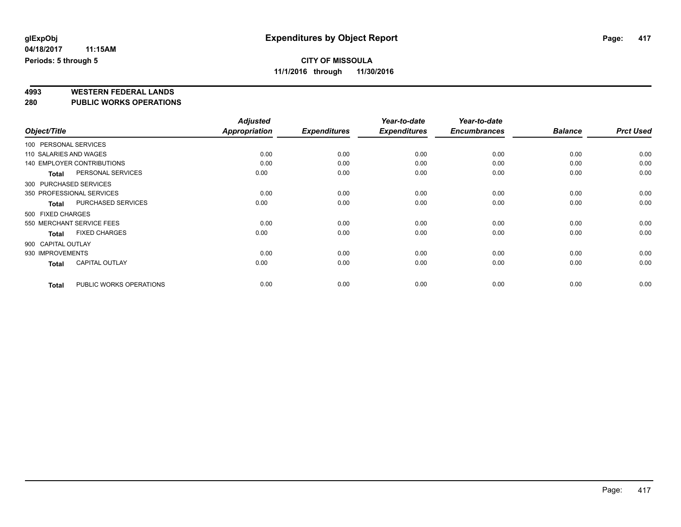# **4993 WESTERN FEDERAL LANDS**

**280 PUBLIC WORKS OPERATIONS**

|                        |                                   | <b>Adjusted</b> |                     | Year-to-date        | Year-to-date        |                |                  |
|------------------------|-----------------------------------|-----------------|---------------------|---------------------|---------------------|----------------|------------------|
| Object/Title           |                                   | Appropriation   | <b>Expenditures</b> | <b>Expenditures</b> | <b>Encumbrances</b> | <b>Balance</b> | <b>Prct Used</b> |
| 100 PERSONAL SERVICES  |                                   |                 |                     |                     |                     |                |                  |
| 110 SALARIES AND WAGES |                                   | 0.00            | 0.00                | 0.00                | 0.00                | 0.00           | 0.00             |
|                        | <b>140 EMPLOYER CONTRIBUTIONS</b> | 0.00            | 0.00                | 0.00                | 0.00                | 0.00           | 0.00             |
| Total                  | PERSONAL SERVICES                 | 0.00            | 0.00                | 0.00                | 0.00                | 0.00           | 0.00             |
|                        | 300 PURCHASED SERVICES            |                 |                     |                     |                     |                |                  |
|                        | 350 PROFESSIONAL SERVICES         | 0.00            | 0.00                | 0.00                | 0.00                | 0.00           | 0.00             |
| <b>Total</b>           | <b>PURCHASED SERVICES</b>         | 0.00            | 0.00                | 0.00                | 0.00                | 0.00           | 0.00             |
| 500 FIXED CHARGES      |                                   |                 |                     |                     |                     |                |                  |
|                        | 550 MERCHANT SERVICE FEES         | 0.00            | 0.00                | 0.00                | 0.00                | 0.00           | 0.00             |
| <b>Total</b>           | <b>FIXED CHARGES</b>              | 0.00            | 0.00                | 0.00                | 0.00                | 0.00           | 0.00             |
| 900 CAPITAL OUTLAY     |                                   |                 |                     |                     |                     |                |                  |
| 930 IMPROVEMENTS       |                                   | 0.00            | 0.00                | 0.00                | 0.00                | 0.00           | 0.00             |
| <b>Total</b>           | <b>CAPITAL OUTLAY</b>             | 0.00            | 0.00                | 0.00                | 0.00                | 0.00           | 0.00             |
| <b>Total</b>           | PUBLIC WORKS OPERATIONS           | 0.00            | 0.00                | 0.00                | 0.00                | 0.00           | 0.00             |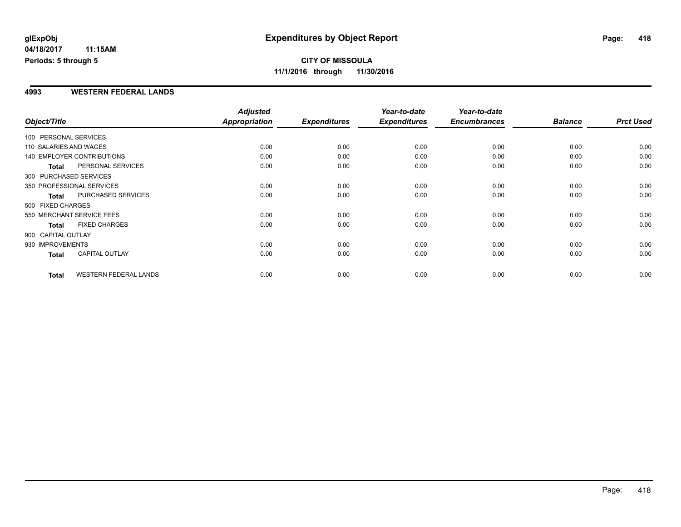#### **4993 WESTERN FEDERAL LANDS**

|                        |                                   | <b>Adjusted</b>      |                     | Year-to-date        | Year-to-date        |                |                  |
|------------------------|-----------------------------------|----------------------|---------------------|---------------------|---------------------|----------------|------------------|
| Object/Title           |                                   | <b>Appropriation</b> | <b>Expenditures</b> | <b>Expenditures</b> | <b>Encumbrances</b> | <b>Balance</b> | <b>Prct Used</b> |
| 100 PERSONAL SERVICES  |                                   |                      |                     |                     |                     |                |                  |
| 110 SALARIES AND WAGES |                                   | 0.00                 | 0.00                | 0.00                | 0.00                | 0.00           | 0.00             |
|                        | <b>140 EMPLOYER CONTRIBUTIONS</b> | 0.00                 | 0.00                | 0.00                | 0.00                | 0.00           | 0.00             |
| <b>Total</b>           | PERSONAL SERVICES                 | 0.00                 | 0.00                | 0.00                | 0.00                | 0.00           | 0.00             |
|                        | 300 PURCHASED SERVICES            |                      |                     |                     |                     |                |                  |
|                        | 350 PROFESSIONAL SERVICES         | 0.00                 | 0.00                | 0.00                | 0.00                | 0.00           | 0.00             |
| <b>Total</b>           | PURCHASED SERVICES                | 0.00                 | 0.00                | 0.00                | 0.00                | 0.00           | 0.00             |
| 500 FIXED CHARGES      |                                   |                      |                     |                     |                     |                |                  |
|                        | 550 MERCHANT SERVICE FEES         | 0.00                 | 0.00                | 0.00                | 0.00                | 0.00           | 0.00             |
| <b>Total</b>           | <b>FIXED CHARGES</b>              | 0.00                 | 0.00                | 0.00                | 0.00                | 0.00           | 0.00             |
| 900 CAPITAL OUTLAY     |                                   |                      |                     |                     |                     |                |                  |
| 930 IMPROVEMENTS       |                                   | 0.00                 | 0.00                | 0.00                | 0.00                | 0.00           | 0.00             |
| <b>Total</b>           | <b>CAPITAL OUTLAY</b>             | 0.00                 | 0.00                | 0.00                | 0.00                | 0.00           | 0.00             |
| <b>Total</b>           | <b>WESTERN FEDERAL LANDS</b>      | 0.00                 | 0.00                | 0.00                | 0.00                | 0.00           | 0.00             |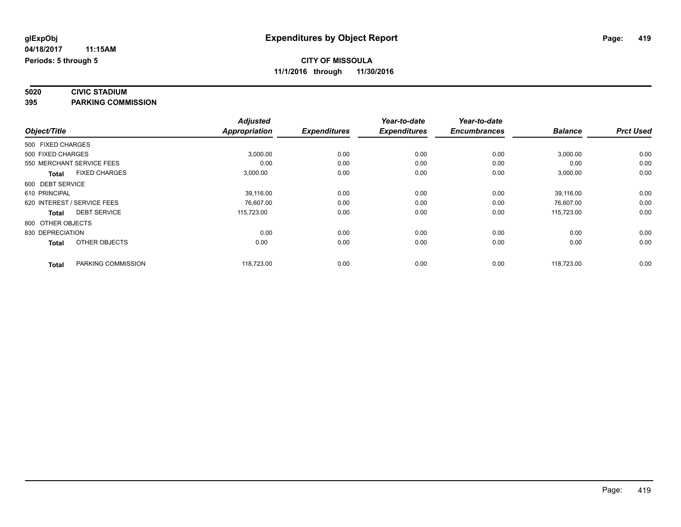#### **5020 CIVIC STADIUM 395 PARKING COMMISSION**

|                                      | <b>Adjusted</b>      |                     | Year-to-date        | Year-to-date        |                |                  |
|--------------------------------------|----------------------|---------------------|---------------------|---------------------|----------------|------------------|
| Object/Title                         | <b>Appropriation</b> | <b>Expenditures</b> | <b>Expenditures</b> | <b>Encumbrances</b> | <b>Balance</b> | <b>Prct Used</b> |
| 500 FIXED CHARGES                    |                      |                     |                     |                     |                |                  |
| 500 FIXED CHARGES                    | 3,000.00             | 0.00                | 0.00                | 0.00                | 3,000.00       | 0.00             |
| 550 MERCHANT SERVICE FEES            | 0.00                 | 0.00                | 0.00                | 0.00                | 0.00           | 0.00             |
| <b>FIXED CHARGES</b><br><b>Total</b> | 3,000.00             | 0.00                | 0.00                | 0.00                | 3,000.00       | 0.00             |
| 600 DEBT SERVICE                     |                      |                     |                     |                     |                |                  |
| 610 PRINCIPAL                        | 39,116.00            | 0.00                | 0.00                | 0.00                | 39,116.00      | 0.00             |
| 620 INTEREST / SERVICE FEES          | 76.607.00            | 0.00                | 0.00                | 0.00                | 76,607.00      | 0.00             |
| <b>DEBT SERVICE</b><br><b>Total</b>  | 115,723.00           | 0.00                | 0.00                | 0.00                | 115,723.00     | 0.00             |
| 800 OTHER OBJECTS                    |                      |                     |                     |                     |                |                  |
| 830 DEPRECIATION                     | 0.00                 | 0.00                | 0.00                | 0.00                | 0.00           | 0.00             |
| OTHER OBJECTS<br><b>Total</b>        | 0.00                 | 0.00                | 0.00                | 0.00                | 0.00           | 0.00             |
| PARKING COMMISSION<br><b>Total</b>   | 118,723.00           | 0.00                | 0.00                | 0.00                | 118,723.00     | 0.00             |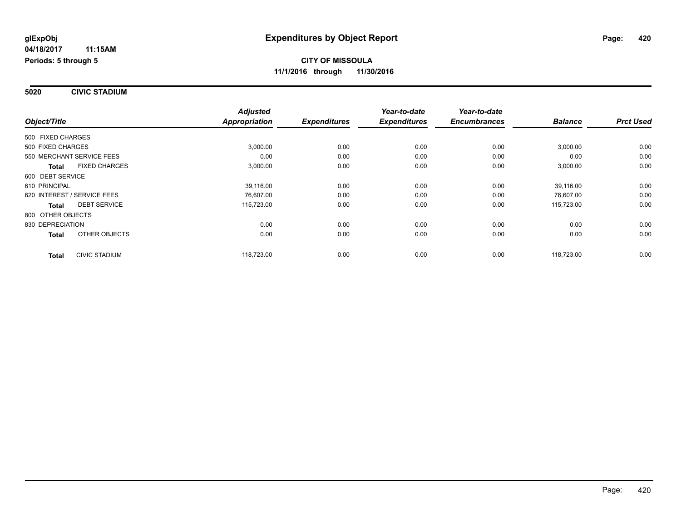**5020 CIVIC STADIUM**

|                                      | <b>Adjusted</b>      |                     | Year-to-date<br><b>Expenditures</b> | Year-to-date        | <b>Balance</b> |                  |
|--------------------------------------|----------------------|---------------------|-------------------------------------|---------------------|----------------|------------------|
| Object/Title                         | <b>Appropriation</b> | <b>Expenditures</b> |                                     | <b>Encumbrances</b> |                | <b>Prct Used</b> |
| 500 FIXED CHARGES                    |                      |                     |                                     |                     |                |                  |
| 500 FIXED CHARGES                    | 3,000.00             | 0.00                | 0.00                                | 0.00                | 3,000.00       | 0.00             |
| 550 MERCHANT SERVICE FEES            | 0.00                 | 0.00                | 0.00                                | 0.00                | 0.00           | 0.00             |
| <b>FIXED CHARGES</b><br><b>Total</b> | 3,000.00             | 0.00                | 0.00                                | 0.00                | 3,000.00       | 0.00             |
| 600 DEBT SERVICE                     |                      |                     |                                     |                     |                |                  |
| 610 PRINCIPAL                        | 39,116.00            | 0.00                | 0.00                                | 0.00                | 39,116.00      | 0.00             |
| 620 INTEREST / SERVICE FEES          | 76,607.00            | 0.00                | 0.00                                | 0.00                | 76,607.00      | 0.00             |
| <b>DEBT SERVICE</b><br><b>Total</b>  | 115,723.00           | 0.00                | 0.00                                | 0.00                | 115,723.00     | 0.00             |
| 800 OTHER OBJECTS                    |                      |                     |                                     |                     |                |                  |
| 830 DEPRECIATION                     | 0.00                 | 0.00                | 0.00                                | 0.00                | 0.00           | 0.00             |
| OTHER OBJECTS<br><b>Total</b>        | 0.00                 | 0.00                | 0.00                                | 0.00                | 0.00           | 0.00             |
| CIVIC STADIUM<br><b>Total</b>        | 118,723.00           | 0.00                | 0.00                                | 0.00                | 118,723.00     | 0.00             |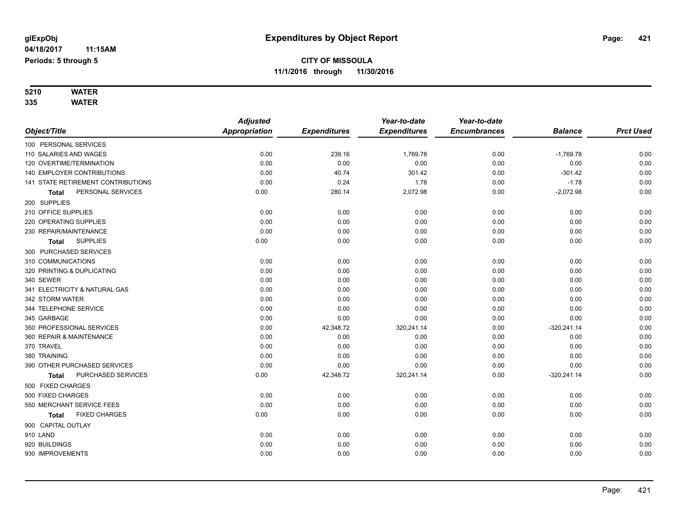#### **5210 WATER 335 WATER**

|                                      | <b>Adjusted</b> |                     | Year-to-date        | Year-to-date        |                |                  |
|--------------------------------------|-----------------|---------------------|---------------------|---------------------|----------------|------------------|
| Object/Title                         | Appropriation   | <b>Expenditures</b> | <b>Expenditures</b> | <b>Encumbrances</b> | <b>Balance</b> | <b>Prct Used</b> |
| 100 PERSONAL SERVICES                |                 |                     |                     |                     |                |                  |
| 110 SALARIES AND WAGES               | 0.00            | 239.16              | 1,769.78            | 0.00                | $-1,769.78$    | 0.00             |
| 120 OVERTIME/TERMINATION             | 0.00            | 0.00                | 0.00                | 0.00                | 0.00           | 0.00             |
| 140 EMPLOYER CONTRIBUTIONS           | 0.00            | 40.74               | 301.42              | 0.00                | $-301.42$      | 0.00             |
| 141 STATE RETIREMENT CONTRIBUTIONS   | 0.00            | 0.24                | 1.78                | 0.00                | $-1.78$        | 0.00             |
| PERSONAL SERVICES<br>Total           | 0.00            | 280.14              | 2,072.98            | 0.00                | $-2,072.98$    | 0.00             |
| 200 SUPPLIES                         |                 |                     |                     |                     |                |                  |
| 210 OFFICE SUPPLIES                  | 0.00            | 0.00                | 0.00                | 0.00                | 0.00           | 0.00             |
| 220 OPERATING SUPPLIES               | 0.00            | 0.00                | 0.00                | 0.00                | 0.00           | 0.00             |
| 230 REPAIR/MAINTENANCE               | 0.00            | 0.00                | 0.00                | 0.00                | 0.00           | 0.00             |
| <b>SUPPLIES</b><br>Total             | 0.00            | 0.00                | 0.00                | 0.00                | 0.00           | 0.00             |
| 300 PURCHASED SERVICES               |                 |                     |                     |                     |                |                  |
| 310 COMMUNICATIONS                   | 0.00            | 0.00                | 0.00                | 0.00                | 0.00           | 0.00             |
| 320 PRINTING & DUPLICATING           | 0.00            | 0.00                | 0.00                | 0.00                | 0.00           | 0.00             |
| 340 SEWER                            | 0.00            | 0.00                | 0.00                | 0.00                | 0.00           | 0.00             |
| 341 ELECTRICITY & NATURAL GAS        | 0.00            | 0.00                | 0.00                | 0.00                | 0.00           | 0.00             |
| 342 STORM WATER                      | 0.00            | 0.00                | 0.00                | 0.00                | 0.00           | 0.00             |
| 344 TELEPHONE SERVICE                | 0.00            | 0.00                | 0.00                | 0.00                | 0.00           | 0.00             |
| 345 GARBAGE                          | 0.00            | 0.00                | 0.00                | 0.00                | 0.00           | 0.00             |
| 350 PROFESSIONAL SERVICES            | 0.00            | 42,348.72           | 320,241.14          | 0.00                | $-320,241.14$  | 0.00             |
| 360 REPAIR & MAINTENANCE             | 0.00            | 0.00                | 0.00                | 0.00                | 0.00           | 0.00             |
| 370 TRAVEL                           | 0.00            | 0.00                | 0.00                | 0.00                | 0.00           | 0.00             |
| 380 TRAINING                         | 0.00            | 0.00                | 0.00                | 0.00                | 0.00           | 0.00             |
| 390 OTHER PURCHASED SERVICES         | 0.00            | 0.00                | 0.00                | 0.00                | 0.00           | 0.00             |
| PURCHASED SERVICES<br>Total          | 0.00            | 42,348.72           | 320,241.14          | 0.00                | $-320,241.14$  | 0.00             |
| 500 FIXED CHARGES                    |                 |                     |                     |                     |                |                  |
| 500 FIXED CHARGES                    | 0.00            | 0.00                | 0.00                | 0.00                | 0.00           | 0.00             |
| 550 MERCHANT SERVICE FEES            | 0.00            | 0.00                | 0.00                | 0.00                | 0.00           | 0.00             |
| <b>FIXED CHARGES</b><br><b>Total</b> | 0.00            | 0.00                | 0.00                | 0.00                | 0.00           | 0.00             |
| 900 CAPITAL OUTLAY                   |                 |                     |                     |                     |                |                  |
| 910 LAND                             | 0.00            | 0.00                | 0.00                | 0.00                | 0.00           | 0.00             |
| 920 BUILDINGS                        | 0.00            | 0.00                | 0.00                | 0.00                | 0.00           | 0.00             |
| 930 IMPROVEMENTS                     | 0.00            | 0.00                | 0.00                | 0.00                | 0.00           | 0.00             |
|                                      |                 |                     |                     |                     |                |                  |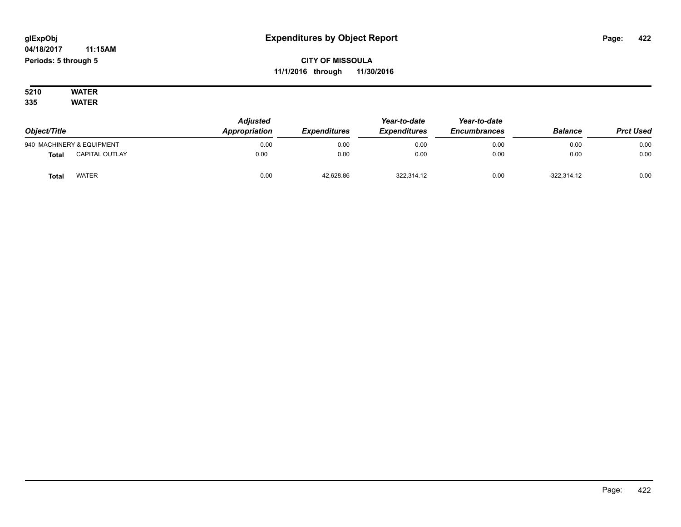**04/18/2017 11:15AM Periods: 5 through 5**

# **CITY OF MISSOULA 11/1/2016 through 11/30/2016**

**5210 WATER 335 WATER**

| Object/Title |                           | <b>Adjusted</b><br>Appropriation<br><b>Expenditures</b> | Year-to-date<br><b>Expenditures</b> | Year-to-date<br><b>Encumbrances</b> | <b>Balance</b> | <b>Prct Used</b> |      |
|--------------|---------------------------|---------------------------------------------------------|-------------------------------------|-------------------------------------|----------------|------------------|------|
|              | 940 MACHINERY & EQUIPMENT | 0.00                                                    | 0.00                                | 0.00                                | 0.00           | 0.00             | 0.00 |
| <b>Total</b> | <b>CAPITAL OUTLAY</b>     | 0.00                                                    | 0.00                                | 0.00                                | 0.00           | 0.00             | 0.00 |
| Tota         | WATER                     | 0.00                                                    | 42.628.86                           | 322,314.12                          | 0.00           | $-322,314.12$    | 0.00 |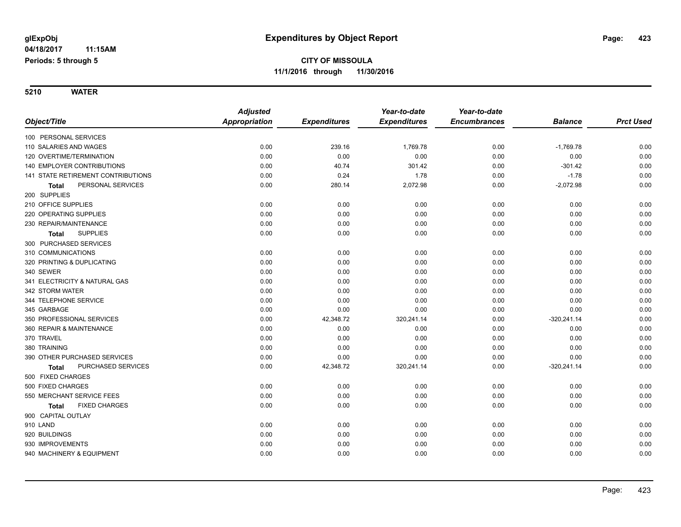|                                      | <b>Adjusted</b>      |                     | Year-to-date        | Year-to-date        |                |                  |
|--------------------------------------|----------------------|---------------------|---------------------|---------------------|----------------|------------------|
| Object/Title                         | <b>Appropriation</b> | <b>Expenditures</b> | <b>Expenditures</b> | <b>Encumbrances</b> | <b>Balance</b> | <b>Prct Used</b> |
| 100 PERSONAL SERVICES                |                      |                     |                     |                     |                |                  |
| 110 SALARIES AND WAGES               | 0.00                 | 239.16              | 1,769.78            | 0.00                | $-1,769.78$    | 0.00             |
| 120 OVERTIME/TERMINATION             | 0.00                 | 0.00                | 0.00                | 0.00                | 0.00           | 0.00             |
| 140 EMPLOYER CONTRIBUTIONS           | 0.00                 | 40.74               | 301.42              | 0.00                | $-301.42$      | 0.00             |
| 141 STATE RETIREMENT CONTRIBUTIONS   | 0.00                 | 0.24                | 1.78                | 0.00                | $-1.78$        | 0.00             |
| PERSONAL SERVICES<br><b>Total</b>    | 0.00                 | 280.14              | 2,072.98            | 0.00                | $-2,072.98$    | 0.00             |
| 200 SUPPLIES                         |                      |                     |                     |                     |                |                  |
| 210 OFFICE SUPPLIES                  | 0.00                 | 0.00                | 0.00                | 0.00                | 0.00           | 0.00             |
| 220 OPERATING SUPPLIES               | 0.00                 | 0.00                | 0.00                | 0.00                | 0.00           | 0.00             |
| 230 REPAIR/MAINTENANCE               | 0.00                 | 0.00                | 0.00                | 0.00                | 0.00           | 0.00             |
| <b>SUPPLIES</b><br>Total             | 0.00                 | 0.00                | 0.00                | 0.00                | 0.00           | 0.00             |
| 300 PURCHASED SERVICES               |                      |                     |                     |                     |                |                  |
| 310 COMMUNICATIONS                   | 0.00                 | 0.00                | 0.00                | 0.00                | 0.00           | 0.00             |
| 320 PRINTING & DUPLICATING           | 0.00                 | 0.00                | 0.00                | 0.00                | 0.00           | 0.00             |
| 340 SEWER                            | 0.00                 | 0.00                | 0.00                | 0.00                | 0.00           | 0.00             |
| 341 ELECTRICITY & NATURAL GAS        | 0.00                 | 0.00                | 0.00                | 0.00                | 0.00           | 0.00             |
| 342 STORM WATER                      | 0.00                 | 0.00                | 0.00                | 0.00                | 0.00           | 0.00             |
| 344 TELEPHONE SERVICE                | 0.00                 | 0.00                | 0.00                | 0.00                | 0.00           | 0.00             |
| 345 GARBAGE                          | 0.00                 | 0.00                | 0.00                | 0.00                | 0.00           | 0.00             |
| 350 PROFESSIONAL SERVICES            | 0.00                 | 42,348.72           | 320,241.14          | 0.00                | $-320,241.14$  | 0.00             |
| 360 REPAIR & MAINTENANCE             | 0.00                 | 0.00                | 0.00                | 0.00                | 0.00           | 0.00             |
| 370 TRAVEL                           | 0.00                 | 0.00                | 0.00                | 0.00                | 0.00           | 0.00             |
| 380 TRAINING                         | 0.00                 | 0.00                | 0.00                | 0.00                | 0.00           | 0.00             |
| 390 OTHER PURCHASED SERVICES         | 0.00                 | 0.00                | 0.00                | 0.00                | 0.00           | 0.00             |
| PURCHASED SERVICES<br><b>Total</b>   | 0.00                 | 42,348.72           | 320,241.14          | 0.00                | $-320,241.14$  | 0.00             |
| 500 FIXED CHARGES                    |                      |                     |                     |                     |                |                  |
| 500 FIXED CHARGES                    | 0.00                 | 0.00                | 0.00                | 0.00                | 0.00           | 0.00             |
| 550 MERCHANT SERVICE FEES            | 0.00                 | 0.00                | 0.00                | 0.00                | 0.00           | 0.00             |
| <b>FIXED CHARGES</b><br><b>Total</b> | 0.00                 | 0.00                | 0.00                | 0.00                | 0.00           | 0.00             |
| 900 CAPITAL OUTLAY                   |                      |                     |                     |                     |                |                  |
| 910 LAND                             | 0.00                 | 0.00                | 0.00                | 0.00                | 0.00           | 0.00             |
| 920 BUILDINGS                        | 0.00                 | 0.00                | 0.00                | 0.00                | 0.00           | 0.00             |
| 930 IMPROVEMENTS                     | 0.00                 | 0.00                | 0.00                | 0.00                | 0.00           | 0.00             |
| 940 MACHINERY & EQUIPMENT            | 0.00                 | 0.00                | 0.00                | 0.00                | 0.00           | 0.00             |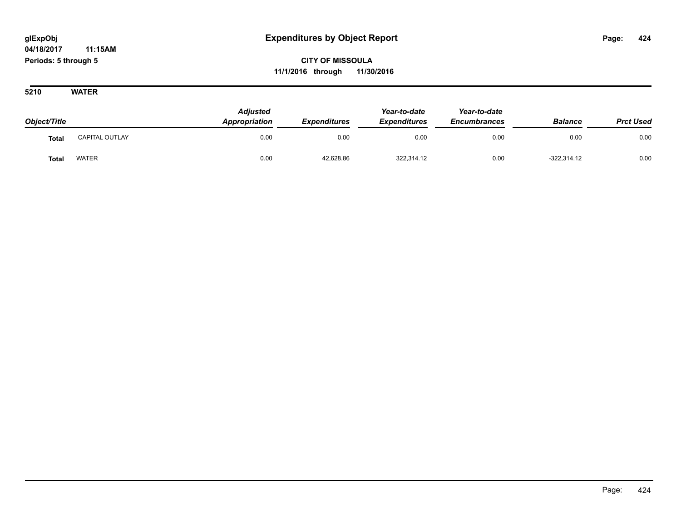**04/18/2017 11:15AM**

**Periods: 5 through 5**

**CITY OF MISSOULA 11/1/2016 through 11/30/2016**

| Object/Title |                       | <b>Adjusted</b><br>Appropriation | <b>Expenditures</b> | Year-to-date<br><b>Expenditures</b> | Year-to-date<br><b>Encumbrances</b> | <b>Balance</b> | <b>Prct Used</b> |
|--------------|-----------------------|----------------------------------|---------------------|-------------------------------------|-------------------------------------|----------------|------------------|
| <b>Total</b> | <b>CAPITAL OUTLAY</b> | 0.00                             | 0.00                | 0.00                                | 0.00                                | 0.00           | 0.00             |
| <b>Total</b> | <b>WATER</b>          | 0.00                             | 42,628.86           | 322,314.12                          | 0.00                                | $-322,314.12$  | 0.00             |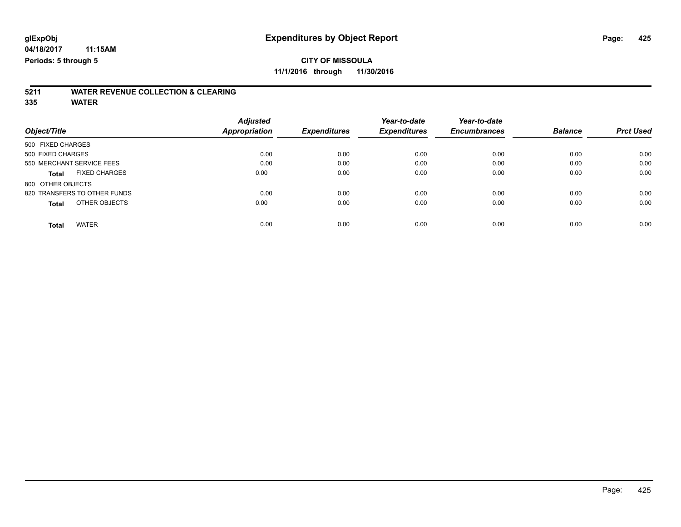# **5211 WATER REVENUE COLLECTION & CLEARING**

| Object/Title                         | <b>Adjusted</b><br>Appropriation | <b>Expenditures</b> | Year-to-date<br><b>Expenditures</b> | Year-to-date<br><b>Encumbrances</b> | <b>Balance</b> | <b>Prct Used</b> |
|--------------------------------------|----------------------------------|---------------------|-------------------------------------|-------------------------------------|----------------|------------------|
| 500 FIXED CHARGES                    |                                  |                     |                                     |                                     |                |                  |
| 500 FIXED CHARGES                    | 0.00                             | 0.00                | 0.00                                | 0.00                                | 0.00           | 0.00             |
| 550 MERCHANT SERVICE FEES            | 0.00                             | 0.00                | 0.00                                | 0.00                                | 0.00           | 0.00             |
| <b>FIXED CHARGES</b><br><b>Total</b> | 0.00                             | 0.00                | 0.00                                | 0.00                                | 0.00           | 0.00             |
| 800 OTHER OBJECTS                    |                                  |                     |                                     |                                     |                |                  |
| 820 TRANSFERS TO OTHER FUNDS         | 0.00                             | 0.00                | 0.00                                | 0.00                                | 0.00           | 0.00             |
| OTHER OBJECTS<br><b>Total</b>        | 0.00                             | 0.00                | 0.00                                | 0.00                                | 0.00           | 0.00             |
| <b>WATER</b><br><b>Total</b>         | 0.00                             | 0.00                | 0.00                                | 0.00                                | 0.00           | 0.00             |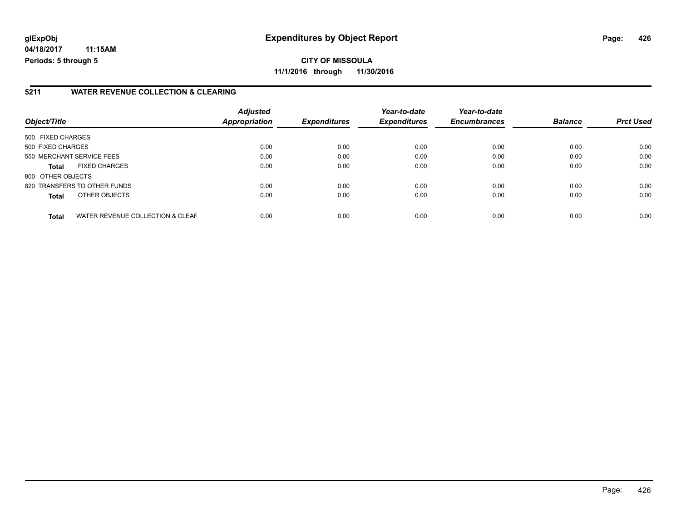**04/18/2017 11:15AM Periods: 5 through 5**

**CITY OF MISSOULA 11/1/2016 through 11/30/2016**

#### **5211 WATER REVENUE COLLECTION & CLEARING**

| Object/Title      |                                  | <b>Adjusted</b><br><b>Appropriation</b> | <b>Expenditures</b> | Year-to-date<br><b>Expenditures</b> | Year-to-date<br><b>Encumbrances</b> | <b>Balance</b> | <b>Prct Used</b> |
|-------------------|----------------------------------|-----------------------------------------|---------------------|-------------------------------------|-------------------------------------|----------------|------------------|
|                   |                                  |                                         |                     |                                     |                                     |                |                  |
| 500 FIXED CHARGES |                                  |                                         |                     |                                     |                                     |                |                  |
| 500 FIXED CHARGES |                                  | 0.00                                    | 0.00                | 0.00                                | 0.00                                | 0.00           | 0.00             |
|                   | 550 MERCHANT SERVICE FEES        | 0.00                                    | 0.00                | 0.00                                | 0.00                                | 0.00           | 0.00             |
| <b>Total</b>      | <b>FIXED CHARGES</b>             | 0.00                                    | 0.00                | 0.00                                | 0.00                                | 0.00           | 0.00             |
| 800 OTHER OBJECTS |                                  |                                         |                     |                                     |                                     |                |                  |
|                   | 820 TRANSFERS TO OTHER FUNDS     | 0.00                                    | 0.00                | 0.00                                | 0.00                                | 0.00           | 0.00             |
| <b>Total</b>      | OTHER OBJECTS                    | 0.00                                    | 0.00                | 0.00                                | 0.00                                | 0.00           | 0.00             |
| <b>Total</b>      | WATER REVENUE COLLECTION & CLEAF | 0.00                                    | 0.00                | 0.00                                | 0.00                                | 0.00           | 0.00             |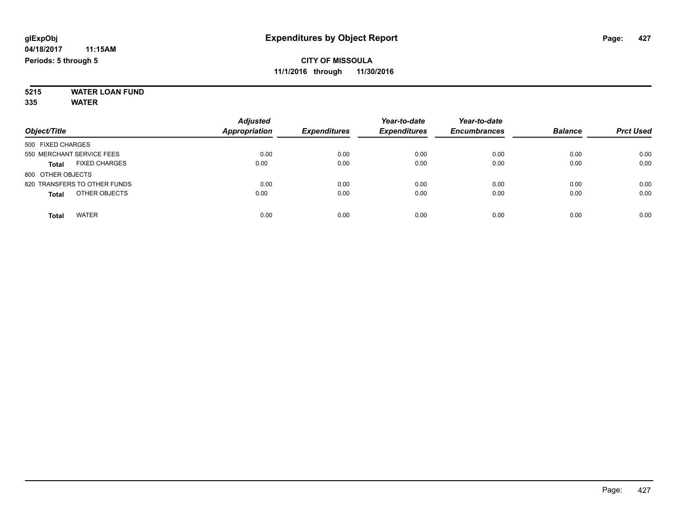#### **5215 WATER LOAN FUND 335 WATER**

| Object/Title                         | <b>Adjusted</b><br><b>Appropriation</b> | <b>Expenditures</b> | Year-to-date<br><b>Expenditures</b> | Year-to-date<br><b>Encumbrances</b> | <b>Balance</b> | <b>Prct Used</b> |
|--------------------------------------|-----------------------------------------|---------------------|-------------------------------------|-------------------------------------|----------------|------------------|
| 500 FIXED CHARGES                    |                                         |                     |                                     |                                     |                |                  |
| 550 MERCHANT SERVICE FEES            | 0.00                                    | 0.00                | 0.00                                | 0.00                                | 0.00           | 0.00             |
| <b>FIXED CHARGES</b><br><b>Total</b> | 0.00                                    | 0.00                | 0.00                                | 0.00                                | 0.00           | 0.00             |
| 800 OTHER OBJECTS                    |                                         |                     |                                     |                                     |                |                  |
| 820 TRANSFERS TO OTHER FUNDS         | 0.00                                    | 0.00                | 0.00                                | 0.00                                | 0.00           | 0.00             |
| OTHER OBJECTS<br><b>Total</b>        | 0.00                                    | 0.00                | 0.00                                | 0.00                                | 0.00           | 0.00             |
| <b>WATER</b><br>Total                | 0.00                                    | 0.00                | 0.00                                | 0.00                                | 0.00           | 0.00             |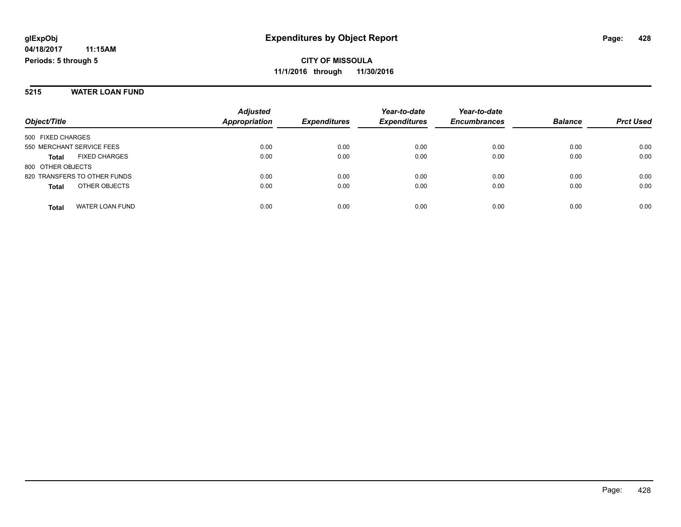#### **5215 WATER LOAN FUND**

|                                        | <b>Adjusted</b>      |                     | Year-to-date        | Year-to-date        |                |                  |
|----------------------------------------|----------------------|---------------------|---------------------|---------------------|----------------|------------------|
| Object/Title                           | <b>Appropriation</b> | <b>Expenditures</b> | <b>Expenditures</b> | <b>Encumbrances</b> | <b>Balance</b> | <b>Prct Used</b> |
| 500 FIXED CHARGES                      |                      |                     |                     |                     |                |                  |
| 550 MERCHANT SERVICE FEES              | 0.00                 | 0.00                | 0.00                | 0.00                | 0.00           | 0.00             |
| <b>FIXED CHARGES</b><br><b>Total</b>   | 0.00                 | 0.00                | 0.00                | 0.00                | 0.00           | 0.00             |
| 800 OTHER OBJECTS                      |                      |                     |                     |                     |                |                  |
| 820 TRANSFERS TO OTHER FUNDS           | 0.00                 | 0.00                | 0.00                | 0.00                | 0.00           | 0.00             |
| OTHER OBJECTS<br><b>Total</b>          | 0.00                 | 0.00                | 0.00                | 0.00                | 0.00           | 0.00             |
| <b>WATER LOAN FUND</b><br><b>Total</b> | 0.00                 | 0.00                | 0.00                | 0.00                | 0.00           | 0.00             |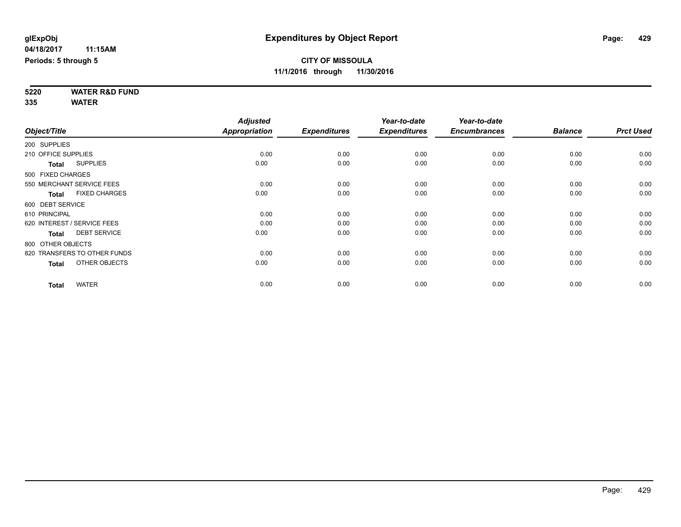**5220 WATER R&D FUND 335 WATER**

|                     |                              | <b>Adjusted</b> |                     | Year-to-date        | Year-to-date        |                |                  |
|---------------------|------------------------------|-----------------|---------------------|---------------------|---------------------|----------------|------------------|
| Object/Title        |                              | Appropriation   | <b>Expenditures</b> | <b>Expenditures</b> | <b>Encumbrances</b> | <b>Balance</b> | <b>Prct Used</b> |
| 200 SUPPLIES        |                              |                 |                     |                     |                     |                |                  |
| 210 OFFICE SUPPLIES |                              | 0.00            | 0.00                | 0.00                | 0.00                | 0.00           | 0.00             |
| <b>Total</b>        | <b>SUPPLIES</b>              | 0.00            | 0.00                | 0.00                | 0.00                | 0.00           | 0.00             |
| 500 FIXED CHARGES   |                              |                 |                     |                     |                     |                |                  |
|                     | 550 MERCHANT SERVICE FEES    | 0.00            | 0.00                | 0.00                | 0.00                | 0.00           | 0.00             |
| <b>Total</b>        | <b>FIXED CHARGES</b>         | 0.00            | 0.00                | 0.00                | 0.00                | 0.00           | 0.00             |
| 600 DEBT SERVICE    |                              |                 |                     |                     |                     |                |                  |
| 610 PRINCIPAL       |                              | 0.00            | 0.00                | 0.00                | 0.00                | 0.00           | 0.00             |
|                     | 620 INTEREST / SERVICE FEES  | 0.00            | 0.00                | 0.00                | 0.00                | 0.00           | 0.00             |
| <b>Total</b>        | <b>DEBT SERVICE</b>          | 0.00            | 0.00                | 0.00                | 0.00                | 0.00           | 0.00             |
| 800 OTHER OBJECTS   |                              |                 |                     |                     |                     |                |                  |
|                     | 820 TRANSFERS TO OTHER FUNDS | 0.00            | 0.00                | 0.00                | 0.00                | 0.00           | 0.00             |
| <b>Total</b>        | OTHER OBJECTS                | 0.00            | 0.00                | 0.00                | 0.00                | 0.00           | 0.00             |
| <b>Total</b>        | <b>WATER</b>                 | 0.00            | 0.00                | 0.00                | 0.00                | 0.00           | 0.00             |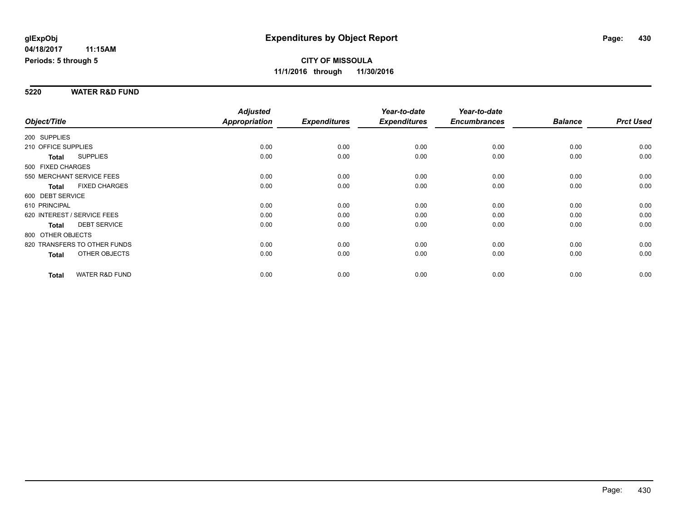#### **5220 WATER R&D FUND**

|                                           | <b>Adjusted</b> |                     | Year-to-date        | Year-to-date        |                |                  |
|-------------------------------------------|-----------------|---------------------|---------------------|---------------------|----------------|------------------|
| Object/Title                              | Appropriation   | <b>Expenditures</b> | <b>Expenditures</b> | <b>Encumbrances</b> | <b>Balance</b> | <b>Prct Used</b> |
| 200 SUPPLIES                              |                 |                     |                     |                     |                |                  |
| 210 OFFICE SUPPLIES                       | 0.00            | 0.00                | 0.00                | 0.00                | 0.00           | 0.00             |
| <b>SUPPLIES</b><br>Total                  | 0.00            | 0.00                | 0.00                | 0.00                | 0.00           | 0.00             |
| 500 FIXED CHARGES                         |                 |                     |                     |                     |                |                  |
| 550 MERCHANT SERVICE FEES                 | 0.00            | 0.00                | 0.00                | 0.00                | 0.00           | 0.00             |
| <b>FIXED CHARGES</b><br><b>Total</b>      | 0.00            | 0.00                | 0.00                | 0.00                | 0.00           | 0.00             |
| 600 DEBT SERVICE                          |                 |                     |                     |                     |                |                  |
| 610 PRINCIPAL                             | 0.00            | 0.00                | 0.00                | 0.00                | 0.00           | 0.00             |
| 620 INTEREST / SERVICE FEES               | 0.00            | 0.00                | 0.00                | 0.00                | 0.00           | 0.00             |
| <b>DEBT SERVICE</b><br><b>Total</b>       | 0.00            | 0.00                | 0.00                | 0.00                | 0.00           | 0.00             |
| 800 OTHER OBJECTS                         |                 |                     |                     |                     |                |                  |
| 820 TRANSFERS TO OTHER FUNDS              | 0.00            | 0.00                | 0.00                | 0.00                | 0.00           | 0.00             |
| OTHER OBJECTS<br>Total                    | 0.00            | 0.00                | 0.00                | 0.00                | 0.00           | 0.00             |
| <b>WATER R&amp;D FUND</b><br><b>Total</b> | 0.00            | 0.00                | 0.00                | 0.00                | 0.00           | 0.00             |
|                                           |                 |                     |                     |                     |                |                  |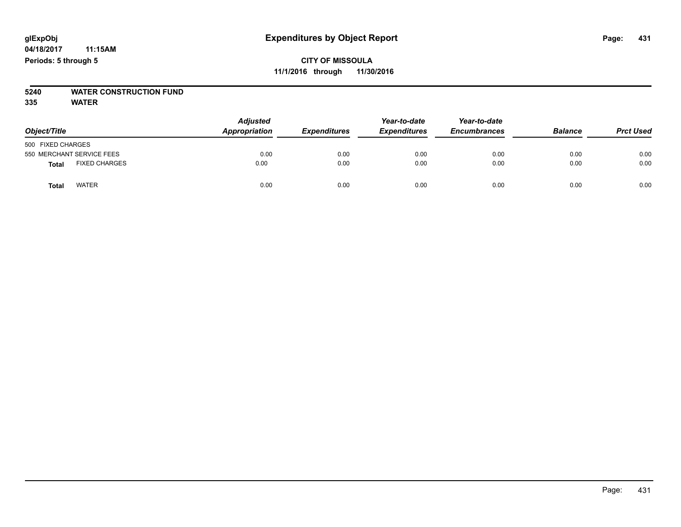# **5240 WATER CONSTRUCTION FUND**

| Object/Title                         | <b>Adjusted</b><br>Appropriation | <b>Expenditures</b> | Year-to-date<br><b>Expenditures</b> | Year-to-date<br><b>Encumbrances</b> | <b>Balance</b> | <b>Prct Used</b> |
|--------------------------------------|----------------------------------|---------------------|-------------------------------------|-------------------------------------|----------------|------------------|
| 500 FIXED CHARGES                    |                                  |                     |                                     |                                     |                |                  |
| 550 MERCHANT SERVICE FEES            | 0.00                             | 0.00                | 0.00                                | 0.00                                | 0.00           | 0.00             |
| <b>FIXED CHARGES</b><br><b>Total</b> | 0.00                             | 0.00                | 0.00                                | 0.00                                | 0.00           | 0.00             |
| <b>WATER</b><br>Total                | 0.00                             | 0.00                | 0.00                                | 0.00                                | 0.00           | 0.00             |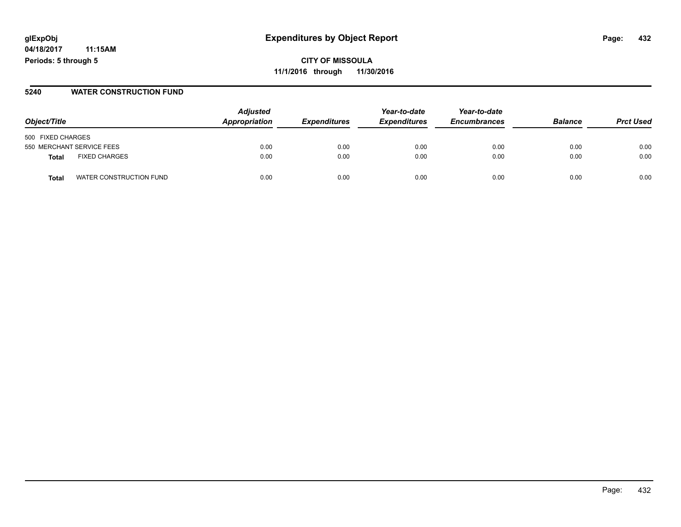#### **5240 WATER CONSTRUCTION FUND**

| Object/Title                     | <b>Adjusted</b><br>Appropriation | <b>Expenditures</b> | Year-to-date<br><b>Expenditures</b> | Year-to-date<br><b>Encumbrances</b> | <b>Balance</b> | <b>Prct Used</b> |
|----------------------------------|----------------------------------|---------------------|-------------------------------------|-------------------------------------|----------------|------------------|
| 500 FIXED CHARGES                |                                  |                     |                                     |                                     |                |                  |
| 550 MERCHANT SERVICE FEES        | 0.00                             | 0.00                | 0.00                                | 0.00                                | 0.00           | 0.00             |
| <b>FIXED CHARGES</b><br>Total    | 0.00                             | 0.00                | 0.00                                | 0.00                                | 0.00           | 0.00             |
| WATER CONSTRUCTION FUND<br>Total | 0.00                             | 0.00                | 0.00                                | 0.00                                | 0.00           | 0.00             |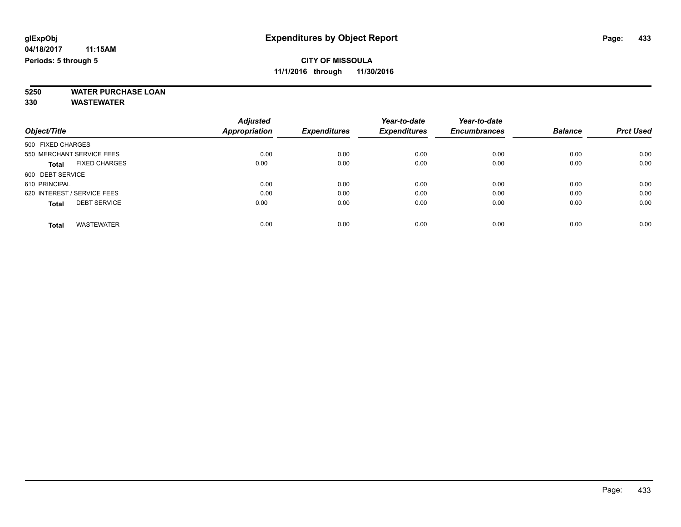**5250 WATER PURCHASE LOAN**

|                                      | <b>Adjusted</b> |                     | Year-to-date        | Year-to-date        |                |                  |
|--------------------------------------|-----------------|---------------------|---------------------|---------------------|----------------|------------------|
| Object/Title                         | Appropriation   | <b>Expenditures</b> | <b>Expenditures</b> | <b>Encumbrances</b> | <b>Balance</b> | <b>Prct Used</b> |
| 500 FIXED CHARGES                    |                 |                     |                     |                     |                |                  |
| 550 MERCHANT SERVICE FEES            | 0.00            | 0.00                | 0.00                | 0.00                | 0.00           | 0.00             |
| <b>FIXED CHARGES</b><br><b>Total</b> | 0.00            | 0.00                | 0.00                | 0.00                | 0.00           | 0.00             |
| 600 DEBT SERVICE                     |                 |                     |                     |                     |                |                  |
| 610 PRINCIPAL                        | 0.00            | 0.00                | 0.00                | 0.00                | 0.00           | 0.00             |
| 620 INTEREST / SERVICE FEES          | 0.00            | 0.00                | 0.00                | 0.00                | 0.00           | 0.00             |
| <b>DEBT SERVICE</b><br><b>Total</b>  | 0.00            | 0.00                | 0.00                | 0.00                | 0.00           | 0.00             |
| <b>WASTEWATER</b><br><b>Total</b>    | 0.00            | 0.00                | 0.00                | 0.00                | 0.00           | 0.00             |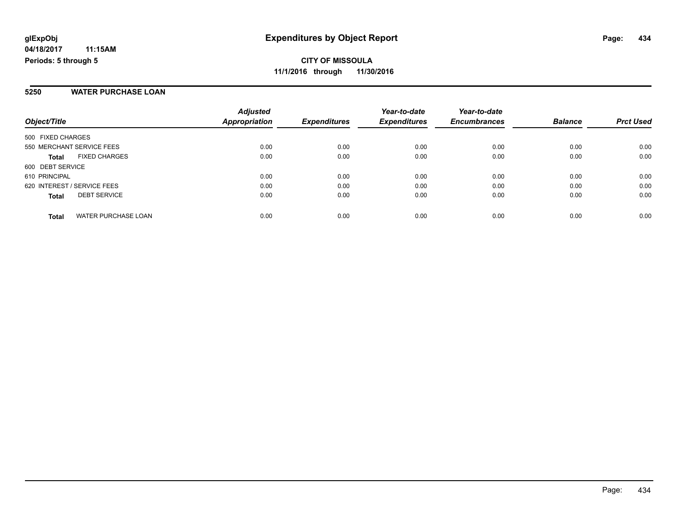#### **5250 WATER PURCHASE LOAN**

|                                            | <b>Adjusted</b>      |                     | Year-to-date        | Year-to-date        |                |                  |
|--------------------------------------------|----------------------|---------------------|---------------------|---------------------|----------------|------------------|
| Object/Title                               | <b>Appropriation</b> | <b>Expenditures</b> | <b>Expenditures</b> | <b>Encumbrances</b> | <b>Balance</b> | <b>Prct Used</b> |
| 500 FIXED CHARGES                          |                      |                     |                     |                     |                |                  |
| 550 MERCHANT SERVICE FEES                  | 0.00                 | 0.00                | 0.00                | 0.00                | 0.00           | 0.00             |
| <b>FIXED CHARGES</b><br><b>Total</b>       | 0.00                 | 0.00                | 0.00                | 0.00                | 0.00           | 0.00             |
| 600 DEBT SERVICE                           |                      |                     |                     |                     |                |                  |
| 610 PRINCIPAL                              | 0.00                 | 0.00                | 0.00                | 0.00                | 0.00           | 0.00             |
| 620 INTEREST / SERVICE FEES                | 0.00                 | 0.00                | 0.00                | 0.00                | 0.00           | 0.00             |
| <b>DEBT SERVICE</b><br><b>Total</b>        | 0.00                 | 0.00                | 0.00                | 0.00                | 0.00           | 0.00             |
| <b>WATER PURCHASE LOAN</b><br><b>Total</b> | 0.00                 | 0.00                | 0.00                | 0.00                | 0.00           | 0.00             |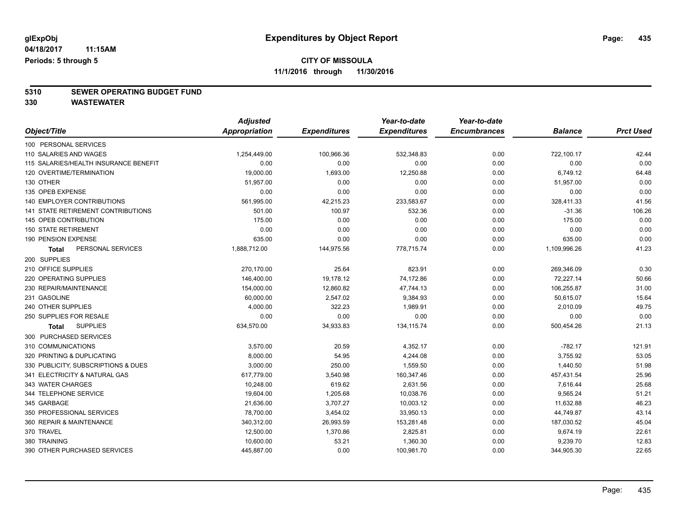# **5310 SEWER OPERATING BUDGET FUND**

|                                           | <b>Adjusted</b>      |                     | Year-to-date        | Year-to-date        |                |                  |
|-------------------------------------------|----------------------|---------------------|---------------------|---------------------|----------------|------------------|
| Object/Title                              | <b>Appropriation</b> | <b>Expenditures</b> | <b>Expenditures</b> | <b>Encumbrances</b> | <b>Balance</b> | <b>Prct Used</b> |
| 100 PERSONAL SERVICES                     |                      |                     |                     |                     |                |                  |
| 110 SALARIES AND WAGES                    | 1,254,449.00         | 100,966.36          | 532,348.83          | 0.00                | 722,100.17     | 42.44            |
| 115 SALARIES/HEALTH INSURANCE BENEFIT     | 0.00                 | 0.00                | 0.00                | 0.00                | 0.00           | 0.00             |
| 120 OVERTIME/TERMINATION                  | 19,000.00            | 1,693.00            | 12,250.88           | 0.00                | 6,749.12       | 64.48            |
| 130 OTHER                                 | 51,957.00            | 0.00                | 0.00                | 0.00                | 51,957.00      | 0.00             |
| 135 OPEB EXPENSE                          | 0.00                 | 0.00                | 0.00                | 0.00                | 0.00           | 0.00             |
| <b>140 EMPLOYER CONTRIBUTIONS</b>         | 561,995.00           | 42,215.23           | 233,583.67          | 0.00                | 328,411.33     | 41.56            |
| <b>141 STATE RETIREMENT CONTRIBUTIONS</b> | 501.00               | 100.97              | 532.36              | 0.00                | $-31.36$       | 106.26           |
| 145 OPEB CONTRIBUTION                     | 175.00               | 0.00                | 0.00                | 0.00                | 175.00         | 0.00             |
| <b>150 STATE RETIREMENT</b>               | 0.00                 | 0.00                | 0.00                | 0.00                | 0.00           | 0.00             |
| 190 PENSION EXPENSE                       | 635.00               | 0.00                | 0.00                | 0.00                | 635.00         | 0.00             |
| PERSONAL SERVICES<br>Total                | 1,888,712.00         | 144,975.56          | 778,715.74          | 0.00                | 1,109,996.26   | 41.23            |
| 200 SUPPLIES                              |                      |                     |                     |                     |                |                  |
| 210 OFFICE SUPPLIES                       | 270,170.00           | 25.64               | 823.91              | 0.00                | 269,346.09     | 0.30             |
| 220 OPERATING SUPPLIES                    | 146,400.00           | 19,178.12           | 74,172.86           | 0.00                | 72,227.14      | 50.66            |
| 230 REPAIR/MAINTENANCE                    | 154,000.00           | 12,860.82           | 47,744.13           | 0.00                | 106,255.87     | 31.00            |
| 231 GASOLINE                              | 60,000.00            | 2,547.02            | 9,384.93            | 0.00                | 50,615.07      | 15.64            |
| 240 OTHER SUPPLIES                        | 4,000.00             | 322.23              | 1,989.91            | 0.00                | 2,010.09       | 49.75            |
| 250 SUPPLIES FOR RESALE                   | 0.00                 | 0.00                | 0.00                | 0.00                | 0.00           | 0.00             |
| <b>SUPPLIES</b><br><b>Total</b>           | 634,570.00           | 34,933.83           | 134, 115.74         | 0.00                | 500,454.26     | 21.13            |
| 300 PURCHASED SERVICES                    |                      |                     |                     |                     |                |                  |
| 310 COMMUNICATIONS                        | 3,570.00             | 20.59               | 4,352.17            | 0.00                | $-782.17$      | 121.91           |
| 320 PRINTING & DUPLICATING                | 8,000.00             | 54.95               | 4,244.08            | 0.00                | 3,755.92       | 53.05            |
| 330 PUBLICITY, SUBSCRIPTIONS & DUES       | 3,000.00             | 250.00              | 1,559.50            | 0.00                | 1,440.50       | 51.98            |
| 341 ELECTRICITY & NATURAL GAS             | 617,779.00           | 3,540.98            | 160,347.46          | 0.00                | 457,431.54     | 25.96            |
| 343 WATER CHARGES                         | 10,248.00            | 619.62              | 2,631.56            | 0.00                | 7,616.44       | 25.68            |
| 344 TELEPHONE SERVICE                     | 19,604.00            | 1,205.68            | 10,038.76           | 0.00                | 9,565.24       | 51.21            |
| 345 GARBAGE                               | 21,636.00            | 3,707.27            | 10,003.12           | 0.00                | 11,632.88      | 46.23            |
| 350 PROFESSIONAL SERVICES                 | 78,700.00            | 3,454.02            | 33,950.13           | 0.00                | 44,749.87      | 43.14            |
| 360 REPAIR & MAINTENANCE                  | 340,312.00           | 26,993.59           | 153,281.48          | 0.00                | 187,030.52     | 45.04            |
| 370 TRAVEL                                | 12,500.00            | 1,370.86            | 2,825.81            | 0.00                | 9,674.19       | 22.61            |
| 380 TRAINING                              | 10,600.00            | 53.21               | 1,360.30            | 0.00                | 9,239.70       | 12.83            |
| 390 OTHER PURCHASED SERVICES              | 445,887.00           | 0.00                | 100,981.70          | 0.00                | 344,905.30     | 22.65            |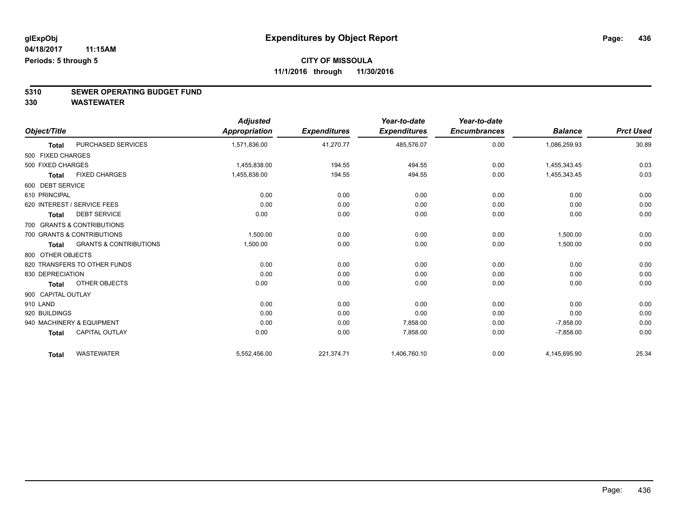# **5310 SEWER OPERATING BUDGET FUND**

|                    |                                   | <b>Adjusted</b> |                     | Year-to-date        | Year-to-date        |                |                  |
|--------------------|-----------------------------------|-----------------|---------------------|---------------------|---------------------|----------------|------------------|
| Object/Title       |                                   | Appropriation   | <b>Expenditures</b> | <b>Expenditures</b> | <b>Encumbrances</b> | <b>Balance</b> | <b>Prct Used</b> |
| <b>Total</b>       | PURCHASED SERVICES                | 1,571,836.00    | 41,270.77           | 485,576.07          | 0.00                | 1,086,259.93   | 30.89            |
| 500 FIXED CHARGES  |                                   |                 |                     |                     |                     |                |                  |
| 500 FIXED CHARGES  |                                   | 1,455,838.00    | 194.55              | 494.55              | 0.00                | 1,455,343.45   | 0.03             |
| <b>Total</b>       | <b>FIXED CHARGES</b>              | 1,455,838.00    | 194.55              | 494.55              | 0.00                | 1,455,343.45   | 0.03             |
| 600 DEBT SERVICE   |                                   |                 |                     |                     |                     |                |                  |
| 610 PRINCIPAL      |                                   | 0.00            | 0.00                | 0.00                | 0.00                | 0.00           | 0.00             |
|                    | 620 INTEREST / SERVICE FEES       | 0.00            | 0.00                | 0.00                | 0.00                | 0.00           | 0.00             |
| <b>Total</b>       | <b>DEBT SERVICE</b>               | 0.00            | 0.00                | 0.00                | 0.00                | 0.00           | 0.00             |
|                    | 700 GRANTS & CONTRIBUTIONS        |                 |                     |                     |                     |                |                  |
|                    | 700 GRANTS & CONTRIBUTIONS        | 1.500.00        | 0.00                | 0.00                | 0.00                | 1,500.00       | 0.00             |
| <b>Total</b>       | <b>GRANTS &amp; CONTRIBUTIONS</b> | 1,500.00        | 0.00                | 0.00                | 0.00                | 1,500.00       | 0.00             |
| 800 OTHER OBJECTS  |                                   |                 |                     |                     |                     |                |                  |
|                    | 820 TRANSFERS TO OTHER FUNDS      | 0.00            | 0.00                | 0.00                | 0.00                | 0.00           | 0.00             |
| 830 DEPRECIATION   |                                   | 0.00            | 0.00                | 0.00                | 0.00                | 0.00           | 0.00             |
| Total              | OTHER OBJECTS                     | 0.00            | 0.00                | 0.00                | 0.00                | 0.00           | 0.00             |
| 900 CAPITAL OUTLAY |                                   |                 |                     |                     |                     |                |                  |
| 910 LAND           |                                   | 0.00            | 0.00                | 0.00                | 0.00                | 0.00           | 0.00             |
| 920 BUILDINGS      |                                   | 0.00            | 0.00                | 0.00                | 0.00                | 0.00           | 0.00             |
|                    | 940 MACHINERY & EQUIPMENT         | 0.00            | 0.00                | 7,858.00            | 0.00                | $-7,858.00$    | 0.00             |
| <b>Total</b>       | <b>CAPITAL OUTLAY</b>             | 0.00            | 0.00                | 7,858.00            | 0.00                | $-7,858.00$    | 0.00             |
| <b>Total</b>       | <b>WASTEWATER</b>                 | 5,552,456.00    | 221,374.71          | 1,406,760.10        | 0.00                | 4,145,695.90   | 25.34            |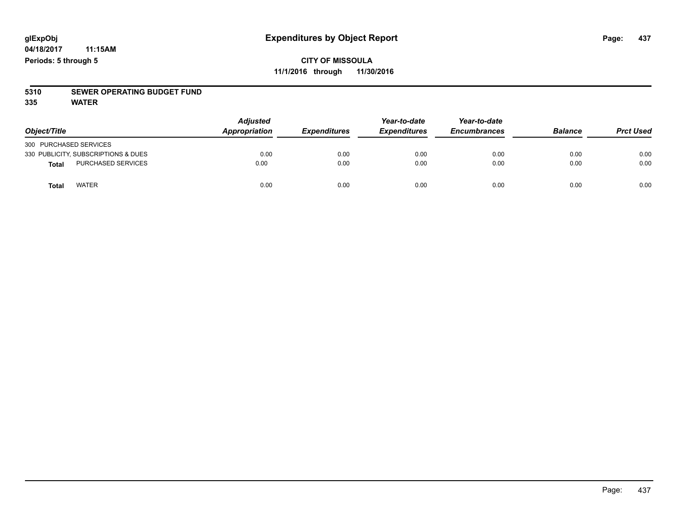# **5310 SEWER OPERATING BUDGET FUND**

**335 WATER**

| Object/Title                              | <b>Adjusted</b><br>Appropriation | <b>Expenditures</b> | Year-to-date<br><b>Expenditures</b> | Year-to-date<br><b>Encumbrances</b> | <b>Balance</b> | <b>Prct Used</b> |
|-------------------------------------------|----------------------------------|---------------------|-------------------------------------|-------------------------------------|----------------|------------------|
| 300 PURCHASED SERVICES                    |                                  |                     |                                     |                                     |                |                  |
| 330 PUBLICITY, SUBSCRIPTIONS & DUES       | 0.00                             | 0.00                | 0.00                                | 0.00                                | 0.00           | 0.00             |
| <b>PURCHASED SERVICES</b><br><b>Total</b> | 0.00                             | 0.00                | 0.00                                | 0.00                                | 0.00           | 0.00             |
| <b>WATER</b><br>Total                     | 0.00                             | 0.00                | 0.00                                | 0.00                                | 0.00           | 0.00             |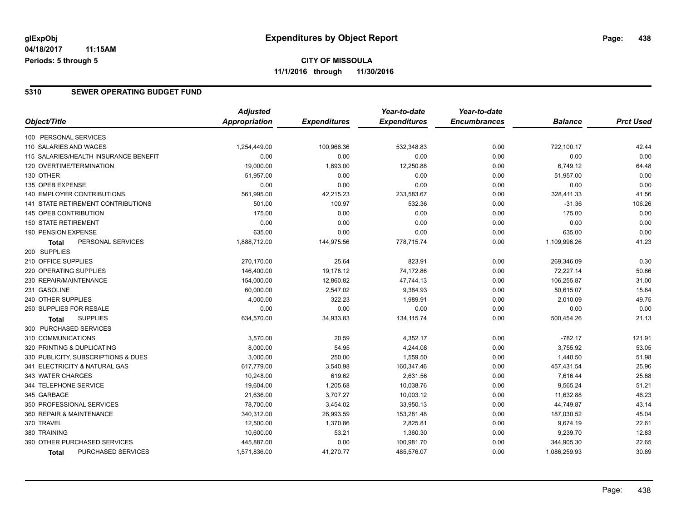# **CITY OF MISSOULA 11/1/2016 through 11/30/2016**

#### **5310 SEWER OPERATING BUDGET FUND**

|                                       | <b>Adjusted</b>      |                     | Year-to-date        | Year-to-date        |                |                  |
|---------------------------------------|----------------------|---------------------|---------------------|---------------------|----------------|------------------|
| Object/Title                          | <b>Appropriation</b> | <b>Expenditures</b> | <b>Expenditures</b> | <b>Encumbrances</b> | <b>Balance</b> | <b>Prct Used</b> |
| 100 PERSONAL SERVICES                 |                      |                     |                     |                     |                |                  |
| 110 SALARIES AND WAGES                | 1,254,449.00         | 100,966.36          | 532,348.83          | 0.00                | 722,100.17     | 42.44            |
| 115 SALARIES/HEALTH INSURANCE BENEFIT | 0.00                 | 0.00                | 0.00                | 0.00                | 0.00           | 0.00             |
| 120 OVERTIME/TERMINATION              | 19,000.00            | 1,693.00            | 12,250.88           | 0.00                | 6,749.12       | 64.48            |
| 130 OTHER                             | 51,957.00            | 0.00                | 0.00                | 0.00                | 51,957.00      | 0.00             |
| 135 OPEB EXPENSE                      | 0.00                 | 0.00                | 0.00                | 0.00                | 0.00           | 0.00             |
| 140 EMPLOYER CONTRIBUTIONS            | 561,995.00           | 42,215.23           | 233,583.67          | 0.00                | 328,411.33     | 41.56            |
| 141 STATE RETIREMENT CONTRIBUTIONS    | 501.00               | 100.97              | 532.36              | 0.00                | $-31.36$       | 106.26           |
| 145 OPEB CONTRIBUTION                 | 175.00               | 0.00                | 0.00                | 0.00                | 175.00         | 0.00             |
| <b>150 STATE RETIREMENT</b>           | 0.00                 | 0.00                | 0.00                | 0.00                | 0.00           | 0.00             |
| 190 PENSION EXPENSE                   | 635.00               | 0.00                | 0.00                | 0.00                | 635.00         | 0.00             |
| PERSONAL SERVICES<br>Total            | 1,888,712.00         | 144,975.56          | 778,715.74          | 0.00                | 1,109,996.26   | 41.23            |
| 200 SUPPLIES                          |                      |                     |                     |                     |                |                  |
| 210 OFFICE SUPPLIES                   | 270,170.00           | 25.64               | 823.91              | 0.00                | 269,346.09     | 0.30             |
| 220 OPERATING SUPPLIES                | 146,400.00           | 19,178.12           | 74,172.86           | 0.00                | 72,227.14      | 50.66            |
| 230 REPAIR/MAINTENANCE                | 154,000.00           | 12,860.82           | 47,744.13           | 0.00                | 106,255.87     | 31.00            |
| 231 GASOLINE                          | 60,000.00            | 2,547.02            | 9,384.93            | 0.00                | 50,615.07      | 15.64            |
| 240 OTHER SUPPLIES                    | 4,000.00             | 322.23              | 1,989.91            | 0.00                | 2,010.09       | 49.75            |
| 250 SUPPLIES FOR RESALE               | 0.00                 | 0.00                | 0.00                | 0.00                | 0.00           | 0.00             |
| <b>SUPPLIES</b><br><b>Total</b>       | 634,570.00           | 34,933.83           | 134, 115.74         | 0.00                | 500,454.26     | 21.13            |
| 300 PURCHASED SERVICES                |                      |                     |                     |                     |                |                  |
| 310 COMMUNICATIONS                    | 3,570.00             | 20.59               | 4,352.17            | 0.00                | $-782.17$      | 121.91           |
| 320 PRINTING & DUPLICATING            | 8,000.00             | 54.95               | 4,244.08            | 0.00                | 3,755.92       | 53.05            |
| 330 PUBLICITY, SUBSCRIPTIONS & DUES   | 3,000.00             | 250.00              | 1,559.50            | 0.00                | 1,440.50       | 51.98            |
| 341 ELECTRICITY & NATURAL GAS         | 617,779.00           | 3,540.98            | 160,347.46          | 0.00                | 457,431.54     | 25.96            |
| 343 WATER CHARGES                     | 10,248.00            | 619.62              | 2,631.56            | 0.00                | 7,616.44       | 25.68            |
| 344 TELEPHONE SERVICE                 | 19,604.00            | 1,205.68            | 10,038.76           | 0.00                | 9,565.24       | 51.21            |
| 345 GARBAGE                           | 21,636.00            | 3,707.27            | 10,003.12           | 0.00                | 11,632.88      | 46.23            |
| 350 PROFESSIONAL SERVICES             | 78,700.00            | 3,454.02            | 33,950.13           | 0.00                | 44,749.87      | 43.14            |
| 360 REPAIR & MAINTENANCE              | 340,312.00           | 26,993.59           | 153,281.48          | 0.00                | 187,030.52     | 45.04            |
| 370 TRAVEL                            | 12,500.00            | 1,370.86            | 2,825.81            | 0.00                | 9,674.19       | 22.61            |
| 380 TRAINING                          | 10,600.00            | 53.21               | 1,360.30            | 0.00                | 9,239.70       | 12.83            |
| 390 OTHER PURCHASED SERVICES          | 445,887.00           | 0.00                | 100,981.70          | 0.00                | 344,905.30     | 22.65            |
| PURCHASED SERVICES<br><b>Total</b>    | 1,571,836.00         | 41,270.77           | 485,576.07          | 0.00                | 1,086,259.93   | 30.89            |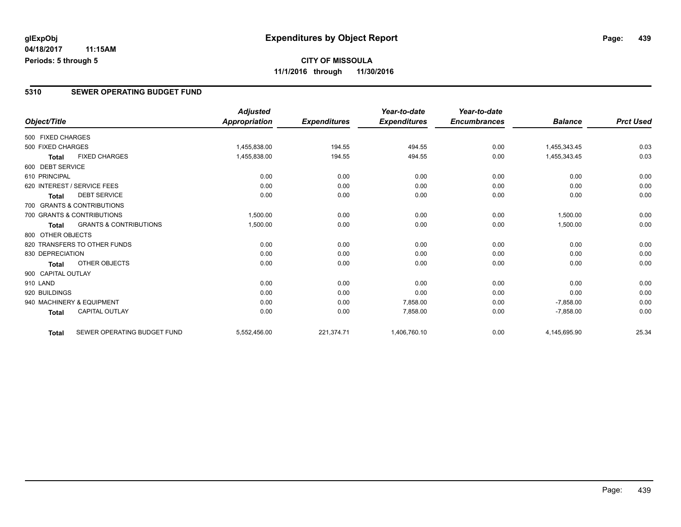# **CITY OF MISSOULA 11/1/2016 through 11/30/2016**

### **5310 SEWER OPERATING BUDGET FUND**

|                    |                                   | <b>Adjusted</b> |                     | Year-to-date        | Year-to-date        |                |                  |
|--------------------|-----------------------------------|-----------------|---------------------|---------------------|---------------------|----------------|------------------|
| Object/Title       |                                   | Appropriation   | <b>Expenditures</b> | <b>Expenditures</b> | <b>Encumbrances</b> | <b>Balance</b> | <b>Prct Used</b> |
| 500 FIXED CHARGES  |                                   |                 |                     |                     |                     |                |                  |
| 500 FIXED CHARGES  |                                   | 1.455.838.00    | 194.55              | 494.55              | 0.00                | 1,455,343.45   | 0.03             |
| <b>Total</b>       | <b>FIXED CHARGES</b>              | 1,455,838.00    | 194.55              | 494.55              | 0.00                | 1,455,343.45   | 0.03             |
| 600 DEBT SERVICE   |                                   |                 |                     |                     |                     |                |                  |
| 610 PRINCIPAL      |                                   | 0.00            | 0.00                | 0.00                | 0.00                | 0.00           | 0.00             |
|                    | 620 INTEREST / SERVICE FEES       | 0.00            | 0.00                | 0.00                | 0.00                | 0.00           | 0.00             |
| <b>Total</b>       | <b>DEBT SERVICE</b>               | 0.00            | 0.00                | 0.00                | 0.00                | 0.00           | 0.00             |
|                    | 700 GRANTS & CONTRIBUTIONS        |                 |                     |                     |                     |                |                  |
|                    | 700 GRANTS & CONTRIBUTIONS        | 1,500.00        | 0.00                | 0.00                | 0.00                | 1,500.00       | 0.00             |
| <b>Total</b>       | <b>GRANTS &amp; CONTRIBUTIONS</b> | 1,500.00        | 0.00                | 0.00                | 0.00                | 1,500.00       | 0.00             |
| 800 OTHER OBJECTS  |                                   |                 |                     |                     |                     |                |                  |
|                    | 820 TRANSFERS TO OTHER FUNDS      | 0.00            | 0.00                | 0.00                | 0.00                | 0.00           | 0.00             |
| 830 DEPRECIATION   |                                   | 0.00            | 0.00                | 0.00                | 0.00                | 0.00           | 0.00             |
| <b>Total</b>       | <b>OTHER OBJECTS</b>              | 0.00            | 0.00                | 0.00                | 0.00                | 0.00           | 0.00             |
| 900 CAPITAL OUTLAY |                                   |                 |                     |                     |                     |                |                  |
| 910 LAND           |                                   | 0.00            | 0.00                | 0.00                | 0.00                | 0.00           | 0.00             |
| 920 BUILDINGS      |                                   | 0.00            | 0.00                | 0.00                | 0.00                | 0.00           | 0.00             |
|                    | 940 MACHINERY & EQUIPMENT         | 0.00            | 0.00                | 7,858.00            | 0.00                | $-7,858.00$    | 0.00             |
| <b>Total</b>       | <b>CAPITAL OUTLAY</b>             | 0.00            | 0.00                | 7,858.00            | 0.00                | $-7,858.00$    | 0.00             |
| <b>Total</b>       | SEWER OPERATING BUDGET FUND       | 5,552,456.00    | 221,374.71          | 1,406,760.10        | 0.00                | 4,145,695.90   | 25.34            |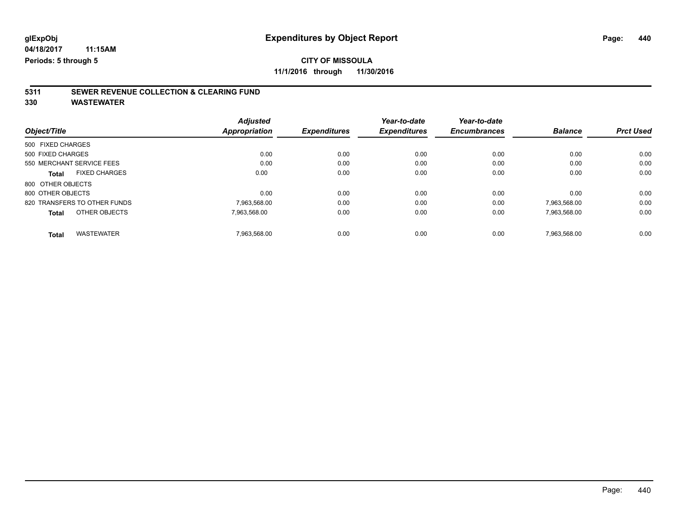# **5311 SEWER REVENUE COLLECTION & CLEARING FUND**

| Object/Title                         | <b>Adjusted</b><br><b>Appropriation</b> | <b>Expenditures</b> | Year-to-date<br><b>Expenditures</b> | Year-to-date<br><b>Encumbrances</b> | <b>Balance</b> | <b>Prct Used</b> |
|--------------------------------------|-----------------------------------------|---------------------|-------------------------------------|-------------------------------------|----------------|------------------|
| 500 FIXED CHARGES                    |                                         |                     |                                     |                                     |                |                  |
| 500 FIXED CHARGES                    | 0.00                                    | 0.00                | 0.00                                | 0.00                                | 0.00           | 0.00             |
| 550 MERCHANT SERVICE FEES            | 0.00                                    | 0.00                | 0.00                                | 0.00                                | 0.00           | 0.00             |
| <b>FIXED CHARGES</b><br><b>Total</b> | 0.00                                    | 0.00                | 0.00                                | 0.00                                | 0.00           | 0.00             |
| 800 OTHER OBJECTS                    |                                         |                     |                                     |                                     |                |                  |
| 800 OTHER OBJECTS                    | 0.00                                    | 0.00                | 0.00                                | 0.00                                | 0.00           | 0.00             |
| 820 TRANSFERS TO OTHER FUNDS         | 7,963,568.00                            | 0.00                | 0.00                                | 0.00                                | 7,963,568.00   | 0.00             |
| OTHER OBJECTS<br><b>Total</b>        | 7.963.568.00                            | 0.00                | 0.00                                | 0.00                                | 7.963.568.00   | 0.00             |
| <b>WASTEWATER</b><br><b>Total</b>    | 7,963,568.00                            | 0.00                | 0.00                                | 0.00                                | 7,963,568.00   | 0.00             |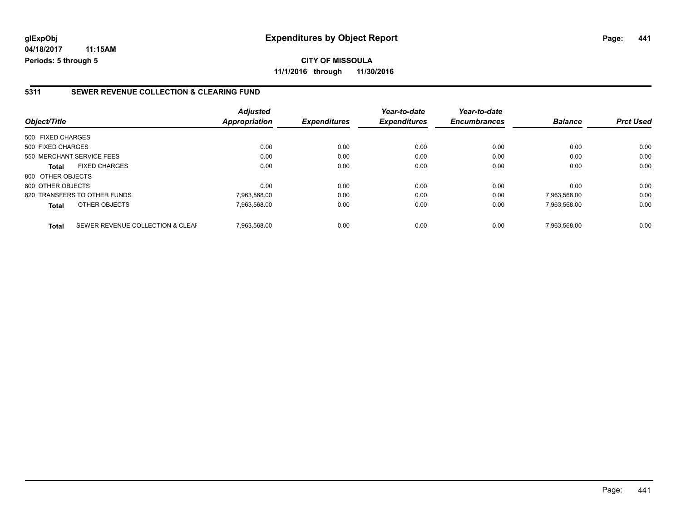**CITY OF MISSOULA 11/1/2016 through 11/30/2016**

#### **5311 SEWER REVENUE COLLECTION & CLEARING FUND**

| Object/Title              |                                  | <b>Adjusted</b><br><b>Appropriation</b> | <b>Expenditures</b> | Year-to-date<br><b>Expenditures</b> | Year-to-date<br><b>Encumbrances</b> | <b>Balance</b> | <b>Prct Used</b> |
|---------------------------|----------------------------------|-----------------------------------------|---------------------|-------------------------------------|-------------------------------------|----------------|------------------|
| 500 FIXED CHARGES         |                                  |                                         |                     |                                     |                                     |                |                  |
| 500 FIXED CHARGES         |                                  | 0.00                                    | 0.00                | 0.00                                | 0.00                                | 0.00           | 0.00             |
| 550 MERCHANT SERVICE FEES |                                  | 0.00                                    | 0.00                | 0.00                                | 0.00                                | 0.00           | 0.00             |
| <b>Total</b>              | <b>FIXED CHARGES</b>             | 0.00                                    | 0.00                | 0.00                                | 0.00                                | 0.00           | 0.00             |
| 800 OTHER OBJECTS         |                                  |                                         |                     |                                     |                                     |                |                  |
| 800 OTHER OBJECTS         |                                  | 0.00                                    | 0.00                | 0.00                                | 0.00                                | 0.00           | 0.00             |
|                           | 820 TRANSFERS TO OTHER FUNDS     | 7,963,568.00                            | 0.00                | 0.00                                | 0.00                                | 7,963,568.00   | 0.00             |
| <b>Total</b>              | OTHER OBJECTS                    | 7,963,568.00                            | 0.00                | 0.00                                | 0.00                                | 7,963,568.00   | 0.00             |
| <b>Total</b>              | SEWER REVENUE COLLECTION & CLEAF | 7.963.568.00                            | 0.00                | 0.00                                | 0.00                                | 7.963.568.00   | 0.00             |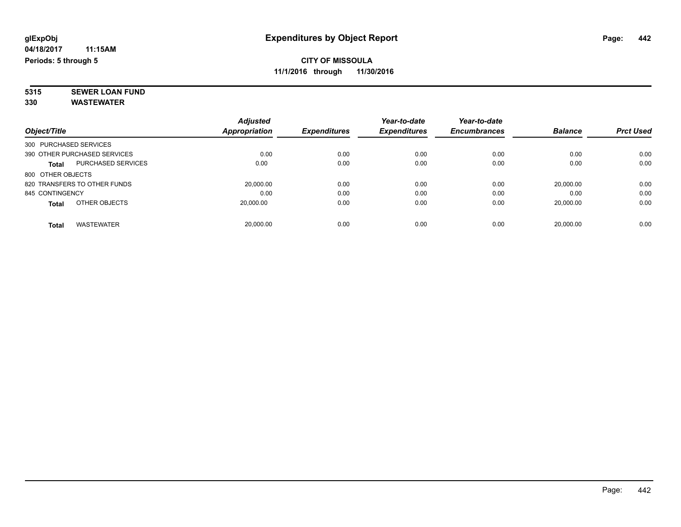**5315 SEWER LOAN FUND 330 WASTEWATER**

|                        |                              | <b>Adjusted</b>      |                     | Year-to-date        | Year-to-date        |                |                  |
|------------------------|------------------------------|----------------------|---------------------|---------------------|---------------------|----------------|------------------|
| Object/Title           |                              | <b>Appropriation</b> | <b>Expenditures</b> | <b>Expenditures</b> | <b>Encumbrances</b> | <b>Balance</b> | <b>Prct Used</b> |
| 300 PURCHASED SERVICES |                              |                      |                     |                     |                     |                |                  |
|                        | 390 OTHER PURCHASED SERVICES | 0.00                 | 0.00                | 0.00                | 0.00                | 0.00           | 0.00             |
| <b>Total</b>           | PURCHASED SERVICES           | 0.00                 | 0.00                | 0.00                | 0.00                | 0.00           | 0.00             |
| 800 OTHER OBJECTS      |                              |                      |                     |                     |                     |                |                  |
|                        | 820 TRANSFERS TO OTHER FUNDS | 20.000.00            | 0.00                | 0.00                | 0.00                | 20.000.00      | 0.00             |
| 845 CONTINGENCY        |                              | 0.00                 | 0.00                | 0.00                | 0.00                | 0.00           | 0.00             |
| <b>Total</b>           | OTHER OBJECTS                | 20.000.00            | 0.00                | 0.00                | 0.00                | 20.000.00      | 0.00             |
| <b>Total</b>           | <b>WASTEWATER</b>            | 20.000.00            | 0.00                | 0.00                | 0.00                | 20.000.00      | 0.00             |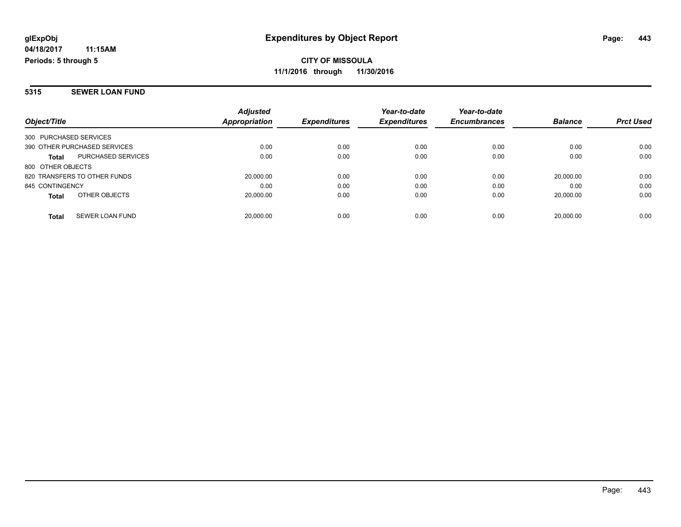**5315 SEWER LOAN FUND**

| Object/Title                              | <b>Adjusted</b><br>Appropriation | <b>Expenditures</b> | Year-to-date<br><b>Expenditures</b> | Year-to-date<br><b>Encumbrances</b> | <b>Balance</b> | <b>Prct Used</b> |
|-------------------------------------------|----------------------------------|---------------------|-------------------------------------|-------------------------------------|----------------|------------------|
| 300 PURCHASED SERVICES                    |                                  |                     |                                     |                                     |                |                  |
| 390 OTHER PURCHASED SERVICES              | 0.00                             | 0.00                | 0.00                                | 0.00                                | 0.00           | 0.00             |
| <b>PURCHASED SERVICES</b><br><b>Total</b> | 0.00                             | 0.00                | 0.00                                | 0.00                                | 0.00           | 0.00             |
| 800 OTHER OBJECTS                         |                                  |                     |                                     |                                     |                |                  |
| 820 TRANSFERS TO OTHER FUNDS              | 20,000.00                        | 0.00                | 0.00                                | 0.00                                | 20.000.00      | 0.00             |
| 845 CONTINGENCY                           | 0.00                             | 0.00                | 0.00                                | 0.00                                | 0.00           | 0.00             |
| OTHER OBJECTS<br><b>Total</b>             | 20,000.00                        | 0.00                | 0.00                                | 0.00                                | 20.000.00      | 0.00             |
| <b>SEWER LOAN FUND</b><br><b>Total</b>    | 20.000.00                        | 0.00                | 0.00                                | 0.00                                | 20.000.00      | 0.00             |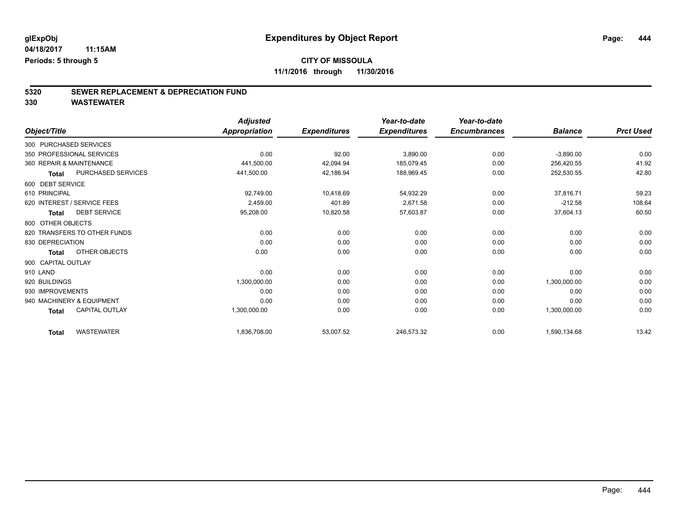# **CITY OF MISSOULA**

**11/1/2016 through 11/30/2016**

# **5320 SEWER REPLACEMENT & DEPRECIATION FUND**

|                          |                              | <b>Adjusted</b>      |                     | Year-to-date        | Year-to-date        |                |                  |
|--------------------------|------------------------------|----------------------|---------------------|---------------------|---------------------|----------------|------------------|
| Object/Title             |                              | <b>Appropriation</b> | <b>Expenditures</b> | <b>Expenditures</b> | <b>Encumbrances</b> | <b>Balance</b> | <b>Prct Used</b> |
| 300 PURCHASED SERVICES   |                              |                      |                     |                     |                     |                |                  |
|                          | 350 PROFESSIONAL SERVICES    | 0.00                 | 92.00               | 3,890.00            | 0.00                | $-3,890.00$    | 0.00             |
| 360 REPAIR & MAINTENANCE |                              | 441,500.00           | 42,094.94           | 185,079.45          | 0.00                | 256,420.55     | 41.92            |
| <b>Total</b>             | PURCHASED SERVICES           | 441,500.00           | 42,186.94           | 188,969.45          | 0.00                | 252,530.55     | 42.80            |
| 600 DEBT SERVICE         |                              |                      |                     |                     |                     |                |                  |
| 610 PRINCIPAL            |                              | 92.749.00            | 10,418.69           | 54,932.29           | 0.00                | 37.816.71      | 59.23            |
|                          | 620 INTEREST / SERVICE FEES  | 2,459.00             | 401.89              | 2,671.58            | 0.00                | $-212.58$      | 108.64           |
| Total                    | <b>DEBT SERVICE</b>          | 95,208.00            | 10,820.58           | 57,603.87           | 0.00                | 37,604.13      | 60.50            |
| 800 OTHER OBJECTS        |                              |                      |                     |                     |                     |                |                  |
|                          | 820 TRANSFERS TO OTHER FUNDS | 0.00                 | 0.00                | 0.00                | 0.00                | 0.00           | 0.00             |
| 830 DEPRECIATION         |                              | 0.00                 | 0.00                | 0.00                | 0.00                | 0.00           | 0.00             |
| <b>Total</b>             | OTHER OBJECTS                | 0.00                 | 0.00                | 0.00                | 0.00                | 0.00           | 0.00             |
| 900 CAPITAL OUTLAY       |                              |                      |                     |                     |                     |                |                  |
| 910 LAND                 |                              | 0.00                 | 0.00                | 0.00                | 0.00                | 0.00           | 0.00             |
| 920 BUILDINGS            |                              | 1,300,000.00         | 0.00                | 0.00                | 0.00                | 1,300,000.00   | 0.00             |
| 930 IMPROVEMENTS         |                              | 0.00                 | 0.00                | 0.00                | 0.00                | 0.00           | 0.00             |
|                          | 940 MACHINERY & EQUIPMENT    | 0.00                 | 0.00                | 0.00                | 0.00                | 0.00           | 0.00             |
| Total                    | <b>CAPITAL OUTLAY</b>        | 1,300,000.00         | 0.00                | 0.00                | 0.00                | 1,300,000.00   | 0.00             |
| <b>Total</b>             | <b>WASTEWATER</b>            | 1,836,708.00         | 53,007.52           | 246,573.32          | 0.00                | 1,590,134.68   | 13.42            |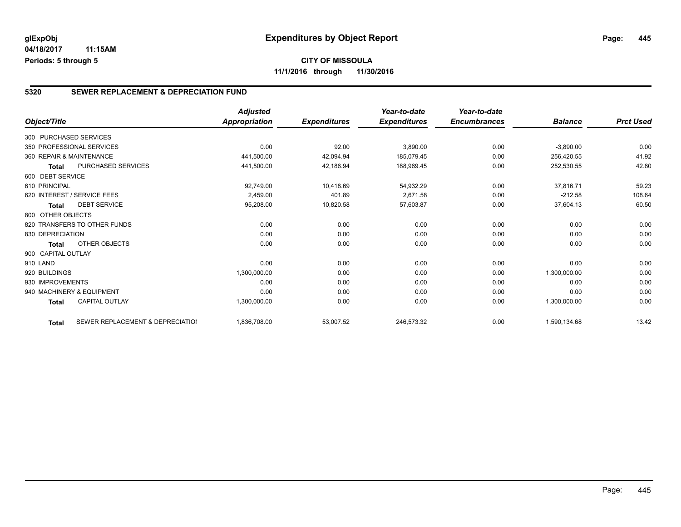#### **5320 SEWER REPLACEMENT & DEPRECIATION FUND**

|                        |                                  | <b>Adjusted</b>      |                     | Year-to-date        | Year-to-date        |                |                  |
|------------------------|----------------------------------|----------------------|---------------------|---------------------|---------------------|----------------|------------------|
| Object/Title           |                                  | <b>Appropriation</b> | <b>Expenditures</b> | <b>Expenditures</b> | <b>Encumbrances</b> | <b>Balance</b> | <b>Prct Used</b> |
| 300 PURCHASED SERVICES |                                  |                      |                     |                     |                     |                |                  |
|                        | 350 PROFESSIONAL SERVICES        | 0.00                 | 92.00               | 3,890.00            | 0.00                | $-3,890.00$    | 0.00             |
|                        | 360 REPAIR & MAINTENANCE         | 441,500.00           | 42,094.94           | 185,079.45          | 0.00                | 256,420.55     | 41.92            |
| <b>Total</b>           | PURCHASED SERVICES               | 441,500.00           | 42,186.94           | 188,969.45          | 0.00                | 252,530.55     | 42.80            |
| 600 DEBT SERVICE       |                                  |                      |                     |                     |                     |                |                  |
| 610 PRINCIPAL          |                                  | 92,749.00            | 10,418.69           | 54,932.29           | 0.00                | 37,816.71      | 59.23            |
|                        | 620 INTEREST / SERVICE FEES      | 2,459.00             | 401.89              | 2,671.58            | 0.00                | $-212.58$      | 108.64           |
| Total                  | <b>DEBT SERVICE</b>              | 95,208.00            | 10,820.58           | 57,603.87           | 0.00                | 37,604.13      | 60.50            |
| 800 OTHER OBJECTS      |                                  |                      |                     |                     |                     |                |                  |
|                        | 820 TRANSFERS TO OTHER FUNDS     | 0.00                 | 0.00                | 0.00                | 0.00                | 0.00           | 0.00             |
| 830 DEPRECIATION       |                                  | 0.00                 | 0.00                | 0.00                | 0.00                | 0.00           | 0.00             |
| <b>Total</b>           | OTHER OBJECTS                    | 0.00                 | 0.00                | 0.00                | 0.00                | 0.00           | 0.00             |
| 900 CAPITAL OUTLAY     |                                  |                      |                     |                     |                     |                |                  |
| 910 LAND               |                                  | 0.00                 | 0.00                | 0.00                | 0.00                | 0.00           | 0.00             |
| 920 BUILDINGS          |                                  | 1,300,000.00         | 0.00                | 0.00                | 0.00                | 1,300,000.00   | 0.00             |
| 930 IMPROVEMENTS       |                                  | 0.00                 | 0.00                | 0.00                | 0.00                | 0.00           | 0.00             |
|                        | 940 MACHINERY & EQUIPMENT        | 0.00                 | 0.00                | 0.00                | 0.00                | 0.00           | 0.00             |
| <b>Total</b>           | <b>CAPITAL OUTLAY</b>            | 1,300,000.00         | 0.00                | 0.00                | 0.00                | 1,300,000.00   | 0.00             |
| <b>Total</b>           | SEWER REPLACEMENT & DEPRECIATION | 1,836,708.00         | 53,007.52           | 246,573.32          | 0.00                | 1,590,134.68   | 13.42            |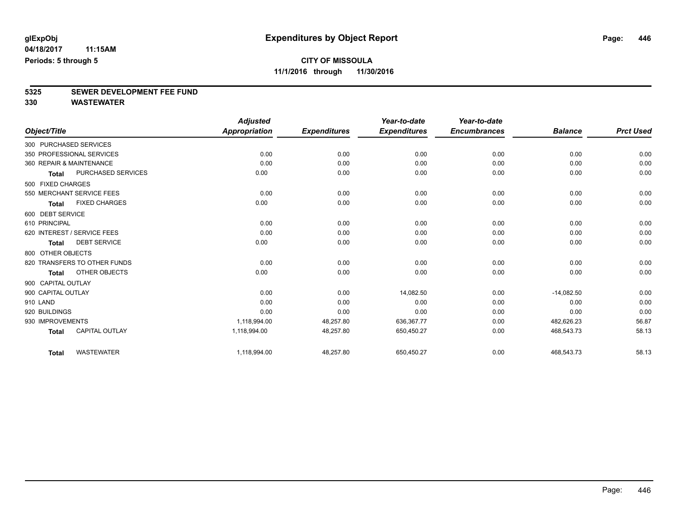# **5325 SEWER DEVELOPMENT FEE FUND**

|                                       |                           | <b>Adjusted</b>      |                     | Year-to-date        | Year-to-date        |                |                  |
|---------------------------------------|---------------------------|----------------------|---------------------|---------------------|---------------------|----------------|------------------|
| Object/Title                          |                           | <b>Appropriation</b> | <b>Expenditures</b> | <b>Expenditures</b> | <b>Encumbrances</b> | <b>Balance</b> | <b>Prct Used</b> |
| 300 PURCHASED SERVICES                |                           |                      |                     |                     |                     |                |                  |
| 350 PROFESSIONAL SERVICES             |                           | 0.00                 | 0.00                | 0.00                | 0.00                | 0.00           | 0.00             |
| 360 REPAIR & MAINTENANCE              |                           | 0.00                 | 0.00                | 0.00                | 0.00                | 0.00           | 0.00             |
| <b>Total</b>                          | <b>PURCHASED SERVICES</b> | 0.00                 | 0.00                | 0.00                | 0.00                | 0.00           | 0.00             |
| 500 FIXED CHARGES                     |                           |                      |                     |                     |                     |                |                  |
| 550 MERCHANT SERVICE FEES             |                           | 0.00                 | 0.00                | 0.00                | 0.00                | 0.00           | 0.00             |
| <b>FIXED CHARGES</b><br><b>Total</b>  |                           | 0.00                 | 0.00                | 0.00                | 0.00                | 0.00           | 0.00             |
| 600 DEBT SERVICE                      |                           |                      |                     |                     |                     |                |                  |
| 610 PRINCIPAL                         |                           | 0.00                 | 0.00                | 0.00                | 0.00                | 0.00           | 0.00             |
| 620 INTEREST / SERVICE FEES           |                           | 0.00                 | 0.00                | 0.00                | 0.00                | 0.00           | 0.00             |
| <b>DEBT SERVICE</b><br><b>Total</b>   |                           | 0.00                 | 0.00                | 0.00                | 0.00                | 0.00           | 0.00             |
| 800 OTHER OBJECTS                     |                           |                      |                     |                     |                     |                |                  |
| 820 TRANSFERS TO OTHER FUNDS          |                           | 0.00                 | 0.00                | 0.00                | 0.00                | 0.00           | 0.00             |
| OTHER OBJECTS<br><b>Total</b>         |                           | 0.00                 | 0.00                | 0.00                | 0.00                | 0.00           | 0.00             |
| 900 CAPITAL OUTLAY                    |                           |                      |                     |                     |                     |                |                  |
| 900 CAPITAL OUTLAY                    |                           | 0.00                 | 0.00                | 14,082.50           | 0.00                | $-14,082.50$   | 0.00             |
| 910 LAND                              |                           | 0.00                 | 0.00                | 0.00                | 0.00                | 0.00           | 0.00             |
| 920 BUILDINGS                         |                           | 0.00                 | 0.00                | 0.00                | 0.00                | 0.00           | 0.00             |
| 930 IMPROVEMENTS                      |                           | 1,118,994.00         | 48,257.80           | 636, 367. 77        | 0.00                | 482,626.23     | 56.87            |
| <b>CAPITAL OUTLAY</b><br><b>Total</b> |                           | 1,118,994.00         | 48,257.80           | 650,450.27          | 0.00                | 468,543.73     | 58.13            |
| <b>WASTEWATER</b><br><b>Total</b>     |                           | 1,118,994.00         | 48,257.80           | 650,450.27          | 0.00                | 468,543.73     | 58.13            |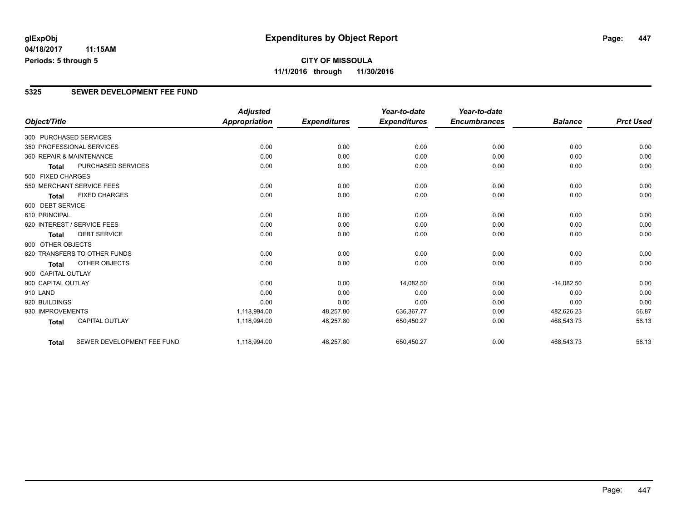# **CITY OF MISSOULA 11/1/2016 through 11/30/2016**

### **5325 SEWER DEVELOPMENT FEE FUND**

|                        |                              | <b>Adjusted</b>      |                     | Year-to-date        | Year-to-date        |                |                  |
|------------------------|------------------------------|----------------------|---------------------|---------------------|---------------------|----------------|------------------|
| Object/Title           |                              | <b>Appropriation</b> | <b>Expenditures</b> | <b>Expenditures</b> | <b>Encumbrances</b> | <b>Balance</b> | <b>Prct Used</b> |
| 300 PURCHASED SERVICES |                              |                      |                     |                     |                     |                |                  |
|                        | 350 PROFESSIONAL SERVICES    | 0.00                 | 0.00                | 0.00                | 0.00                | 0.00           | 0.00             |
|                        | 360 REPAIR & MAINTENANCE     | 0.00                 | 0.00                | 0.00                | 0.00                | 0.00           | 0.00             |
| Total                  | PURCHASED SERVICES           | 0.00                 | 0.00                | 0.00                | 0.00                | 0.00           | 0.00             |
| 500 FIXED CHARGES      |                              |                      |                     |                     |                     |                |                  |
|                        | 550 MERCHANT SERVICE FEES    | 0.00                 | 0.00                | 0.00                | 0.00                | 0.00           | 0.00             |
| <b>Total</b>           | <b>FIXED CHARGES</b>         | 0.00                 | 0.00                | 0.00                | 0.00                | 0.00           | 0.00             |
| 600 DEBT SERVICE       |                              |                      |                     |                     |                     |                |                  |
| 610 PRINCIPAL          |                              | 0.00                 | 0.00                | 0.00                | 0.00                | 0.00           | 0.00             |
|                        | 620 INTEREST / SERVICE FEES  | 0.00                 | 0.00                | 0.00                | 0.00                | 0.00           | 0.00             |
| <b>Total</b>           | <b>DEBT SERVICE</b>          | 0.00                 | 0.00                | 0.00                | 0.00                | 0.00           | 0.00             |
| 800 OTHER OBJECTS      |                              |                      |                     |                     |                     |                |                  |
|                        | 820 TRANSFERS TO OTHER FUNDS | 0.00                 | 0.00                | 0.00                | 0.00                | 0.00           | 0.00             |
| Total                  | OTHER OBJECTS                | 0.00                 | 0.00                | 0.00                | 0.00                | 0.00           | 0.00             |
| 900 CAPITAL OUTLAY     |                              |                      |                     |                     |                     |                |                  |
| 900 CAPITAL OUTLAY     |                              | 0.00                 | 0.00                | 14,082.50           | 0.00                | $-14,082.50$   | 0.00             |
| 910 LAND               |                              | 0.00                 | 0.00                | 0.00                | 0.00                | 0.00           | 0.00             |
| 920 BUILDINGS          |                              | 0.00                 | 0.00                | 0.00                | 0.00                | 0.00           | 0.00             |
| 930 IMPROVEMENTS       |                              | 1,118,994.00         | 48,257.80           | 636,367.77          | 0.00                | 482,626.23     | 56.87            |
| <b>Total</b>           | <b>CAPITAL OUTLAY</b>        | 1,118,994.00         | 48,257.80           | 650,450.27          | 0.00                | 468,543.73     | 58.13            |
| <b>Total</b>           | SEWER DEVELOPMENT FEE FUND   | 1,118,994.00         | 48,257.80           | 650,450.27          | 0.00                | 468,543.73     | 58.13            |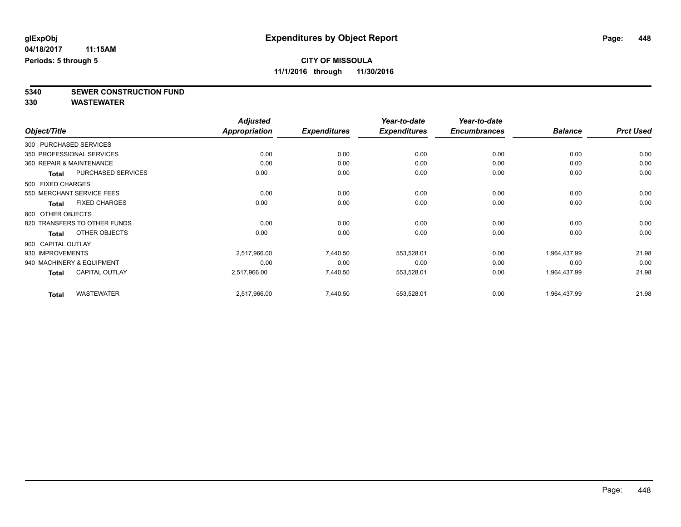**5340 SEWER CONSTRUCTION FUND**

|                          |                              | <b>Adjusted</b>      |                     | Year-to-date        | Year-to-date        |                |                  |
|--------------------------|------------------------------|----------------------|---------------------|---------------------|---------------------|----------------|------------------|
| Object/Title             |                              | <b>Appropriation</b> | <b>Expenditures</b> | <b>Expenditures</b> | <b>Encumbrances</b> | <b>Balance</b> | <b>Prct Used</b> |
| 300 PURCHASED SERVICES   |                              |                      |                     |                     |                     |                |                  |
|                          | 350 PROFESSIONAL SERVICES    | 0.00                 | 0.00                | 0.00                | 0.00                | 0.00           | 0.00             |
| 360 REPAIR & MAINTENANCE |                              | 0.00                 | 0.00                | 0.00                | 0.00                | 0.00           | 0.00             |
| Total                    | <b>PURCHASED SERVICES</b>    | 0.00                 | 0.00                | 0.00                | 0.00                | 0.00           | 0.00             |
| 500 FIXED CHARGES        |                              |                      |                     |                     |                     |                |                  |
|                          | 550 MERCHANT SERVICE FEES    | 0.00                 | 0.00                | 0.00                | 0.00                | 0.00           | 0.00             |
| <b>Total</b>             | <b>FIXED CHARGES</b>         | 0.00                 | 0.00                | 0.00                | 0.00                | 0.00           | 0.00             |
| 800 OTHER OBJECTS        |                              |                      |                     |                     |                     |                |                  |
|                          | 820 TRANSFERS TO OTHER FUNDS | 0.00                 | 0.00                | 0.00                | 0.00                | 0.00           | 0.00             |
| Total                    | OTHER OBJECTS                | 0.00                 | 0.00                | 0.00                | 0.00                | 0.00           | 0.00             |
| 900 CAPITAL OUTLAY       |                              |                      |                     |                     |                     |                |                  |
| 930 IMPROVEMENTS         |                              | 2,517,966.00         | 7,440.50            | 553,528.01          | 0.00                | 1,964,437.99   | 21.98            |
|                          | 940 MACHINERY & EQUIPMENT    | 0.00                 | 0.00                | 0.00                | 0.00                | 0.00           | 0.00             |
| <b>Total</b>             | <b>CAPITAL OUTLAY</b>        | 2,517,966.00         | 7,440.50            | 553,528.01          | 0.00                | 1,964,437.99   | 21.98            |
| <b>Total</b>             | <b>WASTEWATER</b>            | 2,517,966.00         | 7,440.50            | 553,528.01          | 0.00                | 1,964,437.99   | 21.98            |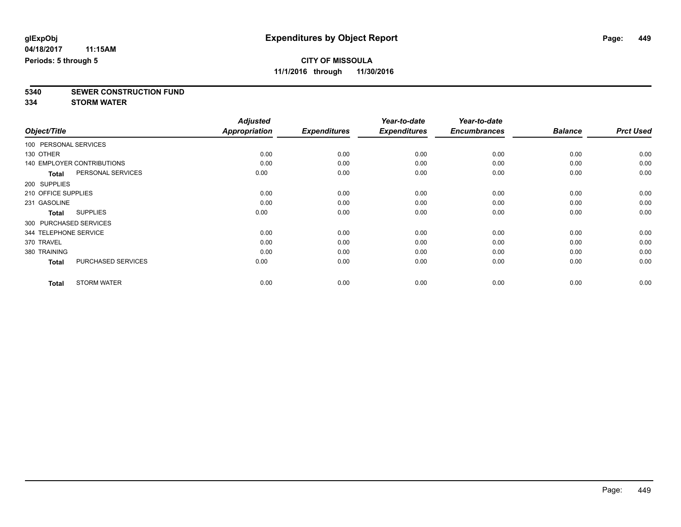**5340 SEWER CONSTRUCTION FUND**

**334 STORM WATER**

|                        |                                   | <b>Adjusted</b> |                     | Year-to-date        | Year-to-date        |                |                  |
|------------------------|-----------------------------------|-----------------|---------------------|---------------------|---------------------|----------------|------------------|
| Object/Title           |                                   | Appropriation   | <b>Expenditures</b> | <b>Expenditures</b> | <b>Encumbrances</b> | <b>Balance</b> | <b>Prct Used</b> |
| 100 PERSONAL SERVICES  |                                   |                 |                     |                     |                     |                |                  |
| 130 OTHER              |                                   | 0.00            | 0.00                | 0.00                | 0.00                | 0.00           | 0.00             |
|                        | <b>140 EMPLOYER CONTRIBUTIONS</b> | 0.00            | 0.00                | 0.00                | 0.00                | 0.00           | 0.00             |
| <b>Total</b>           | PERSONAL SERVICES                 | 0.00            | 0.00                | 0.00                | 0.00                | 0.00           | 0.00             |
| 200 SUPPLIES           |                                   |                 |                     |                     |                     |                |                  |
| 210 OFFICE SUPPLIES    |                                   | 0.00            | 0.00                | 0.00                | 0.00                | 0.00           | 0.00             |
| 231 GASOLINE           |                                   | 0.00            | 0.00                | 0.00                | 0.00                | 0.00           | 0.00             |
| Total                  | <b>SUPPLIES</b>                   | 0.00            | 0.00                | 0.00                | 0.00                | 0.00           | 0.00             |
| 300 PURCHASED SERVICES |                                   |                 |                     |                     |                     |                |                  |
| 344 TELEPHONE SERVICE  |                                   | 0.00            | 0.00                | 0.00                | 0.00                | 0.00           | 0.00             |
| 370 TRAVEL             |                                   | 0.00            | 0.00                | 0.00                | 0.00                | 0.00           | 0.00             |
| 380 TRAINING           |                                   | 0.00            | 0.00                | 0.00                | 0.00                | 0.00           | 0.00             |
| <b>Total</b>           | PURCHASED SERVICES                | 0.00            | 0.00                | 0.00                | 0.00                | 0.00           | 0.00             |
| <b>Total</b>           | <b>STORM WATER</b>                | 0.00            | 0.00                | 0.00                | 0.00                | 0.00           | 0.00             |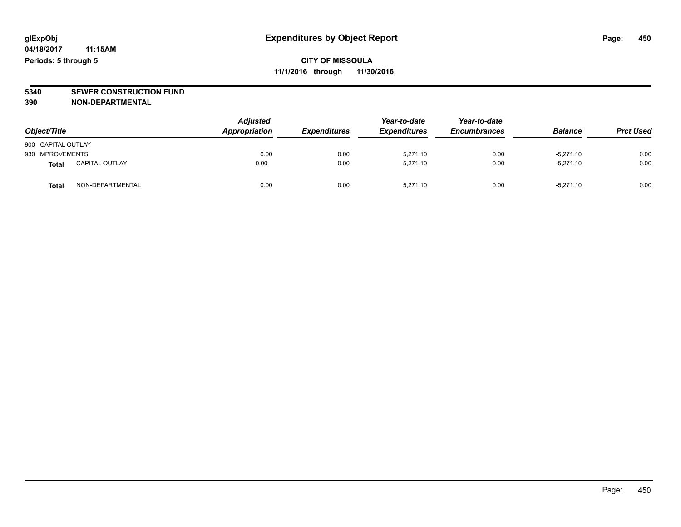# **5340 SEWER CONSTRUCTION FUND**

**390 NON-DEPARTMENTAL**

| Object/Title       |                       | <b>Adjusted</b><br>Appropriation | <b>Expenditures</b> | Year-to-date<br><b>Expenditures</b> | Year-to-date<br><b>Encumbrances</b> | <b>Balance</b> | <b>Prct Used</b> |
|--------------------|-----------------------|----------------------------------|---------------------|-------------------------------------|-------------------------------------|----------------|------------------|
| 900 CAPITAL OUTLAY |                       |                                  |                     |                                     |                                     |                |                  |
| 930 IMPROVEMENTS   |                       | 0.00                             | 0.00                | 5.271.10                            | 0.00                                | $-5.271.10$    | 0.00             |
| Total              | <b>CAPITAL OUTLAY</b> | 0.00                             | 0.00                | 5.271.10                            | 0.00                                | $-5.271.10$    | 0.00             |
| Total              | NON-DEPARTMENTAL      | 0.00                             | 0.00                | 5.271.10                            | 0.00                                | $-5,271.10$    | 0.00             |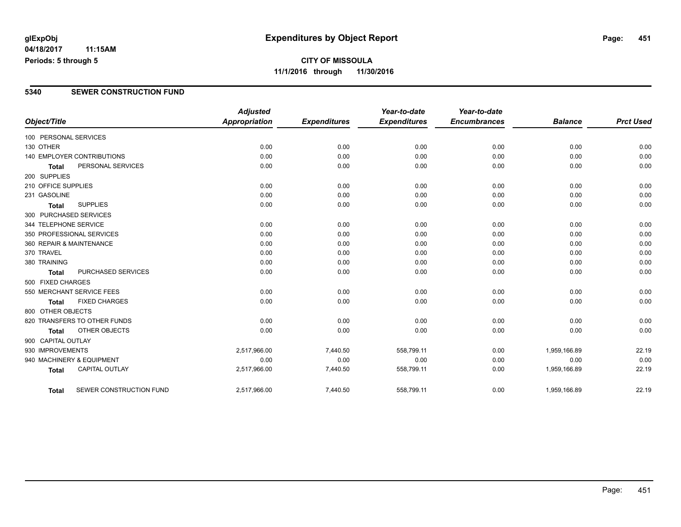**11/1/2016 through 11/30/2016**

#### **5340 SEWER CONSTRUCTION FUND**

| Object/Title             |                                   | <b>Adjusted</b><br><b>Appropriation</b> | <b>Expenditures</b> | Year-to-date<br><b>Expenditures</b> | Year-to-date<br><b>Encumbrances</b> | <b>Balance</b> | <b>Prct Used</b> |
|--------------------------|-----------------------------------|-----------------------------------------|---------------------|-------------------------------------|-------------------------------------|----------------|------------------|
|                          |                                   |                                         |                     |                                     |                                     |                |                  |
| 100 PERSONAL SERVICES    |                                   |                                         |                     |                                     |                                     |                |                  |
| 130 OTHER                |                                   | 0.00                                    | 0.00                | 0.00                                | 0.00                                | 0.00           | 0.00             |
|                          | <b>140 EMPLOYER CONTRIBUTIONS</b> | 0.00                                    | 0.00                | 0.00                                | 0.00                                | 0.00           | 0.00             |
| <b>Total</b>             | PERSONAL SERVICES                 | 0.00                                    | 0.00                | 0.00                                | 0.00                                | 0.00           | 0.00             |
| 200 SUPPLIES             |                                   |                                         |                     |                                     |                                     |                |                  |
| 210 OFFICE SUPPLIES      |                                   | 0.00                                    | 0.00                | 0.00                                | 0.00                                | 0.00           | 0.00             |
| 231 GASOLINE             |                                   | 0.00                                    | 0.00                | 0.00                                | 0.00                                | 0.00           | 0.00             |
| <b>Total</b>             | <b>SUPPLIES</b>                   | 0.00                                    | 0.00                | 0.00                                | 0.00                                | 0.00           | 0.00             |
| 300 PURCHASED SERVICES   |                                   |                                         |                     |                                     |                                     |                |                  |
| 344 TELEPHONE SERVICE    |                                   | 0.00                                    | 0.00                | 0.00                                | 0.00                                | 0.00           | 0.00             |
|                          | 350 PROFESSIONAL SERVICES         | 0.00                                    | 0.00                | 0.00                                | 0.00                                | 0.00           | 0.00             |
| 360 REPAIR & MAINTENANCE |                                   | 0.00                                    | 0.00                | 0.00                                | 0.00                                | 0.00           | 0.00             |
| 370 TRAVEL               |                                   | 0.00                                    | 0.00                | 0.00                                | 0.00                                | 0.00           | 0.00             |
| 380 TRAINING             |                                   | 0.00                                    | 0.00                | 0.00                                | 0.00                                | 0.00           | 0.00             |
| <b>Total</b>             | <b>PURCHASED SERVICES</b>         | 0.00                                    | 0.00                | 0.00                                | 0.00                                | 0.00           | 0.00             |
| 500 FIXED CHARGES        |                                   |                                         |                     |                                     |                                     |                |                  |
|                          | 550 MERCHANT SERVICE FEES         | 0.00                                    | 0.00                | 0.00                                | 0.00                                | 0.00           | 0.00             |
| <b>Total</b>             | <b>FIXED CHARGES</b>              | 0.00                                    | 0.00                | 0.00                                | 0.00                                | 0.00           | 0.00             |
| 800 OTHER OBJECTS        |                                   |                                         |                     |                                     |                                     |                |                  |
|                          | 820 TRANSFERS TO OTHER FUNDS      | 0.00                                    | 0.00                | 0.00                                | 0.00                                | 0.00           | 0.00             |
| <b>Total</b>             | OTHER OBJECTS                     | 0.00                                    | 0.00                | 0.00                                | 0.00                                | 0.00           | 0.00             |
| 900 CAPITAL OUTLAY       |                                   |                                         |                     |                                     |                                     |                |                  |
| 930 IMPROVEMENTS         |                                   | 2,517,966.00                            | 7,440.50            | 558,799.11                          | 0.00                                | 1,959,166.89   | 22.19            |
|                          | 940 MACHINERY & EQUIPMENT         | 0.00                                    | 0.00                | 0.00                                | 0.00                                | 0.00           | 0.00             |
| <b>Total</b>             | <b>CAPITAL OUTLAY</b>             | 2,517,966.00                            | 7,440.50            | 558,799.11                          | 0.00                                | 1,959,166.89   | 22.19            |
|                          |                                   |                                         |                     |                                     |                                     |                |                  |
| <b>Total</b>             | SEWER CONSTRUCTION FUND           | 2,517,966.00                            | 7,440.50            | 558,799.11                          | 0.00                                | 1,959,166.89   | 22.19            |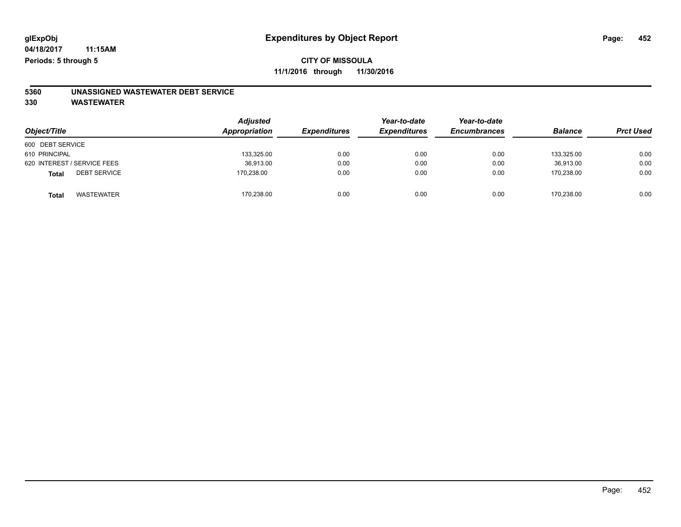# **5360 UNASSIGNED WASTEWATER DEBT SERVICE**

| Object/Title                 | <b>Adjusted</b><br>Appropriation | <b>Expenditures</b> | Year-to-date<br><b>Expenditures</b> | Year-to-date<br><b>Encumbrances</b> | <b>Balance</b> | <b>Prct Used</b> |
|------------------------------|----------------------------------|---------------------|-------------------------------------|-------------------------------------|----------------|------------------|
| 600 DEBT SERVICE             |                                  |                     |                                     |                                     |                |                  |
| 610 PRINCIPAL                | 133,325.00                       | 0.00                | 0.00                                | 0.00                                | 133.325.00     | 0.00             |
| 620 INTEREST / SERVICE FEES  | 36,913.00                        | 0.00                | 0.00                                | 0.00                                | 36.913.00      | 0.00             |
| <b>DEBT SERVICE</b><br>Total | 170,238.00                       | 0.00                | 0.00                                | 0.00                                | 170.238.00     | 0.00             |
| <b>WASTEWATER</b><br>Total   | 170,238.00                       | 0.00                | 0.00                                | 0.00                                | 170,238.00     | 0.00             |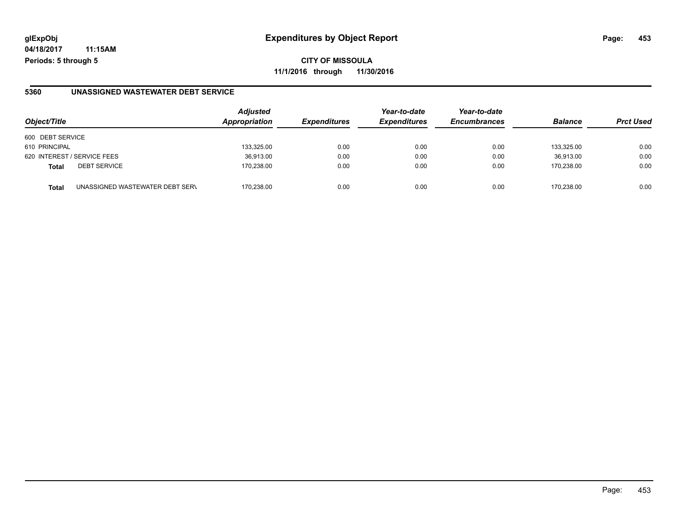**11/1/2016 through 11/30/2016**

#### **5360 UNASSIGNED WASTEWATER DEBT SERVICE**

| Object/Title     |                                 | <b>Adjusted</b><br>Appropriation | <b>Expenditures</b> | Year-to-date<br><b>Expenditures</b> | Year-to-date<br><b>Encumbrances</b> | <b>Balance</b> | <b>Prct Used</b> |
|------------------|---------------------------------|----------------------------------|---------------------|-------------------------------------|-------------------------------------|----------------|------------------|
| 600 DEBT SERVICE |                                 |                                  |                     |                                     |                                     |                |                  |
| 610 PRINCIPAL    |                                 | 133,325.00                       | 0.00                | 0.00                                | 0.00                                | 133.325.00     | 0.00             |
|                  | 620 INTEREST / SERVICE FEES     | 36,913.00                        | 0.00                | 0.00                                | 0.00                                | 36,913.00      | 0.00             |
| <b>Total</b>     | <b>DEBT SERVICE</b>             | 170.238.00                       | 0.00                | 0.00                                | 0.00                                | 170.238.00     | 0.00             |
| <b>Total</b>     | UNASSIGNED WASTEWATER DEBT SERV | 170.238.00                       | 0.00                | 0.00                                | 0.00                                | 170.238.00     | 0.00             |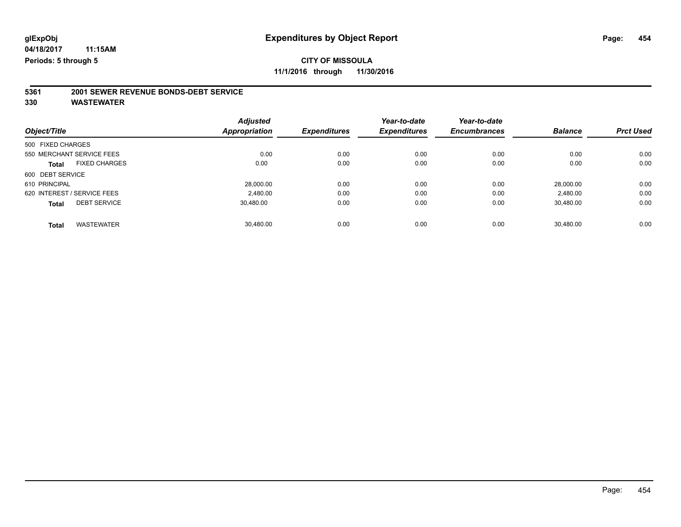**5361 2001 SEWER REVENUE BONDS-DEBT SERVICE**

|                                      | <b>Adjusted</b> |                     | Year-to-date        | Year-to-date        |                |                  |
|--------------------------------------|-----------------|---------------------|---------------------|---------------------|----------------|------------------|
| Object/Title                         | Appropriation   | <b>Expenditures</b> | <b>Expenditures</b> | <b>Encumbrances</b> | <b>Balance</b> | <b>Prct Used</b> |
| 500 FIXED CHARGES                    |                 |                     |                     |                     |                |                  |
| 550 MERCHANT SERVICE FEES            | 0.00            | 0.00                | 0.00                | 0.00                | 0.00           | 0.00             |
| <b>FIXED CHARGES</b><br><b>Total</b> | 0.00            | 0.00                | 0.00                | 0.00                | 0.00           | 0.00             |
| 600 DEBT SERVICE                     |                 |                     |                     |                     |                |                  |
| 610 PRINCIPAL                        | 28.000.00       | 0.00                | 0.00                | 0.00                | 28.000.00      | 0.00             |
| 620 INTEREST / SERVICE FEES          | 2,480.00        | 0.00                | 0.00                | 0.00                | 2,480.00       | 0.00             |
| <b>DEBT SERVICE</b><br><b>Total</b>  | 30.480.00       | 0.00                | 0.00                | 0.00                | 30,480.00      | 0.00             |
|                                      |                 |                     |                     |                     |                |                  |
| <b>WASTEWATER</b><br><b>Total</b>    | 30.480.00       | 0.00                | 0.00                | 0.00                | 30.480.00      | 0.00             |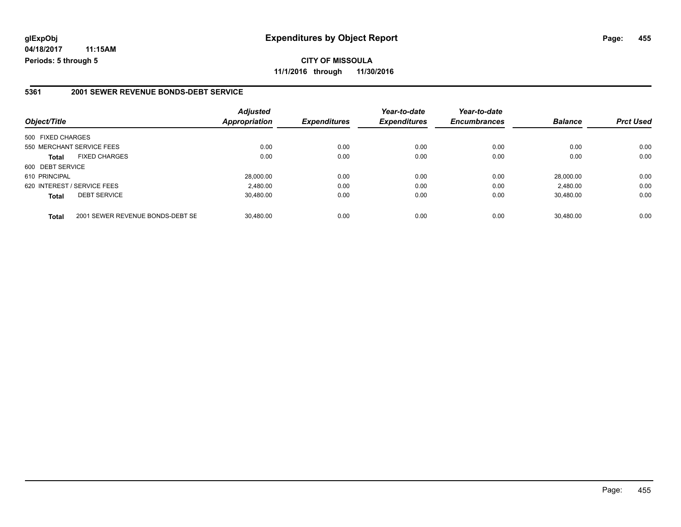#### **5361 2001 SEWER REVENUE BONDS-DEBT SERVICE**

| Object/Title                |                                  | <b>Adjusted</b><br><b>Appropriation</b> | <b>Expenditures</b> | Year-to-date<br><b>Expenditures</b> | Year-to-date<br><b>Encumbrances</b> | <b>Balance</b> | <b>Prct Used</b> |
|-----------------------------|----------------------------------|-----------------------------------------|---------------------|-------------------------------------|-------------------------------------|----------------|------------------|
| 500 FIXED CHARGES           |                                  |                                         |                     |                                     |                                     |                |                  |
| 550 MERCHANT SERVICE FEES   |                                  | 0.00                                    | 0.00                | 0.00                                | 0.00                                | 0.00           | 0.00             |
| <b>Total</b>                | <b>FIXED CHARGES</b>             | 0.00                                    | 0.00                | 0.00                                | 0.00                                | 0.00           | 0.00             |
| 600 DEBT SERVICE            |                                  |                                         |                     |                                     |                                     |                |                  |
| 610 PRINCIPAL               |                                  | 28,000.00                               | 0.00                | 0.00                                | 0.00                                | 28.000.00      | 0.00             |
| 620 INTEREST / SERVICE FEES |                                  | 2,480.00                                | 0.00                | 0.00                                | 0.00                                | 2,480.00       | 0.00             |
| <b>Total</b>                | <b>DEBT SERVICE</b>              | 30.480.00                               | 0.00                | 0.00                                | 0.00                                | 30.480.00      | 0.00             |
| <b>Total</b>                | 2001 SEWER REVENUE BONDS-DEBT SE | 30.480.00                               | 0.00                | 0.00                                | 0.00                                | 30.480.00      | 0.00             |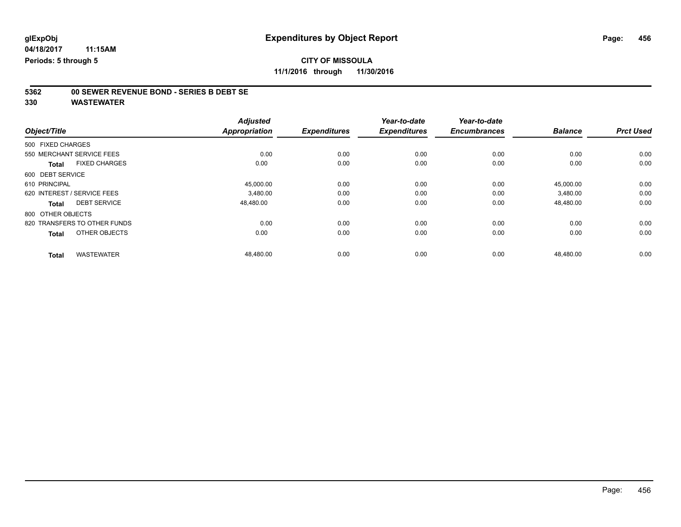# **5362 00 SEWER REVENUE BOND - SERIES B DEBT SE**

| Object/Title                         | <b>Adjusted</b><br><b>Appropriation</b> | <b>Expenditures</b> | Year-to-date<br><b>Expenditures</b> | Year-to-date<br><b>Encumbrances</b> | <b>Balance</b> | <b>Prct Used</b> |
|--------------------------------------|-----------------------------------------|---------------------|-------------------------------------|-------------------------------------|----------------|------------------|
| 500 FIXED CHARGES                    |                                         |                     |                                     |                                     |                |                  |
| 550 MERCHANT SERVICE FEES            | 0.00                                    | 0.00                | 0.00                                | 0.00                                | 0.00           | 0.00             |
| <b>FIXED CHARGES</b><br><b>Total</b> | 0.00                                    | 0.00                | 0.00                                | 0.00                                | 0.00           | 0.00             |
| 600 DEBT SERVICE                     |                                         |                     |                                     |                                     |                |                  |
| 610 PRINCIPAL                        | 45,000.00                               | 0.00                | 0.00                                | 0.00                                | 45,000.00      | 0.00             |
| 620 INTEREST / SERVICE FEES          | 3,480.00                                | 0.00                | 0.00                                | 0.00                                | 3,480.00       | 0.00             |
| <b>DEBT SERVICE</b><br><b>Total</b>  | 48,480.00                               | 0.00                | 0.00                                | 0.00                                | 48,480.00      | 0.00             |
| 800 OTHER OBJECTS                    |                                         |                     |                                     |                                     |                |                  |
| 820 TRANSFERS TO OTHER FUNDS         | 0.00                                    | 0.00                | 0.00                                | 0.00                                | 0.00           | 0.00             |
| OTHER OBJECTS<br><b>Total</b>        | 0.00                                    | 0.00                | 0.00                                | 0.00                                | 0.00           | 0.00             |
|                                      |                                         |                     |                                     |                                     |                |                  |
| <b>WASTEWATER</b><br><b>Total</b>    | 48,480.00                               | 0.00                | 0.00                                | 0.00                                | 48,480.00      | 0.00             |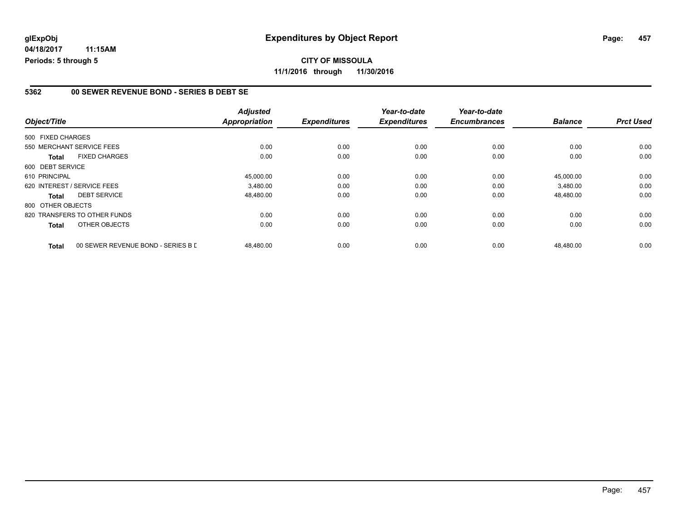#### **5362 00 SEWER REVENUE BOND - SERIES B DEBT SE**

|                   |                                    | <b>Adjusted</b>      |                     | Year-to-date        | Year-to-date        |                |                  |
|-------------------|------------------------------------|----------------------|---------------------|---------------------|---------------------|----------------|------------------|
| Object/Title      |                                    | <b>Appropriation</b> | <b>Expenditures</b> | <b>Expenditures</b> | <b>Encumbrances</b> | <b>Balance</b> | <b>Prct Used</b> |
| 500 FIXED CHARGES |                                    |                      |                     |                     |                     |                |                  |
|                   | 550 MERCHANT SERVICE FEES          | 0.00                 | 0.00                | 0.00                | 0.00                | 0.00           | 0.00             |
| Total             | <b>FIXED CHARGES</b>               | 0.00                 | 0.00                | 0.00                | 0.00                | 0.00           | 0.00             |
| 600 DEBT SERVICE  |                                    |                      |                     |                     |                     |                |                  |
| 610 PRINCIPAL     |                                    | 45,000.00            | 0.00                | 0.00                | 0.00                | 45,000.00      | 0.00             |
|                   | 620 INTEREST / SERVICE FEES        | 3.480.00             | 0.00                | 0.00                | 0.00                | 3,480.00       | 0.00             |
| <b>Total</b>      | <b>DEBT SERVICE</b>                | 48,480.00            | 0.00                | 0.00                | 0.00                | 48,480.00      | 0.00             |
| 800 OTHER OBJECTS |                                    |                      |                     |                     |                     |                |                  |
|                   | 820 TRANSFERS TO OTHER FUNDS       | 0.00                 | 0.00                | 0.00                | 0.00                | 0.00           | 0.00             |
| <b>Total</b>      | OTHER OBJECTS                      | 0.00                 | 0.00                | 0.00                | 0.00                | 0.00           | 0.00             |
| <b>Total</b>      | 00 SEWER REVENUE BOND - SERIES B D | 48,480.00            | 0.00                | 0.00                | 0.00                | 48,480.00      | 0.00             |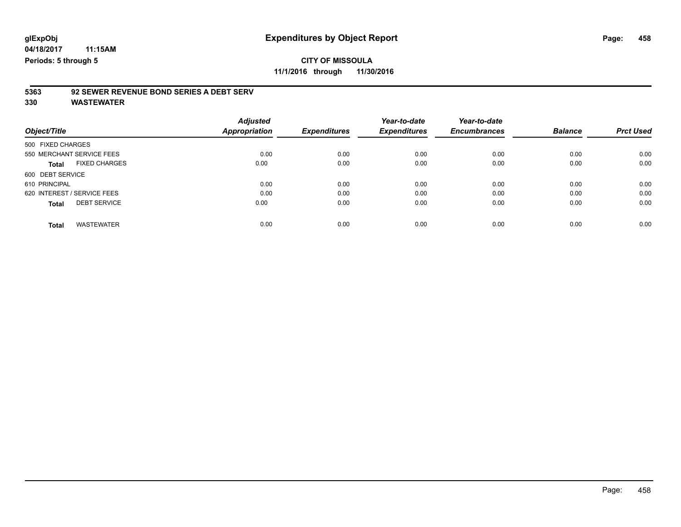# **5363 92 SEWER REVENUE BOND SERIES A DEBT SERV**

| Object/Title                         | <b>Adjusted</b><br>Appropriation | <b>Expenditures</b> | Year-to-date<br><b>Expenditures</b> | Year-to-date<br><b>Encumbrances</b> | <b>Balance</b> | <b>Prct Used</b> |
|--------------------------------------|----------------------------------|---------------------|-------------------------------------|-------------------------------------|----------------|------------------|
| 500 FIXED CHARGES                    |                                  |                     |                                     |                                     |                |                  |
| 550 MERCHANT SERVICE FEES            | 0.00                             | 0.00                | 0.00                                | 0.00                                | 0.00           | 0.00             |
| <b>FIXED CHARGES</b><br><b>Total</b> | 0.00                             | 0.00                | 0.00                                | 0.00                                | 0.00           | 0.00             |
| 600 DEBT SERVICE                     |                                  |                     |                                     |                                     |                |                  |
| 610 PRINCIPAL                        | 0.00                             | 0.00                | 0.00                                | 0.00                                | 0.00           | 0.00             |
| 620 INTEREST / SERVICE FEES          | 0.00                             | 0.00                | 0.00                                | 0.00                                | 0.00           | 0.00             |
| <b>DEBT SERVICE</b><br><b>Total</b>  | 0.00                             | 0.00                | 0.00                                | 0.00                                | 0.00           | 0.00             |
| <b>WASTEWATER</b><br><b>Total</b>    | 0.00                             | 0.00                | 0.00                                | 0.00                                | 0.00           | 0.00             |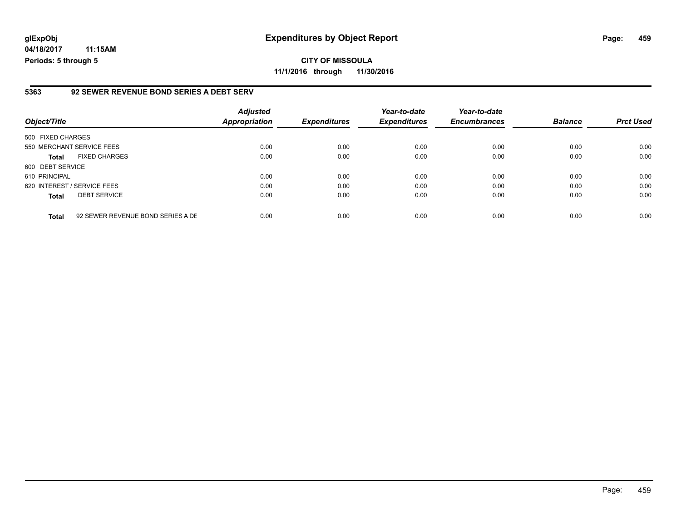### **glExpObj Expenditures by Object Report Page: 459**

**04/18/2017 11:15AM Periods: 5 through 5**

#### **5363 92 SEWER REVENUE BOND SERIES A DEBT SERV**

| Object/Title      |                                   | <b>Adjusted</b><br><b>Appropriation</b> | <b>Expenditures</b> | Year-to-date<br><b>Expenditures</b> | Year-to-date<br><b>Encumbrances</b> | <b>Balance</b> | <b>Prct Used</b> |
|-------------------|-----------------------------------|-----------------------------------------|---------------------|-------------------------------------|-------------------------------------|----------------|------------------|
| 500 FIXED CHARGES |                                   |                                         |                     |                                     |                                     |                |                  |
|                   | 550 MERCHANT SERVICE FEES         | 0.00                                    | 0.00                | 0.00                                | 0.00                                | 0.00           | 0.00             |
| <b>Total</b>      | <b>FIXED CHARGES</b>              | 0.00                                    | 0.00                | 0.00                                | 0.00                                | 0.00           | 0.00             |
| 600 DEBT SERVICE  |                                   |                                         |                     |                                     |                                     |                |                  |
| 610 PRINCIPAL     |                                   | 0.00                                    | 0.00                | 0.00                                | 0.00                                | 0.00           | 0.00             |
|                   | 620 INTEREST / SERVICE FEES       | 0.00                                    | 0.00                | 0.00                                | 0.00                                | 0.00           | 0.00             |
| <b>Total</b>      | <b>DEBT SERVICE</b>               | 0.00                                    | 0.00                | 0.00                                | 0.00                                | 0.00           | 0.00             |
| <b>Total</b>      | 92 SEWER REVENUE BOND SERIES A DE | 0.00                                    | 0.00                | 0.00                                | 0.00                                | 0.00           | 0.00             |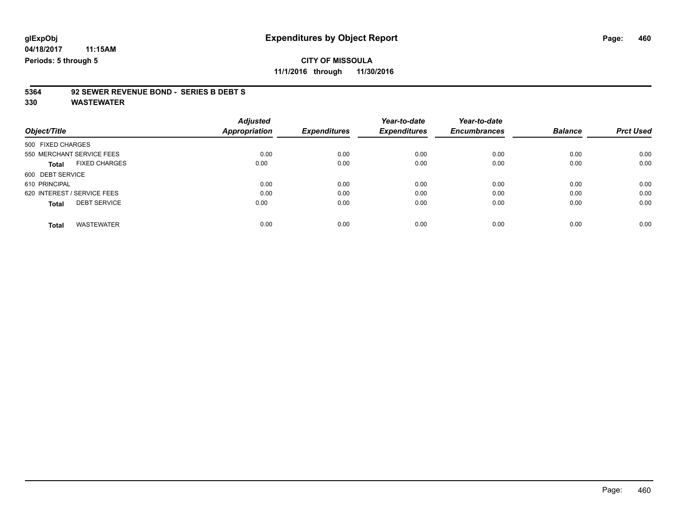# **5364 92 SEWER REVENUE BOND - SERIES B DEBT S**

| Object/Title                         | <b>Adjusted</b><br>Appropriation | <b>Expenditures</b> | Year-to-date<br><b>Expenditures</b> | Year-to-date<br><b>Encumbrances</b> | <b>Balance</b> | <b>Prct Used</b> |
|--------------------------------------|----------------------------------|---------------------|-------------------------------------|-------------------------------------|----------------|------------------|
|                                      |                                  |                     |                                     |                                     |                |                  |
| 500 FIXED CHARGES                    |                                  |                     |                                     |                                     |                |                  |
| 550 MERCHANT SERVICE FEES            | 0.00                             | 0.00                | 0.00                                | 0.00                                | 0.00           | 0.00             |
| <b>FIXED CHARGES</b><br><b>Total</b> | 0.00                             | 0.00                | 0.00                                | 0.00                                | 0.00           | 0.00             |
| 600 DEBT SERVICE                     |                                  |                     |                                     |                                     |                |                  |
| 610 PRINCIPAL                        | 0.00                             | 0.00                | 0.00                                | 0.00                                | 0.00           | 0.00             |
| 620 INTEREST / SERVICE FEES          | 0.00                             | 0.00                | 0.00                                | 0.00                                | 0.00           | 0.00             |
| <b>DEBT SERVICE</b><br><b>Total</b>  | 0.00                             | 0.00                | 0.00                                | 0.00                                | 0.00           | 0.00             |
| <b>WASTEWATER</b><br>Total           | 0.00                             | 0.00                | 0.00                                | 0.00                                | 0.00           | 0.00             |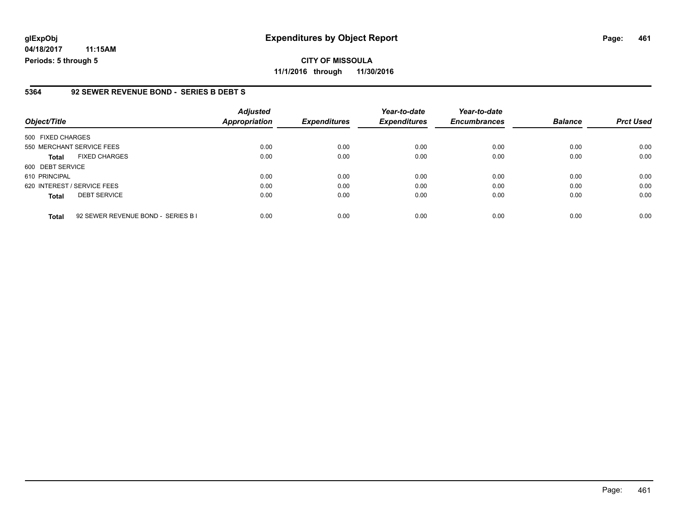#### **5364 92 SEWER REVENUE BOND - SERIES B DEBT S**

| Object/Title                        |                                    | <b>Adjusted</b><br><b>Appropriation</b> | <b>Expenditures</b> | Year-to-date<br><b>Expenditures</b> | Year-to-date<br><b>Encumbrances</b> | <b>Balance</b> | <b>Prct Used</b> |
|-------------------------------------|------------------------------------|-----------------------------------------|---------------------|-------------------------------------|-------------------------------------|----------------|------------------|
| 500 FIXED CHARGES                   |                                    |                                         |                     |                                     |                                     |                |                  |
| 550 MERCHANT SERVICE FEES           |                                    | 0.00                                    | 0.00                | 0.00                                | 0.00                                | 0.00           | 0.00             |
| <b>FIXED CHARGES</b><br>Total       |                                    | 0.00                                    | 0.00                | 0.00                                | 0.00                                | 0.00           | 0.00             |
| 600 DEBT SERVICE                    |                                    |                                         |                     |                                     |                                     |                |                  |
| 610 PRINCIPAL                       |                                    | 0.00                                    | 0.00                | 0.00                                | 0.00                                | 0.00           | 0.00             |
| 620 INTEREST / SERVICE FEES         |                                    | 0.00                                    | 0.00                | 0.00                                | 0.00                                | 0.00           | 0.00             |
| <b>DEBT SERVICE</b><br><b>Total</b> |                                    | 0.00                                    | 0.00                | 0.00                                | 0.00                                | 0.00           | 0.00             |
| <b>Total</b>                        | 92 SEWER REVENUE BOND - SERIES B I | 0.00                                    | 0.00                | 0.00                                | 0.00                                | 0.00           | 0.00             |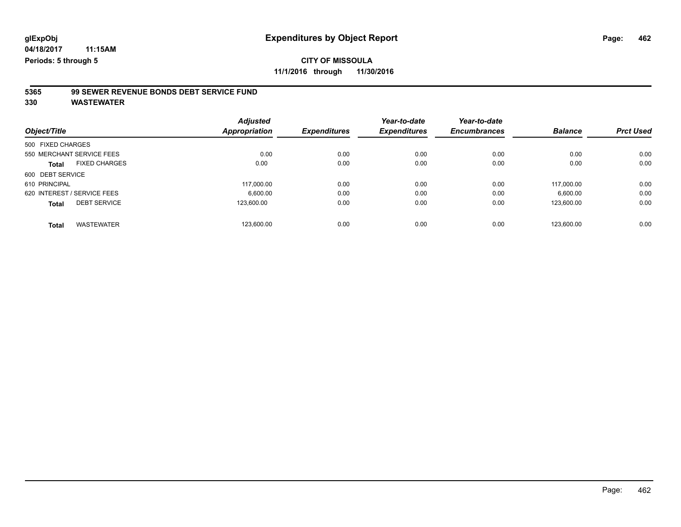# **5365 99 SEWER REVENUE BONDS DEBT SERVICE FUND**

|                   |                             | <b>Adjusted</b><br>Appropriation |                     | Year-to-date<br><b>Expenditures</b> | Year-to-date<br><b>Encumbrances</b> | <b>Balance</b> | <b>Prct Used</b> |
|-------------------|-----------------------------|----------------------------------|---------------------|-------------------------------------|-------------------------------------|----------------|------------------|
| Object/Title      |                             |                                  | <b>Expenditures</b> |                                     |                                     |                |                  |
| 500 FIXED CHARGES |                             |                                  |                     |                                     |                                     |                |                  |
|                   | 550 MERCHANT SERVICE FEES   | 0.00                             | 0.00                | 0.00                                | 0.00                                | 0.00           | 0.00             |
| <b>Total</b>      | <b>FIXED CHARGES</b>        | 0.00                             | 0.00                | 0.00                                | 0.00                                | 0.00           | 0.00             |
| 600 DEBT SERVICE  |                             |                                  |                     |                                     |                                     |                |                  |
| 610 PRINCIPAL     |                             | 117.000.00                       | 0.00                | 0.00                                | 0.00                                | 117.000.00     | 0.00             |
|                   | 620 INTEREST / SERVICE FEES | 6.600.00                         | 0.00                | 0.00                                | 0.00                                | 6.600.00       | 0.00             |
| <b>Total</b>      | <b>DEBT SERVICE</b>         | 123,600.00                       | 0.00                | 0.00                                | 0.00                                | 123.600.00     | 0.00             |
| <b>Total</b>      | <b>WASTEWATER</b>           | 123.600.00                       | 0.00                | 0.00                                | 0.00                                | 123.600.00     | 0.00             |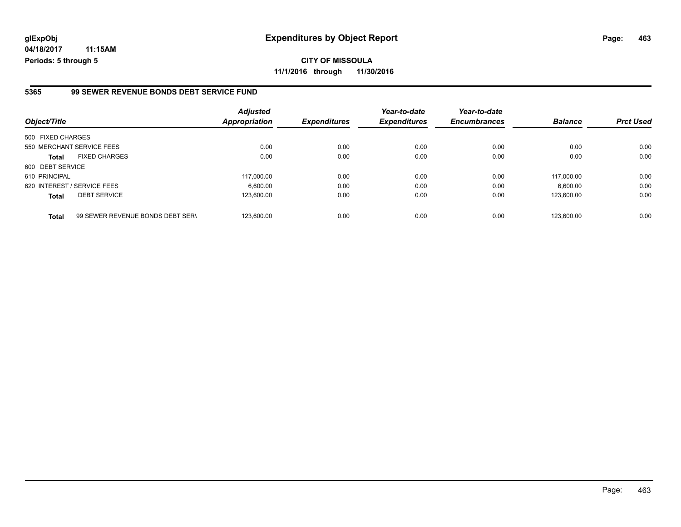**11/1/2016 through 11/30/2016**

#### **5365 99 SEWER REVENUE BONDS DEBT SERVICE FUND**

| Object/Title                                     | <b>Adjusted</b><br><b>Appropriation</b> | <b>Expenditures</b> | Year-to-date<br><b>Expenditures</b> | Year-to-date<br><b>Encumbrances</b> | <b>Balance</b> | <b>Prct Used</b> |
|--------------------------------------------------|-----------------------------------------|---------------------|-------------------------------------|-------------------------------------|----------------|------------------|
| 500 FIXED CHARGES                                |                                         |                     |                                     |                                     |                |                  |
| 550 MERCHANT SERVICE FEES                        | 0.00                                    | 0.00                | 0.00                                | 0.00                                | 0.00           | 0.00             |
| <b>FIXED CHARGES</b><br><b>Total</b>             | 0.00                                    | 0.00                | 0.00                                | 0.00                                | 0.00           | 0.00             |
| 600 DEBT SERVICE                                 |                                         |                     |                                     |                                     |                |                  |
| 610 PRINCIPAL                                    | 117.000.00                              | 0.00                | 0.00                                | 0.00                                | 117.000.00     | 0.00             |
| 620 INTEREST / SERVICE FEES                      | 6.600.00                                | 0.00                | 0.00                                | 0.00                                | 6,600.00       | 0.00             |
| <b>DEBT SERVICE</b><br><b>Total</b>              | 123.600.00                              | 0.00                | 0.00                                | 0.00                                | 123.600.00     | 0.00             |
| 99 SEWER REVENUE BONDS DEBT SERV<br><b>Total</b> | 123.600.00                              | 0.00                | 0.00                                | 0.00                                | 123.600.00     | 0.00             |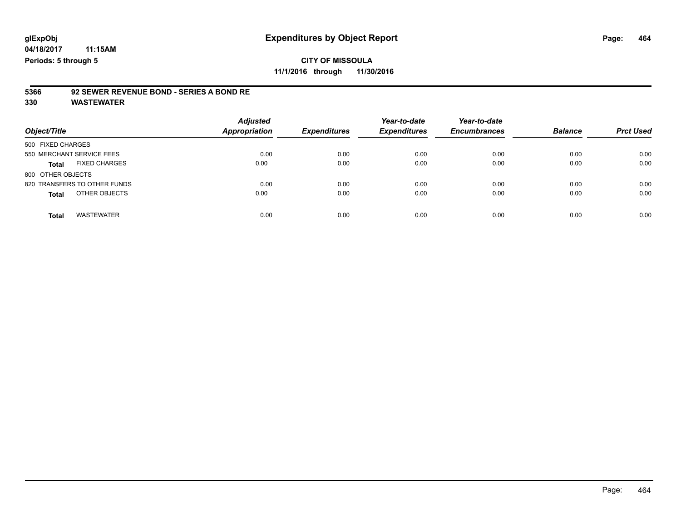# **5366 92 SEWER REVENUE BOND - SERIES A BOND RE**

| Object/Title                         | <b>Adjusted</b><br><b>Appropriation</b> | <b>Expenditures</b> | Year-to-date<br><b>Expenditures</b> | Year-to-date<br><b>Encumbrances</b> | <b>Balance</b> | <b>Prct Used</b> |
|--------------------------------------|-----------------------------------------|---------------------|-------------------------------------|-------------------------------------|----------------|------------------|
| 500 FIXED CHARGES                    |                                         |                     |                                     |                                     |                |                  |
| 550 MERCHANT SERVICE FEES            | 0.00                                    | 0.00                | 0.00                                | 0.00                                | 0.00           | 0.00             |
| <b>FIXED CHARGES</b><br><b>Total</b> | 0.00                                    | 0.00                | 0.00                                | 0.00                                | 0.00           | 0.00             |
| 800 OTHER OBJECTS                    |                                         |                     |                                     |                                     |                |                  |
| 820 TRANSFERS TO OTHER FUNDS         | 0.00                                    | 0.00                | 0.00                                | 0.00                                | 0.00           | 0.00             |
| OTHER OBJECTS<br><b>Total</b>        | 0.00                                    | 0.00                | 0.00                                | 0.00                                | 0.00           | 0.00             |
| <b>WASTEWATER</b><br><b>Total</b>    | 0.00                                    | 0.00                | 0.00                                | 0.00                                | 0.00           | 0.00             |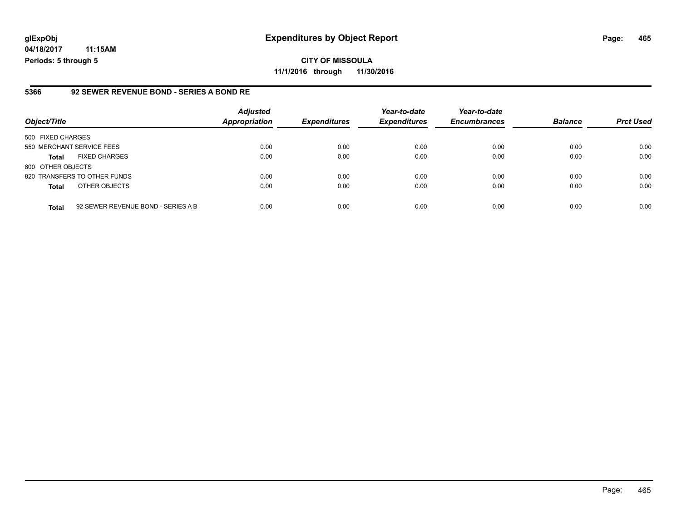**CITY OF MISSOULA 11/1/2016 through 11/30/2016**

#### **5366 92 SEWER REVENUE BOND - SERIES A BOND RE**

| Object/Title              |                                    | <b>Adjusted</b><br><b>Appropriation</b> | <b>Expenditures</b> | Year-to-date<br><b>Expenditures</b> | Year-to-date<br><b>Encumbrances</b> | <b>Balance</b> | <b>Prct Used</b> |
|---------------------------|------------------------------------|-----------------------------------------|---------------------|-------------------------------------|-------------------------------------|----------------|------------------|
| 500 FIXED CHARGES         |                                    |                                         |                     |                                     |                                     |                |                  |
| 550 MERCHANT SERVICE FEES |                                    | 0.00                                    | 0.00                | 0.00                                | 0.00                                | 0.00           | 0.00             |
| <b>Total</b>              | <b>FIXED CHARGES</b>               | 0.00                                    | 0.00                | 0.00                                | 0.00                                | 0.00           | 0.00             |
| 800 OTHER OBJECTS         |                                    |                                         |                     |                                     |                                     |                |                  |
|                           | 820 TRANSFERS TO OTHER FUNDS       | 0.00                                    | 0.00                | 0.00                                | 0.00                                | 0.00           | 0.00             |
| <b>Total</b>              | OTHER OBJECTS                      | 0.00                                    | 0.00                | 0.00                                | 0.00                                | 0.00           | 0.00             |
| <b>Total</b>              | 92 SEWER REVENUE BOND - SERIES A B | 0.00                                    | 0.00                | 0.00                                | 0.00                                | 0.00           | 0.00             |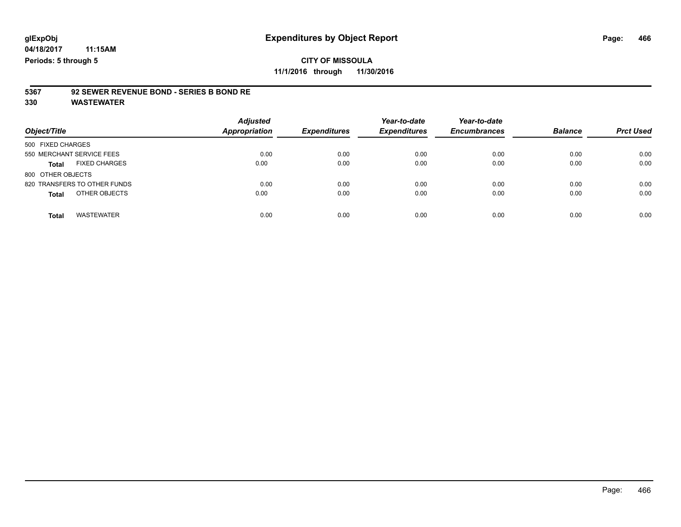# **5367 92 SEWER REVENUE BOND - SERIES B BOND RE**

| Object/Title                         | <b>Adjusted</b><br><b>Appropriation</b> | <b>Expenditures</b> | Year-to-date<br><b>Expenditures</b> | Year-to-date<br><b>Encumbrances</b> | <b>Balance</b> | <b>Prct Used</b> |
|--------------------------------------|-----------------------------------------|---------------------|-------------------------------------|-------------------------------------|----------------|------------------|
| 500 FIXED CHARGES                    |                                         |                     |                                     |                                     |                |                  |
| 550 MERCHANT SERVICE FEES            | 0.00                                    | 0.00                | 0.00                                | 0.00                                | 0.00           | 0.00             |
| <b>FIXED CHARGES</b><br><b>Total</b> | 0.00                                    | 0.00                | 0.00                                | 0.00                                | 0.00           | 0.00             |
| 800 OTHER OBJECTS                    |                                         |                     |                                     |                                     |                |                  |
| 820 TRANSFERS TO OTHER FUNDS         | 0.00                                    | 0.00                | 0.00                                | 0.00                                | 0.00           | 0.00             |
| OTHER OBJECTS<br><b>Total</b>        | 0.00                                    | 0.00                | 0.00                                | 0.00                                | 0.00           | 0.00             |
| <b>WASTEWATER</b><br><b>Total</b>    | 0.00                                    | 0.00                | 0.00                                | 0.00                                | 0.00           | 0.00             |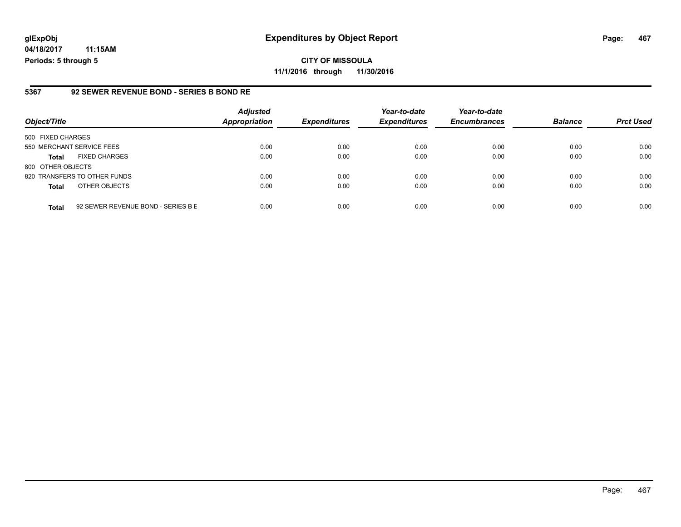**CITY OF MISSOULA 11/1/2016 through 11/30/2016**

#### **5367 92 SEWER REVENUE BOND - SERIES B BOND RE**

| Object/Title              |                                    | <b>Adjusted</b><br><b>Appropriation</b> | <b>Expenditures</b> | Year-to-date<br><b>Expenditures</b> | Year-to-date<br><b>Encumbrances</b> | <b>Balance</b> | <b>Prct Used</b> |
|---------------------------|------------------------------------|-----------------------------------------|---------------------|-------------------------------------|-------------------------------------|----------------|------------------|
| 500 FIXED CHARGES         |                                    |                                         |                     |                                     |                                     |                |                  |
| 550 MERCHANT SERVICE FEES |                                    | 0.00                                    | 0.00                | 0.00                                | 0.00                                | 0.00           | 0.00             |
| <b>Total</b>              | <b>FIXED CHARGES</b>               | 0.00                                    | 0.00                | 0.00                                | 0.00                                | 0.00           | 0.00             |
| 800 OTHER OBJECTS         |                                    |                                         |                     |                                     |                                     |                |                  |
|                           | 820 TRANSFERS TO OTHER FUNDS       | 0.00                                    | 0.00                | 0.00                                | 0.00                                | 0.00           | 0.00             |
| <b>Total</b>              | OTHER OBJECTS                      | 0.00                                    | 0.00                | 0.00                                | 0.00                                | 0.00           | 0.00             |
| <b>Total</b>              | 92 SEWER REVENUE BOND - SERIES B E | 0.00                                    | 0.00                | 0.00                                | 0.00                                | 0.00           | 0.00             |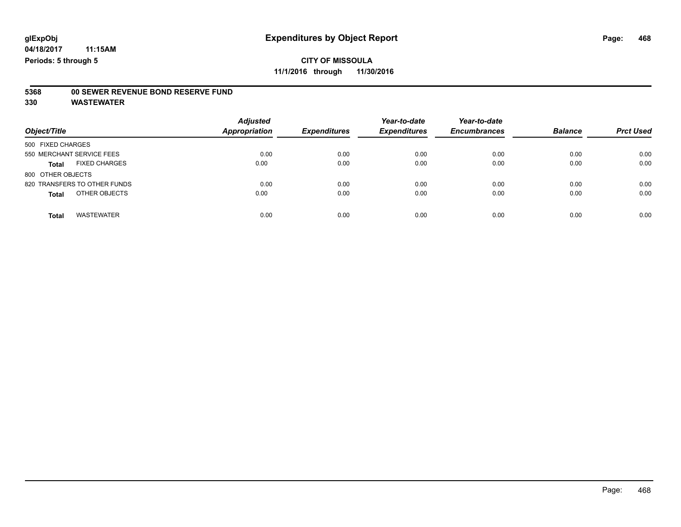# **5368 00 SEWER REVENUE BOND RESERVE FUND**

| Object/Title                         | <b>Adjusted</b><br><b>Appropriation</b> | <b>Expenditures</b> | Year-to-date<br><b>Expenditures</b> | Year-to-date<br><b>Encumbrances</b> | <b>Balance</b> | <b>Prct Used</b> |
|--------------------------------------|-----------------------------------------|---------------------|-------------------------------------|-------------------------------------|----------------|------------------|
| 500 FIXED CHARGES                    |                                         |                     |                                     |                                     |                |                  |
| 550 MERCHANT SERVICE FEES            | 0.00                                    | 0.00                | 0.00                                | 0.00                                | 0.00           | 0.00             |
| <b>FIXED CHARGES</b><br><b>Total</b> | 0.00                                    | 0.00                | 0.00                                | 0.00                                | 0.00           | 0.00             |
| 800 OTHER OBJECTS                    |                                         |                     |                                     |                                     |                |                  |
| 820 TRANSFERS TO OTHER FUNDS         | 0.00                                    | 0.00                | 0.00                                | 0.00                                | 0.00           | 0.00             |
| OTHER OBJECTS<br><b>Total</b>        | 0.00                                    | 0.00                | 0.00                                | 0.00                                | 0.00           | 0.00             |
| <b>WASTEWATER</b><br><b>Total</b>    | 0.00                                    | 0.00                | 0.00                                | 0.00                                | 0.00           | 0.00             |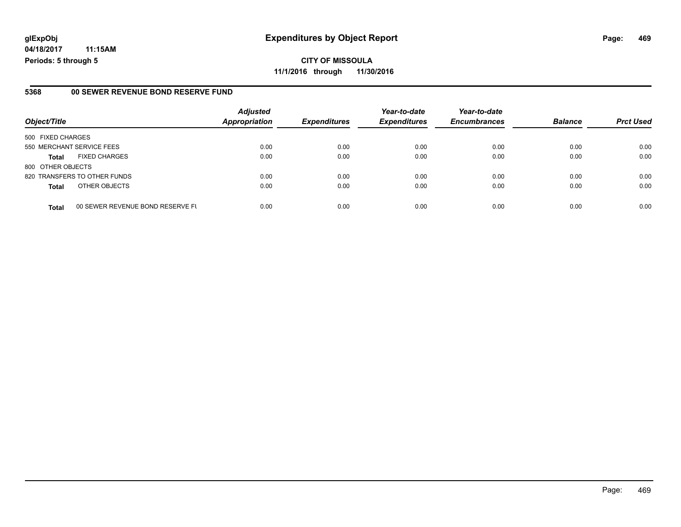**CITY OF MISSOULA 11/1/2016 through 11/30/2016**

#### **5368 00 SEWER REVENUE BOND RESERVE FUND**

| Object/Title                 |                                  | <b>Adjusted</b>      |                     | Year-to-date        | Year-to-date        |                |                  |
|------------------------------|----------------------------------|----------------------|---------------------|---------------------|---------------------|----------------|------------------|
|                              |                                  | <b>Appropriation</b> | <b>Expenditures</b> | <b>Expenditures</b> | <b>Encumbrances</b> | <b>Balance</b> | <b>Prct Used</b> |
| 500 FIXED CHARGES            |                                  |                      |                     |                     |                     |                |                  |
| 550 MERCHANT SERVICE FEES    |                                  | 0.00                 | 0.00                | 0.00                | 0.00                | 0.00           | 0.00             |
| <b>Total</b>                 | <b>FIXED CHARGES</b>             | 0.00                 | 0.00                | 0.00                | 0.00                | 0.00           | 0.00             |
| 800 OTHER OBJECTS            |                                  |                      |                     |                     |                     |                |                  |
| 820 TRANSFERS TO OTHER FUNDS |                                  | 0.00                 | 0.00                | 0.00                | 0.00                | 0.00           | 0.00             |
| <b>Total</b>                 | OTHER OBJECTS                    | 0.00                 | 0.00                | 0.00                | 0.00                | 0.00           | 0.00             |
| <b>Total</b>                 | 00 SEWER REVENUE BOND RESERVE FL | 0.00                 | 0.00                | 0.00                | 0.00                | 0.00           | 0.00             |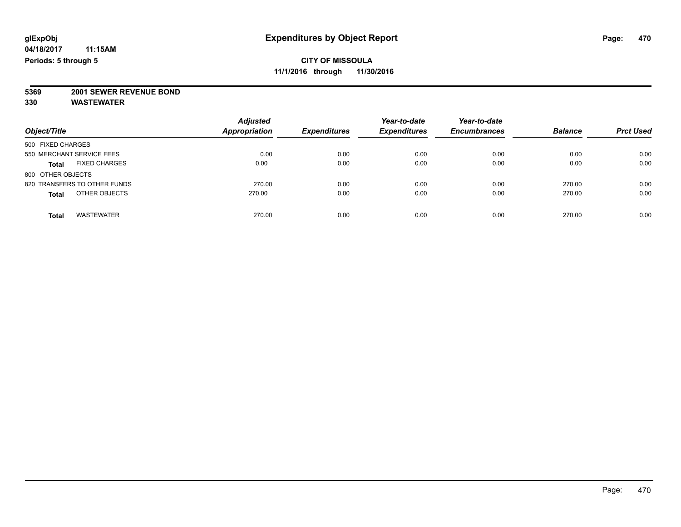**5369 2001 SEWER REVENUE BOND**

| Object/Title                         | <b>Adjusted</b><br><b>Appropriation</b> | <b>Expenditures</b> | Year-to-date<br><b>Expenditures</b> | Year-to-date<br><b>Encumbrances</b> | <b>Balance</b> | <b>Prct Used</b> |
|--------------------------------------|-----------------------------------------|---------------------|-------------------------------------|-------------------------------------|----------------|------------------|
| 500 FIXED CHARGES                    |                                         |                     |                                     |                                     |                |                  |
| 550 MERCHANT SERVICE FEES            | 0.00                                    | 0.00                | 0.00                                | 0.00                                | 0.00           | 0.00             |
| <b>FIXED CHARGES</b><br><b>Total</b> | 0.00                                    | 0.00                | 0.00                                | 0.00                                | 0.00           | 0.00             |
| 800 OTHER OBJECTS                    |                                         |                     |                                     |                                     |                |                  |
| 820 TRANSFERS TO OTHER FUNDS         | 270.00                                  | 0.00                | 0.00                                | 0.00                                | 270.00         | 0.00             |
| OTHER OBJECTS<br><b>Total</b>        | 270.00                                  | 0.00                | 0.00                                | 0.00                                | 270.00         | 0.00             |
| <b>WASTEWATER</b><br>Total           | 270.00                                  | 0.00                | 0.00                                | 0.00                                | 270.00         | 0.00             |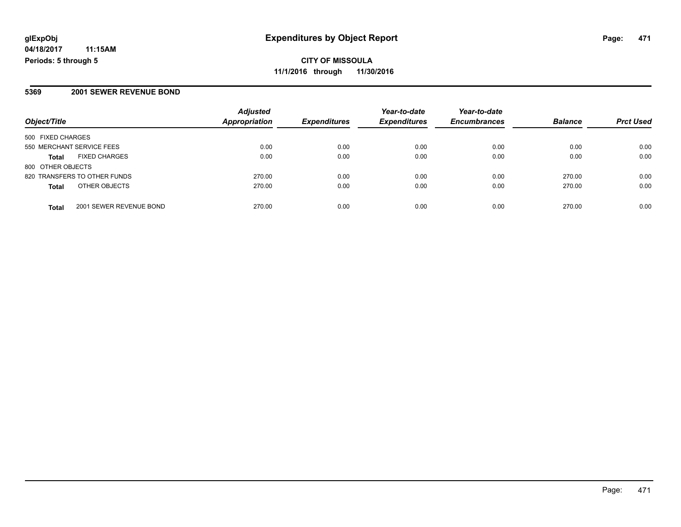# **CITY OF MISSOULA 11/1/2016 through 11/30/2016**

#### **5369 2001 SEWER REVENUE BOND**

|                                         | <b>Adjusted</b><br>Appropriation |                     | Year-to-date<br><b>Expenditures</b> | Year-to-date        | <b>Balance</b> | <b>Prct Used</b> |
|-----------------------------------------|----------------------------------|---------------------|-------------------------------------|---------------------|----------------|------------------|
| Object/Title                            |                                  | <b>Expenditures</b> |                                     | <b>Encumbrances</b> |                |                  |
| 500 FIXED CHARGES                       |                                  |                     |                                     |                     |                |                  |
| 550 MERCHANT SERVICE FEES               | 0.00                             | 0.00                | 0.00                                | 0.00                | 0.00           | 0.00             |
| <b>FIXED CHARGES</b><br><b>Total</b>    | 0.00                             | 0.00                | 0.00                                | 0.00                | 0.00           | 0.00             |
| 800 OTHER OBJECTS                       |                                  |                     |                                     |                     |                |                  |
| 820 TRANSFERS TO OTHER FUNDS            | 270.00                           | 0.00                | 0.00                                | 0.00                | 270.00         | 0.00             |
| OTHER OBJECTS<br><b>Total</b>           | 270.00                           | 0.00                | 0.00                                | 0.00                | 270.00         | 0.00             |
| 2001 SEWER REVENUE BOND<br><b>Total</b> | 270.00                           | 0.00                | 0.00                                | 0.00                | 270.00         | 0.00             |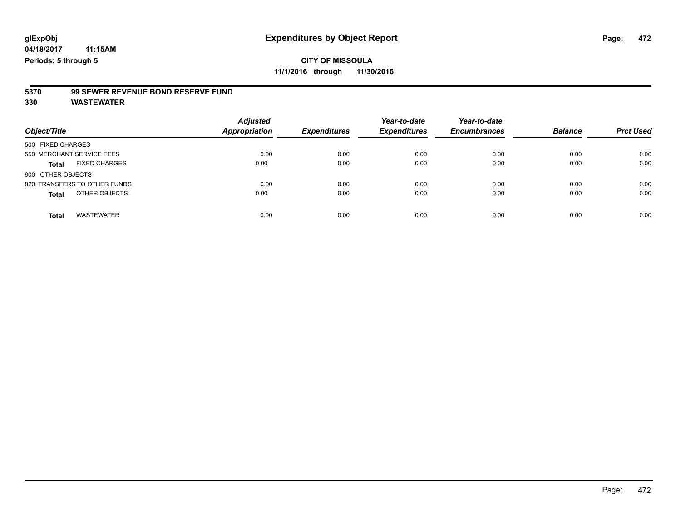# **5370 99 SEWER REVENUE BOND RESERVE FUND**

| Object/Title                         | <b>Adjusted</b><br><b>Appropriation</b> | <b>Expenditures</b> | Year-to-date<br><b>Expenditures</b> | Year-to-date<br><b>Encumbrances</b> | <b>Balance</b> | <b>Prct Used</b> |
|--------------------------------------|-----------------------------------------|---------------------|-------------------------------------|-------------------------------------|----------------|------------------|
| 500 FIXED CHARGES                    |                                         |                     |                                     |                                     |                |                  |
| 550 MERCHANT SERVICE FEES            | 0.00                                    | 0.00                | 0.00                                | 0.00                                | 0.00           | 0.00             |
| <b>FIXED CHARGES</b><br><b>Total</b> | 0.00                                    | 0.00                | 0.00                                | 0.00                                | 0.00           | 0.00             |
| 800 OTHER OBJECTS                    |                                         |                     |                                     |                                     |                |                  |
| 820 TRANSFERS TO OTHER FUNDS         | 0.00                                    | 0.00                | 0.00                                | 0.00                                | 0.00           | 0.00             |
| OTHER OBJECTS<br><b>Total</b>        | 0.00                                    | 0.00                | 0.00                                | 0.00                                | 0.00           | 0.00             |
| <b>WASTEWATER</b><br><b>Total</b>    | 0.00                                    | 0.00                | 0.00                                | 0.00                                | 0.00           | 0.00             |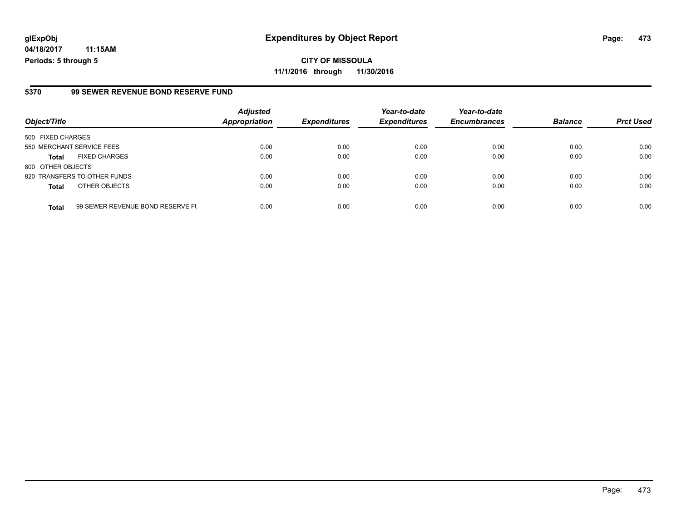### **5370 99 SEWER REVENUE BOND RESERVE FUND**

| Object/Title              |                                  | <b>Adjusted</b><br><b>Appropriation</b> | <b>Expenditures</b> | Year-to-date<br><b>Expenditures</b> | Year-to-date<br><b>Encumbrances</b> | <b>Balance</b> | <b>Prct Used</b> |
|---------------------------|----------------------------------|-----------------------------------------|---------------------|-------------------------------------|-------------------------------------|----------------|------------------|
| 500 FIXED CHARGES         |                                  |                                         |                     |                                     |                                     |                |                  |
| 550 MERCHANT SERVICE FEES |                                  | 0.00                                    | 0.00                | 0.00                                | 0.00                                | 0.00           | 0.00             |
| <b>Total</b>              | <b>FIXED CHARGES</b>             | 0.00                                    | 0.00                | 0.00                                | 0.00                                | 0.00           | 0.00             |
| 800 OTHER OBJECTS         |                                  |                                         |                     |                                     |                                     |                |                  |
|                           | 820 TRANSFERS TO OTHER FUNDS     | 0.00                                    | 0.00                | 0.00                                | 0.00                                | 0.00           | 0.00             |
| <b>Total</b>              | OTHER OBJECTS                    | 0.00                                    | 0.00                | 0.00                                | 0.00                                | 0.00           | 0.00             |
| <b>Total</b>              | 99 SEWER REVENUE BOND RESERVE FU | 0.00                                    | 0.00                | 0.00                                | 0.00                                | 0.00           | 0.00             |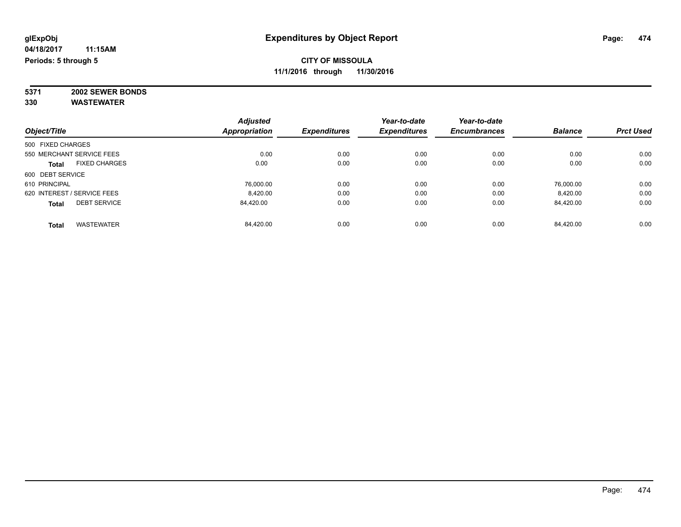**5371 2002 SEWER BONDS 330 WASTEWATER**

|                                      | <b>Adjusted</b>      |                     | Year-to-date        | Year-to-date        | <b>Balance</b> |                  |
|--------------------------------------|----------------------|---------------------|---------------------|---------------------|----------------|------------------|
| Object/Title                         | <b>Appropriation</b> | <b>Expenditures</b> | <b>Expenditures</b> | <b>Encumbrances</b> |                | <b>Prct Used</b> |
| 500 FIXED CHARGES                    |                      |                     |                     |                     |                |                  |
| 550 MERCHANT SERVICE FEES            | 0.00                 | 0.00                | 0.00                | 0.00                | 0.00           | 0.00             |
| <b>FIXED CHARGES</b><br><b>Total</b> | 0.00                 | 0.00                | 0.00                | 0.00                | 0.00           | 0.00             |
| 600 DEBT SERVICE                     |                      |                     |                     |                     |                |                  |
| 610 PRINCIPAL                        | 76,000.00            | 0.00                | 0.00                | 0.00                | 76.000.00      | 0.00             |
| 620 INTEREST / SERVICE FEES          | 8.420.00             | 0.00                | 0.00                | 0.00                | 8,420.00       | 0.00             |
| <b>DEBT SERVICE</b><br><b>Total</b>  | 84.420.00            | 0.00                | 0.00                | 0.00                | 84.420.00      | 0.00             |
| <b>WASTEWATER</b><br><b>Total</b>    | 84,420.00            | 0.00                | 0.00                | 0.00                | 84.420.00      | 0.00             |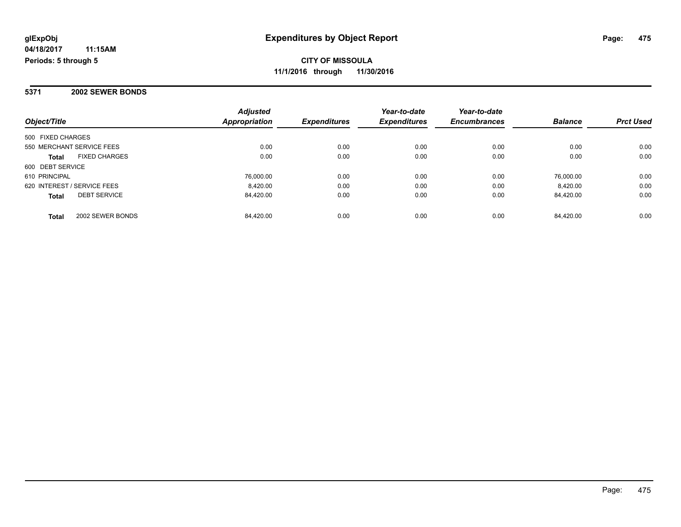#### **5371 2002 SEWER BONDS**

| Object/Title                         | <b>Adjusted</b><br><b>Appropriation</b> | <b>Expenditures</b> | Year-to-date<br><b>Expenditures</b> | Year-to-date<br><b>Encumbrances</b> | <b>Balance</b> | <b>Prct Used</b> |
|--------------------------------------|-----------------------------------------|---------------------|-------------------------------------|-------------------------------------|----------------|------------------|
|                                      |                                         |                     |                                     |                                     |                |                  |
| 500 FIXED CHARGES                    |                                         |                     |                                     |                                     |                |                  |
| 550 MERCHANT SERVICE FEES            | 0.00                                    | 0.00                | 0.00                                | 0.00                                | 0.00           | 0.00             |
| <b>FIXED CHARGES</b><br><b>Total</b> | 0.00                                    | 0.00                | 0.00                                | 0.00                                | 0.00           | 0.00             |
| 600 DEBT SERVICE                     |                                         |                     |                                     |                                     |                |                  |
| 610 PRINCIPAL                        | 76,000.00                               | 0.00                | 0.00                                | 0.00                                | 76.000.00      | 0.00             |
| 620 INTEREST / SERVICE FEES          | 8.420.00                                | 0.00                | 0.00                                | 0.00                                | 8.420.00       | 0.00             |
| <b>DEBT SERVICE</b><br><b>Total</b>  | 84.420.00                               | 0.00                | 0.00                                | 0.00                                | 84.420.00      | 0.00             |
| 2002 SEWER BONDS<br><b>Total</b>     | 84.420.00                               | 0.00                | 0.00                                | 0.00                                | 84.420.00      | 0.00             |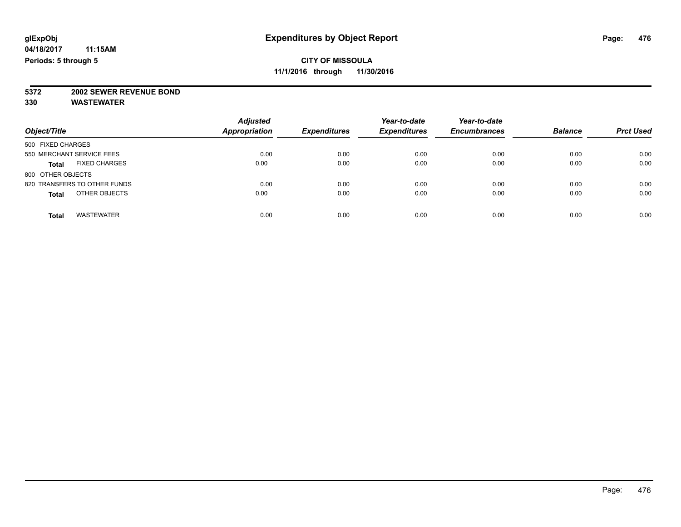# **5372 2002 SEWER REVENUE BOND**

| Object/Title                         | <b>Adjusted</b><br><b>Appropriation</b> | <b>Expenditures</b> | Year-to-date<br><b>Expenditures</b> | Year-to-date<br><b>Encumbrances</b> | <b>Balance</b> | <b>Prct Used</b> |
|--------------------------------------|-----------------------------------------|---------------------|-------------------------------------|-------------------------------------|----------------|------------------|
| 500 FIXED CHARGES                    |                                         |                     |                                     |                                     |                |                  |
| 550 MERCHANT SERVICE FEES            | 0.00                                    | 0.00                | 0.00                                | 0.00                                | 0.00           | 0.00             |
| <b>FIXED CHARGES</b><br><b>Total</b> | 0.00                                    | 0.00                | 0.00                                | 0.00                                | 0.00           | 0.00             |
| 800 OTHER OBJECTS                    |                                         |                     |                                     |                                     |                |                  |
| 820 TRANSFERS TO OTHER FUNDS         | 0.00                                    | 0.00                | 0.00                                | 0.00                                | 0.00           | 0.00             |
| OTHER OBJECTS<br><b>Total</b>        | 0.00                                    | 0.00                | 0.00                                | 0.00                                | 0.00           | 0.00             |
| <b>WASTEWATER</b><br>Total           | 0.00                                    | 0.00                | 0.00                                | 0.00                                | 0.00           | 0.00             |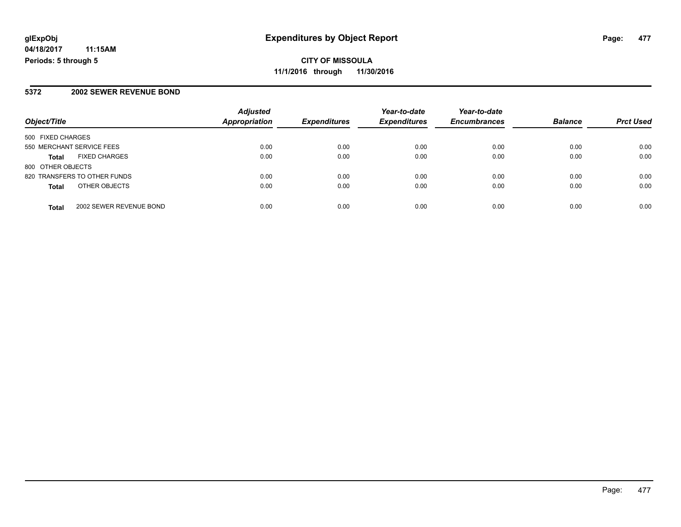**CITY OF MISSOULA 11/1/2016 through 11/30/2016**

#### **5372 2002 SEWER REVENUE BOND**

|                                         | <b>Adjusted</b>      |                     | Year-to-date        | Year-to-date        |                |                  |
|-----------------------------------------|----------------------|---------------------|---------------------|---------------------|----------------|------------------|
| Object/Title                            | <b>Appropriation</b> | <b>Expenditures</b> | <b>Expenditures</b> | <b>Encumbrances</b> | <b>Balance</b> | <b>Prct Used</b> |
| 500 FIXED CHARGES                       |                      |                     |                     |                     |                |                  |
| 550 MERCHANT SERVICE FEES               | 0.00                 | 0.00                | 0.00                | 0.00                | 0.00           | 0.00             |
| <b>FIXED CHARGES</b><br><b>Total</b>    | 0.00                 | 0.00                | 0.00                | 0.00                | 0.00           | 0.00             |
| 800 OTHER OBJECTS                       |                      |                     |                     |                     |                |                  |
| 820 TRANSFERS TO OTHER FUNDS            | 0.00                 | 0.00                | 0.00                | 0.00                | 0.00           | 0.00             |
| OTHER OBJECTS<br><b>Total</b>           | 0.00                 | 0.00                | 0.00                | 0.00                | 0.00           | 0.00             |
| 2002 SEWER REVENUE BOND<br><b>Total</b> | 0.00                 | 0.00                | 0.00                | 0.00                | 0.00           | 0.00             |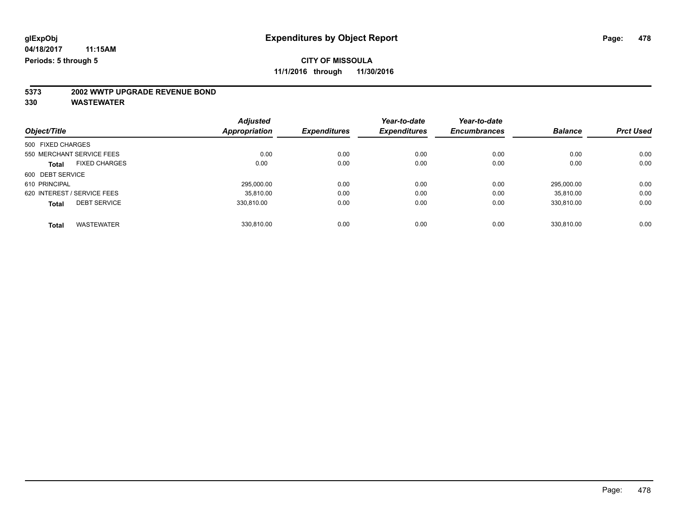# **5373 2002 WWTP UPGRADE REVENUE BOND**

| <b>Adjusted</b>      |                     | Year-to-date        | Year-to-date        |                |                  |
|----------------------|---------------------|---------------------|---------------------|----------------|------------------|
| <b>Appropriation</b> | <b>Expenditures</b> | <b>Expenditures</b> | <b>Encumbrances</b> | <b>Balance</b> | <b>Prct Used</b> |
|                      |                     |                     |                     |                |                  |
| 0.00                 | 0.00                | 0.00                | 0.00                | 0.00           | 0.00             |
| 0.00                 | 0.00                | 0.00                | 0.00                | 0.00           | 0.00             |
|                      |                     |                     |                     |                |                  |
| 295.000.00           | 0.00                | 0.00                | 0.00                | 295.000.00     | 0.00             |
| 35.810.00            | 0.00                | 0.00                | 0.00                | 35.810.00      | 0.00             |
| 330.810.00           | 0.00                | 0.00                | 0.00                | 330.810.00     | 0.00             |
|                      |                     |                     |                     |                | 0.00             |
|                      | 330.810.00          | 0.00                | 0.00                | 0.00           | 330.810.00       |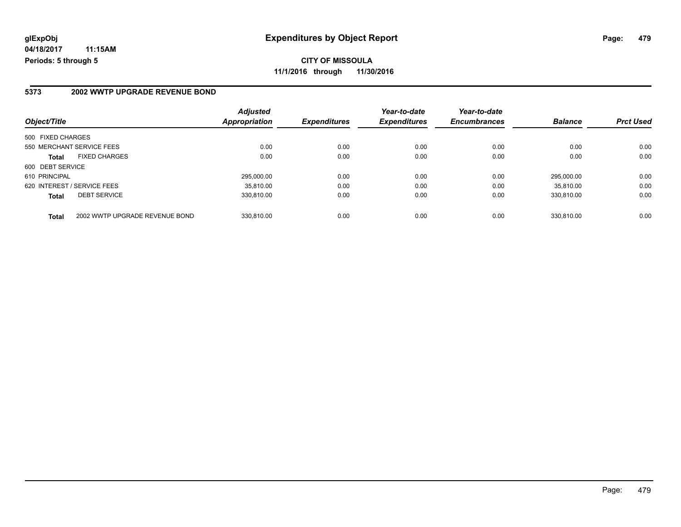#### **5373 2002 WWTP UPGRADE REVENUE BOND**

|                                                | <b>Adjusted</b>      |                     | Year-to-date        | Year-to-date        | <b>Balance</b> |                  |
|------------------------------------------------|----------------------|---------------------|---------------------|---------------------|----------------|------------------|
| Object/Title                                   | <b>Appropriation</b> | <b>Expenditures</b> | <b>Expenditures</b> | <b>Encumbrances</b> |                | <b>Prct Used</b> |
| 500 FIXED CHARGES                              |                      |                     |                     |                     |                |                  |
| 550 MERCHANT SERVICE FEES                      | 0.00                 | 0.00                | 0.00                | 0.00                | 0.00           | 0.00             |
| <b>FIXED CHARGES</b><br><b>Total</b>           | 0.00                 | 0.00                | 0.00                | 0.00                | 0.00           | 0.00             |
| 600 DEBT SERVICE                               |                      |                     |                     |                     |                |                  |
| 610 PRINCIPAL                                  | 295.000.00           | 0.00                | 0.00                | 0.00                | 295.000.00     | 0.00             |
| 620 INTEREST / SERVICE FEES                    | 35.810.00            | 0.00                | 0.00                | 0.00                | 35.810.00      | 0.00             |
| <b>DEBT SERVICE</b><br><b>Total</b>            | 330.810.00           | 0.00                | 0.00                | 0.00                | 330,810.00     | 0.00             |
| 2002 WWTP UPGRADE REVENUE BOND<br><b>Total</b> | 330.810.00           | 0.00                | 0.00                | 0.00                | 330.810.00     | 0.00             |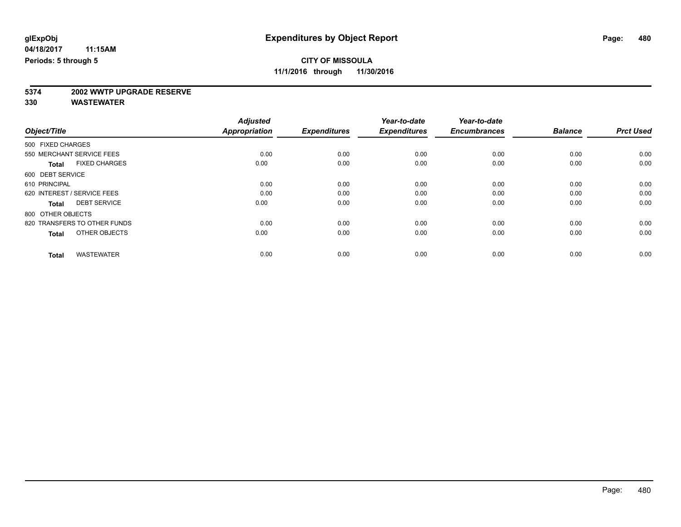# **5374 2002 WWTP UPGRADE RESERVE**

|                                      | <b>Adjusted</b><br><b>Appropriation</b> |                     | Year-to-date<br><b>Expenditures</b> | Year-to-date<br><b>Encumbrances</b> | <b>Balance</b> | <b>Prct Used</b> |
|--------------------------------------|-----------------------------------------|---------------------|-------------------------------------|-------------------------------------|----------------|------------------|
| Object/Title                         |                                         | <b>Expenditures</b> |                                     |                                     |                |                  |
| 500 FIXED CHARGES                    |                                         |                     |                                     |                                     |                |                  |
| 550 MERCHANT SERVICE FEES            | 0.00                                    | 0.00                | 0.00                                | 0.00                                | 0.00           | 0.00             |
| <b>FIXED CHARGES</b><br><b>Total</b> | 0.00                                    | 0.00                | 0.00                                | 0.00                                | 0.00           | 0.00             |
| 600 DEBT SERVICE                     |                                         |                     |                                     |                                     |                |                  |
| 610 PRINCIPAL                        | 0.00                                    | 0.00                | 0.00                                | 0.00                                | 0.00           | 0.00             |
| 620 INTEREST / SERVICE FEES          | 0.00                                    | 0.00                | 0.00                                | 0.00                                | 0.00           | 0.00             |
| <b>DEBT SERVICE</b><br><b>Total</b>  | 0.00                                    | 0.00                | 0.00                                | 0.00                                | 0.00           | 0.00             |
| 800 OTHER OBJECTS                    |                                         |                     |                                     |                                     |                |                  |
| 820 TRANSFERS TO OTHER FUNDS         | 0.00                                    | 0.00                | 0.00                                | 0.00                                | 0.00           | 0.00             |
| OTHER OBJECTS<br><b>Total</b>        | 0.00                                    | 0.00                | 0.00                                | 0.00                                | 0.00           | 0.00             |
|                                      |                                         |                     |                                     |                                     |                |                  |
| <b>WASTEWATER</b><br><b>Total</b>    | 0.00                                    | 0.00                | 0.00                                | 0.00                                | 0.00           | 0.00             |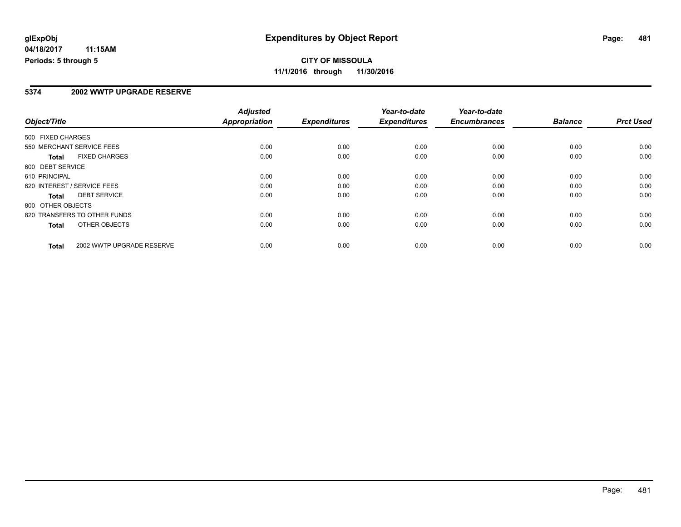# **CITY OF MISSOULA 11/1/2016 through 11/30/2016**

#### **5374 2002 WWTP UPGRADE RESERVE**

|                             |                              | <b>Adjusted</b>      |                     | Year-to-date        | Year-to-date        |                |                  |
|-----------------------------|------------------------------|----------------------|---------------------|---------------------|---------------------|----------------|------------------|
| Object/Title                |                              | <b>Appropriation</b> | <b>Expenditures</b> | <b>Expenditures</b> | <b>Encumbrances</b> | <b>Balance</b> | <b>Prct Used</b> |
| 500 FIXED CHARGES           |                              |                      |                     |                     |                     |                |                  |
| 550 MERCHANT SERVICE FEES   |                              | 0.00                 | 0.00                | 0.00                | 0.00                | 0.00           | 0.00             |
| <b>Total</b>                | <b>FIXED CHARGES</b>         | 0.00                 | 0.00                | 0.00                | 0.00                | 0.00           | 0.00             |
| 600 DEBT SERVICE            |                              |                      |                     |                     |                     |                |                  |
| 610 PRINCIPAL               |                              | 0.00                 | 0.00                | 0.00                | 0.00                | 0.00           | 0.00             |
| 620 INTEREST / SERVICE FEES |                              | 0.00                 | 0.00                | 0.00                | 0.00                | 0.00           | 0.00             |
| Total                       | <b>DEBT SERVICE</b>          | 0.00                 | 0.00                | 0.00                | 0.00                | 0.00           | 0.00             |
| 800 OTHER OBJECTS           |                              |                      |                     |                     |                     |                |                  |
|                             | 820 TRANSFERS TO OTHER FUNDS | 0.00                 | 0.00                | 0.00                | 0.00                | 0.00           | 0.00             |
| <b>Total</b>                | OTHER OBJECTS                | 0.00                 | 0.00                | 0.00                | 0.00                | 0.00           | 0.00             |
| <b>Total</b>                | 2002 WWTP UPGRADE RESERVE    | 0.00                 | 0.00                | 0.00                | 0.00                | 0.00           | 0.00             |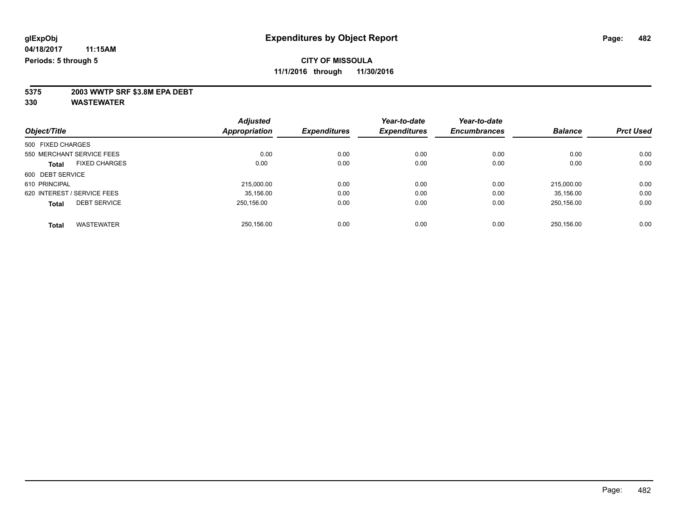# **5375 2003 WWTP SRF \$3.8M EPA DEBT**

| Object/Title                |                      | <b>Adjusted</b>      | <b>Expenditures</b> | Year-to-date<br><b>Expenditures</b> | Year-to-date<br><b>Encumbrances</b> | <b>Balance</b> | <b>Prct Used</b> |
|-----------------------------|----------------------|----------------------|---------------------|-------------------------------------|-------------------------------------|----------------|------------------|
|                             |                      | <b>Appropriation</b> |                     |                                     |                                     |                |                  |
| 500 FIXED CHARGES           |                      |                      |                     |                                     |                                     |                |                  |
| 550 MERCHANT SERVICE FEES   |                      | 0.00                 | 0.00                | 0.00                                | 0.00                                | 0.00           | 0.00             |
| <b>Total</b>                | <b>FIXED CHARGES</b> | 0.00                 | 0.00                | 0.00                                | 0.00                                | 0.00           | 0.00             |
| 600 DEBT SERVICE            |                      |                      |                     |                                     |                                     |                |                  |
| 610 PRINCIPAL               |                      | 215,000.00           | 0.00                | 0.00                                | 0.00                                | 215.000.00     | 0.00             |
| 620 INTEREST / SERVICE FEES |                      | 35.156.00            | 0.00                | 0.00                                | 0.00                                | 35.156.00      | 0.00             |
| <b>Total</b>                | <b>DEBT SERVICE</b>  | 250.156.00           | 0.00                | 0.00                                | 0.00                                | 250.156.00     | 0.00             |
| <b>Total</b>                | <b>WASTEWATER</b>    | 250.156.00           | 0.00                | 0.00                                | 0.00                                | 250.156.00     | 0.00             |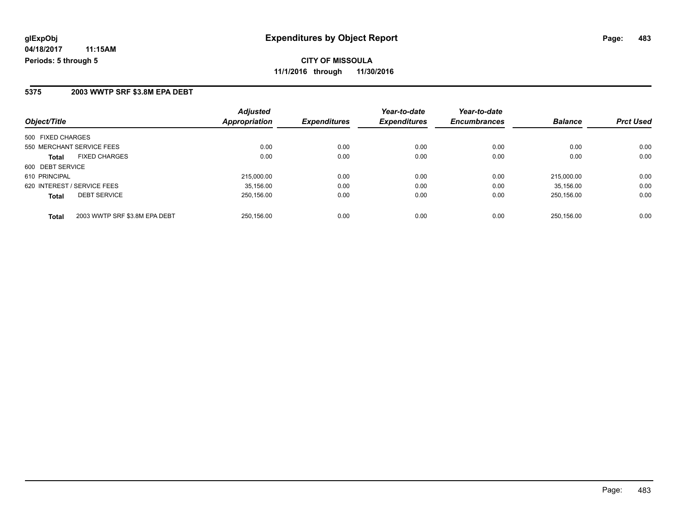# **CITY OF MISSOULA 11/1/2016 through 11/30/2016**

#### **5375 2003 WWTP SRF \$3.8M EPA DEBT**

| Object/Title                                  | <b>Adjusted</b><br>Appropriation | <b>Expenditures</b> | Year-to-date<br><b>Expenditures</b> | Year-to-date<br><b>Encumbrances</b> | <b>Balance</b> | <b>Prct Used</b> |
|-----------------------------------------------|----------------------------------|---------------------|-------------------------------------|-------------------------------------|----------------|------------------|
| 500 FIXED CHARGES                             |                                  |                     |                                     |                                     |                |                  |
| 550 MERCHANT SERVICE FEES                     | 0.00                             | 0.00                | 0.00                                | 0.00                                | 0.00           | 0.00             |
| <b>FIXED CHARGES</b><br><b>Total</b>          | 0.00                             | 0.00                | 0.00                                | 0.00                                | 0.00           | 0.00             |
| 600 DEBT SERVICE                              |                                  |                     |                                     |                                     |                |                  |
| 610 PRINCIPAL                                 | 215,000.00                       | 0.00                | 0.00                                | 0.00                                | 215.000.00     | 0.00             |
| 620 INTEREST / SERVICE FEES                   | 35,156.00                        | 0.00                | 0.00                                | 0.00                                | 35.156.00      | 0.00             |
| <b>DEBT SERVICE</b><br><b>Total</b>           | 250,156.00                       | 0.00                | 0.00                                | 0.00                                | 250.156.00     | 0.00             |
| 2003 WWTP SRF \$3.8M EPA DEBT<br><b>Total</b> | 250.156.00                       | 0.00                | 0.00                                | 0.00                                | 250.156.00     | 0.00             |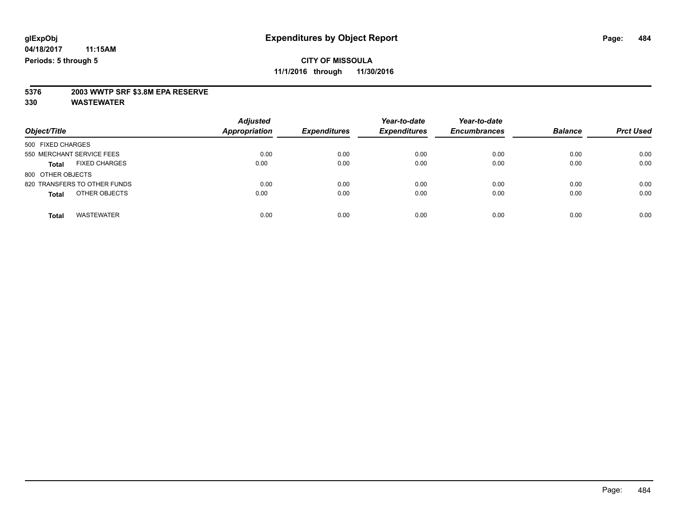# **5376 2003 WWTP SRF \$3.8M EPA RESERVE**

| Object/Title                         | <b>Adjusted</b><br><b>Appropriation</b> | <b>Expenditures</b> | Year-to-date<br><b>Expenditures</b> | Year-to-date<br><b>Encumbrances</b> | <b>Balance</b> | <b>Prct Used</b> |
|--------------------------------------|-----------------------------------------|---------------------|-------------------------------------|-------------------------------------|----------------|------------------|
| 500 FIXED CHARGES                    |                                         |                     |                                     |                                     |                |                  |
| 550 MERCHANT SERVICE FEES            | 0.00                                    | 0.00                | 0.00                                | 0.00                                | 0.00           | 0.00             |
| <b>FIXED CHARGES</b><br><b>Total</b> | 0.00                                    | 0.00                | 0.00                                | 0.00                                | 0.00           | 0.00             |
| 800 OTHER OBJECTS                    |                                         |                     |                                     |                                     |                |                  |
| 820 TRANSFERS TO OTHER FUNDS         | 0.00                                    | 0.00                | 0.00                                | 0.00                                | 0.00           | 0.00             |
| OTHER OBJECTS<br><b>Total</b>        | 0.00                                    | 0.00                | 0.00                                | 0.00                                | 0.00           | 0.00             |
| <b>WASTEWATER</b><br><b>Total</b>    | 0.00                                    | 0.00                | 0.00                                | 0.00                                | 0.00           | 0.00             |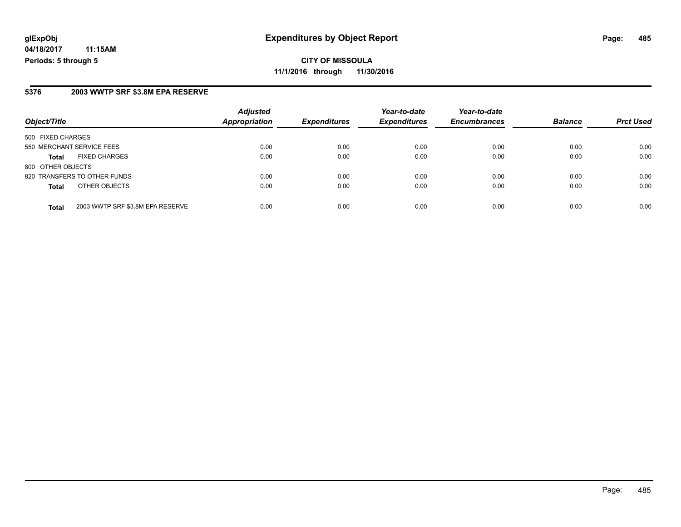#### **5376 2003 WWTP SRF \$3.8M EPA RESERVE**

| Object/Title              |                                  | <b>Adjusted</b><br><b>Appropriation</b> |                     | Year-to-date        | Year-to-date        | <b>Balance</b> |                  |
|---------------------------|----------------------------------|-----------------------------------------|---------------------|---------------------|---------------------|----------------|------------------|
|                           |                                  |                                         | <b>Expenditures</b> | <b>Expenditures</b> | <b>Encumbrances</b> |                | <b>Prct Used</b> |
| 500 FIXED CHARGES         |                                  |                                         |                     |                     |                     |                |                  |
| 550 MERCHANT SERVICE FEES |                                  | 0.00                                    | 0.00                | 0.00                | 0.00                | 0.00           | 0.00             |
| <b>Total</b>              | <b>FIXED CHARGES</b>             | 0.00                                    | 0.00                | 0.00                | 0.00                | 0.00           | 0.00             |
| 800 OTHER OBJECTS         |                                  |                                         |                     |                     |                     |                |                  |
|                           | 820 TRANSFERS TO OTHER FUNDS     | 0.00                                    | 0.00                | 0.00                | 0.00                | 0.00           | 0.00             |
| <b>Total</b>              | OTHER OBJECTS                    | 0.00                                    | 0.00                | 0.00                | 0.00                | 0.00           | 0.00             |
| <b>Total</b>              | 2003 WWTP SRF \$3.8M EPA RESERVE | 0.00                                    | 0.00                | 0.00                | 0.00                | 0.00           | 0.00             |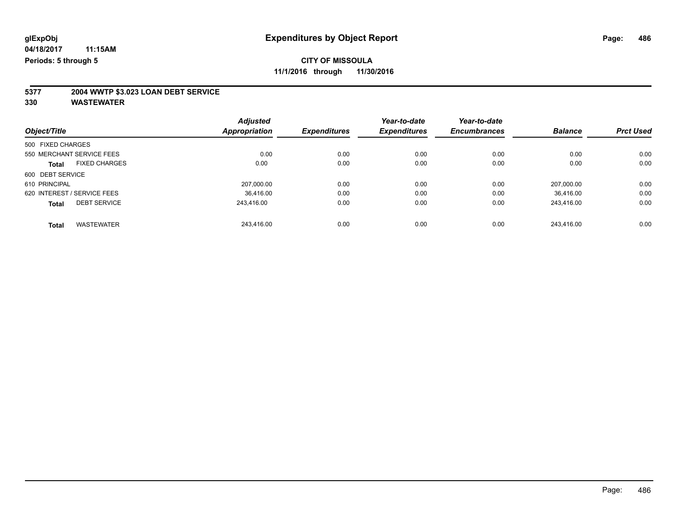# **5377 2004 WWTP \$3.023 LOAN DEBT SERVICE**

|                                      | <b>Adjusted</b>      |                     | Year-to-date        | Year-to-date        |                |                  |
|--------------------------------------|----------------------|---------------------|---------------------|---------------------|----------------|------------------|
| Object/Title                         | <b>Appropriation</b> | <b>Expenditures</b> | <b>Expenditures</b> | <b>Encumbrances</b> | <b>Balance</b> | <b>Prct Used</b> |
| 500 FIXED CHARGES                    |                      |                     |                     |                     |                |                  |
| 550 MERCHANT SERVICE FEES            |                      | 0.00<br>0.00        | 0.00                | 0.00                | 0.00           | 0.00             |
| <b>FIXED CHARGES</b><br><b>Total</b> |                      | 0.00<br>0.00        | 0.00                | 0.00                | 0.00           | 0.00             |
| 600 DEBT SERVICE                     |                      |                     |                     |                     |                |                  |
| 610 PRINCIPAL                        | 207,000.00           | 0.00                | 0.00                | 0.00                | 207.000.00     | 0.00             |
| 620 INTEREST / SERVICE FEES          |                      | 0.00<br>36.416.00   | 0.00                | 0.00                | 36.416.00      | 0.00             |
| <b>DEBT SERVICE</b><br><b>Total</b>  | 243.416.00           | 0.00                | 0.00                | 0.00                | 243.416.00     | 0.00             |
| <b>WASTEWATER</b><br><b>Total</b>    | 243.416.00           | 0.00                | 0.00                | 0.00                | 243.416.00     | 0.00             |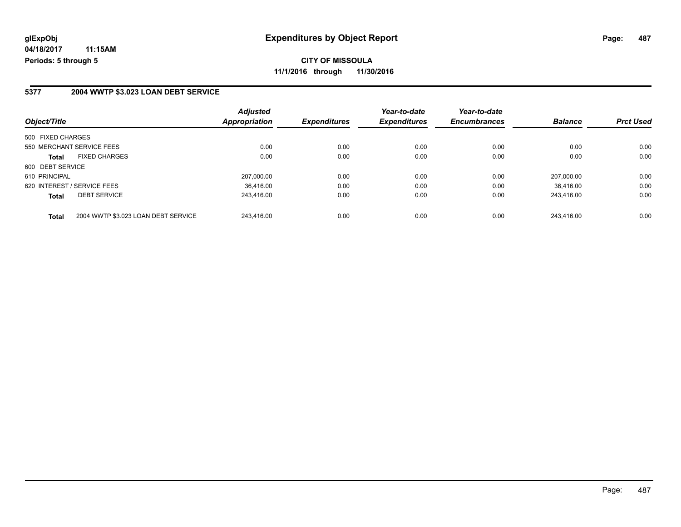#### **5377 2004 WWTP \$3.023 LOAN DEBT SERVICE**

|                                                     | <b>Adjusted</b>      |                     | Year-to-date        | Year-to-date        |                |                  |
|-----------------------------------------------------|----------------------|---------------------|---------------------|---------------------|----------------|------------------|
| Object/Title                                        | <b>Appropriation</b> | <b>Expenditures</b> | <b>Expenditures</b> | <b>Encumbrances</b> | <b>Balance</b> | <b>Prct Used</b> |
| 500 FIXED CHARGES                                   |                      |                     |                     |                     |                |                  |
| 550 MERCHANT SERVICE FEES                           | 0.00                 | 0.00                | 0.00                | 0.00                | 0.00           | 0.00             |
| <b>FIXED CHARGES</b><br><b>Total</b>                | 0.00                 | 0.00                | 0.00                | 0.00                | 0.00           | 0.00             |
| 600 DEBT SERVICE                                    |                      |                     |                     |                     |                |                  |
| 610 PRINCIPAL                                       | 207,000.00           | 0.00                | 0.00                | 0.00                | 207.000.00     | 0.00             |
| 620 INTEREST / SERVICE FEES                         | 36.416.00            | 0.00                | 0.00                | 0.00                | 36.416.00      | 0.00             |
| <b>DEBT SERVICE</b><br><b>Total</b>                 | 243.416.00           | 0.00                | 0.00                | 0.00                | 243.416.00     | 0.00             |
| 2004 WWTP \$3.023 LOAN DEBT SERVICE<br><b>Total</b> | 243.416.00           | 0.00                | 0.00                | 0.00                | 243.416.00     | 0.00             |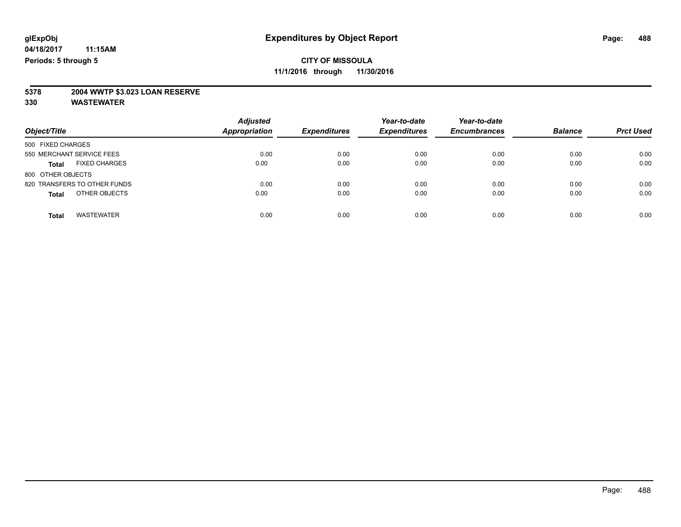# **5378 2004 WWTP \$3.023 LOAN RESERVE**

| Object/Title                         | <b>Adjusted</b><br><b>Appropriation</b> | <b>Expenditures</b> | Year-to-date<br><b>Expenditures</b> | Year-to-date<br><b>Encumbrances</b> | <b>Balance</b> | <b>Prct Used</b> |
|--------------------------------------|-----------------------------------------|---------------------|-------------------------------------|-------------------------------------|----------------|------------------|
| 500 FIXED CHARGES                    |                                         |                     |                                     |                                     |                |                  |
| 550 MERCHANT SERVICE FEES            | 0.00                                    | 0.00                | 0.00                                | 0.00                                | 0.00           | 0.00             |
| <b>FIXED CHARGES</b><br><b>Total</b> | 0.00                                    | 0.00                | 0.00                                | 0.00                                | 0.00           | 0.00             |
| 800 OTHER OBJECTS                    |                                         |                     |                                     |                                     |                |                  |
| 820 TRANSFERS TO OTHER FUNDS         | 0.00                                    | 0.00                | 0.00                                | 0.00                                | 0.00           | 0.00             |
| OTHER OBJECTS<br><b>Total</b>        | 0.00                                    | 0.00                | 0.00                                | 0.00                                | 0.00           | 0.00             |
|                                      |                                         |                     |                                     |                                     |                |                  |
| <b>WASTEWATER</b><br>Total           | 0.00                                    | 0.00                | 0.00                                | 0.00                                | 0.00           | 0.00             |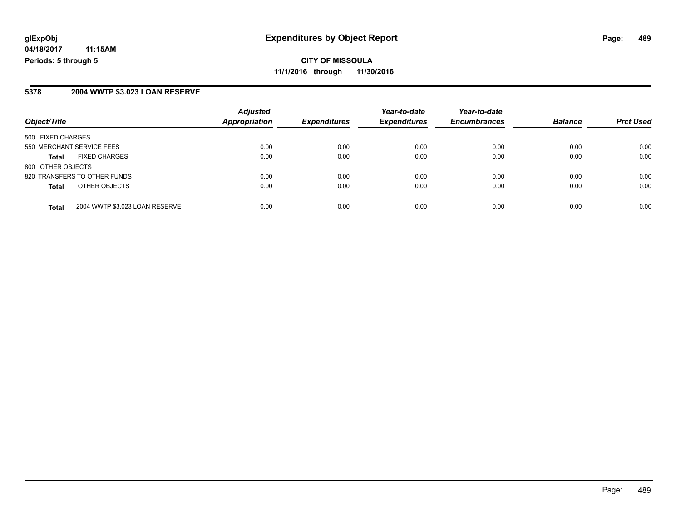#### **5378 2004 WWTP \$3.023 LOAN RESERVE**

|                           |                                | <b>Adjusted</b>      |                     | Year-to-date        | Year-to-date        |                |                  |
|---------------------------|--------------------------------|----------------------|---------------------|---------------------|---------------------|----------------|------------------|
| Object/Title              |                                | <b>Appropriation</b> | <b>Expenditures</b> | <b>Expenditures</b> | <b>Encumbrances</b> | <b>Balance</b> | <b>Prct Used</b> |
| 500 FIXED CHARGES         |                                |                      |                     |                     |                     |                |                  |
| 550 MERCHANT SERVICE FEES |                                | 0.00                 | 0.00                | 0.00                | 0.00                | 0.00           | 0.00             |
| <b>Total</b>              | <b>FIXED CHARGES</b>           | 0.00                 | 0.00                | 0.00                | 0.00                | 0.00           | 0.00             |
| 800 OTHER OBJECTS         |                                |                      |                     |                     |                     |                |                  |
|                           | 820 TRANSFERS TO OTHER FUNDS   | 0.00                 | 0.00                | 0.00                | 0.00                | 0.00           | 0.00             |
| <b>Total</b>              | OTHER OBJECTS                  | 0.00                 | 0.00                | 0.00                | 0.00                | 0.00           | 0.00             |
| <b>Total</b>              | 2004 WWTP \$3.023 LOAN RESERVE | 0.00                 | 0.00                | 0.00                | 0.00                | 0.00           | 0.00             |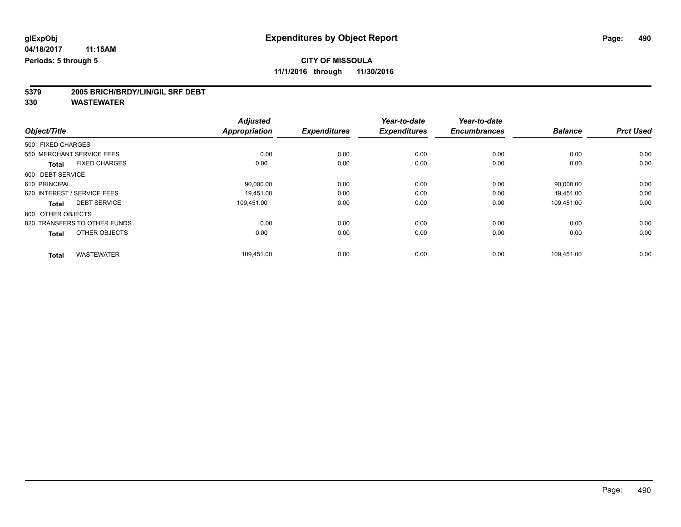# **5379 2005 BRICH/BRDY/LIN/GIL SRF DEBT**

|                                      | <b>Adjusted</b>      |                     | Year-to-date        | Year-to-date        |                |                  |
|--------------------------------------|----------------------|---------------------|---------------------|---------------------|----------------|------------------|
| Object/Title                         | <b>Appropriation</b> | <b>Expenditures</b> | <b>Expenditures</b> | <b>Encumbrances</b> | <b>Balance</b> | <b>Prct Used</b> |
| 500 FIXED CHARGES                    |                      |                     |                     |                     |                |                  |
| 550 MERCHANT SERVICE FEES            | 0.00                 | 0.00                | 0.00                | 0.00                | 0.00           | 0.00             |
| <b>FIXED CHARGES</b><br><b>Total</b> | 0.00                 | 0.00                | 0.00                | 0.00                | 0.00           | 0.00             |
| 600 DEBT SERVICE                     |                      |                     |                     |                     |                |                  |
| 610 PRINCIPAL                        | 90,000.00            | 0.00                | 0.00                | 0.00                | 90,000.00      | 0.00             |
| 620 INTEREST / SERVICE FEES          | 19.451.00            | 0.00                | 0.00                | 0.00                | 19.451.00      | 0.00             |
| <b>DEBT SERVICE</b><br><b>Total</b>  | 109.451.00           | 0.00                | 0.00                | 0.00                | 109.451.00     | 0.00             |
| 800 OTHER OBJECTS                    |                      |                     |                     |                     |                |                  |
| 820 TRANSFERS TO OTHER FUNDS         | 0.00                 | 0.00                | 0.00                | 0.00                | 0.00           | 0.00             |
| OTHER OBJECTS<br><b>Total</b>        | 0.00                 | 0.00                | 0.00                | 0.00                | 0.00           | 0.00             |
| <b>WASTEWATER</b>                    | 109,451.00           | 0.00                | 0.00                | 0.00                | 109,451.00     | 0.00             |
| <b>Total</b>                         |                      |                     |                     |                     |                |                  |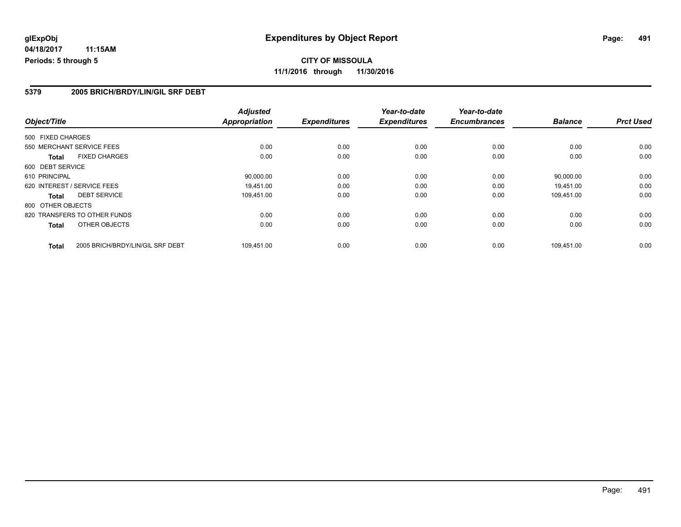### **5379 2005 BRICH/BRDY/LIN/GIL SRF DEBT**

|                              |                                  | <b>Adjusted</b>      |                     | Year-to-date        | Year-to-date        |                |                  |
|------------------------------|----------------------------------|----------------------|---------------------|---------------------|---------------------|----------------|------------------|
| Object/Title                 |                                  | <b>Appropriation</b> | <b>Expenditures</b> | <b>Expenditures</b> | <b>Encumbrances</b> | <b>Balance</b> | <b>Prct Used</b> |
| 500 FIXED CHARGES            |                                  |                      |                     |                     |                     |                |                  |
| 550 MERCHANT SERVICE FEES    |                                  | 0.00                 | 0.00                | 0.00                | 0.00                | 0.00           | 0.00             |
| Total                        | <b>FIXED CHARGES</b>             | 0.00                 | 0.00                | 0.00                | 0.00                | 0.00           | 0.00             |
| 600 DEBT SERVICE             |                                  |                      |                     |                     |                     |                |                  |
| 610 PRINCIPAL                |                                  | 90,000.00            | 0.00                | 0.00                | 0.00                | 90.000.00      | 0.00             |
| 620 INTEREST / SERVICE FEES  |                                  | 19.451.00            | 0.00                | 0.00                | 0.00                | 19,451.00      | 0.00             |
| <b>DEBT SERVICE</b><br>Total |                                  | 109.451.00           | 0.00                | 0.00                | 0.00                | 109.451.00     | 0.00             |
| 800 OTHER OBJECTS            |                                  |                      |                     |                     |                     |                |                  |
| 820 TRANSFERS TO OTHER FUNDS |                                  | 0.00                 | 0.00                | 0.00                | 0.00                | 0.00           | 0.00             |
| Total                        | OTHER OBJECTS                    | 0.00                 | 0.00                | 0.00                | 0.00                | 0.00           | 0.00             |
| <b>Total</b>                 | 2005 BRICH/BRDY/LIN/GIL SRF DEBT | 109.451.00           | 0.00                | 0.00                | 0.00                | 109.451.00     | 0.00             |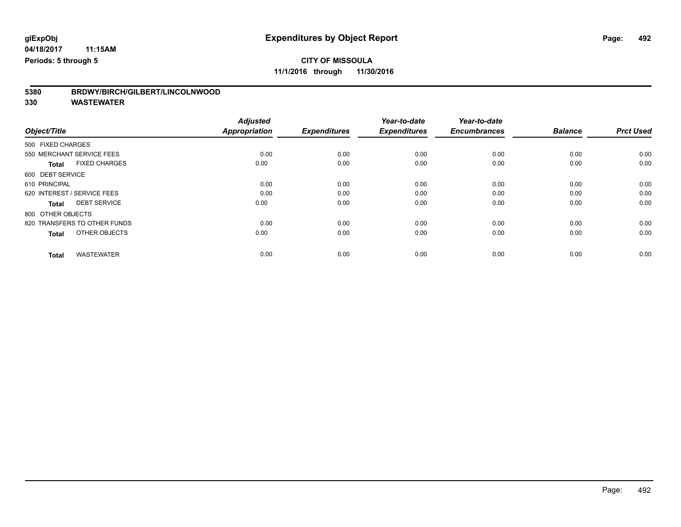# **5380 BRDWY/BIRCH/GILBERT/LINCOLNWOOD**

|                                      | <b>Adjusted</b> |                     | Year-to-date        | Year-to-date        |                |                  |
|--------------------------------------|-----------------|---------------------|---------------------|---------------------|----------------|------------------|
| Object/Title                         | Appropriation   | <b>Expenditures</b> | <b>Expenditures</b> | <b>Encumbrances</b> | <b>Balance</b> | <b>Prct Used</b> |
| 500 FIXED CHARGES                    |                 |                     |                     |                     |                |                  |
| 550 MERCHANT SERVICE FEES            | 0.00            | 0.00                | 0.00                | 0.00                | 0.00           | 0.00             |
| <b>FIXED CHARGES</b><br><b>Total</b> | 0.00            | 0.00                | 0.00                | 0.00                | 0.00           | 0.00             |
| 600 DEBT SERVICE                     |                 |                     |                     |                     |                |                  |
| 610 PRINCIPAL                        | 0.00            | 0.00                | 0.00                | 0.00                | 0.00           | 0.00             |
| 620 INTEREST / SERVICE FEES          | 0.00            | 0.00                | 0.00                | 0.00                | 0.00           | 0.00             |
| <b>DEBT SERVICE</b><br><b>Total</b>  | 0.00            | 0.00                | 0.00                | 0.00                | 0.00           | 0.00             |
| 800 OTHER OBJECTS                    |                 |                     |                     |                     |                |                  |
| 820 TRANSFERS TO OTHER FUNDS         | 0.00            | 0.00                | 0.00                | 0.00                | 0.00           | 0.00             |
| OTHER OBJECTS<br><b>Total</b>        | 0.00            | 0.00                | 0.00                | 0.00                | 0.00           | 0.00             |
|                                      |                 |                     |                     |                     |                |                  |
| <b>WASTEWATER</b><br><b>Total</b>    | 0.00            | 0.00                | 0.00                | 0.00                | 0.00           | 0.00             |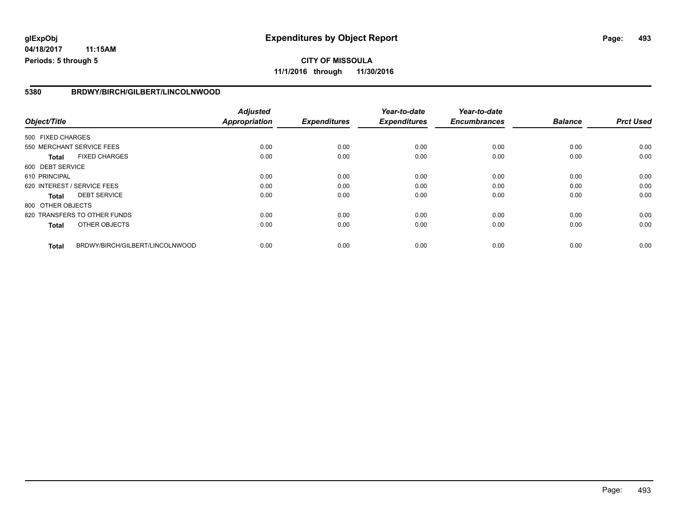# **CITY OF MISSOULA 11/1/2016 through 11/30/2016**

### **5380 BRDWY/BIRCH/GILBERT/LINCOLNWOOD**

|                   |                                 | <b>Adjusted</b> |                     | Year-to-date        | Year-to-date        |                |                  |
|-------------------|---------------------------------|-----------------|---------------------|---------------------|---------------------|----------------|------------------|
| Object/Title      |                                 | Appropriation   | <b>Expenditures</b> | <b>Expenditures</b> | <b>Encumbrances</b> | <b>Balance</b> | <b>Prct Used</b> |
| 500 FIXED CHARGES |                                 |                 |                     |                     |                     |                |                  |
|                   | 550 MERCHANT SERVICE FEES       | 0.00            | 0.00                | 0.00                | 0.00                | 0.00           | 0.00             |
| <b>Total</b>      | <b>FIXED CHARGES</b>            | 0.00            | 0.00                | 0.00                | 0.00                | 0.00           | 0.00             |
| 600 DEBT SERVICE  |                                 |                 |                     |                     |                     |                |                  |
| 610 PRINCIPAL     |                                 | 0.00            | 0.00                | 0.00                | 0.00                | 0.00           | 0.00             |
|                   | 620 INTEREST / SERVICE FEES     | 0.00            | 0.00                | 0.00                | 0.00                | 0.00           | 0.00             |
| <b>Total</b>      | <b>DEBT SERVICE</b>             | 0.00            | 0.00                | 0.00                | 0.00                | 0.00           | 0.00             |
| 800 OTHER OBJECTS |                                 |                 |                     |                     |                     |                |                  |
|                   | 820 TRANSFERS TO OTHER FUNDS    | 0.00            | 0.00                | 0.00                | 0.00                | 0.00           | 0.00             |
| <b>Total</b>      | OTHER OBJECTS                   | 0.00            | 0.00                | 0.00                | 0.00                | 0.00           | 0.00             |
| <b>Total</b>      | BRDWY/BIRCH/GILBERT/LINCOLNWOOD | 0.00            | 0.00                | 0.00                | 0.00                | 0.00           | 0.00             |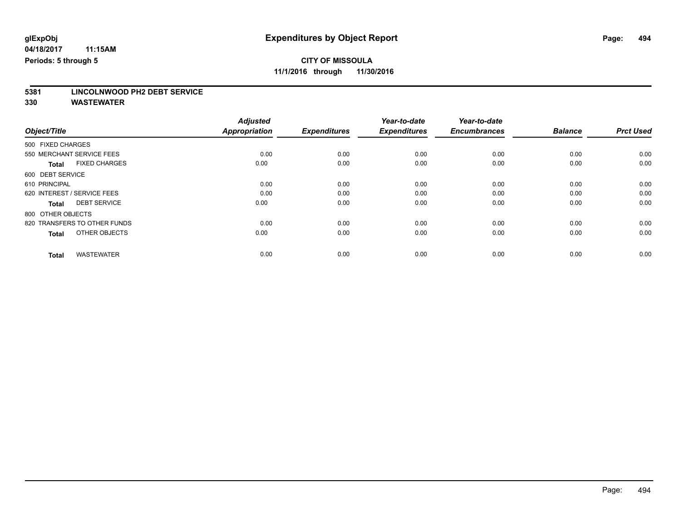# **5381 LINCOLNWOOD PH2 DEBT SERVICE**

|                                      | <b>Adjusted</b>      |                     | Year-to-date        | Year-to-date        |                |                  |
|--------------------------------------|----------------------|---------------------|---------------------|---------------------|----------------|------------------|
| Object/Title                         | <b>Appropriation</b> | <b>Expenditures</b> | <b>Expenditures</b> | <b>Encumbrances</b> | <b>Balance</b> | <b>Prct Used</b> |
| 500 FIXED CHARGES                    |                      |                     |                     |                     |                |                  |
| 550 MERCHANT SERVICE FEES            | 0.00                 | 0.00                | 0.00                | 0.00                | 0.00           | 0.00             |
| <b>FIXED CHARGES</b><br><b>Total</b> | 0.00                 | 0.00                | 0.00                | 0.00                | 0.00           | 0.00             |
| 600 DEBT SERVICE                     |                      |                     |                     |                     |                |                  |
| 610 PRINCIPAL                        | 0.00                 | 0.00                | 0.00                | 0.00                | 0.00           | 0.00             |
| 620 INTEREST / SERVICE FEES          | 0.00                 | 0.00                | 0.00                | 0.00                | 0.00           | 0.00             |
| <b>DEBT SERVICE</b><br><b>Total</b>  | 0.00                 | 0.00                | 0.00                | 0.00                | 0.00           | 0.00             |
| 800 OTHER OBJECTS                    |                      |                     |                     |                     |                |                  |
| 820 TRANSFERS TO OTHER FUNDS         | 0.00                 | 0.00                | 0.00                | 0.00                | 0.00           | 0.00             |
| OTHER OBJECTS<br><b>Total</b>        | 0.00                 | 0.00                | 0.00                | 0.00                | 0.00           | 0.00             |
|                                      |                      |                     |                     |                     |                |                  |
| <b>WASTEWATER</b><br><b>Total</b>    | 0.00                 | 0.00                | 0.00                | 0.00                | 0.00           | 0.00             |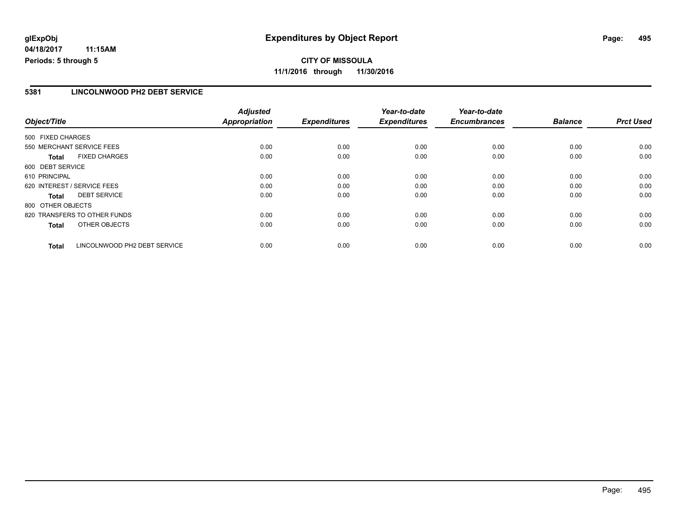# **CITY OF MISSOULA 11/1/2016 through 11/30/2016**

### **5381 LINCOLNWOOD PH2 DEBT SERVICE**

|                   |                              | <b>Adjusted</b> |                     | Year-to-date        | Year-to-date        |                |                  |
|-------------------|------------------------------|-----------------|---------------------|---------------------|---------------------|----------------|------------------|
| Object/Title      |                              | Appropriation   | <b>Expenditures</b> | <b>Expenditures</b> | <b>Encumbrances</b> | <b>Balance</b> | <b>Prct Used</b> |
| 500 FIXED CHARGES |                              |                 |                     |                     |                     |                |                  |
|                   | 550 MERCHANT SERVICE FEES    | 0.00            | 0.00                | 0.00                | 0.00                | 0.00           | 0.00             |
| <b>Total</b>      | <b>FIXED CHARGES</b>         | 0.00            | 0.00                | 0.00                | 0.00                | 0.00           | 0.00             |
| 600 DEBT SERVICE  |                              |                 |                     |                     |                     |                |                  |
| 610 PRINCIPAL     |                              | 0.00            | 0.00                | 0.00                | 0.00                | 0.00           | 0.00             |
|                   | 620 INTEREST / SERVICE FEES  | 0.00            | 0.00                | 0.00                | 0.00                | 0.00           | 0.00             |
| <b>Total</b>      | <b>DEBT SERVICE</b>          | 0.00            | 0.00                | 0.00                | 0.00                | 0.00           | 0.00             |
| 800 OTHER OBJECTS |                              |                 |                     |                     |                     |                |                  |
|                   | 820 TRANSFERS TO OTHER FUNDS | 0.00            | 0.00                | 0.00                | 0.00                | 0.00           | 0.00             |
| <b>Total</b>      | OTHER OBJECTS                | 0.00            | 0.00                | 0.00                | 0.00                | 0.00           | 0.00             |
| <b>Total</b>      | LINCOLNWOOD PH2 DEBT SERVICE | 0.00            | 0.00                | 0.00                | 0.00                | 0.00           | 0.00             |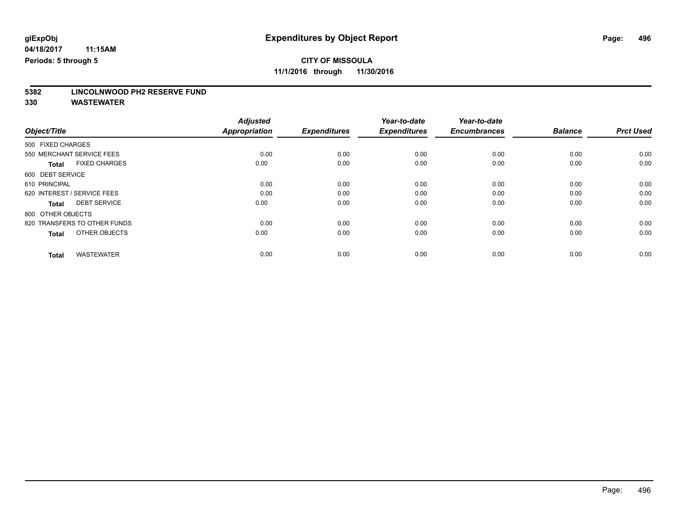# **5382 LINCOLNWOOD PH2 RESERVE FUND**

|                                      | <b>Adjusted</b>      | <b>Expenditures</b> | Year-to-date<br><b>Expenditures</b> | Year-to-date<br><b>Encumbrances</b> | <b>Balance</b> | <b>Prct Used</b> |
|--------------------------------------|----------------------|---------------------|-------------------------------------|-------------------------------------|----------------|------------------|
| Object/Title                         | <b>Appropriation</b> |                     |                                     |                                     |                |                  |
| 500 FIXED CHARGES                    |                      |                     |                                     |                                     |                |                  |
| 550 MERCHANT SERVICE FEES            | 0.00                 | 0.00                | 0.00                                | 0.00                                | 0.00           | 0.00             |
| <b>FIXED CHARGES</b><br><b>Total</b> | 0.00                 | 0.00                | 0.00                                | 0.00                                | 0.00           | 0.00             |
| 600 DEBT SERVICE                     |                      |                     |                                     |                                     |                |                  |
| 610 PRINCIPAL                        | 0.00                 | 0.00                | 0.00                                | 0.00                                | 0.00           | 0.00             |
| 620 INTEREST / SERVICE FEES          | 0.00                 | 0.00                | 0.00                                | 0.00                                | 0.00           | 0.00             |
| <b>DEBT SERVICE</b><br><b>Total</b>  | 0.00                 | 0.00                | 0.00                                | 0.00                                | 0.00           | 0.00             |
| 800 OTHER OBJECTS                    |                      |                     |                                     |                                     |                |                  |
| 820 TRANSFERS TO OTHER FUNDS         | 0.00                 | 0.00                | 0.00                                | 0.00                                | 0.00           | 0.00             |
| OTHER OBJECTS<br><b>Total</b>        | 0.00                 | 0.00                | 0.00                                | 0.00                                | 0.00           | 0.00             |
|                                      |                      |                     |                                     |                                     |                |                  |
| <b>WASTEWATER</b><br><b>Total</b>    | 0.00                 | 0.00                | 0.00                                | 0.00                                | 0.00           | 0.00             |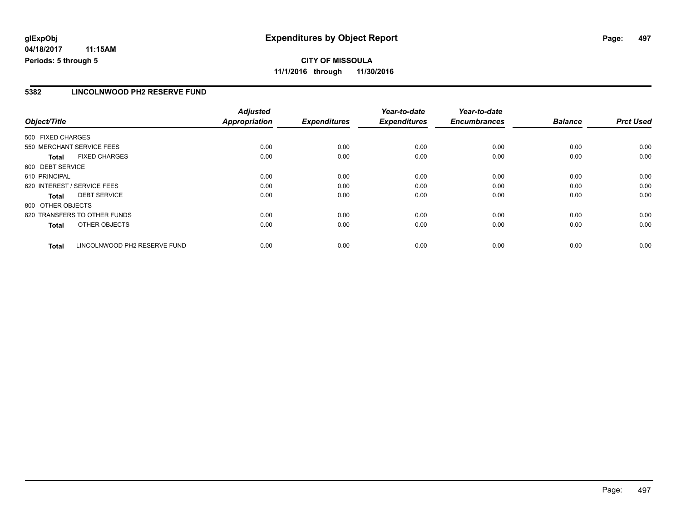**CITY OF MISSOULA 11/1/2016 through 11/30/2016**

#### **5382 LINCOLNWOOD PH2 RESERVE FUND**

|                   |                              | <b>Adjusted</b>      |                     | Year-to-date        | Year-to-date        |                |                  |
|-------------------|------------------------------|----------------------|---------------------|---------------------|---------------------|----------------|------------------|
| Object/Title      |                              | <b>Appropriation</b> | <b>Expenditures</b> | <b>Expenditures</b> | <b>Encumbrances</b> | <b>Balance</b> | <b>Prct Used</b> |
| 500 FIXED CHARGES |                              |                      |                     |                     |                     |                |                  |
|                   | 550 MERCHANT SERVICE FEES    | 0.00                 | 0.00                | 0.00                | 0.00                | 0.00           | 0.00             |
| <b>Total</b>      | <b>FIXED CHARGES</b>         | 0.00                 | 0.00                | 0.00                | 0.00                | 0.00           | 0.00             |
| 600 DEBT SERVICE  |                              |                      |                     |                     |                     |                |                  |
| 610 PRINCIPAL     |                              | 0.00                 | 0.00                | 0.00                | 0.00                | 0.00           | 0.00             |
|                   | 620 INTEREST / SERVICE FEES  | 0.00                 | 0.00                | 0.00                | 0.00                | 0.00           | 0.00             |
| Total             | <b>DEBT SERVICE</b>          | 0.00                 | 0.00                | 0.00                | 0.00                | 0.00           | 0.00             |
| 800 OTHER OBJECTS |                              |                      |                     |                     |                     |                |                  |
|                   | 820 TRANSFERS TO OTHER FUNDS | 0.00                 | 0.00                | 0.00                | 0.00                | 0.00           | 0.00             |
| <b>Total</b>      | OTHER OBJECTS                | 0.00                 | 0.00                | 0.00                | 0.00                | 0.00           | 0.00             |
| <b>Total</b>      | LINCOLNWOOD PH2 RESERVE FUND | 0.00                 | 0.00                | 0.00                | 0.00                | 0.00           | 0.00             |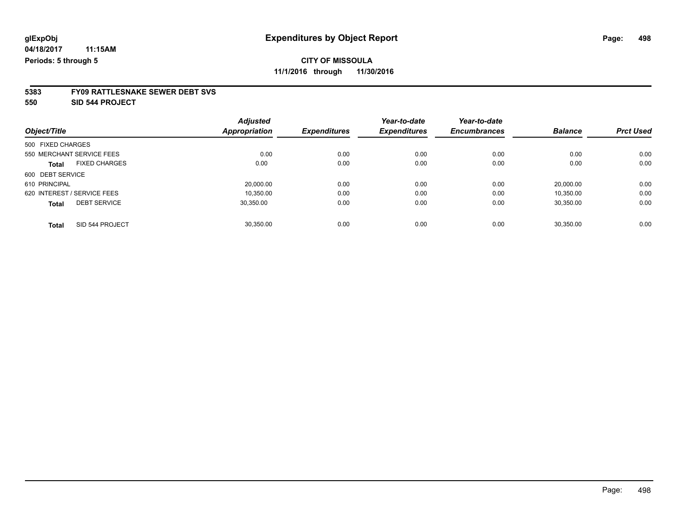# **5383 FY09 RATTLESNAKE SEWER DEBT SVS**

**550 SID 544 PROJECT**

|                             |                      | <b>Adjusted</b>      |                     | Year-to-date        | Year-to-date        |                |                  |
|-----------------------------|----------------------|----------------------|---------------------|---------------------|---------------------|----------------|------------------|
| Object/Title                |                      | <b>Appropriation</b> | <b>Expenditures</b> | <b>Expenditures</b> | <b>Encumbrances</b> | <b>Balance</b> | <b>Prct Used</b> |
| 500 FIXED CHARGES           |                      |                      |                     |                     |                     |                |                  |
| 550 MERCHANT SERVICE FEES   |                      | 0.00                 | 0.00                | 0.00                | 0.00                | 0.00           | 0.00             |
| <b>Total</b>                | <b>FIXED CHARGES</b> | 0.00                 | 0.00                | 0.00                | 0.00                | 0.00           | 0.00             |
| 600 DEBT SERVICE            |                      |                      |                     |                     |                     |                |                  |
| 610 PRINCIPAL               |                      | 20.000.00            | 0.00                | 0.00                | 0.00                | 20.000.00      | 0.00             |
| 620 INTEREST / SERVICE FEES |                      | 10.350.00            | 0.00                | 0.00                | 0.00                | 10.350.00      | 0.00             |
| <b>Total</b>                | <b>DEBT SERVICE</b>  | 30.350.00            | 0.00                | 0.00                | 0.00                | 30.350.00      | 0.00             |
| <b>Total</b>                | SID 544 PROJECT      | 30.350.00            | 0.00                | 0.00                | 0.00                | 30.350.00      | 0.00             |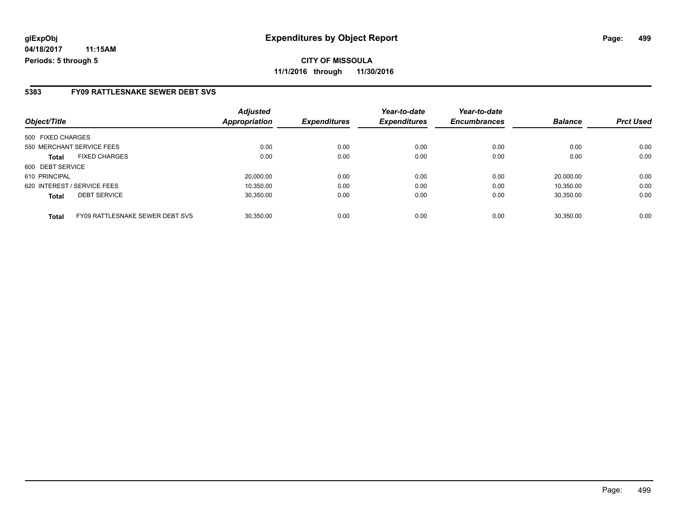**CITY OF MISSOULA 11/1/2016 through 11/30/2016**

#### **5383 FY09 RATTLESNAKE SEWER DEBT SVS**

| Object/Title                |                                        | <b>Adjusted</b><br>Appropriation | <b>Expenditures</b> | Year-to-date<br><b>Expenditures</b> | Year-to-date<br><b>Encumbrances</b> | <b>Balance</b> | <b>Prct Used</b> |
|-----------------------------|----------------------------------------|----------------------------------|---------------------|-------------------------------------|-------------------------------------|----------------|------------------|
| 500 FIXED CHARGES           |                                        |                                  |                     |                                     |                                     |                |                  |
| 550 MERCHANT SERVICE FEES   |                                        | 0.00                             | 0.00                | 0.00                                | 0.00                                | 0.00           | 0.00             |
| <b>Total</b>                | <b>FIXED CHARGES</b>                   | 0.00                             | 0.00                | 0.00                                | 0.00                                | 0.00           | 0.00             |
| 600 DEBT SERVICE            |                                        |                                  |                     |                                     |                                     |                |                  |
| 610 PRINCIPAL               |                                        | 20.000.00                        | 0.00                | 0.00                                | 0.00                                | 20.000.00      | 0.00             |
| 620 INTEREST / SERVICE FEES |                                        | 10.350.00                        | 0.00                | 0.00                                | 0.00                                | 10,350.00      | 0.00             |
| <b>Total</b>                | <b>DEBT SERVICE</b>                    | 30,350.00                        | 0.00                | 0.00                                | 0.00                                | 30,350.00      | 0.00             |
| <b>Total</b>                | <b>FY09 RATTLESNAKE SEWER DEBT SVS</b> | 30.350.00                        | 0.00                | 0.00                                | 0.00                                | 30.350.00      | 0.00             |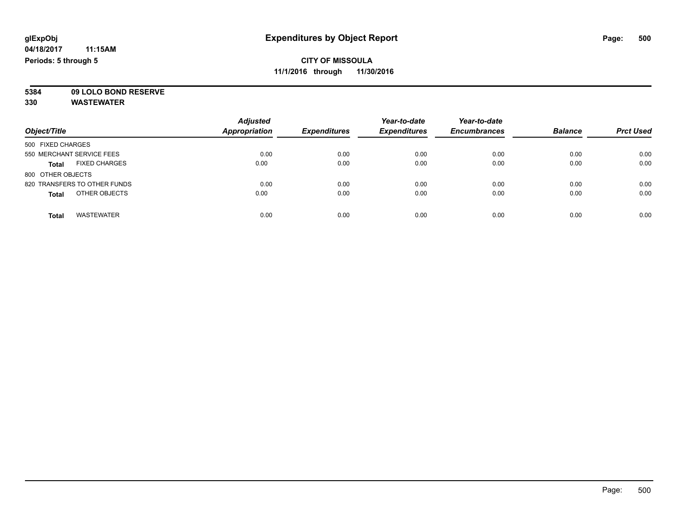**5384 09 LOLO BOND RESERVE**

|                                      | <b>Adjusted</b>      |                     | Year-to-date<br><b>Expenditures</b> | Year-to-date        | <b>Balance</b> |                  |
|--------------------------------------|----------------------|---------------------|-------------------------------------|---------------------|----------------|------------------|
| Object/Title                         | <b>Appropriation</b> | <b>Expenditures</b> |                                     | <b>Encumbrances</b> |                | <b>Prct Used</b> |
| 500 FIXED CHARGES                    |                      |                     |                                     |                     |                |                  |
| 550 MERCHANT SERVICE FEES            | 0.00                 | 0.00                | 0.00                                | 0.00                | 0.00           | 0.00             |
| <b>FIXED CHARGES</b><br><b>Total</b> | 0.00                 | 0.00                | 0.00                                | 0.00                | 0.00           | 0.00             |
| 800 OTHER OBJECTS                    |                      |                     |                                     |                     |                |                  |
| 820 TRANSFERS TO OTHER FUNDS         | 0.00                 | 0.00                | 0.00                                | 0.00                | 0.00           | 0.00             |
| OTHER OBJECTS<br><b>Total</b>        | 0.00                 | 0.00                | 0.00                                | 0.00                | 0.00           | 0.00             |
| <b>WASTEWATER</b><br><b>Total</b>    | 0.00                 | 0.00                | 0.00                                | 0.00                | 0.00           | 0.00             |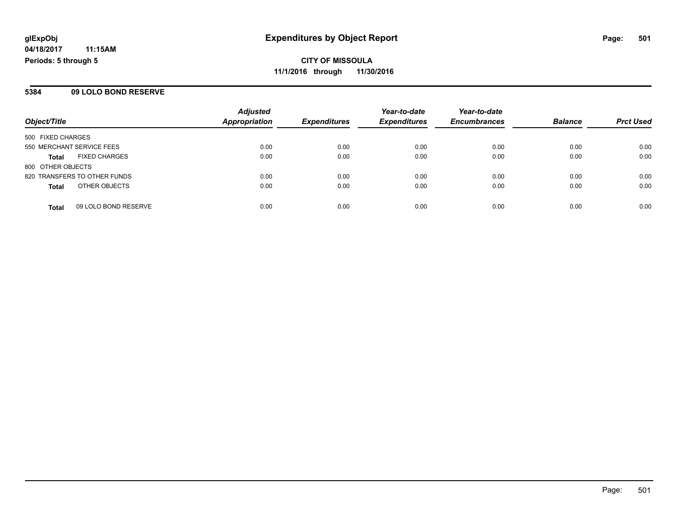#### **5384 09 LOLO BOND RESERVE**

| Object/Title              |                              | <b>Adjusted</b><br><b>Appropriation</b> | <b>Expenditures</b> | Year-to-date<br><b>Expenditures</b> | Year-to-date<br><b>Encumbrances</b> | <b>Balance</b> | <b>Prct Used</b> |
|---------------------------|------------------------------|-----------------------------------------|---------------------|-------------------------------------|-------------------------------------|----------------|------------------|
|                           |                              |                                         |                     |                                     |                                     |                |                  |
| 550 MERCHANT SERVICE FEES |                              | 0.00                                    | 0.00                | 0.00                                | 0.00                                | 0.00           | 0.00             |
| <b>Total</b>              | <b>FIXED CHARGES</b>         | 0.00                                    | 0.00                | 0.00                                | 0.00                                | 0.00           | 0.00             |
| 800 OTHER OBJECTS         |                              |                                         |                     |                                     |                                     |                |                  |
|                           | 820 TRANSFERS TO OTHER FUNDS | 0.00                                    | 0.00                | 0.00                                | 0.00                                | 0.00           | 0.00             |
| <b>Total</b>              | OTHER OBJECTS                | 0.00                                    | 0.00                | 0.00                                | 0.00                                | 0.00           | 0.00             |
| <b>Total</b>              | 09 LOLO BOND RESERVE         | 0.00                                    | 0.00                | 0.00                                | 0.00                                | 0.00           | 0.00             |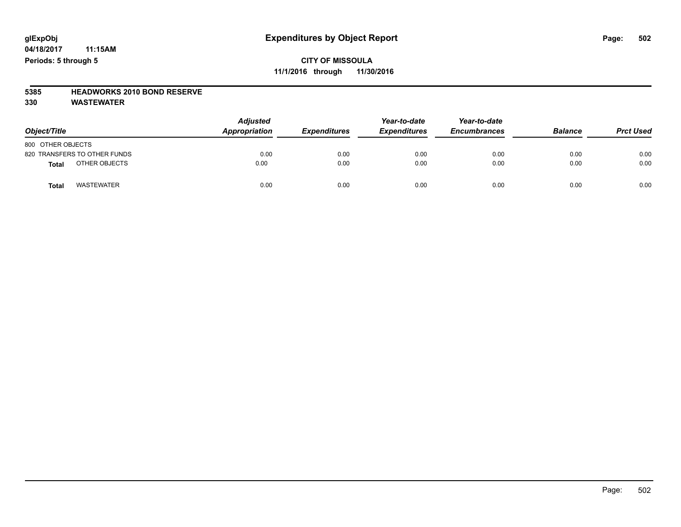# **5385 HEADWORKS 2010 BOND RESERVE**

| Object/Title                      | <b>Adjusted</b><br>Appropriation | <b>Expenditures</b> | Year-to-date<br><b>Expenditures</b> | Year-to-date<br><b>Encumbrances</b> | <b>Balance</b> | <b>Prct Used</b> |
|-----------------------------------|----------------------------------|---------------------|-------------------------------------|-------------------------------------|----------------|------------------|
| 800 OTHER OBJECTS                 |                                  |                     |                                     |                                     |                |                  |
| 820 TRANSFERS TO OTHER FUNDS      | 0.00                             | 0.00                | 0.00                                | 0.00                                | 0.00           | 0.00             |
| OTHER OBJECTS<br><b>Total</b>     | 0.00                             | 0.00                | 0.00                                | 0.00                                | 0.00           | 0.00             |
| <b>WASTEWATER</b><br><b>Total</b> | 0.00                             | 0.00                | 0.00                                | 0.00                                | 0.00           | 0.00             |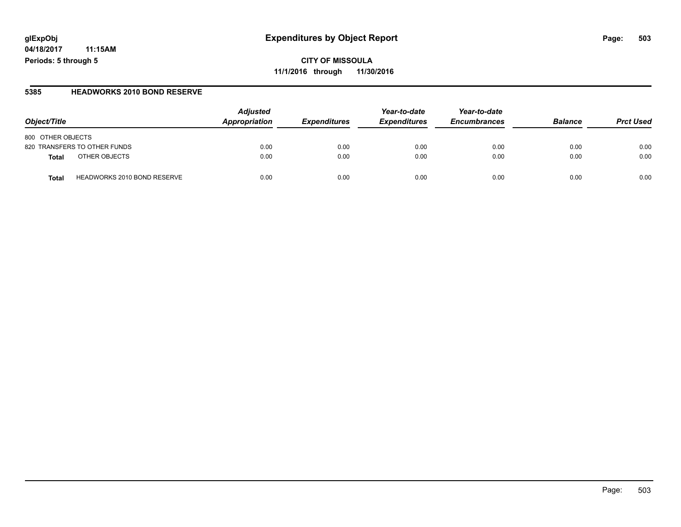**CITY OF MISSOULA 11/1/2016 through 11/30/2016**

#### **5385 HEADWORKS 2010 BOND RESERVE**

| Object/Title                                | <b>Adjusted</b><br>Appropriation | <b>Expenditures</b> | Year-to-date<br><b>Expenditures</b> | Year-to-date<br><b>Encumbrances</b> | <b>Balance</b> | <b>Prct Used</b> |
|---------------------------------------------|----------------------------------|---------------------|-------------------------------------|-------------------------------------|----------------|------------------|
| 800 OTHER OBJECTS                           |                                  |                     |                                     |                                     |                |                  |
| 820 TRANSFERS TO OTHER FUNDS                | 0.00                             | 0.00                | 0.00                                | 0.00                                | 0.00           | 0.00             |
| OTHER OBJECTS<br>Total                      | 0.00                             | 0.00                | 0.00                                | 0.00                                | 0.00           | 0.00             |
| <b>HEADWORKS 2010 BOND RESERVE</b><br>Total | 0.00                             | 0.00                | 0.00                                | 0.00                                | 0.00           | 0.00             |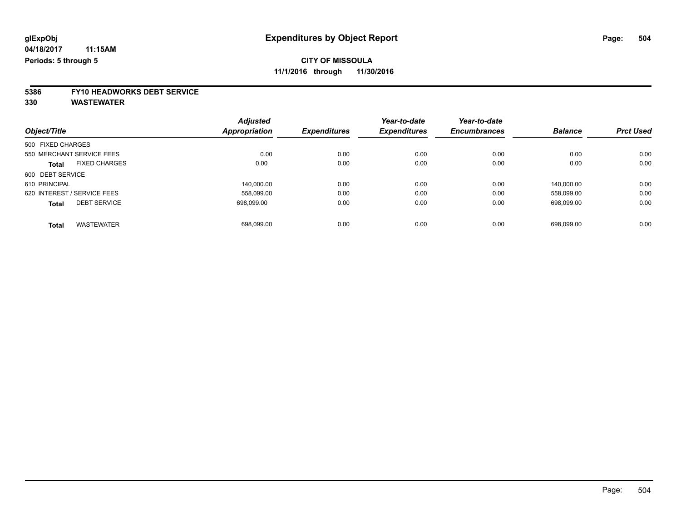# **5386 FY10 HEADWORKS DEBT SERVICE**

|                                      | <b>Adjusted</b>      | <b>Expenditures</b> | Year-to-date<br><b>Expenditures</b> | Year-to-date<br><b>Encumbrances</b> | <b>Balance</b> | <b>Prct Used</b> |
|--------------------------------------|----------------------|---------------------|-------------------------------------|-------------------------------------|----------------|------------------|
| Object/Title                         | <b>Appropriation</b> |                     |                                     |                                     |                |                  |
| 500 FIXED CHARGES                    |                      |                     |                                     |                                     |                |                  |
| 550 MERCHANT SERVICE FEES            | 0.00                 | 0.00                | 0.00                                | 0.00                                | 0.00           | 0.00             |
| <b>FIXED CHARGES</b><br><b>Total</b> | 0.00                 | 0.00                | 0.00                                | 0.00                                | 0.00           | 0.00             |
| 600 DEBT SERVICE                     |                      |                     |                                     |                                     |                |                  |
| 610 PRINCIPAL                        | 140.000.00           | 0.00                | 0.00                                | 0.00                                | 140.000.00     | 0.00             |
| 620 INTEREST / SERVICE FEES          | 558,099.00           | 0.00                | 0.00                                | 0.00                                | 558,099.00     | 0.00             |
| <b>DEBT SERVICE</b><br><b>Total</b>  | 698.099.00           | 0.00                | 0.00                                | 0.00                                | 698.099.00     | 0.00             |
| <b>WASTEWATER</b><br>Total           | 698,099.00           | 0.00                | 0.00                                | 0.00                                | 698.099.00     | 0.00             |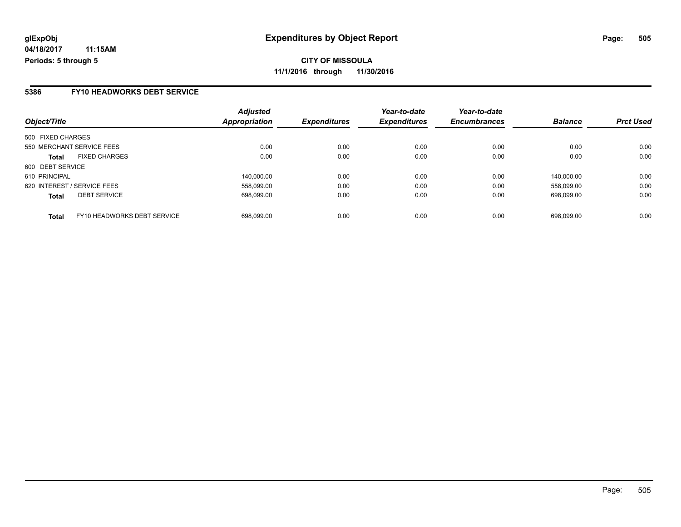**CITY OF MISSOULA 11/1/2016 through 11/30/2016**

#### **5386 FY10 HEADWORKS DEBT SERVICE**

| Object/Title                                | <b>Adjusted</b><br>Appropriation | <b>Expenditures</b> | Year-to-date<br><b>Expenditures</b> | Year-to-date<br><b>Encumbrances</b> | <b>Balance</b> | <b>Prct Used</b> |
|---------------------------------------------|----------------------------------|---------------------|-------------------------------------|-------------------------------------|----------------|------------------|
| 500 FIXED CHARGES                           |                                  |                     |                                     |                                     |                |                  |
| 550 MERCHANT SERVICE FEES                   | 0.00                             | 0.00                | 0.00                                | 0.00                                | 0.00           | 0.00             |
| <b>FIXED CHARGES</b><br><b>Total</b>        | 0.00                             | 0.00                | 0.00                                | 0.00                                | 0.00           | 0.00             |
| 600 DEBT SERVICE                            |                                  |                     |                                     |                                     |                |                  |
| 610 PRINCIPAL                               | 140.000.00                       | 0.00                | 0.00                                | 0.00                                | 140,000.00     | 0.00             |
| 620 INTEREST / SERVICE FEES                 | 558,099.00                       | 0.00                | 0.00                                | 0.00                                | 558.099.00     | 0.00             |
| <b>DEBT SERVICE</b><br><b>Total</b>         | 698.099.00                       | 0.00                | 0.00                                | 0.00                                | 698.099.00     | 0.00             |
| FY10 HEADWORKS DEBT SERVICE<br><b>Total</b> | 698.099.00                       | 0.00                | 0.00                                | 0.00                                | 698.099.00     | 0.00             |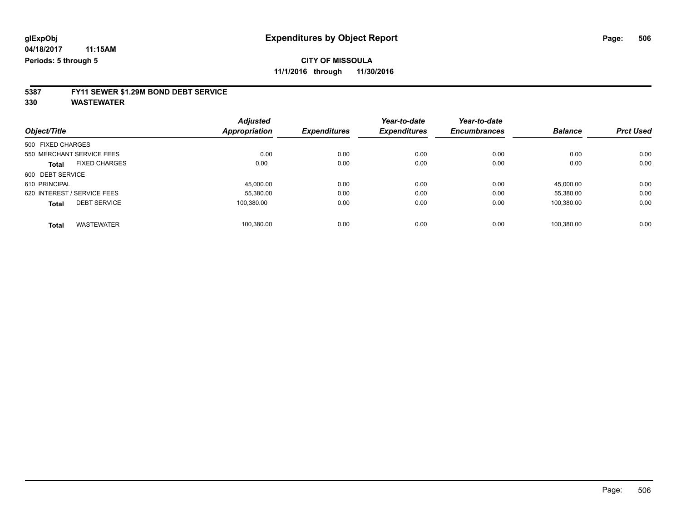# **5387 FY11 SEWER \$1.29M BOND DEBT SERVICE**

**330 WASTEWATER**

|                   |                             | <b>Adjusted</b>      |                     | Year-to-date        | Year-to-date        |                |                  |
|-------------------|-----------------------------|----------------------|---------------------|---------------------|---------------------|----------------|------------------|
| Object/Title      |                             | <b>Appropriation</b> | <b>Expenditures</b> | <b>Expenditures</b> | <b>Encumbrances</b> | <b>Balance</b> | <b>Prct Used</b> |
| 500 FIXED CHARGES |                             |                      |                     |                     |                     |                |                  |
|                   | 550 MERCHANT SERVICE FEES   | 0.00                 | 0.00                | 0.00                | 0.00                | 0.00           | 0.00             |
| <b>Total</b>      | <b>FIXED CHARGES</b>        | 0.00                 | 0.00                | 0.00                | 0.00                | 0.00           | 0.00             |
| 600 DEBT SERVICE  |                             |                      |                     |                     |                     |                |                  |
| 610 PRINCIPAL     |                             | 45.000.00            | 0.00                | 0.00                | 0.00                | 45.000.00      | 0.00             |
|                   | 620 INTEREST / SERVICE FEES | 55.380.00            | 0.00                | 0.00                | 0.00                | 55,380.00      | 0.00             |
| <b>Total</b>      | <b>DEBT SERVICE</b>         | 100.380.00           | 0.00                | 0.00                | 0.00                | 100.380.00     | 0.00             |
| <b>Total</b>      | <b>WASTEWATER</b>           | 100.380.00           | 0.00                | 0.00                | 0.00                | 100.380.00     | 0.00             |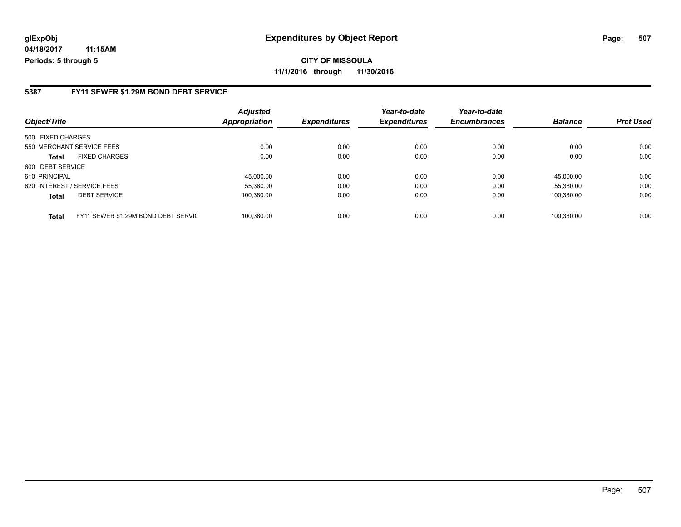**CITY OF MISSOULA 11/1/2016 through 11/30/2016**

#### **5387 FY11 SEWER \$1.29M BOND DEBT SERVICE**

| Object/Title      |                                     | <b>Adjusted</b><br>Appropriation | <b>Expenditures</b> | Year-to-date<br><b>Expenditures</b> | Year-to-date<br><b>Encumbrances</b> | <b>Balance</b> | <b>Prct Used</b> |
|-------------------|-------------------------------------|----------------------------------|---------------------|-------------------------------------|-------------------------------------|----------------|------------------|
|                   |                                     |                                  |                     |                                     |                                     |                |                  |
| 500 FIXED CHARGES |                                     |                                  |                     |                                     |                                     |                |                  |
|                   | 550 MERCHANT SERVICE FEES           | 0.00                             | 0.00                | 0.00                                | 0.00                                | 0.00           | 0.00             |
| <b>Total</b>      | <b>FIXED CHARGES</b>                | 0.00                             | 0.00                | 0.00                                | 0.00                                | 0.00           | 0.00             |
| 600 DEBT SERVICE  |                                     |                                  |                     |                                     |                                     |                |                  |
| 610 PRINCIPAL     |                                     | 45,000.00                        | 0.00                | 0.00                                | 0.00                                | 45,000.00      | 0.00             |
|                   | 620 INTEREST / SERVICE FEES         | 55,380.00                        | 0.00                | 0.00                                | 0.00                                | 55,380.00      | 0.00             |
| <b>Total</b>      | <b>DEBT SERVICE</b>                 | 100,380.00                       | 0.00                | 0.00                                | 0.00                                | 100,380.00     | 0.00             |
| <b>Total</b>      | FY11 SEWER \$1.29M BOND DEBT SERVIC | 100.380.00                       | 0.00                | 0.00                                | 0.00                                | 100.380.00     | 0.00             |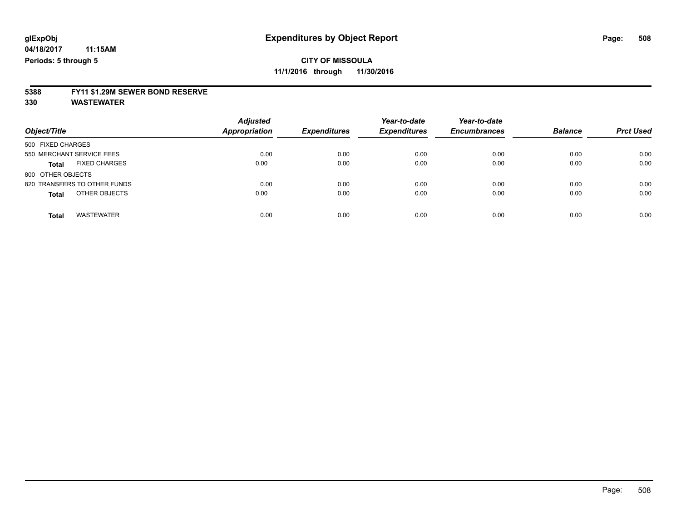# **5388 FY11 \$1.29M SEWER BOND RESERVE**

**330 WASTEWATER**

| Object/Title                         | <b>Adjusted</b><br><b>Appropriation</b> | <b>Expenditures</b> | Year-to-date<br><b>Expenditures</b> | Year-to-date<br><b>Encumbrances</b> | <b>Balance</b> | <b>Prct Used</b> |
|--------------------------------------|-----------------------------------------|---------------------|-------------------------------------|-------------------------------------|----------------|------------------|
| 500 FIXED CHARGES                    |                                         |                     |                                     |                                     |                |                  |
| 550 MERCHANT SERVICE FEES            | 0.00                                    | 0.00                | 0.00                                | 0.00                                | 0.00           | 0.00             |
| <b>FIXED CHARGES</b><br><b>Total</b> | 0.00                                    | 0.00                | 0.00                                | 0.00                                | 0.00           | 0.00             |
| 800 OTHER OBJECTS                    |                                         |                     |                                     |                                     |                |                  |
| 820 TRANSFERS TO OTHER FUNDS         | 0.00                                    | 0.00                | 0.00                                | 0.00                                | 0.00           | 0.00             |
| OTHER OBJECTS<br><b>Total</b>        | 0.00                                    | 0.00                | 0.00                                | 0.00                                | 0.00           | 0.00             |
| <b>WASTEWATER</b><br><b>Total</b>    | 0.00                                    | 0.00                | 0.00                                | 0.00                                | 0.00           | 0.00             |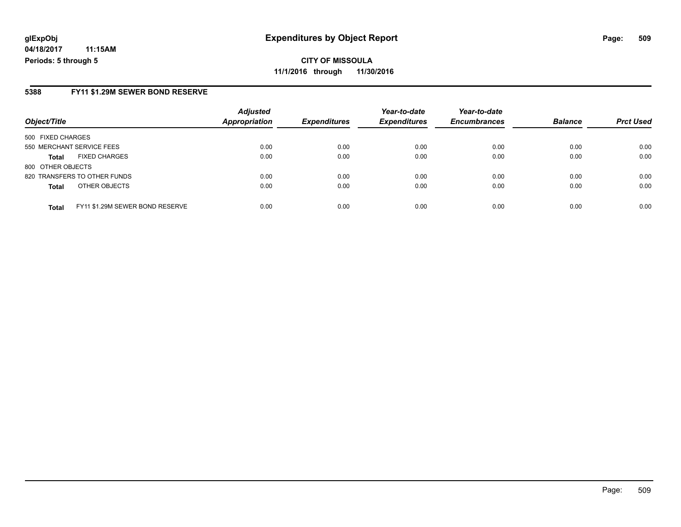#### **5388 FY11 \$1.29M SEWER BOND RESERVE**

| Object/Title                                    | <b>Adjusted</b><br><b>Appropriation</b> | <b>Expenditures</b> | Year-to-date<br><b>Expenditures</b> | Year-to-date<br><b>Encumbrances</b> | <b>Balance</b> | <b>Prct Used</b> |
|-------------------------------------------------|-----------------------------------------|---------------------|-------------------------------------|-------------------------------------|----------------|------------------|
|                                                 |                                         |                     |                                     |                                     |                |                  |
| 500 FIXED CHARGES                               |                                         |                     |                                     |                                     |                |                  |
| 550 MERCHANT SERVICE FEES                       | 0.00                                    | 0.00                | 0.00                                | 0.00                                | 0.00           | 0.00             |
| <b>FIXED CHARGES</b><br><b>Total</b>            | 0.00                                    | 0.00                | 0.00                                | 0.00                                | 0.00           | 0.00             |
| 800 OTHER OBJECTS                               |                                         |                     |                                     |                                     |                |                  |
| 820 TRANSFERS TO OTHER FUNDS                    | 0.00                                    | 0.00                | 0.00                                | 0.00                                | 0.00           | 0.00             |
| OTHER OBJECTS<br><b>Total</b>                   | 0.00                                    | 0.00                | 0.00                                | 0.00                                | 0.00           | 0.00             |
|                                                 |                                         |                     |                                     |                                     |                |                  |
| FY11 \$1.29M SEWER BOND RESERVE<br><b>Total</b> | 0.00                                    | 0.00                | 0.00                                | 0.00                                | 0.00           | 0.00             |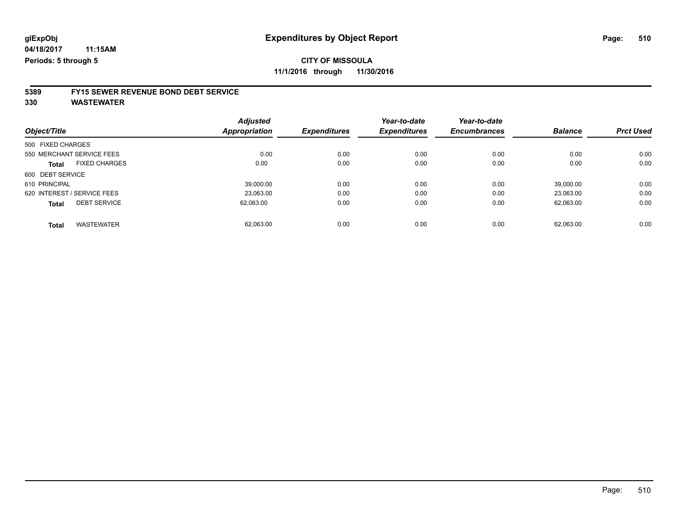# **5389 FY15 SEWER REVENUE BOND DEBT SERVICE**

**330 WASTEWATER**

|                                      | <b>Adjusted</b>      |                     | Year-to-date        | Year-to-date        |                |                  |
|--------------------------------------|----------------------|---------------------|---------------------|---------------------|----------------|------------------|
| Object/Title                         | <b>Appropriation</b> | <b>Expenditures</b> | <b>Expenditures</b> | <b>Encumbrances</b> | <b>Balance</b> | <b>Prct Used</b> |
| 500 FIXED CHARGES                    |                      |                     |                     |                     |                |                  |
| 550 MERCHANT SERVICE FEES            | 0.00                 | 0.00                | 0.00                | 0.00                | 0.00           | 0.00             |
| <b>FIXED CHARGES</b><br><b>Total</b> | 0.00                 | 0.00                | 0.00                | 0.00                | 0.00           | 0.00             |
| 600 DEBT SERVICE                     |                      |                     |                     |                     |                |                  |
| 610 PRINCIPAL                        | 39.000.00            | 0.00                | 0.00                | 0.00                | 39.000.00      | 0.00             |
| 620 INTEREST / SERVICE FEES          | 23.063.00            | 0.00                | 0.00                | 0.00                | 23,063.00      | 0.00             |
| <b>DEBT SERVICE</b><br><b>Total</b>  | 62.063.00            | 0.00                | 0.00                | 0.00                | 62,063.00      | 0.00             |
| <b>WASTEWATER</b><br><b>Total</b>    | 62.063.00            | 0.00                | 0.00                | 0.00                | 62.063.00      | 0.00             |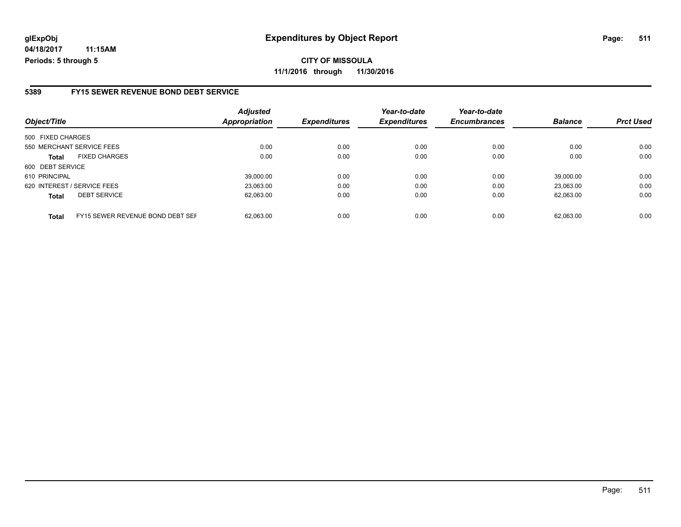#### **5389 FY15 SEWER REVENUE BOND DEBT SERVICE**

| Object/Title      |                                  | <b>Adjusted</b><br><b>Appropriation</b> | <b>Expenditures</b> | Year-to-date<br><b>Expenditures</b> | Year-to-date<br><b>Encumbrances</b> | <b>Balance</b> | <b>Prct Used</b> |
|-------------------|----------------------------------|-----------------------------------------|---------------------|-------------------------------------|-------------------------------------|----------------|------------------|
| 500 FIXED CHARGES |                                  |                                         |                     |                                     |                                     |                |                  |
|                   | 550 MERCHANT SERVICE FEES        | 0.00                                    | 0.00                | 0.00                                | 0.00                                | 0.00           | 0.00             |
| <b>Total</b>      | <b>FIXED CHARGES</b>             | 0.00                                    | 0.00                | 0.00                                | 0.00                                | 0.00           | 0.00             |
| 600 DEBT SERVICE  |                                  |                                         |                     |                                     |                                     |                |                  |
| 610 PRINCIPAL     |                                  | 39.000.00                               | 0.00                | 0.00                                | 0.00                                | 39.000.00      | 0.00             |
|                   | 620 INTEREST / SERVICE FEES      | 23,063.00                               | 0.00                | 0.00                                | 0.00                                | 23.063.00      | 0.00             |
| <b>Total</b>      | <b>DEBT SERVICE</b>              | 62,063.00                               | 0.00                | 0.00                                | 0.00                                | 62.063.00      | 0.00             |
| <b>Total</b>      | FY15 SEWER REVENUE BOND DEBT SEF | 62.063.00                               | 0.00                | 0.00                                | 0.00                                | 62.063.00      | 0.00             |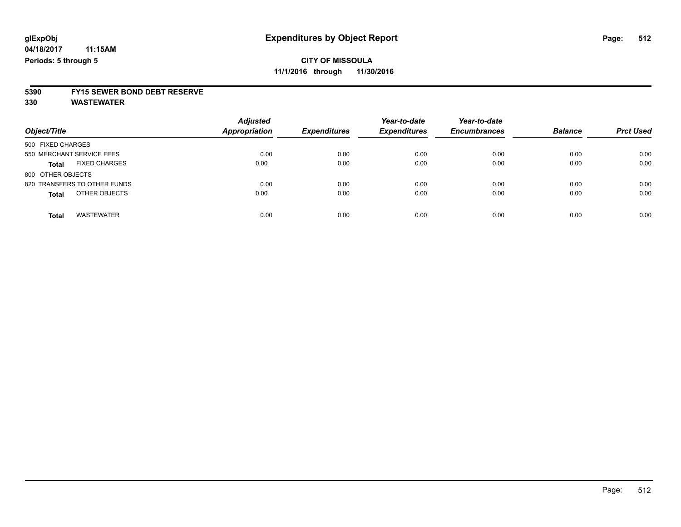# **5390 FY15 SEWER BOND DEBT RESERVE**

**330 WASTEWATER**

| Object/Title                         | <b>Adjusted</b><br><b>Appropriation</b> | <b>Expenditures</b> | Year-to-date<br><b>Expenditures</b> | Year-to-date<br><b>Encumbrances</b> | <b>Balance</b> | <b>Prct Used</b> |
|--------------------------------------|-----------------------------------------|---------------------|-------------------------------------|-------------------------------------|----------------|------------------|
| 500 FIXED CHARGES                    |                                         |                     |                                     |                                     |                |                  |
| 550 MERCHANT SERVICE FEES            | 0.00                                    | 0.00                | 0.00                                | 0.00                                | 0.00           | 0.00             |
| <b>FIXED CHARGES</b><br><b>Total</b> | 0.00                                    | 0.00                | 0.00                                | 0.00                                | 0.00           | 0.00             |
| 800 OTHER OBJECTS                    |                                         |                     |                                     |                                     |                |                  |
| 820 TRANSFERS TO OTHER FUNDS         | 0.00                                    | 0.00                | 0.00                                | 0.00                                | 0.00           | 0.00             |
| OTHER OBJECTS<br><b>Total</b>        | 0.00                                    | 0.00                | 0.00                                | 0.00                                | 0.00           | 0.00             |
|                                      |                                         |                     |                                     |                                     |                |                  |
| <b>WASTEWATER</b><br>Total           | 0.00                                    | 0.00                | 0.00                                | 0.00                                | 0.00           | 0.00             |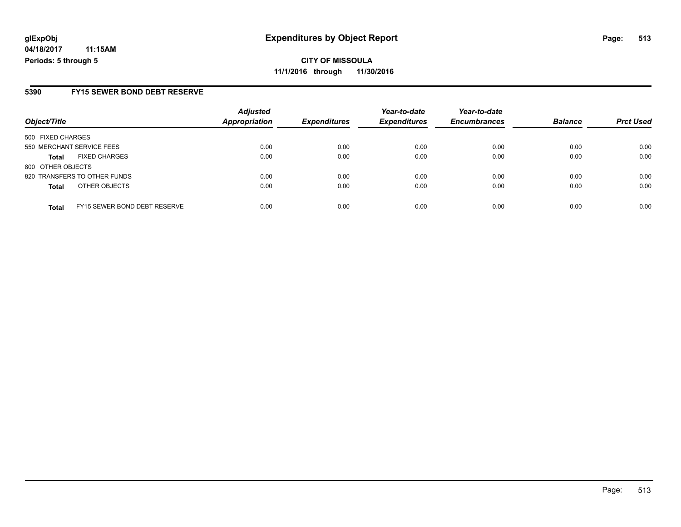**CITY OF MISSOULA 11/1/2016 through 11/30/2016**

#### **5390 FY15 SEWER BOND DEBT RESERVE**

|                              |                              | <b>Adjusted</b>      |                     | Year-to-date        | Year-to-date        |                |                  |
|------------------------------|------------------------------|----------------------|---------------------|---------------------|---------------------|----------------|------------------|
| Object/Title                 |                              | <b>Appropriation</b> | <b>Expenditures</b> | <b>Expenditures</b> | <b>Encumbrances</b> | <b>Balance</b> | <b>Prct Used</b> |
| 500 FIXED CHARGES            |                              |                      |                     |                     |                     |                |                  |
| 550 MERCHANT SERVICE FEES    |                              | 0.00                 | 0.00                | 0.00                | 0.00                | 0.00           | 0.00             |
| Total                        | <b>FIXED CHARGES</b>         | 0.00                 | 0.00                | 0.00                | 0.00                | 0.00           | 0.00             |
| 800 OTHER OBJECTS            |                              |                      |                     |                     |                     |                |                  |
| 820 TRANSFERS TO OTHER FUNDS |                              | 0.00                 | 0.00                | 0.00                | 0.00                | 0.00           | 0.00             |
| <b>Total</b>                 | OTHER OBJECTS                | 0.00                 | 0.00                | 0.00                | 0.00                | 0.00           | 0.00             |
| <b>Total</b>                 | FY15 SEWER BOND DEBT RESERVE | 0.00                 | 0.00                | 0.00                | 0.00                | 0.00           | 0.00             |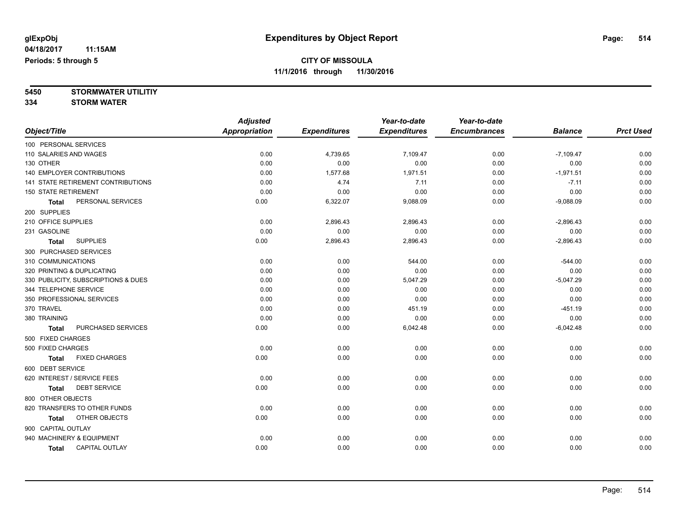**5450 STORMWATER UTILITIY 334 STORM WATER**

|                                      | <b>Adjusted</b>      |                     | Year-to-date        | Year-to-date        |                |                  |
|--------------------------------------|----------------------|---------------------|---------------------|---------------------|----------------|------------------|
| Object/Title                         | <b>Appropriation</b> | <b>Expenditures</b> | <b>Expenditures</b> | <b>Encumbrances</b> | <b>Balance</b> | <b>Prct Used</b> |
| 100 PERSONAL SERVICES                |                      |                     |                     |                     |                |                  |
| 110 SALARIES AND WAGES               | 0.00                 | 4,739.65            | 7,109.47            | 0.00                | $-7,109.47$    | 0.00             |
| 130 OTHER                            | 0.00                 | 0.00                | 0.00                | 0.00                | 0.00           | 0.00             |
| <b>140 EMPLOYER CONTRIBUTIONS</b>    | 0.00                 | 1,577.68            | 1,971.51            | 0.00                | $-1,971.51$    | 0.00             |
| 141 STATE RETIREMENT CONTRIBUTIONS   | 0.00                 | 4.74                | 7.11                | 0.00                | $-7.11$        | 0.00             |
| <b>150 STATE RETIREMENT</b>          | 0.00                 | 0.00                | 0.00                | 0.00                | 0.00           | 0.00             |
| PERSONAL SERVICES<br><b>Total</b>    | 0.00                 | 6,322.07            | 9,088.09            | 0.00                | $-9,088.09$    | 0.00             |
| 200 SUPPLIES                         |                      |                     |                     |                     |                |                  |
| 210 OFFICE SUPPLIES                  | 0.00                 | 2,896.43            | 2,896.43            | 0.00                | $-2,896.43$    | 0.00             |
| 231 GASOLINE                         | 0.00                 | 0.00                | 0.00                | 0.00                | 0.00           | 0.00             |
| <b>SUPPLIES</b><br><b>Total</b>      | 0.00                 | 2,896.43            | 2,896.43            | 0.00                | $-2,896.43$    | 0.00             |
| 300 PURCHASED SERVICES               |                      |                     |                     |                     |                |                  |
| 310 COMMUNICATIONS                   | 0.00                 | 0.00                | 544.00              | 0.00                | $-544.00$      | 0.00             |
| 320 PRINTING & DUPLICATING           | 0.00                 | 0.00                | 0.00                | 0.00                | 0.00           | 0.00             |
| 330 PUBLICITY, SUBSCRIPTIONS & DUES  | 0.00                 | 0.00                | 5,047.29            | 0.00                | $-5,047.29$    | 0.00             |
| 344 TELEPHONE SERVICE                | 0.00                 | 0.00                | 0.00                | 0.00                | 0.00           | 0.00             |
| 350 PROFESSIONAL SERVICES            | 0.00                 | 0.00                | 0.00                | 0.00                | 0.00           | 0.00             |
| 370 TRAVEL                           | 0.00                 | 0.00                | 451.19              | 0.00                | $-451.19$      | 0.00             |
| 380 TRAINING                         | 0.00                 | 0.00                | 0.00                | 0.00                | 0.00           | 0.00             |
| PURCHASED SERVICES<br><b>Total</b>   | 0.00                 | 0.00                | 6,042.48            | 0.00                | $-6,042.48$    | 0.00             |
| 500 FIXED CHARGES                    |                      |                     |                     |                     |                |                  |
| 500 FIXED CHARGES                    | 0.00                 | 0.00                | 0.00                | 0.00                | 0.00           | 0.00             |
| <b>FIXED CHARGES</b><br><b>Total</b> | 0.00                 | 0.00                | 0.00                | 0.00                | 0.00           | 0.00             |
| 600 DEBT SERVICE                     |                      |                     |                     |                     |                |                  |
| 620 INTEREST / SERVICE FEES          | 0.00                 | 0.00                | 0.00                | 0.00                | 0.00           | 0.00             |
| <b>DEBT SERVICE</b><br><b>Total</b>  | 0.00                 | 0.00                | 0.00                | 0.00                | 0.00           | 0.00             |
| 800 OTHER OBJECTS                    |                      |                     |                     |                     |                |                  |
| 820 TRANSFERS TO OTHER FUNDS         | 0.00                 | 0.00                | 0.00                | 0.00                | 0.00           | 0.00             |
| OTHER OBJECTS<br><b>Total</b>        | 0.00                 | 0.00                | 0.00                | 0.00                | 0.00           | 0.00             |
| 900 CAPITAL OUTLAY                   |                      |                     |                     |                     |                |                  |
| 940 MACHINERY & EQUIPMENT            | 0.00                 | 0.00                | 0.00                | 0.00                | 0.00           | 0.00             |
| CAPITAL OUTLAY<br><b>Total</b>       | 0.00                 | 0.00                | 0.00                | 0.00                | 0.00           | 0.00             |
|                                      |                      |                     |                     |                     |                |                  |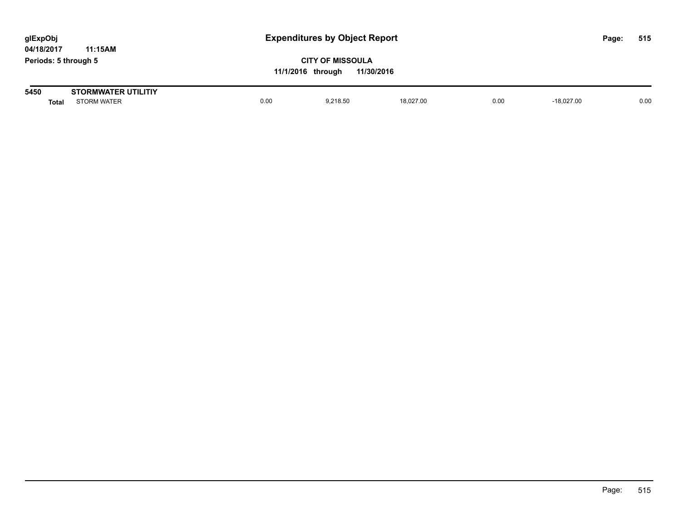| glExpObj<br>04/18/2017 | <b>Expenditures by Object Report</b><br>11:15AM  |      |                                              |            |      |              | Page: | 515  |
|------------------------|--------------------------------------------------|------|----------------------------------------------|------------|------|--------------|-------|------|
| Periods: 5 through 5   |                                                  |      | <b>CITY OF MISSOULA</b><br>11/1/2016 through | 11/30/2016 |      |              |       |      |
| 5450<br><b>Total</b>   | <b>STORMWATER UTILITIY</b><br><b>STORM WATER</b> | 0.00 | 9.218.50                                     | 18.027.00  | 0.00 | $-18.027.00$ |       | 0.00 |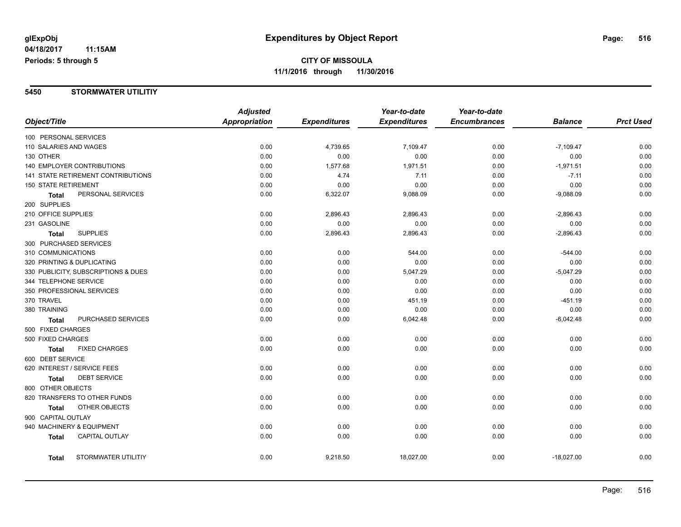#### **5450 STORMWATER UTILITIY**

|                             |                                     | <b>Adjusted</b> |                     | Year-to-date        | Year-to-date        |                |                  |
|-----------------------------|-------------------------------------|-----------------|---------------------|---------------------|---------------------|----------------|------------------|
| Object/Title                |                                     | Appropriation   | <b>Expenditures</b> | <b>Expenditures</b> | <b>Encumbrances</b> | <b>Balance</b> | <b>Prct Used</b> |
| 100 PERSONAL SERVICES       |                                     |                 |                     |                     |                     |                |                  |
| 110 SALARIES AND WAGES      |                                     | 0.00            | 4,739.65            | 7,109.47            | 0.00                | $-7,109.47$    | 0.00             |
| 130 OTHER                   |                                     | 0.00            | 0.00                | 0.00                | 0.00                | 0.00           | 0.00             |
|                             | 140 EMPLOYER CONTRIBUTIONS          | 0.00            | 1,577.68            | 1,971.51            | 0.00                | $-1,971.51$    | 0.00             |
|                             | 141 STATE RETIREMENT CONTRIBUTIONS  | 0.00            | 4.74                | 7.11                | 0.00                | $-7.11$        | 0.00             |
| <b>150 STATE RETIREMENT</b> |                                     | 0.00            | 0.00                | 0.00                | 0.00                | 0.00           | 0.00             |
| <b>Total</b>                | PERSONAL SERVICES                   | 0.00            | 6,322.07            | 9,088.09            | 0.00                | $-9,088.09$    | 0.00             |
| 200 SUPPLIES                |                                     |                 |                     |                     |                     |                |                  |
| 210 OFFICE SUPPLIES         |                                     | 0.00            | 2,896.43            | 2,896.43            | 0.00                | $-2,896.43$    | 0.00             |
| 231 GASOLINE                |                                     | 0.00            | 0.00                | 0.00                | 0.00                | 0.00           | 0.00             |
| Total                       | <b>SUPPLIES</b>                     | 0.00            | 2,896.43            | 2,896.43            | 0.00                | $-2,896.43$    | 0.00             |
| 300 PURCHASED SERVICES      |                                     |                 |                     |                     |                     |                |                  |
| 310 COMMUNICATIONS          |                                     | 0.00            | 0.00                | 544.00              | 0.00                | $-544.00$      | 0.00             |
|                             | 320 PRINTING & DUPLICATING          | 0.00            | 0.00                | 0.00                | 0.00                | 0.00           | 0.00             |
|                             | 330 PUBLICITY, SUBSCRIPTIONS & DUES | 0.00            | 0.00                | 5,047.29            | 0.00                | $-5,047.29$    | 0.00             |
| 344 TELEPHONE SERVICE       |                                     | 0.00            | 0.00                | 0.00                | 0.00                | 0.00           | 0.00             |
|                             | 350 PROFESSIONAL SERVICES           | 0.00            | 0.00                | 0.00                | 0.00                | 0.00           | 0.00             |
| 370 TRAVEL                  |                                     | 0.00            | 0.00                | 451.19              | 0.00                | $-451.19$      | 0.00             |
| 380 TRAINING                |                                     | 0.00            | 0.00                | 0.00                | 0.00                | 0.00           | 0.00             |
| <b>Total</b>                | PURCHASED SERVICES                  | 0.00            | 0.00                | 6,042.48            | 0.00                | $-6,042.48$    | 0.00             |
| 500 FIXED CHARGES           |                                     |                 |                     |                     |                     |                |                  |
| 500 FIXED CHARGES           |                                     | 0.00            | 0.00                | 0.00                | 0.00                | 0.00           | 0.00             |
| <b>Total</b>                | <b>FIXED CHARGES</b>                | 0.00            | 0.00                | 0.00                | 0.00                | 0.00           | 0.00             |
| 600 DEBT SERVICE            |                                     |                 |                     |                     |                     |                |                  |
|                             | 620 INTEREST / SERVICE FEES         | 0.00            | 0.00                | 0.00                | 0.00                | 0.00           | 0.00             |
| <b>Total</b>                | <b>DEBT SERVICE</b>                 | 0.00            | 0.00                | 0.00                | 0.00                | 0.00           | 0.00             |
| 800 OTHER OBJECTS           |                                     |                 |                     |                     |                     |                |                  |
|                             | 820 TRANSFERS TO OTHER FUNDS        | 0.00            | 0.00                | 0.00                | 0.00                | 0.00           | 0.00             |
| <b>Total</b>                | OTHER OBJECTS                       | 0.00            | 0.00                | 0.00                | 0.00                | 0.00           | 0.00             |
| 900 CAPITAL OUTLAY          |                                     |                 |                     |                     |                     |                |                  |
|                             | 940 MACHINERY & EQUIPMENT           | 0.00            | 0.00                | 0.00                | 0.00                | 0.00           | 0.00             |
| <b>Total</b>                | <b>CAPITAL OUTLAY</b>               | 0.00            | 0.00                | 0.00                | 0.00                | 0.00           | 0.00             |
| Total                       | STORMWATER UTILITIY                 | 0.00            | 9,218.50            | 18,027.00           | 0.00                | $-18,027.00$   | 0.00             |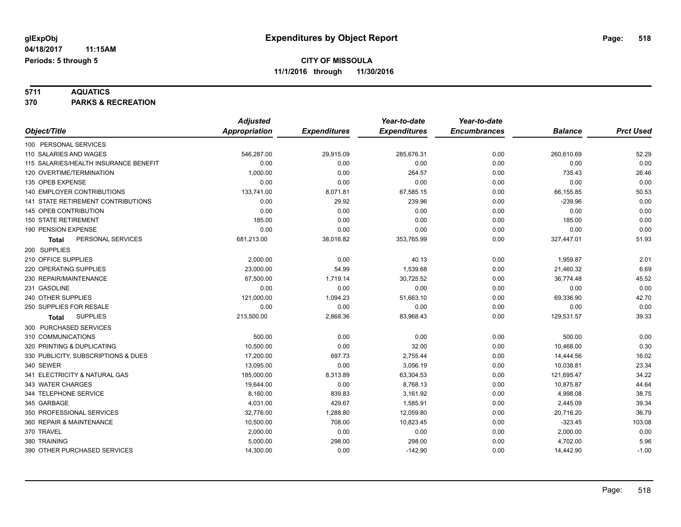# **5711 AQUATICS**

**370 PARKS & RECREATION**

|                                       | <b>Adjusted</b>      |                     | Year-to-date        | Year-to-date        |                |                  |
|---------------------------------------|----------------------|---------------------|---------------------|---------------------|----------------|------------------|
| Object/Title                          | <b>Appropriation</b> | <b>Expenditures</b> | <b>Expenditures</b> | <b>Encumbrances</b> | <b>Balance</b> | <b>Prct Used</b> |
| 100 PERSONAL SERVICES                 |                      |                     |                     |                     |                |                  |
| 110 SALARIES AND WAGES                | 546,287.00           | 29,915.09           | 285,676.31          | 0.00                | 260,610.69     | 52.29            |
| 115 SALARIES/HEALTH INSURANCE BENEFIT | 0.00                 | 0.00                | 0.00                | 0.00                | 0.00           | 0.00             |
| 120 OVERTIME/TERMINATION              | 1,000.00             | 0.00                | 264.57              | 0.00                | 735.43         | 26.46            |
| 135 OPEB EXPENSE                      | 0.00                 | 0.00                | 0.00                | 0.00                | 0.00           | 0.00             |
| 140 EMPLOYER CONTRIBUTIONS            | 133,741.00           | 8,071.81            | 67,585.15           | 0.00                | 66,155.85      | 50.53            |
| 141 STATE RETIREMENT CONTRIBUTIONS    | 0.00                 | 29.92               | 239.96              | 0.00                | $-239.96$      | 0.00             |
| 145 OPEB CONTRIBUTION                 | 0.00                 | 0.00                | 0.00                | 0.00                | 0.00           | 0.00             |
| <b>150 STATE RETIREMENT</b>           | 185.00               | 0.00                | 0.00                | 0.00                | 185.00         | 0.00             |
| 190 PENSION EXPENSE                   | 0.00                 | 0.00                | 0.00                | 0.00                | 0.00           | 0.00             |
| PERSONAL SERVICES<br>Total            | 681,213.00           | 38,016.82           | 353,765.99          | 0.00                | 327,447.01     | 51.93            |
| 200 SUPPLIES                          |                      |                     |                     |                     |                |                  |
| 210 OFFICE SUPPLIES                   | 2,000.00             | 0.00                | 40.13               | 0.00                | 1,959.87       | 2.01             |
| 220 OPERATING SUPPLIES                | 23,000.00            | 54.99               | 1,539.68            | 0.00                | 21,460.32      | 6.69             |
| 230 REPAIR/MAINTENANCE                | 67,500.00            | 1,719.14            | 30,725.52           | 0.00                | 36,774.48      | 45.52            |
| 231 GASOLINE                          | 0.00                 | 0.00                | 0.00                | 0.00                | 0.00           | 0.00             |
| 240 OTHER SUPPLIES                    | 121,000.00           | 1,094.23            | 51,663.10           | 0.00                | 69,336.90      | 42.70            |
| 250 SUPPLIES FOR RESALE               | 0.00                 | 0.00                | 0.00                | 0.00                | 0.00           | 0.00             |
| <b>SUPPLIES</b><br><b>Total</b>       | 213,500.00           | 2,868.36            | 83,968.43           | 0.00                | 129,531.57     | 39.33            |
| 300 PURCHASED SERVICES                |                      |                     |                     |                     |                |                  |
| 310 COMMUNICATIONS                    | 500.00               | 0.00                | 0.00                | 0.00                | 500.00         | 0.00             |
| 320 PRINTING & DUPLICATING            | 10,500.00            | 0.00                | 32.00               | 0.00                | 10,468.00      | 0.30             |
| 330 PUBLICITY, SUBSCRIPTIONS & DUES   | 17,200.00            | 697.73              | 2,755.44            | 0.00                | 14,444.56      | 16.02            |
| 340 SEWER                             | 13,095.00            | 0.00                | 3,056.19            | 0.00                | 10,038.81      | 23.34            |
| 341 ELECTRICITY & NATURAL GAS         | 185,000.00           | 8,313.89            | 63,304.53           | 0.00                | 121,695.47     | 34.22            |
| 343 WATER CHARGES                     | 19,644.00            | 0.00                | 8,768.13            | 0.00                | 10,875.87      | 44.64            |
| 344 TELEPHONE SERVICE                 | 8,160.00             | 839.83              | 3,161.92            | 0.00                | 4,998.08       | 38.75            |
| 345 GARBAGE                           | 4,031.00             | 429.67              | 1,585.91            | 0.00                | 2,445.09       | 39.34            |
| 350 PROFESSIONAL SERVICES             | 32,776.00            | 1,288.80            | 12,059.80           | 0.00                | 20,716.20      | 36.79            |
| 360 REPAIR & MAINTENANCE              | 10,500.00            | 708.00              | 10,823.45           | 0.00                | $-323.45$      | 103.08           |
| 370 TRAVEL                            | 2,000.00             | 0.00                | 0.00                | 0.00                | 2,000.00       | 0.00             |
| 380 TRAINING                          | 5,000.00             | 298.00              | 298.00              | 0.00                | 4,702.00       | 5.96             |
| 390 OTHER PURCHASED SERVICES          | 14,300.00            | 0.00                | $-142.90$           | 0.00                | 14,442.90      | $-1.00$          |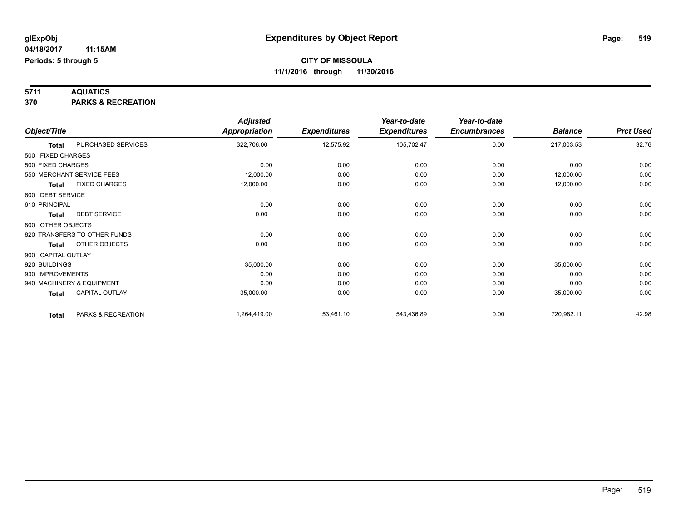# **5711 AQUATICS**

**370 PARKS & RECREATION**

|                    |                              | <b>Adjusted</b>      |                     | Year-to-date        | Year-to-date        |                |                  |
|--------------------|------------------------------|----------------------|---------------------|---------------------|---------------------|----------------|------------------|
| Object/Title       |                              | <b>Appropriation</b> | <b>Expenditures</b> | <b>Expenditures</b> | <b>Encumbrances</b> | <b>Balance</b> | <b>Prct Used</b> |
| Total              | PURCHASED SERVICES           | 322,706.00           | 12,575.92           | 105,702.47          | 0.00                | 217,003.53     | 32.76            |
| 500 FIXED CHARGES  |                              |                      |                     |                     |                     |                |                  |
| 500 FIXED CHARGES  |                              | 0.00                 | 0.00                | 0.00                | 0.00                | 0.00           | 0.00             |
|                    | 550 MERCHANT SERVICE FEES    | 12,000.00            | 0.00                | 0.00                | 0.00                | 12,000.00      | 0.00             |
| Total              | <b>FIXED CHARGES</b>         | 12,000.00            | 0.00                | 0.00                | 0.00                | 12,000.00      | 0.00             |
| 600 DEBT SERVICE   |                              |                      |                     |                     |                     |                |                  |
| 610 PRINCIPAL      |                              | 0.00                 | 0.00                | 0.00                | 0.00                | 0.00           | 0.00             |
| <b>Total</b>       | <b>DEBT SERVICE</b>          | 0.00                 | 0.00                | 0.00                | 0.00                | 0.00           | 0.00             |
| 800 OTHER OBJECTS  |                              |                      |                     |                     |                     |                |                  |
|                    | 820 TRANSFERS TO OTHER FUNDS | 0.00                 | 0.00                | 0.00                | 0.00                | 0.00           | 0.00             |
| <b>Total</b>       | OTHER OBJECTS                | 0.00                 | 0.00                | 0.00                | 0.00                | 0.00           | 0.00             |
| 900 CAPITAL OUTLAY |                              |                      |                     |                     |                     |                |                  |
| 920 BUILDINGS      |                              | 35,000.00            | 0.00                | 0.00                | 0.00                | 35,000.00      | 0.00             |
| 930 IMPROVEMENTS   |                              | 0.00                 | 0.00                | 0.00                | 0.00                | 0.00           | 0.00             |
|                    | 940 MACHINERY & EQUIPMENT    | 0.00                 | 0.00                | 0.00                | 0.00                | 0.00           | 0.00             |
| <b>Total</b>       | CAPITAL OUTLAY               | 35,000.00            | 0.00                | 0.00                | 0.00                | 35,000.00      | 0.00             |
| <b>Total</b>       | PARKS & RECREATION           | 1,264,419.00         | 53,461.10           | 543,436.89          | 0.00                | 720,982.11     | 42.98            |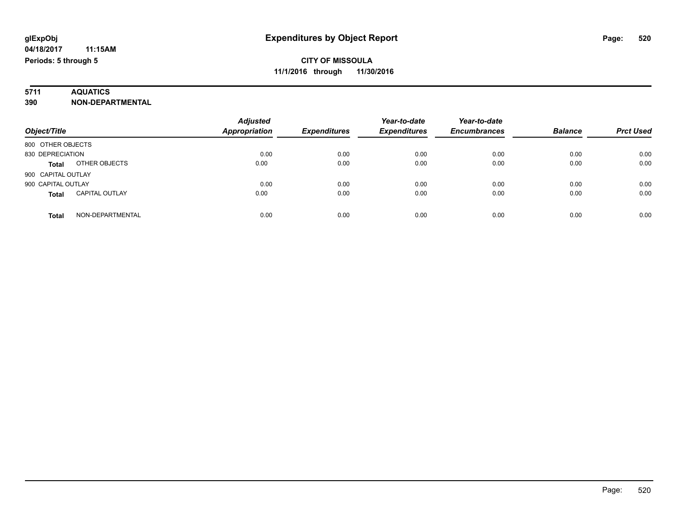# **5711 AQUATICS**

**390 NON-DEPARTMENTAL**

| Object/Title                          | <b>Adjusted</b><br>Appropriation | <b>Expenditures</b> | Year-to-date<br><b>Expenditures</b> | Year-to-date<br><b>Encumbrances</b> | <b>Balance</b> | <b>Prct Used</b> |
|---------------------------------------|----------------------------------|---------------------|-------------------------------------|-------------------------------------|----------------|------------------|
| 800 OTHER OBJECTS                     |                                  |                     |                                     |                                     |                |                  |
| 830 DEPRECIATION                      | 0.00                             | 0.00                | 0.00                                | 0.00                                | 0.00           | 0.00             |
| OTHER OBJECTS<br><b>Total</b>         | 0.00                             | 0.00                | 0.00                                | 0.00                                | 0.00           | 0.00             |
| 900 CAPITAL OUTLAY                    |                                  |                     |                                     |                                     |                |                  |
| 900 CAPITAL OUTLAY                    | 0.00                             | 0.00                | 0.00                                | 0.00                                | 0.00           | 0.00             |
| <b>CAPITAL OUTLAY</b><br><b>Total</b> | 0.00                             | 0.00                | 0.00                                | 0.00                                | 0.00           | 0.00             |
| NON-DEPARTMENTAL<br>Total             | 0.00                             | 0.00                | 0.00                                | 0.00                                | 0.00           | 0.00             |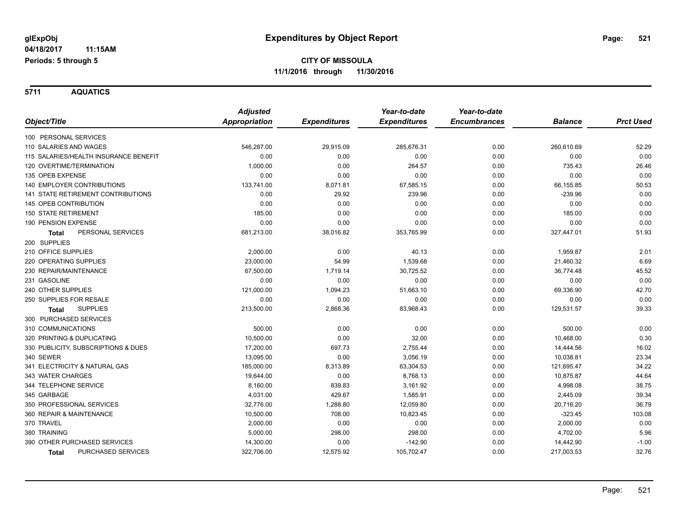**5711 AQUATICS**

|                                           | <b>Adjusted</b>      |                     | Year-to-date        | Year-to-date        |                |                  |
|-------------------------------------------|----------------------|---------------------|---------------------|---------------------|----------------|------------------|
| Object/Title                              | <b>Appropriation</b> | <b>Expenditures</b> | <b>Expenditures</b> | <b>Encumbrances</b> | <b>Balance</b> | <b>Prct Used</b> |
| 100 PERSONAL SERVICES                     |                      |                     |                     |                     |                |                  |
| 110 SALARIES AND WAGES                    | 546,287.00           | 29,915.09           | 285,676.31          | 0.00                | 260,610.69     | 52.29            |
| 115 SALARIES/HEALTH INSURANCE BENEFIT     | 0.00                 | 0.00                | 0.00                | 0.00                | 0.00           | 0.00             |
| 120 OVERTIME/TERMINATION                  | 1,000.00             | 0.00                | 264.57              | 0.00                | 735.43         | 26.46            |
| 135 OPEB EXPENSE                          | 0.00                 | 0.00                | 0.00                | 0.00                | 0.00           | 0.00             |
| 140 EMPLOYER CONTRIBUTIONS                | 133.741.00           | 8,071.81            | 67,585.15           | 0.00                | 66,155.85      | 50.53            |
| <b>141 STATE RETIREMENT CONTRIBUTIONS</b> | 0.00                 | 29.92               | 239.96              | 0.00                | $-239.96$      | 0.00             |
| 145 OPEB CONTRIBUTION                     | 0.00                 | 0.00                | 0.00                | 0.00                | 0.00           | 0.00             |
| <b>150 STATE RETIREMENT</b>               | 185.00               | 0.00                | 0.00                | 0.00                | 185.00         | 0.00             |
| 190 PENSION EXPENSE                       | 0.00                 | 0.00                | 0.00                | 0.00                | 0.00           | 0.00             |
| PERSONAL SERVICES<br><b>Total</b>         | 681,213.00           | 38,016.82           | 353,765.99          | 0.00                | 327,447.01     | 51.93            |
| 200 SUPPLIES                              |                      |                     |                     |                     |                |                  |
| 210 OFFICE SUPPLIES                       | 2,000.00             | 0.00                | 40.13               | 0.00                | 1,959.87       | 2.01             |
| 220 OPERATING SUPPLIES                    | 23,000.00            | 54.99               | 1,539.68            | 0.00                | 21,460.32      | 6.69             |
| 230 REPAIR/MAINTENANCE                    | 67,500.00            | 1,719.14            | 30,725.52           | 0.00                | 36,774.48      | 45.52            |
| 231 GASOLINE                              | 0.00                 | 0.00                | 0.00                | 0.00                | 0.00           | 0.00             |
| 240 OTHER SUPPLIES                        | 121,000.00           | 1,094.23            | 51,663.10           | 0.00                | 69,336.90      | 42.70            |
| 250 SUPPLIES FOR RESALE                   | 0.00                 | 0.00                | 0.00                | 0.00                | 0.00           | 0.00             |
| <b>SUPPLIES</b><br><b>Total</b>           | 213,500.00           | 2,868.36            | 83,968.43           | 0.00                | 129,531.57     | 39.33            |
| 300 PURCHASED SERVICES                    |                      |                     |                     |                     |                |                  |
| 310 COMMUNICATIONS                        | 500.00               | 0.00                | 0.00                | 0.00                | 500.00         | 0.00             |
| 320 PRINTING & DUPLICATING                | 10,500.00            | 0.00                | 32.00               | 0.00                | 10,468.00      | 0.30             |
| 330 PUBLICITY, SUBSCRIPTIONS & DUES       | 17,200.00            | 697.73              | 2,755.44            | 0.00                | 14,444.56      | 16.02            |
| 340 SEWER                                 | 13,095.00            | 0.00                | 3,056.19            | 0.00                | 10,038.81      | 23.34            |
| 341 ELECTRICITY & NATURAL GAS             | 185,000.00           | 8,313.89            | 63,304.53           | 0.00                | 121,695.47     | 34.22            |
| 343 WATER CHARGES                         | 19,644.00            | 0.00                | 8,768.13            | 0.00                | 10,875.87      | 44.64            |
| 344 TELEPHONE SERVICE                     | 8,160.00             | 839.83              | 3,161.92            | 0.00                | 4,998.08       | 38.75            |
| 345 GARBAGE                               | 4,031.00             | 429.67              | 1,585.91            | 0.00                | 2,445.09       | 39.34            |
| 350 PROFESSIONAL SERVICES                 | 32,776.00            | 1,288.80            | 12,059.80           | 0.00                | 20,716.20      | 36.79            |
| 360 REPAIR & MAINTENANCE                  | 10,500.00            | 708.00              | 10,823.45           | 0.00                | $-323.45$      | 103.08           |
| 370 TRAVEL                                | 2,000.00             | 0.00                | 0.00                | 0.00                | 2,000.00       | 0.00             |
| 380 TRAINING                              | 5,000.00             | 298.00              | 298.00              | 0.00                | 4,702.00       | 5.96             |
| 390 OTHER PURCHASED SERVICES              | 14,300.00            | 0.00                | $-142.90$           | 0.00                | 14,442.90      | $-1.00$          |
| PURCHASED SERVICES<br><b>Total</b>        | 322,706.00           | 12,575.92           | 105,702.47          | 0.00                | 217,003.53     | 32.76            |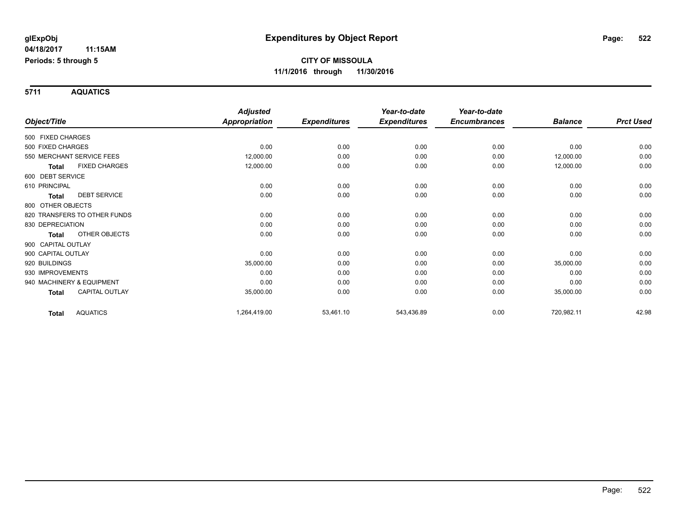**5711 AQUATICS**

|                           |                              | <b>Adjusted</b>      |                     | Year-to-date        | Year-to-date        |                |                  |
|---------------------------|------------------------------|----------------------|---------------------|---------------------|---------------------|----------------|------------------|
| Object/Title              |                              | <b>Appropriation</b> | <b>Expenditures</b> | <b>Expenditures</b> | <b>Encumbrances</b> | <b>Balance</b> | <b>Prct Used</b> |
| 500 FIXED CHARGES         |                              |                      |                     |                     |                     |                |                  |
| 500 FIXED CHARGES         |                              | 0.00                 | 0.00                | 0.00                | 0.00                | 0.00           | 0.00             |
| 550 MERCHANT SERVICE FEES |                              | 12,000.00            | 0.00                | 0.00                | 0.00                | 12,000.00      | 0.00             |
| <b>Total</b>              | <b>FIXED CHARGES</b>         | 12,000.00            | 0.00                | 0.00                | 0.00                | 12,000.00      | 0.00             |
| 600 DEBT SERVICE          |                              |                      |                     |                     |                     |                |                  |
| 610 PRINCIPAL             |                              | 0.00                 | 0.00                | 0.00                | 0.00                | 0.00           | 0.00             |
| <b>Total</b>              | <b>DEBT SERVICE</b>          | 0.00                 | 0.00                | 0.00                | 0.00                | 0.00           | 0.00             |
| 800 OTHER OBJECTS         |                              |                      |                     |                     |                     |                |                  |
|                           | 820 TRANSFERS TO OTHER FUNDS | 0.00                 | 0.00                | 0.00                | 0.00                | 0.00           | 0.00             |
| 830 DEPRECIATION          |                              | 0.00                 | 0.00                | 0.00                | 0.00                | 0.00           | 0.00             |
| Total                     | OTHER OBJECTS                | 0.00                 | 0.00                | 0.00                | 0.00                | 0.00           | 0.00             |
| 900 CAPITAL OUTLAY        |                              |                      |                     |                     |                     |                |                  |
| 900 CAPITAL OUTLAY        |                              | 0.00                 | 0.00                | 0.00                | 0.00                | 0.00           | 0.00             |
| 920 BUILDINGS             |                              | 35,000.00            | 0.00                | 0.00                | 0.00                | 35,000.00      | 0.00             |
| 930 IMPROVEMENTS          |                              | 0.00                 | 0.00                | 0.00                | 0.00                | 0.00           | 0.00             |
| 940 MACHINERY & EQUIPMENT |                              | 0.00                 | 0.00                | 0.00                | 0.00                | 0.00           | 0.00             |
| Total                     | <b>CAPITAL OUTLAY</b>        | 35,000.00            | 0.00                | 0.00                | 0.00                | 35,000.00      | 0.00             |
| <b>Total</b>              | <b>AQUATICS</b>              | 1,264,419.00         | 53,461.10           | 543,436.89          | 0.00                | 720,982.11     | 42.98            |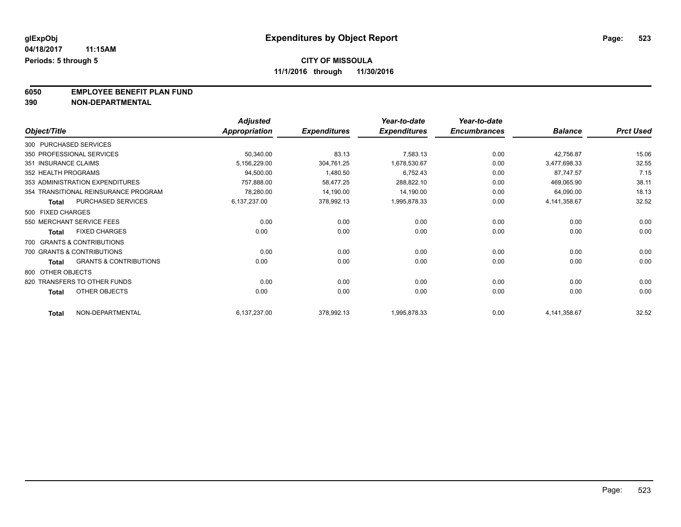**6050 EMPLOYEE BENEFIT PLAN FUND**<br>390 NON-DEPARTMENTAL

**390 NON-DEPARTMENTAL**

|                      |                                      | <b>Adjusted</b>      |                     | Year-to-date        | Year-to-date        |                |                  |
|----------------------|--------------------------------------|----------------------|---------------------|---------------------|---------------------|----------------|------------------|
| Object/Title         |                                      | <b>Appropriation</b> | <b>Expenditures</b> | <b>Expenditures</b> | <b>Encumbrances</b> | <b>Balance</b> | <b>Prct Used</b> |
|                      | 300 PURCHASED SERVICES               |                      |                     |                     |                     |                |                  |
|                      | 350 PROFESSIONAL SERVICES            | 50,340.00            | 83.13               | 7,583.13            | 0.00                | 42,756.87      | 15.06            |
| 351 INSURANCE CLAIMS |                                      | 5,156,229.00         | 304,761.25          | 1,678,530.67        | 0.00                | 3,477,698.33   | 32.55            |
| 352 HEALTH PROGRAMS  |                                      | 94,500.00            | 1,480.50            | 6,752.43            | 0.00                | 87,747.57      | 7.15             |
|                      | 353 ADMINISTRATION EXPENDITURES      | 757,888.00           | 58,477.25           | 288,822.10          | 0.00                | 469,065.90     | 38.11            |
|                      | 354 TRANSITIONAL REINSURANCE PROGRAM | 78,280.00            | 14,190.00           | 14,190.00           | 0.00                | 64,090.00      | 18.13            |
| <b>Total</b>         | PURCHASED SERVICES                   | 6,137,237.00         | 378,992.13          | 1,995,878.33        | 0.00                | 4,141,358.67   | 32.52            |
| 500 FIXED CHARGES    |                                      |                      |                     |                     |                     |                |                  |
|                      | 550 MERCHANT SERVICE FEES            | 0.00                 | 0.00                | 0.00                | 0.00                | 0.00           | 0.00             |
| <b>Total</b>         | <b>FIXED CHARGES</b>                 | 0.00                 | 0.00                | 0.00                | 0.00                | 0.00           | 0.00             |
|                      | 700 GRANTS & CONTRIBUTIONS           |                      |                     |                     |                     |                |                  |
|                      | 700 GRANTS & CONTRIBUTIONS           | 0.00                 | 0.00                | 0.00                | 0.00                | 0.00           | 0.00             |
| <b>Total</b>         | <b>GRANTS &amp; CONTRIBUTIONS</b>    | 0.00                 | 0.00                | 0.00                | 0.00                | 0.00           | 0.00             |
| 800 OTHER OBJECTS    |                                      |                      |                     |                     |                     |                |                  |
|                      | 820 TRANSFERS TO OTHER FUNDS         | 0.00                 | 0.00                | 0.00                | 0.00                | 0.00           | 0.00             |
| <b>Total</b>         | OTHER OBJECTS                        | 0.00                 | 0.00                | 0.00                | 0.00                | 0.00           | 0.00             |
| <b>Total</b>         | NON-DEPARTMENTAL                     | 6,137,237.00         | 378,992.13          | 1,995,878.33        | 0.00                | 4,141,358.67   | 32.52            |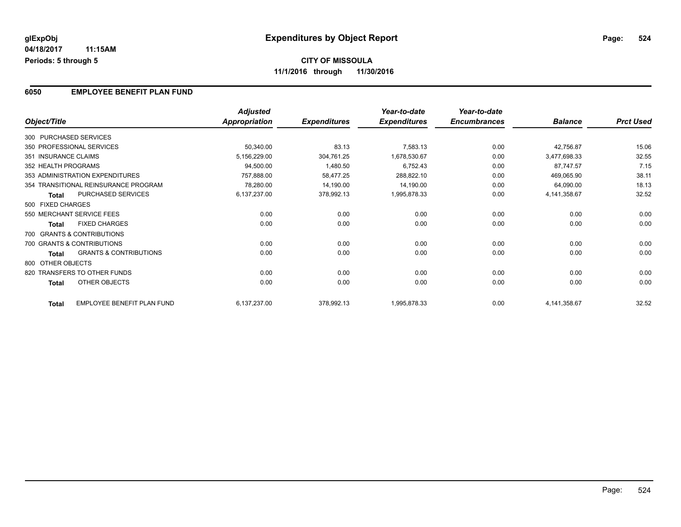#### **6050 EMPLOYEE BENEFIT PLAN FUND**

|                      |                                      | <b>Adjusted</b> |                     | Year-to-date        | Year-to-date        |                |                  |
|----------------------|--------------------------------------|-----------------|---------------------|---------------------|---------------------|----------------|------------------|
| Object/Title         |                                      | Appropriation   | <b>Expenditures</b> | <b>Expenditures</b> | <b>Encumbrances</b> | <b>Balance</b> | <b>Prct Used</b> |
|                      | 300 PURCHASED SERVICES               |                 |                     |                     |                     |                |                  |
|                      | 350 PROFESSIONAL SERVICES            | 50,340.00       | 83.13               | 7,583.13            | 0.00                | 42.756.87      | 15.06            |
| 351 INSURANCE CLAIMS |                                      | 5,156,229.00    | 304,761.25          | 1,678,530.67        | 0.00                | 3,477,698.33   | 32.55            |
| 352 HEALTH PROGRAMS  |                                      | 94,500.00       | 1,480.50            | 6,752.43            | 0.00                | 87.747.57      | 7.15             |
|                      | 353 ADMINISTRATION EXPENDITURES      | 757,888.00      | 58,477.25           | 288,822.10          | 0.00                | 469,065.90     | 38.11            |
|                      | 354 TRANSITIONAL REINSURANCE PROGRAM | 78,280.00       | 14,190.00           | 14,190.00           | 0.00                | 64,090.00      | 18.13            |
| <b>Total</b>         | PURCHASED SERVICES                   | 6,137,237.00    | 378,992.13          | 1,995,878.33        | 0.00                | 4,141,358.67   | 32.52            |
| 500 FIXED CHARGES    |                                      |                 |                     |                     |                     |                |                  |
|                      | 550 MERCHANT SERVICE FEES            | 0.00            | 0.00                | 0.00                | 0.00                | 0.00           | 0.00             |
| <b>Total</b>         | <b>FIXED CHARGES</b>                 | 0.00            | 0.00                | 0.00                | 0.00                | 0.00           | 0.00             |
|                      | 700 GRANTS & CONTRIBUTIONS           |                 |                     |                     |                     |                |                  |
|                      | 700 GRANTS & CONTRIBUTIONS           | 0.00            | 0.00                | 0.00                | 0.00                | 0.00           | 0.00             |
| Total                | <b>GRANTS &amp; CONTRIBUTIONS</b>    | 0.00            | 0.00                | 0.00                | 0.00                | 0.00           | 0.00             |
| 800 OTHER OBJECTS    |                                      |                 |                     |                     |                     |                |                  |
|                      | 820 TRANSFERS TO OTHER FUNDS         | 0.00            | 0.00                | 0.00                | 0.00                | 0.00           | 0.00             |
| Total                | OTHER OBJECTS                        | 0.00            | 0.00                | 0.00                | 0.00                | 0.00           | 0.00             |
| <b>Total</b>         | EMPLOYEE BENEFIT PLAN FUND           | 6,137,237.00    | 378,992.13          | 1,995,878.33        | 0.00                | 4,141,358.67   | 32.52            |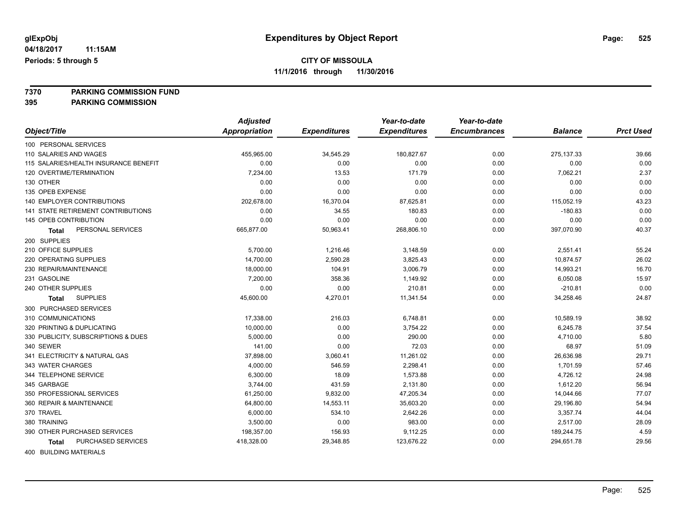**7370 PARKING COMMISSION FUND**

**395 PARKING COMMISSION**

|                                           | <b>Adjusted</b> |                     | Year-to-date        | Year-to-date        |                |                  |
|-------------------------------------------|-----------------|---------------------|---------------------|---------------------|----------------|------------------|
| Object/Title                              | Appropriation   | <b>Expenditures</b> | <b>Expenditures</b> | <b>Encumbrances</b> | <b>Balance</b> | <b>Prct Used</b> |
| 100 PERSONAL SERVICES                     |                 |                     |                     |                     |                |                  |
| 110 SALARIES AND WAGES                    | 455,965.00      | 34,545.29           | 180,827.67          | 0.00                | 275, 137.33    | 39.66            |
| 115 SALARIES/HEALTH INSURANCE BENEFIT     | 0.00            | 0.00                | 0.00                | 0.00                | 0.00           | 0.00             |
| 120 OVERTIME/TERMINATION                  | 7,234.00        | 13.53               | 171.79              | 0.00                | 7,062.21       | 2.37             |
| 130 OTHER                                 | 0.00            | 0.00                | 0.00                | 0.00                | 0.00           | 0.00             |
| 135 OPEB EXPENSE                          | 0.00            | 0.00                | 0.00                | 0.00                | 0.00           | 0.00             |
| 140 EMPLOYER CONTRIBUTIONS                | 202,678.00      | 16,370.04           | 87,625.81           | 0.00                | 115,052.19     | 43.23            |
| <b>141 STATE RETIREMENT CONTRIBUTIONS</b> | 0.00            | 34.55               | 180.83              | 0.00                | $-180.83$      | 0.00             |
| 145 OPEB CONTRIBUTION                     | 0.00            | 0.00                | 0.00                | 0.00                | 0.00           | 0.00             |
| PERSONAL SERVICES<br><b>Total</b>         | 665,877.00      | 50,963.41           | 268,806.10          | 0.00                | 397,070.90     | 40.37            |
| 200 SUPPLIES                              |                 |                     |                     |                     |                |                  |
| 210 OFFICE SUPPLIES                       | 5,700.00        | 1,216.46            | 3,148.59            | 0.00                | 2,551.41       | 55.24            |
| 220 OPERATING SUPPLIES                    | 14,700.00       | 2,590.28            | 3,825.43            | 0.00                | 10,874.57      | 26.02            |
| 230 REPAIR/MAINTENANCE                    | 18,000.00       | 104.91              | 3,006.79            | 0.00                | 14,993.21      | 16.70            |
| 231 GASOLINE                              | 7,200.00        | 358.36              | 1,149.92            | 0.00                | 6,050.08       | 15.97            |
| 240 OTHER SUPPLIES                        | 0.00            | 0.00                | 210.81              | 0.00                | $-210.81$      | 0.00             |
| <b>SUPPLIES</b><br><b>Total</b>           | 45,600.00       | 4,270.01            | 11,341.54           | 0.00                | 34,258.46      | 24.87            |
| 300 PURCHASED SERVICES                    |                 |                     |                     |                     |                |                  |
| 310 COMMUNICATIONS                        | 17,338.00       | 216.03              | 6,748.81            | 0.00                | 10,589.19      | 38.92            |
| 320 PRINTING & DUPLICATING                | 10,000.00       | 0.00                | 3,754.22            | 0.00                | 6,245.78       | 37.54            |
| 330 PUBLICITY, SUBSCRIPTIONS & DUES       | 5,000.00        | 0.00                | 290.00              | 0.00                | 4,710.00       | 5.80             |
| 340 SEWER                                 | 141.00          | 0.00                | 72.03               | 0.00                | 68.97          | 51.09            |
| 341 ELECTRICITY & NATURAL GAS             | 37,898.00       | 3,060.41            | 11,261.02           | 0.00                | 26,636.98      | 29.71            |
| 343 WATER CHARGES                         | 4,000.00        | 546.59              | 2,298.41            | 0.00                | 1,701.59       | 57.46            |
| 344 TELEPHONE SERVICE                     | 6,300.00        | 18.09               | 1,573.88            | 0.00                | 4,726.12       | 24.98            |
| 345 GARBAGE                               | 3,744.00        | 431.59              | 2,131.80            | 0.00                | 1,612.20       | 56.94            |
| 350 PROFESSIONAL SERVICES                 | 61,250.00       | 9,832.00            | 47,205.34           | 0.00                | 14,044.66      | 77.07            |
| 360 REPAIR & MAINTENANCE                  | 64,800.00       | 14,553.11           | 35,603.20           | 0.00                | 29,196.80      | 54.94            |
| 370 TRAVEL                                | 6,000.00        | 534.10              | 2,642.26            | 0.00                | 3,357.74       | 44.04            |
| 380 TRAINING                              | 3,500.00        | 0.00                | 983.00              | 0.00                | 2,517.00       | 28.09            |
| 390 OTHER PURCHASED SERVICES              | 198,357.00      | 156.93              | 9,112.25            | 0.00                | 189,244.75     | 4.59             |
| PURCHASED SERVICES<br><b>Total</b>        | 418,328.00      | 29,348.85           | 123,676.22          | 0.00                | 294,651.78     | 29.56            |
|                                           |                 |                     |                     |                     |                |                  |

400 BUILDING MATERIALS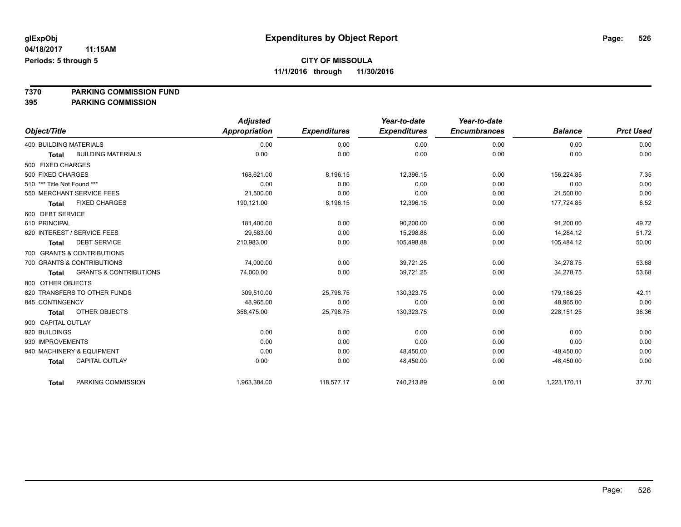**7370 PARKING COMMISSION FUND**

**395 PARKING COMMISSION**

|                               |                                   | <b>Adjusted</b> |                     | Year-to-date        | Year-to-date        |                |                  |
|-------------------------------|-----------------------------------|-----------------|---------------------|---------------------|---------------------|----------------|------------------|
| Object/Title                  |                                   | Appropriation   | <b>Expenditures</b> | <b>Expenditures</b> | <b>Encumbrances</b> | <b>Balance</b> | <b>Prct Used</b> |
| <b>400 BUILDING MATERIALS</b> |                                   | 0.00            | 0.00                | 0.00                | 0.00                | 0.00           | 0.00             |
| <b>Total</b>                  | <b>BUILDING MATERIALS</b>         | 0.00            | 0.00                | 0.00                | 0.00                | 0.00           | 0.00             |
| 500 FIXED CHARGES             |                                   |                 |                     |                     |                     |                |                  |
| 500 FIXED CHARGES             |                                   | 168,621.00      | 8,196.15            | 12,396.15           | 0.00                | 156,224.85     | 7.35             |
| 510 *** Title Not Found ***   |                                   | 0.00            | 0.00                | 0.00                | 0.00                | 0.00           | 0.00             |
|                               | 550 MERCHANT SERVICE FEES         | 21,500.00       | 0.00                | 0.00                | 0.00                | 21,500.00      | 0.00             |
| <b>Total</b>                  | <b>FIXED CHARGES</b>              | 190,121.00      | 8,196.15            | 12,396.15           | 0.00                | 177,724.85     | 6.52             |
| 600 DEBT SERVICE              |                                   |                 |                     |                     |                     |                |                  |
| 610 PRINCIPAL                 |                                   | 181,400.00      | 0.00                | 90,200.00           | 0.00                | 91,200.00      | 49.72            |
|                               | 620 INTEREST / SERVICE FEES       | 29,583.00       | 0.00                | 15,298.88           | 0.00                | 14,284.12      | 51.72            |
| <b>Total</b>                  | <b>DEBT SERVICE</b>               | 210,983.00      | 0.00                | 105,498.88          | 0.00                | 105,484.12     | 50.00            |
|                               | 700 GRANTS & CONTRIBUTIONS        |                 |                     |                     |                     |                |                  |
|                               | 700 GRANTS & CONTRIBUTIONS        | 74,000.00       | 0.00                | 39,721.25           | 0.00                | 34,278.75      | 53.68            |
| <b>Total</b>                  | <b>GRANTS &amp; CONTRIBUTIONS</b> | 74,000.00       | 0.00                | 39,721.25           | 0.00                | 34,278.75      | 53.68            |
| 800 OTHER OBJECTS             |                                   |                 |                     |                     |                     |                |                  |
|                               | 820 TRANSFERS TO OTHER FUNDS      | 309,510.00      | 25,798.75           | 130,323.75          | 0.00                | 179,186.25     | 42.11            |
| 845 CONTINGENCY               |                                   | 48,965.00       | 0.00                | 0.00                | 0.00                | 48.965.00      | 0.00             |
| <b>Total</b>                  | OTHER OBJECTS                     | 358,475.00      | 25,798.75           | 130,323.75          | 0.00                | 228, 151.25    | 36.36            |
| 900 CAPITAL OUTLAY            |                                   |                 |                     |                     |                     |                |                  |
| 920 BUILDINGS                 |                                   | 0.00            | 0.00                | 0.00                | 0.00                | 0.00           | 0.00             |
| 930 IMPROVEMENTS              |                                   | 0.00            | 0.00                | 0.00                | 0.00                | 0.00           | 0.00             |
|                               | 940 MACHINERY & EQUIPMENT         | 0.00            | 0.00                | 48,450.00           | 0.00                | $-48,450.00$   | 0.00             |
| <b>Total</b>                  | <b>CAPITAL OUTLAY</b>             | 0.00            | 0.00                | 48,450.00           | 0.00                | $-48,450.00$   | 0.00             |
| Total                         | PARKING COMMISSION                | 1,963,384.00    | 118,577.17          | 740,213.89          | 0.00                | 1,223,170.11   | 37.70            |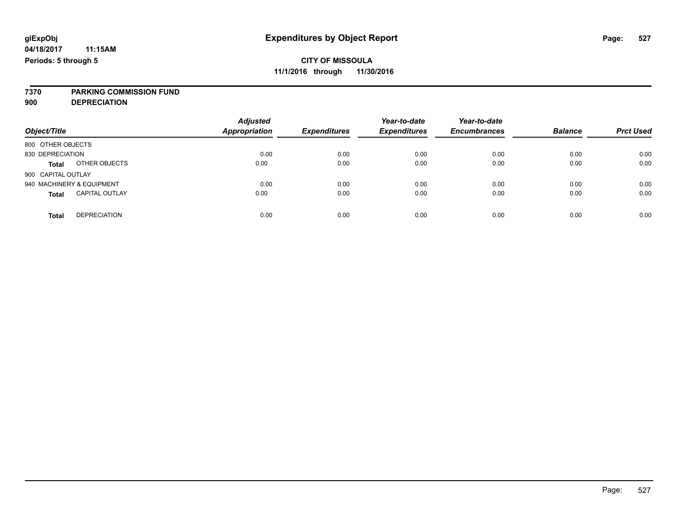# **7370 PARKING COMMISSION FUND**

**900 DEPRECIATION**

| Object/Title                          | <b>Adjusted</b><br><b>Appropriation</b> | <b>Expenditures</b> | Year-to-date<br><b>Expenditures</b> | Year-to-date<br><b>Encumbrances</b> | <b>Balance</b> | <b>Prct Used</b> |
|---------------------------------------|-----------------------------------------|---------------------|-------------------------------------|-------------------------------------|----------------|------------------|
| 800 OTHER OBJECTS                     |                                         |                     |                                     |                                     |                |                  |
| 830 DEPRECIATION                      | 0.00                                    | 0.00                | 0.00                                | 0.00                                | 0.00           | 0.00             |
| OTHER OBJECTS<br><b>Total</b>         | 0.00                                    | 0.00                | 0.00                                | 0.00                                | 0.00           | 0.00             |
| 900 CAPITAL OUTLAY                    |                                         |                     |                                     |                                     |                |                  |
| 940 MACHINERY & EQUIPMENT             | 0.00                                    | 0.00                | 0.00                                | 0.00                                | 0.00           | 0.00             |
| <b>CAPITAL OUTLAY</b><br><b>Total</b> | 0.00                                    | 0.00                | 0.00                                | 0.00                                | 0.00           | 0.00             |
|                                       |                                         |                     |                                     |                                     |                |                  |
| <b>DEPRECIATION</b><br>Total          | 0.00                                    | 0.00                | 0.00                                | 0.00                                | 0.00           | 0.00             |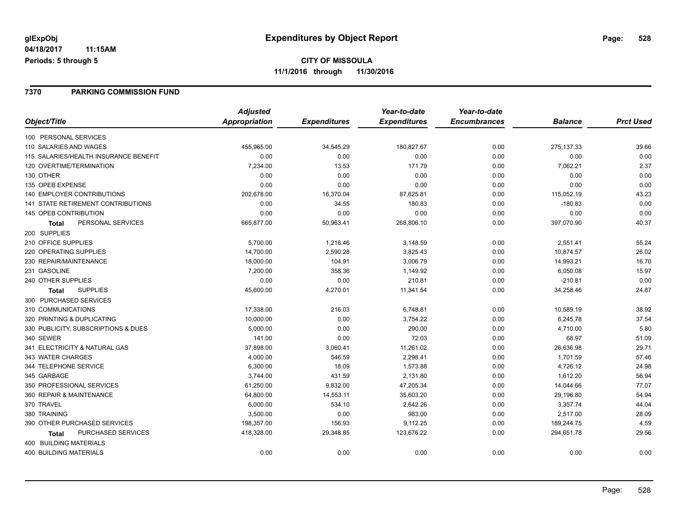#### **7370 PARKING COMMISSION FUND**

|                                       | <b>Adjusted</b> |                     | Year-to-date        | Year-to-date        |                |                  |
|---------------------------------------|-----------------|---------------------|---------------------|---------------------|----------------|------------------|
| Object/Title                          | Appropriation   | <b>Expenditures</b> | <b>Expenditures</b> | <b>Encumbrances</b> | <b>Balance</b> | <b>Prct Used</b> |
| 100 PERSONAL SERVICES                 |                 |                     |                     |                     |                |                  |
| 110 SALARIES AND WAGES                | 455,965.00      | 34,545.29           | 180,827.67          | 0.00                | 275, 137.33    | 39.66            |
| 115 SALARIES/HEALTH INSURANCE BENEFIT | 0.00            | 0.00                | 0.00                | 0.00                | 0.00           | 0.00             |
| 120 OVERTIME/TERMINATION              | 7,234.00        | 13.53               | 171.79              | 0.00                | 7,062.21       | 2.37             |
| 130 OTHER                             | 0.00            | 0.00                | 0.00                | 0.00                | 0.00           | 0.00             |
| 135 OPEB EXPENSE                      | 0.00            | 0.00                | 0.00                | 0.00                | 0.00           | 0.00             |
| <b>140 EMPLOYER CONTRIBUTIONS</b>     | 202,678.00      | 16,370.04           | 87,625.81           | 0.00                | 115,052.19     | 43.23            |
| 141 STATE RETIREMENT CONTRIBUTIONS    | 0.00            | 34.55               | 180.83              | 0.00                | $-180.83$      | 0.00             |
| 145 OPEB CONTRIBUTION                 | 0.00            | 0.00                | 0.00                | 0.00                | 0.00           | 0.00             |
| PERSONAL SERVICES<br><b>Total</b>     | 665,877.00      | 50,963.41           | 268,806.10          | 0.00                | 397,070.90     | 40.37            |
| 200 SUPPLIES                          |                 |                     |                     |                     |                |                  |
| 210 OFFICE SUPPLIES                   | 5,700.00        | 1,216.46            | 3,148.59            | 0.00                | 2,551.41       | 55.24            |
| 220 OPERATING SUPPLIES                | 14,700.00       | 2,590.28            | 3,825.43            | 0.00                | 10,874.57      | 26.02            |
| 230 REPAIR/MAINTENANCE                | 18,000.00       | 104.91              | 3,006.79            | 0.00                | 14,993.21      | 16.70            |
| 231 GASOLINE                          | 7,200.00        | 358.36              | 1,149.92            | 0.00                | 6,050.08       | 15.97            |
| 240 OTHER SUPPLIES                    | 0.00            | 0.00                | 210.81              | 0.00                | $-210.81$      | 0.00             |
| <b>SUPPLIES</b><br>Total              | 45,600.00       | 4,270.01            | 11,341.54           | 0.00                | 34,258.46      | 24.87            |
| 300 PURCHASED SERVICES                |                 |                     |                     |                     |                |                  |
| 310 COMMUNICATIONS                    | 17,338.00       | 216.03              | 6,748.81            | 0.00                | 10,589.19      | 38.92            |
| 320 PRINTING & DUPLICATING            | 10,000.00       | 0.00                | 3,754.22            | 0.00                | 6,245.78       | 37.54            |
| 330 PUBLICITY, SUBSCRIPTIONS & DUES   | 5,000.00        | 0.00                | 290.00              | 0.00                | 4,710.00       | 5.80             |
| 340 SEWER                             | 141.00          | 0.00                | 72.03               | 0.00                | 68.97          | 51.09            |
| 341 ELECTRICITY & NATURAL GAS         | 37,898.00       | 3,060.41            | 11,261.02           | 0.00                | 26,636.98      | 29.71            |
| 343 WATER CHARGES                     | 4,000.00        | 546.59              | 2,298.41            | 0.00                | 1,701.59       | 57.46            |
| 344 TELEPHONE SERVICE                 | 6,300.00        | 18.09               | 1,573.88            | 0.00                | 4,726.12       | 24.98            |
| 345 GARBAGE                           | 3,744.00        | 431.59              | 2,131.80            | 0.00                | 1,612.20       | 56.94            |
| 350 PROFESSIONAL SERVICES             | 61,250.00       | 9,832.00            | 47,205.34           | 0.00                | 14,044.66      | 77.07            |
| 360 REPAIR & MAINTENANCE              | 64,800.00       | 14,553.11           | 35,603.20           | 0.00                | 29,196.80      | 54.94            |
| 370 TRAVEL                            | 6,000.00        | 534.10              | 2,642.26            | 0.00                | 3,357.74       | 44.04            |
| 380 TRAINING                          | 3,500.00        | 0.00                | 983.00              | 0.00                | 2,517.00       | 28.09            |
| 390 OTHER PURCHASED SERVICES          | 198,357.00      | 156.93              | 9,112.25            | 0.00                | 189,244.75     | 4.59             |
| PURCHASED SERVICES<br>Total           | 418,328.00      | 29,348.85           | 123,676.22          | 0.00                | 294,651.78     | 29.56            |
| 400 BUILDING MATERIALS                |                 |                     |                     |                     |                |                  |
| <b>400 BUILDING MATERIALS</b>         | 0.00            | 0.00                | 0.00                | 0.00                | 0.00           | 0.00             |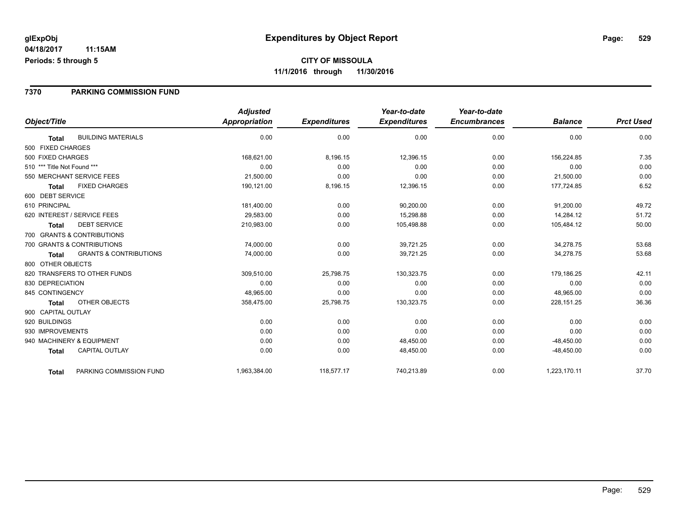#### **7370 PARKING COMMISSION FUND**

|                                                   | <b>Adjusted</b>      |                     | Year-to-date        | Year-to-date        |                |                  |
|---------------------------------------------------|----------------------|---------------------|---------------------|---------------------|----------------|------------------|
| Object/Title                                      | <b>Appropriation</b> | <b>Expenditures</b> | <b>Expenditures</b> | <b>Encumbrances</b> | <b>Balance</b> | <b>Prct Used</b> |
| <b>BUILDING MATERIALS</b><br><b>Total</b>         | 0.00                 | 0.00                | 0.00                | 0.00                | 0.00           | 0.00             |
| 500 FIXED CHARGES                                 |                      |                     |                     |                     |                |                  |
| 500 FIXED CHARGES                                 | 168.621.00           | 8,196.15            | 12,396.15           | 0.00                | 156.224.85     | 7.35             |
| 510 *** Title Not Found ***                       | 0.00                 | 0.00                | 0.00                | 0.00                | 0.00           | 0.00             |
| 550 MERCHANT SERVICE FEES                         | 21,500.00            | 0.00                | 0.00                | 0.00                | 21,500.00      | 0.00             |
| <b>FIXED CHARGES</b><br><b>Total</b>              | 190,121.00           | 8,196.15            | 12,396.15           | 0.00                | 177,724.85     | 6.52             |
| 600 DEBT SERVICE                                  |                      |                     |                     |                     |                |                  |
| 610 PRINCIPAL                                     | 181,400.00           | 0.00                | 90.200.00           | 0.00                | 91.200.00      | 49.72            |
| 620 INTEREST / SERVICE FEES                       | 29,583.00            | 0.00                | 15,298.88           | 0.00                | 14,284.12      | 51.72            |
| <b>DEBT SERVICE</b><br>Total                      | 210,983.00           | 0.00                | 105,498.88          | 0.00                | 105,484.12     | 50.00            |
| 700 GRANTS & CONTRIBUTIONS                        |                      |                     |                     |                     |                |                  |
| 700 GRANTS & CONTRIBUTIONS                        | 74,000.00            | 0.00                | 39,721.25           | 0.00                | 34,278.75      | 53.68            |
| <b>GRANTS &amp; CONTRIBUTIONS</b><br><b>Total</b> | 74,000.00            | 0.00                | 39,721.25           | 0.00                | 34,278.75      | 53.68            |
| 800 OTHER OBJECTS                                 |                      |                     |                     |                     |                |                  |
| 820 TRANSFERS TO OTHER FUNDS                      | 309,510.00           | 25,798.75           | 130,323.75          | 0.00                | 179,186.25     | 42.11            |
| 830 DEPRECIATION                                  | 0.00                 | 0.00                | 0.00                | 0.00                | 0.00           | 0.00             |
| 845 CONTINGENCY                                   | 48,965.00            | 0.00                | 0.00                | 0.00                | 48,965.00      | 0.00             |
| <b>OTHER OBJECTS</b><br><b>Total</b>              | 358,475.00           | 25,798.75           | 130,323.75          | 0.00                | 228, 151.25    | 36.36            |
| 900 CAPITAL OUTLAY                                |                      |                     |                     |                     |                |                  |
| 920 BUILDINGS                                     | 0.00                 | 0.00                | 0.00                | 0.00                | 0.00           | 0.00             |
| 930 IMPROVEMENTS                                  | 0.00                 | 0.00                | 0.00                | 0.00                | 0.00           | 0.00             |
| 940 MACHINERY & EQUIPMENT                         | 0.00                 | 0.00                | 48,450.00           | 0.00                | $-48,450.00$   | 0.00             |
| <b>CAPITAL OUTLAY</b><br><b>Total</b>             | 0.00                 | 0.00                | 48,450.00           | 0.00                | $-48,450.00$   | 0.00             |
| PARKING COMMISSION FUND<br><b>Total</b>           | 1,963,384.00         | 118,577.17          | 740,213.89          | 0.00                | 1,223,170.11   | 37.70            |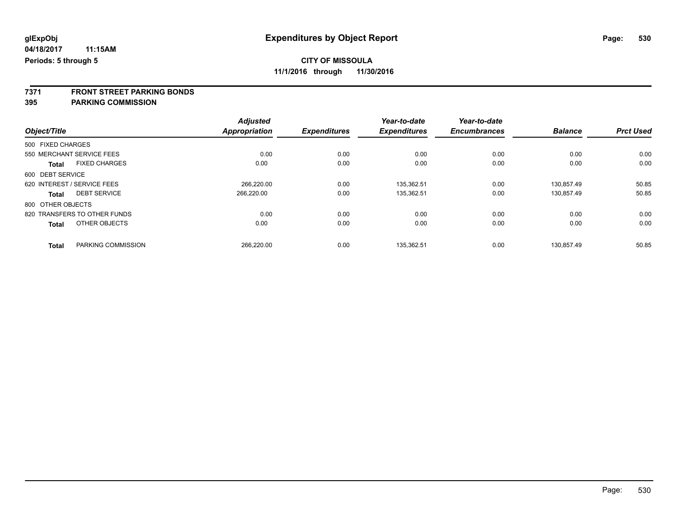**7371 FRONT STREET PARKING BONDS**

**395 PARKING COMMISSION**

|                                      | <b>Adjusted</b> |                     | Year-to-date        | Year-to-date        |                |                  |
|--------------------------------------|-----------------|---------------------|---------------------|---------------------|----------------|------------------|
| Object/Title                         | Appropriation   | <b>Expenditures</b> | <b>Expenditures</b> | <b>Encumbrances</b> | <b>Balance</b> | <b>Prct Used</b> |
| 500 FIXED CHARGES                    |                 |                     |                     |                     |                |                  |
| 550 MERCHANT SERVICE FEES            | 0.00            | 0.00                | 0.00                | 0.00                | 0.00           | 0.00             |
| <b>FIXED CHARGES</b><br><b>Total</b> | 0.00            | 0.00                | 0.00                | 0.00                | 0.00           | 0.00             |
| 600 DEBT SERVICE                     |                 |                     |                     |                     |                |                  |
| 620 INTEREST / SERVICE FEES          | 266.220.00      | 0.00                | 135.362.51          | 0.00                | 130.857.49     | 50.85            |
| <b>DEBT SERVICE</b><br>Total         | 266,220.00      | 0.00                | 135,362.51          | 0.00                | 130,857.49     | 50.85            |
| 800 OTHER OBJECTS                    |                 |                     |                     |                     |                |                  |
| 820 TRANSFERS TO OTHER FUNDS         | 0.00            | 0.00                | 0.00                | 0.00                | 0.00           | 0.00             |
| OTHER OBJECTS<br><b>Total</b>        | 0.00            | 0.00                | 0.00                | 0.00                | 0.00           | 0.00             |
| PARKING COMMISSION<br><b>Total</b>   | 266.220.00      | 0.00                | 135.362.51          | 0.00                | 130.857.49     | 50.85            |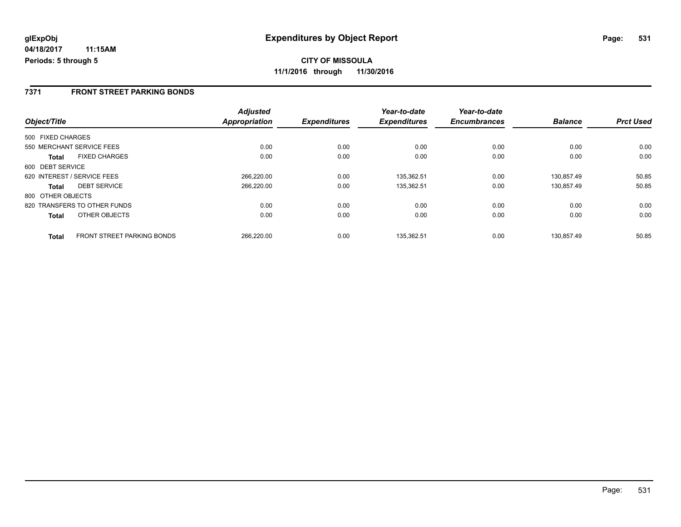**11/1/2016 through 11/30/2016**

#### **7371 FRONT STREET PARKING BONDS**

|                   |                                   | <b>Adjusted</b> |                     | Year-to-date        | Year-to-date        |                |                  |
|-------------------|-----------------------------------|-----------------|---------------------|---------------------|---------------------|----------------|------------------|
| Object/Title      |                                   | Appropriation   | <b>Expenditures</b> | <b>Expenditures</b> | <b>Encumbrances</b> | <b>Balance</b> | <b>Prct Used</b> |
| 500 FIXED CHARGES |                                   |                 |                     |                     |                     |                |                  |
|                   | 550 MERCHANT SERVICE FEES         | 0.00            | 0.00                | 0.00                | 0.00                | 0.00           | 0.00             |
| Total             | <b>FIXED CHARGES</b>              | 0.00            | 0.00                | 0.00                | 0.00                | 0.00           | 0.00             |
| 600 DEBT SERVICE  |                                   |                 |                     |                     |                     |                |                  |
|                   | 620 INTEREST / SERVICE FEES       | 266,220.00      | 0.00                | 135,362.51          | 0.00                | 130.857.49     | 50.85            |
| <b>Total</b>      | <b>DEBT SERVICE</b>               | 266.220.00      | 0.00                | 135.362.51          | 0.00                | 130.857.49     | 50.85            |
| 800 OTHER OBJECTS |                                   |                 |                     |                     |                     |                |                  |
|                   | 820 TRANSFERS TO OTHER FUNDS      | 0.00            | 0.00                | 0.00                | 0.00                | 0.00           | 0.00             |
| <b>Total</b>      | OTHER OBJECTS                     | 0.00            | 0.00                | 0.00                | 0.00                | 0.00           | 0.00             |
| <b>Total</b>      | <b>FRONT STREET PARKING BONDS</b> | 266.220.00      | 0.00                | 135.362.51          | 0.00                | 130.857.49     | 50.85            |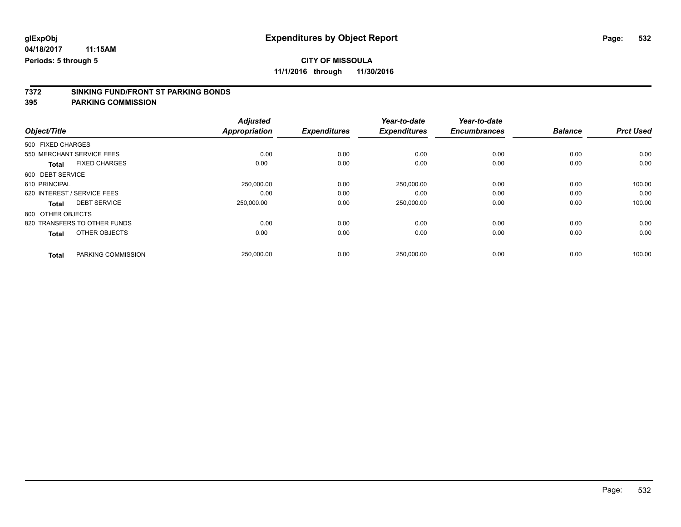# **CITY OF MISSOULA**

**11/1/2016 through 11/30/2016**

# **7372 SINKING FUND/FRONT ST PARKING BONDS**

**395 PARKING COMMISSION**

|                                      | <b>Adjusted</b>      |                     | Year-to-date        | Year-to-date        |                |                  |
|--------------------------------------|----------------------|---------------------|---------------------|---------------------|----------------|------------------|
| Object/Title                         | <b>Appropriation</b> | <b>Expenditures</b> | <b>Expenditures</b> | <b>Encumbrances</b> | <b>Balance</b> | <b>Prct Used</b> |
| 500 FIXED CHARGES                    |                      |                     |                     |                     |                |                  |
| 550 MERCHANT SERVICE FEES            | 0.00                 | 0.00                | 0.00                | 0.00                | 0.00           | 0.00             |
| <b>FIXED CHARGES</b><br><b>Total</b> | 0.00                 | 0.00                | 0.00                | 0.00                | 0.00           | 0.00             |
| 600 DEBT SERVICE                     |                      |                     |                     |                     |                |                  |
| 610 PRINCIPAL                        | 250,000.00           | 0.00                | 250,000.00          | 0.00                | 0.00           | 100.00           |
| 620 INTEREST / SERVICE FEES          | 0.00                 | 0.00                | 0.00                | 0.00                | 0.00           | 0.00             |
| <b>DEBT SERVICE</b><br><b>Total</b>  | 250,000.00           | 0.00                | 250,000.00          | 0.00                | 0.00           | 100.00           |
| 800 OTHER OBJECTS                    |                      |                     |                     |                     |                |                  |
| 820 TRANSFERS TO OTHER FUNDS         | 0.00                 | 0.00                | 0.00                | 0.00                | 0.00           | 0.00             |
| OTHER OBJECTS<br><b>Total</b>        | 0.00                 | 0.00                | 0.00                | 0.00                | 0.00           | 0.00             |
| PARKING COMMISSION<br><b>Total</b>   | 250,000.00           | 0.00                | 250,000.00          | 0.00                | 0.00           | 100.00           |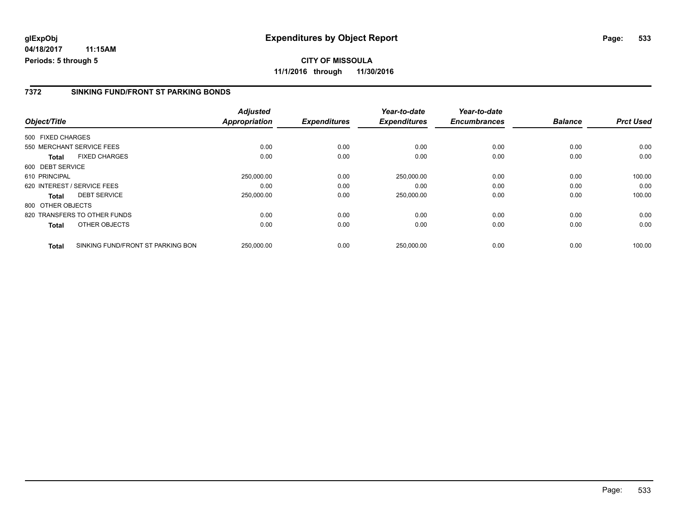#### **7372 SINKING FUND/FRONT ST PARKING BONDS**

|                   |                                   | <b>Adjusted</b>      |                     | Year-to-date        | Year-to-date        |                |                  |
|-------------------|-----------------------------------|----------------------|---------------------|---------------------|---------------------|----------------|------------------|
| Object/Title      |                                   | <b>Appropriation</b> | <b>Expenditures</b> | <b>Expenditures</b> | <b>Encumbrances</b> | <b>Balance</b> | <b>Prct Used</b> |
| 500 FIXED CHARGES |                                   |                      |                     |                     |                     |                |                  |
|                   | 550 MERCHANT SERVICE FEES         | 0.00                 | 0.00                | 0.00                | 0.00                | 0.00           | 0.00             |
| <b>Total</b>      | <b>FIXED CHARGES</b>              | 0.00                 | 0.00                | 0.00                | 0.00                | 0.00           | 0.00             |
| 600 DEBT SERVICE  |                                   |                      |                     |                     |                     |                |                  |
| 610 PRINCIPAL     |                                   | 250,000.00           | 0.00                | 250,000.00          | 0.00                | 0.00           | 100.00           |
|                   | 620 INTEREST / SERVICE FEES       | 0.00                 | 0.00                | 0.00                | 0.00                | 0.00           | 0.00             |
| <b>Total</b>      | <b>DEBT SERVICE</b>               | 250,000.00           | 0.00                | 250,000.00          | 0.00                | 0.00           | 100.00           |
| 800 OTHER OBJECTS |                                   |                      |                     |                     |                     |                |                  |
|                   | 820 TRANSFERS TO OTHER FUNDS      | 0.00                 | 0.00                | 0.00                | 0.00                | 0.00           | 0.00             |
| Total             | OTHER OBJECTS                     | 0.00                 | 0.00                | 0.00                | 0.00                | 0.00           | 0.00             |
| <b>Total</b>      | SINKING FUND/FRONT ST PARKING BON | 250,000.00           | 0.00                | 250.000.00          | 0.00                | 0.00           | 100.00           |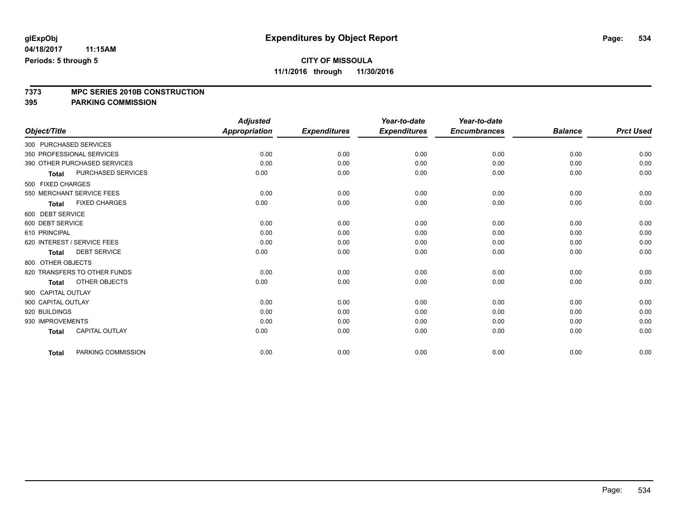**7373 MPC SERIES 2010B CONSTRUCTION**

**395 PARKING COMMISSION**

|                        |                              | <b>Adjusted</b>      |                     | Year-to-date        | Year-to-date        |                |                  |
|------------------------|------------------------------|----------------------|---------------------|---------------------|---------------------|----------------|------------------|
| Object/Title           |                              | <b>Appropriation</b> | <b>Expenditures</b> | <b>Expenditures</b> | <b>Encumbrances</b> | <b>Balance</b> | <b>Prct Used</b> |
| 300 PURCHASED SERVICES |                              |                      |                     |                     |                     |                |                  |
|                        | 350 PROFESSIONAL SERVICES    | 0.00                 | 0.00                | 0.00                | 0.00                | 0.00           | 0.00             |
|                        | 390 OTHER PURCHASED SERVICES | 0.00                 | 0.00                | 0.00                | 0.00                | 0.00           | 0.00             |
| <b>Total</b>           | PURCHASED SERVICES           | 0.00                 | 0.00                | 0.00                | 0.00                | 0.00           | 0.00             |
| 500 FIXED CHARGES      |                              |                      |                     |                     |                     |                |                  |
|                        | 550 MERCHANT SERVICE FEES    | 0.00                 | 0.00                | 0.00                | 0.00                | 0.00           | 0.00             |
| Total                  | <b>FIXED CHARGES</b>         | 0.00                 | 0.00                | 0.00                | 0.00                | 0.00           | 0.00             |
| 600 DEBT SERVICE       |                              |                      |                     |                     |                     |                |                  |
| 600 DEBT SERVICE       |                              | 0.00                 | 0.00                | 0.00                | 0.00                | 0.00           | 0.00             |
| 610 PRINCIPAL          |                              | 0.00                 | 0.00                | 0.00                | 0.00                | 0.00           | 0.00             |
|                        | 620 INTEREST / SERVICE FEES  | 0.00                 | 0.00                | 0.00                | 0.00                | 0.00           | 0.00             |
| Total                  | <b>DEBT SERVICE</b>          | 0.00                 | 0.00                | 0.00                | 0.00                | 0.00           | 0.00             |
| 800 OTHER OBJECTS      |                              |                      |                     |                     |                     |                |                  |
|                        | 820 TRANSFERS TO OTHER FUNDS | 0.00                 | 0.00                | 0.00                | 0.00                | 0.00           | 0.00             |
| <b>Total</b>           | OTHER OBJECTS                | 0.00                 | 0.00                | 0.00                | 0.00                | 0.00           | 0.00             |
| 900 CAPITAL OUTLAY     |                              |                      |                     |                     |                     |                |                  |
| 900 CAPITAL OUTLAY     |                              | 0.00                 | 0.00                | 0.00                | 0.00                | 0.00           | 0.00             |
| 920 BUILDINGS          |                              | 0.00                 | 0.00                | 0.00                | 0.00                | 0.00           | 0.00             |
| 930 IMPROVEMENTS       |                              | 0.00                 | 0.00                | 0.00                | 0.00                | 0.00           | 0.00             |
| <b>Total</b>           | <b>CAPITAL OUTLAY</b>        | 0.00                 | 0.00                | 0.00                | 0.00                | 0.00           | 0.00             |
| <b>Total</b>           | PARKING COMMISSION           | 0.00                 | 0.00                | 0.00                | 0.00                | 0.00           | 0.00             |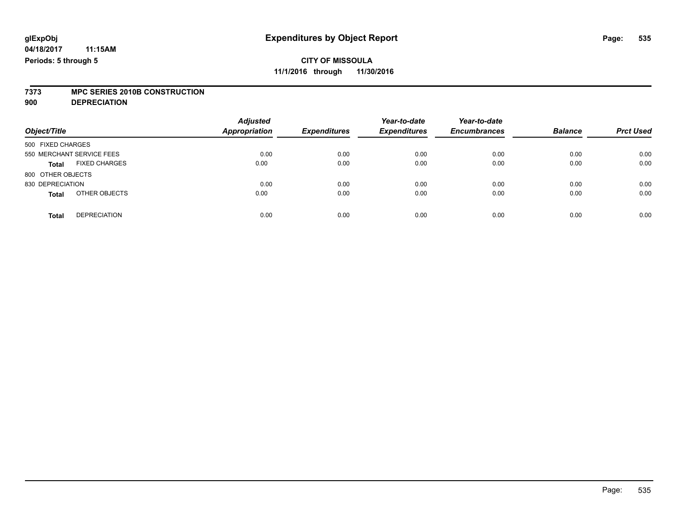# **7373 MPC SERIES 2010B CONSTRUCTION**

**900 DEPRECIATION**

| Object/Title                         | <b>Adjusted</b><br><b>Appropriation</b> | <b>Expenditures</b> | Year-to-date<br><b>Expenditures</b> | Year-to-date<br><b>Encumbrances</b> | <b>Balance</b> | <b>Prct Used</b> |
|--------------------------------------|-----------------------------------------|---------------------|-------------------------------------|-------------------------------------|----------------|------------------|
| 500 FIXED CHARGES                    |                                         |                     |                                     |                                     |                |                  |
| 550 MERCHANT SERVICE FEES            | 0.00                                    | 0.00                | 0.00                                | 0.00                                | 0.00           | 0.00             |
| <b>FIXED CHARGES</b><br><b>Total</b> | 0.00                                    | 0.00                | 0.00                                | 0.00                                | 0.00           | 0.00             |
| 800 OTHER OBJECTS                    |                                         |                     |                                     |                                     |                |                  |
| 830 DEPRECIATION                     | 0.00                                    | 0.00                | 0.00                                | 0.00                                | 0.00           | 0.00             |
| OTHER OBJECTS<br><b>Total</b>        | 0.00                                    | 0.00                | 0.00                                | 0.00                                | 0.00           | 0.00             |
| <b>DEPRECIATION</b><br><b>Total</b>  | 0.00                                    | 0.00                | 0.00                                | 0.00                                | 0.00           | 0.00             |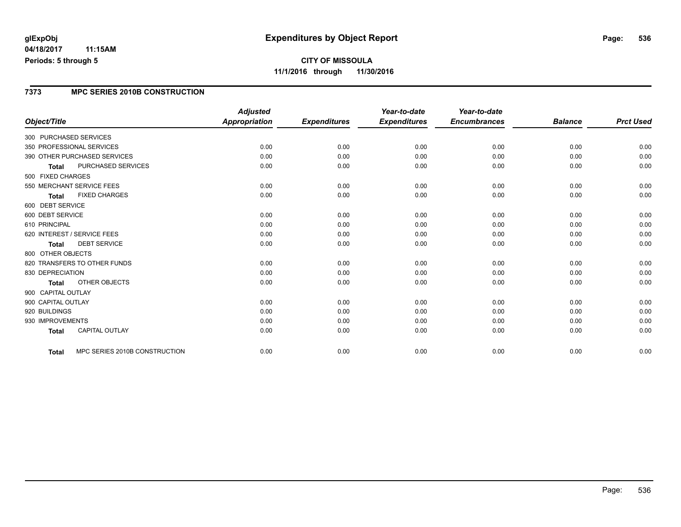#### **7373 MPC SERIES 2010B CONSTRUCTION**

|                                               | <b>Adjusted</b>      |                     | Year-to-date        | Year-to-date        |                |                  |
|-----------------------------------------------|----------------------|---------------------|---------------------|---------------------|----------------|------------------|
| Object/Title                                  | <b>Appropriation</b> | <b>Expenditures</b> | <b>Expenditures</b> | <b>Encumbrances</b> | <b>Balance</b> | <b>Prct Used</b> |
| 300 PURCHASED SERVICES                        |                      |                     |                     |                     |                |                  |
| 350 PROFESSIONAL SERVICES                     | 0.00                 | 0.00                | 0.00                | 0.00                | 0.00           | 0.00             |
| 390 OTHER PURCHASED SERVICES                  | 0.00                 | 0.00                | 0.00                | 0.00                | 0.00           | 0.00             |
| PURCHASED SERVICES<br><b>Total</b>            | 0.00                 | 0.00                | 0.00                | 0.00                | 0.00           | 0.00             |
| 500 FIXED CHARGES                             |                      |                     |                     |                     |                |                  |
| 550 MERCHANT SERVICE FEES                     | 0.00                 | 0.00                | 0.00                | 0.00                | 0.00           | 0.00             |
| <b>FIXED CHARGES</b><br><b>Total</b>          | 0.00                 | 0.00                | 0.00                | 0.00                | 0.00           | 0.00             |
| 600 DEBT SERVICE                              |                      |                     |                     |                     |                |                  |
| 600 DEBT SERVICE                              | 0.00                 | 0.00                | 0.00                | 0.00                | 0.00           | 0.00             |
| 610 PRINCIPAL                                 | 0.00                 | 0.00                | 0.00                | 0.00                | 0.00           | 0.00             |
| 620 INTEREST / SERVICE FEES                   | 0.00                 | 0.00                | 0.00                | 0.00                | 0.00           | 0.00             |
| <b>DEBT SERVICE</b><br>Total                  | 0.00                 | 0.00                | 0.00                | 0.00                | 0.00           | 0.00             |
| 800 OTHER OBJECTS                             |                      |                     |                     |                     |                |                  |
| 820 TRANSFERS TO OTHER FUNDS                  | 0.00                 | 0.00                | 0.00                | 0.00                | 0.00           | 0.00             |
| 830 DEPRECIATION                              | 0.00                 | 0.00                | 0.00                | 0.00                | 0.00           | 0.00             |
| OTHER OBJECTS<br><b>Total</b>                 | 0.00                 | 0.00                | 0.00                | 0.00                | 0.00           | 0.00             |
| 900 CAPITAL OUTLAY                            |                      |                     |                     |                     |                |                  |
| 900 CAPITAL OUTLAY                            | 0.00                 | 0.00                | 0.00                | 0.00                | 0.00           | 0.00             |
| 920 BUILDINGS                                 | 0.00                 | 0.00                | 0.00                | 0.00                | 0.00           | 0.00             |
| 930 IMPROVEMENTS                              | 0.00                 | 0.00                | 0.00                | 0.00                | 0.00           | 0.00             |
| CAPITAL OUTLAY<br><b>Total</b>                | 0.00                 | 0.00                | 0.00                | 0.00                | 0.00           | 0.00             |
|                                               |                      |                     |                     |                     |                |                  |
| MPC SERIES 2010B CONSTRUCTION<br><b>Total</b> | 0.00                 | 0.00                | 0.00                | 0.00                | 0.00           | 0.00             |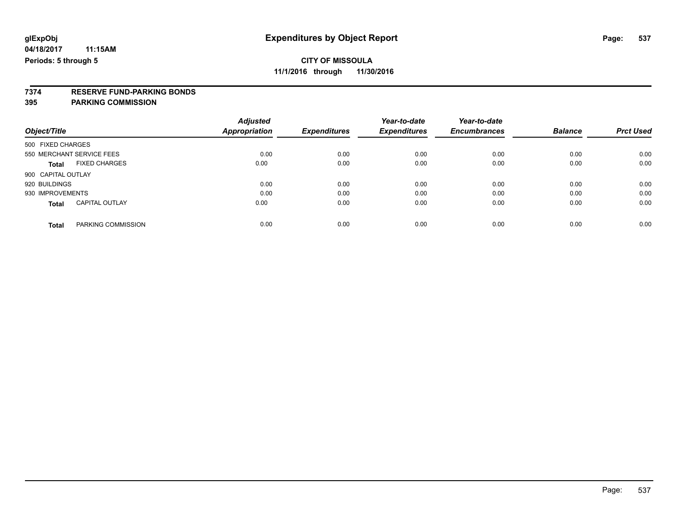# **7374 RESERVE FUND-PARKING BONDS**

#### **395 PARKING COMMISSION**

| Object/Title              |                       | <b>Adjusted</b><br>Appropriation | <b>Expenditures</b> | Year-to-date<br><b>Expenditures</b> | Year-to-date<br><b>Encumbrances</b> | <b>Balance</b> | <b>Prct Used</b> |
|---------------------------|-----------------------|----------------------------------|---------------------|-------------------------------------|-------------------------------------|----------------|------------------|
|                           |                       |                                  |                     |                                     |                                     |                |                  |
| 500 FIXED CHARGES         |                       |                                  |                     |                                     |                                     |                |                  |
| 550 MERCHANT SERVICE FEES |                       | 0.00                             | 0.00                | 0.00                                | 0.00                                | 0.00           | 0.00             |
| <b>Total</b>              | <b>FIXED CHARGES</b>  | 0.00                             | 0.00                | 0.00                                | 0.00                                | 0.00           | 0.00             |
| 900 CAPITAL OUTLAY        |                       |                                  |                     |                                     |                                     |                |                  |
| 920 BUILDINGS             |                       | 0.00                             | 0.00                | 0.00                                | 0.00                                | 0.00           | 0.00             |
| 930 IMPROVEMENTS          |                       | 0.00                             | 0.00                | 0.00                                | 0.00                                | 0.00           | 0.00             |
| <b>Total</b>              | <b>CAPITAL OUTLAY</b> | 0.00                             | 0.00                | 0.00                                | 0.00                                | 0.00           | 0.00             |
| <b>Total</b>              | PARKING COMMISSION    | 0.00                             | 0.00                | 0.00                                | 0.00                                | 0.00           | 0.00             |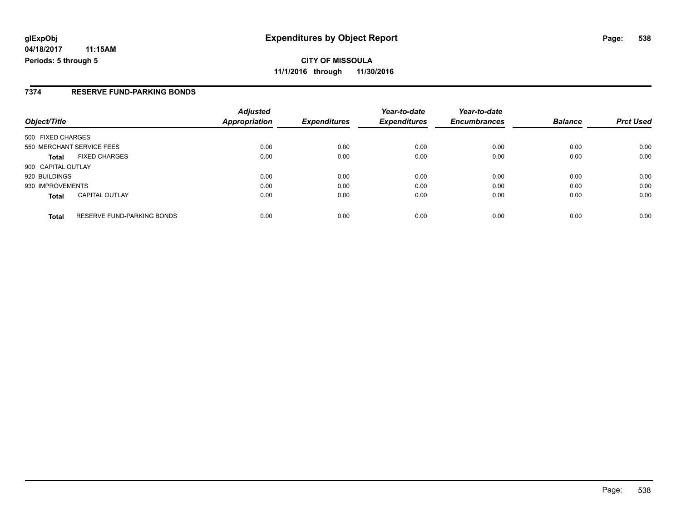**CITY OF MISSOULA 11/1/2016 through 11/30/2016**

#### **7374 RESERVE FUND-PARKING BONDS**

| Object/Title                          |                            | <b>Adjusted</b><br><b>Appropriation</b> | <b>Expenditures</b> | Year-to-date<br><b>Expenditures</b> | Year-to-date<br><b>Encumbrances</b> | <b>Balance</b> | <b>Prct Used</b> |
|---------------------------------------|----------------------------|-----------------------------------------|---------------------|-------------------------------------|-------------------------------------|----------------|------------------|
| 500 FIXED CHARGES                     |                            |                                         |                     |                                     |                                     |                |                  |
| 550 MERCHANT SERVICE FEES             |                            | 0.00                                    | 0.00                | 0.00                                | 0.00                                | 0.00           | 0.00             |
| <b>FIXED CHARGES</b><br><b>Total</b>  |                            | 0.00                                    | 0.00                | 0.00                                | 0.00                                | 0.00           | 0.00             |
| 900 CAPITAL OUTLAY                    |                            |                                         |                     |                                     |                                     |                |                  |
| 920 BUILDINGS                         |                            | 0.00                                    | 0.00                | 0.00                                | 0.00                                | 0.00           | 0.00             |
| 930 IMPROVEMENTS                      |                            | 0.00                                    | 0.00                | 0.00                                | 0.00                                | 0.00           | 0.00             |
| <b>CAPITAL OUTLAY</b><br><b>Total</b> |                            | 0.00                                    | 0.00                | 0.00                                | 0.00                                | 0.00           | 0.00             |
| <b>Total</b>                          | RESERVE FUND-PARKING BONDS | 0.00                                    | 0.00                | 0.00                                | 0.00                                | 0.00           | 0.00             |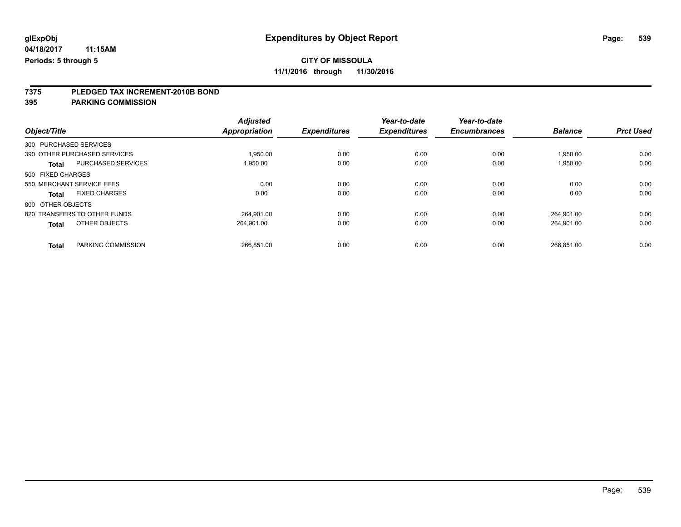# **CITY OF MISSOULA**

**11/1/2016 through 11/30/2016**

# **7375 PLEDGED TAX INCREMENT-2010B BOND**

**395 PARKING COMMISSION**

|              |                              | <b>Adjusted</b>                                                                                                                                                                     |                                    | Year-to-date                | Year-to-date                |                             |                              |
|--------------|------------------------------|-------------------------------------------------------------------------------------------------------------------------------------------------------------------------------------|------------------------------------|-----------------------------|-----------------------------|-----------------------------|------------------------------|
|              |                              |                                                                                                                                                                                     |                                    |                             |                             |                             | <b>Prct Used</b>             |
|              |                              |                                                                                                                                                                                     |                                    |                             |                             |                             |                              |
|              |                              | 1,950.00                                                                                                                                                                            | 0.00                               | 0.00                        | 0.00                        | 1,950.00                    | 0.00                         |
| <b>Total</b> | <b>PURCHASED SERVICES</b>    | 1.950.00                                                                                                                                                                            | 0.00                               | 0.00                        | 0.00                        | 1,950.00                    | 0.00                         |
|              |                              |                                                                                                                                                                                     |                                    |                             |                             |                             |                              |
|              |                              | 0.00                                                                                                                                                                                | 0.00                               | 0.00                        | 0.00                        | 0.00                        | 0.00                         |
| <b>Total</b> | <b>FIXED CHARGES</b>         | 0.00                                                                                                                                                                                | 0.00                               | 0.00                        | 0.00                        | 0.00                        | 0.00                         |
|              |                              |                                                                                                                                                                                     |                                    |                             |                             |                             |                              |
|              |                              | 264.901.00                                                                                                                                                                          | 0.00                               | 0.00                        | 0.00                        | 264.901.00                  | 0.00                         |
| <b>Total</b> | OTHER OBJECTS                | 264,901.00                                                                                                                                                                          | 0.00                               | 0.00                        | 0.00                        | 264,901.00                  | 0.00                         |
|              |                              |                                                                                                                                                                                     |                                    |                             |                             |                             | 0.00                         |
|              | Object/Title<br><b>Total</b> | 300 PURCHASED SERVICES<br>390 OTHER PURCHASED SERVICES<br>500 FIXED CHARGES<br>550 MERCHANT SERVICE FEES<br>800 OTHER OBJECTS<br>820 TRANSFERS TO OTHER FUNDS<br>PARKING COMMISSION | <b>Appropriation</b><br>266.851.00 | <b>Expenditures</b><br>0.00 | <b>Expenditures</b><br>0.00 | <b>Encumbrances</b><br>0.00 | <b>Balance</b><br>266,851.00 |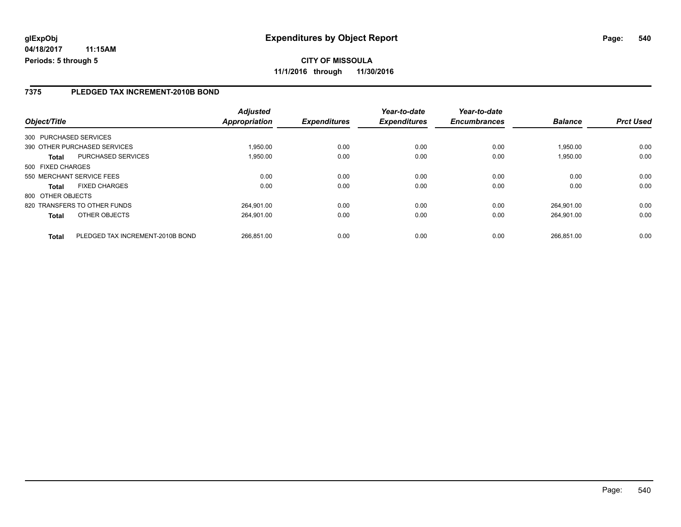**CITY OF MISSOULA 11/1/2016 through 11/30/2016**

#### **7375 PLEDGED TAX INCREMENT-2010B BOND**

| Object/Title      |                                  | <b>Adjusted</b><br>Appropriation | <b>Expenditures</b> | Year-to-date<br><b>Expenditures</b> | Year-to-date<br><b>Encumbrances</b> | <b>Balance</b> | <b>Prct Used</b> |
|-------------------|----------------------------------|----------------------------------|---------------------|-------------------------------------|-------------------------------------|----------------|------------------|
|                   |                                  |                                  |                     |                                     |                                     |                |                  |
|                   | 300 PURCHASED SERVICES           |                                  |                     |                                     |                                     |                |                  |
|                   | 390 OTHER PURCHASED SERVICES     | 1.950.00                         | 0.00                | 0.00                                | 0.00                                | 1.950.00       | 0.00             |
| <b>Total</b>      | <b>PURCHASED SERVICES</b>        | 1,950.00                         | 0.00                | 0.00                                | 0.00                                | 1,950.00       | 0.00             |
| 500 FIXED CHARGES |                                  |                                  |                     |                                     |                                     |                |                  |
|                   | 550 MERCHANT SERVICE FEES        | 0.00                             | 0.00                | 0.00                                | 0.00                                | 0.00           | 0.00             |
| <b>Total</b>      | <b>FIXED CHARGES</b>             | 0.00                             | 0.00                | 0.00                                | 0.00                                | 0.00           | 0.00             |
| 800 OTHER OBJECTS |                                  |                                  |                     |                                     |                                     |                |                  |
|                   | 820 TRANSFERS TO OTHER FUNDS     | 264.901.00                       | 0.00                | 0.00                                | 0.00                                | 264.901.00     | 0.00             |
| <b>Total</b>      | OTHER OBJECTS                    | 264.901.00                       | 0.00                | 0.00                                | 0.00                                | 264.901.00     | 0.00             |
|                   |                                  |                                  |                     |                                     |                                     |                |                  |
| <b>Total</b>      | PLEDGED TAX INCREMENT-2010B BOND | 266.851.00                       | 0.00                | 0.00                                | 0.00                                | 266.851.00     | 0.00             |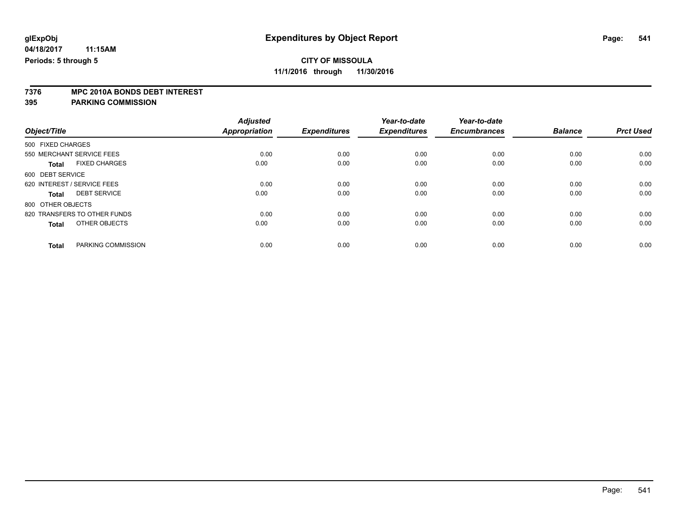**7376 MPC 2010A BONDS DEBT INTEREST**

**395 PARKING COMMISSION**

|                                      | <b>Adjusted</b><br>Appropriation | <b>Expenditures</b> | Year-to-date<br><b>Expenditures</b> | Year-to-date<br><b>Encumbrances</b> | <b>Balance</b> | <b>Prct Used</b> |
|--------------------------------------|----------------------------------|---------------------|-------------------------------------|-------------------------------------|----------------|------------------|
| Object/Title                         |                                  |                     |                                     |                                     |                |                  |
| 500 FIXED CHARGES                    |                                  |                     |                                     |                                     |                |                  |
| 550 MERCHANT SERVICE FEES            | 0.00                             | 0.00                | 0.00                                | 0.00                                | 0.00           | 0.00             |
| <b>FIXED CHARGES</b><br><b>Total</b> | 0.00                             | 0.00                | 0.00                                | 0.00                                | 0.00           | 0.00             |
| 600 DEBT SERVICE                     |                                  |                     |                                     |                                     |                |                  |
| 620 INTEREST / SERVICE FEES          | 0.00                             | 0.00                | 0.00                                | 0.00                                | 0.00           | 0.00             |
| <b>DEBT SERVICE</b><br>Total         | 0.00                             | 0.00                | 0.00                                | 0.00                                | 0.00           | 0.00             |
| 800 OTHER OBJECTS                    |                                  |                     |                                     |                                     |                |                  |
| 820 TRANSFERS TO OTHER FUNDS         | 0.00                             | 0.00                | 0.00                                | 0.00                                | 0.00           | 0.00             |
| OTHER OBJECTS<br><b>Total</b>        | 0.00                             | 0.00                | 0.00                                | 0.00                                | 0.00           | 0.00             |
|                                      |                                  |                     |                                     |                                     |                |                  |
| PARKING COMMISSION<br><b>Total</b>   | 0.00                             | 0.00                | 0.00                                | 0.00                                | 0.00           | 0.00             |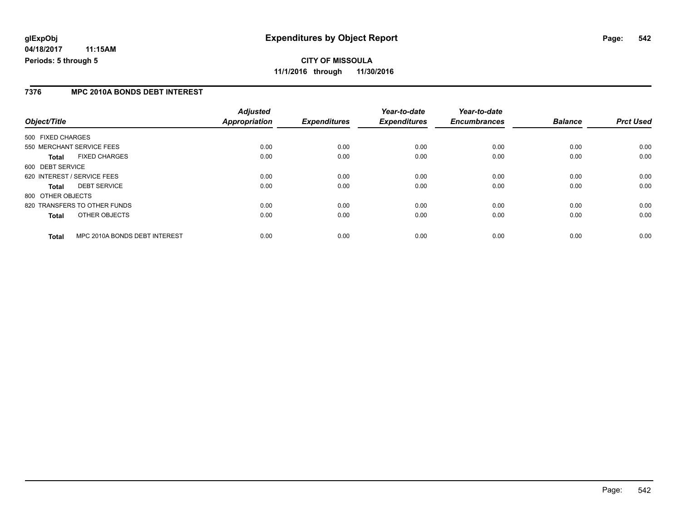**CITY OF MISSOULA 11/1/2016 through 11/30/2016**

#### **7376 MPC 2010A BONDS DEBT INTEREST**

|                   |                               | <b>Adjusted</b>      |                     | Year-to-date        | Year-to-date        |                |                  |
|-------------------|-------------------------------|----------------------|---------------------|---------------------|---------------------|----------------|------------------|
| Object/Title      |                               | <b>Appropriation</b> | <b>Expenditures</b> | <b>Expenditures</b> | <b>Encumbrances</b> | <b>Balance</b> | <b>Prct Used</b> |
| 500 FIXED CHARGES |                               |                      |                     |                     |                     |                |                  |
|                   | 550 MERCHANT SERVICE FEES     | 0.00                 | 0.00                | 0.00                | 0.00                | 0.00           | 0.00             |
| <b>Total</b>      | <b>FIXED CHARGES</b>          | 0.00                 | 0.00                | 0.00                | 0.00                | 0.00           | 0.00             |
| 600 DEBT SERVICE  |                               |                      |                     |                     |                     |                |                  |
|                   | 620 INTEREST / SERVICE FEES   | 0.00                 | 0.00                | 0.00                | 0.00                | 0.00           | 0.00             |
| <b>Total</b>      | <b>DEBT SERVICE</b>           | 0.00                 | 0.00                | 0.00                | 0.00                | 0.00           | 0.00             |
| 800 OTHER OBJECTS |                               |                      |                     |                     |                     |                |                  |
|                   | 820 TRANSFERS TO OTHER FUNDS  | 0.00                 | 0.00                | 0.00                | 0.00                | 0.00           | 0.00             |
| <b>Total</b>      | OTHER OBJECTS                 | 0.00                 | 0.00                | 0.00                | 0.00                | 0.00           | 0.00             |
| <b>Total</b>      | MPC 2010A BONDS DEBT INTEREST | 0.00                 | 0.00                | 0.00                | 0.00                | 0.00           | 0.00             |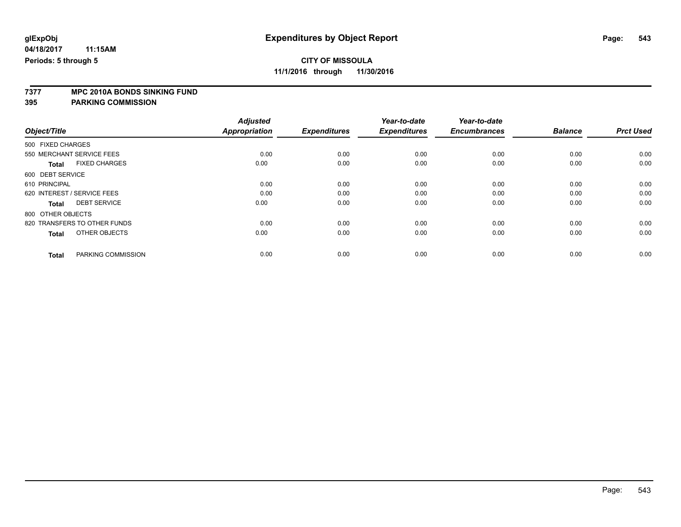**7377 MPC 2010A BONDS SINKING FUND**

**395 PARKING COMMISSION**

|                                      | <b>Adjusted</b>      |                     | Year-to-date        | Year-to-date        |                |                  |
|--------------------------------------|----------------------|---------------------|---------------------|---------------------|----------------|------------------|
| Object/Title                         | <b>Appropriation</b> | <b>Expenditures</b> | <b>Expenditures</b> | <b>Encumbrances</b> | <b>Balance</b> | <b>Prct Used</b> |
| 500 FIXED CHARGES                    |                      |                     |                     |                     |                |                  |
| 550 MERCHANT SERVICE FEES            | 0.00                 | 0.00                | 0.00                | 0.00                | 0.00           | 0.00             |
| <b>FIXED CHARGES</b><br><b>Total</b> | 0.00                 | 0.00                | 0.00                | 0.00                | 0.00           | 0.00             |
| 600 DEBT SERVICE                     |                      |                     |                     |                     |                |                  |
| 610 PRINCIPAL                        | 0.00                 | 0.00                | 0.00                | 0.00                | 0.00           | 0.00             |
| 620 INTEREST / SERVICE FEES          | 0.00                 | 0.00                | 0.00                | 0.00                | 0.00           | 0.00             |
| <b>DEBT SERVICE</b><br><b>Total</b>  | 0.00                 | 0.00                | 0.00                | 0.00                | 0.00           | 0.00             |
| 800 OTHER OBJECTS                    |                      |                     |                     |                     |                |                  |
| 820 TRANSFERS TO OTHER FUNDS         | 0.00                 | 0.00                | 0.00                | 0.00                | 0.00           | 0.00             |
| OTHER OBJECTS<br><b>Total</b>        | 0.00                 | 0.00                | 0.00                | 0.00                | 0.00           | 0.00             |
|                                      |                      |                     |                     |                     |                |                  |
| PARKING COMMISSION<br><b>Total</b>   | 0.00                 | 0.00                | 0.00                | 0.00                | 0.00           | 0.00             |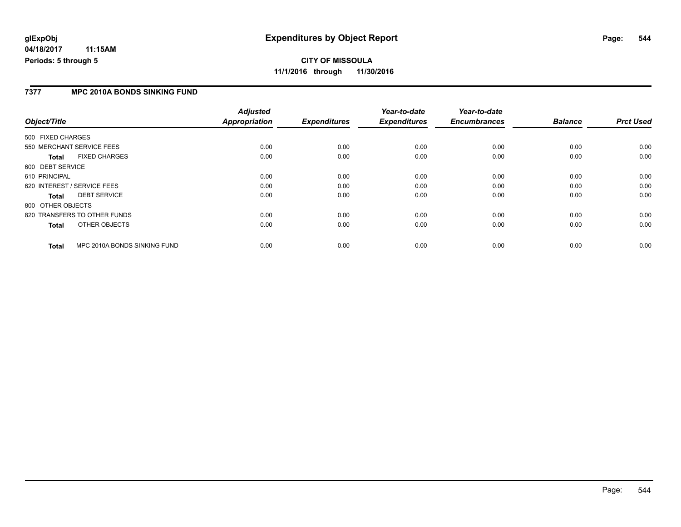**CITY OF MISSOULA 11/1/2016 through 11/30/2016**

#### **7377 MPC 2010A BONDS SINKING FUND**

|                   |                              | <b>Adjusted</b>      |                     | Year-to-date        | Year-to-date        |                |                  |
|-------------------|------------------------------|----------------------|---------------------|---------------------|---------------------|----------------|------------------|
| Object/Title      |                              | <b>Appropriation</b> | <b>Expenditures</b> | <b>Expenditures</b> | <b>Encumbrances</b> | <b>Balance</b> | <b>Prct Used</b> |
| 500 FIXED CHARGES |                              |                      |                     |                     |                     |                |                  |
|                   | 550 MERCHANT SERVICE FEES    | 0.00                 | 0.00                | 0.00                | 0.00                | 0.00           | 0.00             |
| <b>Total</b>      | <b>FIXED CHARGES</b>         | 0.00                 | 0.00                | 0.00                | 0.00                | 0.00           | 0.00             |
| 600 DEBT SERVICE  |                              |                      |                     |                     |                     |                |                  |
| 610 PRINCIPAL     |                              | 0.00                 | 0.00                | 0.00                | 0.00                | 0.00           | 0.00             |
|                   | 620 INTEREST / SERVICE FEES  | 0.00                 | 0.00                | 0.00                | 0.00                | 0.00           | 0.00             |
| Total             | <b>DEBT SERVICE</b>          | 0.00                 | 0.00                | 0.00                | 0.00                | 0.00           | 0.00             |
| 800 OTHER OBJECTS |                              |                      |                     |                     |                     |                |                  |
|                   | 820 TRANSFERS TO OTHER FUNDS | 0.00                 | 0.00                | 0.00                | 0.00                | 0.00           | 0.00             |
| <b>Total</b>      | OTHER OBJECTS                | 0.00                 | 0.00                | 0.00                | 0.00                | 0.00           | 0.00             |
| <b>Total</b>      | MPC 2010A BONDS SINKING FUND | 0.00                 | 0.00                | 0.00                | 0.00                | 0.00           | 0.00             |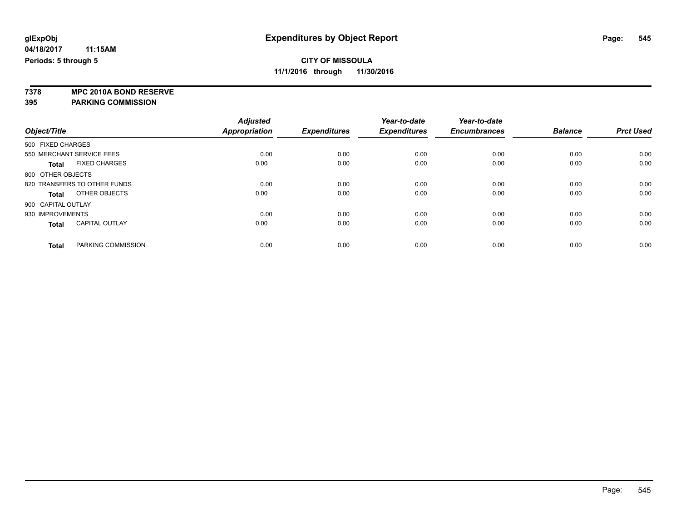**7378 MPC 2010A BOND RESERVE 395 PARKING COMMISSION**

|                                       | <b>Adjusted</b>      | <b>Expenditures</b> | Year-to-date<br><b>Expenditures</b> | Year-to-date<br><b>Encumbrances</b> | <b>Balance</b> | <b>Prct Used</b> |
|---------------------------------------|----------------------|---------------------|-------------------------------------|-------------------------------------|----------------|------------------|
| Object/Title                          | <b>Appropriation</b> |                     |                                     |                                     |                |                  |
| 500 FIXED CHARGES                     |                      |                     |                                     |                                     |                |                  |
| 550 MERCHANT SERVICE FEES             | 0.00                 | 0.00                | 0.00                                | 0.00                                | 0.00           | 0.00             |
| <b>FIXED CHARGES</b><br><b>Total</b>  | 0.00                 | 0.00                | 0.00                                | 0.00                                | 0.00           | 0.00             |
| 800 OTHER OBJECTS                     |                      |                     |                                     |                                     |                |                  |
| 820 TRANSFERS TO OTHER FUNDS          | 0.00                 | 0.00                | 0.00                                | 0.00                                | 0.00           | 0.00             |
| OTHER OBJECTS<br><b>Total</b>         | 0.00                 | 0.00                | 0.00                                | 0.00                                | 0.00           | 0.00             |
| 900 CAPITAL OUTLAY                    |                      |                     |                                     |                                     |                |                  |
| 930 IMPROVEMENTS                      | 0.00                 | 0.00                | 0.00                                | 0.00                                | 0.00           | 0.00             |
| <b>CAPITAL OUTLAY</b><br><b>Total</b> | 0.00                 | 0.00                | 0.00                                | 0.00                                | 0.00           | 0.00             |
| PARKING COMMISSION<br><b>Total</b>    | 0.00                 | 0.00                | 0.00                                | 0.00                                | 0.00           | 0.00             |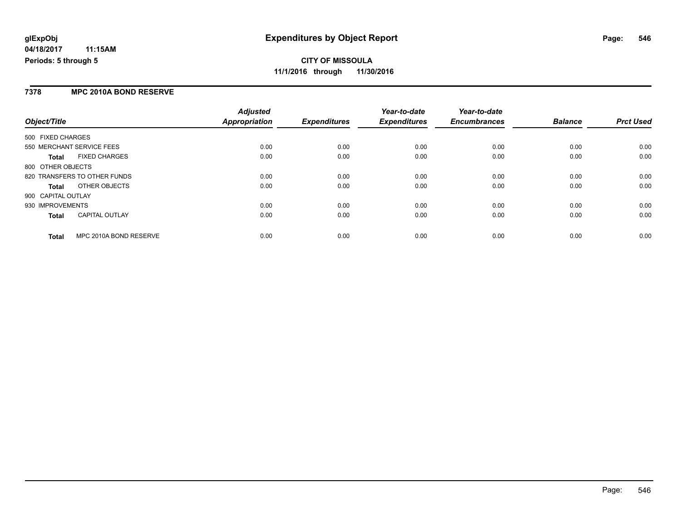#### **7378 MPC 2010A BOND RESERVE**

|                                        | <b>Adjusted</b> |                     | Year-to-date        | Year-to-date        |                |                  |
|----------------------------------------|-----------------|---------------------|---------------------|---------------------|----------------|------------------|
| Object/Title                           | Appropriation   | <b>Expenditures</b> | <b>Expenditures</b> | <b>Encumbrances</b> | <b>Balance</b> | <b>Prct Used</b> |
| 500 FIXED CHARGES                      |                 |                     |                     |                     |                |                  |
| 550 MERCHANT SERVICE FEES              | 0.00            | 0.00                | 0.00                | 0.00                | 0.00           | 0.00             |
| <b>FIXED CHARGES</b><br><b>Total</b>   | 0.00            | 0.00                | 0.00                | 0.00                | 0.00           | 0.00             |
| 800 OTHER OBJECTS                      |                 |                     |                     |                     |                |                  |
| 820 TRANSFERS TO OTHER FUNDS           | 0.00            | 0.00                | 0.00                | 0.00                | 0.00           | 0.00             |
| OTHER OBJECTS<br><b>Total</b>          | 0.00            | 0.00                | 0.00                | 0.00                | 0.00           | 0.00             |
| 900 CAPITAL OUTLAY                     |                 |                     |                     |                     |                |                  |
| 930 IMPROVEMENTS                       | 0.00            | 0.00                | 0.00                | 0.00                | 0.00           | 0.00             |
| <b>CAPITAL OUTLAY</b><br><b>Total</b>  | 0.00            | 0.00                | 0.00                | 0.00                | 0.00           | 0.00             |
| MPC 2010A BOND RESERVE<br><b>Total</b> | 0.00            | 0.00                | 0.00                | 0.00                | 0.00           | 0.00             |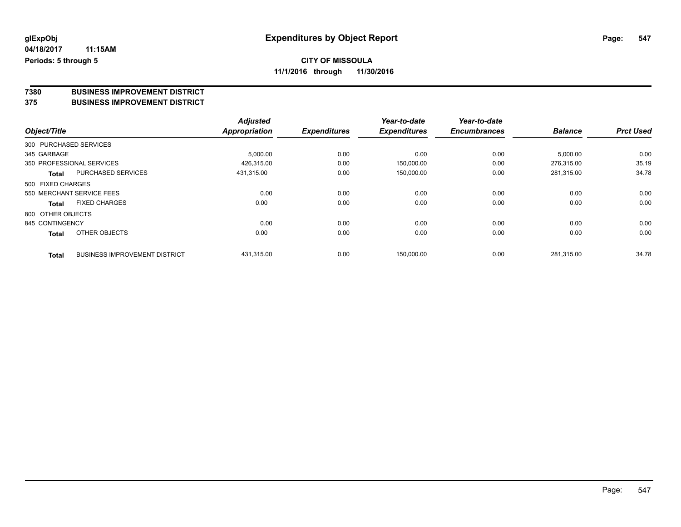## **CITY OF MISSOULA 11/1/2016 through 11/30/2016**

**7380 BUSINESS IMPROVEMENT DISTRICT**

**375 BUSINESS IMPROVEMENT DISTRICT**

|                   |                                      | <b>Adjusted</b>      |                     | Year-to-date        | Year-to-date        |                |                  |
|-------------------|--------------------------------------|----------------------|---------------------|---------------------|---------------------|----------------|------------------|
| Object/Title      |                                      | <b>Appropriation</b> | <b>Expenditures</b> | <b>Expenditures</b> | <b>Encumbrances</b> | <b>Balance</b> | <b>Prct Used</b> |
|                   | 300 PURCHASED SERVICES               |                      |                     |                     |                     |                |                  |
| 345 GARBAGE       |                                      | 5,000.00             | 0.00                | 0.00                | 0.00                | 5,000.00       | 0.00             |
|                   | 350 PROFESSIONAL SERVICES            | 426.315.00           | 0.00                | 150,000.00          | 0.00                | 276.315.00     | 35.19            |
| Total             | <b>PURCHASED SERVICES</b>            | 431,315.00           | 0.00                | 150,000.00          | 0.00                | 281,315.00     | 34.78            |
| 500 FIXED CHARGES |                                      |                      |                     |                     |                     |                |                  |
|                   | 550 MERCHANT SERVICE FEES            | 0.00                 | 0.00                | 0.00                | 0.00                | 0.00           | 0.00             |
| Total             | <b>FIXED CHARGES</b>                 | 0.00                 | 0.00                | 0.00                | 0.00                | 0.00           | 0.00             |
| 800 OTHER OBJECTS |                                      |                      |                     |                     |                     |                |                  |
| 845 CONTINGENCY   |                                      | 0.00                 | 0.00                | 0.00                | 0.00                | 0.00           | 0.00             |
| <b>Total</b>      | OTHER OBJECTS                        | 0.00                 | 0.00                | 0.00                | 0.00                | 0.00           | 0.00             |
| <b>Total</b>      | <b>BUSINESS IMPROVEMENT DISTRICT</b> | 431,315.00           | 0.00                | 150,000.00          | 0.00                | 281.315.00     | 34.78            |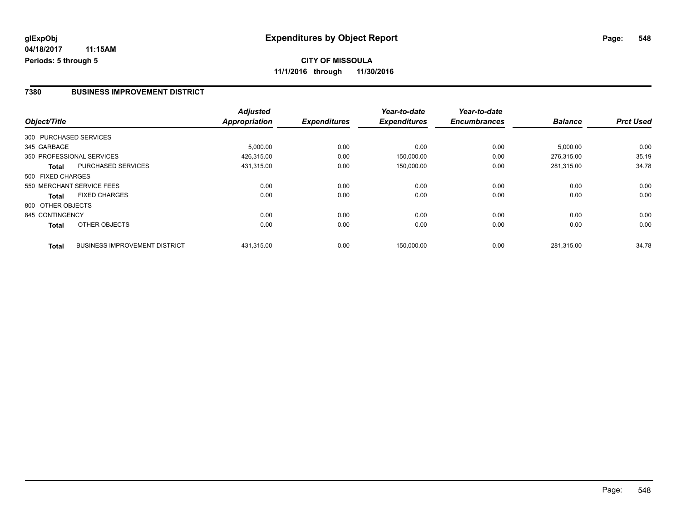**CITY OF MISSOULA 11/1/2016 through 11/30/2016**

#### **7380 BUSINESS IMPROVEMENT DISTRICT**

|                   |                                      | <b>Adjusted</b> |                     | Year-to-date        | Year-to-date        |                |                  |
|-------------------|--------------------------------------|-----------------|---------------------|---------------------|---------------------|----------------|------------------|
| Object/Title      |                                      | Appropriation   | <b>Expenditures</b> | <b>Expenditures</b> | <b>Encumbrances</b> | <b>Balance</b> | <b>Prct Used</b> |
|                   | 300 PURCHASED SERVICES               |                 |                     |                     |                     |                |                  |
| 345 GARBAGE       |                                      | 5,000.00        | 0.00                | 0.00                | 0.00                | 5,000.00       | 0.00             |
|                   | 350 PROFESSIONAL SERVICES            | 426,315.00      | 0.00                | 150,000.00          | 0.00                | 276,315.00     | 35.19            |
| <b>Total</b>      | <b>PURCHASED SERVICES</b>            | 431,315.00      | 0.00                | 150,000.00          | 0.00                | 281,315.00     | 34.78            |
| 500 FIXED CHARGES |                                      |                 |                     |                     |                     |                |                  |
|                   | 550 MERCHANT SERVICE FEES            | 0.00            | 0.00                | 0.00                | 0.00                | 0.00           | 0.00             |
| <b>Total</b>      | <b>FIXED CHARGES</b>                 | 0.00            | 0.00                | 0.00                | 0.00                | 0.00           | 0.00             |
| 800 OTHER OBJECTS |                                      |                 |                     |                     |                     |                |                  |
| 845 CONTINGENCY   |                                      | 0.00            | 0.00                | 0.00                | 0.00                | 0.00           | 0.00             |
| Total             | OTHER OBJECTS                        | 0.00            | 0.00                | 0.00                | 0.00                | 0.00           | 0.00             |
| <b>Total</b>      | <b>BUSINESS IMPROVEMENT DISTRICT</b> | 431.315.00      | 0.00                | 150.000.00          | 0.00                | 281.315.00     | 34.78            |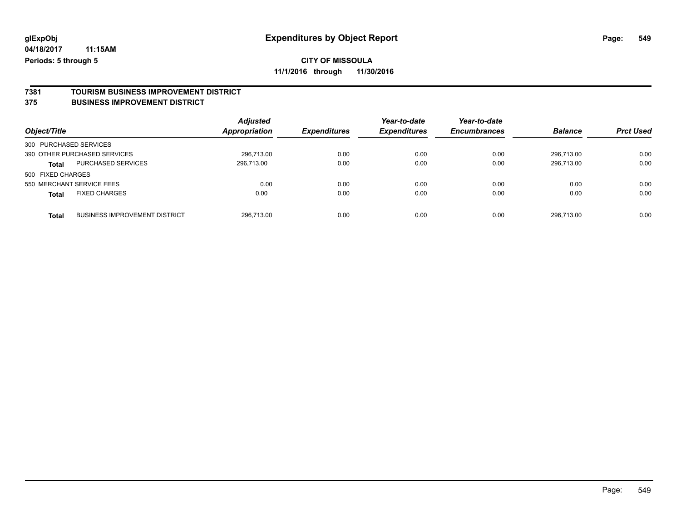## **CITY OF MISSOULA 11/1/2016 through 11/30/2016**

# **7381 TOURISM BUSINESS IMPROVEMENT DISTRICT**

#### **375 BUSINESS IMPROVEMENT DISTRICT**

| Object/Title                                         | <b>Adjusted</b><br>Appropriation | <b>Expenditures</b> | Year-to-date<br><b>Expenditures</b> | Year-to-date<br><b>Encumbrances</b> | <b>Balance</b> | <b>Prct Used</b> |
|------------------------------------------------------|----------------------------------|---------------------|-------------------------------------|-------------------------------------|----------------|------------------|
| 300 PURCHASED SERVICES                               |                                  |                     |                                     |                                     |                |                  |
| 390 OTHER PURCHASED SERVICES                         | 296.713.00                       | 0.00                | 0.00                                | 0.00                                | 296.713.00     | 0.00             |
| PURCHASED SERVICES<br>Total                          | 296,713.00                       | 0.00                | 0.00                                | 0.00                                | 296,713.00     | 0.00             |
| 500 FIXED CHARGES                                    |                                  |                     |                                     |                                     |                |                  |
| 550 MERCHANT SERVICE FEES                            | 0.00                             | 0.00                | 0.00                                | 0.00                                | 0.00           | 0.00             |
| <b>FIXED CHARGES</b><br><b>Total</b>                 | 0.00                             | 0.00                | 0.00                                | 0.00                                | 0.00           | 0.00             |
| <b>BUSINESS IMPROVEMENT DISTRICT</b><br><b>Total</b> | 296.713.00                       | 0.00                | 0.00                                | 0.00                                | 296.713.00     | 0.00             |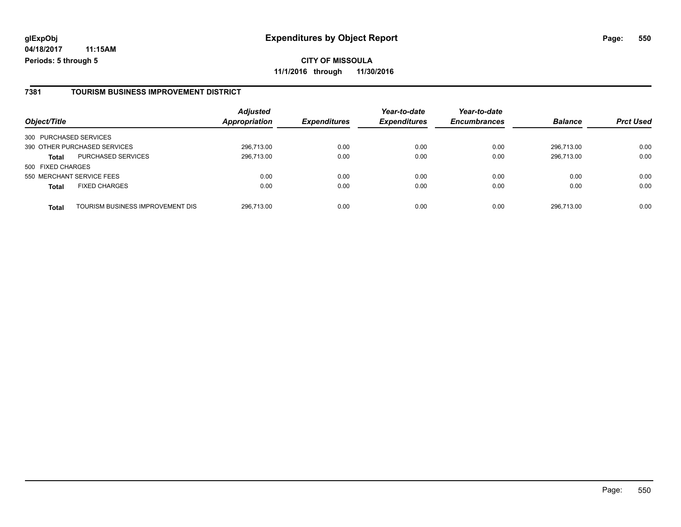#### **7381 TOURISM BUSINESS IMPROVEMENT DISTRICT**

| Object/Title              |                                  | <b>Adjusted</b><br>Appropriation | <b>Expenditures</b> | Year-to-date<br><b>Expenditures</b> | Year-to-date<br><b>Encumbrances</b> | <b>Balance</b> | <b>Prct Used</b> |
|---------------------------|----------------------------------|----------------------------------|---------------------|-------------------------------------|-------------------------------------|----------------|------------------|
| 300 PURCHASED SERVICES    |                                  |                                  |                     |                                     |                                     |                |                  |
|                           | 390 OTHER PURCHASED SERVICES     | 296,713.00                       | 0.00                | 0.00                                | 0.00                                | 296.713.00     | 0.00             |
| <b>Total</b>              | <b>PURCHASED SERVICES</b>        | 296,713.00                       | 0.00                | 0.00                                | 0.00                                | 296,713.00     | 0.00             |
| 500 FIXED CHARGES         |                                  |                                  |                     |                                     |                                     |                |                  |
| 550 MERCHANT SERVICE FEES |                                  | 0.00                             | 0.00                | 0.00                                | 0.00                                | 0.00           | 0.00             |
| Total                     | <b>FIXED CHARGES</b>             | 0.00                             | 0.00                | 0.00                                | 0.00                                | 0.00           | 0.00             |
| <b>Total</b>              | TOURISM BUSINESS IMPROVEMENT DIS | 296,713.00                       | 0.00                | 0.00                                | 0.00                                | 296.713.00     | 0.00             |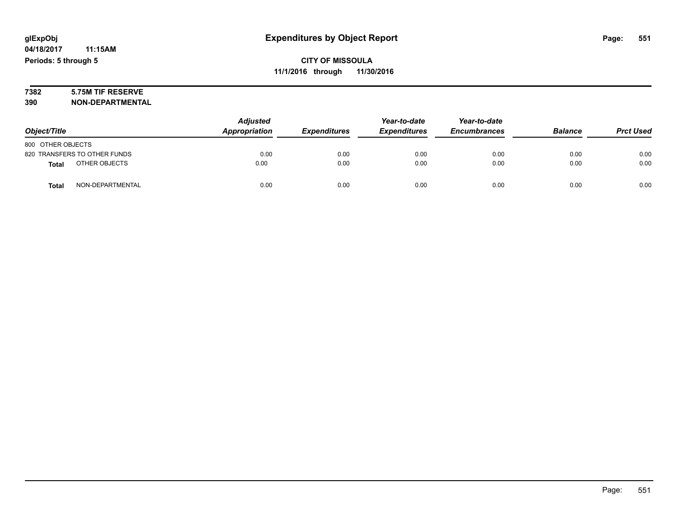#### **7382 5.75M TIF RESERVE 390 NON-DEPARTMENTAL**

|                                  | <b>Adjusted</b> |                     | Year-to-date        | Year-to-date        |                |                  |
|----------------------------------|-----------------|---------------------|---------------------|---------------------|----------------|------------------|
| Object/Title                     | Appropriation   | <b>Expenditures</b> | <b>Expenditures</b> | <b>Encumbrances</b> | <b>Balance</b> | <b>Prct Used</b> |
| 800 OTHER OBJECTS                |                 |                     |                     |                     |                |                  |
| 820 TRANSFERS TO OTHER FUNDS     | 0.00            | 0.00                | 0.00                | 0.00                | 0.00           | 0.00             |
| OTHER OBJECTS<br><b>Total</b>    | 0.00            | 0.00                | 0.00                | 0.00                | 0.00           | 0.00             |
| NON-DEPARTMENTAL<br><b>Total</b> | 0.00            | 0.00                | 0.00                | 0.00                | 0.00           | 0.00             |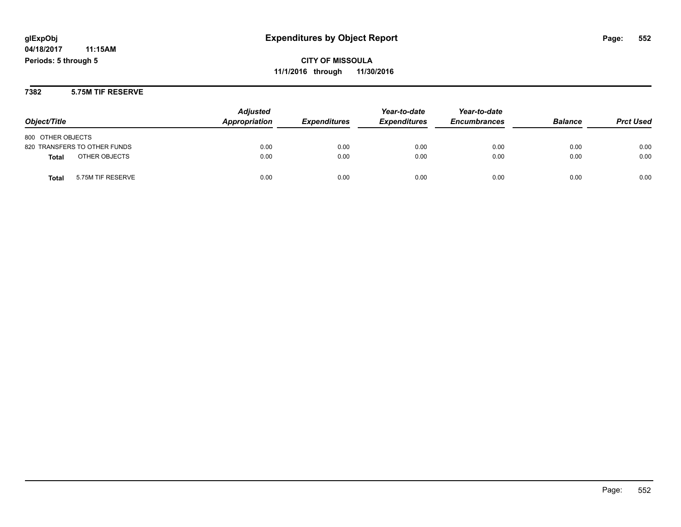**7382 5.75M TIF RESERVE**

|                               | <b>Adjusted</b> |                            | Year-to-date        | Year-to-date        |                |                  |
|-------------------------------|-----------------|----------------------------|---------------------|---------------------|----------------|------------------|
| Object/Title                  | Appropriation   | <i><b>Expenditures</b></i> | <b>Expenditures</b> | <b>Encumbrances</b> | <b>Balance</b> | <b>Prct Used</b> |
| 800 OTHER OBJECTS             |                 |                            |                     |                     |                |                  |
| 820 TRANSFERS TO OTHER FUNDS  | 0.00            | 0.00                       | 0.00                | 0.00                | 0.00           | 0.00             |
| OTHER OBJECTS<br><b>Total</b> | 0.00            | 0.00                       | 0.00                | 0.00                | 0.00           | 0.00             |
| 5.75M TIF RESERVE<br>Total    | 0.00            | 0.00                       | 0.00                | 0.00                | 0.00           | 0.00             |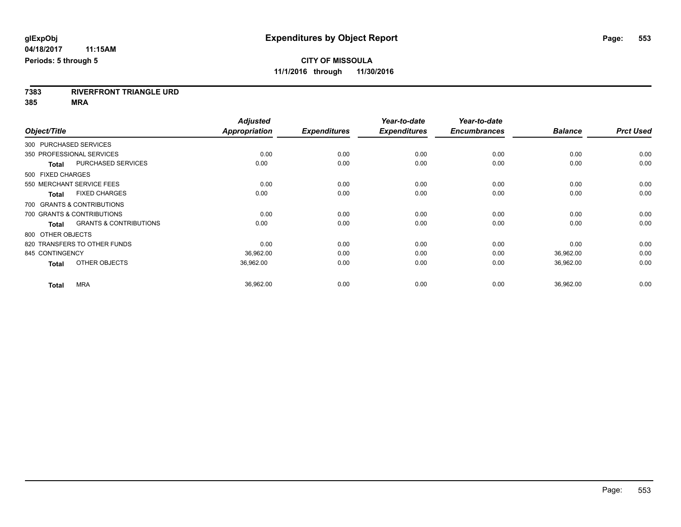**7383 RIVERFRONT TRIANGLE URD**

**385 MRA**

|                        |                                   | <b>Adjusted</b>      |                     | Year-to-date        | Year-to-date        |                |                  |
|------------------------|-----------------------------------|----------------------|---------------------|---------------------|---------------------|----------------|------------------|
| Object/Title           |                                   | <b>Appropriation</b> | <b>Expenditures</b> | <b>Expenditures</b> | <b>Encumbrances</b> | <b>Balance</b> | <b>Prct Used</b> |
| 300 PURCHASED SERVICES |                                   |                      |                     |                     |                     |                |                  |
|                        | 350 PROFESSIONAL SERVICES         | 0.00                 | 0.00                | 0.00                | 0.00                | 0.00           | 0.00             |
| <b>Total</b>           | <b>PURCHASED SERVICES</b>         | 0.00                 | 0.00                | 0.00                | 0.00                | 0.00           | 0.00             |
| 500 FIXED CHARGES      |                                   |                      |                     |                     |                     |                |                  |
|                        | 550 MERCHANT SERVICE FEES         | 0.00                 | 0.00                | 0.00                | 0.00                | 0.00           | 0.00             |
| <b>Total</b>           | <b>FIXED CHARGES</b>              | 0.00                 | 0.00                | 0.00                | 0.00                | 0.00           | 0.00             |
|                        | 700 GRANTS & CONTRIBUTIONS        |                      |                     |                     |                     |                |                  |
|                        | 700 GRANTS & CONTRIBUTIONS        | 0.00                 | 0.00                | 0.00                | 0.00                | 0.00           | 0.00             |
| Total                  | <b>GRANTS &amp; CONTRIBUTIONS</b> | 0.00                 | 0.00                | 0.00                | 0.00                | 0.00           | 0.00             |
| 800 OTHER OBJECTS      |                                   |                      |                     |                     |                     |                |                  |
|                        | 820 TRANSFERS TO OTHER FUNDS      | 0.00                 | 0.00                | 0.00                | 0.00                | 0.00           | 0.00             |
| 845 CONTINGENCY        |                                   | 36,962.00            | 0.00                | 0.00                | 0.00                | 36,962.00      | 0.00             |
| <b>Total</b>           | OTHER OBJECTS                     | 36,962.00            | 0.00                | 0.00                | 0.00                | 36,962.00      | 0.00             |
| <b>Total</b>           | <b>MRA</b>                        | 36,962.00            | 0.00                | 0.00                | 0.00                | 36,962.00      | 0.00             |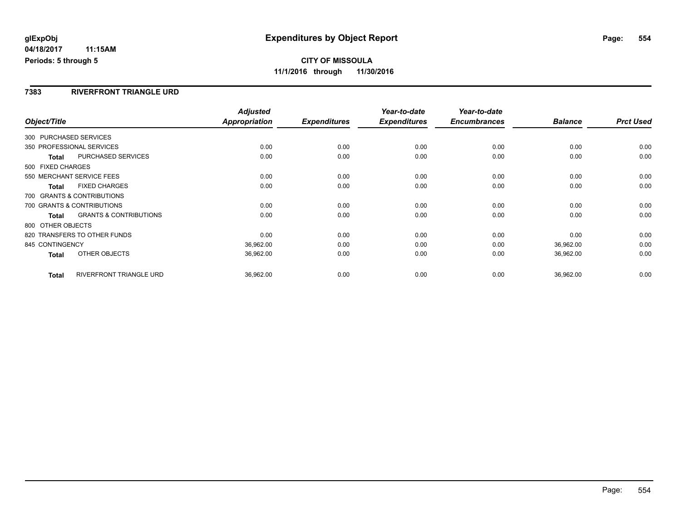## **CITY OF MISSOULA 11/1/2016 through 11/30/2016**

#### **7383 RIVERFRONT TRIANGLE URD**

|                   |                                   | <b>Adjusted</b> |                     | Year-to-date        | Year-to-date        |                |                  |
|-------------------|-----------------------------------|-----------------|---------------------|---------------------|---------------------|----------------|------------------|
| Object/Title      |                                   | Appropriation   | <b>Expenditures</b> | <b>Expenditures</b> | <b>Encumbrances</b> | <b>Balance</b> | <b>Prct Used</b> |
|                   | 300 PURCHASED SERVICES            |                 |                     |                     |                     |                |                  |
|                   | 350 PROFESSIONAL SERVICES         | 0.00            | 0.00                | 0.00                | 0.00                | 0.00           | 0.00             |
| Total             | <b>PURCHASED SERVICES</b>         | 0.00            | 0.00                | 0.00                | 0.00                | 0.00           | 0.00             |
| 500 FIXED CHARGES |                                   |                 |                     |                     |                     |                |                  |
|                   | 550 MERCHANT SERVICE FEES         | 0.00            | 0.00                | 0.00                | 0.00                | 0.00           | 0.00             |
| Total             | <b>FIXED CHARGES</b>              | 0.00            | 0.00                | 0.00                | 0.00                | 0.00           | 0.00             |
|                   | 700 GRANTS & CONTRIBUTIONS        |                 |                     |                     |                     |                |                  |
|                   | 700 GRANTS & CONTRIBUTIONS        | 0.00            | 0.00                | 0.00                | 0.00                | 0.00           | 0.00             |
| <b>Total</b>      | <b>GRANTS &amp; CONTRIBUTIONS</b> | 0.00            | 0.00                | 0.00                | 0.00                | 0.00           | 0.00             |
| 800 OTHER OBJECTS |                                   |                 |                     |                     |                     |                |                  |
|                   | 820 TRANSFERS TO OTHER FUNDS      | 0.00            | 0.00                | 0.00                | 0.00                | 0.00           | 0.00             |
| 845 CONTINGENCY   |                                   | 36,962.00       | 0.00                | 0.00                | 0.00                | 36,962.00      | 0.00             |
| Total             | OTHER OBJECTS                     | 36,962.00       | 0.00                | 0.00                | 0.00                | 36,962.00      | 0.00             |
| <b>Total</b>      | <b>RIVERFRONT TRIANGLE URD</b>    | 36,962.00       | 0.00                | 0.00                | 0.00                | 36,962.00      | 0.00             |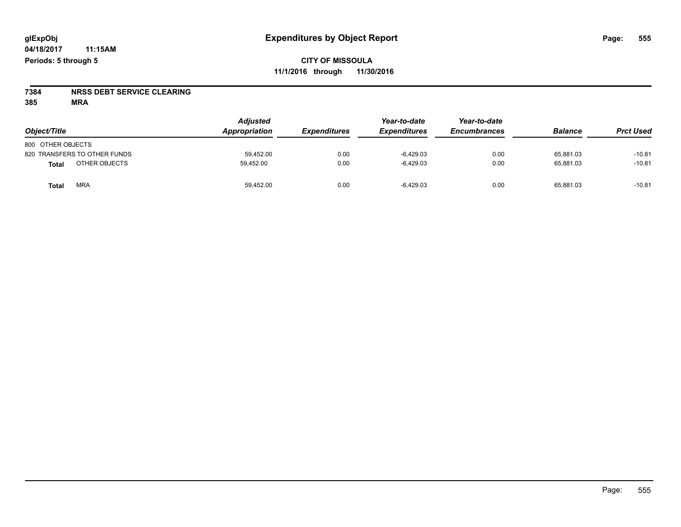# **7384 NRSS DEBT SERVICE CLEARING**

**385 MRA**

| Object/Title                  | <b>Adjusted</b><br><b>Appropriation</b> | <b>Expenditures</b> | Year-to-date<br><b>Expenditures</b> | Year-to-date<br><b>Encumbrances</b> | <b>Balance</b> | <b>Prct Used</b> |
|-------------------------------|-----------------------------------------|---------------------|-------------------------------------|-------------------------------------|----------------|------------------|
| 800 OTHER OBJECTS             |                                         |                     |                                     |                                     |                |                  |
| 820 TRANSFERS TO OTHER FUNDS  | 59.452.00                               | 0.00                | $-6.429.03$                         | 0.00                                | 65.881.03      | $-10.81$         |
| OTHER OBJECTS<br><b>Total</b> | 59,452.00                               | 0.00                | $-6.429.03$                         | 0.00                                | 65.881.03      | $-10.81$         |
| <b>MRA</b><br><b>Total</b>    | 59,452.00                               | 0.00                | $-6.429.03$                         | 0.00                                | 65,881.03      | $-10.81$         |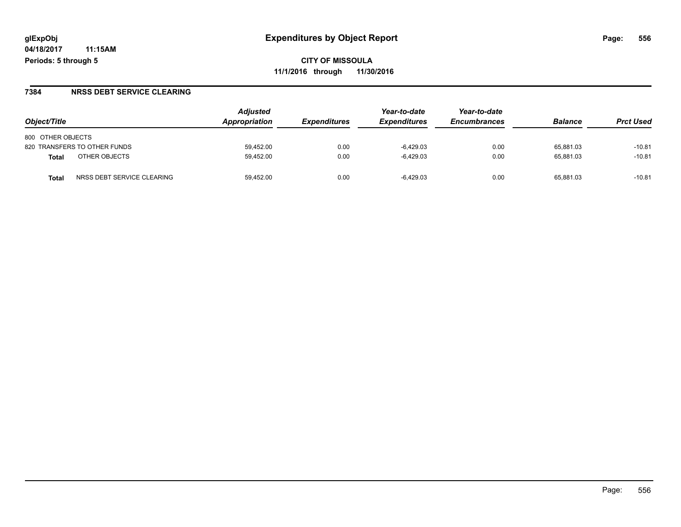#### **7384 NRSS DEBT SERVICE CLEARING**

| Object/Title                       | <b>Adjusted</b><br><b>Appropriation</b> | <i><b>Expenditures</b></i> | Year-to-date<br><b>Expenditures</b> | Year-to-date<br><b>Encumbrances</b> | <b>Balance</b> | <b>Prct Used</b> |
|------------------------------------|-----------------------------------------|----------------------------|-------------------------------------|-------------------------------------|----------------|------------------|
|                                    |                                         |                            |                                     |                                     |                |                  |
| 800 OTHER OBJECTS                  |                                         |                            |                                     |                                     |                |                  |
| 820 TRANSFERS TO OTHER FUNDS       | 59.452.00                               | 0.00                       | $-6.429.03$                         | 0.00                                | 65.881.03      | $-10.81$         |
| OTHER OBJECTS<br><b>Total</b>      | 59.452.00                               | 0.00                       | $-6.429.03$                         | 0.00                                | 65.881.03      | $-10.81$         |
| NRSS DEBT SERVICE CLEARING<br>Tota | 59.452.00                               | 0.00                       | $-6.429.03$                         | 0.00                                | 65.881.03      | $-10.81$         |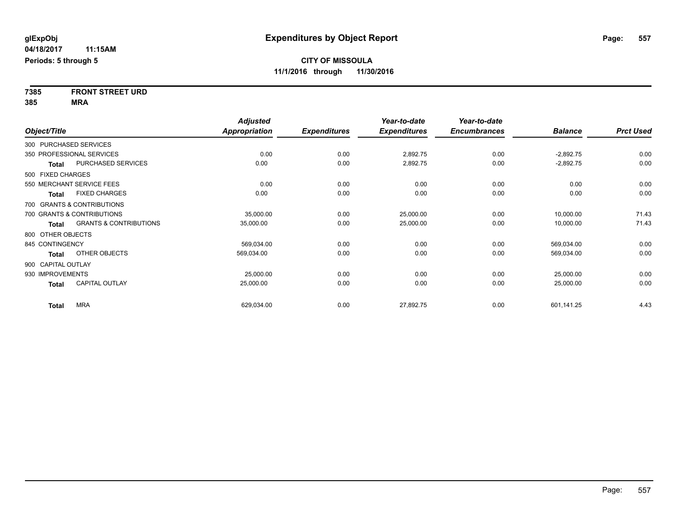**7385 FRONT STREET URD 385 MRA**

|                    |                                   | <b>Adjusted</b>      |                     | Year-to-date        | Year-to-date        |                |                  |
|--------------------|-----------------------------------|----------------------|---------------------|---------------------|---------------------|----------------|------------------|
| Object/Title       |                                   | <b>Appropriation</b> | <b>Expenditures</b> | <b>Expenditures</b> | <b>Encumbrances</b> | <b>Balance</b> | <b>Prct Used</b> |
|                    | 300 PURCHASED SERVICES            |                      |                     |                     |                     |                |                  |
|                    | 350 PROFESSIONAL SERVICES         | 0.00                 | 0.00                | 2,892.75            | 0.00                | $-2,892.75$    | 0.00             |
| <b>Total</b>       | PURCHASED SERVICES                | 0.00                 | 0.00                | 2,892.75            | 0.00                | $-2,892.75$    | 0.00             |
| 500 FIXED CHARGES  |                                   |                      |                     |                     |                     |                |                  |
|                    | 550 MERCHANT SERVICE FEES         | 0.00                 | 0.00                | 0.00                | 0.00                | 0.00           | 0.00             |
| <b>Total</b>       | <b>FIXED CHARGES</b>              | 0.00                 | 0.00                | 0.00                | 0.00                | 0.00           | 0.00             |
|                    | 700 GRANTS & CONTRIBUTIONS        |                      |                     |                     |                     |                |                  |
|                    | 700 GRANTS & CONTRIBUTIONS        | 35,000.00            | 0.00                | 25,000.00           | 0.00                | 10,000.00      | 71.43            |
| <b>Total</b>       | <b>GRANTS &amp; CONTRIBUTIONS</b> | 35,000.00            | 0.00                | 25,000.00           | 0.00                | 10,000.00      | 71.43            |
| 800 OTHER OBJECTS  |                                   |                      |                     |                     |                     |                |                  |
| 845 CONTINGENCY    |                                   | 569,034.00           | 0.00                | 0.00                | 0.00                | 569,034.00     | 0.00             |
| <b>Total</b>       | OTHER OBJECTS                     | 569,034.00           | 0.00                | 0.00                | 0.00                | 569,034.00     | 0.00             |
| 900 CAPITAL OUTLAY |                                   |                      |                     |                     |                     |                |                  |
| 930 IMPROVEMENTS   |                                   | 25,000.00            | 0.00                | 0.00                | 0.00                | 25,000.00      | 0.00             |
| <b>Total</b>       | <b>CAPITAL OUTLAY</b>             | 25,000.00            | 0.00                | 0.00                | 0.00                | 25,000.00      | 0.00             |
| <b>Total</b>       | <b>MRA</b>                        | 629,034.00           | 0.00                | 27,892.75           | 0.00                | 601,141.25     | 4.43             |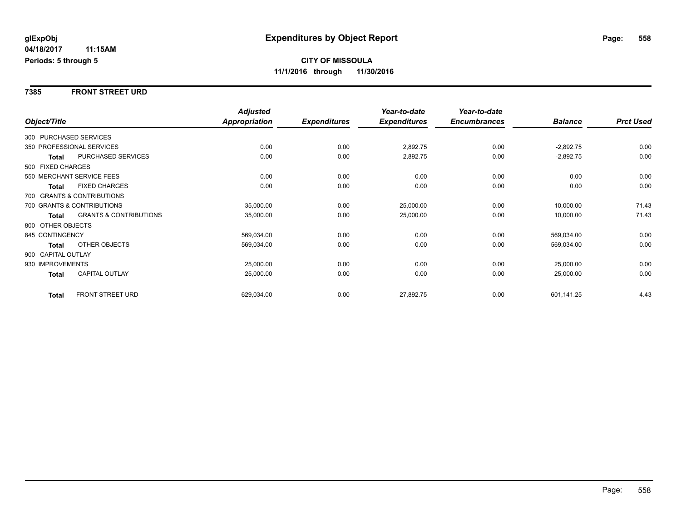#### **7385 FRONT STREET URD**

|                        |                                   | <b>Adjusted</b> |                     | Year-to-date        | Year-to-date        |                |                  |
|------------------------|-----------------------------------|-----------------|---------------------|---------------------|---------------------|----------------|------------------|
| Object/Title           |                                   | Appropriation   | <b>Expenditures</b> | <b>Expenditures</b> | <b>Encumbrances</b> | <b>Balance</b> | <b>Prct Used</b> |
| 300 PURCHASED SERVICES |                                   |                 |                     |                     |                     |                |                  |
|                        | 350 PROFESSIONAL SERVICES         | 0.00            | 0.00                | 2,892.75            | 0.00                | $-2,892.75$    | 0.00             |
| Total                  | PURCHASED SERVICES                | 0.00            | 0.00                | 2,892.75            | 0.00                | $-2,892.75$    | 0.00             |
| 500 FIXED CHARGES      |                                   |                 |                     |                     |                     |                |                  |
|                        | 550 MERCHANT SERVICE FEES         | 0.00            | 0.00                | 0.00                | 0.00                | 0.00           | 0.00             |
| <b>Total</b>           | <b>FIXED CHARGES</b>              | 0.00            | 0.00                | 0.00                | 0.00                | 0.00           | 0.00             |
|                        | 700 GRANTS & CONTRIBUTIONS        |                 |                     |                     |                     |                |                  |
|                        | 700 GRANTS & CONTRIBUTIONS        | 35,000.00       | 0.00                | 25,000.00           | 0.00                | 10,000.00      | 71.43            |
| <b>Total</b>           | <b>GRANTS &amp; CONTRIBUTIONS</b> | 35,000.00       | 0.00                | 25,000.00           | 0.00                | 10,000.00      | 71.43            |
| 800 OTHER OBJECTS      |                                   |                 |                     |                     |                     |                |                  |
| 845 CONTINGENCY        |                                   | 569,034.00      | 0.00                | 0.00                | 0.00                | 569,034.00     | 0.00             |
| Total                  | OTHER OBJECTS                     | 569,034.00      | 0.00                | 0.00                | 0.00                | 569,034.00     | 0.00             |
| 900 CAPITAL OUTLAY     |                                   |                 |                     |                     |                     |                |                  |
| 930 IMPROVEMENTS       |                                   | 25,000.00       | 0.00                | 0.00                | 0.00                | 25,000.00      | 0.00             |
| <b>Total</b>           | <b>CAPITAL OUTLAY</b>             | 25,000.00       | 0.00                | 0.00                | 0.00                | 25,000.00      | 0.00             |
| <b>Total</b>           | FRONT STREET URD                  | 629,034.00      | 0.00                | 27,892.75           | 0.00                | 601,141.25     | 4.43             |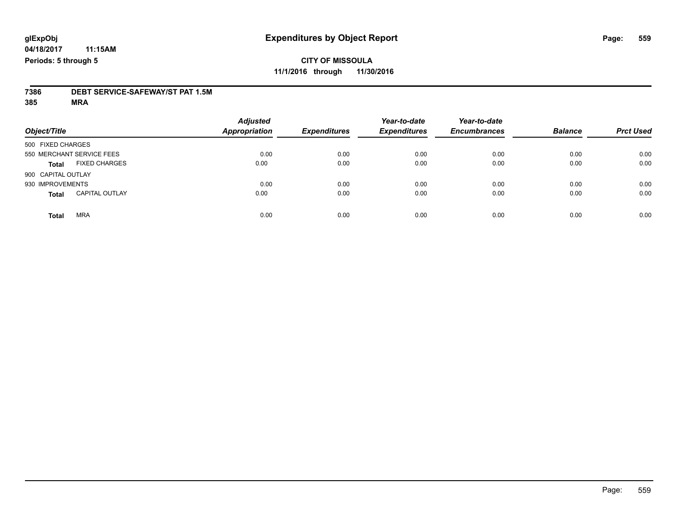# **7386 DEBT SERVICE-SAFEWAY/ST PAT 1.5M**

**385 MRA**

| Object/Title       |                           | <b>Adjusted</b><br>Appropriation | <b>Expenditures</b> | Year-to-date<br><b>Expenditures</b> | Year-to-date<br><b>Encumbrances</b> | <b>Balance</b> | <b>Prct Used</b> |
|--------------------|---------------------------|----------------------------------|---------------------|-------------------------------------|-------------------------------------|----------------|------------------|
| 500 FIXED CHARGES  |                           |                                  |                     |                                     |                                     |                |                  |
|                    | 550 MERCHANT SERVICE FEES | 0.00                             | 0.00                | 0.00                                | 0.00                                | 0.00           | 0.00             |
| <b>Total</b>       | <b>FIXED CHARGES</b>      | 0.00                             | 0.00                | 0.00                                | 0.00                                | 0.00           | 0.00             |
| 900 CAPITAL OUTLAY |                           |                                  |                     |                                     |                                     |                |                  |
| 930 IMPROVEMENTS   |                           | 0.00                             | 0.00                | 0.00                                | 0.00                                | 0.00           | 0.00             |
| <b>Total</b>       | <b>CAPITAL OUTLAY</b>     | 0.00                             | 0.00                | 0.00                                | 0.00                                | 0.00           | 0.00             |
| <b>Total</b>       | <b>MRA</b>                | 0.00                             | 0.00                | 0.00                                | 0.00                                | 0.00           | 0.00             |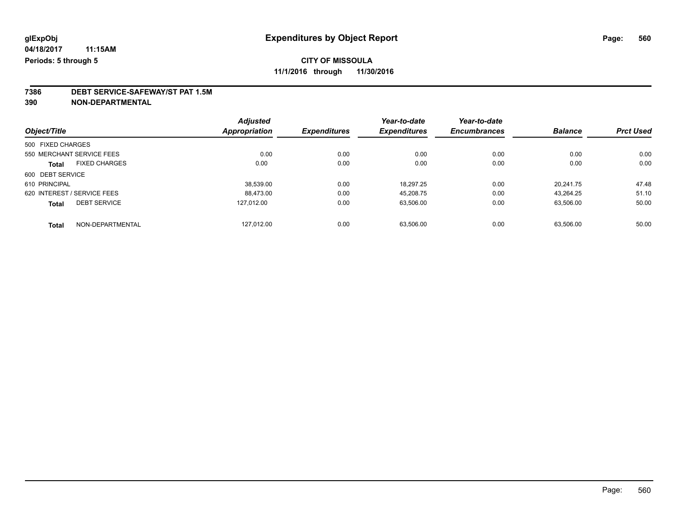## **7386 DEBT SERVICE-SAFEWAY/ST PAT 1.5M**

**390 NON-DEPARTMENTAL**

|                   |                             | <b>Adjusted</b>      |                     | Year-to-date        | Year-to-date        |                |                  |
|-------------------|-----------------------------|----------------------|---------------------|---------------------|---------------------|----------------|------------------|
| Object/Title      |                             | <b>Appropriation</b> | <b>Expenditures</b> | <b>Expenditures</b> | <b>Encumbrances</b> | <b>Balance</b> | <b>Prct Used</b> |
| 500 FIXED CHARGES |                             |                      |                     |                     |                     |                |                  |
|                   | 550 MERCHANT SERVICE FEES   | 0.00                 | 0.00                | 0.00                | 0.00                | 0.00           | 0.00             |
| <b>Total</b>      | <b>FIXED CHARGES</b>        | 0.00                 | 0.00                | 0.00                | 0.00                | 0.00           | 0.00             |
| 600 DEBT SERVICE  |                             |                      |                     |                     |                     |                |                  |
| 610 PRINCIPAL     |                             | 38.539.00            | 0.00                | 18.297.25           | 0.00                | 20.241.75      | 47.48            |
|                   | 620 INTEREST / SERVICE FEES | 88.473.00            | 0.00                | 45,208.75           | 0.00                | 43.264.25      | 51.10            |
| <b>Total</b>      | <b>DEBT SERVICE</b>         | 127.012.00           | 0.00                | 63,506.00           | 0.00                | 63,506.00      | 50.00            |
| <b>Total</b>      | NON-DEPARTMENTAL            | 127.012.00           | 0.00                | 63.506.00           | 0.00                | 63.506.00      | 50.00            |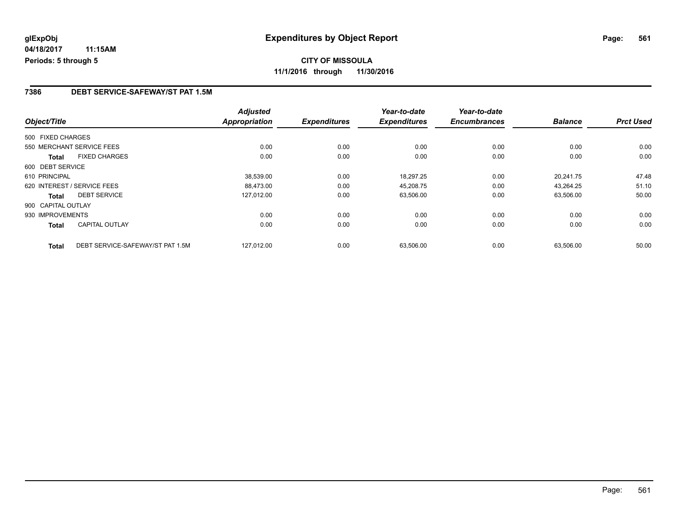**CITY OF MISSOULA 11/1/2016 through 11/30/2016**

#### **7386 DEBT SERVICE-SAFEWAY/ST PAT 1.5M**

|                    |                                  | <b>Adjusted</b> |                     | Year-to-date        | Year-to-date        |                |                  |
|--------------------|----------------------------------|-----------------|---------------------|---------------------|---------------------|----------------|------------------|
| Object/Title       |                                  | Appropriation   | <b>Expenditures</b> | <b>Expenditures</b> | <b>Encumbrances</b> | <b>Balance</b> | <b>Prct Used</b> |
| 500 FIXED CHARGES  |                                  |                 |                     |                     |                     |                |                  |
|                    | 550 MERCHANT SERVICE FEES        | 0.00            | 0.00                | 0.00                | 0.00                | 0.00           | 0.00             |
| Total              | <b>FIXED CHARGES</b>             | 0.00            | 0.00                | 0.00                | 0.00                | 0.00           | 0.00             |
| 600 DEBT SERVICE   |                                  |                 |                     |                     |                     |                |                  |
| 610 PRINCIPAL      |                                  | 38.539.00       | 0.00                | 18.297.25           | 0.00                | 20.241.75      | 47.48            |
|                    | 620 INTEREST / SERVICE FEES      | 88,473.00       | 0.00                | 45,208.75           | 0.00                | 43,264.25      | 51.10            |
| <b>Total</b>       | <b>DEBT SERVICE</b>              | 127,012.00      | 0.00                | 63,506.00           | 0.00                | 63,506.00      | 50.00            |
| 900 CAPITAL OUTLAY |                                  |                 |                     |                     |                     |                |                  |
| 930 IMPROVEMENTS   |                                  | 0.00            | 0.00                | 0.00                | 0.00                | 0.00           | 0.00             |
| Total              | <b>CAPITAL OUTLAY</b>            | 0.00            | 0.00                | 0.00                | 0.00                | 0.00           | 0.00             |
| <b>Total</b>       | DEBT SERVICE-SAFEWAY/ST PAT 1.5M | 127.012.00      | 0.00                | 63,506.00           | 0.00                | 63,506.00      | 50.00            |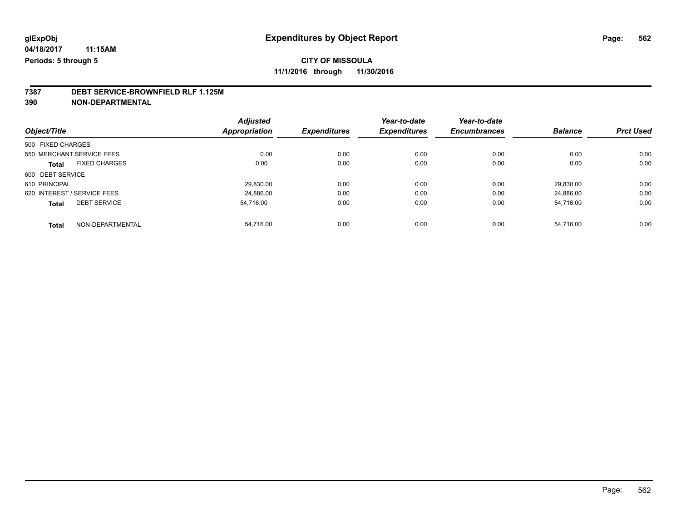## **7387 DEBT SERVICE-BROWNFIELD RLF 1.125M**

**390 NON-DEPARTMENTAL**

|                             |                           | <b>Adjusted</b>      |                     | Year-to-date        | Year-to-date        |                |                  |
|-----------------------------|---------------------------|----------------------|---------------------|---------------------|---------------------|----------------|------------------|
| Object/Title                |                           | <b>Appropriation</b> | <b>Expenditures</b> | <b>Expenditures</b> | <b>Encumbrances</b> | <b>Balance</b> | <b>Prct Used</b> |
| 500 FIXED CHARGES           |                           |                      |                     |                     |                     |                |                  |
|                             | 550 MERCHANT SERVICE FEES | 0.00                 | 0.00                | 0.00                | 0.00                | 0.00           | 0.00             |
| <b>Total</b>                | <b>FIXED CHARGES</b>      | 0.00                 | 0.00                | 0.00                | 0.00                | 0.00           | 0.00             |
| 600 DEBT SERVICE            |                           |                      |                     |                     |                     |                |                  |
| 610 PRINCIPAL               |                           | 29.830.00            | 0.00                | 0.00                | 0.00                | 29,830.00      | 0.00             |
| 620 INTEREST / SERVICE FEES |                           | 24.886.00            | 0.00                | 0.00                | 0.00                | 24.886.00      | 0.00             |
| <b>Total</b>                | <b>DEBT SERVICE</b>       | 54,716.00            | 0.00                | 0.00                | 0.00                | 54,716.00      | 0.00             |
| <b>Total</b>                | NON-DEPARTMENTAL          | 54.716.00            | 0.00                | 0.00                | 0.00                | 54.716.00      | 0.00             |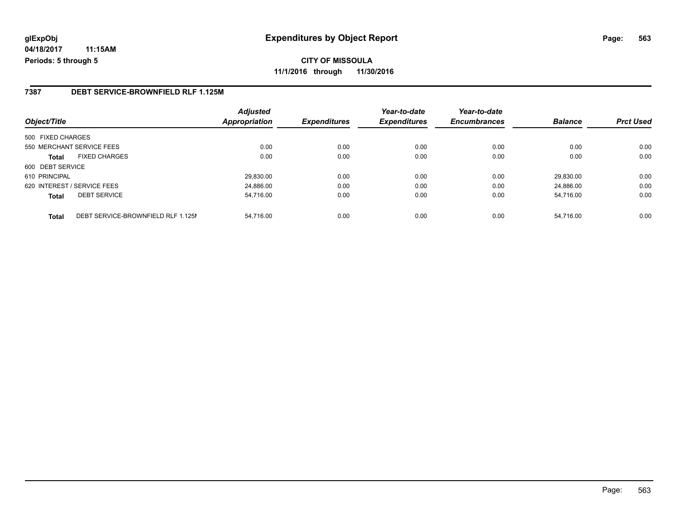**CITY OF MISSOULA 11/1/2016 through 11/30/2016**

#### **7387 DEBT SERVICE-BROWNFIELD RLF 1.125M**

| Object/Title                                       | <b>Adjusted</b><br><b>Appropriation</b> | <b>Expenditures</b> | Year-to-date<br><b>Expenditures</b> | Year-to-date<br><b>Encumbrances</b> | <b>Balance</b> | <b>Prct Used</b> |
|----------------------------------------------------|-----------------------------------------|---------------------|-------------------------------------|-------------------------------------|----------------|------------------|
|                                                    |                                         |                     |                                     |                                     |                |                  |
| 500 FIXED CHARGES                                  |                                         |                     |                                     |                                     |                |                  |
| 550 MERCHANT SERVICE FEES                          | 0.00                                    | 0.00                | 0.00                                | 0.00                                | 0.00           | 0.00             |
| <b>FIXED CHARGES</b><br>Total                      | 0.00                                    | 0.00                | 0.00                                | 0.00                                | 0.00           | 0.00             |
| 600 DEBT SERVICE                                   |                                         |                     |                                     |                                     |                |                  |
| 610 PRINCIPAL                                      | 29,830.00                               | 0.00                | 0.00                                | 0.00                                | 29.830.00      | 0.00             |
| 620 INTEREST / SERVICE FEES                        | 24.886.00                               | 0.00                | 0.00                                | 0.00                                | 24.886.00      | 0.00             |
| <b>DEBT SERVICE</b><br><b>Total</b>                | 54,716.00                               | 0.00                | 0.00                                | 0.00                                | 54.716.00      | 0.00             |
|                                                    |                                         |                     |                                     |                                     |                |                  |
| DEBT SERVICE-BROWNFIELD RLF 1.125M<br><b>Total</b> | 54.716.00                               | 0.00                | 0.00                                | 0.00                                | 54.716.00      | 0.00             |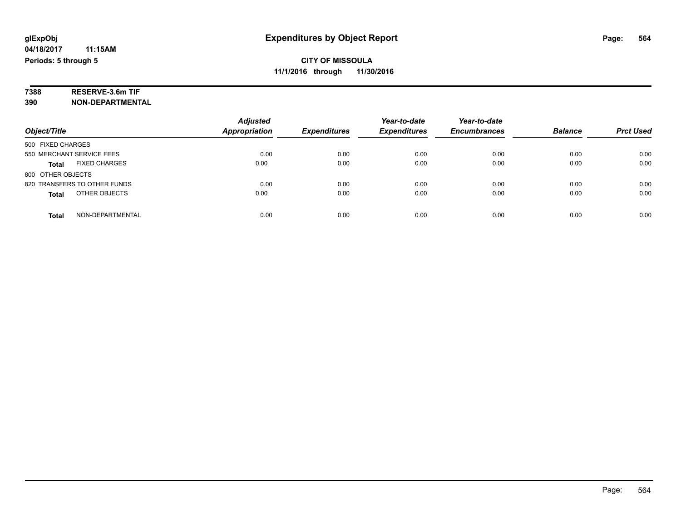# **7388 RESERVE-3.6m TIF**

**390 NON-DEPARTMENTAL**

|                                      | <b>Adjusted</b>      |                     | Year-to-date        | Year-to-date        |                |                  |
|--------------------------------------|----------------------|---------------------|---------------------|---------------------|----------------|------------------|
| Object/Title                         | <b>Appropriation</b> | <b>Expenditures</b> | <b>Expenditures</b> | <b>Encumbrances</b> | <b>Balance</b> | <b>Prct Used</b> |
| 500 FIXED CHARGES                    |                      |                     |                     |                     |                |                  |
| 550 MERCHANT SERVICE FEES            | 0.00                 | 0.00                | 0.00                | 0.00                | 0.00           | 0.00             |
| <b>FIXED CHARGES</b><br><b>Total</b> | 0.00                 | 0.00                | 0.00                | 0.00                | 0.00           | 0.00             |
| 800 OTHER OBJECTS                    |                      |                     |                     |                     |                |                  |
| 820 TRANSFERS TO OTHER FUNDS         | 0.00                 | 0.00                | 0.00                | 0.00                | 0.00           | 0.00             |
| OTHER OBJECTS<br><b>Total</b>        | 0.00                 | 0.00                | 0.00                | 0.00                | 0.00           | 0.00             |
| NON-DEPARTMENTAL<br>Total            | 0.00                 | 0.00                | 0.00                | 0.00                | 0.00           | 0.00             |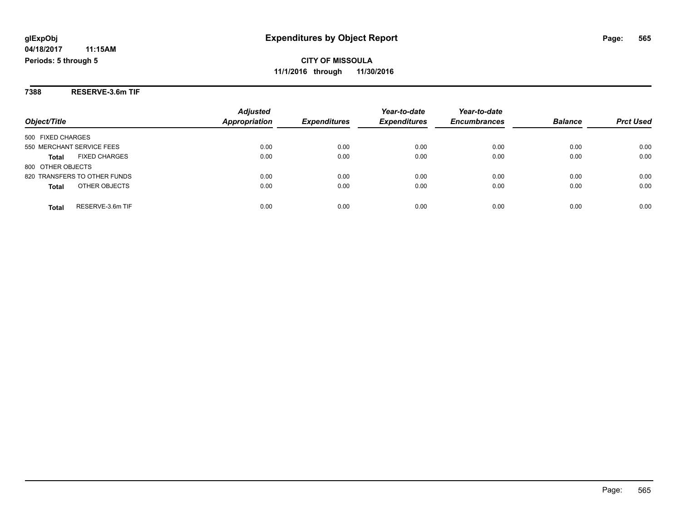**7388 RESERVE-3.6m TIF**

|                                  | <b>Adjusted</b>      |                     | Year-to-date        | Year-to-date        |                |                  |
|----------------------------------|----------------------|---------------------|---------------------|---------------------|----------------|------------------|
| Object/Title                     | <b>Appropriation</b> | <b>Expenditures</b> | <b>Expenditures</b> | <b>Encumbrances</b> | <b>Balance</b> | <b>Prct Used</b> |
| 500 FIXED CHARGES                |                      |                     |                     |                     |                |                  |
| 550 MERCHANT SERVICE FEES        | 0.00                 | 0.00                | 0.00                | 0.00                | 0.00           | 0.00             |
| <b>FIXED CHARGES</b><br>Total    | 0.00                 | 0.00                | 0.00                | 0.00                | 0.00           | 0.00             |
| 800 OTHER OBJECTS                |                      |                     |                     |                     |                |                  |
| 820 TRANSFERS TO OTHER FUNDS     | 0.00                 | 0.00                | 0.00                | 0.00                | 0.00           | 0.00             |
| OTHER OBJECTS<br><b>Total</b>    | 0.00                 | 0.00                | 0.00                | 0.00                | 0.00           | 0.00             |
| RESERVE-3.6m TIF<br><b>Total</b> | 0.00                 | 0.00                | 0.00                | 0.00                | 0.00           | 0.00             |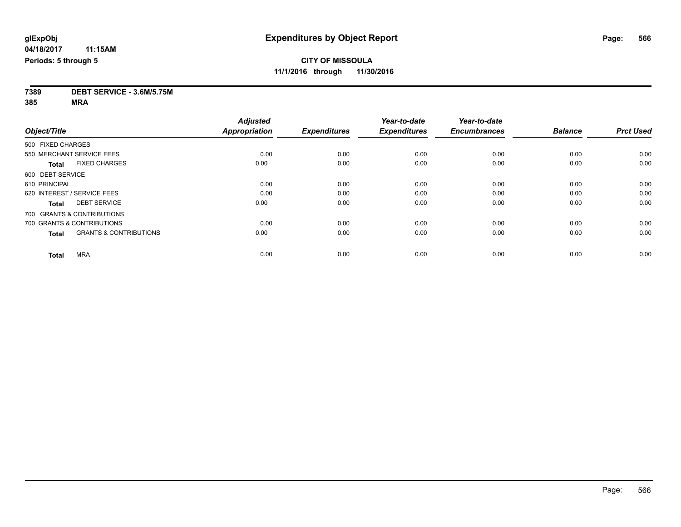**7389 DEBT SERVICE - 3.6M/5.75M**

**385 MRA**

|                                                   | <b>Adjusted</b>      |                     | Year-to-date        | Year-to-date        |                |                  |
|---------------------------------------------------|----------------------|---------------------|---------------------|---------------------|----------------|------------------|
| Object/Title                                      | <b>Appropriation</b> | <b>Expenditures</b> | <b>Expenditures</b> | <b>Encumbrances</b> | <b>Balance</b> | <b>Prct Used</b> |
| 500 FIXED CHARGES                                 |                      |                     |                     |                     |                |                  |
| 550 MERCHANT SERVICE FEES                         | 0.00                 | 0.00                | 0.00                | 0.00                | 0.00           | 0.00             |
| <b>FIXED CHARGES</b><br><b>Total</b>              | 0.00                 | 0.00                | 0.00                | 0.00                | 0.00           | 0.00             |
| 600 DEBT SERVICE                                  |                      |                     |                     |                     |                |                  |
| 610 PRINCIPAL                                     | 0.00                 | 0.00                | 0.00                | 0.00                | 0.00           | 0.00             |
| 620 INTEREST / SERVICE FEES                       | 0.00                 | 0.00                | 0.00                | 0.00                | 0.00           | 0.00             |
| <b>DEBT SERVICE</b><br><b>Total</b>               | 0.00                 | 0.00                | 0.00                | 0.00                | 0.00           | 0.00             |
| 700 GRANTS & CONTRIBUTIONS                        |                      |                     |                     |                     |                |                  |
| 700 GRANTS & CONTRIBUTIONS                        | 0.00                 | 0.00                | 0.00                | 0.00                | 0.00           | 0.00             |
| <b>GRANTS &amp; CONTRIBUTIONS</b><br><b>Total</b> | 0.00                 | 0.00                | 0.00                | 0.00                | 0.00           | 0.00             |
|                                                   |                      |                     |                     |                     |                |                  |
| <b>MRA</b><br><b>Total</b>                        | 0.00                 | 0.00                | 0.00                | 0.00                | 0.00           | 0.00             |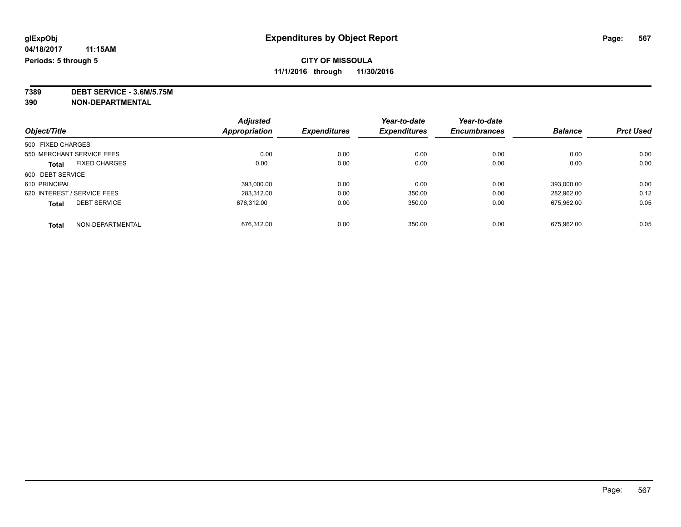**7389 DEBT SERVICE - 3.6M/5.75M**

**390 NON-DEPARTMENTAL**

|                                      | <b>Adjusted</b> | <b>Expenditures</b> | Year-to-date        | Year-to-date<br><b>Encumbrances</b> | <b>Balance</b> | <b>Prct Used</b> |
|--------------------------------------|-----------------|---------------------|---------------------|-------------------------------------|----------------|------------------|
| Object/Title                         | Appropriation   |                     | <b>Expenditures</b> |                                     |                |                  |
| 500 FIXED CHARGES                    |                 |                     |                     |                                     |                |                  |
| 550 MERCHANT SERVICE FEES            | 0.00            | 0.00                | 0.00                | 0.00                                | 0.00           | 0.00             |
| <b>FIXED CHARGES</b><br><b>Total</b> | 0.00            | 0.00                | 0.00                | 0.00                                | 0.00           | 0.00             |
| 600 DEBT SERVICE                     |                 |                     |                     |                                     |                |                  |
| 610 PRINCIPAL                        | 393,000.00      | 0.00                | 0.00                | 0.00                                | 393.000.00     | 0.00             |
| 620 INTEREST / SERVICE FEES          | 283.312.00      | 0.00                | 350.00              | 0.00                                | 282.962.00     | 0.12             |
| <b>DEBT SERVICE</b><br><b>Total</b>  | 676.312.00      | 0.00                | 350.00              | 0.00                                | 675.962.00     | 0.05             |
| NON-DEPARTMENTAL<br><b>Total</b>     | 676.312.00      | 0.00                | 350.00              | 0.00                                | 675.962.00     | 0.05             |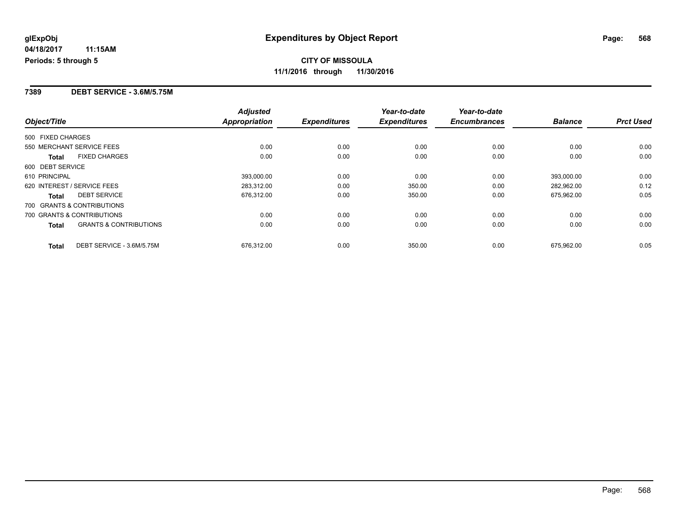#### **7389 DEBT SERVICE - 3.6M/5.75M**

|                                            | <b>Adjusted</b>      |                     | Year-to-date        | Year-to-date        |                |                  |
|--------------------------------------------|----------------------|---------------------|---------------------|---------------------|----------------|------------------|
| Object/Title                               | <b>Appropriation</b> | <b>Expenditures</b> | <b>Expenditures</b> | <b>Encumbrances</b> | <b>Balance</b> | <b>Prct Used</b> |
| 500 FIXED CHARGES                          |                      |                     |                     |                     |                |                  |
| 550 MERCHANT SERVICE FEES                  | 0.00                 | 0.00                | 0.00                | 0.00                | 0.00           | 0.00             |
| <b>FIXED CHARGES</b><br><b>Total</b>       | 0.00                 | 0.00                | 0.00                | 0.00                | 0.00           | 0.00             |
| 600 DEBT SERVICE                           |                      |                     |                     |                     |                |                  |
| 610 PRINCIPAL                              | 393.000.00           | 0.00                | 0.00                | 0.00                | 393.000.00     | 0.00             |
| 620 INTEREST / SERVICE FEES                | 283,312.00           | 0.00                | 350.00              | 0.00                | 282,962.00     | 0.12             |
| <b>DEBT SERVICE</b><br><b>Total</b>        | 676,312.00           | 0.00                | 350.00              | 0.00                | 675,962.00     | 0.05             |
| 700 GRANTS & CONTRIBUTIONS                 |                      |                     |                     |                     |                |                  |
| 700 GRANTS & CONTRIBUTIONS                 | 0.00                 | 0.00                | 0.00                | 0.00                | 0.00           | 0.00             |
| <b>GRANTS &amp; CONTRIBUTIONS</b><br>Total | 0.00                 | 0.00                | 0.00                | 0.00                | 0.00           | 0.00             |
| DEBT SERVICE - 3.6M/5.75M<br><b>Total</b>  | 676,312.00           | 0.00                | 350.00              | 0.00                | 675.962.00     | 0.05             |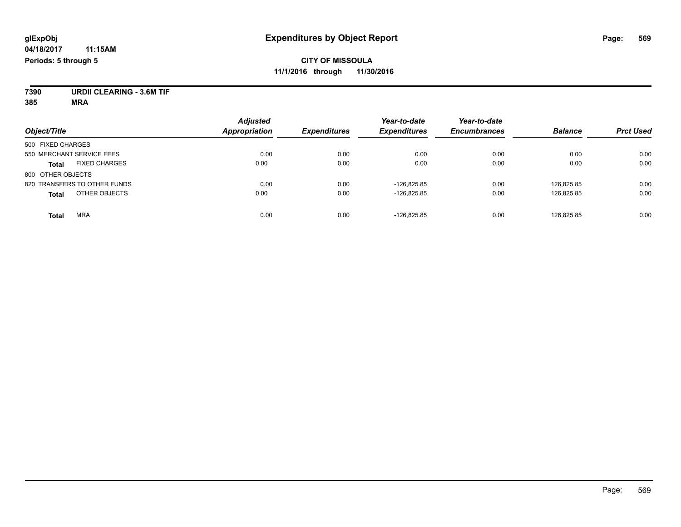## **CITY OF MISSOULA 11/1/2016 through 11/30/2016**

**7390 URDII CLEARING - 3.6M TIF**

**385 MRA**

| Object/Title                         | <b>Adjusted</b><br><b>Appropriation</b> | <b>Expenditures</b> | Year-to-date<br><b>Expenditures</b> | Year-to-date<br><b>Encumbrances</b> | <b>Balance</b> | <b>Prct Used</b> |
|--------------------------------------|-----------------------------------------|---------------------|-------------------------------------|-------------------------------------|----------------|------------------|
| 500 FIXED CHARGES                    |                                         |                     |                                     |                                     |                |                  |
| 550 MERCHANT SERVICE FEES            | 0.00                                    | 0.00                | 0.00                                | 0.00                                | 0.00           | 0.00             |
| <b>FIXED CHARGES</b><br><b>Total</b> | 0.00                                    | 0.00                | 0.00                                | 0.00                                | 0.00           | 0.00             |
| 800 OTHER OBJECTS                    |                                         |                     |                                     |                                     |                |                  |
| 820 TRANSFERS TO OTHER FUNDS         | 0.00                                    | 0.00                | $-126.825.85$                       | 0.00                                | 126.825.85     | 0.00             |
| OTHER OBJECTS<br><b>Total</b>        | 0.00                                    | 0.00                | $-126,825.85$                       | 0.00                                | 126,825.85     | 0.00             |
| <b>MRA</b><br>Total                  | 0.00                                    | 0.00                | $-126.825.85$                       | 0.00                                | 126.825.85     | 0.00             |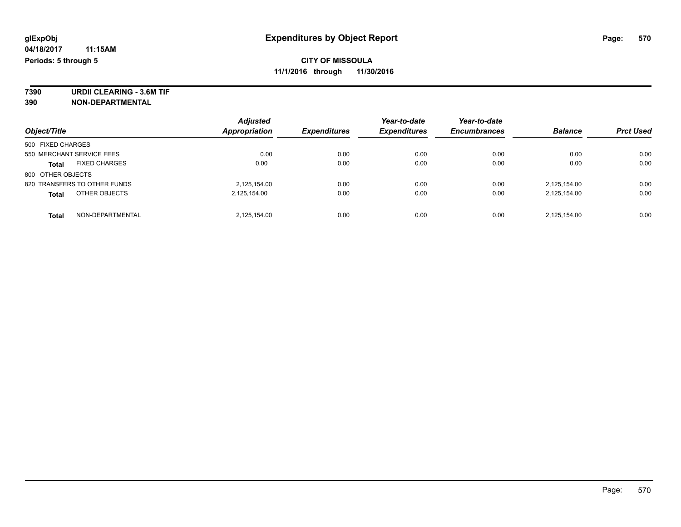**7390 URDII CLEARING - 3.6M TIF 390 NON-DEPARTMENTAL**

| Object/Title                         | <b>Adjusted</b><br><b>Appropriation</b> | <b>Expenditures</b> | Year-to-date<br><b>Expenditures</b> | Year-to-date<br><b>Encumbrances</b> | <b>Balance</b> | <b>Prct Used</b> |
|--------------------------------------|-----------------------------------------|---------------------|-------------------------------------|-------------------------------------|----------------|------------------|
| 500 FIXED CHARGES                    |                                         |                     |                                     |                                     |                |                  |
| 550 MERCHANT SERVICE FEES            | 0.00                                    | 0.00                | 0.00                                | 0.00                                | 0.00           | 0.00             |
| <b>FIXED CHARGES</b><br><b>Total</b> | 0.00                                    | 0.00                | 0.00                                | 0.00                                | 0.00           | 0.00             |
| 800 OTHER OBJECTS                    |                                         |                     |                                     |                                     |                |                  |
| 820 TRANSFERS TO OTHER FUNDS         | 2,125,154.00                            | 0.00                | 0.00                                | 0.00                                | 2.125.154.00   | 0.00             |
| OTHER OBJECTS<br><b>Total</b>        | 2,125,154.00                            | 0.00                | 0.00                                | 0.00                                | 2,125,154.00   | 0.00             |
| NON-DEPARTMENTAL<br><b>Total</b>     | 2,125,154.00                            | 0.00                | 0.00                                | 0.00                                | 2.125.154.00   | 0.00             |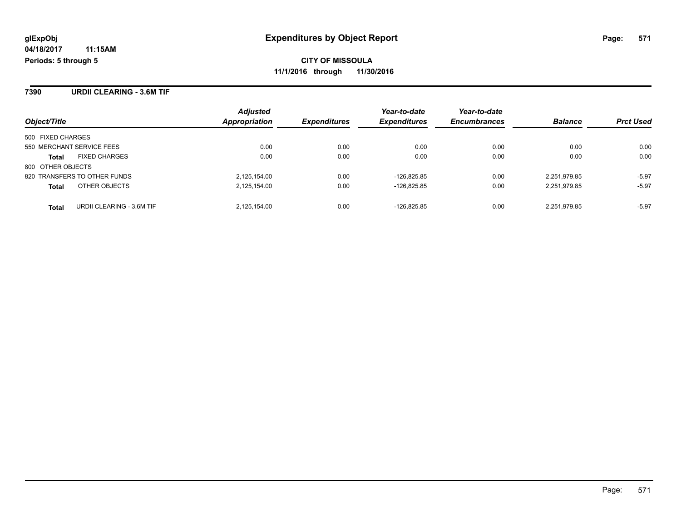**7390 URDII CLEARING - 3.6M TIF**

|                                      | <b>Adjusted</b>      |                     | Year-to-date        | Year-to-date        |                |                  |
|--------------------------------------|----------------------|---------------------|---------------------|---------------------|----------------|------------------|
| Object/Title                         | <b>Appropriation</b> | <b>Expenditures</b> | <b>Expenditures</b> | <b>Encumbrances</b> | <b>Balance</b> | <b>Prct Used</b> |
| 500 FIXED CHARGES                    |                      |                     |                     |                     |                |                  |
| 550 MERCHANT SERVICE FEES            | 0.00                 | 0.00                | 0.00                | 0.00                | 0.00           | 0.00             |
| <b>FIXED CHARGES</b><br><b>Total</b> | 0.00                 | 0.00                | 0.00                | 0.00                | 0.00           | 0.00             |
| 800 OTHER OBJECTS                    |                      |                     |                     |                     |                |                  |
| 820 TRANSFERS TO OTHER FUNDS         | 2,125,154.00         | 0.00                | $-126.825.85$       | 0.00                | 2.251.979.85   | $-5.97$          |
| OTHER OBJECTS<br><b>Total</b>        | 2,125,154.00         | 0.00                | $-126,825.85$       | 0.00                | 2,251,979.85   | $-5.97$          |
| URDII CLEARING - 3.6M TIF<br>Total   | 2.125.154.00         | 0.00                | $-126.825.85$       | 0.00                | 2.251.979.85   | $-5.97$          |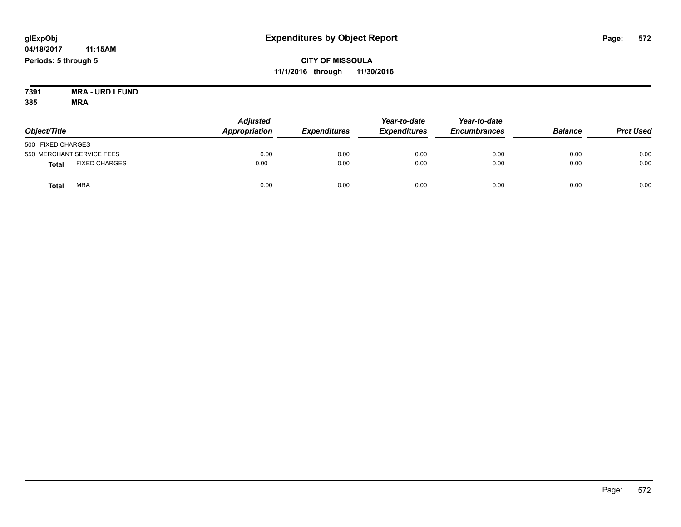**7391 MRA - URD I FUND 385 MRA**

| Object/Title                         | <b>Adjusted</b><br>Appropriation | <b>Expenditures</b> | Year-to-date<br><b>Expenditures</b> | Year-to-date<br><b>Encumbrances</b> | <b>Balance</b> | <b>Prct Used</b> |
|--------------------------------------|----------------------------------|---------------------|-------------------------------------|-------------------------------------|----------------|------------------|
| 500 FIXED CHARGES                    |                                  |                     |                                     |                                     |                |                  |
| 550 MERCHANT SERVICE FEES            | 0.00                             | 0.00                | 0.00                                | 0.00                                | 0.00           | 0.00             |
| <b>FIXED CHARGES</b><br><b>Total</b> | 0.00                             | 0.00                | 0.00                                | 0.00                                | 0.00           | 0.00             |
| <b>MRA</b><br>Total                  | 0.00                             | 0.00                | 0.00                                | 0.00                                | 0.00           | 0.00             |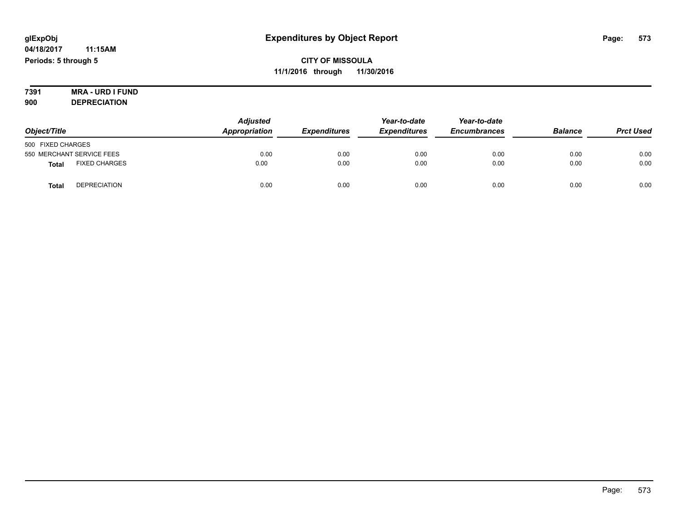#### **7391 MRA - URD I FUND 900 DEPRECIATION**

|                                      | <b>Adjusted</b> | Year-to-date        | Year-to-date        |                     |                |                  |
|--------------------------------------|-----------------|---------------------|---------------------|---------------------|----------------|------------------|
| Object/Title                         | Appropriation   | <b>Expenditures</b> | <b>Expenditures</b> | <b>Encumbrances</b> | <b>Balance</b> | <b>Prct Used</b> |
| 500 FIXED CHARGES                    |                 |                     |                     |                     |                |                  |
| 550 MERCHANT SERVICE FEES            | 0.00            | 0.00                | 0.00                | 0.00                | 0.00           | 0.00             |
| <b>FIXED CHARGES</b><br><b>Total</b> | 0.00            | 0.00                | 0.00                | 0.00                | 0.00           | 0.00             |
| <b>DEPRECIATION</b><br><b>Total</b>  | 0.00            | 0.00                | 0.00                | 0.00                | 0.00           | 0.00             |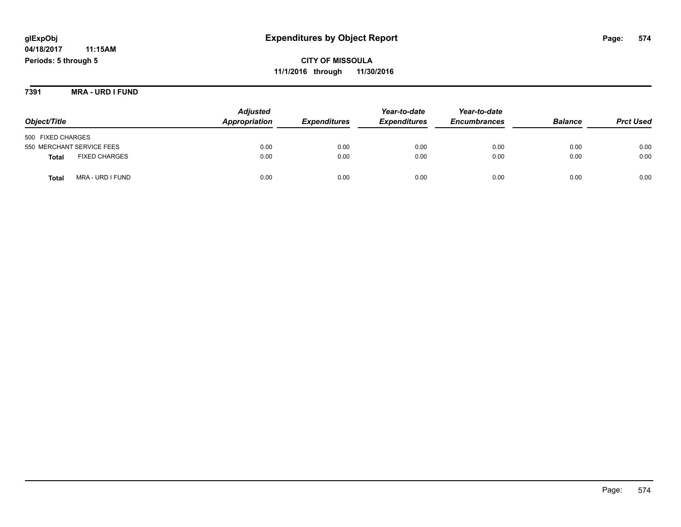**CITY OF MISSOULA 11/1/2016 through 11/30/2016**

**7391 MRA - URD I FUND**

|                                      | <b>Adjusted</b> | Year-to-date        |                     | Year-to-date        |                |                  |
|--------------------------------------|-----------------|---------------------|---------------------|---------------------|----------------|------------------|
| Object/Title                         | Appropriation   | <b>Expenditures</b> | <b>Expenditures</b> | <b>Encumbrances</b> | <b>Balance</b> | <b>Prct Used</b> |
| 500 FIXED CHARGES                    |                 |                     |                     |                     |                |                  |
| 550 MERCHANT SERVICE FEES            | 0.00            | 0.00                | 0.00                | 0.00                | 0.00           | 0.00             |
| <b>FIXED CHARGES</b><br><b>Total</b> | 0.00            | 0.00                | 0.00                | 0.00                | 0.00           | 0.00             |
| MRA - URD I FUND<br>Total            | 0.00            | 0.00                | 0.00                | 0.00                | 0.00           | 0.00             |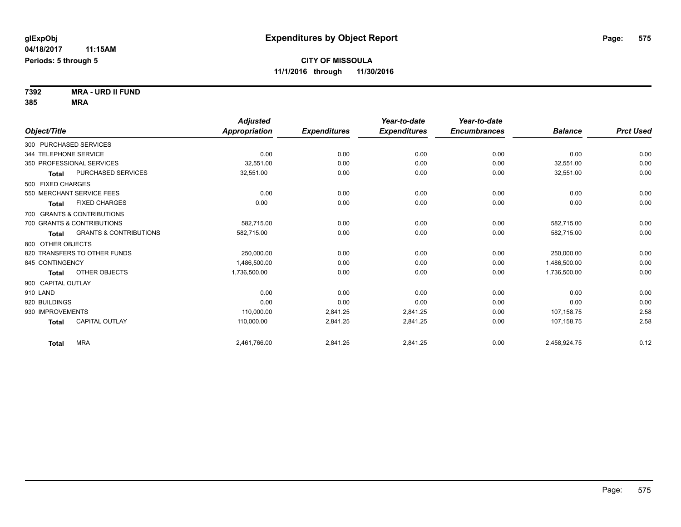**7392 MRA - URD II FUND 385 MRA**

|                        |                                   | <b>Adjusted</b>      |                     | Year-to-date        | Year-to-date        |                |                  |
|------------------------|-----------------------------------|----------------------|---------------------|---------------------|---------------------|----------------|------------------|
| Object/Title           |                                   | <b>Appropriation</b> | <b>Expenditures</b> | <b>Expenditures</b> | <b>Encumbrances</b> | <b>Balance</b> | <b>Prct Used</b> |
| 300 PURCHASED SERVICES |                                   |                      |                     |                     |                     |                |                  |
| 344 TELEPHONE SERVICE  |                                   | 0.00                 | 0.00                | 0.00                | 0.00                | 0.00           | 0.00             |
|                        | 350 PROFESSIONAL SERVICES         | 32.551.00            | 0.00                | 0.00                | 0.00                | 32.551.00      | 0.00             |
| <b>Total</b>           | PURCHASED SERVICES                | 32,551.00            | 0.00                | 0.00                | 0.00                | 32,551.00      | 0.00             |
| 500 FIXED CHARGES      |                                   |                      |                     |                     |                     |                |                  |
|                        | 550 MERCHANT SERVICE FEES         | 0.00                 | 0.00                | 0.00                | 0.00                | 0.00           | 0.00             |
| <b>Total</b>           | <b>FIXED CHARGES</b>              | 0.00                 | 0.00                | 0.00                | 0.00                | 0.00           | 0.00             |
|                        | 700 GRANTS & CONTRIBUTIONS        |                      |                     |                     |                     |                |                  |
|                        | 700 GRANTS & CONTRIBUTIONS        | 582,715.00           | 0.00                | 0.00                | 0.00                | 582,715.00     | 0.00             |
| <b>Total</b>           | <b>GRANTS &amp; CONTRIBUTIONS</b> | 582,715.00           | 0.00                | 0.00                | 0.00                | 582,715.00     | 0.00             |
| 800 OTHER OBJECTS      |                                   |                      |                     |                     |                     |                |                  |
|                        | 820 TRANSFERS TO OTHER FUNDS      | 250,000.00           | 0.00                | 0.00                | 0.00                | 250,000.00     | 0.00             |
| 845 CONTINGENCY        |                                   | 1,486,500.00         | 0.00                | 0.00                | 0.00                | 1,486,500.00   | 0.00             |
| <b>Total</b>           | OTHER OBJECTS                     | 1,736,500.00         | 0.00                | 0.00                | 0.00                | 1,736,500.00   | 0.00             |
| 900 CAPITAL OUTLAY     |                                   |                      |                     |                     |                     |                |                  |
| 910 LAND               |                                   | 0.00                 | 0.00                | 0.00                | 0.00                | 0.00           | 0.00             |
| 920 BUILDINGS          |                                   | 0.00                 | 0.00                | 0.00                | 0.00                | 0.00           | 0.00             |
| 930 IMPROVEMENTS       |                                   | 110,000.00           | 2,841.25            | 2,841.25            | 0.00                | 107.158.75     | 2.58             |
| <b>Total</b>           | <b>CAPITAL OUTLAY</b>             | 110,000.00           | 2,841.25            | 2,841.25            | 0.00                | 107,158.75     | 2.58             |
| <b>Total</b>           | <b>MRA</b>                        | 2.461.766.00         | 2,841.25            | 2,841.25            | 0.00                | 2,458,924.75   | 0.12             |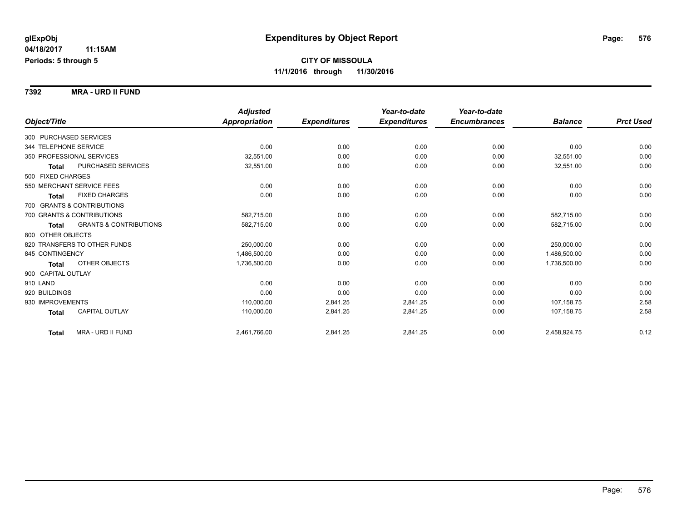**7392 MRA - URD II FUND**

|                                            | <b>Adjusted</b>      |                     | Year-to-date        | Year-to-date        |                |                  |
|--------------------------------------------|----------------------|---------------------|---------------------|---------------------|----------------|------------------|
| Object/Title                               | <b>Appropriation</b> | <b>Expenditures</b> | <b>Expenditures</b> | <b>Encumbrances</b> | <b>Balance</b> | <b>Prct Used</b> |
| 300 PURCHASED SERVICES                     |                      |                     |                     |                     |                |                  |
| 344 TELEPHONE SERVICE                      | 0.00                 | 0.00                | 0.00                | 0.00                | 0.00           | 0.00             |
| 350 PROFESSIONAL SERVICES                  | 32.551.00            | 0.00                | 0.00                | 0.00                | 32,551.00      | 0.00             |
| <b>PURCHASED SERVICES</b><br><b>Total</b>  | 32,551.00            | 0.00                | 0.00                | 0.00                | 32,551.00      | 0.00             |
| 500 FIXED CHARGES                          |                      |                     |                     |                     |                |                  |
| 550 MERCHANT SERVICE FEES                  | 0.00                 | 0.00                | 0.00                | 0.00                | 0.00           | 0.00             |
| <b>FIXED CHARGES</b><br><b>Total</b>       | 0.00                 | 0.00                | 0.00                | 0.00                | 0.00           | 0.00             |
| 700 GRANTS & CONTRIBUTIONS                 |                      |                     |                     |                     |                |                  |
| 700 GRANTS & CONTRIBUTIONS                 | 582,715.00           | 0.00                | 0.00                | 0.00                | 582,715.00     | 0.00             |
| <b>GRANTS &amp; CONTRIBUTIONS</b><br>Total | 582,715.00           | 0.00                | 0.00                | 0.00                | 582,715.00     | 0.00             |
| 800 OTHER OBJECTS                          |                      |                     |                     |                     |                |                  |
| 820 TRANSFERS TO OTHER FUNDS               | 250,000.00           | 0.00                | 0.00                | 0.00                | 250,000.00     | 0.00             |
| 845 CONTINGENCY                            | 1,486,500.00         | 0.00                | 0.00                | 0.00                | 1,486,500.00   | 0.00             |
| OTHER OBJECTS<br><b>Total</b>              | 1,736,500.00         | 0.00                | 0.00                | 0.00                | 1,736,500.00   | 0.00             |
| 900 CAPITAL OUTLAY                         |                      |                     |                     |                     |                |                  |
| 910 LAND                                   | 0.00                 | 0.00                | 0.00                | 0.00                | 0.00           | 0.00             |
| 920 BUILDINGS                              | 0.00                 | 0.00                | 0.00                | 0.00                | 0.00           | 0.00             |
| 930 IMPROVEMENTS                           | 110,000.00           | 2,841.25            | 2,841.25            | 0.00                | 107,158.75     | 2.58             |
| <b>CAPITAL OUTLAY</b><br><b>Total</b>      | 110,000.00           | 2,841.25            | 2,841.25            | 0.00                | 107,158.75     | 2.58             |
| MRA - URD II FUND<br><b>Total</b>          | 2,461,766.00         | 2,841.25            | 2,841.25            | 0.00                | 2,458,924.75   | 0.12             |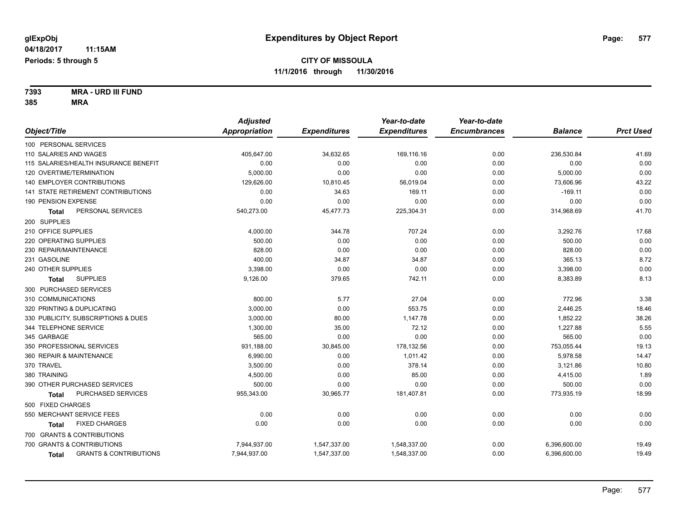**7393 MRA - URD III FUND 385 MRA**

|                                            | <b>Adjusted</b>      |                     | Year-to-date        | Year-to-date        |                |                  |
|--------------------------------------------|----------------------|---------------------|---------------------|---------------------|----------------|------------------|
| Object/Title                               | <b>Appropriation</b> | <b>Expenditures</b> | <b>Expenditures</b> | <b>Encumbrances</b> | <b>Balance</b> | <b>Prct Used</b> |
| 100 PERSONAL SERVICES                      |                      |                     |                     |                     |                |                  |
| 110 SALARIES AND WAGES                     | 405,647.00           | 34,632.65           | 169,116.16          | 0.00                | 236,530.84     | 41.69            |
| 115 SALARIES/HEALTH INSURANCE BENEFIT      | 0.00                 | 0.00                | 0.00                | 0.00                | 0.00           | 0.00             |
| 120 OVERTIME/TERMINATION                   | 5,000.00             | 0.00                | 0.00                | 0.00                | 5,000.00       | 0.00             |
| 140 EMPLOYER CONTRIBUTIONS                 | 129,626.00           | 10,810.45           | 56,019.04           | 0.00                | 73,606.96      | 43.22            |
| 141 STATE RETIREMENT CONTRIBUTIONS         | 0.00                 | 34.63               | 169.11              | 0.00                | $-169.11$      | 0.00             |
| 190 PENSION EXPENSE                        | 0.00                 | 0.00                | 0.00                | 0.00                | 0.00           | 0.00             |
| PERSONAL SERVICES<br>Total                 | 540,273.00           | 45,477.73           | 225,304.31          | 0.00                | 314,968.69     | 41.70            |
| 200 SUPPLIES                               |                      |                     |                     |                     |                |                  |
| 210 OFFICE SUPPLIES                        | 4,000.00             | 344.78              | 707.24              | 0.00                | 3,292.76       | 17.68            |
| 220 OPERATING SUPPLIES                     | 500.00               | 0.00                | 0.00                | 0.00                | 500.00         | 0.00             |
| 230 REPAIR/MAINTENANCE                     | 828.00               | 0.00                | 0.00                | 0.00                | 828.00         | 0.00             |
| 231 GASOLINE                               | 400.00               | 34.87               | 34.87               | 0.00                | 365.13         | 8.72             |
| 240 OTHER SUPPLIES                         | 3,398.00             | 0.00                | 0.00                | 0.00                | 3,398.00       | 0.00             |
| <b>SUPPLIES</b><br>Total                   | 9,126.00             | 379.65              | 742.11              | 0.00                | 8,383.89       | 8.13             |
| 300 PURCHASED SERVICES                     |                      |                     |                     |                     |                |                  |
| 310 COMMUNICATIONS                         | 800.00               | 5.77                | 27.04               | 0.00                | 772.96         | 3.38             |
| 320 PRINTING & DUPLICATING                 | 3,000.00             | 0.00                | 553.75              | 0.00                | 2,446.25       | 18.46            |
| 330 PUBLICITY, SUBSCRIPTIONS & DUES        | 3,000.00             | 80.00               | 1,147.78            | 0.00                | 1,852.22       | 38.26            |
| 344 TELEPHONE SERVICE                      | 1,300.00             | 35.00               | 72.12               | 0.00                | 1,227.88       | 5.55             |
| 345 GARBAGE                                | 565.00               | 0.00                | 0.00                | 0.00                | 565.00         | 0.00             |
| 350 PROFESSIONAL SERVICES                  | 931,188.00           | 30,845.00           | 178,132.56          | 0.00                | 753,055.44     | 19.13            |
| 360 REPAIR & MAINTENANCE                   | 6,990.00             | 0.00                | 1,011.42            | 0.00                | 5,978.58       | 14.47            |
| 370 TRAVEL                                 | 3,500.00             | 0.00                | 378.14              | 0.00                | 3,121.86       | 10.80            |
| 380 TRAINING                               | 4,500.00             | 0.00                | 85.00               | 0.00                | 4,415.00       | 1.89             |
| 390 OTHER PURCHASED SERVICES               | 500.00               | 0.00                | 0.00                | 0.00                | 500.00         | 0.00             |
| PURCHASED SERVICES<br>Total                | 955,343.00           | 30,965.77           | 181,407.81          | 0.00                | 773,935.19     | 18.99            |
| 500 FIXED CHARGES                          |                      |                     |                     |                     |                |                  |
| 550 MERCHANT SERVICE FEES                  | 0.00                 | 0.00                | 0.00                | 0.00                | 0.00           | 0.00             |
| <b>FIXED CHARGES</b><br>Total              | 0.00                 | 0.00                | 0.00                | 0.00                | 0.00           | 0.00             |
| 700 GRANTS & CONTRIBUTIONS                 |                      |                     |                     |                     |                |                  |
| 700 GRANTS & CONTRIBUTIONS                 | 7,944,937.00         | 1,547,337.00        | 1,548,337.00        | 0.00                | 6,396,600.00   | 19.49            |
| <b>GRANTS &amp; CONTRIBUTIONS</b><br>Total | 7,944,937.00         | 1,547,337.00        | 1,548,337.00        | 0.00                | 6,396,600.00   | 19.49            |
|                                            |                      |                     |                     |                     |                |                  |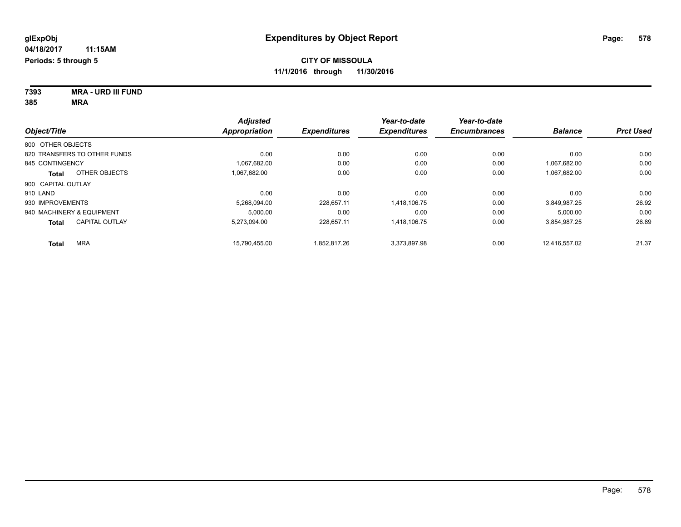| 7393 | <b>MRA - URD III FUND</b> |
|------|---------------------------|
| 385  | MRA                       |

|                                       | <b>Adjusted</b> |                     | Year-to-date        | Year-to-date        |                |                  |
|---------------------------------------|-----------------|---------------------|---------------------|---------------------|----------------|------------------|
| Object/Title                          | Appropriation   | <b>Expenditures</b> | <b>Expenditures</b> | <b>Encumbrances</b> | <b>Balance</b> | <b>Prct Used</b> |
| 800 OTHER OBJECTS                     |                 |                     |                     |                     |                |                  |
| 820 TRANSFERS TO OTHER FUNDS          | 0.00            | 0.00                | 0.00                | 0.00                | 0.00           | 0.00             |
| 845 CONTINGENCY                       | 1,067,682.00    | 0.00                | 0.00                | 0.00                | 1,067,682.00   | 0.00             |
| OTHER OBJECTS<br><b>Total</b>         | 1.067.682.00    | 0.00                | 0.00                | 0.00                | 1,067,682.00   | 0.00             |
| 900 CAPITAL OUTLAY                    |                 |                     |                     |                     |                |                  |
| 910 LAND                              | 0.00            | 0.00                | 0.00                | 0.00                | 0.00           | 0.00             |
| 930 IMPROVEMENTS                      | 5.268.094.00    | 228.657.11          | 1,418,106.75        | 0.00                | 3,849,987.25   | 26.92            |
| 940 MACHINERY & EQUIPMENT             | 5.000.00        | 0.00                | 0.00                | 0.00                | 5,000.00       | 0.00             |
| <b>CAPITAL OUTLAY</b><br><b>Total</b> | 5.273.094.00    | 228.657.11          | 1,418,106.75        | 0.00                | 3,854,987.25   | 26.89            |
| <b>MRA</b><br><b>Total</b>            | 15.790.455.00   | 1.852.817.26        | 3.373.897.98        | 0.00                | 12.416.557.02  | 21.37            |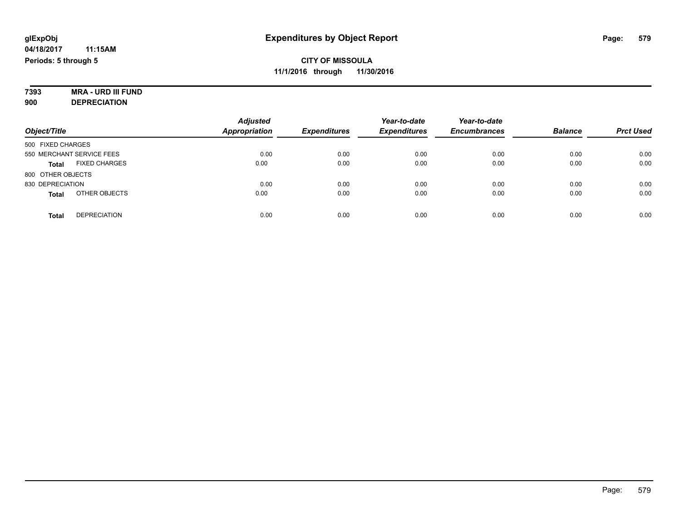#### **7393 MRA - URD III FUND 900 DEPRECIATION**

|                               | <b>Adjusted</b>      |                     | Year-to-date        | Year-to-date        |                |                  |
|-------------------------------|----------------------|---------------------|---------------------|---------------------|----------------|------------------|
| Object/Title                  | <b>Appropriation</b> | <b>Expenditures</b> | <b>Expenditures</b> | <b>Encumbrances</b> | <b>Balance</b> | <b>Prct Used</b> |
| 500 FIXED CHARGES             |                      |                     |                     |                     |                |                  |
| 550 MERCHANT SERVICE FEES     | 0.00                 | 0.00                | 0.00                | 0.00                | 0.00           | 0.00             |
| <b>FIXED CHARGES</b><br>Total | 0.00                 | 0.00                | 0.00                | 0.00                | 0.00           | 0.00             |
| 800 OTHER OBJECTS             |                      |                     |                     |                     |                |                  |
| 830 DEPRECIATION              | 0.00                 | 0.00                | 0.00                | 0.00                | 0.00           | 0.00             |
| OTHER OBJECTS<br>Total        | 0.00                 | 0.00                | 0.00                | 0.00                | 0.00           | 0.00             |
| <b>DEPRECIATION</b><br>Total  | 0.00                 | 0.00                | 0.00                | 0.00                | 0.00           | 0.00             |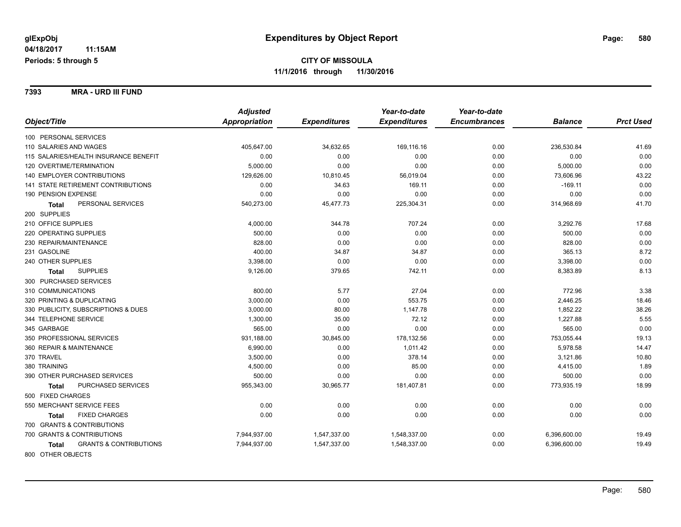**7393 MRA - URD III FUND**

|                                            | <b>Adjusted</b> |                     | Year-to-date        | Year-to-date        |                |                  |
|--------------------------------------------|-----------------|---------------------|---------------------|---------------------|----------------|------------------|
| Object/Title                               | Appropriation   | <b>Expenditures</b> | <b>Expenditures</b> | <b>Encumbrances</b> | <b>Balance</b> | <b>Prct Used</b> |
| 100 PERSONAL SERVICES                      |                 |                     |                     |                     |                |                  |
| 110 SALARIES AND WAGES                     | 405,647.00      | 34,632.65           | 169,116.16          | 0.00                | 236,530.84     | 41.69            |
| 115 SALARIES/HEALTH INSURANCE BENEFIT      | 0.00            | 0.00                | 0.00                | 0.00                | 0.00           | 0.00             |
| 120 OVERTIME/TERMINATION                   | 5,000.00        | 0.00                | 0.00                | 0.00                | 5,000.00       | 0.00             |
| 140 EMPLOYER CONTRIBUTIONS                 | 129,626.00      | 10,810.45           | 56,019.04           | 0.00                | 73,606.96      | 43.22            |
| <b>141 STATE RETIREMENT CONTRIBUTIONS</b>  | 0.00            | 34.63               | 169.11              | 0.00                | $-169.11$      | 0.00             |
| 190 PENSION EXPENSE                        | 0.00            | 0.00                | 0.00                | 0.00                | 0.00           | 0.00             |
| PERSONAL SERVICES<br>Total                 | 540,273.00      | 45,477.73           | 225,304.31          | 0.00                | 314,968.69     | 41.70            |
| 200 SUPPLIES                               |                 |                     |                     |                     |                |                  |
| 210 OFFICE SUPPLIES                        | 4,000.00        | 344.78              | 707.24              | 0.00                | 3,292.76       | 17.68            |
| 220 OPERATING SUPPLIES                     | 500.00          | 0.00                | 0.00                | 0.00                | 500.00         | 0.00             |
| 230 REPAIR/MAINTENANCE                     | 828.00          | 0.00                | 0.00                | 0.00                | 828.00         | 0.00             |
| 231 GASOLINE                               | 400.00          | 34.87               | 34.87               | 0.00                | 365.13         | 8.72             |
| 240 OTHER SUPPLIES                         | 3,398.00        | 0.00                | 0.00                | 0.00                | 3,398.00       | 0.00             |
| <b>SUPPLIES</b><br><b>Total</b>            | 9,126.00        | 379.65              | 742.11              | 0.00                | 8,383.89       | 8.13             |
| 300 PURCHASED SERVICES                     |                 |                     |                     |                     |                |                  |
| 310 COMMUNICATIONS                         | 800.00          | 5.77                | 27.04               | 0.00                | 772.96         | 3.38             |
| 320 PRINTING & DUPLICATING                 | 3,000.00        | 0.00                | 553.75              | 0.00                | 2,446.25       | 18.46            |
| 330 PUBLICITY, SUBSCRIPTIONS & DUES        | 3,000.00        | 80.00               | 1,147.78            | 0.00                | 1,852.22       | 38.26            |
| 344 TELEPHONE SERVICE                      | 1,300.00        | 35.00               | 72.12               | 0.00                | 1,227.88       | 5.55             |
| 345 GARBAGE                                | 565.00          | 0.00                | 0.00                | 0.00                | 565.00         | 0.00             |
| 350 PROFESSIONAL SERVICES                  | 931,188.00      | 30,845.00           | 178,132.56          | 0.00                | 753,055.44     | 19.13            |
| 360 REPAIR & MAINTENANCE                   | 6,990.00        | 0.00                | 1,011.42            | 0.00                | 5,978.58       | 14.47            |
| 370 TRAVEL                                 | 3,500.00        | 0.00                | 378.14              | 0.00                | 3,121.86       | 10.80            |
| 380 TRAINING                               | 4,500.00        | 0.00                | 85.00               | 0.00                | 4,415.00       | 1.89             |
| 390 OTHER PURCHASED SERVICES               | 500.00          | 0.00                | 0.00                | 0.00                | 500.00         | 0.00             |
| PURCHASED SERVICES<br>Total                | 955,343.00      | 30,965.77           | 181,407.81          | 0.00                | 773,935.19     | 18.99            |
| 500 FIXED CHARGES                          |                 |                     |                     |                     |                |                  |
| 550 MERCHANT SERVICE FEES                  | 0.00            | 0.00                | 0.00                | 0.00                | 0.00           | 0.00             |
| <b>FIXED CHARGES</b><br>Total              | 0.00            | 0.00                | 0.00                | 0.00                | 0.00           | 0.00             |
| 700 GRANTS & CONTRIBUTIONS                 |                 |                     |                     |                     |                |                  |
| 700 GRANTS & CONTRIBUTIONS                 | 7,944,937.00    | 1,547,337.00        | 1,548,337.00        | 0.00                | 6,396,600.00   | 19.49            |
| <b>GRANTS &amp; CONTRIBUTIONS</b><br>Total | 7,944,937.00    | 1,547,337.00        | 1,548,337.00        | 0.00                | 6,396,600.00   | 19.49            |
| 800 OTHER OBJECTS                          |                 |                     |                     |                     |                |                  |
|                                            |                 |                     |                     |                     |                |                  |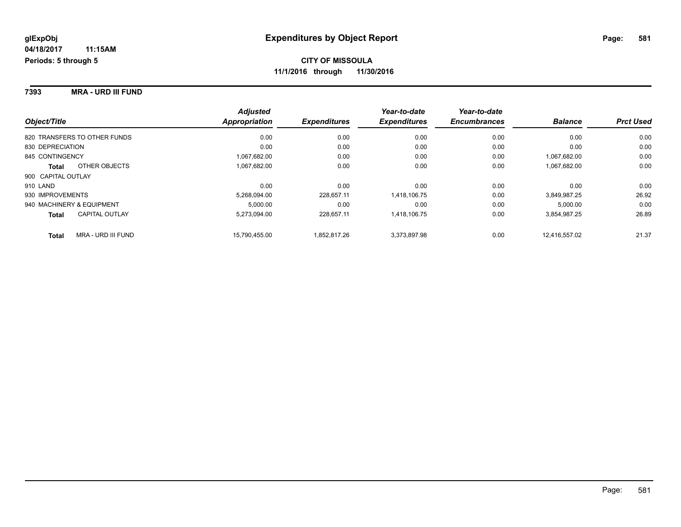**7393 MRA - URD III FUND**

|                                       | <b>Adjusted</b> |                     | Year-to-date        | Year-to-date        |                |                  |
|---------------------------------------|-----------------|---------------------|---------------------|---------------------|----------------|------------------|
| Object/Title                          | Appropriation   | <b>Expenditures</b> | <b>Expenditures</b> | <b>Encumbrances</b> | <b>Balance</b> | <b>Prct Used</b> |
| 820 TRANSFERS TO OTHER FUNDS          | 0.00            | 0.00                | 0.00                | 0.00                | 0.00           | 0.00             |
| 830 DEPRECIATION                      | 0.00            | 0.00                | 0.00                | 0.00                | 0.00           | 0.00             |
| 845 CONTINGENCY                       | 1,067,682.00    | 0.00                | 0.00                | 0.00                | 1,067,682.00   | 0.00             |
| OTHER OBJECTS<br><b>Total</b>         | 1,067,682.00    | 0.00                | 0.00                | 0.00                | 1,067,682.00   | 0.00             |
| 900 CAPITAL OUTLAY                    |                 |                     |                     |                     |                |                  |
| 910 LAND                              | 0.00            | 0.00                | 0.00                | 0.00                | 0.00           | 0.00             |
| 930 IMPROVEMENTS                      | 5.268.094.00    | 228.657.11          | 1,418,106.75        | 0.00                | 3,849,987.25   | 26.92            |
| 940 MACHINERY & EQUIPMENT             | 5.000.00        | 0.00                | 0.00                | 0.00                | 5,000.00       | 0.00             |
| <b>CAPITAL OUTLAY</b><br><b>Total</b> | 5,273,094.00    | 228,657.11          | 1,418,106.75        | 0.00                | 3,854,987.25   | 26.89            |
| MRA - URD III FUND<br><b>Total</b>    | 15,790,455.00   | 1,852,817.26        | 3,373,897.98        | 0.00                | 12,416,557.02  | 21.37            |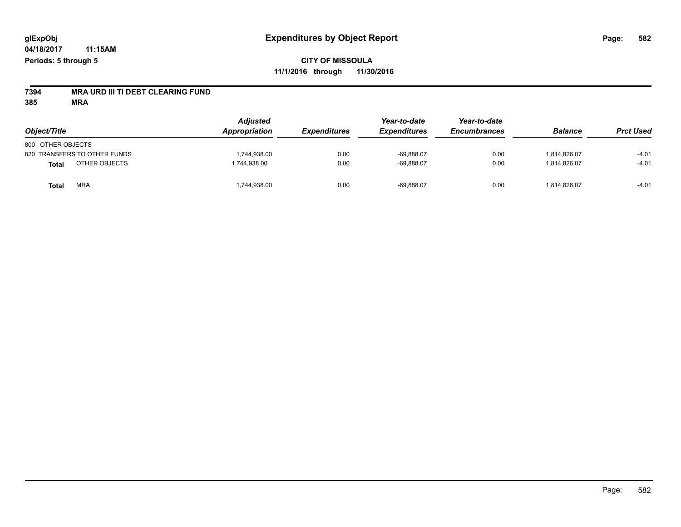# **7394 MRA URD III TI DEBT CLEARING FUND**

**385 MRA**

| Object/Title                  | <b>Adjusted</b><br>Appropriation | <b>Expenditures</b> | Year-to-date<br><b>Expenditures</b> | Year-to-date<br><b>Encumbrances</b> | <b>Balance</b> | <b>Prct Used</b> |
|-------------------------------|----------------------------------|---------------------|-------------------------------------|-------------------------------------|----------------|------------------|
| 800 OTHER OBJECTS             |                                  |                     |                                     |                                     |                |                  |
| 820 TRANSFERS TO OTHER FUNDS  | 1,744,938.00                     | 0.00                | $-69,888.07$                        | 0.00                                | 814,826.07     | $-4.01$          |
| OTHER OBJECTS<br><b>Total</b> | 1,744,938.00                     | 0.00                | $-69,888.07$                        | 0.00                                | 1.814.826.07   | $-4.01$          |
| <b>MRA</b><br><b>Total</b>    | 1,744,938.00                     | 0.00                | $-69,888.07$                        | 0.00                                | 1,814,826.07   | $-4.01$          |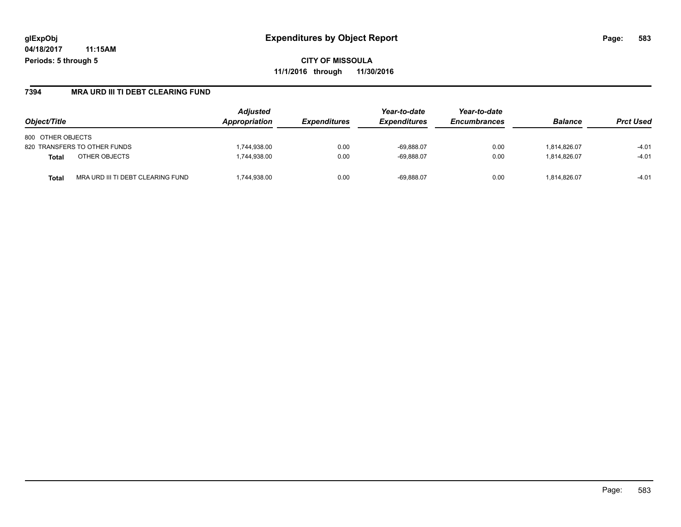**CITY OF MISSOULA 11/1/2016 through 11/30/2016**

### **7394 MRA URD III TI DEBT CLEARING FUND**

| Object/Title                              | <b>Adjusted</b><br><b>Appropriation</b> | <i><b>Expenditures</b></i> | Year-to-date<br><b>Expenditures</b> | Year-to-date<br><b>Encumbrances</b> | <b>Balance</b> | <b>Prct Used</b> |
|-------------------------------------------|-----------------------------------------|----------------------------|-------------------------------------|-------------------------------------|----------------|------------------|
|                                           |                                         |                            |                                     |                                     |                |                  |
| 800 OTHER OBJECTS                         |                                         |                            |                                     |                                     |                |                  |
| 820 TRANSFERS TO OTHER FUNDS              | .744.938.00                             | 0.00                       | $-69.888.07$                        | 0.00                                | 1.814.826.07   | $-4.01$          |
| OTHER OBJECTS<br><b>Total</b>             | 1.744.938.00                            | 0.00                       | $-69.888.07$                        | 0.00                                | 1.814.826.07   | $-4.01$          |
| MRA URD III TI DEBT CLEARING FUND<br>Tota | .744.938.00                             | 0.00                       | $-69.888.07$                        | 0.00                                | 1.814.826.07   | $-4.01$          |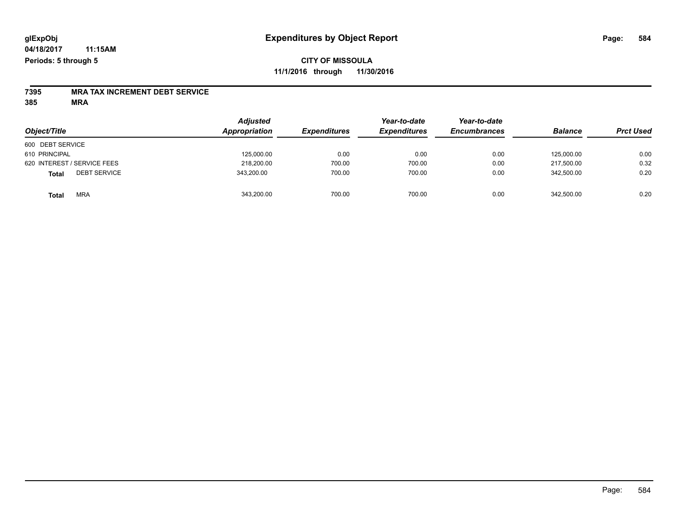## **CITY OF MISSOULA 11/1/2016 through 11/30/2016**

# **7395 MRA TAX INCREMENT DEBT SERVICE**

**385 MRA**

| Object/Title                 | <b>Adjusted</b><br>Appropriation | <b>Expenditures</b> | Year-to-date<br><b>Expenditures</b> | Year-to-date<br><b>Encumbrances</b> | <b>Balance</b> | <b>Prct Used</b> |
|------------------------------|----------------------------------|---------------------|-------------------------------------|-------------------------------------|----------------|------------------|
| 600 DEBT SERVICE             |                                  |                     |                                     |                                     |                |                  |
| 610 PRINCIPAL                | 125,000.00                       | 0.00                | 0.00                                | 0.00                                | 125.000.00     | 0.00             |
| 620 INTEREST / SERVICE FEES  | 218,200.00                       | 700.00              | 700.00                              | 0.00                                | 217.500.00     | 0.32             |
| <b>DEBT SERVICE</b><br>Total | 343,200.00                       | 700.00              | 700.00                              | 0.00                                | 342.500.00     | 0.20             |
| <b>MRA</b><br><b>Total</b>   | 343,200.00                       | 700.00              | 700.00                              | 0.00                                | 342,500.00     | 0.20             |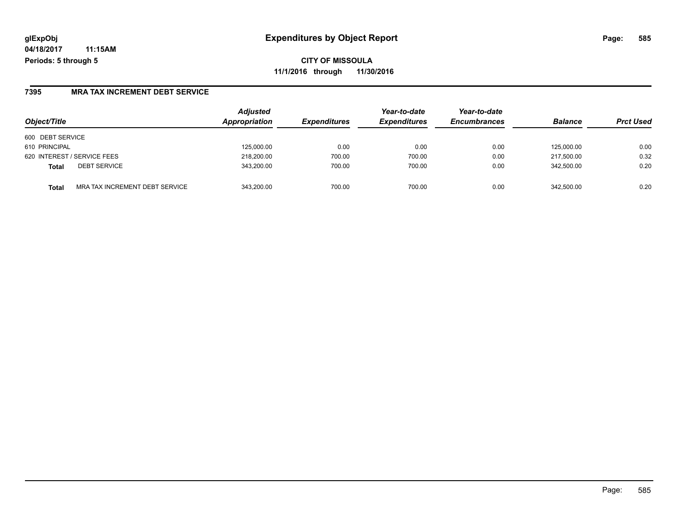**CITY OF MISSOULA 11/1/2016 through 11/30/2016**

### **7395 MRA TAX INCREMENT DEBT SERVICE**

| Object/Title                                   | <b>Adjusted</b><br>Appropriation | <i><b>Expenditures</b></i> | Year-to-date<br><b>Expenditures</b> | Year-to-date<br><b>Encumbrances</b> | <b>Balance</b> | <b>Prct Used</b> |
|------------------------------------------------|----------------------------------|----------------------------|-------------------------------------|-------------------------------------|----------------|------------------|
| 600 DEBT SERVICE                               |                                  |                            |                                     |                                     |                |                  |
| 610 PRINCIPAL                                  | 125,000.00                       | 0.00                       | 0.00                                | 0.00                                | 125.000.00     | 0.00             |
| 620 INTEREST / SERVICE FEES                    | 218,200.00                       | 700.00                     | 700.00                              | 0.00                                | 217,500.00     | 0.32             |
| <b>DEBT SERVICE</b><br><b>Total</b>            | 343.200.00                       | 700.00                     | 700.00                              | 0.00                                | 342.500.00     | 0.20             |
| MRA TAX INCREMENT DEBT SERVICE<br><b>Total</b> | 343.200.00                       | 700.00                     | 700.00                              | 0.00                                | 342.500.00     | 0.20             |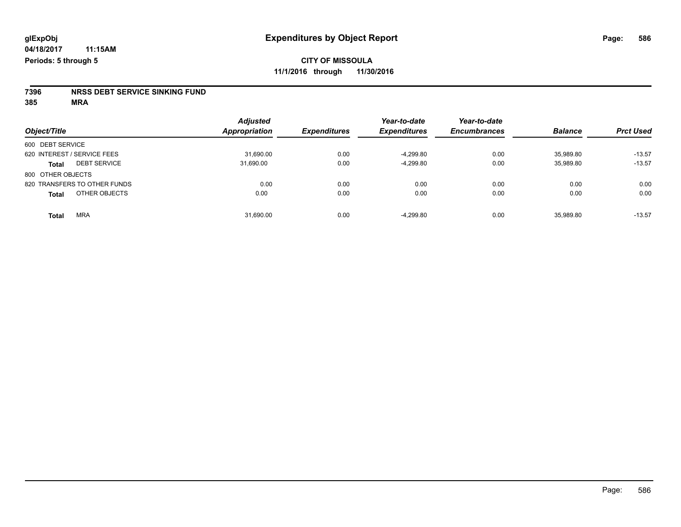# **7396 NRSS DEBT SERVICE SINKING FUND**

**385 MRA**

| Object/Title                        | <b>Adjusted</b><br><b>Appropriation</b> | <b>Expenditures</b> | Year-to-date<br><b>Expenditures</b> | Year-to-date<br><b>Encumbrances</b> | <b>Balance</b> | <b>Prct Used</b> |
|-------------------------------------|-----------------------------------------|---------------------|-------------------------------------|-------------------------------------|----------------|------------------|
| 600 DEBT SERVICE                    |                                         |                     |                                     |                                     |                |                  |
| 620 INTEREST / SERVICE FEES         | 31,690.00                               | 0.00                | $-4.299.80$                         | 0.00                                | 35.989.80      | $-13.57$         |
| <b>DEBT SERVICE</b><br><b>Total</b> | 31,690.00                               | 0.00                | $-4,299.80$                         | 0.00                                | 35,989.80      | $-13.57$         |
| 800 OTHER OBJECTS                   |                                         |                     |                                     |                                     |                |                  |
| 820 TRANSFERS TO OTHER FUNDS        | 0.00                                    | 0.00                | 0.00                                | 0.00                                | 0.00           | 0.00             |
| OTHER OBJECTS<br><b>Total</b>       | 0.00                                    | 0.00                | 0.00                                | 0.00                                | 0.00           | 0.00             |
| <b>MRA</b><br><b>Total</b>          | 31,690.00                               | 0.00                | $-4,299.80$                         | 0.00                                | 35,989.80      | $-13.57$         |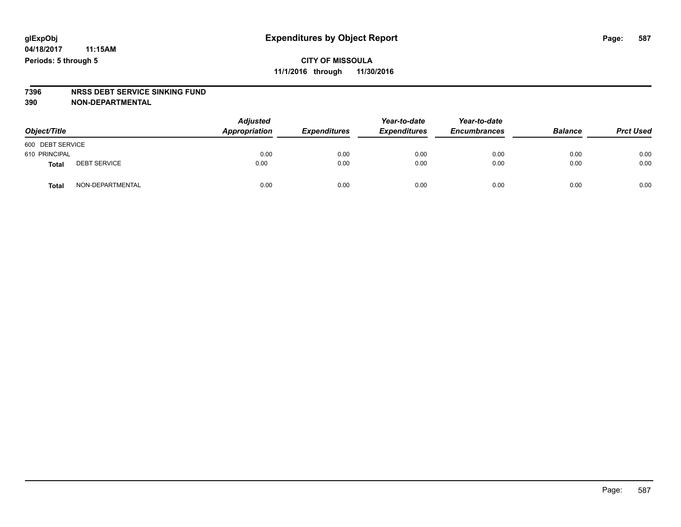## **CITY OF MISSOULA 11/1/2016 through 11/30/2016**

# **7396 NRSS DEBT SERVICE SINKING FUND**

**390 NON-DEPARTMENTAL**

| Object/Title     |                     | <b>Adjusted</b><br>Appropriation | <b>Expenditures</b> | Year-to-date<br><b>Expenditures</b> | Year-to-date<br><b>Encumbrances</b> | <b>Balance</b> | <b>Prct Used</b> |
|------------------|---------------------|----------------------------------|---------------------|-------------------------------------|-------------------------------------|----------------|------------------|
| 600 DEBT SERVICE |                     |                                  |                     |                                     |                                     |                |                  |
| 610 PRINCIPAL    |                     | 0.00                             | 0.00                | 0.00                                | 0.00                                | 0.00           | 0.00             |
| <b>Total</b>     | <b>DEBT SERVICE</b> | 0.00                             | 0.00                | 0.00                                | 0.00                                | 0.00           | 0.00             |
| <b>Total</b>     | NON-DEPARTMENTAL    | 0.00                             | 0.00                | 0.00                                | 0.00                                | 0.00           | 0.00             |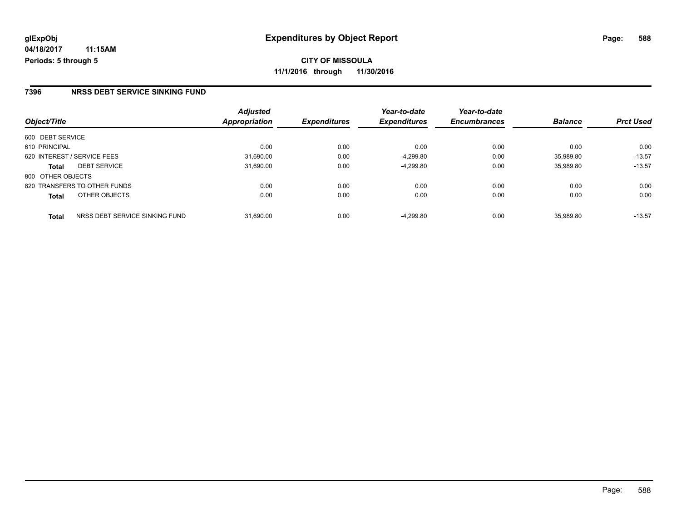### **7396 NRSS DEBT SERVICE SINKING FUND**

| Object/Title      |                                | <b>Adjusted</b> | <b>Expenditures</b> | Year-to-date<br><b>Expenditures</b> | Year-to-date<br><b>Encumbrances</b> | <b>Balance</b> | <b>Prct Used</b> |
|-------------------|--------------------------------|-----------------|---------------------|-------------------------------------|-------------------------------------|----------------|------------------|
|                   |                                | Appropriation   |                     |                                     |                                     |                |                  |
| 600 DEBT SERVICE  |                                |                 |                     |                                     |                                     |                |                  |
| 610 PRINCIPAL     |                                | 0.00            | 0.00                | 0.00                                | 0.00                                | 0.00           | 0.00             |
|                   | 620 INTEREST / SERVICE FEES    | 31,690.00       | 0.00                | $-4,299.80$                         | 0.00                                | 35.989.80      | $-13.57$         |
| <b>Total</b>      | <b>DEBT SERVICE</b>            | 31,690.00       | 0.00                | $-4,299.80$                         | 0.00                                | 35.989.80      | $-13.57$         |
| 800 OTHER OBJECTS |                                |                 |                     |                                     |                                     |                |                  |
|                   | 820 TRANSFERS TO OTHER FUNDS   | 0.00            | 0.00                | 0.00                                | 0.00                                | 0.00           | 0.00             |
| <b>Total</b>      | OTHER OBJECTS                  | 0.00            | 0.00                | 0.00                                | 0.00                                | 0.00           | 0.00             |
| <b>Total</b>      | NRSS DEBT SERVICE SINKING FUND | 31.690.00       | 0.00                | $-4.299.80$                         | 0.00                                | 35.989.80      | $-13.57$         |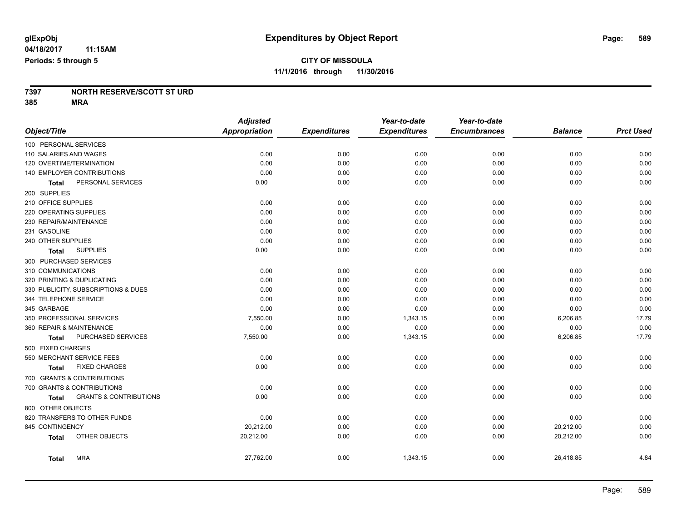#### **7397 NORTH RESERVE/SCOTT ST URD 385 MRA**

|                                                   | <b>Adjusted</b>      |                     | Year-to-date        | Year-to-date        |                |                  |
|---------------------------------------------------|----------------------|---------------------|---------------------|---------------------|----------------|------------------|
| Object/Title                                      | <b>Appropriation</b> | <b>Expenditures</b> | <b>Expenditures</b> | <b>Encumbrances</b> | <b>Balance</b> | <b>Prct Used</b> |
| 100 PERSONAL SERVICES                             |                      |                     |                     |                     |                |                  |
| 110 SALARIES AND WAGES                            | 0.00                 | 0.00                | 0.00                | 0.00                | 0.00           | 0.00             |
| 120 OVERTIME/TERMINATION                          | 0.00                 | 0.00                | 0.00                | 0.00                | 0.00           | 0.00             |
| 140 EMPLOYER CONTRIBUTIONS                        | 0.00                 | 0.00                | 0.00                | 0.00                | 0.00           | 0.00             |
| PERSONAL SERVICES<br>Total                        | 0.00                 | 0.00                | 0.00                | 0.00                | 0.00           | 0.00             |
| 200 SUPPLIES                                      |                      |                     |                     |                     |                |                  |
| 210 OFFICE SUPPLIES                               | 0.00                 | 0.00                | 0.00                | 0.00                | 0.00           | 0.00             |
| 220 OPERATING SUPPLIES                            | 0.00                 | 0.00                | 0.00                | 0.00                | 0.00           | 0.00             |
| 230 REPAIR/MAINTENANCE                            | 0.00                 | 0.00                | 0.00                | 0.00                | 0.00           | 0.00             |
| 231 GASOLINE                                      | 0.00                 | 0.00                | 0.00                | 0.00                | 0.00           | 0.00             |
| 240 OTHER SUPPLIES                                | 0.00                 | 0.00                | 0.00                | 0.00                | 0.00           | 0.00             |
| <b>SUPPLIES</b><br>Total                          | 0.00                 | 0.00                | 0.00                | 0.00                | 0.00           | 0.00             |
| 300 PURCHASED SERVICES                            |                      |                     |                     |                     |                |                  |
| 310 COMMUNICATIONS                                | 0.00                 | 0.00                | 0.00                | 0.00                | 0.00           | 0.00             |
| 320 PRINTING & DUPLICATING                        | 0.00                 | 0.00                | 0.00                | 0.00                | 0.00           | 0.00             |
| 330 PUBLICITY, SUBSCRIPTIONS & DUES               | 0.00                 | 0.00                | 0.00                | 0.00                | 0.00           | 0.00             |
| 344 TELEPHONE SERVICE                             | 0.00                 | 0.00                | 0.00                | 0.00                | 0.00           | 0.00             |
| 345 GARBAGE                                       | 0.00                 | 0.00                | 0.00                | 0.00                | 0.00           | 0.00             |
| 350 PROFESSIONAL SERVICES                         | 7,550.00             | 0.00                | 1,343.15            | 0.00                | 6,206.85       | 17.79            |
| 360 REPAIR & MAINTENANCE                          | 0.00                 | 0.00                | 0.00                | 0.00                | 0.00           | 0.00             |
| PURCHASED SERVICES<br>Total                       | 7,550.00             | 0.00                | 1,343.15            | 0.00                | 6,206.85       | 17.79            |
| 500 FIXED CHARGES                                 |                      |                     |                     |                     |                |                  |
| 550 MERCHANT SERVICE FEES                         | 0.00                 | 0.00                | 0.00                | 0.00                | 0.00           | 0.00             |
| <b>FIXED CHARGES</b><br>Total                     | 0.00                 | 0.00                | 0.00                | 0.00                | 0.00           | 0.00             |
| 700 GRANTS & CONTRIBUTIONS                        |                      |                     |                     |                     |                |                  |
| 700 GRANTS & CONTRIBUTIONS                        | 0.00                 | 0.00                | 0.00                | 0.00                | 0.00           | 0.00             |
| <b>GRANTS &amp; CONTRIBUTIONS</b><br><b>Total</b> | 0.00                 | 0.00                | 0.00                | 0.00                | 0.00           | 0.00             |
| 800 OTHER OBJECTS                                 |                      |                     |                     |                     |                |                  |
| 820 TRANSFERS TO OTHER FUNDS                      | 0.00                 | 0.00                | 0.00                | 0.00                | 0.00           | 0.00             |
| 845 CONTINGENCY                                   | 20,212.00            | 0.00                | 0.00                | 0.00                | 20,212.00      | 0.00             |
| OTHER OBJECTS<br><b>Total</b>                     | 20,212.00            | 0.00                | 0.00                | 0.00                | 20,212.00      | 0.00             |
| <b>MRA</b><br><b>Total</b>                        | 27,762.00            | 0.00                | 1,343.15            | 0.00                | 26,418.85      | 4.84             |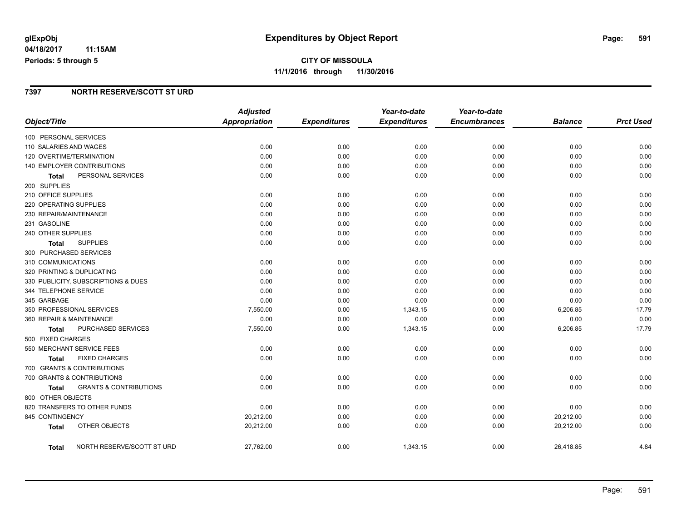## **CITY OF MISSOULA 11/1/2016 through 11/30/2016**

## **7397 NORTH RESERVE/SCOTT ST URD**

|                                                   | <b>Adjusted</b>      |                     | Year-to-date        | Year-to-date        |                |                  |
|---------------------------------------------------|----------------------|---------------------|---------------------|---------------------|----------------|------------------|
| Object/Title                                      | <b>Appropriation</b> | <b>Expenditures</b> | <b>Expenditures</b> | <b>Encumbrances</b> | <b>Balance</b> | <b>Prct Used</b> |
| 100 PERSONAL SERVICES                             |                      |                     |                     |                     |                |                  |
| 110 SALARIES AND WAGES                            | 0.00                 | 0.00                | 0.00                | 0.00                | 0.00           | 0.00             |
| 120 OVERTIME/TERMINATION                          | 0.00                 | 0.00                | 0.00                | 0.00                | 0.00           | 0.00             |
| 140 EMPLOYER CONTRIBUTIONS                        | 0.00                 | 0.00                | 0.00                | 0.00                | 0.00           | 0.00             |
| PERSONAL SERVICES<br><b>Total</b>                 | 0.00                 | 0.00                | 0.00                | 0.00                | 0.00           | 0.00             |
| 200 SUPPLIES                                      |                      |                     |                     |                     |                |                  |
| 210 OFFICE SUPPLIES                               | 0.00                 | 0.00                | 0.00                | 0.00                | 0.00           | 0.00             |
| 220 OPERATING SUPPLIES                            | 0.00                 | 0.00                | 0.00                | 0.00                | 0.00           | 0.00             |
| 230 REPAIR/MAINTENANCE                            | 0.00                 | 0.00                | 0.00                | 0.00                | 0.00           | 0.00             |
| 231 GASOLINE                                      | 0.00                 | 0.00                | 0.00                | 0.00                | 0.00           | 0.00             |
| 240 OTHER SUPPLIES                                | 0.00                 | 0.00                | 0.00                | 0.00                | 0.00           | 0.00             |
| <b>SUPPLIES</b><br>Total                          | 0.00                 | 0.00                | 0.00                | 0.00                | 0.00           | 0.00             |
| 300 PURCHASED SERVICES                            |                      |                     |                     |                     |                |                  |
| 310 COMMUNICATIONS                                | 0.00                 | 0.00                | 0.00                | 0.00                | 0.00           | 0.00             |
| 320 PRINTING & DUPLICATING                        | 0.00                 | 0.00                | 0.00                | 0.00                | 0.00           | 0.00             |
| 330 PUBLICITY, SUBSCRIPTIONS & DUES               | 0.00                 | 0.00                | 0.00                | 0.00                | 0.00           | 0.00             |
| 344 TELEPHONE SERVICE                             | 0.00                 | 0.00                | 0.00                | 0.00                | 0.00           | 0.00             |
| 345 GARBAGE                                       | 0.00                 | 0.00                | 0.00                | 0.00                | 0.00           | 0.00             |
| 350 PROFESSIONAL SERVICES                         | 7,550.00             | 0.00                | 1,343.15            | 0.00                | 6,206.85       | 17.79            |
| 360 REPAIR & MAINTENANCE                          | 0.00                 | 0.00                | 0.00                | 0.00                | 0.00           | 0.00             |
| PURCHASED SERVICES<br>Total                       | 7,550.00             | 0.00                | 1,343.15            | 0.00                | 6,206.85       | 17.79            |
| 500 FIXED CHARGES                                 |                      |                     |                     |                     |                |                  |
| 550 MERCHANT SERVICE FEES                         | 0.00                 | 0.00                | 0.00                | 0.00                | 0.00           | 0.00             |
| <b>FIXED CHARGES</b><br>Total                     | 0.00                 | 0.00                | 0.00                | 0.00                | 0.00           | 0.00             |
| 700 GRANTS & CONTRIBUTIONS                        |                      |                     |                     |                     |                |                  |
| 700 GRANTS & CONTRIBUTIONS                        | 0.00                 | 0.00                | 0.00                | 0.00                | 0.00           | 0.00             |
| <b>GRANTS &amp; CONTRIBUTIONS</b><br><b>Total</b> | 0.00                 | 0.00                | 0.00                | 0.00                | 0.00           | 0.00             |
| 800 OTHER OBJECTS                                 |                      |                     |                     |                     |                |                  |
| 820 TRANSFERS TO OTHER FUNDS                      | 0.00                 | 0.00                | 0.00                | 0.00                | 0.00           | 0.00             |
| 845 CONTINGENCY                                   | 20,212.00            | 0.00                | 0.00                | 0.00                | 20,212.00      | 0.00             |
| OTHER OBJECTS<br><b>Total</b>                     | 20,212.00            | 0.00                | 0.00                | 0.00                | 20,212.00      | 0.00             |
| NORTH RESERVE/SCOTT ST URD<br>Total               | 27,762.00            | 0.00                | 1,343.15            | 0.00                | 26,418.85      | 4.84             |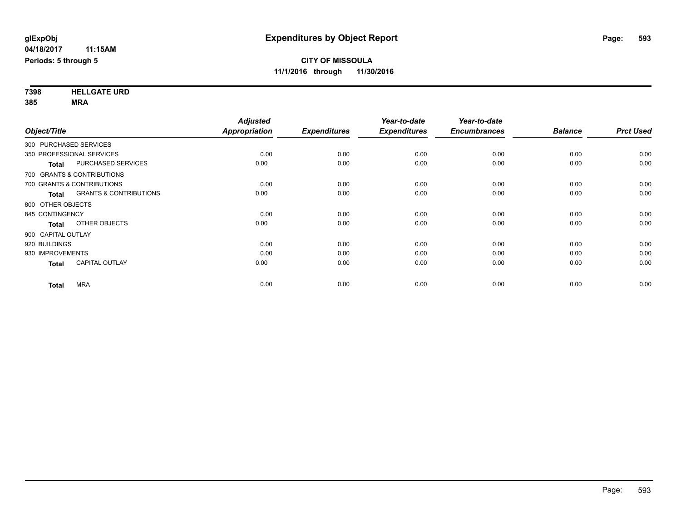**7398 HELLGATE URD 385 MRA**

|                        |                                   | <b>Adjusted</b> |                     | Year-to-date        | Year-to-date        |                |                  |
|------------------------|-----------------------------------|-----------------|---------------------|---------------------|---------------------|----------------|------------------|
| Object/Title           |                                   | Appropriation   | <b>Expenditures</b> | <b>Expenditures</b> | <b>Encumbrances</b> | <b>Balance</b> | <b>Prct Used</b> |
| 300 PURCHASED SERVICES |                                   |                 |                     |                     |                     |                |                  |
|                        | 350 PROFESSIONAL SERVICES         | 0.00            | 0.00                | 0.00                | 0.00                | 0.00           | 0.00             |
| <b>Total</b>           | PURCHASED SERVICES                | 0.00            | 0.00                | 0.00                | 0.00                | 0.00           | 0.00             |
|                        | 700 GRANTS & CONTRIBUTIONS        |                 |                     |                     |                     |                |                  |
|                        | 700 GRANTS & CONTRIBUTIONS        | 0.00            | 0.00                | 0.00                | 0.00                | 0.00           | 0.00             |
| <b>Total</b>           | <b>GRANTS &amp; CONTRIBUTIONS</b> | 0.00            | 0.00                | 0.00                | 0.00                | 0.00           | 0.00             |
| 800 OTHER OBJECTS      |                                   |                 |                     |                     |                     |                |                  |
| 845 CONTINGENCY        |                                   | 0.00            | 0.00                | 0.00                | 0.00                | 0.00           | 0.00             |
| <b>Total</b>           | OTHER OBJECTS                     | 0.00            | 0.00                | 0.00                | 0.00                | 0.00           | 0.00             |
| 900 CAPITAL OUTLAY     |                                   |                 |                     |                     |                     |                |                  |
| 920 BUILDINGS          |                                   | 0.00            | 0.00                | 0.00                | 0.00                | 0.00           | 0.00             |
| 930 IMPROVEMENTS       |                                   | 0.00            | 0.00                | 0.00                | 0.00                | 0.00           | 0.00             |
| <b>Total</b>           | <b>CAPITAL OUTLAY</b>             | 0.00            | 0.00                | 0.00                | 0.00                | 0.00           | 0.00             |
| <b>Total</b>           | <b>MRA</b>                        | 0.00            | 0.00                | 0.00                | 0.00                | 0.00           | 0.00             |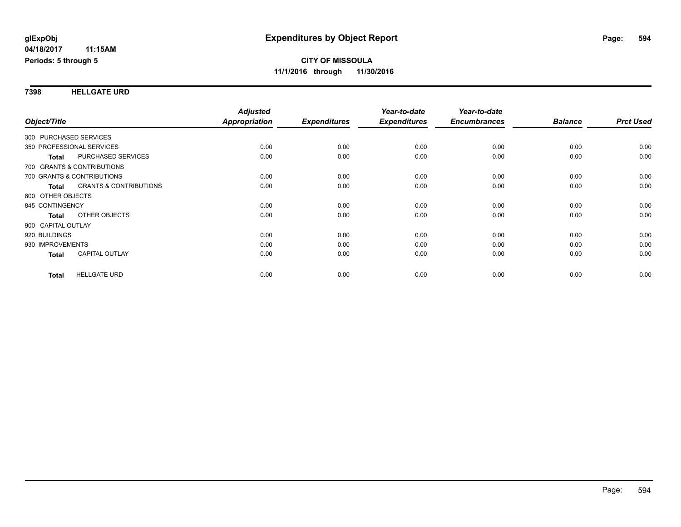### **7398 HELLGATE URD**

| <b>Prct Used</b> |
|------------------|
|                  |
|                  |
| 0.00             |
| 0.00             |
|                  |
| 0.00             |
| 0.00             |
|                  |
| 0.00             |
| 0.00             |
|                  |
| 0.00             |
| 0.00             |
| 0.00             |
| 0.00             |
|                  |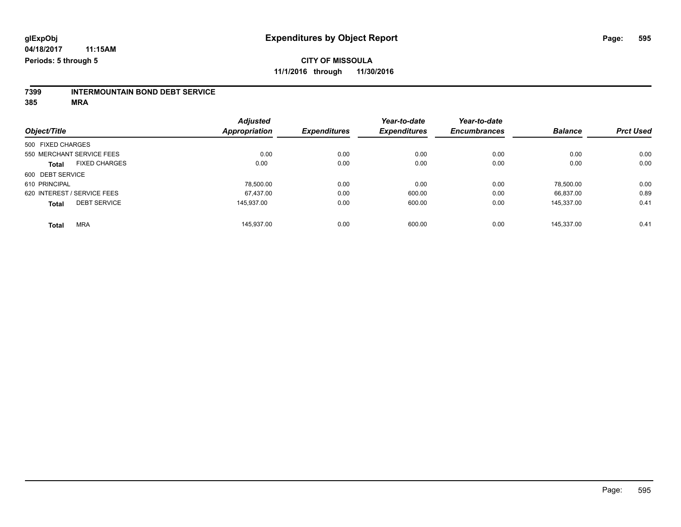# **7399 INTERMOUNTAIN BOND DEBT SERVICE**

**385 MRA**

| Object/Title                |                      | <b>Adjusted</b>      | <b>Expenditures</b> | Year-to-date<br><b>Expenditures</b> | Year-to-date<br><b>Encumbrances</b> | <b>Balance</b> | <b>Prct Used</b> |
|-----------------------------|----------------------|----------------------|---------------------|-------------------------------------|-------------------------------------|----------------|------------------|
|                             |                      | <b>Appropriation</b> |                     |                                     |                                     |                |                  |
| 500 FIXED CHARGES           |                      |                      |                     |                                     |                                     |                |                  |
| 550 MERCHANT SERVICE FEES   |                      | 0.00                 | 0.00                | 0.00                                | 0.00                                | 0.00           | 0.00             |
| <b>Total</b>                | <b>FIXED CHARGES</b> | 0.00                 | 0.00                | 0.00                                | 0.00                                | 0.00           | 0.00             |
| 600 DEBT SERVICE            |                      |                      |                     |                                     |                                     |                |                  |
| 610 PRINCIPAL               |                      | 78.500.00            | 0.00                | 0.00                                | 0.00                                | 78.500.00      | 0.00             |
| 620 INTEREST / SERVICE FEES |                      | 67.437.00            | 0.00                | 600.00                              | 0.00                                | 66.837.00      | 0.89             |
| <b>Total</b>                | <b>DEBT SERVICE</b>  | 145.937.00           | 0.00                | 600.00                              | 0.00                                | 145.337.00     | 0.41             |
| <b>MRA</b><br><b>Total</b>  |                      | 145.937.00           | 0.00                | 600.00                              | 0.00                                | 145.337.00     | 0.41             |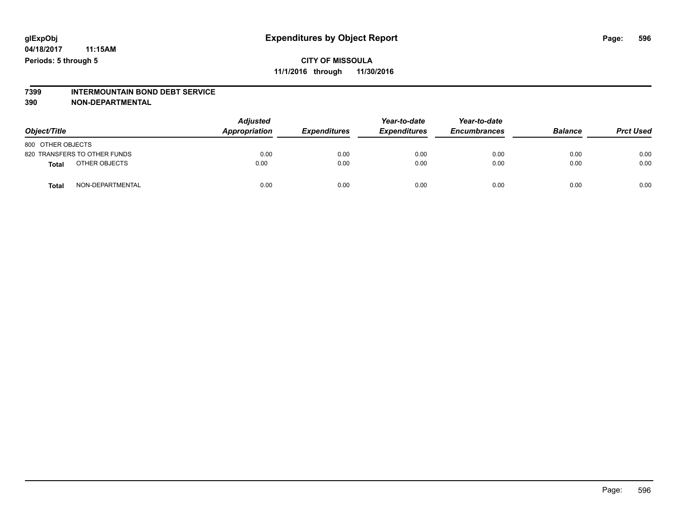# **7399 INTERMOUNTAIN BOND DEBT SERVICE**

#### **390 NON-DEPARTMENTAL**

| Object/Title      |                              | <b>Adjusted</b><br>Appropriation | <b>Expenditures</b> | Year-to-date<br><b>Expenditures</b> | Year-to-date<br><b>Encumbrances</b> | <b>Balance</b> | <b>Prct Used</b> |
|-------------------|------------------------------|----------------------------------|---------------------|-------------------------------------|-------------------------------------|----------------|------------------|
| 800 OTHER OBJECTS |                              |                                  |                     |                                     |                                     |                |                  |
|                   | 820 TRANSFERS TO OTHER FUNDS | 0.00                             | 0.00                | 0.00                                | 0.00                                | 0.00           | 0.00             |
| <b>Total</b>      | OTHER OBJECTS                | 0.00                             | 0.00                | 0.00                                | 0.00                                | 0.00           | 0.00             |
| <b>Total</b>      | NON-DEPARTMENTAL             | 0.00                             | 0.00                | 0.00                                | 0.00                                | 0.00           | 0.00             |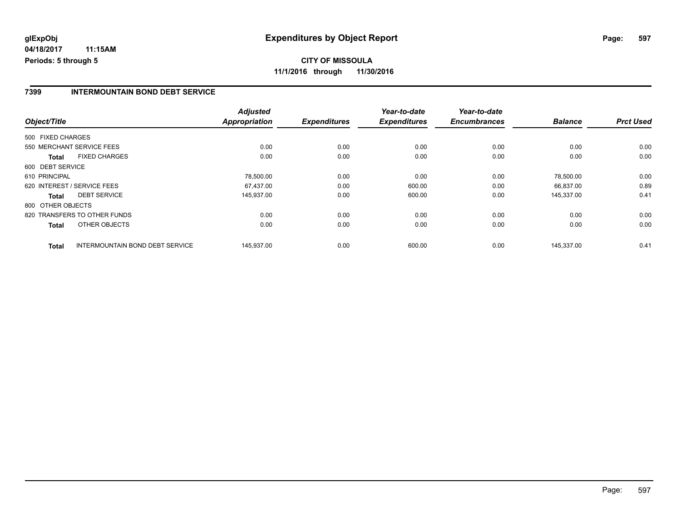# **CITY OF MISSOULA 11/1/2016 through 11/30/2016**

### **7399 INTERMOUNTAIN BOND DEBT SERVICE**

|                                                        | <b>Adjusted</b>      |                     | Year-to-date        | Year-to-date        |                |                  |
|--------------------------------------------------------|----------------------|---------------------|---------------------|---------------------|----------------|------------------|
| Object/Title                                           | <b>Appropriation</b> | <b>Expenditures</b> | <b>Expenditures</b> | <b>Encumbrances</b> | <b>Balance</b> | <b>Prct Used</b> |
| 500 FIXED CHARGES                                      |                      |                     |                     |                     |                |                  |
| 550 MERCHANT SERVICE FEES                              | 0.00                 | 0.00                | 0.00                | 0.00                | 0.00           | 0.00             |
| <b>FIXED CHARGES</b><br><b>Total</b>                   | 0.00                 | 0.00                | 0.00                | 0.00                | 0.00           | 0.00             |
| 600 DEBT SERVICE                                       |                      |                     |                     |                     |                |                  |
| 610 PRINCIPAL                                          | 78.500.00            | 0.00                | 0.00                | 0.00                | 78.500.00      | 0.00             |
| 620 INTEREST / SERVICE FEES                            | 67,437.00            | 0.00                | 600.00              | 0.00                | 66,837.00      | 0.89             |
| <b>DEBT SERVICE</b><br>Total                           | 145,937.00           | 0.00                | 600.00              | 0.00                | 145,337.00     | 0.41             |
| 800 OTHER OBJECTS                                      |                      |                     |                     |                     |                |                  |
| 820 TRANSFERS TO OTHER FUNDS                           | 0.00                 | 0.00                | 0.00                | 0.00                | 0.00           | 0.00             |
| OTHER OBJECTS<br><b>Total</b>                          | 0.00                 | 0.00                | 0.00                | 0.00                | 0.00           | 0.00             |
| <b>INTERMOUNTAIN BOND DEBT SERVICE</b><br><b>Total</b> | 145,937.00           | 0.00                | 600.00              | 0.00                | 145.337.00     | 0.41             |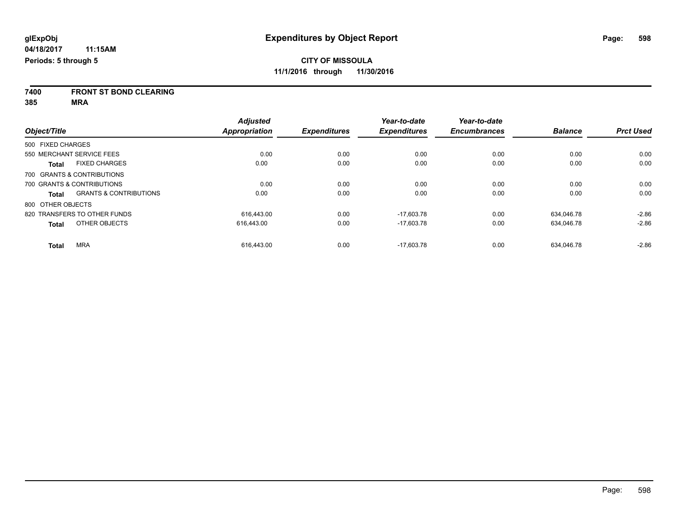**7400 FRONT ST BOND CLEARING**

**385 MRA**

|                                            | <b>Adjusted</b>      |                     | Year-to-date        | Year-to-date        |                |                  |
|--------------------------------------------|----------------------|---------------------|---------------------|---------------------|----------------|------------------|
| Object/Title                               | <b>Appropriation</b> | <b>Expenditures</b> | <b>Expenditures</b> | <b>Encumbrances</b> | <b>Balance</b> | <b>Prct Used</b> |
| 500 FIXED CHARGES                          |                      |                     |                     |                     |                |                  |
| 550 MERCHANT SERVICE FEES                  | 0.00                 | 0.00                | 0.00                | 0.00                | 0.00           | 0.00             |
| <b>FIXED CHARGES</b><br><b>Total</b>       | 0.00                 | 0.00                | 0.00                | 0.00                | 0.00           | 0.00             |
| 700 GRANTS & CONTRIBUTIONS                 |                      |                     |                     |                     |                |                  |
| 700 GRANTS & CONTRIBUTIONS                 | 0.00                 | 0.00                | 0.00                | 0.00                | 0.00           | 0.00             |
| <b>GRANTS &amp; CONTRIBUTIONS</b><br>Total | 0.00                 | 0.00                | 0.00                | 0.00                | 0.00           | 0.00             |
| 800 OTHER OBJECTS                          |                      |                     |                     |                     |                |                  |
| 820 TRANSFERS TO OTHER FUNDS               | 616.443.00           | 0.00                | $-17.603.78$        | 0.00                | 634.046.78     | $-2.86$          |
| OTHER OBJECTS<br><b>Total</b>              | 616.443.00           | 0.00                | $-17.603.78$        | 0.00                | 634,046.78     | $-2.86$          |
| <b>MRA</b><br>Total                        | 616.443.00           | 0.00                | $-17.603.78$        | 0.00                | 634.046.78     | $-2.86$          |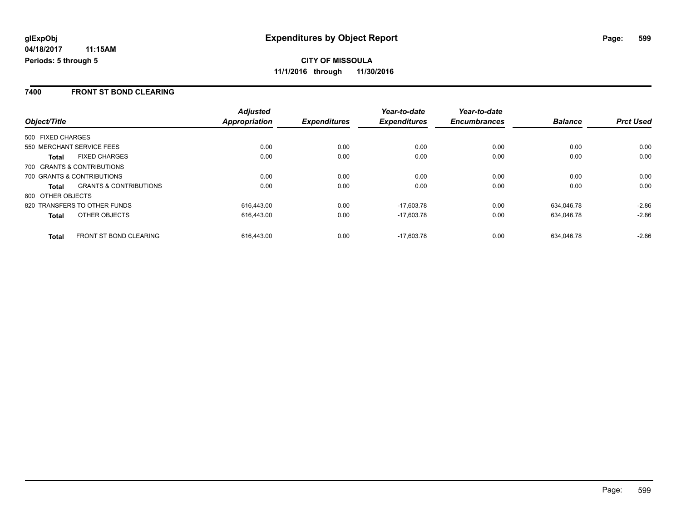### **7400 FRONT ST BOND CLEARING**

|                                               | <b>Adjusted</b>      |                     | Year-to-date        | Year-to-date        |                |                  |
|-----------------------------------------------|----------------------|---------------------|---------------------|---------------------|----------------|------------------|
| Object/Title                                  | <b>Appropriation</b> | <b>Expenditures</b> | <b>Expenditures</b> | <b>Encumbrances</b> | <b>Balance</b> | <b>Prct Used</b> |
| 500 FIXED CHARGES                             |                      |                     |                     |                     |                |                  |
| 550 MERCHANT SERVICE FEES                     | 0.00                 | 0.00                | 0.00                | 0.00                | 0.00           | 0.00             |
| <b>FIXED CHARGES</b><br>Total                 | 0.00                 | 0.00                | 0.00                | 0.00                | 0.00           | 0.00             |
| 700 GRANTS & CONTRIBUTIONS                    |                      |                     |                     |                     |                |                  |
| 700 GRANTS & CONTRIBUTIONS                    | 0.00                 | 0.00                | 0.00                | 0.00                | 0.00           | 0.00             |
| <b>GRANTS &amp; CONTRIBUTIONS</b><br>Total    | 0.00                 | 0.00                | 0.00                | 0.00                | 0.00           | 0.00             |
| 800 OTHER OBJECTS                             |                      |                     |                     |                     |                |                  |
| 820 TRANSFERS TO OTHER FUNDS                  | 616.443.00           | 0.00                | $-17.603.78$        | 0.00                | 634.046.78     | $-2.86$          |
| OTHER OBJECTS<br><b>Total</b>                 | 616.443.00           | 0.00                | $-17,603.78$        | 0.00                | 634,046.78     | $-2.86$          |
| <b>FRONT ST BOND CLEARING</b><br><b>Total</b> | 616.443.00           | 0.00                | $-17.603.78$        | 0.00                | 634.046.78     | $-2.86$          |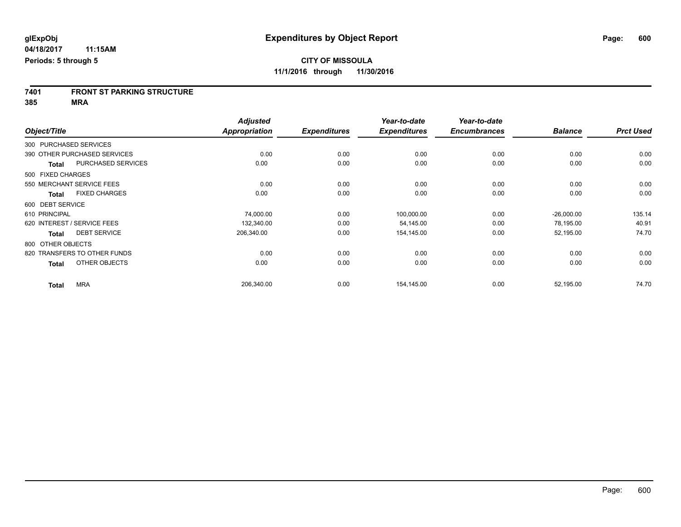# **7401 FRONT ST PARKING STRUCTURE**

**385 MRA**

|                        |                              | <b>Adjusted</b>      |                     | Year-to-date        | Year-to-date        |                |                  |
|------------------------|------------------------------|----------------------|---------------------|---------------------|---------------------|----------------|------------------|
| Object/Title           |                              | <b>Appropriation</b> | <b>Expenditures</b> | <b>Expenditures</b> | <b>Encumbrances</b> | <b>Balance</b> | <b>Prct Used</b> |
| 300 PURCHASED SERVICES |                              |                      |                     |                     |                     |                |                  |
|                        | 390 OTHER PURCHASED SERVICES | 0.00                 | 0.00                | 0.00                | 0.00                | 0.00           | 0.00             |
| <b>Total</b>           | PURCHASED SERVICES           | 0.00                 | 0.00                | 0.00                | 0.00                | 0.00           | 0.00             |
| 500 FIXED CHARGES      |                              |                      |                     |                     |                     |                |                  |
|                        | 550 MERCHANT SERVICE FEES    | 0.00                 | 0.00                | 0.00                | 0.00                | 0.00           | 0.00             |
| <b>Total</b>           | <b>FIXED CHARGES</b>         | 0.00                 | 0.00                | 0.00                | 0.00                | 0.00           | 0.00             |
| 600 DEBT SERVICE       |                              |                      |                     |                     |                     |                |                  |
| 610 PRINCIPAL          |                              | 74,000.00            | 0.00                | 100,000.00          | 0.00                | $-26,000.00$   | 135.14           |
|                        | 620 INTEREST / SERVICE FEES  | 132,340.00           | 0.00                | 54,145.00           | 0.00                | 78,195.00      | 40.91            |
| <b>Total</b>           | <b>DEBT SERVICE</b>          | 206,340.00           | 0.00                | 154,145.00          | 0.00                | 52,195.00      | 74.70            |
| 800 OTHER OBJECTS      |                              |                      |                     |                     |                     |                |                  |
|                        | 820 TRANSFERS TO OTHER FUNDS | 0.00                 | 0.00                | 0.00                | 0.00                | 0.00           | 0.00             |
| <b>Total</b>           | OTHER OBJECTS                | 0.00                 | 0.00                | 0.00                | 0.00                | 0.00           | 0.00             |
| <b>Total</b>           | <b>MRA</b>                   | 206,340.00           | 0.00                | 154,145.00          | 0.00                | 52,195.00      | 74.70            |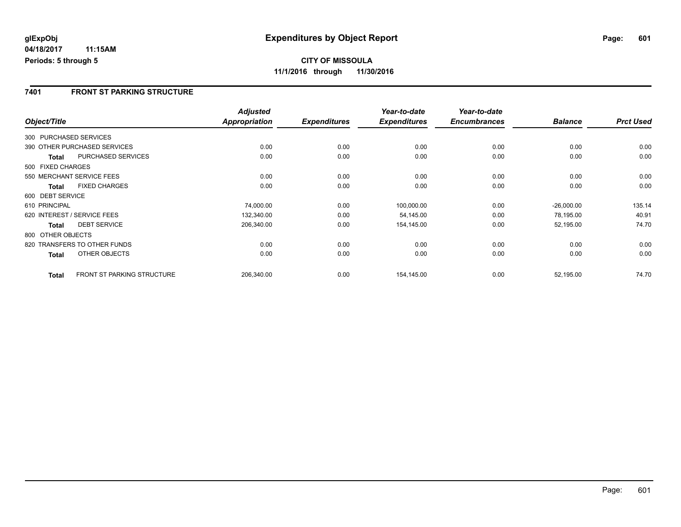**CITY OF MISSOULA 11/1/2016 through 11/30/2016**

### **7401 FRONT ST PARKING STRUCTURE**

|                        |                                   | <b>Adjusted</b>      |                     | Year-to-date        | Year-to-date        |                |                  |
|------------------------|-----------------------------------|----------------------|---------------------|---------------------|---------------------|----------------|------------------|
| Object/Title           |                                   | <b>Appropriation</b> | <b>Expenditures</b> | <b>Expenditures</b> | <b>Encumbrances</b> | <b>Balance</b> | <b>Prct Used</b> |
| 300 PURCHASED SERVICES |                                   |                      |                     |                     |                     |                |                  |
|                        | 390 OTHER PURCHASED SERVICES      | 0.00                 | 0.00                | 0.00                | 0.00                | 0.00           | 0.00             |
| <b>Total</b>           | <b>PURCHASED SERVICES</b>         | 0.00                 | 0.00                | 0.00                | 0.00                | 0.00           | 0.00             |
| 500 FIXED CHARGES      |                                   |                      |                     |                     |                     |                |                  |
|                        | 550 MERCHANT SERVICE FEES         | 0.00                 | 0.00                | 0.00                | 0.00                | 0.00           | 0.00             |
| <b>Total</b>           | <b>FIXED CHARGES</b>              | 0.00                 | 0.00                | 0.00                | 0.00                | 0.00           | 0.00             |
| 600 DEBT SERVICE       |                                   |                      |                     |                     |                     |                |                  |
| 610 PRINCIPAL          |                                   | 74,000.00            | 0.00                | 100,000.00          | 0.00                | $-26,000.00$   | 135.14           |
|                        | 620 INTEREST / SERVICE FEES       | 132,340.00           | 0.00                | 54,145.00           | 0.00                | 78,195.00      | 40.91            |
| <b>Total</b>           | <b>DEBT SERVICE</b>               | 206,340.00           | 0.00                | 154,145.00          | 0.00                | 52,195.00      | 74.70            |
| 800 OTHER OBJECTS      |                                   |                      |                     |                     |                     |                |                  |
|                        | 820 TRANSFERS TO OTHER FUNDS      | 0.00                 | 0.00                | 0.00                | 0.00                | 0.00           | 0.00             |
| <b>Total</b>           | OTHER OBJECTS                     | 0.00                 | 0.00                | 0.00                | 0.00                | 0.00           | 0.00             |
| <b>Total</b>           | <b>FRONT ST PARKING STRUCTURE</b> | 206,340.00           | 0.00                | 154,145.00          | 0.00                | 52,195.00      | 74.70            |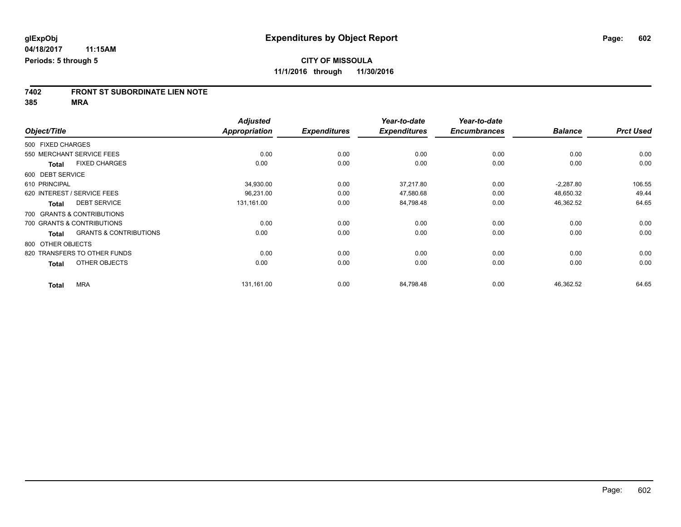# **7402 FRONT ST SUBORDINATE LIEN NOTE**

**385 MRA**

|                   |                                   | <b>Adjusted</b> |                     | Year-to-date        | Year-to-date        |                |                  |
|-------------------|-----------------------------------|-----------------|---------------------|---------------------|---------------------|----------------|------------------|
| Object/Title      |                                   | Appropriation   | <b>Expenditures</b> | <b>Expenditures</b> | <b>Encumbrances</b> | <b>Balance</b> | <b>Prct Used</b> |
| 500 FIXED CHARGES |                                   |                 |                     |                     |                     |                |                  |
|                   | 550 MERCHANT SERVICE FEES         | 0.00            | 0.00                | 0.00                | 0.00                | 0.00           | 0.00             |
| <b>Total</b>      | <b>FIXED CHARGES</b>              | 0.00            | 0.00                | 0.00                | 0.00                | 0.00           | 0.00             |
| 600 DEBT SERVICE  |                                   |                 |                     |                     |                     |                |                  |
| 610 PRINCIPAL     |                                   | 34,930.00       | 0.00                | 37,217.80           | 0.00                | $-2,287.80$    | 106.55           |
|                   | 620 INTEREST / SERVICE FEES       | 96,231.00       | 0.00                | 47,580.68           | 0.00                | 48,650.32      | 49.44            |
| <b>Total</b>      | <b>DEBT SERVICE</b>               | 131,161.00      | 0.00                | 84,798.48           | 0.00                | 46,362.52      | 64.65            |
|                   | 700 GRANTS & CONTRIBUTIONS        |                 |                     |                     |                     |                |                  |
|                   | 700 GRANTS & CONTRIBUTIONS        | 0.00            | 0.00                | 0.00                | 0.00                | 0.00           | 0.00             |
| <b>Total</b>      | <b>GRANTS &amp; CONTRIBUTIONS</b> | 0.00            | 0.00                | 0.00                | 0.00                | 0.00           | 0.00             |
| 800 OTHER OBJECTS |                                   |                 |                     |                     |                     |                |                  |
|                   | 820 TRANSFERS TO OTHER FUNDS      | 0.00            | 0.00                | 0.00                | 0.00                | 0.00           | 0.00             |
| <b>Total</b>      | OTHER OBJECTS                     | 0.00            | 0.00                | 0.00                | 0.00                | 0.00           | 0.00             |
| <b>Total</b>      | <b>MRA</b>                        | 131,161.00      | 0.00                | 84,798.48           | 0.00                | 46,362.52      | 64.65            |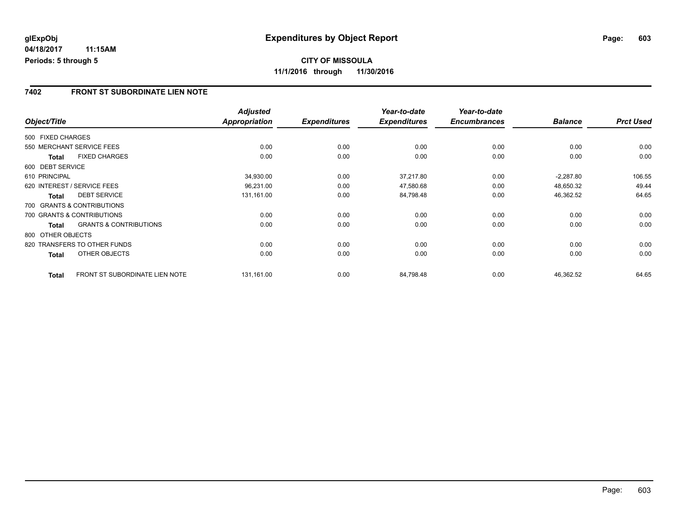## **7402 FRONT ST SUBORDINATE LIEN NOTE**

|                   |                                       | <b>Adjusted</b> |                     | Year-to-date        | Year-to-date        |                |                  |
|-------------------|---------------------------------------|-----------------|---------------------|---------------------|---------------------|----------------|------------------|
| Object/Title      |                                       | Appropriation   | <b>Expenditures</b> | <b>Expenditures</b> | <b>Encumbrances</b> | <b>Balance</b> | <b>Prct Used</b> |
| 500 FIXED CHARGES |                                       |                 |                     |                     |                     |                |                  |
|                   | 550 MERCHANT SERVICE FEES             | 0.00            | 0.00                | 0.00                | 0.00                | 0.00           | 0.00             |
| <b>Total</b>      | <b>FIXED CHARGES</b>                  | 0.00            | 0.00                | 0.00                | 0.00                | 0.00           | 0.00             |
| 600 DEBT SERVICE  |                                       |                 |                     |                     |                     |                |                  |
| 610 PRINCIPAL     |                                       | 34,930.00       | 0.00                | 37,217.80           | 0.00                | $-2,287.80$    | 106.55           |
|                   | 620 INTEREST / SERVICE FEES           | 96,231.00       | 0.00                | 47,580.68           | 0.00                | 48,650.32      | 49.44            |
| <b>Total</b>      | <b>DEBT SERVICE</b>                   | 131,161.00      | 0.00                | 84,798.48           | 0.00                | 46,362.52      | 64.65            |
|                   | 700 GRANTS & CONTRIBUTIONS            |                 |                     |                     |                     |                |                  |
|                   | 700 GRANTS & CONTRIBUTIONS            | 0.00            | 0.00                | 0.00                | 0.00                | 0.00           | 0.00             |
| <b>Total</b>      | <b>GRANTS &amp; CONTRIBUTIONS</b>     | 0.00            | 0.00                | 0.00                | 0.00                | 0.00           | 0.00             |
| 800 OTHER OBJECTS |                                       |                 |                     |                     |                     |                |                  |
|                   | 820 TRANSFERS TO OTHER FUNDS          | 0.00            | 0.00                | 0.00                | 0.00                | 0.00           | 0.00             |
| <b>Total</b>      | OTHER OBJECTS                         | 0.00            | 0.00                | 0.00                | 0.00                | 0.00           | 0.00             |
| <b>Total</b>      | <b>FRONT ST SUBORDINATE LIEN NOTE</b> | 131,161.00      | 0.00                | 84,798.48           | 0.00                | 46,362.52      | 64.65            |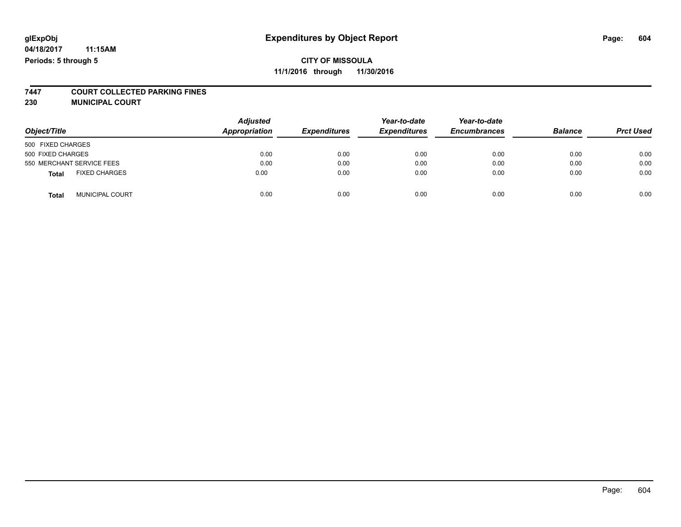# **7447 COURT COLLECTED PARKING FINES**

**230 MUNICIPAL COURT**

| Object/Title                           | <b>Adjusted</b><br>Appropriation | <b>Expenditures</b> | Year-to-date<br><b>Expenditures</b> | Year-to-date<br><b>Encumbrances</b> | <b>Balance</b> | <b>Prct Used</b> |
|----------------------------------------|----------------------------------|---------------------|-------------------------------------|-------------------------------------|----------------|------------------|
| 500 FIXED CHARGES                      |                                  |                     |                                     |                                     |                |                  |
| 500 FIXED CHARGES                      | 0.00                             | 0.00                | 0.00                                | 0.00                                | 0.00           | 0.00             |
| 550 MERCHANT SERVICE FEES              | 0.00                             | 0.00                | 0.00                                | 0.00                                | 0.00           | 0.00             |
| <b>FIXED CHARGES</b><br><b>Total</b>   | 0.00                             | 0.00                | 0.00                                | 0.00                                | 0.00           | 0.00             |
| <b>MUNICIPAL COURT</b><br><b>Total</b> | 0.00                             | 0.00                | 0.00                                | 0.00                                | 0.00           | 0.00             |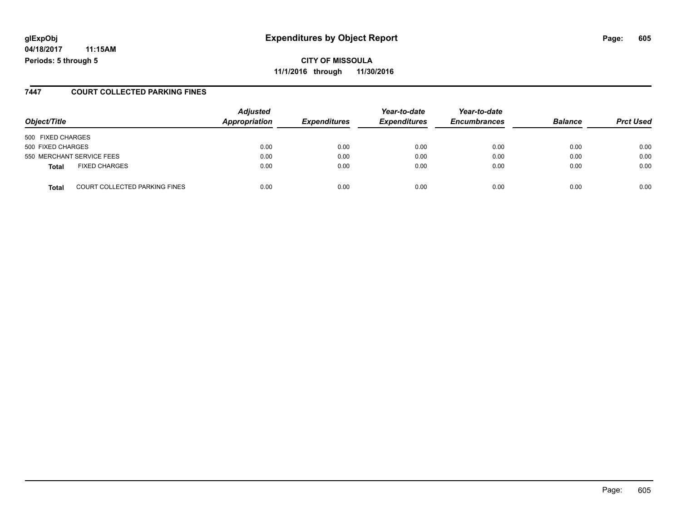**CITY OF MISSOULA 11/1/2016 through 11/30/2016**

### **7447 COURT COLLECTED PARKING FINES**

| Object/Title                                  | <b>Adjusted</b><br>Appropriation | <b>Expenditures</b> | Year-to-date<br><b>Expenditures</b> | Year-to-date<br><b>Encumbrances</b> | <b>Balance</b> | <b>Prct Used</b> |
|-----------------------------------------------|----------------------------------|---------------------|-------------------------------------|-------------------------------------|----------------|------------------|
| 500 FIXED CHARGES                             |                                  |                     |                                     |                                     |                |                  |
| 500 FIXED CHARGES                             | 0.00                             | 0.00                | 0.00                                | 0.00                                | 0.00           | 0.00             |
| 550 MERCHANT SERVICE FEES                     | 0.00                             | 0.00                | 0.00                                | 0.00                                | 0.00           | 0.00             |
| <b>FIXED CHARGES</b><br><b>Total</b>          | 0.00                             | 0.00                | 0.00                                | 0.00                                | 0.00           | 0.00             |
| <b>COURT COLLECTED PARKING FINES</b><br>Total | 0.00                             | 0.00                | 0.00                                | 0.00                                | 0.00           | 0.00             |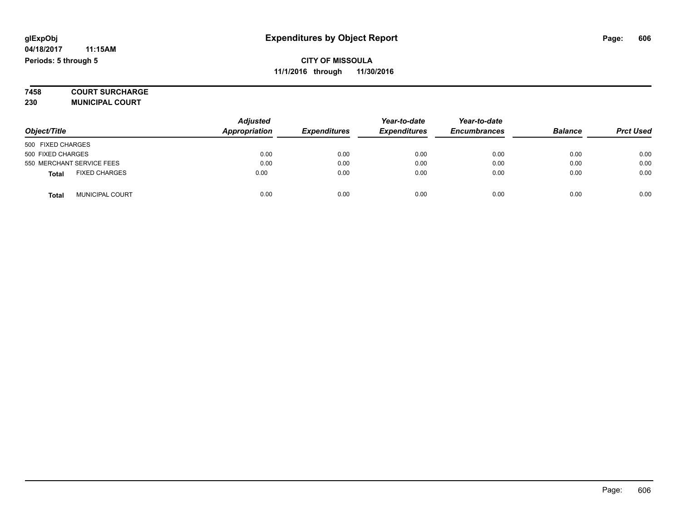### **7458 COURT SURCHARGE 230 MUNICIPAL COURT**

|                                        | <b>Adjusted</b> |                     | Year-to-date        | Year-to-date        |                |                  |
|----------------------------------------|-----------------|---------------------|---------------------|---------------------|----------------|------------------|
| Object/Title                           | Appropriation   | <b>Expenditures</b> | <b>Expenditures</b> | <b>Encumbrances</b> | <b>Balance</b> | <b>Prct Used</b> |
| 500 FIXED CHARGES                      |                 |                     |                     |                     |                |                  |
| 500 FIXED CHARGES                      | 0.00            | 0.00                | 0.00                | 0.00                | 0.00           | 0.00             |
| 550 MERCHANT SERVICE FEES              | 0.00            | 0.00                | 0.00                | 0.00                | 0.00           | 0.00             |
| <b>FIXED CHARGES</b><br><b>Total</b>   | 0.00            | 0.00                | 0.00                | 0.00                | 0.00           | 0.00             |
| <b>MUNICIPAL COURT</b><br><b>Total</b> | 0.00            | 0.00                | 0.00                | 0.00                | 0.00           | 0.00             |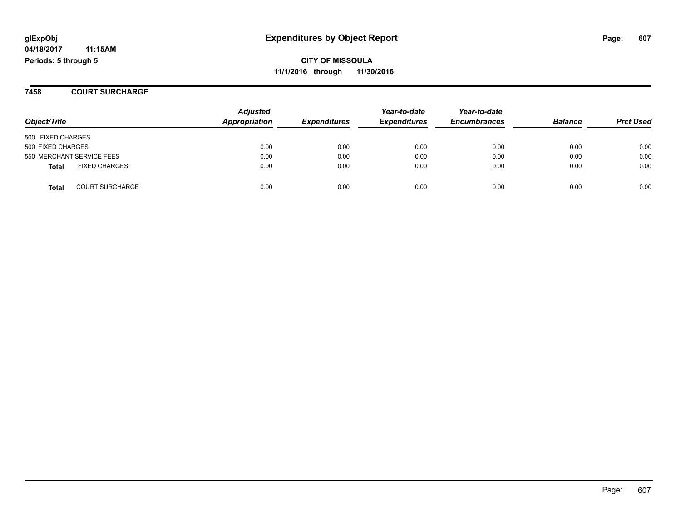**CITY OF MISSOULA 11/1/2016 through 11/30/2016**

**7458 COURT SURCHARGE**

| Object/Title      |                           | <b>Adjusted</b><br>Appropriation | <b>Expenditures</b> | Year-to-date<br><b>Expenditures</b> | Year-to-date<br><b>Encumbrances</b> | <b>Balance</b> | <b>Prct Used</b> |
|-------------------|---------------------------|----------------------------------|---------------------|-------------------------------------|-------------------------------------|----------------|------------------|
| 500 FIXED CHARGES |                           |                                  |                     |                                     |                                     |                |                  |
| 500 FIXED CHARGES |                           | 0.00                             | 0.00                | 0.00                                | 0.00                                | 0.00           | 0.00             |
|                   | 550 MERCHANT SERVICE FEES | 0.00                             | 0.00                | 0.00                                | 0.00                                | 0.00           | 0.00             |
| Total             | <b>FIXED CHARGES</b>      | 0.00                             | 0.00                | 0.00                                | 0.00                                | 0.00           | 0.00             |
| Total             | <b>COURT SURCHARGE</b>    | 0.00                             | 0.00                | 0.00                                | 0.00                                | 0.00           | 0.00             |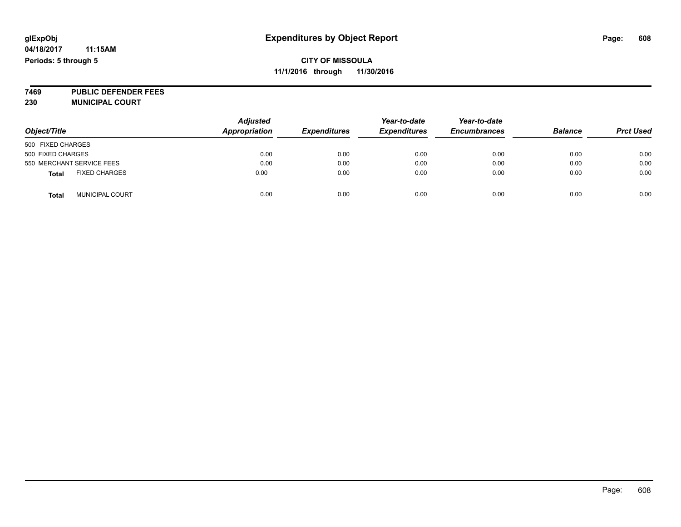**7469 PUBLIC DEFENDER FEES 230 MUNICIPAL COURT**

| Object/Title              |                        | <b>Adjusted</b><br><b>Appropriation</b> | <b>Expenditures</b> | Year-to-date<br><b>Expenditures</b> | Year-to-date<br><b>Encumbrances</b> | <b>Balance</b> | <b>Prct Used</b> |
|---------------------------|------------------------|-----------------------------------------|---------------------|-------------------------------------|-------------------------------------|----------------|------------------|
| 500 FIXED CHARGES         |                        |                                         |                     |                                     |                                     |                |                  |
| 500 FIXED CHARGES         |                        | 0.00                                    | 0.00                | 0.00                                | 0.00                                | 0.00           | 0.00             |
| 550 MERCHANT SERVICE FEES |                        | 0.00                                    | 0.00                | 0.00                                | 0.00                                | 0.00           | 0.00             |
| Total                     | <b>FIXED CHARGES</b>   | 0.00                                    | 0.00                | 0.00                                | 0.00                                | 0.00           | 0.00             |
| Tota                      | <b>MUNICIPAL COURT</b> | 0.00                                    | 0.00                | 0.00                                | 0.00                                | 0.00           | 0.00             |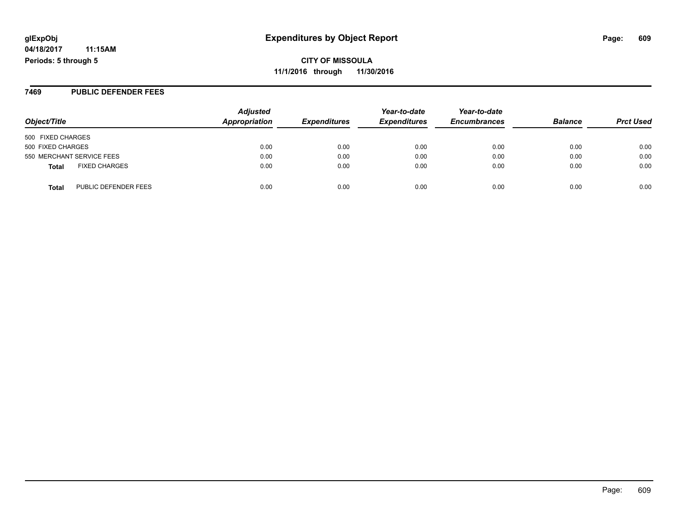**CITY OF MISSOULA 11/1/2016 through 11/30/2016**

#### **7469 PUBLIC DEFENDER FEES**

| Object/Title                         | <b>Adjusted</b><br>Appropriation | <b>Expenditures</b> | Year-to-date<br><b>Expenditures</b> | Year-to-date<br><b>Encumbrances</b> | <b>Balance</b> | <b>Prct Used</b> |
|--------------------------------------|----------------------------------|---------------------|-------------------------------------|-------------------------------------|----------------|------------------|
| 500 FIXED CHARGES                    |                                  |                     |                                     |                                     |                |                  |
| 500 FIXED CHARGES                    | 0.00                             | 0.00                | 0.00                                | 0.00                                | 0.00           | 0.00             |
| 550 MERCHANT SERVICE FEES            | 0.00                             | 0.00                | 0.00                                | 0.00                                | 0.00           | 0.00             |
| <b>FIXED CHARGES</b><br><b>Total</b> | 0.00                             | 0.00                | 0.00                                | 0.00                                | 0.00           | 0.00             |
| PUBLIC DEFENDER FEES<br><b>Total</b> | 0.00                             | 0.00                | 0.00                                | 0.00                                | 0.00           | 0.00             |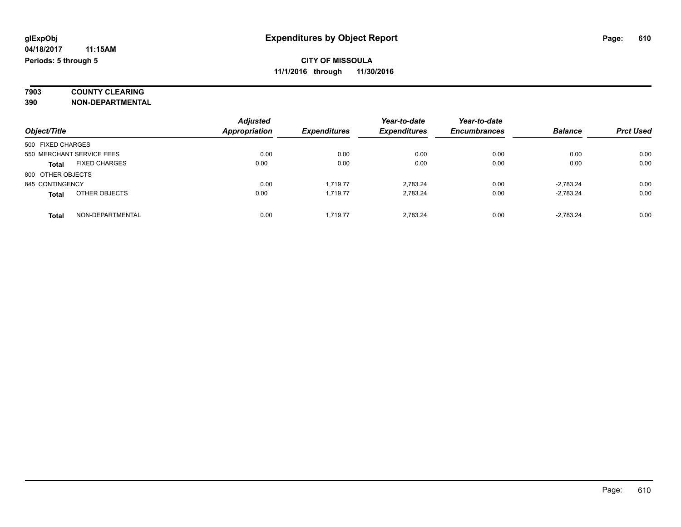# **7903 COUNTY CLEARING**

**390 NON-DEPARTMENTAL**

|                                      | <b>Adjusted</b>      |                     | Year-to-date        | Year-to-date        |                |                  |
|--------------------------------------|----------------------|---------------------|---------------------|---------------------|----------------|------------------|
| Object/Title                         | <b>Appropriation</b> | <b>Expenditures</b> | <b>Expenditures</b> | <b>Encumbrances</b> | <b>Balance</b> | <b>Prct Used</b> |
| 500 FIXED CHARGES                    |                      |                     |                     |                     |                |                  |
| 550 MERCHANT SERVICE FEES            | 0.00                 | 0.00                | 0.00                | 0.00                | 0.00           | 0.00             |
| <b>FIXED CHARGES</b><br><b>Total</b> | 0.00                 | 0.00                | 0.00                | 0.00                | 0.00           | 0.00             |
| 800 OTHER OBJECTS                    |                      |                     |                     |                     |                |                  |
| 845 CONTINGENCY                      | 0.00                 | 1.719.77            | 2.783.24            | 0.00                | $-2,783.24$    | 0.00             |
| OTHER OBJECTS<br><b>Total</b>        | 0.00                 | 1.719.77            | 2.783.24            | 0.00                | $-2,783.24$    | 0.00             |
| NON-DEPARTMENTAL<br><b>Total</b>     | 0.00                 | 1.719.77            | 2.783.24            | 0.00                | $-2,783.24$    | 0.00             |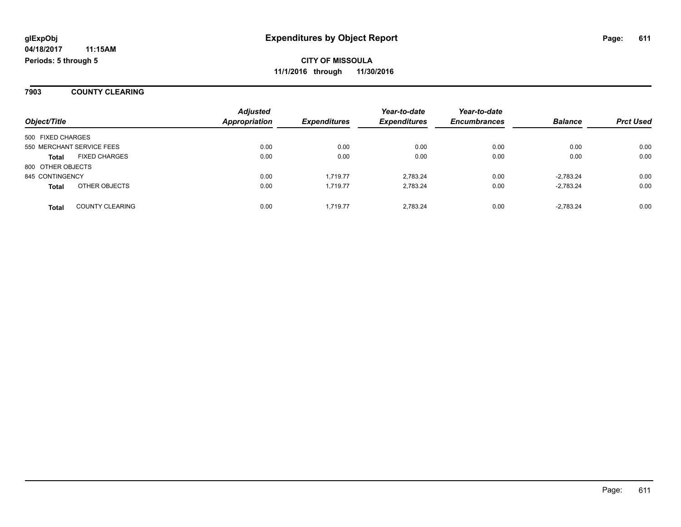**7903 COUNTY CLEARING**

| Object/Title      |                           | <b>Adjusted</b><br><b>Appropriation</b><br><b>Expenditures</b> | Year-to-date | Year-to-date        |                     |                |                  |
|-------------------|---------------------------|----------------------------------------------------------------|--------------|---------------------|---------------------|----------------|------------------|
|                   |                           |                                                                |              | <b>Expenditures</b> | <b>Encumbrances</b> | <b>Balance</b> | <b>Prct Used</b> |
| 500 FIXED CHARGES |                           |                                                                |              |                     |                     |                |                  |
|                   | 550 MERCHANT SERVICE FEES | 0.00                                                           | 0.00         | 0.00                | 0.00                | 0.00           | 0.00             |
| <b>Total</b>      | <b>FIXED CHARGES</b>      | 0.00                                                           | 0.00         | 0.00                | 0.00                | 0.00           | 0.00             |
| 800 OTHER OBJECTS |                           |                                                                |              |                     |                     |                |                  |
| 845 CONTINGENCY   |                           | 0.00                                                           | 1.719.77     | 2.783.24            | 0.00                | $-2.783.24$    | 0.00             |
| <b>Total</b>      | OTHER OBJECTS             | 0.00                                                           | 1.719.77     | 2.783.24            | 0.00                | $-2.783.24$    | 0.00             |
| <b>Total</b>      | <b>COUNTY CLEARING</b>    | 0.00                                                           | 1.719.77     | 2.783.24            | 0.00                | $-2,783.24$    | 0.00             |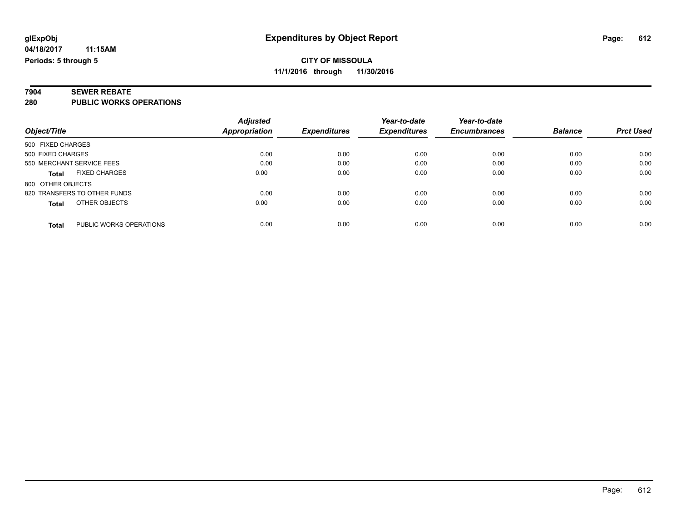## **CITY OF MISSOULA 11/1/2016 through 11/30/2016**

#### **7904 SEWER REBATE 280 PUBLIC WORKS OPERATIONS**

| Object/Title      |                              | <b>Adjusted</b><br>Appropriation | <b>Expenditures</b> | Year-to-date<br><b>Expenditures</b> | Year-to-date<br><b>Encumbrances</b> | <b>Balance</b> | <b>Prct Used</b> |
|-------------------|------------------------------|----------------------------------|---------------------|-------------------------------------|-------------------------------------|----------------|------------------|
| 500 FIXED CHARGES |                              |                                  |                     |                                     |                                     |                |                  |
| 500 FIXED CHARGES |                              | 0.00                             | 0.00                | 0.00                                | 0.00                                | 0.00           | 0.00             |
|                   | 550 MERCHANT SERVICE FEES    | 0.00                             | 0.00                | 0.00                                | 0.00                                | 0.00           | 0.00             |
| Total             | <b>FIXED CHARGES</b>         | 0.00                             | 0.00                | 0.00                                | 0.00                                | 0.00           | 0.00             |
| 800 OTHER OBJECTS |                              |                                  |                     |                                     |                                     |                |                  |
|                   | 820 TRANSFERS TO OTHER FUNDS | 0.00                             | 0.00                | 0.00                                | 0.00                                | 0.00           | 0.00             |
| <b>Total</b>      | OTHER OBJECTS                | 0.00                             | 0.00                | 0.00                                | 0.00                                | 0.00           | 0.00             |
| <b>Total</b>      | PUBLIC WORKS OPERATIONS      | 0.00                             | 0.00                | 0.00                                | 0.00                                | 0.00           | 0.00             |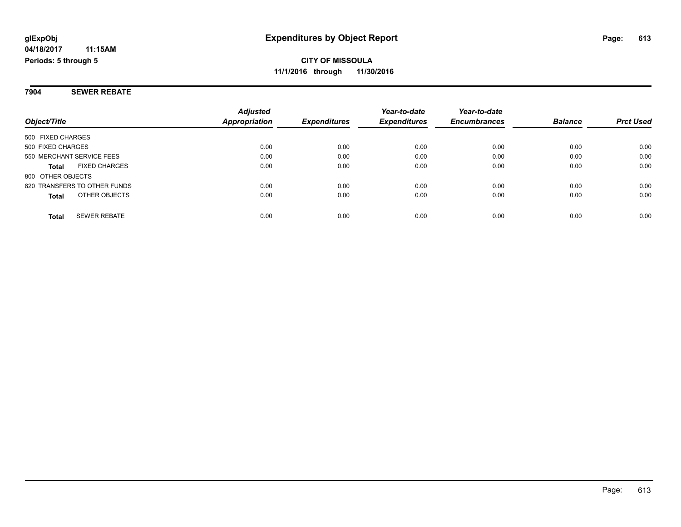**7904 SEWER REBATE**

|                                      | <b>Adjusted</b> |                     | Year-to-date        | Year-to-date        |                |                  |
|--------------------------------------|-----------------|---------------------|---------------------|---------------------|----------------|------------------|
| Object/Title                         | Appropriation   | <b>Expenditures</b> | <b>Expenditures</b> | <b>Encumbrances</b> | <b>Balance</b> | <b>Prct Used</b> |
| 500 FIXED CHARGES                    |                 |                     |                     |                     |                |                  |
| 500 FIXED CHARGES                    | 0.00            | 0.00                | 0.00                | 0.00                | 0.00           | 0.00             |
| 550 MERCHANT SERVICE FEES            | 0.00            | 0.00                | 0.00                | 0.00                | 0.00           | 0.00             |
| <b>FIXED CHARGES</b><br><b>Total</b> | 0.00            | 0.00                | 0.00                | 0.00                | 0.00           | 0.00             |
| 800 OTHER OBJECTS                    |                 |                     |                     |                     |                |                  |
| 820 TRANSFERS TO OTHER FUNDS         | 0.00            | 0.00                | 0.00                | 0.00                | 0.00           | 0.00             |
| OTHER OBJECTS<br><b>Total</b>        | 0.00            | 0.00                | 0.00                | 0.00                | 0.00           | 0.00             |
| <b>SEWER REBATE</b><br><b>Total</b>  | 0.00            | 0.00                | 0.00                | 0.00                | 0.00           | 0.00             |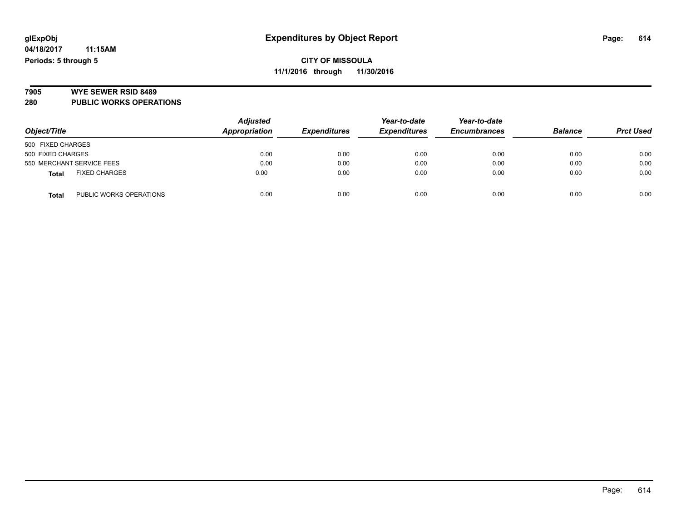# **7905 WYE SEWER RSID 8489**

**280 PUBLIC WORKS OPERATIONS**

| Object/Title                            | <b>Adjusted</b><br>Appropriation | <b>Expenditures</b> | Year-to-date<br><b>Expenditures</b> | Year-to-date<br><b>Encumbrances</b> | <b>Balance</b> | <b>Prct Used</b> |
|-----------------------------------------|----------------------------------|---------------------|-------------------------------------|-------------------------------------|----------------|------------------|
| 500 FIXED CHARGES                       |                                  |                     |                                     |                                     |                |                  |
| 500 FIXED CHARGES                       | 0.00                             | 0.00                | 0.00                                | 0.00                                | 0.00           | 0.00             |
| 550 MERCHANT SERVICE FEES               | 0.00                             | 0.00                | 0.00                                | 0.00                                | 0.00           | 0.00             |
| <b>FIXED CHARGES</b><br><b>Total</b>    | 0.00                             | 0.00                | 0.00                                | 0.00                                | 0.00           | 0.00             |
| PUBLIC WORKS OPERATIONS<br><b>Total</b> | 0.00                             | 0.00                | 0.00                                | 0.00                                | 0.00           | 0.00             |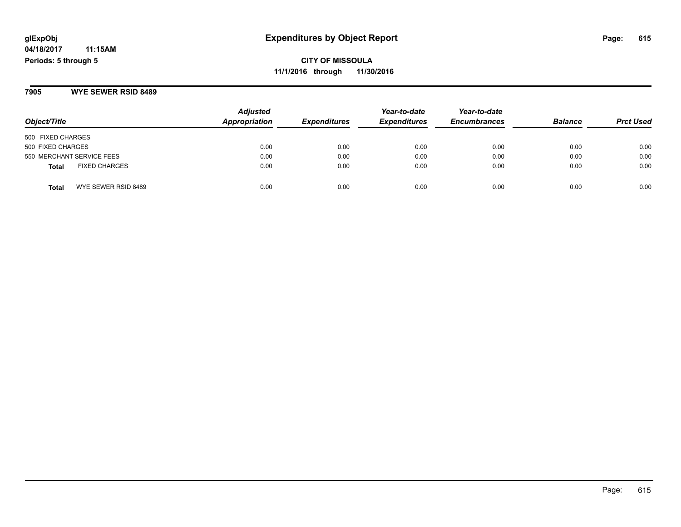**7905 WYE SEWER RSID 8489**

| Object/Title                         | <b>Adjusted</b><br><b>Appropriation</b> | <b>Expenditures</b> | Year-to-date<br><b>Expenditures</b> | Year-to-date<br><b>Encumbrances</b> | <b>Balance</b> | <b>Prct Used</b> |
|--------------------------------------|-----------------------------------------|---------------------|-------------------------------------|-------------------------------------|----------------|------------------|
| 500 FIXED CHARGES                    |                                         |                     |                                     |                                     |                |                  |
| 500 FIXED CHARGES                    | 0.00                                    | 0.00                | 0.00                                | 0.00                                | 0.00           | 0.00             |
| 550 MERCHANT SERVICE FEES            | 0.00                                    | 0.00                | 0.00                                | 0.00                                | 0.00           | 0.00             |
| <b>FIXED CHARGES</b><br><b>Total</b> | 0.00                                    | 0.00                | 0.00                                | 0.00                                | 0.00           | 0.00             |
| WYE SEWER RSID 8489<br><b>Total</b>  | 0.00                                    | 0.00                | 0.00                                | 0.00                                | 0.00           | 0.00             |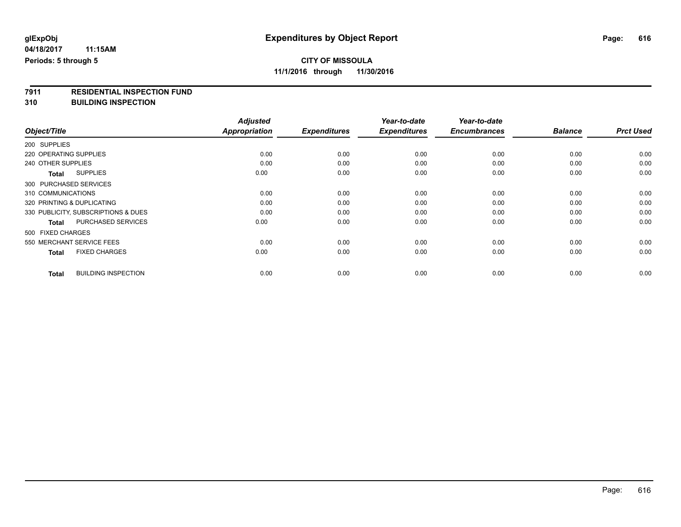# **7911 RESIDENTIAL INSPECTION FUND**

**310 BUILDING INSPECTION**

|                                            | <b>Adjusted</b>      |                     | Year-to-date        | Year-to-date        |                |                  |
|--------------------------------------------|----------------------|---------------------|---------------------|---------------------|----------------|------------------|
| Object/Title                               | <b>Appropriation</b> | <b>Expenditures</b> | <b>Expenditures</b> | <b>Encumbrances</b> | <b>Balance</b> | <b>Prct Used</b> |
| 200 SUPPLIES                               |                      |                     |                     |                     |                |                  |
| 220 OPERATING SUPPLIES                     | 0.00                 | 0.00                | 0.00                | 0.00                | 0.00           | 0.00             |
| 240 OTHER SUPPLIES                         | 0.00                 | 0.00                | 0.00                | 0.00                | 0.00           | 0.00             |
| <b>SUPPLIES</b><br><b>Total</b>            | 0.00                 | 0.00                | 0.00                | 0.00                | 0.00           | 0.00             |
| 300 PURCHASED SERVICES                     |                      |                     |                     |                     |                |                  |
| 310 COMMUNICATIONS                         | 0.00                 | 0.00                | 0.00                | 0.00                | 0.00           | 0.00             |
| 320 PRINTING & DUPLICATING                 | 0.00                 | 0.00                | 0.00                | 0.00                | 0.00           | 0.00             |
| 330 PUBLICITY, SUBSCRIPTIONS & DUES        | 0.00                 | 0.00                | 0.00                | 0.00                | 0.00           | 0.00             |
| PURCHASED SERVICES<br><b>Total</b>         | 0.00                 | 0.00                | 0.00                | 0.00                | 0.00           | 0.00             |
| 500 FIXED CHARGES                          |                      |                     |                     |                     |                |                  |
| 550 MERCHANT SERVICE FEES                  | 0.00                 | 0.00                | 0.00                | 0.00                | 0.00           | 0.00             |
| <b>FIXED CHARGES</b><br><b>Total</b>       | 0.00                 | 0.00                | 0.00                | 0.00                | 0.00           | 0.00             |
| <b>BUILDING INSPECTION</b><br><b>Total</b> | 0.00                 | 0.00                | 0.00                | 0.00                | 0.00           | 0.00             |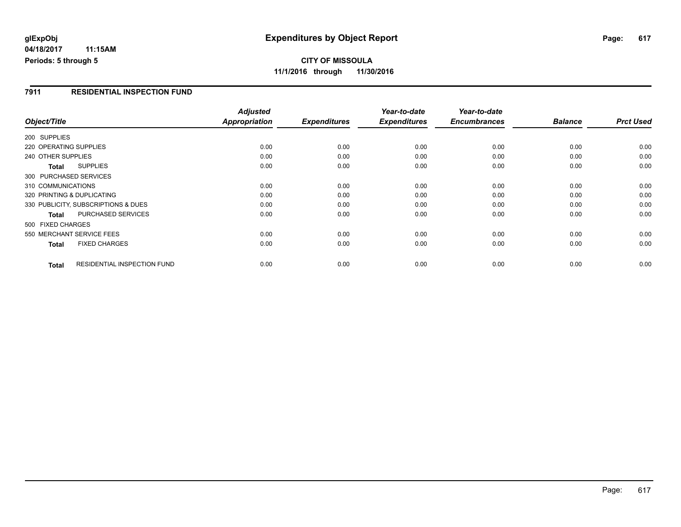#### **04/18/2017 11:15AM Periods: 5 through 5**

**CITY OF MISSOULA 11/1/2016 through 11/30/2016**

### **7911 RESIDENTIAL INSPECTION FUND**

|                                      |                                    | <b>Adjusted</b>      |                     | Year-to-date        | Year-to-date        |                |                  |
|--------------------------------------|------------------------------------|----------------------|---------------------|---------------------|---------------------|----------------|------------------|
| Object/Title                         |                                    | <b>Appropriation</b> | <b>Expenditures</b> | <b>Expenditures</b> | <b>Encumbrances</b> | <b>Balance</b> | <b>Prct Used</b> |
| 200 SUPPLIES                         |                                    |                      |                     |                     |                     |                |                  |
| 220 OPERATING SUPPLIES               |                                    | 0.00                 | 0.00                | 0.00                | 0.00                | 0.00           | 0.00             |
| 240 OTHER SUPPLIES                   |                                    | 0.00                 | 0.00                | 0.00                | 0.00                | 0.00           | 0.00             |
| <b>SUPPLIES</b><br>Total             |                                    | 0.00                 | 0.00                | 0.00                | 0.00                | 0.00           | 0.00             |
| 300 PURCHASED SERVICES               |                                    |                      |                     |                     |                     |                |                  |
| 310 COMMUNICATIONS                   |                                    | 0.00                 | 0.00                | 0.00                | 0.00                | 0.00           | 0.00             |
| 320 PRINTING & DUPLICATING           |                                    | 0.00                 | 0.00                | 0.00                | 0.00                | 0.00           | 0.00             |
| 330 PUBLICITY, SUBSCRIPTIONS & DUES  |                                    | 0.00                 | 0.00                | 0.00                | 0.00                | 0.00           | 0.00             |
| <b>Total</b>                         | PURCHASED SERVICES                 | 0.00                 | 0.00                | 0.00                | 0.00                | 0.00           | 0.00             |
| 500 FIXED CHARGES                    |                                    |                      |                     |                     |                     |                |                  |
| 550 MERCHANT SERVICE FEES            |                                    | 0.00                 | 0.00                | 0.00                | 0.00                | 0.00           | 0.00             |
| <b>FIXED CHARGES</b><br><b>Total</b> |                                    | 0.00                 | 0.00                | 0.00                | 0.00                | 0.00           | 0.00             |
| <b>Total</b>                         | <b>RESIDENTIAL INSPECTION FUND</b> | 0.00                 | 0.00                | 0.00                | 0.00                | 0.00           | 0.00             |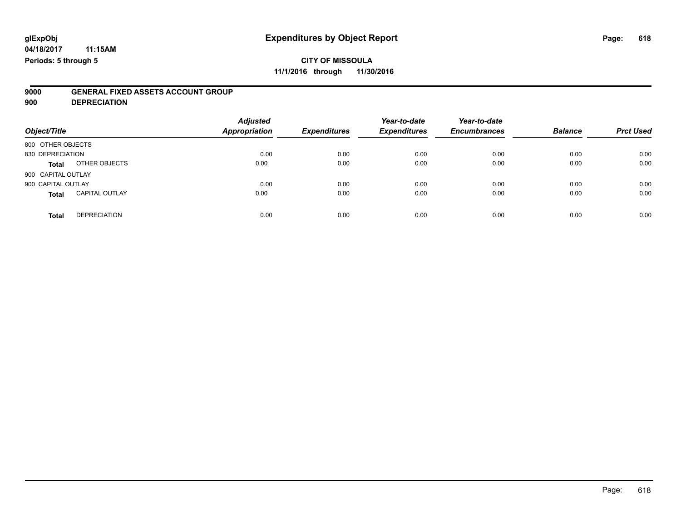## **CITY OF MISSOULA**

**11/1/2016 through 11/30/2016**

# **9000 GENERAL FIXED ASSETS ACCOUNT GROUP**

**900 DEPRECIATION**

| Object/Title                          | <b>Adjusted</b><br>Appropriation | <b>Expenditures</b> | Year-to-date<br><b>Expenditures</b> | Year-to-date<br><b>Encumbrances</b> | <b>Balance</b> | <b>Prct Used</b> |
|---------------------------------------|----------------------------------|---------------------|-------------------------------------|-------------------------------------|----------------|------------------|
| 800 OTHER OBJECTS                     |                                  |                     |                                     |                                     |                |                  |
| 830 DEPRECIATION                      | 0.00                             | 0.00                | 0.00                                | 0.00                                | 0.00           | 0.00             |
| OTHER OBJECTS<br><b>Total</b>         | 0.00                             | 0.00                | 0.00                                | 0.00                                | 0.00           | 0.00             |
| 900 CAPITAL OUTLAY                    |                                  |                     |                                     |                                     |                |                  |
| 900 CAPITAL OUTLAY                    | 0.00                             | 0.00                | 0.00                                | 0.00                                | 0.00           | 0.00             |
| <b>CAPITAL OUTLAY</b><br><b>Total</b> | 0.00                             | 0.00                | 0.00                                | 0.00                                | 0.00           | 0.00             |
| <b>DEPRECIATION</b><br><b>Total</b>   | 0.00                             | 0.00                | 0.00                                | 0.00                                | 0.00           | 0.00             |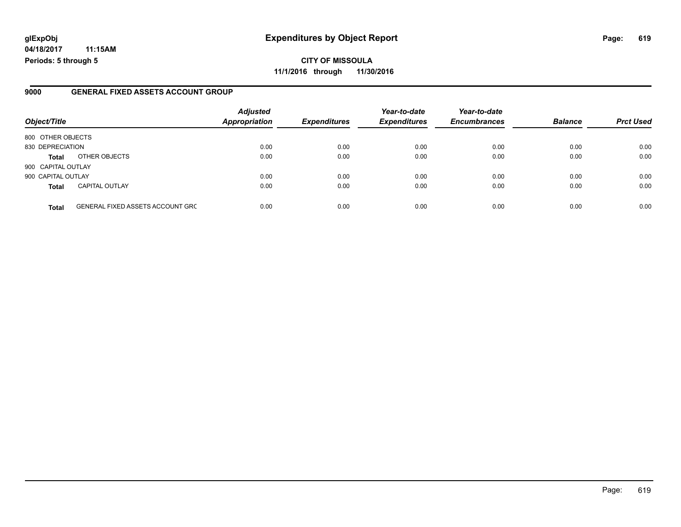### **glExpObj Expenditures by Object Report Page: 619**

**04/18/2017 11:15AM Periods: 5 through 5**

### **9000 GENERAL FIXED ASSETS ACCOUNT GROUP**

| Object/Title       |                                         | <b>Adjusted</b><br>Appropriation | <b>Expenditures</b> | Year-to-date<br><b>Expenditures</b> | Year-to-date<br><b>Encumbrances</b> | <b>Balance</b> | <b>Prct Used</b> |
|--------------------|-----------------------------------------|----------------------------------|---------------------|-------------------------------------|-------------------------------------|----------------|------------------|
| 800 OTHER OBJECTS  |                                         |                                  |                     |                                     |                                     |                |                  |
| 830 DEPRECIATION   |                                         | 0.00                             | 0.00                | 0.00                                | 0.00                                | 0.00           | 0.00             |
| <b>Total</b>       | OTHER OBJECTS                           | 0.00                             | 0.00                | 0.00                                | 0.00                                | 0.00           | 0.00             |
| 900 CAPITAL OUTLAY |                                         |                                  |                     |                                     |                                     |                |                  |
| 900 CAPITAL OUTLAY |                                         | 0.00                             | 0.00                | 0.00                                | 0.00                                | 0.00           | 0.00             |
| <b>Total</b>       | <b>CAPITAL OUTLAY</b>                   | 0.00                             | 0.00                | 0.00                                | 0.00                                | 0.00           | 0.00             |
| <b>Total</b>       | <b>GENERAL FIXED ASSETS ACCOUNT GRC</b> | 0.00                             | 0.00                | 0.00                                | 0.00                                | 0.00           | 0.00             |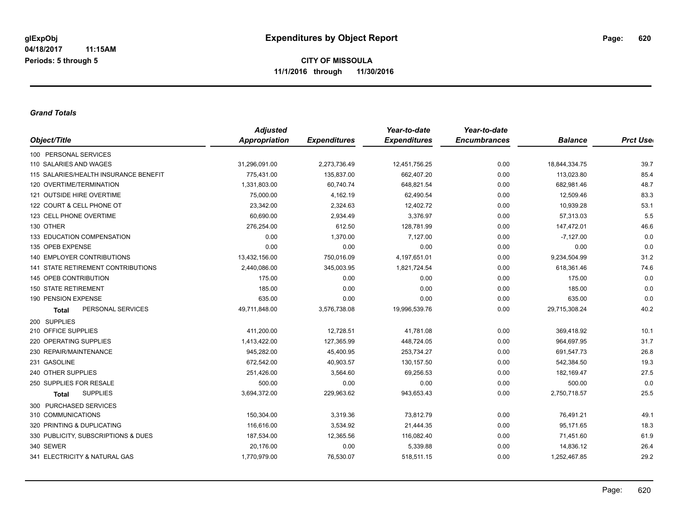*Grand Totals*

|                                       | <b>Adjusted</b> |                     | Year-to-date        | Year-to-date        |                |                 |
|---------------------------------------|-----------------|---------------------|---------------------|---------------------|----------------|-----------------|
| Object/Title                          | Appropriation   | <b>Expenditures</b> | <b>Expenditures</b> | <b>Encumbrances</b> | <b>Balance</b> | <b>Prct Use</b> |
| 100 PERSONAL SERVICES                 |                 |                     |                     |                     |                |                 |
| 110 SALARIES AND WAGES                | 31,296,091.00   | 2,273,736.49        | 12,451,756.25       | 0.00                | 18,844,334.75  | 39.7            |
| 115 SALARIES/HEALTH INSURANCE BENEFIT | 775,431.00      | 135,837.00          | 662,407.20          | 0.00                | 113,023.80     | 85.4            |
| 120 OVERTIME/TERMINATION              | 1,331,803.00    | 60,740.74           | 648,821.54          | 0.00                | 682,981.46     | 48.7            |
| 121 OUTSIDE HIRE OVERTIME             | 75,000.00       | 4,162.19            | 62,490.54           | 0.00                | 12,509.46      | 83.3            |
| 122 COURT & CELL PHONE OT             | 23,342.00       | 2,324.63            | 12,402.72           | 0.00                | 10,939.28      | 53.1            |
| 123 CELL PHONE OVERTIME               | 60,690.00       | 2,934.49            | 3,376.97            | 0.00                | 57,313.03      | 5.5             |
| 130 OTHER                             | 276,254.00      | 612.50              | 128,781.99          | 0.00                | 147,472.01     | 46.6            |
| 133 EDUCATION COMPENSATION            | 0.00            | 1,370.00            | 7,127.00            | 0.00                | $-7,127.00$    | 0.0             |
| 135 OPEB EXPENSE                      | 0.00            | 0.00                | 0.00                | 0.00                | 0.00           | 0.0             |
| <b>140 EMPLOYER CONTRIBUTIONS</b>     | 13,432,156.00   | 750,016.09          | 4,197,651.01        | 0.00                | 9,234,504.99   | 31.2            |
| 141 STATE RETIREMENT CONTRIBUTIONS    | 2,440,086.00    | 345,003.95          | 1,821,724.54        | 0.00                | 618,361.46     | 74.6            |
| 145 OPEB CONTRIBUTION                 | 175.00          | 0.00                | 0.00                | 0.00                | 175.00         | 0.0             |
| <b>150 STATE RETIREMENT</b>           | 185.00          | 0.00                | 0.00                | 0.00                | 185.00         | 0.0             |
| 190 PENSION EXPENSE                   | 635.00          | 0.00                | 0.00                | 0.00                | 635.00         | 0.0             |
| PERSONAL SERVICES<br><b>Total</b>     | 49,711,848.00   | 3,576,738.08        | 19,996,539.76       | 0.00                | 29,715,308.24  | 40.2            |
| 200 SUPPLIES                          |                 |                     |                     |                     |                |                 |
| 210 OFFICE SUPPLIES                   | 411,200.00      | 12,728.51           | 41,781.08           | 0.00                | 369,418.92     | 10.1            |
| 220 OPERATING SUPPLIES                | 1,413,422.00    | 127,365.99          | 448,724.05          | 0.00                | 964,697.95     | 31.7            |
| 230 REPAIR/MAINTENANCE                | 945,282.00      | 45,400.95           | 253,734.27          | 0.00                | 691,547.73     | 26.8            |
| 231 GASOLINE                          | 672,542.00      | 40,903.57           | 130, 157.50         | 0.00                | 542,384.50     | 19.3            |
| 240 OTHER SUPPLIES                    | 251,426.00      | 3,564.60            | 69,256.53           | 0.00                | 182,169.47     | 27.5            |
| 250 SUPPLIES FOR RESALE               | 500.00          | 0.00                | 0.00                | 0.00                | 500.00         | 0.0             |
| <b>SUPPLIES</b><br><b>Total</b>       | 3,694,372.00    | 229,963.62          | 943,653.43          | 0.00                | 2,750,718.57   | 25.5            |
| 300 PURCHASED SERVICES                |                 |                     |                     |                     |                |                 |
| 310 COMMUNICATIONS                    | 150,304.00      | 3,319.36            | 73,812.79           | 0.00                | 76,491.21      | 49.1            |
| 320 PRINTING & DUPLICATING            | 116,616.00      | 3,534.92            | 21,444.35           | 0.00                | 95,171.65      | 18.3            |
| 330 PUBLICITY, SUBSCRIPTIONS & DUES   | 187,534.00      | 12,365.56           | 116,082.40          | 0.00                | 71,451.60      | 61.9            |
| 340 SEWER                             | 20,176.00       | 0.00                | 5,339.88            | 0.00                | 14,836.12      | 26.4            |
| 341 ELECTRICITY & NATURAL GAS         | 1,770,979.00    | 76,530.07           | 518,511.15          | 0.00                | 1,252,467.85   | 29.2            |
|                                       |                 |                     |                     |                     |                |                 |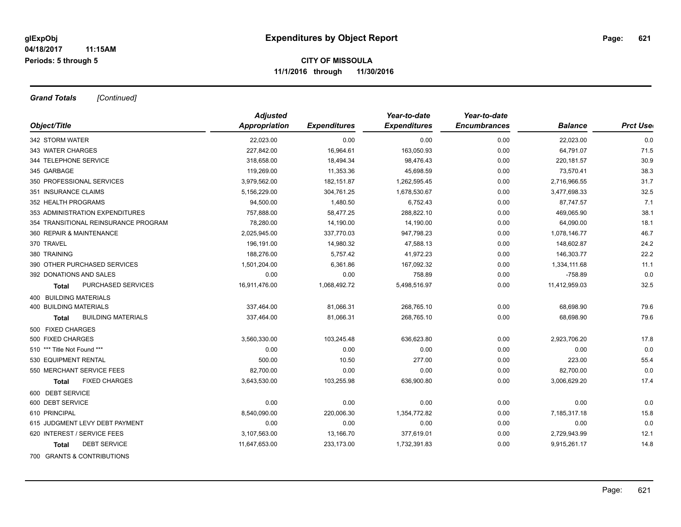*Grand Totals [Continued]*

|                                      | <b>Adjusted</b>      |                     | Year-to-date        | Year-to-date        |                |                  |
|--------------------------------------|----------------------|---------------------|---------------------|---------------------|----------------|------------------|
| Object/Title                         | <b>Appropriation</b> | <b>Expenditures</b> | <b>Expenditures</b> | <b>Encumbrances</b> | <b>Balance</b> | <b>Prct User</b> |
| 342 STORM WATER                      | 22,023.00            | 0.00                | 0.00                | 0.00                | 22,023.00      | 0.0              |
| 343 WATER CHARGES                    | 227,842.00           | 16,964.61           | 163,050.93          | 0.00                | 64,791.07      | 71.5             |
| 344 TELEPHONE SERVICE                | 318,658.00           | 18,494.34           | 98,476.43           | 0.00                | 220, 181.57    | 30.9             |
| 345 GARBAGE                          | 119,269.00           | 11,353.36           | 45,698.59           | 0.00                | 73,570.41      | 38.3             |
| 350 PROFESSIONAL SERVICES            | 3,979,562.00         | 182, 151.87         | 1,262,595.45        | 0.00                | 2,716,966.55   | 31.7             |
| 351 INSURANCE CLAIMS                 | 5,156,229.00         | 304,761.25          | 1,678,530.67        | 0.00                | 3,477,698.33   | 32.5             |
| 352 HEALTH PROGRAMS                  | 94.500.00            | 1,480.50            | 6,752.43            | 0.00                | 87,747.57      | 7.1              |
| 353 ADMINISTRATION EXPENDITURES      | 757,888.00           | 58,477.25           | 288,822.10          | 0.00                | 469,065.90     | 38.1             |
| 354 TRANSITIONAL REINSURANCE PROGRAM | 78,280.00            | 14,190.00           | 14,190.00           | 0.00                | 64,090.00      | 18.1             |
| 360 REPAIR & MAINTENANCE             | 2,025,945.00         | 337,770.03          | 947,798.23          | 0.00                | 1,078,146.77   | 46.7             |
| 370 TRAVEL                           | 196,191.00           | 14,980.32           | 47,588.13           | 0.00                | 148,602.87     | 24.2             |
| 380 TRAINING                         | 188,276.00           | 5,757.42            | 41,972.23           | 0.00                | 146,303.77     | 22.2             |
| 390 OTHER PURCHASED SERVICES         | 1,501,204.00         | 6,361.86            | 167,092.32          | 0.00                | 1,334,111.68   | 11.1             |
| 392 DONATIONS AND SALES              | 0.00                 | 0.00                | 758.89              | 0.00                | $-758.89$      | 0.0              |
| PURCHASED SERVICES<br><b>Total</b>   | 16,911,476.00        | 1,068,492.72        | 5,498,516.97        | 0.00                | 11,412,959.03  | 32.5             |
| 400 BUILDING MATERIALS               |                      |                     |                     |                     |                |                  |
| <b>400 BUILDING MATERIALS</b>        | 337,464.00           | 81,066.31           | 268,765.10          | 0.00                | 68,698.90      | 79.6             |
| <b>BUILDING MATERIALS</b><br>Total   | 337,464.00           | 81,066.31           | 268,765.10          | 0.00                | 68,698.90      | 79.6             |
| 500 FIXED CHARGES                    |                      |                     |                     |                     |                |                  |
| 500 FIXED CHARGES                    | 3,560,330.00         | 103,245.48          | 636,623.80          | 0.00                | 2,923,706.20   | 17.8             |
| 510 *** Title Not Found ***          | 0.00                 | 0.00                | 0.00                | 0.00                | 0.00           | 0.0              |
| 530 EQUIPMENT RENTAL                 | 500.00               | 10.50               | 277.00              | 0.00                | 223.00         | 55.4             |
| 550 MERCHANT SERVICE FEES            | 82,700.00            | 0.00                | 0.00                | 0.00                | 82,700.00      | 0.0              |
| <b>FIXED CHARGES</b><br>Total        | 3,643,530.00         | 103,255.98          | 636,900.80          | 0.00                | 3,006,629.20   | 17.4             |
| 600 DEBT SERVICE                     |                      |                     |                     |                     |                |                  |
| 600 DEBT SERVICE                     | 0.00                 | 0.00                | 0.00                | 0.00                | 0.00           | 0.0              |
| 610 PRINCIPAL                        | 8,540,090.00         | 220,006.30          | 1,354,772.82        | 0.00                | 7,185,317.18   | 15.8             |
| 615 JUDGMENT LEVY DEBT PAYMENT       | 0.00                 | 0.00                | 0.00                | 0.00                | 0.00           | 0.0              |
| 620 INTEREST / SERVICE FEES          | 3,107,563.00         | 13,166.70           | 377,619.01          | 0.00                | 2,729,943.99   | 12.1             |
| <b>DEBT SERVICE</b><br><b>Total</b>  | 11,647,653.00        | 233,173.00          | 1,732,391.83        | 0.00                | 9,915,261.17   | 14.8             |
| 700 GRANTS & CONTRIBUTIONS           |                      |                     |                     |                     |                |                  |